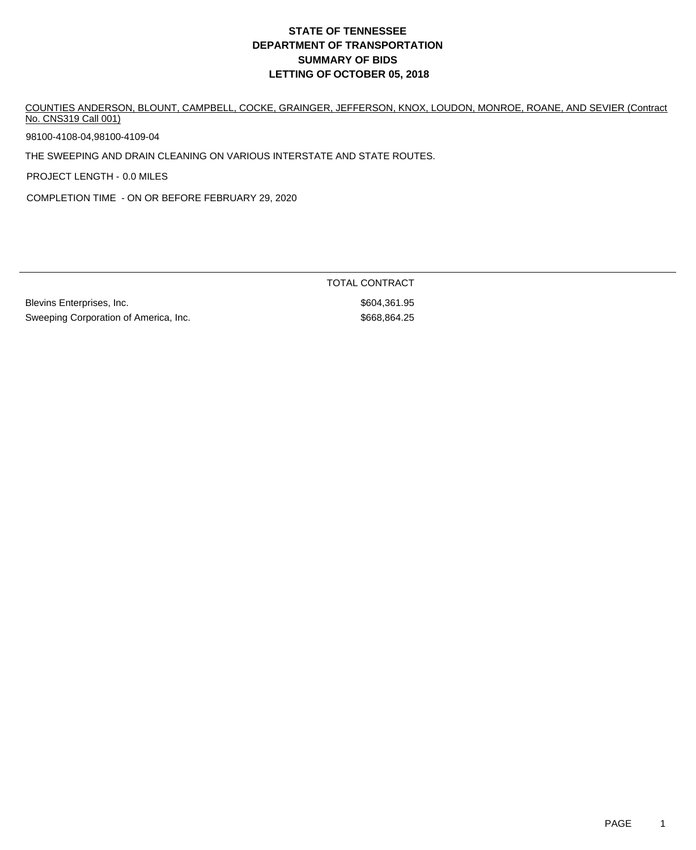# **DEPARTMENT OF TRANSPORTATION SUMMARY OF BIDS LETTING OF OCTOBER 05, 2018 STATE OF TENNESSEE**

COUNTIES ANDERSON, BLOUNT, CAMPBELL, COCKE, GRAINGER, JEFFERSON, KNOX, LOUDON, MONROE, ROANE, AND SEVIER (Contract No. CNS319 Call 001)

98100-4108-04,98100-4109-04

THE SWEEPING AND DRAIN CLEANING ON VARIOUS INTERSTATE AND STATE ROUTES.

PROJECT LENGTH - 0.0 MILES

COMPLETION TIME - ON OR BEFORE FEBRUARY 29, 2020

Blevins Enterprises, Inc. \$604,361.95 Sweeping Corporation of America, Inc. 6668,864.25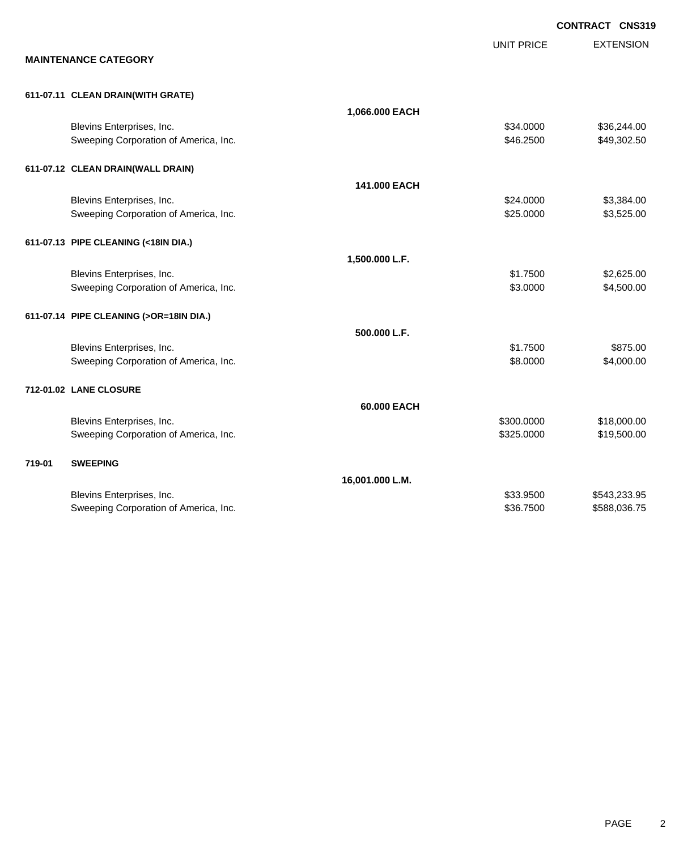|        |                                         |                 |                   | <b>CONTRACT CNS319</b> |
|--------|-----------------------------------------|-----------------|-------------------|------------------------|
|        |                                         |                 | <b>UNIT PRICE</b> | <b>EXTENSION</b>       |
|        | <b>MAINTENANCE CATEGORY</b>             |                 |                   |                        |
|        | 611-07.11 CLEAN DRAIN(WITH GRATE)       |                 |                   |                        |
|        |                                         | 1,066.000 EACH  |                   |                        |
|        | Blevins Enterprises, Inc.               |                 | \$34.0000         | \$36,244.00            |
|        | Sweeping Corporation of America, Inc.   |                 | \$46.2500         | \$49,302.50            |
|        | 611-07.12 CLEAN DRAIN(WALL DRAIN)       |                 |                   |                        |
|        |                                         | 141.000 EACH    |                   |                        |
|        | Blevins Enterprises, Inc.               |                 | \$24.0000         | \$3,384.00             |
|        | Sweeping Corporation of America, Inc.   |                 | \$25.0000         | \$3,525.00             |
|        | 611-07.13 PIPE CLEANING (<18IN DIA.)    |                 |                   |                        |
|        |                                         | 1,500.000 L.F.  |                   |                        |
|        | Blevins Enterprises, Inc.               |                 | \$1.7500          | \$2,625.00             |
|        | Sweeping Corporation of America, Inc.   |                 | \$3.0000          | \$4,500.00             |
|        | 611-07.14 PIPE CLEANING (>OR=18IN DIA.) |                 |                   |                        |
|        |                                         | 500.000 L.F.    |                   |                        |
|        | Blevins Enterprises, Inc.               |                 | \$1.7500          | \$875.00               |
|        | Sweeping Corporation of America, Inc.   |                 | \$8.0000          | \$4,000.00             |
|        | 712-01.02 LANE CLOSURE                  |                 |                   |                        |
|        |                                         | 60.000 EACH     |                   |                        |
|        | Blevins Enterprises, Inc.               |                 | \$300.0000        | \$18,000.00            |
|        | Sweeping Corporation of America, Inc.   |                 | \$325.0000        | \$19,500.00            |
| 719-01 | <b>SWEEPING</b>                         |                 |                   |                        |
|        |                                         | 16,001.000 L.M. |                   |                        |
|        | Blevins Enterprises, Inc.               |                 | \$33.9500         | \$543,233.95           |
|        | Sweeping Corporation of America, Inc.   |                 | \$36.7500         | \$588,036.75           |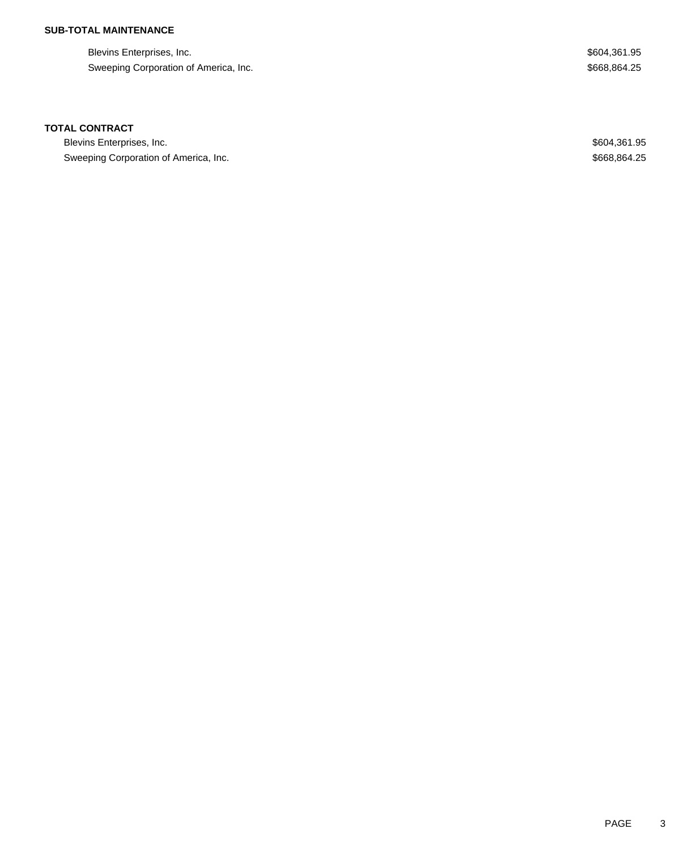# **SUB-TOTAL MAINTENANCE**

Blevins Enterprises, Inc. 6604,361.95 Sweeping Corporation of America, Inc. 6. The Sweeping Corporation of America, Inc. 6. The Superior of America, Inc.

#### **TOTAL CONTRACT**

Blevins Enterprises, Inc. 6604,361.95 Sweeping Corporation of America, Inc. 6. The Superior of America, Inc. 6. The Superior of America, Inc. 668,864.25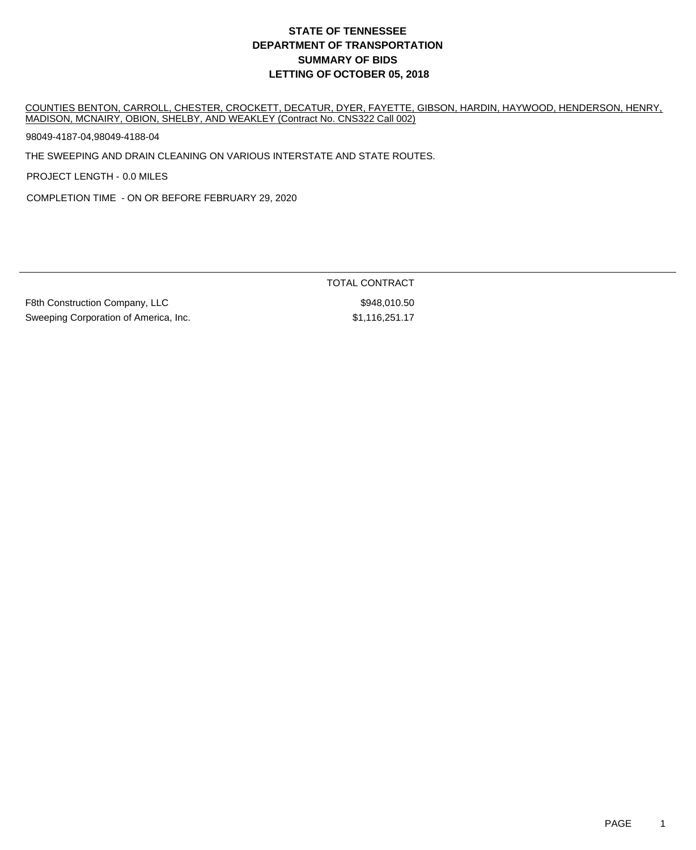# **DEPARTMENT OF TRANSPORTATION SUMMARY OF BIDS LETTING OF OCTOBER 05, 2018 STATE OF TENNESSEE**

COUNTIES BENTON, CARROLL, CHESTER, CROCKETT, DECATUR, DYER, FAYETTE, GIBSON, HARDIN, HAYWOOD, HENDERSON, HENRY, MADISON, MCNAIRY, OBION, SHELBY, AND WEAKLEY (Contract No. CNS322 Call 002)

98049-4187-04,98049-4188-04

THE SWEEPING AND DRAIN CLEANING ON VARIOUS INTERSTATE AND STATE ROUTES.

PROJECT LENGTH - 0.0 MILES

COMPLETION TIME - ON OR BEFORE FEBRUARY 29, 2020

F8th Construction Company, LLC  $$948,010.50$ Sweeping Corporation of America, Inc. 6. 1996) 81,116,251.17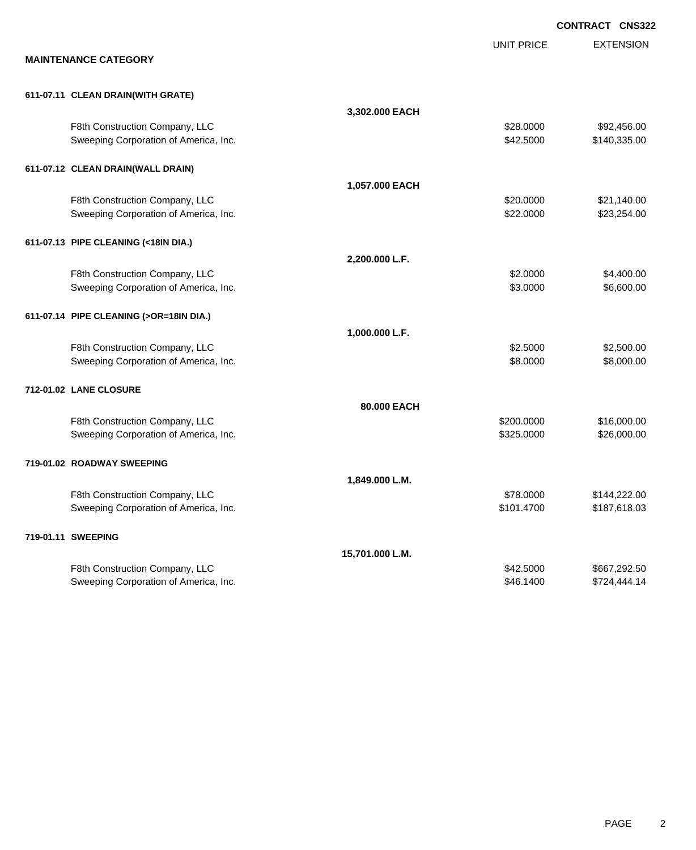|                                         |                 |                   | <b>CONTRACT CNS322</b> |
|-----------------------------------------|-----------------|-------------------|------------------------|
|                                         |                 | <b>UNIT PRICE</b> | <b>EXTENSION</b>       |
| <b>MAINTENANCE CATEGORY</b>             |                 |                   |                        |
| 611-07.11 CLEAN DRAIN(WITH GRATE)       |                 |                   |                        |
|                                         | 3,302.000 EACH  |                   |                        |
| F8th Construction Company, LLC          |                 | \$28.0000         | \$92,456.00            |
| Sweeping Corporation of America, Inc.   |                 | \$42.5000         | \$140,335.00           |
| 611-07.12 CLEAN DRAIN(WALL DRAIN)       |                 |                   |                        |
|                                         | 1,057.000 EACH  |                   |                        |
| F8th Construction Company, LLC          |                 | \$20.0000         | \$21,140.00            |
| Sweeping Corporation of America, Inc.   |                 | \$22.0000         | \$23,254.00            |
| 611-07.13 PIPE CLEANING (<18IN DIA.)    |                 |                   |                        |
|                                         | 2,200.000 L.F.  |                   |                        |
| F8th Construction Company, LLC          |                 | \$2.0000          | \$4,400.00             |
| Sweeping Corporation of America, Inc.   |                 | \$3.0000          | \$6,600.00             |
| 611-07.14 PIPE CLEANING (>OR=18IN DIA.) |                 |                   |                        |
|                                         | 1,000.000 L.F.  |                   |                        |
| F8th Construction Company, LLC          |                 | \$2.5000          | \$2,500.00             |
| Sweeping Corporation of America, Inc.   |                 | \$8.0000          | \$8,000.00             |
| 712-01.02 LANE CLOSURE                  |                 |                   |                        |
|                                         | 80.000 EACH     |                   |                        |
| F8th Construction Company, LLC          |                 | \$200.0000        | \$16,000.00            |
| Sweeping Corporation of America, Inc.   |                 | \$325.0000        | \$26,000.00            |
| 719-01.02 ROADWAY SWEEPING              |                 |                   |                        |
|                                         | 1,849.000 L.M.  |                   |                        |
| F8th Construction Company, LLC          |                 | \$78.0000         | \$144,222.00           |
| Sweeping Corporation of America, Inc.   |                 | \$101.4700        | \$187,618.03           |
| 719-01.11 SWEEPING                      |                 |                   |                        |
|                                         | 15,701.000 L.M. |                   |                        |
| F8th Construction Company, LLC          |                 | \$42.5000         | \$667,292.50           |
| Sweeping Corporation of America, Inc.   |                 | \$46.1400         | \$724,444.14           |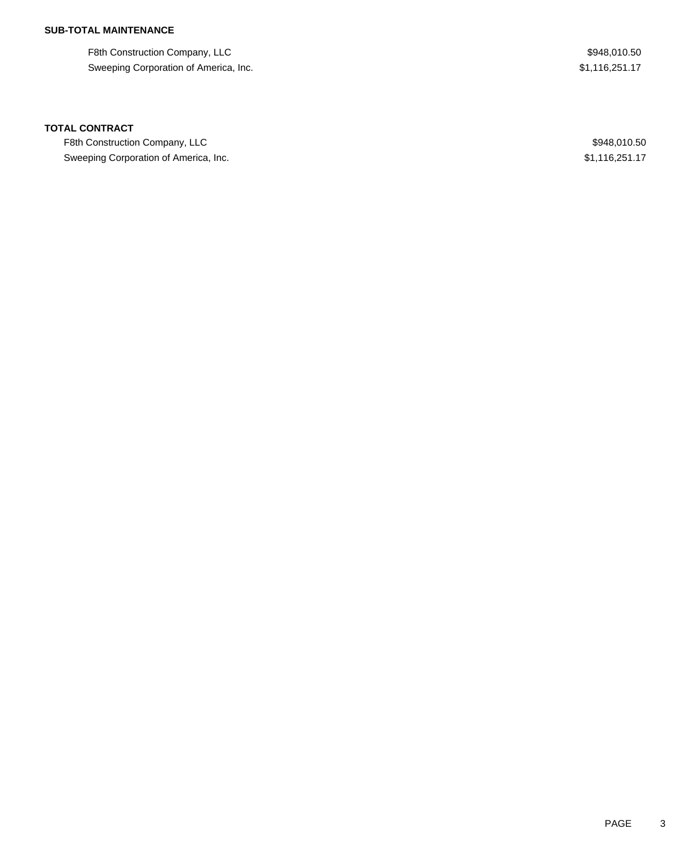## **SUB-TOTAL MAINTENANCE**

F8th Construction Company, LLC  $$948,010.50$ Sweeping Corporation of America, Inc. 6. The State of America and State of America, Inc. 61,116,251.17

#### **TOTAL CONTRACT**

F8th Construction Company, LLC 600 and the state of the state of the state of the state of the state of the state of the state of the state of the state of the state of the state of the state of the state of the state of t Sweeping Corporation of America, Inc. 6. The State of America, Inc. \$1,116,251.17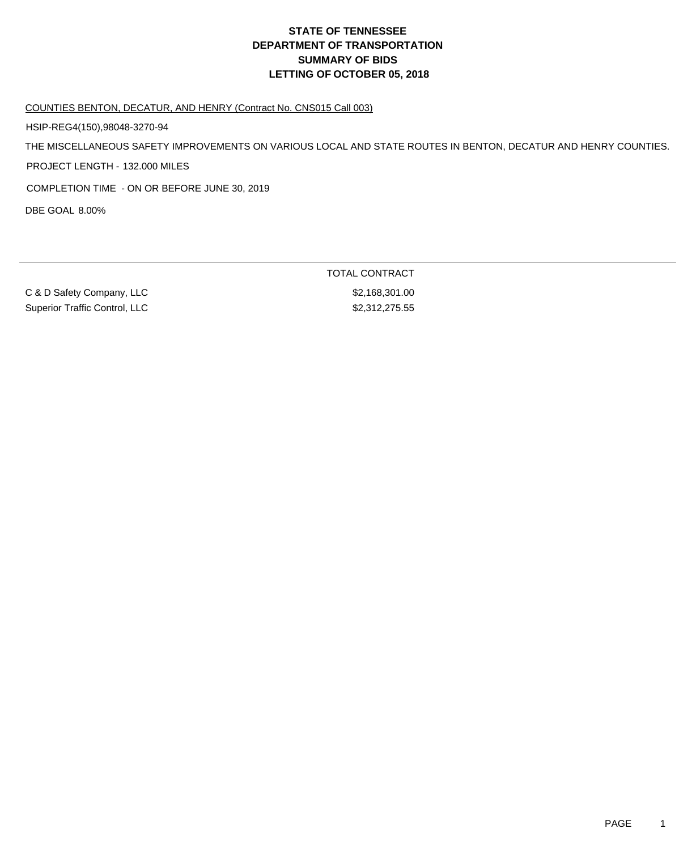# **DEPARTMENT OF TRANSPORTATION SUMMARY OF BIDS LETTING OF OCTOBER 05, 2018 STATE OF TENNESSEE**

COUNTIES BENTON, DECATUR, AND HENRY (Contract No. CNS015 Call 003)

HSIP-REG4(150),98048-3270-94

THE MISCELLANEOUS SAFETY IMPROVEMENTS ON VARIOUS LOCAL AND STATE ROUTES IN BENTON, DECATUR AND HENRY COUNTIES.

PROJECT LENGTH - 132.000 MILES

COMPLETION TIME - ON OR BEFORE JUNE 30, 2019

DBE GOAL 8.00%

C & D Safety Company, LLC \$2,168,301.00 Superior Traffic Control, LLC \$2,312,275.55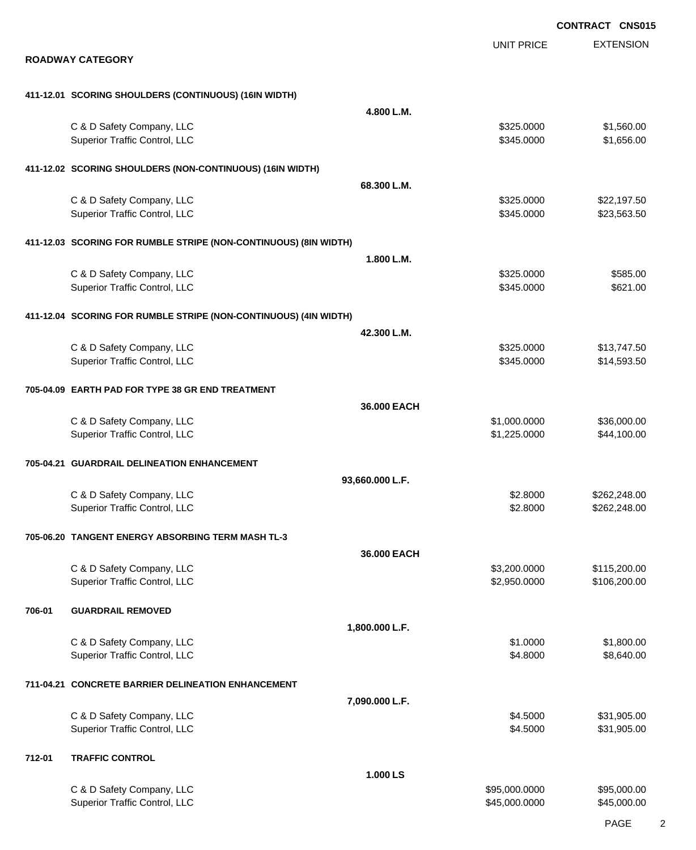EXTENSION **CONTRACT CNS015** UNIT PRICE **ROADWAY CATEGORY 411-12.01 SCORING SHOULDERS (CONTINUOUS) (16IN WIDTH) 4.800 L.M.** C & D Safety Company, LLC 6 and Company, the C & D Safety Company, LLC 6 and Company, the C & D Safety Company, LLC Superior Traffic Control, LLC 656.000 \$1,656.00 **411-12.02 SCORING SHOULDERS (NON-CONTINUOUS) (16IN WIDTH) 68.300 L.M.** C & D Safety Company, LLC 6 and Company, LLC 6 and Company, LLC 6 and Company, LLC 6 and Company, LLC 6 and Company, LLC Superior Traffic Control, LLC 6345.0000 \$23,563.50 **411-12.03 SCORING FOR RUMBLE STRIPE (NON-CONTINUOUS) (8IN WIDTH) 1.800 L.M.** C & D Safety Company, LLC 6 and the state of the state of the state of the state of the state of the state of the state of the state of the state of the state of the state of the state of the state of the state of the stat Superior Traffic Control, LLC 6621.00 **411-12.04 SCORING FOR RUMBLE STRIPE (NON-CONTINUOUS) (4IN WIDTH) 42.300 L.M.** C & D Safety Company, LLC 6 and Company, the C & D Safety Company, LLC 6 and Company, the C & D Safety Company, LLC Superior Traffic Control, LLC 614,593.50 **705-04.09 EARTH PAD FOR TYPE 38 GR END TREATMENT 36.000 EACH** C & D Safety Company, LLC 6 and the company of the company of the company of the company of the company of the company of the company of the company of the company of the company of the company of the company of the compan Superior Traffic Control, LLC 644,100.00 \$44,100.00 **705-04.21 GUARDRAIL DELINEATION ENHANCEMENT 93,660.000 L.F.** C & D Safety Company, LLC 6 and Company, LLC 6 and Company, LLC 6 and Company, LLC 6 and Company, LLC 6 and Company, LLC 6 and Company, LLC 6 and Company, LLC 6 and Company, LLC 6 and Company, LLC 6 and Company, LLC 6 and Superior Traffic Control, LLC 63.8000 \$262,248.00 **705-06.20 TANGENT ENERGY ABSORBING TERM MASH TL-3 36.000 EACH** C & D Safety Company, LLC 6 and the state of the state of the state of the state of the state of the state of the state of the state of the state of the state of the state of the state of the state of the state of the stat Superior Traffic Control, LLC 6.6.200.00 \$106,200.00 \$106,200.00 **706-01 GUARDRAIL REMOVED 1,800.000 L.F.** C & D Safety Company, LLC 6. 2012 12:30:00 \$1,800.00 \$1,800.00 \$1,800.00 Superior Traffic Control, LLC 66,640.00 \$8,640.00 \$8,640.00 \$8,640.00 **711-04.21 CONCRETE BARRIER DELINEATION ENHANCEMENT 7,090.000 L.F.** C & D Safety Company, LLC 6 and the state of the state of the state of the state of the state of the state of the state of the state of the state of the state of the state of the state of the state of the state of the stat Superior Traffic Control, LLC 631,905.00 \$31,905.00 **712-01 TRAFFIC CONTROL 1.000 LS** C & D Safety Company, LLC 6 and the company, the company of the company of the company of the company of the company of the company of the company of the company of the company of the company of the company of the company Superior Traffic Control, LLC 66 and the state of the state of the state of the state of the state of the state  $$45,000.000$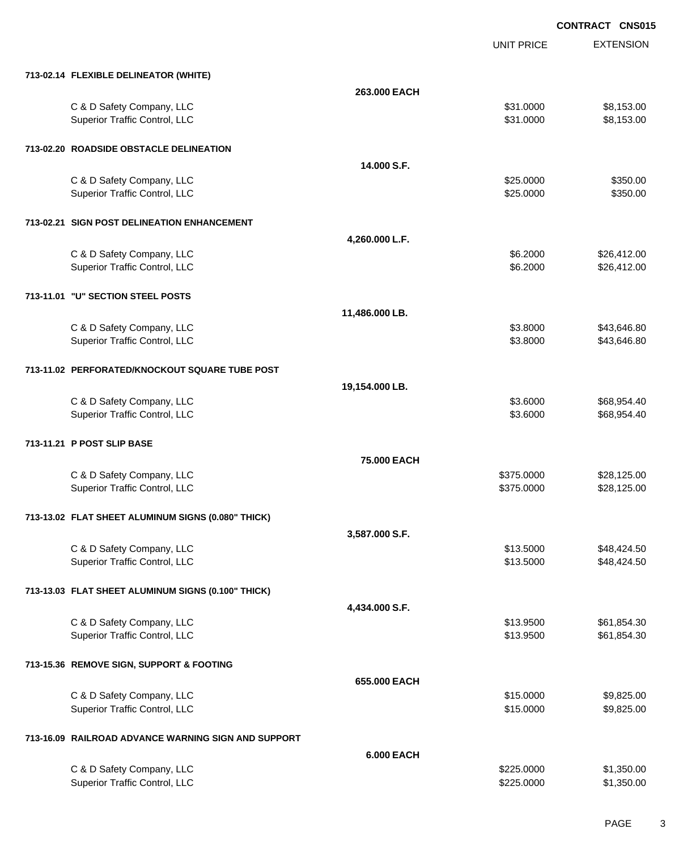EXTENSION **CONTRACT CNS015** UNIT PRICE **713-02.14 FLEXIBLE DELINEATOR (WHITE) 263.000 EACH** C & D Safety Company, LLC 6 and the state of the state of the state of the state of the state of the state of the state of the state of the state of the state of the state of the state of the state of the state of the stat Superior Traffic Control, LLC 6 and the state of the state of the state of the state of the state of the state of the state of the state of the state of the state of the state of the state of the state of the state of the **713-02.20 ROADSIDE OBSTACLE DELINEATION 14.000 S.F.** C & D Safety Company, LLC 6 and Company, LLC 6 and Company, LLC 6 and Company, LLC 6 and Company, LLC 6 and Company, LLC 6 and Company, LLC 6 and Company, LLC 6 and Company, LLC 6 and Company, LLC 6 and Company, LLC 6 and Superior Traffic Control, LLC 6350.00 \$350.00 **713-02.21 SIGN POST DELINEATION ENHANCEMENT 4,260.000 L.F.** C & D Safety Company, LLC 6.412.00 Superior Traffic Control, LLC 66.412.00 **713-11.01 "U" SECTION STEEL POSTS 11,486.000 LB.** C & D Safety Company, LLC 6 and Company, the C & D Safety Company, LLC 6 and Company, the C & D Safety Company, LLC Superior Traffic Control, LLC 63.8000 \$43,646.80 **713-11.02 PERFORATED/KNOCKOUT SQUARE TUBE POST 19,154.000 LB.** C & D Safety Company, LLC 68.954.40 Superior Traffic Control, LLC 668,954.40 **713-11.21 P POST SLIP BASE 75.000 EACH** C & D Safety Company, LLC 6 and Company, LLC 6 and Company, LLC 5375.0000 \$28,125.00 Superior Traffic Control, LLC **\$375.0000** \$28,125.00 **713-13.02 FLAT SHEET ALUMINUM SIGNS (0.080" THICK) 3,587.000 S.F.** C & D Safety Company, LLC 6 and the company, the company of the company of the company of the company of the company of the company of the company of the company of the company of the company of the company of the company Superior Traffic Control, LLC **\$13.5000** \$48,424.50 **713-13.03 FLAT SHEET ALUMINUM SIGNS (0.100" THICK) 4,434.000 S.F.** C & D Safety Company, LLC 6 and the company, the company of the company of the company of the company of the company of the company of the company of the company of the company of the company of the company of the company Superior Traffic Control, LLC **\$13.9500** \$61,854.30 **713-15.36 REMOVE SIGN, SUPPORT & FOOTING 655.000 EACH** C & D Safety Company, LLC 6 and the state of the state of the state of the state of the state of the state of the state of the state of the state of the state of the state of the state of the state of the state of the stat Superior Traffic Control, LLC 66 and the state of the state of the state of the state of the state of the state of the state of the state of the state of the state of the state of the state of the state of the state of the **713-16.09 RAILROAD ADVANCE WARNING SIGN AND SUPPORT 6.000 EACH**

C & D Safety Company, LLC 6 and the company, the company of the company of the company of the company of the company of the company of the company of the company of the company of the company of the company of the company Superior Traffic Control, LLC **6.1.2.50.000** \$1,350.00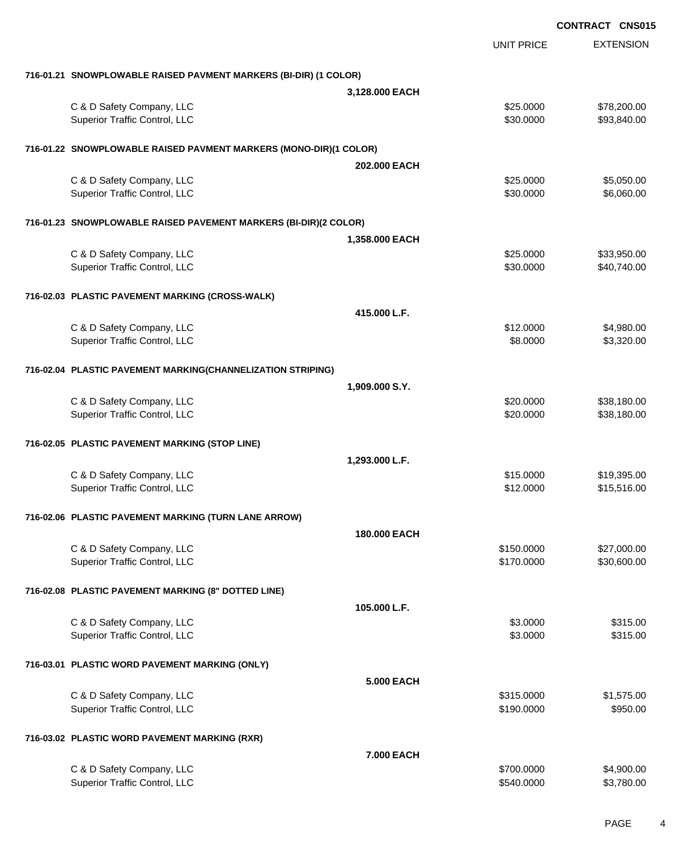|                                                                   |                   |                        | <b>CONTRACT CNS015</b> |                            |
|-------------------------------------------------------------------|-------------------|------------------------|------------------------|----------------------------|
|                                                                   |                   | <b>UNIT PRICE</b>      |                        | <b>EXTENSION</b>           |
| 716-01.21 SNOWPLOWABLE RAISED PAVMENT MARKERS (BI-DIR) (1 COLOR)  |                   |                        |                        |                            |
|                                                                   | 3,128.000 EACH    |                        |                        |                            |
| C & D Safety Company, LLC<br>Superior Traffic Control, LLC        |                   | \$25.0000<br>\$30.0000 |                        | \$78,200.00<br>\$93,840.00 |
| 716-01.22 SNOWPLOWABLE RAISED PAVMENT MARKERS (MONO-DIR)(1 COLOR) |                   |                        |                        |                            |
|                                                                   | 202.000 EACH      |                        |                        |                            |
| C & D Safety Company, LLC                                         |                   | \$25.0000              |                        | \$5,050.00                 |
| Superior Traffic Control, LLC                                     |                   | \$30.0000              |                        | \$6,060.00                 |
| 716-01.23 SNOWPLOWABLE RAISED PAVEMENT MARKERS (BI-DIR)(2 COLOR)  |                   |                        |                        |                            |
|                                                                   | 1,358.000 EACH    |                        |                        |                            |
| C & D Safety Company, LLC                                         |                   | \$25.0000              |                        | \$33,950.00                |
| Superior Traffic Control, LLC                                     |                   | \$30.0000              |                        | \$40,740.00                |
| 716-02.03 PLASTIC PAVEMENT MARKING (CROSS-WALK)                   |                   |                        |                        |                            |
|                                                                   | 415.000 L.F.      |                        |                        |                            |
| C & D Safety Company, LLC<br>Superior Traffic Control, LLC        |                   | \$12.0000<br>\$8.0000  |                        | \$4,980.00<br>\$3,320.00   |
|                                                                   |                   |                        |                        |                            |
| 716-02.04 PLASTIC PAVEMENT MARKING(CHANNELIZATION STRIPING)       |                   |                        |                        |                            |
|                                                                   | 1,909.000 S.Y.    |                        |                        |                            |
| C & D Safety Company, LLC<br>Superior Traffic Control, LLC        |                   | \$20.0000<br>\$20.0000 |                        | \$38,180.00<br>\$38,180.00 |
| 716-02.05 PLASTIC PAVEMENT MARKING (STOP LINE)                    |                   |                        |                        |                            |
|                                                                   | 1,293.000 L.F.    |                        |                        |                            |
| C & D Safety Company, LLC                                         |                   | \$15.0000              |                        | \$19,395.00                |
| Superior Traffic Control, LLC                                     |                   | \$12.0000              |                        | \$15,516.00                |
|                                                                   |                   |                        |                        |                            |
| 716-02.06 PLASTIC PAVEMENT MARKING (TURN LANE ARROW)              | 180.000 EACH      |                        |                        |                            |
| C & D Safety Company, LLC                                         |                   | \$150.0000             |                        | \$27,000.00                |
| Superior Traffic Control, LLC                                     |                   | \$170.0000             |                        | \$30,600.00                |
| 716-02.08 PLASTIC PAVEMENT MARKING (8" DOTTED LINE)               |                   |                        |                        |                            |
|                                                                   | 105.000 L.F.      |                        |                        |                            |
| C & D Safety Company, LLC                                         |                   | \$3.0000               |                        | \$315.00                   |
| Superior Traffic Control, LLC                                     |                   | \$3.0000               |                        | \$315.00                   |
| 716-03.01 PLASTIC WORD PAVEMENT MARKING (ONLY)                    |                   |                        |                        |                            |
|                                                                   | <b>5.000 EACH</b> |                        |                        |                            |
| C & D Safety Company, LLC                                         |                   | \$315.0000             |                        | \$1,575.00                 |
| Superior Traffic Control, LLC                                     |                   | \$190.0000             |                        | \$950.00                   |
| 716-03.02 PLASTIC WORD PAVEMENT MARKING (RXR)                     |                   |                        |                        |                            |
|                                                                   | 7.000 EACH        |                        |                        |                            |
| C & D Safety Company, LLC                                         |                   | \$700.0000             |                        | \$4,900.00                 |
| Superior Traffic Control, LLC                                     |                   | \$540.0000             |                        | \$3,780.00                 |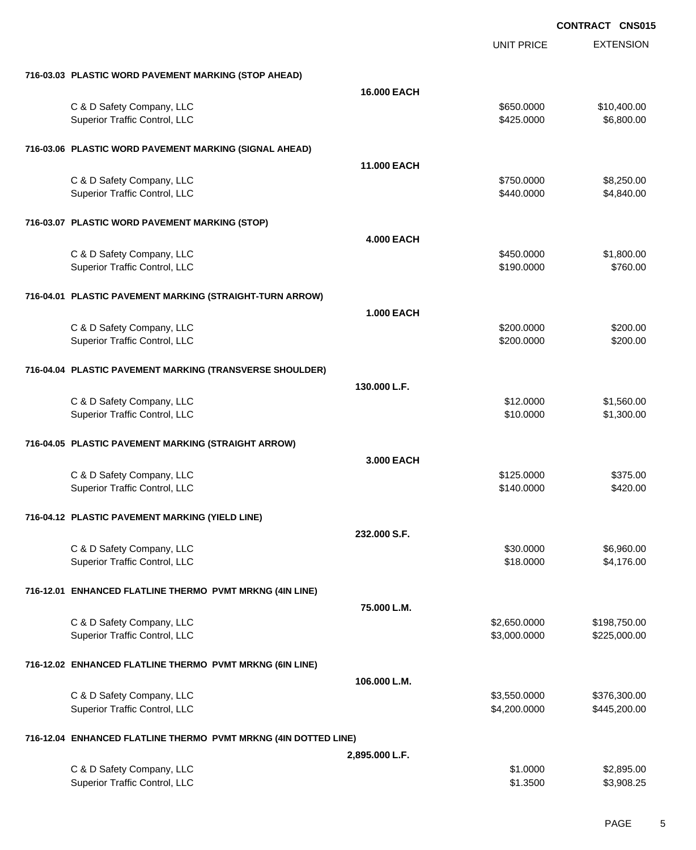|                                                                 |                    | UNIT PRICE   | <b>EXTENSION</b> |
|-----------------------------------------------------------------|--------------------|--------------|------------------|
| 716-03.03 PLASTIC WORD PAVEMENT MARKING (STOP AHEAD)            |                    |              |                  |
|                                                                 | <b>16.000 EACH</b> |              |                  |
| C & D Safety Company, LLC                                       |                    | \$650.0000   | \$10,400.00      |
| Superior Traffic Control, LLC                                   |                    | \$425.0000   | \$6,800.00       |
| 716-03.06 PLASTIC WORD PAVEMENT MARKING (SIGNAL AHEAD)          |                    |              |                  |
|                                                                 | <b>11.000 EACH</b> |              |                  |
| C & D Safety Company, LLC                                       |                    | \$750.0000   | \$8,250.00       |
| Superior Traffic Control, LLC                                   |                    | \$440.0000   | \$4,840.00       |
| 716-03.07 PLASTIC WORD PAVEMENT MARKING (STOP)                  |                    |              |                  |
|                                                                 | <b>4.000 EACH</b>  |              |                  |
| C & D Safety Company, LLC                                       |                    | \$450.0000   | \$1,800.00       |
| Superior Traffic Control, LLC                                   |                    | \$190.0000   | \$760.00         |
| 716-04.01 PLASTIC PAVEMENT MARKING (STRAIGHT-TURN ARROW)        |                    |              |                  |
|                                                                 | <b>1.000 EACH</b>  |              |                  |
| C & D Safety Company, LLC                                       |                    | \$200.0000   | \$200.00         |
| Superior Traffic Control, LLC                                   |                    | \$200.0000   | \$200.00         |
| 716-04.04 PLASTIC PAVEMENT MARKING (TRANSVERSE SHOULDER)        |                    |              |                  |
|                                                                 | 130,000 L.F.       |              |                  |
| C & D Safety Company, LLC                                       |                    | \$12,0000    | \$1,560.00       |
| Superior Traffic Control, LLC                                   |                    | \$10.0000    | \$1,300.00       |
| 716-04.05 PLASTIC PAVEMENT MARKING (STRAIGHT ARROW)             |                    |              |                  |
|                                                                 | 3,000 EACH         |              |                  |
| C & D Safety Company, LLC                                       |                    | \$125.0000   | \$375.00         |
| Superior Traffic Control, LLC                                   |                    | \$140.0000   | \$420.00         |
|                                                                 |                    |              |                  |
| 716-04.12 PLASTIC PAVEMENT MARKING (YIELD LINE)                 |                    |              |                  |
|                                                                 | 232.000 S.F.       |              |                  |
| C & D Safety Company, LLC                                       |                    | \$30.0000    | \$6,960.00       |
| Superior Traffic Control, LLC                                   |                    | \$18.0000    | \$4,176.00       |
| 716-12.01 ENHANCED FLATLINE THERMO PVMT MRKNG (4IN LINE)        |                    |              |                  |
|                                                                 | 75.000 L.M.        |              |                  |
| C & D Safety Company, LLC                                       |                    | \$2,650.0000 | \$198,750.00     |
| Superior Traffic Control, LLC                                   |                    | \$3,000.0000 | \$225,000.00     |
| 716-12.02 ENHANCED FLATLINE THERMO PVMT MRKNG (6IN LINE)        |                    |              |                  |
|                                                                 | 106.000 L.M.       |              |                  |
| C & D Safety Company, LLC                                       |                    | \$3,550.0000 | \$376,300.00     |
| Superior Traffic Control, LLC                                   |                    | \$4,200.0000 | \$445,200.00     |
| 716-12.04 ENHANCED FLATLINE THERMO PVMT MRKNG (4IN DOTTED LINE) |                    |              |                  |
|                                                                 | 2,895.000 L.F.     |              |                  |
| C & D Safety Company, LLC                                       |                    | \$1.0000     | \$2,895.00       |
| Superior Traffic Control, LLC                                   |                    | \$1.3500     | \$3,908.25       |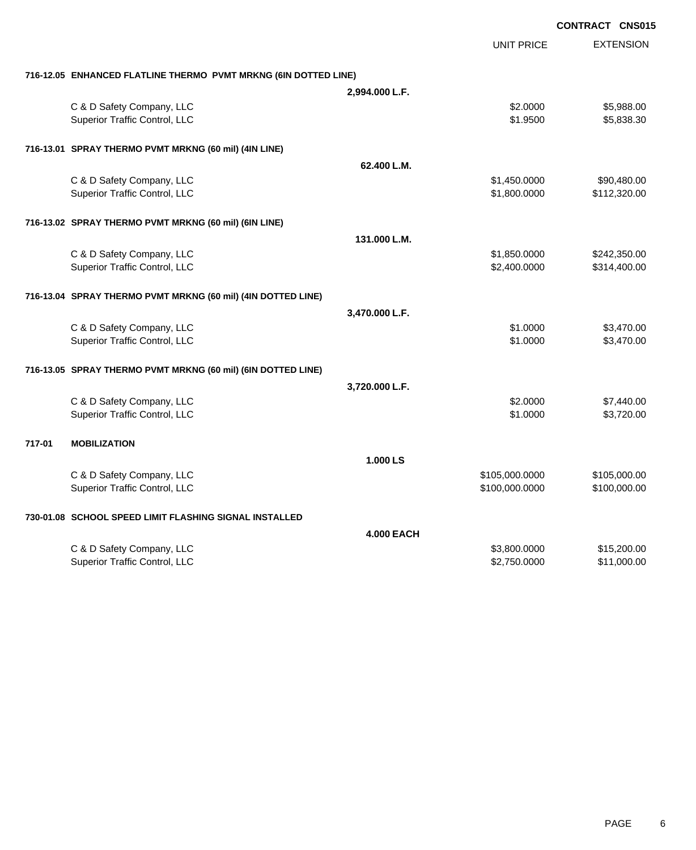|        |                                                                 |                   |                   | <b>CONTRACT CNS015</b> |
|--------|-----------------------------------------------------------------|-------------------|-------------------|------------------------|
|        |                                                                 |                   | <b>UNIT PRICE</b> | <b>EXTENSION</b>       |
|        | 716-12.05 ENHANCED FLATLINE THERMO PVMT MRKNG (6IN DOTTED LINE) |                   |                   |                        |
|        |                                                                 | 2,994.000 L.F.    |                   |                        |
|        | C & D Safety Company, LLC                                       |                   | \$2.0000          | \$5,988.00             |
|        | Superior Traffic Control, LLC                                   |                   | \$1.9500          | \$5,838.30             |
|        | 716-13.01 SPRAY THERMO PVMT MRKNG (60 mil) (4IN LINE)           |                   |                   |                        |
|        |                                                                 | 62.400 L.M.       |                   |                        |
|        | C & D Safety Company, LLC                                       |                   | \$1,450.0000      | \$90,480.00            |
|        | Superior Traffic Control, LLC                                   |                   | \$1,800.0000      | \$112,320.00           |
|        | 716-13.02 SPRAY THERMO PVMT MRKNG (60 mil) (6IN LINE)           |                   |                   |                        |
|        |                                                                 | 131.000 L.M.      |                   |                        |
|        | C & D Safety Company, LLC                                       |                   | \$1,850.0000      | \$242,350.00           |
|        | Superior Traffic Control, LLC                                   |                   | \$2,400.0000      | \$314,400.00           |
|        | 716-13.04 SPRAY THERMO PVMT MRKNG (60 mil) (4IN DOTTED LINE)    |                   |                   |                        |
|        |                                                                 | 3,470.000 L.F.    |                   |                        |
|        | C & D Safety Company, LLC                                       |                   | \$1,0000          | \$3,470.00             |
|        | Superior Traffic Control, LLC                                   |                   | \$1.0000          | \$3,470.00             |
|        | 716-13.05 SPRAY THERMO PVMT MRKNG (60 mil) (6IN DOTTED LINE)    |                   |                   |                        |
|        |                                                                 | 3,720.000 L.F.    |                   |                        |
|        | C & D Safety Company, LLC                                       |                   | \$2.0000          | \$7,440.00             |
|        | Superior Traffic Control, LLC                                   |                   | \$1.0000          | \$3,720.00             |
| 717-01 | <b>MOBILIZATION</b>                                             |                   |                   |                        |
|        |                                                                 | 1.000 LS          |                   |                        |
|        | C & D Safety Company, LLC                                       |                   | \$105,000.0000    | \$105,000.00           |
|        | Superior Traffic Control, LLC                                   |                   | \$100,000.0000    | \$100,000.00           |
|        | 730-01.08 SCHOOL SPEED LIMIT FLASHING SIGNAL INSTALLED          |                   |                   |                        |
|        |                                                                 | <b>4.000 EACH</b> |                   |                        |
|        | C & D Safety Company, LLC                                       |                   | \$3,800.0000      | \$15,200.00            |
|        | Superior Traffic Control, LLC                                   |                   | \$2,750.0000      | \$11,000.00            |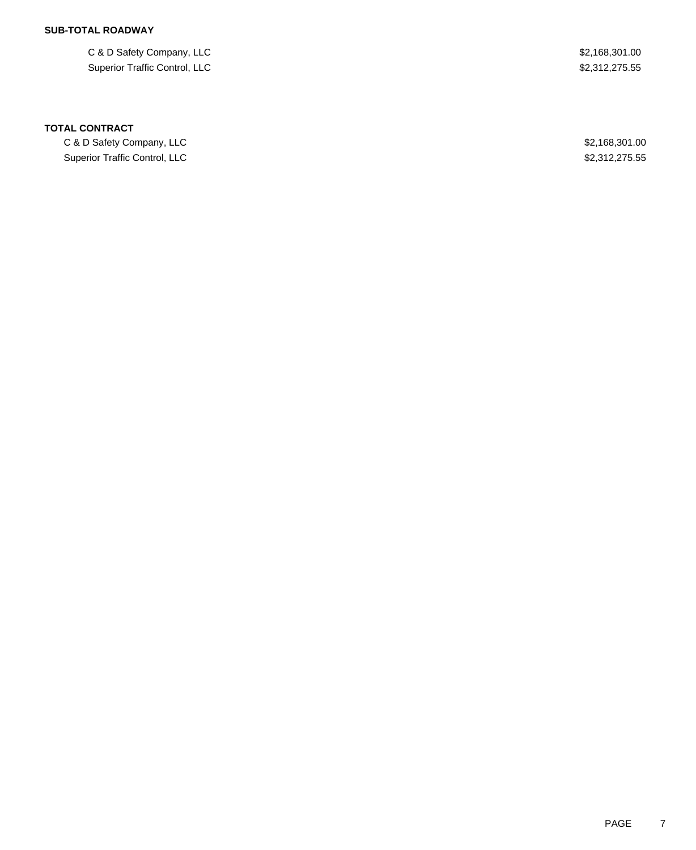# **SUB-TOTAL ROADWAY**

C & D Safety Company, LLC \$2,168,301.00 Superior Traffic Control, LLC \$2,312,275.55

### **TOTAL CONTRACT**

C & D Safety Company, LLC 6. 2011 2012 12:30 12:30 12:30 12:30 12:30 12:30 12:30 12:30 12:30 12:30 12:30 12:30 Superior Traffic Control, LLC 600 and the Control, CLC 600 and the Control of the S2,312,275.55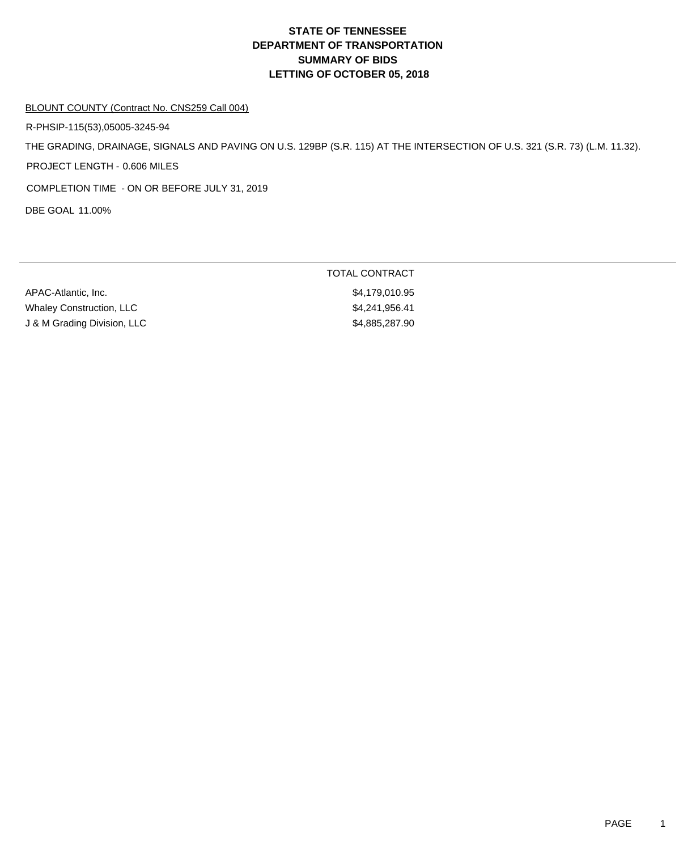# **DEPARTMENT OF TRANSPORTATION SUMMARY OF BIDS LETTING OF OCTOBER 05, 2018 STATE OF TENNESSEE**

#### BLOUNT COUNTY (Contract No. CNS259 Call 004)

R-PHSIP-115(53),05005-3245-94

THE GRADING, DRAINAGE, SIGNALS AND PAVING ON U.S. 129BP (S.R. 115) AT THE INTERSECTION OF U.S. 321 (S.R. 73) (L.M. 11.32).

PROJECT LENGTH - 0.606 MILES

COMPLETION TIME - ON OR BEFORE JULY 31, 2019

DBE GOAL 11.00%

APAC-Atlantic, Inc. 66 and 2012 12:30 and 2013 12:41 12:41 12:42 12:45 Whaley Construction, LLC \$4,241,956.41 J & M Grading Division, LLC \$4,885,287.90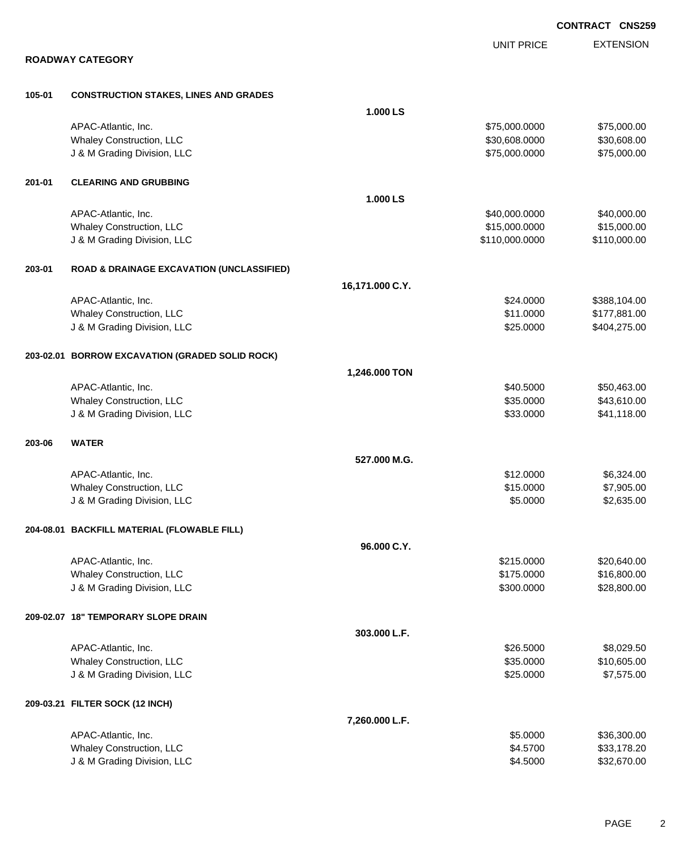|        |                                                      |                 |                   | <b>CONTRACT CNS25</b> |                  |
|--------|------------------------------------------------------|-----------------|-------------------|-----------------------|------------------|
|        |                                                      |                 | <b>UNIT PRICE</b> |                       | <b>EXTENSION</b> |
|        | <b>ROADWAY CATEGORY</b>                              |                 |                   |                       |                  |
| 105-01 | <b>CONSTRUCTION STAKES, LINES AND GRADES</b>         |                 |                   |                       |                  |
|        |                                                      | 1.000 LS        |                   |                       |                  |
|        | APAC-Atlantic, Inc.                                  |                 | \$75,000.0000     |                       | \$75,000.00      |
|        | Whaley Construction, LLC                             |                 | \$30,608.0000     |                       | \$30,608.00      |
|        | J & M Grading Division, LLC                          |                 | \$75,000.0000     |                       | \$75,000.00      |
| 201-01 | <b>CLEARING AND GRUBBING</b>                         |                 |                   |                       |                  |
|        |                                                      | 1.000 LS        |                   |                       |                  |
|        | APAC-Atlantic, Inc.                                  |                 | \$40,000.0000     |                       | \$40,000.00      |
|        | Whaley Construction, LLC                             |                 | \$15,000.0000     |                       | \$15,000.00      |
|        | J & M Grading Division, LLC                          |                 | \$110,000.0000    |                       | \$110,000.00     |
| 203-01 | <b>ROAD &amp; DRAINAGE EXCAVATION (UNCLASSIFIED)</b> |                 |                   |                       |                  |
|        |                                                      | 16,171.000 C.Y. |                   |                       |                  |
|        | APAC-Atlantic, Inc.                                  |                 | \$24.0000         |                       | \$388,104.00     |
|        | Whaley Construction, LLC                             |                 | \$11.0000         |                       | \$177,881.00     |
|        | J & M Grading Division, LLC                          |                 | \$25.0000         |                       | \$404,275.00     |
|        | 203-02.01 BORROW EXCAVATION (GRADED SOLID ROCK)      |                 |                   |                       |                  |
|        |                                                      | 1,246.000 TON   |                   |                       |                  |
|        | APAC-Atlantic, Inc.                                  |                 | \$40.5000         |                       | \$50,463.00      |
|        | Whaley Construction, LLC                             |                 | \$35.0000         |                       | \$43,610.00      |
|        | J & M Grading Division, LLC                          |                 | \$33.0000         |                       | \$41,118.00      |
| 203-06 | <b>WATER</b>                                         |                 |                   |                       |                  |
|        |                                                      | 527.000 M.G.    |                   |                       |                  |
|        | APAC-Atlantic, Inc.                                  |                 | \$12.0000         |                       | \$6,324.00       |
|        | Whaley Construction, LLC                             |                 | \$15.0000         |                       | \$7,905.00       |
|        | J & M Grading Division, LLC                          |                 | \$5.0000          |                       | \$2,635.00       |
|        | 204-08.01 BACKFILL MATERIAL (FLOWABLE FILL)          |                 |                   |                       |                  |
|        |                                                      | 96.000 C.Y.     |                   |                       |                  |
|        | APAC-Atlantic, Inc.                                  |                 | \$215.0000        |                       | \$20,640.00      |
|        | Whaley Construction, LLC                             |                 | \$175.0000        |                       | \$16,800.00      |
|        | J & M Grading Division, LLC                          |                 | \$300.0000        |                       | \$28,800.00      |
|        | 209-02.07 18" TEMPORARY SLOPE DRAIN                  |                 |                   |                       |                  |
|        |                                                      | 303.000 L.F.    |                   |                       |                  |
|        | APAC-Atlantic, Inc.                                  |                 | \$26.5000         |                       | \$8,029.50       |
|        | Whaley Construction, LLC                             |                 | \$35.0000         |                       | \$10,605.00      |
|        | J & M Grading Division, LLC                          |                 | \$25.0000         |                       | \$7,575.00       |
|        | 209-03.21 FILTER SOCK (12 INCH)                      |                 |                   |                       |                  |
|        |                                                      | 7,260.000 L.F.  |                   |                       |                  |
|        | APAC-Atlantic, Inc.                                  |                 | \$5.0000          |                       | \$36,300.00      |
|        | Whaley Construction, LLC                             |                 | \$4.5700          |                       | \$33,178.20      |
|        | J & M Grading Division, LLC                          |                 | \$4.5000          |                       | \$32,670.00      |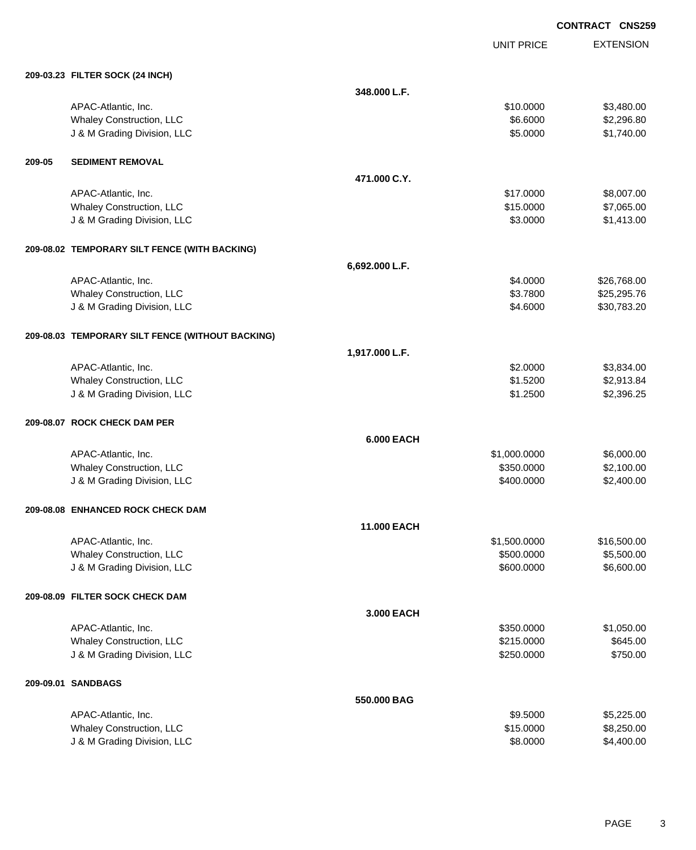UNIT PRICE EXTENSION

|        | 209-03.23 FILTER SOCK (24 INCH)                  |                   |              |             |
|--------|--------------------------------------------------|-------------------|--------------|-------------|
|        |                                                  | 348.000 L.F.      |              |             |
|        | APAC-Atlantic, Inc.                              |                   | \$10.0000    | \$3,480.00  |
|        | Whaley Construction, LLC                         |                   | \$6.6000     | \$2,296.80  |
|        | J & M Grading Division, LLC                      |                   | \$5.0000     | \$1,740.00  |
| 209-05 | <b>SEDIMENT REMOVAL</b>                          |                   |              |             |
|        |                                                  | 471.000 C.Y.      |              |             |
|        | APAC-Atlantic, Inc.                              |                   | \$17.0000    | \$8,007.00  |
|        | Whaley Construction, LLC                         |                   | \$15.0000    | \$7,065.00  |
|        | J & M Grading Division, LLC                      |                   | \$3.0000     | \$1,413.00  |
|        | 209-08.02 TEMPORARY SILT FENCE (WITH BACKING)    |                   |              |             |
|        |                                                  | 6,692.000 L.F.    |              |             |
|        | APAC-Atlantic, Inc.                              |                   | \$4.0000     | \$26,768.00 |
|        | Whaley Construction, LLC                         |                   | \$3.7800     | \$25,295.76 |
|        | J & M Grading Division, LLC                      |                   | \$4.6000     | \$30,783.20 |
|        | 209-08.03 TEMPORARY SILT FENCE (WITHOUT BACKING) |                   |              |             |
|        |                                                  | 1,917.000 L.F.    |              |             |
|        | APAC-Atlantic, Inc.                              |                   | \$2.0000     | \$3,834.00  |
|        | Whaley Construction, LLC                         |                   | \$1.5200     | \$2,913.84  |
|        | J & M Grading Division, LLC                      |                   | \$1.2500     | \$2,396.25  |
|        | 209-08.07 ROCK CHECK DAM PER                     |                   |              |             |
|        |                                                  | <b>6.000 EACH</b> |              |             |
|        | APAC-Atlantic, Inc.                              |                   | \$1,000.0000 | \$6,000.00  |
|        | Whaley Construction, LLC                         |                   | \$350.0000   | \$2,100.00  |
|        | J & M Grading Division, LLC                      |                   | \$400.0000   | \$2,400.00  |
|        | 209-08.08 ENHANCED ROCK CHECK DAM                |                   |              |             |
|        |                                                  | 11.000 EACH       |              |             |
|        | APAC-Atlantic, Inc.                              |                   | \$1,500.0000 | \$16,500.00 |
|        | Whaley Construction, LLC                         |                   | \$500.0000   | \$5,500.00  |
|        | J & M Grading Division, LLC                      |                   | \$600.0000   | \$6,600.00  |
|        | 209-08.09 FILTER SOCK CHECK DAM                  |                   |              |             |
|        |                                                  | 3.000 EACH        |              |             |
|        | APAC-Atlantic, Inc.                              |                   | \$350.0000   | \$1,050.00  |
|        | Whaley Construction, LLC                         |                   | \$215.0000   | \$645.00    |
|        | J & M Grading Division, LLC                      |                   | \$250.0000   | \$750.00    |
|        | 209-09.01 SANDBAGS                               |                   |              |             |
|        |                                                  | 550.000 BAG       |              |             |
|        | APAC-Atlantic, Inc.                              |                   | \$9.5000     | \$5,225.00  |
|        | Whaley Construction, LLC                         |                   | \$15.0000    | \$8,250.00  |
|        | J & M Grading Division, LLC                      |                   | \$8.0000     | \$4,400.00  |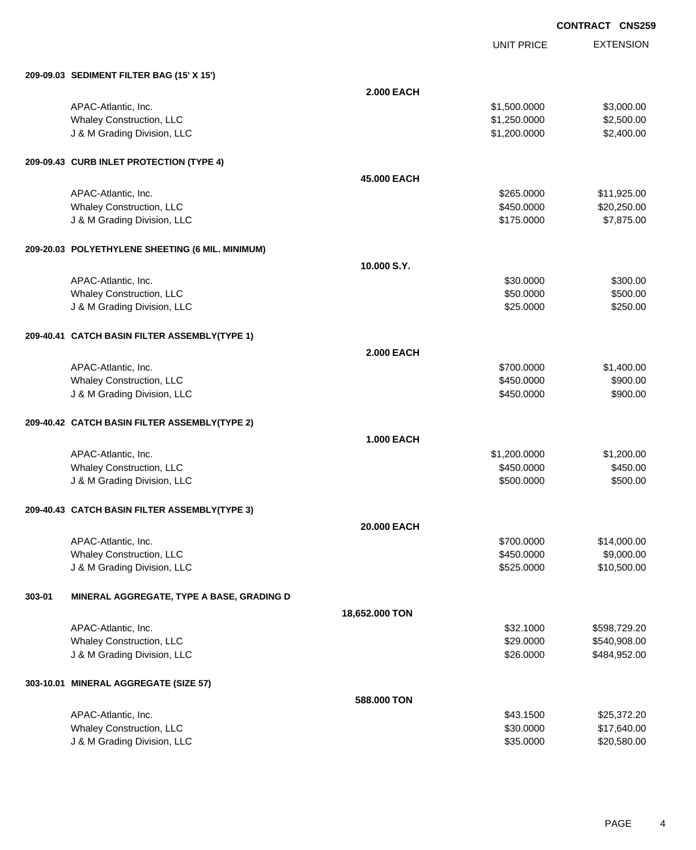UNIT PRICE EXTENSION

|        | 209-09.03 SEDIMENT FILTER BAG (15' X 15')        |                   |                        |              |
|--------|--------------------------------------------------|-------------------|------------------------|--------------|
|        |                                                  | <b>2.000 EACH</b> |                        |              |
|        | APAC-Atlantic, Inc.                              |                   | \$1,500.0000           | \$3,000.00   |
|        | Whaley Construction, LLC                         |                   | \$1,250.0000           | \$2,500.00   |
|        | J & M Grading Division, LLC                      |                   | \$1,200.0000           | \$2,400.00   |
|        | 209-09.43 CURB INLET PROTECTION (TYPE 4)         |                   |                        |              |
|        |                                                  | 45.000 EACH       |                        |              |
|        | APAC-Atlantic, Inc.                              |                   | \$265.0000             | \$11,925.00  |
|        | <b>Whaley Construction, LLC</b>                  |                   | \$450.0000             | \$20,250.00  |
|        | J & M Grading Division, LLC                      |                   | \$175.0000             | \$7,875.00   |
|        | 209-20.03 POLYETHYLENE SHEETING (6 MIL. MINIMUM) |                   |                        |              |
|        |                                                  | 10.000 S.Y.       |                        |              |
|        |                                                  |                   |                        |              |
|        | APAC-Atlantic, Inc.                              |                   | \$30.0000<br>\$50.0000 | \$300.00     |
|        | Whaley Construction, LLC                         |                   |                        | \$500.00     |
|        | J & M Grading Division, LLC                      |                   | \$25.0000              | \$250.00     |
|        | 209-40.41 CATCH BASIN FILTER ASSEMBLY(TYPE 1)    |                   |                        |              |
|        |                                                  | <b>2.000 EACH</b> |                        |              |
|        | APAC-Atlantic, Inc.                              |                   | \$700.0000             | \$1,400.00   |
|        | Whaley Construction, LLC                         |                   | \$450.0000             | \$900.00     |
|        | J & M Grading Division, LLC                      |                   | \$450.0000             | \$900.00     |
|        | 209-40.42 CATCH BASIN FILTER ASSEMBLY(TYPE 2)    |                   |                        |              |
|        |                                                  | <b>1.000 EACH</b> |                        |              |
|        | APAC-Atlantic, Inc.                              |                   | \$1,200.0000           | \$1,200.00   |
|        | Whaley Construction, LLC                         |                   | \$450.0000             | \$450.00     |
|        | J & M Grading Division, LLC                      |                   | \$500.0000             | \$500.00     |
|        | 209-40.43 CATCH BASIN FILTER ASSEMBLY(TYPE 3)    |                   |                        |              |
|        |                                                  | 20.000 EACH       |                        |              |
|        | APAC-Atlantic, Inc.                              |                   | \$700,0000             | \$14,000.00  |
|        | Whaley Construction, LLC                         |                   | \$450.0000             | \$9,000.00   |
|        | J & M Grading Division, LLC                      |                   | \$525.0000             | \$10,500.00  |
| 303-01 | MINERAL AGGREGATE, TYPE A BASE, GRADING D        |                   |                        |              |
|        |                                                  | 18,652.000 TON    |                        |              |
|        | APAC-Atlantic, Inc.                              |                   | \$32.1000              | \$598,729.20 |
|        | Whaley Construction, LLC                         |                   | \$29.0000              | \$540,908.00 |
|        | J & M Grading Division, LLC                      |                   | \$26.0000              | \$484,952.00 |
|        | 303-10.01 MINERAL AGGREGATE (SIZE 57)            |                   |                        |              |
|        |                                                  | 588.000 TON       |                        |              |
|        | APAC-Atlantic, Inc.                              |                   | \$43.1500              | \$25,372.20  |
|        | Whaley Construction, LLC                         |                   | \$30.0000              | \$17,640.00  |
|        | J & M Grading Division, LLC                      |                   | \$35.0000              | \$20,580.00  |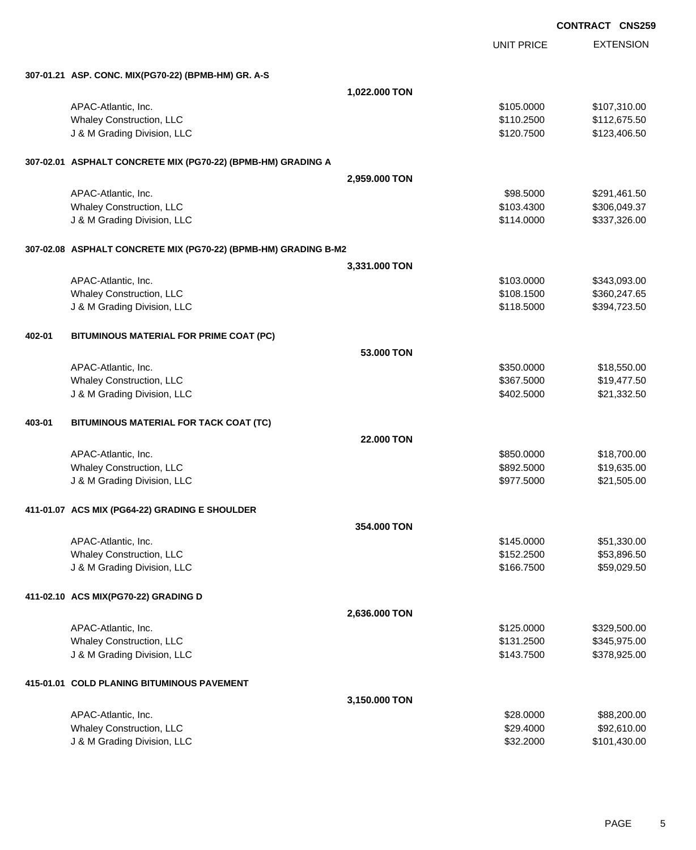EXTENSION **CONTRACT CNS259** UNIT PRICE **307-01.21 ASP. CONC. MIX(PG70-22) (BPMB-HM) GR. A-S 1,022.000 TON** APAC-Atlantic, Inc. 6. 2007.310.00 \$107,310.00 \$107,310.00 Whaley Construction, LLC **but a struction of the struction** of the structure of the structure  $$110.2500$  \$112,675.50 J & M Grading Division, LLC \$120.7500 \$123,406.50 **307-02.01 ASPHALT CONCRETE MIX (PG70-22) (BPMB-HM) GRADING A 2,959.000 TON** APAC-Atlantic, Inc. \$98.5000 \$291,461.50 Whaley Construction, LLC 6306,049.37 J & M Grading Division, LLC \$114.0000 \$337,326.00 **307-02.08 ASPHALT CONCRETE MIX (PG70-22) (BPMB-HM) GRADING B-M2 3,331.000 TON** APAC-Atlantic, Inc. \$103.000 \$343,093.00 Whaley Construction, LLC 6360,247.65 J & M Grading Division, LLC \$118.5000 \$394,723.50 **402-01 BITUMINOUS MATERIAL FOR PRIME COAT (PC) 53.000 TON** APAC-Atlantic, Inc. \$18,550.000 \$18,550.000 \$18,550.000 \$18,550.000 \$18,550.000 \$18,550.00 \$18,550.00 \$18,550 Whaley Construction, LLC **\$367.5000** \$19,477.50 J & M Grading Division, LLC \$402.5000 \$21,332.50 **403-01 BITUMINOUS MATERIAL FOR TACK COAT (TC) 22.000 TON** APAC-Atlantic, Inc. \$850.0000 \$18,700.00 Whaley Construction, LLC **\$892.5000** \$19,635.00 J & M Grading Division, LLC \$977.5000 \$21,505.00 **411-01.07 ACS MIX (PG64-22) GRADING E SHOULDER 354.000 TON** APAC-Atlantic, Inc. \$145.0000 \$51,330.00 Whaley Construction, LLC 653,896.50 J & M Grading Division, LLC \$166.7500 \$59,029.50 **411-02.10 ACS MIX(PG70-22) GRADING D 2,636.000 TON** APAC-Atlantic, Inc. \$329,500.00 \$329,500.00 \$329,500.00 \$329,500.00 Whaley Construction, LLC 6345,975.00 \$345,975.00 \$131.2500 \$345,975.00 J & M Grading Division, LLC \$143.7500 \$378,925.00 **415-01.01 COLD PLANING BITUMINOUS PAVEMENT 3,150.000 TON** APAC-Atlantic, Inc. \$28.0000 \$88,200.00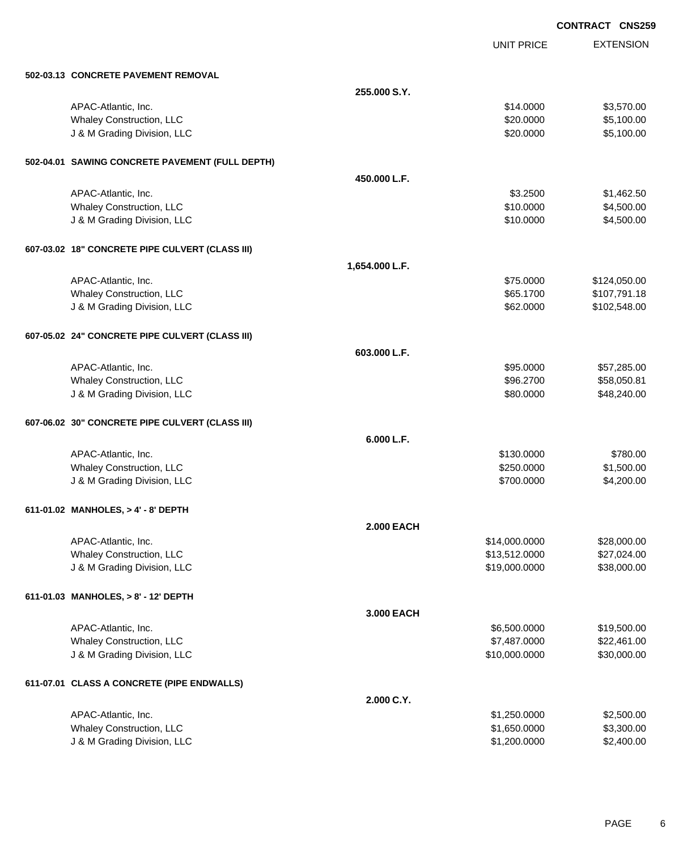UNIT PRICE

EXTENSION

| 502-03.13 CONCRETE PAVEMENT REMOVAL             |                   |               |              |
|-------------------------------------------------|-------------------|---------------|--------------|
|                                                 | 255.000 S.Y.      |               |              |
| APAC-Atlantic, Inc.                             |                   | \$14.0000     | \$3,570.00   |
| Whaley Construction, LLC                        |                   | \$20.0000     | \$5,100.00   |
| J & M Grading Division, LLC                     |                   | \$20.0000     | \$5,100.00   |
|                                                 |                   |               |              |
| 502-04.01 SAWING CONCRETE PAVEMENT (FULL DEPTH) |                   |               |              |
|                                                 | 450,000 L.F.      |               |              |
| APAC-Atlantic, Inc.                             |                   | \$3.2500      | \$1,462.50   |
| Whaley Construction, LLC                        |                   | \$10.0000     | \$4,500.00   |
| J & M Grading Division, LLC                     |                   | \$10.0000     | \$4,500.00   |
| 607-03.02 18" CONCRETE PIPE CULVERT (CLASS III) |                   |               |              |
|                                                 | 1,654.000 L.F.    |               |              |
| APAC-Atlantic, Inc.                             |                   | \$75.0000     | \$124,050.00 |
| Whaley Construction, LLC                        |                   | \$65.1700     | \$107,791.18 |
| J & M Grading Division, LLC                     |                   | \$62.0000     | \$102,548.00 |
|                                                 |                   |               |              |
| 607-05.02 24" CONCRETE PIPE CULVERT (CLASS III) |                   |               |              |
|                                                 | 603.000 L.F.      |               |              |
| APAC-Atlantic, Inc.                             |                   | \$95.0000     | \$57,285.00  |
| Whaley Construction, LLC                        |                   | \$96.2700     | \$58,050.81  |
| J & M Grading Division, LLC                     |                   | \$80.0000     | \$48,240.00  |
| 607-06.02 30" CONCRETE PIPE CULVERT (CLASS III) |                   |               |              |
|                                                 | 6.000 L.F.        |               |              |
| APAC-Atlantic, Inc.                             |                   | \$130.0000    | \$780.00     |
| Whaley Construction, LLC                        |                   | \$250.0000    | \$1,500.00   |
| J & M Grading Division, LLC                     |                   | \$700.0000    | \$4,200.00   |
|                                                 |                   |               |              |
| 611-01.02 MANHOLES, > 4' - 8' DEPTH             |                   |               |              |
|                                                 | <b>2.000 EACH</b> |               |              |
| APAC-Atlantic, Inc.                             |                   | \$14,000.0000 | \$28,000.00  |
| Whaley Construction, LLC                        |                   | \$13,512.0000 | \$27,024.00  |
| J & M Grading Division, LLC                     |                   | \$19,000.0000 | \$38,000.00  |
| 611-01.03 MANHOLES, > 8' - 12' DEPTH            |                   |               |              |
|                                                 | 3.000 EACH        |               |              |
| APAC-Atlantic, Inc.                             |                   | \$6,500.0000  | \$19,500.00  |
| Whaley Construction, LLC                        |                   | \$7,487.0000  | \$22,461.00  |
| J & M Grading Division, LLC                     |                   | \$10,000.0000 | \$30,000.00  |
| 611-07.01 CLASS A CONCRETE (PIPE ENDWALLS)      |                   |               |              |
|                                                 | 2.000 C.Y.        |               |              |
| APAC-Atlantic, Inc.                             |                   | \$1,250.0000  | \$2,500.00   |
| <b>Whaley Construction, LLC</b>                 |                   | \$1,650.0000  | \$3,300.00   |
| J & M Grading Division, LLC                     |                   | \$1,200.0000  | \$2,400.00   |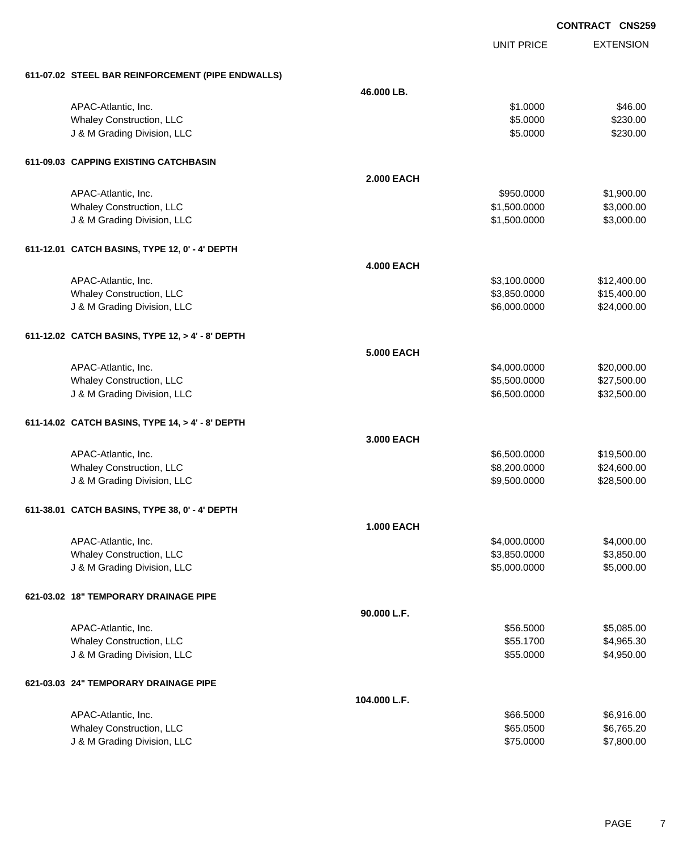|                                                   |                   |                   | <b>CONTRACT CNS259</b> |
|---------------------------------------------------|-------------------|-------------------|------------------------|
|                                                   |                   | <b>UNIT PRICE</b> | <b>EXTENSION</b>       |
| 611-07.02 STEEL BAR REINFORCEMENT (PIPE ENDWALLS) |                   |                   |                        |
|                                                   | 46.000 LB.        |                   |                        |
| APAC-Atlantic, Inc.                               |                   | \$1.0000          | \$46.00                |
| Whaley Construction, LLC                          |                   | \$5.0000          | \$230.00               |
| J & M Grading Division, LLC                       |                   | \$5.0000          | \$230.00               |
| 611-09.03 CAPPING EXISTING CATCHBASIN             |                   |                   |                        |
|                                                   | <b>2.000 EACH</b> |                   |                        |
| APAC-Atlantic, Inc.                               |                   | \$950.0000        | \$1,900.00             |
| Whaley Construction, LLC                          |                   | \$1,500.0000      | \$3,000.00             |
| J & M Grading Division, LLC                       |                   | \$1,500.0000      | \$3,000.00             |
| 611-12.01 CATCH BASINS, TYPE 12, 0' - 4' DEPTH    |                   |                   |                        |
|                                                   | <b>4.000 EACH</b> |                   |                        |
| APAC-Atlantic, Inc.                               |                   | \$3,100.0000      | \$12,400.00            |
| Whaley Construction, LLC                          |                   | \$3,850.0000      | \$15,400.00            |
| J & M Grading Division, LLC                       |                   | \$6,000.0000      | \$24,000.00            |
| 611-12.02 CATCH BASINS, TYPE 12, > 4' - 8' DEPTH  |                   |                   |                        |
|                                                   | <b>5.000 EACH</b> |                   |                        |
| APAC-Atlantic, Inc.                               |                   | \$4,000.0000      | \$20,000.00            |
| Whaley Construction, LLC                          |                   | \$5,500.0000      | \$27,500.00            |
| J & M Grading Division, LLC                       |                   | \$6,500.0000      | \$32,500.00            |
| 611-14.02 CATCH BASINS, TYPE 14, > 4' - 8' DEPTH  |                   |                   |                        |
|                                                   | 3.000 EACH        |                   |                        |
| APAC-Atlantic, Inc.                               |                   | \$6,500.0000      | \$19,500.00            |
| Whaley Construction, LLC                          |                   | \$8,200.0000      | \$24,600.00            |
| J & M Grading Division, LLC                       |                   | \$9,500.0000      | \$28,500.00            |
| 611-38.01 CATCH BASINS, TYPE 38, 0' - 4' DEPTH    |                   |                   |                        |
|                                                   | <b>1.000 EACH</b> |                   |                        |
| APAC-Atlantic, Inc.                               |                   | \$4,000.0000      | \$4,000.00             |
| Whaley Construction, LLC                          |                   | \$3,850.0000      | \$3,850.00             |
| J & M Grading Division, LLC                       |                   | \$5,000.0000      | \$5,000.00             |
| 621-03.02 18" TEMPORARY DRAINAGE PIPE             |                   |                   |                        |
|                                                   | 90.000 L.F.       |                   |                        |
| APAC-Atlantic, Inc.                               |                   | \$56.5000         | \$5,085.00             |
| Whaley Construction, LLC                          |                   | \$55.1700         | \$4,965.30             |
| J & M Grading Division, LLC                       |                   | \$55.0000         | \$4,950.00             |
| 621-03.03 24" TEMPORARY DRAINAGE PIPE             |                   |                   |                        |
|                                                   | 104.000 L.F.      |                   |                        |
| APAC-Atlantic, Inc.                               |                   | \$66.5000         | \$6,916.00             |
| Whaley Construction, LLC                          |                   | \$65.0500         | \$6,765.20             |
| J & M Grading Division, LLC                       |                   | \$75.0000         | \$7,800.00             |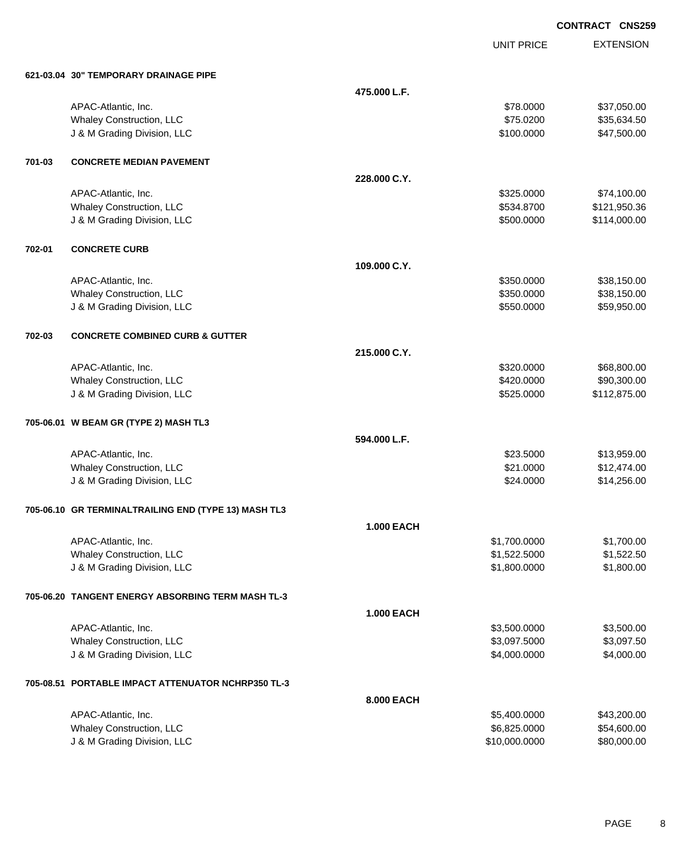UNIT PRICE

EXTENSION

| 621-03.04 30" TEMPORARY DRAINAGE PIPE |
|---------------------------------------|

|        | 621-03.04 30" TEMPORARY DRAINAGE PIPE                |                   |               |              |
|--------|------------------------------------------------------|-------------------|---------------|--------------|
|        |                                                      | 475.000 L.F.      |               |              |
|        | APAC-Atlantic, Inc.                                  |                   | \$78.0000     | \$37,050.00  |
|        | Whaley Construction, LLC                             |                   | \$75.0200     | \$35,634.50  |
|        | J & M Grading Division, LLC                          |                   | \$100.0000    | \$47,500.00  |
| 701-03 | <b>CONCRETE MEDIAN PAVEMENT</b>                      |                   |               |              |
|        |                                                      | 228.000 C.Y.      |               |              |
|        | APAC-Atlantic, Inc.                                  |                   | \$325.0000    | \$74,100.00  |
|        | <b>Whaley Construction, LLC</b>                      |                   | \$534.8700    | \$121,950.36 |
|        | J & M Grading Division, LLC                          |                   | \$500.0000    | \$114,000.00 |
| 702-01 | <b>CONCRETE CURB</b>                                 |                   |               |              |
|        |                                                      | 109,000 C.Y.      |               |              |
|        | APAC-Atlantic, Inc.                                  |                   | \$350.0000    | \$38,150.00  |
|        | Whaley Construction, LLC                             |                   | \$350.0000    | \$38,150.00  |
|        | J & M Grading Division, LLC                          |                   | \$550.0000    | \$59,950.00  |
| 702-03 | <b>CONCRETE COMBINED CURB &amp; GUTTER</b>           |                   |               |              |
|        |                                                      | 215.000 C.Y.      |               |              |
|        | APAC-Atlantic, Inc.                                  |                   | \$320.0000    | \$68,800.00  |
|        | Whaley Construction, LLC                             |                   | \$420.0000    | \$90,300.00  |
|        | J & M Grading Division, LLC                          |                   | \$525.0000    | \$112,875.00 |
|        | 705-06.01 W BEAM GR (TYPE 2) MASH TL3                |                   |               |              |
|        |                                                      | 594.000 L.F.      |               |              |
|        | APAC-Atlantic, Inc.                                  |                   | \$23.5000     | \$13,959.00  |
|        | Whaley Construction, LLC                             |                   | \$21.0000     | \$12,474.00  |
|        | J & M Grading Division, LLC                          |                   | \$24.0000     | \$14,256.00  |
|        | 705-06.10 GR TERMINALTRAILING END (TYPE 13) MASH TL3 |                   |               |              |
|        |                                                      | <b>1.000 EACH</b> |               |              |
|        | APAC-Atlantic, Inc.                                  |                   | \$1,700.0000  | \$1,700.00   |
|        | Whaley Construction, LLC                             |                   | \$1,522.5000  | \$1,522.50   |
|        | J & M Grading Division, LLC                          |                   | \$1,800.0000  | \$1,800.00   |
|        | 705-06.20 TANGENT ENERGY ABSORBING TERM MASH TL-3    |                   |               |              |
|        |                                                      | 1.000 EACH        |               |              |
|        | APAC-Atlantic, Inc.                                  |                   | \$3,500.0000  | \$3,500.00   |
|        | Whaley Construction, LLC                             |                   | \$3,097.5000  | \$3,097.50   |
|        | J & M Grading Division, LLC                          |                   | \$4,000.0000  | \$4,000.00   |
|        | 705-08.51 PORTABLE IMPACT ATTENUATOR NCHRP350 TL-3   |                   |               |              |
|        |                                                      | 8.000 EACH        |               |              |
|        | APAC-Atlantic, Inc.                                  |                   | \$5,400.0000  | \$43,200.00  |
|        | <b>Whaley Construction, LLC</b>                      |                   | \$6,825.0000  | \$54,600.00  |
|        | J & M Grading Division, LLC                          |                   | \$10,000.0000 | \$80,000.00  |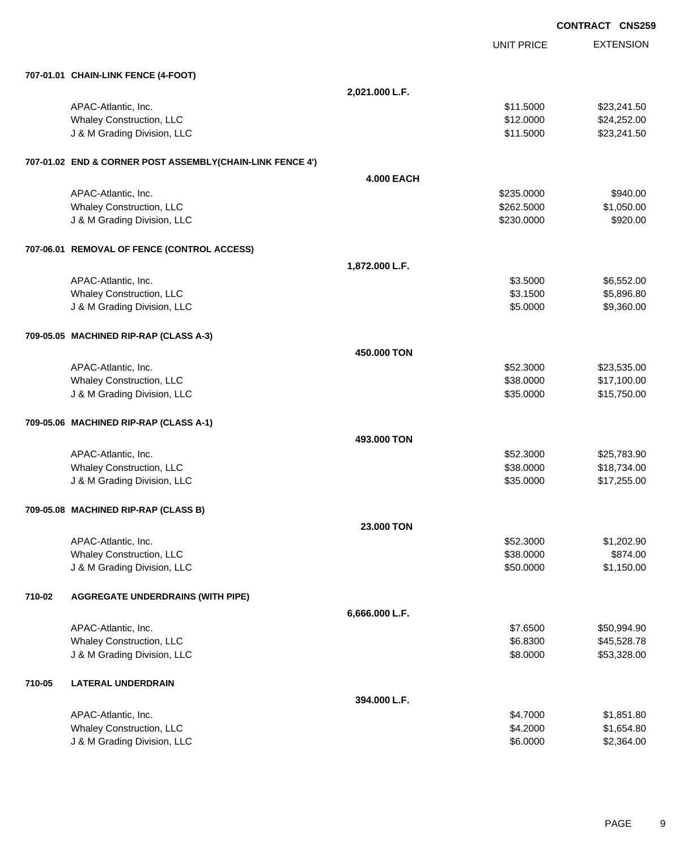**EXTENSION CONTRACT CNS259** UNIT PRICE **707-01.01 CHAIN-LINK FENCE (4-FOOT) 2,021.000 L.F.** APAC-Atlantic, Inc. \$23,241.50  $\text{M}$ Whaley Construction, LLC **\$12.0000 \$24,252.00** J & M Grading Division, LLC \$11.5000 \$23,241.50 **707-01.02 END & CORNER POST ASSEMBLY(CHAIN-LINK FENCE 4') 4.000 EACH** APAC-Atlantic, Inc. \$940.00 \$95.0000 \$940.00 Whaley Construction, LLC 631,050.00 \$1,050.00 \$1,050.00 J & M Grading Division, LLC \$230.0000 \$920.00 **707-06.01 REMOVAL OF FENCE (CONTROL ACCESS) 1,872.000 L.F.** APAC-Atlantic, Inc. \$3.5000 \$6,552.00 Whaley Construction, LLC 66 and the state of the state of the state of the state of the state of the state of the state of the state of the state of the state of the state of the state of the state of the state of the stat J & M Grading Division, LLC 6000 \$9,360.00 **709-05.05 MACHINED RIP-RAP (CLASS A-3) 450.000 TON** APAC-Atlantic, Inc. \$23,535.00 \$23,535.00 Whaley Construction, LLC  $$38.0000$   $$17,100.00$ J & M Grading Division, LLC \$35.0000 \$15,750.00 **709-05.06 MACHINED RIP-RAP (CLASS A-1) 493.000 TON** APAC-Atlantic, Inc. \$52.3000 \$25,783.90 Whaley Construction, LLC **\$38.0000** \$18,734.00 J & M Grading Division, LLC \$35.0000 \$17,255.00 **709-05.08 MACHINED RIP-RAP (CLASS B) 23.000 TON** APAC-Atlantic, Inc. \$52.3000 \$1,202.90 Whaley Construction, LLC 6874.00 J & M Grading Division, LLC **\$50.0000** \$1,150.00 **710-02 AGGREGATE UNDERDRAINS (WITH PIPE) 6,666.000 L.F.** APAC-Atlantic, Inc. \$50,994.90 \$50,994.90 Whaley Construction, LLC 66.8300 \$45,528.78 J & M Grading Division, LLC \$8.0000 \$53,328.00 **710-05 LATERAL UNDERDRAIN 394.000 L.F.**

| APAC-Atlantic, Inc.             | \$4.7000 | \$1,851.80 |
|---------------------------------|----------|------------|
| <b>Whaley Construction, LLC</b> | \$4,2000 | \$1.654.80 |
| J & M Grading Division, LLC     | \$6,0000 | \$2,364.00 |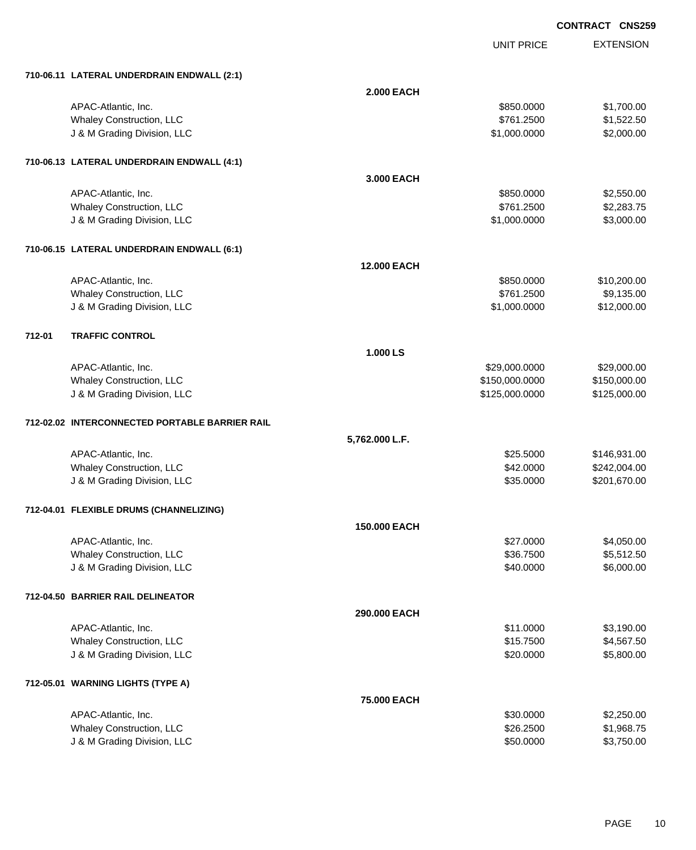UNIT PRICE

EXTENSION

|        | 710-06.11 LATERAL UNDERDRAIN ENDWALL (2:1)     |                    |                |              |
|--------|------------------------------------------------|--------------------|----------------|--------------|
|        |                                                | <b>2.000 EACH</b>  |                |              |
|        | APAC-Atlantic, Inc.                            |                    | \$850.0000     | \$1,700.00   |
|        | Whaley Construction, LLC                       |                    | \$761.2500     | \$1,522.50   |
|        | J & M Grading Division, LLC                    |                    | \$1,000.0000   | \$2,000.00   |
|        |                                                |                    |                |              |
|        | 710-06.13 LATERAL UNDERDRAIN ENDWALL (4:1)     |                    |                |              |
|        |                                                | 3.000 EACH         |                |              |
|        | APAC-Atlantic, Inc.                            |                    | \$850.0000     | \$2,550.00   |
|        | Whaley Construction, LLC                       |                    | \$761.2500     | \$2,283.75   |
|        | J & M Grading Division, LLC                    |                    | \$1,000.0000   | \$3,000.00   |
|        | 710-06.15 LATERAL UNDERDRAIN ENDWALL (6:1)     |                    |                |              |
|        |                                                | <b>12.000 EACH</b> |                |              |
|        | APAC-Atlantic, Inc.                            |                    | \$850.0000     | \$10,200.00  |
|        | Whaley Construction, LLC                       |                    | \$761.2500     | \$9,135.00   |
|        | J & M Grading Division, LLC                    |                    | \$1,000.0000   | \$12,000.00  |
| 712-01 | <b>TRAFFIC CONTROL</b>                         |                    |                |              |
|        |                                                | 1.000 LS           |                |              |
|        | APAC-Atlantic, Inc.                            |                    | \$29,000.0000  | \$29,000.00  |
|        | Whaley Construction, LLC                       |                    | \$150,000.0000 | \$150,000.00 |
|        | J & M Grading Division, LLC                    |                    | \$125,000.0000 | \$125,000.00 |
|        | 712-02.02 INTERCONNECTED PORTABLE BARRIER RAIL |                    |                |              |
|        |                                                | 5,762.000 L.F.     |                |              |
|        | APAC-Atlantic, Inc.                            |                    | \$25.5000      | \$146,931.00 |
|        | Whaley Construction, LLC                       |                    | \$42.0000      | \$242,004.00 |
|        | J & M Grading Division, LLC                    |                    | \$35.0000      | \$201,670.00 |
|        | 712-04.01 FLEXIBLE DRUMS (CHANNELIZING)        |                    |                |              |
|        |                                                | 150.000 EACH       |                |              |
|        | APAC-Atlantic, Inc.                            |                    | \$27.0000      | \$4,050.00   |
|        | Whaley Construction, LLC                       |                    | \$36.7500      | \$5,512.50   |
|        | J & M Grading Division, LLC                    |                    | \$40.0000      | \$6,000.00   |
|        | 712-04.50 BARRIER RAIL DELINEATOR              |                    |                |              |
|        |                                                | 290.000 EACH       |                |              |
|        | APAC-Atlantic, Inc.                            |                    | \$11.0000      | \$3,190.00   |
|        | Whaley Construction, LLC                       |                    | \$15.7500      | \$4,567.50   |
|        | J & M Grading Division, LLC                    |                    | \$20.0000      | \$5,800.00   |
|        | 712-05.01 WARNING LIGHTS (TYPE A)              |                    |                |              |
|        |                                                | 75.000 EACH        |                |              |
|        | APAC-Atlantic, Inc.                            |                    | \$30.0000      | \$2,250.00   |
|        | Whaley Construction, LLC                       |                    | \$26.2500      | \$1,968.75   |
|        | J & M Grading Division, LLC                    |                    | \$50.0000      | \$3,750.00   |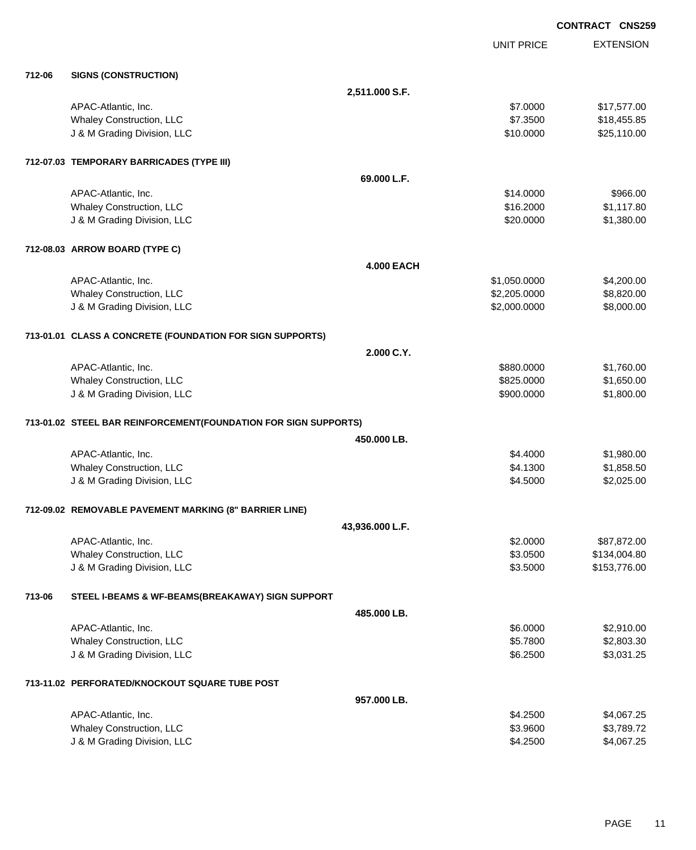**EXTENSION CONTRACT CNS259** UNIT PRICE **712-06 SIGNS (CONSTRUCTION) 2,511.000 S.F.** APAC-Atlantic, Inc. \$17,577.00 \$17,577.00 \$17,577.00 \$17,577.00 Whaley Construction, LLC **\$18,455.85** \$18,455.85 J & M Grading Division, LLC  $$10.0000$   $$25,110.00$ **712-07.03 TEMPORARY BARRICADES (TYPE III) 69.000 L.F.** APAC-Atlantic, Inc. \$14.0000 \$966.00 Whaley Construction, LLC 61,117.80 U & M Grading Division, LLC & Case of the Case of the Case of the Case of the Case of the Case of the Case of the Case of the Case of the Case of the Case of the Case of the Case of the Case of the Case of the Case of the **712-08.03 ARROW BOARD (TYPE C) 4.000 EACH** APAC-Atlantic, Inc. \$1,050.000 \$4,200.00 Whaley Construction, LLC 68,820.00 J & M Grading Division, LLC \$2,000.0000 \$8,000.00 **713-01.01 CLASS A CONCRETE (FOUNDATION FOR SIGN SUPPORTS) 2.000 C.Y.** APAC-Atlantic, Inc. \$880.0000 \$1,760.00 Whaley Construction, LLC 650.000 \$1,650.00 J & M Grading Division, LLC \$900.0000 \$1,800.00 **713-01.02 STEEL BAR REINFORCEMENT(FOUNDATION FOR SIGN SUPPORTS) 450.000 LB.** APAC-Atlantic, Inc. \$1,980.00 \$1,980.00 \$1,980.00 \$1,980.00 \$1,980.00 \$1,980.00 \$1,980.00 \$1,980.00 \$1,980.00 \$1,980.00 \$1,980.00 \$1,980.00 \$1,980.00 \$1,980.00 \$1,980.00 \$1,980.00 \$1,980.00 \$1,980.00 \$1,980.00 \$1,980.00 \$1 Whaley Construction, LLC 68 and the state of the state of the state of the state of the state of the state of the state of the state of the state of the state of the state of the state of the state of the state of the stat J & M Grading Division, LLC **\$4.5000** \$2,025.00 **712-09.02 REMOVABLE PAVEMENT MARKING (8" BARRIER LINE) 43,936.000 L.F.** APAC-Atlantic, Inc. \$87,872.00 \$87,872.00 \$87,872.00 \$987,872.00 Whaley Construction, LLC \$3.0500 \$134,004.80 J & M Grading Division, LLC \$3.5000 \$153,776.00 **713-06 STEEL I-BEAMS & WF-BEAMS(BREAKAWAY) SIGN SUPPORT 485.000 LB.** APAC-Atlantic, Inc. \$2,910.00 \$2,910.00 Whaley Construction, LLC 63.30 \$2,803.30 J & M Grading Division, LLC **\$6.2500** \$3,031.25 **713-11.02 PERFORATED/KNOCKOUT SQUARE TUBE POST 957.000 LB.**

| APAC-Atlantic, Inc.             | \$4.2500 | \$4,067.25 |
|---------------------------------|----------|------------|
| <b>Whaley Construction, LLC</b> | \$3,9600 | \$3.789.72 |
| J & M Grading Division, LLC     | \$4.2500 | \$4,067.25 |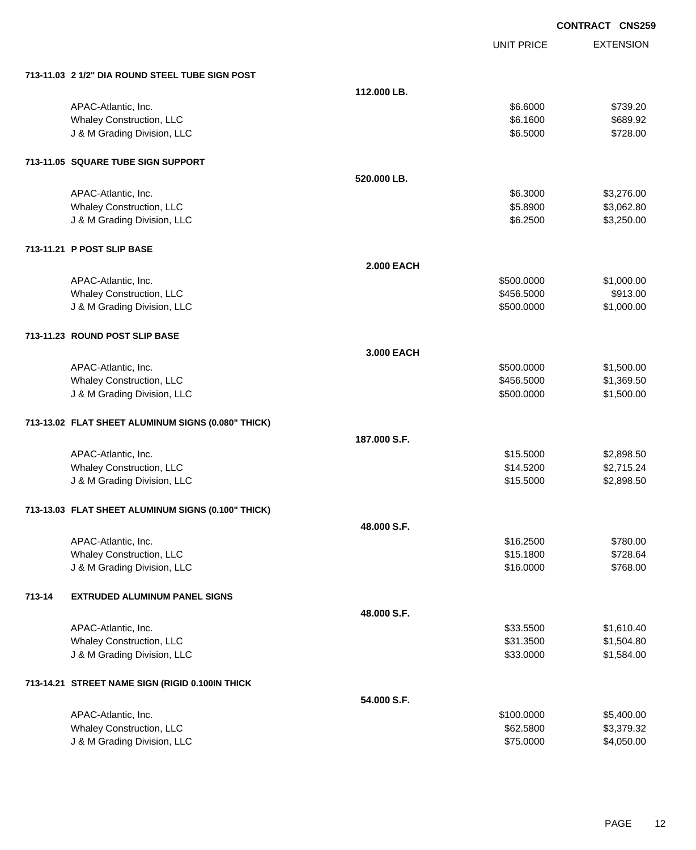|        |                                                    |                   |                   | <b>CONTRACT CNS259</b> |
|--------|----------------------------------------------------|-------------------|-------------------|------------------------|
|        |                                                    |                   | <b>UNIT PRICE</b> | <b>EXTENSION</b>       |
|        | 713-11.03 2 1/2" DIA ROUND STEEL TUBE SIGN POST    |                   |                   |                        |
|        |                                                    | 112,000 LB.       |                   |                        |
|        | APAC-Atlantic, Inc.                                |                   | \$6.6000          | \$739.20               |
|        | Whaley Construction, LLC                           |                   | \$6.1600          | \$689.92               |
|        | J & M Grading Division, LLC                        |                   | \$6.5000          | \$728.00               |
|        | 713-11.05 SQUARE TUBE SIGN SUPPORT                 |                   |                   |                        |
|        |                                                    | 520.000 LB.       |                   |                        |
|        | APAC-Atlantic, Inc.                                |                   | \$6.3000          | \$3,276.00             |
|        | Whaley Construction, LLC                           |                   | \$5.8900          | \$3,062.80             |
|        | J & M Grading Division, LLC                        |                   | \$6.2500          | \$3,250.00             |
|        | 713-11.21 P POST SLIP BASE                         |                   |                   |                        |
|        |                                                    | <b>2.000 EACH</b> |                   |                        |
|        | APAC-Atlantic, Inc.                                |                   | \$500.0000        | \$1,000.00             |
|        | Whaley Construction, LLC                           |                   | \$456.5000        | \$913.00               |
|        | J & M Grading Division, LLC                        |                   | \$500.0000        | \$1,000.00             |
|        | 713-11.23 ROUND POST SLIP BASE                     |                   |                   |                        |
|        |                                                    | 3.000 EACH        |                   |                        |
|        | APAC-Atlantic, Inc.                                |                   | \$500.0000        | \$1,500.00             |
|        | <b>Whaley Construction, LLC</b>                    |                   | \$456.5000        | \$1,369.50             |
|        | J & M Grading Division, LLC                        |                   | \$500.0000        | \$1,500.00             |
|        | 713-13.02 FLAT SHEET ALUMINUM SIGNS (0.080" THICK) |                   |                   |                        |
|        |                                                    | 187.000 S.F.      |                   |                        |
|        | APAC-Atlantic, Inc.                                |                   | \$15.5000         | \$2,898.50             |
|        | Whaley Construction, LLC                           |                   | \$14.5200         | \$2,715.24             |
|        | J & M Grading Division, LLC                        |                   | \$15.5000         | \$2,898.50             |
|        | 713-13.03 FLAT SHEET ALUMINUM SIGNS (0.100" THICK) |                   |                   |                        |
|        |                                                    | 48.000 S.F.       |                   |                        |
|        | APAC-Atlantic, Inc.                                |                   | \$16.2500         | \$780.00               |
|        | <b>Whaley Construction, LLC</b>                    |                   | \$15.1800         | \$728.64               |
|        | J & M Grading Division, LLC                        |                   | \$16.0000         | \$768.00               |
| 713-14 | <b>EXTRUDED ALUMINUM PANEL SIGNS</b>               |                   |                   |                        |
|        |                                                    | 48.000 S.F.       |                   |                        |
|        | APAC-Atlantic, Inc.                                |                   | \$33.5500         | \$1,610.40             |
|        | Whaley Construction, LLC                           |                   | \$31.3500         | \$1,504.80             |
|        | J & M Grading Division, LLC                        |                   | \$33.0000         | \$1,584.00             |
|        | 713-14.21 STREET NAME SIGN (RIGID 0.100IN THICK    |                   |                   |                        |
|        |                                                    | 54.000 S.F.       |                   |                        |
|        | APAC-Atlantic, Inc.                                |                   | \$100.0000        | \$5,400.00             |
|        | Whaley Construction, LLC                           |                   | \$62.5800         | \$3,379.32             |
|        | J & M Grading Division, LLC                        |                   | \$75.0000         | \$4,050.00             |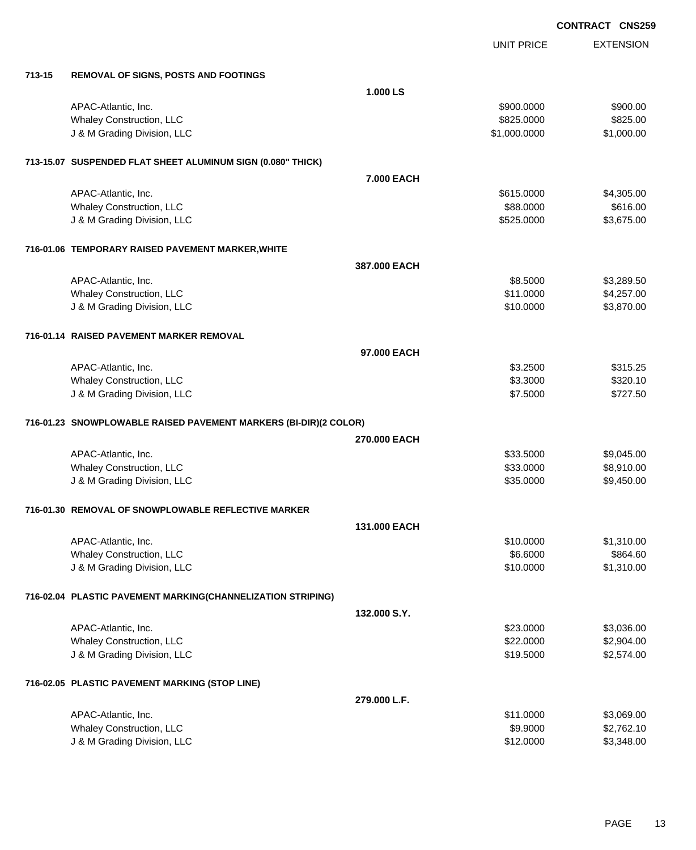|        |                                                                  |              | <b>UNIT PRICE</b> | <b>EXTENSION</b> |
|--------|------------------------------------------------------------------|--------------|-------------------|------------------|
| 713-15 | <b>REMOVAL OF SIGNS, POSTS AND FOOTINGS</b>                      |              |                   |                  |
|        |                                                                  | 1.000 LS     |                   |                  |
|        | APAC-Atlantic, Inc.                                              |              | \$900.0000        | \$900.00         |
|        | Whaley Construction, LLC                                         |              | \$825.0000        | \$825.00         |
|        | J & M Grading Division, LLC                                      |              | \$1,000.0000      | \$1,000.00       |
|        | 713-15.07 SUSPENDED FLAT SHEET ALUMINUM SIGN (0.080" THICK)      |              |                   |                  |
|        |                                                                  | 7.000 EACH   |                   |                  |
|        | APAC-Atlantic, Inc.                                              |              | \$615.0000        | \$4,305.00       |
|        | <b>Whaley Construction, LLC</b>                                  |              | \$88.0000         | \$616.00         |
|        | J & M Grading Division, LLC                                      |              | \$525.0000        | \$3,675.00       |
|        | 716-01.06 TEMPORARY RAISED PAVEMENT MARKER, WHITE                |              |                   |                  |
|        |                                                                  | 387.000 EACH |                   |                  |
|        | APAC-Atlantic, Inc.                                              |              | \$8.5000          | \$3,289.50       |
|        | Whaley Construction, LLC                                         |              | \$11.0000         | \$4,257.00       |
|        | J & M Grading Division, LLC                                      |              | \$10.0000         | \$3,870.00       |
|        | 716-01.14 RAISED PAVEMENT MARKER REMOVAL                         |              |                   |                  |
|        |                                                                  | 97.000 EACH  |                   |                  |
|        | APAC-Atlantic, Inc.                                              |              | \$3.2500          | \$315.25         |
|        | Whaley Construction, LLC                                         |              | \$3.3000          | \$320.10         |
|        | J & M Grading Division, LLC                                      |              | \$7.5000          | \$727.50         |
|        | 716-01.23 SNOWPLOWABLE RAISED PAVEMENT MARKERS (BI-DIR)(2 COLOR) |              |                   |                  |
|        |                                                                  | 270.000 EACH |                   |                  |
|        | APAC-Atlantic, Inc.                                              |              | \$33.5000         | \$9,045.00       |
|        | Whaley Construction, LLC                                         |              | \$33.0000         | \$8,910.00       |
|        | J & M Grading Division, LLC                                      |              | \$35.0000         | \$9,450.00       |
|        | 716-01.30 REMOVAL OF SNOWPLOWABLE REFLECTIVE MARKER              |              |                   |                  |
|        |                                                                  | 131.000 EACH |                   |                  |
|        | APAC-Atlantic, Inc.                                              |              | \$10.0000         | \$1,310.00       |
|        | Whaley Construction, LLC                                         |              | \$6.6000          | \$864.60         |
|        | J & M Grading Division, LLC                                      |              | \$10.0000         | \$1,310.00       |
|        | 716-02.04 PLASTIC PAVEMENT MARKING(CHANNELIZATION STRIPING)      |              |                   |                  |
|        |                                                                  | 132.000 S.Y. |                   |                  |
|        | APAC-Atlantic, Inc.                                              |              | \$23.0000         | \$3,036.00       |
|        | Whaley Construction, LLC                                         |              | \$22.0000         | \$2,904.00       |
|        | J & M Grading Division, LLC                                      |              | \$19.5000         | \$2,574.00       |
|        | 716-02.05 PLASTIC PAVEMENT MARKING (STOP LINE)                   |              |                   |                  |
|        |                                                                  | 279.000 L.F. |                   |                  |
|        | APAC-Atlantic, Inc.                                              |              | \$11.0000         | \$3,069.00       |
|        | Whaley Construction, LLC                                         |              | \$9.9000          | \$2,762.10       |
|        | J & M Grading Division, LLC                                      |              | \$12.0000         | \$3,348.00       |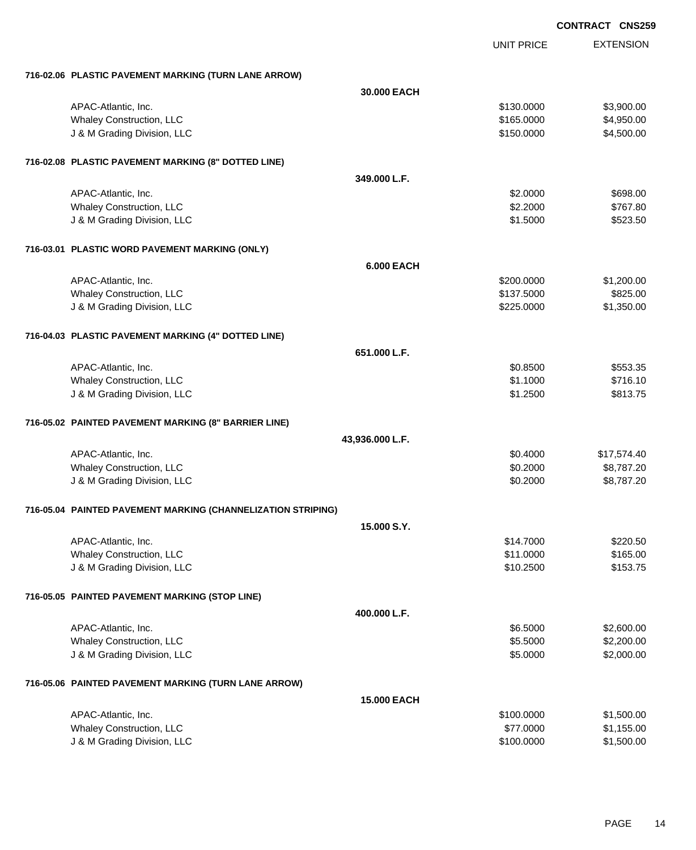|                                                              | <b>UNIT PRICE</b> | <b>EXTENSION</b> |
|--------------------------------------------------------------|-------------------|------------------|
| 716-02.06 PLASTIC PAVEMENT MARKING (TURN LANE ARROW)         |                   |                  |
| 30,000 EACH                                                  |                   |                  |
| APAC-Atlantic, Inc.                                          | \$130.0000        | \$3,900.00       |
| <b>Whaley Construction, LLC</b>                              | \$165.0000        | \$4,950.00       |
| J & M Grading Division, LLC                                  | \$150.0000        | \$4,500.00       |
| 716-02.08 PLASTIC PAVEMENT MARKING (8" DOTTED LINE)          |                   |                  |
| 349.000 L.F.                                                 |                   |                  |
| APAC-Atlantic, Inc.                                          | \$2.0000          | \$698.00         |
| <b>Whaley Construction, LLC</b>                              | \$2.2000          | \$767.80         |
| J & M Grading Division, LLC                                  | \$1.5000          | \$523.50         |
| 716-03.01 PLASTIC WORD PAVEMENT MARKING (ONLY)               |                   |                  |
| <b>6.000 EACH</b>                                            |                   |                  |
| APAC-Atlantic, Inc.                                          | \$200.0000        | \$1,200.00       |
| <b>Whaley Construction, LLC</b>                              | \$137.5000        | \$825.00         |
| J & M Grading Division, LLC                                  | \$225.0000        | \$1,350.00       |
| 716-04.03 PLASTIC PAVEMENT MARKING (4" DOTTED LINE)          |                   |                  |
| 651.000 L.F.                                                 |                   |                  |
| APAC-Atlantic, Inc.                                          | \$0.8500          | \$553.35         |
| Whaley Construction, LLC                                     | \$1.1000          | \$716.10         |
| J & M Grading Division, LLC                                  | \$1.2500          | \$813.75         |
| 716-05.02 PAINTED PAVEMENT MARKING (8" BARRIER LINE)         |                   |                  |
| 43,936.000 L.F.                                              |                   |                  |
| APAC-Atlantic, Inc.                                          | \$0.4000          | \$17,574.40      |
| Whaley Construction, LLC                                     | \$0.2000          | \$8,787.20       |
| J & M Grading Division, LLC                                  | \$0.2000          | \$8,787.20       |
| 716-05.04 PAINTED PAVEMENT MARKING (CHANNELIZATION STRIPING) |                   |                  |
| 15.000 S.Y.                                                  |                   |                  |
| APAC-Atlantic, Inc.                                          | \$14.7000         | \$220.50         |
| <b>Whaley Construction, LLC</b>                              | \$11.0000         | \$165.00         |
| J & M Grading Division, LLC                                  | \$10.2500         | \$153.75         |
| 716-05.05 PAINTED PAVEMENT MARKING (STOP LINE)               |                   |                  |
| 400.000 L.F.                                                 |                   |                  |
| APAC-Atlantic, Inc.                                          | \$6.5000          | \$2,600.00       |
| Whaley Construction, LLC                                     | \$5.5000          | \$2,200.00       |
| J & M Grading Division, LLC                                  | \$5.0000          | \$2,000.00       |
| 716-05.06 PAINTED PAVEMENT MARKING (TURN LANE ARROW)         |                   |                  |
| <b>15.000 EACH</b>                                           |                   |                  |
| APAC-Atlantic, Inc.                                          | \$100.0000        | \$1,500.00       |
| <b>Whaley Construction, LLC</b>                              | \$77.0000         | \$1,155.00       |
| J & M Grading Division, LLC                                  | \$100.0000        | \$1,500.00       |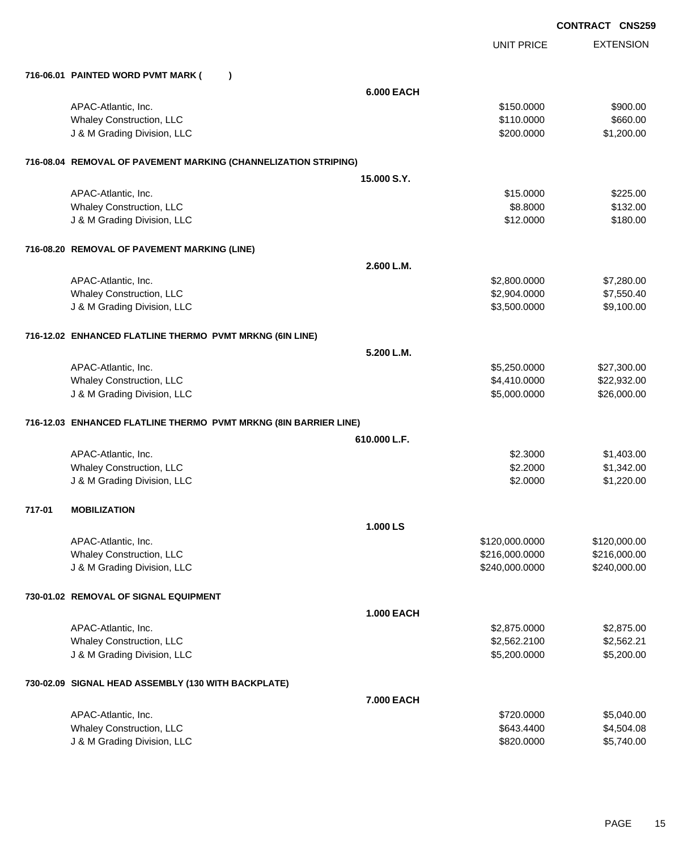|        |                                                                 |                   | <b>CONTRACT CNS259</b> |
|--------|-----------------------------------------------------------------|-------------------|------------------------|
|        |                                                                 | <b>UNIT PRICE</b> | <b>EXTENSION</b>       |
|        | 716-06.01 PAINTED WORD PVMT MARK (<br>$\lambda$                 |                   |                        |
|        |                                                                 | <b>6.000 EACH</b> |                        |
|        | APAC-Atlantic, Inc.                                             | \$150.0000        | \$900.00               |
|        | Whaley Construction, LLC                                        | \$110.0000        | \$660.00               |
|        | J & M Grading Division, LLC                                     | \$200.0000        | \$1,200.00             |
|        | 716-08.04 REMOVAL OF PAVEMENT MARKING (CHANNELIZATION STRIPING) |                   |                        |
|        |                                                                 | 15,000 S.Y.       |                        |
|        | APAC-Atlantic, Inc.                                             | \$15.0000         | \$225.00               |
|        | Whaley Construction, LLC                                        | \$8.8000          | \$132.00               |
|        | J & M Grading Division, LLC                                     | \$12.0000         | \$180.00               |
|        | 716-08.20 REMOVAL OF PAVEMENT MARKING (LINE)                    |                   |                        |
|        |                                                                 | 2.600 L.M.        |                        |
|        | APAC-Atlantic, Inc.                                             | \$2,800.0000      | \$7,280.00             |
|        | Whaley Construction, LLC                                        | \$2,904.0000      | \$7,550.40             |
|        | J & M Grading Division, LLC                                     | \$3,500.0000      | \$9,100.00             |
|        | 716-12.02 ENHANCED FLATLINE THERMO PVMT MRKNG (6IN LINE)        |                   |                        |
|        |                                                                 | 5.200 L.M.        |                        |
|        | APAC-Atlantic, Inc.                                             | \$5,250.0000      | \$27,300.00            |
|        | Whaley Construction, LLC                                        | \$4,410.0000      | \$22,932.00            |
|        | J & M Grading Division, LLC                                     | \$5,000.0000      | \$26,000.00            |
|        |                                                                 |                   |                        |
|        |                                                                 | 610.000 L.F.      |                        |
|        | APAC-Atlantic, Inc.                                             | \$2.3000          | \$1,403.00             |
|        | Whaley Construction, LLC                                        | \$2.2000          | \$1,342.00             |
|        | J & M Grading Division, LLC                                     | \$2.0000          | \$1,220.00             |
| 717-01 | <b>MOBILIZATION</b>                                             |                   |                        |
|        |                                                                 | 1.000 LS          |                        |
|        | APAC-Atlantic, Inc.                                             | \$120,000.0000    | \$120,000.00           |
|        | Whaley Construction, LLC                                        | \$216,000.0000    | \$216,000.00           |
|        | J & M Grading Division, LLC                                     | \$240,000.0000    | \$240,000.00           |
|        | 730-01.02 REMOVAL OF SIGNAL EQUIPMENT                           |                   |                        |
|        |                                                                 | <b>1.000 EACH</b> |                        |
|        | APAC-Atlantic, Inc.                                             | \$2,875.0000      | \$2,875.00             |
|        | Whaley Construction, LLC                                        | \$2,562.2100      | \$2,562.21             |
|        | J & M Grading Division, LLC                                     | \$5,200.0000      | \$5,200.00             |
|        | 730-02.09 SIGNAL HEAD ASSEMBLY (130 WITH BACKPLATE)             |                   |                        |
|        |                                                                 | 7.000 EACH        |                        |
|        | APAC-Atlantic, Inc.                                             | \$720.0000        | \$5,040.00             |
|        | Whaley Construction, LLC                                        | \$643.4400        | \$4,504.08             |
|        | J & M Grading Division, LLC                                     | \$820.0000        | \$5,740.00             |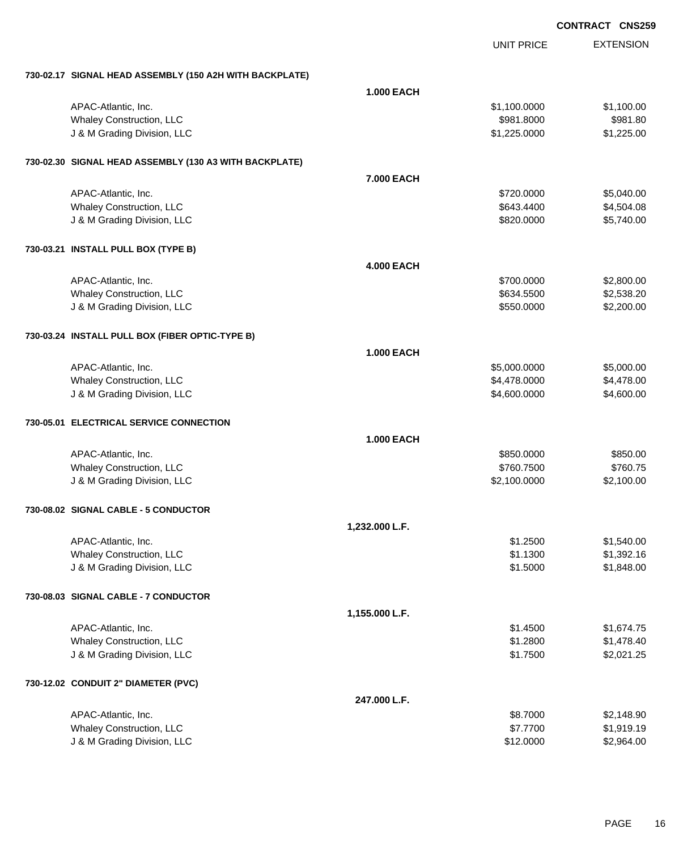|                                                         | <b>UNIT PRICE</b> | <b>EXTENSION</b> |
|---------------------------------------------------------|-------------------|------------------|
| 730-02.17 SIGNAL HEAD ASSEMBLY (150 A2H WITH BACKPLATE) |                   |                  |
|                                                         | <b>1.000 EACH</b> |                  |
| APAC-Atlantic, Inc.                                     | \$1,100.0000      | \$1,100.00       |
| Whaley Construction, LLC                                | \$981.8000        | \$981.80         |
| J & M Grading Division, LLC                             | \$1,225.0000      | \$1,225.00       |
| 730-02.30 SIGNAL HEAD ASSEMBLY (130 A3 WITH BACKPLATE)  |                   |                  |
|                                                         | 7.000 EACH        |                  |
| APAC-Atlantic, Inc.                                     | \$720.0000        | \$5,040.00       |
| <b>Whaley Construction, LLC</b>                         | \$643.4400        | \$4,504.08       |
| J & M Grading Division, LLC                             | \$820.0000        | \$5,740.00       |
| 730-03.21 INSTALL PULL BOX (TYPE B)                     |                   |                  |
|                                                         | <b>4.000 EACH</b> |                  |
| APAC-Atlantic, Inc.                                     | \$700.0000        | \$2,800.00       |
| Whaley Construction, LLC                                | \$634.5500        | \$2,538.20       |
| J & M Grading Division, LLC                             | \$550.0000        | \$2,200.00       |
| 730-03.24 INSTALL PULL BOX (FIBER OPTIC-TYPE B)         |                   |                  |
|                                                         | <b>1.000 EACH</b> |                  |
| APAC-Atlantic, Inc.                                     | \$5,000.0000      | \$5,000.00       |
| Whaley Construction, LLC                                | \$4,478.0000      | \$4,478.00       |
| J & M Grading Division, LLC                             | \$4,600.0000      | \$4,600.00       |
| 730-05.01 ELECTRICAL SERVICE CONNECTION                 |                   |                  |
|                                                         | <b>1.000 EACH</b> |                  |
| APAC-Atlantic, Inc.                                     | \$850.0000        | \$850.00         |
| Whaley Construction, LLC                                | \$760.7500        | \$760.75         |
| J & M Grading Division, LLC                             | \$2,100.0000      | \$2,100.00       |
| 730-08.02 SIGNAL CABLE - 5 CONDUCTOR                    |                   |                  |
| 1,232.000 L.F.                                          |                   |                  |
| APAC-Atlantic, Inc.                                     | \$1.2500          | \$1,540.00       |
| Whaley Construction, LLC                                | \$1.1300          | \$1,392.16       |
| J & M Grading Division, LLC                             | \$1.5000          | \$1,848.00       |
| 730-08.03 SIGNAL CABLE - 7 CONDUCTOR                    |                   |                  |
| 1,155.000 L.F.                                          |                   |                  |
| APAC-Atlantic, Inc.                                     | \$1.4500          | \$1,674.75       |
| Whaley Construction, LLC                                | \$1.2800          | \$1,478.40       |
| J & M Grading Division, LLC                             | \$1.7500          | \$2,021.25       |
| 730-12.02 CONDUIT 2" DIAMETER (PVC)                     |                   |                  |
|                                                         | 247.000 L.F.      |                  |
| APAC-Atlantic, Inc.                                     | \$8.7000          | \$2,148.90       |
| Whaley Construction, LLC                                | \$7.7700          | \$1,919.19       |
| J & M Grading Division, LLC                             | \$12.0000         | \$2,964.00       |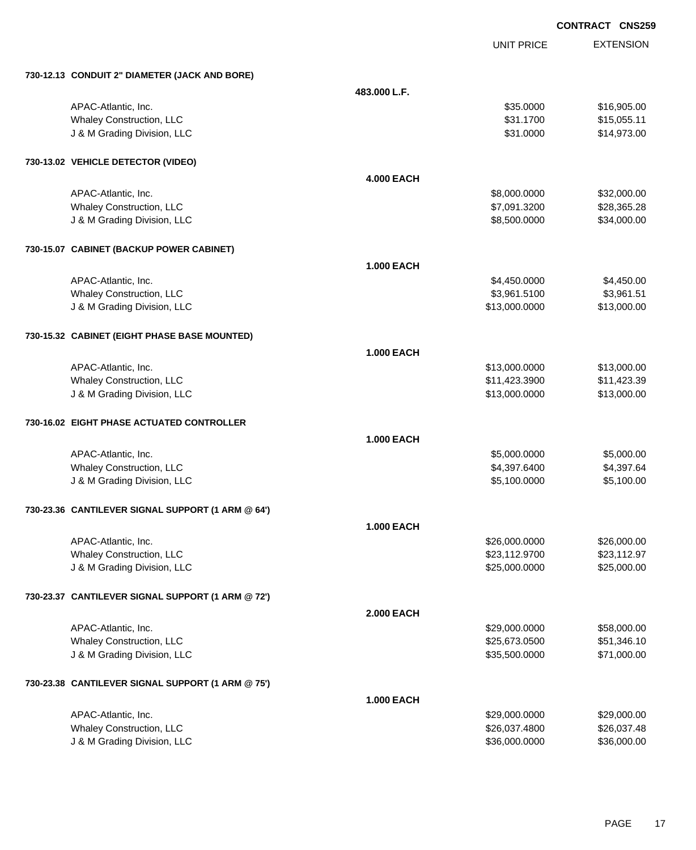|                   |                   | <b>CONTRACT CNS259</b>                                         |
|-------------------|-------------------|----------------------------------------------------------------|
|                   | <b>UNIT PRICE</b> | <b>EXTENSION</b>                                               |
|                   |                   |                                                                |
| 483.000 L.F.      |                   |                                                                |
|                   | \$35.0000         | \$16,905.00                                                    |
|                   | \$31.1700         | \$15,055.11                                                    |
|                   | \$31.0000         | \$14,973.00                                                    |
|                   |                   |                                                                |
| <b>4.000 EACH</b> |                   |                                                                |
|                   | \$8,000.0000      | \$32,000.00                                                    |
|                   | \$7,091.3200      | \$28,365.28                                                    |
|                   | \$8,500.0000      | \$34,000.00                                                    |
|                   |                   |                                                                |
| <b>1.000 EACH</b> |                   |                                                                |
|                   | \$4,450.0000      | \$4,450.00                                                     |
|                   | \$3,961.5100      | \$3,961.51                                                     |
|                   | \$13,000.0000     | \$13,000.00                                                    |
|                   |                   |                                                                |
| <b>1.000 EACH</b> |                   |                                                                |
|                   | \$13,000.0000     | \$13,000.00                                                    |
|                   | \$11,423.3900     | \$11,423.39                                                    |
|                   | \$13,000.0000     | \$13,000.00                                                    |
|                   |                   |                                                                |
| <b>1.000 EACH</b> |                   |                                                                |
|                   | \$5,000.0000      | \$5,000.00                                                     |
|                   |                   | \$4,397.64                                                     |
|                   |                   | \$5,100.00                                                     |
|                   |                   |                                                                |
| <b>1.000 EACH</b> |                   |                                                                |
|                   | \$26,000.0000     | \$26,000.00                                                    |
|                   |                   | \$23,112.97                                                    |
|                   |                   | \$25,000.00                                                    |
|                   |                   |                                                                |
| <b>2.000 EACH</b> |                   |                                                                |
|                   | \$29,000.0000     | \$58,000.00                                                    |
|                   | \$25,673.0500     | \$51,346.10                                                    |
|                   | \$35,500.0000     | \$71,000.00                                                    |
|                   |                   | \$4,397.6400<br>\$5,100.0000<br>\$23,112.9700<br>\$25,000.0000 |

#### **730-23.38 CANTILEVER SIGNAL SUPPORT (1 ARM @ 75')**

**730-12.13 CONDUIT 2" DIAMETER (JACK AND BORE)**

**730-13.02 VEHICLE DETECTOR (VIDEO)**

 $730 - 15.07$ 

 $730 - 15.32$ 

 $730-16.02$ 

 $730 - 23.36$ 

**730-23.37 CANTILEVER SIGNAL SUPPORT (1 ARM @ 72')**

|                                 | <b>1.000 EACH</b> |             |
|---------------------------------|-------------------|-------------|
| APAC-Atlantic, Inc.             | \$29,000,0000     | \$29,000.00 |
| <b>Whaley Construction, LLC</b> | \$26.037.4800     | \$26,037.48 |
| J & M Grading Division, LLC     | \$36,000,0000     | \$36,000.00 |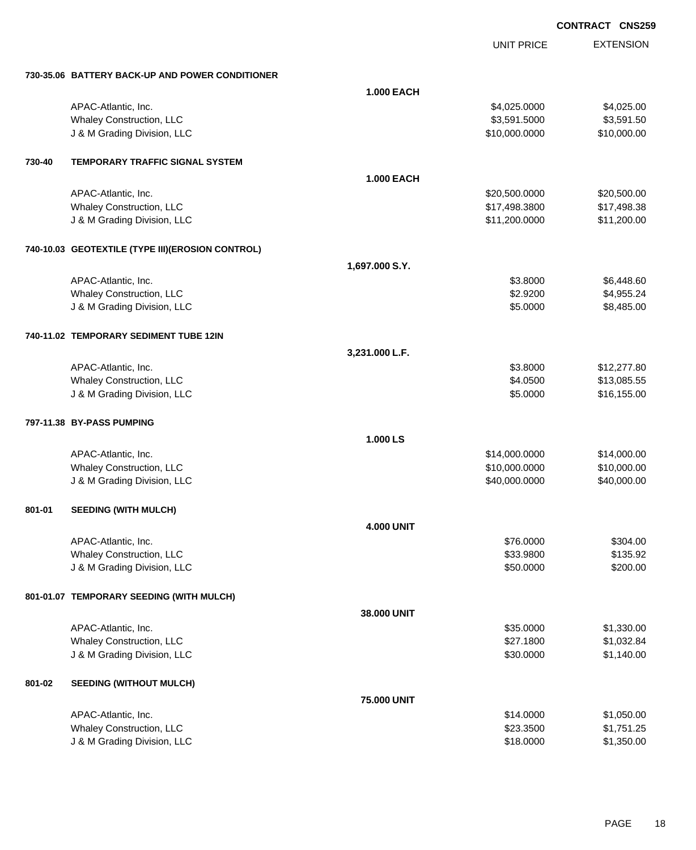|        |                                                   |                   | <b>UNIT PRICE</b> | <b>EXTENSION</b> |
|--------|---------------------------------------------------|-------------------|-------------------|------------------|
|        | 730-35.06 BATTERY BACK-UP AND POWER CONDITIONER   |                   |                   |                  |
|        |                                                   | <b>1.000 EACH</b> |                   |                  |
|        | APAC-Atlantic, Inc.                               |                   | \$4,025.0000      | \$4,025.00       |
|        | Whaley Construction, LLC                          |                   | \$3,591.5000      | \$3,591.50       |
|        | J & M Grading Division, LLC                       |                   | \$10,000.0000     | \$10,000.00      |
| 730-40 | <b>TEMPORARY TRAFFIC SIGNAL SYSTEM</b>            |                   |                   |                  |
|        |                                                   | <b>1.000 EACH</b> |                   |                  |
|        | APAC-Atlantic, Inc.                               |                   | \$20,500.0000     | \$20,500.00      |
|        | Whaley Construction, LLC                          |                   | \$17,498.3800     | \$17,498.38      |
|        | J & M Grading Division, LLC                       |                   | \$11,200.0000     | \$11,200.00      |
|        | 740-10.03 GEOTEXTILE (TYPE III) (EROSION CONTROL) |                   |                   |                  |
|        |                                                   | 1,697.000 S.Y.    |                   |                  |
|        | APAC-Atlantic, Inc.                               |                   | \$3.8000          | \$6,448.60       |
|        | Whaley Construction, LLC                          |                   | \$2.9200          | \$4,955.24       |
|        | J & M Grading Division, LLC                       |                   | \$5.0000          | \$8,485.00       |
|        | 740-11.02 TEMPORARY SEDIMENT TUBE 12IN            |                   |                   |                  |
|        |                                                   | 3,231.000 L.F.    |                   |                  |
|        | APAC-Atlantic, Inc.                               |                   | \$3.8000          | \$12,277.80      |
|        | Whaley Construction, LLC                          |                   | \$4.0500          | \$13,085.55      |
|        | J & M Grading Division, LLC                       |                   | \$5.0000          | \$16,155.00      |
|        | 797-11.38 BY-PASS PUMPING                         |                   |                   |                  |
|        |                                                   | 1.000 LS          |                   |                  |
|        | APAC-Atlantic, Inc.                               |                   | \$14,000.0000     | \$14,000.00      |
|        | Whaley Construction, LLC                          |                   | \$10,000.0000     | \$10,000.00      |
|        | J & M Grading Division, LLC                       |                   | \$40,000.0000     | \$40,000.00      |
| 801-01 | <b>SEEDING (WITH MULCH)</b>                       |                   |                   |                  |
|        |                                                   | <b>4.000 UNIT</b> |                   |                  |
|        | APAC-Atlantic, Inc.                               |                   | \$76.0000         | \$304.00         |
|        | Whaley Construction, LLC                          |                   | \$33.9800         | \$135.92         |
|        | J & M Grading Division, LLC                       |                   | \$50.0000         | \$200.00         |
|        | 801-01.07 TEMPORARY SEEDING (WITH MULCH)          |                   |                   |                  |
|        |                                                   | 38.000 UNIT       |                   |                  |
|        | APAC-Atlantic, Inc.                               |                   | \$35.0000         | \$1,330.00       |
|        | Whaley Construction, LLC                          |                   | \$27.1800         | \$1,032.84       |
|        | J & M Grading Division, LLC                       |                   | \$30.0000         | \$1,140.00       |
| 801-02 | <b>SEEDING (WITHOUT MULCH)</b>                    |                   |                   |                  |
|        |                                                   | 75.000 UNIT       |                   |                  |
|        | APAC-Atlantic, Inc.                               |                   | \$14.0000         | \$1,050.00       |
|        | Whaley Construction, LLC                          |                   | \$23.3500         | \$1,751.25       |
|        | J & M Grading Division, LLC                       |                   | \$18.0000         | \$1,350.00       |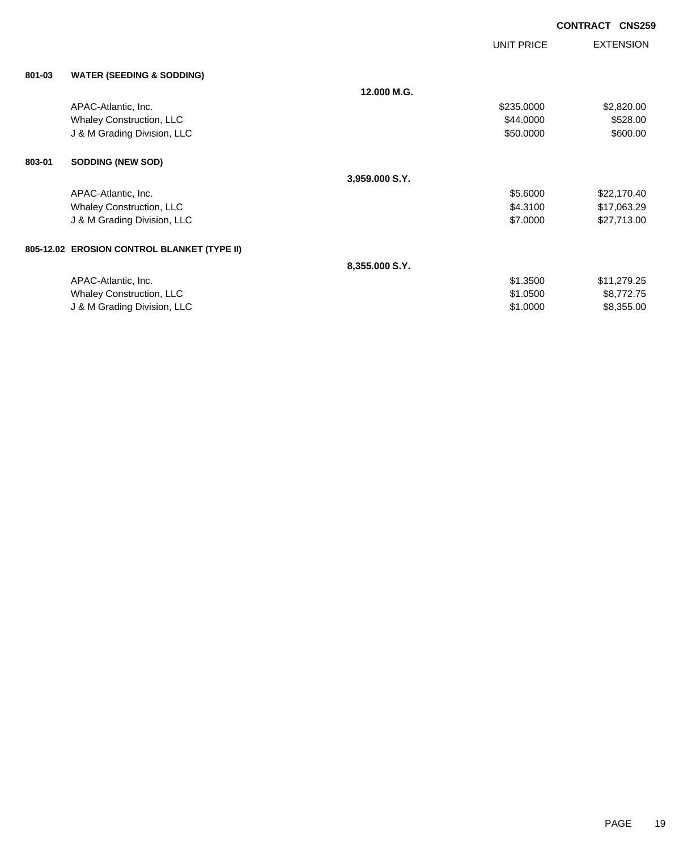|        |                                             |                | <b>UNIT PRICE</b> | <b>EXTENSION</b> |
|--------|---------------------------------------------|----------------|-------------------|------------------|
| 801-03 | <b>WATER (SEEDING &amp; SODDING)</b>        |                |                   |                  |
|        |                                             | 12.000 M.G.    |                   |                  |
|        | APAC-Atlantic, Inc.                         |                | \$235.0000        | \$2,820.00       |
|        | Whaley Construction, LLC                    |                | \$44.0000         | \$528.00         |
|        | J & M Grading Division, LLC                 |                | \$50.0000         | \$600.00         |
| 803-01 | <b>SODDING (NEW SOD)</b>                    |                |                   |                  |
|        |                                             | 3,959.000 S.Y. |                   |                  |
|        | APAC-Atlantic, Inc.                         |                | \$5.6000          | \$22,170.40      |
|        | <b>Whaley Construction, LLC</b>             |                | \$4.3100          | \$17,063.29      |
|        | J & M Grading Division, LLC                 |                | \$7.0000          | \$27,713.00      |
|        | 805-12.02 EROSION CONTROL BLANKET (TYPE II) |                |                   |                  |
|        |                                             | 8,355.000 S.Y. |                   |                  |
|        | APAC-Atlantic, Inc.                         |                | \$1.3500          | \$11,279.25      |
|        | <b>Whaley Construction, LLC</b>             |                | \$1.0500          | \$8,772.75       |
|        | J & M Grading Division, LLC                 |                | \$1.0000          | \$8,355.00       |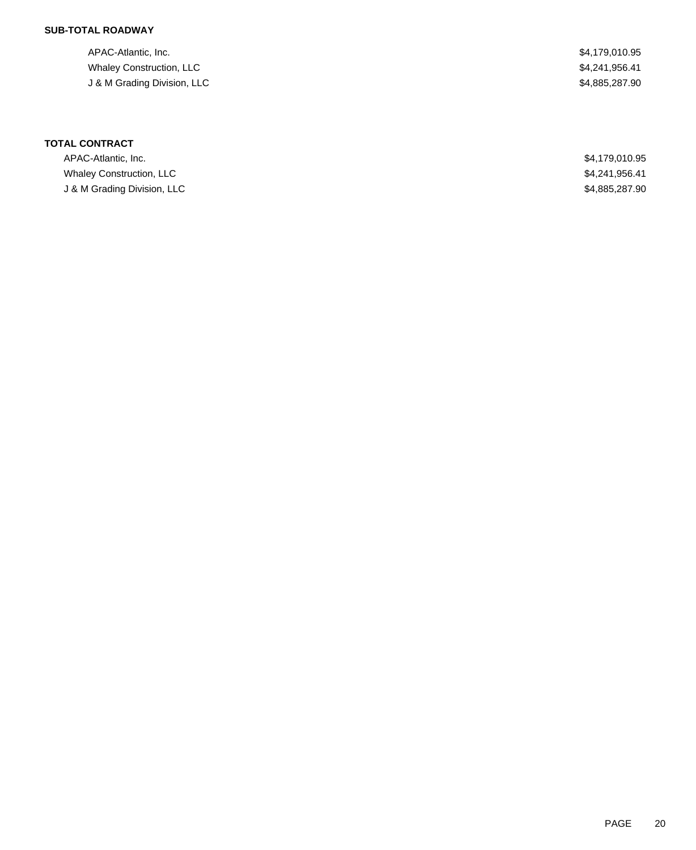## **SUB-TOTAL ROADWAY**

APAC-Atlantic, Inc. \$4,179,010.95 Whaley Construction, LLC \$4,241,956.41 J & M Grading Division, LLC \$4,885,287.90

| APAC-Atlantic, Inc.             | \$4,179,010.95 |
|---------------------------------|----------------|
| <b>Whaley Construction, LLC</b> | \$4,241,956.41 |
| J & M Grading Division, LLC     | \$4.885,287.90 |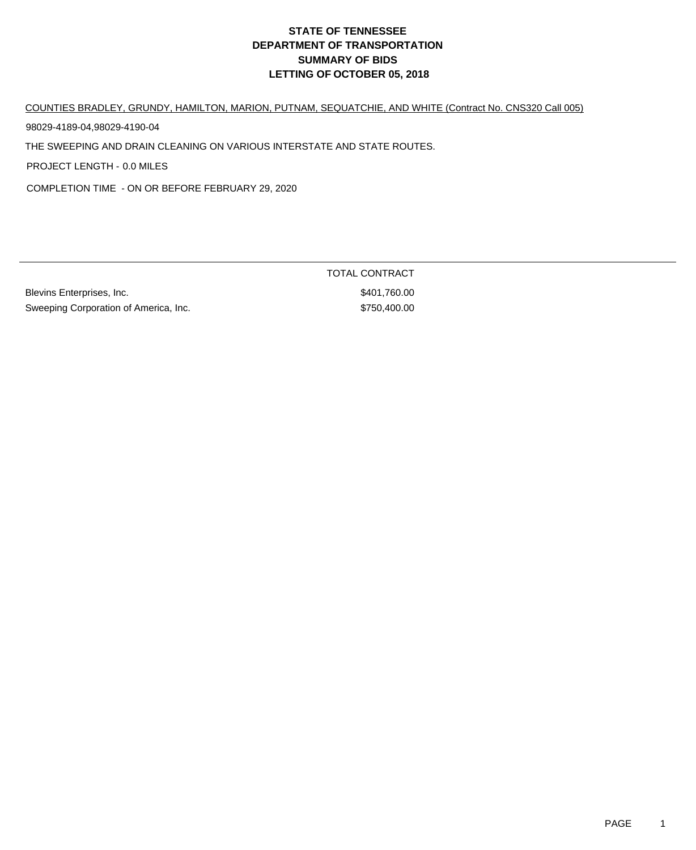# **DEPARTMENT OF TRANSPORTATION SUMMARY OF BIDS LETTING OF OCTOBER 05, 2018 STATE OF TENNESSEE**

COUNTIES BRADLEY, GRUNDY, HAMILTON, MARION, PUTNAM, SEQUATCHIE, AND WHITE (Contract No. CNS320 Call 005)

98029-4189-04,98029-4190-04

THE SWEEPING AND DRAIN CLEANING ON VARIOUS INTERSTATE AND STATE ROUTES.

PROJECT LENGTH - 0.0 MILES

COMPLETION TIME - ON OR BEFORE FEBRUARY 29, 2020

Blevins Enterprises, Inc. 6. The Second Second State of State Second State State Second State State State State State State State State State State State State State State State State State State State State State State St Sweeping Corporation of America, Inc. 6750,400.00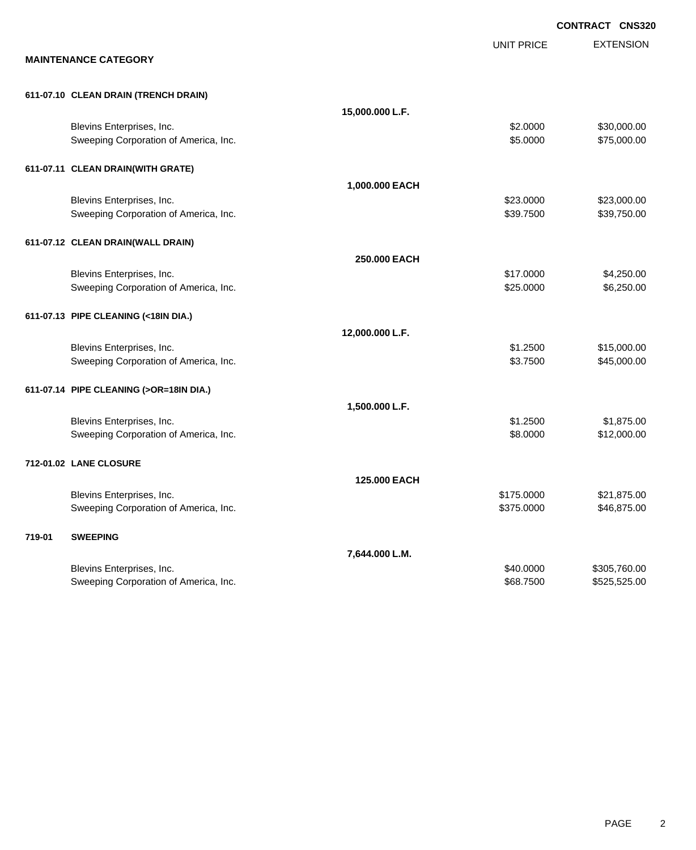|        |                                                                    |                 |                          | <b>CONTRACT CNS320</b>       |
|--------|--------------------------------------------------------------------|-----------------|--------------------------|------------------------------|
|        | <b>MAINTENANCE CATEGORY</b>                                        |                 | <b>UNIT PRICE</b>        | <b>EXTENSION</b>             |
|        |                                                                    |                 |                          |                              |
|        | 611-07.10 CLEAN DRAIN (TRENCH DRAIN)                               |                 |                          |                              |
|        |                                                                    | 15,000.000 L.F. |                          |                              |
|        | Blevins Enterprises, Inc.<br>Sweeping Corporation of America, Inc. |                 | \$2.0000<br>\$5.0000     | \$30,000.00<br>\$75,000.00   |
|        |                                                                    |                 |                          |                              |
|        | 611-07.11 CLEAN DRAIN(WITH GRATE)                                  |                 |                          |                              |
|        |                                                                    | 1,000.000 EACH  | \$23.0000                | \$23,000.00                  |
|        | Blevins Enterprises, Inc.<br>Sweeping Corporation of America, Inc. |                 | \$39.7500                | \$39,750.00                  |
|        | 611-07.12 CLEAN DRAIN(WALL DRAIN)                                  |                 |                          |                              |
|        |                                                                    | 250.000 EACH    |                          |                              |
|        | Blevins Enterprises, Inc.                                          |                 | \$17.0000                | \$4,250.00                   |
|        | Sweeping Corporation of America, Inc.                              |                 | \$25.0000                | \$6,250.00                   |
|        | 611-07.13 PIPE CLEANING (<18IN DIA.)                               |                 |                          |                              |
|        |                                                                    | 12,000.000 L.F. |                          |                              |
|        | Blevins Enterprises, Inc.                                          |                 | \$1.2500                 | \$15,000.00                  |
|        | Sweeping Corporation of America, Inc.                              |                 | \$3.7500                 | \$45,000.00                  |
|        | 611-07.14 PIPE CLEANING (>OR=18IN DIA.)                            |                 |                          |                              |
|        |                                                                    | 1,500.000 L.F.  |                          |                              |
|        | Blevins Enterprises, Inc.                                          |                 | \$1.2500                 | \$1,875.00                   |
|        | Sweeping Corporation of America, Inc.                              |                 | \$8.0000                 | \$12,000.00                  |
|        | 712-01.02 LANE CLOSURE                                             |                 |                          |                              |
|        |                                                                    | 125,000 EACH    |                          |                              |
|        | Blevins Enterprises, Inc.                                          |                 | \$175.0000<br>\$375.0000 | \$21,875.00                  |
|        | Sweeping Corporation of America, Inc.                              |                 |                          | \$46,875.00                  |
| 719-01 | <b>SWEEPING</b>                                                    |                 |                          |                              |
|        |                                                                    | 7,644.000 L.M.  |                          |                              |
|        | Blevins Enterprises, Inc.<br>Sweeping Corporation of America, Inc. |                 | \$40.0000<br>\$68.7500   | \$305,760.00<br>\$525,525.00 |
|        |                                                                    |                 |                          |                              |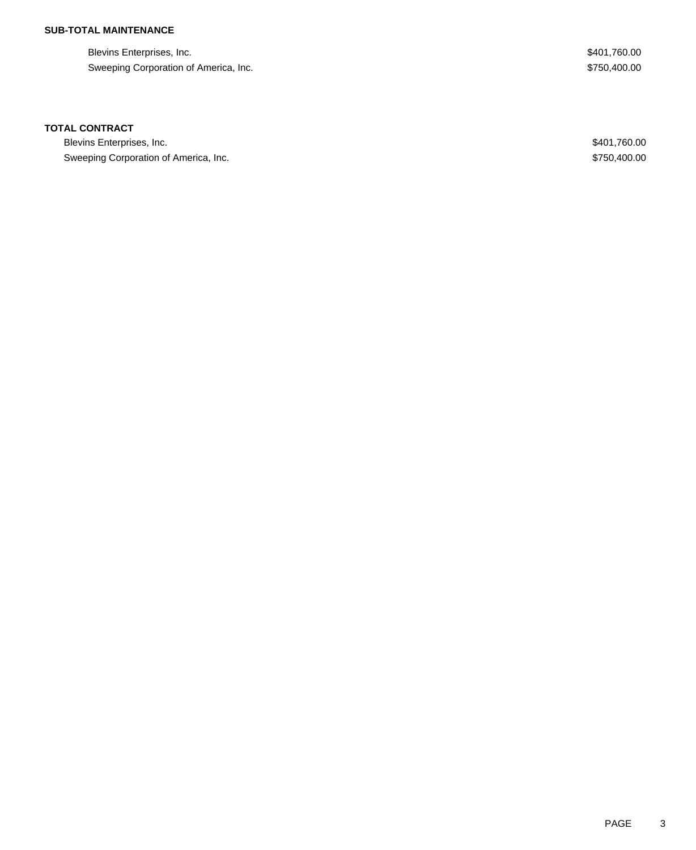# **SUB-TOTAL MAINTENANCE**

Blevins Enterprises, Inc. \$401,760.00 Sweeping Corporation of America, Inc. 6750,400.00

#### **TOTAL CONTRACT**

Blevins Enterprises, Inc. \$401,760.00 Sweeping Corporation of America, Inc. 6. The State of America, Inc. \$750,400.00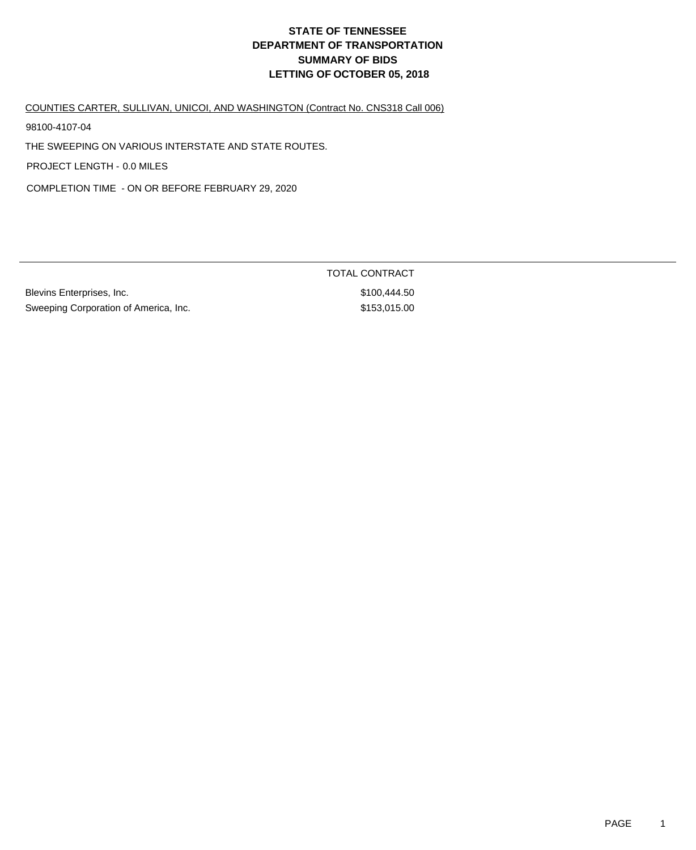# **DEPARTMENT OF TRANSPORTATION SUMMARY OF BIDS LETTING OF OCTOBER 05, 2018 STATE OF TENNESSEE**

COUNTIES CARTER, SULLIVAN, UNICOI, AND WASHINGTON (Contract No. CNS318 Call 006)

98100-4107-04

THE SWEEPING ON VARIOUS INTERSTATE AND STATE ROUTES.

PROJECT LENGTH - 0.0 MILES

COMPLETION TIME - ON OR BEFORE FEBRUARY 29, 2020

Blevins Enterprises, Inc. 6. The Second Studies of the Studies of Studies and Studies Studies and Studies Studies Studies and Studies Studies and Studies Studies and Studies and Studies and Studies and Studies and Studies Sweeping Corporation of America, Inc. 674 and 153,015.00

TOTAL CONTRACT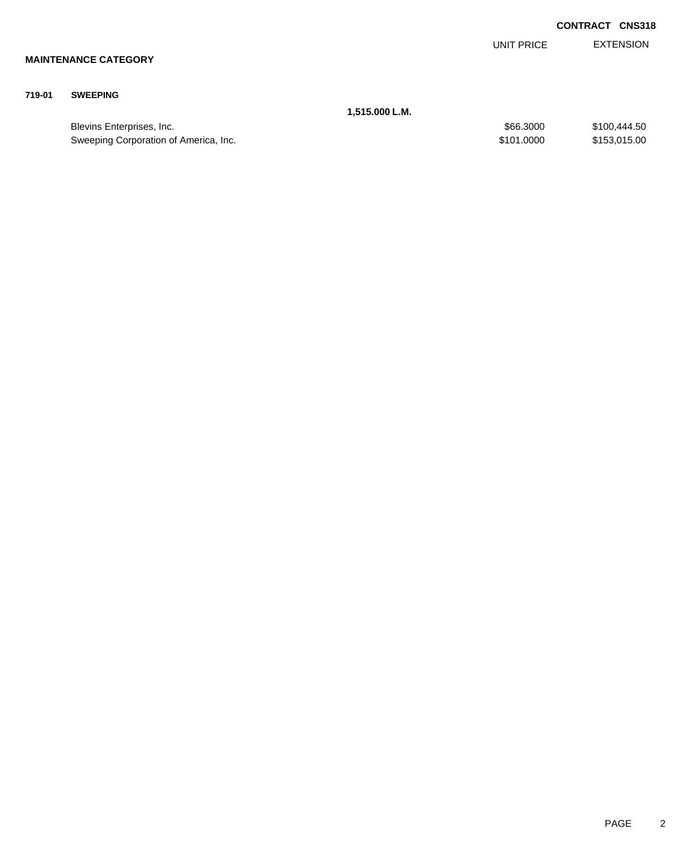|        |                             |                |            | <b>CONTRACT CNS318</b> |
|--------|-----------------------------|----------------|------------|------------------------|
|        |                             |                | UNIT PRICE | <b>EXTENSION</b>       |
|        | <b>MAINTENANCE CATEGORY</b> |                |            |                        |
| 719-01 | <b>SWEEPING</b>             |                |            |                        |
|        |                             | 1,515.000 L.M. |            |                        |
|        | Blevins Enterprises, Inc.   |                | \$66.3000  | \$100,444.50           |

Sweeping Corporation of America, Inc. 6. The State of America and State of America, Inc. 6. State of America and State of America, Inc. 6. State of America and State of America and State of America and State of America and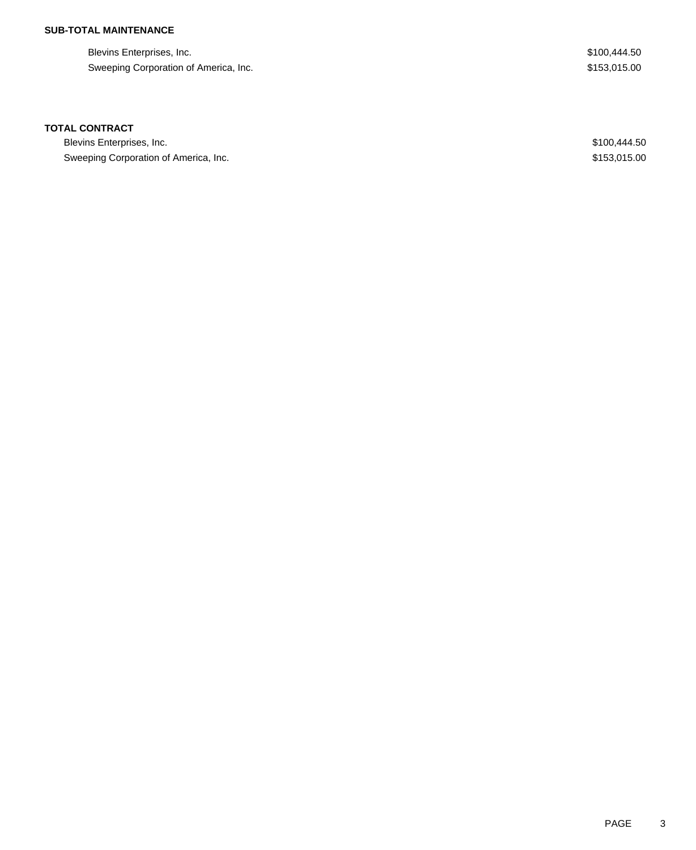## **SUB-TOTAL MAINTENANCE**

| Blevins Enterprises, Inc.             | \$100,444.50 |
|---------------------------------------|--------------|
| Sweeping Corporation of America, Inc. | \$153.015.00 |

## **TOTAL CONTRACT**

| Blevins Enterprises, Inc.             | \$100,444.50 |
|---------------------------------------|--------------|
| Sweeping Corporation of America, Inc. | \$153,015,00 |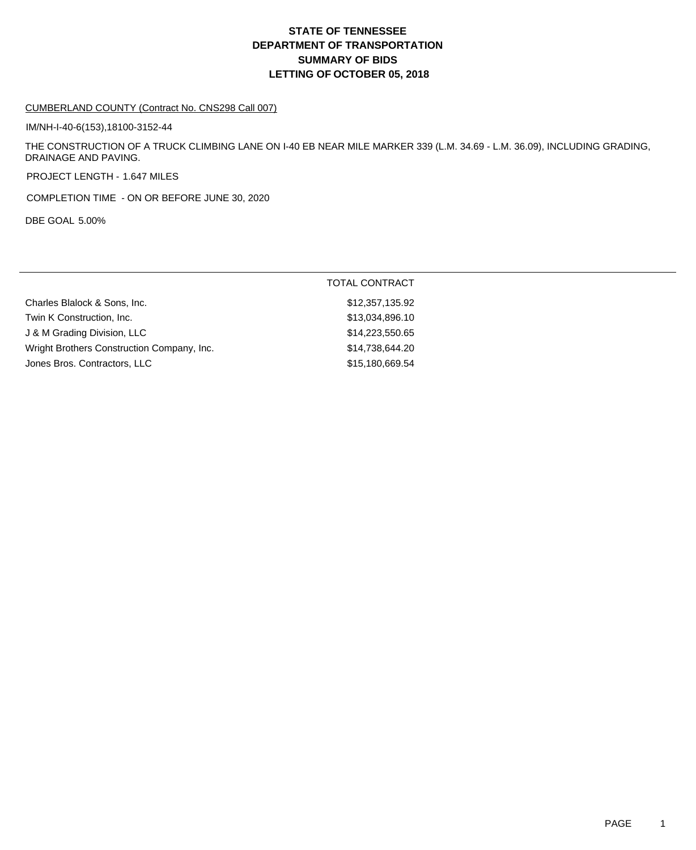## **DEPARTMENT OF TRANSPORTATION SUMMARY OF BIDS LETTING OF OCTOBER 05, 2018 STATE OF TENNESSEE**

#### CUMBERLAND COUNTY (Contract No. CNS298 Call 007)

IM/NH-I-40-6(153),18100-3152-44

THE CONSTRUCTION OF A TRUCK CLIMBING LANE ON I-40 EB NEAR MILE MARKER 339 (L.M. 34.69 - L.M. 36.09), INCLUDING GRADING, DRAINAGE AND PAVING.

PROJECT LENGTH - 1.647 MILES

COMPLETION TIME - ON OR BEFORE JUNE 30, 2020

DBE GOAL 5.00%

|                                            | <b>TOTAL CONTRACT</b> |
|--------------------------------------------|-----------------------|
| Charles Blalock & Sons, Inc.               | \$12,357,135.92       |
| Twin K Construction, Inc.                  | \$13,034,896.10       |
| J & M Grading Division, LLC                | \$14,223,550.65       |
| Wright Brothers Construction Company, Inc. | \$14,738,644.20       |
| Jones Bros. Contractors, LLC               | \$15,180,669.54       |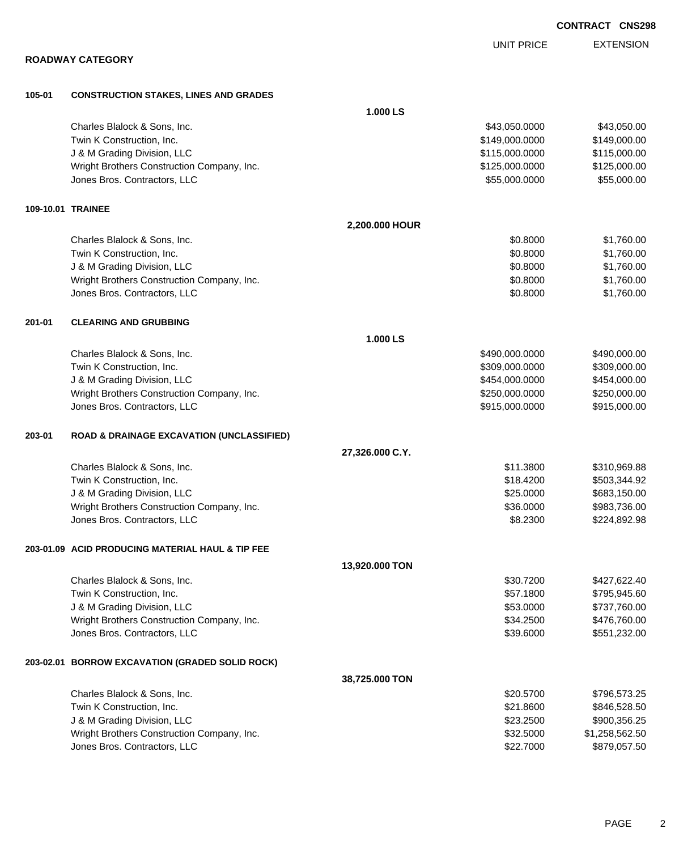|        |                                                      |                 | <b>UNIT PRICE</b> | <b>EXTENSION</b> |
|--------|------------------------------------------------------|-----------------|-------------------|------------------|
|        | <b>ROADWAY CATEGORY</b>                              |                 |                   |                  |
| 105-01 | <b>CONSTRUCTION STAKES, LINES AND GRADES</b>         |                 |                   |                  |
|        |                                                      | 1.000 LS        |                   |                  |
|        | Charles Blalock & Sons, Inc.                         |                 | \$43,050.0000     | \$43,050.00      |
|        | Twin K Construction, Inc.                            |                 | \$149,000.0000    | \$149,000.00     |
|        | J & M Grading Division, LLC                          |                 | \$115,000.0000    | \$115,000.00     |
|        | Wright Brothers Construction Company, Inc.           |                 | \$125,000.0000    | \$125,000.00     |
|        | Jones Bros. Contractors, LLC                         |                 | \$55,000.0000     | \$55,000.00      |
|        | 109-10.01 TRAINEE                                    |                 |                   |                  |
|        |                                                      | 2,200.000 HOUR  |                   |                  |
|        | Charles Blalock & Sons, Inc.                         |                 | \$0.8000          | \$1,760.00       |
|        | Twin K Construction, Inc.                            |                 | \$0.8000          | \$1,760.00       |
|        | J & M Grading Division, LLC                          |                 | \$0.8000          | \$1,760.00       |
|        | Wright Brothers Construction Company, Inc.           |                 | \$0.8000          | \$1,760.00       |
|        | Jones Bros. Contractors, LLC                         |                 | \$0.8000          | \$1,760.00       |
| 201-01 | <b>CLEARING AND GRUBBING</b>                         |                 |                   |                  |
|        |                                                      | 1.000 LS        |                   |                  |
|        | Charles Blalock & Sons, Inc.                         |                 | \$490,000.0000    | \$490,000.00     |
|        | Twin K Construction, Inc.                            |                 | \$309,000.0000    | \$309,000.00     |
|        | J & M Grading Division, LLC                          |                 | \$454,000.0000    | \$454,000.00     |
|        | Wright Brothers Construction Company, Inc.           |                 | \$250,000.0000    | \$250,000.00     |
|        | Jones Bros. Contractors, LLC                         |                 | \$915,000.0000    | \$915,000.00     |
| 203-01 | <b>ROAD &amp; DRAINAGE EXCAVATION (UNCLASSIFIED)</b> |                 |                   |                  |
|        |                                                      | 27,326.000 C.Y. |                   |                  |
|        | Charles Blalock & Sons, Inc.                         |                 | \$11.3800         | \$310,969.88     |
|        | Twin K Construction, Inc.                            |                 | \$18.4200         | \$503,344.92     |
|        | J & M Grading Division, LLC                          |                 | \$25.0000         | \$683,150.00     |
|        | Wright Brothers Construction Company, Inc.           |                 | \$36.0000         | \$983,736.00     |
|        | Jones Bros. Contractors, LLC                         |                 | \$8.2300          | \$224,892.98     |
|        | 203-01.09 ACID PRODUCING MATERIAL HAUL & TIP FEE     |                 |                   |                  |
|        |                                                      | 13,920.000 TON  |                   |                  |
|        | Charles Blalock & Sons, Inc.                         |                 | \$30.7200         | \$427,622.40     |
|        | Twin K Construction, Inc.                            |                 | \$57.1800         | \$795,945.60     |
|        | J & M Grading Division, LLC                          |                 | \$53.0000         | \$737,760.00     |
|        | Wright Brothers Construction Company, Inc.           |                 | \$34.2500         | \$476,760.00     |
|        | Jones Bros. Contractors, LLC                         |                 | \$39.6000         | \$551,232.00     |
|        | 203-02.01 BORROW EXCAVATION (GRADED SOLID ROCK)      |                 |                   |                  |
|        |                                                      | 38,725.000 TON  |                   |                  |
|        | Charles Blalock & Sons, Inc.                         |                 | \$20.5700         | \$796,573.25     |
|        | Twin K Construction, Inc.                            |                 | \$21.8600         | \$846,528.50     |
|        | J & M Grading Division, LLC                          |                 | \$23.2500         | \$900,356.25     |
|        | Wright Brothers Construction Company, Inc.           |                 | \$32.5000         | \$1,258,562.50   |

Jones Bros. Contractors, LLC \$22.7000 \$879,057.50

**CONTRACT CNS298**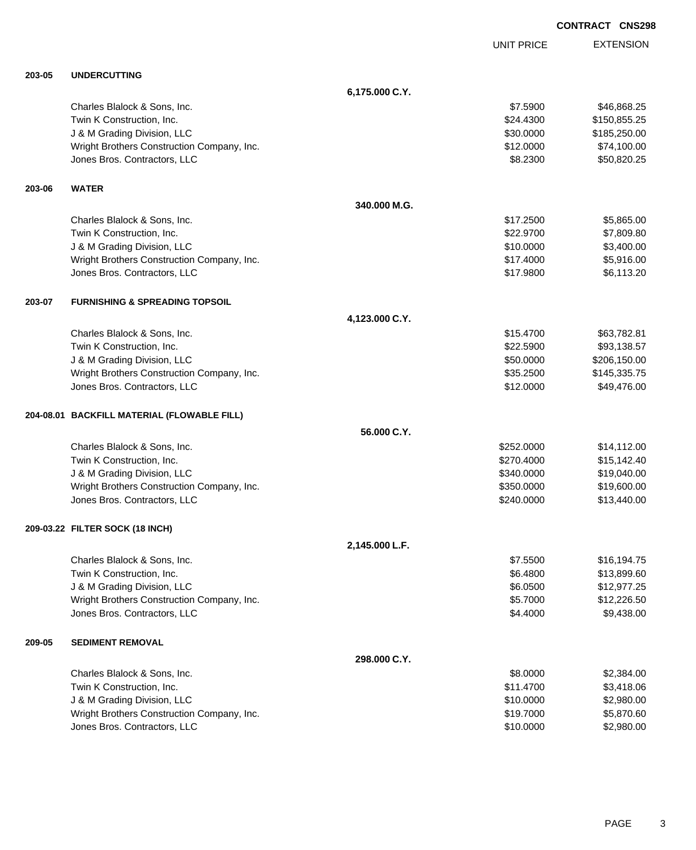EXTENSION **CONTRACT CNS298** UNIT PRICE **6,175.000 C.Y.** Charles Blalock & Sons, Inc. 6. 25 and 2012 12:30 and 2012 12:30 and 37.5900 \$46,868.25 Twin K Construction, Inc. 6. The Second State of the Second State of State State State State State State State State State State State State State State State State State State State State State State State State State Sta J & M Grading Division, LLC \$30.0000 \$185,250.00 Wright Brothers Construction Company, Inc.  $$12.0000$   $$74,100.00$ Jones Bros. Contractors, LLC 6. 2300 \$50,820.25 **340.000 M.G.** Charles Blalock & Sons, Inc. \$17.2500 \$5,865.00 Twin K Construction, Inc. 6. The Construction, Inc. 6. The Construction, Inc. 6. The Construction, Inc. 6. The Construction of the Construction, Inc. 6. The Construction of the Construction, Inc. 6. The Construction of the J & M Grading Division, LLC \$10.0000 \$3,400.00 Wright Brothers Construction Company, Inc. 6. 2012 12:30 12:4000 \$5,916.00 Jones Bros. Contractors, LLC \$17.9800 \$6,113.20

### **203-07 FURNISHING & SPREADING TOPSOIL**

**203-05 UNDERCUTTING**

**203-06 WATER**

| 4,123.000 C.Y.                             |           |              |
|--------------------------------------------|-----------|--------------|
| Charles Blalock & Sons, Inc.               | \$15,4700 | \$63,782.81  |
| Twin K Construction, Inc.                  | \$22,5900 | \$93,138.57  |
| J & M Grading Division, LLC                | \$50,0000 | \$206,150.00 |
| Wright Brothers Construction Company, Inc. | \$35,2500 | \$145,335.75 |
| Jones Bros. Contractors, LLC               | \$12,0000 | \$49,476.00  |
|                                            |           |              |

#### **204-08.01 BACKFILL MATERIAL (FLOWABLE FILL)**

|                                            | 56,000 C.Y. |             |
|--------------------------------------------|-------------|-------------|
| Charles Blalock & Sons, Inc.               | \$252,0000  | \$14,112,00 |
| Twin K Construction, Inc.                  | \$270,4000  | \$15,142,40 |
| J & M Grading Division, LLC                | \$340,0000  | \$19,040.00 |
| Wright Brothers Construction Company, Inc. | \$350,0000  | \$19,600.00 |
| Jones Bros. Contractors, LLC               | \$240,0000  | \$13,440.00 |

#### **209-03.22 FILTER SOCK (18 INCH)**

|        |                                            | 2,145.000 L.F. |             |
|--------|--------------------------------------------|----------------|-------------|
|        | Charles Blalock & Sons, Inc.               | \$7,5500       | \$16,194.75 |
|        | Twin K Construction, Inc.                  | \$6,4800       | \$13,899.60 |
|        | J & M Grading Division, LLC                | \$6,0500       | \$12,977.25 |
|        | Wright Brothers Construction Company, Inc. | \$5,7000       | \$12,226.50 |
|        | Jones Bros. Contractors, LLC               | \$4,4000       | \$9,438.00  |
| 209-05 | <b>SEDIMENT REMOVAL</b>                    |                |             |
|        |                                            | 298.000 C.Y.   |             |
|        | Charles Blalock & Sons, Inc.               | \$8,0000       | \$2,384.00  |
|        | Twin K Construction, Inc.                  | \$11,4700      | \$3,418.06  |
|        | J & M Grading Division, LLC                | \$10.0000      | \$2,980.00  |
|        | Wright Brothers Construction Company, Inc. | \$19,7000      | \$5,870.60  |
|        | Jones Bros. Contractors, LLC               | \$10,0000      | \$2,980.00  |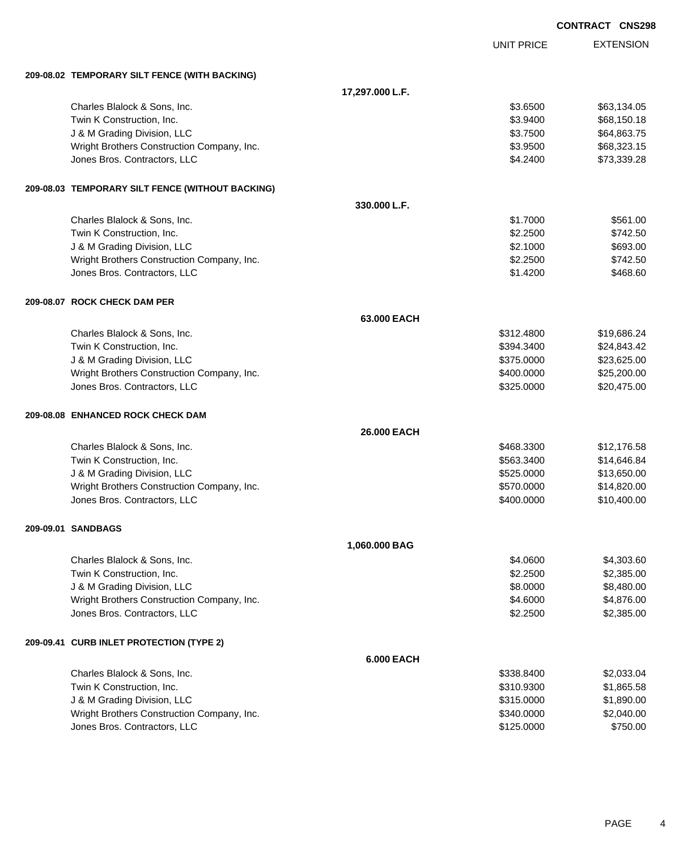|                                                  |                   |                   | <b>CONTRACT CNS298</b> |                  |
|--------------------------------------------------|-------------------|-------------------|------------------------|------------------|
|                                                  |                   | <b>UNIT PRICE</b> |                        | <b>EXTENSION</b> |
| 209-08.02 TEMPORARY SILT FENCE (WITH BACKING)    |                   |                   |                        |                  |
|                                                  | 17,297.000 L.F.   |                   |                        |                  |
| Charles Blalock & Sons, Inc.                     |                   | \$3.6500          |                        | \$63,134.05      |
| Twin K Construction, Inc.                        |                   | \$3.9400          |                        | \$68,150.18      |
| J & M Grading Division, LLC                      |                   | \$3.7500          |                        | \$64,863.75      |
| Wright Brothers Construction Company, Inc.       |                   | \$3.9500          |                        | \$68,323.15      |
| Jones Bros. Contractors, LLC                     |                   | \$4.2400          |                        | \$73,339.28      |
| 209-08.03 TEMPORARY SILT FENCE (WITHOUT BACKING) |                   |                   |                        |                  |
|                                                  | 330.000 L.F.      |                   |                        |                  |
| Charles Blalock & Sons, Inc.                     |                   | \$1.7000          |                        | \$561.00         |
| Twin K Construction, Inc.                        |                   | \$2.2500          |                        | \$742.50         |
| J & M Grading Division, LLC                      |                   | \$2.1000          |                        | \$693.00         |
| Wright Brothers Construction Company, Inc.       |                   | \$2.2500          |                        | \$742.50         |
| Jones Bros. Contractors, LLC                     |                   | \$1.4200          |                        | \$468.60         |
| 209-08.07 ROCK CHECK DAM PER                     |                   |                   |                        |                  |
|                                                  | 63,000 EACH       |                   |                        |                  |
| Charles Blalock & Sons, Inc.                     |                   | \$312.4800        |                        | \$19,686.24      |
| Twin K Construction, Inc.                        |                   | \$394.3400        |                        | \$24,843.42      |
| J & M Grading Division, LLC                      |                   | \$375.0000        |                        | \$23,625.00      |
| Wright Brothers Construction Company, Inc.       |                   | \$400.0000        |                        | \$25,200.00      |
| Jones Bros. Contractors, LLC                     |                   | \$325.0000        |                        | \$20,475.00      |
| 209-08.08 ENHANCED ROCK CHECK DAM                |                   |                   |                        |                  |
|                                                  | 26.000 EACH       |                   |                        |                  |
| Charles Blalock & Sons, Inc.                     |                   | \$468.3300        |                        | \$12,176.58      |
| Twin K Construction, Inc.                        |                   | \$563.3400        |                        | \$14,646.84      |
| J & M Grading Division, LLC                      |                   | \$525.0000        |                        | \$13,650.00      |
| Wright Brothers Construction Company, Inc.       |                   | \$570.0000        |                        | \$14,820.00      |
| Jones Bros. Contractors, LLC                     |                   | \$400.0000        |                        | \$10,400.00      |
| 209-09.01 SANDBAGS                               |                   |                   |                        |                  |
|                                                  | 1,060.000 BAG     |                   |                        |                  |
| Charles Blalock & Sons, Inc.                     |                   | \$4.0600          |                        | \$4,303.60       |
| Twin K Construction, Inc.                        |                   | \$2.2500          |                        | \$2,385.00       |
| J & M Grading Division, LLC                      |                   | \$8.0000          |                        | \$8,480.00       |
| Wright Brothers Construction Company, Inc.       |                   | \$4.6000          |                        | \$4,876.00       |
| Jones Bros. Contractors, LLC                     |                   | \$2.2500          |                        | \$2,385.00       |
| 209-09.41 CURB INLET PROTECTION (TYPE 2)         |                   |                   |                        |                  |
|                                                  | <b>6.000 EACH</b> |                   |                        |                  |
| Charles Blalock & Sons, Inc.                     |                   | \$338.8400        |                        | \$2,033.04       |
| Twin K Construction, Inc.                        |                   | \$310.9300        |                        | \$1,865.58       |
| J & M Grading Division, LLC                      |                   | \$315.0000        |                        | \$1,890.00       |
| Wright Brothers Construction Company, Inc.       |                   | \$340.0000        |                        | \$2,040.00       |
| Jones Bros. Contractors, LLC                     |                   | \$125.0000        |                        | \$750.00         |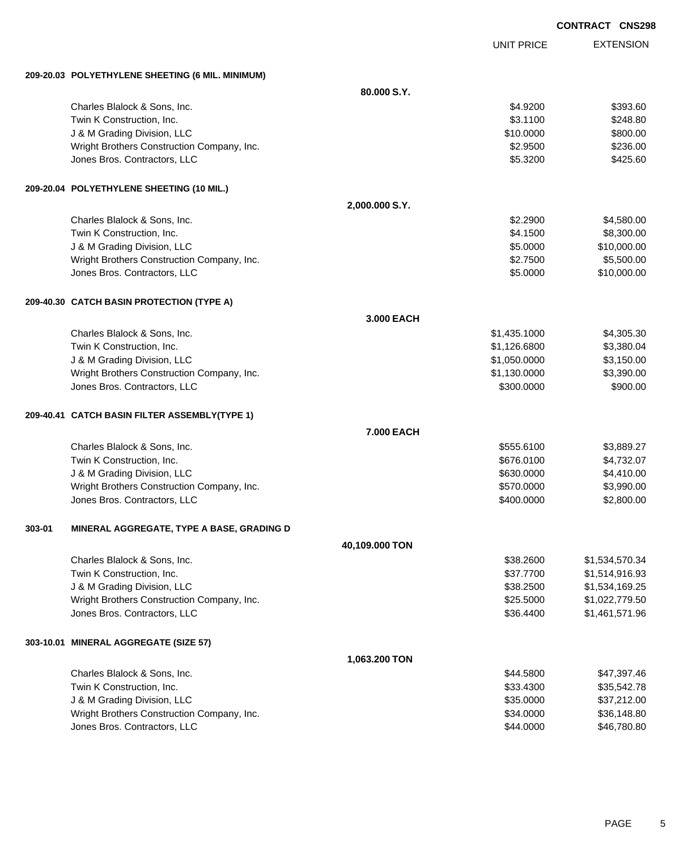|        |                                                  |                   |                   | <b>CONTRACT CNS298</b> |
|--------|--------------------------------------------------|-------------------|-------------------|------------------------|
|        |                                                  |                   | <b>UNIT PRICE</b> | <b>EXTENSION</b>       |
|        | 209-20.03 POLYETHYLENE SHEETING (6 MIL. MINIMUM) |                   |                   |                        |
|        |                                                  | 80.000 S.Y.       |                   |                        |
|        | Charles Blalock & Sons, Inc.                     |                   | \$4.9200          | \$393.60               |
|        | Twin K Construction, Inc.                        |                   | \$3.1100          | \$248.80               |
|        | J & M Grading Division, LLC                      |                   | \$10.0000         | \$800.00               |
|        | Wright Brothers Construction Company, Inc.       |                   | \$2.9500          | \$236.00               |
|        | Jones Bros. Contractors, LLC                     |                   | \$5.3200          | \$425.60               |
|        | 209-20.04 POLYETHYLENE SHEETING (10 MIL.)        |                   |                   |                        |
|        |                                                  | 2,000.000 S.Y.    |                   |                        |
|        | Charles Blalock & Sons, Inc.                     |                   | \$2.2900          | \$4,580.00             |
|        | Twin K Construction, Inc.                        |                   | \$4.1500          | \$8,300.00             |
|        | J & M Grading Division, LLC                      |                   | \$5.0000          | \$10,000.00            |
|        | Wright Brothers Construction Company, Inc.       |                   | \$2.7500          | \$5,500.00             |
|        | Jones Bros. Contractors, LLC                     |                   | \$5.0000          | \$10,000.00            |
|        | 209-40.30 CATCH BASIN PROTECTION (TYPE A)        |                   |                   |                        |
|        |                                                  | 3.000 EACH        |                   |                        |
|        | Charles Blalock & Sons, Inc.                     |                   | \$1,435.1000      | \$4,305.30             |
|        | Twin K Construction, Inc.                        |                   | \$1,126.6800      | \$3,380.04             |
|        | J & M Grading Division, LLC                      |                   | \$1,050.0000      | \$3,150.00             |
|        | Wright Brothers Construction Company, Inc.       |                   | \$1,130.0000      | \$3,390.00             |
|        | Jones Bros. Contractors, LLC                     |                   | \$300.0000        | \$900.00               |
|        | 209-40.41 CATCH BASIN FILTER ASSEMBLY(TYPE 1)    |                   |                   |                        |
|        |                                                  | <b>7.000 EACH</b> |                   |                        |
|        | Charles Blalock & Sons, Inc.                     |                   | \$555.6100        | \$3,889.27             |
|        | Twin K Construction, Inc.                        |                   | \$676.0100        | \$4,732.07             |
|        | J & M Grading Division, LLC                      |                   | \$630.0000        | \$4,410.00             |
|        | Wright Brothers Construction Company, Inc.       |                   | \$570.0000        | \$3,990.00             |
|        | Jones Bros. Contractors, LLC                     |                   | \$400.0000        | \$2,800.00             |
| 303-01 | MINERAL AGGREGATE, TYPE A BASE, GRADING D        |                   |                   |                        |
|        |                                                  | 40,109.000 TON    |                   |                        |
|        | Charles Blalock & Sons, Inc.                     |                   | \$38.2600         | \$1,534,570.34         |
|        | Twin K Construction, Inc.                        |                   | \$37.7700         | \$1,514,916.93         |
|        | J & M Grading Division, LLC                      |                   | \$38.2500         | \$1,534,169.25         |
|        | Wright Brothers Construction Company, Inc.       |                   | \$25.5000         | \$1,022,779.50         |
|        | Jones Bros. Contractors, LLC                     |                   | \$36.4400         | \$1,461,571.96         |
|        | 303-10.01 MINERAL AGGREGATE (SIZE 57)            |                   |                   |                        |
|        |                                                  | 1,063.200 TON     |                   |                        |
|        | Charles Blalock & Sons, Inc.                     |                   | \$44.5800         | \$47,397.46            |
|        | Twin K Construction, Inc.                        |                   | \$33.4300         | \$35,542.78            |
|        | J & M Grading Division, LLC                      |                   | \$35.0000         | \$37,212.00            |
|        | Wright Brothers Construction Company, Inc.       |                   | \$34.0000         | \$36,148.80            |

dones Bros. Contractors, LLC 6000 \$46,780.80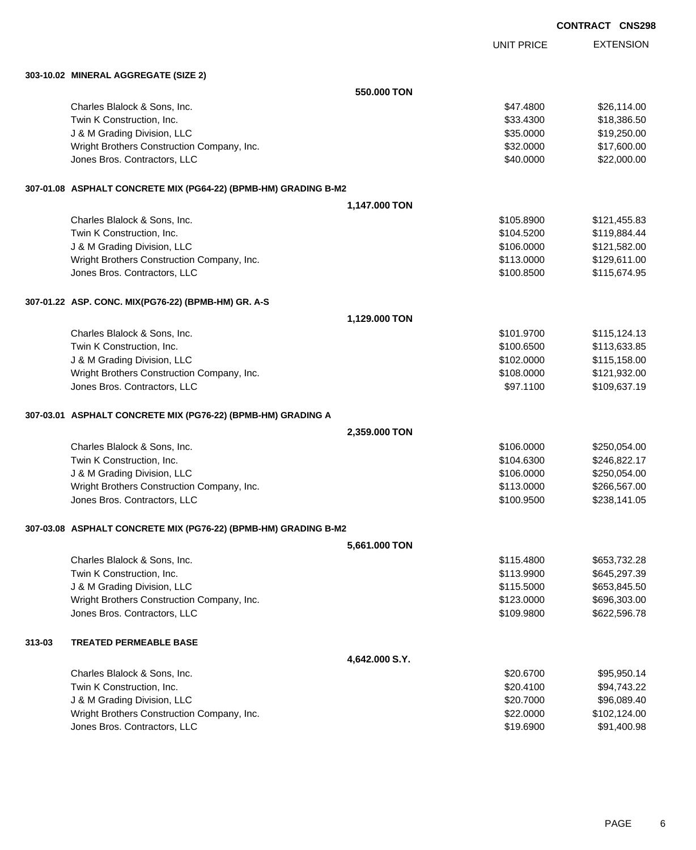EXTENSION **CONTRACT CNS298**

UNIT PRICE

**303-10.02 MINERAL AGGREGATE (SIZE 2)**

|        | 303-10.02 MINERAL AGGREGATE (SIZE 2)                            |                |            |              |
|--------|-----------------------------------------------------------------|----------------|------------|--------------|
|        |                                                                 | 550.000 TON    |            |              |
|        | Charles Blalock & Sons, Inc.                                    |                | \$47.4800  | \$26,114.00  |
|        | Twin K Construction, Inc.                                       |                | \$33.4300  | \$18,386.50  |
|        | J & M Grading Division, LLC                                     |                | \$35.0000  | \$19,250.00  |
|        | Wright Brothers Construction Company, Inc.                      |                | \$32.0000  | \$17,600.00  |
|        | Jones Bros. Contractors, LLC                                    |                | \$40.0000  | \$22,000.00  |
|        | 307-01.08 ASPHALT CONCRETE MIX (PG64-22) (BPMB-HM) GRADING B-M2 |                |            |              |
|        |                                                                 | 1,147.000 TON  |            |              |
|        | Charles Blalock & Sons, Inc.                                    |                | \$105.8900 | \$121,455.83 |
|        | Twin K Construction, Inc.                                       |                | \$104.5200 | \$119,884.44 |
|        | J & M Grading Division, LLC                                     |                | \$106.0000 | \$121,582.00 |
|        | Wright Brothers Construction Company, Inc.                      |                | \$113.0000 | \$129,611.00 |
|        | Jones Bros. Contractors, LLC                                    |                | \$100.8500 | \$115,674.95 |
|        | 307-01.22 ASP. CONC. MIX(PG76-22) (BPMB-HM) GR. A-S             |                |            |              |
|        |                                                                 | 1,129.000 TON  |            |              |
|        | Charles Blalock & Sons, Inc.                                    |                | \$101.9700 | \$115,124.13 |
|        | Twin K Construction, Inc.                                       |                | \$100.6500 | \$113,633.85 |
|        | J & M Grading Division, LLC                                     |                | \$102.0000 | \$115,158.00 |
|        | Wright Brothers Construction Company, Inc.                      |                | \$108.0000 | \$121,932.00 |
|        | Jones Bros. Contractors, LLC                                    |                | \$97.1100  | \$109,637.19 |
|        | 307-03.01 ASPHALT CONCRETE MIX (PG76-22) (BPMB-HM) GRADING A    |                |            |              |
|        |                                                                 | 2,359.000 TON  |            |              |
|        | Charles Blalock & Sons, Inc.                                    |                | \$106.0000 | \$250,054.00 |
|        | Twin K Construction, Inc.                                       |                | \$104.6300 | \$246,822.17 |
|        | J & M Grading Division, LLC                                     |                | \$106.0000 | \$250,054.00 |
|        | Wright Brothers Construction Company, Inc.                      |                | \$113.0000 | \$266,567.00 |
|        | Jones Bros. Contractors, LLC                                    |                | \$100.9500 | \$238,141.05 |
|        | 307-03.08 ASPHALT CONCRETE MIX (PG76-22) (BPMB-HM) GRADING B-M2 |                |            |              |
|        |                                                                 | 5,661.000 TON  |            |              |
|        | Charles Blalock & Sons, Inc.                                    |                | \$115.4800 | \$653,732.28 |
|        | Twin K Construction, Inc.                                       |                | \$113.9900 | \$645,297.39 |
|        | J & M Grading Division, LLC                                     |                | \$115.5000 | \$653,845.50 |
|        | Wright Brothers Construction Company, Inc.                      |                | \$123.0000 | \$696,303.00 |
|        | Jones Bros. Contractors, LLC                                    |                | \$109.9800 | \$622,596.78 |
| 313-03 | <b>TREATED PERMEABLE BASE</b>                                   |                |            |              |
|        |                                                                 | 4,642.000 S.Y. |            |              |
|        | Charles Blalock & Sons, Inc.                                    |                | \$20.6700  | \$95,950.14  |
|        | Twin K Construction, Inc.                                       |                | \$20.4100  | \$94,743.22  |
|        | J & M Grading Division, LLC                                     |                | \$20.7000  | \$96,089.40  |
|        | Wright Brothers Construction Company, Inc.                      |                | \$22.0000  | \$102,124.00 |
|        | Jones Bros. Contractors, LLC                                    |                | \$19.6900  | \$91,400.98  |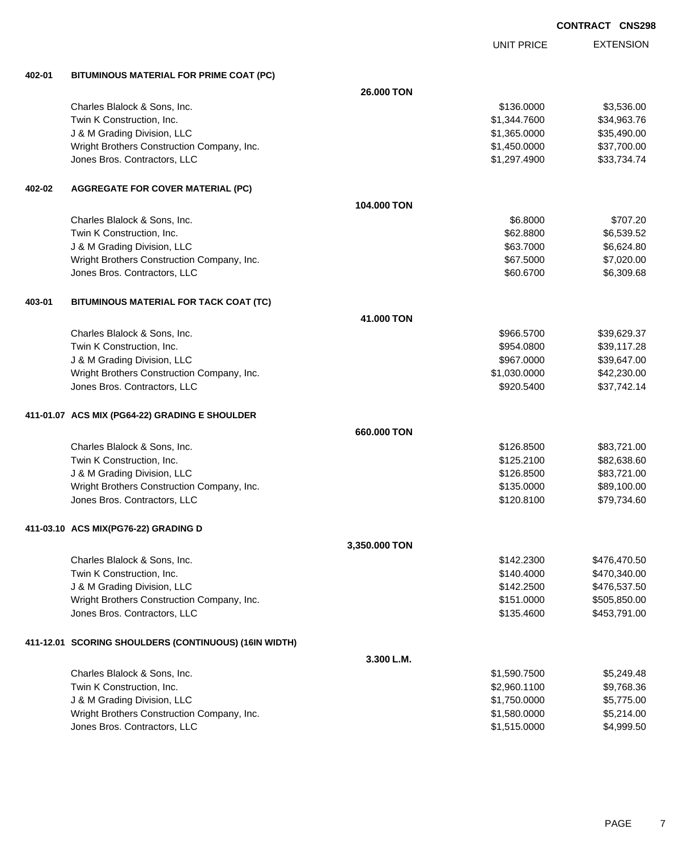|        |                                                       |               | UNIT PRICE   | <b>EXTENSION</b> |
|--------|-------------------------------------------------------|---------------|--------------|------------------|
| 402-01 | BITUMINOUS MATERIAL FOR PRIME COAT (PC)               |               |              |                  |
|        |                                                       | 26,000 TON    |              |                  |
|        | Charles Blalock & Sons, Inc.                          |               | \$136.0000   | \$3,536.00       |
|        | Twin K Construction, Inc.                             |               | \$1,344.7600 | \$34,963.76      |
|        | J & M Grading Division, LLC                           |               | \$1,365.0000 | \$35,490.00      |
|        | Wright Brothers Construction Company, Inc.            |               | \$1,450.0000 | \$37,700.00      |
|        | Jones Bros. Contractors, LLC                          |               | \$1,297.4900 | \$33,734.74      |
| 402-02 | <b>AGGREGATE FOR COVER MATERIAL (PC)</b>              |               |              |                  |
|        |                                                       | 104.000 TON   |              |                  |
|        | Charles Blalock & Sons, Inc.                          |               | \$6.8000     | \$707.20         |
|        | Twin K Construction, Inc.                             |               | \$62.8800    | \$6,539.52       |
|        | J & M Grading Division, LLC                           |               | \$63.7000    | \$6,624.80       |
|        | Wright Brothers Construction Company, Inc.            |               | \$67.5000    | \$7,020.00       |
|        | Jones Bros. Contractors, LLC                          |               | \$60.6700    | \$6,309.68       |
| 403-01 | BITUMINOUS MATERIAL FOR TACK COAT (TC)                |               |              |                  |
|        |                                                       | 41.000 TON    |              |                  |
|        | Charles Blalock & Sons, Inc.                          |               | \$966.5700   | \$39,629.37      |
|        | Twin K Construction, Inc.                             |               | \$954.0800   | \$39,117.28      |
|        | J & M Grading Division, LLC                           |               | \$967.0000   | \$39,647.00      |
|        | Wright Brothers Construction Company, Inc.            |               | \$1,030.0000 | \$42,230.00      |
|        | Jones Bros. Contractors, LLC                          |               | \$920.5400   | \$37,742.14      |
|        | 411-01.07 ACS MIX (PG64-22) GRADING E SHOULDER        |               |              |                  |
|        |                                                       | 660.000 TON   |              |                  |
|        | Charles Blalock & Sons, Inc.                          |               | \$126.8500   | \$83,721.00      |
|        | Twin K Construction, Inc.                             |               | \$125.2100   | \$82,638.60      |
|        | J & M Grading Division, LLC                           |               | \$126.8500   | \$83,721.00      |
|        | Wright Brothers Construction Company, Inc.            |               | \$135.0000   | \$89,100.00      |
|        | Jones Bros. Contractors, LLC                          |               | \$120.8100   | \$79,734.60      |
|        | 411-03.10 ACS MIX(PG76-22) GRADING D                  |               |              |                  |
|        |                                                       | 3,350.000 TON |              |                  |
|        | Charles Blalock & Sons, Inc.                          |               | \$142.2300   | \$476,470.50     |
|        | Twin K Construction, Inc.                             |               | \$140.4000   | \$470,340.00     |
|        | J & M Grading Division, LLC                           |               | \$142.2500   | \$476,537.50     |
|        | Wright Brothers Construction Company, Inc.            |               | \$151.0000   | \$505,850.00     |
|        | Jones Bros. Contractors, LLC                          |               | \$135.4600   | \$453,791.00     |
|        | 411-12.01 SCORING SHOULDERS (CONTINUOUS) (16IN WIDTH) |               |              |                  |
|        |                                                       | 3.300 L.M.    |              |                  |
|        | Charles Blalock & Sons, Inc.                          |               | \$1,590.7500 | \$5,249.48       |
|        | Twin K Construction, Inc.                             |               | \$2,960.1100 | \$9,768.36       |
|        | J & M Grading Division, LLC                           |               | \$1,750.0000 | \$5,775.00       |
|        | Wright Brothers Construction Company, Inc.            |               | \$1,580.0000 | \$5,214.00       |
|        | Jones Bros. Contractors, LLC                          |               | \$1,515.0000 | \$4,999.50       |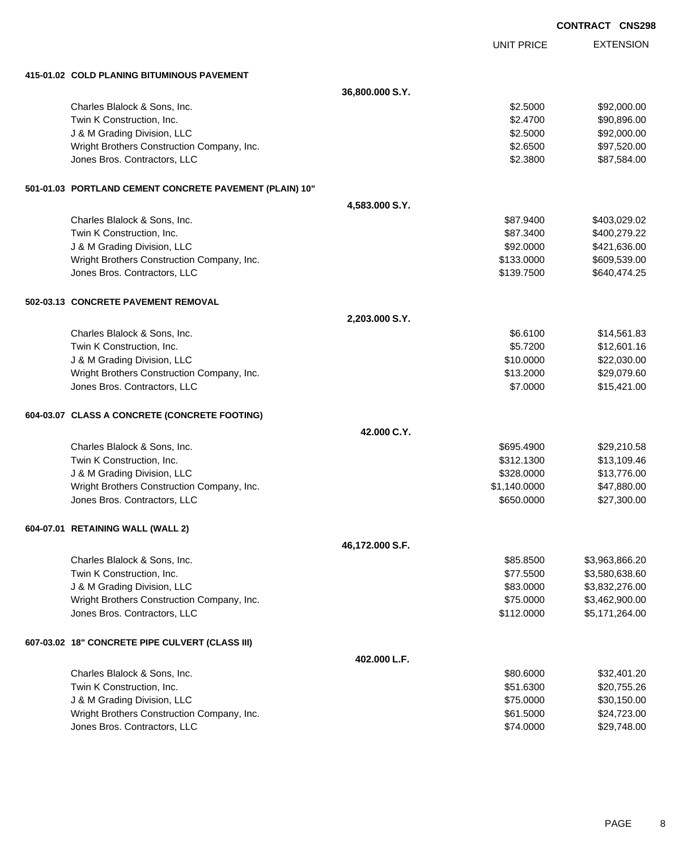|                                                         | <b>CONTRACT CNS298</b> |                   |                  |
|---------------------------------------------------------|------------------------|-------------------|------------------|
|                                                         |                        | <b>UNIT PRICE</b> | <b>EXTENSION</b> |
| 415-01.02 COLD PLANING BITUMINOUS PAVEMENT              |                        |                   |                  |
|                                                         | 36,800.000 S.Y.        |                   |                  |
| Charles Blalock & Sons, Inc.                            |                        | \$2.5000          | \$92,000.00      |
| Twin K Construction, Inc.                               |                        | \$2.4700          | \$90,896.00      |
| J & M Grading Division, LLC                             |                        | \$2.5000          | \$92,000.00      |
| Wright Brothers Construction Company, Inc.              |                        | \$2.6500          | \$97,520.00      |
| Jones Bros. Contractors, LLC                            |                        | \$2.3800          | \$87,584.00      |
| 501-01.03 PORTLAND CEMENT CONCRETE PAVEMENT (PLAIN) 10" |                        |                   |                  |
|                                                         | 4,583.000 S.Y.         |                   |                  |
| Charles Blalock & Sons, Inc.                            |                        | \$87.9400         | \$403,029.02     |
| Twin K Construction, Inc.                               |                        | \$87.3400         | \$400,279.22     |
| J & M Grading Division, LLC                             |                        | \$92.0000         | \$421,636.00     |
| Wright Brothers Construction Company, Inc.              |                        | \$133.0000        | \$609,539.00     |
| Jones Bros. Contractors, LLC                            |                        | \$139.7500        | \$640,474.25     |
| 502-03.13 CONCRETE PAVEMENT REMOVAL                     |                        |                   |                  |
|                                                         | 2,203.000 S.Y.         |                   |                  |
| Charles Blalock & Sons, Inc.                            |                        | \$6.6100          | \$14,561.83      |
| Twin K Construction, Inc.                               |                        | \$5.7200          | \$12,601.16      |
| J & M Grading Division, LLC                             |                        | \$10.0000         | \$22,030.00      |
| Wright Brothers Construction Company, Inc.              |                        | \$13.2000         | \$29,079.60      |
| Jones Bros. Contractors, LLC                            |                        | \$7.0000          | \$15,421.00      |
| 604-03.07 CLASS A CONCRETE (CONCRETE FOOTING)           |                        |                   |                  |
|                                                         | 42.000 C.Y.            |                   |                  |
| Charles Blalock & Sons, Inc.                            |                        | \$695.4900        | \$29,210.58      |
| Twin K Construction, Inc.                               |                        | \$312.1300        | \$13,109.46      |
| J & M Grading Division, LLC                             |                        | \$328.0000        | \$13,776.00      |
| Wright Brothers Construction Company, Inc.              |                        | \$1,140.0000      | \$47,880.00      |
| Jones Bros. Contractors, LLC                            |                        | \$650.0000        | \$27,300.00      |
| 604-07.01 RETAINING WALL (WALL 2)                       |                        |                   |                  |
|                                                         | 46,172.000 S.F.        |                   |                  |
| Charles Blalock & Sons, Inc.                            |                        | \$85.8500         | \$3,963,866.20   |
| Twin K Construction, Inc.                               |                        | \$77.5500         | \$3,580,638.60   |
| J & M Grading Division, LLC                             |                        | \$83.0000         | \$3,832,276.00   |
| Wright Brothers Construction Company, Inc.              |                        | \$75.0000         | \$3,462,900.00   |
| Jones Bros. Contractors, LLC                            |                        | \$112.0000        | \$5,171,264.00   |
| 607-03.02 18" CONCRETE PIPE CULVERT (CLASS III)         |                        |                   |                  |
|                                                         | 402.000 L.F.           |                   |                  |
| Charles Blalock & Sons, Inc.                            |                        | \$80.6000         | \$32,401.20      |
| Twin K Construction, Inc.                               |                        | \$51.6300         | \$20,755.26      |
| J & M Grading Division, LLC                             |                        | \$75.0000         | \$30,150.00      |
| Wright Brothers Construction Company, Inc.              |                        | \$61.5000         | \$24,723.00      |
| Jones Bros. Contractors, LLC                            |                        | \$74.0000         | \$29,748.00      |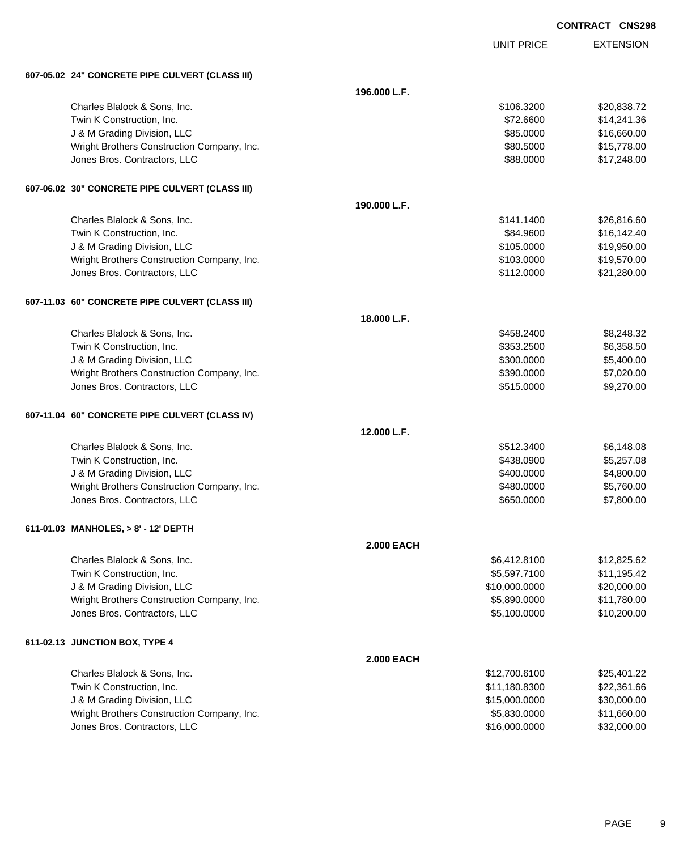| <b>CONTRACT</b> | <b>CNS298</b> |
|-----------------|---------------|
|-----------------|---------------|

|                                                 | <b>UNIT PRICE</b> | <b>EXTENSION</b> |
|-------------------------------------------------|-------------------|------------------|
| 607-05.02 24" CONCRETE PIPE CULVERT (CLASS III) |                   |                  |
|                                                 | 196.000 L.F.      |                  |
| Charles Blalock & Sons, Inc.                    | \$106.3200        | \$20,838.72      |
| Twin K Construction, Inc.                       | \$72.6600         | \$14,241.36      |
| J & M Grading Division, LLC                     | \$85.0000         | \$16,660.00      |
| Wright Brothers Construction Company, Inc.      | \$80.5000         | \$15,778.00      |
| Jones Bros. Contractors, LLC                    | \$88.0000         | \$17,248.00      |
| 607-06.02 30" CONCRETE PIPE CULVERT (CLASS III) |                   |                  |
|                                                 | 190.000 L.F.      |                  |
| Charles Blalock & Sons, Inc.                    | \$141.1400        | \$26,816.60      |
| Twin K Construction, Inc.                       | \$84.9600         | \$16,142.40      |
| J & M Grading Division, LLC                     | \$105.0000        | \$19,950.00      |
| Wright Brothers Construction Company, Inc.      | \$103.0000        | \$19,570.00      |
| Jones Bros. Contractors, LLC                    | \$112.0000        | \$21,280.00      |
| 607-11.03 60" CONCRETE PIPE CULVERT (CLASS III) |                   |                  |
|                                                 | 18.000 L.F.       |                  |
| Charles Blalock & Sons, Inc.                    | \$458.2400        | \$8,248.32       |
| Twin K Construction, Inc.                       | \$353.2500        | \$6,358.50       |
| J & M Grading Division, LLC                     | \$300.0000        | \$5,400.00       |
| Wright Brothers Construction Company, Inc.      | \$390.0000        | \$7,020.00       |
| Jones Bros. Contractors, LLC                    | \$515.0000        | \$9,270.00       |
| 607-11.04 60" CONCRETE PIPE CULVERT (CLASS IV)  |                   |                  |
|                                                 | 12.000 L.F.       |                  |
| Charles Blalock & Sons, Inc.                    | \$512.3400        | \$6,148.08       |
| Twin K Construction, Inc.                       | \$438.0900        | \$5,257.08       |
| J & M Grading Division, LLC                     | \$400.0000        | \$4,800.00       |
| Wright Brothers Construction Company, Inc.      | \$480.0000        | \$5,760.00       |
| Jones Bros. Contractors, LLC                    | \$650.0000        | \$7,800.00       |
| 611-01.03 MANHOLES, > 8' - 12' DEPTH            |                   |                  |
|                                                 | <b>2.000 EACH</b> |                  |
| Charles Blalock & Sons, Inc.                    | \$6,412.8100      | \$12,825.62      |
| Twin K Construction, Inc.                       | \$5,597.7100      | \$11,195.42      |
| J & M Grading Division, LLC                     | \$10,000.0000     | \$20,000.00      |
| Wright Brothers Construction Company, Inc.      | \$5,890.0000      | \$11,780.00      |
| Jones Bros. Contractors, LLC                    | \$5,100.0000      | \$10,200.00      |
| 611-02.13 JUNCTION BOX, TYPE 4                  |                   |                  |
|                                                 | <b>2.000 EACH</b> |                  |
| Charles Blalock & Sons, Inc.                    | \$12,700.6100     | \$25,401.22      |
| Twin K Construction, Inc.                       | \$11,180.8300     | \$22,361.66      |
| J & M Grading Division, LLC                     | \$15,000.0000     | \$30,000.00      |
| Wright Brothers Construction Company, Inc.      | \$5,830.0000      | \$11,660.00      |
| Jones Bros. Contractors, LLC                    | \$16,000.0000     | \$32,000.00      |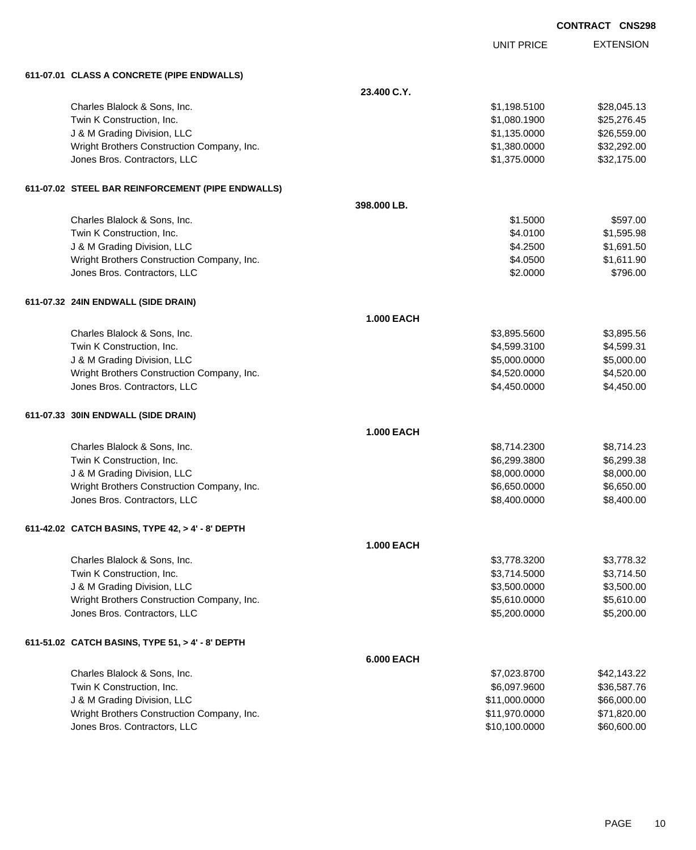|                                                                            |                   |                              | <b>CONTRACT CNS298</b>   |
|----------------------------------------------------------------------------|-------------------|------------------------------|--------------------------|
|                                                                            |                   | <b>UNIT PRICE</b>            | <b>EXTENSION</b>         |
| 611-07.01 CLASS A CONCRETE (PIPE ENDWALLS)                                 |                   |                              |                          |
|                                                                            | 23.400 C.Y.       |                              |                          |
| Charles Blalock & Sons, Inc.                                               |                   | \$1,198.5100                 | \$28,045.13              |
| Twin K Construction, Inc.                                                  |                   | \$1,080.1900                 | \$25,276.45              |
| J & M Grading Division, LLC                                                |                   | \$1,135.0000                 | \$26,559.00              |
| Wright Brothers Construction Company, Inc.                                 |                   | \$1,380.0000                 | \$32,292.00              |
| Jones Bros. Contractors, LLC                                               |                   | \$1,375.0000                 | \$32,175.00              |
| 611-07.02 STEEL BAR REINFORCEMENT (PIPE ENDWALLS)                          |                   |                              |                          |
|                                                                            | 398.000 LB.       |                              |                          |
| Charles Blalock & Sons, Inc.                                               |                   | \$1.5000                     | \$597.00                 |
| Twin K Construction, Inc.                                                  |                   | \$4.0100                     | \$1,595.98               |
| J & M Grading Division, LLC                                                |                   | \$4.2500                     | \$1,691.50               |
| Wright Brothers Construction Company, Inc.                                 |                   | \$4.0500                     | \$1,611.90               |
| Jones Bros. Contractors, LLC                                               |                   | \$2.0000                     | \$796.00                 |
| 611-07.32 24IN ENDWALL (SIDE DRAIN)                                        |                   |                              |                          |
|                                                                            | <b>1.000 EACH</b> |                              |                          |
| Charles Blalock & Sons, Inc.                                               |                   | \$3,895.5600                 | \$3,895.56               |
| Twin K Construction, Inc.                                                  |                   | \$4,599.3100                 | \$4,599.31               |
| J & M Grading Division, LLC                                                |                   | \$5,000.0000                 | \$5,000.00               |
| Wright Brothers Construction Company, Inc.<br>Jones Bros. Contractors, LLC |                   | \$4,520.0000<br>\$4,450.0000 | \$4,520.00<br>\$4,450.00 |
|                                                                            |                   |                              |                          |
| 611-07.33 30IN ENDWALL (SIDE DRAIN)                                        | <b>1.000 EACH</b> |                              |                          |
|                                                                            |                   |                              |                          |
| Charles Blalock & Sons, Inc.<br>Twin K Construction, Inc.                  |                   | \$8,714.2300<br>\$6,299.3800 | \$8,714.23               |
| J & M Grading Division, LLC                                                |                   | \$8,000.0000                 | \$6,299.38<br>\$8,000.00 |
| Wright Brothers Construction Company, Inc.                                 |                   | \$6,650.0000                 | \$6,650.00               |
| Jones Bros. Contractors, LLC                                               |                   | \$8,400.0000                 | \$8,400.00               |
|                                                                            |                   |                              |                          |
| 611-42.02 CATCH BASINS, TYPE 42, > 4' - 8' DEPTH                           |                   |                              |                          |
|                                                                            | 1.000 EACH        |                              |                          |
| Charles Blalock & Sons, Inc.                                               |                   | \$3,778.3200                 | \$3,778.32               |
| Twin K Construction, Inc.                                                  |                   | \$3,714.5000                 | \$3,714.50               |
| J & M Grading Division, LLC<br>Wright Brothers Construction Company, Inc.  |                   | \$3,500.0000<br>\$5,610.0000 | \$3,500.00<br>\$5,610.00 |
| Jones Bros. Contractors, LLC                                               |                   | \$5,200.0000                 | \$5,200.00               |
|                                                                            |                   |                              |                          |
| 611-51.02 CATCH BASINS, TYPE 51, > 4' - 8' DEPTH                           | <b>6.000 EACH</b> |                              |                          |
| Charles Blalock & Sons, Inc.                                               |                   | \$7,023.8700                 | \$42,143.22              |
| Twin K Construction, Inc.                                                  |                   | \$6,097.9600                 | \$36,587.76              |
| J & M Grading Division, LLC                                                |                   | \$11,000.0000                | \$66,000.00              |
| Wright Brothers Construction Company, Inc.                                 |                   | \$11,970.0000                | \$71,820.00              |

Jones Bros. Contractors, LLC \$10,100.0000 \$60,600.00

PAGE 10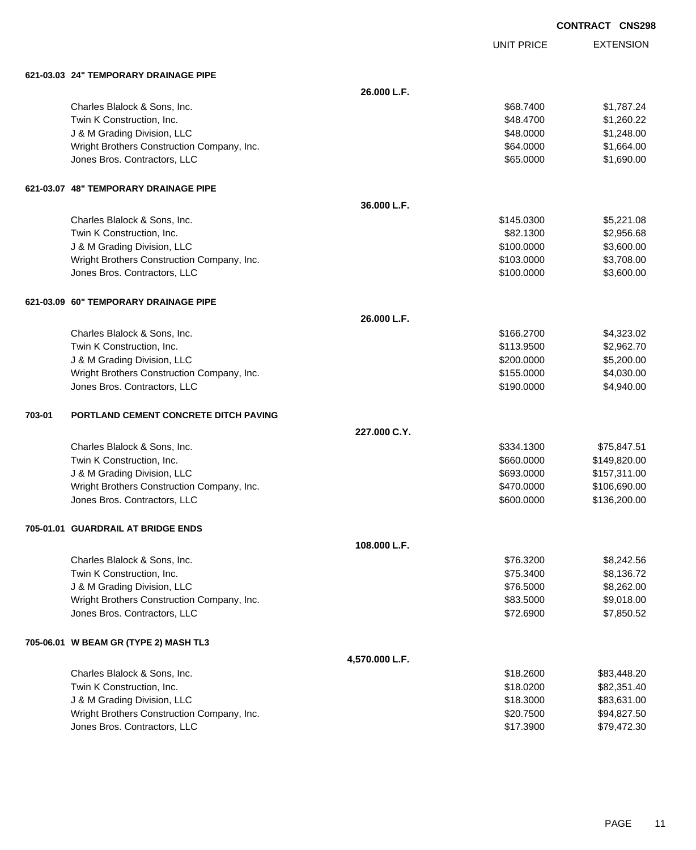UNIT PRICE EXTENSION

|        | 621-03.03 24" TEMPORARY DRAINAGE PIPE        |                |            |              |
|--------|----------------------------------------------|----------------|------------|--------------|
|        |                                              | 26.000 L.F.    |            |              |
|        | Charles Blalock & Sons, Inc.                 |                | \$68.7400  | \$1,787.24   |
|        | Twin K Construction, Inc.                    |                | \$48.4700  | \$1,260.22   |
|        | J & M Grading Division, LLC                  |                | \$48.0000  | \$1,248.00   |
|        | Wright Brothers Construction Company, Inc.   |                | \$64.0000  | \$1,664.00   |
|        | Jones Bros. Contractors, LLC                 |                | \$65.0000  | \$1,690.00   |
|        | 621-03.07 48" TEMPORARY DRAINAGE PIPE        |                |            |              |
|        |                                              | 36.000 L.F.    |            |              |
|        | Charles Blalock & Sons, Inc.                 |                | \$145.0300 | \$5,221.08   |
|        | Twin K Construction, Inc.                    |                | \$82.1300  | \$2,956.68   |
|        | J & M Grading Division, LLC                  |                | \$100.0000 | \$3,600.00   |
|        | Wright Brothers Construction Company, Inc.   |                | \$103.0000 | \$3,708.00   |
|        | Jones Bros. Contractors, LLC                 |                | \$100.0000 | \$3,600.00   |
|        | 621-03.09 60" TEMPORARY DRAINAGE PIPE        |                |            |              |
|        |                                              | 26.000 L.F.    |            |              |
|        | Charles Blalock & Sons, Inc.                 |                | \$166.2700 | \$4,323.02   |
|        | Twin K Construction, Inc.                    |                | \$113.9500 | \$2,962.70   |
|        | J & M Grading Division, LLC                  |                | \$200.0000 | \$5,200.00   |
|        | Wright Brothers Construction Company, Inc.   |                | \$155.0000 | \$4,030.00   |
|        | Jones Bros. Contractors, LLC                 |                | \$190.0000 | \$4,940.00   |
| 703-01 | <b>PORTLAND CEMENT CONCRETE DITCH PAVING</b> |                |            |              |
|        |                                              | 227.000 C.Y.   |            |              |
|        | Charles Blalock & Sons, Inc.                 |                | \$334.1300 | \$75,847.51  |
|        | Twin K Construction, Inc.                    |                | \$660.0000 | \$149,820.00 |
|        | J & M Grading Division, LLC                  |                | \$693.0000 | \$157,311.00 |
|        | Wright Brothers Construction Company, Inc.   |                | \$470.0000 | \$106,690.00 |
|        | Jones Bros. Contractors, LLC                 |                | \$600.0000 | \$136,200.00 |
|        | 705-01.01 GUARDRAIL AT BRIDGE ENDS           |                |            |              |
|        |                                              | 108.000 L.F.   |            |              |
|        | Charles Blalock & Sons, Inc.                 |                | \$76.3200  | \$8,242.56   |
|        | Twin K Construction, Inc.                    |                | \$75.3400  | \$8,136.72   |
|        | J & M Grading Division, LLC                  |                | \$76.5000  | \$8,262.00   |
|        | Wright Brothers Construction Company, Inc.   |                | \$83.5000  | \$9,018.00   |
|        | Jones Bros. Contractors, LLC                 |                | \$72.6900  | \$7,850.52   |
|        | 705-06.01 W BEAM GR (TYPE 2) MASH TL3        |                |            |              |
|        |                                              | 4,570.000 L.F. |            |              |
|        | Charles Blalock & Sons, Inc.                 |                | \$18.2600  | \$83,448.20  |
|        | Twin K Construction, Inc.                    |                | \$18.0200  | \$82,351.40  |
|        | J & M Grading Division, LLC                  |                | \$18.3000  | \$83,631.00  |
|        | Wright Brothers Construction Company, Inc.   |                | \$20.7500  | \$94,827.50  |
|        | Jones Bros. Contractors, LLC                 |                | \$17.3900  | \$79,472.30  |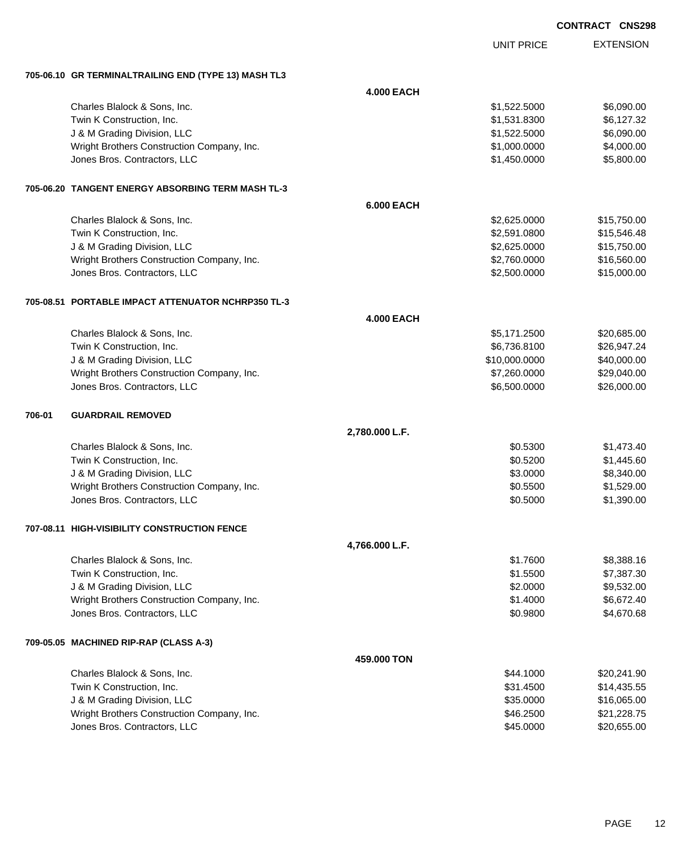| <b>CONTRACT CNS298</b> |  |
|------------------------|--|
|                        |  |

|        |                                                      |                   | <b>UNIT PRICE</b> | <b>EXTENSION</b> |
|--------|------------------------------------------------------|-------------------|-------------------|------------------|
|        | 705-06.10 GR TERMINALTRAILING END (TYPE 13) MASH TL3 |                   |                   |                  |
|        |                                                      | <b>4.000 EACH</b> |                   |                  |
|        | Charles Blalock & Sons, Inc.                         |                   | \$1,522.5000      | \$6,090.00       |
|        | Twin K Construction, Inc.                            |                   | \$1,531.8300      | \$6,127.32       |
|        | J & M Grading Division, LLC                          |                   | \$1,522.5000      | \$6,090.00       |
|        | Wright Brothers Construction Company, Inc.           |                   | \$1,000.0000      | \$4,000.00       |
|        | Jones Bros. Contractors, LLC                         |                   | \$1,450.0000      | \$5,800.00       |
|        | 705-06.20   TANGENT ENERGY ABSORBING TERM MASH TL-3  |                   |                   |                  |
|        |                                                      | <b>6.000 EACH</b> |                   |                  |
|        | Charles Blalock & Sons, Inc.                         |                   | \$2,625.0000      | \$15,750.00      |
|        | Twin K Construction, Inc.                            |                   | \$2,591.0800      | \$15,546.48      |
|        | J & M Grading Division, LLC                          |                   | \$2,625.0000      | \$15,750.00      |
|        | Wright Brothers Construction Company, Inc.           |                   | \$2,760.0000      | \$16,560.00      |
|        | Jones Bros. Contractors, LLC                         |                   | \$2,500.0000      | \$15,000.00      |
|        | 705-08.51 PORTABLE IMPACT ATTENUATOR NCHRP350 TL-3   |                   |                   |                  |
|        |                                                      | <b>4.000 EACH</b> |                   |                  |
|        | Charles Blalock & Sons, Inc.                         |                   | \$5,171.2500      | \$20,685.00      |
|        | Twin K Construction, Inc.                            |                   | \$6,736.8100      | \$26,947.24      |
|        | J & M Grading Division, LLC                          |                   | \$10,000.0000     | \$40,000.00      |
|        | Wright Brothers Construction Company, Inc.           |                   | \$7,260.0000      | \$29,040.00      |
|        | Jones Bros. Contractors, LLC                         |                   | \$6,500.0000      | \$26,000.00      |
| 706-01 | <b>GUARDRAIL REMOVED</b>                             |                   |                   |                  |
|        |                                                      | 2,780.000 L.F.    |                   |                  |
|        | Charles Blalock & Sons, Inc.                         |                   | \$0.5300          | \$1,473.40       |
|        | Twin K Construction, Inc.                            |                   | \$0.5200          | \$1,445.60       |
|        | J & M Grading Division, LLC                          |                   | \$3.0000          | \$8,340.00       |
|        | Wright Brothers Construction Company, Inc.           |                   | \$0.5500          | \$1,529.00       |
|        | Jones Bros. Contractors, LLC                         |                   | \$0.5000          | \$1,390.00       |
|        | 707-08.11 HIGH-VISIBILITY CONSTRUCTION FENCE         |                   |                   |                  |
|        |                                                      | 4,766.000 L.F.    |                   |                  |
|        | Charles Blalock & Sons, Inc.                         |                   | \$1.7600          | \$8,388.16       |
|        | Twin K Construction, Inc.                            |                   | \$1.5500          | \$7,387.30       |
|        | J & M Grading Division, LLC                          |                   | \$2.0000          | \$9,532.00       |
|        | Wright Brothers Construction Company, Inc.           |                   | \$1.4000          | \$6,672.40       |
|        | Jones Bros. Contractors, LLC                         |                   | \$0.9800          | \$4,670.68       |
|        | 709-05.05 MACHINED RIP-RAP (CLASS A-3)               |                   |                   |                  |
|        |                                                      | 459.000 TON       |                   |                  |
|        | Charles Blalock & Sons, Inc.                         |                   | \$44.1000         | \$20,241.90      |
|        | Twin K Construction, Inc.                            |                   | \$31.4500         | \$14,435.55      |
|        | J & M Grading Division, LLC                          |                   | \$35.0000         | \$16,065.00      |
|        | Wright Brothers Construction Company, Inc.           |                   | \$46.2500         | \$21,228.75      |
|        | Jones Bros. Contractors, LLC                         |                   | \$45.0000         | \$20,655.00      |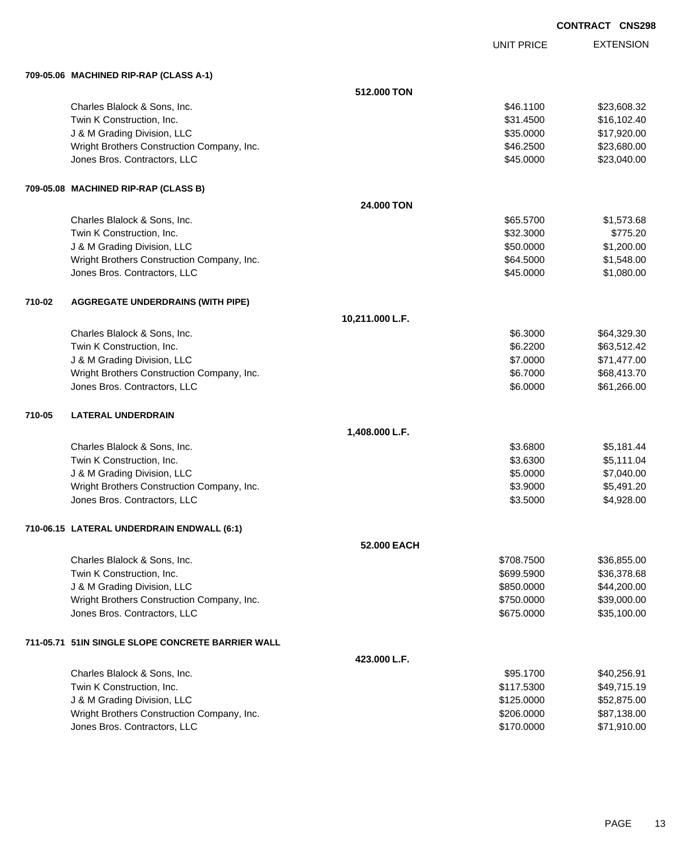UNIT PRICE EXTENSION

**709-05.06 MACHINED RIP-RAP (CLASS A-1)**

|        | 709-05.06 MACHINED RIP-RAP (CLASS A-1)            |                 |            |             |
|--------|---------------------------------------------------|-----------------|------------|-------------|
|        |                                                   | 512,000 TON     |            |             |
|        | Charles Blalock & Sons, Inc.                      |                 | \$46.1100  | \$23,608.32 |
|        | Twin K Construction, Inc.                         |                 | \$31.4500  | \$16,102.40 |
|        | J & M Grading Division, LLC                       |                 | \$35.0000  | \$17,920.00 |
|        | Wright Brothers Construction Company, Inc.        |                 | \$46.2500  | \$23,680.00 |
|        | Jones Bros. Contractors, LLC                      |                 | \$45.0000  | \$23,040.00 |
|        | 709-05.08 MACHINED RIP-RAP (CLASS B)              |                 |            |             |
|        |                                                   | 24.000 TON      |            |             |
|        | Charles Blalock & Sons, Inc.                      |                 | \$65.5700  | \$1,573.68  |
|        | Twin K Construction, Inc.                         |                 | \$32.3000  | \$775.20    |
|        | J & M Grading Division, LLC                       |                 | \$50.0000  | \$1,200.00  |
|        | Wright Brothers Construction Company, Inc.        |                 | \$64.5000  | \$1,548.00  |
|        | Jones Bros. Contractors, LLC                      |                 | \$45.0000  | \$1,080.00  |
| 710-02 | <b>AGGREGATE UNDERDRAINS (WITH PIPE)</b>          |                 |            |             |
|        |                                                   | 10,211.000 L.F. |            |             |
|        | Charles Blalock & Sons, Inc.                      |                 | \$6.3000   | \$64,329.30 |
|        | Twin K Construction, Inc.                         |                 | \$6.2200   | \$63,512.42 |
|        | J & M Grading Division, LLC                       |                 | \$7.0000   | \$71,477.00 |
|        | Wright Brothers Construction Company, Inc.        |                 | \$6.7000   | \$68,413.70 |
|        | Jones Bros. Contractors, LLC                      |                 | \$6.0000   | \$61,266.00 |
| 710-05 | <b>LATERAL UNDERDRAIN</b>                         |                 |            |             |
|        |                                                   | 1,408.000 L.F.  |            |             |
|        | Charles Blalock & Sons, Inc.                      |                 | \$3.6800   | \$5,181.44  |
|        | Twin K Construction, Inc.                         |                 | \$3.6300   | \$5,111.04  |
|        | J & M Grading Division, LLC                       |                 | \$5.0000   | \$7,040.00  |
|        | Wright Brothers Construction Company, Inc.        |                 | \$3.9000   | \$5,491.20  |
|        | Jones Bros. Contractors, LLC                      |                 | \$3.5000   | \$4,928.00  |
|        | 710-06.15 LATERAL UNDERDRAIN ENDWALL (6:1)        |                 |            |             |
|        |                                                   | 52.000 EACH     |            |             |
|        | Charles Blalock & Sons, Inc.                      |                 | \$708.7500 | \$36,855.00 |
|        | Twin K Construction, Inc.                         |                 | \$699.5900 | \$36,378.68 |
|        | J & M Grading Division, LLC                       |                 | \$850.0000 | \$44,200.00 |
|        | Wright Brothers Construction Company, Inc.        |                 | \$750.0000 | \$39,000.00 |
|        | Jones Bros. Contractors, LLC                      |                 | \$675.0000 | \$35,100.00 |
|        | 711-05.71 51IN SINGLE SLOPE CONCRETE BARRIER WALL |                 |            |             |
|        |                                                   | 423.000 L.F.    |            |             |
|        | Charles Blalock & Sons, Inc.                      |                 | \$95.1700  | \$40,256.91 |
|        | Twin K Construction, Inc.                         |                 | \$117.5300 | \$49,715.19 |
|        | J & M Grading Division, LLC                       |                 | \$125.0000 | \$52,875.00 |
|        | Wright Brothers Construction Company, Inc.        |                 | \$206.0000 | \$87,138.00 |
|        | Jones Bros. Contractors, LLC                      |                 | \$170.0000 | \$71,910.00 |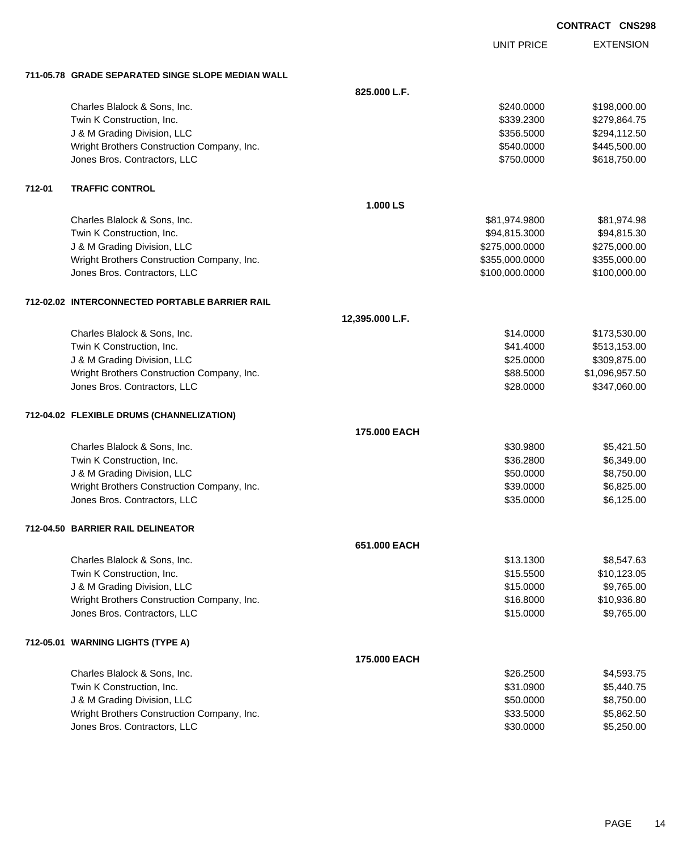**EXTENSION** 

UNIT PRICE **711-05.78 GRADE SEPARATED SINGE SLOPE MEDIAN WALL 825.000 L.F.** Charles Blalock & Sons, Inc. 6. 2010 12:30 12:30 12:30 12:30 12:30 12:30 12:30 12:30 12:30 12:30 12:30 12:30 12:30 12:30 12:30 12:30 12:30 12:30 12:30 12:30 12:30 12:30 12:30 12:30 12:30 12:30 12:30 12:30 12:30 12:30 12:30 Twin K Construction, Inc. 6. The Construction of the Construction of the Construction, Inc. 6. The Construction of the Construction of the Construction of the Construction of the Construction of the Construction of the Con J & M Grading Division, LLC \$356.5000 \$294,112.50 Wright Brothers Construction Company, Inc. 6. 2012 12:30 12:30 12:30 13:30 14:30 1540.000 \$445,500.00 Jones Bros. Contractors, LLC \$750.0000 \$618,750.00 **712-01 TRAFFIC CONTROL 1.000 LS** Charles Blalock & Sons, Inc. 681,974.9800 \$81,974.9800 \$81,974.9800 Twin K Construction, Inc. 694,815.3000 \$94,815.3000 \$94,815.3000 \$94,815.3000 \$94,815.300 J & M Grading Division, LLC \$275,000.0000 \$275,000.00 Wright Brothers Construction Company, Inc. 6. 2012 12:355,000 \$355,000.000 \$355,000.000 \$355,000.00 Jones Bros. Contractors, LLC \$100,000.0000 \$100,000.00 **712-02.02 INTERCONNECTED PORTABLE BARRIER RAIL 12,395.000 L.F.** Charles Blalock & Sons, Inc. \$173,530.00 \$173,530.00 Twin K Construction, Inc. 6. The Construction, Inc. 6. The Construction, Inc. 6. The Construction, Inc. 6. The Construction of the Construction, Inc. 6. The Construction of the Construction of the Construction of the Const J & M Grading Division, LLC \$25.0000 \$309,875.00 Wright Brothers Construction Company, Inc. 6. 2012 12:30 12:30 12:30 12:30 12:30 12:30 12:30 12:30 12:30 12:30 Jones Bros. Contractors, LLC \$28.0000 \$347,060.00 **712-04.02 FLEXIBLE DRUMS (CHANNELIZATION) 175.000 EACH** Charles Blalock & Sons, Inc. \$30.9800 \$5,421.50 Twin K Construction, Inc. 6. 286.2800 \$6,349.00 U & M Grading Division, LLC & Contract the Contract of the Contract of the State of the State of the State of State of the State of the State of the State of the State of the State of the State of the State of the State of Wright Brothers Construction Company, Inc. 6. 1999 10:000 \$6,825.000 \$6,825.00 Jones Bros. Contractors, LLC \$35.0000 \$6,125.00 **712-04.50 BARRIER RAIL DELINEATOR 651.000 EACH** Charles Blalock & Sons, Inc. \$13.1300 \$8,547.63

| Twin K Construction, Inc.                  |                     | \$15,5500 | \$10,123.05 |
|--------------------------------------------|---------------------|-----------|-------------|
| J & M Grading Division, LLC                |                     | \$15,0000 | \$9,765.00  |
| Wright Brothers Construction Company, Inc. |                     | \$16.8000 | \$10,936.80 |
| Jones Bros. Contractors, LLC               |                     | \$15,0000 | \$9,765.00  |
| 712-05.01 WARNING LIGHTS (TYPE A)          |                     |           |             |
|                                            | <b>175.000 EACH</b> |           |             |
| Charles Blalock & Sons, Inc.               |                     | \$26,2500 | \$4,593.75  |
| Twin K Construction Inc.                   |                     | \$31,0900 | \$544075    |

| Twin K Construction, Inc.                  | \$31,0900 | \$5,440.75 |
|--------------------------------------------|-----------|------------|
| J & M Grading Division, LLC                | \$50,0000 | \$8.750.00 |
| Wright Brothers Construction Company, Inc. | \$33,5000 | \$5.862.50 |
| Jones Bros, Contractors, LLC               | \$30,0000 | \$5,250,00 |

PAGE 14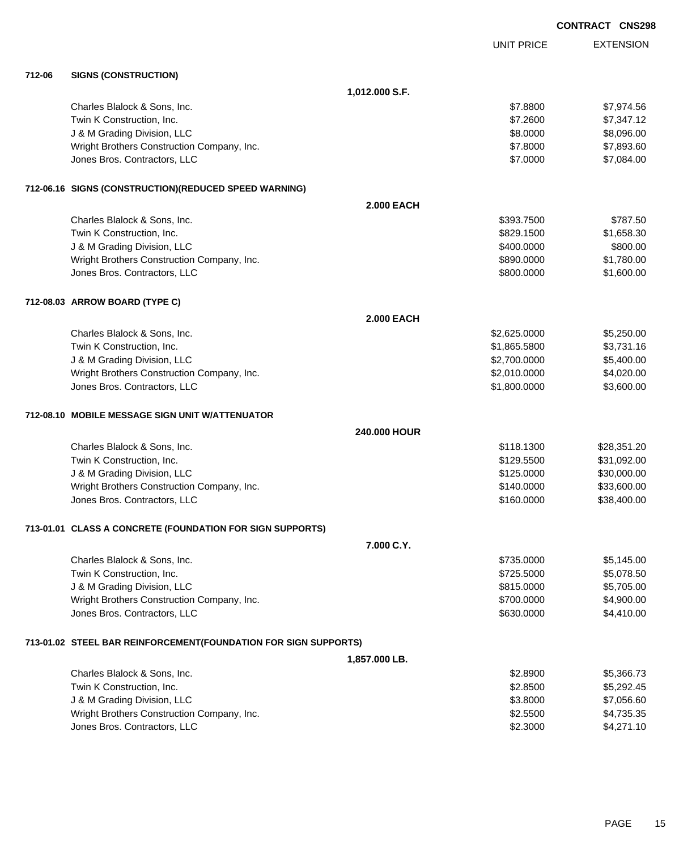|        |                                                                 |                   |                   | <b>CONTRACT CNS298</b> |
|--------|-----------------------------------------------------------------|-------------------|-------------------|------------------------|
|        |                                                                 |                   | <b>UNIT PRICE</b> | <b>EXTENSION</b>       |
| 712-06 | <b>SIGNS (CONSTRUCTION)</b>                                     |                   |                   |                        |
|        |                                                                 | 1,012.000 S.F.    |                   |                        |
|        | Charles Blalock & Sons, Inc.                                    |                   | \$7.8800          | \$7,974.56             |
|        | Twin K Construction, Inc.                                       |                   | \$7.2600          | \$7,347.12             |
|        | J & M Grading Division, LLC                                     |                   | \$8.0000          | \$8,096.00             |
|        | Wright Brothers Construction Company, Inc.                      |                   | \$7.8000          | \$7,893.60             |
|        | Jones Bros. Contractors, LLC                                    |                   | \$7.0000          | \$7,084.00             |
|        | 712-06.16 SIGNS (CONSTRUCTION) (REDUCED SPEED WARNING)          |                   |                   |                        |
|        |                                                                 | <b>2.000 EACH</b> |                   |                        |
|        | Charles Blalock & Sons, Inc.                                    |                   | \$393.7500        | \$787.50               |
|        | Twin K Construction, Inc.                                       |                   | \$829.1500        | \$1,658.30             |
|        | J & M Grading Division, LLC                                     |                   | \$400.0000        | \$800.00               |
|        | Wright Brothers Construction Company, Inc.                      |                   | \$890.0000        | \$1,780.00             |
|        | Jones Bros. Contractors, LLC                                    |                   | \$800.0000        | \$1,600.00             |
|        | 712-08.03 ARROW BOARD (TYPE C)                                  |                   |                   |                        |
|        |                                                                 | <b>2.000 EACH</b> |                   |                        |
|        | Charles Blalock & Sons, Inc.                                    |                   | \$2,625.0000      | \$5,250.00             |
|        | Twin K Construction, Inc.                                       |                   | \$1,865.5800      | \$3,731.16             |
|        | J & M Grading Division, LLC                                     |                   | \$2,700.0000      | \$5,400.00             |
|        | Wright Brothers Construction Company, Inc.                      |                   | \$2,010.0000      | \$4,020.00             |
|        | Jones Bros. Contractors, LLC                                    |                   | \$1,800.0000      | \$3,600.00             |
|        | 712-08.10 MOBILE MESSAGE SIGN UNIT W/ATTENUATOR                 |                   |                   |                        |
|        |                                                                 | 240.000 HOUR      |                   |                        |
|        | Charles Blalock & Sons, Inc.                                    |                   | \$118.1300        | \$28,351.20            |
|        | Twin K Construction, Inc.                                       |                   | \$129.5500        | \$31,092.00            |
|        | J & M Grading Division, LLC                                     |                   | \$125.0000        | \$30,000.00            |
|        | Wright Brothers Construction Company, Inc.                      |                   | \$140,0000        | \$33,600.00            |
|        | Jones Bros. Contractors, LLC                                    |                   | \$160.0000        | \$38,400.00            |
|        | 713-01.01 CLASS A CONCRETE (FOUNDATION FOR SIGN SUPPORTS)       |                   |                   |                        |
|        |                                                                 | 7.000 C.Y.        |                   |                        |
|        | Charles Blalock & Sons, Inc.                                    |                   | \$735.0000        | \$5,145.00             |
|        | Twin K Construction, Inc.                                       |                   | \$725.5000        | \$5,078.50             |
|        | J & M Grading Division, LLC                                     |                   | \$815.0000        | \$5,705.00             |
|        | Wright Brothers Construction Company, Inc.                      |                   | \$700.0000        | \$4,900.00             |
|        | Jones Bros. Contractors, LLC                                    |                   | \$630.0000        | \$4,410.00             |
|        | 713-01.02 STEEL BAR REINFORCEMENT(FOUNDATION FOR SIGN SUPPORTS) |                   |                   |                        |
|        |                                                                 | 1,857.000 LB.     |                   |                        |
|        | Charles Blalock & Sons, Inc.                                    |                   | \$2.8900          | \$5,366.73             |
|        | Twin K Construction, Inc.                                       |                   | \$2.8500          | \$5,292.45             |
|        | J & M Grading Division, LLC                                     |                   | \$3.8000          | \$7,056.60             |
|        | Wright Brothers Construction Company, Inc.                      |                   | \$2.5500          | \$4,735.35             |
|        | Jones Bros. Contractors, LLC                                    |                   | \$2.3000          | \$4,271.10             |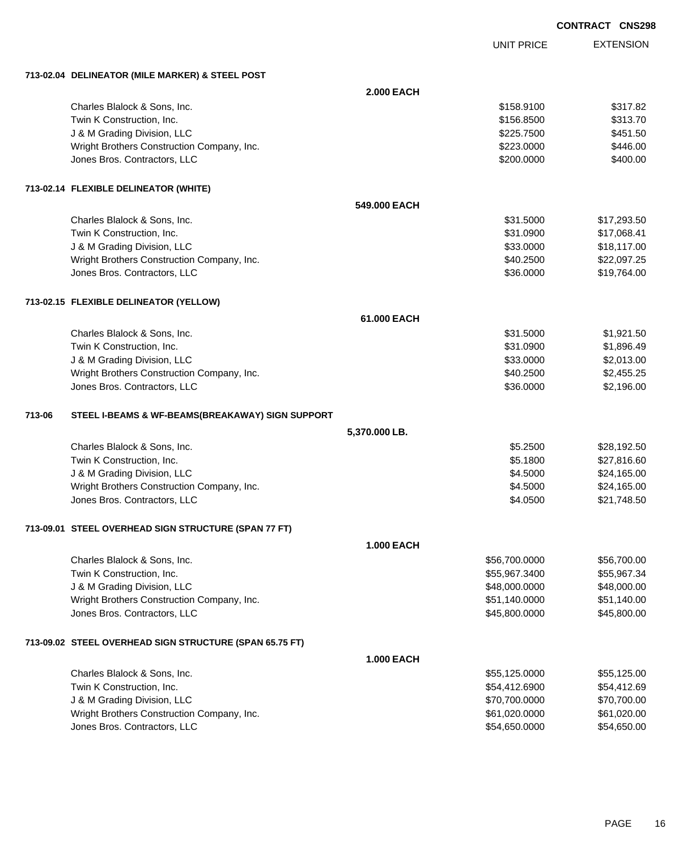| <b>CONTRACT</b> | <b>CNS298</b> |
|-----------------|---------------|

|        |                                                         |                   |                   | <b>CONTRACT CNS298</b> |
|--------|---------------------------------------------------------|-------------------|-------------------|------------------------|
|        |                                                         |                   | <b>UNIT PRICE</b> | <b>EXTENSION</b>       |
|        | 713-02.04 DELINEATOR (MILE MARKER) & STEEL POST         |                   |                   |                        |
|        |                                                         | <b>2.000 EACH</b> |                   |                        |
|        | Charles Blalock & Sons, Inc.                            |                   | \$158.9100        | \$317.82               |
|        | Twin K Construction, Inc.                               |                   | \$156.8500        | \$313.70               |
|        | J & M Grading Division, LLC                             |                   | \$225.7500        | \$451.50               |
|        | Wright Brothers Construction Company, Inc.              |                   | \$223.0000        | \$446.00               |
|        | Jones Bros. Contractors, LLC                            |                   | \$200.0000        | \$400.00               |
|        | 713-02.14 FLEXIBLE DELINEATOR (WHITE)                   |                   |                   |                        |
|        |                                                         | 549,000 EACH      |                   |                        |
|        | Charles Blalock & Sons, Inc.                            |                   | \$31.5000         | \$17,293.50            |
|        | Twin K Construction, Inc.                               |                   | \$31.0900         | \$17,068.41            |
|        | J & M Grading Division, LLC                             |                   | \$33.0000         | \$18,117.00            |
|        | Wright Brothers Construction Company, Inc.              |                   | \$40.2500         | \$22,097.25            |
|        | Jones Bros. Contractors, LLC                            |                   | \$36.0000         | \$19,764.00            |
|        | 713-02.15 FLEXIBLE DELINEATOR (YELLOW)                  |                   |                   |                        |
|        |                                                         | 61.000 EACH       |                   |                        |
|        | Charles Blalock & Sons, Inc.                            |                   | \$31.5000         | \$1,921.50             |
|        | Twin K Construction, Inc.                               |                   | \$31.0900         | \$1,896.49             |
|        | J & M Grading Division, LLC                             |                   | \$33.0000         | \$2,013.00             |
|        | Wright Brothers Construction Company, Inc.              |                   | \$40.2500         | \$2,455.25             |
|        | Jones Bros. Contractors, LLC                            |                   | \$36.0000         | \$2,196.00             |
| 713-06 | STEEL I-BEAMS & WF-BEAMS(BREAKAWAY) SIGN SUPPORT        |                   |                   |                        |
|        |                                                         | 5,370.000 LB.     |                   |                        |
|        | Charles Blalock & Sons, Inc.                            |                   | \$5.2500          | \$28,192.50            |
|        | Twin K Construction, Inc.                               |                   | \$5.1800          | \$27,816.60            |
|        | J & M Grading Division, LLC                             |                   | \$4.5000          | \$24,165.00            |
|        | Wright Brothers Construction Company, Inc.              |                   | \$4.5000          | \$24,165.00            |
|        | Jones Bros. Contractors, LLC                            |                   | \$4.0500          | \$21,748.50            |
|        | 713-09.01 STEEL OVERHEAD SIGN STRUCTURE (SPAN 77 FT)    |                   |                   |                        |
|        |                                                         | <b>1.000 EACH</b> |                   |                        |
|        | Charles Blalock & Sons, Inc.                            |                   | \$56,700.0000     | \$56,700.00            |
|        | Twin K Construction, Inc.                               |                   | \$55,967.3400     | \$55,967.34            |
|        | J & M Grading Division, LLC                             |                   | \$48,000.0000     | \$48,000.00            |
|        | Wright Brothers Construction Company, Inc.              |                   | \$51,140.0000     | \$51,140.00            |
|        | Jones Bros. Contractors, LLC                            |                   | \$45,800.0000     | \$45,800.00            |
|        | 713-09.02 STEEL OVERHEAD SIGN STRUCTURE (SPAN 65.75 FT) |                   |                   |                        |
|        |                                                         | <b>1.000 EACH</b> |                   |                        |
|        | Charles Blalock & Sons, Inc.                            |                   | \$55,125.0000     | \$55,125.00            |
|        | Twin K Construction, Inc.                               |                   | \$54,412.6900     | \$54,412.69            |
|        | J & M Grading Division, LLC                             |                   | \$70,700.0000     | \$70,700.00            |
|        | Wright Brothers Construction Company, Inc.              |                   | \$61,020.0000     | \$61,020.00            |
|        | Jones Bros. Contractors, LLC                            |                   | \$54,650.0000     | \$54,650.00            |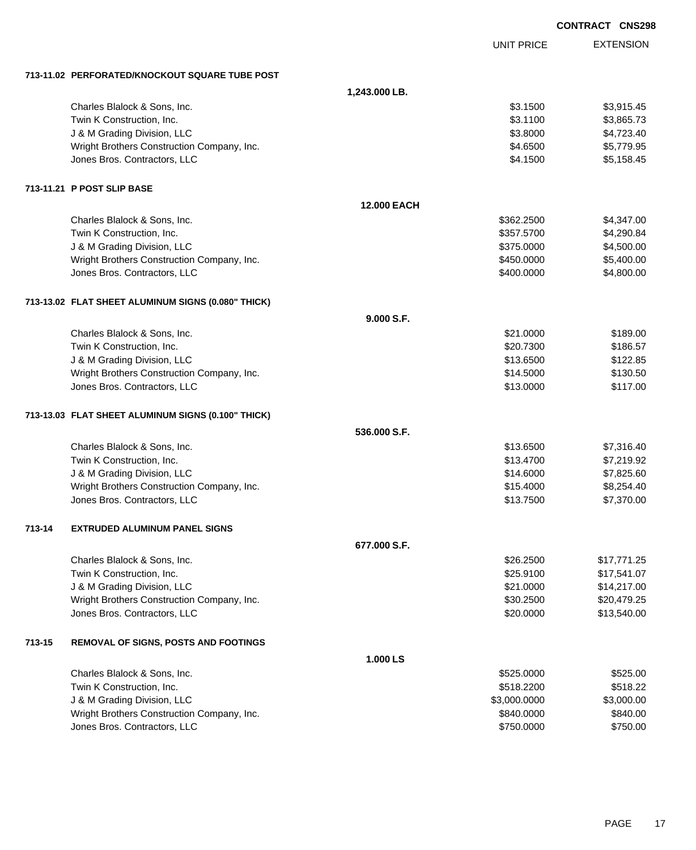|        |                                                    |                    |                   | <b>CONTRACT CNS298</b> |  |
|--------|----------------------------------------------------|--------------------|-------------------|------------------------|--|
|        |                                                    |                    | <b>UNIT PRICE</b> | <b>EXTENSION</b>       |  |
|        | 713-11.02 PERFORATED/KNOCKOUT SQUARE TUBE POST     |                    |                   |                        |  |
|        |                                                    | 1,243.000 LB.      |                   |                        |  |
|        | Charles Blalock & Sons, Inc.                       |                    | \$3.1500          | \$3,915.45             |  |
|        | Twin K Construction, Inc.                          |                    | \$3.1100          | \$3,865.73             |  |
|        | J & M Grading Division, LLC                        |                    | \$3.8000          | \$4,723.40             |  |
|        | Wright Brothers Construction Company, Inc.         |                    | \$4.6500          | \$5,779.95             |  |
|        | Jones Bros. Contractors, LLC                       |                    | \$4.1500          | \$5,158.45             |  |
|        | 713-11.21 P POST SLIP BASE                         |                    |                   |                        |  |
|        |                                                    | <b>12,000 EACH</b> |                   |                        |  |
|        | Charles Blalock & Sons, Inc.                       |                    | \$362.2500        | \$4,347.00             |  |
|        | Twin K Construction, Inc.                          |                    | \$357.5700        | \$4,290.84             |  |
|        | J & M Grading Division, LLC                        |                    | \$375.0000        | \$4,500.00             |  |
|        | Wright Brothers Construction Company, Inc.         |                    | \$450.0000        | \$5,400.00             |  |
|        | Jones Bros. Contractors, LLC                       |                    | \$400.0000        | \$4,800.00             |  |
|        | 713-13.02 FLAT SHEET ALUMINUM SIGNS (0.080" THICK) |                    |                   |                        |  |
|        |                                                    | 9.000 S.F.         |                   |                        |  |
|        | Charles Blalock & Sons, Inc.                       |                    | \$21.0000         | \$189.00               |  |
|        | Twin K Construction, Inc.                          |                    | \$20.7300         | \$186.57               |  |
|        | J & M Grading Division, LLC                        |                    | \$13.6500         | \$122.85               |  |
|        | Wright Brothers Construction Company, Inc.         |                    | \$14.5000         | \$130.50               |  |
|        | Jones Bros. Contractors, LLC                       |                    | \$13.0000         | \$117.00               |  |
|        | 713-13.03 FLAT SHEET ALUMINUM SIGNS (0.100" THICK) |                    |                   |                        |  |
|        |                                                    | 536.000 S.F.       |                   |                        |  |
|        | Charles Blalock & Sons, Inc.                       |                    | \$13,6500         | \$7,316.40             |  |
|        | Twin K Construction, Inc.                          |                    | \$13.4700         | \$7,219.92             |  |
|        | J & M Grading Division, LLC                        |                    | \$14.6000         | \$7,825.60             |  |
|        | Wright Brothers Construction Company, Inc.         |                    | \$15.4000         | \$8,254.40             |  |
|        | Jones Bros. Contractors, LLC                       |                    | \$13.7500         | \$7,370.00             |  |
| 713-14 | <b>EXTRUDED ALUMINUM PANEL SIGNS</b>               |                    |                   |                        |  |
|        |                                                    | 677.000 S.F.       |                   |                        |  |
|        | Charles Blalock & Sons, Inc.                       |                    | \$26.2500         | \$17,771.25            |  |
|        | Twin K Construction, Inc.                          |                    | \$25.9100         | \$17,541.07            |  |
|        | J & M Grading Division, LLC                        |                    | \$21.0000         | \$14,217.00            |  |
|        | Wright Brothers Construction Company, Inc.         |                    | \$30.2500         | \$20,479.25            |  |
|        | Jones Bros. Contractors, LLC                       |                    | \$20.0000         | \$13,540.00            |  |
| 713-15 | <b>REMOVAL OF SIGNS, POSTS AND FOOTINGS</b>        |                    |                   |                        |  |
|        |                                                    | 1.000 LS           |                   |                        |  |
|        | Charles Blalock & Sons, Inc.                       |                    | \$525.0000        | \$525.00               |  |
|        | Twin K Construction, Inc.                          |                    | \$518.2200        | \$518.22               |  |
|        | J & M Grading Division, LLC                        |                    | \$3,000.0000      | \$3,000.00             |  |
|        | Wright Brothers Construction Company, Inc.         |                    | \$840.0000        | \$840.00               |  |
|        | Jones Bros. Contractors, LLC                       |                    | \$750.0000        | \$750.00               |  |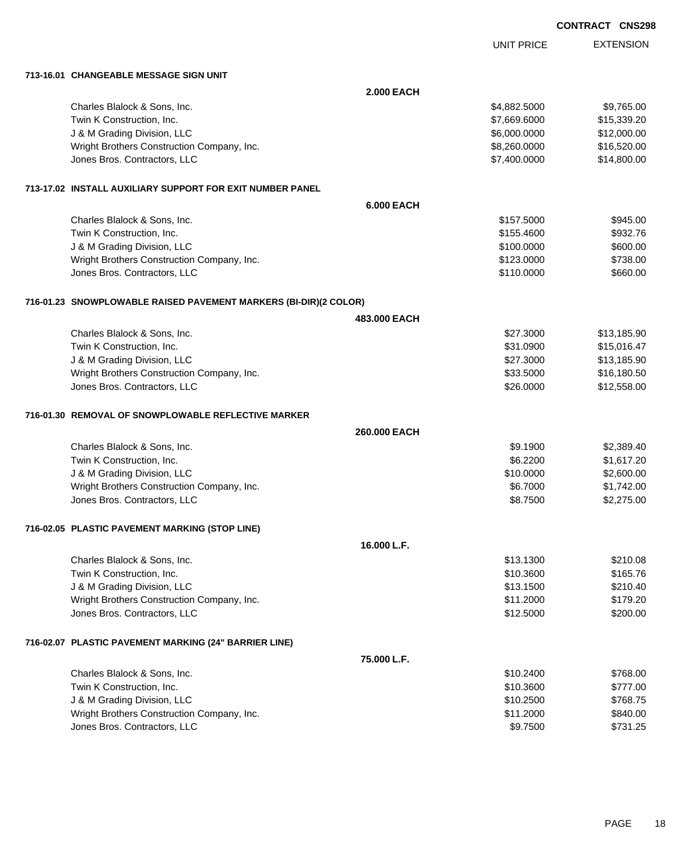| <b>CONTRACT</b> | <b>CNS298</b> |
|-----------------|---------------|
|                 |               |

|                                                                    |                   | <b>UNIT PRICE</b> | <b>EXTENSION</b> |
|--------------------------------------------------------------------|-------------------|-------------------|------------------|
| 713-16.01 CHANGEABLE MESSAGE SIGN UNIT                             |                   |                   |                  |
|                                                                    | <b>2.000 EACH</b> |                   |                  |
| Charles Blalock & Sons, Inc.                                       |                   | \$4,882.5000      | \$9,765.00       |
| Twin K Construction, Inc.                                          |                   | \$7,669.6000      | \$15,339.20      |
| J & M Grading Division, LLC                                        |                   | \$6,000.0000      | \$12,000.00      |
| Wright Brothers Construction Company, Inc.                         |                   | \$8,260.0000      | \$16,520.00      |
| Jones Bros. Contractors, LLC                                       |                   | \$7,400.0000      | \$14,800.00      |
| 713-17.02 INSTALL AUXILIARY SUPPORT FOR EXIT NUMBER PANEL          |                   |                   |                  |
|                                                                    | <b>6.000 EACH</b> |                   |                  |
| Charles Blalock & Sons, Inc.                                       |                   | \$157.5000        | \$945.00         |
| Twin K Construction, Inc.                                          |                   | \$155.4600        | \$932.76         |
| J & M Grading Division, LLC                                        |                   | \$100.0000        | \$600.00         |
| Wright Brothers Construction Company, Inc.                         |                   | \$123.0000        | \$738.00         |
| Jones Bros. Contractors, LLC                                       |                   | \$110.0000        | \$660.00         |
| 716-01.23   SNOWPLOWABLE RAISED PAVEMENT MARKERS (BI-DIR)(2 COLOR) |                   |                   |                  |
|                                                                    | 483,000 EACH      |                   |                  |
| Charles Blalock & Sons, Inc.                                       |                   | \$27.3000         | \$13,185.90      |
| Twin K Construction, Inc.                                          |                   | \$31.0900         | \$15,016.47      |
| J & M Grading Division, LLC                                        |                   | \$27.3000         | \$13,185.90      |
| Wright Brothers Construction Company, Inc.                         |                   | \$33.5000         | \$16,180.50      |
| Jones Bros. Contractors, LLC                                       |                   | \$26.0000         | \$12,558.00      |
| 716-01.30   REMOVAL OF SNOWPLOWABLE REFLECTIVE MARKER              |                   |                   |                  |
|                                                                    | 260.000 EACH      |                   |                  |
| Charles Blalock & Sons, Inc.                                       |                   | \$9.1900          | \$2,389.40       |
| Twin K Construction, Inc.                                          |                   | \$6.2200          | \$1,617.20       |
| J & M Grading Division, LLC                                        |                   | \$10.0000         | \$2,600.00       |
| Wright Brothers Construction Company, Inc.                         |                   | \$6.7000          | \$1,742.00       |
| Jones Bros. Contractors, LLC                                       |                   | \$8.7500          | \$2,275.00       |
| 716-02.05 PLASTIC PAVEMENT MARKING (STOP LINE)                     |                   |                   |                  |
|                                                                    | 16.000 L.F.       |                   |                  |
| Charles Blalock & Sons, Inc.                                       |                   | \$13.1300         | \$210.08         |
| Twin K Construction, Inc.                                          |                   | \$10.3600         | \$165.76         |
| J & M Grading Division, LLC                                        |                   | \$13.1500         | \$210.40         |
| Wright Brothers Construction Company, Inc.                         |                   | \$11.2000         | \$179.20         |
| Jones Bros. Contractors, LLC                                       |                   | \$12.5000         | \$200.00         |
| 716-02.07 PLASTIC PAVEMENT MARKING (24" BARRIER LINE)              |                   |                   |                  |
|                                                                    | 75.000 L.F.       |                   |                  |
| Charles Blalock & Sons, Inc.                                       |                   | \$10.2400         | \$768.00         |
| Twin K Construction, Inc.                                          |                   | \$10.3600         | \$777.00         |
| J & M Grading Division, LLC                                        |                   | \$10.2500         | \$768.75         |
| Wright Brothers Construction Company, Inc.                         |                   | \$11.2000         | \$840.00         |
| Jones Bros. Contractors, LLC                                       |                   | \$9.7500          | \$731.25         |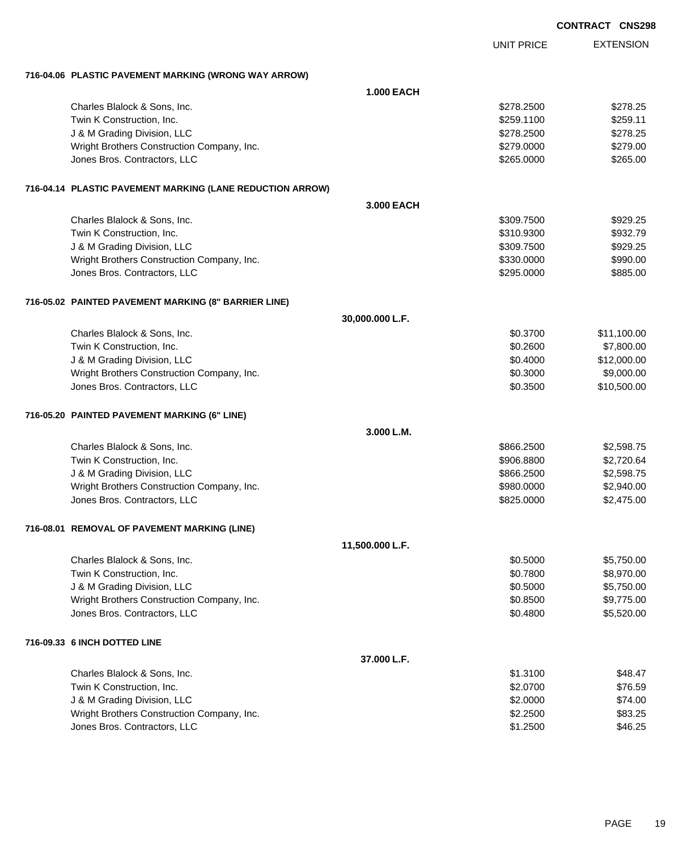|                                                           |                   |                   | <b>CONTRACT CNS298</b> |
|-----------------------------------------------------------|-------------------|-------------------|------------------------|
|                                                           |                   | <b>UNIT PRICE</b> | <b>EXTENSION</b>       |
| 716-04.06 PLASTIC PAVEMENT MARKING (WRONG WAY ARROW)      |                   |                   |                        |
|                                                           | <b>1.000 EACH</b> |                   |                        |
| Charles Blalock & Sons, Inc.                              |                   | \$278.2500        | \$278.25               |
| Twin K Construction, Inc.                                 |                   | \$259.1100        | \$259.11               |
| J & M Grading Division, LLC                               |                   | \$278.2500        | \$278.25               |
| Wright Brothers Construction Company, Inc.                |                   | \$279.0000        | \$279.00               |
| Jones Bros. Contractors, LLC                              |                   | \$265.0000        | \$265.00               |
| 716-04.14 PLASTIC PAVEMENT MARKING (LANE REDUCTION ARROW) |                   |                   |                        |
|                                                           | 3.000 EACH        |                   |                        |
| Charles Blalock & Sons, Inc.                              |                   | \$309.7500        | \$929.25               |
| Twin K Construction, Inc.                                 |                   | \$310.9300        | \$932.79               |
| J & M Grading Division, LLC                               |                   | \$309.7500        | \$929.25               |
| Wright Brothers Construction Company, Inc.                |                   | \$330.0000        | \$990.00               |
| Jones Bros. Contractors, LLC                              |                   | \$295.0000        | \$885.00               |
| 716-05.02 PAINTED PAVEMENT MARKING (8" BARRIER LINE)      |                   |                   |                        |
|                                                           | 30,000.000 L.F.   |                   |                        |
| Charles Blalock & Sons, Inc.                              |                   | \$0.3700          | \$11,100.00            |
| Twin K Construction, Inc.                                 |                   | \$0.2600          | \$7,800.00             |
| J & M Grading Division, LLC                               |                   | \$0.4000          | \$12,000.00            |
| Wright Brothers Construction Company, Inc.                |                   | \$0.3000          | \$9,000.00             |
| Jones Bros. Contractors, LLC                              |                   | \$0.3500          | \$10,500.00            |
| 716-05.20 PAINTED PAVEMENT MARKING (6" LINE)              |                   |                   |                        |
|                                                           | 3.000 L.M.        |                   |                        |
| Charles Blalock & Sons, Inc.                              |                   | \$866.2500        | \$2,598.75             |
| Twin K Construction, Inc.                                 |                   | \$906,8800        | \$2,720.64             |
| J & M Grading Division, LLC                               |                   | \$866.2500        | \$2,598.75             |
| Wright Brothers Construction Company, Inc.                |                   | \$980.0000        | \$2,940.00             |
| Jones Bros. Contractors, LLC                              |                   | \$825.0000        | \$2,475.00             |
| 716-08.01 REMOVAL OF PAVEMENT MARKING (LINE)              |                   |                   |                        |
|                                                           | 11,500.000 L.F.   |                   |                        |
| Charles Blalock & Sons, Inc.                              |                   | \$0.5000          | \$5,750.00             |
| Twin K Construction, Inc.                                 |                   | \$0.7800          | \$8,970.00             |
| J & M Grading Division, LLC                               |                   | \$0.5000          | \$5,750.00             |
| Wright Brothers Construction Company, Inc.                |                   | \$0.8500          | \$9,775.00             |
| Jones Bros. Contractors, LLC                              |                   | \$0.4800          | \$5,520.00             |
| 716-09.33 6 INCH DOTTED LINE                              |                   |                   |                        |
|                                                           | 37.000 L.F.       |                   |                        |
| Charles Blalock & Sons, Inc.                              |                   | \$1.3100          | \$48.47                |
| Twin K Construction, Inc.                                 |                   | \$2.0700          | \$76.59                |
| J & M Grading Division, LLC                               |                   | \$2.0000          | \$74.00                |
| Wright Brothers Construction Company, Inc.                |                   | \$2.2500          | \$83.25                |
| Jones Bros. Contractors, LLC                              |                   | \$1.2500          | \$46.25                |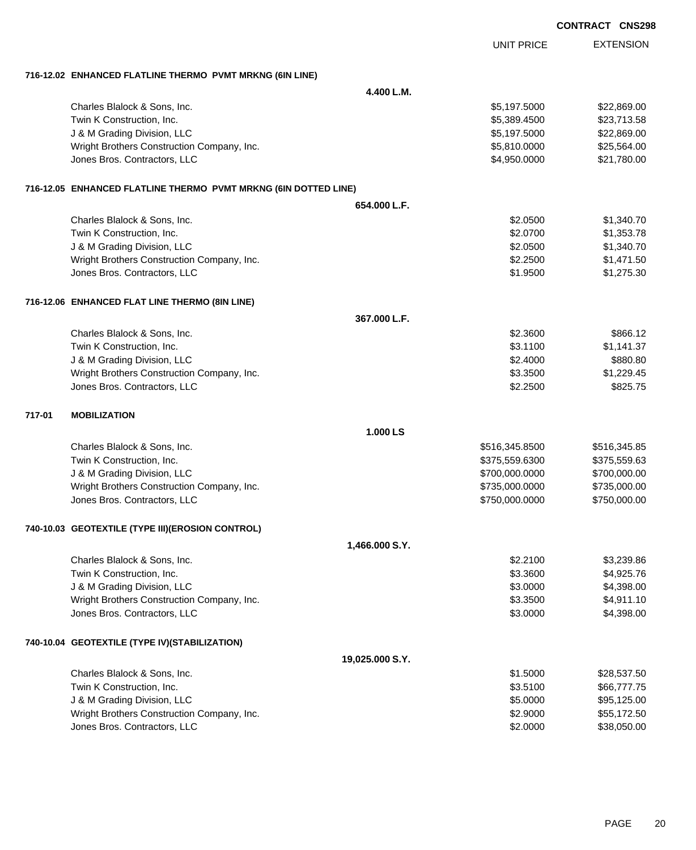|        |                                                                 |                 |                   | <b>UNOZ3</b>     |
|--------|-----------------------------------------------------------------|-----------------|-------------------|------------------|
|        |                                                                 |                 | <b>UNIT PRICE</b> | <b>EXTENSION</b> |
|        | 716-12.02 ENHANCED FLATLINE THERMO PVMT MRKNG (6IN LINE)        |                 |                   |                  |
|        |                                                                 | 4.400 L.M.      |                   |                  |
|        | Charles Blalock & Sons, Inc.                                    |                 | \$5,197.5000      | \$22,869.00      |
|        | Twin K Construction, Inc.                                       |                 | \$5,389.4500      | \$23,713.58      |
|        | J & M Grading Division, LLC                                     |                 | \$5,197.5000      | \$22,869.00      |
|        | Wright Brothers Construction Company, Inc.                      |                 | \$5,810.0000      | \$25,564.00      |
|        | Jones Bros. Contractors, LLC                                    |                 | \$4,950.0000      | \$21,780.00      |
|        | 716-12.05 ENHANCED FLATLINE THERMO PVMT MRKNG (6IN DOTTED LINE) |                 |                   |                  |
|        |                                                                 | 654.000 L.F.    |                   |                  |
|        | Charles Blalock & Sons, Inc.                                    |                 | \$2.0500          | \$1,340.70       |
|        | Twin K Construction, Inc.                                       |                 | \$2.0700          | \$1,353.78       |
|        | J & M Grading Division, LLC                                     |                 | \$2.0500          | \$1,340.70       |
|        | Wright Brothers Construction Company, Inc.                      |                 | \$2.2500          | \$1,471.50       |
|        | Jones Bros. Contractors, LLC                                    |                 | \$1.9500          | \$1,275.30       |
|        | 716-12.06 ENHANCED FLAT LINE THERMO (8IN LINE)                  |                 |                   |                  |
|        |                                                                 | 367.000 L.F.    |                   |                  |
|        | Charles Blalock & Sons, Inc.                                    |                 | \$2.3600          | \$866.12         |
|        | Twin K Construction, Inc.                                       |                 | \$3.1100          | \$1,141.37       |
|        | J & M Grading Division, LLC                                     |                 | \$2.4000          | \$880.80         |
|        | Wright Brothers Construction Company, Inc.                      |                 | \$3.3500          | \$1,229.45       |
|        | Jones Bros. Contractors, LLC                                    |                 | \$2.2500          | \$825.75         |
| 717-01 | <b>MOBILIZATION</b>                                             |                 |                   |                  |
|        |                                                                 | 1.000 LS        |                   |                  |
|        | Charles Blalock & Sons, Inc.                                    |                 | \$516,345.8500    | \$516,345.85     |
|        | Twin K Construction, Inc.                                       |                 | \$375,559.6300    | \$375,559.63     |
|        | J & M Grading Division, LLC                                     |                 | \$700,000.0000    | \$700,000.00     |
|        | Wright Brothers Construction Company, Inc.                      |                 | \$735,000.0000    | \$735,000.00     |
|        | Jones Bros. Contractors, LLC                                    |                 | \$750,000.0000    | \$750,000.00     |
|        | 740-10.03 GEOTEXTILE (TYPE III) (EROSION CONTROL)               |                 |                   |                  |
|        |                                                                 | 1,466.000 S.Y.  |                   |                  |
|        | Charles Blalock & Sons, Inc.                                    |                 | \$2.2100          | \$3,239.86       |
|        | Twin K Construction, Inc.                                       |                 | \$3.3600          | \$4,925.76       |
|        | J & M Grading Division, LLC                                     |                 | \$3.0000          | \$4,398.00       |
|        | Wright Brothers Construction Company, Inc.                      |                 | \$3.3500          | \$4,911.10       |
|        | Jones Bros. Contractors, LLC                                    |                 | \$3.0000          | \$4,398.00       |
|        | 740-10.04 GEOTEXTILE (TYPE IV)(STABILIZATION)                   |                 |                   |                  |
|        |                                                                 | 19,025.000 S.Y. |                   |                  |
|        | Charles Blalock & Sons, Inc.                                    |                 | \$1.5000          | \$28,537.50      |
|        | Twin K Construction, Inc.                                       |                 | \$3.5100          | \$66,777.75      |
|        | J & M Grading Division, LLC                                     |                 | \$5.0000          | \$95,125.00      |
|        | Wright Brothers Construction Company, Inc.                      |                 | \$2.9000          | \$55,172.50      |
|        | Jones Bros. Contractors, LLC                                    |                 | \$2.0000          | \$38,050.00      |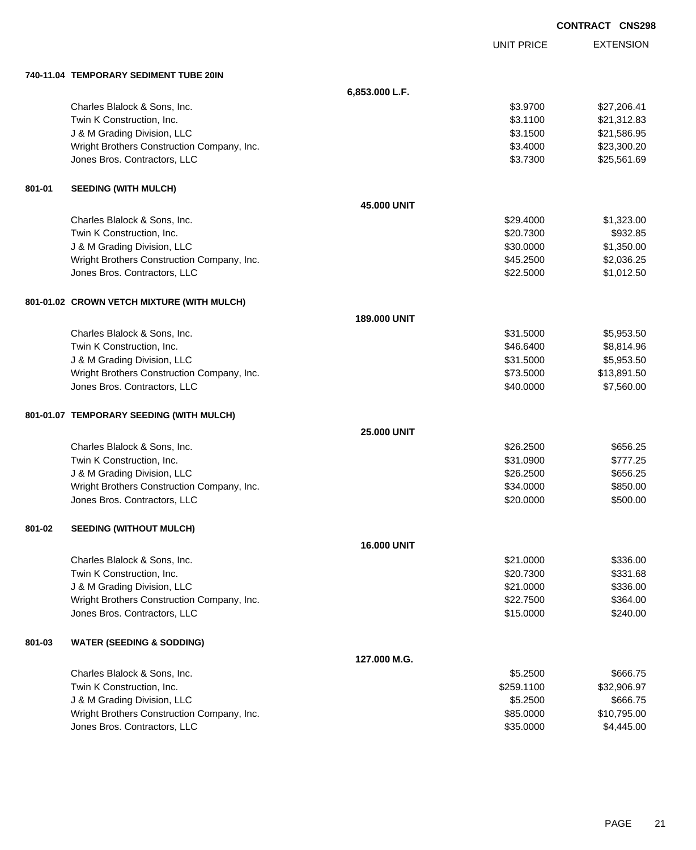|        |                                            |                    |                   | <b>CONTRACT CNS298</b> |
|--------|--------------------------------------------|--------------------|-------------------|------------------------|
|        |                                            |                    | <b>UNIT PRICE</b> | <b>EXTENSION</b>       |
|        | 740-11.04 TEMPORARY SEDIMENT TUBE 20IN     |                    |                   |                        |
|        |                                            | 6,853.000 L.F.     |                   |                        |
|        | Charles Blalock & Sons, Inc.               |                    | \$3.9700          | \$27,206.41            |
|        | Twin K Construction, Inc.                  |                    | \$3.1100          | \$21,312.83            |
|        | J & M Grading Division, LLC                |                    | \$3.1500          | \$21,586.95            |
|        | Wright Brothers Construction Company, Inc. |                    | \$3.4000          | \$23,300.20            |
|        | Jones Bros. Contractors, LLC               |                    | \$3.7300          | \$25,561.69            |
| 801-01 | <b>SEEDING (WITH MULCH)</b>                |                    |                   |                        |
|        |                                            | <b>45,000 UNIT</b> |                   |                        |
|        | Charles Blalock & Sons, Inc.               |                    | \$29.4000         | \$1,323.00             |
|        | Twin K Construction, Inc.                  |                    | \$20.7300         | \$932.85               |
|        | J & M Grading Division, LLC                |                    | \$30.0000         | \$1,350.00             |
|        | Wright Brothers Construction Company, Inc. |                    | \$45.2500         | \$2,036.25             |
|        | Jones Bros. Contractors, LLC               |                    | \$22,5000         | \$1,012.50             |
|        | 801-01.02 CROWN VETCH MIXTURE (WITH MULCH) |                    |                   |                        |
|        |                                            | 189.000 UNIT       |                   |                        |
|        | Charles Blalock & Sons, Inc.               |                    | \$31.5000         | \$5,953.50             |
|        | Twin K Construction, Inc.                  |                    | \$46.6400         | \$8,814.96             |
|        | J & M Grading Division, LLC                |                    | \$31.5000         | \$5,953.50             |
|        | Wright Brothers Construction Company, Inc. |                    | \$73.5000         | \$13,891.50            |
|        | Jones Bros. Contractors, LLC               |                    | \$40.0000         | \$7,560.00             |
|        | 801-01.07 TEMPORARY SEEDING (WITH MULCH)   |                    |                   |                        |
|        |                                            | <b>25,000 UNIT</b> |                   |                        |
|        | Charles Blalock & Sons, Inc.               |                    | \$26,2500         | \$656.25               |
|        | Twin K Construction, Inc.                  |                    | \$31.0900         | \$777.25               |
|        | J & M Grading Division, LLC                |                    | \$26.2500         | \$656.25               |
|        | Wright Brothers Construction Company, Inc. |                    | \$34.0000         | \$850.00               |
|        | Jones Bros. Contractors, LLC               |                    | \$20.0000         | \$500.00               |
| 801-02 | <b>SEEDING (WITHOUT MULCH)</b>             |                    |                   |                        |
|        |                                            | <b>16.000 UNIT</b> |                   |                        |
|        | Charles Blalock & Sons, Inc.               |                    | \$21.0000         | \$336.00               |
|        | Twin K Construction, Inc.                  |                    | \$20.7300         | \$331.68               |
|        | J & M Grading Division, LLC                |                    | \$21.0000         | \$336.00               |
|        | Wright Brothers Construction Company, Inc. |                    | \$22.7500         | \$364.00               |
|        | Jones Bros. Contractors, LLC               |                    | \$15.0000         | \$240.00               |
| 801-03 | <b>WATER (SEEDING &amp; SODDING)</b>       |                    |                   |                        |
|        |                                            | 127.000 M.G.       |                   |                        |
|        | Charles Blalock & Sons, Inc.               |                    | \$5.2500          | \$666.75               |
|        | Twin K Construction, Inc.                  |                    | \$259.1100        | \$32,906.97            |
|        | J & M Grading Division, LLC                |                    | \$5.2500          | \$666.75               |
|        | Wright Brothers Construction Company, Inc. |                    | \$85.0000         | \$10,795.00            |
|        | Jones Bros. Contractors, LLC               |                    | \$35.0000         | \$4,445.00             |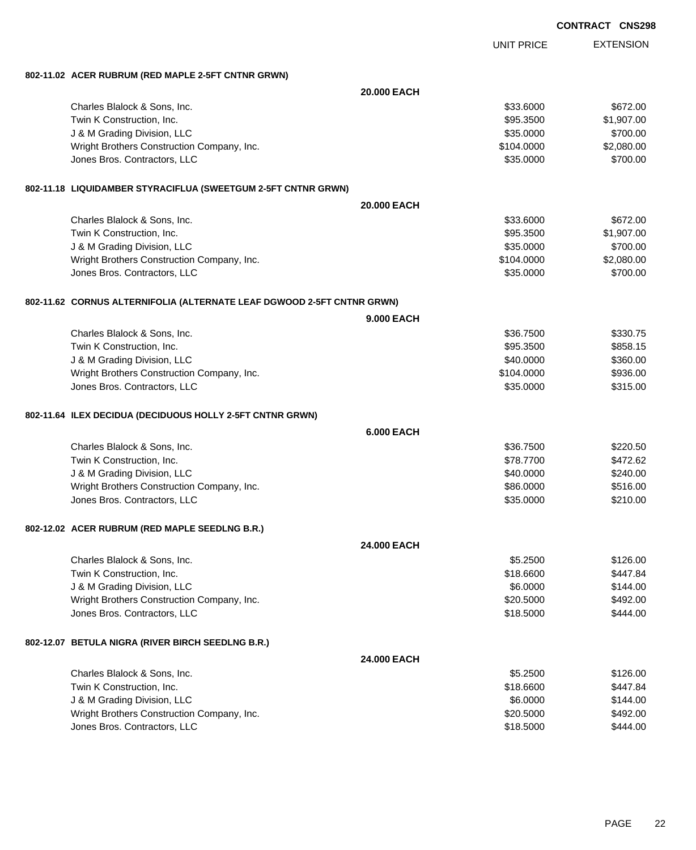| <b>CONTRACT CNS298</b> |  |
|------------------------|--|
|                        |  |

EXTENSION UNIT PRICE **802-11.02 ACER RUBRUM (RED MAPLE 2-5FT CNTNR GRWN) 20.000 EACH** Charles Blalock & Sons, Inc. \$672.00 Twin K Construction, Inc. \$95.3500 \$1,907.00 J & M Grading Division, LLC \$35.0000 \$700.00 Wright Brothers Construction Company, Inc. 6. 2008.000 \$104.0000 \$2,080.00 Jones Bros. Contractors, LLC 6700.00 \$700.00 **802-11.18 LIQUIDAMBER STYRACIFLUA (SWEETGUM 2-5FT CNTNR GRWN) 20.000 EACH** Charles Blalock & Sons, Inc. \$672.00 Twin K Construction, Inc. \$95.3500 \$1,907.00 J & M Grading Division, LLC \$35.0000 \$700.00 Wright Brothers Construction Company, Inc. 6. 2008.000 \$104.0000 \$2,080.00 Jones Bros. Contractors, LLC 6. The state of the state of the state of the state of the state of the state of the state of the state of the state of the state of the state of the state of the state of the state of the stat **802-11.62 CORNUS ALTERNIFOLIA (ALTERNATE LEAF DGWOOD 2-5FT CNTNR GRWN) 9.000 EACH** Charles Blalock & Sons, Inc. \$36.7500 \$330.75 Twin K Construction, Inc. \$958.15 J & M Grading Division, LLC \$360.00 Wright Brothers Construction Company, Inc. 6936.00 \$936.00 Jones Bros. Contractors, LLC 6. The State of the State of the State of State of State of State of State of State of State of State of State of State of State of State of State of State of State of State of State of State o **802-11.64 ILEX DECIDUA (DECIDUOUS HOLLY 2-5FT CNTNR GRWN) 6.000 EACH** Charles Blalock & Sons, Inc. \$36.7500 \$220.50 Twin K Construction, Inc. \$78.7700 \$472.62 J & M Grading Division, LLC \$40.000 \$240.00 Wright Brothers Construction Company, Inc. 6. 2012 12:30 12:30 13:316.000 \$516.000 \$516.00 Jones Bros. Contractors, LLC 6. 2000 \$210.00 **802-12.02 ACER RUBRUM (RED MAPLE SEEDLNG B.R.) 24.000 EACH** Charles Blalock & Sons, Inc. \$126.00 Twin K Construction, Inc. \$18.6600 \$447.84 U & M Grading Division, LLC \$144.00 Wright Brothers Construction Company, Inc. 6. 20.5000 \$492.00 Jones Bros. Contractors, LLC \$18.5000 \$444.00 **802-12.07 BETULA NIGRA (RIVER BIRCH SEEDLNG B.R.) 24.000 EACH** Charles Blalock & Sons, Inc. 6. 25.2500 \$126.00 Twin K Construction, Inc. \$18.6600 \$447.84 J & M Grading Division, LLC \$144.00 Wright Brothers Construction Company, Inc. 6. 20.5000 \$492.00 Jones Bros. Contractors, LLC \$18.5000 \$444.00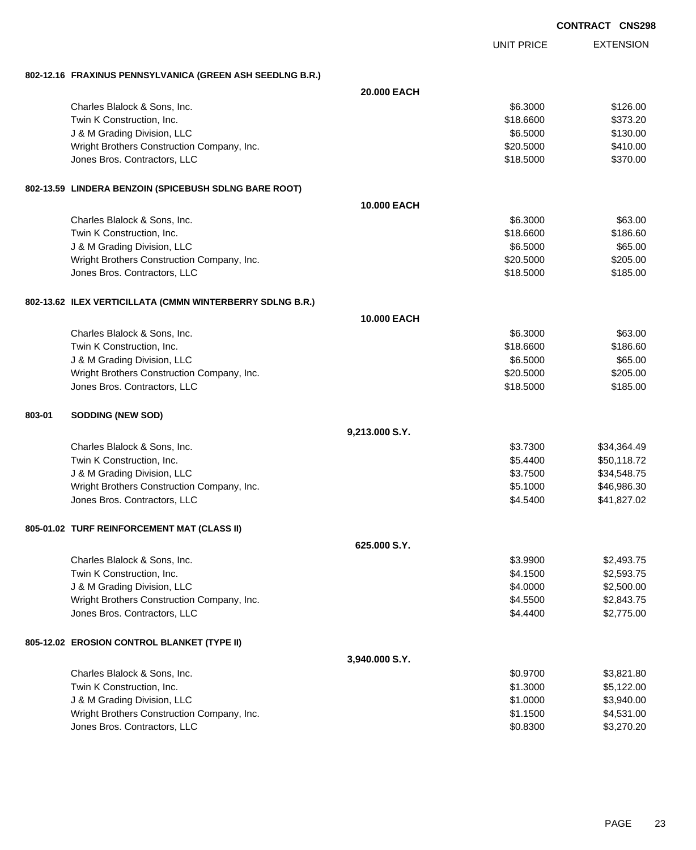|        |                                                           |                    |                   | <b>CONTRACT CNS298</b> |
|--------|-----------------------------------------------------------|--------------------|-------------------|------------------------|
|        |                                                           |                    | <b>UNIT PRICE</b> | <b>EXTENSION</b>       |
|        | 802-12.16 FRAXINUS PENNSYLVANICA (GREEN ASH SEEDLNG B.R.) |                    |                   |                        |
|        |                                                           | 20.000 EACH        |                   |                        |
|        | Charles Blalock & Sons, Inc.                              |                    | \$6.3000          | \$126.00               |
|        | Twin K Construction, Inc.                                 |                    | \$18.6600         | \$373.20               |
|        | J & M Grading Division, LLC                               |                    | \$6.5000          | \$130.00               |
|        | Wright Brothers Construction Company, Inc.                |                    | \$20.5000         | \$410.00               |
|        | Jones Bros. Contractors, LLC                              |                    | \$18.5000         | \$370.00               |
|        | 802-13.59 LINDERA BENZOIN (SPICEBUSH SDLNG BARE ROOT)     |                    |                   |                        |
|        |                                                           | <b>10.000 EACH</b> |                   |                        |
|        | Charles Blalock & Sons, Inc.                              |                    | \$6.3000          | \$63.00                |
|        | Twin K Construction, Inc.                                 |                    | \$18.6600         | \$186.60               |
|        | J & M Grading Division, LLC                               |                    | \$6.5000          | \$65.00                |
|        | Wright Brothers Construction Company, Inc.                |                    | \$20.5000         | \$205.00               |
|        | Jones Bros. Contractors, LLC                              |                    | \$18.5000         | \$185.00               |
|        | 802-13.62 ILEX VERTICILLATA (CMMN WINTERBERRY SDLNG B.R.) |                    |                   |                        |
|        |                                                           | 10.000 EACH        |                   |                        |
|        | Charles Blalock & Sons, Inc.                              |                    | \$6.3000          | \$63.00                |
|        | Twin K Construction, Inc.                                 |                    | \$18.6600         | \$186.60               |
|        | J & M Grading Division, LLC                               |                    | \$6.5000          | \$65.00                |
|        | Wright Brothers Construction Company, Inc.                |                    | \$20.5000         | \$205.00               |
|        | Jones Bros. Contractors, LLC                              |                    | \$18.5000         | \$185.00               |
| 803-01 | SODDING (NEW SOD)                                         |                    |                   |                        |
|        |                                                           | 9,213.000 S.Y.     |                   |                        |
|        | Charles Blalock & Sons, Inc.                              |                    | \$3.7300          | \$34,364.49            |
|        | Twin K Construction, Inc.                                 |                    | \$5.4400          | \$50,118.72            |
|        | J & M Grading Division, LLC                               |                    | \$3.7500          | \$34,548.75            |
|        | Wright Brothers Construction Company, Inc.                |                    | \$5.1000          | \$46,986.30            |
|        | Jones Bros. Contractors, LLC                              |                    | \$4.5400          | \$41,827.02            |
|        | 805-01.02 TURF REINFORCEMENT MAT (CLASS II)               |                    |                   |                        |
|        |                                                           | 625.000 S.Y.       |                   |                        |
|        | Charles Blalock & Sons, Inc.                              |                    | \$3.9900          | \$2,493.75             |
|        | Twin K Construction, Inc.                                 |                    | \$4.1500          | \$2,593.75             |
|        | J & M Grading Division, LLC                               |                    | \$4.0000          | \$2,500.00             |
|        | Wright Brothers Construction Company, Inc.                |                    | \$4.5500          | \$2,843.75             |
|        | Jones Bros. Contractors, LLC                              |                    | \$4.4400          | \$2,775.00             |
|        | 805-12.02 EROSION CONTROL BLANKET (TYPE II)               |                    |                   |                        |
|        |                                                           | 3,940.000 S.Y.     |                   |                        |
|        | Charles Blalock & Sons, Inc.                              |                    | \$0.9700          | \$3,821.80             |
|        | Twin K Construction, Inc.                                 |                    | \$1.3000          | \$5,122.00             |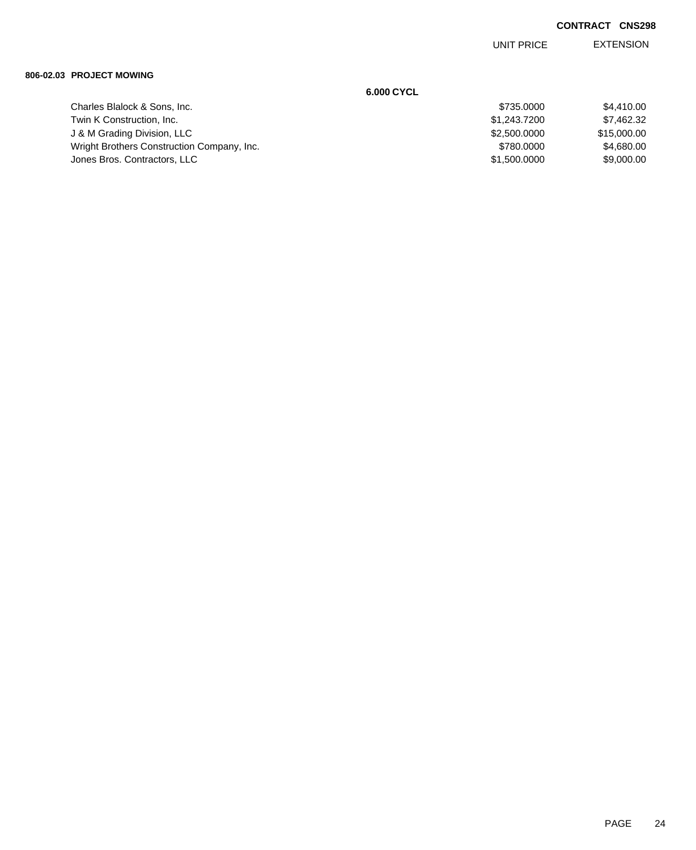EXTENSION UNIT PRICE

### **806-02.03 PROJECT MOWING**

|                                            | 6.000 CYCL   |             |
|--------------------------------------------|--------------|-------------|
| Charles Blalock & Sons, Inc.               | \$735.0000   | \$4,410,00  |
| Twin K Construction, Inc.                  | \$1,243.7200 | \$7,462.32  |
| J & M Grading Division, LLC                | \$2,500,0000 | \$15,000.00 |
| Wright Brothers Construction Company, Inc. | \$780,0000   | \$4,680,00  |
| Jones Bros. Contractors, LLC               | \$1,500.0000 | \$9,000.00  |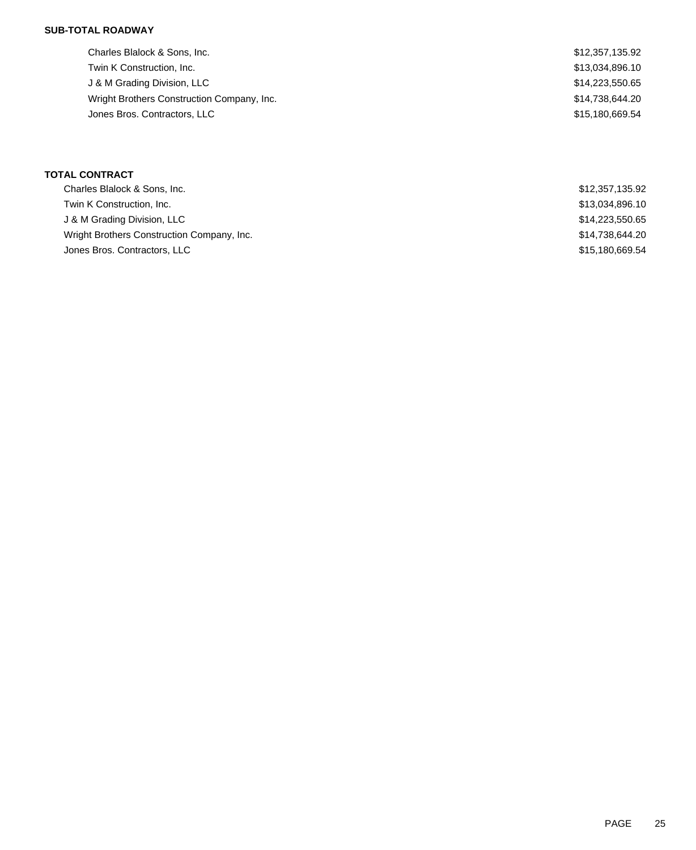## **SUB-TOTAL ROADWAY**

| Charles Blalock & Sons, Inc.               | \$12,357,135.92 |
|--------------------------------------------|-----------------|
| Twin K Construction, Inc.                  | \$13,034,896.10 |
| J & M Grading Division, LLC                | \$14,223,550.65 |
| Wright Brothers Construction Company, Inc. | \$14,738,644.20 |
| Jones Bros. Contractors, LLC               | \$15,180,669.54 |

## **TOTAL CONTRACT**

| Charles Blalock & Sons, Inc.               | \$12,357,135.92 |
|--------------------------------------------|-----------------|
| Twin K Construction, Inc.                  | \$13,034,896.10 |
| J & M Grading Division, LLC                | \$14,223,550.65 |
| Wright Brothers Construction Company, Inc. | \$14,738,644.20 |
| Jones Bros. Contractors, LLC               | \$15,180,669.54 |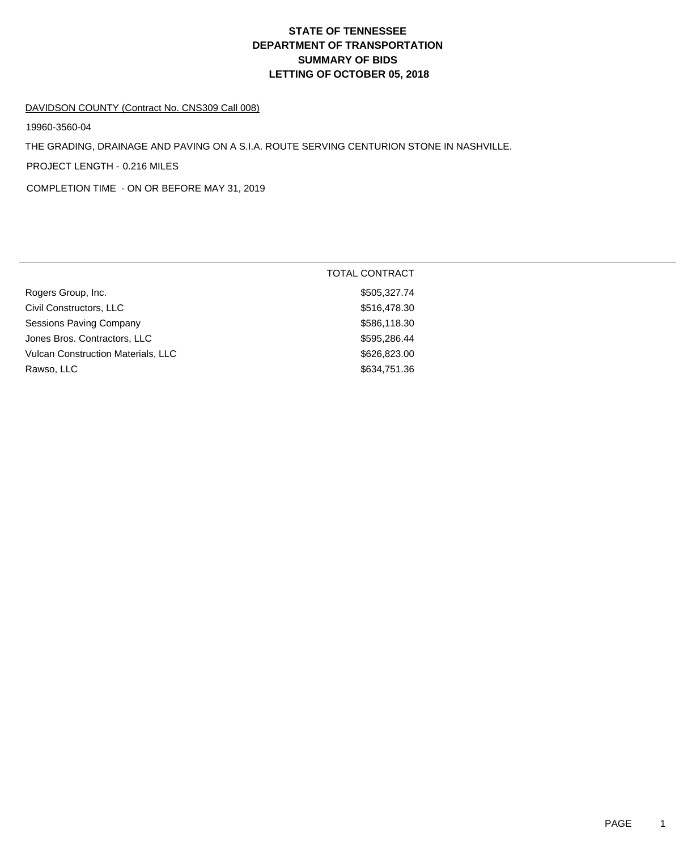# **DEPARTMENT OF TRANSPORTATION SUMMARY OF BIDS LETTING OF OCTOBER 05, 2018 STATE OF TENNESSEE**

#### DAVIDSON COUNTY (Contract No. CNS309 Call 008)

19960-3560-04

THE GRADING, DRAINAGE AND PAVING ON A S.I.A. ROUTE SERVING CENTURION STONE IN NASHVILLE.

PROJECT LENGTH - 0.216 MILES

COMPLETION TIME - ON OR BEFORE MAY 31, 2019

| \$505,327.74<br>Rogers Group, Inc.<br>Civil Constructors, LLC<br>\$516,478.30<br><b>Sessions Paving Company</b><br>\$586,118.30<br>Jones Bros. Contractors, LLC<br>\$595,286.44<br>Vulcan Construction Materials, LLC<br>\$626,823.00<br>\$634,751.36<br>Rawso, LLC | <b>TOTAL CONTRACT</b> |
|---------------------------------------------------------------------------------------------------------------------------------------------------------------------------------------------------------------------------------------------------------------------|-----------------------|
|                                                                                                                                                                                                                                                                     |                       |
|                                                                                                                                                                                                                                                                     |                       |
|                                                                                                                                                                                                                                                                     |                       |
|                                                                                                                                                                                                                                                                     |                       |
|                                                                                                                                                                                                                                                                     |                       |
|                                                                                                                                                                                                                                                                     |                       |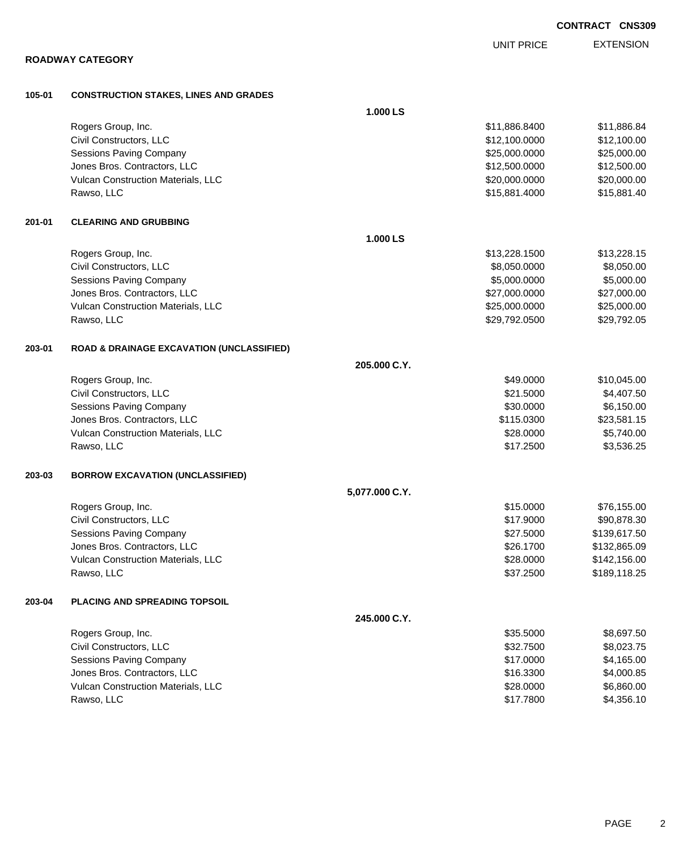|        |                                                      |                | <b>UNIT PRICE</b> | <b>EXTENSION</b> |
|--------|------------------------------------------------------|----------------|-------------------|------------------|
|        | <b>ROADWAY CATEGORY</b>                              |                |                   |                  |
| 105-01 | <b>CONSTRUCTION STAKES, LINES AND GRADES</b>         |                |                   |                  |
|        |                                                      | 1.000 LS       |                   |                  |
|        | Rogers Group, Inc.                                   |                | \$11,886.8400     | \$11,886.84      |
|        | Civil Constructors, LLC                              |                | \$12,100.0000     | \$12,100.00      |
|        | Sessions Paving Company                              |                | \$25,000.0000     | \$25,000.00      |
|        | Jones Bros. Contractors, LLC                         |                | \$12,500.0000     | \$12,500.00      |
|        | Vulcan Construction Materials, LLC                   |                | \$20,000.0000     | \$20,000.00      |
|        | Rawso, LLC                                           |                | \$15,881.4000     | \$15,881.40      |
| 201-01 | <b>CLEARING AND GRUBBING</b>                         |                |                   |                  |
|        |                                                      | 1.000 LS       |                   |                  |
|        | Rogers Group, Inc.                                   |                | \$13,228.1500     | \$13,228.15      |
|        | Civil Constructors, LLC                              |                | \$8,050.0000      | \$8,050.00       |
|        | <b>Sessions Paving Company</b>                       |                | \$5,000.0000      | \$5,000.00       |
|        | Jones Bros. Contractors, LLC                         |                | \$27,000.0000     | \$27,000.00      |
|        | Vulcan Construction Materials, LLC                   |                | \$25,000.0000     | \$25,000.00      |
|        | Rawso, LLC                                           |                | \$29,792.0500     | \$29,792.05      |
| 203-01 | <b>ROAD &amp; DRAINAGE EXCAVATION (UNCLASSIFIED)</b> |                |                   |                  |
|        |                                                      | 205.000 C.Y.   |                   |                  |
|        | Rogers Group, Inc.                                   |                | \$49.0000         | \$10,045.00      |
|        | Civil Constructors, LLC                              |                | \$21.5000         | \$4,407.50       |
|        | <b>Sessions Paving Company</b>                       |                | \$30.0000         | \$6,150.00       |
|        | Jones Bros. Contractors, LLC                         |                | \$115.0300        | \$23,581.15      |
|        | Vulcan Construction Materials, LLC                   |                | \$28.0000         | \$5,740.00       |
|        | Rawso, LLC                                           |                | \$17.2500         | \$3,536.25       |
| 203-03 | <b>BORROW EXCAVATION (UNCLASSIFIED)</b>              |                |                   |                  |
|        |                                                      | 5,077.000 C.Y. |                   |                  |
|        | Rogers Group, Inc.                                   |                | \$15.0000         | \$76,155.00      |
|        | Civil Constructors, LLC                              |                | \$17.9000         | \$90,878.30      |
|        | <b>Sessions Paving Company</b>                       |                | \$27.5000         | \$139,617.50     |
|        | Jones Bros. Contractors, LLC                         |                | \$26.1700         | \$132,865.09     |
|        | Vulcan Construction Materials, LLC                   |                | \$28.0000         | \$142,156.00     |
|        | Rawso, LLC                                           |                | \$37.2500         | \$189,118.25     |
| 203-04 | PLACING AND SPREADING TOPSOIL                        |                |                   |                  |
|        |                                                      | 245.000 C.Y.   |                   |                  |
|        | Rogers Group, Inc.                                   |                | \$35.5000         | \$8,697.50       |
|        | Civil Constructors, LLC                              |                | \$32.7500         | \$8,023.75       |
|        | Sessions Paving Company                              |                | \$17.0000         | \$4,165.00       |
|        | Jones Bros. Contractors, LLC                         |                | \$16.3300         | \$4,000.85       |
|        | Vulcan Construction Materials, LLC                   |                | \$28.0000         | \$6,860.00       |

Rawso, LLC \$17.7800 \$4,356.10

PAGE 2

**CONTRACT CNS309**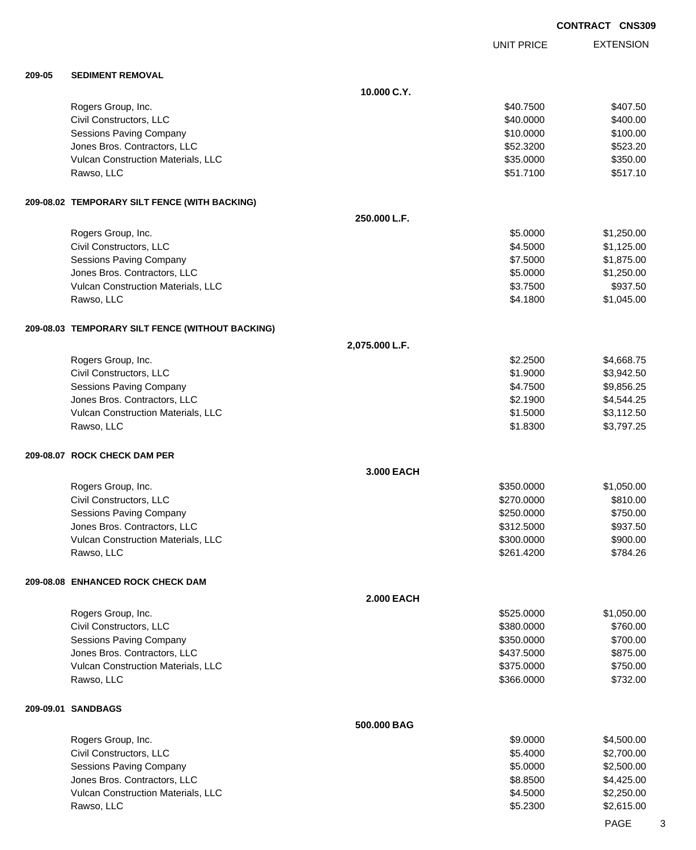EXTENSION **CONTRACT CNS309** UNIT PRICE **209-05 SEDIMENT REMOVAL 10.000 C.Y.** Rogers Group, Inc. \$40.7500 \$40.7500 \$40.7500 \$40.7500 \$40.7500 \$40.7500 \$40.7500 \$40.7500 \$40.7500 \$40.7500 \$ Civil Constructors, LLC 6400.00 Sessions Paving Company 6100.00 \$100.00 \$100.00 \$100.00 \$100.00 \$100.00 \$100.00 \$100.00 \$100.00 \$100.00 \$100.00 Jones Bros. Contractors, LLC 6523.200 \$52.3200 \$52.3200 \$52.3200 \$52.3200 \$52.3200 \$52.3200 \$523.20 Vulcan Construction Materials, LLC 60000 \$350.000 \$350.000 \$350.000 \$350.00 Rawso, LLC \$51.7100 \$517.10 **209-08.02 TEMPORARY SILT FENCE (WITH BACKING) 250.000 L.F.** Rogers Group, Inc. \$1,250.00 \$1,250.00 \$1,250.00 \$1,250.00 \$1,250.00 \$1,250.00 \$1,250.00 \$1,250.00 \$1,250.00 \$1,250.00 \$1,250.00 \$1,250.00 \$1,250.00 \$1,250.00 \$1,250.00 \$1,250.00 \$1,250.00 \$1,250.00 \$1,250.00 \$1,250.00 \$1, Civil Constructors, LLC 61,125.00 Sessions Paving Company **\$1,875.00** \$1,875.00 Unes Bros. Contractors, LLC 61,250.00 Vulcan Construction Materials, LLC 6. The state of the state of the state of the state of the state of the state of the state of the state of the state of the state of the state of the state of the state of the state of th Rawso, LLC \$4.1800 \$1,045.00 **209-08.03 TEMPORARY SILT FENCE (WITHOUT BACKING) 2,075.000 L.F.** Rogers Group, Inc. \$2.2500 \$4,668.75 Civil Constructors, LLC \$1.9000 \$3,942.50 Sessions Paving Company \$4.7500 \$9,856.25 Jones Bros. Contractors, LLC \$2.1900 \$4,544.25 Vulcan Construction Materials, LLC 6. 2000 \$3,112.50 Rawso, LLC \$1.8300 \$3,797.25 **209-08.07 ROCK CHECK DAM PER 3.000 EACH** Rogers Group, Inc. \$1,050.00 \$1,050.00 \$1,050.00 \$1,050.00 \$1,050.00 \$1,050.00 \$1,050.00 \$1,050.00 \$1,050.00 \$1,050.00 \$1,050.00 \$1,050.00 \$1,050.00 \$1,050.00 \$1,050.00 \$1,050.00 \$1,050.00 \$1,050.00 \$1,050.00 \$1,050.00 \$1, Civil Constructors, LLC 6810.00 Sessions Paving Company **\$250.000** \$750.00 Jones Bros. Contractors, LLC \$312.5000 \$937.50 Vulcan Construction Materials, LLC 60000 \$900.000 \$900.000 \$900.000 \$900.00 Rawso, LLC \$261.4200 \$784.26 **209-08.08 ENHANCED ROCK CHECK DAM 2.000 EACH** Rogers Group, Inc. \$1,050.00 \$1,050.00 \$1,050.00 \$1,050.00 \$1,050.00 \$1,050.00 \$1,050.00 \$1,050.00 \$1,050.00 \$1,050.00 \$1,050.00 \$1,050.00 \$1,050.00 \$1,050.00 \$1,050.00 \$1,050.00 \$1,050.00 \$1,050.00 \$1,050.00 \$1,050.00 \$1, Civil Constructors, LLC 6760.00 Sessions Paving Company 6700.00 \$700.00 \$700.00 \$700.00 \$700.00 \$700.00 \$700.00 \$700.00 \$ Jones Bros. Contractors, LLC \$437.5000 \$875.00 Vulcan Construction Materials, LLC 6750.000 \$750.000 \$750.000 \$750.00 Rawso, LLC \$366.0000 \$732.00 **209-09.01 SANDBAGS 500.000 BAG**

| Rogers Group, Inc.                        | \$9,0000 | \$4,500,00 |
|-------------------------------------------|----------|------------|
| Civil Constructors, LLC                   | \$5,4000 | \$2,700.00 |
| Sessions Paving Company                   | \$5,0000 | \$2,500.00 |
| Jones Bros. Contractors, LLC              | \$8,8500 | \$4,425,00 |
| <b>Vulcan Construction Materials, LLC</b> | \$4.5000 | \$2,250,00 |
| Rawso, LLC                                | \$5,2300 | \$2,615,00 |
|                                           |          |            |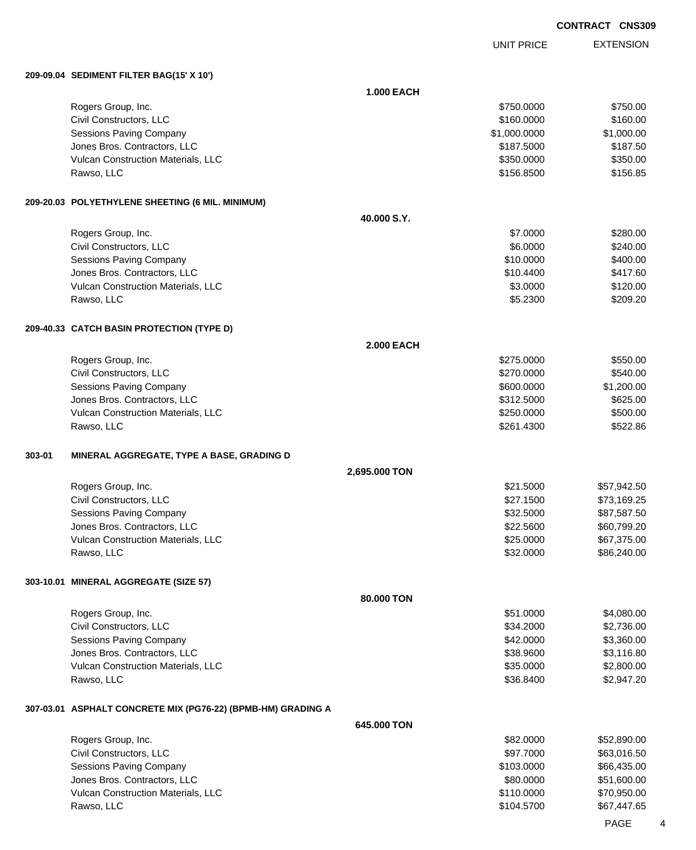UNIT PRICE

EXTENSION

**209-09.04 SEDIMENT FILTER BAG(15' X 10')**

|        |                                                              | <b>1.000 EACH</b> |                          |                            |
|--------|--------------------------------------------------------------|-------------------|--------------------------|----------------------------|
|        | Rogers Group, Inc.                                           |                   | \$750.0000               | \$750.00                   |
|        | Civil Constructors, LLC                                      |                   | \$160.0000               | \$160.00                   |
|        | Sessions Paving Company                                      |                   | \$1,000.0000             | \$1,000.00                 |
|        | Jones Bros. Contractors, LLC                                 |                   | \$187.5000               | \$187.50                   |
|        | Vulcan Construction Materials, LLC                           |                   | \$350.0000               | \$350.00                   |
|        | Rawso, LLC                                                   |                   | \$156.8500               | \$156.85                   |
|        | 209-20.03 POLYETHYLENE SHEETING (6 MIL. MINIMUM)             |                   |                          |                            |
|        |                                                              | 40.000 S.Y.       |                          |                            |
|        | Rogers Group, Inc.                                           |                   | \$7.0000                 | \$280.00                   |
|        | Civil Constructors, LLC                                      |                   | \$6.0000                 | \$240.00                   |
|        | Sessions Paving Company                                      |                   | \$10.0000                | \$400.00                   |
|        | Jones Bros. Contractors, LLC                                 |                   | \$10.4400                | \$417.60                   |
|        | Vulcan Construction Materials, LLC                           |                   | \$3.0000                 | \$120.00                   |
|        | Rawso, LLC                                                   |                   | \$5.2300                 | \$209.20                   |
|        | 209-40.33 CATCH BASIN PROTECTION (TYPE D)                    |                   |                          |                            |
|        |                                                              | <b>2.000 EACH</b> |                          |                            |
|        | Rogers Group, Inc.                                           |                   | \$275.0000               | \$550.00                   |
|        | Civil Constructors, LLC                                      |                   | \$270.0000               | \$540.00                   |
|        | <b>Sessions Paving Company</b>                               |                   | \$600.0000               | \$1,200.00                 |
|        | Jones Bros. Contractors, LLC                                 |                   | \$312.5000               | \$625.00                   |
|        | Vulcan Construction Materials, LLC                           |                   | \$250.0000               | \$500.00                   |
|        | Rawso, LLC                                                   |                   | \$261.4300               | \$522.86                   |
| 303-01 | MINERAL AGGREGATE, TYPE A BASE, GRADING D                    |                   |                          |                            |
|        |                                                              | 2,695.000 TON     |                          |                            |
|        | Rogers Group, Inc.                                           |                   | \$21.5000                | \$57,942.50                |
|        | Civil Constructors, LLC                                      |                   | \$27.1500                | \$73,169.25                |
|        | <b>Sessions Paving Company</b>                               |                   | \$32.5000                | \$87,587.50                |
|        | Jones Bros. Contractors, LLC                                 |                   | \$22.5600                | \$60,799.20                |
|        | Vulcan Construction Materials, LLC                           |                   | \$25.0000                | \$67,375.00                |
|        | Rawso, LLC                                                   |                   | \$32.0000                | \$86,240.00                |
|        | 303-10.01 MINERAL AGGREGATE (SIZE 57)                        |                   |                          |                            |
|        |                                                              |                   |                          |                            |
|        |                                                              | 80,000 TON        |                          |                            |
|        | Rogers Group, Inc.                                           |                   | \$51.0000                | \$4,080.00                 |
|        | Civil Constructors, LLC                                      |                   | \$34.2000                | \$2,736.00                 |
|        | <b>Sessions Paving Company</b>                               |                   | \$42.0000                | \$3,360.00                 |
|        | Jones Bros. Contractors, LLC                                 |                   | \$38.9600                | \$3,116.80                 |
|        | Vulcan Construction Materials, LLC                           |                   | \$35.0000                | \$2,800.00                 |
|        | Rawso, LLC                                                   |                   | \$36.8400                | \$2,947.20                 |
|        | 307-03.01 ASPHALT CONCRETE MIX (PG76-22) (BPMB-HM) GRADING A |                   |                          |                            |
|        |                                                              | 645.000 TON       |                          |                            |
|        | Rogers Group, Inc.                                           |                   | \$82.0000                | \$52,890.00                |
|        | Civil Constructors, LLC                                      |                   | \$97.7000                | \$63,016.50                |
|        | Sessions Paving Company                                      |                   | \$103.0000               | \$66,435.00                |
|        | Jones Bros. Contractors, LLC                                 |                   | \$80.0000                | \$51,600.00                |
|        | Vulcan Construction Materials, LLC<br>Rawso, LLC             |                   | \$110.0000<br>\$104.5700 | \$70,950.00<br>\$67,447.65 |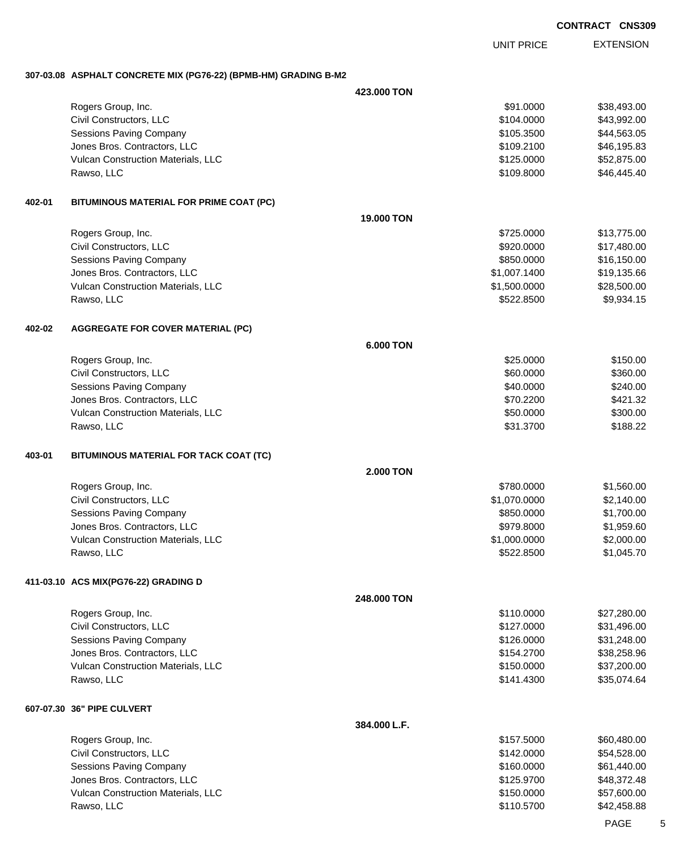EXTENSION UNIT PRICE

### **307-03.08 ASPHALT CONCRETE MIX (PG76-22) (BPMB-HM) GRADING B-M2**

|        |                                                                    | 423,000 TON      |                          |                            |
|--------|--------------------------------------------------------------------|------------------|--------------------------|----------------------------|
|        | Rogers Group, Inc.                                                 |                  | \$91.0000                | \$38,493.00                |
|        | Civil Constructors, LLC                                            |                  | \$104.0000               | \$43,992.00                |
|        | Sessions Paving Company                                            |                  | \$105.3500               | \$44,563.05                |
|        | Jones Bros. Contractors, LLC                                       |                  | \$109.2100               | \$46,195.83                |
|        | Vulcan Construction Materials, LLC                                 |                  | \$125.0000               | \$52,875.00                |
|        | Rawso, LLC                                                         |                  | \$109.8000               | \$46,445.40                |
| 402-01 | BITUMINOUS MATERIAL FOR PRIME COAT (PC)                            |                  |                          |                            |
|        |                                                                    | 19.000 TON       |                          |                            |
|        | Rogers Group, Inc.                                                 |                  | \$725,0000               | \$13,775.00                |
|        | Civil Constructors, LLC                                            |                  | \$920.0000               | \$17,480.00                |
|        | <b>Sessions Paving Company</b>                                     |                  | \$850.0000               | \$16,150.00                |
|        | Jones Bros. Contractors, LLC                                       |                  | \$1,007.1400             | \$19,135.66                |
|        | Vulcan Construction Materials, LLC                                 |                  | \$1,500.0000             | \$28,500.00                |
|        | Rawso, LLC                                                         |                  | \$522.8500               | \$9,934.15                 |
| 402-02 | <b>AGGREGATE FOR COVER MATERIAL (PC)</b>                           |                  |                          |                            |
|        |                                                                    | <b>6.000 TON</b> |                          |                            |
|        | Rogers Group, Inc.                                                 |                  | \$25.0000                | \$150.00                   |
|        | Civil Constructors, LLC                                            |                  | \$60.0000                | \$360.00                   |
|        | Sessions Paving Company                                            |                  | \$40.0000                | \$240.00                   |
|        | Jones Bros. Contractors, LLC                                       |                  | \$70.2200                | \$421.32                   |
|        | Vulcan Construction Materials, LLC                                 |                  | \$50.0000                | \$300.00                   |
|        | Rawso, LLC                                                         |                  | \$31.3700                | \$188.22                   |
| 403-01 | BITUMINOUS MATERIAL FOR TACK COAT (TC)                             |                  |                          |                            |
|        |                                                                    | <b>2.000 TON</b> |                          |                            |
|        | Rogers Group, Inc.                                                 |                  | \$780.0000               | \$1,560.00                 |
|        | Civil Constructors, LLC                                            |                  | \$1,070.0000             | \$2,140.00                 |
|        | Sessions Paving Company                                            |                  | \$850.0000               | \$1,700.00                 |
|        | Jones Bros. Contractors, LLC                                       |                  | \$979.8000               | \$1,959.60                 |
|        | Vulcan Construction Materials, LLC                                 |                  | \$1,000.0000             | \$2,000.00                 |
|        | Rawso, LLC                                                         |                  | \$522.8500               | \$1,045.70                 |
|        | 411-03.10 ACS MIX(PG76-22) GRADING D                               |                  |                          |                            |
|        |                                                                    | 248.000 TON      | \$110.0000               | \$27,280.00                |
|        | Rogers Group, Inc.<br>Civil Constructors, LLC                      |                  |                          |                            |
|        |                                                                    |                  | \$127.0000<br>\$126.0000 | \$31,496.00                |
|        | <b>Sessions Paving Company</b>                                     |                  |                          | \$31,248.00                |
|        | Jones Bros. Contractors, LLC<br>Vulcan Construction Materials, LLC |                  | \$154.2700               | \$38,258.96                |
|        | Rawso, LLC                                                         |                  | \$150.0000<br>\$141.4300 | \$37,200.00<br>\$35,074.64 |
|        | 607-07.30 36" PIPE CULVERT                                         |                  |                          |                            |
|        |                                                                    | 384.000 L.F.     |                          |                            |
|        | Rogers Group, Inc.                                                 |                  | \$157.5000               | \$60,480.00                |
|        | Civil Constructors, LLC                                            |                  | \$142.0000               | \$54,528.00                |
|        | Sessions Paving Company                                            |                  | \$160.0000               | \$61,440.00                |
|        | Jones Bros. Contractors, LLC                                       |                  | \$125.9700               | \$48,372.48                |
|        | Vulcan Construction Materials, LLC                                 |                  | \$150.0000               | \$57,600.00                |
|        | Rawso, LLC                                                         |                  | \$110.5700               | \$42,458.88                |
|        |                                                                    |                  |                          |                            |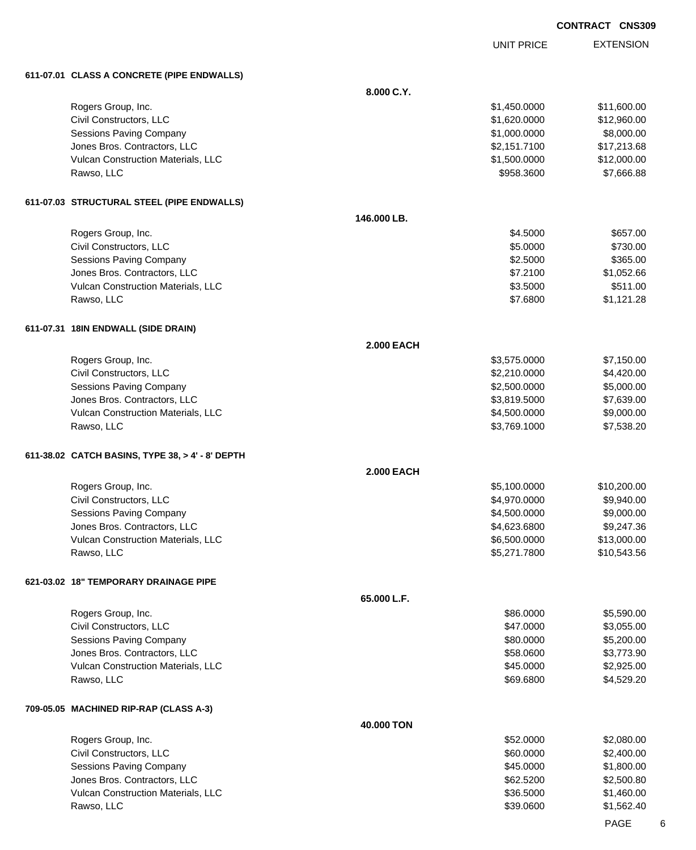|                                                                    |                   |                              | <b>CONTRACT CNS309</b>   |  |
|--------------------------------------------------------------------|-------------------|------------------------------|--------------------------|--|
|                                                                    |                   | <b>UNIT PRICE</b>            | <b>EXTENSION</b>         |  |
| 611-07.01 CLASS A CONCRETE (PIPE ENDWALLS)                         |                   |                              |                          |  |
|                                                                    | 8.000 C.Y.        |                              |                          |  |
| Rogers Group, Inc.                                                 |                   | \$1,450.0000                 | \$11,600.00              |  |
| Civil Constructors, LLC                                            |                   | \$1,620.0000                 | \$12,960.00              |  |
| <b>Sessions Paving Company</b>                                     |                   | \$1,000.0000                 | \$8,000.00               |  |
| Jones Bros. Contractors, LLC                                       |                   | \$2,151.7100                 | \$17,213.68              |  |
| Vulcan Construction Materials, LLC                                 |                   | \$1,500.0000                 | \$12,000.00              |  |
| Rawso, LLC                                                         |                   | \$958.3600                   | \$7,666.88               |  |
| 611-07.03 STRUCTURAL STEEL (PIPE ENDWALLS)                         |                   |                              |                          |  |
|                                                                    | 146.000 LB.       |                              |                          |  |
| Rogers Group, Inc.                                                 |                   | \$4.5000                     | \$657.00                 |  |
| Civil Constructors, LLC                                            |                   | \$5.0000                     | \$730.00                 |  |
| <b>Sessions Paving Company</b>                                     |                   | \$2.5000                     | \$365.00                 |  |
| Jones Bros. Contractors, LLC                                       |                   | \$7.2100                     | \$1,052.66               |  |
| Vulcan Construction Materials, LLC<br>Rawso, LLC                   |                   | \$3.5000<br>\$7.6800         | \$511.00<br>\$1,121.28   |  |
|                                                                    |                   |                              |                          |  |
| 611-07.31 18IN ENDWALL (SIDE DRAIN)                                |                   |                              |                          |  |
|                                                                    | <b>2.000 EACH</b> |                              |                          |  |
| Rogers Group, Inc.                                                 |                   | \$3,575.0000                 | \$7,150.00               |  |
| Civil Constructors, LLC                                            |                   | \$2,210.0000                 | \$4,420.00               |  |
| <b>Sessions Paving Company</b>                                     |                   | \$2,500.0000                 | \$5,000.00               |  |
| Jones Bros. Contractors, LLC<br>Vulcan Construction Materials, LLC |                   | \$3,819.5000<br>\$4,500.0000 | \$7,639.00<br>\$9,000.00 |  |
| Rawso, LLC                                                         |                   | \$3,769.1000                 | \$7,538.20               |  |
|                                                                    |                   |                              |                          |  |
| 611-38.02 CATCH BASINS, TYPE 38, > 4' - 8' DEPTH                   | <b>2.000 EACH</b> |                              |                          |  |
| Rogers Group, Inc.                                                 |                   | \$5,100.0000                 | \$10,200.00              |  |
| Civil Constructors, LLC                                            |                   | \$4,970.0000                 |                          |  |
| <b>Sessions Paving Company</b>                                     |                   | \$4,500.0000                 | \$9,940.00<br>\$9,000.00 |  |
| Jones Bros. Contractors, LLC                                       |                   | \$4,623.6800                 | \$9,247.36               |  |
| Vulcan Construction Materials, LLC                                 |                   | \$6,500.0000                 | \$13,000.00              |  |
| Rawso, LLC                                                         |                   | \$5,271.7800                 | \$10,543.56              |  |
|                                                                    |                   |                              |                          |  |
| 621-03.02 18" TEMPORARY DRAINAGE PIPE                              | 65.000 L.F.       |                              |                          |  |
| Rogers Group, Inc.                                                 |                   | \$86.0000                    | \$5,590.00               |  |
| Civil Constructors, LLC                                            |                   | \$47.0000                    | \$3,055.00               |  |
| <b>Sessions Paving Company</b>                                     |                   | \$80.0000                    | \$5,200.00               |  |
| Jones Bros. Contractors, LLC                                       |                   | \$58.0600                    | \$3,773.90               |  |
| Vulcan Construction Materials, LLC                                 |                   | \$45.0000                    | \$2,925.00               |  |
| Rawso, LLC                                                         |                   | \$69.6800                    | \$4,529.20               |  |
| 709-05.05 MACHINED RIP-RAP (CLASS A-3)                             |                   |                              |                          |  |
|                                                                    | 40.000 TON        |                              |                          |  |
| Rogers Group, Inc.                                                 |                   | \$52.0000                    | \$2,080.00               |  |
| Civil Constructors, LLC                                            |                   | \$60.0000                    | \$2,400.00               |  |
| <b>Sessions Paving Company</b>                                     |                   | \$45.0000                    | \$1,800.00               |  |
| Jones Bros. Contractors, LLC                                       |                   | \$62.5200                    | \$2,500.80               |  |
| Vulcan Construction Materials, LLC                                 |                   | \$36.5000                    | \$1,460.00               |  |
| Rawso, LLC                                                         |                   | \$39.0600                    | \$1,562.40               |  |

PAGE 6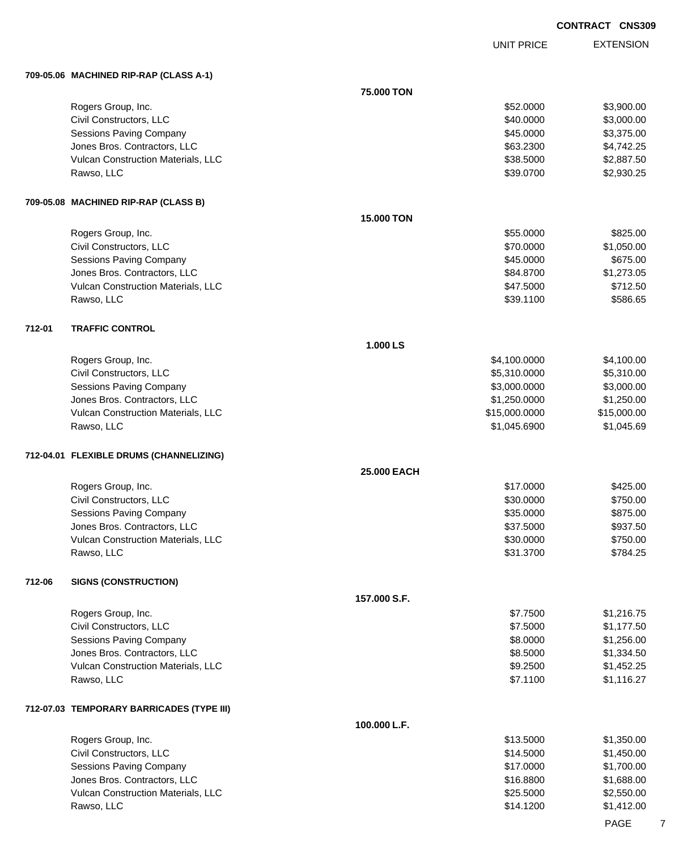UNIT PRICE

EXTENSION

|        | 709-05.06 MACHINED RIP-RAP (CLASS A-1)    |              |               |             |
|--------|-------------------------------------------|--------------|---------------|-------------|
|        |                                           | 75.000 TON   |               |             |
|        | Rogers Group, Inc.                        |              | \$52.0000     | \$3,900.00  |
|        | Civil Constructors, LLC                   |              | \$40.0000     | \$3,000.00  |
|        | Sessions Paving Company                   |              | \$45.0000     | \$3,375.00  |
|        | Jones Bros. Contractors, LLC              |              | \$63.2300     | \$4,742.25  |
|        | Vulcan Construction Materials, LLC        |              | \$38.5000     | \$2,887.50  |
|        | Rawso, LLC                                |              | \$39.0700     | \$2,930.25  |
|        | 709-05.08 MACHINED RIP-RAP (CLASS B)      |              |               |             |
|        |                                           | 15.000 TON   |               |             |
|        | Rogers Group, Inc.                        |              | \$55.0000     | \$825.00    |
|        | Civil Constructors, LLC                   |              | \$70.0000     | \$1,050.00  |
|        | Sessions Paving Company                   |              | \$45.0000     | \$675.00    |
|        | Jones Bros. Contractors, LLC              |              | \$84.8700     | \$1,273.05  |
|        | Vulcan Construction Materials, LLC        |              | \$47.5000     | \$712.50    |
|        | Rawso, LLC                                |              | \$39.1100     | \$586.65    |
| 712-01 | <b>TRAFFIC CONTROL</b>                    |              |               |             |
|        |                                           | 1.000 LS     |               |             |
|        | Rogers Group, Inc.                        |              | \$4,100.0000  | \$4,100.00  |
|        | Civil Constructors, LLC                   |              | \$5,310.0000  | \$5,310.00  |
|        | Sessions Paving Company                   |              | \$3,000.0000  | \$3,000.00  |
|        | Jones Bros. Contractors, LLC              |              | \$1,250.0000  | \$1,250.00  |
|        | Vulcan Construction Materials, LLC        |              | \$15,000.0000 | \$15,000.00 |
|        | Rawso, LLC                                |              | \$1,045.6900  | \$1,045.69  |
|        | 712-04.01 FLEXIBLE DRUMS (CHANNELIZING)   |              |               |             |
|        |                                           | 25.000 EACH  |               |             |
|        | Rogers Group, Inc.                        |              | \$17.0000     | \$425.00    |
|        | Civil Constructors, LLC                   |              | \$30.0000     | \$750.00    |
|        | Sessions Paving Company                   |              | \$35.0000     | \$875.00    |
|        | Jones Bros. Contractors, LLC              |              | \$37.5000     | \$937.50    |
|        | Vulcan Construction Materials, LLC        |              | \$30.0000     | \$750.00    |
|        | Rawso, LLC                                |              | \$31.3700     | \$784.25    |
| 712-06 | <b>SIGNS (CONSTRUCTION)</b>               |              |               |             |
|        |                                           | 157.000 S.F. |               |             |
|        | Rogers Group, Inc.                        |              | \$7.7500      | \$1,216.75  |
|        | Civil Constructors, LLC                   |              | \$7.5000      | \$1,177.50  |
|        | Sessions Paving Company                   |              | \$8.0000      | \$1,256.00  |
|        | Jones Bros. Contractors, LLC              |              | \$8.5000      | \$1,334.50  |
|        | Vulcan Construction Materials, LLC        |              | \$9.2500      | \$1,452.25  |
|        | Rawso, LLC                                |              | \$7.1100      | \$1,116.27  |
|        | 712-07.03 TEMPORARY BARRICADES (TYPE III) |              |               |             |
|        |                                           | 100.000 L.F. |               |             |
|        | Rogers Group, Inc.                        |              | \$13.5000     | \$1,350.00  |
|        | Civil Constructors, LLC                   |              | \$14.5000     | \$1,450.00  |
|        | Sessions Paving Company                   |              | \$17.0000     | \$1,700.00  |
|        | Jones Bros. Contractors, LLC              |              | \$16.8800     | \$1,688.00  |
|        | Vulcan Construction Materials, LLC        |              | \$25.5000     | \$2,550.00  |
|        | Rawso, LLC                                |              | \$14.1200     | \$1,412.00  |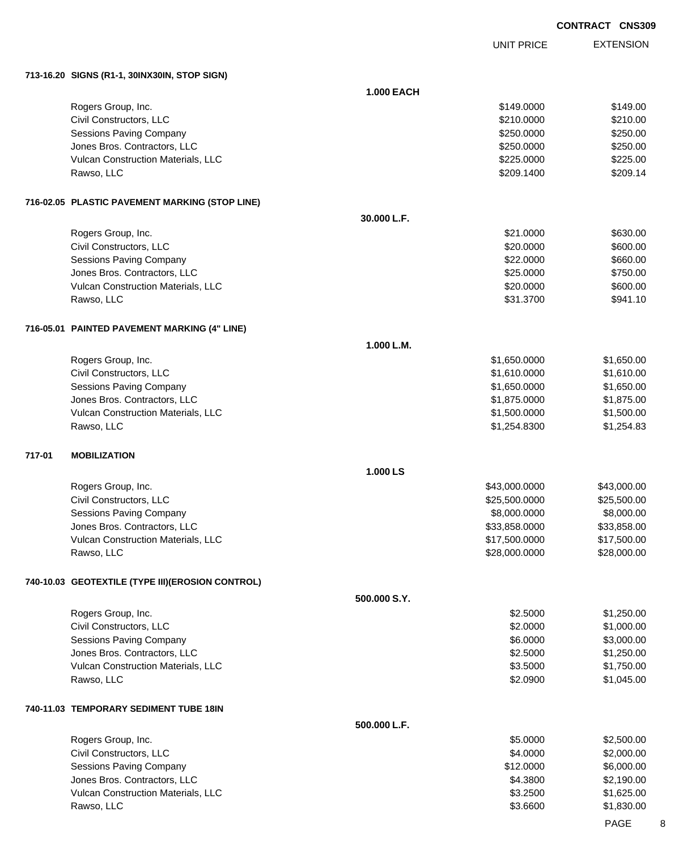UNIT PRICE

EXTENSION

**713-16.20 SIGNS (R1-1, 30INX30IN, STOP SIGN)**

|        | $(15 - 10.20)$ וועס קרוועג (ד $(5 - 1, 30$ וועס, די הייזן און ה |                   |               |             |
|--------|-----------------------------------------------------------------|-------------------|---------------|-------------|
|        |                                                                 | <b>1.000 EACH</b> |               |             |
|        | Rogers Group, Inc.                                              |                   | \$149.0000    | \$149.00    |
|        | Civil Constructors, LLC                                         |                   | \$210.0000    | \$210.00    |
|        | <b>Sessions Paving Company</b>                                  |                   | \$250.0000    | \$250.00    |
|        | Jones Bros. Contractors, LLC                                    |                   | \$250.0000    | \$250.00    |
|        | Vulcan Construction Materials, LLC                              |                   | \$225.0000    | \$225.00    |
|        | Rawso, LLC                                                      |                   | \$209.1400    | \$209.14    |
|        | 716-02.05 PLASTIC PAVEMENT MARKING (STOP LINE)                  |                   |               |             |
|        |                                                                 | 30.000 L.F.       |               |             |
|        | Rogers Group, Inc.                                              |                   | \$21.0000     | \$630.00    |
|        | Civil Constructors, LLC                                         |                   | \$20.0000     | \$600.00    |
|        | <b>Sessions Paving Company</b>                                  |                   | \$22.0000     | \$660.00    |
|        | Jones Bros. Contractors, LLC                                    |                   | \$25.0000     | \$750.00    |
|        | Vulcan Construction Materials, LLC                              |                   | \$20.0000     | \$600.00    |
|        | Rawso, LLC                                                      |                   | \$31.3700     | \$941.10    |
|        | 716-05.01 PAINTED PAVEMENT MARKING (4" LINE)                    |                   |               |             |
|        |                                                                 | 1.000 L.M.        |               |             |
|        | Rogers Group, Inc.                                              |                   | \$1,650.0000  | \$1,650.00  |
|        | Civil Constructors, LLC                                         |                   | \$1,610.0000  | \$1,610.00  |
|        | <b>Sessions Paving Company</b>                                  |                   | \$1,650.0000  | \$1,650.00  |
|        | Jones Bros. Contractors, LLC                                    |                   | \$1,875.0000  | \$1,875.00  |
|        | Vulcan Construction Materials, LLC                              |                   | \$1,500.0000  | \$1,500.00  |
|        | Rawso, LLC                                                      |                   | \$1,254.8300  | \$1,254.83  |
| 717-01 | <b>MOBILIZATION</b>                                             |                   |               |             |
|        |                                                                 | 1.000 LS          |               |             |
|        | Rogers Group, Inc.                                              |                   | \$43,000.0000 | \$43,000.00 |
|        | Civil Constructors, LLC                                         |                   | \$25,500.0000 | \$25,500.00 |
|        | <b>Sessions Paving Company</b>                                  |                   | \$8,000.0000  | \$8,000.00  |
|        | Jones Bros. Contractors, LLC                                    |                   | \$33,858.0000 | \$33,858.00 |
|        | Vulcan Construction Materials, LLC                              |                   | \$17,500.0000 | \$17,500.00 |
|        | Rawso, LLC                                                      |                   | \$28,000.0000 | \$28,000.00 |
|        | 740-10.03 GEOTEXTILE (TYPE III) (EROSION CONTROL)               |                   |               |             |
|        |                                                                 | 500.000 S.Y.      |               |             |
|        | Rogers Group, Inc.                                              |                   | \$2.5000      | \$1,250.00  |
|        | Civil Constructors, LLC                                         |                   | \$2.0000      | \$1,000.00  |
|        | <b>Sessions Paving Company</b>                                  |                   | \$6.0000      | \$3,000.00  |
|        | Jones Bros. Contractors, LLC                                    |                   | \$2.5000      | \$1,250.00  |
|        | Vulcan Construction Materials, LLC                              |                   | \$3.5000      | \$1,750.00  |
|        | Rawso, LLC                                                      |                   | \$2.0900      | \$1,045.00  |
|        | 740-11.03 TEMPORARY SEDIMENT TUBE 18IN                          |                   |               |             |
|        |                                                                 | 500.000 L.F.      |               |             |
|        | Rogers Group, Inc.                                              |                   | \$5.0000      | \$2,500.00  |
|        | Civil Constructors, LLC                                         |                   | \$4.0000      | \$2,000.00  |
|        | Sessions Paving Company                                         |                   | \$12.0000     | \$6,000.00  |
|        | Jones Bros. Contractors, LLC                                    |                   | \$4.3800      | \$2,190.00  |
|        | Vulcan Construction Materials, LLC                              |                   | \$3.2500      | \$1,625.00  |
|        | Rawso, LLC                                                      |                   | \$3.6600      | \$1,830.00  |
|        |                                                                 |                   |               |             |

PAGE 8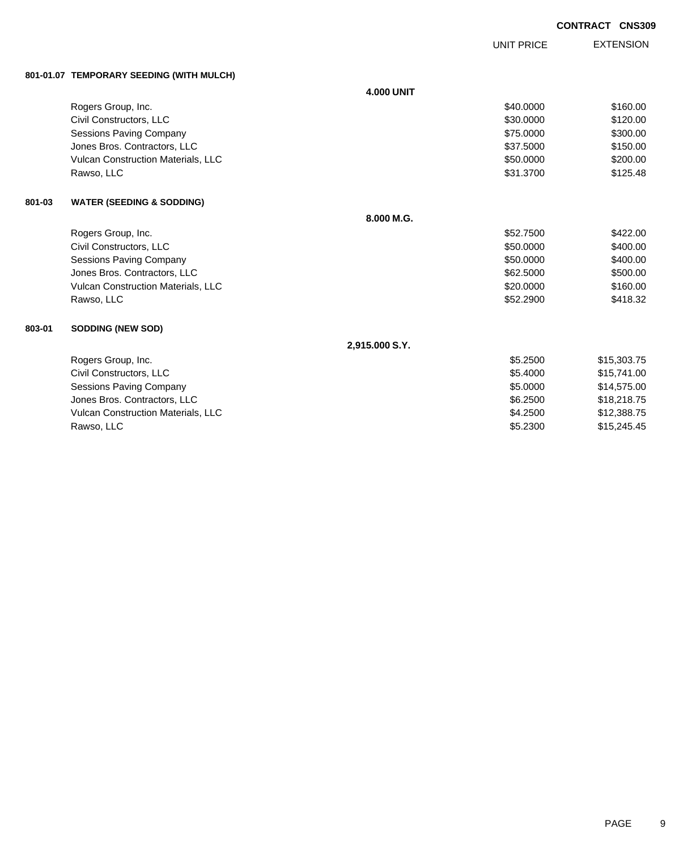UNIT PRICE

EXTENSION

|        | 801-01.07 TEMPORARY SEEDING (WITH MULCH)  |                   |           |             |
|--------|-------------------------------------------|-------------------|-----------|-------------|
|        |                                           | <b>4.000 UNIT</b> |           |             |
|        | Rogers Group, Inc.                        |                   | \$40.0000 | \$160.00    |
|        | Civil Constructors, LLC                   |                   | \$30.0000 | \$120.00    |
|        | Sessions Paving Company                   |                   | \$75.0000 | \$300.00    |
|        | Jones Bros. Contractors, LLC              |                   | \$37,5000 | \$150.00    |
|        | Vulcan Construction Materials, LLC        |                   | \$50.0000 | \$200.00    |
|        | Rawso, LLC                                |                   | \$31.3700 | \$125.48    |
| 801-03 | <b>WATER (SEEDING &amp; SODDING)</b>      |                   |           |             |
|        |                                           | 8.000 M.G.        |           |             |
|        | Rogers Group, Inc.                        |                   | \$52.7500 | \$422.00    |
|        | Civil Constructors, LLC                   |                   | \$50.0000 | \$400.00    |
|        | Sessions Paving Company                   |                   | \$50.0000 | \$400.00    |
|        | Jones Bros. Contractors, LLC              |                   | \$62,5000 | \$500.00    |
|        | <b>Vulcan Construction Materials, LLC</b> |                   | \$20,0000 | \$160.00    |
|        | Rawso, LLC                                |                   | \$52.2900 | \$418.32    |
| 803-01 | <b>SODDING (NEW SOD)</b>                  |                   |           |             |
|        |                                           | 2,915.000 S.Y.    |           |             |
|        | Rogers Group, Inc.                        |                   | \$5.2500  | \$15,303.75 |
|        | Civil Constructors, LLC                   |                   | \$5.4000  | \$15,741.00 |
|        | Sessions Paving Company                   |                   | \$5.0000  | \$14,575.00 |
|        | Jones Bros. Contractors, LLC              |                   | \$6,2500  | \$18,218.75 |
|        | Vulcan Construction Materials, LLC        |                   | \$4.2500  | \$12,388.75 |
|        | Rawso, LLC                                |                   | \$5.2300  | \$15.245.45 |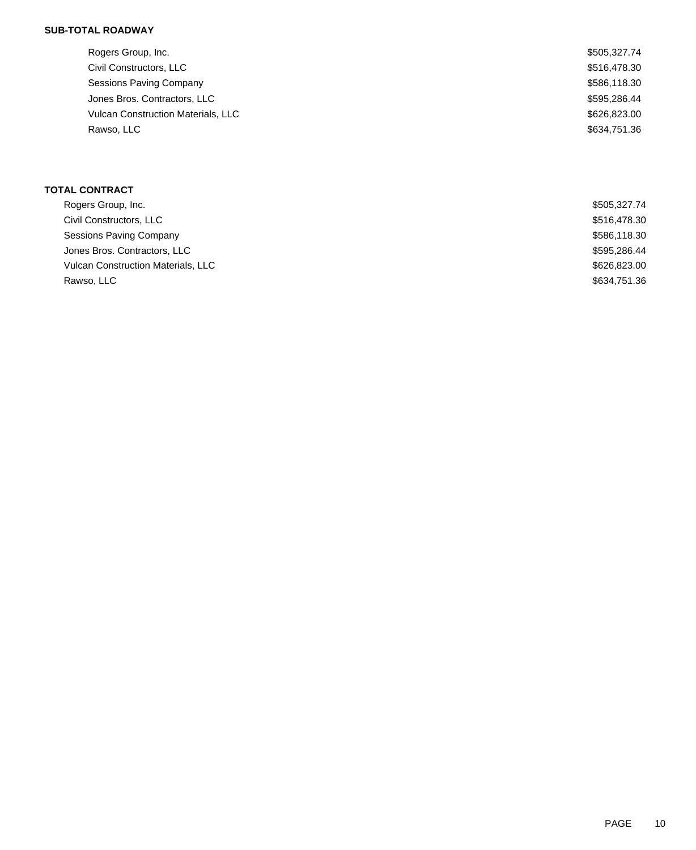## **SUB-TOTAL ROADWAY**

| Rogers Group, Inc.                        | \$505,327.74 |
|-------------------------------------------|--------------|
| Civil Constructors, LLC                   | \$516,478.30 |
| <b>Sessions Paving Company</b>            | \$586,118.30 |
| Jones Bros. Contractors, LLC              | \$595,286.44 |
| <b>Vulcan Construction Materials, LLC</b> | \$626,823.00 |
| Rawso, LLC                                | \$634,751.36 |

# **TOTAL CONTRACT**

| Rogers Group, Inc.                        | \$505,327.74 |
|-------------------------------------------|--------------|
| Civil Constructors, LLC                   | \$516,478.30 |
| <b>Sessions Paving Company</b>            | \$586,118.30 |
| Jones Bros. Contractors, LLC              | \$595.286.44 |
| <b>Vulcan Construction Materials, LLC</b> | \$626,823.00 |
| Rawso, LLC                                | \$634,751.36 |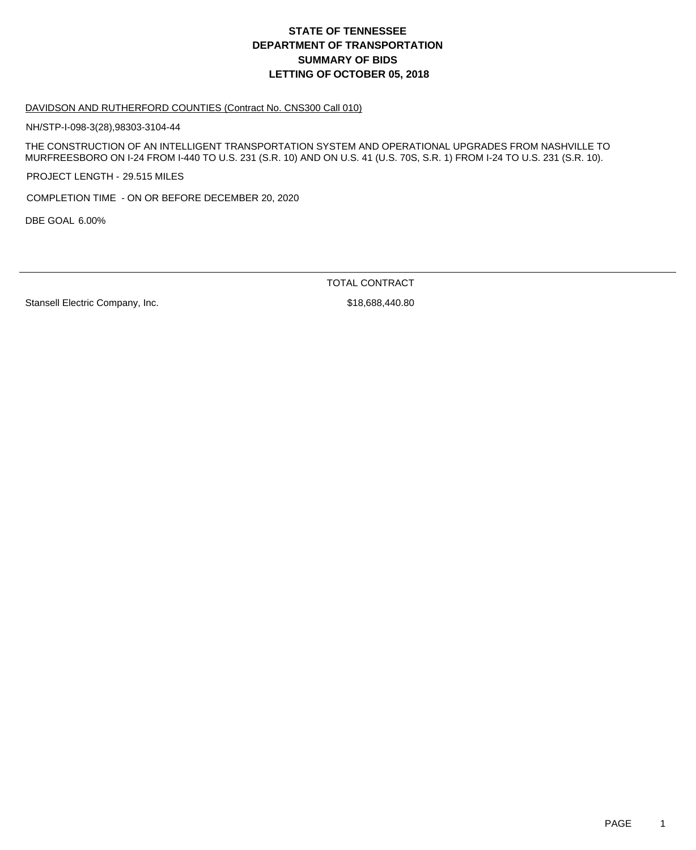# **DEPARTMENT OF TRANSPORTATION SUMMARY OF BIDS LETTING OF OCTOBER 05, 2018 STATE OF TENNESSEE**

### DAVIDSON AND RUTHERFORD COUNTIES (Contract No. CNS300 Call 010)

NH/STP-I-098-3(28),98303-3104-44

THE CONSTRUCTION OF AN INTELLIGENT TRANSPORTATION SYSTEM AND OPERATIONAL UPGRADES FROM NASHVILLE TO MURFREESBORO ON I-24 FROM I-440 TO U.S. 231 (S.R. 10) AND ON U.S. 41 (U.S. 70S, S.R. 1) FROM I-24 TO U.S. 231 (S.R. 10).

PROJECT LENGTH - 29.515 MILES

COMPLETION TIME - ON OR BEFORE DECEMBER 20, 2020

DBE GOAL 6.00%

TOTAL CONTRACT

Stansell Electric Company, Inc. 6. The Stansell Electric Company, Inc. 6. The Stansell Electric Company, Inc.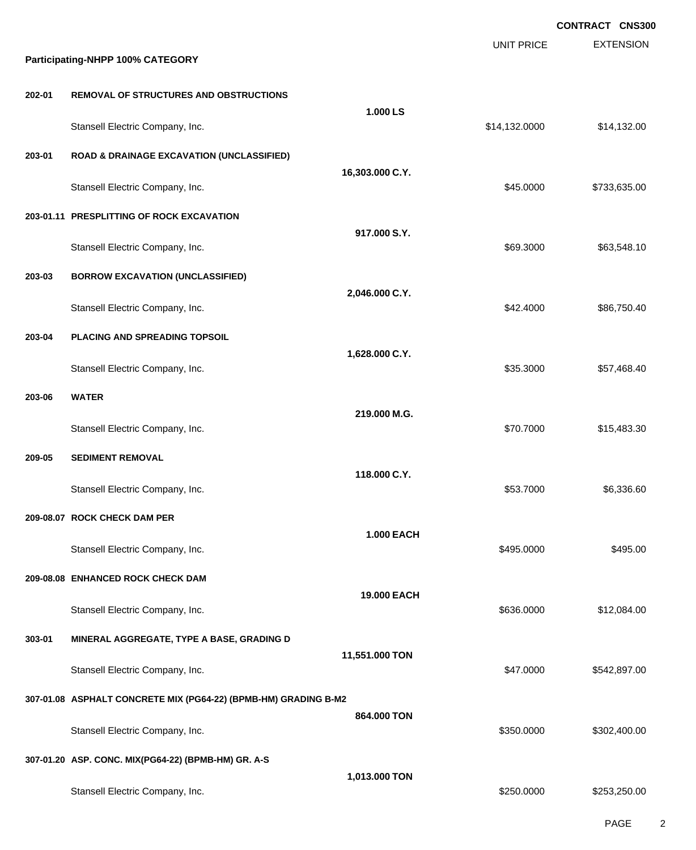|        |                                                                 |                   |                   | CONTRACT CNS300  |
|--------|-----------------------------------------------------------------|-------------------|-------------------|------------------|
|        | Participating-NHPP 100% CATEGORY                                |                   | <b>UNIT PRICE</b> | <b>EXTENSION</b> |
|        |                                                                 |                   |                   |                  |
| 202-01 | <b>REMOVAL OF STRUCTURES AND OBSTRUCTIONS</b>                   | 1.000 LS          |                   |                  |
|        | Stansell Electric Company, Inc.                                 |                   | \$14,132.0000     | \$14,132.00      |
| 203-01 | <b>ROAD &amp; DRAINAGE EXCAVATION (UNCLASSIFIED)</b>            |                   |                   |                  |
|        | Stansell Electric Company, Inc.                                 | 16,303.000 C.Y.   | \$45.0000         | \$733,635.00     |
|        | 203-01.11 PRESPLITTING OF ROCK EXCAVATION                       |                   |                   |                  |
|        | Stansell Electric Company, Inc.                                 | 917.000 S.Y.      | \$69.3000         | \$63,548.10      |
| 203-03 | <b>BORROW EXCAVATION (UNCLASSIFIED)</b>                         |                   |                   |                  |
|        | Stansell Electric Company, Inc.                                 | 2,046.000 C.Y.    | \$42.4000         | \$86,750.40      |
| 203-04 | PLACING AND SPREADING TOPSOIL                                   |                   |                   |                  |
|        | Stansell Electric Company, Inc.                                 | 1,628.000 C.Y.    | \$35.3000         | \$57,468.40      |
| 203-06 | <b>WATER</b>                                                    |                   |                   |                  |
|        | Stansell Electric Company, Inc.                                 | 219.000 M.G.      | \$70.7000         | \$15,483.30      |
| 209-05 | <b>SEDIMENT REMOVAL</b>                                         |                   |                   |                  |
|        | Stansell Electric Company, Inc.                                 | 118.000 C.Y.      | \$53.7000         | \$6,336.60       |
|        | 209-08.07 ROCK CHECK DAM PER                                    |                   |                   |                  |
|        | Stansell Electric Company, Inc.                                 | <b>1.000 EACH</b> | \$495,0000        | \$495.00         |
|        | 209-08.08 ENHANCED ROCK CHECK DAM                               |                   |                   |                  |
|        | Stansell Electric Company, Inc.                                 | 19.000 EACH       | \$636.0000        | \$12,084.00      |
| 303-01 | MINERAL AGGREGATE, TYPE A BASE, GRADING D                       |                   |                   |                  |
|        | Stansell Electric Company, Inc.                                 | 11,551.000 TON    | \$47.0000         | \$542,897.00     |
|        | 307-01.08 ASPHALT CONCRETE MIX (PG64-22) (BPMB-HM) GRADING B-M2 |                   |                   |                  |
|        | Stansell Electric Company, Inc.                                 | 864.000 TON       | \$350.0000        | \$302,400.00     |
|        | 307-01.20 ASP. CONC. MIX(PG64-22) (BPMB-HM) GR. A-S             |                   |                   |                  |
|        | Stansell Electric Company, Inc.                                 | 1,013.000 TON     | \$250.0000        | \$253,250.00     |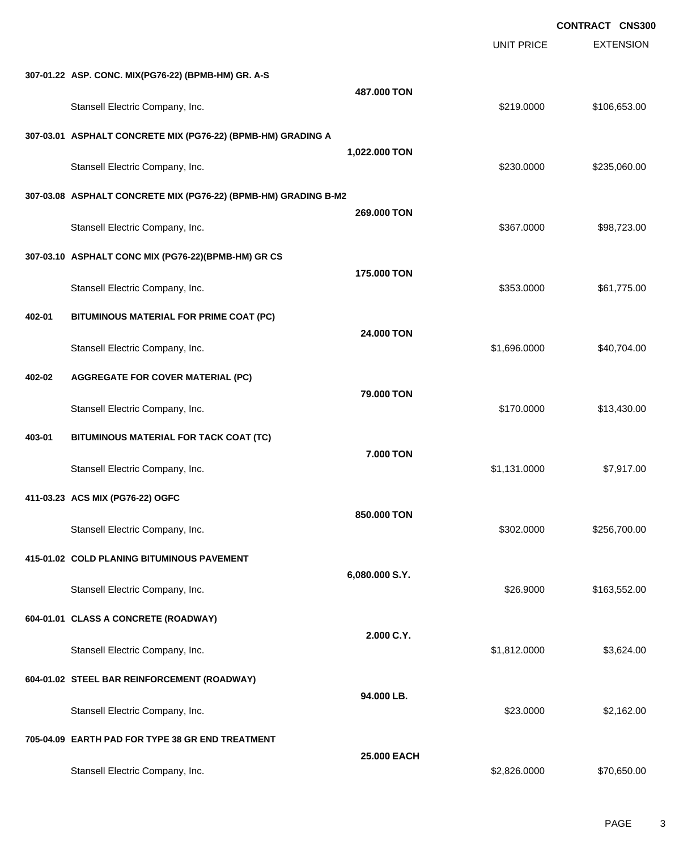EXTENSION **CONTRACT CNS300** UNIT PRICE **307-01.22 ASP. CONC. MIX(PG76-22) (BPMB-HM) GR. A-S 487.000 TON** Stansell Electric Company, Inc. 6. 2010. [2010] Stansell Electric Company, Inc. 6. 219.0000 \$106,653.00 **307-03.01 ASPHALT CONCRETE MIX (PG76-22) (BPMB-HM) GRADING A 1,022.000 TON** Stansell Electric Company, Inc. 6. 235,060.00 \$235,060.00 \$235,060.00 **307-03.08 ASPHALT CONCRETE MIX (PG76-22) (BPMB-HM) GRADING B-M2 269.000 TON** Stansell Electric Company, Inc. 698,723.00 \$98,723.00 \$98,723.00 **307-03.10 ASPHALT CONC MIX (PG76-22)(BPMB-HM) GR CS 175.000 TON** Stansell Electric Company, Inc. 661,775.00 \$61,775.00 \$61,775.00 **402-01 BITUMINOUS MATERIAL FOR PRIME COAT (PC) 24.000 TON** Stansell Electric Company, Inc. 6. The Company of the Company of the Company of the Company of the Company of the Company of the Company of the Company of the Company of the Company of the Company of the Company of the Com **402-02 AGGREGATE FOR COVER MATERIAL (PC) 79.000 TON** Stansell Electric Company, Inc. 6. The Standard Standard Standard Standard Standard Standard Standard Standard **403-01 BITUMINOUS MATERIAL FOR TACK COAT (TC) 7.000 TON** Stansell Electric Company, Inc. 6. 2012. The standard state of the state of the state of the state of the state of the state of the state of the state of the state of the state of the state of the state of the state of the **411-03.23 ACS MIX (PG76-22) OGFC 850.000 TON** Stansell Electric Company, Inc. 6. 2012.000 \$256,700.00 \$256,700.00 **415-01.02 COLD PLANING BITUMINOUS PAVEMENT 6,080.000 S.Y.** Stansell Electric Company, Inc. 6. The Standard Company, Inc. \$26.9000 \$163,552.00 **604-01.01 CLASS A CONCRETE (ROADWAY) 2.000 C.Y.** Stansell Electric Company, Inc. 63,624.00 **604-01.02 STEEL BAR REINFORCEMENT (ROADWAY) 94.000 LB.** Stansell Electric Company, Inc. 6. The Standard Company, Inc. \$23.0000 \$2,162.00 **705-04.09 EARTH PAD FOR TYPE 38 GR END TREATMENT 25.000 EACH**

Stansell Electric Company, Inc. 6. The Standard Company, Inc. 6. The Standard Company, Inc. 6. The Standard Company, Inc. 6. The Standard Company, Inc. 6. The Standard Company, Inc. 6. The Standard Company, Inc. 6. The Sta

PAGE 3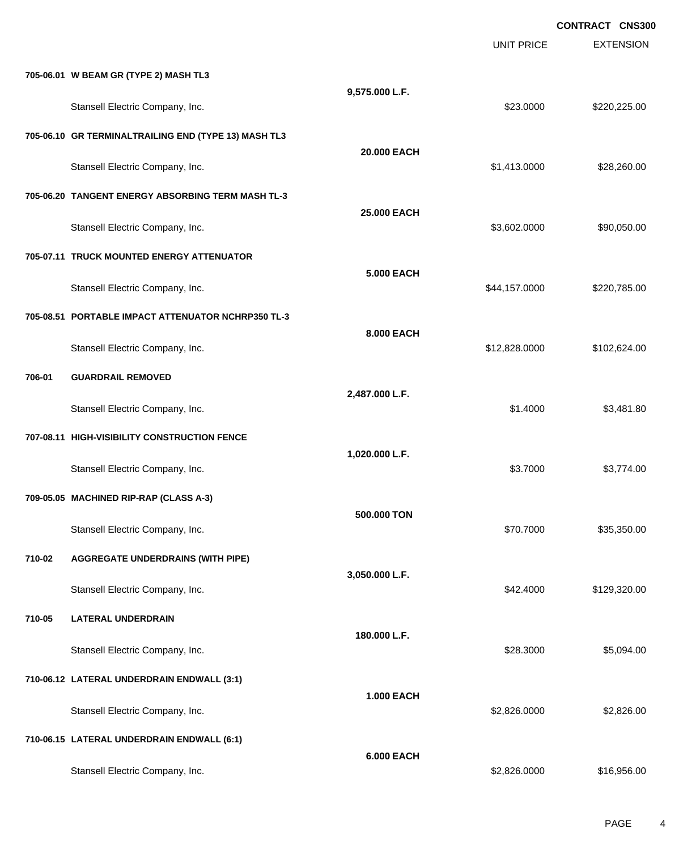|        |                                                      |                    | <b>UNIT PRICE</b> | <b>CONTRACT CNS300</b><br><b>EXTENSION</b> |
|--------|------------------------------------------------------|--------------------|-------------------|--------------------------------------------|
|        | 705-06.01 W BEAM GR (TYPE 2) MASH TL3                |                    |                   |                                            |
|        | Stansell Electric Company, Inc.                      | 9,575.000 L.F.     | \$23.0000         | \$220,225.00                               |
|        | 705-06.10 GR TERMINALTRAILING END (TYPE 13) MASH TL3 |                    |                   |                                            |
|        | Stansell Electric Company, Inc.                      | 20.000 EACH        | \$1,413.0000      | \$28,260.00                                |
|        | 705-06.20 TANGENT ENERGY ABSORBING TERM MASH TL-3    |                    |                   |                                            |
|        | Stansell Electric Company, Inc.                      | <b>25,000 EACH</b> | \$3,602.0000      | \$90,050.00                                |
|        | 705-07.11 TRUCK MOUNTED ENERGY ATTENUATOR            |                    |                   |                                            |
|        | Stansell Electric Company, Inc.                      | <b>5.000 EACH</b>  | \$44,157.0000     | \$220,785.00                               |
|        | 705-08.51 PORTABLE IMPACT ATTENUATOR NCHRP350 TL-3   |                    |                   |                                            |
|        | Stansell Electric Company, Inc.                      | 8.000 EACH         | \$12,828.0000     | \$102,624.00                               |
| 706-01 | <b>GUARDRAIL REMOVED</b>                             |                    |                   |                                            |
|        | Stansell Electric Company, Inc.                      | 2,487.000 L.F.     | \$1.4000          | \$3,481.80                                 |
|        | 707-08.11 HIGH-VISIBILITY CONSTRUCTION FENCE         |                    |                   |                                            |
|        | Stansell Electric Company, Inc.                      | 1,020.000 L.F.     | \$3.7000          | \$3,774.00                                 |
|        | 709-05.05 MACHINED RIP-RAP (CLASS A-3)               |                    |                   |                                            |
|        | Stansell Electric Company, Inc.                      | 500.000 TON        | \$70.7000         | \$35,350.00                                |
| 710-02 | <b>AGGREGATE UNDERDRAINS (WITH PIPE)</b>             |                    |                   |                                            |
|        | Stansell Electric Company, Inc.                      | 3,050.000 L.F.     | \$42.4000         | \$129,320.00                               |
| 710-05 | <b>LATERAL UNDERDRAIN</b>                            |                    |                   |                                            |
|        | Stansell Electric Company, Inc.                      | 180.000 L.F.       | \$28.3000         | \$5,094.00                                 |
|        | 710-06.12 LATERAL UNDERDRAIN ENDWALL (3:1)           |                    |                   |                                            |
|        | Stansell Electric Company, Inc.                      | <b>1.000 EACH</b>  | \$2,826.0000      | \$2,826.00                                 |
|        | 710-06.15 LATERAL UNDERDRAIN ENDWALL (6:1)           |                    |                   |                                            |
|        | Stansell Electric Company, Inc.                      | <b>6.000 EACH</b>  | \$2,826.0000      | \$16,956.00                                |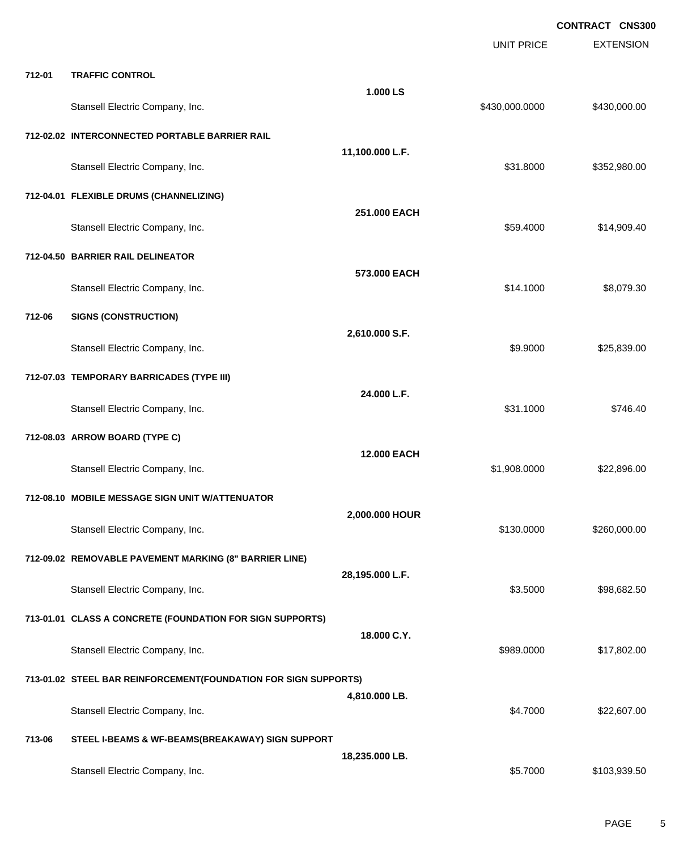|        |                                                                 |                 | <b>UNIT PRICE</b> | <b>EXTENSION</b> |
|--------|-----------------------------------------------------------------|-----------------|-------------------|------------------|
| 712-01 | <b>TRAFFIC CONTROL</b>                                          |                 |                   |                  |
|        | Stansell Electric Company, Inc.                                 | 1.000 LS        | \$430,000.0000    | \$430,000.00     |
|        | 712-02.02 INTERCONNECTED PORTABLE BARRIER RAIL                  |                 |                   |                  |
|        | Stansell Electric Company, Inc.                                 | 11,100.000 L.F. | \$31.8000         | \$352,980.00     |
|        | 712-04.01 FLEXIBLE DRUMS (CHANNELIZING)                         |                 |                   |                  |
|        | Stansell Electric Company, Inc.                                 | 251.000 EACH    | \$59.4000         | \$14,909.40      |
|        | 712-04.50 BARRIER RAIL DELINEATOR                               |                 |                   |                  |
|        | Stansell Electric Company, Inc.                                 | 573.000 EACH    | \$14.1000         | \$8,079.30       |
| 712-06 | <b>SIGNS (CONSTRUCTION)</b>                                     |                 |                   |                  |
|        | Stansell Electric Company, Inc.                                 | 2,610.000 S.F.  | \$9.9000          | \$25,839.00      |
|        | 712-07.03 TEMPORARY BARRICADES (TYPE III)                       | 24.000 L.F.     |                   |                  |
|        | Stansell Electric Company, Inc.                                 |                 | \$31.1000         | \$746.40         |
|        | 712-08.03 ARROW BOARD (TYPE C)                                  | 12.000 EACH     |                   |                  |
|        | Stansell Electric Company, Inc.                                 |                 | \$1,908.0000      | \$22,896.00      |
|        | 712-08.10 MOBILE MESSAGE SIGN UNIT W/ATTENUATOR                 |                 |                   |                  |
|        | Stansell Electric Company, Inc.                                 | 2,000.000 HOUR  | \$130.0000        | \$260,000.00     |
|        | 712-09.02 REMOVABLE PAVEMENT MARKING (8" BARRIER LINE)          |                 |                   |                  |
|        | Stansell Electric Company, Inc.                                 | 28,195.000 L.F. | \$3.5000          | \$98,682.50      |
|        | 713-01.01 CLASS A CONCRETE (FOUNDATION FOR SIGN SUPPORTS)       |                 |                   |                  |
|        | Stansell Electric Company, Inc.                                 | 18.000 C.Y.     | \$989.0000        | \$17,802.00      |
|        | 713-01.02 STEEL BAR REINFORCEMENT(FOUNDATION FOR SIGN SUPPORTS) |                 |                   |                  |
|        | Stansell Electric Company, Inc.                                 | 4,810.000 LB.   | \$4.7000          | \$22,607.00      |
| 713-06 | STEEL I-BEAMS & WF-BEAMS(BREAKAWAY) SIGN SUPPORT                |                 |                   |                  |
|        | Stansell Electric Company, Inc.                                 | 18,235.000 LB.  | \$5.7000          | \$103,939.50     |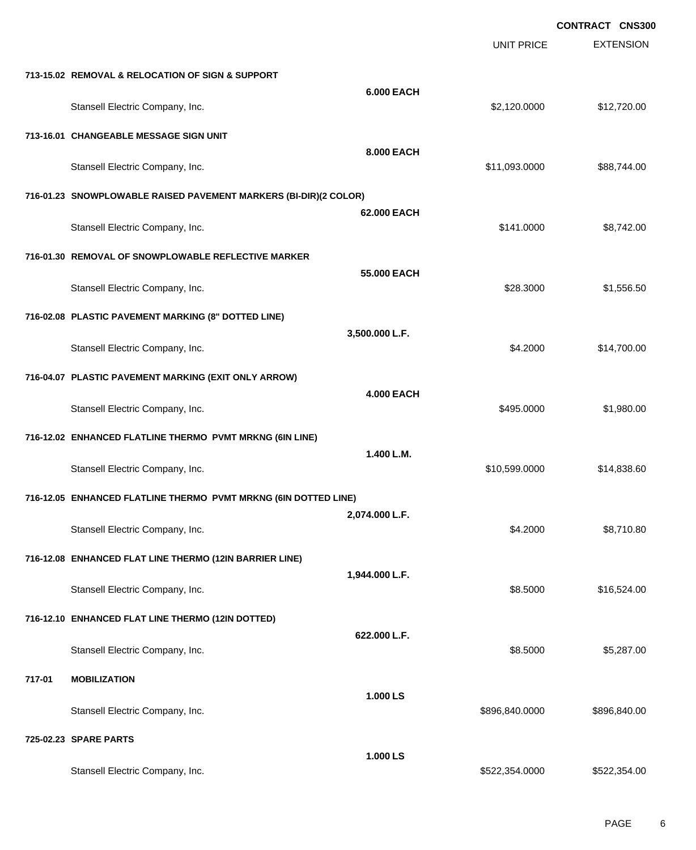|        |                                                                  |                   |                   | <b>CONTRACT CNS300</b> |
|--------|------------------------------------------------------------------|-------------------|-------------------|------------------------|
|        |                                                                  |                   | <b>UNIT PRICE</b> | <b>EXTENSION</b>       |
|        | 713-15.02 REMOVAL & RELOCATION OF SIGN & SUPPORT                 |                   |                   |                        |
|        | Stansell Electric Company, Inc.                                  | <b>6.000 EACH</b> | \$2,120.0000      | \$12,720.00            |
|        | 713-16.01 CHANGEABLE MESSAGE SIGN UNIT                           |                   |                   |                        |
|        | Stansell Electric Company, Inc.                                  | 8.000 EACH        | \$11,093.0000     | \$88,744.00            |
|        | 716-01.23 SNOWPLOWABLE RAISED PAVEMENT MARKERS (BI-DIR)(2 COLOR) |                   |                   |                        |
|        | Stansell Electric Company, Inc.                                  | 62.000 EACH       | \$141.0000        | \$8,742.00             |
|        | 716-01.30 REMOVAL OF SNOWPLOWABLE REFLECTIVE MARKER              |                   |                   |                        |
|        | Stansell Electric Company, Inc.                                  | 55.000 EACH       | \$28.3000         | \$1,556.50             |
|        | 716-02.08 PLASTIC PAVEMENT MARKING (8" DOTTED LINE)              |                   |                   |                        |
|        | Stansell Electric Company, Inc.                                  | 3,500.000 L.F.    | \$4.2000          | \$14,700.00            |
|        | 716-04.07 PLASTIC PAVEMENT MARKING (EXIT ONLY ARROW)             |                   |                   |                        |
|        | Stansell Electric Company, Inc.                                  | <b>4.000 EACH</b> | \$495.0000        | \$1,980.00             |
|        | 716-12.02 ENHANCED FLATLINE THERMO PVMT MRKNG (6IN LINE)         |                   |                   |                        |
|        | Stansell Electric Company, Inc.                                  | 1.400 L.M.        | \$10,599.0000     | \$14,838.60            |
|        | 716-12.05 ENHANCED FLATLINE THERMO PVMT MRKNG (6IN DOTTED LINE)  |                   |                   |                        |
|        | Stansell Electric Company, Inc.                                  | 2,074.000 L.F.    | \$4.2000          | \$8,710.80             |
|        | 716-12.08 ENHANCED FLAT LINE THERMO (12IN BARRIER LINE)          |                   |                   |                        |
|        | Stansell Electric Company, Inc.                                  | 1,944.000 L.F.    | \$8.5000          | \$16,524.00            |
|        | 716-12.10 ENHANCED FLAT LINE THERMO (12IN DOTTED)                |                   |                   |                        |
|        | Stansell Electric Company, Inc.                                  | 622.000 L.F.      | \$8.5000          | \$5,287.00             |
| 717-01 | <b>MOBILIZATION</b>                                              |                   |                   |                        |
|        | Stansell Electric Company, Inc.                                  | 1.000 LS          | \$896,840.0000    | \$896,840.00           |
|        | 725-02.23 SPARE PARTS                                            |                   |                   |                        |
|        | Stansell Electric Company, Inc.                                  | 1.000 LS          | \$522,354.0000    | \$522,354.00           |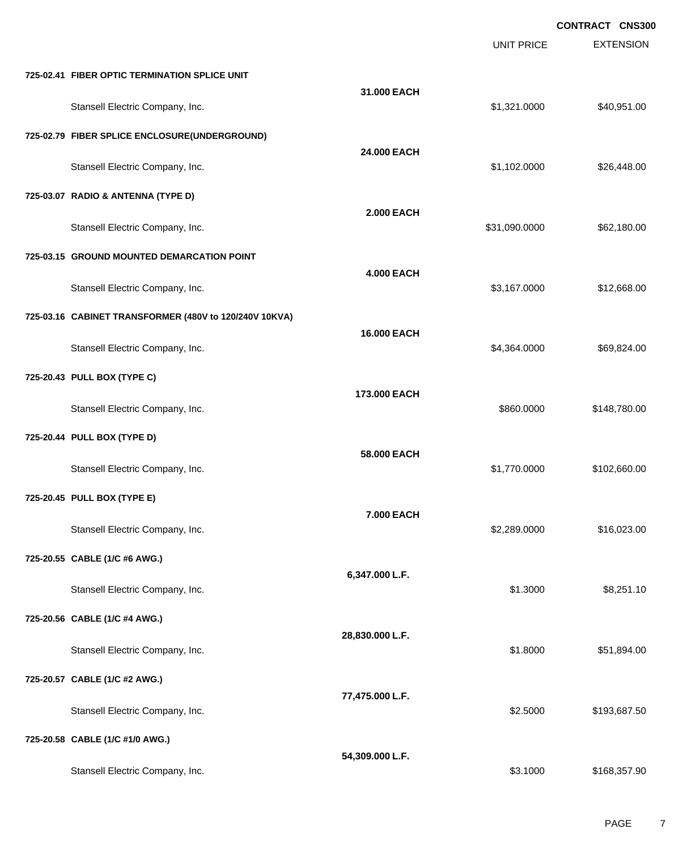EXTENSION **CONTRACT CNS300** UNIT PRICE **725-02.41 FIBER OPTIC TERMINATION SPLICE UNIT 31.000 EACH** Stansell Electric Company, Inc. 6. The Standard Company, Inc. 6. The Standard Company, Inc. 6. The Standard Company, Inc. 6. The Standard Company, Inc. 6. The Standard Company, Inc. 6. The Standard Company, Inc. 6. The Sta **725-02.79 FIBER SPLICE ENCLOSURE(UNDERGROUND) 24.000 EACH** Stansell Electric Company, Inc. 6. The Standard Company, Inc. 6. The Standard Company, Inc. 6. The Standard Company, Inc. 6. The Standard Company, Inc. 6. The Standard Company, Inc. 6. The Standard Company, Inc. 6. The Sta **725-03.07 RADIO & ANTENNA (TYPE D) 2.000 EACH** Stansell Electric Company, Inc. 662,180.00 \$62,180.00 \$62,180.00 **725-03.15 GROUND MOUNTED DEMARCATION POINT 4.000 EACH** Stansell Electric Company, Inc. 68.000 \$12,668.00 **725-03.16 CABINET TRANSFORMER (480V to 120/240V 10KVA) 16.000 EACH** Stansell Electric Company, Inc. 669,824.00 \$4,364.0000 \$69,824.00 **725-20.43 PULL BOX (TYPE C) 173.000 EACH** Stansell Electric Company, Inc. 6. The Standard Company, Inc. \$860.0000 \$148,780.00 **725-20.44 PULL BOX (TYPE D) 58.000 EACH** Stansell Electric Company, Inc. 6. 2008 1.770.0000 \$1,770.0000 \$102,660.00 **725-20.45 PULL BOX (TYPE E) 7.000 EACH** Stansell Electric Company, Inc. 6. 2012 12:30 12:30 12:30 12:30 12:30 12:30 12:30 12:30 12:30 12:30 12:30 12:30 12:30 12:30 12:30 12:30 12:30 12:30 12:30 12:30 12:30 12:30 12:30 12:30 12:30 12:30 12:30 12:30 12:30 12:30 12 **725-20.55 CABLE (1/C #6 AWG.) 6,347.000 L.F.** Stansell Electric Company, Inc. 68,251.10 **725-20.56 CABLE (1/C #4 AWG.) 28,830.000 L.F.** Stansell Electric Company, Inc. 6. The Standard Company, Inc. 651,894.00 **725-20.57 CABLE (1/C #2 AWG.) 77,475.000 L.F.** Stansell Electric Company, Inc. 6. The Standard Standard Standard Standard Standard Standard Standard Standard Standard Standard Standard Standard Standard Standard Standard Standard Standard Standard Standard Standard Sta **725-20.58 CABLE (1/C #1/0 AWG.) 54,309.000 L.F.** Stansell Electric Company, Inc. 6. The Standard Standard Standard Standard Standard Standard Standard Standard Standard Standard Standard Standard Standard Standard Standard Standard Standard Standard Standard Standard Sta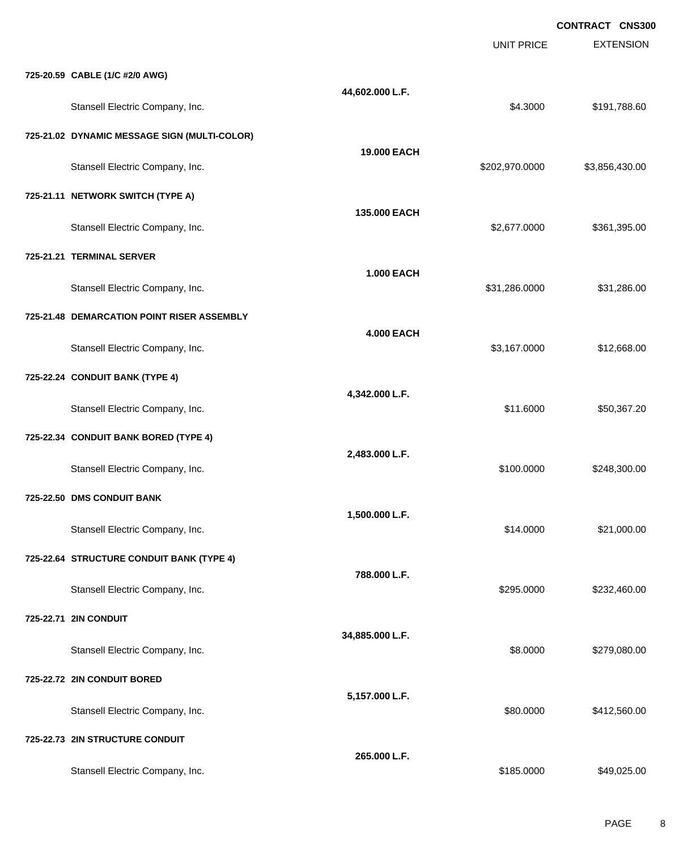EXTENSION **CONTRACT CNS300** UNIT PRICE **725-20.59 CABLE (1/C #2/0 AWG) 44,602.000 L.F.** Stansell Electric Company, Inc. 6. The Standard Stansell Electric Company, Inc. 6. Stansell Electric Company, Inc. **725-21.02 DYNAMIC MESSAGE SIGN (MULTI-COLOR) 19.000 EACH** Stansell Electric Company, Inc. 6. 2020 1999 12:38:56,430.00 \$3,856,430.00 **725-21.11 NETWORK SWITCH (TYPE A) 135.000 EACH** Stansell Electric Company, Inc. 6. 2010 12:39:59 12:39:59 12:39:59 12:39:59 12:39:59 12:39:59 12:39:59 12:39:5 **725-21.21 TERMINAL SERVER 1.000 EACH** Stansell Electric Company, Inc. 6. The Standard Company, Inc. 6. The Standard Company, Inc. 6. The Standard Company, Inc. 6. The Standard Company, Inc. 6. The Standard Company, Inc. 6. The Standard Company, Inc. 6. The Sta **725-21.48 DEMARCATION POINT RISER ASSEMBLY 4.000 EACH** Stansell Electric Company, Inc. 68.000 \$12,668.00 **725-22.24 CONDUIT BANK (TYPE 4) 4,342.000 L.F.** Stansell Electric Company, Inc. 6. The Standard Company, Inc. \$11.6000 \$50,367.20 **725-22.34 CONDUIT BANK BORED (TYPE 4) 2,483.000 L.F.** Stansell Electric Company, Inc. 6. 2008. The standard state of the state of the state of the state of the state of the state of the state of the state of the state of the state of the state of the state of the state of the **725-22.50 DMS CONDUIT BANK 1,500.000 L.F.** Stansell Electric Company, Inc. 6. The Standard Company, Inc. \$14.0000 \$21,000.00 **725-22.64 STRUCTURE CONDUIT BANK (TYPE 4) 788.000 L.F.** Stansell Electric Company, Inc. 6. 2008. The Standard Stansell Electric Company, Inc. 6. 295.0000 \$232,460.00 **725-22.71 2IN CONDUIT 34,885.000 L.F.** Stansell Electric Company, Inc. 6. The Standard Company, Inc. 6. The Standard Company, Inc. 6. Standard Standard Standard Standard Standard Standard Standard Standard Standard Standard Standard Standard Standard Standard S **725-22.72 2IN CONDUIT BORED 5,157.000 L.F.** Stansell Electric Company, Inc. 6. The Standard Company, Inc. \$80.0000 \$412,560.00

**265.000 L.F.**

**725-22.73 2IN STRUCTURE CONDUIT**

Stansell Electric Company, Inc. 6. The Standard Stansell Electric Company, Inc. 649,025.00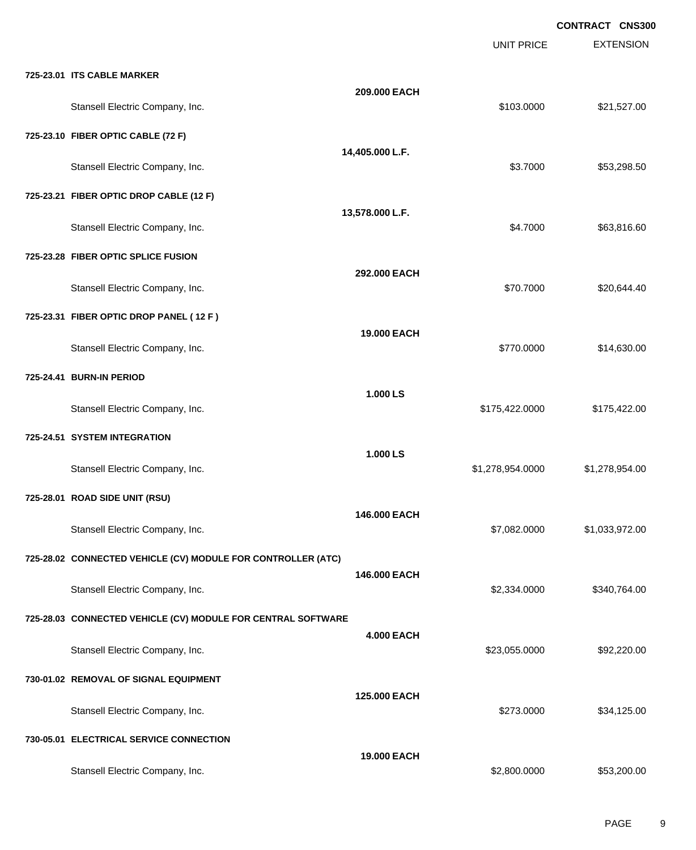|                                                              |                   | <b>UNIT PRICE</b> | <b>EXTENSION</b> |
|--------------------------------------------------------------|-------------------|-------------------|------------------|
| 725-23.01 ITS CABLE MARKER                                   |                   |                   |                  |
| Stansell Electric Company, Inc.                              | 209.000 EACH      | \$103.0000        | \$21,527.00      |
| 725-23.10 FIBER OPTIC CABLE (72 F)                           |                   |                   |                  |
| Stansell Electric Company, Inc.                              | 14,405.000 L.F.   | \$3.7000          | \$53,298.50      |
| 725-23.21 FIBER OPTIC DROP CABLE (12 F)                      |                   |                   |                  |
| Stansell Electric Company, Inc.                              | 13,578.000 L.F.   | \$4.7000          | \$63,816.60      |
| 725-23.28 FIBER OPTIC SPLICE FUSION                          |                   |                   |                  |
| Stansell Electric Company, Inc.                              | 292.000 EACH      | \$70.7000         | \$20,644.40      |
| 725-23.31 FIBER OPTIC DROP PANEL (12 F)                      |                   |                   |                  |
| Stansell Electric Company, Inc.                              | 19.000 EACH       | \$770.0000        | \$14,630.00      |
| 725-24.41 BURN-IN PERIOD                                     |                   |                   |                  |
| Stansell Electric Company, Inc.                              | 1.000 LS          | \$175,422.0000    | \$175,422.00     |
| 725-24.51 SYSTEM INTEGRATION                                 |                   |                   |                  |
| Stansell Electric Company, Inc.                              | 1.000 LS          | \$1,278,954.0000  | \$1,278,954.00   |
| 725-28.01 ROAD SIDE UNIT (RSU)                               |                   |                   |                  |
| Stansell Electric Company, Inc.                              | 146.000 EACH      | \$7,082.0000      | \$1,033,972.00   |
| 725-28.02 CONNECTED VEHICLE (CV) MODULE FOR CONTROLLER (ATC) |                   |                   |                  |
| Stansell Electric Company, Inc.                              | 146.000 EACH      | \$2,334.0000      | \$340,764.00     |
| 725-28.03 CONNECTED VEHICLE (CV) MODULE FOR CENTRAL SOFTWARE |                   |                   |                  |
| Stansell Electric Company, Inc.                              | <b>4.000 EACH</b> | \$23,055.0000     | \$92,220.00      |
| 730-01.02 REMOVAL OF SIGNAL EQUIPMENT                        |                   |                   |                  |
| Stansell Electric Company, Inc.                              | 125.000 EACH      | \$273.0000        | \$34,125.00      |
| 730-05.01 ELECTRICAL SERVICE CONNECTION                      |                   |                   |                  |
| Stansell Electric Company, Inc.                              | 19.000 EACH       | \$2,800.0000      | \$53,200.00      |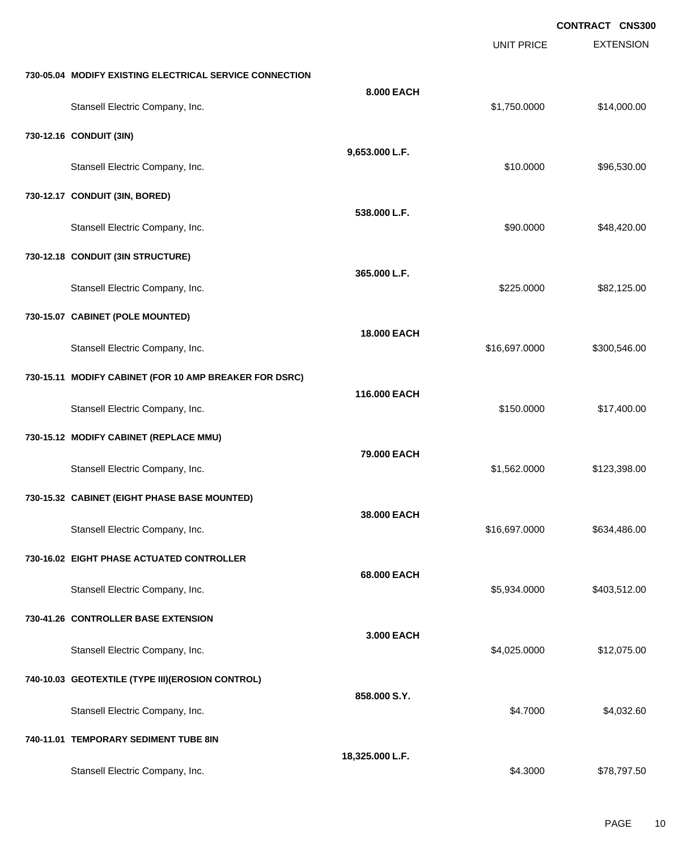UNIT PRICE EXTENSION

**730-05.04 MODIFY EXISTING ELECTRICAL SERVICE CONNECTION**

| Stansell Electric Company, Inc.                        | 8.000 EACH         | \$1,750.0000  | \$14,000.00  |
|--------------------------------------------------------|--------------------|---------------|--------------|
|                                                        |                    |               |              |
| 730-12.16 CONDUIT (3IN)                                | 9,653.000 L.F.     |               |              |
| Stansell Electric Company, Inc.                        |                    | \$10.0000     | \$96,530.00  |
| 730-12.17 CONDUIT (3IN, BORED)                         |                    |               |              |
| Stansell Electric Company, Inc.                        | 538.000 L.F.       | \$90.0000     | \$48,420.00  |
| 730-12.18 CONDUIT (3IN STRUCTURE)                      |                    |               |              |
| Stansell Electric Company, Inc.                        | 365.000 L.F.       | \$225.0000    | \$82,125.00  |
| 730-15.07 CABINET (POLE MOUNTED)                       |                    |               |              |
| Stansell Electric Company, Inc.                        | <b>18.000 EACH</b> | \$16,697.0000 | \$300,546.00 |
| 730-15.11 MODIFY CABINET (FOR 10 AMP BREAKER FOR DSRC) |                    |               |              |
| Stansell Electric Company, Inc.                        | 116.000 EACH       | \$150.0000    | \$17,400.00  |
| 730-15.12 MODIFY CABINET (REPLACE MMU)                 |                    |               |              |
| Stansell Electric Company, Inc.                        | 79.000 EACH        | \$1,562.0000  | \$123,398.00 |
| 730-15.32 CABINET (EIGHT PHASE BASE MOUNTED)           |                    |               |              |
| Stansell Electric Company, Inc.                        | 38.000 EACH        | \$16,697.0000 | \$634,486.00 |
| 730-16.02 EIGHT PHASE ACTUATED CONTROLLER              |                    |               |              |
| Stansell Electric Company, Inc.                        | 68.000 EACH        | \$5,934.0000  | \$403,512.00 |
| 730-41.26 CONTROLLER BASE EXTENSION                    |                    |               |              |
| Stansell Electric Company, Inc.                        | 3.000 EACH         | \$4,025.0000  | \$12,075.00  |
| 740-10.03 GEOTEXTILE (TYPE III)(EROSION CONTROL)       |                    |               |              |
| Stansell Electric Company, Inc.                        | 858.000 S.Y.       | \$4.7000      | \$4,032.60   |
| 740-11.01 TEMPORARY SEDIMENT TUBE 8IN                  |                    |               |              |
| Stansell Electric Company, Inc.                        | 18,325.000 L.F.    | \$4.3000      | \$78,797.50  |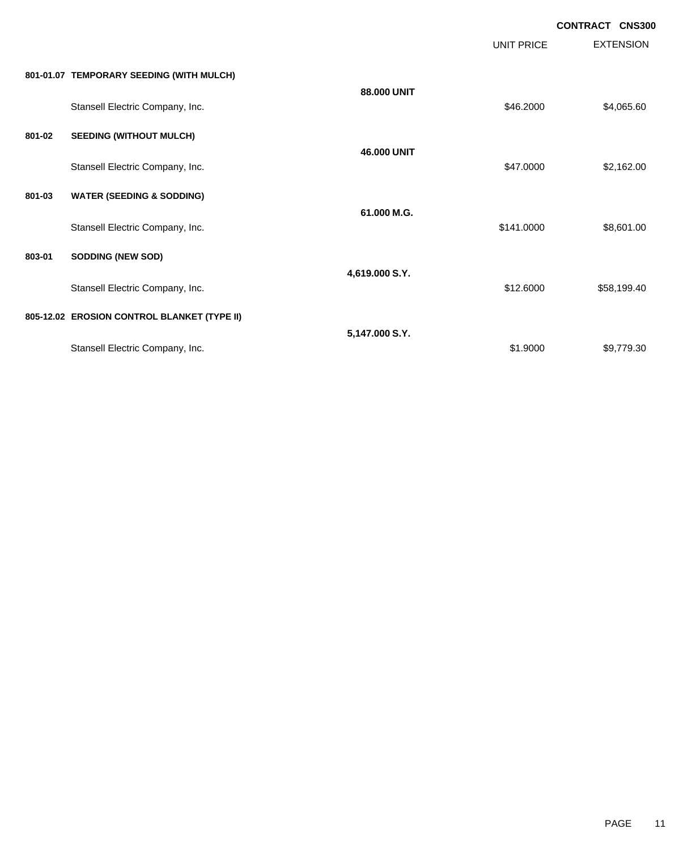EXTENSION **CONTRACT CNS300** UNIT PRICE **801-01.07 TEMPORARY SEEDING (WITH MULCH) 88.000 UNIT** Stansell Electric Company, Inc. 69. The Stansell Electric Company, Inc. 69.2000 \$4,065.60 **801-02 SEEDING (WITHOUT MULCH) 46.000 UNIT** Stansell Electric Company, Inc. 69. The Standard Company, Inc. \$47.0000 \$2,162.00 **801-03 WATER (SEEDING & SODDING) 61.000 M.G.** Stansell Electric Company, Inc. 6. The Company of the Company of the Company of the Company of the Company of the Company of the Company of the Company of the Company of the Company of the Company of the Company of the Com **803-01 SODDING (NEW SOD) 4,619.000 S.Y.** Stansell Electric Company, Inc. 658,199.40 **805-12.02 EROSION CONTROL BLANKET (TYPE II) 5,147.000 S.Y.**

Stansell Electric Company, Inc. 69,779.30

PAGE 11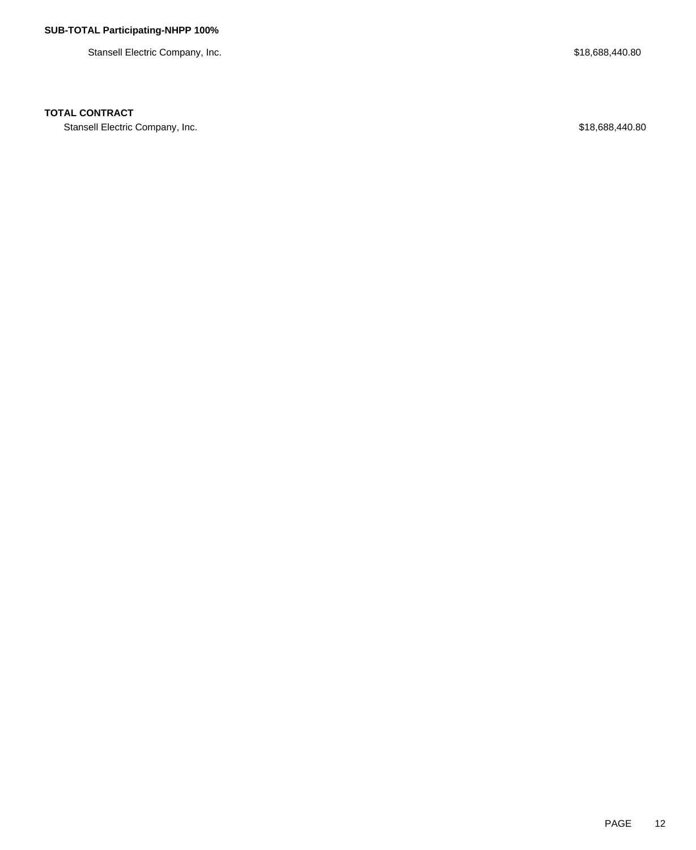Stansell Electric Company, Inc. 6. The Stansell Electric Company, Inc. 6. The Stansell Electric Company, Inc.

## **TOTAL CONTRACT**

Stansell Electric Company, Inc. 6. The Standard Stansell Electric Company, Inc. 6. The Stansell Electric Company, Inc.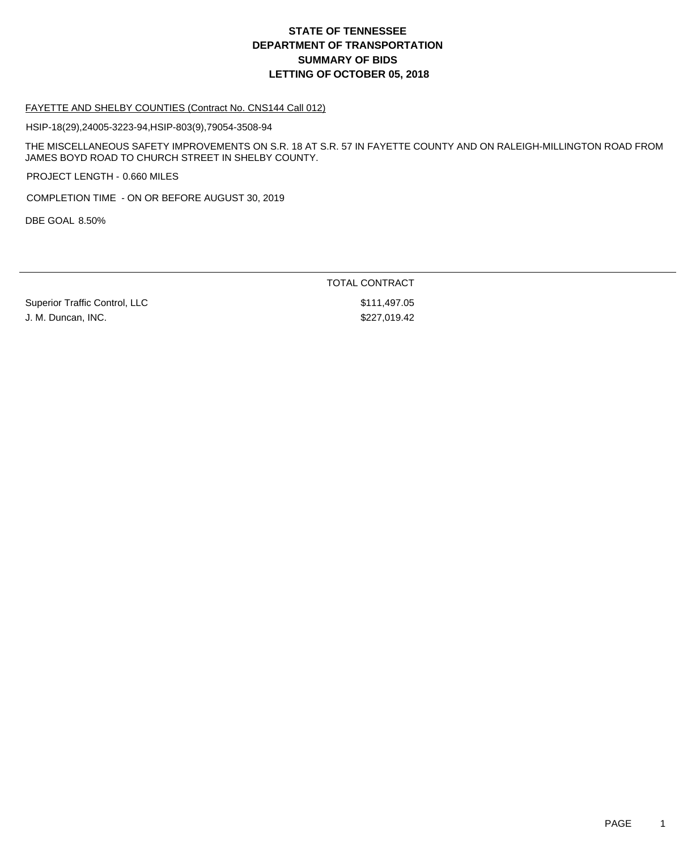# **DEPARTMENT OF TRANSPORTATION SUMMARY OF BIDS LETTING OF OCTOBER 05, 2018 STATE OF TENNESSEE**

### FAYETTE AND SHELBY COUNTIES (Contract No. CNS144 Call 012)

HSIP-18(29),24005-3223-94,HSIP-803(9),79054-3508-94

THE MISCELLANEOUS SAFETY IMPROVEMENTS ON S.R. 18 AT S.R. 57 IN FAYETTE COUNTY AND ON RALEIGH-MILLINGTON ROAD FROM JAMES BOYD ROAD TO CHURCH STREET IN SHELBY COUNTY.

PROJECT LENGTH - 0.660 MILES

COMPLETION TIME - ON OR BEFORE AUGUST 30, 2019

DBE GOAL 8.50%

TOTAL CONTRACT

Superior Traffic Control, LLC \$111,497.05 J. M. Duncan, INC. \$227,019.42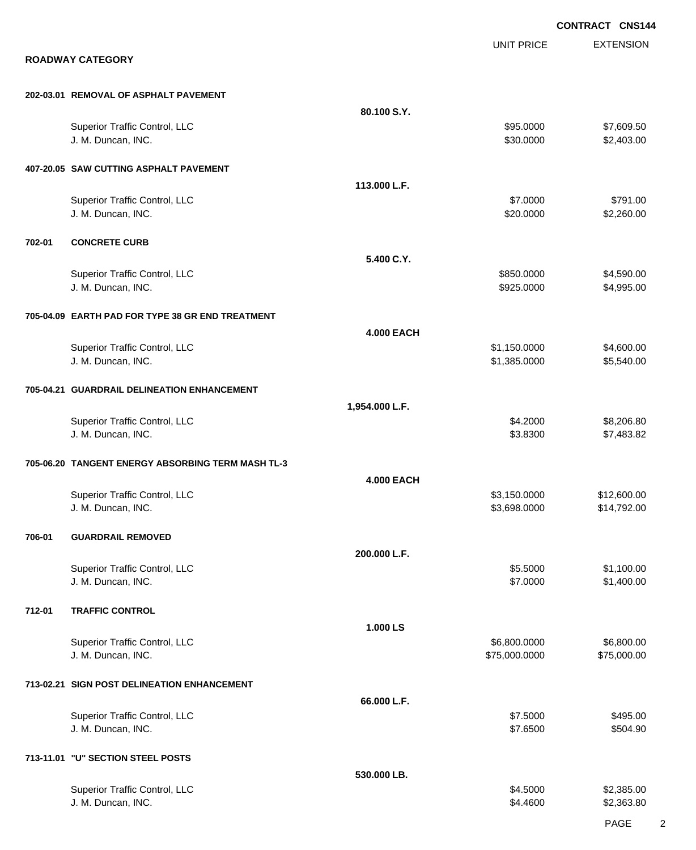|        |                                                     |                   |                              | <b>CONTRACT CNS144</b>   |
|--------|-----------------------------------------------------|-------------------|------------------------------|--------------------------|
|        |                                                     |                   | <b>UNIT PRICE</b>            | <b>EXTENSION</b>         |
|        | <b>ROADWAY CATEGORY</b>                             |                   |                              |                          |
|        | 202-03.01 REMOVAL OF ASPHALT PAVEMENT               |                   |                              |                          |
|        |                                                     | 80.100 S.Y.       |                              |                          |
|        | Superior Traffic Control, LLC<br>J. M. Duncan, INC. |                   | \$95.0000<br>\$30.0000       | \$7,609.50<br>\$2,403.00 |
|        |                                                     |                   |                              |                          |
|        | 407-20.05 SAW CUTTING ASPHALT PAVEMENT              |                   |                              |                          |
|        |                                                     | 113.000 L.F.      |                              |                          |
|        | Superior Traffic Control, LLC<br>J. M. Duncan, INC. |                   | \$7.0000<br>\$20.0000        | \$791.00<br>\$2,260.00   |
| 702-01 | <b>CONCRETE CURB</b>                                |                   |                              |                          |
|        |                                                     | 5.400 C.Y.        |                              |                          |
|        | Superior Traffic Control, LLC                       |                   | \$850.0000                   | \$4,590.00               |
|        | J. M. Duncan, INC.                                  |                   | \$925.0000                   | \$4,995.00               |
|        | 705-04.09 EARTH PAD FOR TYPE 38 GR END TREATMENT    |                   |                              |                          |
|        |                                                     | <b>4.000 EACH</b> |                              |                          |
|        | Superior Traffic Control, LLC<br>J. M. Duncan, INC. |                   | \$1,150.0000<br>\$1,385.0000 | \$4,600.00<br>\$5,540.00 |
|        |                                                     |                   |                              |                          |
|        | 705-04.21 GUARDRAIL DELINEATION ENHANCEMENT         |                   |                              |                          |
|        |                                                     | 1,954.000 L.F.    | \$4.2000                     | \$8,206.80               |
|        | Superior Traffic Control, LLC<br>J. M. Duncan, INC. |                   | \$3.8300                     | \$7,483.82               |
|        | 705-06.20 TANGENT ENERGY ABSORBING TERM MASH TL-3   |                   |                              |                          |
|        |                                                     | <b>4.000 EACH</b> |                              |                          |
|        | Superior Traffic Control, LLC                       |                   | \$3,150.0000                 | \$12,600.00              |
|        | J. M. Duncan, INC.                                  |                   | \$3,698.0000                 | \$14,792.00              |
| 706-01 | <b>GUARDRAIL REMOVED</b>                            |                   |                              |                          |
|        |                                                     | 200.000 L.F.      |                              |                          |
|        | Superior Traffic Control, LLC<br>J. M. Duncan, INC. |                   | \$5.5000<br>\$7.0000         | \$1,100.00<br>\$1,400.00 |
| 712-01 | <b>TRAFFIC CONTROL</b>                              |                   |                              |                          |
|        |                                                     | 1.000 LS          |                              |                          |
|        | Superior Traffic Control, LLC                       |                   | \$6,800.0000                 | \$6,800.00               |
|        | J. M. Duncan, INC.                                  |                   | \$75,000.0000                | \$75,000.00              |
|        | 713-02.21 SIGN POST DELINEATION ENHANCEMENT         |                   |                              |                          |
|        |                                                     | 66.000 L.F.       |                              |                          |
|        | Superior Traffic Control, LLC                       |                   | \$7.5000                     | \$495.00                 |
|        | J. M. Duncan, INC.                                  |                   | \$7.6500                     | \$504.90                 |
|        | 713-11.01 "U" SECTION STEEL POSTS                   |                   |                              |                          |
|        |                                                     | 530.000 LB.       |                              |                          |
|        | Superior Traffic Control, LLC<br>J. M. Duncan, INC. |                   | \$4.5000<br>\$4.4600         | \$2,385.00<br>\$2,363.80 |
|        |                                                     |                   |                              |                          |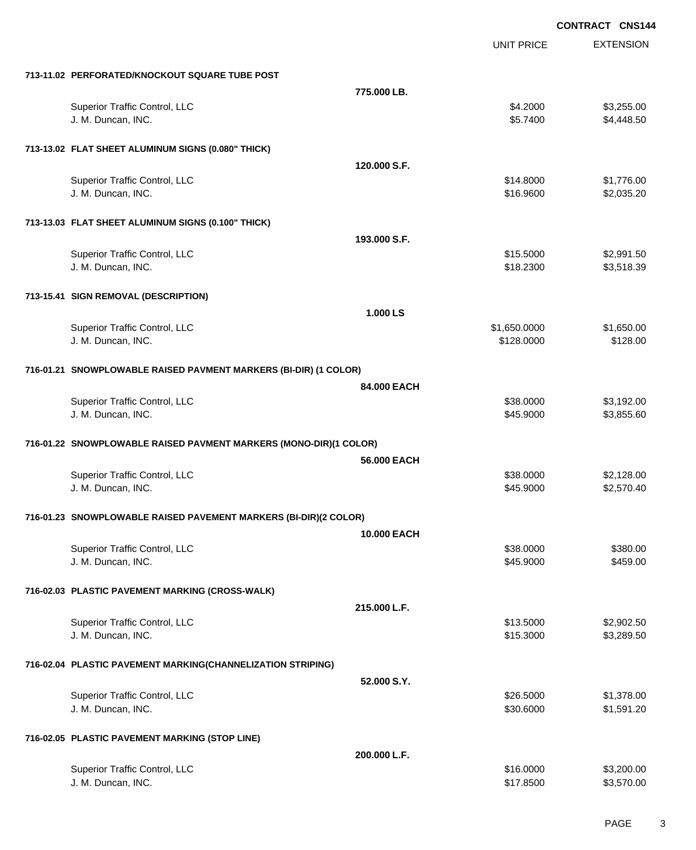|                                                                   |                    |                   | <b>CONTRACT CNS144</b> |
|-------------------------------------------------------------------|--------------------|-------------------|------------------------|
|                                                                   |                    | <b>UNIT PRICE</b> | <b>EXTENSION</b>       |
| 713-11.02 PERFORATED/KNOCKOUT SQUARE TUBE POST                    |                    |                   |                        |
|                                                                   | 775.000 LB.        |                   |                        |
| Superior Traffic Control, LLC                                     |                    | \$4.2000          | \$3,255.00             |
| J. M. Duncan, INC.                                                |                    | \$5.7400          | \$4,448.50             |
| 713-13.02 FLAT SHEET ALUMINUM SIGNS (0.080" THICK)                |                    |                   |                        |
|                                                                   | 120,000 S.F.       |                   |                        |
| Superior Traffic Control, LLC                                     |                    | \$14.8000         | \$1,776.00             |
| J. M. Duncan, INC.                                                |                    | \$16.9600         | \$2,035.20             |
| 713-13.03 FLAT SHEET ALUMINUM SIGNS (0.100" THICK)                |                    |                   |                        |
|                                                                   | 193.000 S.F.       |                   |                        |
| Superior Traffic Control, LLC                                     |                    | \$15.5000         | \$2,991.50             |
| J. M. Duncan, INC.                                                |                    | \$18.2300         | \$3,518.39             |
| 713-15.41 SIGN REMOVAL (DESCRIPTION)                              |                    |                   |                        |
|                                                                   | 1.000 LS           |                   |                        |
| Superior Traffic Control, LLC                                     |                    | \$1,650.0000      | \$1,650.00             |
| J. M. Duncan, INC.                                                |                    | \$128.0000        | \$128.00               |
| 716-01.21 SNOWPLOWABLE RAISED PAVMENT MARKERS (BI-DIR) (1 COLOR)  |                    |                   |                        |
|                                                                   | 84,000 EACH        |                   |                        |
| Superior Traffic Control, LLC                                     |                    | \$38.0000         | \$3,192.00             |
| J. M. Duncan, INC.                                                |                    | \$45.9000         | \$3,855.60             |
| 716-01.22 SNOWPLOWABLE RAISED PAVMENT MARKERS (MONO-DIR)(1 COLOR) |                    |                   |                        |
|                                                                   | 56.000 EACH        |                   |                        |
| Superior Traffic Control, LLC                                     |                    | \$38.0000         | \$2,128.00             |
| J. M. Duncan, INC.                                                |                    | \$45.9000         | \$2,570.40             |
| 716-01.23 SNOWPLOWABLE RAISED PAVEMENT MARKERS (BI-DIR)(2 COLOR)  |                    |                   |                        |
|                                                                   | <b>10.000 EACH</b> |                   |                        |
| Superior Traffic Control, LLC                                     |                    | \$38.0000         | \$380.00               |
| J. M. Duncan, INC.                                                |                    | \$45.9000         | \$459.00               |
| 716-02.03 PLASTIC PAVEMENT MARKING (CROSS-WALK)                   |                    |                   |                        |
|                                                                   | 215.000 L.F.       |                   |                        |
| Superior Traffic Control, LLC                                     |                    | \$13.5000         | \$2,902.50             |
| J. M. Duncan, INC.                                                |                    | \$15.3000         | \$3,289.50             |
| 716-02.04 PLASTIC PAVEMENT MARKING(CHANNELIZATION STRIPING)       |                    |                   |                        |
|                                                                   | 52.000 S.Y.        |                   |                        |
| Superior Traffic Control, LLC                                     |                    | \$26.5000         | \$1,378.00             |
| J. M. Duncan, INC.                                                |                    | \$30.6000         | \$1,591.20             |
| 716-02.05 PLASTIC PAVEMENT MARKING (STOP LINE)                    |                    |                   |                        |
|                                                                   | 200.000 L.F.       |                   |                        |
| Superior Traffic Control, LLC                                     |                    | \$16.0000         | \$3,200.00             |
| J. M. Duncan, INC.                                                |                    | \$17.8500         | \$3,570.00             |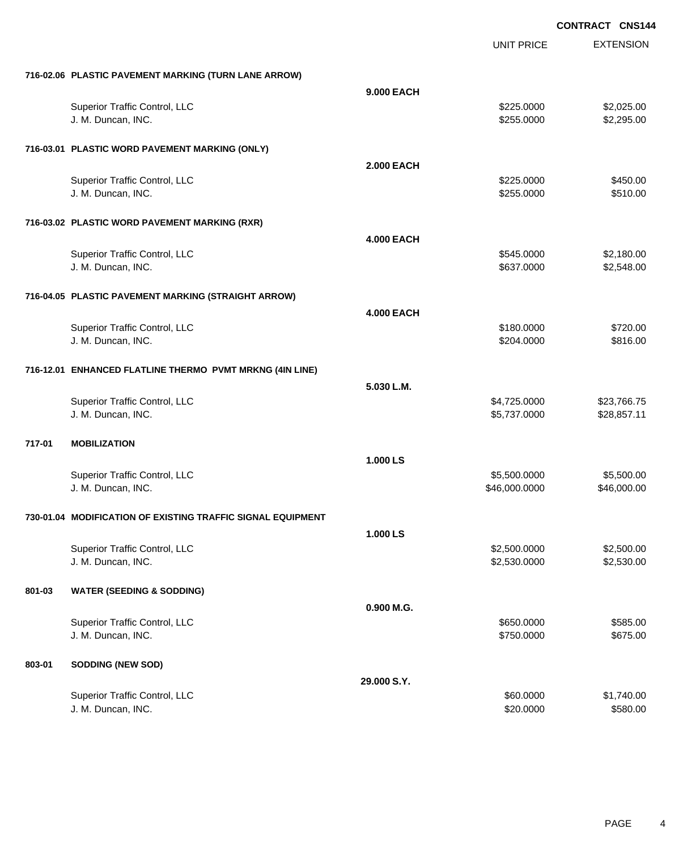|        |                                                             |                   | <b>UNIT PRICE</b> | <b>EXTENSION</b> |
|--------|-------------------------------------------------------------|-------------------|-------------------|------------------|
|        | 716-02.06 PLASTIC PAVEMENT MARKING (TURN LANE ARROW)        |                   |                   |                  |
|        |                                                             | 9.000 EACH        |                   |                  |
|        | Superior Traffic Control, LLC                               |                   | \$225.0000        | \$2,025.00       |
|        | J. M. Duncan, INC.                                          |                   | \$255.0000        | \$2,295.00       |
|        | 716-03.01 PLASTIC WORD PAVEMENT MARKING (ONLY)              |                   |                   |                  |
|        |                                                             | <b>2.000 EACH</b> |                   |                  |
|        | Superior Traffic Control, LLC                               |                   | \$225.0000        | \$450.00         |
|        | J. M. Duncan, INC.                                          |                   | \$255.0000        | \$510.00         |
|        | 716-03.02 PLASTIC WORD PAVEMENT MARKING (RXR)               |                   |                   |                  |
|        |                                                             | <b>4.000 EACH</b> |                   |                  |
|        | Superior Traffic Control, LLC                               |                   | \$545.0000        | \$2,180.00       |
|        | J. M. Duncan, INC.                                          |                   | \$637.0000        | \$2,548.00       |
|        | 716-04.05 PLASTIC PAVEMENT MARKING (STRAIGHT ARROW)         |                   |                   |                  |
|        |                                                             | <b>4.000 EACH</b> |                   |                  |
|        | Superior Traffic Control, LLC                               |                   | \$180.0000        | \$720.00         |
|        | J. M. Duncan, INC.                                          |                   | \$204.0000        | \$816.00         |
|        | 716-12.01 ENHANCED FLATLINE THERMO PVMT MRKNG (4IN LINE)    |                   |                   |                  |
|        |                                                             | 5.030 L.M.        |                   |                  |
|        | Superior Traffic Control, LLC                               |                   | \$4,725.0000      | \$23,766.75      |
|        | J. M. Duncan, INC.                                          |                   | \$5,737.0000      | \$28,857.11      |
| 717-01 | <b>MOBILIZATION</b>                                         |                   |                   |                  |
|        |                                                             | 1.000 LS          |                   |                  |
|        | Superior Traffic Control, LLC                               |                   | \$5,500.0000      | \$5,500.00       |
|        | J. M. Duncan, INC.                                          |                   | \$46,000.0000     | \$46,000.00      |
|        | 730-01.04 MODIFICATION OF EXISTING TRAFFIC SIGNAL EQUIPMENT |                   |                   |                  |
|        |                                                             | 1.000 LS          |                   |                  |
|        | Superior Traffic Control, LLC                               |                   | \$2,500.0000      | \$2,500.00       |
|        | J. M. Duncan, INC.                                          |                   | \$2,530.0000      | \$2,530.00       |
| 801-03 | <b>WATER (SEEDING &amp; SODDING)</b>                        |                   |                   |                  |
|        |                                                             | 0.900 M.G.        |                   |                  |
|        | Superior Traffic Control, LLC                               |                   | \$650.0000        | \$585.00         |
|        | J. M. Duncan, INC.                                          |                   | \$750.0000        | \$675.00         |
| 803-01 | <b>SODDING (NEW SOD)</b>                                    |                   |                   |                  |
|        |                                                             | 29.000 S.Y.       |                   |                  |
|        | Superior Traffic Control, LLC                               |                   | \$60.0000         | \$1,740.00       |
|        | J. M. Duncan, INC.                                          |                   | \$20.0000         | \$580.00         |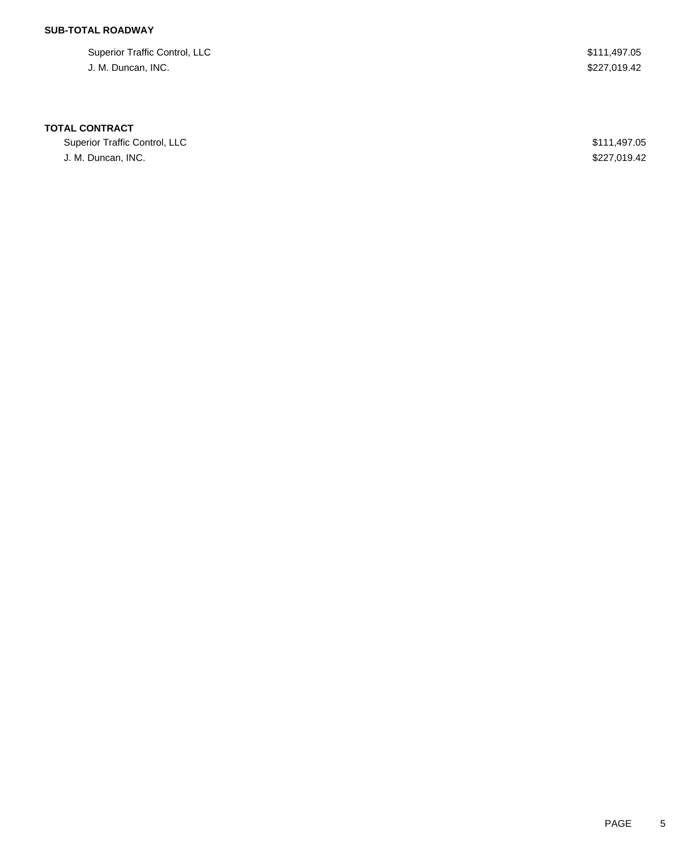## **SUB-TOTAL ROADWAY**

Superior Traffic Control, LLC \$111,497.05 J. M. Duncan, INC. \$227,019.42

### **TOTAL CONTRACT**

Superior Traffic Control, LLC 600 and the state of the state of the state of the state of the state of the state of the state of the state of the state of the state of the state of the state of the state of the state of th J. M. Duncan, INC. \$227,019.42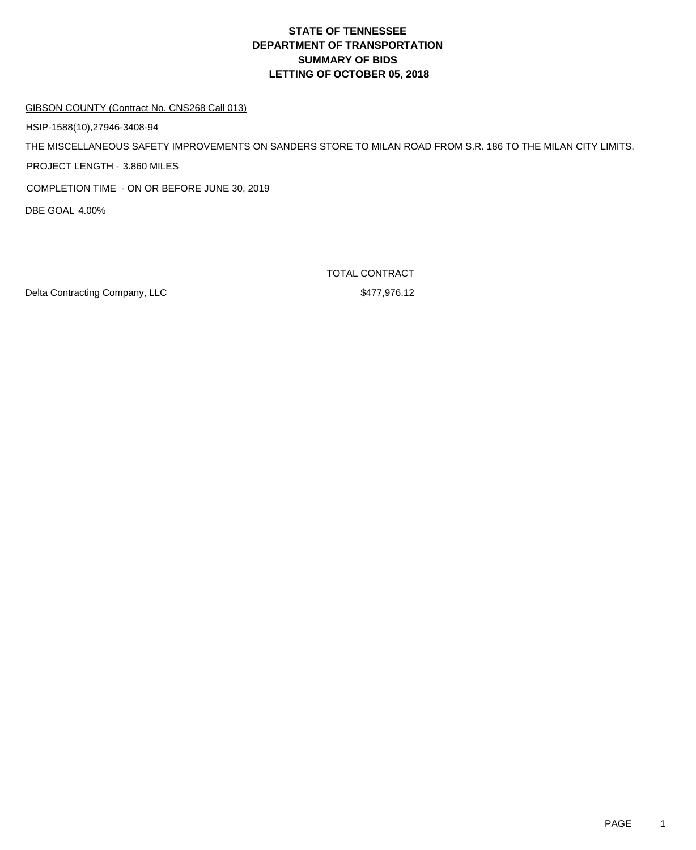# **DEPARTMENT OF TRANSPORTATION SUMMARY OF BIDS LETTING OF OCTOBER 05, 2018 STATE OF TENNESSEE**

#### GIBSON COUNTY (Contract No. CNS268 Call 013)

HSIP-1588(10),27946-3408-94

THE MISCELLANEOUS SAFETY IMPROVEMENTS ON SANDERS STORE TO MILAN ROAD FROM S.R. 186 TO THE MILAN CITY LIMITS.

PROJECT LENGTH - 3.860 MILES

COMPLETION TIME - ON OR BEFORE JUNE 30, 2019

DBE GOAL 4.00%

Delta Contracting Company, LLC \$477,976.12

TOTAL CONTRACT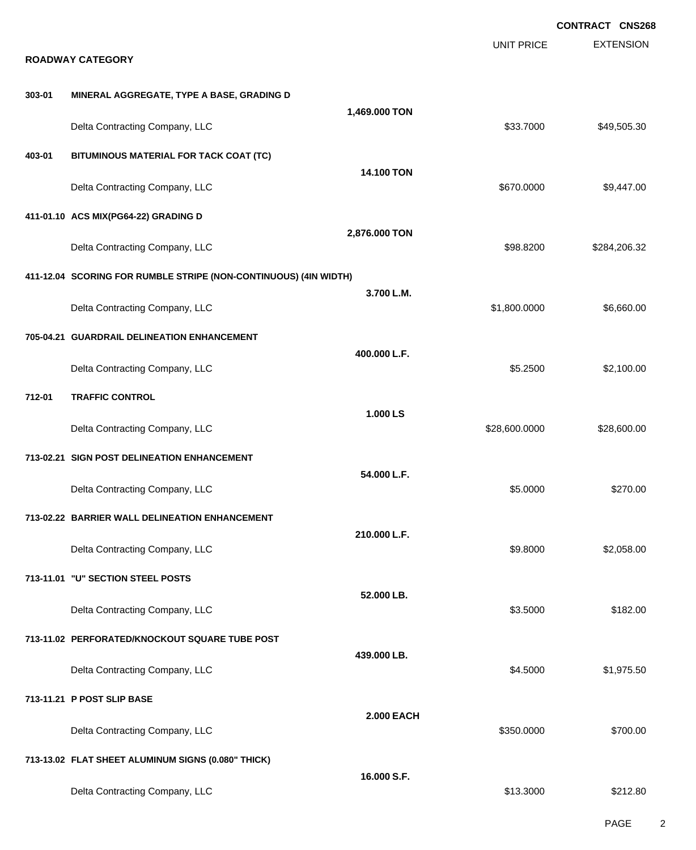| <b>EXTENSION</b><br><b>UNIT PRICE</b><br><b>ROADWAY CATEGORY</b><br>MINERAL AGGREGATE, TYPE A BASE, GRADING D<br>303-01<br>1,469.000 TON<br>Delta Contracting Company, LLC<br>\$33.7000<br>\$49,505.30<br>BITUMINOUS MATERIAL FOR TACK COAT (TC)<br>403-01<br><b>14.100 TON</b><br>Delta Contracting Company, LLC<br>\$670.0000<br>\$9,447.00<br>411-01.10 ACS MIX(PG64-22) GRADING D<br>2,876.000 TON<br>Delta Contracting Company, LLC<br>\$98.8200<br>\$284,206.32<br>411-12.04 SCORING FOR RUMBLE STRIPE (NON-CONTINUOUS) (4IN WIDTH)<br>3.700 L.M.<br>Delta Contracting Company, LLC<br>\$1,800.0000<br>\$6,660.00<br>705-04.21 GUARDRAIL DELINEATION ENHANCEMENT<br>400.000 L.F.<br>Delta Contracting Company, LLC<br>\$5.2500<br>\$2,100.00<br><b>TRAFFIC CONTROL</b><br>712-01<br>1.000 LS<br>Delta Contracting Company, LLC<br>\$28,600.0000<br>\$28,600.00<br>713-02.21 SIGN POST DELINEATION ENHANCEMENT<br>54.000 L.F.<br>Delta Contracting Company, LLC<br>\$270.00<br>\$5.0000<br>713-02.22 BARRIER WALL DELINEATION ENHANCEMENT<br>210.000 L.F.<br>Delta Contracting Company, LLC<br>\$9.8000<br>\$2,058.00<br>713-11.01 "U" SECTION STEEL POSTS<br>52.000 LB.<br>Delta Contracting Company, LLC<br>\$3.5000<br>\$182.00<br>713-11.02 PERFORATED/KNOCKOUT SQUARE TUBE POST<br>439.000 LB.<br>Delta Contracting Company, LLC<br>\$4.5000<br>\$1,975.50<br>713-11.21 P POST SLIP BASE<br><b>2.000 EACH</b> |                                |            | <b>CONTRACT CNS268</b> |
|-------------------------------------------------------------------------------------------------------------------------------------------------------------------------------------------------------------------------------------------------------------------------------------------------------------------------------------------------------------------------------------------------------------------------------------------------------------------------------------------------------------------------------------------------------------------------------------------------------------------------------------------------------------------------------------------------------------------------------------------------------------------------------------------------------------------------------------------------------------------------------------------------------------------------------------------------------------------------------------------------------------------------------------------------------------------------------------------------------------------------------------------------------------------------------------------------------------------------------------------------------------------------------------------------------------------------------------------------------------------------------------------------------------------------|--------------------------------|------------|------------------------|
|                                                                                                                                                                                                                                                                                                                                                                                                                                                                                                                                                                                                                                                                                                                                                                                                                                                                                                                                                                                                                                                                                                                                                                                                                                                                                                                                                                                                                         |                                |            |                        |
|                                                                                                                                                                                                                                                                                                                                                                                                                                                                                                                                                                                                                                                                                                                                                                                                                                                                                                                                                                                                                                                                                                                                                                                                                                                                                                                                                                                                                         |                                |            |                        |
|                                                                                                                                                                                                                                                                                                                                                                                                                                                                                                                                                                                                                                                                                                                                                                                                                                                                                                                                                                                                                                                                                                                                                                                                                                                                                                                                                                                                                         |                                |            |                        |
|                                                                                                                                                                                                                                                                                                                                                                                                                                                                                                                                                                                                                                                                                                                                                                                                                                                                                                                                                                                                                                                                                                                                                                                                                                                                                                                                                                                                                         |                                |            |                        |
|                                                                                                                                                                                                                                                                                                                                                                                                                                                                                                                                                                                                                                                                                                                                                                                                                                                                                                                                                                                                                                                                                                                                                                                                                                                                                                                                                                                                                         |                                |            |                        |
|                                                                                                                                                                                                                                                                                                                                                                                                                                                                                                                                                                                                                                                                                                                                                                                                                                                                                                                                                                                                                                                                                                                                                                                                                                                                                                                                                                                                                         |                                |            |                        |
|                                                                                                                                                                                                                                                                                                                                                                                                                                                                                                                                                                                                                                                                                                                                                                                                                                                                                                                                                                                                                                                                                                                                                                                                                                                                                                                                                                                                                         |                                |            |                        |
|                                                                                                                                                                                                                                                                                                                                                                                                                                                                                                                                                                                                                                                                                                                                                                                                                                                                                                                                                                                                                                                                                                                                                                                                                                                                                                                                                                                                                         |                                |            |                        |
|                                                                                                                                                                                                                                                                                                                                                                                                                                                                                                                                                                                                                                                                                                                                                                                                                                                                                                                                                                                                                                                                                                                                                                                                                                                                                                                                                                                                                         |                                |            |                        |
|                                                                                                                                                                                                                                                                                                                                                                                                                                                                                                                                                                                                                                                                                                                                                                                                                                                                                                                                                                                                                                                                                                                                                                                                                                                                                                                                                                                                                         |                                |            |                        |
|                                                                                                                                                                                                                                                                                                                                                                                                                                                                                                                                                                                                                                                                                                                                                                                                                                                                                                                                                                                                                                                                                                                                                                                                                                                                                                                                                                                                                         |                                |            |                        |
|                                                                                                                                                                                                                                                                                                                                                                                                                                                                                                                                                                                                                                                                                                                                                                                                                                                                                                                                                                                                                                                                                                                                                                                                                                                                                                                                                                                                                         |                                |            |                        |
|                                                                                                                                                                                                                                                                                                                                                                                                                                                                                                                                                                                                                                                                                                                                                                                                                                                                                                                                                                                                                                                                                                                                                                                                                                                                                                                                                                                                                         |                                |            |                        |
|                                                                                                                                                                                                                                                                                                                                                                                                                                                                                                                                                                                                                                                                                                                                                                                                                                                                                                                                                                                                                                                                                                                                                                                                                                                                                                                                                                                                                         |                                |            |                        |
|                                                                                                                                                                                                                                                                                                                                                                                                                                                                                                                                                                                                                                                                                                                                                                                                                                                                                                                                                                                                                                                                                                                                                                                                                                                                                                                                                                                                                         |                                |            |                        |
|                                                                                                                                                                                                                                                                                                                                                                                                                                                                                                                                                                                                                                                                                                                                                                                                                                                                                                                                                                                                                                                                                                                                                                                                                                                                                                                                                                                                                         |                                |            |                        |
|                                                                                                                                                                                                                                                                                                                                                                                                                                                                                                                                                                                                                                                                                                                                                                                                                                                                                                                                                                                                                                                                                                                                                                                                                                                                                                                                                                                                                         |                                |            |                        |
|                                                                                                                                                                                                                                                                                                                                                                                                                                                                                                                                                                                                                                                                                                                                                                                                                                                                                                                                                                                                                                                                                                                                                                                                                                                                                                                                                                                                                         |                                |            |                        |
|                                                                                                                                                                                                                                                                                                                                                                                                                                                                                                                                                                                                                                                                                                                                                                                                                                                                                                                                                                                                                                                                                                                                                                                                                                                                                                                                                                                                                         |                                |            |                        |
|                                                                                                                                                                                                                                                                                                                                                                                                                                                                                                                                                                                                                                                                                                                                                                                                                                                                                                                                                                                                                                                                                                                                                                                                                                                                                                                                                                                                                         |                                |            |                        |
|                                                                                                                                                                                                                                                                                                                                                                                                                                                                                                                                                                                                                                                                                                                                                                                                                                                                                                                                                                                                                                                                                                                                                                                                                                                                                                                                                                                                                         |                                |            |                        |
|                                                                                                                                                                                                                                                                                                                                                                                                                                                                                                                                                                                                                                                                                                                                                                                                                                                                                                                                                                                                                                                                                                                                                                                                                                                                                                                                                                                                                         |                                |            |                        |
|                                                                                                                                                                                                                                                                                                                                                                                                                                                                                                                                                                                                                                                                                                                                                                                                                                                                                                                                                                                                                                                                                                                                                                                                                                                                                                                                                                                                                         |                                |            |                        |
|                                                                                                                                                                                                                                                                                                                                                                                                                                                                                                                                                                                                                                                                                                                                                                                                                                                                                                                                                                                                                                                                                                                                                                                                                                                                                                                                                                                                                         | Delta Contracting Company, LLC | \$350.0000 | \$700.00               |
| 713-13.02 FLAT SHEET ALUMINUM SIGNS (0.080" THICK)                                                                                                                                                                                                                                                                                                                                                                                                                                                                                                                                                                                                                                                                                                                                                                                                                                                                                                                                                                                                                                                                                                                                                                                                                                                                                                                                                                      |                                |            |                        |
| 16.000 S.F.<br>Delta Contracting Company, LLC<br>\$13.3000<br>\$212.80                                                                                                                                                                                                                                                                                                                                                                                                                                                                                                                                                                                                                                                                                                                                                                                                                                                                                                                                                                                                                                                                                                                                                                                                                                                                                                                                                  |                                |            |                        |

PAGE 2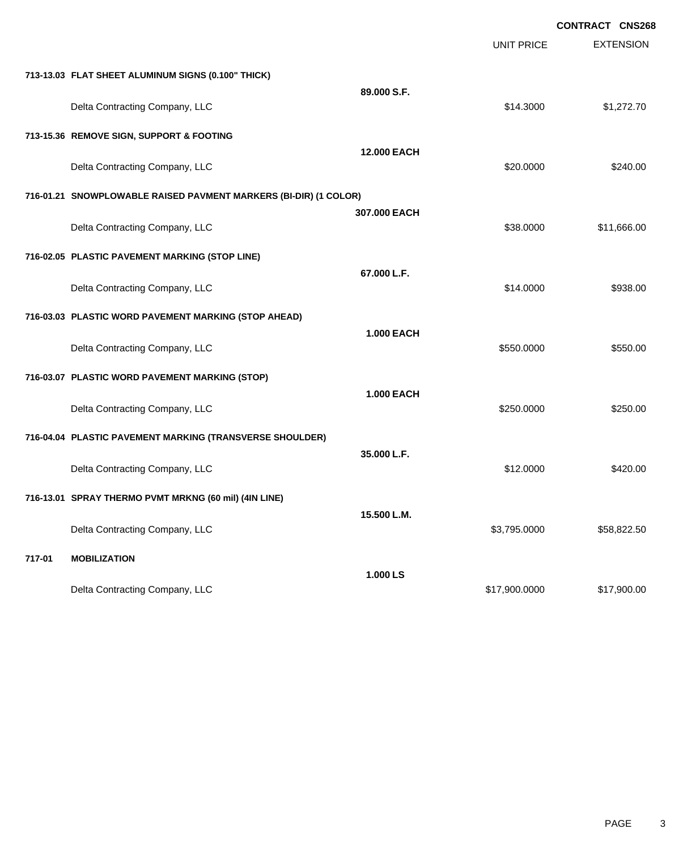|        |                                                                  |                    |                   | <b>CONTRACT CNS268</b> |
|--------|------------------------------------------------------------------|--------------------|-------------------|------------------------|
|        |                                                                  |                    | <b>UNIT PRICE</b> | <b>EXTENSION</b>       |
|        | 713-13.03 FLAT SHEET ALUMINUM SIGNS (0.100" THICK)               |                    |                   |                        |
|        | Delta Contracting Company, LLC                                   | 89.000 S.F.        | \$14.3000         | \$1,272.70             |
|        | 713-15.36 REMOVE SIGN, SUPPORT & FOOTING                         |                    |                   |                        |
|        | Delta Contracting Company, LLC                                   | <b>12.000 EACH</b> | \$20.0000         | \$240.00               |
|        | 716-01.21 SNOWPLOWABLE RAISED PAVMENT MARKERS (BI-DIR) (1 COLOR) |                    |                   |                        |
|        | Delta Contracting Company, LLC                                   | 307,000 EACH       | \$38.0000         | \$11,666.00            |
|        | 716-02.05 PLASTIC PAVEMENT MARKING (STOP LINE)                   |                    |                   |                        |
|        | Delta Contracting Company, LLC                                   | 67.000 L.F.        | \$14.0000         | \$938.00               |
|        | 716-03.03 PLASTIC WORD PAVEMENT MARKING (STOP AHEAD)             |                    |                   |                        |
|        | Delta Contracting Company, LLC                                   | <b>1.000 EACH</b>  | \$550.0000        | \$550.00               |
|        | 716-03.07 PLASTIC WORD PAVEMENT MARKING (STOP)                   |                    |                   |                        |
|        | Delta Contracting Company, LLC                                   | <b>1.000 EACH</b>  | \$250.0000        | \$250.00               |
|        | 716-04.04 PLASTIC PAVEMENT MARKING (TRANSVERSE SHOULDER)         |                    |                   |                        |
|        | Delta Contracting Company, LLC                                   | 35.000 L.F.        | \$12.0000         | \$420.00               |
|        | 716-13.01 SPRAY THERMO PVMT MRKNG (60 mil) (4IN LINE)            |                    |                   |                        |
|        | Delta Contracting Company, LLC                                   | 15.500 L.M.        | \$3,795.0000      | \$58,822.50            |
| 717-01 | <b>MOBILIZATION</b>                                              |                    |                   |                        |
|        | Delta Contracting Company, LLC                                   | 1.000 LS           | \$17,900.0000     | \$17,900.00            |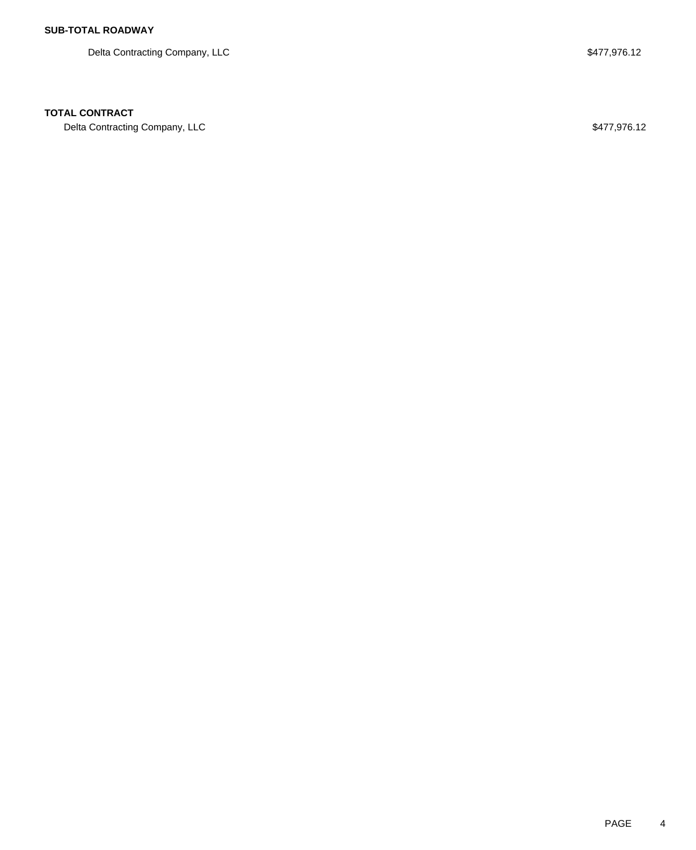Delta Contracting Company, LLC  $$477,976.12$ 

## **TOTAL CONTRACT**

Delta Contracting Company, LLC  $$477,976.12$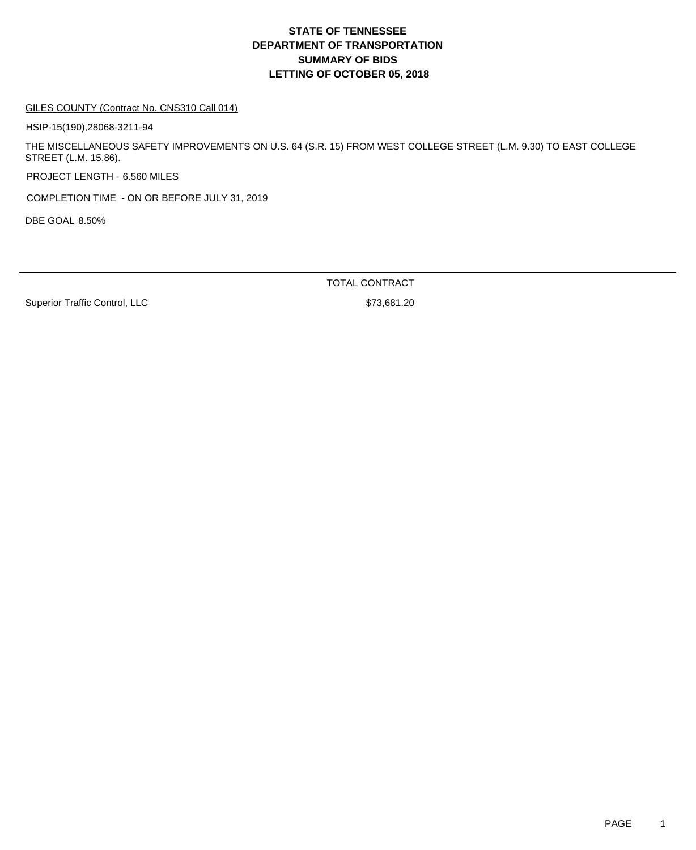# **DEPARTMENT OF TRANSPORTATION SUMMARY OF BIDS LETTING OF OCTOBER 05, 2018 STATE OF TENNESSEE**

#### GILES COUNTY (Contract No. CNS310 Call 014)

HSIP-15(190),28068-3211-94

THE MISCELLANEOUS SAFETY IMPROVEMENTS ON U.S. 64 (S.R. 15) FROM WEST COLLEGE STREET (L.M. 9.30) TO EAST COLLEGE STREET (L.M. 15.86).

PROJECT LENGTH - 6.560 MILES

COMPLETION TIME - ON OR BEFORE JULY 31, 2019

DBE GOAL 8.50%

TOTAL CONTRACT

Superior Traffic Control, LLC \$73,681.20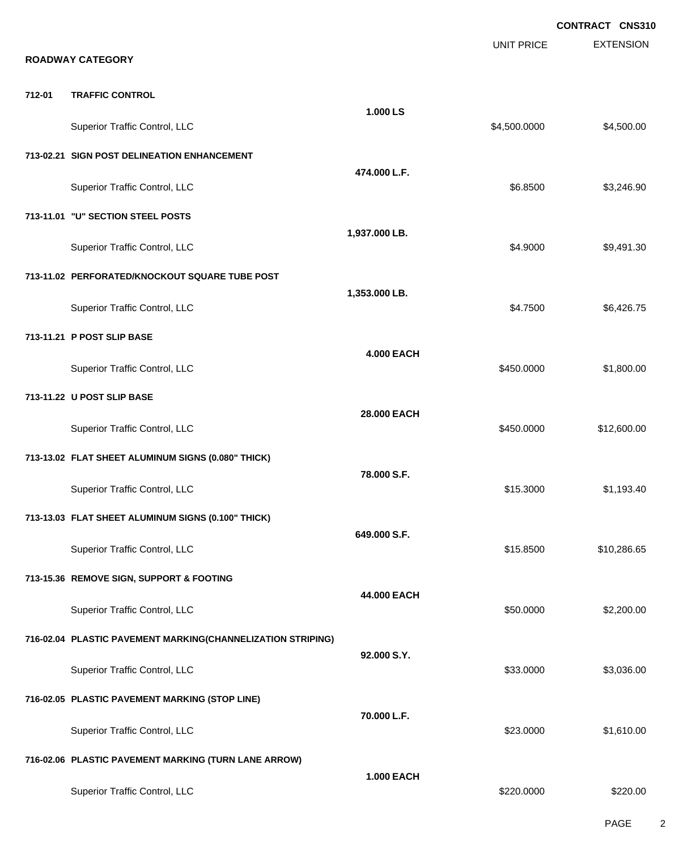**EXTENSION CONTRACT CNS310** UNIT PRICE **ROADWAY CATEGORY 712-01 TRAFFIC CONTROL 1.000 LS** Superior Traffic Control, LLC 66 and the state of the state of the state of the state of the state of the state of the state of the state of the state of the state of the state of the state of the state of the state of the **713-02.21 SIGN POST DELINEATION ENHANCEMENT 474.000 L.F.** Superior Traffic Control, LLC 66.8500 \$3,246.90 **713-11.01 "U" SECTION STEEL POSTS 1,937.000 LB.** Superior Traffic Control, LLC 68,491.30 **713-11.02 PERFORATED/KNOCKOUT SQUARE TUBE POST 1,353.000 LB.** Superior Traffic Control, LLC 6,426.75 **713-11.21 P POST SLIP BASE 4.000 EACH** Superior Traffic Control, LLC 66 and the state of the state of the state of the state of the state of the state of the state of the state of the state of the state of the state of the state of the state of the state of the **713-11.22 U POST SLIP BASE 28.000 EACH** Superior Traffic Control, LLC 612,600.00 \$12,600.00 **713-13.02 FLAT SHEET ALUMINUM SIGNS (0.080" THICK) 78.000 S.F.** Superior Traffic Control, LLC 61,193.40 **713-13.03 FLAT SHEET ALUMINUM SIGNS (0.100" THICK) 649.000 S.F.** Superior Traffic Control, LLC 61 and the state of the state of the state of the state of the state of the state of the state of the state of the state of the state of the state of the state of the state of the state of the **713-15.36 REMOVE SIGN, SUPPORT & FOOTING 44.000 EACH** Superior Traffic Control, LLC 6 and the state of the state of the state of the state of the state of the state of the state of the state of the state of the state of the state of the state of the state of the state of the **716-02.04 PLASTIC PAVEMENT MARKING(CHANNELIZATION STRIPING) 92.000 S.Y.** Superior Traffic Control, LLC 63,036.00 **716-02.05 PLASTIC PAVEMENT MARKING (STOP LINE) 70.000 L.F.** Superior Traffic Control, LLC 6323.0000 \$1,610.00 **716-02.06 PLASTIC PAVEMENT MARKING (TURN LANE ARROW) 1.000 EACH** Superior Traffic Control, LLC 6220.000 \$220.000 \$220.000 \$220.000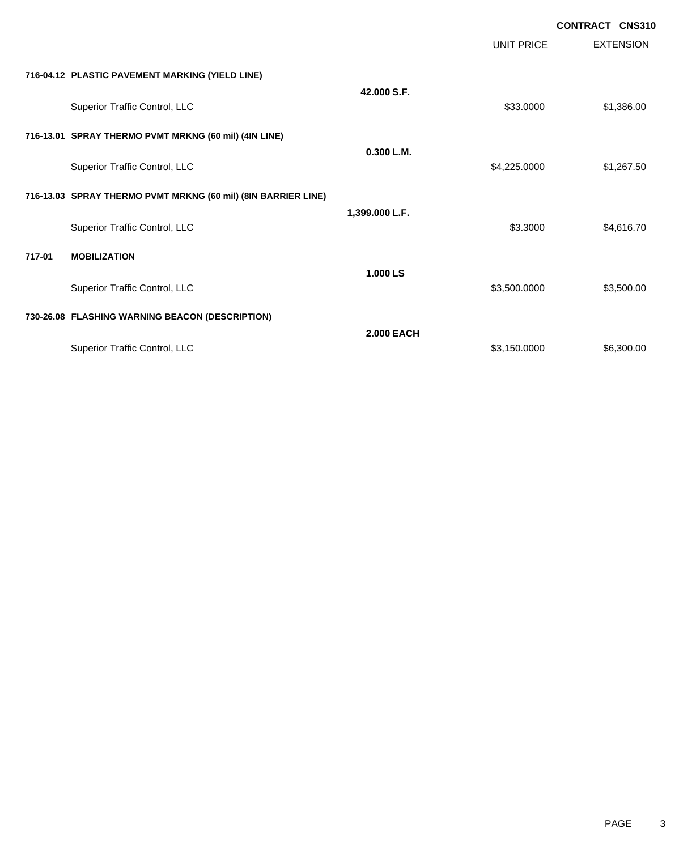|        |                                                               |                   |                   | <b>CONTRACT CNS310</b> |                  |
|--------|---------------------------------------------------------------|-------------------|-------------------|------------------------|------------------|
|        |                                                               |                   | <b>UNIT PRICE</b> |                        | <b>EXTENSION</b> |
|        | 716-04.12 PLASTIC PAVEMENT MARKING (YIELD LINE)               |                   |                   |                        |                  |
|        | Superior Traffic Control, LLC                                 | 42.000 S.F.       | \$33.0000         |                        | \$1,386.00       |
|        | 716-13.01 SPRAY THERMO PVMT MRKNG (60 mil) (4IN LINE)         |                   |                   |                        |                  |
|        | Superior Traffic Control, LLC                                 | 0.300 L.M.        | \$4,225.0000      |                        | \$1,267.50       |
|        | 716-13.03 SPRAY THERMO PVMT MRKNG (60 mil) (8IN BARRIER LINE) |                   |                   |                        |                  |
|        | Superior Traffic Control, LLC                                 | 1,399.000 L.F.    | \$3.3000          |                        | \$4,616.70       |
| 717-01 | <b>MOBILIZATION</b>                                           |                   |                   |                        |                  |
|        | Superior Traffic Control, LLC                                 | 1.000 LS          | \$3,500.0000      |                        | \$3,500.00       |
|        | 730-26.08 FLASHING WARNING BEACON (DESCRIPTION)               |                   |                   |                        |                  |
|        | Superior Traffic Control, LLC                                 | <b>2.000 EACH</b> | \$3,150.0000      |                        | \$6,300.00       |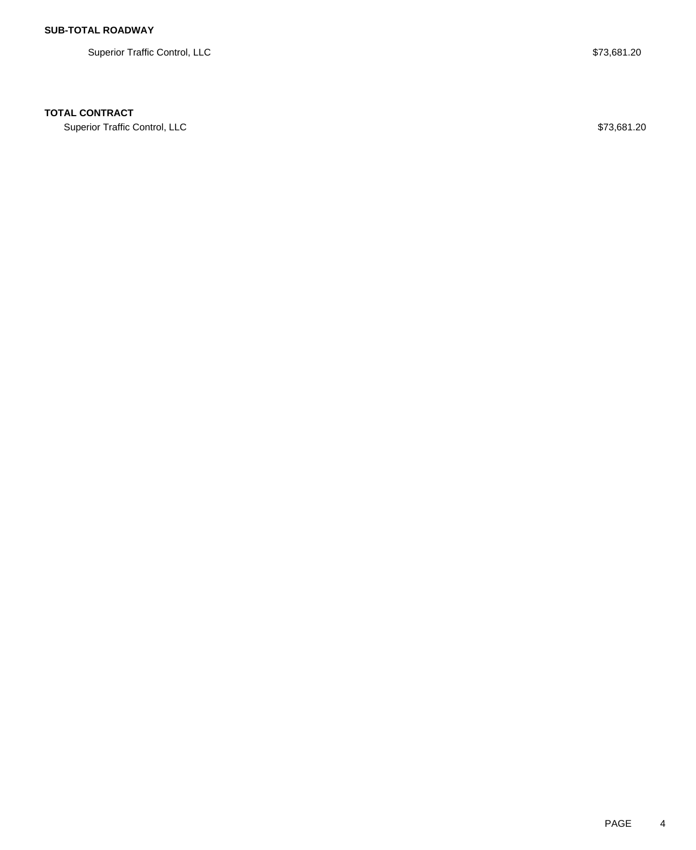Superior Traffic Control, LLC  $$73,681.20$ 

## **TOTAL CONTRACT**

Superior Traffic Control, LLC \$73,681.20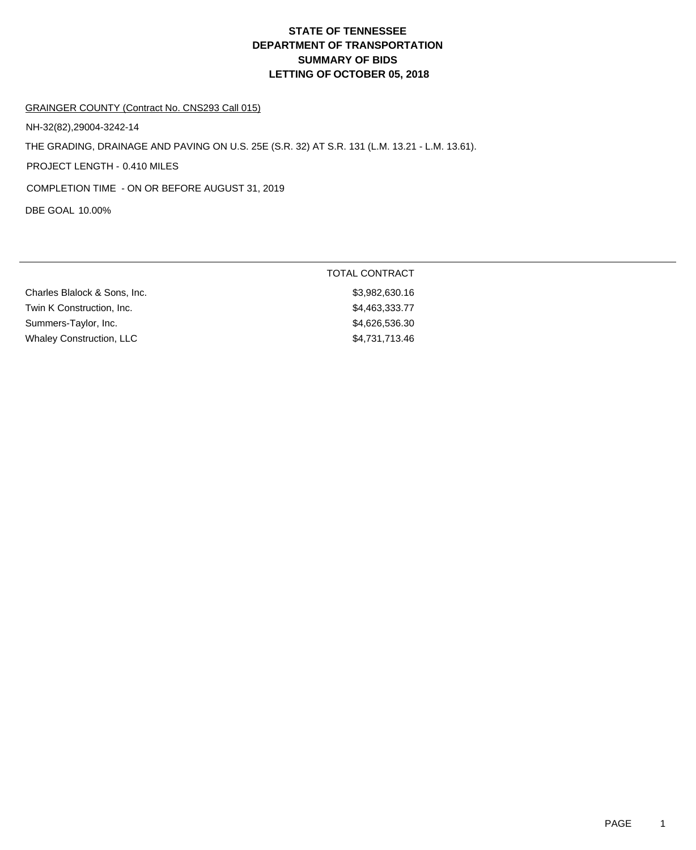# **DEPARTMENT OF TRANSPORTATION SUMMARY OF BIDS LETTING OF OCTOBER 05, 2018 STATE OF TENNESSEE**

### GRAINGER COUNTY (Contract No. CNS293 Call 015)

NH-32(82),29004-3242-14

THE GRADING, DRAINAGE AND PAVING ON U.S. 25E (S.R. 32) AT S.R. 131 (L.M. 13.21 - L.M. 13.61).

PROJECT LENGTH - 0.410 MILES

COMPLETION TIME - ON OR BEFORE AUGUST 31, 2019

DBE GOAL 10.00%

|                                 | TOTAL CONTRACT |
|---------------------------------|----------------|
| Charles Blalock & Sons, Inc.    | \$3,982,630.16 |
| Twin K Construction, Inc.       | \$4,463,333.77 |
| Summers-Taylor, Inc.            | \$4,626,536.30 |
| <b>Whaley Construction, LLC</b> | \$4,731,713.46 |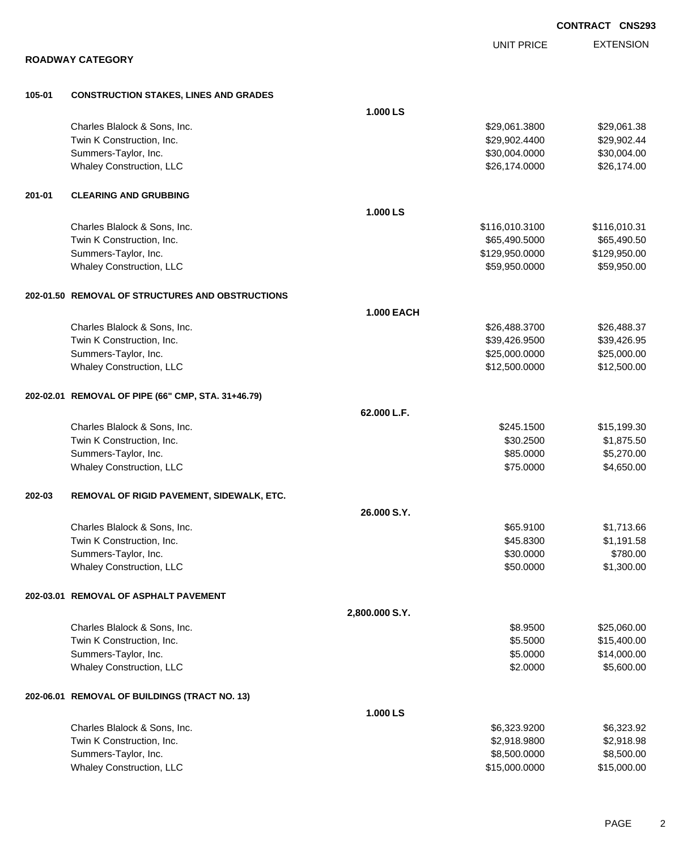|        |                                                    |                   |                   | <b>CONTRACT CNS293</b> |
|--------|----------------------------------------------------|-------------------|-------------------|------------------------|
|        |                                                    |                   | <b>UNIT PRICE</b> | <b>EXTENSION</b>       |
|        | <b>ROADWAY CATEGORY</b>                            |                   |                   |                        |
| 105-01 | <b>CONSTRUCTION STAKES, LINES AND GRADES</b>       |                   |                   |                        |
|        |                                                    | 1.000 LS          |                   |                        |
|        | Charles Blalock & Sons, Inc.                       |                   | \$29,061.3800     | \$29,061.38            |
|        | Twin K Construction, Inc.                          |                   | \$29,902.4400     | \$29,902.44            |
|        | Summers-Taylor, Inc.                               |                   | \$30,004.0000     | \$30,004.00            |
|        | Whaley Construction, LLC                           |                   | \$26,174.0000     | \$26,174.00            |
| 201-01 | <b>CLEARING AND GRUBBING</b>                       |                   |                   |                        |
|        |                                                    | 1.000 LS          |                   |                        |
|        | Charles Blalock & Sons, Inc.                       |                   | \$116,010.3100    | \$116,010.31           |
|        | Twin K Construction, Inc.                          |                   | \$65,490.5000     | \$65,490.50            |
|        | Summers-Taylor, Inc.                               |                   | \$129,950.0000    | \$129,950.00           |
|        | Whaley Construction, LLC                           |                   | \$59,950.0000     | \$59,950.00            |
|        | 202-01.50 REMOVAL OF STRUCTURES AND OBSTRUCTIONS   |                   |                   |                        |
|        |                                                    | <b>1.000 EACH</b> |                   |                        |
|        | Charles Blalock & Sons, Inc.                       |                   | \$26,488.3700     | \$26,488.37            |
|        | Twin K Construction, Inc.                          |                   | \$39,426.9500     | \$39,426.95            |
|        | Summers-Taylor, Inc.                               |                   | \$25,000.0000     | \$25,000.00            |
|        | Whaley Construction, LLC                           |                   | \$12,500.0000     | \$12,500.00            |
|        | 202-02.01 REMOVAL OF PIPE (66" CMP, STA. 31+46.79) |                   |                   |                        |
|        |                                                    | 62.000 L.F.       |                   |                        |
|        | Charles Blalock & Sons, Inc.                       |                   | \$245.1500        | \$15,199.30            |
|        | Twin K Construction, Inc.                          |                   | \$30.2500         | \$1,875.50             |
|        | Summers-Taylor, Inc.                               |                   | \$85.0000         | \$5,270.00             |
|        | Whaley Construction, LLC                           |                   | \$75.0000         | \$4,650.00             |
| 202-03 | REMOVAL OF RIGID PAVEMENT, SIDEWALK, ETC.          |                   |                   |                        |
|        |                                                    | 26,000 S.Y.       |                   |                        |
|        | Charles Blalock & Sons, Inc.                       |                   | \$65.9100         | \$1,713.66             |
|        | Twin K Construction, Inc.                          |                   | \$45.8300         | \$1,191.58             |
|        | Summers-Taylor, Inc.                               |                   | \$30.0000         | \$780.00               |
|        | Whaley Construction, LLC                           |                   | \$50.0000         | \$1,300.00             |
|        | 202-03.01 REMOVAL OF ASPHALT PAVEMENT              |                   |                   |                        |
|        |                                                    | 2,800.000 S.Y.    |                   |                        |
|        | Charles Blalock & Sons, Inc.                       |                   | \$8.9500          | \$25,060.00            |
|        | Twin K Construction, Inc.                          |                   | \$5.5000          | \$15,400.00            |
|        | Summers-Taylor, Inc.                               |                   | \$5.0000          | \$14,000.00            |
|        | Whaley Construction, LLC                           |                   | \$2.0000          | \$5,600.00             |
|        | 202-06.01 REMOVAL OF BUILDINGS (TRACT NO. 13)      |                   |                   |                        |
|        |                                                    | 1.000 LS          |                   |                        |
|        | Charles Blalock & Sons, Inc.                       |                   | \$6,323.9200      | \$6,323.92             |
|        | Twin K Construction, Inc.                          |                   | \$2,918.9800      | \$2,918.98             |
|        | Summers-Taylor, Inc.                               |                   | \$8,500.0000      | \$8,500.00             |
|        | Whaley Construction, LLC                           |                   | \$15,000.0000     | \$15,000.00            |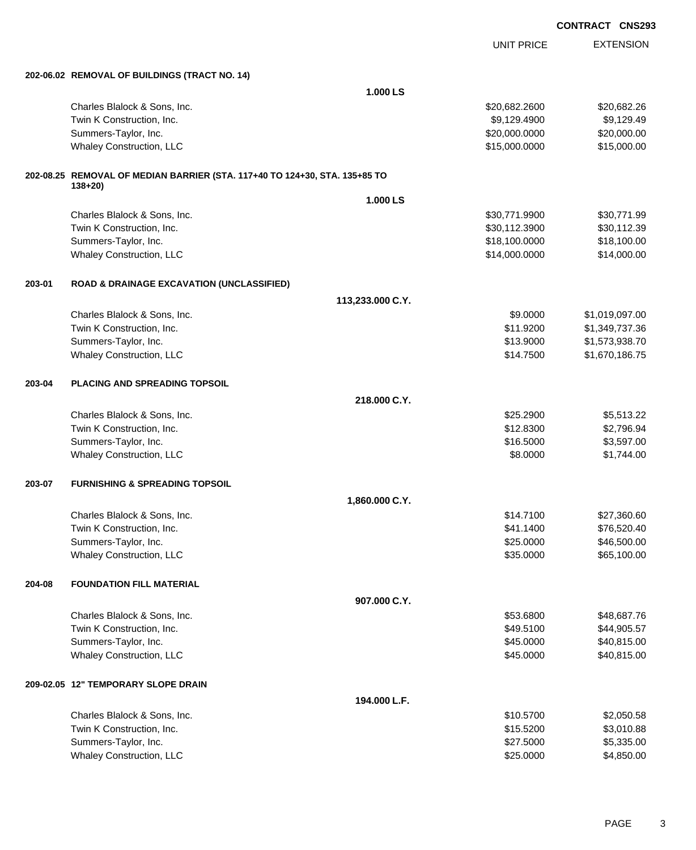EXTENSION UNIT PRICE **202-06.02 REMOVAL OF BUILDINGS (TRACT NO. 14) 1.000 LS** Charles Blalock & Sons, Inc. 6. 2006 1999 120,682.2600 \$20,682.2600 \$20,682.2600 Twin K Construction, Inc. 6. The Construction of the Construction, Inc. 6. The Construction, Inc. 6. The Construction of the Construction of the Construction of the Construction of the Construction of the Construction of t Summers-Taylor, Inc. \$20,000.000 \$20,000.000 \$20,000.000 \$20,000.000 \$20,000.000 \$20,000.00 Whaley Construction, LLC 615,000.000 \$15,000.000 \$15,000.000 \$15,000.000 \$15,000.000 \$15,000.00 **202-08.25 REMOVAL OF MEDIAN BARRIER (STA. 117+40 TO 124+30, STA. 135+85 TO 138+20) 1.000 LS** Charles Blalock & Sons, Inc. 6. 2012 12:30 12:30 12:30 13:30,771.9900 \$30,771.9900 \$30,771.9900 Twin K Construction, Inc. 630,112.3900 \$30,112.3900 \$30,112.3900 \$30,112.3900 \$30,112.39 Summers-Taylor, Inc. 6. The Summers-Taylor, Inc. 6. The Summers-Taylor, Inc. 6. The Summers-Taylor, Inc. 6. The Summers-Taylor, Inc. 6. The Summers-Taylor, Inc. 6. The Summers-Taylor, Inc. 6. The Summers-Taylor, Inc. 6. Th Whaley Construction, LLC 614,000.000 \$14,000.000 \$14,000.000 \$14,000.000 \$14,000.000 \$14,000.00 **203-01 ROAD & DRAINAGE EXCAVATION (UNCLASSIFIED) 113,233.000 C.Y.** Charles Blalock & Sons, Inc. 6. 2010. The Superintence of the Superintence of the Superintence of the Superintence of St. 019,097.00 Twin K Construction, Inc. \$11.9200 \$1,349,737.36 Summers-Taylor, Inc. \$13.9000 \$1,573,938.70 Whaley Construction, LLC 6.75 (1990) 1990 1991 1991 1991 1991 1992 1993 1994 1996 1997 1998 1999 1999 1999 199 **203-04 PLACING AND SPREADING TOPSOIL 218.000 C.Y.** Charles Blalock & Sons, Inc. \$25.2900 \$5,513.22 Twin K Construction, Inc. 6. The Construction of the Construction, Inc. 6. The Construction, Inc. 6. The Construction of the Construction, Inc. 6. The Construction of the Construction of the Construction of the Constructio Summers-Taylor, Inc. \$16.5000 \$3,597.00 Whaley Construction, LLC 68.0000 \$1,744.00 **203-07 FURNISHING & SPREADING TOPSOIL 1,860.000 C.Y.** Charles Blalock & Sons, Inc. \$14.7100 \$27,360.60 Twin K Construction, Inc. 6. The Second Studies of the Second Studies of the Second Studies of Second Studies Studies and Studies Studies of Second Studies and Studies of Second Studies and Studies of Second Studies and St Summers-Taylor, Inc. \$25.0000 \$46,500.00 Whaley Construction, LLC 665,100.00 \$65,100.00 **204-08 FOUNDATION FILL MATERIAL 907.000 C.Y.** Charles Blalock & Sons, Inc. \$53.6800 \$48,687.76 Twin K Construction, Inc. 644,905.57 Summers-Taylor, Inc. \$40,815.00 Whaley Construction, LLC **\$40,815.00** \$40,815.00 **209-02.05 12" TEMPORARY SLOPE DRAIN 194.000 L.F.** Charles Blalock & Sons, Inc. \$10.5700 \$2,050.58 Twin K Construction, Inc. \$15.5200 \$3,010.88 Summers-Taylor, Inc. \$27.5000 \$5,335.00 Whaley Construction, LLC 684,850.00 \$4,850.00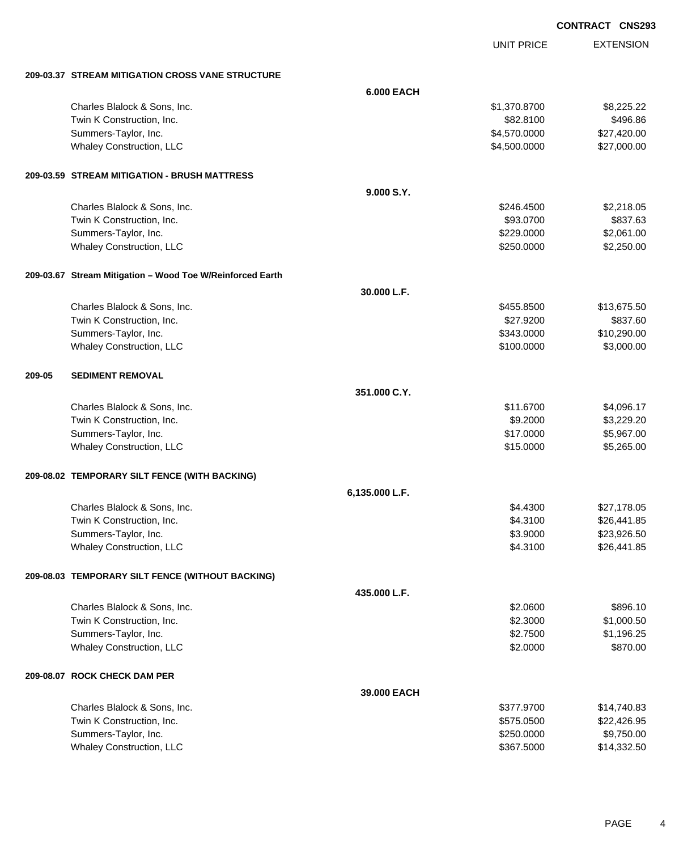UNIT PRICE EXTENSION

**209-03.37 STREAM MITIGATION CROSS VANE STRUCTURE**

|        | 209-03.37 SIREAM MILIGATION CROSS VANE SIRUCTURE          |                   |              |             |
|--------|-----------------------------------------------------------|-------------------|--------------|-------------|
|        |                                                           | <b>6.000 EACH</b> |              |             |
|        | Charles Blalock & Sons, Inc.                              |                   | \$1,370.8700 | \$8,225.22  |
|        | Twin K Construction, Inc.                                 |                   | \$82.8100    | \$496.86    |
|        | Summers-Taylor, Inc.                                      |                   | \$4,570.0000 | \$27,420.00 |
|        | Whaley Construction, LLC                                  |                   | \$4,500.0000 | \$27,000.00 |
|        | 209-03.59 STREAM MITIGATION - BRUSH MATTRESS              |                   |              |             |
|        |                                                           | 9.000 S.Y.        |              |             |
|        | Charles Blalock & Sons, Inc.                              |                   | \$246.4500   | \$2,218.05  |
|        | Twin K Construction, Inc.                                 |                   | \$93.0700    | \$837.63    |
|        | Summers-Taylor, Inc.                                      |                   | \$229.0000   | \$2,061.00  |
|        | Whaley Construction, LLC                                  |                   | \$250.0000   | \$2,250.00  |
|        | 209-03.67 Stream Mitigation - Wood Toe W/Reinforced Earth |                   |              |             |
|        |                                                           | 30.000 L.F.       |              |             |
|        | Charles Blalock & Sons, Inc.                              |                   | \$455.8500   | \$13,675.50 |
|        | Twin K Construction, Inc.                                 |                   | \$27.9200    | \$837.60    |
|        | Summers-Taylor, Inc.                                      |                   | \$343.0000   | \$10,290.00 |
|        | Whaley Construction, LLC                                  |                   | \$100.0000   | \$3,000.00  |
| 209-05 | <b>SEDIMENT REMOVAL</b>                                   |                   |              |             |
|        |                                                           | 351.000 C.Y.      |              |             |
|        | Charles Blalock & Sons, Inc.                              |                   | \$11.6700    | \$4,096.17  |
|        | Twin K Construction, Inc.                                 |                   | \$9.2000     | \$3,229.20  |
|        | Summers-Taylor, Inc.                                      |                   | \$17.0000    | \$5,967.00  |
|        | Whaley Construction, LLC                                  |                   | \$15.0000    | \$5,265.00  |
|        | 209-08.02 TEMPORARY SILT FENCE (WITH BACKING)             |                   |              |             |
|        |                                                           | 6,135.000 L.F.    |              |             |
|        | Charles Blalock & Sons, Inc.                              |                   | \$4.4300     | \$27,178.05 |
|        | Twin K Construction, Inc.                                 |                   | \$4.3100     | \$26,441.85 |
|        | Summers-Taylor, Inc.                                      |                   | \$3.9000     | \$23,926.50 |
|        | Whaley Construction, LLC                                  |                   | \$4.3100     | \$26,441.85 |
|        | 209-08.03 TEMPORARY SILT FENCE (WITHOUT BACKING)          |                   |              |             |
|        |                                                           | 435,000 L.F.      |              |             |
|        | Charles Blalock & Sons, Inc.                              |                   | \$2.0600     | \$896.10    |
|        | Twin K Construction, Inc.                                 |                   | \$2.3000     | \$1,000.50  |
|        | Summers-Taylor, Inc.                                      |                   | \$2.7500     | \$1,196.25  |
|        | Whaley Construction, LLC                                  |                   | \$2.0000     | \$870.00    |
|        | 209-08.07 ROCK CHECK DAM PER                              |                   |              |             |
|        |                                                           | 39,000 EACH       |              |             |
|        | Charles Blalock & Sons, Inc.                              |                   | \$377.9700   | \$14,740.83 |
|        | Twin K Construction, Inc.                                 |                   | \$575.0500   | \$22,426.95 |
|        | Summers-Taylor, Inc.                                      |                   | \$250.0000   | \$9,750.00  |
|        | Whaley Construction, LLC                                  |                   | \$367.5000   | \$14,332.50 |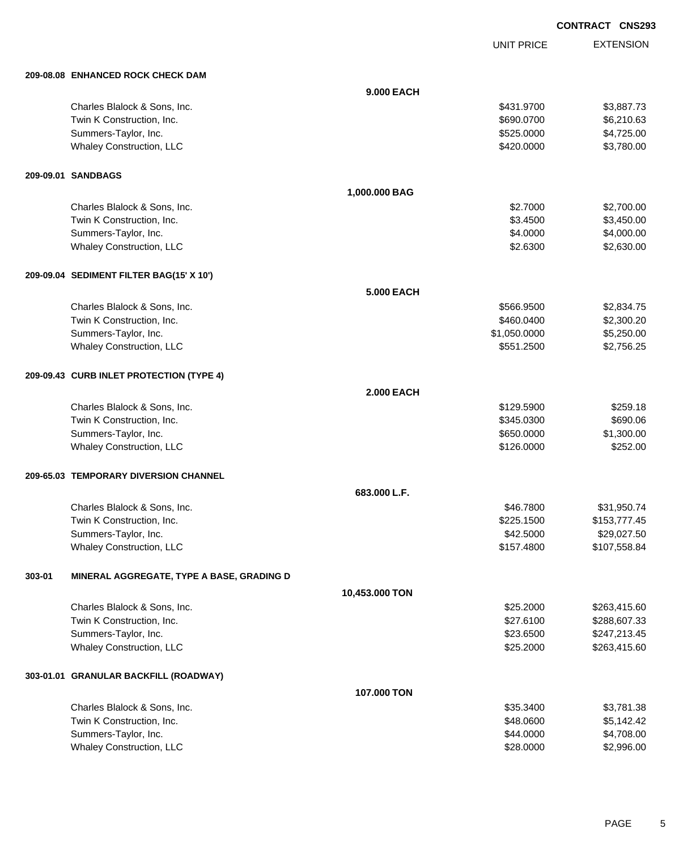UNIT PRICE EXTENSION

| 209-08.08 ENHANCED ROCK CHECK DAM |  |
|-----------------------------------|--|

|        | 209-08.08 ENHANCED ROCK CHECK DAM         |                   |              |              |
|--------|-------------------------------------------|-------------------|--------------|--------------|
|        |                                           | 9.000 EACH        |              |              |
|        | Charles Blalock & Sons, Inc.              |                   | \$431.9700   | \$3,887.73   |
|        | Twin K Construction, Inc.                 |                   | \$690.0700   | \$6,210.63   |
|        | Summers-Taylor, Inc.                      |                   | \$525.0000   | \$4,725.00   |
|        | Whaley Construction, LLC                  |                   | \$420.0000   | \$3,780.00   |
|        | 209-09.01 SANDBAGS                        |                   |              |              |
|        |                                           | 1,000.000 BAG     |              |              |
|        | Charles Blalock & Sons, Inc.              |                   | \$2.7000     | \$2,700.00   |
|        | Twin K Construction, Inc.                 |                   | \$3.4500     | \$3,450.00   |
|        | Summers-Taylor, Inc.                      |                   | \$4.0000     | \$4,000.00   |
|        | Whaley Construction, LLC                  |                   | \$2.6300     | \$2,630.00   |
|        | 209-09.04 SEDIMENT FILTER BAG(15' X 10')  |                   |              |              |
|        |                                           | <b>5.000 EACH</b> |              |              |
|        | Charles Blalock & Sons, Inc.              |                   | \$566.9500   | \$2,834.75   |
|        | Twin K Construction, Inc.                 |                   | \$460.0400   | \$2,300.20   |
|        | Summers-Taylor, Inc.                      |                   | \$1,050.0000 | \$5,250.00   |
|        | Whaley Construction, LLC                  |                   | \$551.2500   | \$2,756.25   |
|        | 209-09.43 CURB INLET PROTECTION (TYPE 4)  |                   |              |              |
|        |                                           | <b>2.000 EACH</b> |              |              |
|        | Charles Blalock & Sons, Inc.              |                   | \$129.5900   | \$259.18     |
|        | Twin K Construction, Inc.                 |                   | \$345.0300   | \$690.06     |
|        | Summers-Taylor, Inc.                      |                   | \$650.0000   | \$1,300.00   |
|        | Whaley Construction, LLC                  |                   | \$126.0000   | \$252.00     |
|        | 209-65.03 TEMPORARY DIVERSION CHANNEL     |                   |              |              |
|        |                                           | 683.000 L.F.      |              |              |
|        | Charles Blalock & Sons, Inc.              |                   | \$46.7800    | \$31,950.74  |
|        | Twin K Construction, Inc.                 |                   | \$225.1500   | \$153,777.45 |
|        | Summers-Taylor, Inc.                      |                   | \$42.5000    | \$29,027.50  |
|        | Whaley Construction, LLC                  |                   | \$157.4800   | \$107,558.84 |
| 303-01 | MINERAL AGGREGATE, TYPE A BASE, GRADING D |                   |              |              |
|        |                                           | 10,453.000 TON    |              |              |
|        | Charles Blalock & Sons, Inc.              |                   | \$25.2000    | \$263,415.60 |
|        | Twin K Construction, Inc.                 |                   | \$27.6100    | \$288,607.33 |
|        | Summers-Taylor, Inc.                      |                   | \$23.6500    | \$247,213.45 |
|        | <b>Whaley Construction, LLC</b>           |                   | \$25.2000    | \$263,415.60 |
|        | 303-01.01 GRANULAR BACKFILL (ROADWAY)     |                   |              |              |
|        |                                           | 107.000 TON       |              |              |
|        | Charles Blalock & Sons, Inc.              |                   | \$35.3400    | \$3,781.38   |
|        | Twin K Construction, Inc.                 |                   | \$48.0600    | \$5,142.42   |
|        | Summers-Taylor, Inc.                      |                   | \$44.0000    | \$4,708.00   |
|        | Whaley Construction, LLC                  |                   | \$28.0000    | \$2,996.00   |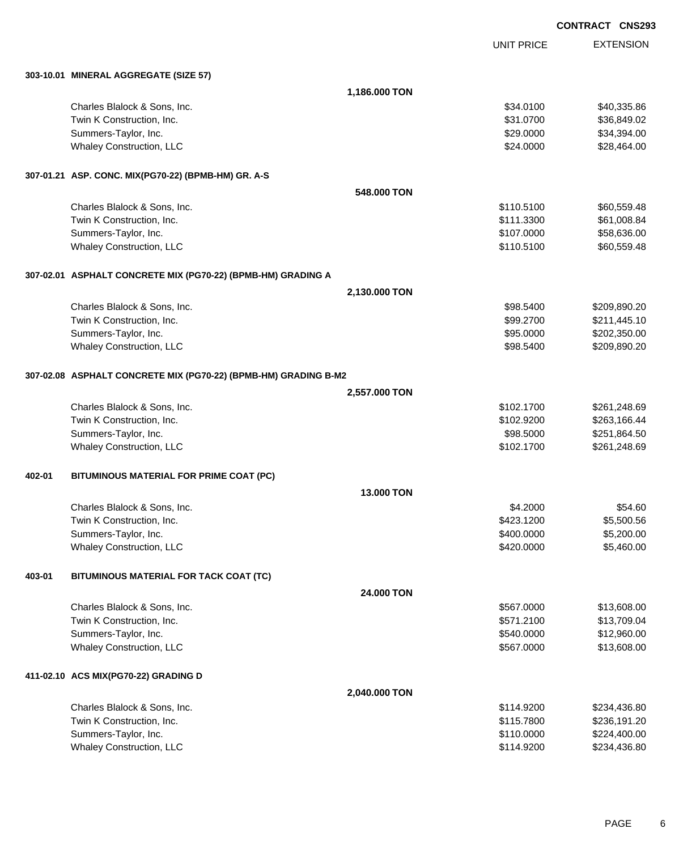|        |                                                                 |                   |                   | <b>CONTRACT CNS293</b> |
|--------|-----------------------------------------------------------------|-------------------|-------------------|------------------------|
|        |                                                                 |                   | <b>UNIT PRICE</b> | <b>EXTENSION</b>       |
|        | 303-10.01 MINERAL AGGREGATE (SIZE 57)                           |                   |                   |                        |
|        |                                                                 | 1,186.000 TON     |                   |                        |
|        | Charles Blalock & Sons, Inc.                                    |                   | \$34.0100         | \$40,335.86            |
|        | Twin K Construction, Inc.                                       |                   | \$31.0700         | \$36,849.02            |
|        | Summers-Taylor, Inc.                                            |                   | \$29.0000         | \$34,394.00            |
|        | <b>Whaley Construction, LLC</b>                                 |                   | \$24.0000         | \$28,464.00            |
|        | 307-01.21 ASP. CONC. MIX(PG70-22) (BPMB-HM) GR. A-S             |                   |                   |                        |
|        |                                                                 | 548,000 TON       |                   |                        |
|        | Charles Blalock & Sons, Inc.                                    |                   | \$110.5100        | \$60,559.48            |
|        | Twin K Construction, Inc.                                       |                   | \$111.3300        | \$61,008.84            |
|        | Summers-Taylor, Inc.                                            |                   | \$107.0000        | \$58,636.00            |
|        | <b>Whaley Construction, LLC</b>                                 |                   | \$110.5100        | \$60,559.48            |
|        | 307-02.01 ASPHALT CONCRETE MIX (PG70-22) (BPMB-HM) GRADING A    |                   |                   |                        |
|        |                                                                 | 2,130.000 TON     |                   |                        |
|        | Charles Blalock & Sons, Inc.                                    |                   | \$98.5400         | \$209,890.20           |
|        | Twin K Construction, Inc.                                       |                   | \$99.2700         | \$211,445.10           |
|        | Summers-Taylor, Inc.                                            |                   | \$95.0000         | \$202,350.00           |
|        | Whaley Construction, LLC                                        |                   | \$98.5400         | \$209,890.20           |
|        | 307-02.08 ASPHALT CONCRETE MIX (PG70-22) (BPMB-HM) GRADING B-M2 |                   |                   |                        |
|        |                                                                 | 2,557.000 TON     |                   |                        |
|        | Charles Blalock & Sons, Inc.                                    |                   | \$102.1700        | \$261,248.69           |
|        | Twin K Construction, Inc.                                       |                   | \$102.9200        | \$263,166.44           |
|        | Summers-Taylor, Inc.                                            |                   | \$98.5000         | \$251,864.50           |
|        | Whaley Construction, LLC                                        |                   | \$102.1700        | \$261,248.69           |
| 402-01 | BITUMINOUS MATERIAL FOR PRIME COAT (PC)                         |                   |                   |                        |
|        |                                                                 | <b>13,000 TON</b> |                   |                        |
|        | Charles Blalock & Sons, Inc.                                    |                   | \$4.2000          | \$54.60                |
|        | Twin K Construction, Inc.                                       |                   | \$423.1200        | \$5,500.56             |
|        | Summers-Taylor, Inc.                                            |                   | \$400.0000        | \$5,200.00             |
|        | Whaley Construction, LLC                                        |                   | \$420.0000        | \$5,460.00             |
| 403-01 | BITUMINOUS MATERIAL FOR TACK COAT (TC)                          |                   |                   |                        |
|        |                                                                 | 24.000 TON        |                   |                        |
|        | Charles Blalock & Sons, Inc.                                    |                   | \$567.0000        | \$13,608.00            |
|        | Twin K Construction, Inc.                                       |                   | \$571.2100        | \$13,709.04            |
|        | Summers-Taylor, Inc.                                            |                   | \$540.0000        | \$12,960.00            |
|        | Whaley Construction, LLC                                        |                   | \$567.0000        | \$13,608.00            |
|        | 411-02.10 ACS MIX(PG70-22) GRADING D                            |                   |                   |                        |
|        |                                                                 | 2,040.000 TON     |                   |                        |
|        | Charles Blalock & Sons, Inc.                                    |                   | \$114.9200        | \$234,436.80           |
|        | Twin K Construction, Inc.                                       |                   | \$115.7800        | \$236,191.20           |
|        | Summers-Taylor, Inc.                                            |                   | \$110.0000        | \$224,400.00           |
|        | Whaley Construction, LLC                                        |                   | \$114.9200        | \$234,436.80           |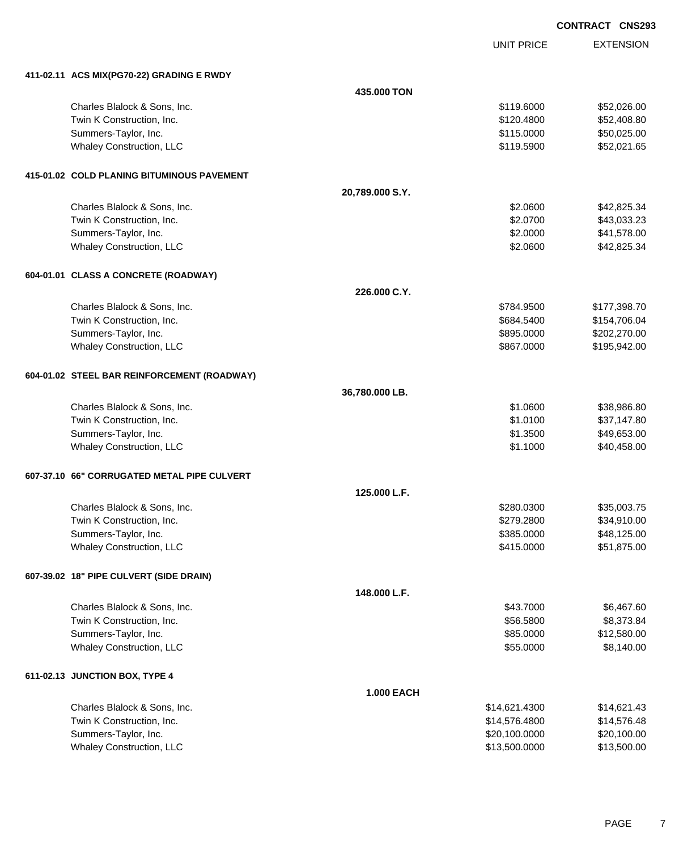**EXTENSION CONTRACT CNS293** UNIT PRICE **411-02.11 ACS MIX(PG70-22) GRADING E RWDY 435.000 TON** Charles Blalock & Sons, Inc. \$119.6000 \$52,026.00 Twin K Construction, Inc. 6. The Construction of the Construction, Inc. 6. The Construction, Inc. 6. The Construction of the Construction, Inc. 6. The Construction of the Construction, Inc. 6. The Construction of the Const Summers-Taylor, Inc. \$115.0000 \$50,025.00 Whaley Construction, LLC 652,021.65 **415-01.02 COLD PLANING BITUMINOUS PAVEMENT 20,789.000 S.Y.** Charles Blalock & Sons, Inc. 6. 2008 642,825.34 Twin K Construction, Inc. 643,033.23 Summers-Taylor, Inc. \$2.0000 \$41,578.00 Whaley Construction, LLC 642,825.34 **604-01.01 CLASS A CONCRETE (ROADWAY) 226.000 C.Y.** Charles Blalock & Sons, Inc. 6. 2012 12:30 12:30 12:30 12:30 12:30 12:30 12:30 12:30 12:30 12:30 12:30 12:30 1 Twin K Construction, Inc. 6. The Construction of the Construction, Inc. 6. The Construction, Inc. 6. The Construction of the Construction of the Construction of the Construction of the Construction of the Construction of t Summers-Taylor, Inc. 6. The Summers-Taylor, Inc. 6. The Summers-Taylor, Inc. 6. The Summers-Taylor, Inc. 6. The Summers-Taylor, Inc. 6. The Summers-Taylor, Inc. 6. The Summers-Taylor, Inc. 6. The Summers-Taylor, Inc. 6. Th Whaley Construction, LLC 667.000 \$195,942.00 **604-01.02 STEEL BAR REINFORCEMENT (ROADWAY) 36,780.000 LB.** Charles Blalock & Sons, Inc. 6. 2012 12:00:00 \$38,986.80 Twin K Construction, Inc. 637,147.80 Summers-Taylor, Inc. \$1.3500 \$49,653.00 Whaley Construction, LLC 640,458.00 **607-37.10 66" CORRUGATED METAL PIPE CULVERT 125.000 L.F.** Charles Blalock & Sons, Inc. 6. 2008.75 Twin K Construction, Inc. 634,910.00 Summers-Taylor, Inc. \$385.0000 \$48,125.00 Whaley Construction, LLC **\$51,875.00** \$51,875.00 **607-39.02 18" PIPE CULVERT (SIDE DRAIN) 148.000 L.F.** Charles Blalock & Sons, Inc. 60 and the State of the State of the State of the State of the State of the State of the State of the State of the State of the State of the State of the State of the State of the State of the Twin K Construction, Inc. 6. The Second State of the Second State of the Second State of the Second State of Second State of Second State of Second State of Second State of Second State of Second State of Second State of S Summers-Taylor, Inc. \$85.0000 \$12,580.00 Whaley Construction, LLC 68,140.00 **611-02.13 JUNCTION BOX, TYPE 4 1.000 EACH**

| \$14.621.4300 | \$14.621.43 |
|---------------|-------------|
| \$14,576,4800 | \$14.576.48 |
| \$20,100,0000 | \$20,100.00 |
| \$13,500,0000 | \$13,500.00 |
|               |             |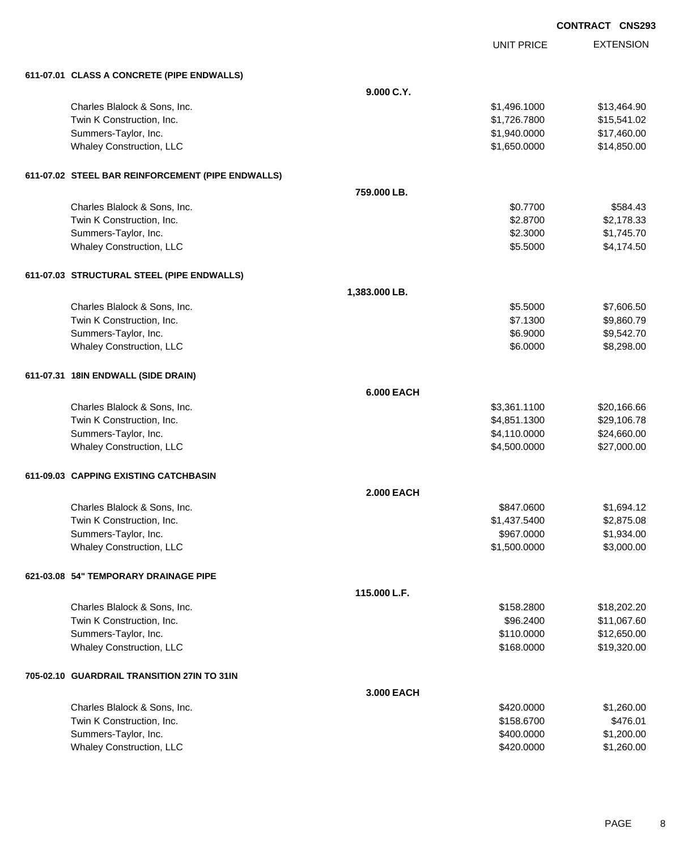|                                                   |                   |                   | <b>CONTRACT CNS293</b> |
|---------------------------------------------------|-------------------|-------------------|------------------------|
|                                                   |                   | <b>UNIT PRICE</b> | <b>EXTENSION</b>       |
| 611-07.01 CLASS A CONCRETE (PIPE ENDWALLS)        |                   |                   |                        |
|                                                   | 9.000 C.Y.        |                   |                        |
| Charles Blalock & Sons, Inc.                      |                   | \$1,496.1000      | \$13,464.90            |
| Twin K Construction, Inc.                         |                   | \$1,726.7800      | \$15,541.02            |
| Summers-Taylor, Inc.                              |                   | \$1,940.0000      | \$17,460.00            |
| Whaley Construction, LLC                          |                   | \$1,650.0000      | \$14,850.00            |
| 611-07.02 STEEL BAR REINFORCEMENT (PIPE ENDWALLS) |                   |                   |                        |
|                                                   | 759.000 LB.       |                   |                        |
| Charles Blalock & Sons, Inc.                      |                   | \$0.7700          | \$584.43               |
| Twin K Construction, Inc.                         |                   | \$2.8700          | \$2,178.33             |
| Summers-Taylor, Inc.                              |                   | \$2.3000          | \$1,745.70             |
| Whaley Construction, LLC                          |                   | \$5.5000          | \$4,174.50             |
| 611-07.03 STRUCTURAL STEEL (PIPE ENDWALLS)        |                   |                   |                        |
|                                                   | 1,383.000 LB.     |                   |                        |
| Charles Blalock & Sons, Inc.                      |                   | \$5.5000          | \$7,606.50             |
| Twin K Construction, Inc.                         |                   | \$7.1300          | \$9,860.79             |
| Summers-Taylor, Inc.                              |                   | \$6.9000          | \$9,542.70             |
| Whaley Construction, LLC                          |                   | \$6.0000          | \$8,298.00             |
| 611-07.31 18IN ENDWALL (SIDE DRAIN)               |                   |                   |                        |
|                                                   | <b>6.000 EACH</b> |                   |                        |
| Charles Blalock & Sons, Inc.                      |                   | \$3,361.1100      | \$20,166.66            |
| Twin K Construction, Inc.                         |                   | \$4,851.1300      | \$29,106.78            |
| Summers-Taylor, Inc.                              |                   | \$4,110.0000      | \$24,660.00            |
| Whaley Construction, LLC                          |                   | \$4,500.0000      | \$27,000.00            |
| 611-09.03 CAPPING EXISTING CATCHBASIN             |                   |                   |                        |
|                                                   | <b>2.000 EACH</b> |                   |                        |
| Charles Blalock & Sons, Inc.                      |                   | \$847.0600        | \$1,694.12             |
| Twin K Construction, Inc.                         |                   | \$1,437.5400      | \$2,875.08             |
| Summers-Taylor, Inc.                              |                   | \$967.0000        | \$1,934.00             |
| Whaley Construction, LLC                          |                   | \$1,500.0000      | \$3,000.00             |
| 621-03.08 54" TEMPORARY DRAINAGE PIPE             |                   |                   |                        |
|                                                   | 115.000 L.F.      |                   |                        |
| Charles Blalock & Sons, Inc.                      |                   | \$158.2800        | \$18,202.20            |
| Twin K Construction, Inc.                         |                   | \$96.2400         | \$11,067.60            |
| Summers-Taylor, Inc.                              |                   | \$110.0000        | \$12,650.00            |
| Whaley Construction, LLC                          |                   | \$168.0000        | \$19,320.00            |
| 705-02.10 GUARDRAIL TRANSITION 27IN TO 31IN       |                   |                   |                        |
|                                                   | 3.000 EACH        |                   |                        |
| Charles Blalock & Sons, Inc.                      |                   | \$420.0000        | \$1,260.00             |
| Twin K Construction, Inc.                         |                   | \$158.6700        | \$476.01               |
| Summers-Taylor, Inc.                              |                   | \$400.0000        | \$1,200.00             |
| Whaley Construction, LLC                          |                   | \$420.0000        | \$1,260.00             |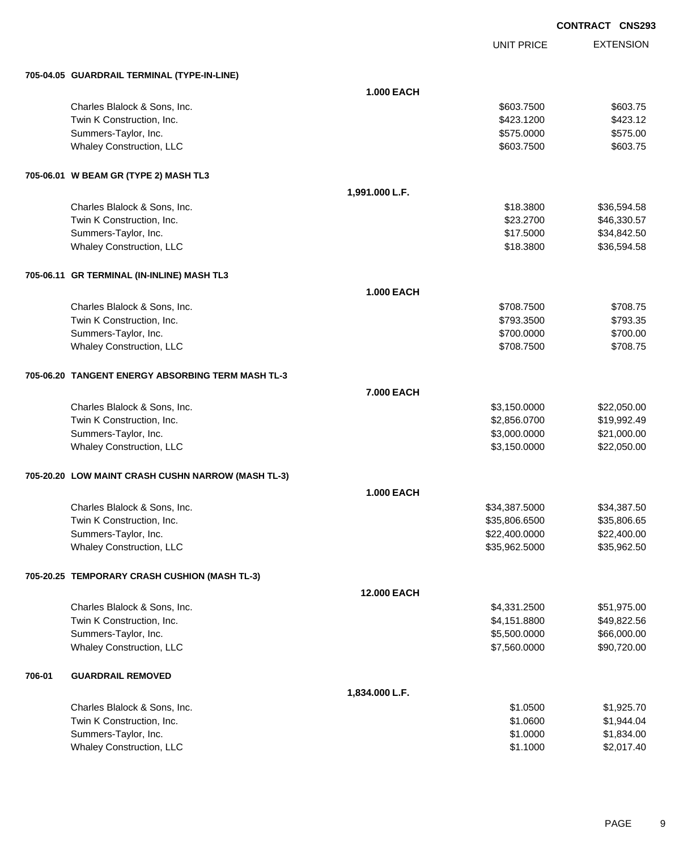UNIT PRICE EXTENSION

|        | 705-04.05 GUARDRAIL TERMINAL (TYPE-IN-LINE)        |                    |               |             |  |
|--------|----------------------------------------------------|--------------------|---------------|-------------|--|
|        |                                                    | <b>1.000 EACH</b>  |               |             |  |
|        | Charles Blalock & Sons, Inc.                       |                    | \$603.7500    | \$603.75    |  |
|        | Twin K Construction, Inc.                          |                    | \$423.1200    | \$423.12    |  |
|        | Summers-Taylor, Inc.                               |                    | \$575.0000    | \$575.00    |  |
|        | Whaley Construction, LLC                           |                    | \$603.7500    | \$603.75    |  |
|        | 705-06.01 W BEAM GR (TYPE 2) MASH TL3              |                    |               |             |  |
|        |                                                    | 1,991.000 L.F.     |               |             |  |
|        | Charles Blalock & Sons, Inc.                       |                    | \$18.3800     | \$36,594.58 |  |
|        | Twin K Construction, Inc.                          |                    | \$23.2700     | \$46,330.57 |  |
|        | Summers-Taylor, Inc.                               |                    | \$17.5000     | \$34,842.50 |  |
|        | <b>Whaley Construction, LLC</b>                    |                    | \$18.3800     | \$36,594.58 |  |
|        | 705-06.11 GR TERMINAL (IN-INLINE) MASH TL3         |                    |               |             |  |
|        |                                                    | <b>1.000 EACH</b>  |               |             |  |
|        | Charles Blalock & Sons, Inc.                       |                    | \$708.7500    | \$708.75    |  |
|        | Twin K Construction, Inc.                          |                    | \$793.3500    | \$793.35    |  |
|        | Summers-Taylor, Inc.                               |                    | \$700.0000    | \$700.00    |  |
|        | Whaley Construction, LLC                           |                    | \$708.7500    | \$708.75    |  |
|        | 705-06.20 TANGENT ENERGY ABSORBING TERM MASH TL-3  |                    |               |             |  |
|        |                                                    | 7.000 EACH         |               |             |  |
|        | Charles Blalock & Sons, Inc.                       |                    | \$3,150.0000  | \$22,050.00 |  |
|        | Twin K Construction, Inc.                          |                    | \$2,856.0700  | \$19,992.49 |  |
|        | Summers-Taylor, Inc.                               |                    | \$3,000.0000  | \$21,000.00 |  |
|        | Whaley Construction, LLC                           |                    | \$3,150.0000  | \$22,050.00 |  |
|        | 705-20.20 LOW MAINT CRASH CUSHN NARROW (MASH TL-3) |                    |               |             |  |
|        |                                                    | <b>1.000 EACH</b>  |               |             |  |
|        | Charles Blalock & Sons, Inc.                       |                    | \$34,387.5000 | \$34,387.50 |  |
|        | Twin K Construction, Inc.                          |                    | \$35,806.6500 | \$35,806.65 |  |
|        | Summers-Taylor, Inc.                               |                    | \$22,400.0000 | \$22,400.00 |  |
|        | Whaley Construction, LLC                           |                    | \$35,962.5000 | \$35,962.50 |  |
|        | 705-20.25 TEMPORARY CRASH CUSHION (MASH TL-3)      |                    |               |             |  |
|        |                                                    | <b>12.000 EACH</b> |               |             |  |
|        | Charles Blalock & Sons, Inc.                       |                    | \$4,331.2500  | \$51,975.00 |  |
|        | Twin K Construction, Inc.                          |                    | \$4,151.8800  | \$49,822.56 |  |
|        | Summers-Taylor, Inc.                               |                    | \$5,500.0000  | \$66,000.00 |  |
|        | Whaley Construction, LLC                           |                    | \$7,560.0000  | \$90,720.00 |  |
| 706-01 | <b>GUARDRAIL REMOVED</b>                           |                    |               |             |  |
|        |                                                    | 1,834.000 L.F.     |               |             |  |
|        | Charles Blalock & Sons, Inc.                       |                    | \$1.0500      | \$1,925.70  |  |
|        | Twin K Construction, Inc.                          |                    | \$1.0600      | \$1,944.04  |  |
|        | Summers-Taylor, Inc.                               |                    | \$1.0000      | \$1,834.00  |  |
|        | Whaley Construction, LLC                           |                    | \$1.1000      | \$2,017.40  |  |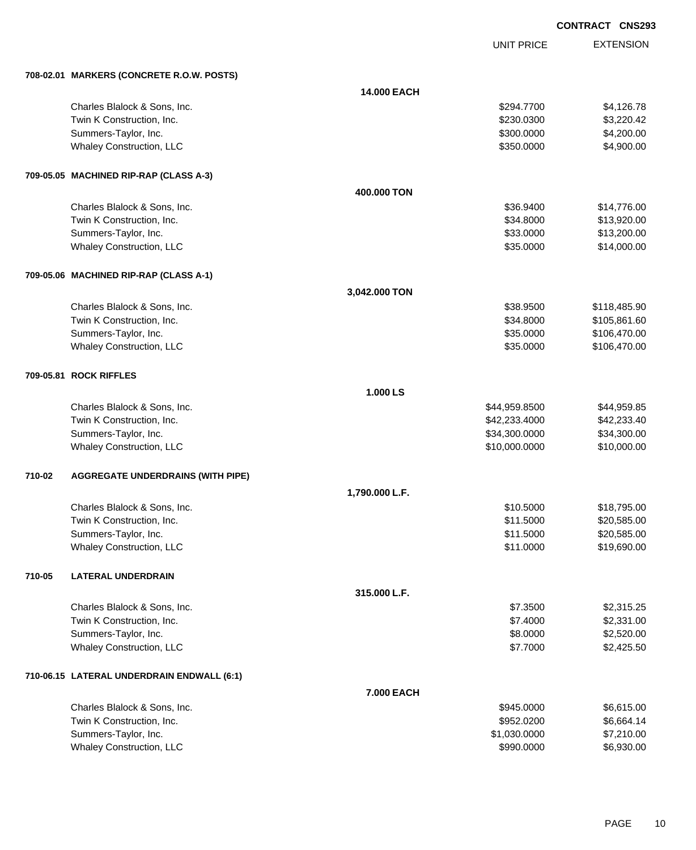UNIT PRICE

|        | 708-02.01 MARKERS (CONCRETE R.O.W. POSTS)  |                |               |              |
|--------|--------------------------------------------|----------------|---------------|--------------|
|        |                                            | 14.000 EACH    |               |              |
|        | Charles Blalock & Sons, Inc.               |                | \$294.7700    | \$4,126.78   |
|        | Twin K Construction, Inc.                  |                | \$230.0300    | \$3,220.42   |
|        | Summers-Taylor, Inc.                       |                | \$300.0000    | \$4,200.00   |
|        | Whaley Construction, LLC                   |                | \$350.0000    | \$4,900.00   |
|        | 709-05.05 MACHINED RIP-RAP (CLASS A-3)     |                |               |              |
|        |                                            | 400.000 TON    |               |              |
|        | Charles Blalock & Sons, Inc.               |                | \$36.9400     | \$14,776.00  |
|        | Twin K Construction, Inc.                  |                | \$34.8000     | \$13,920.00  |
|        | Summers-Taylor, Inc.                       |                | \$33.0000     | \$13,200.00  |
|        | Whaley Construction, LLC                   |                | \$35.0000     | \$14,000.00  |
|        | 709-05.06 MACHINED RIP-RAP (CLASS A-1)     |                |               |              |
|        |                                            | 3,042.000 TON  |               |              |
|        | Charles Blalock & Sons, Inc.               |                | \$38.9500     | \$118,485.90 |
|        | Twin K Construction, Inc.                  |                | \$34.8000     | \$105,861.60 |
|        | Summers-Taylor, Inc.                       |                | \$35.0000     | \$106,470.00 |
|        | Whaley Construction, LLC                   |                | \$35.0000     | \$106,470.00 |
|        | 709-05.81 ROCK RIFFLES                     |                |               |              |
|        |                                            | 1.000 LS       |               |              |
|        | Charles Blalock & Sons, Inc.               |                | \$44,959.8500 | \$44,959.85  |
|        | Twin K Construction, Inc.                  |                | \$42,233.4000 | \$42,233.40  |
|        | Summers-Taylor, Inc.                       |                | \$34,300.0000 | \$34,300.00  |
|        | Whaley Construction, LLC                   |                | \$10,000.0000 | \$10,000.00  |
| 710-02 | <b>AGGREGATE UNDERDRAINS (WITH PIPE)</b>   |                |               |              |
|        |                                            | 1,790.000 L.F. |               |              |
|        | Charles Blalock & Sons, Inc.               |                | \$10.5000     | \$18,795.00  |
|        | Twin K Construction, Inc.                  |                | \$11.5000     | \$20,585.00  |
|        | Summers-Taylor, Inc.                       |                | \$11.5000     | \$20,585.00  |
|        | Whaley Construction, LLC                   |                | \$11.0000     | \$19,690.00  |
| 710-05 | <b>LATERAL UNDERDRAIN</b>                  |                |               |              |
|        |                                            | 315.000 L.F.   |               |              |
|        | Charles Blalock & Sons, Inc.               |                | \$7.3500      | \$2,315.25   |
|        | Twin K Construction, Inc.                  |                | \$7.4000      | \$2,331.00   |
|        | Summers-Taylor, Inc.                       |                | \$8.0000      | \$2,520.00   |
|        | Whaley Construction, LLC                   |                | \$7.7000      | \$2,425.50   |
|        | 710-06.15 LATERAL UNDERDRAIN ENDWALL (6:1) |                |               |              |
|        |                                            | 7.000 EACH     |               |              |
|        | Charles Blalock & Sons, Inc.               |                | \$945.0000    | \$6,615.00   |
|        | Twin K Construction, Inc.                  |                | \$952.0200    | \$6,664.14   |
|        | Summers-Taylor, Inc.                       |                | \$1,030.0000  | \$7,210.00   |
|        | Whaley Construction, LLC                   |                | \$990.0000    | \$6,930.00   |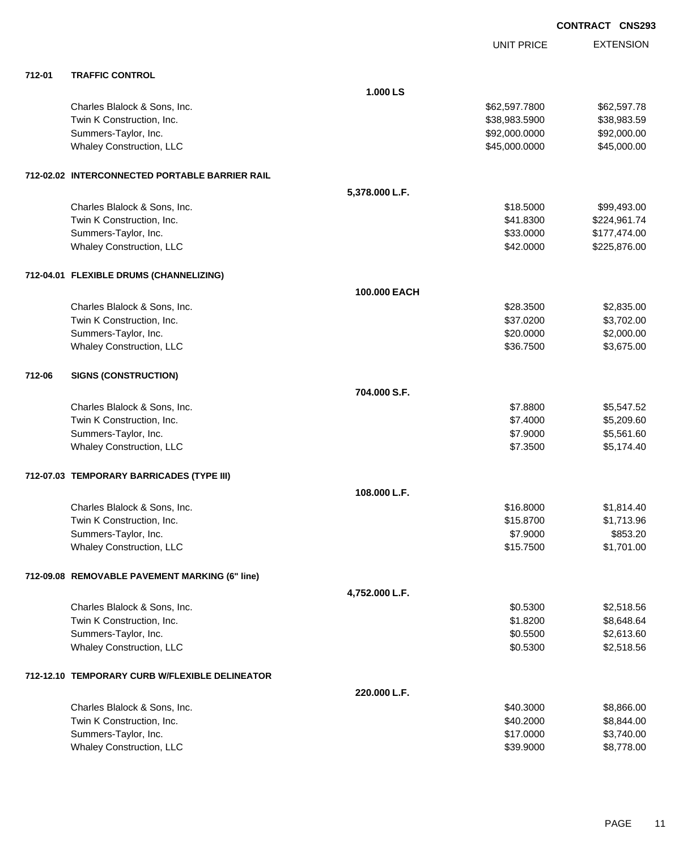| <b>CONTRACT</b> | <b>CNS293</b> |
|-----------------|---------------|
|-----------------|---------------|

|        |                                                |                | <b>UNIT PRICE</b> | <b>EXTENSION</b> |
|--------|------------------------------------------------|----------------|-------------------|------------------|
| 712-01 | <b>TRAFFIC CONTROL</b>                         |                |                   |                  |
|        |                                                | 1.000 LS       |                   |                  |
|        |                                                |                |                   |                  |
|        | Charles Blalock & Sons, Inc.                   |                | \$62,597.7800     | \$62,597.78      |
|        | Twin K Construction, Inc.                      |                | \$38,983.5900     | \$38,983.59      |
|        | Summers-Taylor, Inc.                           |                | \$92,000.0000     | \$92,000.00      |
|        | Whaley Construction, LLC                       |                | \$45,000.0000     | \$45,000.00      |
|        | 712-02.02 INTERCONNECTED PORTABLE BARRIER RAIL |                |                   |                  |
|        |                                                | 5,378.000 L.F. |                   |                  |
|        | Charles Blalock & Sons, Inc.                   |                | \$18.5000         | \$99,493.00      |
|        | Twin K Construction, Inc.                      |                | \$41.8300         | \$224,961.74     |
|        | Summers-Taylor, Inc.                           |                | \$33.0000         | \$177,474.00     |
|        | Whaley Construction, LLC                       |                | \$42.0000         | \$225,876.00     |
|        | 712-04.01 FLEXIBLE DRUMS (CHANNELIZING)        |                |                   |                  |
|        |                                                | 100.000 EACH   |                   |                  |
|        | Charles Blalock & Sons, Inc.                   |                | \$28.3500         | \$2,835.00       |
|        | Twin K Construction, Inc.                      |                | \$37.0200         | \$3,702.00       |
|        | Summers-Taylor, Inc.                           |                | \$20.0000         | \$2,000.00       |
|        | <b>Whaley Construction, LLC</b>                |                | \$36.7500         | \$3,675.00       |
|        |                                                |                |                   |                  |
| 712-06 | <b>SIGNS (CONSTRUCTION)</b>                    |                |                   |                  |
|        |                                                | 704.000 S.F.   |                   |                  |
|        | Charles Blalock & Sons, Inc.                   |                | \$7.8800          | \$5,547.52       |
|        | Twin K Construction, Inc.                      |                | \$7.4000          | \$5,209.60       |
|        | Summers-Taylor, Inc.                           |                | \$7.9000          | \$5,561.60       |
|        | Whaley Construction, LLC                       |                | \$7.3500          | \$5,174.40       |
|        | 712-07.03 TEMPORARY BARRICADES (TYPE III)      |                |                   |                  |
|        |                                                | 108.000 L.F.   |                   |                  |
|        | Charles Blalock & Sons, Inc.                   |                | \$16.8000         | \$1,814.40       |
|        | Twin K Construction, Inc.                      |                | \$15.8700         | \$1,713.96       |
|        | Summers-Taylor, Inc.                           |                | \$7.9000          | \$853.20         |
|        | Whaley Construction, LLC                       |                | \$15.7500         | \$1,701.00       |
|        |                                                |                |                   |                  |
|        | 712-09.08 REMOVABLE PAVEMENT MARKING (6" line) |                |                   |                  |
|        |                                                | 4,752.000 L.F. |                   |                  |
|        | Charles Blalock & Sons, Inc.                   |                | \$0.5300          | \$2,518.56       |
|        | Twin K Construction, Inc.                      |                | \$1.8200          | \$8,648.64       |
|        | Summers-Taylor, Inc.                           |                | \$0.5500          | \$2,613.60       |
|        | Whaley Construction, LLC                       |                | \$0.5300          | \$2,518.56       |
|        | 712-12.10 TEMPORARY CURB W/FLEXIBLE DELINEATOR |                |                   |                  |
|        |                                                | 220.000 L.F.   |                   |                  |
|        | Charles Blalock & Sons, Inc.                   |                | \$40.3000         | \$8,866.00       |
|        | Twin K Construction, Inc.                      |                | \$40.2000         | \$8,844.00       |
|        | Summers-Taylor, Inc.                           |                | \$17.0000         | \$3,740.00       |
|        | Whaley Construction, LLC                       |                | \$39.9000         | \$8,778.00       |
|        |                                                |                |                   |                  |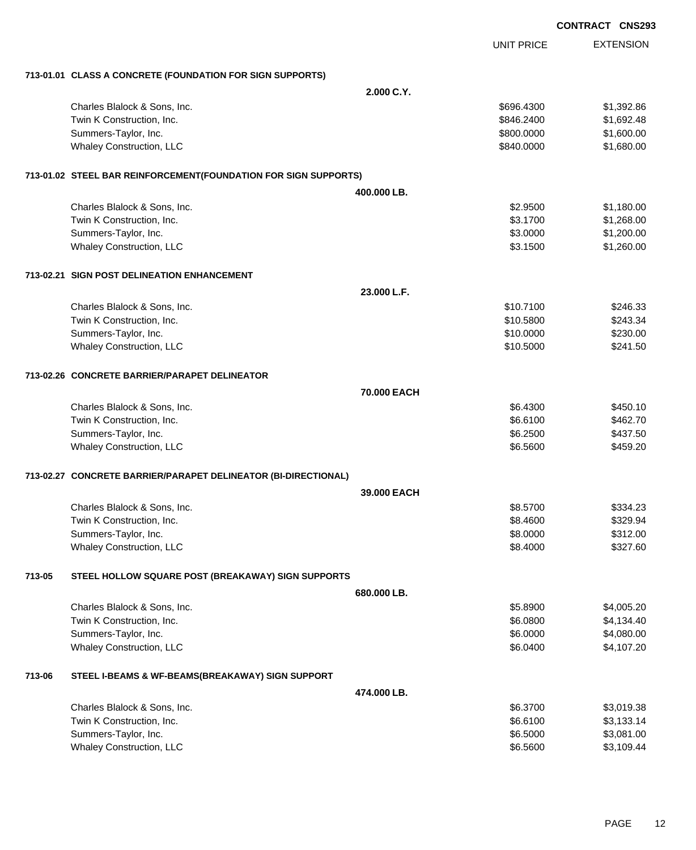|        |                                                                 |                    |                   | <b>CONTRACT CNS293</b> |
|--------|-----------------------------------------------------------------|--------------------|-------------------|------------------------|
|        |                                                                 |                    | <b>UNIT PRICE</b> | <b>EXTENSION</b>       |
|        | 713-01.01 CLASS A CONCRETE (FOUNDATION FOR SIGN SUPPORTS)       |                    |                   |                        |
|        |                                                                 | 2.000 C.Y.         |                   |                        |
|        | Charles Blalock & Sons, Inc.                                    |                    | \$696.4300        | \$1,392.86             |
|        | Twin K Construction, Inc.                                       |                    | \$846.2400        | \$1,692.48             |
|        | Summers-Taylor, Inc.                                            |                    | \$800.0000        | \$1,600.00             |
|        | <b>Whaley Construction, LLC</b>                                 |                    | \$840.0000        | \$1,680.00             |
|        | 713-01.02 STEEL BAR REINFORCEMENT(FOUNDATION FOR SIGN SUPPORTS) |                    |                   |                        |
|        |                                                                 | 400.000 LB.        |                   |                        |
|        | Charles Blalock & Sons, Inc.                                    |                    | \$2.9500          | \$1,180.00             |
|        | Twin K Construction, Inc.                                       |                    | \$3.1700          | \$1,268.00             |
|        | Summers-Taylor, Inc.                                            |                    | \$3.0000          | \$1,200.00             |
|        | Whaley Construction, LLC                                        |                    | \$3.1500          | \$1,260.00             |
|        | 713-02.21 SIGN POST DELINEATION ENHANCEMENT                     |                    |                   |                        |
|        |                                                                 | 23.000 L.F.        |                   |                        |
|        | Charles Blalock & Sons, Inc.                                    |                    | \$10.7100         | \$246.33               |
|        | Twin K Construction, Inc.                                       |                    | \$10.5800         | \$243.34               |
|        | Summers-Taylor, Inc.                                            |                    | \$10.0000         | \$230.00               |
|        | Whaley Construction, LLC                                        |                    | \$10.5000         | \$241.50               |
|        | 713-02.26 CONCRETE BARRIER/PARAPET DELINEATOR                   |                    |                   |                        |
|        |                                                                 | 70,000 EACH        |                   |                        |
|        | Charles Blalock & Sons, Inc.                                    |                    | \$6.4300          | \$450.10               |
|        | Twin K Construction, Inc.                                       |                    | \$6.6100          | \$462.70               |
|        | Summers-Taylor, Inc.                                            |                    | \$6.2500          | \$437.50               |
|        | Whaley Construction, LLC                                        |                    | \$6.5600          | \$459.20               |
|        | 713-02.27 CONCRETE BARRIER/PARAPET DELINEATOR (BI-DIRECTIONAL)  |                    |                   |                        |
|        |                                                                 | <b>39.000 EACH</b> |                   |                        |
|        | Charles Blalock & Sons, Inc.                                    |                    | \$8.5700          | \$334.23               |
|        | Twin K Construction, Inc.                                       |                    | \$8.4600          | \$329.94               |
|        | Summers-Taylor, Inc.                                            |                    | \$8.0000          | \$312.00               |
|        | Whaley Construction, LLC                                        |                    | \$8.4000          | \$327.60               |
| 713-05 | STEEL HOLLOW SQUARE POST (BREAKAWAY) SIGN SUPPORTS              |                    |                   |                        |
|        |                                                                 | 680.000 LB.        |                   |                        |
|        | Charles Blalock & Sons, Inc.                                    |                    | \$5.8900          | \$4,005.20             |
|        | Twin K Construction, Inc.                                       |                    | \$6.0800          | \$4,134.40             |
|        | Summers-Taylor, Inc.                                            |                    | \$6.0000          | \$4,080.00             |
|        | Whaley Construction, LLC                                        |                    | \$6.0400          | \$4,107.20             |
| 713-06 | STEEL I-BEAMS & WF-BEAMS(BREAKAWAY) SIGN SUPPORT                |                    |                   |                        |
|        |                                                                 | 474.000 LB.        |                   |                        |
|        | Charles Blalock & Sons, Inc.                                    |                    | \$6.3700          | \$3,019.38             |
|        | Twin K Construction, Inc.                                       |                    | \$6.6100          | \$3,133.14             |
|        | Summers-Taylor, Inc.                                            |                    | \$6.5000          | \$3,081.00             |
|        | Whaley Construction, LLC                                        |                    | \$6.5600          | \$3,109.44             |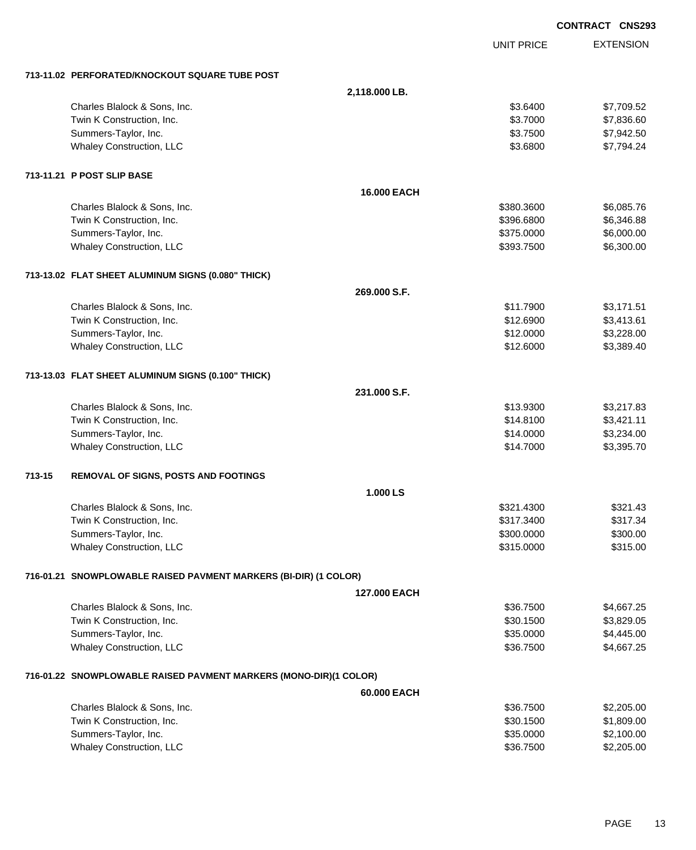|        |                                                                   |                    |                   | <b>CONTRACT CNS293</b> |
|--------|-------------------------------------------------------------------|--------------------|-------------------|------------------------|
|        |                                                                   |                    | <b>UNIT PRICE</b> | <b>EXTENSION</b>       |
|        | 713-11.02 PERFORATED/KNOCKOUT SQUARE TUBE POST                    |                    |                   |                        |
|        |                                                                   | 2,118.000 LB.      |                   |                        |
|        | Charles Blalock & Sons, Inc.                                      |                    | \$3.6400          | \$7,709.52             |
|        | Twin K Construction, Inc.                                         |                    | \$3.7000          | \$7,836.60             |
|        | Summers-Taylor, Inc.                                              |                    | \$3.7500          | \$7,942.50             |
|        | Whaley Construction, LLC                                          |                    | \$3.6800          | \$7,794.24             |
|        | 713-11.21 P POST SLIP BASE                                        |                    |                   |                        |
|        |                                                                   | <b>16,000 EACH</b> |                   |                        |
|        | Charles Blalock & Sons, Inc.                                      |                    | \$380.3600        | \$6,085.76             |
|        | Twin K Construction, Inc.                                         |                    | \$396.6800        | \$6,346.88             |
|        | Summers-Taylor, Inc.                                              |                    | \$375.0000        | \$6,000.00             |
|        | Whaley Construction, LLC                                          |                    | \$393.7500        | \$6,300.00             |
|        | 713-13.02 FLAT SHEET ALUMINUM SIGNS (0.080" THICK)                |                    |                   |                        |
|        |                                                                   | 269.000 S.F.       |                   |                        |
|        | Charles Blalock & Sons, Inc.                                      |                    | \$11.7900         | \$3,171.51             |
|        | Twin K Construction, Inc.                                         |                    | \$12.6900         | \$3,413.61             |
|        | Summers-Taylor, Inc.                                              |                    | \$12.0000         | \$3,228.00             |
|        | Whaley Construction, LLC                                          |                    | \$12.6000         | \$3,389.40             |
|        | 713-13.03 FLAT SHEET ALUMINUM SIGNS (0.100" THICK)                |                    |                   |                        |
|        |                                                                   | 231.000 S.F.       |                   |                        |
|        | Charles Blalock & Sons, Inc.                                      |                    | \$13.9300         | \$3,217.83             |
|        | Twin K Construction, Inc.                                         |                    | \$14.8100         | \$3,421.11             |
|        | Summers-Taylor, Inc.                                              |                    | \$14.0000         | \$3,234.00             |
|        | Whaley Construction, LLC                                          |                    | \$14.7000         | \$3,395.70             |
| 713-15 | REMOVAL OF SIGNS, POSTS AND FOOTINGS                              |                    |                   |                        |
|        |                                                                   | 1.000 LS           |                   |                        |
|        | Charles Blalock & Sons, Inc.                                      |                    | \$321.4300        | \$321.43               |
|        | Twin K Construction, Inc.                                         |                    | \$317.3400        | \$317.34               |
|        | Summers-Taylor, Inc.                                              |                    | \$300.0000        | \$300.00               |
|        | Whaley Construction, LLC                                          |                    | \$315.0000        | \$315.00               |
|        | 716-01.21 SNOWPLOWABLE RAISED PAVMENT MARKERS (BI-DIR) (1 COLOR)  |                    |                   |                        |
|        |                                                                   | 127,000 EACH       |                   |                        |
|        | Charles Blalock & Sons, Inc.                                      |                    | \$36.7500         | \$4,667.25             |
|        | Twin K Construction, Inc.                                         |                    | \$30.1500         | \$3,829.05             |
|        | Summers-Taylor, Inc.                                              |                    | \$35.0000         | \$4,445.00             |
|        | Whaley Construction, LLC                                          |                    | \$36.7500         | \$4,667.25             |
|        | 716-01.22 SNOWPLOWABLE RAISED PAVMENT MARKERS (MONO-DIR)(1 COLOR) |                    |                   |                        |
|        |                                                                   | 60.000 EACH        |                   |                        |
|        | Charles Blalock & Sons, Inc.                                      |                    | \$36.7500         | \$2,205.00             |
|        | Twin K Construction, Inc.                                         |                    | \$30.1500         | \$1,809.00             |
|        | Summers-Taylor, Inc.                                              |                    | \$35.0000         | \$2,100.00             |
|        | Whaley Construction, LLC                                          |                    | \$36.7500         | \$2,205.00             |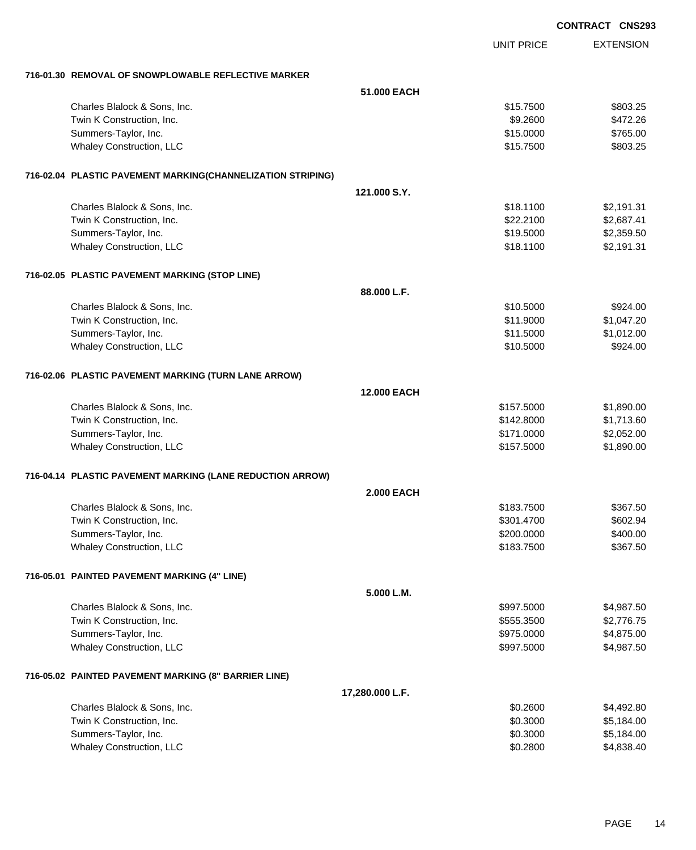|                                                             |                    |                   | <b>CONTRACT CNS293</b> |
|-------------------------------------------------------------|--------------------|-------------------|------------------------|
|                                                             |                    | <b>UNIT PRICE</b> | <b>EXTENSION</b>       |
| 716-01.30 REMOVAL OF SNOWPLOWABLE REFLECTIVE MARKER         |                    |                   |                        |
|                                                             | 51.000 EACH        |                   |                        |
| Charles Blalock & Sons, Inc.                                |                    | \$15.7500         | \$803.25               |
| Twin K Construction, Inc.                                   |                    | \$9.2600          | \$472.26               |
| Summers-Taylor, Inc.                                        |                    | \$15.0000         | \$765.00               |
| Whaley Construction, LLC                                    |                    | \$15.7500         | \$803.25               |
| 716-02.04 PLASTIC PAVEMENT MARKING(CHANNELIZATION STRIPING) |                    |                   |                        |
|                                                             | 121.000 S.Y.       |                   |                        |
| Charles Blalock & Sons, Inc.                                |                    | \$18.1100         | \$2,191.31             |
| Twin K Construction, Inc.                                   |                    | \$22.2100         | \$2,687.41             |
| Summers-Taylor, Inc.                                        |                    | \$19.5000         | \$2,359.50             |
| Whaley Construction, LLC                                    |                    | \$18.1100         | \$2,191.31             |
| 716-02.05 PLASTIC PAVEMENT MARKING (STOP LINE)              |                    |                   |                        |
|                                                             | 88.000 L.F.        |                   |                        |
| Charles Blalock & Sons, Inc.                                |                    | \$10.5000         | \$924.00               |
| Twin K Construction, Inc.                                   |                    | \$11.9000         | \$1,047.20             |
| Summers-Taylor, Inc.                                        |                    | \$11.5000         | \$1,012.00             |
| Whaley Construction, LLC                                    |                    | \$10.5000         | \$924.00               |
| 716-02.06 PLASTIC PAVEMENT MARKING (TURN LANE ARROW)        |                    |                   |                        |
|                                                             | <b>12,000 EACH</b> |                   |                        |
| Charles Blalock & Sons, Inc.                                |                    | \$157.5000        | \$1,890.00             |
| Twin K Construction, Inc.                                   |                    | \$142.8000        | \$1,713.60             |
| Summers-Taylor, Inc.                                        |                    | \$171.0000        | \$2,052.00             |
| Whaley Construction, LLC                                    |                    | \$157.5000        | \$1,890.00             |
| 716-04.14 PLASTIC PAVEMENT MARKING (LANE REDUCTION ARROW)   |                    |                   |                        |
|                                                             | <b>2.000 EACH</b>  |                   |                        |
| Charles Blalock & Sons, Inc.                                |                    | \$183.7500        | \$367.50               |
| Twin K Construction, Inc.                                   |                    | \$301.4700        | \$602.94               |
| Summers-Taylor, Inc.                                        |                    | \$200.0000        | \$400.00               |
| Whaley Construction, LLC                                    |                    | \$183.7500        | \$367.50               |
| 716-05.01 PAINTED PAVEMENT MARKING (4" LINE)                |                    |                   |                        |
|                                                             | 5.000 L.M.         |                   |                        |
| Charles Blalock & Sons, Inc.                                |                    | \$997.5000        | \$4,987.50             |
| Twin K Construction, Inc.                                   |                    | \$555.3500        | \$2,776.75             |
| Summers-Taylor, Inc.                                        |                    | \$975.0000        | \$4,875.00             |
| Whaley Construction, LLC                                    |                    | \$997.5000        | \$4,987.50             |
| 716-05.02 PAINTED PAVEMENT MARKING (8" BARRIER LINE)        |                    |                   |                        |
|                                                             | 17,280.000 L.F.    |                   |                        |
| Charles Blalock & Sons, Inc.                                |                    | \$0.2600          | \$4,492.80             |
| Twin K Construction, Inc.                                   |                    | \$0.3000          | \$5,184.00             |
| Summers-Taylor, Inc.                                        |                    | \$0.3000          | \$5,184.00             |
| Whaley Construction, LLC                                    |                    | \$0.2800          | \$4,838.40             |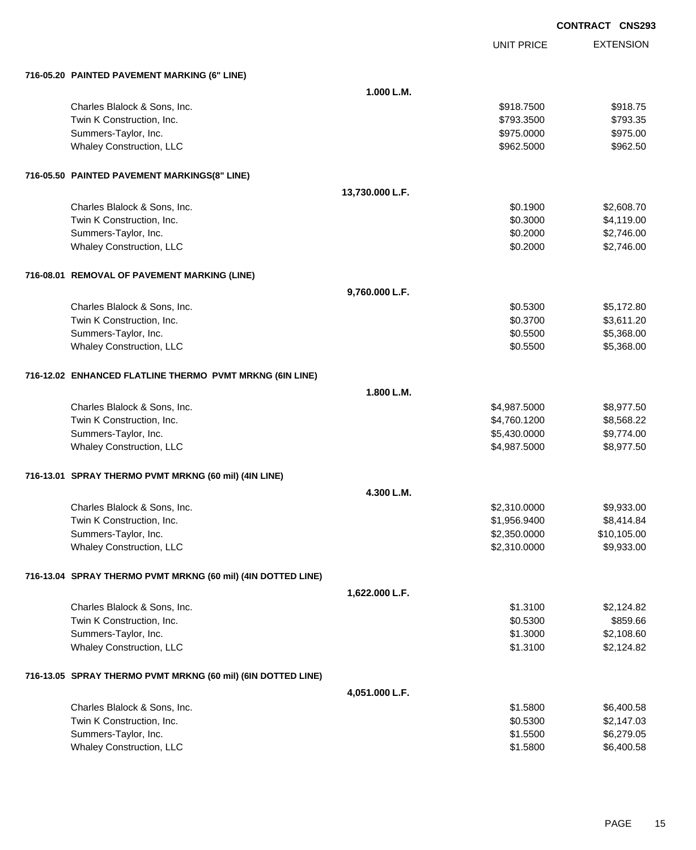|                                                              |                 |                   | <b>CONTRACT CNS293</b> |
|--------------------------------------------------------------|-----------------|-------------------|------------------------|
|                                                              |                 | <b>UNIT PRICE</b> | <b>EXTENSION</b>       |
| 716-05.20 PAINTED PAVEMENT MARKING (6" LINE)                 |                 |                   |                        |
|                                                              | 1.000 L.M.      |                   |                        |
| Charles Blalock & Sons, Inc.                                 |                 | \$918.7500        | \$918.75               |
| Twin K Construction, Inc.                                    |                 | \$793.3500        | \$793.35               |
| Summers-Taylor, Inc.                                         |                 | \$975.0000        | \$975.00               |
| <b>Whaley Construction, LLC</b>                              |                 | \$962.5000        | \$962.50               |
| 716-05.50 PAINTED PAVEMENT MARKINGS(8" LINE)                 |                 |                   |                        |
|                                                              | 13,730.000 L.F. |                   |                        |
| Charles Blalock & Sons, Inc.                                 |                 | \$0.1900          | \$2,608.70             |
| Twin K Construction, Inc.                                    |                 | \$0.3000          | \$4,119.00             |
| Summers-Taylor, Inc.                                         |                 | \$0.2000          | \$2,746.00             |
| <b>Whaley Construction, LLC</b>                              |                 | \$0.2000          | \$2,746.00             |
| 716-08.01 REMOVAL OF PAVEMENT MARKING (LINE)                 |                 |                   |                        |
|                                                              | 9,760.000 L.F.  |                   |                        |
| Charles Blalock & Sons, Inc.                                 |                 | \$0.5300          | \$5,172.80             |
| Twin K Construction, Inc.                                    |                 | \$0.3700          | \$3,611.20             |
| Summers-Taylor, Inc.                                         |                 | \$0.5500          | \$5,368.00             |
| <b>Whaley Construction, LLC</b>                              |                 | \$0.5500          | \$5,368.00             |
| 716-12.02 ENHANCED FLATLINE THERMO PVMT MRKNG (6IN LINE)     |                 |                   |                        |
|                                                              | 1.800 L.M.      |                   |                        |
| Charles Blalock & Sons, Inc.                                 |                 | \$4,987.5000      | \$8,977.50             |
| Twin K Construction, Inc.                                    |                 | \$4,760.1200      | \$8,568.22             |
| Summers-Taylor, Inc.                                         |                 | \$5,430.0000      | \$9,774.00             |
| <b>Whaley Construction, LLC</b>                              |                 | \$4,987.5000      | \$8,977.50             |
| 716-13.01 SPRAY THERMO PVMT MRKNG (60 mil) (4IN LINE)        |                 |                   |                        |
|                                                              | 4.300 L.M.      |                   |                        |
| Charles Blalock & Sons, Inc.                                 |                 | \$2,310.0000      | \$9,933.00             |
| Twin K Construction, Inc.                                    |                 | \$1,956.9400      | \$8,414.84             |
| Summers-Taylor, Inc.                                         |                 | \$2,350.0000      | \$10,105.00            |
| Whaley Construction, LLC                                     |                 | \$2,310.0000      | \$9,933.00             |
| 716-13.04 SPRAY THERMO PVMT MRKNG (60 mil) (4IN DOTTED LINE) |                 |                   |                        |
|                                                              | 1,622.000 L.F.  |                   |                        |
| Charles Blalock & Sons, Inc.                                 |                 | \$1.3100          | \$2,124.82             |
| Twin K Construction, Inc.                                    |                 | \$0.5300          | \$859.66               |
| Summers-Taylor, Inc.                                         |                 | \$1.3000          | \$2,108.60             |
| Whaley Construction, LLC                                     |                 | \$1.3100          | \$2,124.82             |
| 716-13.05 SPRAY THERMO PVMT MRKNG (60 mil) (6IN DOTTED LINE) |                 |                   |                        |
|                                                              | 4,051.000 L.F.  |                   |                        |
| Charles Blalock & Sons, Inc.                                 |                 | \$1.5800          | \$6,400.58             |
| Twin K Construction, Inc.                                    |                 | \$0.5300          | \$2,147.03             |
| Summers-Taylor, Inc.                                         |                 | \$1.5500          | \$6,279.05             |
| Whaley Construction, LLC                                     |                 | \$1.5800          | \$6,400.58             |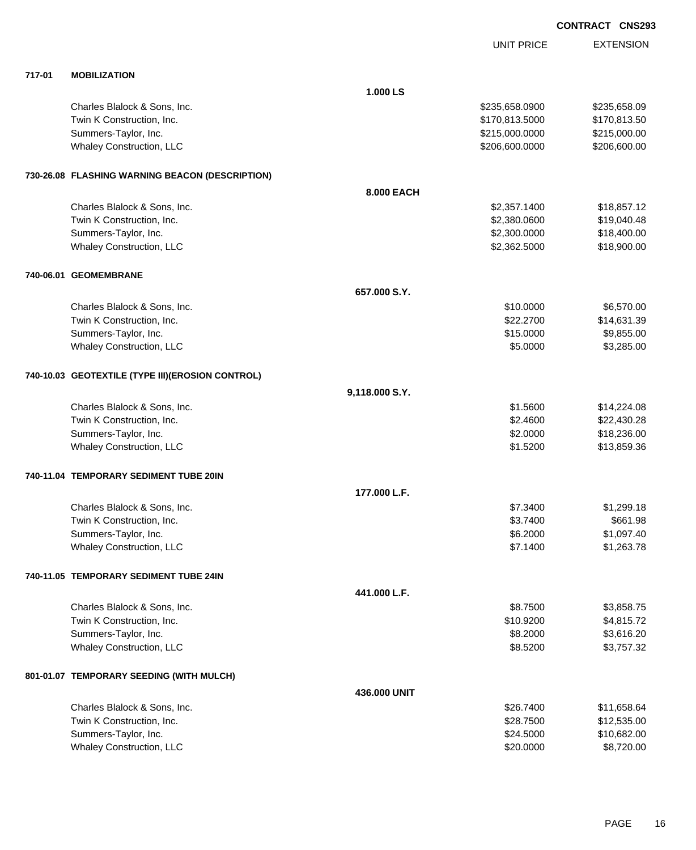|        |                                                   |                |                   | <b>CONTRACT CNS293</b> |
|--------|---------------------------------------------------|----------------|-------------------|------------------------|
|        |                                                   |                | <b>UNIT PRICE</b> | <b>EXTENSION</b>       |
| 717-01 | <b>MOBILIZATION</b>                               |                |                   |                        |
|        |                                                   | 1.000 LS       |                   |                        |
|        | Charles Blalock & Sons, Inc.                      |                | \$235,658.0900    | \$235,658.09           |
|        | Twin K Construction, Inc.                         |                | \$170,813.5000    | \$170,813.50           |
|        | Summers-Taylor, Inc.                              |                | \$215,000.0000    | \$215,000.00           |
|        | Whaley Construction, LLC                          |                | \$206,600.0000    | \$206,600.00           |
|        | 730-26.08 FLASHING WARNING BEACON (DESCRIPTION)   |                |                   |                        |
|        |                                                   | 8.000 EACH     |                   |                        |
|        | Charles Blalock & Sons, Inc.                      |                | \$2,357.1400      | \$18,857.12            |
|        | Twin K Construction, Inc.                         |                | \$2,380.0600      | \$19,040.48            |
|        | Summers-Taylor, Inc.                              |                | \$2,300.0000      | \$18,400.00            |
|        | Whaley Construction, LLC                          |                | \$2,362.5000      | \$18,900.00            |
|        | 740-06.01 GEOMEMBRANE                             |                |                   |                        |
|        |                                                   | 657.000 S.Y.   |                   |                        |
|        | Charles Blalock & Sons, Inc.                      |                | \$10.0000         | \$6,570.00             |
|        | Twin K Construction, Inc.                         |                | \$22.2700         | \$14,631.39            |
|        | Summers-Taylor, Inc.                              |                | \$15.0000         | \$9,855.00             |
|        | Whaley Construction, LLC                          |                | \$5.0000          | \$3,285.00             |
|        | 740-10.03 GEOTEXTILE (TYPE III) (EROSION CONTROL) |                |                   |                        |
|        |                                                   | 9,118.000 S.Y. |                   |                        |
|        | Charles Blalock & Sons, Inc.                      |                | \$1.5600          | \$14,224.08            |
|        | Twin K Construction, Inc.                         |                | \$2.4600          | \$22,430.28            |
|        | Summers-Taylor, Inc.                              |                | \$2.0000          | \$18,236.00            |
|        | Whaley Construction, LLC                          |                | \$1.5200          | \$13,859.36            |
|        | 740-11.04 TEMPORARY SEDIMENT TUBE 20IN            |                |                   |                        |
|        |                                                   | 177.000 L.F.   |                   |                        |
|        | Charles Blalock & Sons, Inc.                      |                | \$7.3400          | \$1,299.18             |
|        | Twin K Construction, Inc.                         |                | \$3.7400          | \$661.98               |
|        | Summers-Taylor, Inc.                              |                | \$6.2000          | \$1,097.40             |
|        | Whaley Construction, LLC                          |                | \$7.1400          | \$1,263.78             |
|        | 740-11.05 TEMPORARY SEDIMENT TUBE 24IN            |                |                   |                        |
|        |                                                   | 441.000 L.F.   |                   |                        |
|        | Charles Blalock & Sons, Inc.                      |                | \$8.7500          | \$3,858.75             |
|        | Twin K Construction, Inc.                         |                | \$10.9200         | \$4,815.72             |
|        | Summers-Taylor, Inc.                              |                | \$8.2000          | \$3,616.20             |
|        | Whaley Construction, LLC                          |                | \$8.5200          | \$3,757.32             |
|        | 801-01.07 TEMPORARY SEEDING (WITH MULCH)          |                |                   |                        |
|        |                                                   | 436.000 UNIT   |                   |                        |
|        | Charles Blalock & Sons, Inc.                      |                | \$26.7400         | \$11,658.64            |
|        | Twin K Construction Inc.                          |                | \$28,7500         | \$1253500              |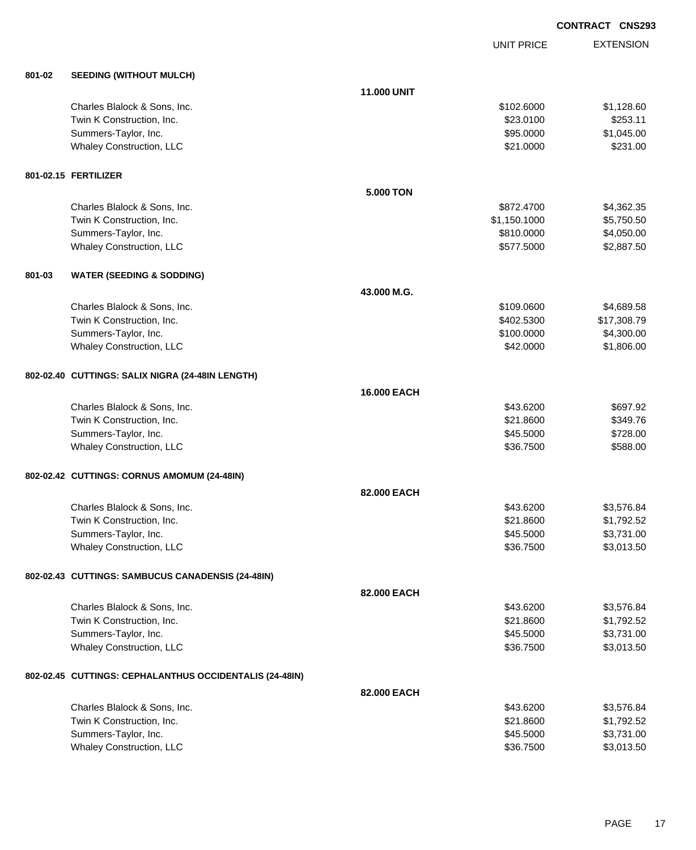UNIT PRICE EXTENSION

| 801-02 | <b>SEEDING (WITHOUT MULCH)</b>                          |                    |              |             |
|--------|---------------------------------------------------------|--------------------|--------------|-------------|
|        |                                                         | <b>11.000 UNIT</b> |              |             |
|        | Charles Blalock & Sons, Inc.                            |                    | \$102.6000   | \$1,128.60  |
|        | Twin K Construction, Inc.                               |                    | \$23.0100    | \$253.11    |
|        | Summers-Taylor, Inc.                                    |                    | \$95.0000    | \$1,045.00  |
|        | <b>Whaley Construction, LLC</b>                         |                    | \$21.0000    | \$231.00    |
|        | 801-02.15 FERTILIZER                                    |                    |              |             |
|        |                                                         | <b>5.000 TON</b>   |              |             |
|        | Charles Blalock & Sons, Inc.                            |                    | \$872.4700   | \$4,362.35  |
|        | Twin K Construction, Inc.                               |                    | \$1,150.1000 | \$5,750.50  |
|        | Summers-Taylor, Inc.                                    |                    | \$810.0000   | \$4,050.00  |
|        | <b>Whaley Construction, LLC</b>                         |                    | \$577.5000   | \$2,887.50  |
| 801-03 | <b>WATER (SEEDING &amp; SODDING)</b>                    |                    |              |             |
|        |                                                         | 43.000 M.G.        |              |             |
|        | Charles Blalock & Sons, Inc.                            |                    | \$109.0600   | \$4,689.58  |
|        | Twin K Construction, Inc.                               |                    | \$402.5300   | \$17,308.79 |
|        | Summers-Taylor, Inc.                                    |                    | \$100.0000   | \$4,300.00  |
|        | <b>Whaley Construction, LLC</b>                         |                    | \$42.0000    | \$1,806.00  |
|        | 802-02.40 CUTTINGS: SALIX NIGRA (24-48IN LENGTH)        |                    |              |             |
|        |                                                         | 16.000 EACH        |              |             |
|        | Charles Blalock & Sons, Inc.                            |                    | \$43.6200    | \$697.92    |
|        | Twin K Construction, Inc.                               |                    | \$21.8600    | \$349.76    |
|        | Summers-Taylor, Inc.                                    |                    | \$45.5000    | \$728.00    |
|        | <b>Whaley Construction, LLC</b>                         |                    | \$36.7500    | \$588.00    |
|        | 802-02.42 CUTTINGS: CORNUS AMOMUM (24-48IN)             |                    |              |             |
|        |                                                         | 82.000 EACH        |              |             |
|        | Charles Blalock & Sons, Inc.                            |                    | \$43.6200    | \$3,576.84  |
|        | Twin K Construction, Inc.                               |                    | \$21.8600    | \$1,792.52  |
|        | Summers-Taylor, Inc.                                    |                    | \$45.5000    | \$3,731.00  |
|        | <b>Whaley Construction, LLC</b>                         |                    | \$36.7500    | \$3,013.50  |
|        | 802-02.43 CUTTINGS: SAMBUCUS CANADENSIS (24-48IN)       |                    |              |             |
|        |                                                         | 82.000 EACH        |              |             |
|        | Charles Blalock & Sons, Inc.                            |                    | \$43.6200    | \$3,576.84  |
|        | Twin K Construction, Inc.                               |                    | \$21.8600    | \$1,792.52  |
|        | Summers-Taylor, Inc.                                    |                    | \$45.5000    | \$3,731.00  |
|        | Whaley Construction, LLC                                |                    | \$36.7500    | \$3,013.50  |
|        | 802-02.45 CUTTINGS: CEPHALANTHUS OCCIDENTALIS (24-48IN) |                    |              |             |
|        |                                                         | 82,000 EACH        |              |             |
|        | Charles Blalock & Sons, Inc.                            |                    | \$43.6200    | \$3,576.84  |
|        | Twin K Construction, Inc.                               |                    | \$21.8600    | \$1,792.52  |
|        | Summers-Taylor, Inc.                                    |                    | \$45.5000    | \$3,731.00  |
|        | <b>Whaley Construction, LLC</b>                         |                    | \$36.7500    | \$3,013.50  |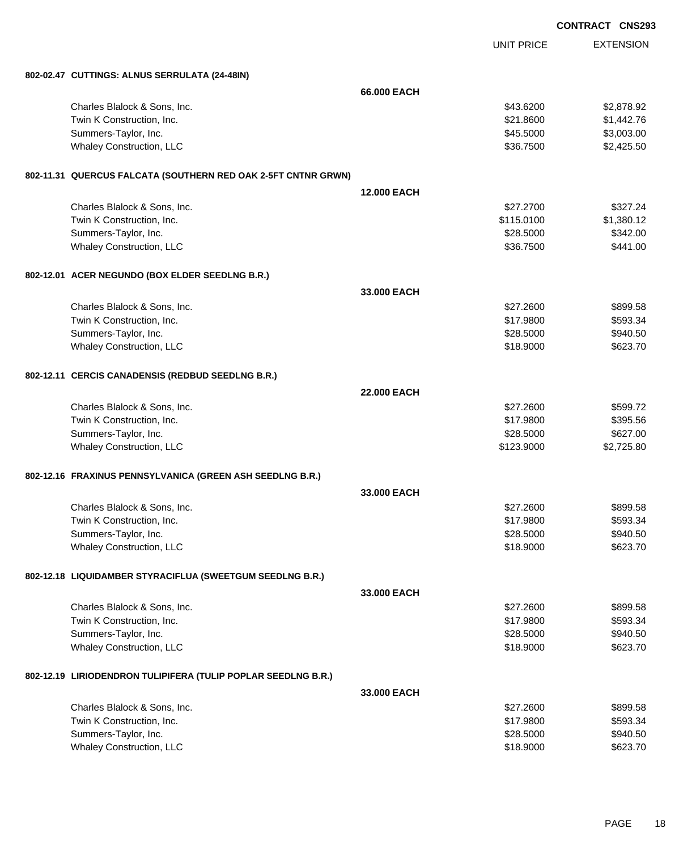|                                                               |                    | <b>CONTRACT CNS293</b> |
|---------------------------------------------------------------|--------------------|------------------------|
|                                                               | <b>UNIT PRICE</b>  | <b>EXTENSION</b>       |
| 802-02.47 CUTTINGS: ALNUS SERRULATA (24-48IN)                 |                    |                        |
|                                                               | 66,000 EACH        |                        |
| Charles Blalock & Sons, Inc.                                  | \$43.6200          | \$2,878.92             |
| Twin K Construction, Inc.                                     | \$21.8600          | \$1,442.76             |
| Summers-Taylor, Inc.                                          | \$45.5000          | \$3,003.00             |
| Whaley Construction, LLC                                      | \$36.7500          | \$2,425.50             |
| 802-11.31 QUERCUS FALCATA (SOUTHERN RED OAK 2-5FT CNTNR GRWN) |                    |                        |
|                                                               | <b>12.000 EACH</b> |                        |
| Charles Blalock & Sons, Inc.                                  | \$27.2700          | \$327.24               |
| Twin K Construction, Inc.                                     | \$115.0100         | \$1,380.12             |
| Summers-Taylor, Inc.                                          | \$28,5000          | \$342.00               |
| Whaley Construction, LLC                                      | \$36.7500          | \$441.00               |
| 802-12.01 ACER NEGUNDO (BOX ELDER SEEDLNG B.R.)               |                    |                        |
|                                                               | 33.000 EACH        |                        |
| Charles Blalock & Sons, Inc.                                  | \$27.2600          | \$899.58               |
| Twin K Construction, Inc.                                     | \$17.9800          | \$593.34               |
| Summers-Taylor, Inc.                                          | \$28.5000          | \$940.50               |
| Whaley Construction, LLC                                      | \$18.9000          | \$623.70               |
| 802-12.11 CERCIS CANADENSIS (REDBUD SEEDLNG B.R.)             |                    |                        |
|                                                               | <b>22.000 EACH</b> |                        |
| Charles Blalock & Sons, Inc.                                  | \$27.2600          | \$599.72               |
| Twin K Construction, Inc.                                     | \$17.9800          | \$395.56               |
| Summers-Taylor, Inc.                                          | \$28.5000          | \$627.00               |
| Whaley Construction, LLC                                      | \$123.9000         | \$2,725.80             |
| 802-12.16 FRAXINUS PENNSYLVANICA (GREEN ASH SEEDLNG B.R.)     |                    |                        |
|                                                               | 33.000 EACH        |                        |
| Charles Blalock & Sons, Inc.                                  | \$27.2600          | \$899.58               |
| Twin K Construction, Inc.                                     | \$17.9800          | \$593.34               |
| Summers-Taylor, Inc.                                          | \$28.5000          | \$940.50               |
| Whaley Construction, LLC                                      | \$18.9000          | \$623.70               |
| 802-12.18 LIQUIDAMBER STYRACIFLUA (SWEETGUM SEEDLNG B.R.)     |                    |                        |
|                                                               | 33.000 EACH        |                        |
| Charles Blalock & Sons, Inc.                                  | \$27.2600          | \$899.58               |
| Twin K Construction, Inc.                                     | \$17.9800          | \$593.34               |
| Summers-Taylor, Inc.                                          | \$28.5000          | \$940.50               |
| Whaley Construction, LLC                                      | \$18.9000          | \$623.70               |
| 802-12.19 LIRIODENDRON TULIPIFERA (TULIP POPLAR SEEDLNG B.R.) |                    |                        |
|                                                               | 33.000 EACH        |                        |
| Charles Blalock & Sons, Inc.                                  | \$27.2600          | \$899.58               |
| Twin K Construction, Inc.                                     | \$17.9800          | \$593.34               |
| Summers-Taylor, Inc.                                          | \$28.5000          | \$940.50               |
| Whaley Construction, LLC                                      | \$18.9000          | \$623.70               |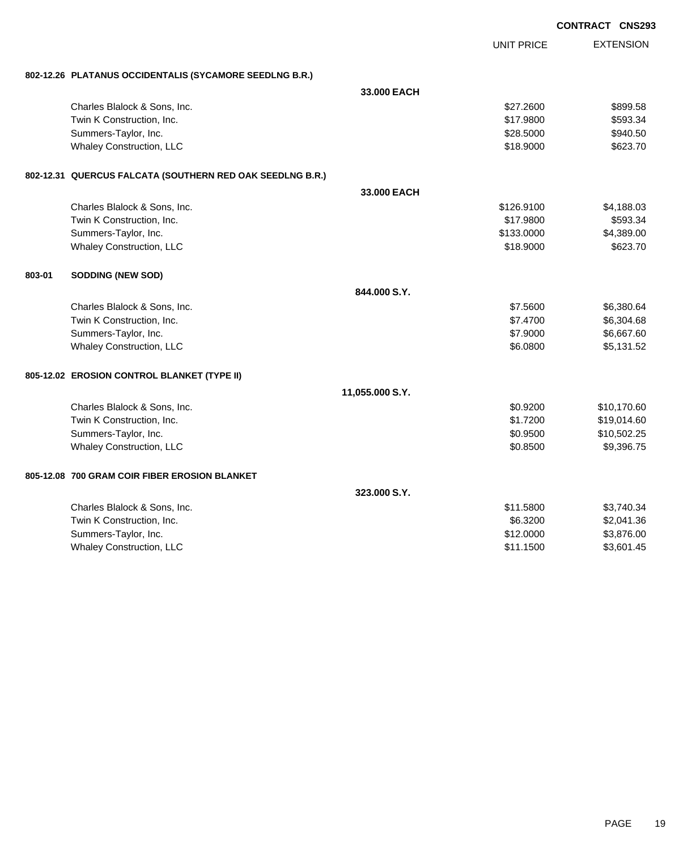|        |                                                           |                 |                   | <b>CONTRACT CNS293</b> |
|--------|-----------------------------------------------------------|-----------------|-------------------|------------------------|
|        |                                                           |                 | <b>UNIT PRICE</b> | <b>EXTENSION</b>       |
|        | 802-12.26 PLATANUS OCCIDENTALIS (SYCAMORE SEEDLNG B.R.)   |                 |                   |                        |
|        |                                                           | 33,000 EACH     |                   |                        |
|        | Charles Blalock & Sons, Inc.                              |                 | \$27,2600         | \$899.58               |
|        | Twin K Construction, Inc.                                 |                 | \$17.9800         | \$593.34               |
|        | Summers-Taylor, Inc.                                      |                 | \$28.5000         | \$940.50               |
|        | <b>Whaley Construction, LLC</b>                           |                 | \$18.9000         | \$623.70               |
|        | 802-12.31 QUERCUS FALCATA (SOUTHERN RED OAK SEEDLNG B.R.) |                 |                   |                        |
|        |                                                           | 33,000 EACH     |                   |                        |
|        | Charles Blalock & Sons, Inc.                              |                 | \$126.9100        | \$4,188.03             |
|        | Twin K Construction, Inc.                                 |                 | \$17.9800         | \$593.34               |
|        | Summers-Taylor, Inc.                                      |                 | \$133.0000        | \$4,389.00             |
|        | <b>Whaley Construction, LLC</b>                           |                 | \$18.9000         | \$623.70               |
| 803-01 | <b>SODDING (NEW SOD)</b>                                  |                 |                   |                        |
|        |                                                           | 844.000 S.Y.    |                   |                        |
|        | Charles Blalock & Sons, Inc.                              |                 | \$7.5600          | \$6,380.64             |
|        | Twin K Construction, Inc.                                 |                 | \$7.4700          | \$6,304.68             |
|        | Summers-Taylor, Inc.                                      |                 | \$7.9000          | \$6,667.60             |
|        | Whaley Construction, LLC                                  |                 | \$6.0800          | \$5,131.52             |
|        | 805-12.02 EROSION CONTROL BLANKET (TYPE II)               |                 |                   |                        |
|        |                                                           | 11,055.000 S.Y. |                   |                        |
|        | Charles Blalock & Sons, Inc.                              |                 | \$0.9200          | \$10,170.60            |
|        | Twin K Construction, Inc.                                 |                 | \$1.7200          | \$19,014.60            |
|        | Summers-Taylor, Inc.                                      |                 | \$0.9500          | \$10,502.25            |
|        | Whaley Construction, LLC                                  |                 | \$0.8500          | \$9,396.75             |
|        | 805-12.08 700 GRAM COIR FIBER EROSION BLANKET             |                 |                   |                        |
|        |                                                           | 323,000 S.Y.    |                   |                        |
|        | Charles Blalock & Sons, Inc.                              |                 | \$11.5800         | \$3,740.34             |
|        | Twin K Construction, Inc.                                 |                 | \$6.3200          | \$2,041.36             |
|        | Summers-Taylor, Inc.                                      |                 | \$12.0000         | \$3,876.00             |
|        | <b>Whaley Construction, LLC</b>                           |                 | \$11.1500         | \$3,601.45             |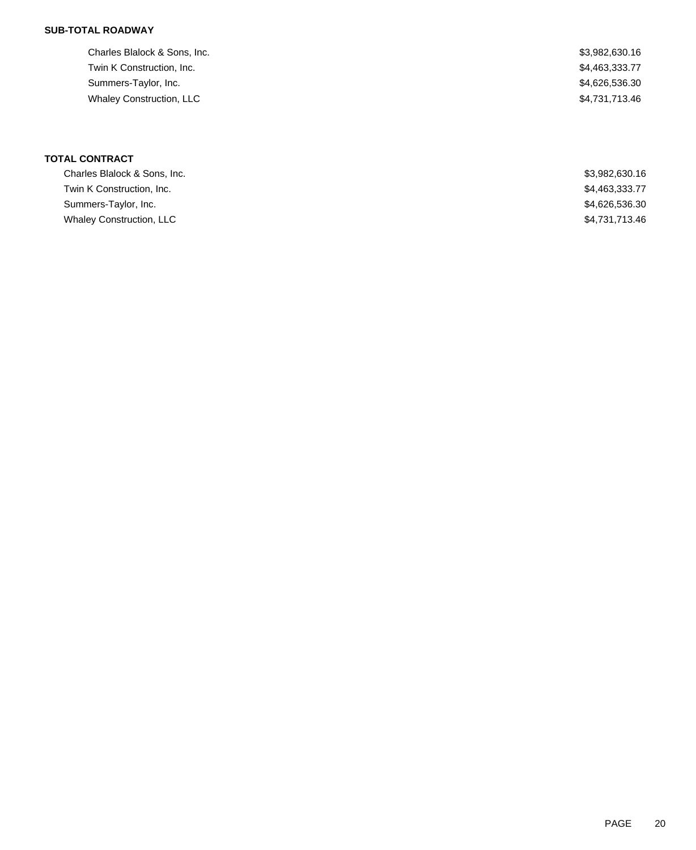## **SUB-TOTAL ROADWAY**

| Charles Blalock & Sons, Inc.    | \$3,982,630.16 |
|---------------------------------|----------------|
| Twin K Construction, Inc.       | \$4,463,333.77 |
| Summers-Taylor, Inc.            | \$4,626,536.30 |
| <b>Whaley Construction, LLC</b> | \$4,731,713.46 |
|                                 |                |

# **TOTAL CONTRACT**

| Charles Blalock & Sons, Inc.    | \$3,982,630,16 |
|---------------------------------|----------------|
| Twin K Construction, Inc.       | \$4,463,333.77 |
| Summers-Taylor, Inc.            | \$4,626,536.30 |
| <b>Whaley Construction, LLC</b> | \$4,731,713.46 |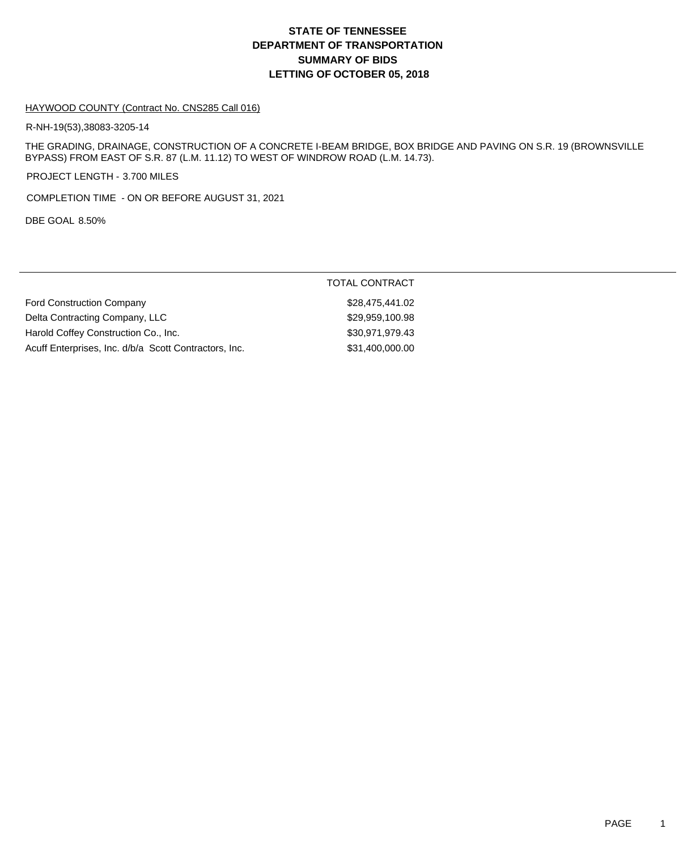# **DEPARTMENT OF TRANSPORTATION SUMMARY OF BIDS LETTING OF OCTOBER 05, 2018 STATE OF TENNESSEE**

### HAYWOOD COUNTY (Contract No. CNS285 Call 016)

R-NH-19(53),38083-3205-14

THE GRADING, DRAINAGE, CONSTRUCTION OF A CONCRETE I-BEAM BRIDGE, BOX BRIDGE AND PAVING ON S.R. 19 (BROWNSVILLE BYPASS) FROM EAST OF S.R. 87 (L.M. 11.12) TO WEST OF WINDROW ROAD (L.M. 14.73).

PROJECT LENGTH - 3.700 MILES

COMPLETION TIME - ON OR BEFORE AUGUST 31, 2021

DBE GOAL 8.50%

|                                                       | <b>TOTAL CONTRACT</b> |
|-------------------------------------------------------|-----------------------|
| <b>Ford Construction Company</b>                      | \$28,475,441.02       |
| Delta Contracting Company, LLC                        | \$29,959,100.98       |
| Harold Coffey Construction Co., Inc.                  | \$30,971,979.43       |
| Acuff Enterprises, Inc. d/b/a Scott Contractors, Inc. | \$31,400,000.00       |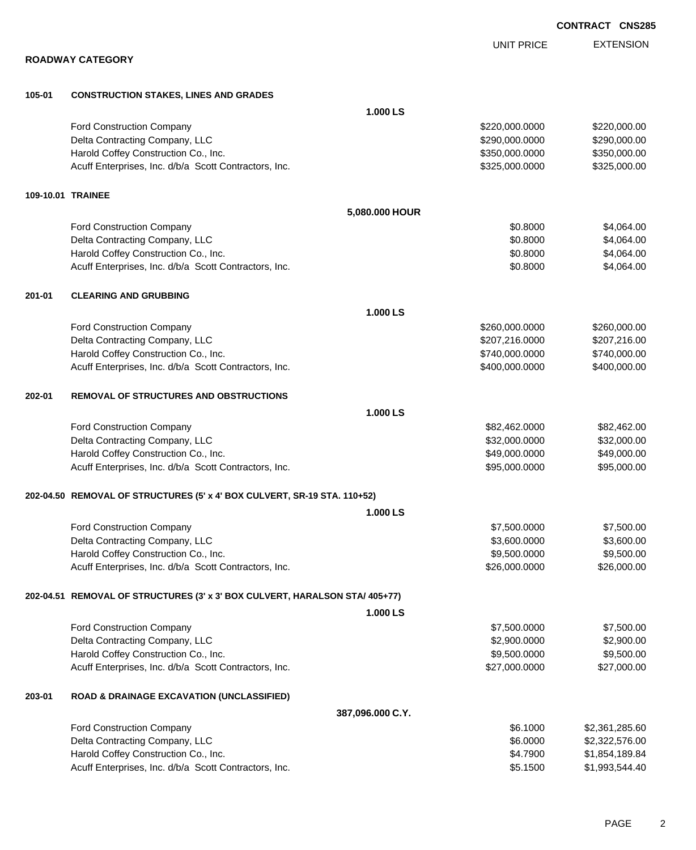|        |                                                                             |                   | <b>CONTRACT CNS285</b> |
|--------|-----------------------------------------------------------------------------|-------------------|------------------------|
|        |                                                                             | <b>UNIT PRICE</b> | <b>EXTENSION</b>       |
|        | <b>ROADWAY CATEGORY</b>                                                     |                   |                        |
| 105-01 | <b>CONSTRUCTION STAKES, LINES AND GRADES</b>                                |                   |                        |
|        |                                                                             | 1.000 LS          |                        |
|        | Ford Construction Company                                                   | \$220,000.0000    | \$220,000.00           |
|        | Delta Contracting Company, LLC                                              | \$290,000.0000    | \$290,000.00           |
|        | Harold Coffey Construction Co., Inc.                                        | \$350,000.0000    | \$350,000.00           |
|        | Acuff Enterprises, Inc. d/b/a Scott Contractors, Inc.                       | \$325,000.0000    | \$325,000.00           |
|        | 109-10.01 TRAINEE                                                           |                   |                        |
|        |                                                                             | 5,080.000 HOUR    |                        |
|        | Ford Construction Company                                                   | \$0.8000          | \$4,064.00             |
|        | Delta Contracting Company, LLC                                              | \$0.8000          | \$4,064.00             |
|        | Harold Coffey Construction Co., Inc.                                        | \$0.8000          | \$4,064.00             |
|        | Acuff Enterprises, Inc. d/b/a Scott Contractors, Inc.                       | \$0.8000          | \$4,064.00             |
| 201-01 | <b>CLEARING AND GRUBBING</b>                                                |                   |                        |
|        |                                                                             | 1.000 LS          |                        |
|        | Ford Construction Company                                                   | \$260,000.0000    | \$260,000.00           |
|        | Delta Contracting Company, LLC                                              | \$207,216.0000    | \$207,216.00           |
|        | Harold Coffey Construction Co., Inc.                                        | \$740,000.0000    | \$740,000.00           |
|        | Acuff Enterprises, Inc. d/b/a Scott Contractors, Inc.                       | \$400,000.0000    | \$400,000.00           |
| 202-01 | <b>REMOVAL OF STRUCTURES AND OBSTRUCTIONS</b>                               |                   |                        |
|        |                                                                             | 1.000 LS          |                        |
|        | Ford Construction Company                                                   | \$82,462.0000     | \$82,462.00            |
|        | Delta Contracting Company, LLC                                              | \$32,000.0000     | \$32,000.00            |
|        | Harold Coffey Construction Co., Inc.                                        | \$49,000.0000     | \$49,000.00            |
|        | Acuff Enterprises, Inc. d/b/a Scott Contractors, Inc.                       | \$95,000.0000     | \$95,000.00            |
|        | 202-04.50 REMOVAL OF STRUCTURES (5' x 4' BOX CULVERT, SR-19 STA. 110+52)    |                   |                        |
|        |                                                                             | 1.000 LS          |                        |
|        | Ford Construction Company                                                   | \$7,500.0000      | \$7,500.00             |
|        | Delta Contracting Company, LLC                                              | \$3,600.0000      | \$3,600.00             |
|        | Harold Coffey Construction Co., Inc.                                        | \$9,500.0000      | \$9,500.00             |
|        | Acuff Enterprises, Inc. d/b/a Scott Contractors, Inc.                       | \$26,000.0000     | \$26,000.00            |
|        | 202-04.51 REMOVAL OF STRUCTURES (3' x 3' BOX CULVERT, HARALSON STA/ 405+77) |                   |                        |
|        |                                                                             | 1.000 LS          |                        |
|        | Ford Construction Company                                                   | \$7,500.0000      | \$7,500.00             |
|        | Delta Contracting Company, LLC                                              | \$2,900.0000      | \$2,900.00             |
|        | Harold Coffey Construction Co., Inc.                                        | \$9,500.0000      | \$9,500.00             |
|        | Acuff Enterprises, Inc. d/b/a Scott Contractors, Inc.                       | \$27,000.0000     | \$27,000.00            |
| 203-01 | <b>ROAD &amp; DRAINAGE EXCAVATION (UNCLASSIFIED)</b>                        |                   |                        |
|        |                                                                             | 387,096.000 C.Y.  |                        |
|        | Ford Construction Company                                                   | \$6.1000          | \$2,361,285.60         |
|        | Delta Contracting Company, LLC                                              | \$6.0000          | \$2,322,576.00         |
|        | Harold Coffey Construction Co., Inc.                                        | \$4.7900          | \$1,854,189.84         |

Acuff Enterprises, Inc. d/b/a Scott Contractors, Inc. 6. The State of the State of State State State State State State State State State State State State State State State State State State State State State State State S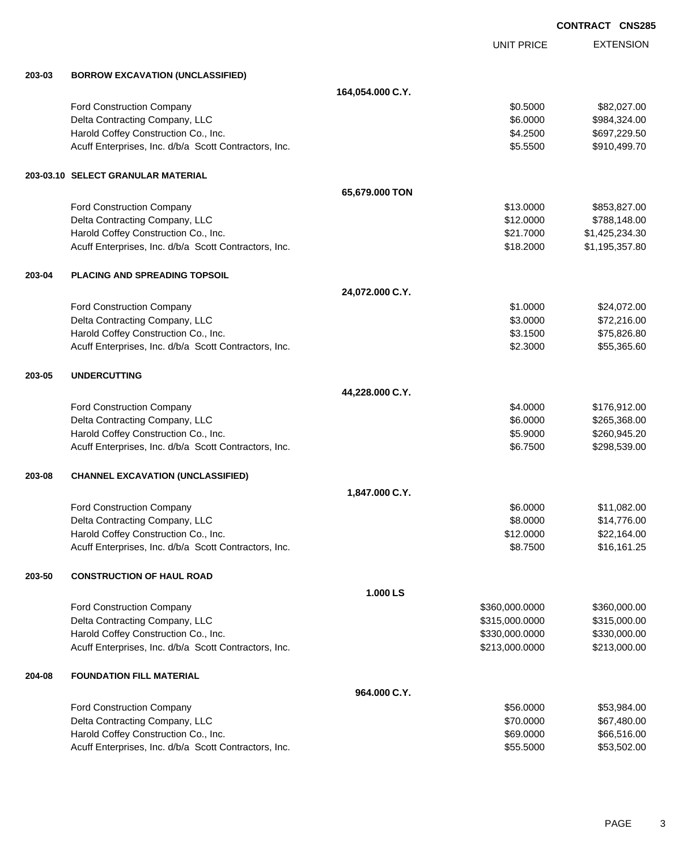|        |                                                       |                  |                   | <b>CONTRACT CNS285</b> |
|--------|-------------------------------------------------------|------------------|-------------------|------------------------|
|        |                                                       |                  | <b>UNIT PRICE</b> | <b>EXTENSION</b>       |
| 203-03 | <b>BORROW EXCAVATION (UNCLASSIFIED)</b>               |                  |                   |                        |
|        |                                                       | 164,054.000 C.Y. |                   |                        |
|        | Ford Construction Company                             |                  | \$0.5000          | \$82,027.00            |
|        | Delta Contracting Company, LLC                        |                  | \$6.0000          | \$984,324.00           |
|        | Harold Coffey Construction Co., Inc.                  |                  | \$4.2500          | \$697,229.50           |
|        | Acuff Enterprises, Inc. d/b/a Scott Contractors, Inc. |                  | \$5.5500          | \$910,499.70           |
|        | 203-03.10 SELECT GRANULAR MATERIAL                    |                  |                   |                        |
|        |                                                       | 65,679.000 TON   |                   |                        |
|        | Ford Construction Company                             |                  | \$13.0000         | \$853,827.00           |
|        | Delta Contracting Company, LLC                        |                  | \$12.0000         | \$788,148.00           |
|        | Harold Coffey Construction Co., Inc.                  |                  | \$21.7000         | \$1,425,234.30         |
|        | Acuff Enterprises, Inc. d/b/a Scott Contractors, Inc. |                  | \$18.2000         | \$1,195,357.80         |
| 203-04 | <b>PLACING AND SPREADING TOPSOIL</b>                  |                  |                   |                        |
|        |                                                       | 24,072.000 C.Y.  |                   |                        |
|        | Ford Construction Company                             |                  | \$1.0000          | \$24,072.00            |
|        | Delta Contracting Company, LLC                        |                  | \$3.0000          | \$72,216.00            |
|        | Harold Coffey Construction Co., Inc.                  |                  | \$3.1500          | \$75,826.80            |
|        | Acuff Enterprises, Inc. d/b/a Scott Contractors, Inc. |                  | \$2.3000          | \$55,365.60            |
| 203-05 | <b>UNDERCUTTING</b>                                   |                  |                   |                        |
|        |                                                       | 44,228.000 C.Y.  |                   |                        |
|        | Ford Construction Company                             |                  | \$4.0000          | \$176,912.00           |
|        | Delta Contracting Company, LLC                        |                  | \$6.0000          | \$265,368.00           |
|        | Harold Coffey Construction Co., Inc.                  |                  | \$5.9000          | \$260,945.20           |
|        | Acuff Enterprises, Inc. d/b/a Scott Contractors, Inc. |                  | \$6.7500          | \$298,539.00           |
| 203-08 | <b>CHANNEL EXCAVATION (UNCLASSIFIED)</b>              |                  |                   |                        |
|        |                                                       | 1,847.000 C.Y.   |                   |                        |
|        | <b>Ford Construction Company</b>                      |                  | \$6.0000          | \$11,082.00            |
|        | Delta Contracting Company, LLC                        |                  | \$8.0000          | \$14,776.00            |
|        | Harold Coffey Construction Co., Inc.                  |                  | \$12.0000         | \$22,164.00            |
|        | Acuff Enterprises, Inc. d/b/a Scott Contractors, Inc. |                  | \$8.7500          | \$16,161.25            |
| 203-50 | <b>CONSTRUCTION OF HAUL ROAD</b>                      |                  |                   |                        |
|        |                                                       | 1.000 LS         |                   |                        |
|        | Ford Construction Company                             |                  | \$360,000.0000    | \$360,000.00           |
|        | Delta Contracting Company, LLC                        |                  | \$315,000.0000    | \$315,000.00           |
|        | Harold Coffey Construction Co., Inc.                  |                  | \$330,000.0000    | \$330,000.00           |
|        | Acuff Enterprises, Inc. d/b/a Scott Contractors, Inc. |                  | \$213,000.0000    | \$213,000.00           |
| 204-08 | <b>FOUNDATION FILL MATERIAL</b>                       |                  |                   |                        |
|        |                                                       | 964.000 C.Y.     |                   |                        |
|        | Ford Construction Company                             |                  | \$56.0000         | \$53,984.00            |
|        | Delta Contracting Company, LLC                        |                  | \$70.0000         | \$67,480.00            |
|        | Harold Coffey Construction Co., Inc.                  |                  | \$69.0000         | \$66,516.00            |
|        | Acuff Enterprises, Inc. d/b/a Scott Contractors, Inc. |                  | \$55.5000         | \$53,502.00            |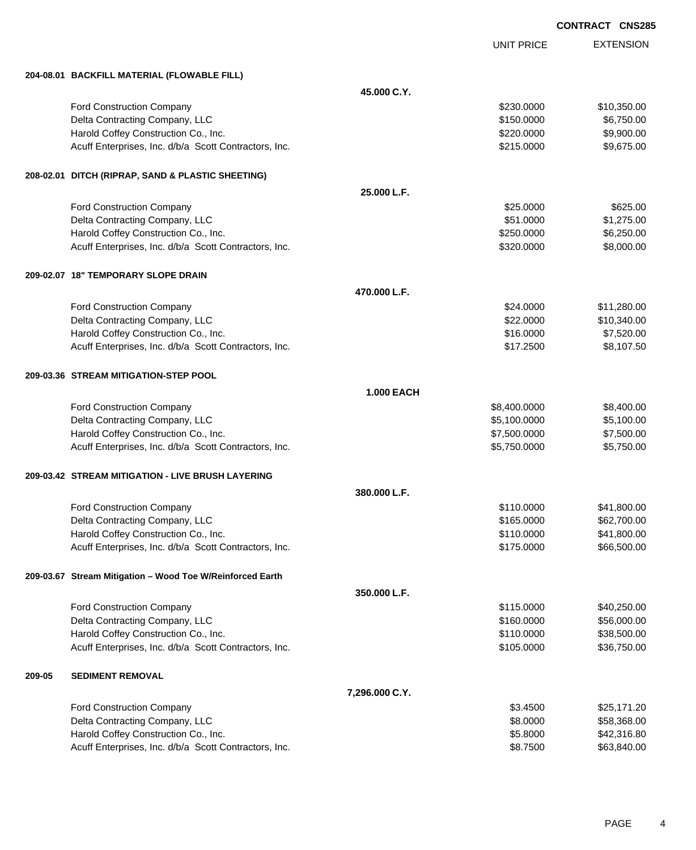UNIT PRICE

|        | 204-08.01 BACKFILL MATERIAL (FLOWABLE FILL)               |                   |              |             |
|--------|-----------------------------------------------------------|-------------------|--------------|-------------|
|        |                                                           | 45.000 C.Y.       |              |             |
|        | Ford Construction Company                                 |                   | \$230.0000   | \$10,350.00 |
|        | Delta Contracting Company, LLC                            |                   | \$150.0000   | \$6,750.00  |
|        | Harold Coffey Construction Co., Inc.                      |                   | \$220.0000   | \$9,900.00  |
|        | Acuff Enterprises, Inc. d/b/a Scott Contractors, Inc.     |                   | \$215.0000   | \$9,675.00  |
|        | 208-02.01 DITCH (RIPRAP, SAND & PLASTIC SHEETING)         |                   |              |             |
|        |                                                           | 25.000 L.F.       |              |             |
|        | Ford Construction Company                                 |                   | \$25.0000    | \$625.00    |
|        | Delta Contracting Company, LLC                            |                   | \$51.0000    | \$1,275.00  |
|        | Harold Coffey Construction Co., Inc.                      |                   | \$250.0000   | \$6,250.00  |
|        | Acuff Enterprises, Inc. d/b/a Scott Contractors, Inc.     |                   | \$320.0000   | \$8,000.00  |
|        | 209-02.07 18" TEMPORARY SLOPE DRAIN                       |                   |              |             |
|        |                                                           | 470.000 L.F.      |              |             |
|        | <b>Ford Construction Company</b>                          |                   | \$24.0000    | \$11,280.00 |
|        | Delta Contracting Company, LLC                            |                   | \$22.0000    | \$10,340.00 |
|        | Harold Coffey Construction Co., Inc.                      |                   | \$16.0000    | \$7,520.00  |
|        | Acuff Enterprises, Inc. d/b/a Scott Contractors, Inc.     |                   | \$17.2500    | \$8,107.50  |
|        | 209-03.36 STREAM MITIGATION-STEP POOL                     |                   |              |             |
|        |                                                           | <b>1.000 EACH</b> |              |             |
|        | Ford Construction Company                                 |                   | \$8,400.0000 | \$8,400.00  |
|        | Delta Contracting Company, LLC                            |                   | \$5,100.0000 | \$5,100.00  |
|        | Harold Coffey Construction Co., Inc.                      |                   | \$7,500.0000 | \$7,500.00  |
|        | Acuff Enterprises, Inc. d/b/a Scott Contractors, Inc.     |                   | \$5,750.0000 | \$5,750.00  |
|        | 209-03.42 STREAM MITIGATION - LIVE BRUSH LAYERING         |                   |              |             |
|        |                                                           | 380.000 L.F.      |              |             |
|        | Ford Construction Company                                 |                   | \$110.0000   | \$41,800.00 |
|        | Delta Contracting Company, LLC                            |                   | \$165.0000   | \$62,700.00 |
|        | Harold Coffey Construction Co., Inc.                      |                   | \$110.0000   | \$41,800.00 |
|        | Acuff Enterprises, Inc. d/b/a Scott Contractors, Inc.     |                   | \$175.0000   | \$66,500.00 |
|        | 209-03.67 Stream Mitigation - Wood Toe W/Reinforced Earth |                   |              |             |
|        |                                                           | 350.000 L.F.      |              |             |
|        | Ford Construction Company                                 |                   | \$115.0000   | \$40,250.00 |
|        | Delta Contracting Company, LLC                            |                   | \$160.0000   | \$56,000.00 |
|        | Harold Coffey Construction Co., Inc.                      |                   | \$110.0000   | \$38,500.00 |
|        | Acuff Enterprises, Inc. d/b/a Scott Contractors, Inc.     |                   | \$105.0000   | \$36,750.00 |
| 209-05 | <b>SEDIMENT REMOVAL</b>                                   |                   |              |             |
|        |                                                           | 7,296.000 C.Y.    |              |             |
|        | Ford Construction Company                                 |                   | \$3.4500     | \$25,171.20 |
|        | Delta Contracting Company, LLC                            |                   | \$8.0000     | \$58,368.00 |
|        | Harold Coffey Construction Co., Inc.                      |                   | \$5.8000     | \$42,316.80 |
|        | Acuff Enterprises, Inc. d/b/a Scott Contractors, Inc.     |                   | \$8.7500     | \$63,840.00 |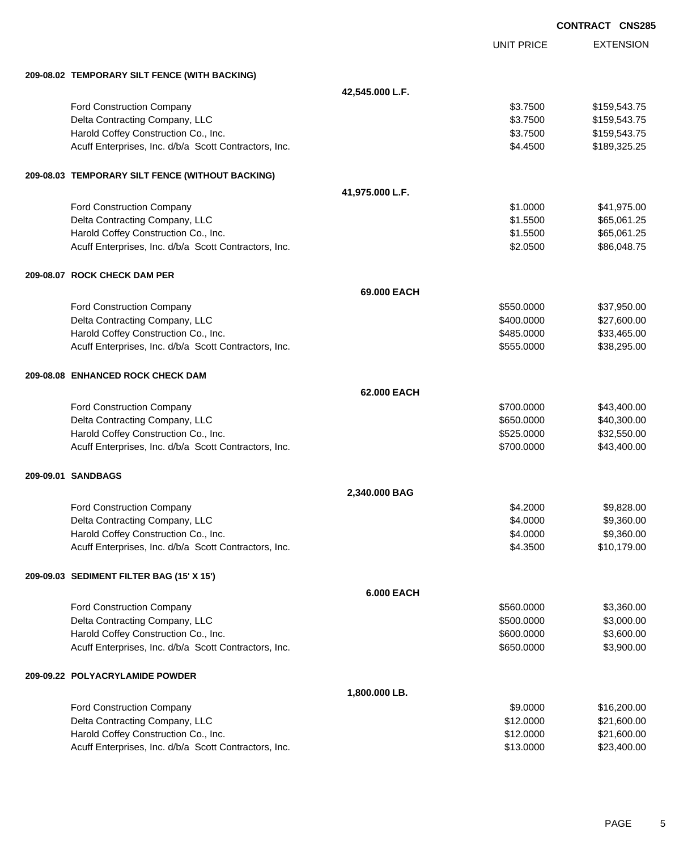|                                                       |                   |                   | <b>CONTRACT CNS285</b> |
|-------------------------------------------------------|-------------------|-------------------|------------------------|
|                                                       |                   | <b>UNIT PRICE</b> | <b>EXTENSION</b>       |
| 209-08.02 TEMPORARY SILT FENCE (WITH BACKING)         |                   |                   |                        |
|                                                       | 42,545.000 L.F.   |                   |                        |
| <b>Ford Construction Company</b>                      |                   | \$3.7500          | \$159,543.75           |
| Delta Contracting Company, LLC                        |                   | \$3.7500          | \$159,543.75           |
| Harold Coffey Construction Co., Inc.                  |                   | \$3.7500          | \$159,543.75           |
| Acuff Enterprises, Inc. d/b/a Scott Contractors, Inc. |                   | \$4.4500          | \$189,325.25           |
| 209-08.03 TEMPORARY SILT FENCE (WITHOUT BACKING)      |                   |                   |                        |
|                                                       | 41,975.000 L.F.   |                   |                        |
| <b>Ford Construction Company</b>                      |                   | \$1.0000          | \$41,975.00            |
| Delta Contracting Company, LLC                        |                   | \$1.5500          | \$65,061.25            |
| Harold Coffey Construction Co., Inc.                  |                   | \$1.5500          | \$65,061.25            |
| Acuff Enterprises, Inc. d/b/a Scott Contractors, Inc. |                   | \$2.0500          | \$86,048.75            |
| 209-08.07 ROCK CHECK DAM PER                          |                   |                   |                        |
|                                                       | 69.000 EACH       |                   |                        |
| Ford Construction Company                             |                   | \$550.0000        | \$37,950.00            |
| Delta Contracting Company, LLC                        |                   | \$400.0000        | \$27,600.00            |
| Harold Coffey Construction Co., Inc.                  |                   | \$485.0000        | \$33,465.00            |
| Acuff Enterprises, Inc. d/b/a Scott Contractors, Inc. |                   | \$555.0000        | \$38,295.00            |
| 209-08.08 ENHANCED ROCK CHECK DAM                     |                   |                   |                        |
|                                                       | 62.000 EACH       |                   |                        |
| <b>Ford Construction Company</b>                      |                   | \$700.0000        | \$43,400.00            |
| Delta Contracting Company, LLC                        |                   | \$650.0000        | \$40,300.00            |
| Harold Coffey Construction Co., Inc.                  |                   | \$525.0000        | \$32,550.00            |
| Acuff Enterprises, Inc. d/b/a Scott Contractors, Inc. |                   | \$700.0000        | \$43,400.00            |
| 209-09.01 SANDBAGS                                    |                   |                   |                        |
|                                                       | 2,340.000 BAG     |                   |                        |
| <b>Ford Construction Company</b>                      |                   | \$4.2000          | \$9,828.00             |
| Delta Contracting Company, LLC                        |                   | \$4.0000          | \$9,360.00             |
| Harold Coffey Construction Co., Inc.                  |                   | \$4.0000          | \$9,360.00             |
| Acuff Enterprises, Inc. d/b/a Scott Contractors, Inc. |                   | \$4.3500          | \$10,179.00            |
| 209-09.03 SEDIMENT FILTER BAG (15' X 15')             |                   |                   |                        |
|                                                       | <b>6.000 EACH</b> |                   |                        |
| <b>Ford Construction Company</b>                      |                   | \$560.0000        | \$3,360.00             |
| Delta Contracting Company, LLC                        |                   | \$500.0000        | \$3,000.00             |
| Harold Coffey Construction Co., Inc.                  |                   | \$600.0000        | \$3,600.00             |
| Acuff Enterprises, Inc. d/b/a Scott Contractors, Inc. |                   | \$650.0000        | \$3,900.00             |
| 209-09.22 POLYACRYLAMIDE POWDER                       |                   |                   |                        |
|                                                       | 1,800.000 LB.     |                   |                        |
| Ford Construction Company                             |                   | \$9.0000          | \$16,200.00            |
| Delta Contracting Company, LLC                        |                   | \$12.0000         | \$21,600.00            |
| Harold Coffey Construction Co., Inc.                  |                   | \$12.0000         | \$21,600.00            |
| Acuff Enterprises, Inc. d/b/a Scott Contractors, Inc. |                   | \$13.0000         | \$23,400.00            |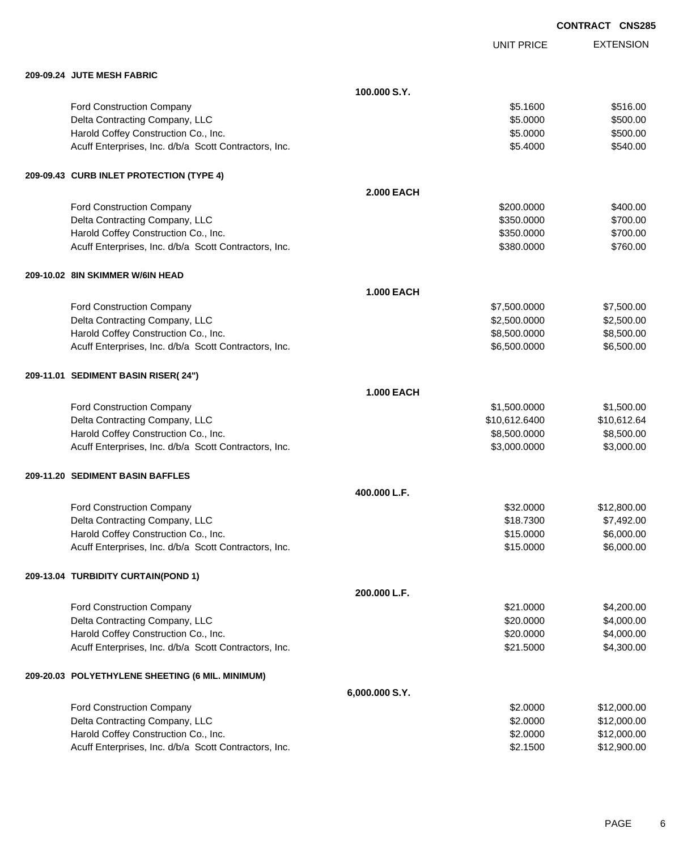|                                                       |                   |                   | <b>CONTRACT CNS285</b> |
|-------------------------------------------------------|-------------------|-------------------|------------------------|
|                                                       |                   | <b>UNIT PRICE</b> | <b>EXTENSION</b>       |
| 209-09.24 JUTE MESH FABRIC                            |                   |                   |                        |
|                                                       | 100.000 S.Y.      |                   |                        |
| Ford Construction Company                             |                   | \$5.1600          | \$516.00               |
| Delta Contracting Company, LLC                        |                   | \$5.0000          | \$500.00               |
| Harold Coffey Construction Co., Inc.                  |                   | \$5.0000          | \$500.00               |
| Acuff Enterprises, Inc. d/b/a Scott Contractors, Inc. |                   | \$5.4000          | \$540.00               |
| 209-09.43 CURB INLET PROTECTION (TYPE 4)              |                   |                   |                        |
|                                                       | <b>2.000 EACH</b> |                   |                        |
| Ford Construction Company                             |                   | \$200.0000        | \$400.00               |
| Delta Contracting Company, LLC                        |                   | \$350.0000        | \$700.00               |
| Harold Coffey Construction Co., Inc.                  |                   | \$350.0000        | \$700.00               |
| Acuff Enterprises, Inc. d/b/a Scott Contractors, Inc. |                   | \$380.0000        | \$760.00               |
| 209-10.02 8IN SKIMMER W/6IN HEAD                      |                   |                   |                        |
|                                                       | <b>1.000 EACH</b> |                   |                        |
| <b>Ford Construction Company</b>                      |                   | \$7,500.0000      | \$7,500.00             |
| Delta Contracting Company, LLC                        |                   | \$2,500.0000      | \$2,500.00             |
| Harold Coffey Construction Co., Inc.                  |                   | \$8,500.0000      | \$8,500.00             |
| Acuff Enterprises, Inc. d/b/a Scott Contractors, Inc. |                   | \$6,500.0000      | \$6,500.00             |
| 209-11.01 SEDIMENT BASIN RISER(24")                   |                   |                   |                        |
|                                                       | <b>1.000 EACH</b> |                   |                        |
| Ford Construction Company                             |                   | \$1,500.0000      | \$1,500.00             |
| Delta Contracting Company, LLC                        |                   | \$10,612.6400     | \$10,612.64            |
| Harold Coffey Construction Co., Inc.                  |                   | \$8,500.0000      | \$8,500.00             |
| Acuff Enterprises, Inc. d/b/a Scott Contractors, Inc. |                   | \$3,000.0000      | \$3,000.00             |
| 209-11.20 SEDIMENT BASIN BAFFLES                      |                   |                   |                        |
|                                                       | 400.000 L.F.      |                   |                        |
| Ford Construction Company                             |                   | \$32.0000         | \$12,800.00            |
| Delta Contracting Company, LLC                        |                   | \$18.7300         | \$7,492.00             |
| Harold Coffey Construction Co., Inc.                  |                   | \$15.0000         | \$6,000.00             |
| Acuff Enterprises, Inc. d/b/a Scott Contractors, Inc. |                   | \$15.0000         | \$6,000.00             |
| 209-13.04 TURBIDITY CURTAIN(POND 1)                   |                   |                   |                        |
|                                                       | 200.000 L.F.      |                   |                        |
| Ford Construction Company                             |                   | \$21.0000         | \$4,200.00             |
| Delta Contracting Company, LLC                        |                   | \$20.0000         | \$4,000.00             |
| Harold Coffey Construction Co., Inc.                  |                   | \$20.0000         | \$4,000.00             |
| Acuff Enterprises, Inc. d/b/a Scott Contractors, Inc. |                   | \$21.5000         | \$4,300.00             |
| 209-20.03 POLYETHYLENE SHEETING (6 MIL. MINIMUM)      |                   |                   |                        |
|                                                       | 6,000.000 S.Y.    |                   |                        |
| Ford Construction Company                             |                   | \$2.0000          | \$12,000.00            |
| Delta Contracting Company, LLC                        |                   | \$2.0000          | \$12,000.00            |
| Harold Coffey Construction Co., Inc.                  |                   | \$2.0000          | \$12,000.00            |
| Acuff Enterprises, Inc. d/b/a Scott Contractors, Inc. |                   | \$2.1500          | \$12,900.00            |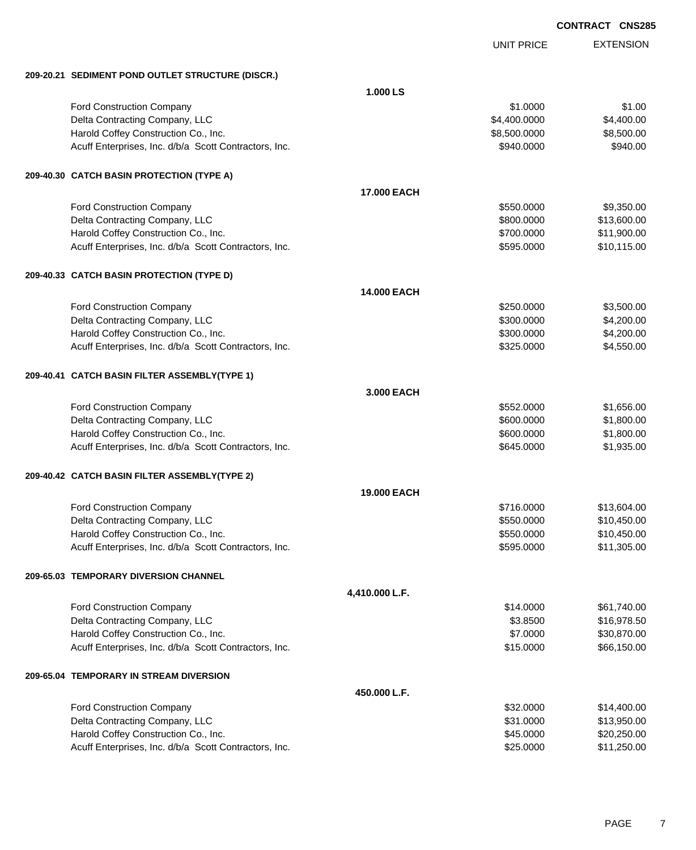EXTENSION UNIT PRICE **209-20.21 SEDIMENT POND OUTLET STRUCTURE (DISCR.) 1.000 LS** Ford Construction Company 61.000 \$1.000 \$1.000 \$1.000 \$1.000 \$1.000 \$1.000 \$1.000 \$1.00 Delta Contracting Company, LLC 64,400.000 \$4,400.000 \$4,400.000 \$4,400.000 Harold Coffey Construction Co., Inc. 6. 2012 12:30 12:30 12:30 13:30 13:30 13:30 13:300.000 \$8,500.000 \$8,500.00 Acuff Enterprises, Inc. d/b/a Scott Contractors, Inc. 6940.000 \$940.0000 \$940.000 **209-40.30 CATCH BASIN PROTECTION (TYPE A) 17.000 EACH** Ford Construction Company 69,350.000 \$9,350.000 \$9,350.000 \$9,350.000 \$9,350.000 \$9,350.000 \$9,350.00 Delta Contracting Company, LLC **but a struck of the struck of the struck of the struck of the struck of the struck of the struck of the struck of the struck of the struck of the struck of the struck of the struck of the st** Harold Coffey Construction Co., Inc. 6. 2000 \$11,900.000 \$11,900.000 \$11,900.00 Acuff Enterprises, Inc. d/b/a Scott Contractors, Inc. 6. The Superintendent Studies of the Studies of Studies and Studies and Studies and Studies and Studies and Studies and Studies and Studies and Studies and Studies and **209-40.33 CATCH BASIN PROTECTION (TYPE D) 14.000 EACH** Ford Construction Company 63,500.00 \$3,500.00 \$3,500.00 \$3,500.00 \$3,500.00 \$3,500.00 \$3,500.00 \$3,500.00 \$3,500 Delta Contracting Company, LLC **but a structure of the structure of the S**4,200.000 \$4,200.00 Harold Coffey Construction Co., Inc. 6. 200.000 \$4,200.000 \$4,200.000 \$4,200.00 Acuff Enterprises, Inc. d/b/a Scott Contractors, Inc. 6325.0000 \$4,550.00 **209-40.41 CATCH BASIN FILTER ASSEMBLY(TYPE 1) 3.000 EACH** Ford Construction Company 61,656.00 \$1,656.00 Delta Contracting Company, LLC 600.000 \$1,800.000 \$1,800.000 \$1,800.000 Harold Coffey Construction Co., Inc. 600.000 \$1,800.000 \$1,800.000 \$1,800.00 Acuff Enterprises, Inc. d/b/a Scott Contractors, Inc. 6645.0000 \$1,935.00 **209-40.42 CATCH BASIN FILTER ASSEMBLY(TYPE 2) 19.000 EACH** Ford Construction Company 613,604.00 Delta Contracting Company, LLC 6. The state of the state of the state of the state  $$550.0000$  \$10,450.000 \$10,450.00 Harold Coffey Construction Co., Inc. 6. The Construction Co., Inc. 6. The Construction Co., Inc. 6. The Const Acuff Enterprises, Inc. d/b/a Scott Contractors, Inc. 6. The Superintendent State of the State State State State State State State State State State State State State State State State State State State State State State S **209-65.03 TEMPORARY DIVERSION CHANNEL 4,410.000 L.F.** Ford Construction Company 61,740.00 \$61,740.00 Delta Contracting Company, LLC **6.8500 \$16,978.50** \$16,978.50 Harold Coffey Construction Co., Inc. 6. The Construction Co., Inc. 6. The Construction Co., Inc. 6. The Construction Co., Inc. 6. The Construction Co., Inc. 6. The Construction Co., Inc. 6. The Construction Co., Inc. 6. Th Acuff Enterprises, Inc. d/b/a Scott Contractors, Inc. 6. 1999 19:30:00 \$66,150.00 **209-65.04 TEMPORARY IN STREAM DIVERSION 450.000 L.F.** Ford Construction Company 614,400.00 Delta Contracting Company, LLC 6. The state of the state of the state of the state of the state of the state of the state of the state of the state of the state of the state of the state of the state of the state of the st Harold Coffey Construction Co., Inc. 6. 2002 1999 12:00 12:00 12:00 13:00 14:00 14:00 14:00 14:00 14:00 14:00 1 Acuff Enterprises, Inc. d/b/a Scott Contractors, Inc.  $$25.0000$  \$11,250.00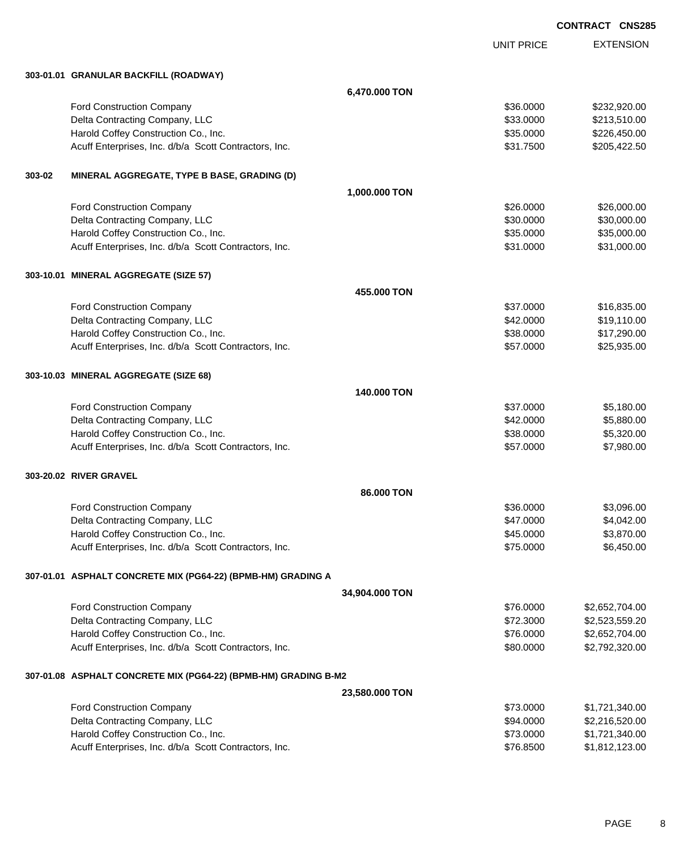|        |                                                                 |                |                        | <b>CONTRACT CNS285</b> |                  |
|--------|-----------------------------------------------------------------|----------------|------------------------|------------------------|------------------|
|        |                                                                 |                | <b>UNIT PRICE</b>      |                        | <b>EXTENSION</b> |
|        | 303-01.01 GRANULAR BACKFILL (ROADWAY)                           |                |                        |                        |                  |
|        |                                                                 | 6,470.000 TON  |                        |                        |                  |
|        | Ford Construction Company                                       |                | \$36.0000              |                        | \$232,920.00     |
|        | Delta Contracting Company, LLC                                  |                | \$33.0000              |                        | \$213,510.00     |
|        | Harold Coffey Construction Co., Inc.                            |                | \$35.0000              |                        | \$226,450.00     |
|        | Acuff Enterprises, Inc. d/b/a Scott Contractors, Inc.           |                | \$31.7500              |                        | \$205,422.50     |
| 303-02 | MINERAL AGGREGATE, TYPE B BASE, GRADING (D)                     |                |                        |                        |                  |
|        |                                                                 | 1,000.000 TON  |                        |                        |                  |
|        | Ford Construction Company                                       |                | \$26.0000              |                        | \$26,000.00      |
|        | Delta Contracting Company, LLC                                  |                | \$30.0000              |                        | \$30,000.00      |
|        | Harold Coffey Construction Co., Inc.                            |                | \$35.0000              |                        | \$35,000.00      |
|        | Acuff Enterprises, Inc. d/b/a Scott Contractors, Inc.           |                | \$31.0000              |                        | \$31,000.00      |
|        | 303-10.01 MINERAL AGGREGATE (SIZE 57)                           |                |                        |                        |                  |
|        |                                                                 | 455.000 TON    |                        |                        |                  |
|        | <b>Ford Construction Company</b>                                |                | \$37.0000              |                        | \$16,835.00      |
|        | Delta Contracting Company, LLC                                  |                | \$42.0000              |                        | \$19,110.00      |
|        | Harold Coffey Construction Co., Inc.                            |                | \$38.0000              |                        | \$17,290.00      |
|        | Acuff Enterprises, Inc. d/b/a Scott Contractors, Inc.           |                | \$57.0000              |                        | \$25,935.00      |
|        | 303-10.03 MINERAL AGGREGATE (SIZE 68)                           |                |                        |                        |                  |
|        |                                                                 | 140.000 TON    |                        |                        |                  |
|        | Ford Construction Company                                       |                | \$37.0000              |                        | \$5,180.00       |
|        | Delta Contracting Company, LLC                                  |                | \$42.0000              |                        | \$5,880.00       |
|        | Harold Coffey Construction Co., Inc.                            |                | \$38,0000              |                        | \$5,320.00       |
|        | Acuff Enterprises, Inc. d/b/a Scott Contractors, Inc.           |                | \$57.0000              |                        | \$7,980.00       |
|        | 303-20.02 RIVER GRAVEL                                          |                |                        |                        |                  |
|        |                                                                 | 86.000 TON     |                        |                        |                  |
|        | Ford Construction Company                                       |                | \$36.0000              |                        | \$3,096.00       |
|        | Delta Contracting Company, LLC                                  |                | \$47.0000              |                        | \$4,042.00       |
|        | Harold Coffey Construction Co., Inc.                            |                | \$45.0000              |                        | \$3,870.00       |
|        | Acuff Enterprises, Inc. d/b/a Scott Contractors, Inc.           |                | \$75.0000              |                        | \$6,450.00       |
|        | 307-01.01 ASPHALT CONCRETE MIX (PG64-22) (BPMB-HM) GRADING A    |                |                        |                        |                  |
|        |                                                                 | 34,904.000 TON |                        |                        |                  |
|        | Ford Construction Company                                       |                | \$76.0000              |                        | \$2,652,704.00   |
|        | Delta Contracting Company, LLC                                  |                | \$72.3000              |                        | \$2,523,559.20   |
|        | Harold Coffey Construction Co., Inc.                            |                | \$76.0000              |                        | \$2,652,704.00   |
|        | Acuff Enterprises, Inc. d/b/a Scott Contractors, Inc.           |                | \$80.0000              |                        | \$2,792,320.00   |
|        | 307-01.08 ASPHALT CONCRETE MIX (PG64-22) (BPMB-HM) GRADING B-M2 |                |                        |                        |                  |
|        |                                                                 | 23,580.000 TON |                        |                        |                  |
|        | Ford Construction Company                                       |                | \$73.0000              |                        | \$1,721,340.00   |
|        | Delta Contracting Company, LLC                                  |                | \$94.0000              |                        | \$2,216,520.00   |
|        | Harold Coffey Construction Co., Inc.                            |                | \$73.0000<br>\$76.8500 |                        | \$1,721,340.00   |
|        | Acuff Enterprises, Inc. d/b/a Scott Contractors, Inc.           |                |                        |                        | \$1,812,123.00   |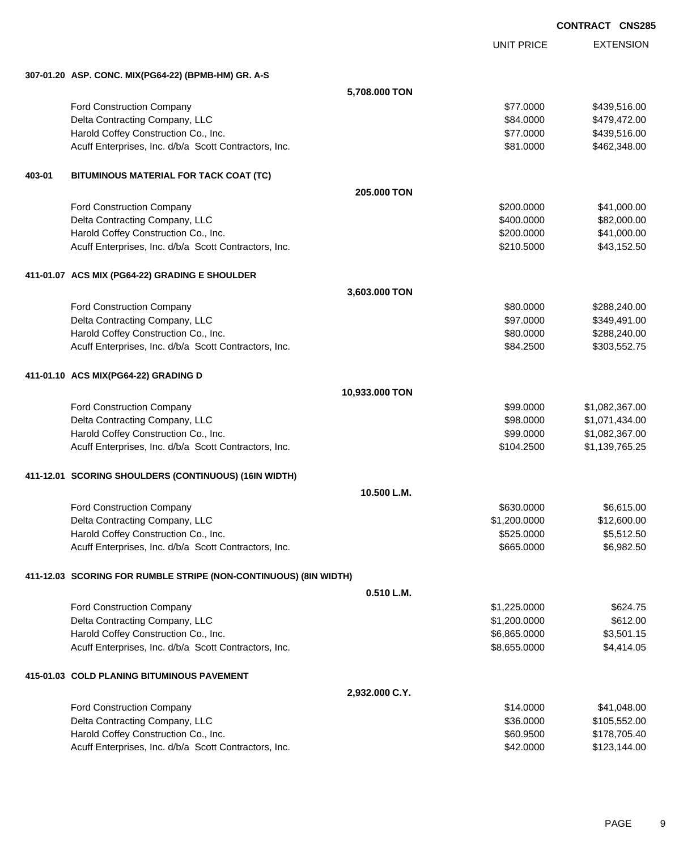EXTENSION **CONTRACT CNS285** UNIT PRICE **307-01.20 ASP. CONC. MIX(PG64-22) (BPMB-HM) GR. A-S 5,708.000 TON** Ford Construction Company 6439,516.00 Delta Contracting Company, LLC 6. The contraction of the state of the state of the state of the state of the state of the state of the state of the state of the state of the state of the state of the state of the state of Harold Coffey Construction Co., Inc. 6. The Construction Co., Inc. \$77.0000 \$439,516.00 Acuff Enterprises, Inc. d/b/a Scott Contractors, Inc. 6. The Contractors of the Contractors of the State State State State State State State State State State State State State State State State State State State State Sta **403-01 BITUMINOUS MATERIAL FOR TACK COAT (TC) 205.000 TON** Ford Construction Company 641,000.00 Delta Contracting Company, LLC **but a set of the set of the set of the set of the set of the set of the set of the set of the set of the set of the set of the set of the set of the set of the set of the set of the set of t** Harold Coffey Construction Co., Inc. 6. 200.000 \$41,000.00 Acuff Enterprises, Inc. d/b/a Scott Contractors, Inc. 643,152.50 **411-01.07 ACS MIX (PG64-22) GRADING E SHOULDER 3,603.000 TON** Ford Construction Company **680.000** \$288,240.00 Delta Contracting Company, LLC **but a set of the set of the set of the set of the set of the set of the set of the set of the set of the set of the set of the set of the set of the set of the set of the set of the set of t** Harold Coffey Construction Co., Inc. 6. 2009. [10] Sample of the State of the State of S288,240.00 Acuff Enterprises, Inc. d/b/a Scott Contractors, Inc. \$84.2500 \$303,552.75 **411-01.10 ACS MIX(PG64-22) GRADING D 10,933.000 TON** Ford Construction Company **61,082,367.00** \$1,082,367.00 Delta Contracting Company, LLC 6. The contracting Company, LLC 6. The contraction of the contracting Company, LLC Harold Coffey Construction Co., Inc. 6. 2012. The state of the state of the state of the state of the state of the state of the state of the state of the state of the state of the state of the state of the state of the sta Acuff Enterprises, Inc. d/b/a Scott Contractors, Inc. 6. The Studies of the Studies of the Studies of Studies and Studies and Studies and Studies and Studies and Studies and Studies and Studies and Studies and Studies and **411-12.01 SCORING SHOULDERS (CONTINUOUS) (16IN WIDTH) 10.500 L.M.** Ford Construction Company 66.615.00 Delta Contracting Company, LLC 6. 200.000 \$12,600.00 \$1,200.000 \$12,600.00 Harold Coffey Construction Co., Inc. 6. The Construction Co., Inc. \$525.0000 \$5,512.50 Acuff Enterprises, Inc. d/b/a Scott Contractors, Inc. 6. The Superintendent State of the State State State State State State State State State State State State State State State State State State State State State State S **411-12.03 SCORING FOR RUMBLE STRIPE (NON-CONTINUOUS) (8IN WIDTH) 0.510 L.M.** Ford Construction Company 6624.75 Delta Contracting Company, LLC 612.00 Harold Coffey Construction Co., Inc. 6. The Construction Co., Inc. 6. The Construction Co., Inc. 55,501.15 Acuff Enterprises, Inc. d/b/a Scott Contractors, Inc. 6. The State of the State of State State State State State State State State State State State State State State State State State State State State State State State S **415-01.03 COLD PLANING BITUMINOUS PAVEMENT 2,932.000 C.Y.** Ford Construction Company  $\frac{1}{4}$ 

| r ora oononaonon oonipany                             | <b>WII.</b> UU U | $v \cdot \cdot \cdot v \cdot \cdot$ |
|-------------------------------------------------------|------------------|-------------------------------------|
| Delta Contracting Company, LLC                        | \$36,0000        | \$105.552.00                        |
| Harold Coffey Construction Co., Inc.                  | \$60,9500        | \$178.705.40                        |
| Acuff Enterprises, Inc. d/b/a Scott Contractors, Inc. | \$42,0000        | \$123,144.00                        |
|                                                       |                  |                                     |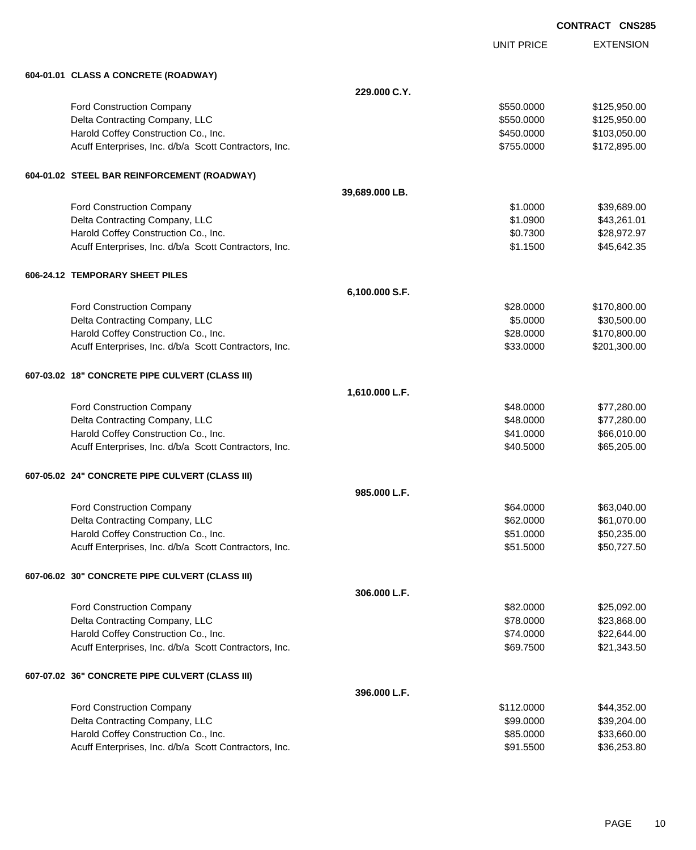| <b>CONTRACT</b> | <b>CNS285</b> |
|-----------------|---------------|
|-----------------|---------------|

|                                                       |                | UNIT PRICE | <b>EXTENSION</b> |
|-------------------------------------------------------|----------------|------------|------------------|
| 604-01.01 CLASS A CONCRETE (ROADWAY)                  |                |            |                  |
|                                                       | 229,000 C.Y.   |            |                  |
| Ford Construction Company                             |                | \$550,0000 | \$125,950.00     |
| Delta Contracting Company, LLC                        |                | \$550.0000 | \$125,950.00     |
| Harold Coffey Construction Co., Inc.                  |                | \$450.0000 | \$103,050.00     |
| Acuff Enterprises, Inc. d/b/a Scott Contractors, Inc. |                | \$755.0000 | \$172,895.00     |
| 604-01.02 STEEL BAR REINFORCEMENT (ROADWAY)           |                |            |                  |
|                                                       | 39,689.000 LB. |            |                  |
| Ford Construction Company                             |                | \$1.0000   | \$39,689.00      |
| Delta Contracting Company, LLC                        |                | \$1.0900   | \$43,261.01      |
| Harold Coffey Construction Co., Inc.                  |                | \$0.7300   | \$28,972.97      |
| Acuff Enterprises, Inc. d/b/a Scott Contractors, Inc. |                | \$1.1500   | \$45,642.35      |
| 606-24.12 TEMPORARY SHEET PILES                       |                |            |                  |
|                                                       | 6,100.000 S.F. |            |                  |
| Ford Construction Company                             |                | \$28.0000  | \$170,800.00     |
| Delta Contracting Company, LLC                        |                | \$5.0000   | \$30,500.00      |
| Harold Coffey Construction Co., Inc.                  |                | \$28.0000  | \$170,800.00     |
| Acuff Enterprises, Inc. d/b/a Scott Contractors, Inc. |                | \$33.0000  | \$201,300.00     |
| 607-03.02 18" CONCRETE PIPE CULVERT (CLASS III)       |                |            |                  |
|                                                       | 1,610.000 L.F. |            |                  |
| Ford Construction Company                             |                | \$48.0000  | \$77,280.00      |
| Delta Contracting Company, LLC                        |                | \$48.0000  | \$77,280.00      |
| Harold Coffey Construction Co., Inc.                  |                | \$41.0000  | \$66,010.00      |
| Acuff Enterprises, Inc. d/b/a Scott Contractors, Inc. |                | \$40.5000  | \$65,205.00      |
| 607-05.02 24" CONCRETE PIPE CULVERT (CLASS III)       |                |            |                  |
|                                                       | 985.000 L.F.   |            |                  |
| Ford Construction Company                             |                | \$64.0000  | \$63,040.00      |
| Delta Contracting Company, LLC                        |                | \$62.0000  | \$61,070.00      |
| Harold Coffey Construction Co., Inc.                  |                | \$51.0000  | \$50,235.00      |
| Acuff Enterprises, Inc. d/b/a Scott Contractors, Inc. |                | \$51.5000  | \$50,727.50      |
| 607-06.02 30" CONCRETE PIPE CULVERT (CLASS III)       |                |            |                  |
|                                                       | 306.000 L.F.   |            |                  |
| Ford Construction Company                             |                | \$82.0000  | \$25,092.00      |
| Delta Contracting Company, LLC                        |                | \$78.0000  | \$23,868.00      |
| Harold Coffey Construction Co., Inc.                  |                | \$74.0000  | \$22,644.00      |
| Acuff Enterprises, Inc. d/b/a Scott Contractors, Inc. |                | \$69.7500  | \$21,343.50      |
| 607-07.02 36" CONCRETE PIPE CULVERT (CLASS III)       |                |            |                  |
|                                                       | 396.000 L.F.   |            |                  |
| Ford Construction Company                             |                | \$112.0000 | \$44,352.00      |
| Delta Contracting Company, LLC                        |                | \$99.0000  | \$39,204.00      |
| Harold Coffey Construction Co., Inc.                  |                | \$85.0000  | \$33,660.00      |
| Acuff Enterprises, Inc. d/b/a Scott Contractors, Inc. |                | \$91.5500  | \$36,253.80      |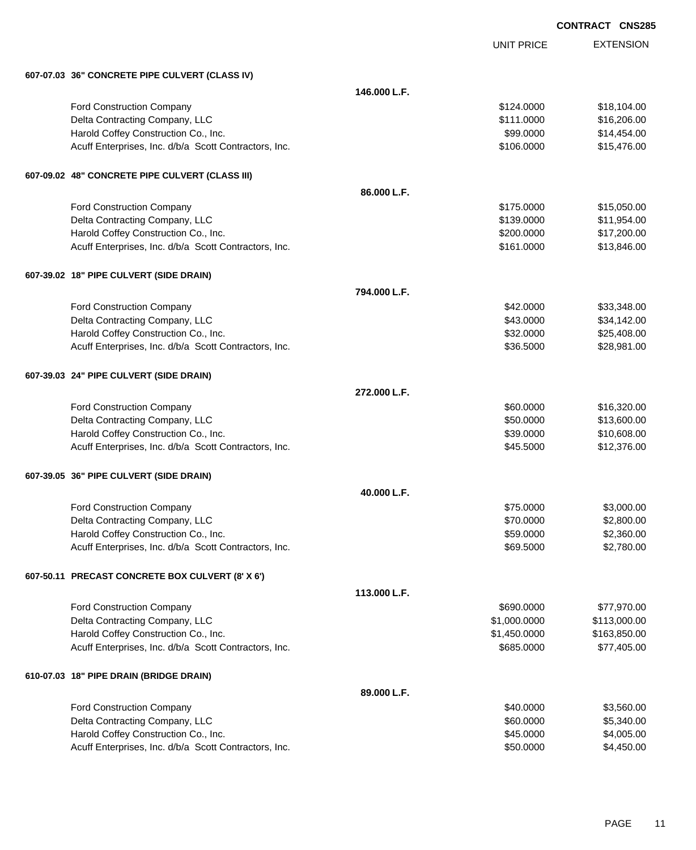| <b>CONTRACT CNS285</b> |  |
|------------------------|--|
|                        |  |

UNIT PRICE

| 607-07.03 36" CONCRETE PIPE CULVERT (CLASS IV)        |              |              |              |
|-------------------------------------------------------|--------------|--------------|--------------|
|                                                       | 146.000 L.F. |              |              |
| Ford Construction Company                             |              | \$124.0000   | \$18,104.00  |
| Delta Contracting Company, LLC                        |              | \$111.0000   | \$16,206.00  |
| Harold Coffey Construction Co., Inc.                  |              | \$99.0000    | \$14,454.00  |
| Acuff Enterprises, Inc. d/b/a Scott Contractors, Inc. |              | \$106.0000   | \$15,476.00  |
| 607-09.02 48" CONCRETE PIPE CULVERT (CLASS III)       |              |              |              |
|                                                       | 86.000 L.F.  |              |              |
| Ford Construction Company                             |              | \$175.0000   | \$15,050.00  |
| Delta Contracting Company, LLC                        |              | \$139.0000   | \$11,954.00  |
| Harold Coffey Construction Co., Inc.                  |              | \$200.0000   | \$17,200.00  |
| Acuff Enterprises, Inc. d/b/a Scott Contractors, Inc. |              | \$161.0000   | \$13,846.00  |
| 607-39.02 18" PIPE CULVERT (SIDE DRAIN)               |              |              |              |
|                                                       | 794.000 L.F. |              |              |
| Ford Construction Company                             |              | \$42.0000    | \$33,348.00  |
| Delta Contracting Company, LLC                        |              | \$43.0000    | \$34,142.00  |
| Harold Coffey Construction Co., Inc.                  |              | \$32.0000    | \$25,408.00  |
| Acuff Enterprises, Inc. d/b/a Scott Contractors, Inc. |              | \$36.5000    | \$28,981.00  |
| 607-39.03 24" PIPE CULVERT (SIDE DRAIN)               |              |              |              |
|                                                       | 272.000 L.F. |              |              |
| Ford Construction Company                             |              | \$60.0000    | \$16,320.00  |
| Delta Contracting Company, LLC                        |              | \$50.0000    | \$13,600.00  |
| Harold Coffey Construction Co., Inc.                  |              | \$39.0000    | \$10,608.00  |
| Acuff Enterprises, Inc. d/b/a Scott Contractors, Inc. |              | \$45.5000    | \$12,376.00  |
| 607-39.05 36" PIPE CULVERT (SIDE DRAIN)               |              |              |              |
|                                                       | 40.000 L.F.  |              |              |
| <b>Ford Construction Company</b>                      |              | \$75.0000    | \$3,000.00   |
| Delta Contracting Company, LLC                        |              | \$70.0000    | \$2,800.00   |
| Harold Coffey Construction Co., Inc.                  |              | \$59.0000    | \$2,360.00   |
| Acuff Enterprises, Inc. d/b/a Scott Contractors, Inc. |              | \$69.5000    | \$2,780.00   |
| 607-50.11 PRECAST CONCRETE BOX CULVERT (8' X 6')      |              |              |              |
|                                                       | 113.000 L.F. |              |              |
| Ford Construction Company                             |              | \$690.0000   | \$77,970.00  |
| Delta Contracting Company, LLC                        |              | \$1,000.0000 | \$113,000.00 |
| Harold Coffey Construction Co., Inc.                  |              | \$1,450.0000 | \$163,850.00 |
| Acuff Enterprises, Inc. d/b/a Scott Contractors, Inc. |              | \$685.0000   | \$77,405.00  |
| 610-07.03 18" PIPE DRAIN (BRIDGE DRAIN)               |              |              |              |
|                                                       | 89.000 L.F.  |              |              |
| Ford Construction Company                             |              | \$40.0000    | \$3,560.00   |
| Delta Contracting Company, LLC                        |              | \$60.0000    | \$5,340.00   |
| Harold Coffey Construction Co., Inc.                  |              | \$45.0000    | \$4,005.00   |
| Acuff Enterprises, Inc. d/b/a Scott Contractors, Inc. |              | \$50.0000    | \$4,450.00   |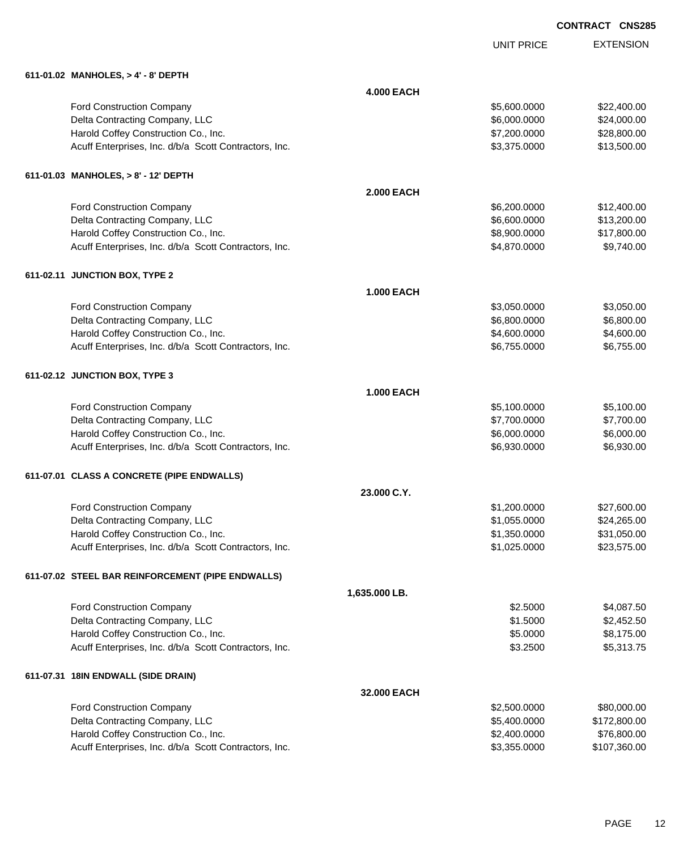UNIT PRICE

| 611-01.02 MANHOLES, > 4' - 8' DEPTH                   |                   |                |             |
|-------------------------------------------------------|-------------------|----------------|-------------|
|                                                       | <b>4.000 EACH</b> |                |             |
| Ford Construction Company                             |                   | \$5,600.0000   | \$22,400.00 |
| Delta Contracting Company, LLC                        |                   | \$6,000.0000   | \$24,000.00 |
| Harold Coffey Construction Co., Inc.                  |                   | \$7,200.0000   | \$28,800.00 |
| Acuff Enterprises, Inc. d/b/a Scott Contractors, Inc. |                   | \$3,375.0000   | \$13,500.00 |
|                                                       |                   |                |             |
| 611-01.03 MANHOLES, > 8' - 12' DEPTH                  |                   |                |             |
|                                                       | <b>2.000 EACH</b> |                |             |
| Ford Construction Company                             |                   | \$6,200.0000   | \$12,400.00 |
| Delta Contracting Company, LLC                        |                   | \$6,600.0000   | \$13,200.00 |
| Harold Coffey Construction Co., Inc.                  |                   | \$8,900.0000   | \$17,800.00 |
| Acuff Enterprises, Inc. d/b/a Scott Contractors, Inc. |                   | \$4,870.0000   | \$9,740.00  |
| 611-02.11 JUNCTION BOX, TYPE 2                        |                   |                |             |
|                                                       | <b>1.000 EACH</b> |                |             |
| Ford Construction Company                             |                   | \$3,050.0000   | \$3,050.00  |
| Delta Contracting Company, LLC                        |                   | \$6,800.0000   | \$6,800.00  |
| Harold Coffey Construction Co., Inc.                  |                   | \$4,600.0000   | \$4,600.00  |
| Acuff Enterprises, Inc. d/b/a Scott Contractors, Inc. |                   | \$6,755.0000   | \$6,755.00  |
| 611-02.12 JUNCTION BOX, TYPE 3                        |                   |                |             |
|                                                       | <b>1.000 EACH</b> |                |             |
| Ford Construction Company                             |                   | \$5,100.0000   | \$5,100.00  |
| Delta Contracting Company, LLC                        |                   | \$7,700.0000   | \$7,700.00  |
| Harold Coffey Construction Co., Inc.                  |                   | \$6,000.0000   | \$6,000.00  |
| Acuff Enterprises, Inc. d/b/a Scott Contractors, Inc. |                   | \$6,930.0000   | \$6,930.00  |
|                                                       |                   |                |             |
| 611-07.01 CLASS A CONCRETE (PIPE ENDWALLS)            |                   |                |             |
|                                                       | 23.000 C.Y.       |                |             |
| Ford Construction Company                             |                   | \$1,200.0000   | \$27,600.00 |
| Delta Contracting Company, LLC                        |                   | \$1,055.0000   | \$24,265.00 |
| Harold Coffey Construction Co., Inc.                  |                   | \$1,350.0000   | \$31,050.00 |
| Acuff Enterprises, Inc. d/b/a Scott Contractors, Inc. |                   | \$1,025.0000   | \$23,575.00 |
| 611-07.02 STEEL BAR REINFORCEMENT (PIPE ENDWALLS)     |                   |                |             |
|                                                       | 1,635.000 LB.     |                |             |
| Ford Construction Company                             |                   | \$2.5000       | \$4,087.50  |
| Delta Contracting Company, LLC                        |                   | \$1.5000       | \$2,452.50  |
| Harold Coffey Construction Co., Inc.                  |                   | \$5.0000       | \$8,175.00  |
| Acuff Enterprises, Inc. d/b/a Scott Contractors, Inc. |                   | \$3.2500       | \$5,313.75  |
| 611-07.31 18IN ENDWALL (SIDE DRAIN)                   |                   |                |             |
|                                                       | 32.000 EACH       |                |             |
| Ford Construction Company                             |                   | \$2,500.0000   | \$80,000.00 |
| Dolto Contracting Company LLC                         |                   | $E_{A00}$ 0000 | 0.7200000   |

| Ford Construction Company                             | \$2,500,0000 | \$80,000,00  |
|-------------------------------------------------------|--------------|--------------|
| Delta Contracting Company, LLC                        | \$5,400,0000 | \$172,800.00 |
| Harold Coffey Construction Co., Inc.                  | \$2,400,0000 | \$76,800,00  |
| Acuff Enterprises, Inc. d/b/a Scott Contractors, Inc. | \$3,355,0000 | \$107.360.00 |
|                                                       |              |              |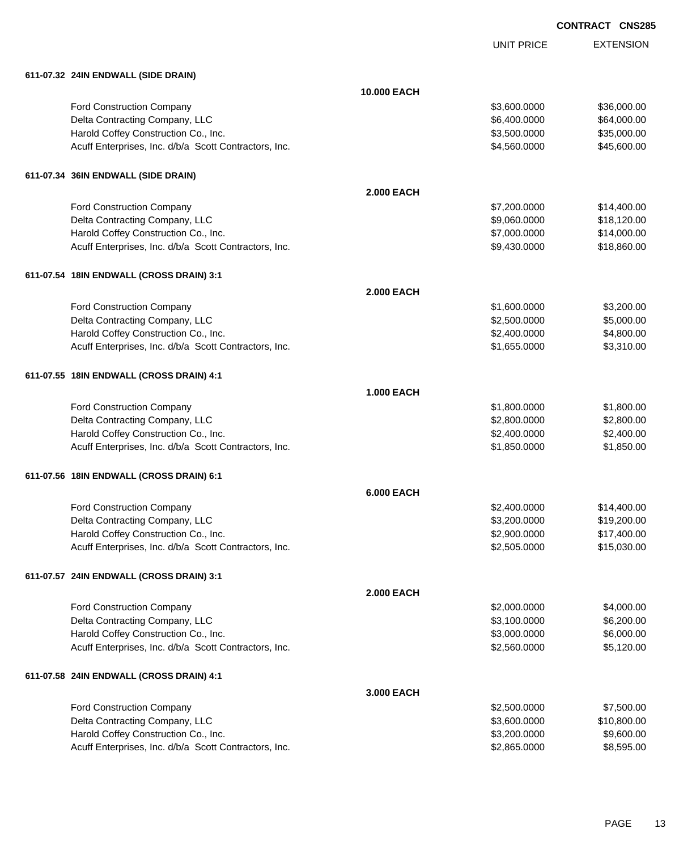UNIT PRICE

| 611-07.32 24IN ENDWALL (SIDE DRAIN) |
|-------------------------------------|
|                                     |

| 011-07-32 Z4IN ENDWALL (SIDE DRAIN)                   |                    |              |             |
|-------------------------------------------------------|--------------------|--------------|-------------|
|                                                       | <b>10.000 EACH</b> |              |             |
| Ford Construction Company                             |                    | \$3,600.0000 | \$36,000.00 |
| Delta Contracting Company, LLC                        |                    | \$6,400.0000 | \$64,000.00 |
| Harold Coffey Construction Co., Inc.                  |                    | \$3,500.0000 | \$35,000.00 |
| Acuff Enterprises, Inc. d/b/a Scott Contractors, Inc. |                    | \$4,560.0000 | \$45,600.00 |
| 611-07.34 36IN ENDWALL (SIDE DRAIN)                   |                    |              |             |
|                                                       | <b>2.000 EACH</b>  |              |             |
| <b>Ford Construction Company</b>                      |                    | \$7,200.0000 | \$14,400.00 |
| Delta Contracting Company, LLC                        |                    | \$9,060.0000 | \$18,120.00 |
| Harold Coffey Construction Co., Inc.                  |                    | \$7,000.0000 | \$14,000.00 |
| Acuff Enterprises, Inc. d/b/a Scott Contractors, Inc. |                    | \$9,430.0000 | \$18,860.00 |
| 611-07.54 18IN ENDWALL (CROSS DRAIN) 3:1              |                    |              |             |
|                                                       | <b>2.000 EACH</b>  |              |             |
| Ford Construction Company                             |                    | \$1,600.0000 | \$3,200.00  |
| Delta Contracting Company, LLC                        |                    | \$2,500.0000 | \$5,000.00  |
| Harold Coffey Construction Co., Inc.                  |                    | \$2,400.0000 | \$4,800.00  |
| Acuff Enterprises, Inc. d/b/a Scott Contractors, Inc. |                    | \$1,655.0000 | \$3,310.00  |
| 611-07.55 18IN ENDWALL (CROSS DRAIN) 4:1              |                    |              |             |
|                                                       | <b>1.000 EACH</b>  |              |             |
| Ford Construction Company                             |                    | \$1,800.0000 | \$1,800.00  |
| Delta Contracting Company, LLC                        |                    | \$2,800.0000 | \$2,800.00  |
| Harold Coffey Construction Co., Inc.                  |                    | \$2,400.0000 | \$2,400.00  |
| Acuff Enterprises, Inc. d/b/a Scott Contractors, Inc. |                    | \$1,850.0000 | \$1,850.00  |
| 611-07.56 18IN ENDWALL (CROSS DRAIN) 6:1              |                    |              |             |
|                                                       | <b>6.000 EACH</b>  |              |             |
| Ford Construction Company                             |                    | \$2,400.0000 | \$14,400.00 |
| Delta Contracting Company, LLC                        |                    | \$3,200.0000 | \$19,200.00 |
| Harold Coffey Construction Co., Inc.                  |                    | \$2,900.0000 | \$17,400.00 |
| Acuff Enterprises, Inc. d/b/a Scott Contractors, Inc. |                    | \$2,505.0000 | \$15,030.00 |
| 611-07.57 24IN ENDWALL (CROSS DRAIN) 3:1              |                    |              |             |
|                                                       | <b>2.000 EACH</b>  |              |             |
| Ford Construction Company                             |                    | \$2,000.0000 | \$4,000.00  |
| Delta Contracting Company, LLC                        |                    | \$3,100.0000 | \$6,200.00  |
| Harold Coffey Construction Co., Inc.                  |                    | \$3,000.0000 | \$6,000.00  |
| Acuff Enterprises, Inc. d/b/a Scott Contractors, Inc. |                    | \$2,560.0000 | \$5,120.00  |
| 611-07.58 24IN ENDWALL (CROSS DRAIN) 4:1              |                    |              |             |
|                                                       | 3.000 EACH         |              |             |
| Ford Construction Company                             |                    | \$2,500.0000 | \$7,500.00  |
| Delta Contracting Company, LLC                        |                    | \$3,600.0000 | \$10,800.00 |
| Harold Coffey Construction Co., Inc.                  |                    | \$3,200.0000 | \$9,600.00  |
| Acuff Enterprises, Inc. d/b/a Scott Contractors, Inc. |                    | \$2,865.0000 | \$8,595.00  |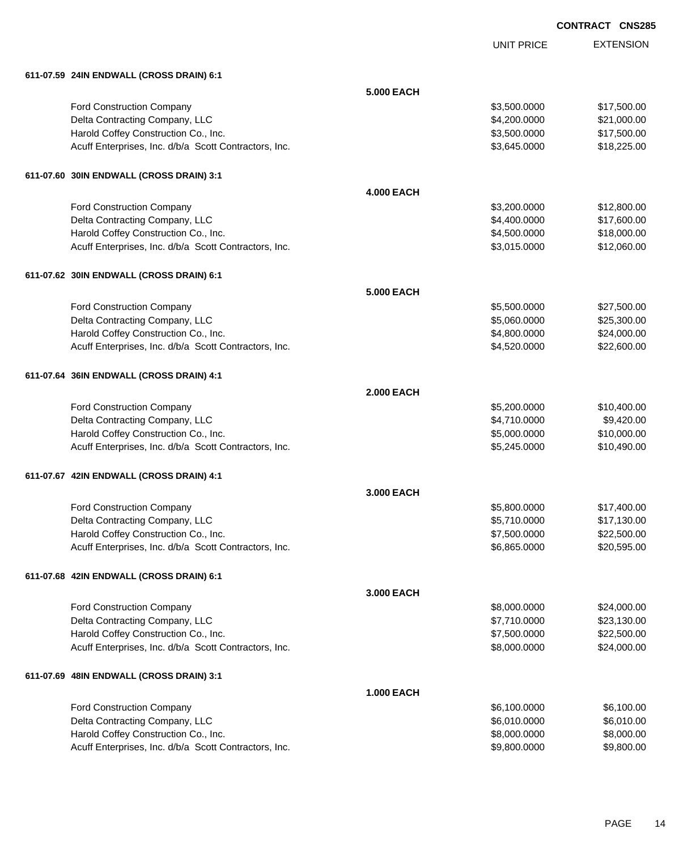UNIT PRICE

EXTENSION

| 611-07.59 24IN ENDWALL (CROSS DRAIN) 6:1              | <b>5.000 EACH</b> |              |             |
|-------------------------------------------------------|-------------------|--------------|-------------|
| Ford Construction Company                             |                   | \$3,500.0000 | \$17,500.00 |
| Delta Contracting Company, LLC                        |                   | \$4,200.0000 | \$21,000.00 |
| Harold Coffey Construction Co., Inc.                  |                   | \$3,500.0000 | \$17,500.00 |
| Acuff Enterprises, Inc. d/b/a Scott Contractors, Inc. |                   | \$3,645.0000 | \$18,225.00 |
|                                                       |                   |              |             |
| 611-07.60 30IN ENDWALL (CROSS DRAIN) 3:1              |                   |              |             |
|                                                       | <b>4.000 EACH</b> |              |             |
| Ford Construction Company                             |                   | \$3,200.0000 | \$12,800.00 |
| Delta Contracting Company, LLC                        |                   | \$4,400.0000 | \$17,600.00 |
| Harold Coffey Construction Co., Inc.                  |                   | \$4,500.0000 | \$18,000.00 |
| Acuff Enterprises, Inc. d/b/a Scott Contractors, Inc. |                   | \$3,015.0000 | \$12,060.00 |
| 611-07.62 30IN ENDWALL (CROSS DRAIN) 6:1              |                   |              |             |
|                                                       | <b>5.000 EACH</b> |              |             |
| Ford Construction Company                             |                   | \$5,500.0000 | \$27,500.00 |
| Delta Contracting Company, LLC                        |                   | \$5,060.0000 | \$25,300.00 |
| Harold Coffey Construction Co., Inc.                  |                   | \$4,800.0000 | \$24,000.00 |
| Acuff Enterprises, Inc. d/b/a Scott Contractors, Inc. |                   | \$4,520.0000 | \$22,600.00 |
| 611-07.64 36IN ENDWALL (CROSS DRAIN) 4:1              |                   |              |             |
|                                                       | <b>2.000 EACH</b> |              |             |
| Ford Construction Company                             |                   | \$5,200.0000 | \$10,400.00 |
| Delta Contracting Company, LLC                        |                   | \$4,710.0000 | \$9,420.00  |
| Harold Coffey Construction Co., Inc.                  |                   | \$5,000.0000 | \$10,000.00 |
| Acuff Enterprises, Inc. d/b/a Scott Contractors, Inc. |                   | \$5,245.0000 | \$10,490.00 |
| 611-07.67 42IN ENDWALL (CROSS DRAIN) 4:1              |                   |              |             |
|                                                       | 3.000 EACH        |              |             |
| Ford Construction Company                             |                   | \$5,800.0000 | \$17,400.00 |
| Delta Contracting Company, LLC                        |                   | \$5,710.0000 | \$17,130.00 |
| Harold Coffey Construction Co., Inc.                  |                   | \$7,500.0000 | \$22,500.00 |
| Acuff Enterprises, Inc. d/b/a Scott Contractors, Inc. |                   | \$6,865.0000 | \$20,595.00 |
| 611-07.68 42IN ENDWALL (CROSS DRAIN) 6:1              |                   |              |             |
|                                                       | 3.000 EACH        |              |             |
| <b>Ford Construction Company</b>                      |                   | \$8,000.0000 | \$24,000.00 |
| Delta Contracting Company, LLC                        |                   | \$7,710.0000 | \$23,130.00 |
| Harold Coffey Construction Co., Inc.                  |                   | \$7,500.0000 | \$22,500.00 |
| Acuff Enterprises, Inc. d/b/a Scott Contractors, Inc. |                   | \$8,000.0000 | \$24,000.00 |
| 611-07.69 48IN ENDWALL (CROSS DRAIN) 3:1              |                   |              |             |
|                                                       | <b>1.000 EACH</b> |              |             |
| Ford Construction Company                             |                   | \$6,100.0000 | \$6,100.00  |
| Delta Contracting Company, LLC                        |                   | \$6,010.0000 | \$6,010.00  |
| Harold Coffey Construction Co., Inc.                  |                   | \$8,000.0000 | \$8,000.00  |

Acuff Enterprises, Inc. d/b/a Scott Contractors, Inc. 69,800.000 \$9,800.000 \$9,800.000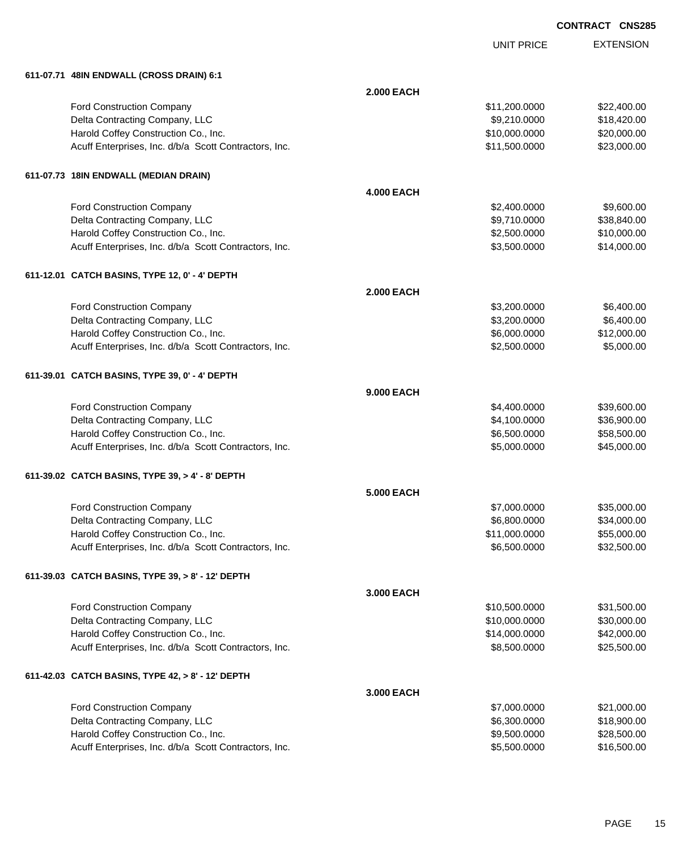|                                                       |                   | UNIT PRICE    | <b>EXTENSION</b> |
|-------------------------------------------------------|-------------------|---------------|------------------|
| 611-07.71 48IN ENDWALL (CROSS DRAIN) 6:1              |                   |               |                  |
|                                                       | <b>2.000 EACH</b> |               |                  |
| Ford Construction Company                             |                   | \$11,200.0000 | \$22,400.00      |
| Delta Contracting Company, LLC                        |                   | \$9,210.0000  | \$18,420.00      |
| Harold Coffey Construction Co., Inc.                  |                   | \$10,000.0000 | \$20,000.00      |
| Acuff Enterprises, Inc. d/b/a Scott Contractors, Inc. |                   | \$11,500.0000 | \$23,000.00      |
| 611-07.73 18IN ENDWALL (MEDIAN DRAIN)                 |                   |               |                  |
|                                                       | <b>4.000 EACH</b> |               |                  |
| Ford Construction Company                             |                   | \$2,400.0000  | \$9,600.00       |
| Delta Contracting Company, LLC                        |                   | \$9,710.0000  | \$38,840.00      |
| Harold Coffey Construction Co., Inc.                  |                   | \$2,500.0000  | \$10,000.00      |
| Acuff Enterprises, Inc. d/b/a Scott Contractors, Inc. |                   | \$3,500.0000  | \$14,000.00      |
| 611-12.01 CATCH BASINS, TYPE 12, 0' - 4' DEPTH        |                   |               |                  |
|                                                       | <b>2.000 EACH</b> |               |                  |
| <b>Ford Construction Company</b>                      |                   | \$3,200.0000  | \$6,400.00       |
| Delta Contracting Company, LLC                        |                   | \$3,200.0000  | \$6,400.00       |
| Harold Coffey Construction Co., Inc.                  |                   | \$6,000.0000  | \$12,000.00      |
| Acuff Enterprises, Inc. d/b/a Scott Contractors, Inc. |                   | \$2,500.0000  | \$5,000.00       |
| 611-39.01 CATCH BASINS, TYPE 39, 0' - 4' DEPTH        |                   |               |                  |
|                                                       | <b>9.000 EACH</b> |               |                  |
| Ford Construction Company                             |                   | \$4,400.0000  | \$39,600.00      |
| Delta Contracting Company, LLC                        |                   | \$4,100.0000  | \$36,900.00      |
| Harold Coffey Construction Co., Inc.                  |                   | \$6,500.0000  | \$58,500.00      |
| Acuff Enterprises, Inc. d/b/a Scott Contractors, Inc. |                   | \$5,000.0000  | \$45,000.00      |
| 611-39.02 CATCH BASINS, TYPE 39, > 4' - 8' DEPTH      |                   |               |                  |
|                                                       | <b>5.000 EACH</b> |               |                  |
| <b>Ford Construction Company</b>                      |                   | \$7,000.0000  | \$35,000.00      |
| Delta Contracting Company, LLC                        |                   | \$6,800.0000  | \$34,000.00      |
| Harold Coffey Construction Co., Inc.                  |                   | \$11,000.0000 | \$55,000.00      |
| Acuff Enterprises, Inc. d/b/a Scott Contractors, Inc. |                   | \$6,500.0000  | \$32,500.00      |
| 611-39.03 CATCH BASINS, TYPE 39, > 8' - 12' DEPTH     |                   |               |                  |
|                                                       | 3.000 EACH        |               |                  |
| Ford Construction Company                             |                   | \$10,500.0000 | \$31,500.00      |
| Delta Contracting Company, LLC                        |                   | \$10,000.0000 | \$30,000.00      |
| Harold Coffey Construction Co., Inc.                  |                   | \$14,000.0000 | \$42,000.00      |
| Acuff Enterprises, Inc. d/b/a Scott Contractors, Inc. |                   | \$8,500.0000  | \$25,500.00      |
| 611-42.03 CATCH BASINS, TYPE 42, > 8' - 12' DEPTH     |                   |               |                  |
|                                                       | 3.000 EACH        |               |                  |
| Ford Construction Company                             |                   | \$7,000.0000  | \$21,000.00      |
| Delta Contracting Company, LLC                        |                   | \$6,300.0000  | \$18,900.00      |
| Harold Coffey Construction Co., Inc.                  |                   | \$9,500.0000  | \$28,500.00      |
| Acuff Enterprises, Inc. d/b/a Scott Contractors, Inc. |                   | \$5,500.0000  | \$16,500.00      |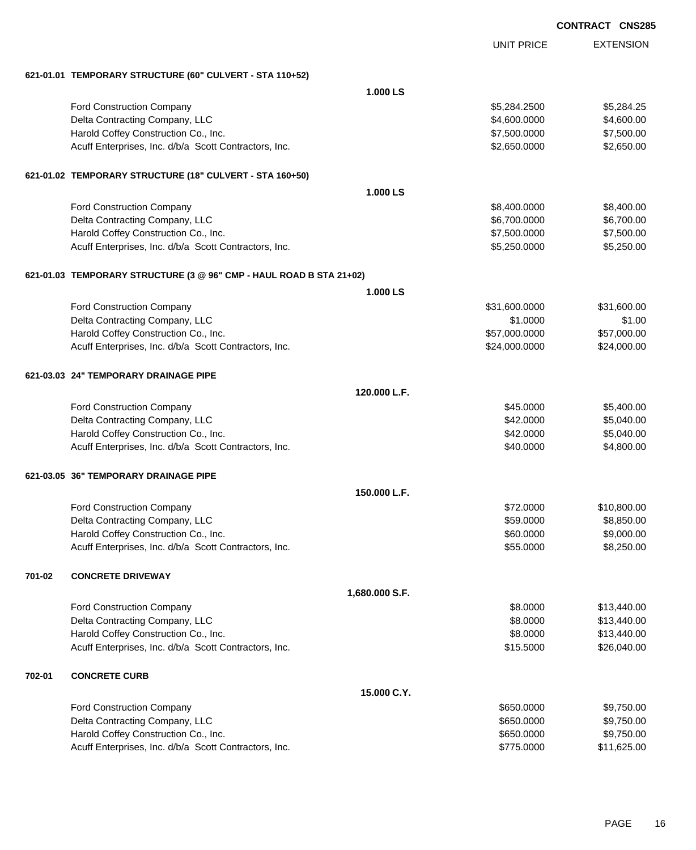|        |                                                                     |                | <b>UNIT PRICE</b> | <b>EXTENSION</b> |
|--------|---------------------------------------------------------------------|----------------|-------------------|------------------|
|        | 621-01.01 TEMPORARY STRUCTURE (60" CULVERT - STA 110+52)            |                |                   |                  |
|        |                                                                     | 1.000 LS       |                   |                  |
|        | Ford Construction Company                                           |                | \$5,284.2500      | \$5,284.25       |
|        | Delta Contracting Company, LLC                                      |                | \$4,600.0000      | \$4,600.00       |
|        | Harold Coffey Construction Co., Inc.                                |                | \$7,500.0000      | \$7,500.00       |
|        | Acuff Enterprises, Inc. d/b/a Scott Contractors, Inc.               |                | \$2,650.0000      | \$2,650.00       |
|        | 621-01.02 TEMPORARY STRUCTURE (18" CULVERT - STA 160+50)            |                |                   |                  |
|        |                                                                     | 1.000 LS       |                   |                  |
|        | Ford Construction Company                                           |                | \$8,400.0000      | \$8,400.00       |
|        | Delta Contracting Company, LLC                                      |                | \$6,700.0000      | \$6,700.00       |
|        | Harold Coffey Construction Co., Inc.                                |                | \$7,500.0000      | \$7,500.00       |
|        | Acuff Enterprises, Inc. d/b/a Scott Contractors, Inc.               |                | \$5,250.0000      | \$5,250.00       |
|        | 621-01.03 TEMPORARY STRUCTURE (3 @ 96" CMP - HAUL ROAD B STA 21+02) |                |                   |                  |
|        |                                                                     | 1.000 LS       |                   |                  |
|        | <b>Ford Construction Company</b>                                    |                | \$31,600.0000     | \$31,600.00      |
|        | Delta Contracting Company, LLC                                      |                | \$1.0000          | \$1.00           |
|        | Harold Coffey Construction Co., Inc.                                |                | \$57,000.0000     | \$57,000.00      |
|        | Acuff Enterprises, Inc. d/b/a Scott Contractors, Inc.               |                | \$24,000.0000     | \$24,000.00      |
|        | 621-03.03 24" TEMPORARY DRAINAGE PIPE                               |                |                   |                  |
|        |                                                                     | 120,000 L.F.   |                   |                  |
|        | Ford Construction Company                                           |                | \$45.0000         | \$5,400.00       |
|        | Delta Contracting Company, LLC                                      |                | \$42.0000         | \$5,040.00       |
|        | Harold Coffey Construction Co., Inc.                                |                | \$42.0000         | \$5,040.00       |
|        | Acuff Enterprises, Inc. d/b/a Scott Contractors, Inc.               |                | \$40.0000         | \$4,800.00       |
|        | 621-03.05 36" TEMPORARY DRAINAGE PIPE                               |                |                   |                  |
|        |                                                                     | 150,000 L.F.   |                   |                  |
|        | <b>Ford Construction Company</b>                                    |                | \$72,0000         | \$10,800.00      |
|        | Delta Contracting Company, LLC                                      |                | \$59.0000         | \$8,850.00       |
|        | Harold Coffey Construction Co., Inc.                                |                | \$60.0000         | \$9,000.00       |
|        | Acuff Enterprises, Inc. d/b/a Scott Contractors, Inc.               |                | \$55.0000         | \$8,250.00       |
| 701-02 | <b>CONCRETE DRIVEWAY</b>                                            |                |                   |                  |
|        |                                                                     | 1,680.000 S.F. |                   |                  |
|        | <b>Ford Construction Company</b>                                    |                | \$8.0000          | \$13,440.00      |
|        | Delta Contracting Company, LLC                                      |                | \$8.0000          | \$13,440.00      |
|        | Harold Coffey Construction Co., Inc.                                |                | \$8.0000          | \$13,440.00      |
|        | Acuff Enterprises, Inc. d/b/a Scott Contractors, Inc.               |                | \$15.5000         | \$26,040.00      |
| 702-01 | <b>CONCRETE CURB</b>                                                |                |                   |                  |
|        |                                                                     | 15.000 C.Y.    |                   |                  |
|        | <b>Ford Construction Company</b>                                    |                | \$650.0000        | \$9,750.00       |
|        | Delta Contracting Company, LLC                                      |                | \$650.0000        | \$9,750.00       |
|        | Harold Coffey Construction Co., Inc.                                |                | \$650.0000        | \$9,750.00       |
|        | Acuff Enterprises, Inc. d/b/a Scott Contractors, Inc.               |                | \$775.0000        | \$11,625.00      |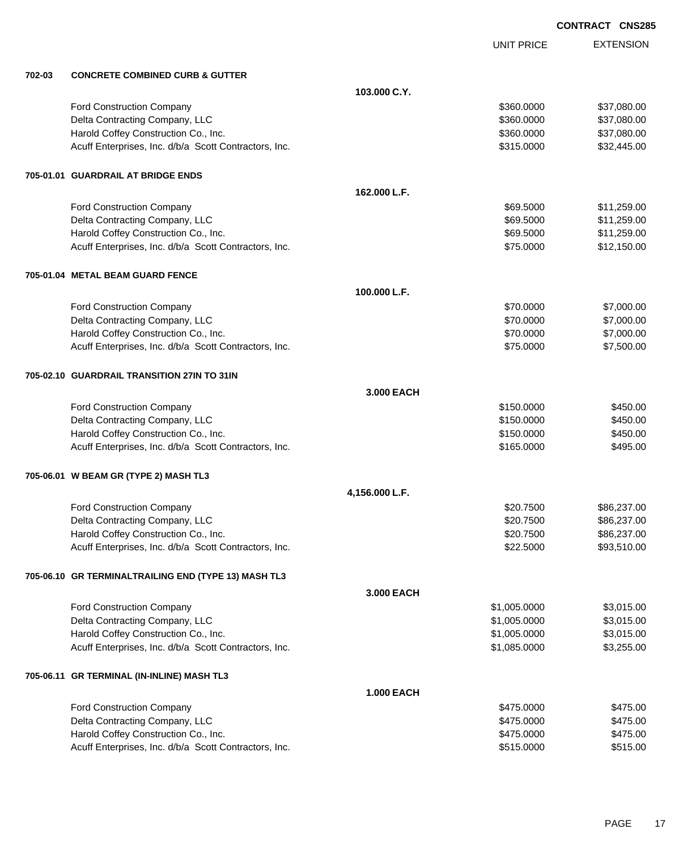EXTENSION UNIT PRICE **702-03 CONCRETE COMBINED CURB & GUTTER 103.000 C.Y.** Ford Construction Company **\$360.000 \$37,080.00** \$360.000 \$37,080.00 Delta Contracting Company, LLC 60000 \$37,080.000 \$37,080.000 \$37,080.000 Harold Coffey Construction Co., Inc. 6. The Construction Co., Inc. 6360.000 \$360.000 \$37,080.00 Acuff Enterprises, Inc. d/b/a Scott Contractors, Inc. 6315.0000 \$315.0000 \$32,445.00 **705-01.01 GUARDRAIL AT BRIDGE ENDS 162.000 L.F.** Ford Construction Company **69.5000** \$11,259.00 Delta Contracting Company, LLC **but a set of the set of the set of the set of the set of the set of the set of the set of the set of the set of the set of the set of the set of the set of the set of the set of the set of t** Harold Coffey Construction Co., Inc. 69.600 \$11,259.00 \$11,259.00 Acuff Enterprises, Inc. d/b/a Scott Contractors, Inc. \$75.0000 \$12,150.00 **705-01.04 METAL BEAM GUARD FENCE 100.000 L.F.** Ford Construction Company 67,000.00 \$7,000.00 \$7,000.00 \$7,000.00 \$7,000.00 \$7,000.00 \$7,000.00 \$7,000.00 \$7,000 Delta Contracting Company, LLC **but a contraction of the Contraction Contraction Contraction Contraction Contraction Contraction Contraction Contraction Contraction Contraction Contraction Contraction Contraction Contracti** Harold Coffey Construction Co., Inc. 6. The Construction Co., Inc. \$70.0000 \$7,000.00 Acuff Enterprises, Inc. d/b/a Scott Contractors, Inc. 675.0000 \$75.0000 \$7,500.00 **705-02.10 GUARDRAIL TRANSITION 27IN TO 31IN 3.000 EACH** Ford Construction Company 6450.000 \$450.000 \$450.000 \$450.000 \$450.000 \$450.000 \$450.00 Delta Contracting Company, LLC 6450.000 \$450.000 \$450.000 \$450.000 Harold Coffey Construction Co., Inc. 6450.000 \$450.00 \$450.000 \$450.00 Acuff Enterprises, Inc. d/b/a Scott Contractors, Inc. 6495.000 \$495.000 \$495.000 **705-06.01 W BEAM GR (TYPE 2) MASH TL3 4,156.000 L.F.** Ford Construction Company 686,237.00 Delta Contracting Company, LLC **\$20.7500** \$86,237.00 Harold Coffey Construction Co., Inc. 6. The Construction Co., Inc. \$20.7500 \$86,237.00 Acuff Enterprises, Inc. d/b/a Scott Contractors, Inc. 693,510.00 \$93,510.00 **705-06.10 GR TERMINALTRAILING END (TYPE 13) MASH TL3 3.000 EACH** Ford Construction Company 63,015.00 Delta Contracting Company, LLC 6. The contraction of the contraction of the state of the state of the state of the state of the state of the state of the state of the state of the state of the state of the state of the sta Harold Coffey Construction Co., Inc. 6. The Construction Co., Inc. 6. The Construction Co., Inc. 6. The Const Acuff Enterprises, Inc. d/b/a Scott Contractors, Inc. 6. The State of the State of the State of the State of S3,255.00 **705-06.11 GR TERMINAL (IN-INLINE) MASH TL3 1.000 EACH** Ford Construction Company 6475.000 \$475.000 \$475.000 \$475.000 \$475.000 \$475.000 \$475.000 \$475.00 Delta Contracting Company, LLC 6475.000 \$475.000 \$475.000 Harold Coffey Construction Co., Inc. 66 and the construction Co., Inc. 6475.000 \$475.000 \$475.000 Acuff Enterprises, Inc. d/b/a Scott Contractors, Inc.  $$515.000$  \$515.0000 \$515.00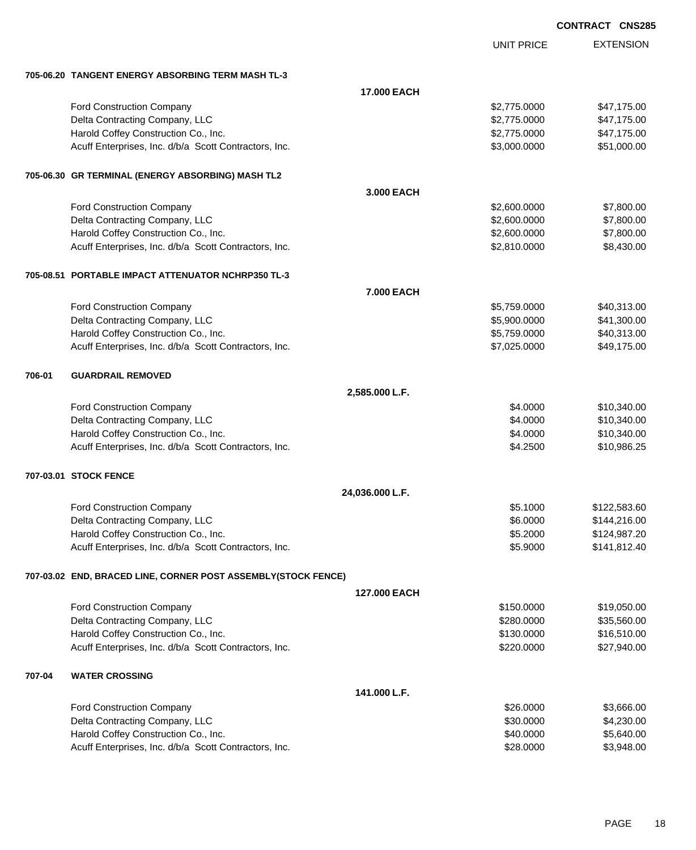|        |                                                               |                 |                             | <b>CONTRACT CNS285</b> |                      |
|--------|---------------------------------------------------------------|-----------------|-----------------------------|------------------------|----------------------|
|        |                                                               |                 | <b>UNIT PRICE</b>           |                        | <b>EXTENSION</b>     |
|        | 705-06.20 TANGENT ENERGY ABSORBING TERM MASH TL-3             |                 |                             |                        |                      |
|        |                                                               | 17.000 EACH     |                             |                        |                      |
|        | Ford Construction Company                                     |                 | \$2,775.0000                |                        | \$47,175.00          |
|        | Delta Contracting Company, LLC                                |                 | \$2,775.0000                |                        | \$47,175.00          |
|        | Harold Coffey Construction Co., Inc.                          |                 | \$2,775.0000                |                        | \$47,175.00          |
|        | Acuff Enterprises, Inc. d/b/a Scott Contractors, Inc.         |                 | \$3,000.0000                |                        | \$51,000.00          |
|        | 705-06.30   GR TERMINAL (ENERGY ABSORBING) MASH TL2           |                 |                             |                        |                      |
|        |                                                               | 3.000 EACH      |                             |                        |                      |
|        | Ford Construction Company                                     |                 | \$2,600.0000                |                        | \$7,800.00           |
|        | Delta Contracting Company, LLC                                |                 | \$2,600.0000                |                        | \$7,800.00           |
|        | Harold Coffey Construction Co., Inc.                          |                 | \$2,600.0000                |                        | \$7,800.00           |
|        | Acuff Enterprises, Inc. d/b/a Scott Contractors, Inc.         |                 | \$2,810.0000                |                        | \$8,430.00           |
|        | 705-08.51 PORTABLE IMPACT ATTENUATOR NCHRP350 TL-3            |                 |                             |                        |                      |
|        |                                                               | 7.000 EACH      |                             |                        |                      |
|        | Ford Construction Company                                     |                 | \$5,759.0000                |                        | \$40,313.00          |
|        | Delta Contracting Company, LLC                                |                 | \$5,900.0000                |                        | \$41,300.00          |
|        | Harold Coffey Construction Co., Inc.                          |                 | \$5,759.0000                |                        | \$40,313.00          |
|        | Acuff Enterprises, Inc. d/b/a Scott Contractors, Inc.         |                 | \$7,025.0000                |                        | \$49,175.00          |
| 706-01 | <b>GUARDRAIL REMOVED</b>                                      |                 |                             |                        |                      |
|        |                                                               | 2,585.000 L.F.  |                             |                        |                      |
|        | Ford Construction Company                                     |                 | \$4.0000                    |                        | \$10,340.00          |
|        | Delta Contracting Company, LLC                                |                 | \$4.0000                    |                        | \$10,340.00          |
|        | Harold Coffey Construction Co., Inc.                          |                 | \$4.0000                    |                        | \$10,340.00          |
|        | Acuff Enterprises, Inc. d/b/a Scott Contractors, Inc.         |                 | \$4.2500                    |                        | \$10,986.25          |
|        | 707-03.01 STOCK FENCE                                         |                 |                             |                        |                      |
|        |                                                               | 24,036.000 L.F. |                             |                        |                      |
|        | Ford Construction Company                                     |                 | \$5.1000                    |                        | \$122,583.60         |
|        | Delta Contracting Company, LLC                                |                 | \$6.0000                    |                        | \$144,216.00         |
|        | Harold Coffey Construction Co., Inc.                          |                 | \$5.2000                    |                        | \$124,987.20         |
|        | Acuff Enterprises, Inc. d/b/a Scott Contractors, Inc.         |                 | \$5.9000                    |                        | \$141,812.40         |
|        | 707-03.02 END, BRACED LINE, CORNER POST ASSEMBLY(STOCK FENCE) |                 |                             |                        |                      |
|        |                                                               | 127.000 EACH    |                             |                        |                      |
|        | Ford Construction Company                                     |                 | \$150.0000                  |                        | \$19,050.00          |
|        | Delta Contracting Company, LLC                                |                 | \$280.0000                  |                        | \$35,560.00          |
|        | Harold Coffey Construction Co., Inc.                          |                 | \$130.0000                  |                        | \$16,510.00          |
|        | Acuff Enterprises, Inc. d/b/a Scott Contractors, Inc.         |                 | \$220.0000                  |                        | \$27,940.00          |
| 707-04 | <b>WATER CROSSING</b>                                         |                 |                             |                        |                      |
|        |                                                               | 141.000 L.F.    |                             |                        |                      |
|        | Ford Construction Company<br>Dolto Contracting Company LLC    |                 | \$26.0000<br><b>COO OOO</b> |                        | \$3,666.00<br>0.0000 |
|        |                                                               |                 |                             |                        |                      |

| i vid Oviištidčtivii Oviiipaliv                       | web.oou   | vu.uuu.uu  |
|-------------------------------------------------------|-----------|------------|
| Delta Contracting Company, LLC                        | \$30,0000 | \$4,230,00 |
| Harold Coffey Construction Co., Inc.                  | \$40,0000 | \$5.640.00 |
| Acuff Enterprises, Inc. d/b/a Scott Contractors, Inc. | \$28,0000 | \$3.948.00 |
|                                                       |           |            |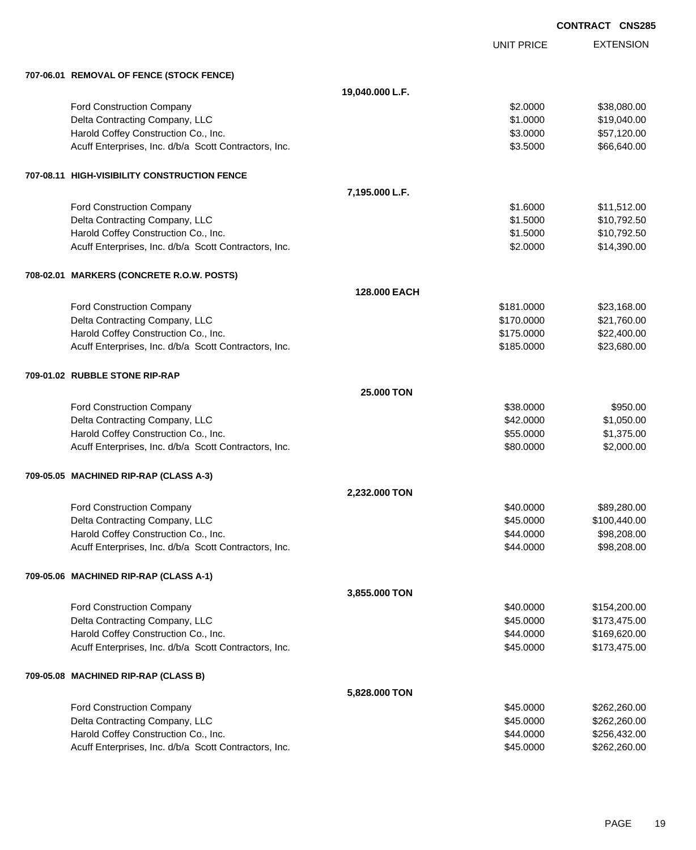|                                                       |                   |                   | <b>CONTRACT CNS285</b> |
|-------------------------------------------------------|-------------------|-------------------|------------------------|
|                                                       |                   | <b>UNIT PRICE</b> | <b>EXTENSION</b>       |
| 707-06.01 REMOVAL OF FENCE (STOCK FENCE)              |                   |                   |                        |
|                                                       | 19,040.000 L.F.   |                   |                        |
| <b>Ford Construction Company</b>                      |                   | \$2.0000          | \$38,080.00            |
| Delta Contracting Company, LLC                        |                   | \$1.0000          | \$19,040.00            |
| Harold Coffey Construction Co., Inc.                  |                   | \$3.0000          | \$57,120.00            |
| Acuff Enterprises, Inc. d/b/a Scott Contractors, Inc. |                   | \$3.5000          | \$66,640.00            |
| 707-08.11 HIGH-VISIBILITY CONSTRUCTION FENCE          |                   |                   |                        |
|                                                       | 7,195.000 L.F.    |                   |                        |
| <b>Ford Construction Company</b>                      |                   | \$1.6000          | \$11,512.00            |
| Delta Contracting Company, LLC                        |                   | \$1.5000          | \$10,792.50            |
| Harold Coffey Construction Co., Inc.                  |                   | \$1.5000          | \$10,792.50            |
| Acuff Enterprises, Inc. d/b/a Scott Contractors, Inc. |                   | \$2.0000          | \$14,390.00            |
| 708-02.01 MARKERS (CONCRETE R.O.W. POSTS)             |                   |                   |                        |
|                                                       | 128.000 EACH      |                   |                        |
| Ford Construction Company                             |                   | \$181.0000        | \$23,168.00            |
| Delta Contracting Company, LLC                        |                   | \$170.0000        | \$21,760.00            |
| Harold Coffey Construction Co., Inc.                  |                   | \$175.0000        | \$22,400.00            |
| Acuff Enterprises, Inc. d/b/a Scott Contractors, Inc. |                   | \$185.0000        | \$23,680.00            |
| 709-01.02 RUBBLE STONE RIP-RAP                        |                   |                   |                        |
|                                                       | <b>25,000 TON</b> |                   |                        |
| Ford Construction Company                             |                   | \$38.0000         | \$950.00               |
| Delta Contracting Company, LLC                        |                   | \$42.0000         | \$1,050.00             |
| Harold Coffey Construction Co., Inc.                  |                   | \$55.0000         | \$1,375.00             |
| Acuff Enterprises, Inc. d/b/a Scott Contractors, Inc. |                   | \$80.0000         | \$2,000.00             |
| 709-05.05 MACHINED RIP-RAP (CLASS A-3)                |                   |                   |                        |
|                                                       | 2,232.000 TON     |                   |                        |
| <b>Ford Construction Company</b>                      |                   | \$40.0000         | \$89,280.00            |
| Delta Contracting Company, LLC                        |                   | \$45.0000         | \$100,440.00           |
| Harold Coffey Construction Co., Inc.                  |                   | \$44.0000         | \$98,208.00            |
| Acuff Enterprises, Inc. d/b/a Scott Contractors, Inc. |                   | \$44.0000         | \$98,208.00            |
| 709-05.06 MACHINED RIP-RAP (CLASS A-1)                |                   |                   |                        |
|                                                       | 3,855.000 TON     |                   |                        |
| Ford Construction Company                             |                   | \$40.0000         | \$154,200.00           |
| Delta Contracting Company, LLC                        |                   | \$45.0000         | \$173,475.00           |
| Harold Coffey Construction Co., Inc.                  |                   | \$44.0000         | \$169,620.00           |
| Acuff Enterprises, Inc. d/b/a Scott Contractors, Inc. |                   | \$45.0000         | \$173,475.00           |
| 709-05.08 MACHINED RIP-RAP (CLASS B)                  |                   |                   |                        |
|                                                       | 5,828.000 TON     |                   |                        |
| Ford Construction Company                             |                   | \$45.0000         | \$262,260.00           |
| Delta Contracting Company, LLC                        |                   | \$45.0000         | \$262,260.00           |
| Harold Coffey Construction Co., Inc.                  |                   | \$44.0000         | \$256,432.00           |
| Acuff Enterprises, Inc. d/b/a Scott Contractors, Inc. |                   | \$45.0000         | \$262,260.00           |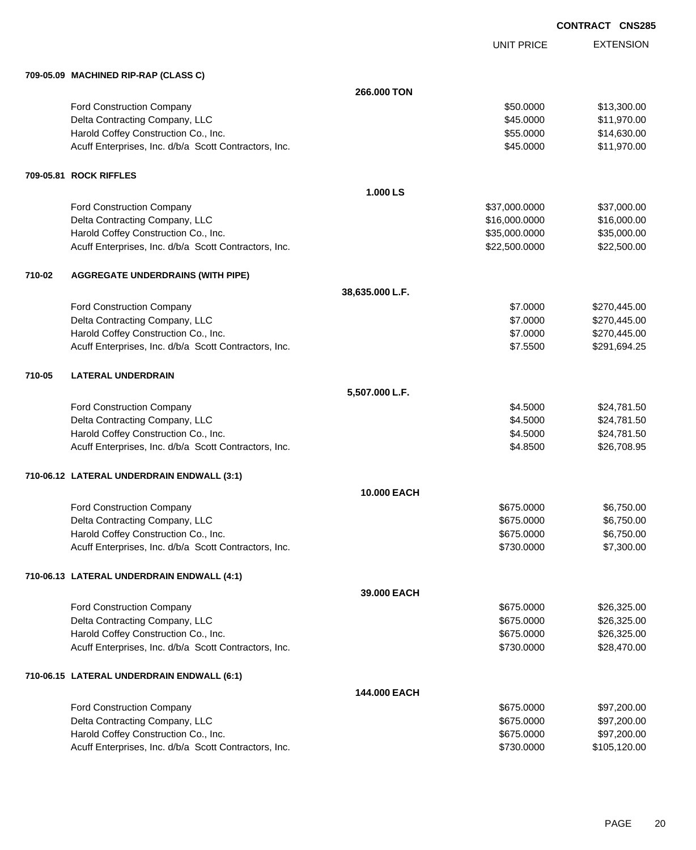UNIT PRICE

|        | 709-05.09 MACHINED RIP-RAP (CLASS C)                  |                 |               |              |
|--------|-------------------------------------------------------|-----------------|---------------|--------------|
|        |                                                       | 266.000 TON     |               |              |
|        | Ford Construction Company                             |                 | \$50.0000     | \$13,300.00  |
|        | Delta Contracting Company, LLC                        |                 | \$45.0000     | \$11,970.00  |
|        | Harold Coffey Construction Co., Inc.                  |                 | \$55.0000     | \$14,630.00  |
|        | Acuff Enterprises, Inc. d/b/a Scott Contractors, Inc. |                 | \$45.0000     | \$11,970.00  |
|        | 709-05.81 ROCK RIFFLES                                |                 |               |              |
|        |                                                       | 1.000 LS        |               |              |
|        | Ford Construction Company                             |                 | \$37,000.0000 | \$37,000.00  |
|        | Delta Contracting Company, LLC                        |                 | \$16,000.0000 | \$16,000.00  |
|        | Harold Coffey Construction Co., Inc.                  |                 | \$35,000.0000 | \$35,000.00  |
|        | Acuff Enterprises, Inc. d/b/a Scott Contractors, Inc. |                 | \$22,500.0000 | \$22,500.00  |
| 710-02 | <b>AGGREGATE UNDERDRAINS (WITH PIPE)</b>              |                 |               |              |
|        |                                                       | 38,635.000 L.F. |               |              |
|        | Ford Construction Company                             |                 | \$7.0000      | \$270,445.00 |
|        | Delta Contracting Company, LLC                        |                 | \$7.0000      | \$270,445.00 |
|        | Harold Coffey Construction Co., Inc.                  |                 | \$7.0000      | \$270,445.00 |
|        | Acuff Enterprises, Inc. d/b/a Scott Contractors, Inc. |                 | \$7.5500      | \$291,694.25 |
| 710-05 | <b>LATERAL UNDERDRAIN</b>                             |                 |               |              |
|        |                                                       | 5,507.000 L.F.  |               |              |
|        | Ford Construction Company                             |                 | \$4.5000      | \$24,781.50  |
|        | Delta Contracting Company, LLC                        |                 | \$4.5000      | \$24,781.50  |
|        | Harold Coffey Construction Co., Inc.                  |                 | \$4.5000      | \$24,781.50  |
|        | Acuff Enterprises, Inc. d/b/a Scott Contractors, Inc. |                 | \$4.8500      | \$26,708.95  |
|        | 710-06.12 LATERAL UNDERDRAIN ENDWALL (3:1)            |                 |               |              |
|        |                                                       | 10.000 EACH     |               |              |
|        | <b>Ford Construction Company</b>                      |                 | \$675.0000    | \$6,750.00   |
|        | Delta Contracting Company, LLC                        |                 | \$675.0000    | \$6,750.00   |
|        | Harold Coffey Construction Co., Inc.                  |                 | \$675.0000    | \$6,750.00   |
|        | Acuff Enterprises, Inc. d/b/a Scott Contractors, Inc. |                 | \$730.0000    | \$7,300.00   |
|        | 710-06.13 LATERAL UNDERDRAIN ENDWALL (4:1)            |                 |               |              |
|        |                                                       | 39.000 EACH     |               |              |
|        | Ford Construction Company                             |                 | \$675.0000    | \$26,325.00  |
|        | Delta Contracting Company, LLC                        |                 | \$675.0000    | \$26,325.00  |
|        | Harold Coffey Construction Co., Inc.                  |                 | \$675.0000    | \$26,325.00  |
|        | Acuff Enterprises, Inc. d/b/a Scott Contractors, Inc. |                 | \$730.0000    | \$28,470.00  |
|        | 710-06.15 LATERAL UNDERDRAIN ENDWALL (6:1)            |                 |               |              |
|        |                                                       | 144,000 EACH    |               |              |
|        | Ford Construction Company                             |                 | \$675.0000    | \$97,200.00  |
|        | Delta Contracting Company, LLC                        |                 | \$675.0000    | \$97,200.00  |
|        | Harold Coffey Construction Co., Inc.                  |                 | \$675.0000    | \$97,200.00  |
|        | Acuff Enterprises, Inc. d/b/a Scott Contractors, Inc. |                 | \$730.0000    | \$105,120.00 |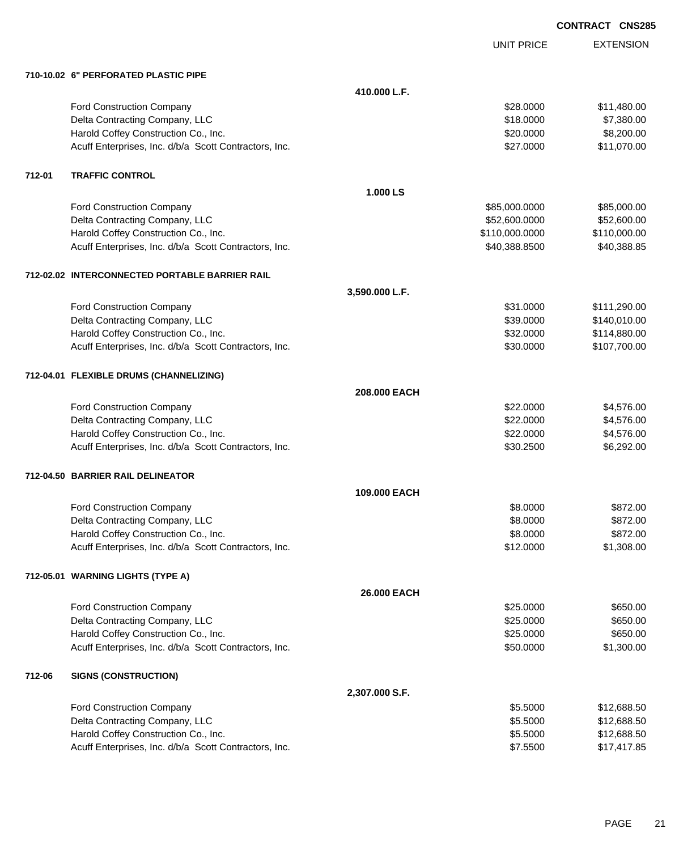EXTENSION **CONTRACT CNS285**

UNIT PRICE

|        | 710-10.02 6" PERFORATED PLASTIC PIPE                  |                |                |              |
|--------|-------------------------------------------------------|----------------|----------------|--------------|
|        |                                                       | 410.000 L.F.   |                |              |
|        | <b>Ford Construction Company</b>                      |                | \$28.0000      | \$11,480.00  |
|        | Delta Contracting Company, LLC                        |                | \$18.0000      | \$7,380.00   |
|        | Harold Coffey Construction Co., Inc.                  |                | \$20.0000      | \$8,200.00   |
|        | Acuff Enterprises, Inc. d/b/a Scott Contractors, Inc. |                | \$27.0000      | \$11,070.00  |
| 712-01 | <b>TRAFFIC CONTROL</b>                                |                |                |              |
|        |                                                       | 1.000 LS       |                |              |
|        | Ford Construction Company                             |                | \$85,000.0000  | \$85,000.00  |
|        | Delta Contracting Company, LLC                        |                | \$52,600.0000  | \$52,600.00  |
|        | Harold Coffey Construction Co., Inc.                  |                | \$110,000.0000 | \$110,000.00 |
|        | Acuff Enterprises, Inc. d/b/a Scott Contractors, Inc. |                | \$40,388.8500  | \$40,388.85  |
|        | 712-02.02 INTERCONNECTED PORTABLE BARRIER RAIL        |                |                |              |
|        |                                                       | 3,590.000 L.F. |                |              |
|        | Ford Construction Company                             |                | \$31.0000      | \$111,290.00 |
|        | Delta Contracting Company, LLC                        |                | \$39.0000      | \$140,010.00 |
|        | Harold Coffey Construction Co., Inc.                  |                | \$32.0000      | \$114,880.00 |
|        | Acuff Enterprises, Inc. d/b/a Scott Contractors, Inc. |                | \$30.0000      | \$107,700.00 |
|        | 712-04.01 FLEXIBLE DRUMS (CHANNELIZING)               |                |                |              |
|        |                                                       | 208.000 EACH   |                |              |
|        | Ford Construction Company                             |                | \$22.0000      | \$4,576.00   |
|        | Delta Contracting Company, LLC                        |                | \$22.0000      | \$4,576.00   |
|        | Harold Coffey Construction Co., Inc.                  |                | \$22.0000      | \$4,576.00   |
|        | Acuff Enterprises, Inc. d/b/a Scott Contractors, Inc. |                | \$30.2500      | \$6,292.00   |
|        | 712-04.50 BARRIER RAIL DELINEATOR                     |                |                |              |
|        |                                                       | 109.000 EACH   |                |              |
|        | <b>Ford Construction Company</b>                      |                | \$8.0000       | \$872.00     |
|        | Delta Contracting Company, LLC                        |                | \$8.0000       | \$872.00     |
|        | Harold Coffey Construction Co., Inc.                  |                | \$8.0000       | \$872.00     |
|        | Acuff Enterprises, Inc. d/b/a Scott Contractors, Inc. |                | \$12.0000      | \$1,308.00   |
|        | 712-05.01 WARNING LIGHTS (TYPE A)                     |                |                |              |
|        |                                                       | 26.000 EACH    |                |              |
|        | Ford Construction Company                             |                | \$25.0000      | \$650.00     |
|        | Delta Contracting Company, LLC                        |                | \$25.0000      | \$650.00     |
|        | Harold Coffey Construction Co., Inc.                  |                | \$25.0000      | \$650.00     |
|        | Acuff Enterprises, Inc. d/b/a Scott Contractors, Inc. |                | \$50.0000      | \$1,300.00   |
| 712-06 | <b>SIGNS (CONSTRUCTION)</b>                           |                |                |              |
|        |                                                       | 2,307.000 S.F. |                |              |
|        | Ford Construction Company                             |                | \$5.5000       | \$12,688.50  |
|        | Delta Contracting Company, LLC                        |                | \$5.5000       | \$12,688.50  |
|        | Harold Coffey Construction Co., Inc.                  |                | \$5.5000       | \$12,688.50  |
|        | Acuff Enterprises, Inc. d/b/a Scott Contractors, Inc. |                | \$7.5500       | \$17,417.85  |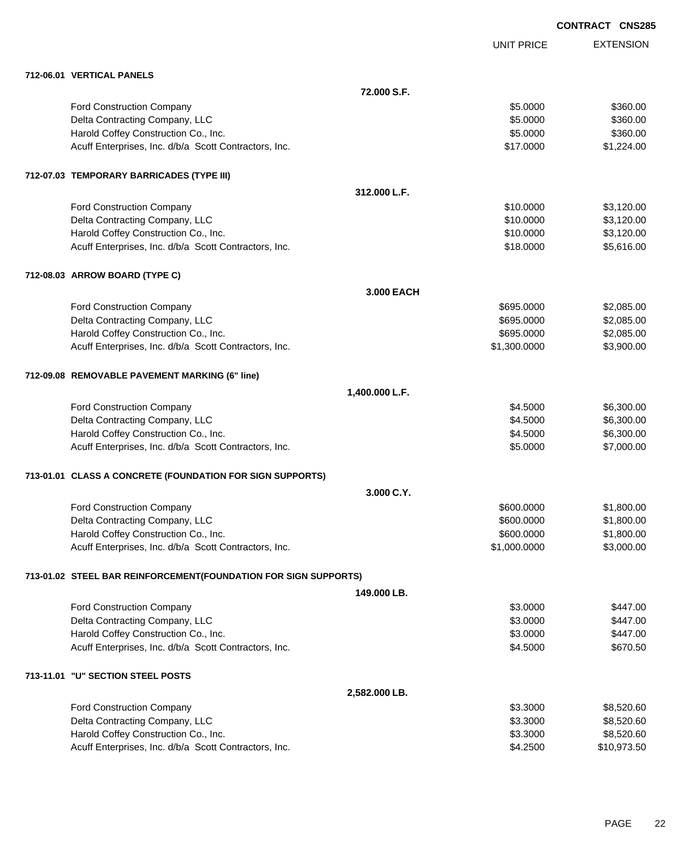|                                                                 |                |                   | <b>CONTRACT CNS285</b> |                  |
|-----------------------------------------------------------------|----------------|-------------------|------------------------|------------------|
|                                                                 |                | <b>UNIT PRICE</b> |                        | <b>EXTENSION</b> |
| 712-06.01 VERTICAL PANELS                                       |                |                   |                        |                  |
|                                                                 | 72,000 S.F.    |                   |                        |                  |
| Ford Construction Company                                       |                | \$5.0000          |                        | \$360.00         |
| Delta Contracting Company, LLC                                  |                | \$5.0000          |                        | \$360.00         |
| Harold Coffey Construction Co., Inc.                            |                | \$5.0000          |                        | \$360.00         |
| Acuff Enterprises, Inc. d/b/a Scott Contractors, Inc.           |                | \$17.0000         |                        | \$1,224.00       |
| 712-07.03 TEMPORARY BARRICADES (TYPE III)                       |                |                   |                        |                  |
|                                                                 | 312.000 L.F.   |                   |                        |                  |
| Ford Construction Company                                       |                | \$10.0000         |                        | \$3,120.00       |
| Delta Contracting Company, LLC                                  |                | \$10.0000         |                        | \$3,120.00       |
| Harold Coffey Construction Co., Inc.                            |                | \$10.0000         |                        | \$3,120.00       |
| Acuff Enterprises, Inc. d/b/a Scott Contractors, Inc.           |                | \$18,0000         |                        | \$5,616.00       |
| 712-08.03 ARROW BOARD (TYPE C)                                  |                |                   |                        |                  |
|                                                                 | 3.000 EACH     |                   |                        |                  |
| Ford Construction Company                                       |                | \$695.0000        |                        | \$2,085.00       |
| Delta Contracting Company, LLC                                  |                | \$695.0000        |                        | \$2,085.00       |
| Harold Coffey Construction Co., Inc.                            |                | \$695.0000        |                        | \$2,085.00       |
| Acuff Enterprises, Inc. d/b/a Scott Contractors, Inc.           |                | \$1,300.0000      |                        | \$3,900.00       |
| 712-09.08 REMOVABLE PAVEMENT MARKING (6" line)                  |                |                   |                        |                  |
|                                                                 | 1,400.000 L.F. |                   |                        |                  |
| Ford Construction Company                                       |                | \$4.5000          |                        | \$6,300.00       |
| Delta Contracting Company, LLC                                  |                | \$4.5000          |                        | \$6,300.00       |
| Harold Coffey Construction Co., Inc.                            |                | \$4.5000          |                        | \$6,300.00       |
| Acuff Enterprises, Inc. d/b/a Scott Contractors, Inc.           |                | \$5.0000          |                        | \$7,000.00       |
| 713-01.01 CLASS A CONCRETE (FOUNDATION FOR SIGN SUPPORTS)       |                |                   |                        |                  |
|                                                                 | 3.000 C.Y.     |                   |                        |                  |
| Ford Construction Company                                       |                | \$600.0000        |                        | \$1,800.00       |
| Delta Contracting Company, LLC                                  |                | \$600.0000        |                        | \$1,800.00       |
| Harold Coffey Construction Co., Inc.                            |                | \$600.0000        |                        | \$1,800.00       |
| Acuff Enterprises, Inc. d/b/a Scott Contractors, Inc.           |                | \$1,000.0000      |                        | \$3,000.00       |
| 713-01.02 STEEL BAR REINFORCEMENT(FOUNDATION FOR SIGN SUPPORTS) |                |                   |                        |                  |
|                                                                 | 149.000 LB.    |                   |                        |                  |
| Ford Construction Company                                       |                | \$3.0000          |                        | \$447.00         |
| Delta Contracting Company, LLC                                  |                | \$3.0000          |                        | \$447.00         |
| Harold Coffey Construction Co., Inc.                            |                | \$3.0000          |                        | \$447.00         |
| Acuff Enterprises, Inc. d/b/a Scott Contractors, Inc.           |                | \$4.5000          |                        | \$670.50         |
| 713-11.01 "U" SECTION STEEL POSTS                               |                |                   |                        |                  |
|                                                                 | 2,582.000 LB.  |                   |                        |                  |
| <b>Ford Construction Company</b>                                |                | \$3,3000          |                        | \$8.520.60       |

| <b>Ford Construction Company</b>                      | \$3,3000 | \$8,520.60  |
|-------------------------------------------------------|----------|-------------|
| Delta Contracting Company, LLC                        | \$3.3000 | \$8,520.60  |
| Harold Coffey Construction Co., Inc.                  | \$3,3000 | \$8,520,60  |
| Acuff Enterprises, Inc. d/b/a Scott Contractors, Inc. | \$4,2500 | \$10.973.50 |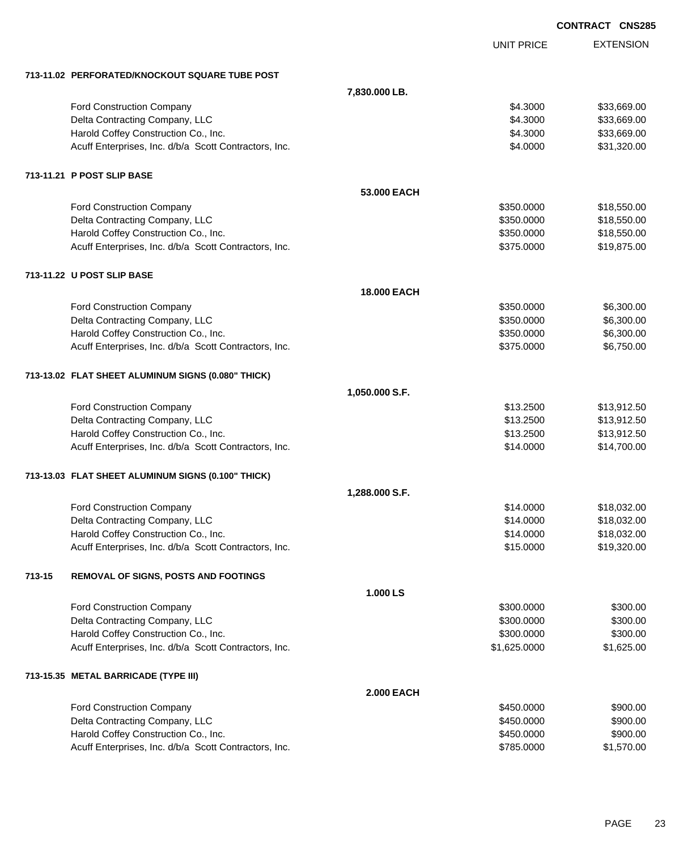|        |                                                       |                    |                   | <b>CONTRACT CNS285</b> |
|--------|-------------------------------------------------------|--------------------|-------------------|------------------------|
|        |                                                       |                    | <b>UNIT PRICE</b> | <b>EXTENSION</b>       |
|        | 713-11.02 PERFORATED/KNOCKOUT SQUARE TUBE POST        |                    |                   |                        |
|        |                                                       | 7,830.000 LB.      |                   |                        |
|        | Ford Construction Company                             |                    | \$4.3000          | \$33,669.00            |
|        | Delta Contracting Company, LLC                        |                    | \$4.3000          | \$33,669.00            |
|        | Harold Coffey Construction Co., Inc.                  |                    | \$4.3000          | \$33,669.00            |
|        | Acuff Enterprises, Inc. d/b/a Scott Contractors, Inc. |                    | \$4.0000          | \$31,320.00            |
|        | 713-11.21 P POST SLIP BASE                            |                    |                   |                        |
|        |                                                       | 53,000 EACH        |                   |                        |
|        | Ford Construction Company                             |                    | \$350.0000        | \$18,550.00            |
|        | Delta Contracting Company, LLC                        |                    | \$350.0000        | \$18,550.00            |
|        | Harold Coffey Construction Co., Inc.                  |                    | \$350.0000        | \$18,550.00            |
|        | Acuff Enterprises, Inc. d/b/a Scott Contractors, Inc. |                    | \$375.0000        | \$19,875.00            |
|        | 713-11.22 U POST SLIP BASE                            |                    |                   |                        |
|        |                                                       | <b>18.000 EACH</b> |                   |                        |
|        | Ford Construction Company                             |                    | \$350.0000        | \$6,300.00             |
|        | Delta Contracting Company, LLC                        |                    | \$350.0000        | \$6,300.00             |
|        | Harold Coffey Construction Co., Inc.                  |                    | \$350.0000        | \$6,300.00             |
|        | Acuff Enterprises, Inc. d/b/a Scott Contractors, Inc. |                    | \$375.0000        | \$6,750.00             |
|        | 713-13.02 FLAT SHEET ALUMINUM SIGNS (0.080" THICK)    |                    |                   |                        |
|        |                                                       | 1,050.000 S.F.     |                   |                        |
|        | Ford Construction Company                             |                    | \$13.2500         | \$13,912.50            |
|        | Delta Contracting Company, LLC                        |                    | \$13.2500         | \$13,912.50            |
|        | Harold Coffey Construction Co., Inc.                  |                    | \$13.2500         | \$13,912.50            |
|        | Acuff Enterprises, Inc. d/b/a Scott Contractors, Inc. |                    | \$14.0000         | \$14,700.00            |
|        | 713-13.03 FLAT SHEET ALUMINUM SIGNS (0.100" THICK)    |                    |                   |                        |
|        |                                                       | 1,288.000 S.F.     |                   |                        |
|        | Ford Construction Company                             |                    | \$14.0000         | \$18,032.00            |
|        | Delta Contracting Company, LLC                        |                    | \$14.0000         | \$18,032.00            |
|        | Harold Coffey Construction Co., Inc.                  |                    | \$14.0000         | \$18,032.00            |
|        | Acuff Enterprises, Inc. d/b/a Scott Contractors, Inc. |                    | \$15.0000         | \$19,320.00            |
| 713-15 | REMOVAL OF SIGNS, POSTS AND FOOTINGS                  |                    |                   |                        |
|        |                                                       | 1.000 LS           |                   |                        |
|        | Ford Construction Company                             |                    | \$300.0000        | \$300.00               |
|        | Delta Contracting Company, LLC                        |                    | \$300.0000        | \$300.00               |
|        | Harold Coffey Construction Co., Inc.                  |                    | \$300.0000        | \$300.00               |
|        | Acuff Enterprises, Inc. d/b/a Scott Contractors, Inc. |                    | \$1,625.0000      | \$1,625.00             |
|        | 713-15.35 METAL BARRICADE (TYPE III)                  |                    |                   |                        |
|        |                                                       | <b>2.000 EACH</b>  |                   |                        |
|        | Ford Construction Company                             |                    | \$450.0000        | \$900.00               |
|        | Delta Contracting Company, LLC                        |                    | \$450.0000        | \$900.00               |
|        | Harold Coffey Construction Co., Inc.                  |                    | \$450.0000        | \$900.00               |
|        | Acuff Enterprises, Inc. d/b/a Scott Contractors, Inc. |                    | \$785.0000        | \$1,570.00             |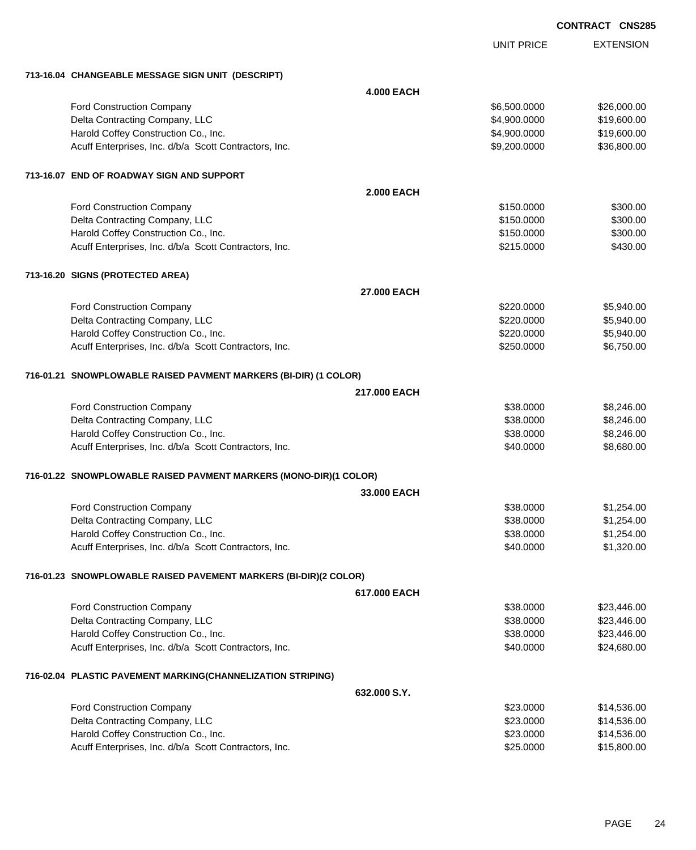|                                                                   |                   | <b>UNIT PRICE</b> | <b>EXTENSION</b> |
|-------------------------------------------------------------------|-------------------|-------------------|------------------|
| 713-16.04 CHANGEABLE MESSAGE SIGN UNIT (DESCRIPT)                 |                   |                   |                  |
|                                                                   | <b>4.000 EACH</b> |                   |                  |
| Ford Construction Company                                         |                   | \$6,500.0000      | \$26,000.00      |
| Delta Contracting Company, LLC                                    |                   | \$4,900.0000      | \$19,600.00      |
| Harold Coffey Construction Co., Inc.                              |                   | \$4,900.0000      | \$19,600.00      |
| Acuff Enterprises, Inc. d/b/a Scott Contractors, Inc.             |                   | \$9,200.0000      | \$36,800.00      |
| 713-16.07 END OF ROADWAY SIGN AND SUPPORT                         |                   |                   |                  |
|                                                                   | <b>2.000 EACH</b> |                   |                  |
| Ford Construction Company                                         |                   | \$150.0000        | \$300.00         |
| Delta Contracting Company, LLC                                    |                   | \$150.0000        | \$300.00         |
| Harold Coffey Construction Co., Inc.                              |                   | \$150.0000        | \$300.00         |
| Acuff Enterprises, Inc. d/b/a Scott Contractors, Inc.             |                   | \$215.0000        | \$430.00         |
| 713-16.20 SIGNS (PROTECTED AREA)                                  |                   |                   |                  |
|                                                                   | 27,000 EACH       |                   |                  |
| <b>Ford Construction Company</b>                                  |                   | \$220,0000        | \$5,940.00       |
| Delta Contracting Company, LLC                                    |                   | \$220.0000        | \$5,940.00       |
| Harold Coffey Construction Co., Inc.                              |                   | \$220.0000        | \$5,940.00       |
| Acuff Enterprises, Inc. d/b/a Scott Contractors, Inc.             |                   | \$250.0000        | \$6,750.00       |
| 716-01.21 SNOWPLOWABLE RAISED PAVMENT MARKERS (BI-DIR) (1 COLOR)  |                   |                   |                  |
|                                                                   | 217.000 EACH      |                   |                  |
| <b>Ford Construction Company</b>                                  |                   | \$38.0000         | \$8,246.00       |
| Delta Contracting Company, LLC                                    |                   | \$38.0000         | \$8,246.00       |
| Harold Coffey Construction Co., Inc.                              |                   | \$38.0000         | \$8,246.00       |
| Acuff Enterprises, Inc. d/b/a Scott Contractors, Inc.             |                   | \$40.0000         | \$8,680.00       |
| 716-01.22 SNOWPLOWABLE RAISED PAVMENT MARKERS (MONO-DIR)(1 COLOR) |                   |                   |                  |
|                                                                   | 33.000 EACH       |                   |                  |
| Ford Construction Company                                         |                   | \$38,0000         | \$1,254.00       |
| Delta Contracting Company, LLC                                    |                   | \$38.0000         | \$1,254.00       |
| Harold Coffey Construction Co., Inc.                              |                   | \$38.0000         | \$1,254.00       |
| Acuff Enterprises, Inc. d/b/a Scott Contractors, Inc.             |                   | \$40.0000         | \$1,320.00       |
| 716-01.23 SNOWPLOWABLE RAISED PAVEMENT MARKERS (BI-DIR)(2 COLOR)  |                   |                   |                  |
|                                                                   | 617.000 EACH      |                   |                  |
| <b>Ford Construction Company</b>                                  |                   | \$38.0000         | \$23,446.00      |
| Delta Contracting Company, LLC                                    |                   | \$38.0000         | \$23,446.00      |
| Harold Coffey Construction Co., Inc.                              |                   | \$38.0000         | \$23,446.00      |
| Acuff Enterprises, Inc. d/b/a Scott Contractors, Inc.             |                   | \$40.0000         | \$24,680.00      |
| 716-02.04 PLASTIC PAVEMENT MARKING(CHANNELIZATION STRIPING)       |                   |                   |                  |
|                                                                   | 632.000 S.Y.      |                   |                  |
| Ford Construction Company                                         |                   | \$23.0000         | \$14,536.00      |
| Delta Contracting Company, LLC                                    |                   | \$23.0000         | \$14,536.00      |
| Harold Coffey Construction Co., Inc.                              |                   | \$23.0000         | \$14,536.00      |
| Acuff Enterprises, Inc. d/b/a Scott Contractors, Inc.             |                   | \$25.0000         | \$15,800.00      |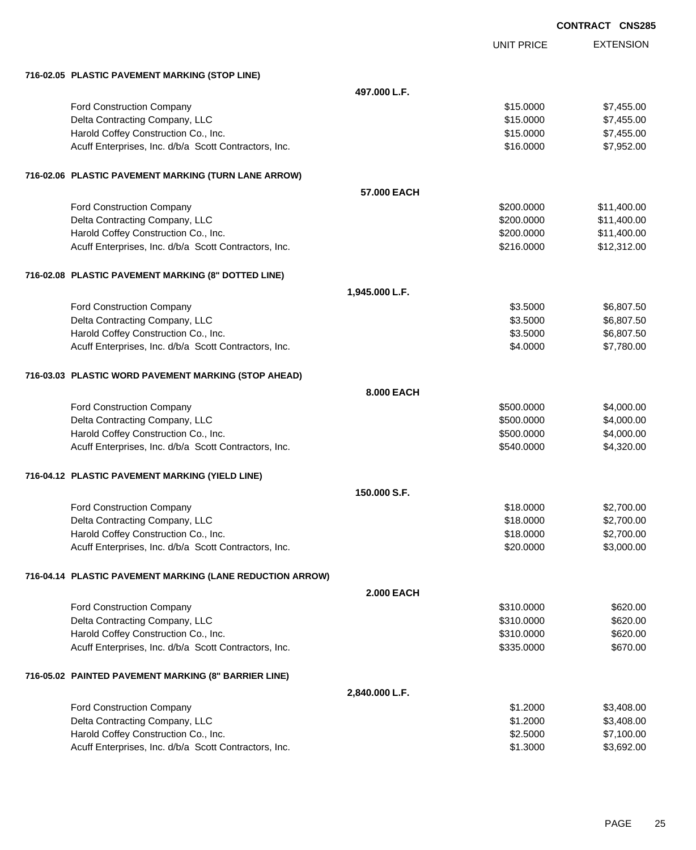|                                                           |                   | <b>CONTRACT CNS283</b> |
|-----------------------------------------------------------|-------------------|------------------------|
|                                                           | <b>UNIT PRICE</b> | <b>EXTENSION</b>       |
| 716-02.05 PLASTIC PAVEMENT MARKING (STOP LINE)            |                   |                        |
|                                                           | 497.000 L.F.      |                        |
| Ford Construction Company                                 | \$15.0000         | \$7,455.00             |
| Delta Contracting Company, LLC                            | \$15.0000         | \$7,455.00             |
| Harold Coffey Construction Co., Inc.                      | \$15.0000         | \$7,455.00             |
| Acuff Enterprises, Inc. d/b/a Scott Contractors, Inc.     | \$16.0000         | \$7,952.00             |
| 716-02.06 PLASTIC PAVEMENT MARKING (TURN LANE ARROW)      |                   |                        |
|                                                           | 57.000 EACH       |                        |
| Ford Construction Company                                 | \$200.0000        | \$11,400.00            |
| Delta Contracting Company, LLC                            | \$200.0000        | \$11,400.00            |
| Harold Coffey Construction Co., Inc.                      | \$200.0000        | \$11,400.00            |
| Acuff Enterprises, Inc. d/b/a Scott Contractors, Inc.     | \$216.0000        | \$12,312.00            |
| 716-02.08 PLASTIC PAVEMENT MARKING (8" DOTTED LINE)       |                   |                        |
| 1,945.000 L.F.                                            |                   |                        |
| Ford Construction Company                                 | \$3.5000          | \$6,807.50             |
| Delta Contracting Company, LLC                            | \$3.5000          | \$6,807.50             |
| Harold Coffey Construction Co., Inc.                      | \$3.5000          | \$6,807.50             |
| Acuff Enterprises, Inc. d/b/a Scott Contractors, Inc.     | \$4.0000          | \$7,780.00             |
| 716-03.03 PLASTIC WORD PAVEMENT MARKING (STOP AHEAD)      |                   |                        |
|                                                           | 8.000 EACH        |                        |
| Ford Construction Company                                 | \$500.0000        | \$4,000.00             |
| Delta Contracting Company, LLC                            | \$500.0000        | \$4,000.00             |
| Harold Coffey Construction Co., Inc.                      | \$500.0000        | \$4,000.00             |
| Acuff Enterprises, Inc. d/b/a Scott Contractors, Inc.     | \$540.0000        | \$4,320.00             |
| 716-04.12 PLASTIC PAVEMENT MARKING (YIELD LINE)           |                   |                        |
|                                                           | 150.000 S.F.      |                        |
| Ford Construction Company                                 | \$18.0000         | \$2,700.00             |
| Delta Contracting Company, LLC                            | \$18.0000         | \$2,700.00             |
| Harold Coffey Construction Co., Inc.                      | \$18.0000         | \$2,700.00             |
| Acuff Enterprises, Inc. d/b/a Scott Contractors, Inc.     | \$20.0000         | \$3,000.00             |
| 716-04.14 PLASTIC PAVEMENT MARKING (LANE REDUCTION ARROW) |                   |                        |
|                                                           | <b>2.000 EACH</b> |                        |
| Ford Construction Company                                 | \$310.0000        | \$620.00               |
| Delta Contracting Company, LLC                            | \$310.0000        | \$620.00               |
| Harold Coffey Construction Co., Inc.                      | \$310.0000        | \$620.00               |
| Acuff Enterprises, Inc. d/b/a Scott Contractors, Inc.     | \$335.0000        | \$670.00               |
| 716-05.02 PAINTED PAVEMENT MARKING (8" BARRIER LINE)      |                   |                        |
| 2,840.000 L.F.                                            |                   |                        |
| Ford Construction Company                                 | \$1.2000          | \$3,408.00             |
| Delta Contracting Company, LLC                            | \$1.2000          | \$3,408.00             |
| Harold Coffey Construction Co., Inc.                      | \$2.5000          | \$7,100.00             |
| Acuff Enterprises, Inc. d/b/a Scott Contractors, Inc.     | \$1.3000          | \$3,692.00             |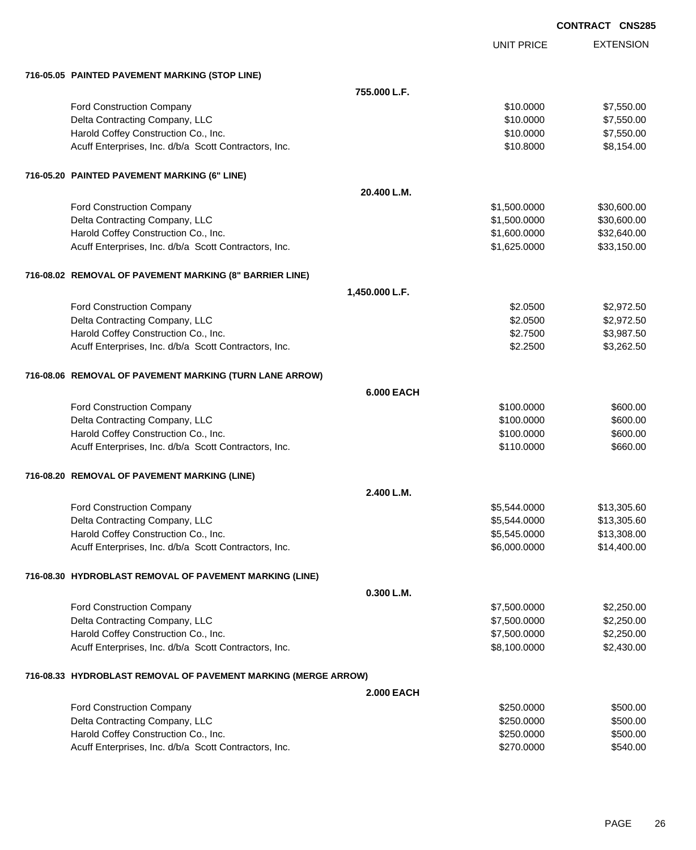|  | <b>CONTRACT CNS285</b> |
|--|------------------------|
|  |                        |

|                                                                |                   | <b>UNIT PRICE</b> | <b>EXTENSION</b> |
|----------------------------------------------------------------|-------------------|-------------------|------------------|
| 716-05.05 PAINTED PAVEMENT MARKING (STOP LINE)                 |                   |                   |                  |
|                                                                | 755,000 L.F.      |                   |                  |
| Ford Construction Company                                      |                   | \$10.0000         | \$7,550.00       |
| Delta Contracting Company, LLC                                 |                   | \$10.0000         | \$7,550.00       |
| Harold Coffey Construction Co., Inc.                           |                   | \$10.0000         | \$7,550.00       |
| Acuff Enterprises, Inc. d/b/a Scott Contractors, Inc.          |                   | \$10.8000         | \$8,154.00       |
| 716-05.20 PAINTED PAVEMENT MARKING (6" LINE)                   |                   |                   |                  |
|                                                                | 20.400 L.M.       |                   |                  |
| Ford Construction Company                                      |                   | \$1,500.0000      | \$30,600.00      |
| Delta Contracting Company, LLC                                 |                   | \$1,500.0000      | \$30,600.00      |
| Harold Coffey Construction Co., Inc.                           |                   | \$1,600.0000      | \$32,640.00      |
| Acuff Enterprises, Inc. d/b/a Scott Contractors, Inc.          |                   | \$1,625.0000      | \$33,150.00      |
| 716-08.02 REMOVAL OF PAVEMENT MARKING (8" BARRIER LINE)        |                   |                   |                  |
|                                                                | 1,450.000 L.F.    |                   |                  |
| Ford Construction Company                                      |                   | \$2.0500          | \$2,972.50       |
| Delta Contracting Company, LLC                                 |                   | \$2.0500          | \$2,972.50       |
| Harold Coffey Construction Co., Inc.                           |                   | \$2.7500          | \$3,987.50       |
| Acuff Enterprises, Inc. d/b/a Scott Contractors, Inc.          |                   | \$2.2500          | \$3,262.50       |
| 716-08.06 REMOVAL OF PAVEMENT MARKING (TURN LANE ARROW)        |                   |                   |                  |
|                                                                | <b>6.000 EACH</b> |                   |                  |
| Ford Construction Company                                      |                   | \$100.0000        | \$600.00         |
| Delta Contracting Company, LLC                                 |                   | \$100.0000        | \$600.00         |
| Harold Coffey Construction Co., Inc.                           |                   | \$100.0000        | \$600.00         |
| Acuff Enterprises, Inc. d/b/a Scott Contractors, Inc.          |                   | \$110.0000        | \$660.00         |
| 716-08.20 REMOVAL OF PAVEMENT MARKING (LINE)                   |                   |                   |                  |
|                                                                | 2.400 L.M.        |                   |                  |
| Ford Construction Company                                      |                   | \$5,544.0000      | \$13,305.60      |
| Delta Contracting Company, LLC                                 |                   | \$5,544.0000      | \$13,305.60      |
| Harold Coffey Construction Co., Inc.                           |                   | \$5,545.0000      | \$13,308.00      |
| Acuff Enterprises, Inc. d/b/a Scott Contractors, Inc.          |                   | \$6,000.0000      | \$14,400.00      |
| 716-08.30 HYDROBLAST REMOVAL OF PAVEMENT MARKING (LINE)        |                   |                   |                  |
|                                                                | 0.300 L.M.        |                   |                  |
| Ford Construction Company                                      |                   | \$7,500.0000      | \$2,250.00       |
| Delta Contracting Company, LLC                                 |                   | \$7,500.0000      | \$2,250.00       |
| Harold Coffey Construction Co., Inc.                           |                   | \$7,500.0000      | \$2,250.00       |
| Acuff Enterprises, Inc. d/b/a Scott Contractors, Inc.          |                   | \$8,100.0000      | \$2,430.00       |
| 716-08.33 HYDROBLAST REMOVAL OF PAVEMENT MARKING (MERGE ARROW) |                   |                   |                  |
|                                                                | <b>2.000 EACH</b> |                   |                  |
| Ford Construction Company                                      |                   | \$250.0000        | \$500.00         |
| Delta Contracting Company, LLC                                 |                   | \$250.0000        | \$500.00         |
| Harold Coffey Construction Co., Inc.                           |                   | \$250.0000        | \$500.00         |
| Acuff Enterprises, Inc. d/b/a Scott Contractors, Inc.          |                   | \$270.0000        | \$540.00         |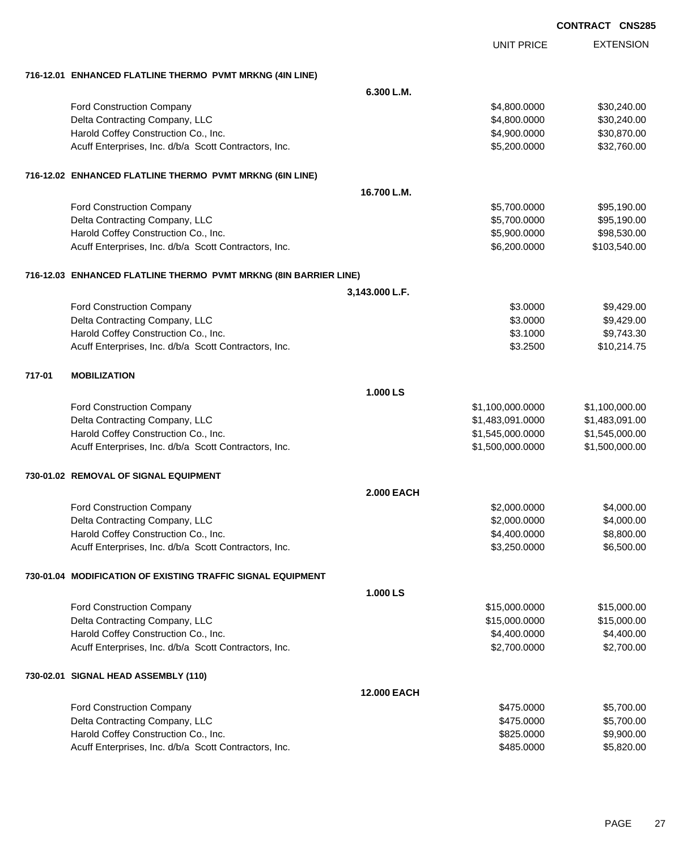|        |                                                                  |                    | <b>UNIT PRICE</b> | <b>EXTENSION</b> |
|--------|------------------------------------------------------------------|--------------------|-------------------|------------------|
|        | 716-12.01 ENHANCED FLATLINE THERMO PVMT MRKNG (4IN LINE)         |                    |                   |                  |
|        |                                                                  | 6.300 L.M.         |                   |                  |
|        | <b>Ford Construction Company</b>                                 |                    | \$4,800.0000      | \$30,240.00      |
|        | Delta Contracting Company, LLC                                   |                    | \$4,800.0000      | \$30,240.00      |
|        | Harold Coffey Construction Co., Inc.                             |                    | \$4,900.0000      | \$30,870.00      |
|        | Acuff Enterprises, Inc. d/b/a Scott Contractors, Inc.            |                    | \$5,200.0000      | \$32,760.00      |
|        | 716-12.02 ENHANCED FLATLINE THERMO PVMT MRKNG (6IN LINE)         |                    |                   |                  |
|        |                                                                  | 16.700 L.M.        |                   |                  |
|        | Ford Construction Company                                        |                    | \$5,700.0000      | \$95,190.00      |
|        | Delta Contracting Company, LLC                                   |                    | \$5,700.0000      | \$95,190.00      |
|        | Harold Coffey Construction Co., Inc.                             |                    | \$5,900.0000      | \$98,530.00      |
|        | Acuff Enterprises, Inc. d/b/a Scott Contractors, Inc.            |                    | \$6,200.0000      | \$103,540.00     |
|        | 716-12.03 ENHANCED FLATLINE THERMO PVMT MRKNG (8IN BARRIER LINE) |                    |                   |                  |
|        |                                                                  | 3,143.000 L.F.     |                   |                  |
|        | <b>Ford Construction Company</b>                                 |                    | \$3.0000          | \$9,429.00       |
|        | Delta Contracting Company, LLC                                   |                    | \$3.0000          | \$9,429.00       |
|        | Harold Coffey Construction Co., Inc.                             |                    | \$3.1000          | \$9,743.30       |
|        | Acuff Enterprises, Inc. d/b/a Scott Contractors, Inc.            |                    | \$3.2500          | \$10,214.75      |
| 717-01 | <b>MOBILIZATION</b>                                              |                    |                   |                  |
|        |                                                                  | 1.000 LS           |                   |                  |
|        | Ford Construction Company                                        |                    | \$1,100,000.0000  | \$1,100,000.00   |
|        | Delta Contracting Company, LLC                                   |                    | \$1,483,091.0000  | \$1,483,091.00   |
|        | Harold Coffey Construction Co., Inc.                             |                    | \$1,545,000.0000  | \$1,545,000.00   |
|        | Acuff Enterprises, Inc. d/b/a Scott Contractors, Inc.            |                    | \$1,500,000.0000  | \$1,500,000.00   |
|        | 730-01.02 REMOVAL OF SIGNAL EQUIPMENT                            |                    |                   |                  |
|        |                                                                  | <b>2.000 EACH</b>  |                   |                  |
|        | <b>Ford Construction Company</b>                                 |                    | \$2,000.0000      | \$4,000.00       |
|        | Delta Contracting Company, LLC                                   |                    | \$2,000.0000      | \$4,000.00       |
|        | Harold Coffey Construction Co., Inc.                             |                    | \$4,400.0000      | \$8,800.00       |
|        | Acuff Enterprises, Inc. d/b/a Scott Contractors, Inc.            |                    | \$3,250.0000      | \$6,500.00       |
|        | 730-01.04 MODIFICATION OF EXISTING TRAFFIC SIGNAL EQUIPMENT      |                    |                   |                  |
|        |                                                                  | 1.000 LS           |                   |                  |
|        | Ford Construction Company                                        |                    | \$15,000.0000     | \$15,000.00      |
|        | Delta Contracting Company, LLC                                   |                    | \$15,000.0000     | \$15,000.00      |
|        | Harold Coffey Construction Co., Inc.                             |                    | \$4,400.0000      | \$4,400.00       |
|        | Acuff Enterprises, Inc. d/b/a Scott Contractors, Inc.            |                    | \$2,700.0000      | \$2,700.00       |
|        | 730-02.01 SIGNAL HEAD ASSEMBLY (110)                             |                    |                   |                  |
|        |                                                                  | <b>12.000 EACH</b> |                   |                  |
|        | Ford Construction Company                                        |                    | \$475.0000        | \$5,700.00       |
|        | Delta Contracting Company, LLC                                   |                    | \$475.0000        | \$5,700.00       |
|        | Harold Coffey Construction Co., Inc.                             |                    | \$825.0000        | \$9,900.00       |
|        | Acuff Enterprises, Inc. d/b/a Scott Contractors, Inc.            |                    | \$485.0000        | \$5,820.00       |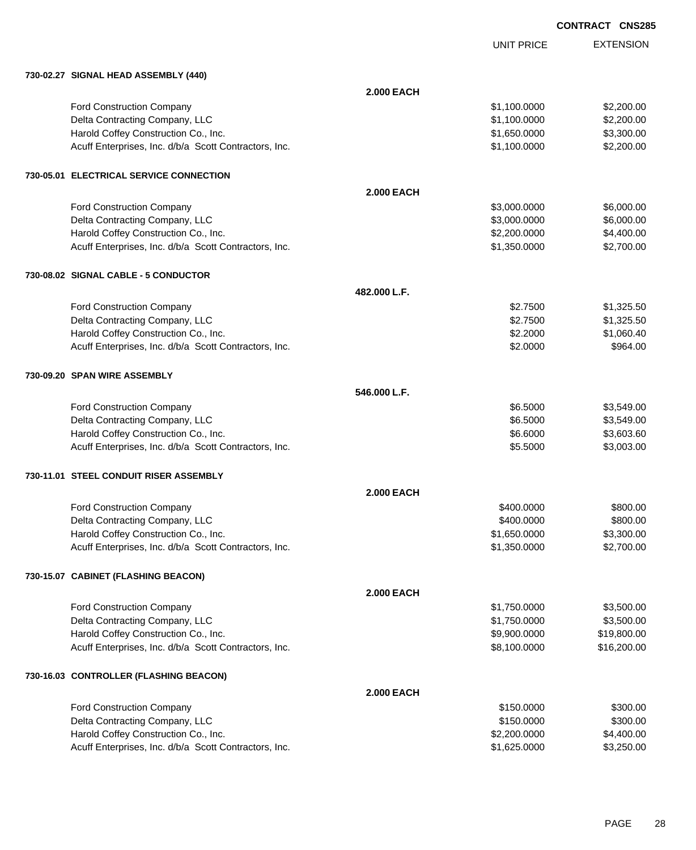UNIT PRICE

| 730-02.27 SIGNAL HEAD ASSEMBLY (440)                  |                   |              |             |
|-------------------------------------------------------|-------------------|--------------|-------------|
|                                                       | <b>2.000 EACH</b> |              |             |
| Ford Construction Company                             |                   | \$1,100.0000 | \$2,200.00  |
| Delta Contracting Company, LLC                        |                   | \$1,100.0000 | \$2,200.00  |
| Harold Coffey Construction Co., Inc.                  |                   | \$1,650.0000 | \$3,300.00  |
| Acuff Enterprises, Inc. d/b/a Scott Contractors, Inc. |                   | \$1,100.0000 | \$2,200.00  |
| 730-05.01 ELECTRICAL SERVICE CONNECTION               |                   |              |             |
|                                                       | <b>2.000 EACH</b> |              |             |
| <b>Ford Construction Company</b>                      |                   | \$3,000.0000 | \$6,000.00  |
| Delta Contracting Company, LLC                        |                   | \$3,000.0000 | \$6,000.00  |
| Harold Coffey Construction Co., Inc.                  |                   | \$2,200.0000 | \$4,400.00  |
| Acuff Enterprises, Inc. d/b/a Scott Contractors, Inc. |                   | \$1,350.0000 | \$2,700.00  |
| 730-08.02 SIGNAL CABLE - 5 CONDUCTOR                  |                   |              |             |
|                                                       | 482.000 L.F.      |              |             |
| Ford Construction Company                             |                   | \$2.7500     | \$1,325.50  |
| Delta Contracting Company, LLC                        |                   | \$2.7500     | \$1,325.50  |
| Harold Coffey Construction Co., Inc.                  |                   | \$2.2000     | \$1,060.40  |
| Acuff Enterprises, Inc. d/b/a Scott Contractors, Inc. |                   | \$2.0000     | \$964.00    |
| 730-09.20 SPAN WIRE ASSEMBLY                          |                   |              |             |
|                                                       | 546.000 L.F.      |              |             |
| Ford Construction Company                             |                   | \$6.5000     | \$3,549.00  |
| Delta Contracting Company, LLC                        |                   | \$6.5000     | \$3,549.00  |
| Harold Coffey Construction Co., Inc.                  |                   | \$6.6000     | \$3,603.60  |
| Acuff Enterprises, Inc. d/b/a Scott Contractors, Inc. |                   | \$5.5000     | \$3,003.00  |
| 730-11.01 STEEL CONDUIT RISER ASSEMBLY                |                   |              |             |
|                                                       | <b>2.000 EACH</b> |              |             |
| <b>Ford Construction Company</b>                      |                   | \$400.0000   | \$800.00    |
| Delta Contracting Company, LLC                        |                   | \$400.0000   | \$800.00    |
| Harold Coffey Construction Co., Inc.                  |                   | \$1,650.0000 | \$3,300.00  |
| Acuff Enterprises, Inc. d/b/a Scott Contractors, Inc. |                   | \$1,350.0000 | \$2,700.00  |
| 730-15.07 CABINET (FLASHING BEACON)                   |                   |              |             |
|                                                       | <b>2.000 EACH</b> |              |             |
| <b>Ford Construction Company</b>                      |                   | \$1,750.0000 | \$3,500.00  |
| Delta Contracting Company, LLC                        |                   | \$1,750.0000 | \$3,500.00  |
| Harold Coffey Construction Co., Inc.                  |                   | \$9,900.0000 | \$19,800.00 |
| Acuff Enterprises, Inc. d/b/a Scott Contractors, Inc. |                   | \$8,100.0000 | \$16,200.00 |
| 730-16.03 CONTROLLER (FLASHING BEACON)                |                   |              |             |
|                                                       | <b>2.000 EACH</b> |              |             |
|                                                       |                   | 0.150000     | 0.0000      |

| <b>Ford Construction Company</b>                      | \$150,0000   | \$300.00   |
|-------------------------------------------------------|--------------|------------|
| Delta Contracting Company, LLC                        | \$150,0000   | \$300.00   |
| Harold Coffey Construction Co., Inc.                  | \$2,200,0000 | \$4,400,00 |
| Acuff Enterprises, Inc. d/b/a Scott Contractors, Inc. | \$1.625.0000 | \$3,250,00 |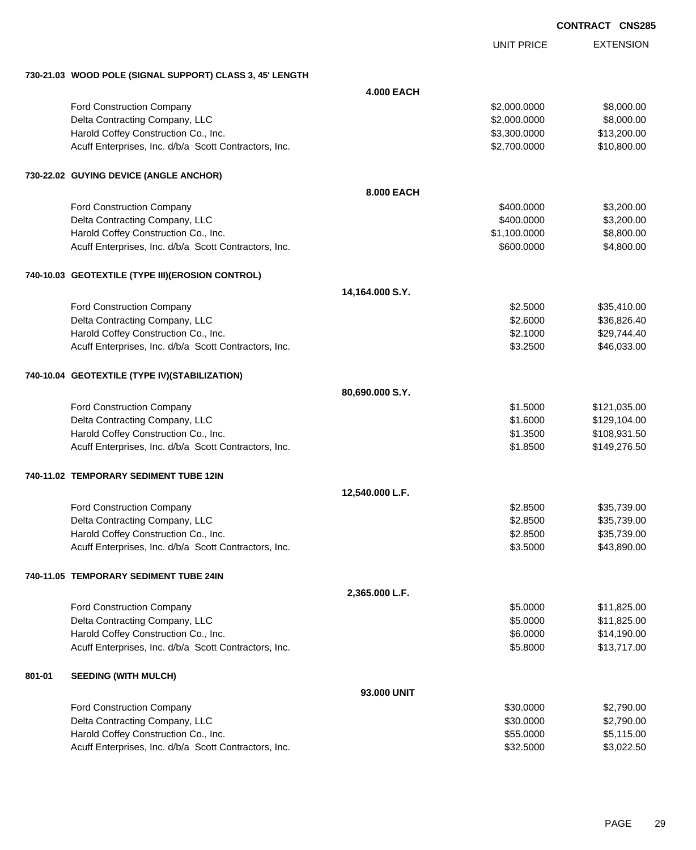|        |                                                          |                   |                   | <b>CONTRACT CNS285</b> |                  |
|--------|----------------------------------------------------------|-------------------|-------------------|------------------------|------------------|
|        |                                                          |                   | <b>UNIT PRICE</b> |                        | <b>EXTENSION</b> |
|        | 730-21.03 WOOD POLE (SIGNAL SUPPORT) CLASS 3, 45' LENGTH |                   |                   |                        |                  |
|        |                                                          | <b>4.000 EACH</b> |                   |                        |                  |
|        | Ford Construction Company                                |                   | \$2,000.0000      |                        | \$8,000.00       |
|        | Delta Contracting Company, LLC                           |                   | \$2,000.0000      |                        | \$8,000.00       |
|        | Harold Coffey Construction Co., Inc.                     |                   | \$3,300.0000      |                        | \$13,200.00      |
|        | Acuff Enterprises, Inc. d/b/a Scott Contractors, Inc.    |                   | \$2,700.0000      |                        | \$10,800.00      |
|        | 730-22.02 GUYING DEVICE (ANGLE ANCHOR)                   |                   |                   |                        |                  |
|        |                                                          | 8,000 EACH        |                   |                        |                  |
|        | Ford Construction Company                                |                   | \$400.0000        |                        | \$3,200.00       |
|        | Delta Contracting Company, LLC                           |                   | \$400.0000        |                        | \$3,200.00       |
|        | Harold Coffey Construction Co., Inc.                     |                   | \$1,100.0000      |                        | \$8,800.00       |
|        | Acuff Enterprises, Inc. d/b/a Scott Contractors, Inc.    |                   | \$600.0000        |                        | \$4,800.00       |
|        | 740-10.03 GEOTEXTILE (TYPE III)(EROSION CONTROL)         |                   |                   |                        |                  |
|        |                                                          | 14,164.000 S.Y.   |                   |                        |                  |
|        | Ford Construction Company                                |                   | \$2.5000          |                        | \$35,410.00      |
|        | Delta Contracting Company, LLC                           |                   | \$2.6000          |                        | \$36,826.40      |
|        | Harold Coffey Construction Co., Inc.                     |                   | \$2.1000          |                        | \$29,744.40      |
|        | Acuff Enterprises, Inc. d/b/a Scott Contractors, Inc.    |                   | \$3.2500          |                        | \$46,033.00      |
|        | 740-10.04 GEOTEXTILE (TYPE IV)(STABILIZATION)            |                   |                   |                        |                  |
|        |                                                          | 80,690.000 S.Y.   |                   |                        |                  |
|        | Ford Construction Company                                |                   | \$1.5000          | \$121,035.00           |                  |
|        | Delta Contracting Company, LLC                           |                   | \$1.6000          | \$129,104.00           |                  |
|        | Harold Coffey Construction Co., Inc.                     |                   | \$1.3500          | \$108,931.50           |                  |
|        | Acuff Enterprises, Inc. d/b/a Scott Contractors, Inc.    |                   | \$1.8500          | \$149,276.50           |                  |
|        | 740-11.02 TEMPORARY SEDIMENT TUBE 12IN                   |                   |                   |                        |                  |
|        |                                                          | 12,540.000 L.F.   |                   |                        |                  |
|        | Ford Construction Company                                |                   | \$2.8500          |                        | \$35,739.00      |
|        | Delta Contracting Company, LLC                           |                   | \$2.8500          |                        | \$35,739.00      |
|        | Harold Coffey Construction Co., Inc.                     |                   | \$2.8500          |                        | \$35,739.00      |
|        | Acuff Enterprises, Inc. d/b/a Scott Contractors, Inc.    |                   | \$3.5000          |                        | \$43,890.00      |
|        | 740-11.05 TEMPORARY SEDIMENT TUBE 24IN                   |                   |                   |                        |                  |
|        |                                                          | 2,365.000 L.F.    |                   |                        |                  |
|        | Ford Construction Company                                |                   | \$5.0000          |                        | \$11,825.00      |
|        | Delta Contracting Company, LLC                           |                   | \$5.0000          |                        | \$11,825.00      |
|        | Harold Coffey Construction Co., Inc.                     |                   | \$6.0000          |                        | \$14,190.00      |
|        | Acuff Enterprises, Inc. d/b/a Scott Contractors, Inc.    |                   | \$5.8000          |                        | \$13,717.00      |
| 801-01 | <b>SEEDING (WITH MULCH)</b>                              |                   |                   |                        |                  |
|        |                                                          | 93.000 UNIT       |                   |                        |                  |
|        | Ford Construction Company                                |                   | \$30.0000         |                        | \$2,790.00       |
|        | Delta Contracting Company, LLC                           |                   | \$30.0000         |                        | \$2,790.00       |
|        | Harold Coffey Construction Co., Inc.                     |                   | \$55.0000         |                        | \$5,115.00       |
|        | Acuff Enterprises, Inc. d/b/a Scott Contractors, Inc.    |                   | \$32.5000         |                        | \$3,022.50       |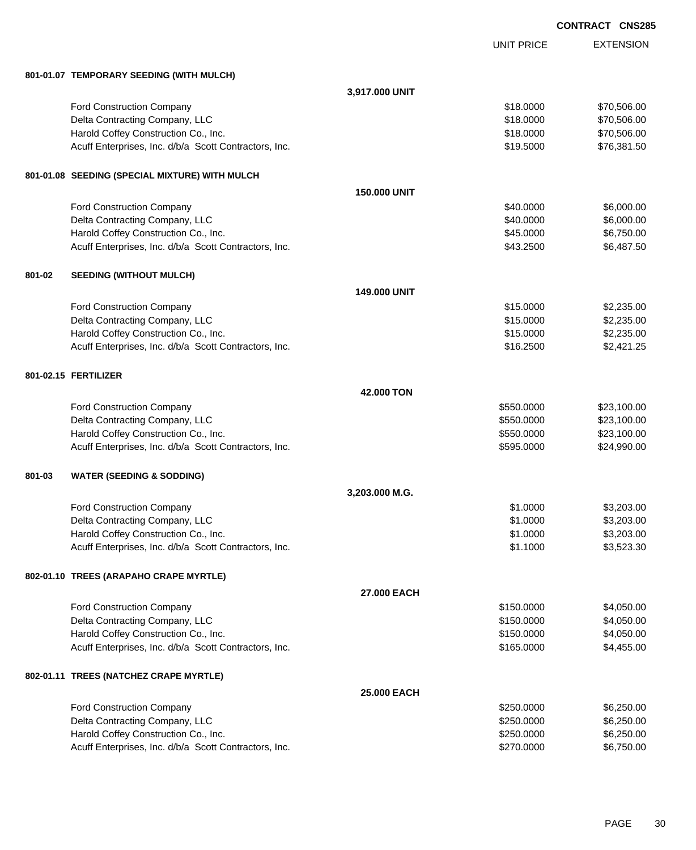|        |                                                       |                     |                   | <b>CONTRACT CNS285</b> |                  |
|--------|-------------------------------------------------------|---------------------|-------------------|------------------------|------------------|
|        |                                                       |                     | <b>UNIT PRICE</b> |                        | <b>EXTENSION</b> |
|        | 801-01.07 TEMPORARY SEEDING (WITH MULCH)              |                     |                   |                        |                  |
|        |                                                       | 3,917.000 UNIT      |                   |                        |                  |
|        | Ford Construction Company                             |                     | \$18.0000         |                        | \$70,506.00      |
|        | Delta Contracting Company, LLC                        |                     | \$18.0000         |                        | \$70,506.00      |
|        | Harold Coffey Construction Co., Inc.                  |                     | \$18.0000         |                        | \$70,506.00      |
|        | Acuff Enterprises, Inc. d/b/a Scott Contractors, Inc. |                     | \$19.5000         |                        | \$76,381.50      |
|        | 801-01.08 SEEDING (SPECIAL MIXTURE) WITH MULCH        |                     |                   |                        |                  |
|        |                                                       | <b>150.000 UNIT</b> |                   |                        |                  |
|        | Ford Construction Company                             |                     | \$40.0000         |                        | \$6,000.00       |
|        | Delta Contracting Company, LLC                        |                     | \$40.0000         |                        | \$6,000.00       |
|        | Harold Coffey Construction Co., Inc.                  |                     | \$45.0000         |                        | \$6,750.00       |
|        | Acuff Enterprises, Inc. d/b/a Scott Contractors, Inc. |                     | \$43.2500         |                        | \$6,487.50       |
| 801-02 | <b>SEEDING (WITHOUT MULCH)</b>                        |                     |                   |                        |                  |
|        |                                                       | <b>149,000 UNIT</b> |                   |                        |                  |
|        | Ford Construction Company                             |                     | \$15.0000         |                        | \$2,235.00       |
|        | Delta Contracting Company, LLC                        |                     | \$15.0000         |                        | \$2,235.00       |
|        | Harold Coffey Construction Co., Inc.                  |                     | \$15.0000         |                        | \$2,235.00       |
|        | Acuff Enterprises, Inc. d/b/a Scott Contractors, Inc. |                     | \$16.2500         |                        | \$2,421.25       |
|        | 801-02.15 FERTILIZER                                  |                     |                   |                        |                  |
|        |                                                       | 42,000 TON          |                   |                        |                  |
|        | Ford Construction Company                             |                     | \$550.0000        |                        | \$23,100.00      |
|        | Delta Contracting Company, LLC                        |                     | \$550.0000        |                        | \$23,100.00      |
|        | Harold Coffey Construction Co., Inc.                  |                     | \$550.0000        |                        | \$23,100.00      |
|        | Acuff Enterprises, Inc. d/b/a Scott Contractors, Inc. |                     | \$595.0000        |                        | \$24,990.00      |
| 801-03 | <b>WATER (SEEDING &amp; SODDING)</b>                  |                     |                   |                        |                  |
|        |                                                       | 3,203.000 M.G.      |                   |                        |                  |
|        | Ford Construction Company                             |                     | \$1.0000          |                        | \$3,203.00       |
|        | Delta Contracting Company, LLC                        |                     | \$1.0000          |                        | \$3,203.00       |
|        | Harold Coffey Construction Co., Inc.                  |                     | \$1.0000          |                        | \$3,203.00       |
|        | Acuff Enterprises, Inc. d/b/a Scott Contractors, Inc. |                     | \$1.1000          |                        | \$3,523.30       |
|        | 802-01.10 TREES (ARAPAHO CRAPE MYRTLE)                |                     |                   |                        |                  |
|        |                                                       | 27.000 EACH         |                   |                        |                  |
|        | Ford Construction Company                             |                     | \$150.0000        |                        | \$4,050.00       |
|        | Delta Contracting Company, LLC                        |                     | \$150.0000        |                        | \$4,050.00       |
|        | Harold Coffey Construction Co., Inc.                  |                     | \$150.0000        |                        | \$4,050.00       |
|        | Acuff Enterprises, Inc. d/b/a Scott Contractors, Inc. |                     | \$165.0000        |                        | \$4,455.00       |
|        | 802-01.11 TREES (NATCHEZ CRAPE MYRTLE)                |                     |                   |                        |                  |
|        |                                                       | 25.000 EACH         |                   |                        |                  |
|        | Ford Construction Company                             |                     | \$250.0000        |                        | \$6,250.00       |
|        | Delta Contracting Company, LLC                        |                     | \$250.0000        |                        | \$6,250.00       |
|        | Harold Coffey Construction Co., Inc.                  |                     | \$250.0000        |                        | \$6,250.00       |
|        | Acuff Enterprises, Inc. d/b/a Scott Contractors, Inc. |                     | \$270.0000        |                        | \$6,750.00       |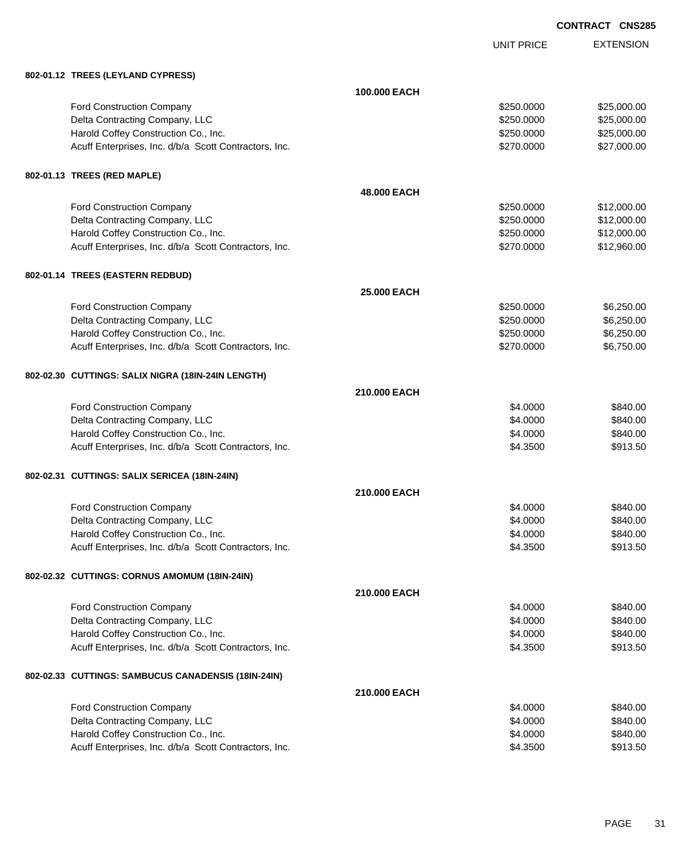UNIT PRICE

| 802-01.12 TREES (LEYLAND CYPRESS)                     |              |            |             |
|-------------------------------------------------------|--------------|------------|-------------|
|                                                       | 100.000 EACH |            |             |
| <b>Ford Construction Company</b>                      |              | \$250,0000 | \$25,000.00 |
| Delta Contracting Company, LLC                        |              | \$250.0000 | \$25,000.00 |
| Harold Coffey Construction Co., Inc.                  |              | \$250.0000 | \$25,000.00 |
| Acuff Enterprises, Inc. d/b/a Scott Contractors, Inc. |              | \$270.0000 | \$27,000.00 |
| 802-01.13 TREES (RED MAPLE)                           |              |            |             |
|                                                       | 48.000 EACH  |            |             |
| Ford Construction Company                             |              | \$250.0000 | \$12,000.00 |
| Delta Contracting Company, LLC                        |              | \$250.0000 | \$12,000.00 |
| Harold Coffey Construction Co., Inc.                  |              | \$250.0000 | \$12,000.00 |
| Acuff Enterprises, Inc. d/b/a Scott Contractors, Inc. |              | \$270.0000 | \$12,960.00 |
| 802-01.14 TREES (EASTERN REDBUD)                      |              |            |             |
|                                                       | 25.000 EACH  |            |             |
| Ford Construction Company                             |              | \$250.0000 | \$6,250.00  |
| Delta Contracting Company, LLC                        |              | \$250.0000 | \$6,250.00  |
| Harold Coffey Construction Co., Inc.                  |              | \$250.0000 | \$6,250.00  |
| Acuff Enterprises, Inc. d/b/a Scott Contractors, Inc. |              | \$270.0000 | \$6,750.00  |
| 802-02.30 CUTTINGS: SALIX NIGRA (18IN-24IN LENGTH)    |              |            |             |
|                                                       | 210,000 EACH |            |             |
| <b>Ford Construction Company</b>                      |              | \$4.0000   | \$840.00    |
| Delta Contracting Company, LLC                        |              | \$4.0000   | \$840.00    |
| Harold Coffey Construction Co., Inc.                  |              | \$4.0000   | \$840.00    |
| Acuff Enterprises, Inc. d/b/a Scott Contractors, Inc. |              | \$4.3500   | \$913.50    |
| 802-02.31 CUTTINGS: SALIX SERICEA (18IN-24IN)         |              |            |             |
|                                                       | 210.000 EACH |            |             |
| Ford Construction Company                             |              | \$4.0000   | \$840.00    |
| Delta Contracting Company, LLC                        |              | \$4.0000   | \$840.00    |
| Harold Coffey Construction Co., Inc.                  |              | \$4.0000   | \$840.00    |
| Acuff Enterprises, Inc. d/b/a Scott Contractors, Inc. |              | \$4.3500   | \$913.50    |
| 802-02.32 CUTTINGS: CORNUS AMOMUM (18IN-24IN)         |              |            |             |
|                                                       | 210.000 EACH |            |             |
| <b>Ford Construction Company</b>                      |              | \$4.0000   | \$840.00    |
| Delta Contracting Company, LLC                        |              | \$4.0000   | \$840.00    |
| Harold Coffey Construction Co., Inc.                  |              | \$4.0000   | \$840.00    |
| Acuff Enterprises, Inc. d/b/a Scott Contractors, Inc. |              | \$4.3500   | \$913.50    |
| 802-02.33 CUTTINGS: SAMBUCUS CANADENSIS (18IN-24IN)   |              |            |             |
|                                                       | 210.000 EACH |            |             |
| <b>Ford Construction Company</b>                      |              | \$4.0000   | \$840.00    |
| Delta Contracting Company, LLC                        |              | \$4.0000   | \$840.00    |
| Harold Coffey Construction Co., Inc.                  |              | \$4.0000   | \$840.00    |
| Acuff Enterprises, Inc. d/b/a Scott Contractors, Inc. |              | \$4.3500   | \$913.50    |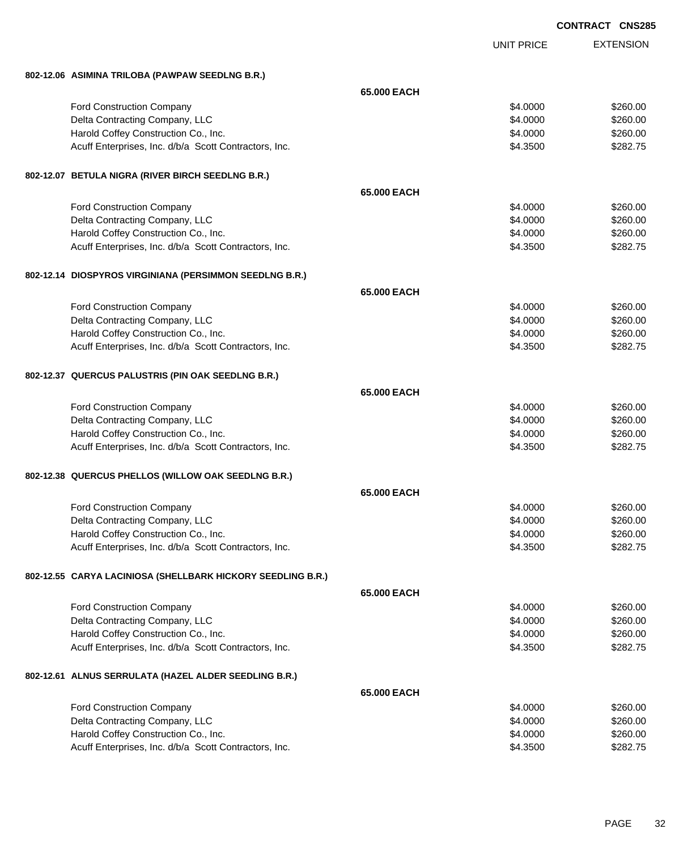|                                                                                               |                      | <b>CONTRACT CNS285</b> |
|-----------------------------------------------------------------------------------------------|----------------------|------------------------|
|                                                                                               | <b>UNIT PRICE</b>    | <b>EXTENSION</b>       |
| 802-12.06 ASIMINA TRILOBA (PAWPAW SEEDLNG B.R.)                                               |                      |                        |
|                                                                                               | 65,000 EACH          |                        |
| Ford Construction Company                                                                     | \$4.0000             | \$260.00               |
| Delta Contracting Company, LLC                                                                | \$4.0000             | \$260.00               |
| Harold Coffey Construction Co., Inc.                                                          | \$4.0000             | \$260.00               |
| Acuff Enterprises, Inc. d/b/a Scott Contractors, Inc.                                         | \$4.3500             | \$282.75               |
| 802-12.07 BETULA NIGRA (RIVER BIRCH SEEDLNG B.R.)                                             |                      |                        |
|                                                                                               | 65.000 EACH          |                        |
| Ford Construction Company                                                                     | \$4.0000             | \$260.00               |
| Delta Contracting Company, LLC                                                                | \$4.0000             | \$260.00               |
| Harold Coffey Construction Co., Inc.                                                          | \$4.0000             | \$260.00               |
| Acuff Enterprises, Inc. d/b/a Scott Contractors, Inc.                                         | \$4.3500             | \$282.75               |
| 802-12.14 DIOSPYROS VIRGINIANA (PERSIMMON SEEDLNG B.R.)                                       |                      |                        |
|                                                                                               | 65,000 EACH          |                        |
| Ford Construction Company                                                                     | \$4.0000             | \$260.00               |
| Delta Contracting Company, LLC                                                                | \$4.0000             | \$260.00               |
| Harold Coffey Construction Co., Inc.                                                          | \$4.0000             | \$260.00               |
| Acuff Enterprises, Inc. d/b/a Scott Contractors, Inc.                                         | \$4.3500             | \$282.75               |
| 802-12.37 QUERCUS PALUSTRIS (PIN OAK SEEDLNG B.R.)                                            |                      |                        |
|                                                                                               | 65.000 EACH          |                        |
| Ford Construction Company                                                                     | \$4.0000             | \$260.00               |
| Delta Contracting Company, LLC                                                                | \$4.0000             | \$260.00               |
| Harold Coffey Construction Co., Inc.                                                          | \$4.0000             | \$260.00               |
| Acuff Enterprises, Inc. d/b/a Scott Contractors, Inc.                                         | \$4.3500             | \$282.75               |
| 802-12.38 QUERCUS PHELLOS (WILLOW OAK SEEDLNG B.R.)                                           |                      |                        |
|                                                                                               | 65.000 EACH          |                        |
| <b>Ford Construction Company</b>                                                              | \$4.0000             | \$260.00               |
| Delta Contracting Company, LLC                                                                | \$4.0000             | \$260.00               |
| Harold Coffey Construction Co., Inc.                                                          | \$4.0000             | \$260.00               |
| Acuff Enterprises, Inc. d/b/a Scott Contractors, Inc.                                         | \$4.3500             | \$282.75               |
| 802-12.55 CARYA LACINIOSA (SHELLBARK HICKORY SEEDLING B.R.)                                   |                      |                        |
|                                                                                               | 65.000 EACH          |                        |
| Ford Construction Company                                                                     | \$4.0000             | \$260.00               |
| Delta Contracting Company, LLC                                                                | \$4.0000             | \$260.00               |
| Harold Coffey Construction Co., Inc.                                                          | \$4.0000             | \$260.00               |
| Acuff Enterprises, Inc. d/b/a Scott Contractors, Inc.                                         | \$4.3500             | \$282.75               |
| 802-12.61 ALNUS SERRULATA (HAZEL ALDER SEEDLING B.R.)                                         |                      |                        |
|                                                                                               | 65.000 EACH          |                        |
| Ford Construction Company                                                                     | \$4.0000             | \$260.00               |
| Delta Contracting Company, LLC                                                                | \$4.0000             | \$260.00               |
| Harold Coffey Construction Co., Inc.<br>Acuff Enterprises, Inc. d/b/a Scott Contractors, Inc. | \$4.0000<br>\$4.3500 | \$260.00<br>\$282.75   |
|                                                                                               |                      |                        |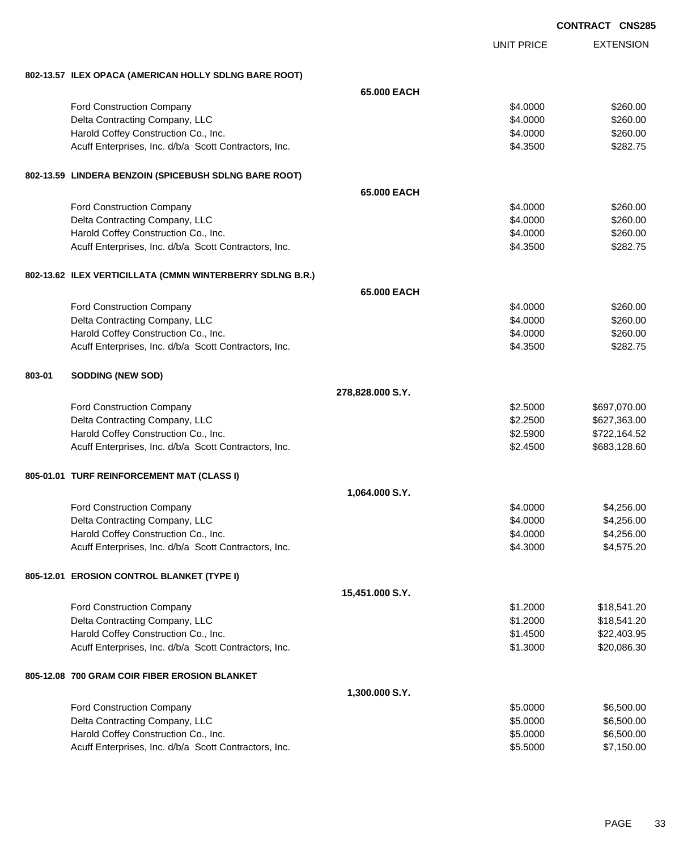|        |                                                                                               |                      | <b>CONTRACT CNS285</b> |                          |
|--------|-----------------------------------------------------------------------------------------------|----------------------|------------------------|--------------------------|
|        |                                                                                               | <b>UNIT PRICE</b>    |                        | <b>EXTENSION</b>         |
|        | 802-13.57 ILEX OPACA (AMERICAN HOLLY SDLNG BARE ROOT)                                         |                      |                        |                          |
|        | 65,000 EACH                                                                                   |                      |                        |                          |
|        | Ford Construction Company                                                                     | \$4.0000             |                        | \$260.00                 |
|        | Delta Contracting Company, LLC                                                                | \$4.0000             |                        | \$260.00                 |
|        | Harold Coffey Construction Co., Inc.                                                          | \$4.0000             |                        | \$260.00                 |
|        | Acuff Enterprises, Inc. d/b/a Scott Contractors, Inc.                                         | \$4.3500             |                        | \$282.75                 |
|        | 802-13.59 LINDERA BENZOIN (SPICEBUSH SDLNG BARE ROOT)                                         |                      |                        |                          |
|        | 65,000 EACH                                                                                   |                      |                        |                          |
|        | Ford Construction Company                                                                     | \$4.0000             |                        | \$260.00                 |
|        | Delta Contracting Company, LLC                                                                | \$4.0000             |                        | \$260.00                 |
|        | Harold Coffey Construction Co., Inc.                                                          | \$4.0000             |                        | \$260.00                 |
|        | Acuff Enterprises, Inc. d/b/a Scott Contractors, Inc.                                         | \$4.3500             |                        | \$282.75                 |
|        | 802-13.62 ILEX VERTICILLATA (CMMN WINTERBERRY SDLNG B.R.)                                     |                      |                        |                          |
|        | 65,000 EACH                                                                                   |                      |                        |                          |
|        | <b>Ford Construction Company</b>                                                              | \$4.0000             |                        | \$260.00                 |
|        | Delta Contracting Company, LLC                                                                | \$4.0000             |                        | \$260.00                 |
|        | Harold Coffey Construction Co., Inc.                                                          | \$4.0000             |                        | \$260.00                 |
|        | Acuff Enterprises, Inc. d/b/a Scott Contractors, Inc.                                         | \$4.3500             |                        | \$282.75                 |
| 803-01 | SODDING (NEW SOD)                                                                             |                      |                        |                          |
|        | 278,828.000 S.Y.                                                                              |                      |                        |                          |
|        | <b>Ford Construction Company</b>                                                              | \$2.5000             |                        | \$697,070.00             |
|        | Delta Contracting Company, LLC                                                                | \$2.2500             |                        | \$627,363.00             |
|        | Harold Coffey Construction Co., Inc.                                                          | \$2.5900             |                        | \$722,164.52             |
|        | Acuff Enterprises, Inc. d/b/a Scott Contractors, Inc.                                         | \$2.4500             |                        | \$683,128.60             |
|        | 805-01.01 TURF REINFORCEMENT MAT (CLASS I)                                                    |                      |                        |                          |
|        | 1,064.000 S.Y.                                                                                |                      |                        |                          |
|        | <b>Ford Construction Company</b>                                                              | \$4.0000             |                        | \$4,256.00               |
|        | Delta Contracting Company, LLC                                                                | \$4.0000             |                        | \$4,256.00               |
|        | Harold Coffey Construction Co., Inc.                                                          | \$4.0000             |                        | \$4,256.00               |
|        | Acuff Enterprises, Inc. d/b/a Scott Contractors, Inc.                                         | \$4.3000             |                        | \$4,575.20               |
|        | 805-12.01 EROSION CONTROL BLANKET (TYPE I)                                                    |                      |                        |                          |
|        | 15,451.000 S.Y.                                                                               |                      |                        |                          |
|        | <b>Ford Construction Company</b>                                                              | \$1.2000             |                        | \$18,541.20              |
|        | Delta Contracting Company, LLC                                                                | \$1.2000             |                        | \$18,541.20              |
|        | Harold Coffey Construction Co., Inc.                                                          | \$1.4500             |                        | \$22,403.95              |
|        | Acuff Enterprises, Inc. d/b/a Scott Contractors, Inc.                                         | \$1.3000             |                        | \$20,086.30              |
|        | 805-12.08 700 GRAM COIR FIBER EROSION BLANKET                                                 |                      |                        |                          |
|        | 1,300.000 S.Y.                                                                                |                      |                        |                          |
|        | Ford Construction Company                                                                     | \$5.0000             |                        | \$6,500.00               |
|        | Delta Contracting Company, LLC                                                                | \$5.0000             |                        | \$6,500.00               |
|        | Harold Coffey Construction Co., Inc.<br>Acuff Enterprises, Inc. d/b/a Scott Contractors, Inc. | \$5.0000<br>\$5.5000 |                        | \$6,500.00<br>\$7,150.00 |
|        |                                                                                               |                      |                        |                          |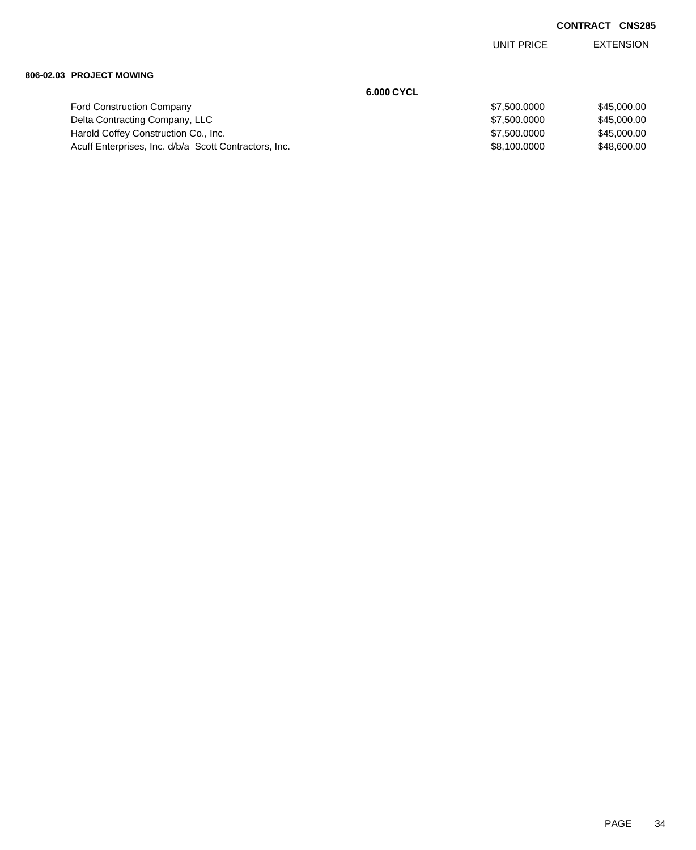EXTENSION UNIT PRICE

#### **806-02.03 PROJECT MOWING**

|                                                       | 6.000 CYCL   |             |
|-------------------------------------------------------|--------------|-------------|
| <b>Ford Construction Company</b>                      | \$7,500,0000 | \$45,000,00 |
| Delta Contracting Company, LLC                        | \$7,500,0000 | \$45,000,00 |
| Harold Coffey Construction Co., Inc.                  | \$7,500,0000 | \$45,000,00 |
| Acuff Enterprises, Inc. d/b/a Scott Contractors, Inc. | \$8,100,0000 | \$48,600,00 |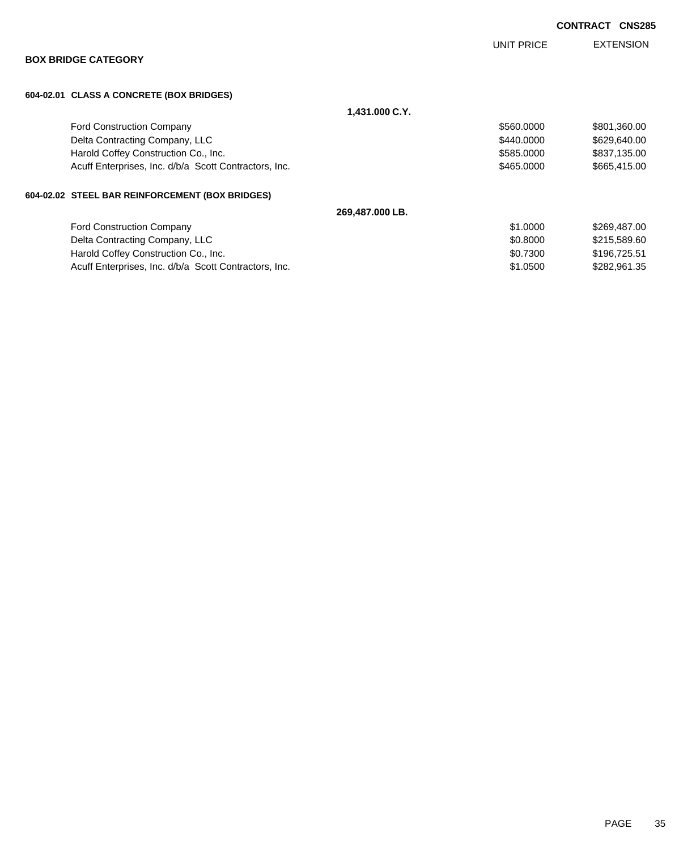|                                                       |                 | UNIT PRICE | <b>EXTENSION</b> |
|-------------------------------------------------------|-----------------|------------|------------------|
| <b>BOX BRIDGE CATEGORY</b>                            |                 |            |                  |
| 604-02.01 CLASS A CONCRETE (BOX BRIDGES)              |                 |            |                  |
|                                                       | 1,431.000 C.Y.  |            |                  |
| <b>Ford Construction Company</b>                      |                 | \$560.0000 | \$801,360.00     |
| Delta Contracting Company, LLC                        |                 | \$440,0000 | \$629,640.00     |
| Harold Coffey Construction Co., Inc.                  |                 | \$585.0000 | \$837,135.00     |
| Acuff Enterprises, Inc. d/b/a Scott Contractors, Inc. |                 | \$465.0000 | \$665,415.00     |
| 604-02.02 STEEL BAR REINFORCEMENT (BOX BRIDGES)       |                 |            |                  |
|                                                       | 269,487.000 LB. |            |                  |
| <b>Ford Construction Company</b>                      |                 | \$1.0000   | \$269,487.00     |
| Delta Contracting Company, LLC                        |                 | \$0.8000   | \$215,589.60     |
| Harold Coffey Construction Co., Inc.                  |                 | \$0.7300   | \$196,725.51     |
| Acuff Enterprises, Inc. d/b/a Scott Contractors, Inc. |                 | \$1,0500   | \$282,961.35     |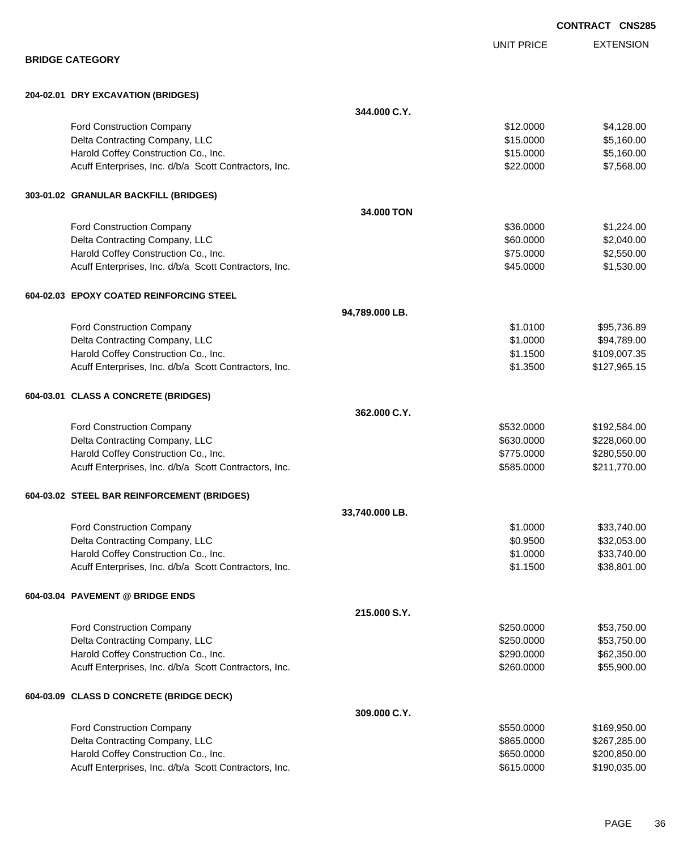|                                                                                               |                |                          | <b>CONTRACT CNS285</b>       |
|-----------------------------------------------------------------------------------------------|----------------|--------------------------|------------------------------|
|                                                                                               |                | <b>UNIT PRICE</b>        | <b>EXTENSION</b>             |
| <b>BRIDGE CATEGORY</b>                                                                        |                |                          |                              |
| 204-02.01 DRY EXCAVATION (BRIDGES)                                                            |                |                          |                              |
|                                                                                               | 344.000 C.Y.   |                          |                              |
| Ford Construction Company                                                                     |                | \$12.0000                | \$4,128.00                   |
| Delta Contracting Company, LLC                                                                |                | \$15.0000                | \$5,160.00                   |
| Harold Coffey Construction Co., Inc.                                                          |                | \$15.0000                | \$5,160.00                   |
| Acuff Enterprises, Inc. d/b/a Scott Contractors, Inc.                                         |                | \$22.0000                | \$7,568.00                   |
| 303-01.02 GRANULAR BACKFILL (BRIDGES)                                                         |                |                          |                              |
|                                                                                               | 34,000 TON     |                          |                              |
| Ford Construction Company                                                                     |                | \$36.0000                | \$1,224.00                   |
| Delta Contracting Company, LLC                                                                |                | \$60.0000                | \$2,040.00                   |
| Harold Coffey Construction Co., Inc.                                                          |                | \$75.0000                | \$2,550.00                   |
| Acuff Enterprises, Inc. d/b/a Scott Contractors, Inc.                                         |                | \$45.0000                | \$1,530.00                   |
| 604-02.03 EPOXY COATED REINFORCING STEEL                                                      |                |                          |                              |
|                                                                                               | 94,789.000 LB. |                          |                              |
| <b>Ford Construction Company</b>                                                              |                | \$1.0100                 | \$95,736.89                  |
| Delta Contracting Company, LLC                                                                |                | \$1.0000                 | \$94,789.00                  |
| Harold Coffey Construction Co., Inc.                                                          |                | \$1.1500                 | \$109,007.35                 |
| Acuff Enterprises, Inc. d/b/a Scott Contractors, Inc.                                         |                | \$1.3500                 | \$127,965.15                 |
| 604-03.01 CLASS A CONCRETE (BRIDGES)                                                          |                |                          |                              |
|                                                                                               | 362,000 C.Y.   |                          |                              |
| <b>Ford Construction Company</b>                                                              |                | \$532.0000               | \$192,584.00                 |
| Delta Contracting Company, LLC                                                                |                | \$630.0000               | \$228,060.00                 |
| Harold Coffey Construction Co., Inc.<br>Acuff Enterprises, Inc. d/b/a Scott Contractors, Inc. |                | \$775.0000               | \$280,550.00<br>\$211,770.00 |
|                                                                                               |                | \$585.0000               |                              |
| 604-03.02 STEEL BAR REINFORCEMENT (BRIDGES)                                                   |                |                          |                              |
|                                                                                               | 33,740.000 LB. |                          |                              |
| Ford Construction Company                                                                     |                | \$1.0000                 | \$33,740.00                  |
| Delta Contracting Company, LLC                                                                |                | \$0.9500                 | \$32,053.00                  |
| Harold Coffey Construction Co., Inc.<br>Acuff Enterprises, Inc. d/b/a Scott Contractors, Inc. |                | \$1.0000<br>\$1.1500     | \$33,740.00<br>\$38,801.00   |
|                                                                                               |                |                          |                              |
| 604-03.04 PAVEMENT @ BRIDGE ENDS                                                              |                |                          |                              |
|                                                                                               | 215.000 S.Y.   |                          |                              |
| <b>Ford Construction Company</b>                                                              |                | \$250.0000               | \$53,750.00                  |
| Delta Contracting Company, LLC                                                                |                | \$250.0000               | \$53,750.00                  |
| Harold Coffey Construction Co., Inc.<br>Acuff Enterprises, Inc. d/b/a Scott Contractors, Inc. |                | \$290.0000<br>\$260.0000 | \$62,350.00<br>\$55,900.00   |
|                                                                                               |                |                          |                              |
| 604-03.09 CLASS D CONCRETE (BRIDGE DECK)                                                      |                |                          |                              |
|                                                                                               | 309.000 C.Y.   |                          |                              |
| <b>Ford Construction Company</b>                                                              |                | \$550.0000               | \$169,950.00                 |
| Delta Contracting Company, LLC                                                                |                | \$865.0000               | \$267,285.00                 |
| Harold Coffey Construction Co., Inc.<br>Acuff Enterprises, Inc. d/b/a Scott Contractors, Inc. |                | \$650.0000<br>\$615.0000 | \$200,850.00<br>\$190,035.00 |
|                                                                                               |                |                          |                              |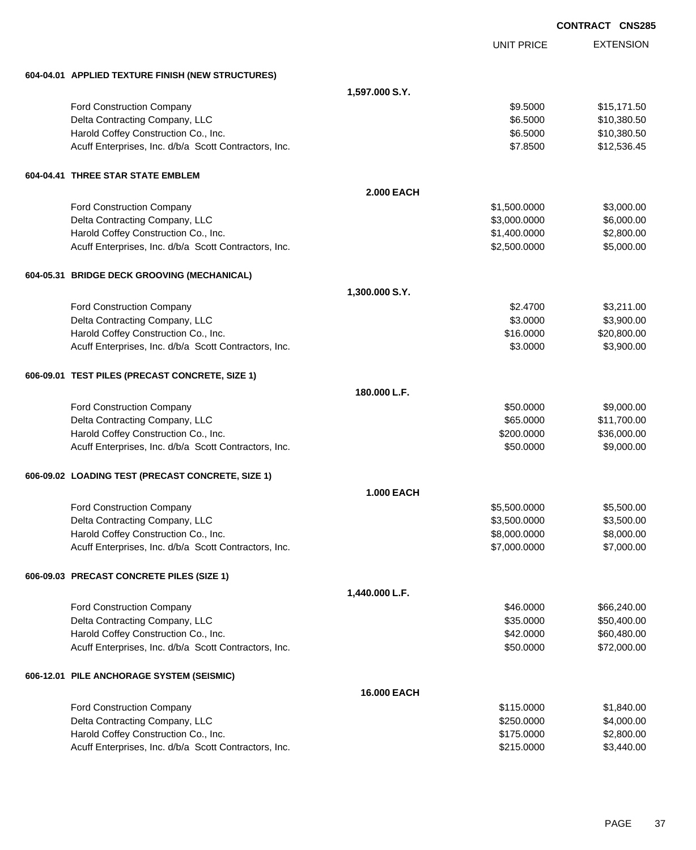|                                                                                               |                   |                   | <b>CONTRACT CNS285</b> |
|-----------------------------------------------------------------------------------------------|-------------------|-------------------|------------------------|
|                                                                                               |                   | <b>UNIT PRICE</b> | <b>EXTENSION</b>       |
| 604-04.01 APPLIED TEXTURE FINISH (NEW STRUCTURES)                                             |                   |                   |                        |
|                                                                                               | 1,597.000 S.Y.    |                   |                        |
| Ford Construction Company                                                                     |                   | \$9.5000          | \$15,171.50            |
| Delta Contracting Company, LLC                                                                |                   | \$6.5000          | \$10,380.50            |
| Harold Coffey Construction Co., Inc.                                                          |                   | \$6.5000          | \$10,380.50            |
| Acuff Enterprises, Inc. d/b/a Scott Contractors, Inc.                                         |                   | \$7.8500          | \$12,536.45            |
| 604-04.41 THREE STAR STATE EMBLEM                                                             |                   |                   |                        |
|                                                                                               | <b>2.000 EACH</b> |                   |                        |
| Ford Construction Company                                                                     |                   | \$1,500.0000      | \$3,000.00             |
| Delta Contracting Company, LLC                                                                |                   | \$3,000.0000      | \$6,000.00             |
| Harold Coffey Construction Co., Inc.                                                          |                   | \$1,400.0000      | \$2,800.00             |
| Acuff Enterprises, Inc. d/b/a Scott Contractors, Inc.                                         |                   | \$2,500.0000      | \$5,000.00             |
| 604-05.31 BRIDGE DECK GROOVING (MECHANICAL)                                                   |                   |                   |                        |
|                                                                                               | 1,300.000 S.Y.    |                   |                        |
| Ford Construction Company                                                                     |                   | \$2.4700          | \$3,211.00             |
| Delta Contracting Company, LLC                                                                |                   | \$3.0000          | \$3,900.00             |
| Harold Coffey Construction Co., Inc.                                                          |                   | \$16.0000         | \$20,800.00            |
| Acuff Enterprises, Inc. d/b/a Scott Contractors, Inc.                                         |                   | \$3.0000          | \$3,900.00             |
| 606-09.01 TEST PILES (PRECAST CONCRETE, SIZE 1)                                               |                   |                   |                        |
|                                                                                               | 180.000 L.F.      |                   |                        |
| Ford Construction Company                                                                     |                   | \$50.0000         | \$9,000.00             |
| Delta Contracting Company, LLC                                                                |                   | \$65.0000         | \$11,700.00            |
| Harold Coffey Construction Co., Inc.                                                          |                   | \$200.0000        | \$36,000.00            |
| Acuff Enterprises, Inc. d/b/a Scott Contractors, Inc.                                         |                   | \$50.0000         | \$9,000.00             |
| 606-09.02 LOADING TEST (PRECAST CONCRETE, SIZE 1)                                             |                   |                   |                        |
|                                                                                               | <b>1.000 EACH</b> |                   |                        |
| <b>Ford Construction Company</b>                                                              |                   | \$5,500.0000      | \$5,500.00             |
| Delta Contracting Company, LLC                                                                |                   | \$3,500.0000      | \$3,500.00             |
| Harold Coffey Construction Co., Inc.                                                          |                   | \$8,000.0000      | \$8,000.00             |
| Acuff Enterprises, Inc. d/b/a Scott Contractors, Inc.                                         |                   | \$7,000.0000      | \$7,000.00             |
| 606-09.03 PRECAST CONCRETE PILES (SIZE 1)                                                     |                   |                   |                        |
|                                                                                               | 1,440.000 L.F.    |                   |                        |
| <b>Ford Construction Company</b>                                                              |                   | \$46.0000         | \$66,240.00            |
| Delta Contracting Company, LLC                                                                |                   | \$35.0000         | \$50,400.00            |
| Harold Coffey Construction Co., Inc.                                                          |                   | \$42.0000         | \$60,480.00            |
| Acuff Enterprises, Inc. d/b/a Scott Contractors, Inc.                                         |                   | \$50.0000         | \$72,000.00            |
| 606-12.01 PILE ANCHORAGE SYSTEM (SEISMIC)                                                     |                   |                   |                        |
|                                                                                               | 16.000 EACH       |                   |                        |
| <b>Ford Construction Company</b>                                                              |                   | \$115.0000        | \$1,840.00             |
| Delta Contracting Company, LLC                                                                |                   | \$250.0000        | \$4,000.00             |
| Harold Coffey Construction Co., Inc.<br>Acuff Enterprises, Inc. d/b/a Scott Contractors, Inc. |                   | \$175.0000        | \$2,800.00             |
|                                                                                               |                   | \$215.0000        | \$3,440.00             |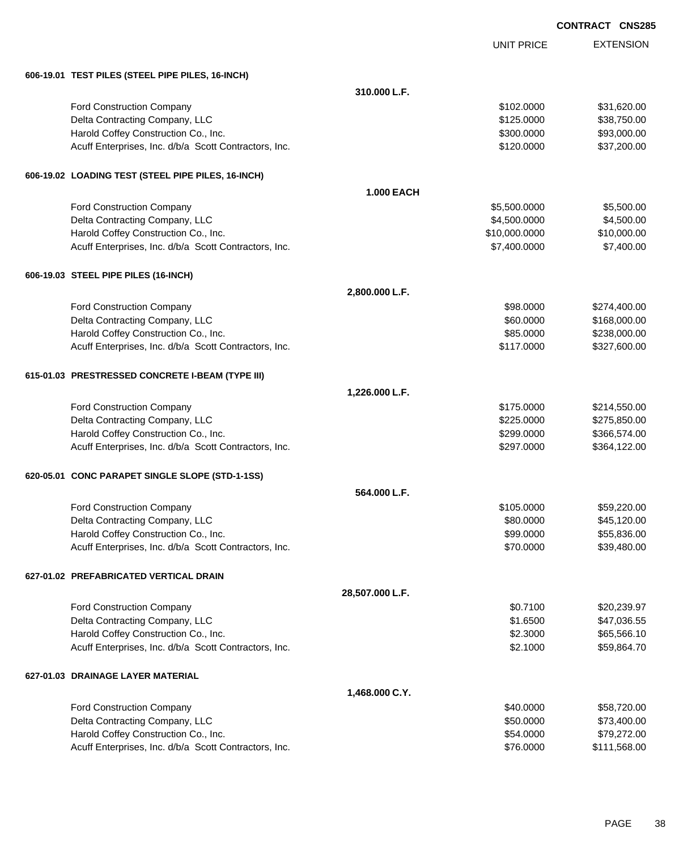| <b>CONTRACT CNS285</b> |  |
|------------------------|--|
|                        |  |

|                                                       |                   | <b>UNIT PRICE</b> | <b>EXTENSION</b> |
|-------------------------------------------------------|-------------------|-------------------|------------------|
| 606-19.01 TEST PILES (STEEL PIPE PILES, 16-INCH)      |                   |                   |                  |
|                                                       | 310.000 L.F.      |                   |                  |
| Ford Construction Company                             |                   | \$102.0000        | \$31,620.00      |
| Delta Contracting Company, LLC                        |                   | \$125.0000        | \$38,750.00      |
| Harold Coffey Construction Co., Inc.                  |                   | \$300.0000        | \$93,000.00      |
| Acuff Enterprises, Inc. d/b/a Scott Contractors, Inc. |                   | \$120.0000        | \$37,200.00      |
| 606-19.02 LOADING TEST (STEEL PIPE PILES, 16-INCH)    |                   |                   |                  |
|                                                       | <b>1.000 EACH</b> |                   |                  |
| Ford Construction Company                             |                   | \$5,500.0000      | \$5,500.00       |
| Delta Contracting Company, LLC                        |                   | \$4,500.0000      | \$4,500.00       |
| Harold Coffey Construction Co., Inc.                  |                   | \$10,000.0000     | \$10,000.00      |
| Acuff Enterprises, Inc. d/b/a Scott Contractors, Inc. |                   | \$7,400.0000      | \$7,400.00       |
| 606-19.03 STEEL PIPE PILES (16-INCH)                  |                   |                   |                  |
|                                                       | 2,800.000 L.F.    |                   |                  |
| Ford Construction Company                             |                   | \$98,0000         | \$274,400.00     |
| Delta Contracting Company, LLC                        |                   | \$60.0000         | \$168,000.00     |
| Harold Coffey Construction Co., Inc.                  |                   | \$85.0000         | \$238,000.00     |
| Acuff Enterprises, Inc. d/b/a Scott Contractors, Inc. |                   | \$117.0000        | \$327,600.00     |
| 615-01.03 PRESTRESSED CONCRETE I-BEAM (TYPE III)      |                   |                   |                  |
|                                                       | 1,226.000 L.F.    |                   |                  |
| Ford Construction Company                             |                   | \$175.0000        | \$214,550.00     |
| Delta Contracting Company, LLC                        |                   | \$225.0000        | \$275,850.00     |
| Harold Coffey Construction Co., Inc.                  |                   | \$299.0000        | \$366,574.00     |
| Acuff Enterprises, Inc. d/b/a Scott Contractors, Inc. |                   | \$297.0000        | \$364,122.00     |
| 620-05.01 CONC PARAPET SINGLE SLOPE (STD-1-1SS)       |                   |                   |                  |
|                                                       | 564.000 L.F.      |                   |                  |
| Ford Construction Company                             |                   | \$105,0000        | \$59,220.00      |
| Delta Contracting Company, LLC                        |                   | \$80.0000         | \$45,120.00      |
| Harold Coffey Construction Co., Inc.                  |                   | \$99.0000         | \$55,836.00      |
| Acuff Enterprises, Inc. d/b/a Scott Contractors, Inc. |                   | \$70.0000         | \$39,480.00      |
| 627-01.02 PREFABRICATED VERTICAL DRAIN                |                   |                   |                  |
|                                                       | 28,507.000 L.F.   |                   |                  |
| Ford Construction Company                             |                   | \$0.7100          | \$20,239.97      |
| Delta Contracting Company, LLC                        |                   | \$1.6500          | \$47,036.55      |
| Harold Coffey Construction Co., Inc.                  |                   | \$2.3000          | \$65,566.10      |
| Acuff Enterprises, Inc. d/b/a Scott Contractors, Inc. |                   | \$2.1000          | \$59,864.70      |
| 627-01.03 DRAINAGE LAYER MATERIAL                     |                   |                   |                  |
|                                                       | 1,468.000 C.Y.    |                   |                  |
| Ford Construction Company                             |                   | \$40.0000         | \$58,720.00      |
| Delta Contracting Company, LLC                        |                   | \$50.0000         | \$73,400.00      |
| Harold Coffey Construction Co., Inc.                  |                   | \$54.0000         | \$79,272.00      |
| Acuff Enterprises, Inc. d/b/a Scott Contractors, Inc. |                   | \$76.0000         | \$111,568.00     |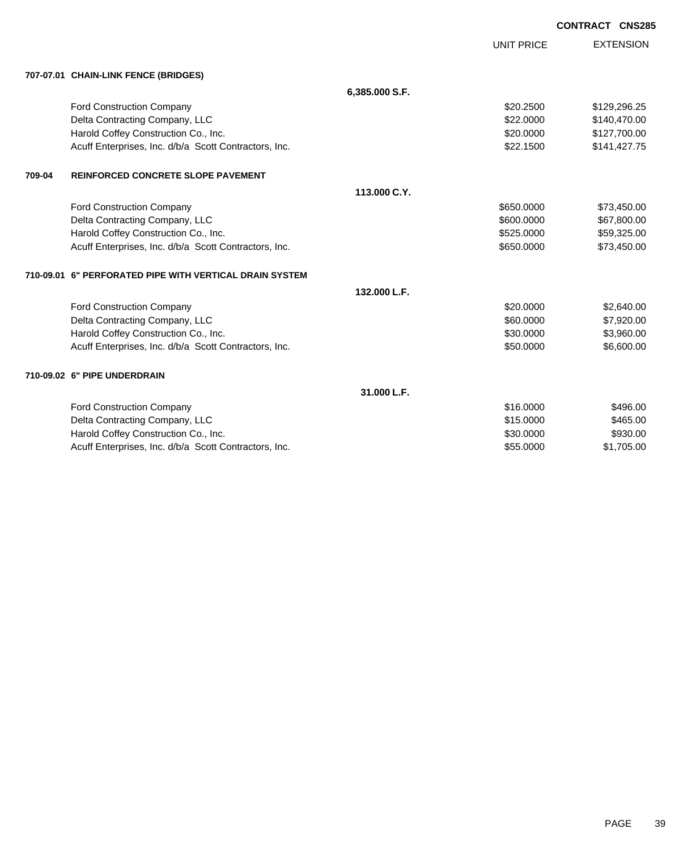|        |                                                         |                | <b>UNIT PRICE</b> | <b>EXTENSION</b> |
|--------|---------------------------------------------------------|----------------|-------------------|------------------|
|        | 707-07.01 CHAIN-LINK FENCE (BRIDGES)                    |                |                   |                  |
|        |                                                         | 6,385.000 S.F. |                   |                  |
|        | <b>Ford Construction Company</b>                        |                | \$20.2500         | \$129,296.25     |
|        | Delta Contracting Company, LLC                          |                | \$22,0000         | \$140,470.00     |
|        | Harold Coffey Construction Co., Inc.                    |                | \$20.0000         | \$127,700.00     |
|        | Acuff Enterprises, Inc. d/b/a Scott Contractors, Inc.   |                | \$22.1500         | \$141,427.75     |
| 709-04 | REINFORCED CONCRETE SLOPE PAVEMENT                      |                |                   |                  |
|        |                                                         | 113.000 C.Y.   |                   |                  |
|        | Ford Construction Company                               |                | \$650.0000        | \$73,450.00      |
|        | Delta Contracting Company, LLC                          |                | \$600,0000        | \$67,800.00      |
|        | Harold Coffey Construction Co., Inc.                    |                | \$525.0000        | \$59,325.00      |
|        | Acuff Enterprises, Inc. d/b/a Scott Contractors, Inc.   |                | \$650.0000        | \$73,450.00      |
|        | 710-09.01 6" PERFORATED PIPE WITH VERTICAL DRAIN SYSTEM |                |                   |                  |
|        |                                                         | 132.000 L.F.   |                   |                  |
|        | Ford Construction Company                               |                | \$20.0000         | \$2,640.00       |
|        | Delta Contracting Company, LLC                          |                | \$60,0000         | \$7,920.00       |
|        | Harold Coffey Construction Co., Inc.                    |                | \$30.0000         | \$3,960.00       |
|        | Acuff Enterprises, Inc. d/b/a Scott Contractors, Inc.   |                | \$50.0000         | \$6,600.00       |
|        | 710-09.02 6" PIPE UNDERDRAIN                            |                |                   |                  |
|        |                                                         | 31.000 L.F.    |                   |                  |
|        | <b>Ford Construction Company</b>                        |                | \$16.0000         | \$496.00         |
|        | Delta Contracting Company, LLC                          |                | \$15,0000         | \$465.00         |
|        | Harold Coffey Construction Co., Inc.                    |                | \$30,0000         | \$930.00         |
|        | Acuff Enterprises, Inc. d/b/a Scott Contractors, Inc.   |                | \$55.0000         | \$1,705.00       |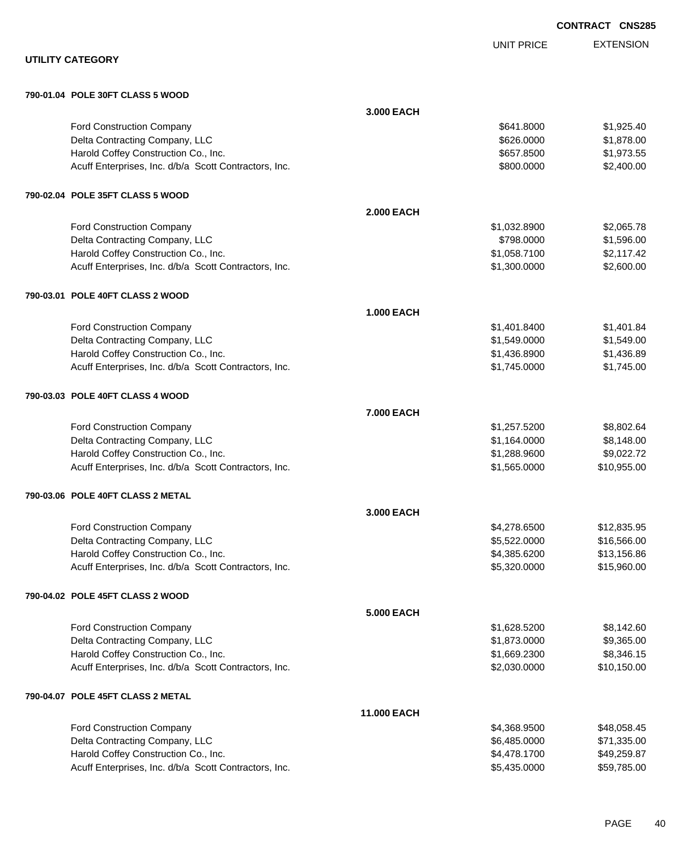EXTENSION **CONTRACT CNS285** UNIT PRICE **UTILITY CATEGORY 790-01.04 POLE 30FT CLASS 5 WOOD 3.000 EACH** Ford Construction Company 6641.8000 \$1,925.40 Delta Contracting Company, LLC 6. The contraction of the contracting Company, LLC 6. The contraction of the contraction of the contraction of the contraction of the contraction of the contraction of the contraction of the Harold Coffey Construction Co., Inc. 6. The Construction Co., Inc. \$657.8500 \$1,973.55 Acuff Enterprises, Inc. d/b/a Scott Contractors, Inc. 6. The State of the State of S2,400.000 \$2,400.00 **790-02.04 POLE 35FT CLASS 5 WOOD 2.000 EACH** Ford Construction Company 62,065.78 Delta Contracting Company, LLC **but a contracting Company, LLC** \$798.0000 \$1,596.00 Harold Coffey Construction Co., Inc. 6. 2012. The state of the state of the state of the state of the state of the state of the state of the state of the state of the state of the state of the state of the state of the sta Acuff Enterprises, Inc. d/b/a Scott Contractors, Inc. 6. The State of the State of State State State State State State State State State State State State State State State State State State State State State State State S **790-03.01 POLE 40FT CLASS 2 WOOD 1.000 EACH** Ford Construction Company 61,401.8400 \$1,401.8400 \$1,401.8400 Delta Contracting Company, LLC 6. The contraction of the contraction of the state of the state of the state of the state of the state of the state of the state of the state of the state of the state of the state of the sta Harold Coffey Construction Co., Inc. 6. The Construction Co., Inc. \$1,436.8900 \$1,436.8900 \$1,436.89 Acuff Enterprises, Inc. d/b/a Scott Contractors, Inc. 6. The State of the State of State State State State State State State State State State State State State State State State State State State State State State State S **790-03.03 POLE 40FT CLASS 4 WOOD 7.000 EACH** Ford Construction Company 68,802.64 Delta Contracting Company, LLC 6. The contracting Company, LLC 6. The contraction of the contracting Company, LLC Harold Coffey Construction Co., Inc. 6. The Construction Co., Inc. \$1,288.9600 \$9,022.72 Acuff Enterprises, Inc. d/b/a Scott Contractors, Inc. 6. The State of the State of State State State State State State State State State State State State State State State State State State State State State State State S **790-03.06 POLE 40FT CLASS 2 METAL 3.000 EACH**

| <b>Ford Construction Company</b>                      | \$4,278,6500 | \$12.835.95 |
|-------------------------------------------------------|--------------|-------------|
| Delta Contracting Company, LLC                        | \$5.522.0000 | \$16,566,00 |
| Harold Coffey Construction Co., Inc.                  | \$4.385.6200 | \$13.156.86 |
| Acuff Enterprises, Inc. d/b/a Scott Contractors, Inc. | \$5,320,0000 | \$15,960,00 |
|                                                       |              |             |

#### **790-04.02 POLE 45FT CLASS 2 WOOD**

| <b>5.000 EACH</b>                                     |              |             |
|-------------------------------------------------------|--------------|-------------|
| <b>Ford Construction Company</b>                      | \$1.628.5200 | \$8,142.60  |
| Delta Contracting Company, LLC                        | \$1.873.0000 | \$9,365.00  |
| Harold Coffey Construction Co., Inc.                  | \$1,669.2300 | \$8,346,15  |
| Acuff Enterprises, Inc. d/b/a Scott Contractors, Inc. | \$2,030.0000 | \$10,150.00 |

### **790-04.07 POLE 45FT CLASS 2 METAL**

| <b>11.000 EACH</b>                                    |              |             |
|-------------------------------------------------------|--------------|-------------|
| <b>Ford Construction Company</b>                      | \$4,368.9500 | \$48,058.45 |
| Delta Contracting Company, LLC                        | \$6.485.0000 | \$71,335.00 |
| Harold Coffey Construction Co., Inc.                  | \$4.478.1700 | \$49,259.87 |
| Acuff Enterprises, Inc. d/b/a Scott Contractors, Inc. | \$5,435.0000 | \$59,785.00 |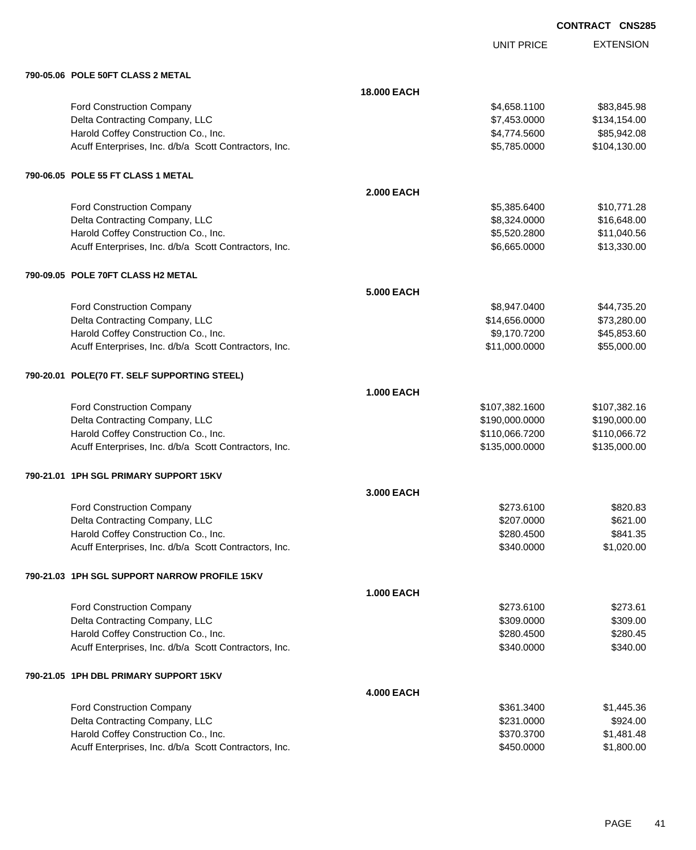|                                                       |                    | <b>UNIT PRICE</b> | <b>EXTENSION</b> |
|-------------------------------------------------------|--------------------|-------------------|------------------|
| 790-05.06 POLE 50FT CLASS 2 METAL                     |                    |                   |                  |
|                                                       | <b>18,000 EACH</b> |                   |                  |
| <b>Ford Construction Company</b>                      |                    | \$4,658.1100      | \$83,845.98      |
| Delta Contracting Company, LLC                        |                    | \$7,453.0000      | \$134,154.00     |
| Harold Coffey Construction Co., Inc.                  |                    | \$4,774.5600      | \$85,942.08      |
| Acuff Enterprises, Inc. d/b/a Scott Contractors, Inc. |                    | \$5,785.0000      | \$104,130.00     |
| 790-06.05 POLE 55 FT CLASS 1 METAL                    |                    |                   |                  |
|                                                       | <b>2.000 EACH</b>  |                   |                  |
| <b>Ford Construction Company</b>                      |                    | \$5,385.6400      | \$10,771.28      |
| Delta Contracting Company, LLC                        |                    | \$8,324.0000      | \$16,648.00      |
| Harold Coffey Construction Co., Inc.                  |                    | \$5,520.2800      | \$11,040.56      |
| Acuff Enterprises, Inc. d/b/a Scott Contractors, Inc. |                    | \$6,665.0000      | \$13,330.00      |
| 790-09.05 POLE 70FT CLASS H2 METAL                    |                    |                   |                  |
|                                                       | <b>5.000 EACH</b>  |                   |                  |
| <b>Ford Construction Company</b>                      |                    | \$8,947.0400      | \$44,735.20      |
| Delta Contracting Company, LLC                        |                    | \$14,656.0000     | \$73,280.00      |
| Harold Coffey Construction Co., Inc.                  |                    | \$9,170.7200      | \$45,853.60      |
| Acuff Enterprises, Inc. d/b/a Scott Contractors, Inc. |                    | \$11,000.0000     | \$55,000.00      |
| 790-20.01 POLE(70 FT. SELF SUPPORTING STEEL)          |                    |                   |                  |
|                                                       | <b>1.000 EACH</b>  |                   |                  |
| <b>Ford Construction Company</b>                      |                    | \$107,382.1600    | \$107,382.16     |
| Delta Contracting Company, LLC                        |                    | \$190,000.0000    | \$190,000.00     |
| Harold Coffey Construction Co., Inc.                  |                    | \$110,066.7200    | \$110,066.72     |
| Acuff Enterprises, Inc. d/b/a Scott Contractors, Inc. |                    | \$135,000.0000    | \$135,000.00     |
| 790-21.01 1PH SGL PRIMARY SUPPORT 15KV                |                    |                   |                  |
|                                                       | 3.000 EACH         |                   |                  |
| Ford Construction Company                             |                    | \$273.6100        | \$820.83         |
| Delta Contracting Company, LLC                        |                    | \$207.0000        | \$621.00         |
| Harold Coffey Construction Co., Inc.                  |                    | \$280.4500        | \$841.35         |
| Acuff Enterprises, Inc. d/b/a Scott Contractors, Inc. |                    | \$340.0000        | \$1,020.00       |
| 790-21.03 1PH SGL SUPPORT NARROW PROFILE 15KV         |                    |                   |                  |
|                                                       | <b>1.000 EACH</b>  |                   |                  |
| Ford Construction Company                             |                    | \$273.6100        | \$273.61         |
| Delta Contracting Company, LLC                        |                    | \$309.0000        | \$309.00         |
| Harold Coffey Construction Co., Inc.                  |                    | \$280.4500        | \$280.45         |
| Acuff Enterprises, Inc. d/b/a Scott Contractors, Inc. |                    | \$340.0000        | \$340.00         |
| 790-21.05 1PH DBL PRIMARY SUPPORT 15KV                |                    |                   |                  |
|                                                       | <b>4.000 EACH</b>  |                   |                  |
| <b>Ford Construction Company</b>                      |                    | \$361.3400        | \$1,445.36       |
| Delta Contracting Company, LLC                        |                    | \$231.0000        | \$924.00         |
| Harold Coffey Construction Co., Inc.                  |                    | \$370.3700        | \$1,481.48       |
| Acuff Enterprises, Inc. d/b/a Scott Contractors, Inc. |                    | \$450.0000        | \$1,800.00       |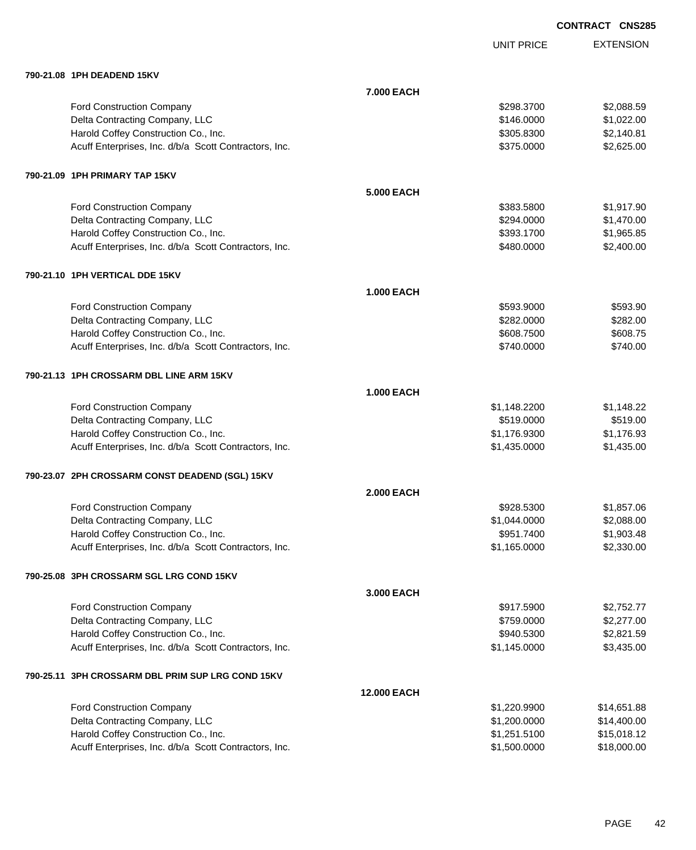UNIT PRICE

EXTENSION

**790-21.08 1PH DEADEND 15KV 7.000 EACH** Ford Construction Company 62,088.59 Delta Contracting Company, LLC 6. The contracting Company, LLC 6. The contraction of the contracting Company, LLC Harold Coffey Construction Co., Inc. 6. The Construction Co., Inc. 6. The Construction Co., Inc. 6. S. 2005.8300 \$2,140.81 Acuff Enterprises, Inc. d/b/a Scott Contractors, Inc. 6375.0000 \$375.0000 \$2,625.00 **790-21.09 1PH PRIMARY TAP 15KV 5.000 EACH** Ford Construction Company 6383.5800 \$1,917.90 Delta Contracting Company, LLC **but a structure of the Contraction Contraction Contraction Contraction Contraction**  $$1,470.00$ Harold Coffey Construction Co., Inc. 66 and the construction Co., Inc. 65.85 and the construction Co., Inc. 65.85 Acuff Enterprises, Inc. d/b/a Scott Contractors, Inc. 6480.0000 \$2,400.00 **790-21.10 1PH VERTICAL DDE 15KV 1.000 EACH** Ford Construction Company 6593.90 \$593.900 \$593.900 \$593.900 \$593.900 \$593.900 \$593.90 Delta Contracting Company, LLC **\$282.000** \$282.000 \$282.000 Harold Coffey Construction Co., Inc. 6608.7500 \$608.7500 \$608.7500 \$608.7500 Acuff Enterprises, Inc. d/b/a Scott Contractors, Inc. 6740.000 \$740.000 \$740.000 **790-21.13 1PH CROSSARM DBL LINE ARM 15KV 1.000 EACH** Ford Construction Company **61,148.2200** \$1,148.2200 \$1,148.22 Delta Contracting Company, LLC 6519.000 \$519.000 \$519.000 \$519.000 Harold Coffey Construction Co., Inc.  $$1,176.9300$   $$1,176.930$ Acuff Enterprises, Inc. d/b/a Scott Contractors, Inc. 6. The State of the State of State State State State State State State State State State State State State State State State State State State State State State State S **790-23.07 2PH CROSSARM CONST DEADEND (SGL) 15KV 2.000 EACH** Ford Construction Company 61,857.06 Delta Contracting Company, LLC **but a contraction of the Contraction Contraction Contraction Contraction Contraction Contraction Contraction Contraction Contraction Contraction Contraction Contraction Contraction Contracti** Harold Coffey Construction Co., Inc. 6. The Construction Co., Inc. 6. The Construction Co., Inc. 6. The Const Acuff Enterprises, Inc. d/b/a Scott Contractors, Inc. 6. The State of the State of State State State State State State State State State State State State State State State State State State State State State State State S **790-25.08 3PH CROSSARM SGL LRG COND 15KV 3.000 EACH** Ford Construction Company 62,752.77 Delta Contracting Company, LLC **but a contraction of the Contraction Contraction Contraction Contraction** \$2,277.00 Harold Coffey Construction Co., Inc. 6. The Construction Co., Inc. 6. The Construction Co., Inc. 6. The Const Acuff Enterprises, Inc. d/b/a Scott Contractors, Inc. 6. The State of the State of State State State State State State State State State State State State State State State State State State State State State State State S **790-25.11 3PH CROSSARM DBL PRIM SUP LRG COND 15KV 12.000 EACH** Ford Construction Company **614,651.88 \$1,220.9900** \$14,651.88 Delta Contracting Company, LLC 6. The contraction of the state of the state of the state of the state of the state of the state of the state of the state of the state of the state of the state of the state of the state of Harold Coffey Construction Co., Inc. 6. 251.5100 \$1,251.5100 \$15,018.12 Acuff Enterprises, Inc. d/b/a Scott Contractors, Inc.  $$1,500.0000$  \$18,000.00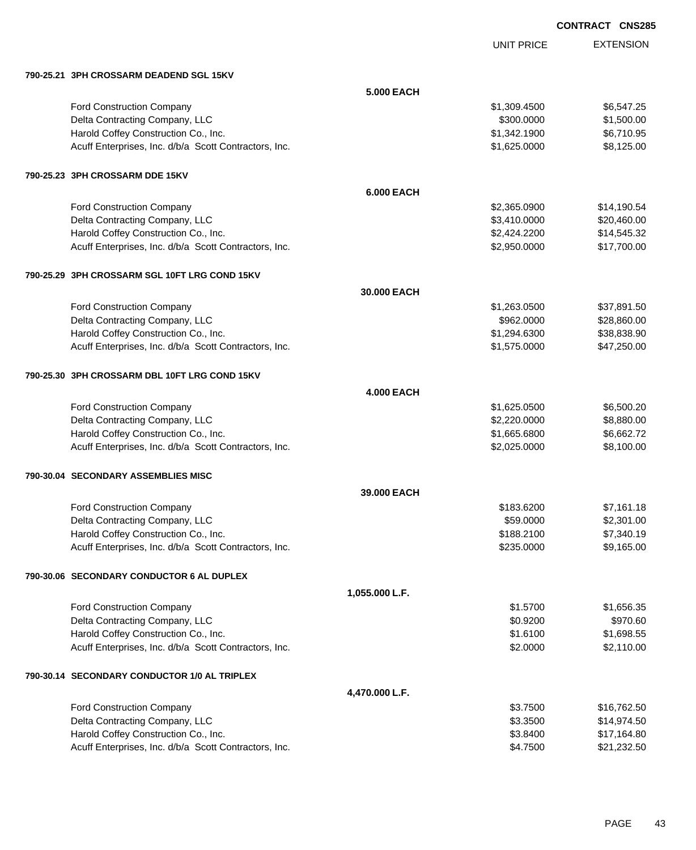UNIT PRICE

| 790-25.21 3PH CROSSARM DEADEND SGL 15KV               |                   |              |             |
|-------------------------------------------------------|-------------------|--------------|-------------|
|                                                       | <b>5.000 EACH</b> |              |             |
| Ford Construction Company                             |                   | \$1,309.4500 | \$6,547.25  |
| Delta Contracting Company, LLC                        |                   | \$300.0000   | \$1,500.00  |
| Harold Coffey Construction Co., Inc.                  |                   | \$1,342.1900 | \$6,710.95  |
| Acuff Enterprises, Inc. d/b/a Scott Contractors, Inc. |                   | \$1,625.0000 | \$8,125.00  |
| 790-25.23 3PH CROSSARM DDE 15KV                       |                   |              |             |
|                                                       | <b>6.000 EACH</b> |              |             |
| Ford Construction Company                             |                   | \$2,365.0900 | \$14,190.54 |
| Delta Contracting Company, LLC                        |                   | \$3,410.0000 | \$20,460.00 |
| Harold Coffey Construction Co., Inc.                  |                   | \$2,424.2200 | \$14,545.32 |
| Acuff Enterprises, Inc. d/b/a Scott Contractors, Inc. |                   | \$2,950.0000 | \$17,700.00 |
| 790-25.29 3PH CROSSARM SGL 10FT LRG COND 15KV         |                   |              |             |
|                                                       | 30.000 EACH       |              |             |
| Ford Construction Company                             |                   | \$1,263.0500 | \$37,891.50 |
| Delta Contracting Company, LLC                        |                   | \$962.0000   | \$28,860.00 |
| Harold Coffey Construction Co., Inc.                  |                   | \$1,294.6300 | \$38,838.90 |
| Acuff Enterprises, Inc. d/b/a Scott Contractors, Inc. |                   | \$1,575.0000 | \$47,250.00 |
| 790-25.30 3PH CROSSARM DBL 10FT LRG COND 15KV         |                   |              |             |
|                                                       | <b>4.000 EACH</b> |              |             |
| Ford Construction Company                             |                   | \$1,625.0500 | \$6,500.20  |
| Delta Contracting Company, LLC                        |                   | \$2,220.0000 | \$8,880.00  |
| Harold Coffey Construction Co., Inc.                  |                   | \$1,665.6800 | \$6,662.72  |
| Acuff Enterprises, Inc. d/b/a Scott Contractors, Inc. |                   | \$2,025.0000 | \$8,100.00  |
| 790-30.04 SECONDARY ASSEMBLIES MISC                   |                   |              |             |
|                                                       | 39.000 EACH       |              |             |
| Ford Construction Company                             |                   | \$183.6200   | \$7,161.18  |
| Delta Contracting Company, LLC                        |                   | \$59.0000    | \$2,301.00  |
| Harold Coffey Construction Co., Inc.                  |                   | \$188.2100   | \$7,340.19  |
| Acuff Enterprises, Inc. d/b/a Scott Contractors, Inc. |                   | \$235.0000   | \$9,165.00  |
| 790-30.06 SECONDARY CONDUCTOR 6 AL DUPLEX             |                   |              |             |
|                                                       | 1,055.000 L.F.    |              |             |
| Ford Construction Company                             |                   | \$1.5700     | \$1,656.35  |
| Delta Contracting Company, LLC                        |                   | \$0.9200     | \$970.60    |
| Harold Coffey Construction Co., Inc.                  |                   | \$1.6100     | \$1,698.55  |
| Acuff Enterprises, Inc. d/b/a Scott Contractors, Inc. |                   | \$2.0000     | \$2,110.00  |
| 790-30.14 SECONDARY CONDUCTOR 1/0 AL TRIPLEX          |                   |              |             |
|                                                       | 4,470.000 L.F.    |              |             |
| Ford Construction Company                             |                   | \$3.7500     | \$16,762.50 |
| Delta Contracting Company, LLC                        |                   | \$3.3500     | \$14,974.50 |
| Harold Coffey Construction Co., Inc.                  |                   | \$3.8400     | \$17,164.80 |
| Acuff Enterprises, Inc. d/b/a Scott Contractors, Inc. |                   | \$4.7500     | \$21,232.50 |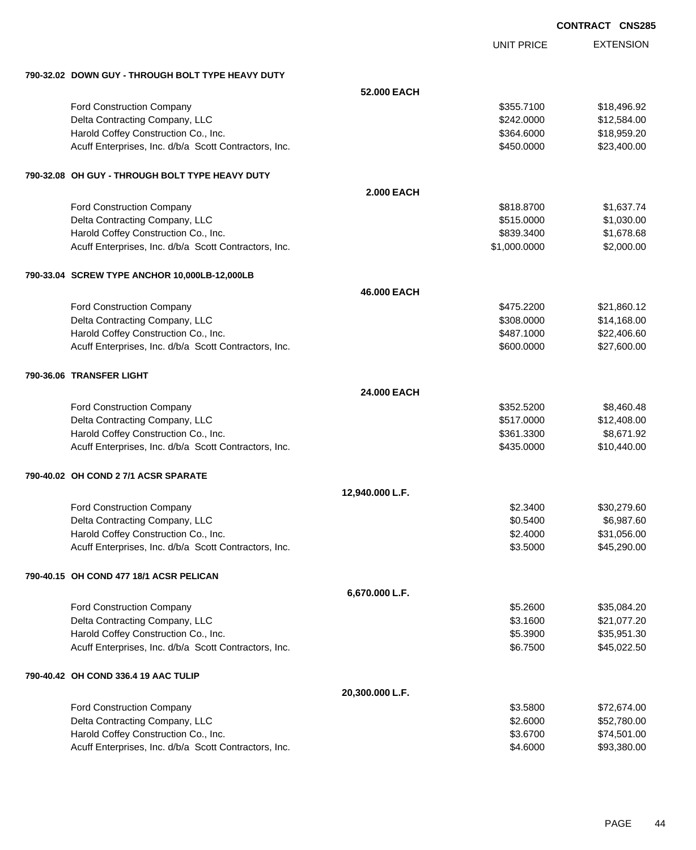| <b>CONTRACT CNS285</b> |  |
|------------------------|--|
|                        |  |

|                                                       |                   | <b>UNIT PRICE</b> | <b>EXTENSION</b> |
|-------------------------------------------------------|-------------------|-------------------|------------------|
| 790-32.02 DOWN GUY - THROUGH BOLT TYPE HEAVY DUTY     |                   |                   |                  |
|                                                       | 52.000 EACH       |                   |                  |
| <b>Ford Construction Company</b>                      |                   | \$355.7100        | \$18,496.92      |
| Delta Contracting Company, LLC                        |                   | \$242.0000        | \$12,584.00      |
| Harold Coffey Construction Co., Inc.                  |                   | \$364.6000        | \$18,959.20      |
| Acuff Enterprises, Inc. d/b/a Scott Contractors, Inc. |                   | \$450.0000        | \$23,400.00      |
| 790-32.08 OH GUY - THROUGH BOLT TYPE HEAVY DUTY       |                   |                   |                  |
|                                                       | <b>2.000 EACH</b> |                   |                  |
| <b>Ford Construction Company</b>                      |                   | \$818.8700        | \$1,637.74       |
| Delta Contracting Company, LLC                        |                   | \$515.0000        | \$1,030.00       |
| Harold Coffey Construction Co., Inc.                  |                   | \$839.3400        | \$1,678.68       |
| Acuff Enterprises, Inc. d/b/a Scott Contractors, Inc. |                   | \$1,000.0000      | \$2,000.00       |
| 790-33.04 SCREW TYPE ANCHOR 10,000LB-12,000LB         |                   |                   |                  |
|                                                       | 46.000 EACH       |                   |                  |
| <b>Ford Construction Company</b>                      |                   | \$475.2200        | \$21,860.12      |
| Delta Contracting Company, LLC                        |                   | \$308.0000        | \$14,168.00      |
| Harold Coffey Construction Co., Inc.                  |                   | \$487.1000        | \$22,406.60      |
| Acuff Enterprises, Inc. d/b/a Scott Contractors, Inc. |                   | \$600.0000        | \$27,600.00      |
| 790-36.06 TRANSFER LIGHT                              |                   |                   |                  |
|                                                       | 24.000 EACH       |                   |                  |
| <b>Ford Construction Company</b>                      |                   | \$352.5200        | \$8,460.48       |
| Delta Contracting Company, LLC                        |                   | \$517.0000        | \$12,408.00      |
| Harold Coffey Construction Co., Inc.                  |                   | \$361.3300        | \$8,671.92       |
| Acuff Enterprises, Inc. d/b/a Scott Contractors, Inc. |                   | \$435.0000        | \$10,440.00      |
| 790-40.02 OH COND 2 7/1 ACSR SPARATE                  |                   |                   |                  |
|                                                       | 12,940.000 L.F.   |                   |                  |
| <b>Ford Construction Company</b>                      |                   | \$2,3400          | \$30,279.60      |
| Delta Contracting Company, LLC                        |                   | \$0.5400          | \$6,987.60       |
| Harold Coffey Construction Co., Inc.                  |                   | \$2.4000          | \$31,056.00      |
| Acuff Enterprises, Inc. d/b/a Scott Contractors, Inc. |                   | \$3.5000          | \$45,290.00      |
| 790-40.15 OH COND 477 18/1 ACSR PELICAN               |                   |                   |                  |
|                                                       | 6,670.000 L.F.    |                   |                  |
| <b>Ford Construction Company</b>                      |                   | \$5.2600          | \$35,084.20      |
| Delta Contracting Company, LLC                        |                   | \$3.1600          | \$21,077.20      |
| Harold Coffey Construction Co., Inc.                  |                   | \$5.3900          | \$35,951.30      |
| Acuff Enterprises, Inc. d/b/a Scott Contractors, Inc. |                   | \$6.7500          | \$45,022.50      |
| 790-40.42 OH COND 336.4 19 AAC TULIP                  |                   |                   |                  |
|                                                       | 20,300.000 L.F.   |                   |                  |
| <b>Ford Construction Company</b>                      |                   | \$3.5800          | \$72,674.00      |
| Delta Contracting Company, LLC                        |                   | \$2.6000          | \$52,780.00      |
| Harold Coffey Construction Co., Inc.                  |                   | \$3.6700          | \$74,501.00      |
| Acuff Enterprises, Inc. d/b/a Scott Contractors, Inc. |                   | \$4.6000          | \$93,380.00      |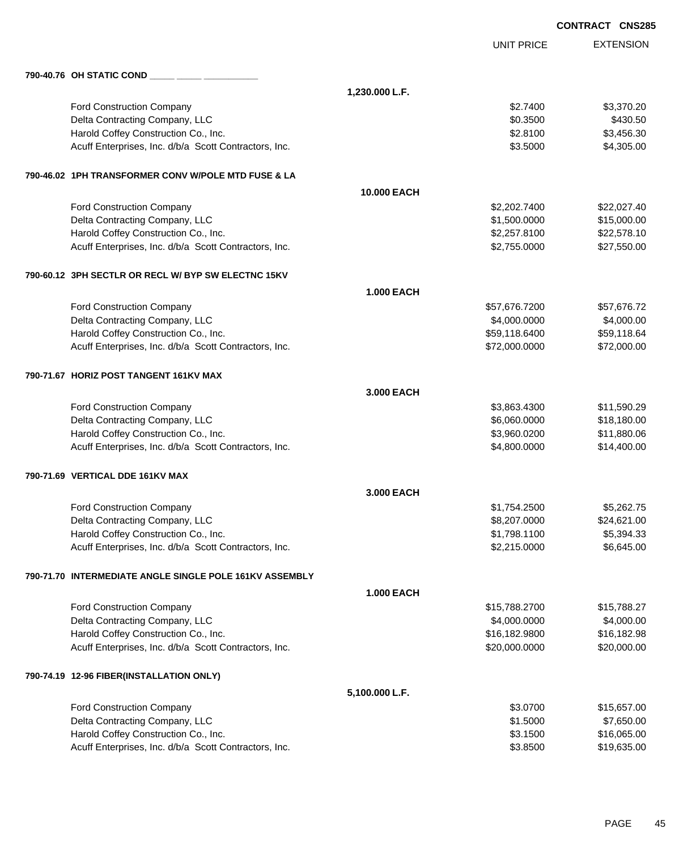|                                                         |                    |                   | <b>CONTRACT CNS285</b> |
|---------------------------------------------------------|--------------------|-------------------|------------------------|
|                                                         |                    | <b>UNIT PRICE</b> | <b>EXTENSION</b>       |
|                                                         |                    |                   |                        |
|                                                         | 1,230.000 L.F.     |                   |                        |
| Ford Construction Company                               |                    | \$2.7400          | \$3,370.20             |
| Delta Contracting Company, LLC                          |                    | \$0.3500          | \$430.50               |
| Harold Coffey Construction Co., Inc.                    |                    | \$2.8100          | \$3,456.30             |
| Acuff Enterprises, Inc. d/b/a Scott Contractors, Inc.   |                    | \$3.5000          | \$4,305.00             |
| 790-46.02 1PH TRANSFORMER CONV W/POLE MTD FUSE & LA     |                    |                   |                        |
|                                                         | <b>10.000 EACH</b> |                   |                        |
| Ford Construction Company                               |                    | \$2,202.7400      | \$22,027.40            |
| Delta Contracting Company, LLC                          |                    | \$1,500.0000      | \$15,000.00            |
| Harold Coffey Construction Co., Inc.                    |                    | \$2,257.8100      | \$22,578.10            |
| Acuff Enterprises, Inc. d/b/a Scott Contractors, Inc.   |                    | \$2,755.0000      | \$27,550.00            |
| 790-60.12 3PH SECTLR OR RECL W/ BYP SW ELECTNC 15KV     |                    |                   |                        |
|                                                         | <b>1.000 EACH</b>  |                   |                        |
| Ford Construction Company                               |                    | \$57,676.7200     | \$57,676.72            |
| Delta Contracting Company, LLC                          |                    | \$4,000.0000      | \$4,000.00             |
| Harold Coffey Construction Co., Inc.                    |                    | \$59,118.6400     | \$59,118.64            |
| Acuff Enterprises, Inc. d/b/a Scott Contractors, Inc.   |                    | \$72,000.0000     | \$72,000.00            |
| 790-71.67 HORIZ POST TANGENT 161KV MAX                  |                    |                   |                        |
|                                                         | 3,000 EACH         |                   |                        |
| Ford Construction Company                               |                    | \$3,863.4300      | \$11,590.29            |
| Delta Contracting Company, LLC                          |                    | \$6,060.0000      | \$18,180.00            |
| Harold Coffey Construction Co., Inc.                    |                    | \$3,960.0200      | \$11,880.06            |
| Acuff Enterprises, Inc. d/b/a Scott Contractors, Inc.   |                    | \$4,800.0000      | \$14,400.00            |
| 790-71.69 VERTICAL DDE 161KV MAX                        |                    |                   |                        |
|                                                         | 3,000 EACH         |                   |                        |
| Ford Construction Company                               |                    | \$1,754.2500      | \$5,262.75             |
| Delta Contracting Company, LLC                          |                    | \$8,207.0000      | \$24,621.00            |
| Harold Coffey Construction Co., Inc.                    |                    | \$1,798.1100      | \$5,394.33             |
| Acuff Enterprises, Inc. d/b/a Scott Contractors, Inc.   |                    | \$2,215.0000      | \$6,645.00             |
| 790-71.70 INTERMEDIATE ANGLE SINGLE POLE 161KV ASSEMBLY |                    |                   |                        |
|                                                         | <b>1.000 EACH</b>  |                   |                        |
| <b>Ford Construction Company</b>                        |                    | \$15,788.2700     | \$15,788.27            |
| Delta Contracting Company, LLC                          |                    | \$4,000.0000      | \$4,000.00             |
| Harold Coffey Construction Co., Inc.                    |                    | \$16,182.9800     | \$16,182.98            |
| Acuff Enterprises, Inc. d/b/a Scott Contractors, Inc.   |                    | \$20,000.0000     | \$20,000.00            |
| 790-74.19 12-96 FIBER(INSTALLATION ONLY)                |                    |                   |                        |
|                                                         | 5,100.000 L.F.     |                   |                        |
| Ford Construction Company                               |                    | \$3.0700          | \$15,657.00            |
| Delta Contracting Company, LLC                          |                    | \$1.5000          | \$7,650.00             |
| Harold Coffey Construction Co., Inc.                    |                    | \$3.1500          | \$16,065.00            |
| Acuff Enterprises, Inc. d/b/a Scott Contractors, Inc.   |                    | \$3.8500          | \$19,635.00            |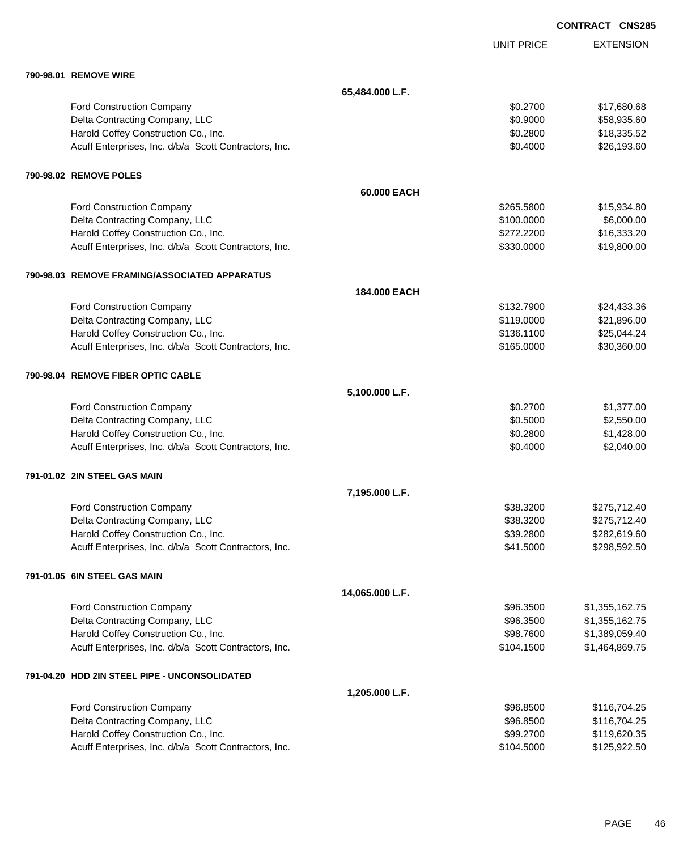|                                                       |                 |                   | <b>CONTRACT CNS285</b> |
|-------------------------------------------------------|-----------------|-------------------|------------------------|
|                                                       |                 | <b>UNIT PRICE</b> | <b>EXTENSION</b>       |
| 790-98.01 REMOVE WIRE                                 |                 |                   |                        |
|                                                       | 65,484.000 L.F. |                   |                        |
| Ford Construction Company                             |                 | \$0.2700          | \$17,680.68            |
| Delta Contracting Company, LLC                        |                 | \$0.9000          | \$58,935.60            |
| Harold Coffey Construction Co., Inc.                  |                 | \$0.2800          | \$18,335.52            |
| Acuff Enterprises, Inc. d/b/a Scott Contractors, Inc. |                 | \$0.4000          | \$26,193.60            |
| 790-98.02 REMOVE POLES                                |                 |                   |                        |
|                                                       | 60.000 EACH     |                   |                        |
| Ford Construction Company                             |                 | \$265.5800        | \$15,934.80            |
| Delta Contracting Company, LLC                        |                 | \$100.0000        | \$6,000.00             |
| Harold Coffey Construction Co., Inc.                  |                 | \$272.2200        | \$16,333.20            |
| Acuff Enterprises, Inc. d/b/a Scott Contractors, Inc. |                 | \$330.0000        | \$19,800.00            |
| 790-98.03 REMOVE FRAMING/ASSOCIATED APPARATUS         |                 |                   |                        |
|                                                       | 184,000 EACH    |                   |                        |
| Ford Construction Company                             |                 | \$132.7900        | \$24,433.36            |
| Delta Contracting Company, LLC                        |                 | \$119.0000        | \$21,896.00            |
| Harold Coffey Construction Co., Inc.                  |                 | \$136.1100        | \$25,044.24            |
| Acuff Enterprises, Inc. d/b/a Scott Contractors, Inc. |                 | \$165.0000        | \$30,360.00            |
| 790-98.04 REMOVE FIBER OPTIC CABLE                    |                 |                   |                        |
|                                                       | 5,100.000 L.F.  |                   |                        |
| Ford Construction Company                             |                 | \$0.2700          | \$1,377.00             |
| Delta Contracting Company, LLC                        |                 | \$0.5000          | \$2,550.00             |
| Harold Coffey Construction Co., Inc.                  |                 | \$0.2800          | \$1,428.00             |
| Acuff Enterprises, Inc. d/b/a Scott Contractors, Inc. |                 | \$0.4000          | \$2,040.00             |
| 791-01.02 2IN STEEL GAS MAIN                          |                 |                   |                        |
|                                                       | 7,195.000 L.F.  |                   |                        |
| Ford Construction Company                             |                 | \$38.3200         | \$275,712.40           |
| Delta Contracting Company, LLC                        |                 | \$38.3200         | \$275,712.40           |
| Harold Coffey Construction Co., Inc.                  |                 | \$39.2800         | \$282,619.60           |
| Acuff Enterprises, Inc. d/b/a Scott Contractors, Inc. |                 | \$41.5000         | \$298,592.50           |
| 791-01.05 6IN STEEL GAS MAIN                          |                 |                   |                        |
|                                                       | 14,065.000 L.F. |                   |                        |
| Ford Construction Company                             |                 | \$96.3500         | \$1,355,162.75         |
| Delta Contracting Company, LLC                        |                 | \$96.3500         | \$1,355,162.75         |
| Harold Coffey Construction Co., Inc.                  |                 | \$98.7600         | \$1,389,059.40         |
| Acuff Enterprises, Inc. d/b/a Scott Contractors, Inc. |                 | \$104.1500        | \$1,464,869.75         |
| 791-04.20 HDD 2IN STEEL PIPE - UNCONSOLIDATED         |                 |                   |                        |
|                                                       | 1,205.000 L.F.  |                   |                        |
| Ford Construction Company                             |                 | \$96.8500         | \$116,704.25           |
| Delta Contracting Company, LLC                        |                 | \$96.8500         | \$116,704.25           |
| Harold Coffey Construction Co., Inc.                  |                 | \$99.2700         | \$119,620.35           |
| Acuff Enterprises, Inc. d/b/a Scott Contractors, Inc. |                 | \$104.5000        | \$125,922.50           |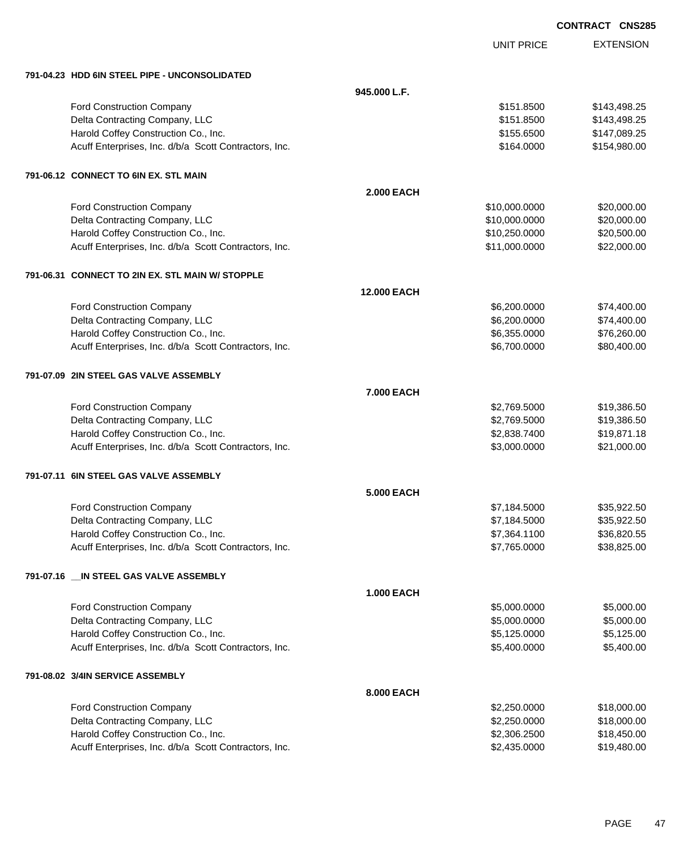| <b>CONTRACT</b> | <b>CNS285</b> |
|-----------------|---------------|
|-----------------|---------------|

|                                                       |                    | <b>UNIT PRICE</b> | <b>EXTENSION</b> |
|-------------------------------------------------------|--------------------|-------------------|------------------|
| 791-04.23 HDD 6IN STEEL PIPE - UNCONSOLIDATED         |                    |                   |                  |
|                                                       | 945.000 L.F.       |                   |                  |
| Ford Construction Company                             |                    | \$151.8500        | \$143,498.25     |
| Delta Contracting Company, LLC                        |                    | \$151.8500        | \$143,498.25     |
| Harold Coffey Construction Co., Inc.                  |                    | \$155.6500        | \$147,089.25     |
| Acuff Enterprises, Inc. d/b/a Scott Contractors, Inc. |                    | \$164.0000        | \$154,980.00     |
| 791-06.12 CONNECT TO 6IN EX. STL MAIN                 |                    |                   |                  |
|                                                       | <b>2.000 EACH</b>  |                   |                  |
| Ford Construction Company                             |                    | \$10,000.0000     | \$20,000.00      |
| Delta Contracting Company, LLC                        |                    | \$10,000.0000     | \$20,000.00      |
| Harold Coffey Construction Co., Inc.                  |                    | \$10,250.0000     | \$20,500.00      |
| Acuff Enterprises, Inc. d/b/a Scott Contractors, Inc. |                    | \$11,000.0000     | \$22,000.00      |
| 791-06.31 CONNECT TO 2IN EX. STL MAIN W/ STOPPLE      |                    |                   |                  |
|                                                       | <b>12.000 EACH</b> |                   |                  |
| <b>Ford Construction Company</b>                      |                    | \$6,200.0000      | \$74,400.00      |
| Delta Contracting Company, LLC                        |                    | \$6,200.0000      | \$74,400.00      |
| Harold Coffey Construction Co., Inc.                  |                    | \$6,355.0000      | \$76,260.00      |
| Acuff Enterprises, Inc. d/b/a Scott Contractors, Inc. |                    | \$6,700.0000      | \$80,400.00      |
| 791-07.09 2IN STEEL GAS VALVE ASSEMBLY                |                    |                   |                  |
|                                                       | 7.000 EACH         |                   |                  |
| <b>Ford Construction Company</b>                      |                    | \$2,769.5000      | \$19,386.50      |
| Delta Contracting Company, LLC                        |                    | \$2,769.5000      | \$19,386.50      |
| Harold Coffey Construction Co., Inc.                  |                    | \$2,838.7400      | \$19,871.18      |
| Acuff Enterprises, Inc. d/b/a Scott Contractors, Inc. |                    | \$3,000.0000      | \$21,000.00      |
| 791-07.11 6IN STEEL GAS VALVE ASSEMBLY                |                    |                   |                  |
|                                                       | 5.000 EACH         |                   |                  |
| Ford Construction Company                             |                    | \$7,184.5000      | \$35.922.50      |
| Delta Contracting Company, LLC                        |                    | \$7,184.5000      | \$35,922.50      |
| Harold Coffey Construction Co., Inc.                  |                    | \$7,364.1100      | \$36,820.55      |
| Acuff Enterprises, Inc. d/b/a Scott Contractors, Inc. |                    | \$7,765.0000      | \$38,825.00      |
| 791-07.16 __ IN STEEL GAS VALVE ASSEMBLY              |                    |                   |                  |
|                                                       | <b>1.000 EACH</b>  |                   |                  |
| Ford Construction Company                             |                    | \$5,000.0000      | \$5,000.00       |
| Delta Contracting Company, LLC                        |                    | \$5,000.0000      | \$5,000.00       |
| Harold Coffey Construction Co., Inc.                  |                    | \$5,125.0000      | \$5,125.00       |
| Acuff Enterprises, Inc. d/b/a Scott Contractors, Inc. |                    | \$5,400.0000      | \$5,400.00       |
| 791-08.02 3/4IN SERVICE ASSEMBLY                      |                    |                   |                  |
|                                                       | 8.000 EACH         |                   |                  |
| Ford Construction Company                             |                    | \$2,250.0000      | \$18,000.00      |
| Delta Contracting Company, LLC                        |                    | \$2,250.0000      | \$18,000.00      |
| Harold Coffey Construction Co., Inc.                  |                    | \$2,306.2500      | \$18,450.00      |
| Acuff Enterprises, Inc. d/b/a Scott Contractors, Inc. |                    | \$2,435.0000      | \$19,480.00      |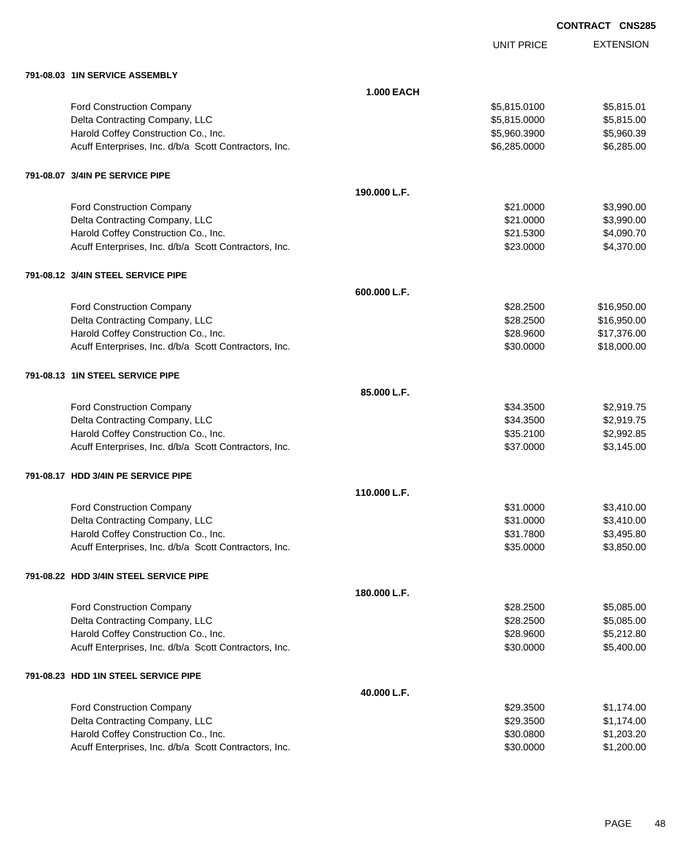|                                                       |                   | <b>UNIT PRICE</b> | <b>EXTENSION</b> |
|-------------------------------------------------------|-------------------|-------------------|------------------|
| 791-08.03 1IN SERVICE ASSEMBLY                        |                   |                   |                  |
|                                                       | <b>1.000 EACH</b> |                   |                  |
| Ford Construction Company                             |                   | \$5,815.0100      | \$5,815.01       |
| Delta Contracting Company, LLC                        |                   | \$5,815.0000      | \$5,815.00       |
| Harold Coffey Construction Co., Inc.                  |                   | \$5,960.3900      | \$5,960.39       |
| Acuff Enterprises, Inc. d/b/a Scott Contractors, Inc. |                   | \$6,285.0000      | \$6,285.00       |
| 791-08.07 3/4IN PE SERVICE PIPE                       |                   |                   |                  |
|                                                       | 190.000 L.F.      |                   |                  |
| Ford Construction Company                             |                   | \$21.0000         | \$3,990.00       |
| Delta Contracting Company, LLC                        |                   | \$21.0000         | \$3,990.00       |
| Harold Coffey Construction Co., Inc.                  |                   | \$21.5300         | \$4,090.70       |
| Acuff Enterprises, Inc. d/b/a Scott Contractors, Inc. |                   | \$23.0000         | \$4,370.00       |
| 791-08.12 3/4IN STEEL SERVICE PIPE                    |                   |                   |                  |
|                                                       | 600.000 L.F.      |                   |                  |
| Ford Construction Company                             |                   | \$28.2500         | \$16,950.00      |
| Delta Contracting Company, LLC                        |                   | \$28.2500         | \$16,950.00      |
| Harold Coffey Construction Co., Inc.                  |                   | \$28.9600         | \$17,376.00      |
| Acuff Enterprises, Inc. d/b/a Scott Contractors, Inc. |                   | \$30.0000         | \$18,000.00      |
| 791-08.13 1IN STEEL SERVICE PIPE                      |                   |                   |                  |
|                                                       | 85.000 L.F.       |                   |                  |
| Ford Construction Company                             |                   | \$34.3500         | \$2,919.75       |
| Delta Contracting Company, LLC                        |                   | \$34.3500         | \$2,919.75       |
| Harold Coffey Construction Co., Inc.                  |                   | \$35.2100         | \$2,992.85       |
| Acuff Enterprises, Inc. d/b/a Scott Contractors, Inc. |                   | \$37.0000         | \$3,145.00       |
| 791-08.17 HDD 3/4IN PE SERVICE PIPE                   |                   |                   |                  |
|                                                       | 110,000 L.F.      |                   |                  |
| <b>Ford Construction Company</b>                      |                   | \$31.0000         | \$3,410.00       |
| Delta Contracting Company, LLC                        |                   | \$31.0000         | \$3,410.00       |
| Harold Coffey Construction Co., Inc.                  |                   | \$31.7800         | \$3,495.80       |
| Acuff Enterprises, Inc. d/b/a Scott Contractors, Inc. |                   | \$35.0000         | \$3,850.00       |
| 791-08.22 HDD 3/4IN STEEL SERVICE PIPE                |                   |                   |                  |
|                                                       | 180.000 L.F.      |                   |                  |
| Ford Construction Company                             |                   | \$28.2500         | \$5,085.00       |
| Delta Contracting Company, LLC                        |                   | \$28.2500         | \$5,085.00       |
| Harold Coffey Construction Co., Inc.                  |                   | \$28.9600         | \$5,212.80       |
| Acuff Enterprises, Inc. d/b/a Scott Contractors, Inc. |                   | \$30.0000         | \$5,400.00       |
| 791-08.23 HDD 1IN STEEL SERVICE PIPE                  |                   |                   |                  |
|                                                       | 40.000 L.F.       |                   |                  |
| Ford Construction Company                             |                   | \$29.3500         | \$1,174.00       |
| Delta Contracting Company, LLC                        |                   | \$29.3500         | \$1,174.00       |
| Harold Coffey Construction Co., Inc.                  |                   | \$30.0800         | \$1,203.20       |
| Acuff Enterprises, Inc. d/b/a Scott Contractors, Inc. |                   | \$30.0000         | \$1,200.00       |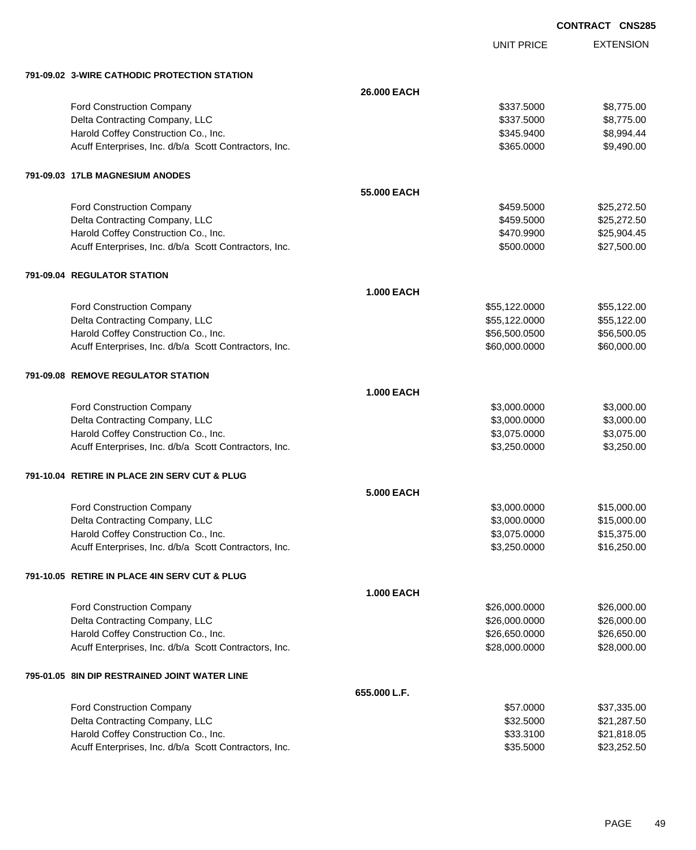UNIT PRICE

| 791-09.02 3-WIRE CATHODIC PROTECTION STATION          |                   |               |             |
|-------------------------------------------------------|-------------------|---------------|-------------|
|                                                       | 26.000 EACH       |               |             |
| Ford Construction Company                             |                   | \$337,5000    | \$8,775.00  |
| Delta Contracting Company, LLC                        |                   | \$337.5000    | \$8,775.00  |
| Harold Coffey Construction Co., Inc.                  |                   | \$345.9400    | \$8,994.44  |
| Acuff Enterprises, Inc. d/b/a Scott Contractors, Inc. |                   | \$365.0000    | \$9,490.00  |
| 791-09.03 17LB MAGNESIUM ANODES                       |                   |               |             |
|                                                       | 55.000 EACH       |               |             |
| Ford Construction Company                             |                   | \$459.5000    | \$25,272.50 |
| Delta Contracting Company, LLC                        |                   | \$459.5000    | \$25,272.50 |
| Harold Coffey Construction Co., Inc.                  |                   | \$470.9900    | \$25,904.45 |
| Acuff Enterprises, Inc. d/b/a Scott Contractors, Inc. |                   | \$500.0000    | \$27,500.00 |
| 791-09.04 REGULATOR STATION                           |                   |               |             |
|                                                       | <b>1.000 EACH</b> |               |             |
| Ford Construction Company                             |                   | \$55,122.0000 | \$55,122.00 |
| Delta Contracting Company, LLC                        |                   | \$55,122.0000 | \$55,122.00 |
| Harold Coffey Construction Co., Inc.                  |                   | \$56,500.0500 | \$56,500.05 |
| Acuff Enterprises, Inc. d/b/a Scott Contractors, Inc. |                   | \$60,000.0000 | \$60,000.00 |
| 791-09.08 REMOVE REGULATOR STATION                    |                   |               |             |
|                                                       | <b>1.000 EACH</b> |               |             |
| Ford Construction Company                             |                   | \$3,000.0000  | \$3,000.00  |
| Delta Contracting Company, LLC                        |                   | \$3,000.0000  | \$3,000.00  |
| Harold Coffey Construction Co., Inc.                  |                   | \$3,075.0000  | \$3,075.00  |
| Acuff Enterprises, Inc. d/b/a Scott Contractors, Inc. |                   | \$3,250.0000  | \$3,250.00  |
| 791-10.04 RETIRE IN PLACE 2IN SERV CUT & PLUG         |                   |               |             |
|                                                       | <b>5.000 EACH</b> |               |             |
| Ford Construction Company                             |                   | \$3,000.0000  | \$15,000.00 |
| Delta Contracting Company, LLC                        |                   | \$3,000.0000  | \$15,000.00 |
| Harold Coffey Construction Co., Inc.                  |                   | \$3,075.0000  | \$15,375.00 |
| Acuff Enterprises, Inc. d/b/a Scott Contractors, Inc. |                   | \$3,250.0000  | \$16,250.00 |
| 791-10.05 RETIRE IN PLACE 4IN SERV CUT & PLUG         |                   |               |             |
|                                                       | <b>1.000 EACH</b> |               |             |
| Ford Construction Company                             |                   | \$26,000.0000 | \$26,000.00 |
| Delta Contracting Company, LLC                        |                   | \$26,000.0000 | \$26,000.00 |
| Harold Coffey Construction Co., Inc.                  |                   | \$26,650.0000 | \$26,650.00 |
| Acuff Enterprises, Inc. d/b/a Scott Contractors, Inc. |                   | \$28,000.0000 | \$28,000.00 |
| 795-01.05 8IN DIP RESTRAINED JOINT WATER LINE         |                   |               |             |
|                                                       | 655.000 L.F.      |               |             |
| Ford Construction Company                             |                   | \$57.0000     | \$37,335.00 |
| Delta Contracting Company, LLC                        |                   | \$32.5000     | \$21,287.50 |
| Harold Coffey Construction Co., Inc.                  |                   | \$33.3100     | \$21,818.05 |
| Acuff Enterprises, Inc. d/b/a Scott Contractors, Inc. |                   | \$35.5000     | \$23,252.50 |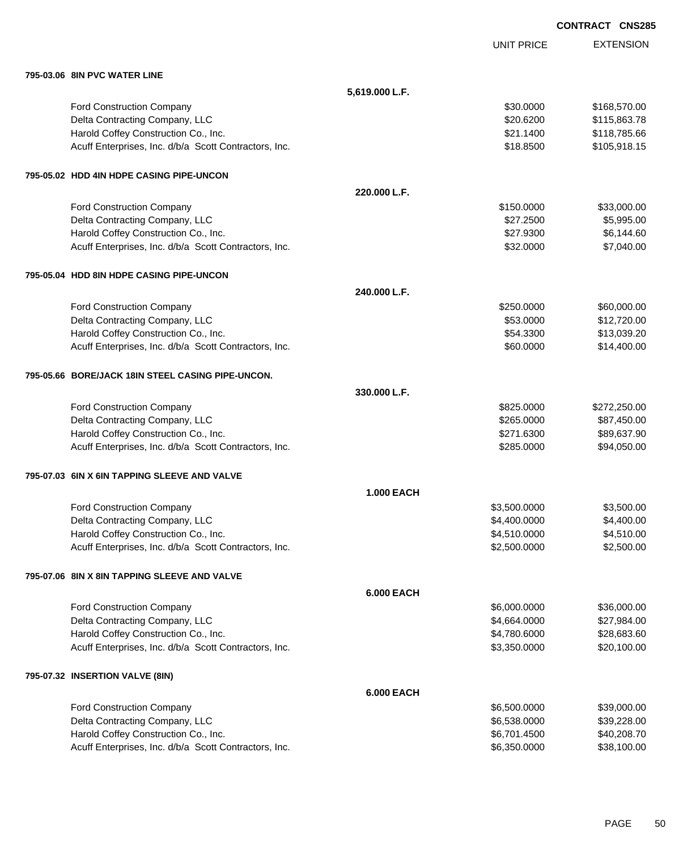|                                                       |                   |                   | <b>CONTRACT CNS28</b> |
|-------------------------------------------------------|-------------------|-------------------|-----------------------|
|                                                       |                   | <b>UNIT PRICE</b> | <b>EXTENSION</b>      |
| 795-03.06 8IN PVC WATER LINE                          |                   |                   |                       |
|                                                       | 5,619.000 L.F.    |                   |                       |
| Ford Construction Company                             |                   | \$30.0000         | \$168,570.00          |
| Delta Contracting Company, LLC                        |                   | \$20.6200         | \$115,863.78          |
| Harold Coffey Construction Co., Inc.                  |                   | \$21.1400         | \$118,785.66          |
| Acuff Enterprises, Inc. d/b/a Scott Contractors, Inc. |                   | \$18.8500         | \$105,918.15          |
| 795-05.02 HDD 4IN HDPE CASING PIPE-UNCON              |                   |                   |                       |
|                                                       | 220,000 L.F.      |                   |                       |
| Ford Construction Company                             |                   | \$150.0000        | \$33,000.00           |
| Delta Contracting Company, LLC                        |                   | \$27.2500         | \$5,995.00            |
| Harold Coffey Construction Co., Inc.                  |                   | \$27.9300         | \$6,144.60            |
| Acuff Enterprises, Inc. d/b/a Scott Contractors, Inc. |                   | \$32.0000         | \$7,040.00            |
| 795-05.04 HDD 8IN HDPE CASING PIPE-UNCON              |                   |                   |                       |
|                                                       | 240.000 L.F.      |                   |                       |
| Ford Construction Company                             |                   | \$250.0000        | \$60,000.00           |
| Delta Contracting Company, LLC                        |                   | \$53.0000         | \$12,720.00           |
| Harold Coffey Construction Co., Inc.                  |                   | \$54.3300         | \$13,039.20           |
| Acuff Enterprises, Inc. d/b/a Scott Contractors, Inc. |                   | \$60.0000         | \$14,400.00           |
| 795-05.66 BORE/JACK 18IN STEEL CASING PIPE-UNCON.     |                   |                   |                       |
|                                                       | 330.000 L.F.      |                   |                       |
| Ford Construction Company                             |                   | \$825.0000        | \$272,250.00          |
| Delta Contracting Company, LLC                        |                   | \$265.0000        | \$87,450.00           |
| Harold Coffey Construction Co., Inc.                  |                   | \$271.6300        | \$89,637.90           |
| Acuff Enterprises, Inc. d/b/a Scott Contractors, Inc. |                   | \$285.0000        | \$94,050.00           |
| 795-07.03 6IN X 6IN TAPPING SLEEVE AND VALVE          |                   |                   |                       |
|                                                       | <b>1.000 EACH</b> |                   |                       |
| <b>Ford Construction Company</b>                      |                   | \$3,500.0000      | \$3,500.00            |
| Delta Contracting Company, LLC                        |                   | \$4,400.0000      | \$4,400.00            |
| Harold Coffey Construction Co., Inc.                  |                   | \$4,510.0000      | \$4,510.00            |
| Acuff Enterprises, Inc. d/b/a Scott Contractors, Inc. |                   | \$2,500.0000      | \$2,500.00            |
| 795-07.06 8IN X 8IN TAPPING SLEEVE AND VALVE          |                   |                   |                       |
|                                                       | <b>6.000 EACH</b> |                   |                       |
| <b>Ford Construction Company</b>                      |                   | \$6,000.0000      | \$36,000.00           |
| Delta Contracting Company, LLC                        |                   | \$4,664.0000      | \$27,984.00           |
| Harold Coffey Construction Co., Inc.                  |                   | \$4,780.6000      | \$28,683.60           |
| Acuff Enterprises, Inc. d/b/a Scott Contractors, Inc. |                   | \$3,350.0000      | \$20,100.00           |
| 795-07.32 INSERTION VALVE (8IN)                       |                   |                   |                       |
|                                                       | <b>6.000 EACH</b> |                   |                       |
| <b>Ford Construction Company</b>                      |                   | \$6,500.0000      | \$39,000.00           |
|                                                       |                   |                   |                       |

| <b>FOIG CONSTRUCTION COMPANY</b>                      | wuu.uuc.oc   | ຈວສ.ບບບ.ບບ  |
|-------------------------------------------------------|--------------|-------------|
| Delta Contracting Company, LLC                        | \$6,538,0000 | \$39,228,00 |
| Harold Coffey Construction Co., Inc.                  | \$6.701.4500 | \$40,208,70 |
| Acuff Enterprises, Inc. d/b/a Scott Contractors, Inc. | \$6.350,0000 | \$38.100.00 |
|                                                       |              |             |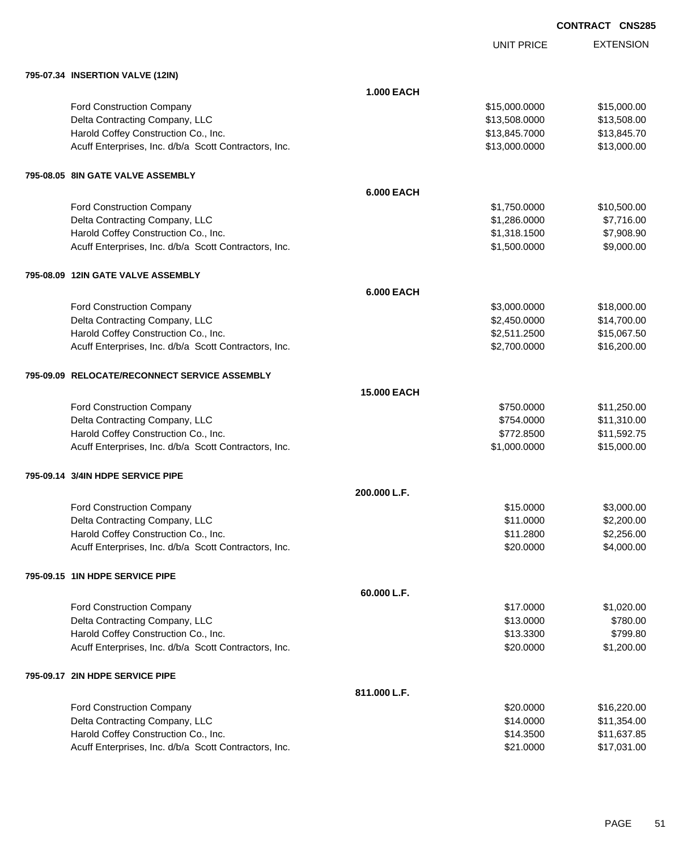UNIT PRICE

| 795-07.34 INSERTION VALVE (12IN)                      |                   |               |             |
|-------------------------------------------------------|-------------------|---------------|-------------|
|                                                       | <b>1.000 EACH</b> |               |             |
| Ford Construction Company                             |                   | \$15,000.0000 | \$15,000.00 |
| Delta Contracting Company, LLC                        |                   | \$13,508.0000 | \$13,508.00 |
| Harold Coffey Construction Co., Inc.                  |                   | \$13,845.7000 | \$13,845.70 |
| Acuff Enterprises, Inc. d/b/a Scott Contractors, Inc. |                   | \$13,000.0000 | \$13,000.00 |
| 795-08.05 8IN GATE VALVE ASSEMBLY                     |                   |               |             |
|                                                       | <b>6.000 EACH</b> |               |             |
| Ford Construction Company                             |                   | \$1,750.0000  | \$10,500.00 |
| Delta Contracting Company, LLC                        |                   | \$1,286.0000  | \$7,716.00  |
| Harold Coffey Construction Co., Inc.                  |                   | \$1,318.1500  | \$7,908.90  |
| Acuff Enterprises, Inc. d/b/a Scott Contractors, Inc. |                   | \$1,500.0000  | \$9,000.00  |
| 795-08.09 12IN GATE VALVE ASSEMBLY                    |                   |               |             |
|                                                       | <b>6.000 EACH</b> |               |             |
| Ford Construction Company                             |                   | \$3,000.0000  | \$18,000.00 |
| Delta Contracting Company, LLC                        |                   | \$2,450.0000  | \$14,700.00 |
| Harold Coffey Construction Co., Inc.                  |                   | \$2,511.2500  | \$15,067.50 |
| Acuff Enterprises, Inc. d/b/a Scott Contractors, Inc. |                   | \$2,700.0000  | \$16,200.00 |
| 795-09.09 RELOCATE/RECONNECT SERVICE ASSEMBLY         |                   |               |             |
|                                                       | 15.000 EACH       |               |             |
| Ford Construction Company                             |                   | \$750.0000    | \$11,250.00 |
| Delta Contracting Company, LLC                        |                   | \$754.0000    | \$11,310.00 |
| Harold Coffey Construction Co., Inc.                  |                   | \$772.8500    | \$11,592.75 |
| Acuff Enterprises, Inc. d/b/a Scott Contractors, Inc. |                   | \$1,000.0000  | \$15,000.00 |
| 795-09.14 3/4IN HDPE SERVICE PIPE                     |                   |               |             |
|                                                       | 200.000 L.F.      |               |             |
| Ford Construction Company                             |                   | \$15.0000     | \$3,000.00  |
| Delta Contracting Company, LLC                        |                   | \$11.0000     | \$2,200.00  |
| Harold Coffey Construction Co., Inc.                  |                   | \$11.2800     | \$2,256.00  |
| Acuff Enterprises, Inc. d/b/a Scott Contractors, Inc. |                   | \$20.0000     | \$4,000.00  |
| 795-09.15 1IN HDPE SERVICE PIPE                       |                   |               |             |
|                                                       | 60.000 L.F.       |               |             |
| Ford Construction Company                             |                   | \$17.0000     | \$1,020.00  |
| Delta Contracting Company, LLC                        |                   | \$13.0000     | \$780.00    |
| Harold Coffey Construction Co., Inc.                  |                   | \$13.3300     | \$799.80    |
| Acuff Enterprises, Inc. d/b/a Scott Contractors, Inc. |                   | \$20.0000     | \$1,200.00  |
| 795-09.17 2IN HDPE SERVICE PIPE                       |                   |               |             |
|                                                       | 811.000 L.F.      |               |             |

| <b>Ford Construction Company</b>                      | \$20,0000 | \$16,220.00 |
|-------------------------------------------------------|-----------|-------------|
| Delta Contracting Company, LLC                        | \$14,0000 | \$11,354.00 |
| Harold Coffey Construction Co., Inc.                  | \$14,3500 | \$11.637.85 |
| Acuff Enterprises, Inc. d/b/a Scott Contractors, Inc. | \$21,0000 | \$17.031.00 |
|                                                       |           |             |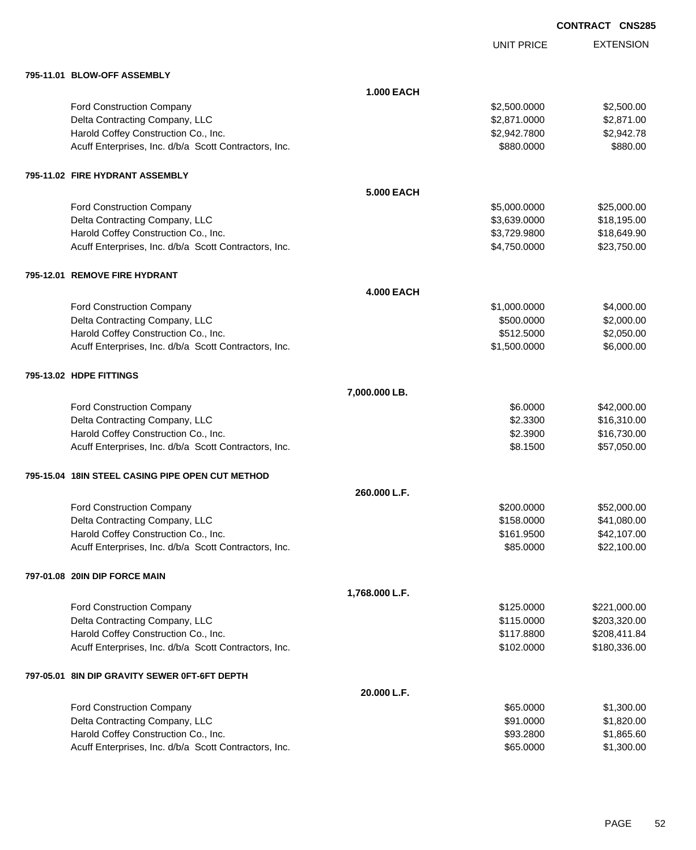|                                                       |                   | <b>UNIT PRICE</b> | <b>EXTENSION</b> |
|-------------------------------------------------------|-------------------|-------------------|------------------|
| 795-11.01 BLOW-OFF ASSEMBLY                           |                   |                   |                  |
|                                                       | <b>1.000 EACH</b> |                   |                  |
| Ford Construction Company                             |                   | \$2,500.0000      | \$2,500.00       |
| Delta Contracting Company, LLC                        |                   | \$2,871.0000      | \$2,871.00       |
| Harold Coffey Construction Co., Inc.                  |                   | \$2,942.7800      | \$2,942.78       |
| Acuff Enterprises, Inc. d/b/a Scott Contractors, Inc. |                   | \$880.0000        | \$880.00         |
| 795-11.02 FIRE HYDRANT ASSEMBLY                       |                   |                   |                  |
|                                                       | <b>5.000 EACH</b> |                   |                  |
| Ford Construction Company                             |                   | \$5,000.0000      | \$25,000.00      |
| Delta Contracting Company, LLC                        |                   | \$3,639.0000      | \$18,195.00      |
| Harold Coffey Construction Co., Inc.                  |                   | \$3,729.9800      | \$18,649.90      |
| Acuff Enterprises, Inc. d/b/a Scott Contractors, Inc. |                   | \$4,750.0000      | \$23,750.00      |
| 795-12.01 REMOVE FIRE HYDRANT                         |                   |                   |                  |
|                                                       | <b>4.000 EACH</b> |                   |                  |
| <b>Ford Construction Company</b>                      |                   | \$1,000.0000      | \$4,000.00       |
| Delta Contracting Company, LLC                        |                   | \$500.0000        | \$2,000.00       |
| Harold Coffey Construction Co., Inc.                  |                   | \$512.5000        | \$2,050.00       |
| Acuff Enterprises, Inc. d/b/a Scott Contractors, Inc. |                   | \$1,500.0000      | \$6,000.00       |
| 795-13.02 HDPE FITTINGS                               |                   |                   |                  |
|                                                       | 7,000.000 LB.     |                   |                  |
| Ford Construction Company                             |                   | \$6.0000          | \$42,000.00      |
| Delta Contracting Company, LLC                        |                   | \$2.3300          | \$16,310.00      |
| Harold Coffey Construction Co., Inc.                  |                   | \$2.3900          | \$16,730.00      |
| Acuff Enterprises, Inc. d/b/a Scott Contractors, Inc. |                   | \$8.1500          | \$57,050.00      |
| 795-15.04 18IN STEEL CASING PIPE OPEN CUT METHOD      |                   |                   |                  |
|                                                       | 260,000 L.F.      |                   |                  |
| <b>Ford Construction Company</b>                      |                   | \$200.0000        | \$52,000.00      |
| Delta Contracting Company, LLC                        |                   | \$158.0000        | \$41,080.00      |
| Harold Coffey Construction Co., Inc.                  |                   | \$161.9500        | \$42,107.00      |
| Acuff Enterprises, Inc. d/b/a Scott Contractors, Inc. |                   | \$85.0000         | \$22,100.00      |
| 797-01.08 20IN DIP FORCE MAIN                         |                   |                   |                  |
|                                                       | 1,768.000 L.F.    |                   |                  |
| Ford Construction Company                             |                   | \$125.0000        | \$221,000.00     |
| Delta Contracting Company, LLC                        |                   | \$115.0000        | \$203,320.00     |
| Harold Coffey Construction Co., Inc.                  |                   | \$117.8800        | \$208,411.84     |
| Acuff Enterprises, Inc. d/b/a Scott Contractors, Inc. |                   | \$102.0000        | \$180,336.00     |
| 797-05.01 8IN DIP GRAVITY SEWER 0FT-6FT DEPTH         |                   |                   |                  |
|                                                       | 20.000 L.F.       |                   |                  |
| Ford Construction Company                             |                   | \$65.0000         | \$1,300.00       |
| Delta Contracting Company, LLC                        |                   | \$91.0000         | \$1,820.00       |
| Harold Coffey Construction Co., Inc.                  |                   | \$93.2800         | \$1,865.60       |
| Acuff Enterprises, Inc. d/b/a Scott Contractors, Inc. |                   | \$65.0000         | \$1,300.00       |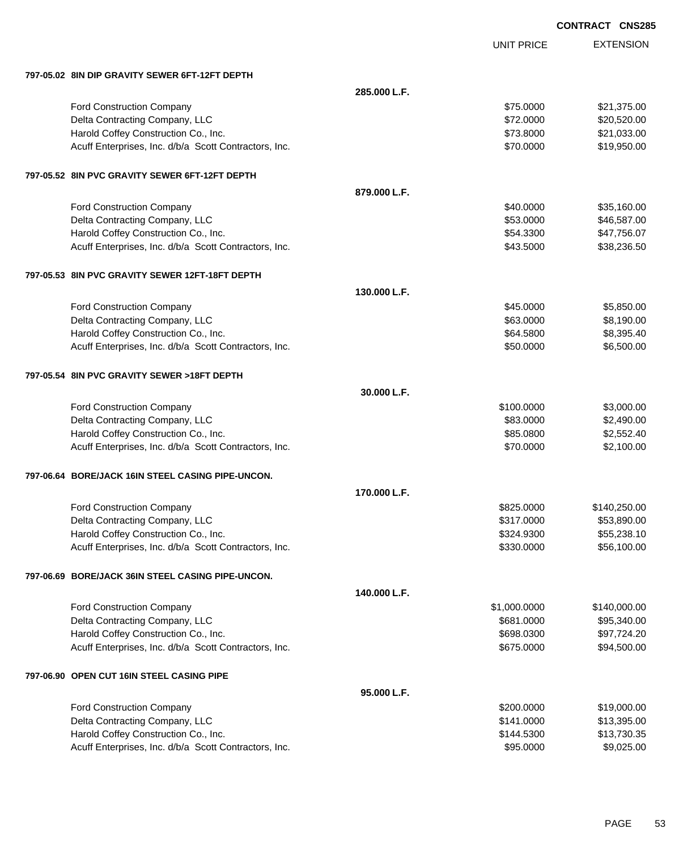|                                                       | <b>UNIT PRICE</b> | <b>EXTENSION</b> |
|-------------------------------------------------------|-------------------|------------------|
| 797-05.02 8IN DIP GRAVITY SEWER 6FT-12FT DEPTH        |                   |                  |
| 285,000 L.F.                                          |                   |                  |
| <b>Ford Construction Company</b>                      | \$75.0000         | \$21,375.00      |
| Delta Contracting Company, LLC                        | \$72.0000         | \$20,520.00      |
| Harold Coffey Construction Co., Inc.                  | \$73.8000         | \$21,033.00      |
| Acuff Enterprises, Inc. d/b/a Scott Contractors, Inc. | \$70.0000         | \$19,950.00      |
| 797-05.52 8IN PVC GRAVITY SEWER 6FT-12FT DEPTH        |                   |                  |
| 879,000 L.F.                                          |                   |                  |
| <b>Ford Construction Company</b>                      | \$40.0000         | \$35,160.00      |
| Delta Contracting Company, LLC                        | \$53.0000         | \$46,587.00      |
| Harold Coffey Construction Co., Inc.                  | \$54.3300         | \$47,756.07      |
| Acuff Enterprises, Inc. d/b/a Scott Contractors, Inc. | \$43.5000         | \$38,236.50      |
| 797-05.53 8IN PVC GRAVITY SEWER 12FT-18FT DEPTH       |                   |                  |
| 130,000 L.F.                                          |                   |                  |
| <b>Ford Construction Company</b>                      | \$45.0000         | \$5,850.00       |
| Delta Contracting Company, LLC                        | \$63.0000         | \$8,190.00       |
| Harold Coffey Construction Co., Inc.                  | \$64.5800         | \$8,395.40       |
| Acuff Enterprises, Inc. d/b/a Scott Contractors, Inc. | \$50.0000         | \$6,500.00       |
| 797-05.54 8IN PVC GRAVITY SEWER >18FT DEPTH           |                   |                  |
| 30.000 L.F.                                           |                   |                  |
| Ford Construction Company                             | \$100.0000        | \$3,000.00       |
| Delta Contracting Company, LLC                        | \$83.0000         | \$2,490.00       |
| Harold Coffey Construction Co., Inc.                  | \$85.0800         | \$2,552.40       |
| Acuff Enterprises, Inc. d/b/a Scott Contractors, Inc. | \$70.0000         | \$2,100.00       |
| 797-06.64 BORE/JACK 16IN STEEL CASING PIPE-UNCON.     |                   |                  |
| 170.000 L.F.                                          |                   |                  |
| Ford Construction Company                             | \$825.0000        | \$140,250.00     |
| Delta Contracting Company, LLC                        | \$317.0000        | \$53,890.00      |
| Harold Coffey Construction Co., Inc.                  | \$324.9300        | \$55,238.10      |
| Acuff Enterprises, Inc. d/b/a Scott Contractors, Inc. | \$330.0000        | \$56,100.00      |
| 797-06.69 BORE/JACK 36IN STEEL CASING PIPE-UNCON.     |                   |                  |
| 140.000 L.F.                                          |                   |                  |
| Ford Construction Company                             | \$1,000.0000      | \$140,000.00     |
| Delta Contracting Company, LLC                        | \$681.0000        | \$95,340.00      |
| Harold Coffey Construction Co., Inc.                  | \$698.0300        | \$97,724.20      |
| Acuff Enterprises, Inc. d/b/a Scott Contractors, Inc. | \$675.0000        | \$94,500.00      |
| 797-06.90 OPEN CUT 16IN STEEL CASING PIPE             |                   |                  |
| 95.000 L.F.                                           |                   |                  |
| <b>Ford Construction Company</b>                      | \$200.0000        | \$19,000.00      |
| Delta Contracting Company, LLC                        | \$141.0000        | \$13,395.00      |
| Harold Coffey Construction Co., Inc.                  | \$144.5300        | \$13,730.35      |
| Acuff Enterprises, Inc. d/b/a Scott Contractors, Inc. | \$95.0000         | \$9,025.00       |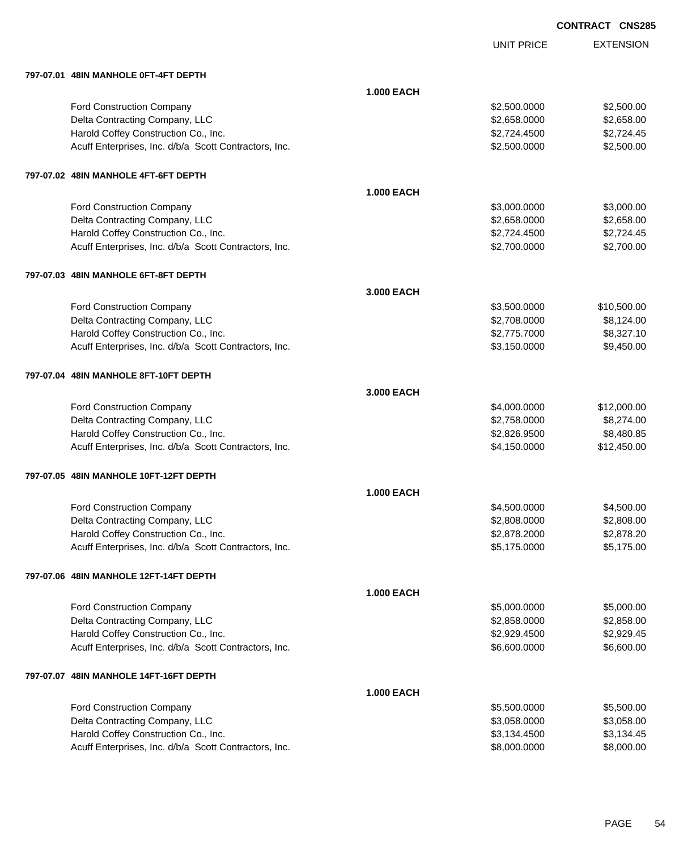UNIT PRICE EXTENSION

**797-07.01 48IN MANHOLE 0FT-4FT DEPTH**

| 797-07.01 48IN MANHOLE 0F1-4FT DEPTH                  |                   |              |             |
|-------------------------------------------------------|-------------------|--------------|-------------|
|                                                       | <b>1.000 EACH</b> |              |             |
| Ford Construction Company                             |                   | \$2,500.0000 | \$2,500.00  |
| Delta Contracting Company, LLC                        |                   | \$2,658.0000 | \$2,658.00  |
| Harold Coffey Construction Co., Inc.                  |                   | \$2,724.4500 | \$2,724.45  |
| Acuff Enterprises, Inc. d/b/a Scott Contractors, Inc. |                   | \$2,500.0000 | \$2,500.00  |
| 797-07.02 48IN MANHOLE 4FT-6FT DEPTH                  |                   |              |             |
|                                                       | <b>1.000 EACH</b> |              |             |
| Ford Construction Company                             |                   | \$3,000.0000 | \$3,000.00  |
| Delta Contracting Company, LLC                        |                   | \$2,658.0000 | \$2,658.00  |
| Harold Coffey Construction Co., Inc.                  |                   | \$2,724.4500 | \$2,724.45  |
| Acuff Enterprises, Inc. d/b/a Scott Contractors, Inc. |                   | \$2,700.0000 | \$2,700.00  |
| 797-07.03 48IN MANHOLE 6FT-8FT DEPTH                  |                   |              |             |
|                                                       | 3.000 EACH        |              |             |
| <b>Ford Construction Company</b>                      |                   | \$3,500.0000 | \$10,500.00 |
| Delta Contracting Company, LLC                        |                   | \$2,708.0000 | \$8,124.00  |
| Harold Coffey Construction Co., Inc.                  |                   | \$2,775.7000 | \$8,327.10  |
| Acuff Enterprises, Inc. d/b/a Scott Contractors, Inc. |                   | \$3,150.0000 | \$9,450.00  |
| 797-07.04 48IN MANHOLE 8FT-10FT DEPTH                 |                   |              |             |
|                                                       | 3.000 EACH        |              |             |
| <b>Ford Construction Company</b>                      |                   | \$4,000.0000 | \$12,000.00 |
| Delta Contracting Company, LLC                        |                   | \$2,758.0000 | \$8,274.00  |
| Harold Coffey Construction Co., Inc.                  |                   | \$2,826.9500 | \$8,480.85  |
| Acuff Enterprises, Inc. d/b/a Scott Contractors, Inc. |                   | \$4,150.0000 | \$12,450.00 |
| 797-07.05 48IN MANHOLE 10FT-12FT DEPTH                |                   |              |             |
|                                                       | <b>1.000 EACH</b> |              |             |
| Ford Construction Company                             |                   | \$4,500.0000 | \$4,500.00  |
| Delta Contracting Company, LLC                        |                   | \$2,808.0000 | \$2,808.00  |
| Harold Coffey Construction Co., Inc.                  |                   | \$2,878.2000 | \$2,878.20  |
| Acuff Enterprises, Inc. d/b/a Scott Contractors, Inc. |                   | \$5,175.0000 | \$5,175.00  |
| 797-07.06 48IN MANHOLE 12FT-14FT DEPTH                |                   |              |             |
|                                                       | <b>1.000 EACH</b> |              |             |
| <b>Ford Construction Company</b>                      |                   | \$5,000.0000 | \$5,000.00  |
| Delta Contracting Company, LLC                        |                   | \$2,858.0000 | \$2,858.00  |
| Harold Coffey Construction Co., Inc.                  |                   | \$2,929.4500 | \$2,929.45  |
| Acuff Enterprises, Inc. d/b/a Scott Contractors, Inc. |                   | \$6,600.0000 | \$6,600.00  |
| 797-07.07 48IN MANHOLE 14FT-16FT DEPTH                |                   |              |             |
|                                                       | <b>1.000 EACH</b> |              |             |
| <b>Ford Construction Company</b>                      |                   | \$5,500.0000 | \$5,500.00  |
| Delta Contracting Company, LLC                        |                   | \$3,058.0000 | \$3,058.00  |
| Harold Coffey Construction Co., Inc.                  |                   | \$3,134.4500 | \$3,134.45  |
| Acuff Enterprises, Inc. d/b/a Scott Contractors, Inc. |                   | \$8,000.0000 | \$8,000.00  |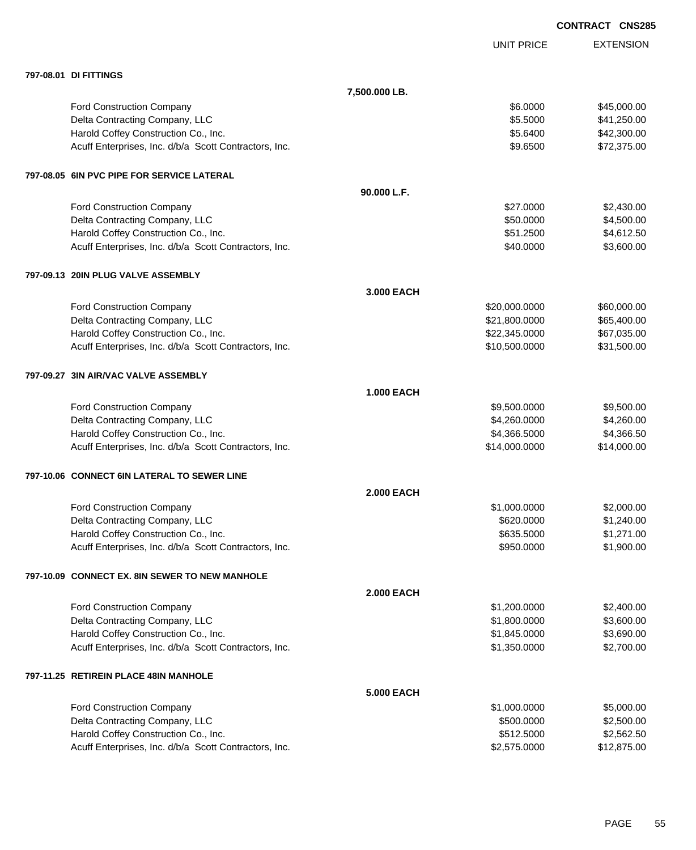|                                                       |                   |                   | <b>CONTRACT CNS285</b> |
|-------------------------------------------------------|-------------------|-------------------|------------------------|
|                                                       |                   | <b>UNIT PRICE</b> | <b>EXTENSION</b>       |
| 797-08.01 DI FITTINGS                                 |                   |                   |                        |
|                                                       | 7,500.000 LB.     |                   |                        |
| <b>Ford Construction Company</b>                      |                   | \$6.0000          | \$45,000.00            |
| Delta Contracting Company, LLC                        |                   | \$5.5000          | \$41,250.00            |
| Harold Coffey Construction Co., Inc.                  |                   | \$5.6400          | \$42,300.00            |
| Acuff Enterprises, Inc. d/b/a Scott Contractors, Inc. |                   | \$9.6500          | \$72,375.00            |
| 797-08.05 6IN PVC PIPE FOR SERVICE LATERAL            |                   |                   |                        |
|                                                       | 90.000 L.F.       |                   |                        |
| Ford Construction Company                             |                   | \$27.0000         | \$2,430.00             |
| Delta Contracting Company, LLC                        |                   | \$50.0000         | \$4,500.00             |
| Harold Coffey Construction Co., Inc.                  |                   | \$51.2500         | \$4,612.50             |
| Acuff Enterprises, Inc. d/b/a Scott Contractors, Inc. |                   | \$40.0000         | \$3,600.00             |
| 797-09.13 20IN PLUG VALVE ASSEMBLY                    |                   |                   |                        |
|                                                       | 3.000 EACH        |                   |                        |
| Ford Construction Company                             |                   | \$20,000.0000     | \$60,000.00            |
| Delta Contracting Company, LLC                        |                   | \$21,800.0000     | \$65,400.00            |
| Harold Coffey Construction Co., Inc.                  |                   | \$22,345.0000     | \$67,035.00            |
| Acuff Enterprises, Inc. d/b/a Scott Contractors, Inc. |                   | \$10,500.0000     | \$31,500.00            |
| 797-09.27 3IN AIR/VAC VALVE ASSEMBLY                  |                   |                   |                        |
|                                                       | <b>1.000 EACH</b> |                   |                        |
| Ford Construction Company                             |                   | \$9,500.0000      | \$9,500.00             |
| Delta Contracting Company, LLC                        |                   | \$4,260.0000      | \$4,260.00             |
| Harold Coffey Construction Co., Inc.                  |                   | \$4,366.5000      | \$4,366.50             |
| Acuff Enterprises, Inc. d/b/a Scott Contractors, Inc. |                   | \$14,000.0000     | \$14,000.00            |
| 797-10.06 CONNECT 6IN LATERAL TO SEWER LINE           |                   |                   |                        |
|                                                       | <b>2.000 EACH</b> |                   |                        |
| Ford Construction Company                             |                   | \$1,000.0000      | \$2,000.00             |
| Delta Contracting Company, LLC                        |                   | \$620.0000        | \$1,240.00             |
| Harold Coffey Construction Co., Inc.                  |                   | \$635.5000        | \$1,271.00             |
| Acuff Enterprises, Inc. d/b/a Scott Contractors, Inc. |                   | \$950.0000        | \$1,900.00             |
| 797-10.09 CONNECT EX. 8IN SEWER TO NEW MANHOLE        |                   |                   |                        |
|                                                       | <b>2.000 EACH</b> |                   |                        |
| Ford Construction Company                             |                   | \$1,200.0000      | \$2,400.00             |
| Delta Contracting Company, LLC                        |                   | \$1,800.0000      | \$3,600.00             |
| Harold Coffey Construction Co., Inc.                  |                   | \$1,845.0000      | \$3,690.00             |
| Acuff Enterprises, Inc. d/b/a Scott Contractors, Inc. |                   | \$1,350.0000      | \$2,700.00             |
| 797-11.25 RETIREIN PLACE 48IN MANHOLE                 |                   |                   |                        |
|                                                       | <b>5.000 EACH</b> |                   |                        |
| Ford Construction Company                             |                   | \$1,000.0000      | \$5,000.00             |
| Delta Contracting Company, LLC                        |                   | \$500.0000        | \$2,500.00             |
| Harold Coffey Construction Co., Inc.                  |                   | \$512.5000        | \$2,562.50             |
| Acuff Enterprises, Inc. d/b/a Scott Contractors, Inc. |                   | \$2,575.0000      | \$12,875.00            |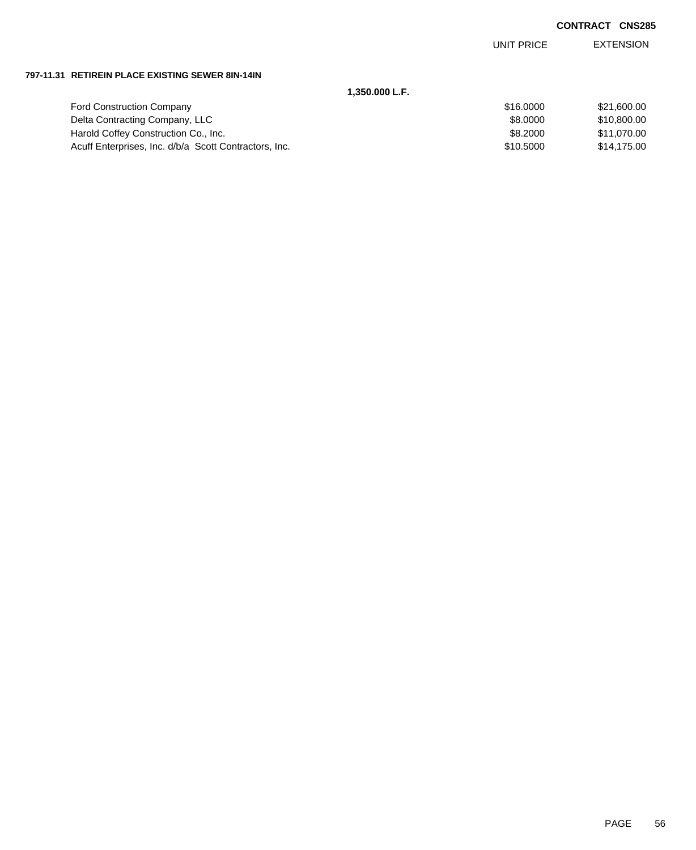EXTENSION UNIT PRICE

### **797-11.31 RETIREIN PLACE EXISTING SEWER 8IN-14IN**

| 1.350.000 L.F.                                        |           |             |
|-------------------------------------------------------|-----------|-------------|
| <b>Ford Construction Company</b>                      | \$16,0000 | \$21,600.00 |
| Delta Contracting Company, LLC                        | \$8,0000  | \$10,800.00 |
| Harold Coffey Construction Co., Inc.                  | \$8,2000  | \$11.070.00 |
| Acuff Enterprises, Inc. d/b/a Scott Contractors, Inc. | \$10,5000 | \$14.175.00 |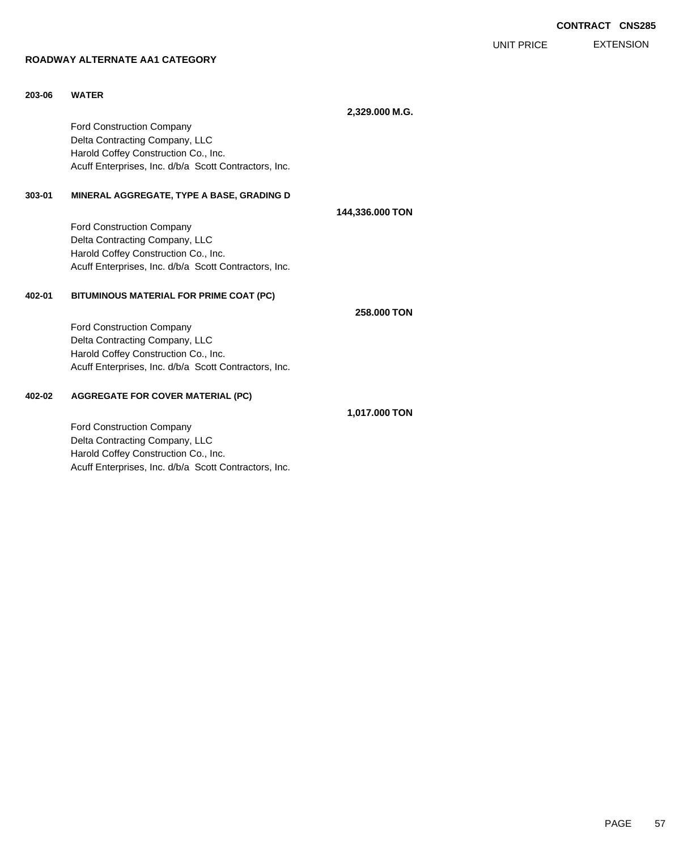EXTENSION UNIT PRICE

# **ROADWAY ALTERNATE AA1 CATEGORY**

| 203-06 | <b>WATER</b>                                          |                 |
|--------|-------------------------------------------------------|-----------------|
|        |                                                       | 2,329.000 M.G.  |
|        | <b>Ford Construction Company</b>                      |                 |
|        | Delta Contracting Company, LLC                        |                 |
|        | Harold Coffey Construction Co., Inc.                  |                 |
|        | Acuff Enterprises, Inc. d/b/a Scott Contractors, Inc. |                 |
| 303-01 | MINERAL AGGREGATE, TYPE A BASE, GRADING D             |                 |
|        |                                                       | 144,336.000 TON |
|        | <b>Ford Construction Company</b>                      |                 |
|        | Delta Contracting Company, LLC                        |                 |
|        | Harold Coffey Construction Co., Inc.                  |                 |
|        | Acuff Enterprises, Inc. d/b/a Scott Contractors, Inc. |                 |
| 402-01 | BITUMINOUS MATERIAL FOR PRIME COAT (PC)               |                 |
|        |                                                       | 258,000 TON     |
|        | Ford Construction Company                             |                 |
|        | Delta Contracting Company, LLC                        |                 |
|        | Harold Coffey Construction Co., Inc.                  |                 |
|        | Acuff Enterprises, Inc. d/b/a Scott Contractors, Inc. |                 |
| 402-02 | <b>AGGREGATE FOR COVER MATERIAL (PC)</b>              |                 |
|        |                                                       | 1.017.000 TON   |

Ford Construction Company Delta Contracting Company, LLC Harold Coffey Construction Co., Inc. Acuff Enterprises, Inc. d/b/a Scott Contractors, Inc.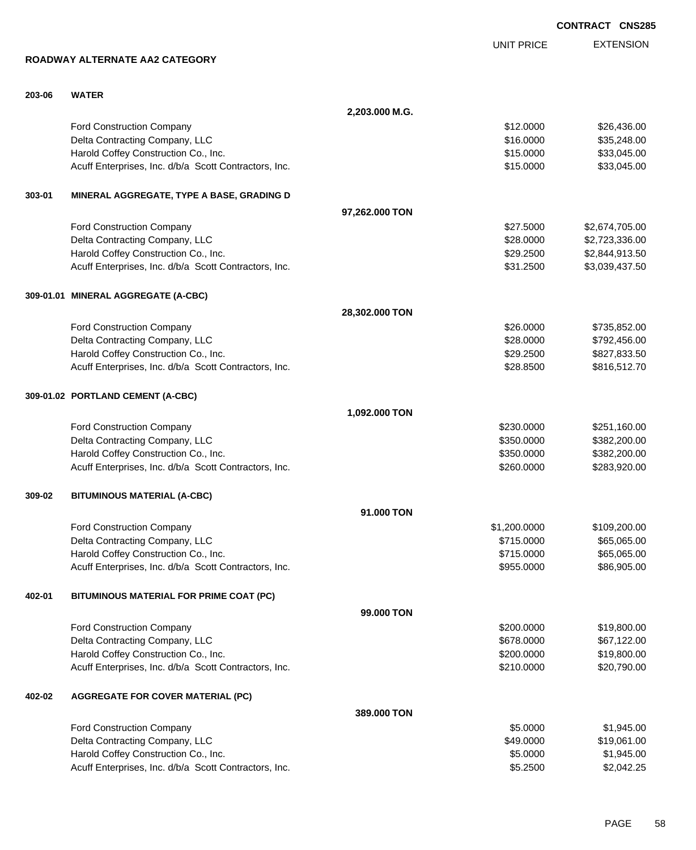|        |                                                       |                |                   | <b>CONTRACT CNS285</b> |
|--------|-------------------------------------------------------|----------------|-------------------|------------------------|
|        |                                                       |                | <b>UNIT PRICE</b> | <b>EXTENSION</b>       |
|        | ROADWAY ALTERNATE AA2 CATEGORY                        |                |                   |                        |
| 203-06 | <b>WATER</b>                                          |                |                   |                        |
|        |                                                       | 2,203.000 M.G. |                   |                        |
|        | <b>Ford Construction Company</b>                      |                | \$12.0000         | \$26,436.00            |
|        | Delta Contracting Company, LLC                        |                | \$16.0000         | \$35,248.00            |
|        | Harold Coffey Construction Co., Inc.                  |                | \$15.0000         | \$33,045.00            |
|        | Acuff Enterprises, Inc. d/b/a Scott Contractors, Inc. |                | \$15.0000         | \$33,045.00            |
| 303-01 | MINERAL AGGREGATE, TYPE A BASE, GRADING D             |                |                   |                        |
|        |                                                       | 97,262.000 TON |                   |                        |
|        | Ford Construction Company                             |                | \$27.5000         | \$2,674,705.00         |
|        | Delta Contracting Company, LLC                        |                | \$28.0000         | \$2,723,336.00         |
|        | Harold Coffey Construction Co., Inc.                  |                | \$29.2500         | \$2,844,913.50         |
|        | Acuff Enterprises, Inc. d/b/a Scott Contractors, Inc. |                | \$31.2500         | \$3,039,437.50         |
|        | 309-01.01 MINERAL AGGREGATE (A-CBC)                   |                |                   |                        |
|        |                                                       | 28,302.000 TON |                   |                        |
|        | Ford Construction Company                             |                | \$26.0000         | \$735,852.00           |
|        | Delta Contracting Company, LLC                        |                | \$28.0000         | \$792,456.00           |
|        | Harold Coffey Construction Co., Inc.                  |                | \$29.2500         | \$827,833.50           |
|        | Acuff Enterprises, Inc. d/b/a Scott Contractors, Inc. |                | \$28.8500         | \$816,512.70           |
|        | 309-01.02 PORTLAND CEMENT (A-CBC)                     |                |                   |                        |
|        |                                                       | 1,092.000 TON  |                   |                        |
|        | Ford Construction Company                             |                | \$230.0000        | \$251,160.00           |
|        | Delta Contracting Company, LLC                        |                | \$350.0000        | \$382,200.00           |
|        | Harold Coffey Construction Co., Inc.                  |                | \$350.0000        | \$382,200.00           |
|        | Acuff Enterprises, Inc. d/b/a Scott Contractors, Inc. |                | \$260.0000        | \$283,920.00           |
| 309-02 | <b>BITUMINOUS MATERIAL (A-CBC)</b>                    |                |                   |                        |
|        |                                                       | 91.000 TON     |                   |                        |
|        | Ford Construction Company                             |                | \$1,200.0000      | \$109,200.00           |
|        | Delta Contracting Company, LLC                        |                | \$715.0000        | \$65,065.00            |
|        | Harold Coffey Construction Co., Inc.                  |                | \$715.0000        | \$65,065.00            |
|        | Acuff Enterprises, Inc. d/b/a Scott Contractors, Inc. |                | \$955.0000        | \$86,905.00            |
| 402-01 | BITUMINOUS MATERIAL FOR PRIME COAT (PC)               |                |                   |                        |
|        |                                                       | 99.000 TON     |                   |                        |
|        | Ford Construction Company                             |                | \$200,0000        | \$19,800.00            |
|        | Delta Contracting Company, LLC                        |                | \$678.0000        | \$67,122.00            |
|        | Harold Coffey Construction Co., Inc.                  |                | \$200.0000        | \$19,800.00            |
|        | Acuff Enterprises, Inc. d/b/a Scott Contractors, Inc. |                | \$210.0000        | \$20,790.00            |
| 402-02 | <b>AGGREGATE FOR COVER MATERIAL (PC)</b>              |                |                   |                        |
|        |                                                       | 389.000 TON    |                   |                        |
|        | Ford Construction Company                             |                | \$5.0000          | \$1,945.00             |
|        | Delta Contracting Company, LLC                        |                | \$49.0000         | \$19,061.00            |
|        | Harold Coffey Construction Co., Inc.                  |                | \$5.0000          | \$1,945.00             |
|        | Acuff Enterprises, Inc. d/b/a Scott Contractors, Inc. |                | \$5.2500          | \$2,042.25             |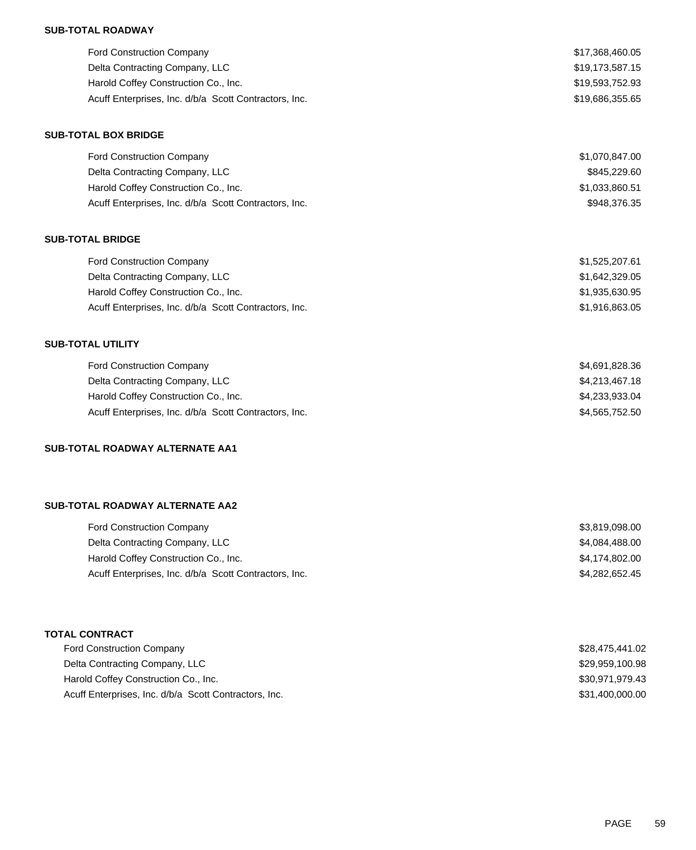## **SUB-TOTAL ROADWAY**

| <b>Ford Construction Company</b>                      | \$17,368,460.05 |
|-------------------------------------------------------|-----------------|
| Delta Contracting Company, LLC                        | \$19,173,587.15 |
| Harold Coffey Construction Co., Inc.                  | \$19,593,752.93 |
| Acuff Enterprises, Inc. d/b/a Scott Contractors, Inc. | \$19,686,355.65 |

### **SUB-TOTAL BOX BRIDGE**

| <b>Ford Construction Company</b>                      | \$1,070,847.00 |
|-------------------------------------------------------|----------------|
| Delta Contracting Company, LLC                        | \$845,229,60   |
| Harold Coffey Construction Co., Inc.                  | \$1,033,860.51 |
| Acuff Enterprises, Inc. d/b/a Scott Contractors, Inc. | \$948,376,35   |

## **SUB-TOTAL BRIDGE**

| Ford Construction Company                             | \$1,525,207.61 |
|-------------------------------------------------------|----------------|
| Delta Contracting Company, LLC                        | \$1,642,329.05 |
| Harold Coffey Construction Co., Inc.                  | \$1,935,630.95 |
| Acuff Enterprises, Inc. d/b/a Scott Contractors, Inc. | \$1,916,863.05 |

## **SUB-TOTAL UTILITY**

| <b>Ford Construction Company</b>                      | \$4,691,828.36 |
|-------------------------------------------------------|----------------|
| Delta Contracting Company, LLC                        | \$4,213,467.18 |
| Harold Coffey Construction Co., Inc.                  | \$4,233,933.04 |
| Acuff Enterprises, Inc. d/b/a Scott Contractors, Inc. | \$4,565,752.50 |

## **SUB-TOTAL ROADWAY ALTERNATE AA1**

## **SUB-TOTAL ROADWAY ALTERNATE AA2**

| <b>Ford Construction Company</b>                      | \$3,819,098.00 |
|-------------------------------------------------------|----------------|
| Delta Contracting Company, LLC                        | \$4,084,488.00 |
| Harold Coffey Construction Co., Inc.                  | \$4.174.802.00 |
| Acuff Enterprises, Inc. d/b/a Scott Contractors, Inc. | \$4.282.652.45 |

# **TOTAL CONTRACT**

| <b>Ford Construction Company</b>                      | \$28,475,441.02 |
|-------------------------------------------------------|-----------------|
| Delta Contracting Company, LLC                        | \$29,959,100.98 |
| Harold Coffey Construction Co., Inc.                  | \$30,971,979.43 |
| Acuff Enterprises, Inc. d/b/a Scott Contractors, Inc. | \$31,400,000.00 |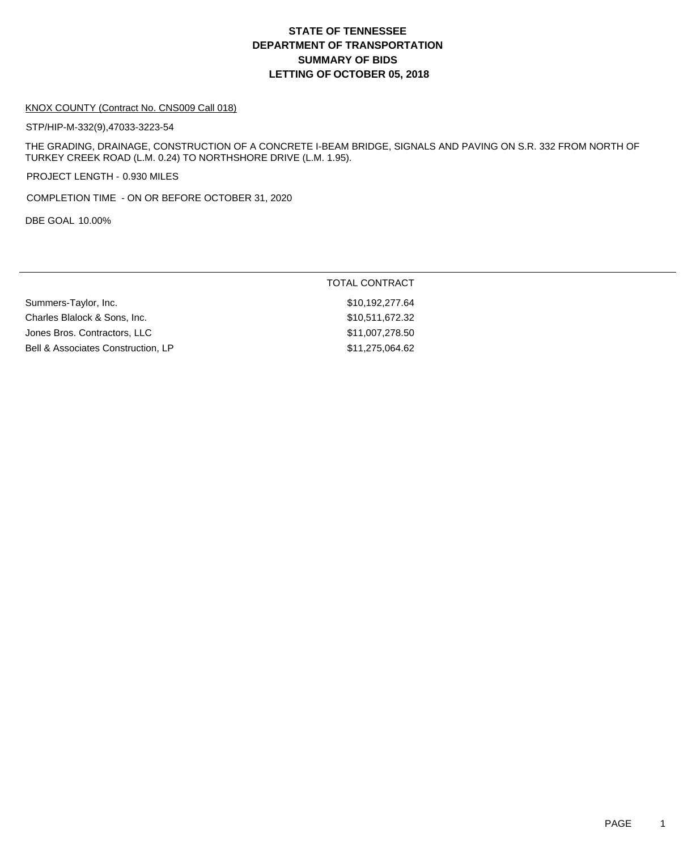# **DEPARTMENT OF TRANSPORTATION SUMMARY OF BIDS LETTING OF OCTOBER 05, 2018 STATE OF TENNESSEE**

### KNOX COUNTY (Contract No. CNS009 Call 018)

STP/HIP-M-332(9),47033-3223-54

THE GRADING, DRAINAGE, CONSTRUCTION OF A CONCRETE I-BEAM BRIDGE, SIGNALS AND PAVING ON S.R. 332 FROM NORTH OF TURKEY CREEK ROAD (L.M. 0.24) TO NORTHSHORE DRIVE (L.M. 1.95).

PROJECT LENGTH - 0.930 MILES

COMPLETION TIME - ON OR BEFORE OCTOBER 31, 2020

DBE GOAL 10.00%

|                                    | TOTAL CONTRACT  |
|------------------------------------|-----------------|
| Summers-Taylor, Inc.               | \$10,192,277.64 |
| Charles Blalock & Sons, Inc.       | \$10,511,672.32 |
| Jones Bros. Contractors, LLC       | \$11,007,278.50 |
| Bell & Associates Construction, LP | \$11,275,064.62 |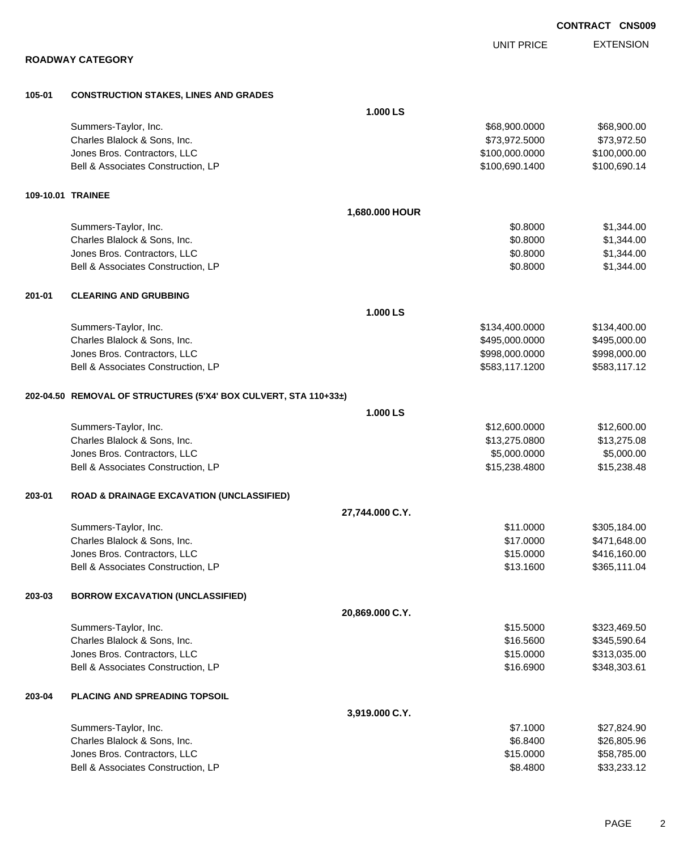**ROADWAY CATEGORY 105-01 CONSTRUCTION STAKES, LINES AND GRADES 1.000 LS** Summers-Taylor, Inc. \$68,900.000 \$68,900.000 \$68,900.000 \$68,900.000 \$68,900.000 Charles Blalock & Sons, Inc. 6. 2012 12:30 12:30 12:30 12:30 12:30 12:30 12:30 12:30 12:30 12:30 12:30 12:30 1 Jones Bros. Contractors, LLC \$100,000.0000 \$100,000.00 Bell & Associates Construction, LP 6. The state of the state of the state of the state of the state of the state of the state of the state of the state of the state of the state of the state of the state of the state of th **109-10.01 TRAINEE 1,680.000 HOUR** Summers-Taylor, Inc. \$0.8000 \$1,344.00 Charles Blalock & Sons, Inc. 6.6 and 51,344.00 \$1,344.00 \$1,344.00 \$1,344.00 \$1,344.00 \$1,344.00 \$1,344.00 \$1,35 Jones Bros. Contractors, LLC \$0.8000 \$1,344.00 Bell & Associates Construction, LP 60.8000 \$1,344.00 **201-01 CLEARING AND GRUBBING 1.000 LS** Summers-Taylor, Inc. 6. The Summers-Taylor, Inc. 6. The Summers-Taylor, Inc. 6. The Summers-Taylor, Inc. 6. The Summers-Taylor, Inc. 6. The Summers-Taylor, Inc. 6. The Summers-Taylor, Inc. 6. The Summers-Taylor, Inc. 6. Th Charles Blalock & Sons, Inc. 6. 2012 12:00:000 \$495,000.000 \$495,000.000 \$495,000.000 \$495,000.00 Jones Bros. Contractors, LLC \$998,000.0000 \$998,000.00 Bell & Associates Construction, LP 683,117.1200 \$583,117.1200 \$583,117.1200 \$583,117.12 **202-04.50 REMOVAL OF STRUCTURES (5'X4' BOX CULVERT, STA 110+33±) 1.000 LS** Summers-Taylor, Inc. \$12,600.000 \$12,600.000 \$12,600.000 \$12,600.000 \$12,600.000 \$12,600.00 Charles Blalock & Sons, Inc. \$13,275.0800 \$13,275.08 Jones Bros. Contractors, LLC \$5,000.0000 \$5,000.00 Bell & Associates Construction, LP 615,238.4800 \$15,238.4800 \$15,238.4800 **203-01 ROAD & DRAINAGE EXCAVATION (UNCLASSIFIED) 27,744.000 C.Y.** Summers-Taylor, Inc. \$11.0000 \$305,184.00 Charles Blalock & Sons, Inc. \$17.0000 \$471,648.00 Jones Bros. Contractors, LLC \$15.0000 \$416,160.00 Bell & Associates Construction, LP 6. 2008 12:00 \$365,111.04 **203-03 BORROW EXCAVATION (UNCLASSIFIED) 20,869.000 C.Y.** Summers-Taylor, Inc. \$15.5000 \$323,469.50 Charles Blalock & Sons, Inc. \$16.5600 \$345,590.64 Jones Bros. Contractors, LLC \$15.0000 \$313,035.00 Bell & Associates Construction, LP 6.6900 \$348,303.61 **203-04 PLACING AND SPREADING TOPSOIL 3,919.000 C.Y.** Summers-Taylor, Inc. \$7.1000 \$27,824.90 Charles Blalock & Sons, Inc. 6.625.96 \$26,805.96 \$6.8400 \$26,805.96

Jones Bros. Contractors, LLC \$15.0000 \$58,785.00 Bell & Associates Construction, LP 633,233.12

**CONTRACT CNS009**

EXTENSION UNIT PRICE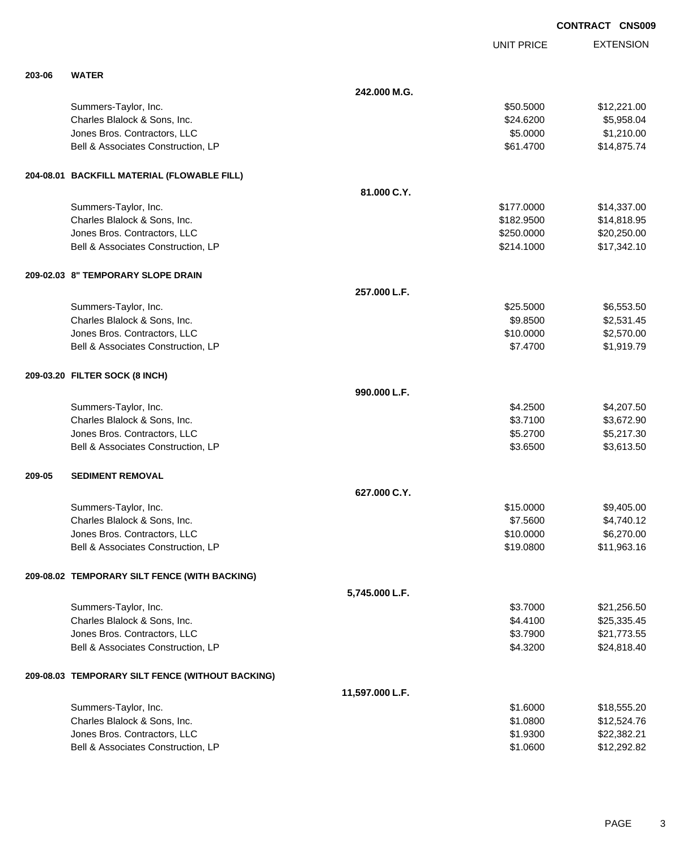|        |                                                  |                 |                   | <b>CONTRACT CNS00</b> |
|--------|--------------------------------------------------|-----------------|-------------------|-----------------------|
|        |                                                  |                 | <b>UNIT PRICE</b> | <b>EXTENSION</b>      |
| 203-06 | <b>WATER</b>                                     |                 |                   |                       |
|        |                                                  | 242,000 M.G.    |                   |                       |
|        | Summers-Taylor, Inc.                             |                 | \$50.5000         | \$12,221.00           |
|        | Charles Blalock & Sons, Inc.                     |                 | \$24.6200         | \$5,958.04            |
|        | Jones Bros. Contractors, LLC                     |                 | \$5.0000          | \$1,210.00            |
|        | Bell & Associates Construction, LP               |                 | \$61.4700         | \$14,875.74           |
|        | 204-08.01 BACKFILL MATERIAL (FLOWABLE FILL)      |                 |                   |                       |
|        |                                                  | 81.000 C.Y.     |                   |                       |
|        | Summers-Taylor, Inc.                             |                 | \$177.0000        | \$14,337.00           |
|        | Charles Blalock & Sons, Inc.                     |                 | \$182.9500        | \$14,818.95           |
|        | Jones Bros. Contractors, LLC                     |                 | \$250.0000        | \$20,250.00           |
|        | Bell & Associates Construction, LP               |                 | \$214.1000        | \$17,342.10           |
|        | 209-02.03 8" TEMPORARY SLOPE DRAIN               |                 |                   |                       |
|        |                                                  | 257.000 L.F.    |                   |                       |
|        | Summers-Taylor, Inc.                             |                 | \$25.5000         | \$6,553.50            |
|        | Charles Blalock & Sons, Inc.                     |                 | \$9.8500          | \$2,531.45            |
|        | Jones Bros. Contractors, LLC                     |                 | \$10.0000         | \$2,570.00            |
|        | Bell & Associates Construction, LP               |                 | \$7.4700          | \$1,919.79            |
|        | 209-03.20 FILTER SOCK (8 INCH)                   |                 |                   |                       |
|        |                                                  | 990.000 L.F.    |                   |                       |
|        | Summers-Taylor, Inc.                             |                 | \$4.2500          | \$4,207.50            |
|        | Charles Blalock & Sons, Inc.                     |                 | \$3.7100          | \$3,672.90            |
|        | Jones Bros. Contractors, LLC                     |                 | \$5.2700          | \$5,217.30            |
|        | Bell & Associates Construction, LP               |                 | \$3.6500          | \$3,613.50            |
| 209-05 | <b>SEDIMENT REMOVAL</b>                          |                 |                   |                       |
|        |                                                  | 627.000 C.Y.    |                   |                       |
|        | Summers-Taylor, Inc.                             |                 | \$15.0000         | \$9,405.00            |
|        | Charles Blalock & Sons, Inc.                     |                 | \$7.5600          | \$4,740.12            |
|        | Jones Bros. Contractors, LLC                     |                 | \$10.0000         | \$6,270.00            |
|        | Bell & Associates Construction, LP               |                 | \$19.0800         | \$11,963.16           |
|        | 209-08.02 TEMPORARY SILT FENCE (WITH BACKING)    |                 |                   |                       |
|        |                                                  | 5,745.000 L.F.  |                   |                       |
|        | Summers-Taylor, Inc.                             |                 | \$3.7000          | \$21,256.50           |
|        | Charles Blalock & Sons, Inc.                     |                 | \$4.4100          | \$25,335.45           |
|        | Jones Bros. Contractors, LLC                     |                 | \$3.7900          | \$21,773.55           |
|        | Bell & Associates Construction, LP               |                 | \$4.3200          | \$24,818.40           |
|        | 209-08.03 TEMPORARY SILT FENCE (WITHOUT BACKING) |                 |                   |                       |
|        |                                                  | 11,597.000 L.F. |                   |                       |
|        | Summers-Taylor, Inc.                             |                 | \$1.6000          | \$18,555.20           |
|        | Charles Blalock & Sons, Inc.                     |                 | \$1.0800          | \$12,524.76           |
|        | Jones Bros. Contractors, LLC                     |                 | \$1.9300          | \$22,382.21           |
|        | Bell & Associates Construction, LP               |                 | \$1.0600          | \$12,292.82           |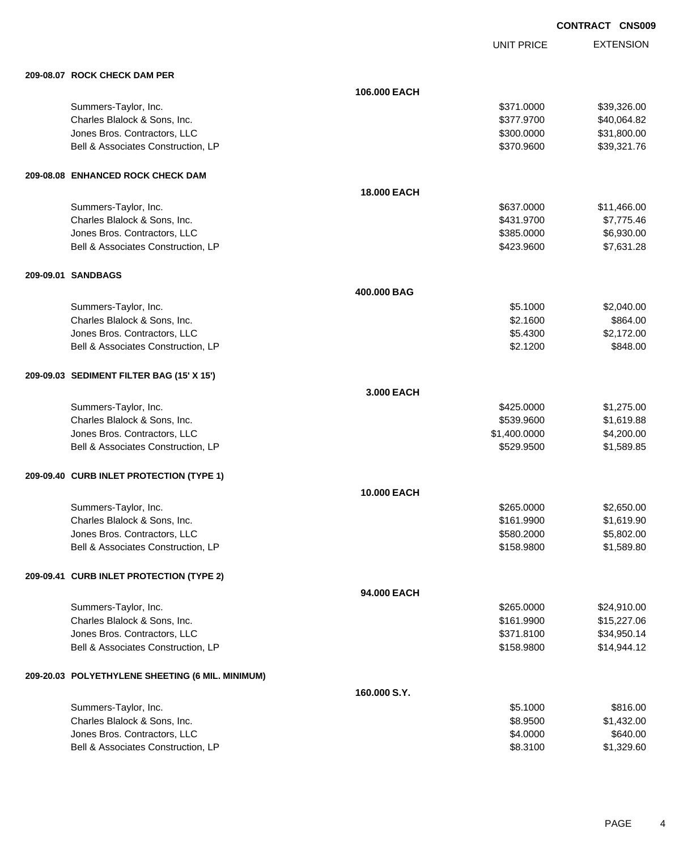UNIT PRICE

EXTENSION

| 209-08.07 ROCK CHECK DAM PER                     |              |              |             |
|--------------------------------------------------|--------------|--------------|-------------|
|                                                  | 106.000 EACH |              |             |
| Summers-Taylor, Inc.                             |              | \$371.0000   | \$39,326.00 |
| Charles Blalock & Sons, Inc.                     |              | \$377.9700   | \$40,064.82 |
| Jones Bros. Contractors, LLC                     |              | \$300.0000   | \$31,800.00 |
| Bell & Associates Construction, LP               |              | \$370.9600   | \$39,321.76 |
| 209-08.08 ENHANCED ROCK CHECK DAM                |              |              |             |
|                                                  | 18.000 EACH  |              |             |
| Summers-Taylor, Inc.                             |              | \$637.0000   | \$11,466.00 |
| Charles Blalock & Sons, Inc.                     |              | \$431.9700   | \$7,775.46  |
| Jones Bros. Contractors, LLC                     |              | \$385.0000   | \$6,930.00  |
| Bell & Associates Construction, LP               |              | \$423.9600   | \$7,631.28  |
| 209-09.01 SANDBAGS                               |              |              |             |
|                                                  | 400,000 BAG  |              |             |
| Summers-Taylor, Inc.                             |              | \$5.1000     | \$2,040.00  |
| Charles Blalock & Sons, Inc.                     |              | \$2.1600     | \$864.00    |
| Jones Bros. Contractors, LLC                     |              | \$5.4300     | \$2,172.00  |
| Bell & Associates Construction, LP               |              | \$2.1200     | \$848.00    |
| 209-09.03 SEDIMENT FILTER BAG (15' X 15')        |              |              |             |
|                                                  | 3.000 EACH   |              |             |
| Summers-Taylor, Inc.                             |              | \$425.0000   | \$1,275.00  |
| Charles Blalock & Sons, Inc.                     |              | \$539.9600   | \$1,619.88  |
| Jones Bros. Contractors, LLC                     |              | \$1,400.0000 | \$4,200.00  |
| Bell & Associates Construction, LP               |              | \$529.9500   | \$1,589.85  |
| 209-09.40 CURB INLET PROTECTION (TYPE 1)         |              |              |             |
|                                                  | 10.000 EACH  |              |             |
| Summers-Taylor, Inc.                             |              | \$265.0000   | \$2,650.00  |
| Charles Blalock & Sons, Inc.                     |              | \$161.9900   | \$1,619.90  |
| Jones Bros. Contractors, LLC                     |              | \$580.2000   | \$5,802.00  |
| Bell & Associates Construction, LP               |              | \$158.9800   | \$1,589.80  |
| 209-09.41 CURB INLET PROTECTION (TYPE 2)         |              |              |             |
|                                                  | 94.000 EACH  |              |             |
| Summers-Taylor, Inc.                             |              | \$265.0000   | \$24,910.00 |
| Charles Blalock & Sons, Inc.                     |              | \$161.9900   | \$15,227.06 |
| Jones Bros. Contractors, LLC                     |              | \$371.8100   | \$34,950.14 |
| Bell & Associates Construction, LP               |              | \$158.9800   | \$14,944.12 |
| 209-20.03 POLYETHYLENE SHEETING (6 MIL. MINIMUM) |              |              |             |
|                                                  | 160.000 S.Y. |              |             |
| Summers-Taylor, Inc.                             |              | \$5.1000     | \$816.00    |
| Charles Blalock & Sons, Inc.                     |              | \$8.9500     | \$1,432.00  |
| Jones Bros. Contractors, LLC                     |              | \$4.0000     | \$640.00    |

Bell & Associates Construction, LP 68.3100 \$1,329.60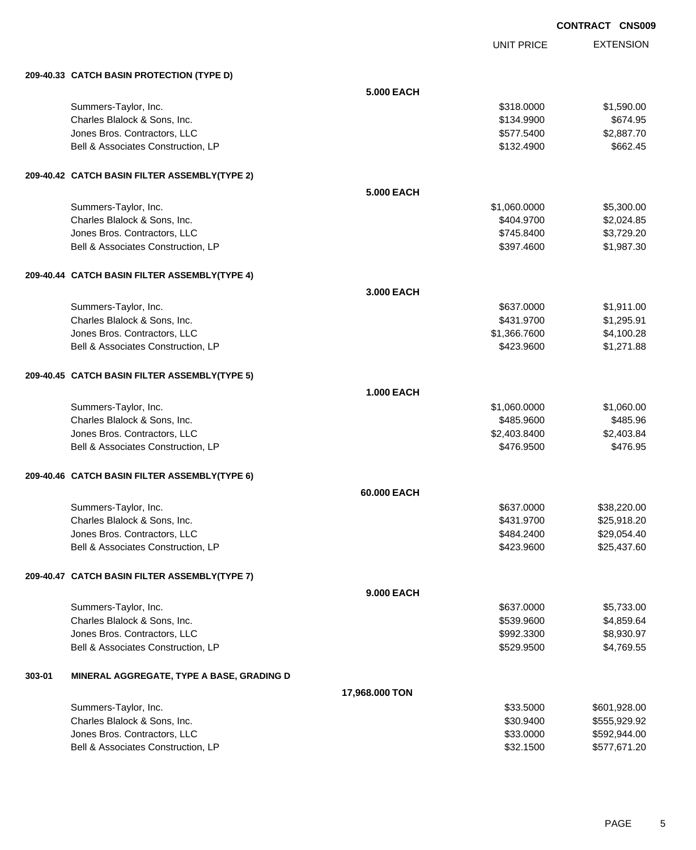UNIT PRICE

|        | 209-40.33 CATCH BASIN PROTECTION (TYPE D)            |                   |                            |                          |
|--------|------------------------------------------------------|-------------------|----------------------------|--------------------------|
|        |                                                      | <b>5.000 EACH</b> |                            |                          |
|        | Summers-Taylor, Inc.                                 |                   | \$318.0000                 | \$1,590.00               |
|        | Charles Blalock & Sons, Inc.                         |                   | \$134.9900                 | \$674.95                 |
|        | Jones Bros. Contractors, LLC                         |                   | \$577.5400                 | \$2,887.70               |
|        | Bell & Associates Construction, LP                   |                   | \$132.4900                 | \$662.45                 |
|        |                                                      |                   |                            |                          |
|        | 209-40.42 CATCH BASIN FILTER ASSEMBLY(TYPE 2)        |                   |                            |                          |
|        |                                                      | <b>5.000 EACH</b> |                            |                          |
|        |                                                      |                   |                            |                          |
|        | Summers-Taylor, Inc.<br>Charles Blalock & Sons, Inc. |                   | \$1,060.0000<br>\$404.9700 | \$5,300.00               |
|        | Jones Bros. Contractors, LLC                         |                   | \$745.8400                 | \$2,024.85<br>\$3,729.20 |
|        | Bell & Associates Construction, LP                   |                   | \$397.4600                 | \$1,987.30               |
|        |                                                      |                   |                            |                          |
|        | 209-40.44 CATCH BASIN FILTER ASSEMBLY(TYPE 4)        |                   |                            |                          |
|        |                                                      |                   |                            |                          |
|        |                                                      | 3,000 EACH        |                            |                          |
|        | Summers-Taylor, Inc.                                 |                   | \$637.0000                 | \$1,911.00               |
|        | Charles Blalock & Sons, Inc.                         |                   | \$431.9700                 | \$1,295.91               |
|        | Jones Bros. Contractors, LLC                         |                   | \$1,366.7600               | \$4,100.28               |
|        | Bell & Associates Construction, LP                   |                   | \$423.9600                 | \$1,271.88               |
|        |                                                      |                   |                            |                          |
|        | 209-40.45 CATCH BASIN FILTER ASSEMBLY(TYPE 5)        |                   |                            |                          |
|        |                                                      | <b>1.000 EACH</b> |                            |                          |
|        | Summers-Taylor, Inc.                                 |                   | \$1,060.0000               | \$1,060.00               |
|        | Charles Blalock & Sons, Inc.                         |                   | \$485.9600                 | \$485.96                 |
|        | Jones Bros. Contractors, LLC                         |                   | \$2,403.8400               | \$2,403.84               |
|        | Bell & Associates Construction, LP                   |                   | \$476.9500                 | \$476.95                 |
|        |                                                      |                   |                            |                          |
|        | 209-40.46 CATCH BASIN FILTER ASSEMBLY(TYPE 6)        |                   |                            |                          |
|        |                                                      | 60.000 EACH       |                            |                          |
|        | Summers-Taylor, Inc.                                 |                   | \$637.0000                 | \$38,220.00              |
|        | Charles Blalock & Sons, Inc.                         |                   | \$431.9700                 | \$25,918.20              |
|        | Jones Bros. Contractors, LLC                         |                   | \$484.2400                 | \$29,054.40              |
|        | Bell & Associates Construction, LP                   |                   | \$423.9600                 | \$25,437.60              |
|        |                                                      |                   |                            |                          |
|        | 209-40.47 CATCH BASIN FILTER ASSEMBLY(TYPE 7)        |                   |                            |                          |
|        |                                                      | <b>9.000 EACH</b> |                            |                          |
|        | Summers-Taylor, Inc.                                 |                   | \$637.0000                 | \$5,733.00               |
|        | Charles Blalock & Sons, Inc.                         |                   | \$539.9600                 | \$4,859.64               |
|        | Jones Bros. Contractors, LLC                         |                   | \$992.3300                 | \$8,930.97               |
|        | Bell & Associates Construction, LP                   |                   | \$529.9500                 | \$4,769.55               |
|        |                                                      |                   |                            |                          |
| 303-01 | MINERAL AGGREGATE, TYPE A BASE, GRADING D            |                   |                            |                          |
|        |                                                      |                   |                            |                          |
|        |                                                      | 17,968.000 TON    |                            |                          |
|        | Summers-Taylor, Inc.                                 |                   | \$33.5000                  | \$601,928.00             |
|        | Charles Blalock & Sons, Inc.                         |                   | \$30.9400                  | \$555,929.92             |
|        | Jones Bros. Contractors, LLC                         |                   | \$33.0000                  | \$592,944.00             |
|        | Bell & Associates Construction, LP                   |                   | \$32.1500                  | \$577,671.20             |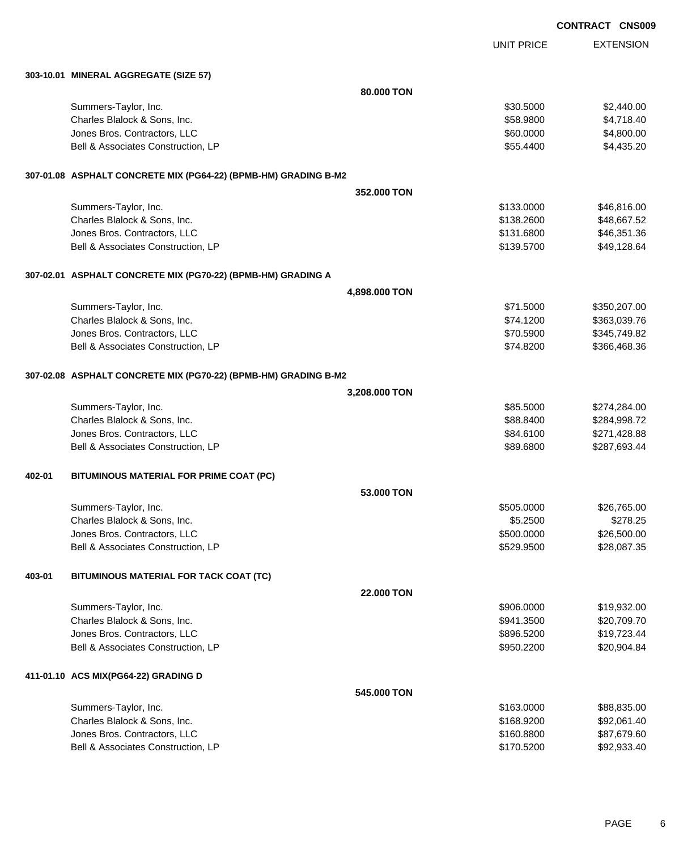|        |                                                                 |               |                      | <b>CONTRACT CNS009</b> |                           |
|--------|-----------------------------------------------------------------|---------------|----------------------|------------------------|---------------------------|
|        |                                                                 |               | <b>UNIT PRICE</b>    |                        | <b>EXTENSION</b>          |
|        | 303-10.01 MINERAL AGGREGATE (SIZE 57)                           |               |                      |                        |                           |
|        |                                                                 | 80.000 TON    |                      |                        |                           |
|        | Summers-Taylor, Inc.                                            |               | \$30.5000            |                        | \$2,440.00                |
|        | Charles Blalock & Sons, Inc.                                    |               | \$58.9800            |                        | \$4,718.40                |
|        | Jones Bros. Contractors, LLC                                    |               | \$60.0000            |                        | \$4,800.00                |
|        | Bell & Associates Construction, LP                              |               | \$55.4400            |                        | \$4,435.20                |
|        | 307-01.08 ASPHALT CONCRETE MIX (PG64-22) (BPMB-HM) GRADING B-M2 |               |                      |                        |                           |
|        |                                                                 | 352.000 TON   |                      |                        |                           |
|        | Summers-Taylor, Inc.                                            |               | \$133.0000           |                        | \$46,816.00               |
|        | Charles Blalock & Sons, Inc.                                    |               | \$138.2600           |                        | \$48,667.52               |
|        | Jones Bros. Contractors, LLC                                    |               | \$131.6800           |                        | \$46,351.36               |
|        | Bell & Associates Construction, LP                              |               | \$139.5700           |                        | \$49,128.64               |
|        | 307-02.01 ASPHALT CONCRETE MIX (PG70-22) (BPMB-HM) GRADING A    |               |                      |                        |                           |
|        |                                                                 | 4,898.000 TON |                      |                        |                           |
|        | Summers-Taylor, Inc.                                            |               | \$71.5000            |                        | \$350,207.00              |
|        | Charles Blalock & Sons, Inc.                                    |               | \$74.1200            |                        | \$363,039.76              |
|        | Jones Bros. Contractors, LLC                                    |               | \$70.5900            |                        | \$345,749.82              |
|        | Bell & Associates Construction, LP                              |               | \$74.8200            |                        | \$366,468.36              |
|        | 307-02.08 ASPHALT CONCRETE MIX (PG70-22) (BPMB-HM) GRADING B-M2 |               |                      |                        |                           |
|        |                                                                 | 3,208.000 TON |                      |                        |                           |
|        | Summers-Taylor, Inc.                                            |               | \$85.5000            |                        | \$274,284.00              |
|        | Charles Blalock & Sons, Inc.                                    |               | \$88.8400            |                        | \$284,998.72              |
|        | Jones Bros. Contractors, LLC                                    |               | \$84.6100            |                        | \$271,428.88              |
|        | Bell & Associates Construction, LP                              |               | \$89.6800            |                        | \$287,693.44              |
| 402-01 | BITUMINOUS MATERIAL FOR PRIME COAT (PC)                         |               |                      |                        |                           |
|        |                                                                 | 53.000 TON    |                      |                        |                           |
|        | Summers-Taylor, Inc.                                            |               | \$505.0000           |                        | \$26,765.00               |
|        | Charles Blalock & Sons, Inc.                                    |               | \$5.2500             |                        | \$278.25                  |
|        | Jones Bros. Contractors, LLC                                    |               | \$500.0000           |                        | \$26,500.00               |
|        | Bell & Associates Construction, LP                              |               | \$529.9500           |                        | \$28,087.35               |
| 403-01 | BITUMINOUS MATERIAL FOR TACK COAT (TC)                          |               |                      |                        |                           |
|        |                                                                 | 22.000 TON    |                      |                        |                           |
|        | Summers-Taylor, Inc.                                            |               | \$906.0000           |                        | \$19,932.00               |
|        | Charles Blalock & Sons, Inc.                                    |               | \$941.3500           |                        | \$20,709.70               |
|        | Jones Bros. Contractors, LLC                                    |               | \$896.5200           |                        | \$19,723.44               |
|        | Bell & Associates Construction, LP                              |               | \$950.2200           |                        | \$20,904.84               |
|        | 411-01.10 ACS MIX(PG64-22) GRADING D                            |               |                      |                        |                           |
|        |                                                                 | 545.000 TON   |                      |                        |                           |
|        | Summers-Taylor, Inc.<br>Charlee Blalock & Sone, Inc.            |               | \$163.0000<br>468000 |                        | \$88,835.00<br>202.061.40 |
|        |                                                                 |               |                      |                        |                           |

| SUITIITIBIS-TAYIUI, IIIC.          | <b>JUUJ.COTG</b> | JOO,OJJ.UU  |
|------------------------------------|------------------|-------------|
| Charles Blalock & Sons, Inc.       | \$168,9200       | \$92,061.40 |
| Jones Bros. Contractors, LLC       | \$160,8800       | \$87,679.60 |
| Bell & Associates Construction. LP | \$170.5200       | \$92,933,40 |
|                                    |                  |             |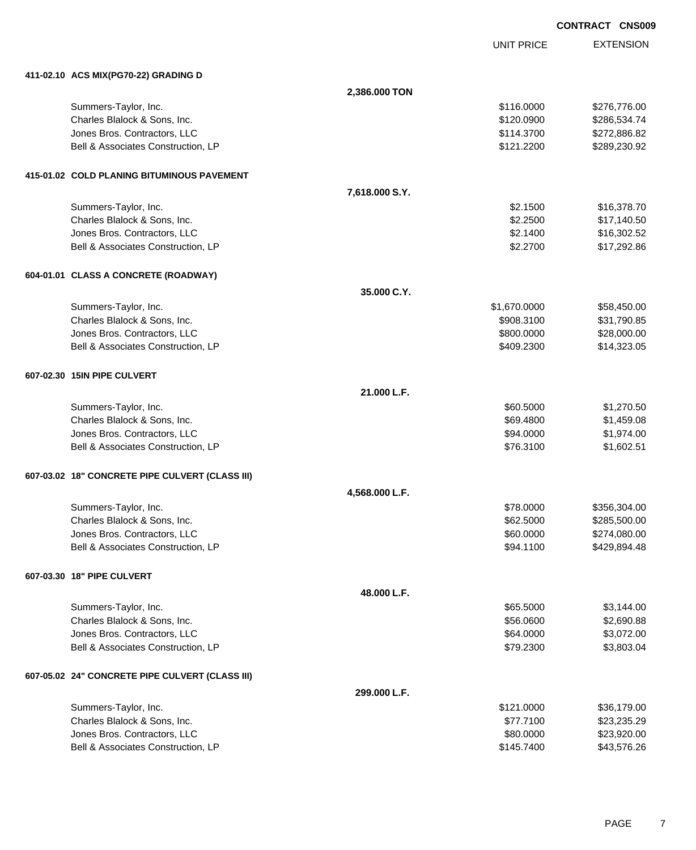|                                                 |                |                   | <b>CONTRACT CNS009</b> |
|-------------------------------------------------|----------------|-------------------|------------------------|
|                                                 |                | <b>UNIT PRICE</b> | <b>EXTENSION</b>       |
| 411-02.10 ACS MIX(PG70-22) GRADING D            |                |                   |                        |
|                                                 | 2,386.000 TON  |                   |                        |
| Summers-Taylor, Inc.                            |                | \$116.0000        | \$276,776.00           |
| Charles Blalock & Sons, Inc.                    |                | \$120.0900        | \$286,534.74           |
| Jones Bros. Contractors, LLC                    |                | \$114.3700        | \$272,886.82           |
| Bell & Associates Construction, LP              |                | \$121.2200        | \$289,230.92           |
| 415-01.02 COLD PLANING BITUMINOUS PAVEMENT      |                |                   |                        |
|                                                 | 7,618.000 S.Y. |                   |                        |
| Summers-Taylor, Inc.                            |                | \$2.1500          | \$16,378.70            |
| Charles Blalock & Sons, Inc.                    |                | \$2.2500          | \$17,140.50            |
| Jones Bros. Contractors, LLC                    |                | \$2.1400          | \$16,302.52            |
| Bell & Associates Construction, LP              |                | \$2.2700          | \$17,292.86            |
| 604-01.01 CLASS A CONCRETE (ROADWAY)            |                |                   |                        |
|                                                 | 35.000 C.Y.    |                   |                        |
| Summers-Taylor, Inc.                            |                | \$1,670.0000      | \$58,450.00            |
| Charles Blalock & Sons, Inc.                    |                | \$908.3100        | \$31,790.85            |
| Jones Bros. Contractors, LLC                    |                | \$800.0000        | \$28,000.00            |
| Bell & Associates Construction, LP              |                | \$409.2300        | \$14,323.05            |
| 607-02.30 15IN PIPE CULVERT                     |                |                   |                        |
|                                                 | 21.000 L.F.    |                   |                        |
| Summers-Taylor, Inc.                            |                | \$60.5000         | \$1,270.50             |
| Charles Blalock & Sons, Inc.                    |                | \$69.4800         | \$1,459.08             |
| Jones Bros. Contractors, LLC                    |                | \$94.0000         | \$1,974.00             |
| Bell & Associates Construction, LP              |                | \$76.3100         | \$1,602.51             |
| 607-03.02 18" CONCRETE PIPE CULVERT (CLASS III) |                |                   |                        |
|                                                 | 4,568.000 L.F. |                   |                        |
| Summers-Taylor, Inc.                            |                | \$78.0000         | \$356,304.00           |
| Charles Blalock & Sons, Inc.                    |                | \$62.5000         | \$285,500.00           |
| Jones Bros. Contractors, LLC                    |                | \$60.0000         | \$274,080.00           |
| Bell & Associates Construction, LP              |                | \$94.1100         | \$429,894.48           |
| 607-03.30 18" PIPE CULVERT                      |                |                   |                        |
|                                                 | 48.000 L.F.    |                   |                        |
| Summers-Taylor, Inc.                            |                | \$65.5000         | \$3,144.00             |
| Charles Blalock & Sons, Inc.                    |                | \$56.0600         | \$2,690.88             |
| Jones Bros. Contractors, LLC                    |                | \$64.0000         | \$3,072.00             |
| Bell & Associates Construction, LP              |                | \$79.2300         | \$3,803.04             |
| 607-05.02 24" CONCRETE PIPE CULVERT (CLASS III) |                |                   |                        |
|                                                 | 299.000 L.F.   |                   |                        |
| Summers-Taylor, Inc.                            |                | \$121.0000        | \$36,179.00            |
| Charles Blalock & Sons, Inc.                    |                | \$77.7100         | \$23,235.29            |
| Jones Bros. Contractors, LLC                    |                | \$80.0000         | \$23,920.00            |

Bell & Associates Construction, LP **\$145.7400** \$43,576.26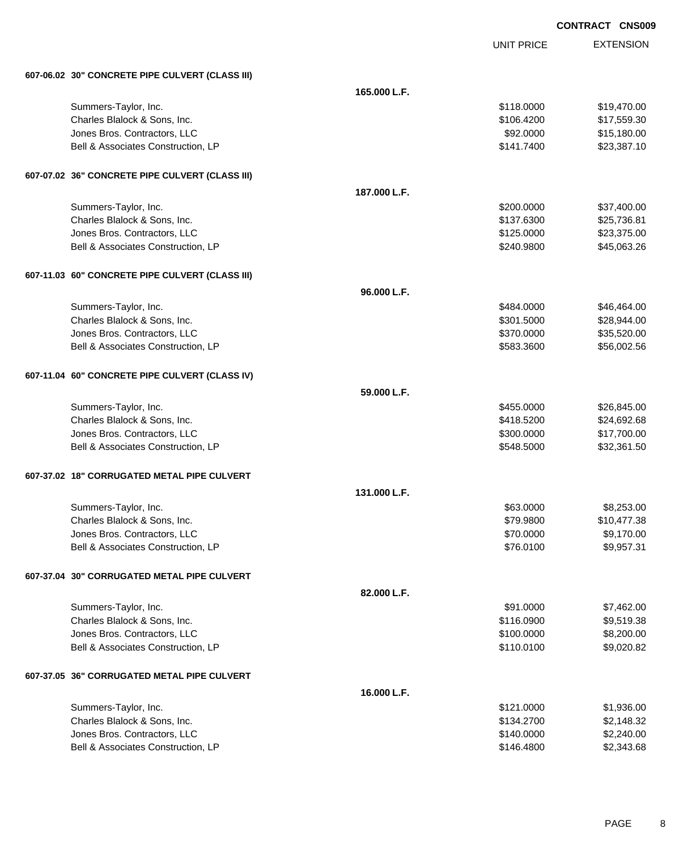|                                                 |              |                   | <b>CONTRACT CNS009</b> |                  |
|-------------------------------------------------|--------------|-------------------|------------------------|------------------|
|                                                 |              | <b>UNIT PRICE</b> |                        | <b>EXTENSION</b> |
| 607-06.02 30" CONCRETE PIPE CULVERT (CLASS III) |              |                   |                        |                  |
|                                                 | 165.000 L.F. |                   |                        |                  |
| Summers-Taylor, Inc.                            |              | \$118.0000        |                        | \$19,470.00      |
| Charles Blalock & Sons, Inc.                    |              | \$106.4200        |                        | \$17,559.30      |
| Jones Bros. Contractors, LLC                    |              | \$92.0000         |                        | \$15,180.00      |
| Bell & Associates Construction, LP              |              | \$141.7400        |                        | \$23,387.10      |
| 607-07.02 36" CONCRETE PIPE CULVERT (CLASS III) |              |                   |                        |                  |
|                                                 | 187.000 L.F. |                   |                        |                  |
| Summers-Taylor, Inc.                            |              | \$200.0000        |                        | \$37,400.00      |
| Charles Blalock & Sons, Inc.                    |              | \$137.6300        |                        | \$25,736.81      |
| Jones Bros. Contractors, LLC                    |              | \$125.0000        |                        | \$23,375.00      |
| Bell & Associates Construction, LP              |              | \$240.9800        |                        | \$45,063.26      |
| 607-11.03 60" CONCRETE PIPE CULVERT (CLASS III) |              |                   |                        |                  |
|                                                 | 96.000 L.F.  |                   |                        |                  |
| Summers-Taylor, Inc.                            |              | \$484.0000        |                        | \$46,464.00      |
| Charles Blalock & Sons, Inc.                    |              | \$301.5000        |                        | \$28,944.00      |
| Jones Bros. Contractors, LLC                    |              | \$370.0000        |                        | \$35,520.00      |
| Bell & Associates Construction, LP              |              | \$583.3600        |                        | \$56,002.56      |
| 607-11.04 60" CONCRETE PIPE CULVERT (CLASS IV)  |              |                   |                        |                  |
|                                                 | 59.000 L.F.  |                   |                        |                  |
| Summers-Taylor, Inc.                            |              | \$455.0000        |                        | \$26,845.00      |
| Charles Blalock & Sons, Inc.                    |              | \$418.5200        |                        | \$24,692.68      |
| Jones Bros. Contractors, LLC                    |              | \$300.0000        |                        | \$17,700.00      |
| Bell & Associates Construction, LP              |              | \$548.5000        |                        | \$32,361.50      |
| 607-37.02 18" CORRUGATED METAL PIPE CULVERT     |              |                   |                        |                  |
|                                                 | 131.000 L.F. |                   |                        |                  |
| Summers-Taylor, Inc.                            |              | \$63.0000         |                        | \$8,253.00       |
| Charles Blalock & Sons, Inc.                    |              | \$79.9800         |                        | \$10,477.38      |
| Jones Bros. Contractors, LLC                    |              | \$70.0000         |                        | \$9,170.00       |
| Bell & Associates Construction, LP              |              | \$76.0100         |                        | \$9,957.31       |
| 607-37.04 30" CORRUGATED METAL PIPE CULVERT     |              |                   |                        |                  |
|                                                 | 82.000 L.F.  |                   |                        |                  |
| Summers-Taylor, Inc.                            |              | \$91.0000         |                        | \$7,462.00       |
| Charles Blalock & Sons, Inc.                    |              | \$116.0900        |                        | \$9,519.38       |
| Jones Bros. Contractors, LLC                    |              | \$100.0000        |                        | \$8,200.00       |
| Bell & Associates Construction, LP              |              | \$110.0100        |                        | \$9,020.82       |
| 607-37.05 36" CORRUGATED METAL PIPE CULVERT     |              |                   |                        |                  |
|                                                 | 16.000 L.F.  |                   |                        |                  |

| \$121,0000 | \$1.936.00 |
|------------|------------|
| \$134,2700 | \$2,148.32 |
| \$140,0000 | \$2,240.00 |
| \$146,4800 | \$2,343.68 |
|            |            |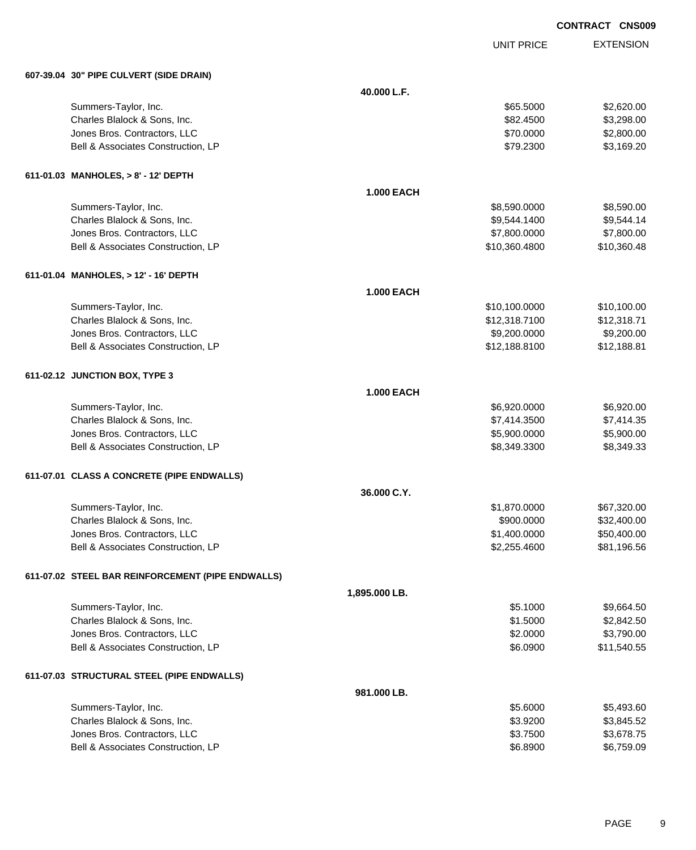UNIT PRICE

| 607-39.04 30" PIPE CULVERT (SIDE DRAIN) |  |  |  |
|-----------------------------------------|--|--|--|
|                                         |  |  |  |

| 607-39.04 30" PIPE CULVERT (SIDE DRAIN)           |                   |               |             |
|---------------------------------------------------|-------------------|---------------|-------------|
|                                                   | 40.000 L.F.       |               |             |
| Summers-Taylor, Inc.                              |                   | \$65.5000     | \$2,620.00  |
| Charles Blalock & Sons, Inc.                      |                   | \$82.4500     | \$3,298.00  |
| Jones Bros. Contractors, LLC                      |                   | \$70.0000     | \$2,800.00  |
| Bell & Associates Construction, LP                |                   | \$79.2300     | \$3,169.20  |
| 611-01.03 MANHOLES, > 8' - 12' DEPTH              |                   |               |             |
|                                                   | <b>1.000 EACH</b> |               |             |
| Summers-Taylor, Inc.                              |                   | \$8,590.0000  | \$8,590.00  |
| Charles Blalock & Sons, Inc.                      |                   | \$9,544.1400  | \$9,544.14  |
| Jones Bros. Contractors, LLC                      |                   | \$7,800.0000  | \$7,800.00  |
| Bell & Associates Construction, LP                |                   | \$10,360.4800 | \$10,360.48 |
| 611-01.04 MANHOLES, > 12' - 16' DEPTH             |                   |               |             |
|                                                   | <b>1.000 EACH</b> |               |             |
| Summers-Taylor, Inc.                              |                   | \$10,100.0000 | \$10,100.00 |
| Charles Blalock & Sons, Inc.                      |                   | \$12,318.7100 | \$12,318.71 |
| Jones Bros. Contractors, LLC                      |                   | \$9,200.0000  | \$9,200.00  |
| Bell & Associates Construction, LP                |                   | \$12,188.8100 | \$12,188.81 |
| 611-02.12 JUNCTION BOX, TYPE 3                    |                   |               |             |
|                                                   | <b>1.000 EACH</b> |               |             |
| Summers-Taylor, Inc.                              |                   | \$6,920.0000  | \$6,920.00  |
| Charles Blalock & Sons, Inc.                      |                   | \$7,414.3500  | \$7,414.35  |
| Jones Bros. Contractors, LLC                      |                   | \$5,900.0000  | \$5,900.00  |
| Bell & Associates Construction, LP                |                   | \$8,349.3300  | \$8,349.33  |
| 611-07.01 CLASS A CONCRETE (PIPE ENDWALLS)        |                   |               |             |
|                                                   | 36.000 C.Y.       |               |             |
| Summers-Taylor, Inc.                              |                   | \$1,870.0000  | \$67,320.00 |
| Charles Blalock & Sons, Inc.                      |                   | \$900.0000    | \$32,400.00 |
| Jones Bros. Contractors, LLC                      |                   | \$1,400.0000  | \$50,400.00 |
| Bell & Associates Construction, LP                |                   | \$2,255.4600  | \$81,196.56 |
| 611-07.02 STEEL BAR REINFORCEMENT (PIPE ENDWALLS) |                   |               |             |
|                                                   | 1,895.000 LB.     |               |             |
| Summers-Taylor, Inc.                              |                   | \$5.1000      | \$9,664.50  |
| Charles Blalock & Sons, Inc.                      |                   | \$1.5000      | \$2,842.50  |
| Jones Bros. Contractors, LLC                      |                   | \$2.0000      | \$3,790.00  |
| Bell & Associates Construction, LP                |                   | \$6.0900      | \$11,540.55 |
| 611-07.03 STRUCTURAL STEEL (PIPE ENDWALLS)        |                   |               |             |
|                                                   | 981.000 LB.       |               |             |
| Summers-Taylor, Inc.                              |                   | \$5.6000      | \$5,493.60  |
| Charles Blalock & Sons, Inc.                      |                   | \$3.9200      | \$3,845.52  |
| Jones Bros. Contractors, LLC                      |                   | \$3.7500      | \$3,678.75  |
| Bell & Associates Construction, LP                |                   | \$6.8900      | \$6,759.09  |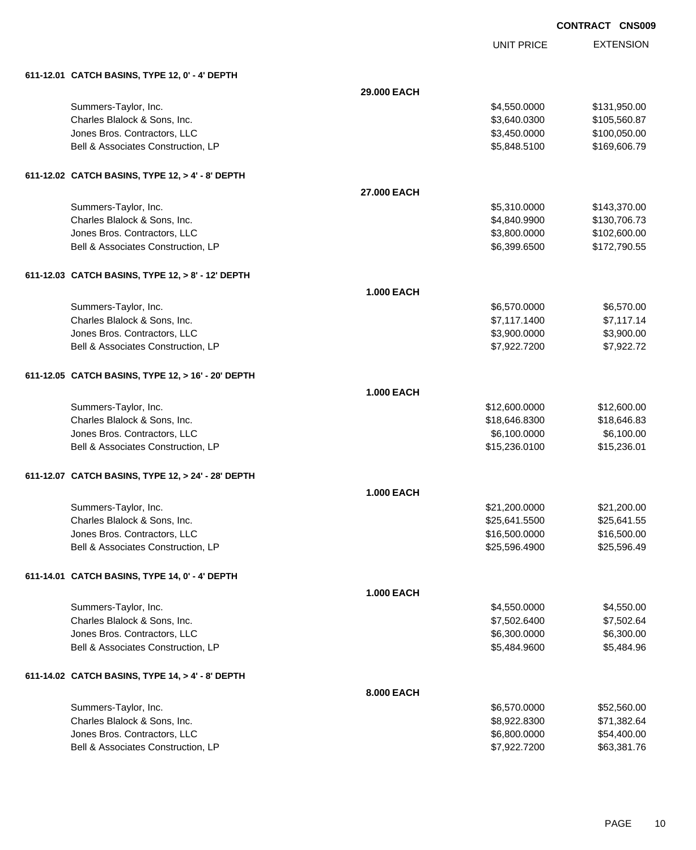UNIT PRICE

| 611-12.01 CATCH BASINS, TYPE 12, 0' - 4' DEPTH |  |  |  |
|------------------------------------------------|--|--|--|
|                                                |  |  |  |

| 611-12.01 CATCH BASINS, TYPE 12, 0' - 4' DEPTH     |                   |               |              |
|----------------------------------------------------|-------------------|---------------|--------------|
|                                                    | 29.000 EACH       |               |              |
| Summers-Taylor, Inc.                               |                   | \$4,550.0000  | \$131,950.00 |
| Charles Blalock & Sons, Inc.                       |                   | \$3,640.0300  | \$105,560.87 |
| Jones Bros. Contractors, LLC                       |                   | \$3,450.0000  | \$100,050.00 |
| Bell & Associates Construction, LP                 |                   | \$5,848.5100  | \$169,606.79 |
| 611-12.02 CATCH BASINS, TYPE 12, > 4' - 8' DEPTH   |                   |               |              |
|                                                    | 27.000 EACH       |               |              |
| Summers-Taylor, Inc.                               |                   | \$5,310.0000  | \$143,370.00 |
| Charles Blalock & Sons, Inc.                       |                   | \$4,840.9900  | \$130,706.73 |
| Jones Bros. Contractors, LLC                       |                   | \$3,800.0000  | \$102,600.00 |
| Bell & Associates Construction, LP                 |                   | \$6,399.6500  | \$172,790.55 |
| 611-12.03 CATCH BASINS, TYPE 12, > 8' - 12' DEPTH  |                   |               |              |
|                                                    | <b>1.000 EACH</b> |               |              |
| Summers-Taylor, Inc.                               |                   | \$6,570.0000  | \$6,570.00   |
| Charles Blalock & Sons, Inc.                       |                   | \$7,117.1400  | \$7,117.14   |
| Jones Bros. Contractors, LLC                       |                   | \$3,900.0000  | \$3,900.00   |
| Bell & Associates Construction, LP                 |                   | \$7,922.7200  | \$7,922.72   |
| 611-12.05 CATCH BASINS, TYPE 12, > 16' - 20' DEPTH |                   |               |              |
|                                                    | <b>1.000 EACH</b> |               |              |
| Summers-Taylor, Inc.                               |                   | \$12,600.0000 | \$12,600.00  |
| Charles Blalock & Sons, Inc.                       |                   | \$18,646.8300 | \$18,646.83  |
| Jones Bros. Contractors, LLC                       |                   | \$6,100.0000  | \$6,100.00   |
| Bell & Associates Construction, LP                 |                   | \$15,236.0100 | \$15,236.01  |
| 611-12.07 CATCH BASINS, TYPE 12, > 24' - 28' DEPTH |                   |               |              |
|                                                    | <b>1.000 EACH</b> |               |              |
| Summers-Taylor, Inc.                               |                   | \$21,200.0000 | \$21,200.00  |
| Charles Blalock & Sons, Inc.                       |                   | \$25,641.5500 | \$25,641.55  |
| Jones Bros. Contractors, LLC                       |                   | \$16,500.0000 | \$16,500.00  |
| Bell & Associates Construction, LP                 |                   | \$25,596.4900 | \$25,596.49  |
| 611-14.01 CATCH BASINS, TYPE 14, 0' - 4' DEPTH     |                   |               |              |
|                                                    | <b>1.000 EACH</b> |               |              |
| Summers-Taylor, Inc.                               |                   | \$4,550.0000  | \$4,550.00   |
| Charles Blalock & Sons, Inc.                       |                   | \$7,502.6400  | \$7,502.64   |
| Jones Bros. Contractors, LLC                       |                   | \$6,300.0000  | \$6,300.00   |
| Bell & Associates Construction, LP                 |                   | \$5,484.9600  | \$5,484.96   |
| 611-14.02 CATCH BASINS, TYPE 14, > 4' - 8' DEPTH   |                   |               |              |
|                                                    | 8.000 EACH        |               |              |
| Summers-Taylor, Inc.                               |                   | \$6,570.0000  | \$52,560.00  |
| Charles Blalock & Sons, Inc.                       |                   | \$8,922.8300  | \$71,382.64  |
| Jones Bros. Contractors, LLC                       |                   | \$6,800.0000  | \$54,400.00  |
| Bell & Associates Construction, LP                 |                   | \$7,922.7200  | \$63,381.76  |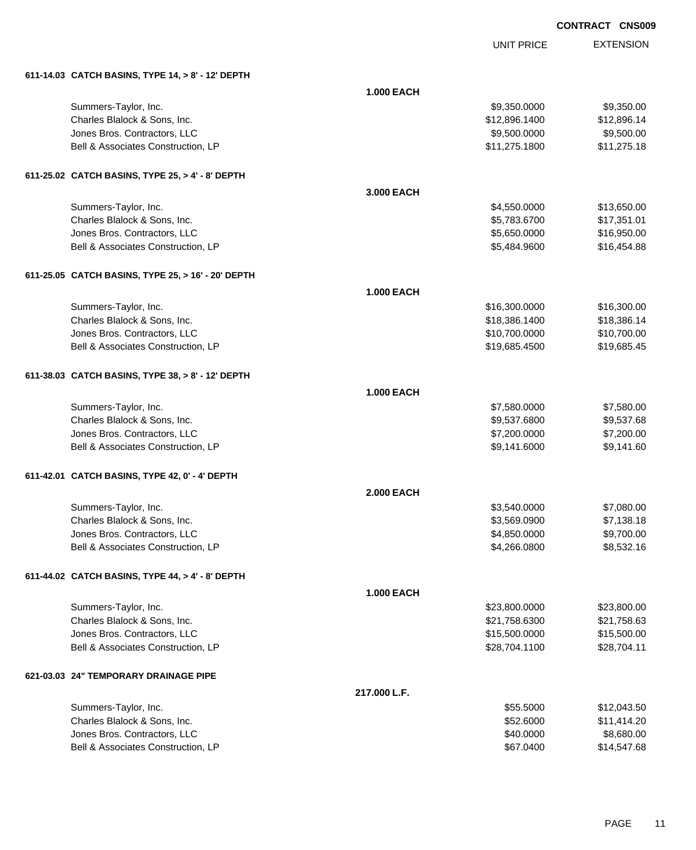| <b>CONTRACT CNS009</b> |  |
|------------------------|--|
|                        |  |

|                                                    |                   | <b>UNIT PRICE</b> | <b>EXTENSION</b> |
|----------------------------------------------------|-------------------|-------------------|------------------|
| 611-14.03 CATCH BASINS, TYPE 14, > 8' - 12' DEPTH  |                   |                   |                  |
|                                                    | <b>1.000 EACH</b> |                   |                  |
| Summers-Taylor, Inc.                               |                   | \$9,350.0000      | \$9,350.00       |
| Charles Blalock & Sons, Inc.                       |                   | \$12,896.1400     | \$12,896.14      |
| Jones Bros. Contractors, LLC                       |                   | \$9,500.0000      | \$9,500.00       |
| Bell & Associates Construction, LP                 |                   | \$11,275.1800     | \$11,275.18      |
| 611-25.02 CATCH BASINS, TYPE 25, > 4' - 8' DEPTH   |                   |                   |                  |
|                                                    | 3.000 EACH        |                   |                  |
| Summers-Taylor, Inc.                               |                   | \$4,550.0000      | \$13,650.00      |
| Charles Blalock & Sons, Inc.                       |                   | \$5,783.6700      | \$17,351.01      |
| Jones Bros. Contractors, LLC                       |                   | \$5,650.0000      | \$16,950.00      |
| Bell & Associates Construction, LP                 |                   | \$5,484.9600      | \$16,454.88      |
| 611-25.05 CATCH BASINS, TYPE 25, > 16' - 20' DEPTH |                   |                   |                  |
|                                                    | <b>1.000 EACH</b> |                   |                  |
| Summers-Taylor, Inc.                               |                   | \$16,300.0000     | \$16,300.00      |
| Charles Blalock & Sons, Inc.                       |                   | \$18,386.1400     | \$18,386.14      |
| Jones Bros. Contractors, LLC                       |                   | \$10,700.0000     | \$10,700.00      |
| Bell & Associates Construction, LP                 |                   | \$19,685.4500     | \$19,685.45      |
| 611-38.03 CATCH BASINS, TYPE 38, > 8' - 12' DEPTH  |                   |                   |                  |
|                                                    | <b>1.000 EACH</b> |                   |                  |
| Summers-Taylor, Inc.                               |                   | \$7,580.0000      | \$7,580.00       |
| Charles Blalock & Sons, Inc.                       |                   | \$9,537.6800      | \$9,537.68       |
| Jones Bros. Contractors, LLC                       |                   | \$7,200.0000      | \$7,200.00       |
| Bell & Associates Construction, LP                 |                   | \$9,141.6000      | \$9,141.60       |
| 611-42.01 CATCH BASINS, TYPE 42, 0' - 4' DEPTH     |                   |                   |                  |
|                                                    | 2.000 EACH        |                   |                  |
| Summers-Taylor, Inc.                               |                   | \$3,540.0000      | \$7,080.00       |
| Charles Blalock & Sons, Inc.                       |                   | \$3,569.0900      | \$7,138.18       |
| Jones Bros. Contractors, LLC                       |                   | \$4,850.0000      | \$9,700.00       |
| Bell & Associates Construction, LP                 |                   | \$4,266.0800      | \$8,532.16       |
| 611-44.02 CATCH BASINS, TYPE 44, > 4' - 8' DEPTH   |                   |                   |                  |
|                                                    | <b>1.000 EACH</b> |                   |                  |
| Summers-Taylor, Inc.                               |                   | \$23,800.0000     | \$23,800.00      |
| Charles Blalock & Sons, Inc.                       |                   | \$21,758.6300     | \$21,758.63      |
| Jones Bros. Contractors, LLC                       |                   | \$15,500.0000     | \$15,500.00      |
| Bell & Associates Construction, LP                 |                   | \$28,704.1100     | \$28,704.11      |
| 621-03.03 24" TEMPORARY DRAINAGE PIPE              |                   |                   |                  |
|                                                    | 217.000 L.F.      |                   |                  |
| Summers-Taylor, Inc.                               |                   | \$55.5000         | \$12,043.50      |
| Charles Blalock & Sons, Inc.                       |                   | \$52.6000         | \$11,414.20      |
| Jones Bros. Contractors, LLC                       |                   | \$40.0000         | \$8,680.00       |
| Bell & Associates Construction, LP                 |                   | \$67.0400         | \$14,547.68      |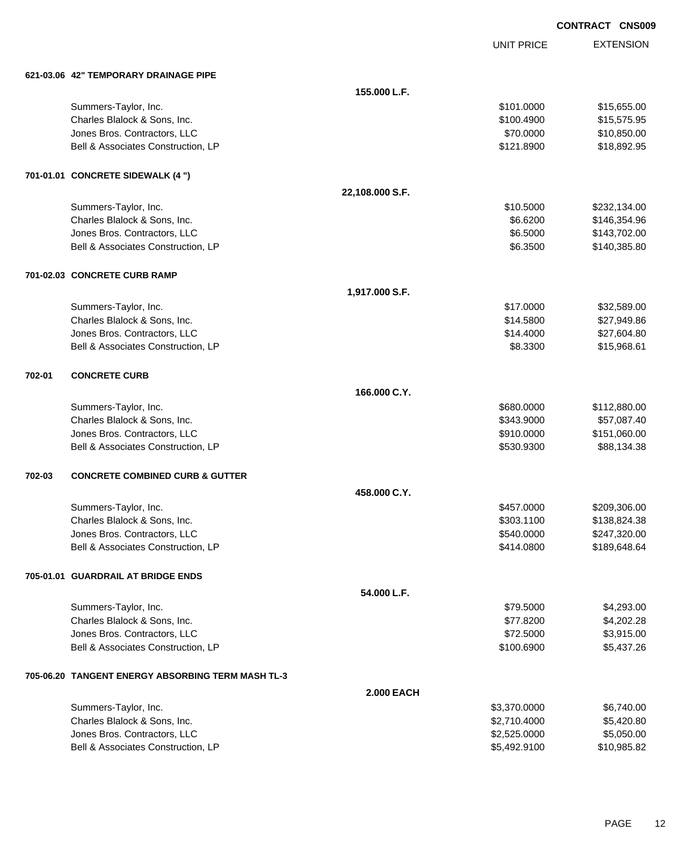|        |                                            |                 |                   | <b>CONTRACT CNS009</b> |
|--------|--------------------------------------------|-----------------|-------------------|------------------------|
|        |                                            |                 | <b>UNIT PRICE</b> | <b>EXTENSION</b>       |
|        | 621-03.06 42" TEMPORARY DRAINAGE PIPE      |                 |                   |                        |
|        |                                            | 155.000 L.F.    |                   |                        |
|        | Summers-Taylor, Inc.                       |                 | \$101.0000        | \$15,655.00            |
|        | Charles Blalock & Sons, Inc.               |                 | \$100.4900        | \$15,575.95            |
|        | Jones Bros. Contractors, LLC               |                 | \$70.0000         | \$10,850.00            |
|        | Bell & Associates Construction, LP         |                 | \$121.8900        | \$18,892.95            |
|        | 701-01.01 CONCRETE SIDEWALK (4 ")          |                 |                   |                        |
|        |                                            | 22,108.000 S.F. |                   |                        |
|        | Summers-Taylor, Inc.                       |                 | \$10.5000         | \$232,134.00           |
|        | Charles Blalock & Sons, Inc.               |                 | \$6.6200          | \$146,354.96           |
|        | Jones Bros. Contractors, LLC               |                 | \$6.5000          | \$143,702.00           |
|        | Bell & Associates Construction, LP         |                 | \$6.3500          | \$140,385.80           |
|        | 701-02.03 CONCRETE CURB RAMP               |                 |                   |                        |
|        |                                            | 1,917.000 S.F.  |                   |                        |
|        | Summers-Taylor, Inc.                       |                 | \$17.0000         | \$32,589.00            |
|        | Charles Blalock & Sons, Inc.               |                 | \$14.5800         | \$27,949.86            |
|        | Jones Bros. Contractors, LLC               |                 | \$14.4000         | \$27,604.80            |
|        | Bell & Associates Construction, LP         |                 | \$8.3300          | \$15,968.61            |
| 702-01 | <b>CONCRETE CURB</b>                       |                 |                   |                        |
|        |                                            | 166.000 C.Y.    |                   |                        |
|        | Summers-Taylor, Inc.                       |                 | \$680.0000        | \$112,880.00           |
|        | Charles Blalock & Sons, Inc.               |                 | \$343.9000        | \$57,087.40            |
|        | Jones Bros. Contractors, LLC               |                 | \$910.0000        | \$151,060.00           |
|        | Bell & Associates Construction, LP         |                 | \$530.9300        | \$88,134.38            |
| 702-03 | <b>CONCRETE COMBINED CURB &amp; GUTTER</b> |                 |                   |                        |
|        |                                            | 458,000 C.Y.    |                   |                        |
|        | Summers-Taylor, Inc.                       |                 | \$457.0000        | \$209,306.00           |
|        | Charles Blalock & Sons, Inc.               |                 | \$303.1100        | \$138,824.38           |
|        | Jones Bros. Contractors, LLC               |                 | \$540.0000        | \$247,320.00           |
|        | Bell & Associates Construction, LP         |                 | \$414.0800        | \$189,648.64           |
|        | 705-01.01 GUARDRAIL AT BRIDGE ENDS         |                 |                   |                        |
|        |                                            | 54.000 L.F.     |                   |                        |
|        | Summers-Taylor, Inc.                       |                 | \$79.5000         | \$4,293.00             |
|        | Charles Blalock & Sons, Inc.               |                 | \$77.8200         | \$4,202.28             |
|        | Jones Bros. Contractors, LLC               |                 | \$72.5000         | \$3,915.00             |
|        | Bell & Associates Construction, LP         |                 | \$100.6900        | \$5,437.26             |

#### **705-06.20 TANGENT ENERGY ABSORBING TERM MASH TL-3**

|                                    | <b>2.000 EACH</b> |             |
|------------------------------------|-------------------|-------------|
| Summers-Taylor, Inc.               | \$3,370.0000      | \$6,740.00  |
| Charles Blalock & Sons, Inc.       | \$2,710,4000      | \$5.420.80  |
| Jones Bros. Contractors, LLC       | \$2,525,0000      | \$5.050.00  |
| Bell & Associates Construction, LP | \$5,492.9100      | \$10,985.82 |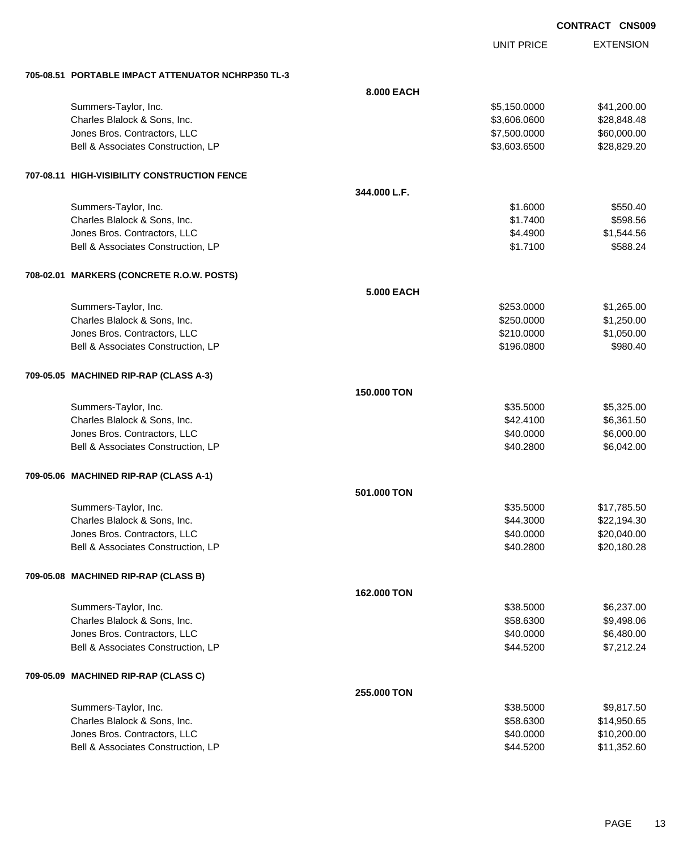|            |                   | <b>CONTRACT CNS009</b> |
|------------|-------------------|------------------------|
|            | <b>UNIT PRICE</b> | <b>EXTENSION</b>       |
| 8,000 EACH | \$5 150 0000      | \$41 200 00            |

| Summers-Taylor, Inc.                         |                   | \$5,150.0000 | \$41,200.00 |
|----------------------------------------------|-------------------|--------------|-------------|
| Charles Blalock & Sons, Inc.                 |                   | \$3,606.0600 | \$28,848.48 |
| Jones Bros. Contractors, LLC                 |                   | \$7,500.0000 | \$60,000.00 |
| Bell & Associates Construction, LP           |                   | \$3,603.6500 | \$28,829.20 |
|                                              |                   |              |             |
| 707-08.11 HIGH-VISIBILITY CONSTRUCTION FENCE |                   |              |             |
|                                              | 344.000 L.F.      |              |             |
| Summers-Taylor, Inc.                         |                   | \$1.6000     | \$550.40    |
| Charles Blalock & Sons, Inc.                 |                   | \$1.7400     | \$598.56    |
| Jones Bros. Contractors, LLC                 |                   | \$4.4900     | \$1,544.56  |
| Bell & Associates Construction, LP           |                   | \$1.7100     | \$588.24    |
| 708-02.01 MARKERS (CONCRETE R.O.W. POSTS)    |                   |              |             |
|                                              | <b>5.000 EACH</b> |              |             |
| Summers-Taylor, Inc.                         |                   | \$253.0000   | \$1,265.00  |
| Charles Blalock & Sons, Inc.                 |                   | \$250.0000   | \$1,250.00  |
| Jones Bros. Contractors, LLC                 |                   | \$210.0000   | \$1,050.00  |
| Bell & Associates Construction, LP           |                   | \$196.0800   | \$980.40    |
|                                              |                   |              |             |
| 709-05.05 MACHINED RIP-RAP (CLASS A-3)       |                   |              |             |
|                                              | 150.000 TON       |              |             |
| Summers-Taylor, Inc.                         |                   | \$35.5000    | \$5,325.00  |
| Charles Blalock & Sons, Inc.                 |                   | \$42.4100    | \$6,361.50  |
| Jones Bros. Contractors, LLC                 |                   | \$40.0000    | \$6,000.00  |
| Bell & Associates Construction, LP           |                   | \$40.2800    | \$6,042.00  |
| 709-05.06 MACHINED RIP-RAP (CLASS A-1)       |                   |              |             |
|                                              | 501,000 TON       |              |             |
|                                              |                   |              |             |
| Summers-Taylor, Inc.                         |                   | \$35.5000    | \$17,785.50 |
| Charles Blalock & Sons, Inc.                 |                   | \$44.3000    | \$22,194.30 |
| Jones Bros. Contractors, LLC                 |                   | \$40.0000    | \$20,040.00 |
| Bell & Associates Construction, LP           |                   | \$40.2800    | \$20,180.28 |
| 709-05.08 MACHINED RIP-RAP (CLASS B)         |                   |              |             |
|                                              | 162.000 TON       |              |             |
| Summers-Taylor, Inc.                         |                   | \$38.5000    | \$6,237.00  |
| Charles Blalock & Sons, Inc.                 |                   | \$58.6300    | \$9,498.06  |
| Jones Bros. Contractors, LLC                 |                   | \$40.0000    | \$6,480.00  |
| Bell & Associates Construction, LP           |                   | \$44.5200    | \$7,212.24  |
| 709-05.09 MACHINED RIP-RAP (CLASS C)         |                   |              |             |
|                                              | 255.000 TON       |              |             |
| Summers-Taylor, Inc.                         |                   | \$38.5000    | \$9,817.50  |
| Charles Blalock & Sons, Inc.                 |                   | \$58.6300    | \$14,950.65 |
| Jones Bros. Contractors, LLC                 |                   | \$40.0000    | \$10,200.00 |
| Bell & Associates Construction, LP           |                   | \$44.5200    | \$11,352.60 |

**705-08.51 PORTABLE IMPACT ATTENUATOR NCHRP350 TL-3**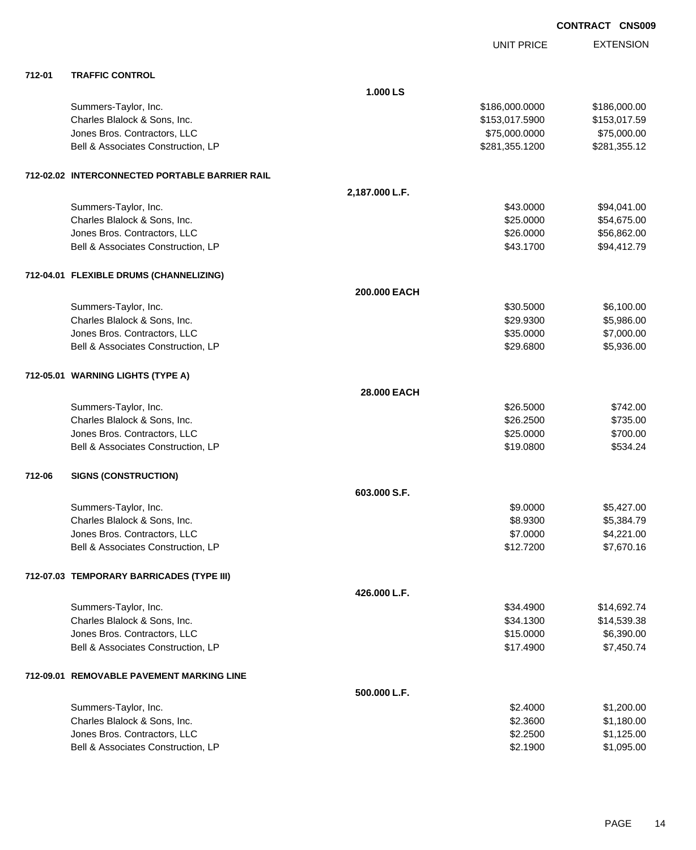|        |                                                |                |                   | <b>CONTRACT CNS009</b> |                  |
|--------|------------------------------------------------|----------------|-------------------|------------------------|------------------|
|        |                                                |                | <b>UNIT PRICE</b> |                        | <b>EXTENSION</b> |
| 712-01 | <b>TRAFFIC CONTROL</b>                         |                |                   |                        |                  |
|        |                                                | 1.000 LS       |                   |                        |                  |
|        | Summers-Taylor, Inc.                           |                | \$186,000.0000    |                        | \$186,000.00     |
|        | Charles Blalock & Sons, Inc.                   |                | \$153,017.5900    |                        | \$153,017.59     |
|        | Jones Bros. Contractors, LLC                   |                | \$75,000.0000     |                        | \$75,000.00      |
|        | Bell & Associates Construction, LP             |                | \$281,355.1200    |                        | \$281,355.12     |
|        | 712-02.02 INTERCONNECTED PORTABLE BARRIER RAIL |                |                   |                        |                  |
|        |                                                | 2,187.000 L.F. |                   |                        |                  |
|        | Summers-Taylor, Inc.                           |                | \$43.0000         |                        | \$94,041.00      |
|        | Charles Blalock & Sons, Inc.                   |                | \$25.0000         |                        | \$54,675.00      |
|        | Jones Bros. Contractors, LLC                   |                | \$26.0000         |                        | \$56,862.00      |
|        | Bell & Associates Construction, LP             |                | \$43.1700         |                        | \$94,412.79      |
|        | 712-04.01 FLEXIBLE DRUMS (CHANNELIZING)        |                |                   |                        |                  |
|        |                                                | 200.000 EACH   |                   |                        |                  |
|        | Summers-Taylor, Inc.                           |                | \$30.5000         |                        | \$6,100.00       |
|        | Charles Blalock & Sons, Inc.                   |                | \$29.9300         |                        | \$5,986.00       |
|        | Jones Bros. Contractors, LLC                   |                | \$35.0000         |                        | \$7,000.00       |
|        | Bell & Associates Construction, LP             |                | \$29.6800         |                        | \$5,936.00       |
|        | 712-05.01 WARNING LIGHTS (TYPE A)              |                |                   |                        |                  |
|        |                                                | 28.000 EACH    |                   |                        |                  |
|        | Summers-Taylor, Inc.                           |                | \$26.5000         |                        | \$742.00         |
|        | Charles Blalock & Sons, Inc.                   |                | \$26.2500         |                        | \$735.00         |
|        | Jones Bros. Contractors, LLC                   |                | \$25.0000         |                        | \$700.00         |
|        | Bell & Associates Construction, LP             |                | \$19.0800         |                        | \$534.24         |
| 712-06 | <b>SIGNS (CONSTRUCTION)</b>                    |                |                   |                        |                  |
|        |                                                | 603.000 S.F.   |                   |                        |                  |
|        | Summers-Taylor, Inc.                           |                | \$9.0000          |                        | \$5,427.00       |
|        | Charles Blalock & Sons, Inc.                   |                | \$8.9300          |                        | \$5,384.79       |
|        | Jones Bros. Contractors, LLC                   |                | \$7.0000          |                        | \$4,221.00       |
|        | Bell & Associates Construction, LP             |                | \$12.7200         |                        | \$7,670.16       |
|        | 712-07.03 TEMPORARY BARRICADES (TYPE III)      |                |                   |                        |                  |
|        |                                                | 426.000 L.F.   |                   |                        |                  |
|        | Summers-Taylor, Inc.                           |                | \$34.4900         |                        | \$14,692.74      |
|        | Charles Blalock & Sons, Inc.                   |                | \$34.1300         |                        | \$14,539.38      |
|        | Jones Bros. Contractors, LLC                   |                | \$15.0000         |                        | \$6,390.00       |
|        | Bell & Associates Construction, LP             |                | \$17.4900         |                        | \$7,450.74       |
|        | 712-09.01 REMOVABLE PAVEMENT MARKING LINE      |                |                   |                        |                  |
|        |                                                | 500.000 L.F.   |                   |                        |                  |
|        | Summers-Taylor, Inc.                           |                | \$2.4000          |                        | \$1,200.00       |

| Charles Blalock & Sons, Inc.       | \$2,3600 | \$1.180.00 |
|------------------------------------|----------|------------|
| Jones Bros. Contractors, LLC       | \$2,2500 | \$1.125.00 |
| Bell & Associates Construction, LP | \$2.1900 | \$1.095.00 |
|                                    |          |            |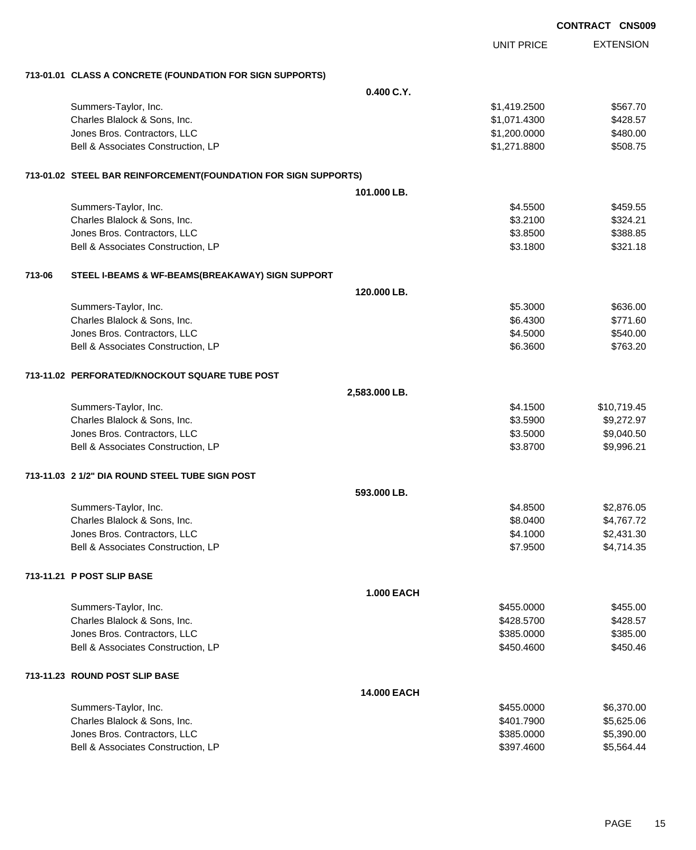|        |                                                                 |                    |                   | <b>CONTRACT CNS009</b> |                  |
|--------|-----------------------------------------------------------------|--------------------|-------------------|------------------------|------------------|
|        |                                                                 |                    | <b>UNIT PRICE</b> |                        | <b>EXTENSION</b> |
|        | 713-01.01 CLASS A CONCRETE (FOUNDATION FOR SIGN SUPPORTS)       |                    |                   |                        |                  |
|        |                                                                 | 0.400C.Y.          |                   |                        |                  |
|        | Summers-Taylor, Inc.                                            |                    | \$1,419.2500      |                        | \$567.70         |
|        | Charles Blalock & Sons, Inc.                                    |                    | \$1,071.4300      |                        | \$428.57         |
|        | Jones Bros. Contractors, LLC                                    |                    | \$1,200.0000      |                        | \$480.00         |
|        | Bell & Associates Construction, LP                              |                    | \$1,271.8800      |                        | \$508.75         |
|        | 713-01.02 STEEL BAR REINFORCEMENT(FOUNDATION FOR SIGN SUPPORTS) |                    |                   |                        |                  |
|        |                                                                 | 101.000 LB.        |                   |                        |                  |
|        | Summers-Taylor, Inc.                                            |                    | \$4.5500          |                        | \$459.55         |
|        | Charles Blalock & Sons, Inc.                                    |                    | \$3.2100          |                        | \$324.21         |
|        | Jones Bros. Contractors, LLC                                    |                    | \$3.8500          |                        | \$388.85         |
|        | Bell & Associates Construction, LP                              |                    | \$3.1800          |                        | \$321.18         |
| 713-06 | STEEL I-BEAMS & WF-BEAMS(BREAKAWAY) SIGN SUPPORT                |                    |                   |                        |                  |
|        |                                                                 | 120,000 LB.        |                   |                        |                  |
|        | Summers-Taylor, Inc.                                            |                    | \$5.3000          |                        | \$636.00         |
|        | Charles Blalock & Sons, Inc.                                    |                    | \$6.4300          |                        | \$771.60         |
|        | Jones Bros. Contractors, LLC                                    |                    | \$4.5000          |                        | \$540.00         |
|        | Bell & Associates Construction, LP                              |                    | \$6.3600          |                        | \$763.20         |
|        | 713-11.02 PERFORATED/KNOCKOUT SQUARE TUBE POST                  |                    |                   |                        |                  |
|        |                                                                 | 2,583.000 LB.      |                   |                        |                  |
|        | Summers-Taylor, Inc.                                            |                    | \$4.1500          |                        | \$10,719.45      |
|        | Charles Blalock & Sons, Inc.                                    |                    | \$3.5900          |                        | \$9,272.97       |
|        | Jones Bros. Contractors, LLC                                    |                    | \$3.5000          |                        | \$9,040.50       |
|        | Bell & Associates Construction, LP                              |                    | \$3.8700          |                        | \$9,996.21       |
|        | 713-11.03 2 1/2" DIA ROUND STEEL TUBE SIGN POST                 |                    |                   |                        |                  |
|        |                                                                 | 593.000 LB.        |                   |                        |                  |
|        | Summers-Taylor, Inc.                                            |                    | \$4.8500          |                        | \$2,876.05       |
|        | Charles Blalock & Sons, Inc.                                    |                    | \$8.0400          |                        | \$4,767.72       |
|        | Jones Bros. Contractors, LLC                                    |                    | \$4.1000          |                        | \$2,431.30       |
|        | Bell & Associates Construction, LP                              |                    | \$7.9500          |                        | \$4,714.35       |
|        | 713-11.21 P POST SLIP BASE                                      |                    |                   |                        |                  |
|        |                                                                 | <b>1.000 EACH</b>  |                   |                        |                  |
|        | Summers-Taylor, Inc.                                            |                    | \$455.0000        |                        | \$455.00         |
|        | Charles Blalock & Sons, Inc.                                    |                    | \$428.5700        |                        | \$428.57         |
|        | Jones Bros. Contractors, LLC                                    |                    | \$385.0000        |                        | \$385.00         |
|        | Bell & Associates Construction, LP                              |                    | \$450.4600        |                        | \$450.46         |
|        | 713-11.23 ROUND POST SLIP BASE                                  |                    |                   |                        |                  |
|        |                                                                 | <b>14.000 EACH</b> |                   |                        |                  |
|        | Summers-Taylor, Inc.                                            |                    | \$455.0000        |                        | \$6,370.00       |
|        | Charles Blalock & Sons, Inc.                                    |                    | \$401.7900        |                        | \$5,625.06       |
|        | Jones Bros. Contractors, LLC                                    |                    | \$385.0000        |                        | \$5,390.00       |
|        | Bell & Associates Construction, LP                              |                    | \$397.4600        |                        | \$5,564.44       |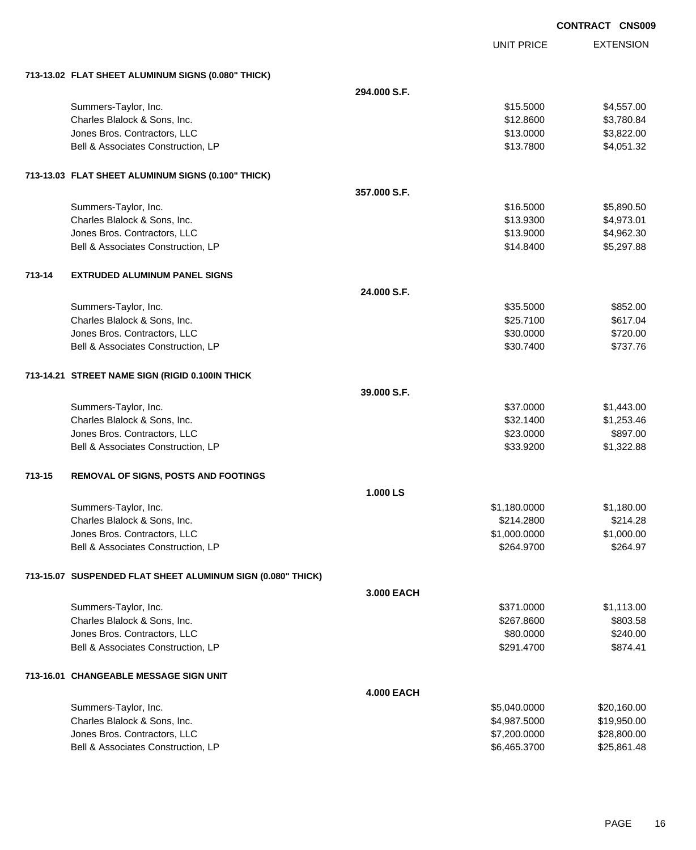|        |                                                             |                   |                   | <b>CONTRACT CNS009</b> |
|--------|-------------------------------------------------------------|-------------------|-------------------|------------------------|
|        |                                                             |                   | <b>UNIT PRICE</b> | <b>EXTENSION</b>       |
|        | 713-13.02 FLAT SHEET ALUMINUM SIGNS (0.080" THICK)          |                   |                   |                        |
|        |                                                             | 294.000 S.F.      |                   |                        |
|        | Summers-Taylor, Inc.                                        |                   | \$15.5000         | \$4,557.00             |
|        | Charles Blalock & Sons, Inc.                                |                   | \$12.8600         | \$3,780.84             |
|        | Jones Bros. Contractors, LLC                                |                   | \$13.0000         | \$3,822.00             |
|        | Bell & Associates Construction, LP                          |                   | \$13.7800         | \$4,051.32             |
|        | 713-13.03 FLAT SHEET ALUMINUM SIGNS (0.100" THICK)          |                   |                   |                        |
|        |                                                             | 357,000 S.F.      |                   |                        |
|        | Summers-Taylor, Inc.                                        |                   | \$16.5000         | \$5,890.50             |
|        | Charles Blalock & Sons, Inc.                                |                   | \$13.9300         | \$4,973.01             |
|        | Jones Bros. Contractors, LLC                                |                   | \$13.9000         | \$4,962.30             |
|        | Bell & Associates Construction, LP                          |                   | \$14.8400         | \$5,297.88             |
| 713-14 | <b>EXTRUDED ALUMINUM PANEL SIGNS</b>                        |                   |                   |                        |
|        |                                                             | 24.000 S.F.       |                   |                        |
|        | Summers-Taylor, Inc.                                        |                   | \$35.5000         | \$852.00               |
|        | Charles Blalock & Sons, Inc.                                |                   | \$25.7100         | \$617.04               |
|        | Jones Bros. Contractors, LLC                                |                   | \$30.0000         | \$720.00               |
|        | Bell & Associates Construction, LP                          |                   | \$30.7400         | \$737.76               |
|        | 713-14.21 STREET NAME SIGN (RIGID 0.100IN THICK             |                   |                   |                        |
|        |                                                             | 39.000 S.F.       |                   |                        |
|        | Summers-Taylor, Inc.                                        |                   | \$37.0000         | \$1,443.00             |
|        | Charles Blalock & Sons, Inc.                                |                   | \$32.1400         | \$1,253.46             |
|        | Jones Bros. Contractors, LLC                                |                   | \$23.0000         | \$897.00               |
|        | Bell & Associates Construction, LP                          |                   | \$33.9200         | \$1,322.88             |
| 713-15 | REMOVAL OF SIGNS, POSTS AND FOOTINGS                        |                   |                   |                        |
|        |                                                             | 1.000 LS          |                   |                        |
|        | Summers-Taylor, Inc.                                        |                   | \$1,180.0000      | \$1,180.00             |
|        | Charles Blalock & Sons, Inc.                                |                   | \$214,2800        | \$214.28               |
|        | Jones Bros. Contractors, LLC                                |                   | \$1,000.0000      | \$1,000.00             |
|        | Bell & Associates Construction, LP                          |                   | \$264.9700        | \$264.97               |
|        | 713-15.07 SUSPENDED FLAT SHEET ALUMINUM SIGN (0.080" THICK) |                   |                   |                        |
|        |                                                             | 3.000 EACH        |                   |                        |
|        | Summers-Taylor, Inc.                                        |                   | \$371.0000        | \$1,113.00             |
|        | Charles Blalock & Sons, Inc.                                |                   | \$267.8600        | \$803.58               |
|        | Jones Bros. Contractors, LLC                                |                   | \$80.0000         | \$240.00               |
|        | Bell & Associates Construction, LP                          |                   | \$291.4700        | \$874.41               |
|        | 713-16.01 CHANGEABLE MESSAGE SIGN UNIT                      |                   |                   |                        |
|        |                                                             | <b>4.000 EACH</b> |                   |                        |
|        | Summers-Taylor, Inc.                                        |                   | \$5,040.0000      | \$20,160.00            |
|        | Charles Blalock & Sons, Inc.                                |                   | \$4,987.5000      | \$19,950.00            |
|        | Jones Bros. Contractors, LLC                                |                   | \$7,200.0000      | \$28,800.00            |
|        | Bell & Associates Construction, LP                          |                   | \$6,465.3700      | \$25,861.48            |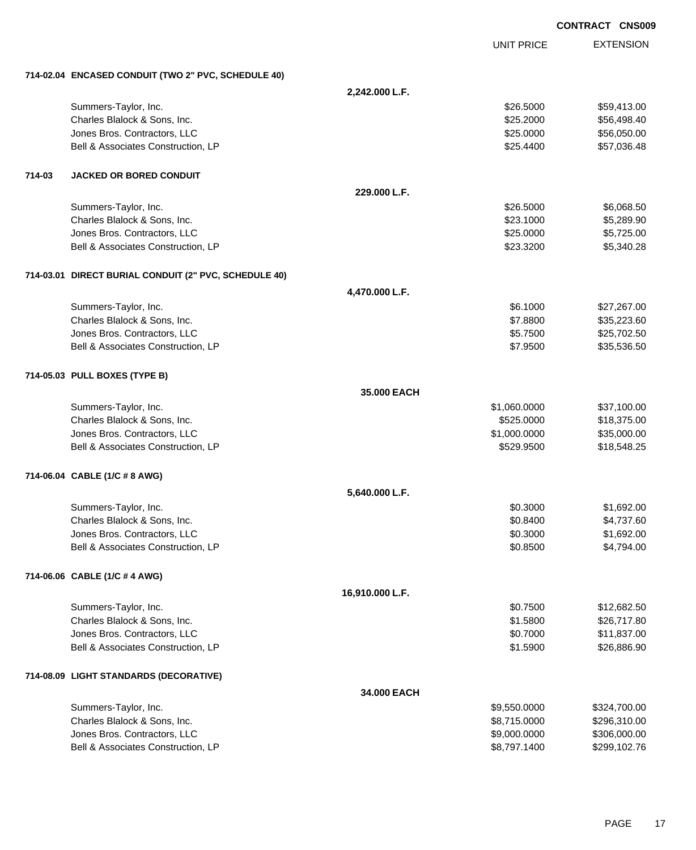EXTENSION **CONTRACT CNS009** UNIT PRICE **714-02.04 ENCASED CONDUIT (TWO 2" PVC, SCHEDULE 40) 2,242.000 L.F.** Summers-Taylor, Inc. \$26.5000 \$59,413.00 Charles Blalock & Sons, Inc. \$25.2000 \$56,498.40 Jones Bros. Contractors, LLC 6.0000 \$56,050.00 Bell & Associates Construction, LP 657,036.48 **714-03 JACKED OR BORED CONDUIT 229.000 L.F.** Summers-Taylor, Inc. \$26.5000 \$6,068.50 Charles Blalock & Sons, Inc. \$23.1000 \$5,289.90 Jones Bros. Contractors, LLC \$25.0000 \$5,725.00 Bell & Associates Construction, LP 66 and the set of the set of the set of the set of the set of the set of the set of the set of the set of the set of the set of the set of the set of the set of the set of the set of the **714-03.01 DIRECT BURIAL CONDUIT (2" PVC, SCHEDULE 40) 4,470.000 L.F.** Summers-Taylor, Inc. \$6.1000 \$27,267.00 Charles Blalock & Sons, Inc. 6. 2012 12:30 12:30 12:30 12:30 12:30 12:30 12:30 12:30 12:30 12:30 12:30 12:30 1 Jones Bros. Contractors, LLC 6.5.7500 \$25,702.50 Bell & Associates Construction, LP 635,536.50 **714-05.03 PULL BOXES (TYPE B) 35.000 EACH** Summers-Taylor, Inc. \$1,060.0000 \$37,100.00 Charles Blalock & Sons, Inc. 6. 2010 12:375.00 \$18,375.00 \$18,375.00 Jones Bros. Contractors, LLC \$1,000.0000 \$35,000.00 Bell & Associates Construction, LP 6.6 and 2529.9500 \$18,548.25 **714-06.04 CABLE (1/C # 8 AWG) 5,640.000 L.F.** Summers-Taylor, Inc. \$0.3000 \$1,692.00 Charles Blalock & Sons, Inc. 60.8400 \$4,737.60 Jones Bros. Contractors, LLC \$0.3000 \$1,692.00 Bell & Associates Construction, LP 60.8500 \$4,794.00 **714-06.06 CABLE (1/C # 4 AWG) 16,910.000 L.F.** Summers-Taylor, Inc. \$12,682.50 Charles Blalock & Sons, Inc. \$1.5800 \$26,717.80 Jones Bros. Contractors, LLC \$0.7000 \$11,837.00 Bell & Associates Construction, LP 626,886.90 **714-08.09 LIGHT STANDARDS (DECORATIVE) 34.000 EACH** Summers-Taylor, Inc. 6. The Summers-Taylor, Inc. 6. The Summers-Taylor, Inc. 6. The Summers-Taylor, Inc. 6. The Summers-Taylor, Inc. 6. The Summers-Taylor, Inc. 6. The Summers-Taylor, Inc. 6. The Summers-Taylor, Inc. 6. Th Charles Blalock & Sons, Inc. 6. 2009 6.1. \$8,715.0000 \$296,310.00 Jones Bros. Contractors, LLC \$9,000.0000 \$306,000.00

Bell & Associates Construction, LP **\$8,797.1400** \$299,102.76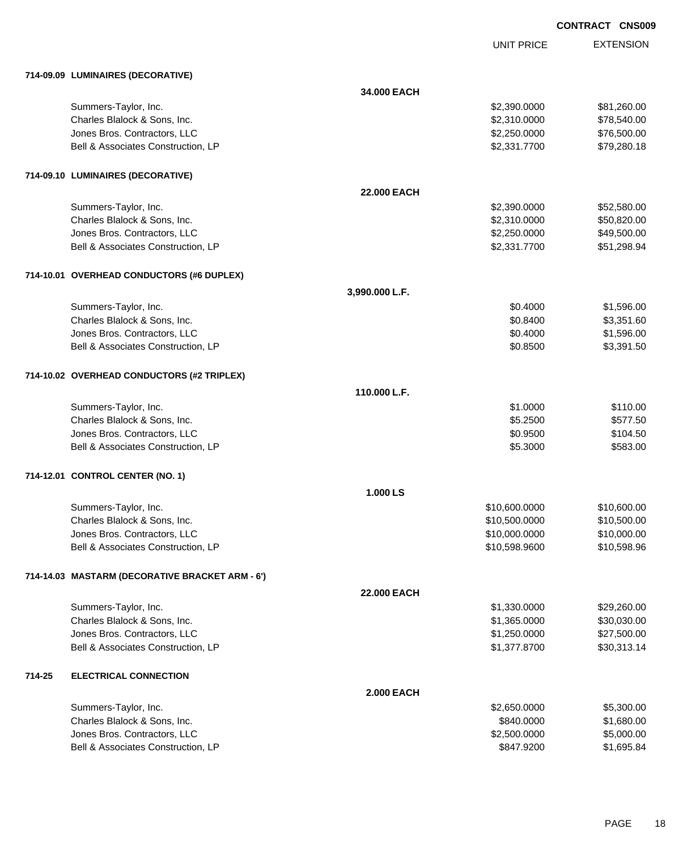| <b>CONTRACT CNS009</b> |  |
|------------------------|--|
|                        |  |

UNIT PRICE

|        | 714-09.09 LUMINAIRES (DECORATIVE)               |                   |               |             |
|--------|-------------------------------------------------|-------------------|---------------|-------------|
|        |                                                 | 34.000 EACH       |               |             |
|        | Summers-Taylor, Inc.                            |                   | \$2,390.0000  | \$81,260.00 |
|        | Charles Blalock & Sons, Inc.                    |                   | \$2,310.0000  | \$78,540.00 |
|        | Jones Bros. Contractors, LLC                    |                   | \$2,250.0000  | \$76,500.00 |
|        | Bell & Associates Construction, LP              |                   | \$2,331.7700  | \$79,280.18 |
|        | 714-09.10 LUMINAIRES (DECORATIVE)               |                   |               |             |
|        |                                                 | 22.000 EACH       |               |             |
|        | Summers-Taylor, Inc.                            |                   | \$2,390.0000  | \$52,580.00 |
|        | Charles Blalock & Sons, Inc.                    |                   | \$2,310.0000  | \$50,820.00 |
|        | Jones Bros. Contractors, LLC                    |                   | \$2,250.0000  | \$49,500.00 |
|        | Bell & Associates Construction, LP              |                   | \$2,331.7700  | \$51,298.94 |
|        | 714-10.01 OVERHEAD CONDUCTORS (#6 DUPLEX)       |                   |               |             |
|        |                                                 | 3,990.000 L.F.    |               |             |
|        | Summers-Taylor, Inc.                            |                   | \$0.4000      | \$1,596.00  |
|        | Charles Blalock & Sons, Inc.                    |                   | \$0.8400      | \$3,351.60  |
|        | Jones Bros. Contractors, LLC                    |                   | \$0.4000      | \$1,596.00  |
|        | Bell & Associates Construction, LP              |                   | \$0.8500      | \$3,391.50  |
|        | 714-10.02 OVERHEAD CONDUCTORS (#2 TRIPLEX)      |                   |               |             |
|        |                                                 | 110.000 L.F.      |               |             |
|        | Summers-Taylor, Inc.                            |                   | \$1.0000      | \$110.00    |
|        | Charles Blalock & Sons, Inc.                    |                   | \$5.2500      | \$577.50    |
|        | Jones Bros. Contractors, LLC                    |                   | \$0.9500      | \$104.50    |
|        | Bell & Associates Construction, LP              |                   | \$5.3000      | \$583.00    |
|        | 714-12.01 CONTROL CENTER (NO. 1)                |                   |               |             |
|        |                                                 | 1.000 LS          |               |             |
|        | Summers-Taylor, Inc.                            |                   | \$10,600.0000 | \$10,600.00 |
|        | Charles Blalock & Sons, Inc.                    |                   | \$10,500.0000 | \$10,500.00 |
|        | Jones Bros. Contractors, LLC                    |                   | \$10,000.0000 | \$10,000.00 |
|        | Bell & Associates Construction, LP              |                   | \$10,598.9600 | \$10,598.96 |
|        | 714-14.03 MASTARM (DECORATIVE BRACKET ARM - 6') |                   |               |             |
|        |                                                 | 22.000 EACH       |               |             |
|        | Summers-Taylor, Inc.                            |                   | \$1,330.0000  | \$29,260.00 |
|        | Charles Blalock & Sons, Inc.                    |                   | \$1,365.0000  | \$30,030.00 |
|        | Jones Bros. Contractors, LLC                    |                   | \$1,250.0000  | \$27,500.00 |
|        | Bell & Associates Construction, LP              |                   | \$1,377.8700  | \$30,313.14 |
| 714-25 | <b>ELECTRICAL CONNECTION</b>                    |                   |               |             |
|        |                                                 | <b>2.000 EACH</b> |               |             |
|        | Summers-Taylor, Inc.                            |                   | \$2,650.0000  | \$5,300.00  |

| Summers-Taylor, Inc.               | \$2,650,0000 | \$5,300.00 |
|------------------------------------|--------------|------------|
| Charles Blalock & Sons, Inc.       | \$840,0000   | \$1,680,00 |
| Jones Bros. Contractors, LLC       | \$2,500,0000 | \$5,000,00 |
| Bell & Associates Construction. LP | \$847,9200   | \$1,695.84 |
|                                    |              |            |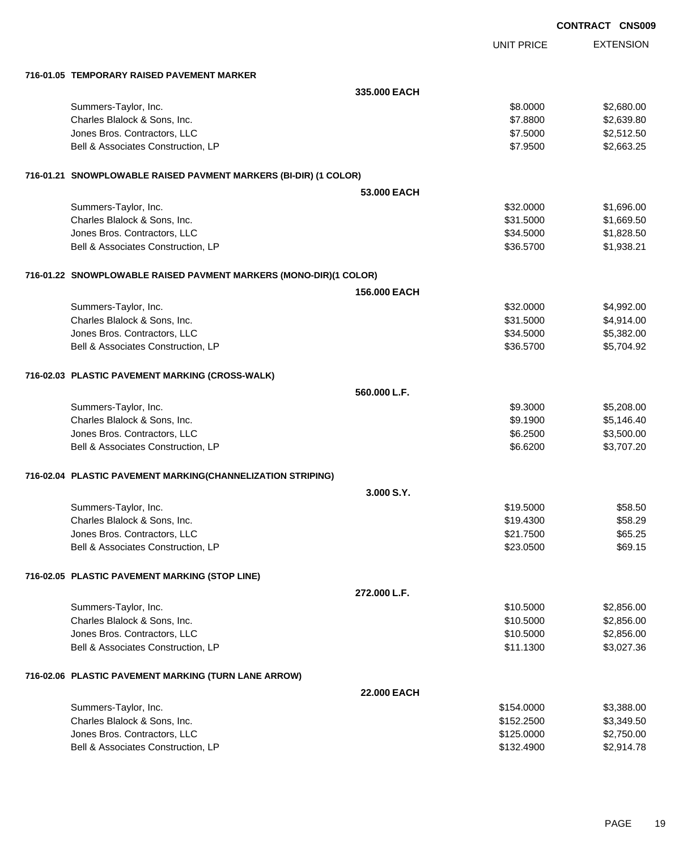|                                                                   |              |                   | <b>CONTRACT CNS009</b> |
|-------------------------------------------------------------------|--------------|-------------------|------------------------|
|                                                                   |              | <b>UNIT PRICE</b> | <b>EXTENSION</b>       |
| 716-01.05 TEMPORARY RAISED PAVEMENT MARKER                        |              |                   |                        |
|                                                                   | 335.000 EACH |                   |                        |
| Summers-Taylor, Inc.                                              |              | \$8.0000          | \$2,680.00             |
| Charles Blalock & Sons, Inc.                                      |              | \$7.8800          | \$2,639.80             |
| Jones Bros. Contractors, LLC                                      |              | \$7.5000          | \$2,512.50             |
| Bell & Associates Construction, LP                                |              | \$7.9500          | \$2,663.25             |
| 716-01.21 SNOWPLOWABLE RAISED PAVMENT MARKERS (BI-DIR) (1 COLOR)  |              |                   |                        |
|                                                                   | 53,000 EACH  |                   |                        |
| Summers-Taylor, Inc.                                              |              | \$32.0000         | \$1,696.00             |
| Charles Blalock & Sons, Inc.                                      |              | \$31.5000         | \$1,669.50             |
| Jones Bros. Contractors, LLC                                      |              | \$34.5000         | \$1,828.50             |
| Bell & Associates Construction, LP                                |              | \$36.5700         | \$1,938.21             |
| 716-01.22 SNOWPLOWABLE RAISED PAVMENT MARKERS (MONO-DIR)(1 COLOR) |              |                   |                        |
|                                                                   | 156.000 EACH |                   |                        |
| Summers-Taylor, Inc.                                              |              | \$32.0000         | \$4,992.00             |
| Charles Blalock & Sons, Inc.                                      |              | \$31.5000         | \$4,914.00             |
| Jones Bros. Contractors, LLC                                      |              | \$34.5000         | \$5,382.00             |
| Bell & Associates Construction, LP                                |              | \$36.5700         | \$5,704.92             |
| 716-02.03 PLASTIC PAVEMENT MARKING (CROSS-WALK)                   |              |                   |                        |
|                                                                   | 560.000 L.F. |                   |                        |
| Summers-Taylor, Inc.                                              |              | \$9.3000          | \$5,208.00             |
| Charles Blalock & Sons, Inc.                                      |              | \$9.1900          | \$5,146.40             |
| Jones Bros. Contractors, LLC                                      |              | \$6.2500          | \$3,500.00             |
| Bell & Associates Construction, LP                                |              | \$6.6200          | \$3,707.20             |
| 716-02.04 PLASTIC PAVEMENT MARKING(CHANNELIZATION STRIPING)       |              |                   |                        |
|                                                                   | 3.000 S.Y.   |                   |                        |
| Summers-Taylor, Inc.                                              |              | \$19.5000         | \$58.50                |
| Charles Blalock & Sons, Inc.                                      |              | \$19.4300         | \$58.29                |
| Jones Bros. Contractors, LLC                                      |              | \$21.7500         | \$65.25                |
| Bell & Associates Construction, LP                                |              | \$23.0500         | \$69.15                |
| 716-02.05 PLASTIC PAVEMENT MARKING (STOP LINE)                    |              |                   |                        |
|                                                                   | 272.000 L.F. |                   |                        |
| Summers-Taylor, Inc.                                              |              | \$10.5000         | \$2,856.00             |
| Charles Blalock & Sons, Inc.                                      |              | \$10.5000         | \$2,856.00             |
| Jones Bros. Contractors, LLC                                      |              | \$10.5000         | \$2,856.00             |
| Bell & Associates Construction, LP                                |              | \$11.1300         | \$3,027.36             |
| 716-02.06 PLASTIC PAVEMENT MARKING (TURN LANE ARROW)              |              |                   |                        |
|                                                                   | 22.000 EACH  |                   |                        |
| Summers-Taylor, Inc.                                              |              | \$154.0000        | \$3,388.00             |
| Charles Blalock & Sons, Inc.                                      |              | \$152.2500        | \$3,349.50             |
| Jones Bros. Contractors, LLC                                      |              | \$125.0000        | \$2,750.00             |
| Bell & Associates Construction, LP                                |              | \$132.4900        | \$2,914.78             |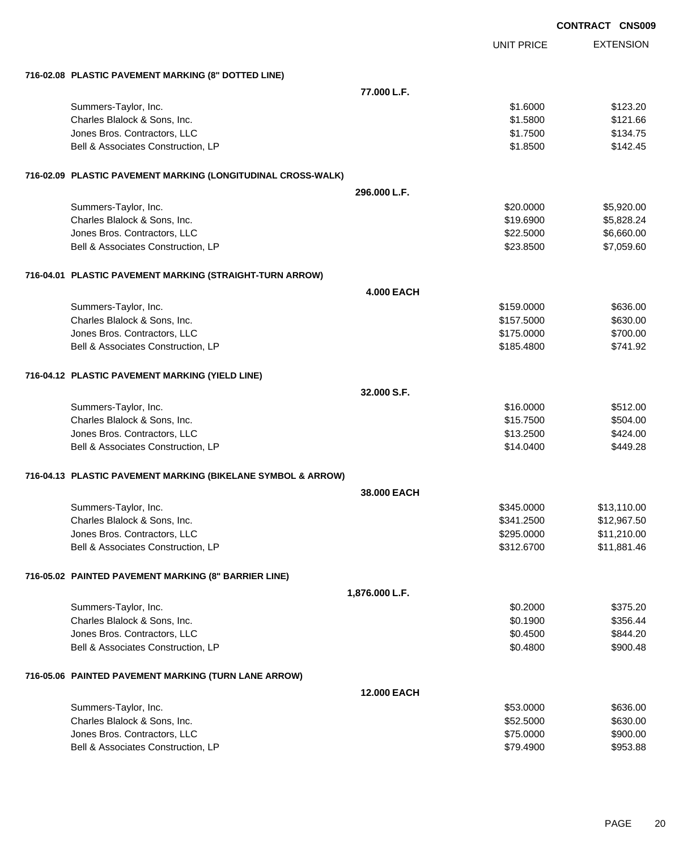|                                                              |                    |                   | <b>CONTRACT CNS009</b> |
|--------------------------------------------------------------|--------------------|-------------------|------------------------|
|                                                              |                    | <b>UNIT PRICE</b> | <b>EXTENSION</b>       |
| 716-02.08 PLASTIC PAVEMENT MARKING (8" DOTTED LINE)          |                    |                   |                        |
|                                                              | 77.000 L.F.        |                   |                        |
| Summers-Taylor, Inc.                                         |                    | \$1.6000          | \$123.20               |
| Charles Blalock & Sons, Inc.                                 |                    | \$1.5800          | \$121.66               |
| Jones Bros. Contractors, LLC                                 |                    | \$1.7500          | \$134.75               |
| Bell & Associates Construction, LP                           |                    | \$1.8500          | \$142.45               |
| 716-02.09 PLASTIC PAVEMENT MARKING (LONGITUDINAL CROSS-WALK) |                    |                   |                        |
|                                                              | 296.000 L.F.       |                   |                        |
| Summers-Taylor, Inc.                                         |                    | \$20.0000         | \$5,920.00             |
| Charles Blalock & Sons, Inc.                                 |                    | \$19.6900         | \$5,828.24             |
| Jones Bros. Contractors, LLC                                 |                    | \$22.5000         | \$6,660.00             |
| Bell & Associates Construction, LP                           |                    | \$23.8500         | \$7,059.60             |
| 716-04.01 PLASTIC PAVEMENT MARKING (STRAIGHT-TURN ARROW)     |                    |                   |                        |
|                                                              | <b>4.000 EACH</b>  |                   |                        |
| Summers-Taylor, Inc.                                         |                    | \$159.0000        | \$636.00               |
| Charles Blalock & Sons, Inc.                                 |                    | \$157.5000        | \$630.00               |
| Jones Bros. Contractors, LLC                                 |                    | \$175.0000        | \$700.00               |
| Bell & Associates Construction, LP                           |                    | \$185.4800        | \$741.92               |
| 716-04.12 PLASTIC PAVEMENT MARKING (YIELD LINE)              |                    |                   |                        |
|                                                              | 32.000 S.F.        |                   |                        |
| Summers-Taylor, Inc.                                         |                    | \$16.0000         | \$512.00               |
| Charles Blalock & Sons, Inc.                                 |                    | \$15.7500         | \$504.00               |
| Jones Bros. Contractors, LLC                                 |                    | \$13.2500         | \$424.00               |
| Bell & Associates Construction, LP                           |                    | \$14.0400         | \$449.28               |
| 716-04.13 PLASTIC PAVEMENT MARKING (BIKELANE SYMBOL & ARROW) |                    |                   |                        |
|                                                              | <b>38,000 EACH</b> |                   |                        |
| Summers-Taylor, Inc.                                         |                    | \$345.0000        | \$13,110.00            |
| Charles Blalock & Sons, Inc.                                 |                    | \$341.2500        | \$12,967.50            |
| Jones Bros. Contractors, LLC                                 |                    | \$295.0000        | \$11,210.00            |
| Bell & Associates Construction, LP                           |                    | \$312.6700        | \$11,881.46            |
| 716-05.02 PAINTED PAVEMENT MARKING (8" BARRIER LINE)         |                    |                   |                        |
|                                                              | 1,876.000 L.F.     |                   |                        |
| Summers-Taylor, Inc.                                         |                    | \$0.2000          | \$375.20               |
| Charles Blalock & Sons, Inc.                                 |                    | \$0.1900          | \$356.44               |
| Jones Bros. Contractors, LLC                                 |                    | \$0.4500          | \$844.20               |
| Bell & Associates Construction, LP                           |                    | \$0.4800          | \$900.48               |
| 716-05.06 PAINTED PAVEMENT MARKING (TURN LANE ARROW)         |                    |                   |                        |
|                                                              | <b>12.000 EACH</b> |                   |                        |
| Summers-Taylor, Inc.                                         |                    | \$53.0000         | \$636.00               |
| Charles Blalock & Sons, Inc.                                 |                    | \$52.5000         | \$630.00               |
| Jones Bros. Contractors, LLC                                 |                    | \$75.0000         | \$900.00               |
| Bell & Associates Construction, LP                           |                    | \$79.4900         | \$953.88               |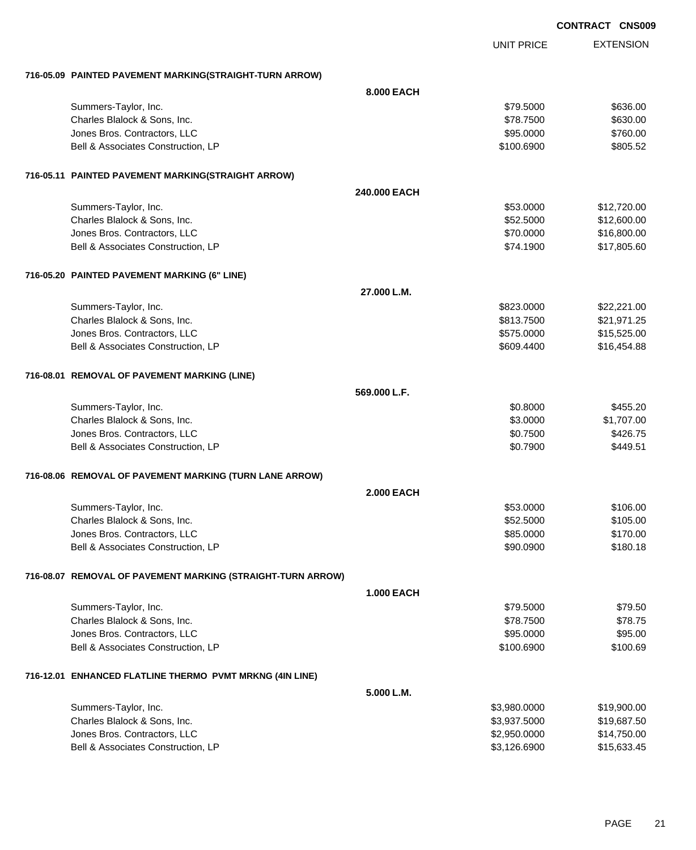|                                                             |                   |                   | <b>CONTRACT CNS009</b> |
|-------------------------------------------------------------|-------------------|-------------------|------------------------|
|                                                             |                   | <b>UNIT PRICE</b> | <b>EXTENSION</b>       |
| 716-05.09 PAINTED PAVEMENT MARKING(STRAIGHT-TURN ARROW)     |                   |                   |                        |
|                                                             | 8.000 EACH        |                   |                        |
| Summers-Taylor, Inc.                                        |                   | \$79.5000         | \$636.00               |
| Charles Blalock & Sons, Inc.                                |                   | \$78.7500         | \$630.00               |
| Jones Bros. Contractors, LLC                                |                   | \$95.0000         | \$760.00               |
| Bell & Associates Construction, LP                          |                   | \$100.6900        | \$805.52               |
| 716-05.11 PAINTED PAVEMENT MARKING(STRAIGHT ARROW)          |                   |                   |                        |
|                                                             | 240.000 EACH      |                   |                        |
| Summers-Taylor, Inc.                                        |                   | \$53.0000         | \$12,720.00            |
| Charles Blalock & Sons, Inc.                                |                   | \$52.5000         | \$12,600.00            |
| Jones Bros. Contractors, LLC                                |                   | \$70.0000         | \$16,800.00            |
| Bell & Associates Construction, LP                          |                   | \$74.1900         | \$17,805.60            |
| 716-05.20 PAINTED PAVEMENT MARKING (6" LINE)                |                   |                   |                        |
|                                                             | 27.000 L.M.       |                   |                        |
| Summers-Taylor, Inc.                                        |                   | \$823.0000        | \$22,221.00            |
| Charles Blalock & Sons, Inc.                                |                   | \$813.7500        | \$21,971.25            |
| Jones Bros. Contractors, LLC                                |                   | \$575.0000        | \$15,525.00            |
| Bell & Associates Construction, LP                          |                   | \$609.4400        | \$16,454.88            |
| 716-08.01 REMOVAL OF PAVEMENT MARKING (LINE)                |                   |                   |                        |
|                                                             | 569.000 L.F.      |                   |                        |
| Summers-Taylor, Inc.                                        |                   | \$0.8000          | \$455.20               |
| Charles Blalock & Sons, Inc.                                |                   | \$3.0000          | \$1,707.00             |
| Jones Bros. Contractors, LLC                                |                   | \$0.7500          | \$426.75               |
| Bell & Associates Construction, LP                          |                   | \$0.7900          | \$449.51               |
| 716-08.06 REMOVAL OF PAVEMENT MARKING (TURN LANE ARROW)     |                   |                   |                        |
|                                                             | <b>2.000 EACH</b> |                   |                        |
| Summers-Taylor, Inc.                                        |                   | \$53.0000         | \$106.00               |
| Charles Blalock & Sons, Inc.                                |                   | \$52.5000         | \$105.00               |
| Jones Bros. Contractors, LLC                                |                   | \$85.0000         | \$170.00               |
| Bell & Associates Construction, LP                          |                   | \$90.0900         | \$180.18               |
| 716-08.07 REMOVAL OF PAVEMENT MARKING (STRAIGHT-TURN ARROW) |                   |                   |                        |
|                                                             | <b>1.000 EACH</b> |                   |                        |
| Summers-Taylor, Inc.                                        |                   | \$79.5000         | \$79.50                |
| Charles Blalock & Sons, Inc.                                |                   | \$78.7500         | \$78.75                |
| Jones Bros. Contractors, LLC                                |                   | \$95.0000         | \$95.00                |
| Bell & Associates Construction, LP                          |                   | \$100.6900        | \$100.69               |
| 716-12.01 ENHANCED FLATLINE THERMO PVMT MRKNG (4IN LINE)    |                   |                   |                        |
|                                                             | 5.000 L.M.        |                   |                        |
| Summers-Taylor, Inc.                                        |                   | \$3,980.0000      | \$19,900.00            |
| Charles Blalock & Sons, Inc.                                |                   | \$3,937.5000      | \$19,687.50            |
| Jones Bros. Contractors, LLC                                |                   | \$2,950.0000      | \$14,750.00            |
| Bell & Associates Construction, LP                          |                   | \$3,126.6900      | \$15,633.45            |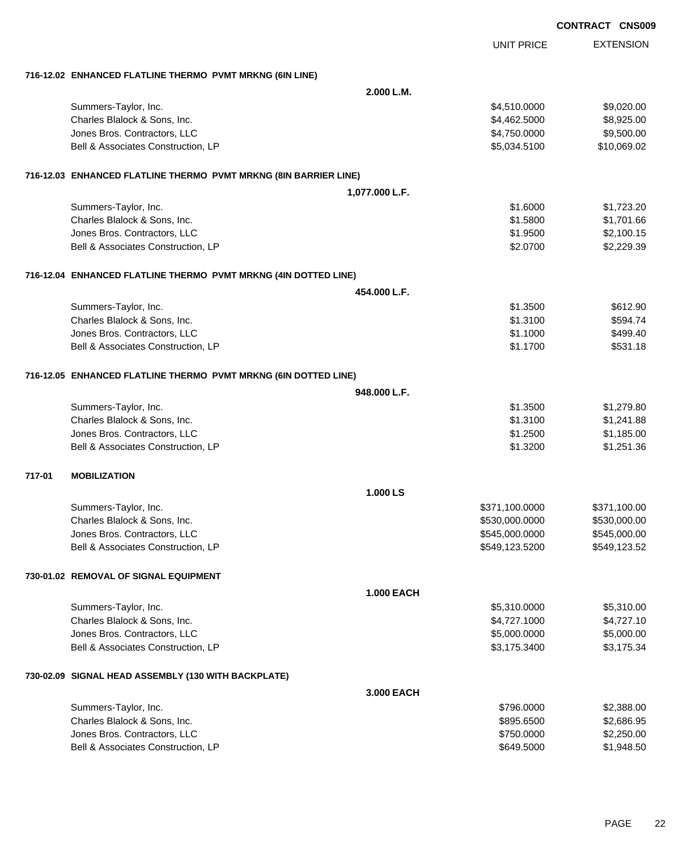|        |                                                                  |                   | <b>CONTRACT CNS009</b> |                  |
|--------|------------------------------------------------------------------|-------------------|------------------------|------------------|
|        |                                                                  | <b>UNIT PRICE</b> |                        | <b>EXTENSION</b> |
|        | 716-12.02 ENHANCED FLATLINE THERMO PVMT MRKNG (6IN LINE)         |                   |                        |                  |
|        |                                                                  | 2.000 L.M.        |                        |                  |
|        | Summers-Taylor, Inc.                                             | \$4,510.0000      |                        | \$9,020.00       |
|        | Charles Blalock & Sons, Inc.                                     | \$4,462.5000      |                        | \$8,925.00       |
|        | Jones Bros. Contractors, LLC                                     | \$4,750.0000      |                        | \$9,500.00       |
|        | Bell & Associates Construction, LP                               | \$5,034.5100      |                        | \$10,069.02      |
|        | 716-12.03 ENHANCED FLATLINE THERMO PVMT MRKNG (8IN BARRIER LINE) |                   |                        |                  |
|        |                                                                  | 1,077.000 L.F.    |                        |                  |
|        | Summers-Taylor, Inc.                                             | \$1.6000          |                        | \$1,723.20       |
|        | Charles Blalock & Sons, Inc.                                     | \$1.5800          |                        | \$1,701.66       |
|        | Jones Bros. Contractors, LLC                                     | \$1.9500          |                        | \$2,100.15       |
|        | Bell & Associates Construction, LP                               | \$2.0700          |                        | \$2,229.39       |
|        | 716-12.04 ENHANCED FLATLINE THERMO PVMT MRKNG (4IN DOTTED LINE)  |                   |                        |                  |
|        |                                                                  | 454.000 L.F.      |                        |                  |
|        | Summers-Taylor, Inc.                                             | \$1.3500          |                        | \$612.90         |
|        | Charles Blalock & Sons, Inc.                                     | \$1.3100          |                        | \$594.74         |
|        | Jones Bros. Contractors, LLC                                     | \$1.1000          |                        | \$499.40         |
|        | Bell & Associates Construction, LP                               | \$1.1700          |                        | \$531.18         |
|        | 716-12.05 ENHANCED FLATLINE THERMO PVMT MRKNG (6IN DOTTED LINE)  |                   |                        |                  |
|        |                                                                  | 948.000 L.F.      |                        |                  |
|        | Summers-Taylor, Inc.                                             | \$1.3500          |                        | \$1,279.80       |
|        | Charles Blalock & Sons, Inc.                                     | \$1.3100          |                        | \$1,241.88       |
|        | Jones Bros. Contractors, LLC                                     | \$1.2500          |                        | \$1,185.00       |
|        | Bell & Associates Construction, LP                               | \$1.3200          |                        | \$1,251.36       |
| 717-01 | <b>MOBILIZATION</b>                                              |                   |                        |                  |
|        |                                                                  | 1.000 LS          |                        |                  |
|        | Summers-Taylor, Inc.                                             | \$371,100.0000    | \$371,100.00           |                  |
|        | Charles Blalock & Sons, Inc.                                     | \$530,000.0000    | \$530,000.00           |                  |
|        | Jones Bros. Contractors, LLC                                     | \$545,000.0000    | \$545,000.00           |                  |
|        | Bell & Associates Construction, LP                               | \$549,123.5200    | \$549,123.52           |                  |
|        | 730-01.02 REMOVAL OF SIGNAL EQUIPMENT                            |                   |                        |                  |
|        |                                                                  | <b>1.000 EACH</b> |                        |                  |
|        | Summers-Taylor, Inc.                                             | \$5,310.0000      |                        | \$5,310.00       |
|        | Charles Blalock & Sons, Inc.                                     | \$4,727.1000      |                        | \$4,727.10       |
|        | Jones Bros. Contractors, LLC                                     | \$5,000.0000      |                        | \$5,000.00       |
|        | Bell & Associates Construction, LP                               | \$3,175.3400      |                        | \$3,175.34       |
|        | 730-02.09 SIGNAL HEAD ASSEMBLY (130 WITH BACKPLATE)              |                   |                        |                  |
|        |                                                                  | 3.000 EACH        |                        |                  |
|        | Summers-Taylor, Inc.                                             | \$796.0000        |                        | \$2,388.00       |
|        | Charles Blalock & Sons, Inc.                                     | \$895.6500        |                        | \$2,686.95       |
|        | Jones Bros. Contractors, LLC                                     | \$750.0000        |                        | \$2,250.00       |
|        | Bell & Associates Construction, LP                               | \$649.5000        |                        | \$1,948.50       |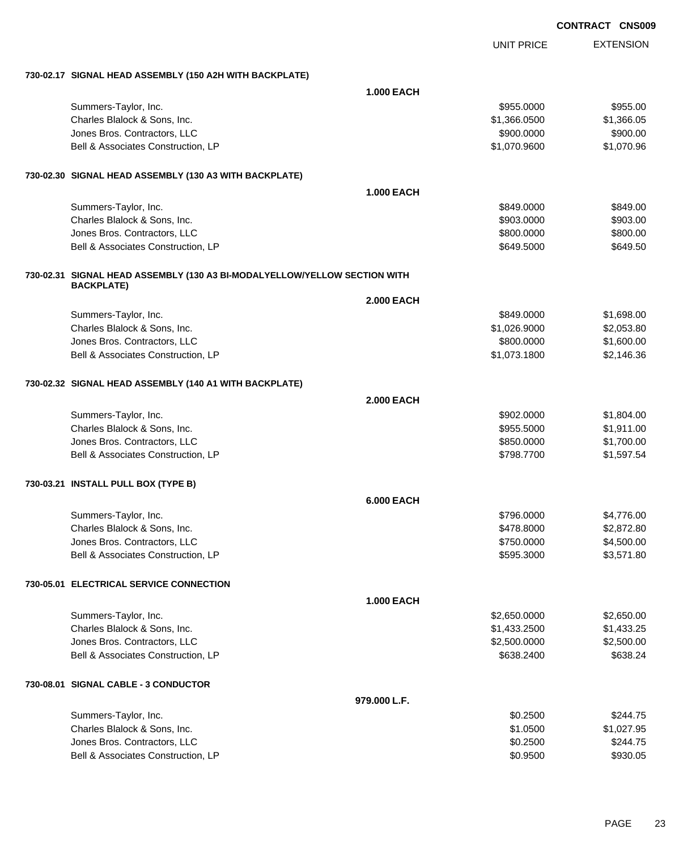|                                                                           |                   |                   | <b>UUNIKAUI UNJUU</b>    |
|---------------------------------------------------------------------------|-------------------|-------------------|--------------------------|
|                                                                           |                   | <b>UNIT PRICE</b> | <b>EXTENSION</b>         |
| 730-02.17 SIGNAL HEAD ASSEMBLY (150 A2H WITH BACKPLATE)                   |                   |                   |                          |
|                                                                           | <b>1.000 EACH</b> |                   |                          |
| Summers-Taylor, Inc.                                                      |                   | \$955.0000        | \$955.00                 |
| Charles Blalock & Sons, Inc.                                              |                   | \$1,366.0500      | \$1,366.05               |
| Jones Bros. Contractors, LLC                                              |                   | \$900.0000        | \$900.00                 |
| Bell & Associates Construction, LP                                        |                   | \$1,070.9600      | \$1,070.96               |
| 730-02.30 SIGNAL HEAD ASSEMBLY (130 A3 WITH BACKPLATE)                    |                   |                   |                          |
|                                                                           | <b>1.000 EACH</b> |                   |                          |
| Summers-Taylor, Inc.                                                      |                   | \$849.0000        | \$849.00                 |
| Charles Blalock & Sons, Inc.                                              |                   | \$903.0000        | \$903.00                 |
| Jones Bros. Contractors, LLC                                              |                   | \$800.0000        | \$800.00                 |
| Bell & Associates Construction, LP                                        |                   | \$649.5000        | \$649.50                 |
| 730-02.31 SIGNAL HEAD ASSEMBLY (130 A3 BI-MODALYELLOW/YELLOW SECTION WITH |                   |                   |                          |
| <b>BACKPLATE)</b>                                                         | <b>2.000 EACH</b> |                   |                          |
|                                                                           |                   | \$849.0000        |                          |
| Summers-Taylor, Inc.<br>Charles Blalock & Sons, Inc.                      |                   | \$1,026.9000      | \$1,698.00<br>\$2,053.80 |
| Jones Bros. Contractors, LLC                                              |                   | \$800.0000        | \$1,600.00               |
| Bell & Associates Construction, LP                                        |                   | \$1,073.1800      | \$2,146.36               |
|                                                                           |                   |                   |                          |
| 730-02.32 SIGNAL HEAD ASSEMBLY (140 A1 WITH BACKPLATE)                    |                   |                   |                          |
|                                                                           | <b>2.000 EACH</b> |                   |                          |
| Summers-Taylor, Inc.                                                      |                   | \$902.0000        | \$1,804.00               |
| Charles Blalock & Sons, Inc.                                              |                   | \$955.5000        | \$1,911.00               |
| Jones Bros. Contractors, LLC                                              |                   | \$850.0000        | \$1,700.00<br>\$1,597.54 |
| Bell & Associates Construction, LP                                        |                   | \$798.7700        |                          |
| 730-03.21 INSTALL PULL BOX (TYPE B)                                       |                   |                   |                          |
|                                                                           | <b>6.000 EACH</b> |                   |                          |
| Summers-Taylor, Inc.                                                      |                   | \$796.0000        | \$4,776.00               |
| Charles Blalock & Sons, Inc.                                              |                   | \$478.8000        | \$2,872.80               |
| Jones Bros. Contractors, LLC                                              |                   | \$750.0000        | \$4,500.00               |
| Bell & Associates Construction, LP                                        |                   | \$595.3000        | \$3,571.80               |
| 730-05.01 ELECTRICAL SERVICE CONNECTION                                   |                   |                   |                          |
|                                                                           | <b>1.000 EACH</b> |                   |                          |
| Summers-Taylor, Inc.                                                      |                   | \$2,650.0000      | \$2,650.00               |
| Charles Blalock & Sons, Inc.                                              |                   | \$1,433.2500      | \$1,433.25               |
| Jones Bros. Contractors, LLC                                              |                   | \$2,500.0000      | \$2,500.00               |
| Bell & Associates Construction, LP                                        |                   | \$638.2400        | \$638.24                 |
| 730-08.01 SIGNAL CABLE - 3 CONDUCTOR                                      |                   |                   |                          |
|                                                                           | 979.000 L.F.      |                   |                          |
| Summers-Taylor, Inc.                                                      |                   | \$0.2500          | \$244.75                 |
| Charles Blalock & Sons, Inc.                                              |                   | \$1.0500          | \$1,027.95               |
| Jones Bros. Contractors, LLC                                              |                   | \$0.2500          | \$244.75                 |
| Bell & Associates Construction, LP                                        |                   | \$0.9500          | \$930.05                 |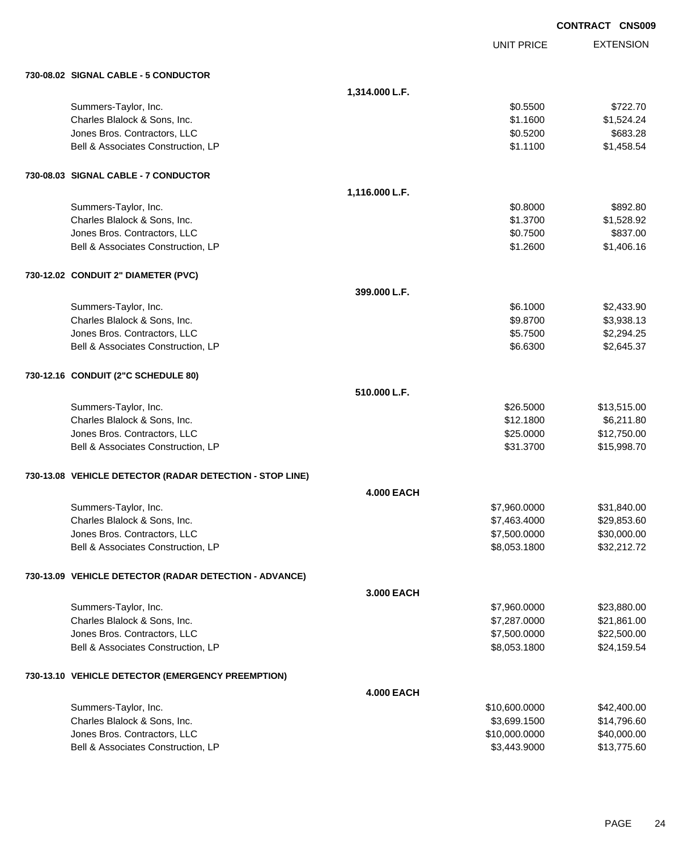|                                                          |                   |                   | <b>CONTRACT CNS009</b> |
|----------------------------------------------------------|-------------------|-------------------|------------------------|
|                                                          |                   | <b>UNIT PRICE</b> | <b>EXTENSION</b>       |
| 730-08.02 SIGNAL CABLE - 5 CONDUCTOR                     |                   |                   |                        |
|                                                          | 1,314.000 L.F.    |                   |                        |
| Summers-Taylor, Inc.                                     |                   | \$0.5500          | \$722.70               |
| Charles Blalock & Sons, Inc.                             |                   | \$1.1600          | \$1,524.24             |
| Jones Bros. Contractors, LLC                             |                   | \$0.5200          | \$683.28               |
| Bell & Associates Construction, LP                       |                   | \$1.1100          | \$1,458.54             |
| 730-08.03 SIGNAL CABLE - 7 CONDUCTOR                     |                   |                   |                        |
|                                                          | 1,116.000 L.F.    |                   |                        |
| Summers-Taylor, Inc.                                     |                   | \$0.8000          | \$892.80               |
| Charles Blalock & Sons, Inc.                             |                   | \$1.3700          | \$1,528.92             |
| Jones Bros. Contractors, LLC                             |                   | \$0.7500          | \$837.00               |
| Bell & Associates Construction, LP                       |                   | \$1.2600          | \$1,406.16             |
| 730-12.02 CONDUIT 2" DIAMETER (PVC)                      |                   |                   |                        |
|                                                          | 399.000 L.F.      |                   |                        |
| Summers-Taylor, Inc.                                     |                   | \$6.1000          | \$2,433.90             |
| Charles Blalock & Sons, Inc.                             |                   | \$9.8700          | \$3,938.13             |
| Jones Bros. Contractors, LLC                             |                   | \$5.7500          | \$2,294.25             |
| Bell & Associates Construction, LP                       |                   | \$6.6300          | \$2,645.37             |
| 730-12.16 CONDUIT (2"C SCHEDULE 80)                      |                   |                   |                        |
|                                                          | 510.000 L.F.      |                   |                        |
| Summers-Taylor, Inc.                                     |                   | \$26.5000         | \$13,515.00            |
| Charles Blalock & Sons, Inc.                             |                   | \$12.1800         | \$6,211.80             |
| Jones Bros. Contractors, LLC                             |                   | \$25.0000         | \$12,750.00            |
| Bell & Associates Construction, LP                       |                   | \$31.3700         | \$15,998.70            |
| 730-13.08 VEHICLE DETECTOR (RADAR DETECTION - STOP LINE) |                   |                   |                        |
|                                                          | <b>4.000 EACH</b> |                   |                        |
| Summers-Taylor, Inc.                                     |                   | \$7,960.0000      | \$31,840.00            |
| Charles Blalock & Sons, Inc.                             |                   | \$7,463.4000      | \$29,853.60            |
| Jones Bros. Contractors, LLC                             |                   | \$7,500.0000      | \$30,000.00            |
| Bell & Associates Construction, LP                       |                   | \$8,053.1800      | \$32,212.72            |
| 730-13.09 VEHICLE DETECTOR (RADAR DETECTION - ADVANCE)   |                   |                   |                        |
|                                                          | 3.000 EACH        |                   |                        |
| Summers-Taylor, Inc.                                     |                   | \$7,960.0000      | \$23,880.00            |
| Charles Blalock & Sons, Inc.                             |                   | \$7,287.0000      | \$21,861.00            |
| Jones Bros. Contractors, LLC                             |                   | \$7,500.0000      | \$22,500.00            |
| Bell & Associates Construction, LP                       |                   | \$8,053.1800      | \$24,159.54            |
| 730-13.10 VEHICLE DETECTOR (EMERGENCY PREEMPTION)        |                   |                   |                        |
|                                                          | <b>4.000 EACH</b> |                   |                        |
| Summers-Taylor, Inc.                                     |                   | \$10,600.0000     | \$42,400.00            |
| Charles Blalock & Sons, Inc.                             |                   | \$3,699.1500      | \$14,796.60            |
| Jones Bros. Contractors, LLC                             |                   | \$10,000.0000     | \$40,000.00            |
| Bell & Associates Construction, LP                       |                   | \$3,443.9000      | \$13,775.60            |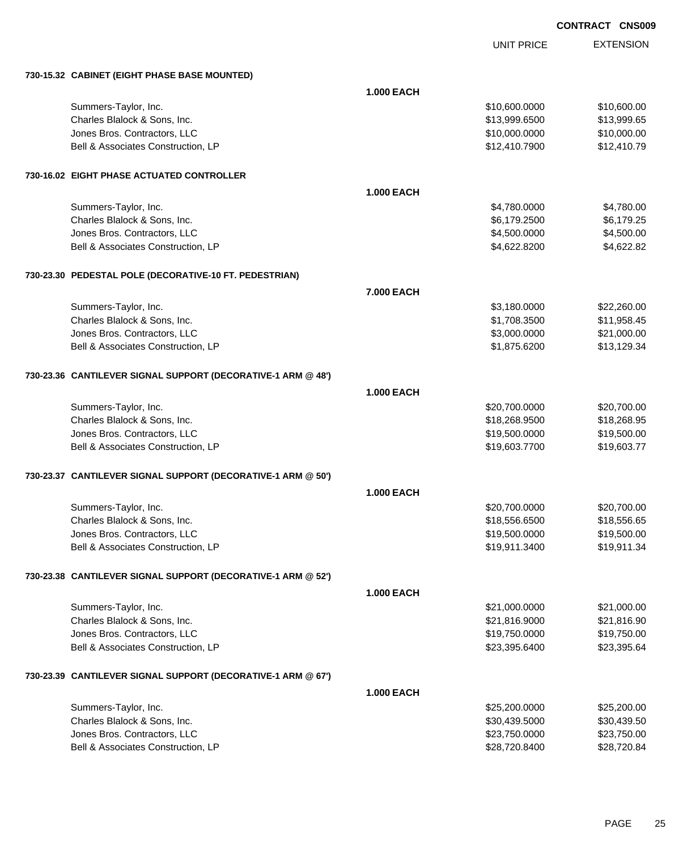UNIT PRICE

| 730-15.32 CABINET (EIGHT PHASE BASE MOUNTED)                 |                   |               |             |
|--------------------------------------------------------------|-------------------|---------------|-------------|
|                                                              | <b>1.000 EACH</b> |               |             |
| Summers-Taylor, Inc.                                         |                   | \$10,600.0000 | \$10,600.00 |
| Charles Blalock & Sons, Inc.                                 |                   | \$13,999.6500 | \$13,999.65 |
| Jones Bros. Contractors, LLC                                 |                   | \$10,000.0000 | \$10,000.00 |
| Bell & Associates Construction, LP                           |                   | \$12,410.7900 | \$12,410.79 |
|                                                              |                   |               |             |
| 730-16.02 EIGHT PHASE ACTUATED CONTROLLER                    |                   |               |             |
|                                                              | <b>1.000 EACH</b> |               |             |
| Summers-Taylor, Inc.                                         |                   | \$4,780.0000  | \$4,780.00  |
| Charles Blalock & Sons, Inc.                                 |                   | \$6,179.2500  | \$6,179.25  |
| Jones Bros. Contractors, LLC                                 |                   | \$4,500.0000  | \$4,500.00  |
| Bell & Associates Construction, LP                           |                   | \$4,622.8200  | \$4,622.82  |
| 730-23.30 PEDESTAL POLE (DECORATIVE-10 FT. PEDESTRIAN)       |                   |               |             |
|                                                              | 7.000 EACH        |               |             |
| Summers-Taylor, Inc.                                         |                   | \$3,180.0000  | \$22,260.00 |
| Charles Blalock & Sons, Inc.                                 |                   | \$1,708.3500  | \$11,958.45 |
| Jones Bros. Contractors, LLC                                 |                   | \$3,000.0000  | \$21,000.00 |
| Bell & Associates Construction, LP                           |                   | \$1,875.6200  | \$13,129.34 |
|                                                              |                   |               |             |
| 730-23.36 CANTILEVER SIGNAL SUPPORT (DECORATIVE-1 ARM @ 48') |                   |               |             |
|                                                              | <b>1.000 EACH</b> |               |             |
| Summers-Taylor, Inc.                                         |                   | \$20,700.0000 | \$20,700.00 |
| Charles Blalock & Sons, Inc.                                 |                   | \$18,268.9500 | \$18,268.95 |
| Jones Bros. Contractors, LLC                                 |                   | \$19,500.0000 | \$19,500.00 |
| Bell & Associates Construction, LP                           |                   | \$19,603.7700 | \$19,603.77 |
| 730-23.37 CANTILEVER SIGNAL SUPPORT (DECORATIVE-1 ARM @ 50') |                   |               |             |
|                                                              | <b>1.000 EACH</b> |               |             |
| Summers-Taylor, Inc.                                         |                   | \$20,700.0000 | \$20,700.00 |
| Charles Blalock & Sons, Inc.                                 |                   | \$18,556.6500 | \$18,556.65 |
| Jones Bros. Contractors, LLC                                 |                   | \$19,500.0000 | \$19,500.00 |
| Bell & Associates Construction, LP                           |                   | \$19,911.3400 | \$19,911.34 |
| 730-23.38 CANTILEVER SIGNAL SUPPORT (DECORATIVE-1 ARM @ 52') |                   |               |             |
|                                                              | <b>1.000 EACH</b> |               |             |
| Summers-Taylor, Inc.                                         |                   | \$21,000.0000 | \$21,000.00 |
| Charles Blalock & Sons, Inc.                                 |                   | \$21,816.9000 | \$21,816.90 |
| Jones Bros. Contractors, LLC                                 |                   | \$19,750.0000 | \$19,750.00 |
| Bell & Associates Construction, LP                           |                   | \$23,395.6400 | \$23,395.64 |
|                                                              |                   |               |             |
| 730-23.39 CANTILEVER SIGNAL SUPPORT (DECORATIVE-1 ARM @ 67') |                   |               |             |
|                                                              | <b>1.000 EACH</b> |               |             |
| Summers-Taylor, Inc.                                         |                   | \$25,200.0000 | \$25,200.00 |
| Charles Blalock & Sons, Inc.                                 |                   | \$30,439.5000 | \$30,439.50 |
| Jones Bros. Contractors, LLC                                 |                   | \$23,750.0000 | \$23,750.00 |
| Bell & Associates Construction, LP                           |                   | \$28,720.8400 | \$28,720.84 |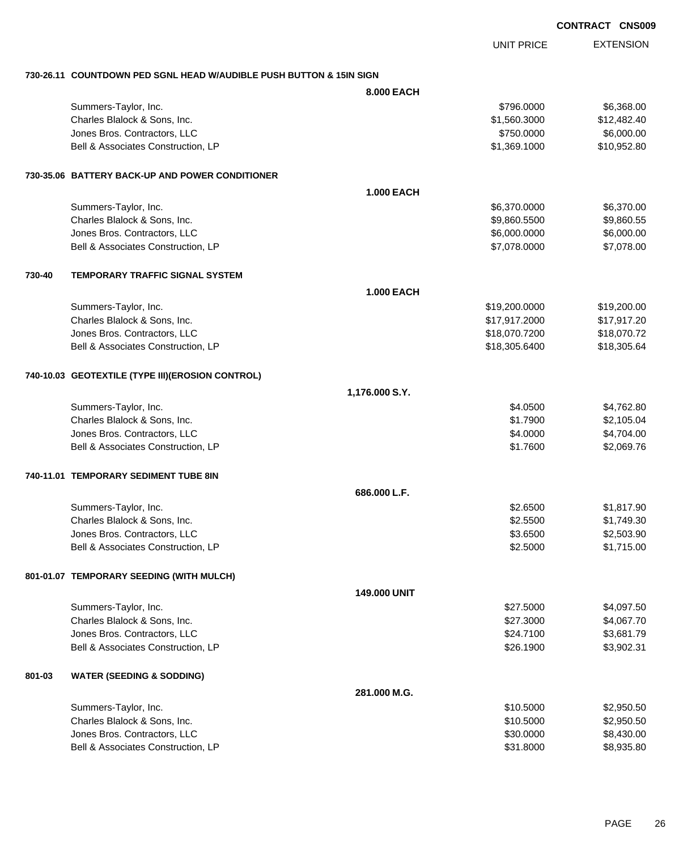EXTENSION UNIT PRICE **730-26.11 COUNTDOWN PED SGNL HEAD W/AUDIBLE PUSH BUTTON & 15IN SIGN 8.000 EACH** Summers-Taylor, Inc. \$796.0000 \$6,368.00 Charles Blalock & Sons, Inc. \$1,560.3000 \$12,482.40  $Jones\ Bros.$  Contractors, LLC  $$750.0000$   $$6,000.00$ Bell & Associates Construction, LP 610,952.80 **730-35.06 BATTERY BACK-UP AND POWER CONDITIONER 1.000 EACH** Summers-Taylor, Inc. \$6,370.000 \$6,370.000 \$6,370.000 \$6,370.000 \$6,370.000 \$6,370.000 \$6,370.00 Charles Blalock & Sons, Inc. \$9,860.5500 \$9,860.5500 \$9,860.5500 \$9,860.5500 \$9,860.5500 \$9,860.5500 \$9,860.55 dones Bros. Contractors, LLC 6,000.000 \$6,000.000 \$6,000.000 \$6,000.000 \$6,000.000 \$6,000.00 Bell & Associates Construction, LP 68 and the state of the state of the state of the state of the state of the state of the state of the state of the state of the state of the state of the state of the state of the state o **730-40 TEMPORARY TRAFFIC SIGNAL SYSTEM 1.000 EACH** Summers-Taylor, Inc. \$19,200.000 \$19,200.000 \$19,200.000 \$19,200.000 \$19,200.000 \$19,200.00 Charles Blalock & Sons, Inc. \$17,917.2000 \$17,917.20 Jones Bros. Contractors, LLC \$18,070.7200 \$18,070.72 Bell & Associates Construction, LP 618, 2005.6400 \$18,305.6400 \$18,305.6400 **740-10.03 GEOTEXTILE (TYPE III)(EROSION CONTROL) 1,176.000 S.Y.** Summers-Taylor, Inc. \$4.762.80 Charles Blalock & Sons, Inc. 6. 2012 12:30 12:30 12:30 12:30 12:30 12:30 12:30 12:30 12:30 12:30 12:30 12:30 1 Jones Bros. Contractors, LLC \$4.0000 \$4,704.00 Bell & Associates Construction, LP 6.699.76 **740-11.01 TEMPORARY SEDIMENT TUBE 8IN 686.000 L.F.** Summers-Taylor, Inc. \$2.6500 \$1,817.90 Charles Blalock & Sons, Inc. \$2.5500 \$1,749.30 Jones Bros. Contractors, LLC \$3.6500 \$2,503.90 Bell & Associates Construction, LP 68 and the set of the set of the set of the set of the set of the set of the set of the set of the set of the set of the set of the set of the set of the set of the set of the set of the **801-01.07 TEMPORARY SEEDING (WITH MULCH) 149.000 UNIT** Summers-Taylor, Inc. \$27.5000 \$4,097.50 Charles Blalock & Sons, Inc. \$27.3000 \$4,067.70 Jones Bros. Contractors, LLC \$24.7100 \$3,681.79 Bell & Associates Construction, LP 6.1990 \$3,902.31 **801-03 WATER (SEEDING & SODDING) 281.000 M.G.** Summers-Taylor, Inc. \$10.5000 \$2,950.50 Charles Blalock & Sons, Inc. \$10.5000 \$2,950.50 Jones Bros. Contractors, LLC 6.6 and 200 and 200 and 30,000 \$8,430.000 \$8,430.00

Bell & Associates Construction, LP 6.6 and the state of the state of the state of the state of the state of the state of the state of the state of the state of the state of the state of the state of the state of the state

**CONTRACT CNS009**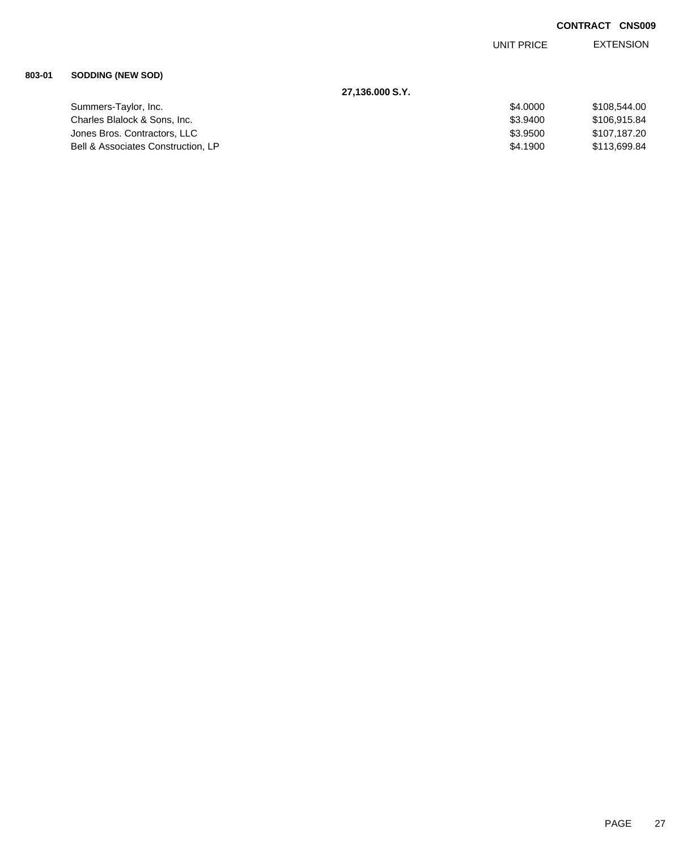UNIT PRICE EXTENSION

### **803-01 SODDING (NEW SOD)**

| 27.136.000 S.Y.                    |          |              |
|------------------------------------|----------|--------------|
| Summers-Taylor, Inc.               | \$4,0000 | \$108,544.00 |
| Charles Blalock & Sons. Inc.       | \$3,9400 | \$106.915.84 |
| Jones Bros. Contractors, LLC       | \$3.9500 | \$107,187.20 |
| Bell & Associates Construction, LP | \$4.1900 | \$113,699.84 |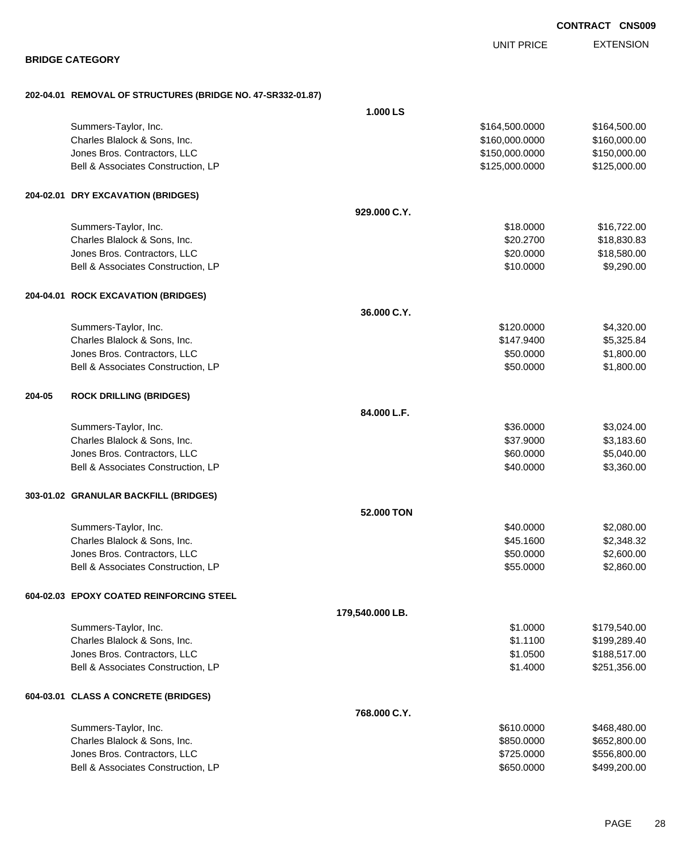|        |                                                             |                 |                   | <b>CONTRACT CNS009</b> |
|--------|-------------------------------------------------------------|-----------------|-------------------|------------------------|
|        |                                                             |                 | <b>UNIT PRICE</b> | <b>EXTENSION</b>       |
|        | <b>BRIDGE CATEGORY</b>                                      |                 |                   |                        |
|        | 202-04.01 REMOVAL OF STRUCTURES (BRIDGE NO. 47-SR332-01.87) |                 |                   |                        |
|        |                                                             | 1.000 LS        |                   |                        |
|        | Summers-Taylor, Inc.                                        |                 | \$164,500.0000    | \$164,500.00           |
|        | Charles Blalock & Sons, Inc.                                |                 | \$160,000.0000    | \$160,000.00           |
|        | Jones Bros. Contractors, LLC                                |                 | \$150,000.0000    | \$150,000.00           |
|        | Bell & Associates Construction, LP                          |                 | \$125,000.0000    | \$125,000.00           |
|        | 204-02.01 DRY EXCAVATION (BRIDGES)                          |                 |                   |                        |
|        |                                                             | 929.000 C.Y.    |                   |                        |
|        | Summers-Taylor, Inc.                                        |                 | \$18.0000         | \$16,722.00            |
|        | Charles Blalock & Sons, Inc.                                |                 | \$20.2700         | \$18,830.83            |
|        | Jones Bros. Contractors, LLC                                |                 | \$20.0000         | \$18,580.00            |
|        | Bell & Associates Construction, LP                          |                 | \$10.0000         | \$9,290.00             |
|        | 204-04.01 ROCK EXCAVATION (BRIDGES)                         |                 |                   |                        |
|        |                                                             | 36.000 C.Y.     |                   |                        |
|        | Summers-Taylor, Inc.                                        |                 | \$120.0000        | \$4,320.00             |
|        | Charles Blalock & Sons, Inc.                                |                 | \$147.9400        | \$5,325.84             |
|        | Jones Bros. Contractors, LLC                                |                 | \$50.0000         | \$1,800.00             |
|        | Bell & Associates Construction, LP                          |                 | \$50.0000         | \$1,800.00             |
| 204-05 | <b>ROCK DRILLING (BRIDGES)</b>                              |                 |                   |                        |
|        |                                                             | 84.000 L.F.     |                   |                        |
|        | Summers-Taylor, Inc.                                        |                 | \$36.0000         | \$3,024.00             |
|        | Charles Blalock & Sons, Inc.                                |                 | \$37.9000         | \$3,183.60             |
|        | Jones Bros. Contractors, LLC                                |                 | \$60.0000         | \$5,040.00             |
|        | Bell & Associates Construction, LP                          |                 | \$40.0000         | \$3,360.00             |
|        | 303-01.02 GRANULAR BACKFILL (BRIDGES)                       |                 |                   |                        |
|        |                                                             | 52.000 TON      |                   |                        |
|        | Summers-Taylor, Inc.                                        |                 | \$40.0000         | \$2,080.00             |
|        | Charles Blalock & Sons, Inc.                                |                 | \$45.1600         | \$2,348.32             |
|        | Jones Bros. Contractors, LLC                                |                 | \$50.0000         | \$2,600.00             |
|        | Bell & Associates Construction, LP                          |                 | \$55.0000         | \$2,860.00             |
|        | 604-02.03 EPOXY COATED REINFORCING STEEL                    |                 |                   |                        |
|        |                                                             | 179,540.000 LB. |                   |                        |
|        | Summers-Taylor, Inc.                                        |                 | \$1.0000          | \$179,540.00           |
|        | Charles Blalock & Sons, Inc.                                |                 | \$1.1100          | \$199,289.40           |
|        | Jones Bros. Contractors, LLC                                |                 | \$1.0500          | \$188,517.00           |
|        | Bell & Associates Construction, LP                          |                 | \$1.4000          | \$251,356.00           |
|        | 604-03.01 CLASS A CONCRETE (BRIDGES)                        |                 |                   |                        |
|        |                                                             | 768.000 C.Y.    |                   |                        |
|        | Summers-Taylor, Inc.                                        |                 | \$610.0000        | \$468,480.00           |
|        | Charles Blalock & Sons, Inc.                                |                 | \$850.0000        | \$652,800.00           |
|        | Jones Bros. Contractors, LLC                                |                 | \$725.0000        | \$556,800.00           |

Bell & Associates Construction, LP 650.0000 \$499,200.00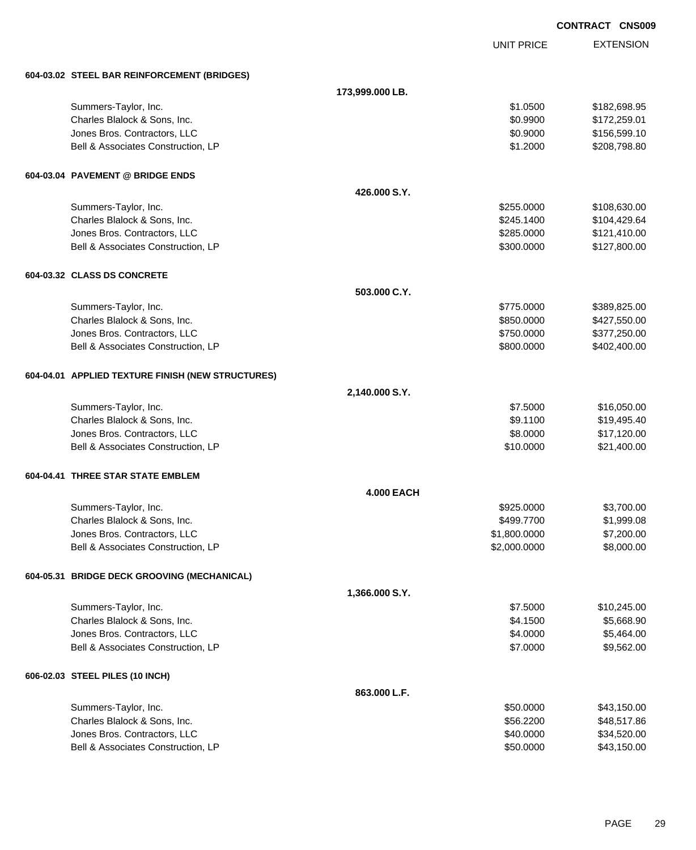|                                                                    |                   |                        | <b>CONTRACT CNS009</b>     |
|--------------------------------------------------------------------|-------------------|------------------------|----------------------------|
|                                                                    |                   | UNIT PRICE             | <b>EXTENSION</b>           |
| 604-03.02 STEEL BAR REINFORCEMENT (BRIDGES)                        |                   |                        |                            |
|                                                                    | 173,999.000 LB.   |                        |                            |
| Summers-Taylor, Inc.                                               |                   | \$1.0500               | \$182,698.95               |
| Charles Blalock & Sons, Inc.                                       |                   | \$0.9900               | \$172,259.01               |
| Jones Bros. Contractors, LLC                                       |                   | \$0.9000               | \$156,599.10               |
| Bell & Associates Construction, LP                                 |                   | \$1.2000               | \$208,798.80               |
| 604-03.04 PAVEMENT @ BRIDGE ENDS                                   |                   |                        |                            |
|                                                                    | 426,000 S.Y.      |                        |                            |
| Summers-Taylor, Inc.                                               |                   | \$255.0000             | \$108,630.00               |
| Charles Blalock & Sons, Inc.                                       |                   | \$245.1400             | \$104,429.64               |
| Jones Bros. Contractors, LLC                                       |                   | \$285.0000             | \$121,410.00               |
| Bell & Associates Construction, LP                                 |                   | \$300.0000             | \$127,800.00               |
| 604-03.32 CLASS DS CONCRETE                                        |                   |                        |                            |
|                                                                    | 503.000 C.Y.      |                        |                            |
| Summers-Taylor, Inc.                                               |                   | \$775.0000             | \$389,825.00               |
| Charles Blalock & Sons, Inc.                                       |                   | \$850.0000             | \$427,550.00               |
| Jones Bros. Contractors, LLC                                       |                   | \$750.0000             | \$377,250.00               |
| Bell & Associates Construction, LP                                 |                   | \$800.0000             | \$402,400.00               |
| 604-04.01 APPLIED TEXTURE FINISH (NEW STRUCTURES)                  |                   |                        |                            |
|                                                                    | 2,140.000 S.Y.    |                        |                            |
| Summers-Taylor, Inc.                                               |                   | \$7.5000               | \$16,050.00                |
| Charles Blalock & Sons, Inc.                                       |                   | \$9.1100               | \$19,495.40                |
| Jones Bros. Contractors, LLC                                       |                   | \$8.0000               | \$17,120.00                |
| Bell & Associates Construction, LP                                 |                   | \$10.0000              | \$21,400.00                |
| 604-04.41 THREE STAR STATE EMBLEM                                  |                   |                        |                            |
|                                                                    | <b>4.000 EACH</b> |                        |                            |
| Summers-Taylor, Inc.                                               |                   | \$925.0000             | \$3,700.00                 |
| Charles Blalock & Sons, Inc.                                       |                   | \$499.7700             | \$1,999.08                 |
| Jones Bros. Contractors, LLC                                       |                   | \$1,800.0000           | \$7,200.00                 |
| Bell & Associates Construction, LP                                 |                   | \$2,000.0000           | \$8,000.00                 |
| 604-05.31 BRIDGE DECK GROOVING (MECHANICAL)                        |                   |                        |                            |
|                                                                    | 1,366.000 S.Y.    |                        |                            |
| Summers-Taylor, Inc.                                               |                   | \$7.5000               | \$10,245.00                |
| Charles Blalock & Sons, Inc.                                       |                   | \$4.1500               | \$5,668.90                 |
| Jones Bros. Contractors, LLC                                       |                   | \$4.0000               | \$5,464.00                 |
| Bell & Associates Construction, LP                                 |                   | \$7.0000               | \$9,562.00                 |
| 606-02.03 STEEL PILES (10 INCH)                                    |                   |                        |                            |
|                                                                    | 863.000 L.F.      |                        |                            |
| Summers-Taylor, Inc.                                               |                   | \$50.0000              | \$43,150.00                |
| Charles Blalock & Sons, Inc.                                       |                   | \$56.2200              | \$48,517.86                |
| Jones Bros. Contractors, LLC<br>Bell & Associates Construction, LP |                   | \$40.0000<br>\$50.0000 | \$34,520.00<br>\$43,150.00 |
|                                                                    |                   |                        |                            |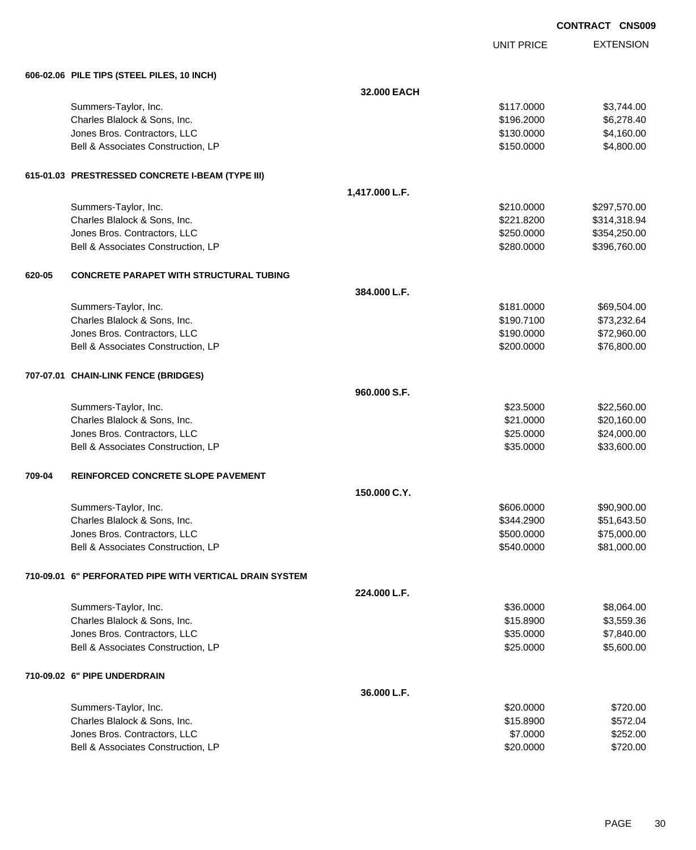EXTENSION **CONTRACT CNS009** UNIT PRICE **606-02.06 PILE TIPS (STEEL PILES, 10 INCH) 32.000 EACH** Summers-Taylor, Inc. \$117.0000 \$3,744.00 Charles Blalock & Sons, Inc. \$196.2000 \$6,278.40 Jones Bros. Contractors, LLC \$130.0000 \$4,160.00 Bell & Associates Construction, LP 68 and the state of the state of the state of the state of the state of the state of the state of the state of the state of the state of the state of the state of the state of the state o **615-01.03 PRESTRESSED CONCRETE I-BEAM (TYPE III) 1,417.000 L.F.** Summers-Taylor, Inc. \$210.0000 \$297,570.00 Charles Blalock & Sons, Inc. 6. 221.8200 \$314,318.94 Jones Bros. Contractors, LLC \$250.0000 \$354,250.00 Bell & Associates Construction, LP 60000 \$396,760.00 **620-05 CONCRETE PARAPET WITH STRUCTURAL TUBING 384.000 L.F.** Summers-Taylor, Inc. \$69,504.00 \$69,504.00 \$69,504.00 \$69,504.00 \$69,504.00 \$69,504.00 Charles Blalock & Sons, Inc. 6. 2012 12:30 12:30 12:30 12:30 12:30 12:30 12:30 12:30 12:30 12:30 12:30 12:30 1 Jones Bros. Contractors, LLC \$190.0000 \$72,960.00 Bell & Associates Construction, LP 66 and the state of the state of the state of the state of the state of the state of the state of the state of the state of the state of the state of the state of the state of the state o **707-07.01 CHAIN-LINK FENCE (BRIDGES) 960.000 S.F.** Summers-Taylor, Inc. \$22,560.00 \$22,560.00 \$22,560.00 \$22,5000 \$22,560.00 \$22,560.00 \$22,560.00 \$22,560.00 \$22,560.00 Charles Blalock & Sons, Inc. 6. 2011 12:30 160.00 \$20,160.00 \$20,160.00 Jones Bros. Contractors, LLC 6. The contractors of the contractors of the contractors, Contractors, LLC 6. The contractors of the contractors of the contractors of the contractors of the contractors of the contractors of t Bell & Associates Construction, LP 633,600.00 \$33,600.00 **709-04 REINFORCED CONCRETE SLOPE PAVEMENT 150.000 C.Y.** Summers-Taylor, Inc. 690,900.00 \$90,900.00 \$90,900.00 \$90,900.00 \$90,900.00 \$90,900.00 \$90,900.00 \$90,900.00 \$ Charles Blalock & Sons, Inc. 6. 2000 \$51,643.50 Jones Bros. Contractors, LLC \$500.0000 \$75,000.00 Bell & Associates Construction, LP 681,000.00 \$81,000.00 **710-09.01 6" PERFORATED PIPE WITH VERTICAL DRAIN SYSTEM 224.000 L.F.** Summers-Taylor, Inc. \$36.0000 \$8,064.00 Charles Blalock & Sons, Inc. \$15.8900 \$3,559.36 Jones Bros. Contractors, LLC \$35.0000 \$7,840.00 Bell & Associates Construction, LP 60000 \$5,600.00 **710-09.02 6" PIPE UNDERDRAIN 36.000 L.F.** Summers-Taylor, Inc. \$20.000 \$720.00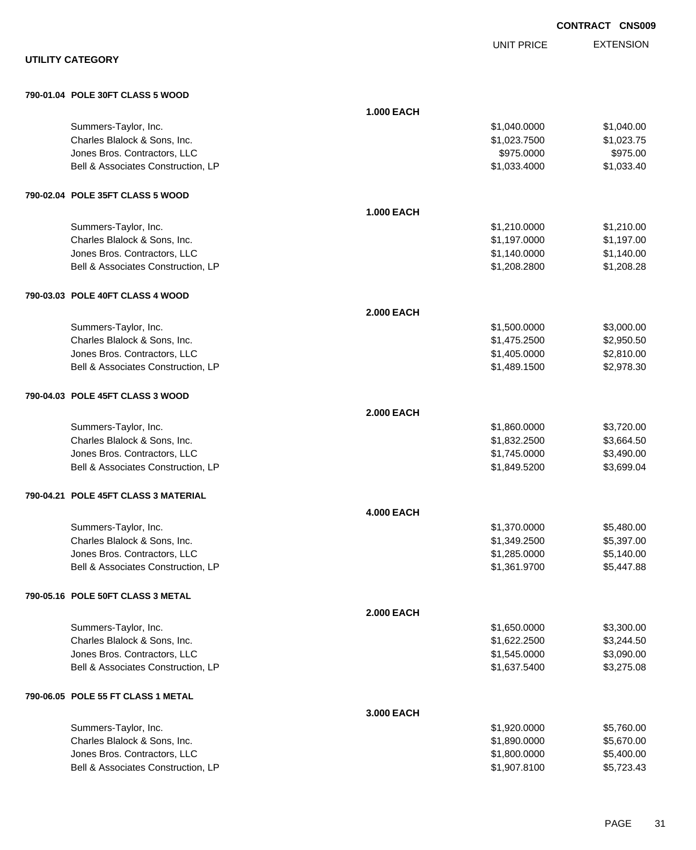EXTENSION **CONTRACT CNS009** UNIT PRICE **UTILITY CATEGORY 790-01.04 POLE 30FT CLASS 5 WOOD 1.000 EACH** Summers-Taylor, Inc. \$1,040.000 \$1,040.000 \$1,040.000 \$1,040.000 \$1,040.000 \$1,040.00 Charles Blalock & Sons, Inc. \$1,023.7500 \$1,023.7500 \$1,023.7500 dones Bros. Contractors, LLC 6975.000 \$975.000 \$975.000 \$975.000 Bell & Associates Construction, LP 6. 2012 12:30 12:30 12:30 12:30 12:30 12:30 12:30 12:30 12:30 12:30 12:30 12:30 12:30 12:30 12:30 12:30 12:30 12:30 12:30 12:30 12:30 12:30 12:30 12:30 12:30 12:30 12:30 12:30 12:30 12:30 **790-02.04 POLE 35FT CLASS 5 WOOD 1.000 EACH** Summers-Taylor, Inc. \$1,210.000 \$1,210.000 \$1,210.000 \$1,210.000 \$1,210.000 \$1,210.00 Charles Blalock & Sons, Inc. \$1,197.000 \$1,197.000 \$1,197.000 \$1,197.000 Jones Bros. Contractors, LLC \$1,140.0000 \$1,140.00 Bell & Associates Construction, LP **\$1,208.2800** \$1,208.2800 \$1,208.2800 **790-03.03 POLE 40FT CLASS 4 WOOD 2.000 EACH** Summers-Taylor, Inc. \$1,500.000 \$3,000.00 Charles Blalock & Sons, Inc. \$1,475.2500 \$2,950.50 Jones Bros. Contractors, LLC 6. The state of the state of the state of the state of the state of the state of the state of the state of the state of the state of the state of the state of the state of the state of the stat Bell & Associates Construction, LP 68 and the state of the state of the state of the state of the state of the state of the state of the state of the state of the state of the state of the state of the state of the state o **790-04.03 POLE 45FT CLASS 3 WOOD 2.000 EACH** Summers-Taylor, Inc. \$1,860.0000 \$3,720.00 Charles Blalock & Sons, Inc. \$1,832.2500 \$3,664.50 Jones Bros. Contractors, LLC \$1,745.0000 \$3,490.00 Bell & Associates Construction, LP 6. The state of the state of the state of the state of the state of the state of the state of the state of the state of the state of the state of the state of the state of the state of th **790-04.21 POLE 45FT CLASS 3 MATERIAL 4.000 EACH** Summers-Taylor, Inc. \$1,370.0000 \$5,480.00 Charles Blalock & Sons, Inc. \$1,349.2500 \$5,397.00 Jones Bros. Contractors, LLC \$1,285.0000 \$5,140.00 Bell & Associates Construction, LP 6.447.88 **790-05.16 POLE 50FT CLASS 3 METAL 2.000 EACH** Summers-Taylor, Inc. \$1,650.0000 \$3,300.00 Charles Blalock & Sons, Inc. \$1,622.2500 \$3,244.50 Jones Bros. Contractors, LLC \$1,545.0000 \$3,090.00 Bell & Associates Construction, LP 63,275.08 **790-06.05 POLE 55 FT CLASS 1 METAL 3.000 EACH** Summers-Taylor, Inc. \$1,920.0000 \$5,760.00 Charles Blalock & Sons, Inc. 6. 2012 12:30 12:30 12:30 12:30 12:30 12:30 12:30 12:30 12:30 12:30 12:30 12:30 13:30 13:30 13:30 13:30 13:30 13:30 13:30 13:30 13:30 13:30 13:30 13:30 13:30 13:30 13:30 13:30 13:30 13:30 13:30 Jones Bros. Contractors, LLC \$1,800.0000 \$5,400.00 Bell & Associates Construction, LP 6.6 and the state of the state of the state of the state of the state of the state of the state of the state of the state of the state of the state of the state of the state of the state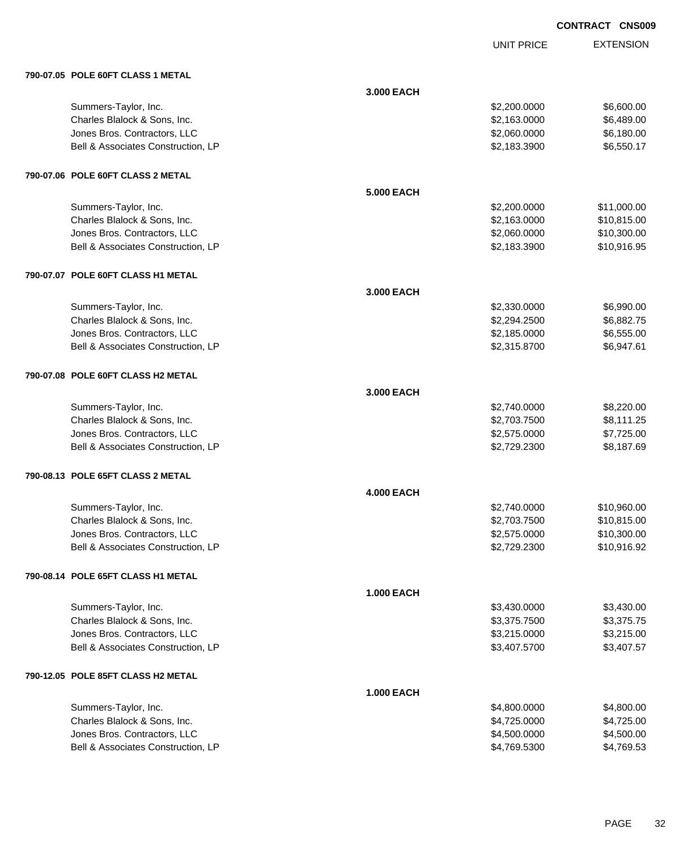UNIT PRICE

| 790-07.05 POLE 60FT CLASS 1 METAL  |                   |              |             |
|------------------------------------|-------------------|--------------|-------------|
|                                    | 3.000 EACH        |              |             |
| Summers-Taylor, Inc.               |                   | \$2,200.0000 | \$6,600.00  |
| Charles Blalock & Sons, Inc.       |                   | \$2,163.0000 | \$6,489.00  |
| Jones Bros. Contractors, LLC       |                   | \$2,060.0000 | \$6,180.00  |
| Bell & Associates Construction, LP |                   | \$2,183.3900 | \$6,550.17  |
| 790-07.06 POLE 60FT CLASS 2 METAL  |                   |              |             |
|                                    | <b>5.000 EACH</b> |              |             |
| Summers-Taylor, Inc.               |                   | \$2,200.0000 | \$11,000.00 |
| Charles Blalock & Sons, Inc.       |                   | \$2,163.0000 | \$10,815.00 |
| Jones Bros. Contractors, LLC       |                   | \$2,060.0000 | \$10,300.00 |
| Bell & Associates Construction, LP |                   | \$2,183.3900 | \$10,916.95 |
| 790-07.07 POLE 60FT CLASS H1 METAL |                   |              |             |
|                                    | 3.000 EACH        |              |             |
| Summers-Taylor, Inc.               |                   | \$2,330.0000 | \$6,990.00  |
| Charles Blalock & Sons, Inc.       |                   | \$2,294.2500 | \$6,882.75  |
| Jones Bros. Contractors, LLC       |                   | \$2,185.0000 | \$6,555.00  |
| Bell & Associates Construction, LP |                   | \$2,315.8700 | \$6,947.61  |
| 790-07.08 POLE 60FT CLASS H2 METAL |                   |              |             |
|                                    | 3.000 EACH        |              |             |
| Summers-Taylor, Inc.               |                   | \$2,740.0000 | \$8,220.00  |
| Charles Blalock & Sons, Inc.       |                   | \$2,703.7500 | \$8,111.25  |
| Jones Bros. Contractors, LLC       |                   | \$2,575.0000 | \$7,725.00  |
| Bell & Associates Construction, LP |                   | \$2,729.2300 | \$8,187.69  |
| 790-08.13 POLE 65FT CLASS 2 METAL  |                   |              |             |
|                                    | <b>4.000 EACH</b> |              |             |
| Summers-Taylor, Inc.               |                   | \$2,740.0000 | \$10,960.00 |
| Charles Blalock & Sons, Inc.       |                   | \$2,703.7500 | \$10,815.00 |
| Jones Bros. Contractors, LLC       |                   | \$2,575.0000 | \$10,300.00 |
| Bell & Associates Construction, LP |                   | \$2,729.2300 | \$10,916.92 |
| 790-08.14 POLE 65FT CLASS H1 METAL |                   |              |             |
|                                    | <b>1.000 EACH</b> |              |             |
| Summers-Taylor, Inc.               |                   | \$3,430.0000 | \$3,430.00  |
| Charles Blalock & Sons, Inc.       |                   | \$3,375.7500 | \$3,375.75  |
| Jones Bros. Contractors, LLC       |                   | \$3,215.0000 | \$3,215.00  |
| Bell & Associates Construction, LP |                   | \$3,407.5700 | \$3,407.57  |
| 790-12.05 POLE 85FT CLASS H2 METAL |                   |              |             |
|                                    | <b>1.000 EACH</b> |              |             |
| Summers-Taylor, Inc.               |                   | \$4,800.0000 | \$4,800.00  |
| Charles Blalock & Sons, Inc.       |                   | \$4,725.0000 | \$4,725.00  |
| Jones Bros. Contractors, LLC       |                   | \$4,500.0000 | \$4,500.00  |
| Bell & Associates Construction, LP |                   | \$4,769.5300 | \$4,769.53  |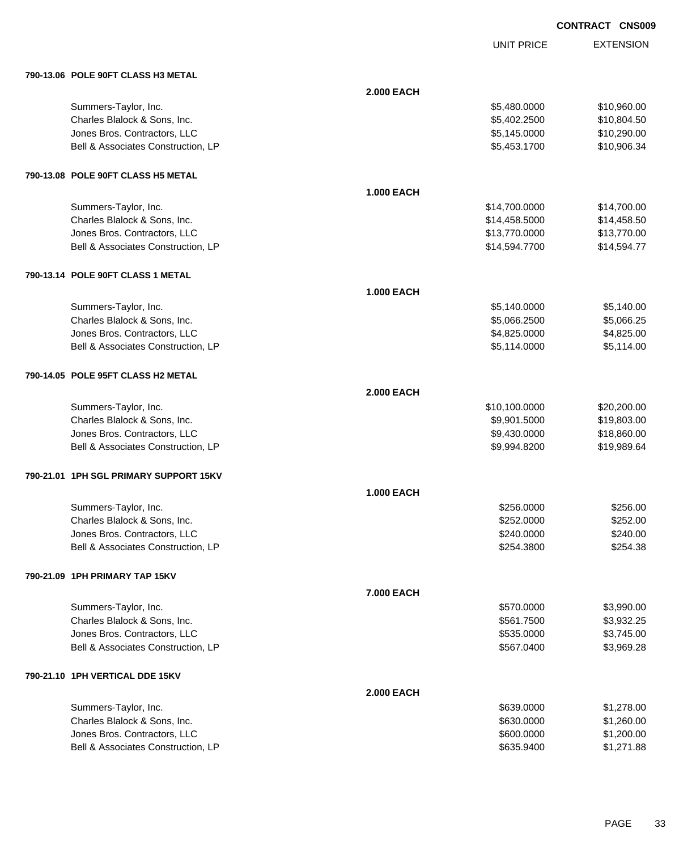UNIT PRICE

| 790-13.06 POLE 90FT CLASS H3 METAL     |                   |               |             |
|----------------------------------------|-------------------|---------------|-------------|
|                                        | <b>2.000 EACH</b> |               |             |
| Summers-Taylor, Inc.                   |                   | \$5,480.0000  | \$10,960.00 |
| Charles Blalock & Sons, Inc.           |                   | \$5,402.2500  | \$10,804.50 |
| Jones Bros. Contractors, LLC           |                   | \$5,145.0000  | \$10,290.00 |
| Bell & Associates Construction, LP     |                   | \$5,453.1700  | \$10,906.34 |
| 790-13.08 POLE 90FT CLASS H5 METAL     |                   |               |             |
|                                        | <b>1.000 EACH</b> |               |             |
| Summers-Taylor, Inc.                   |                   | \$14,700.0000 | \$14,700.00 |
| Charles Blalock & Sons, Inc.           |                   | \$14,458.5000 | \$14,458.50 |
| Jones Bros. Contractors, LLC           |                   | \$13,770.0000 | \$13,770.00 |
| Bell & Associates Construction, LP     |                   | \$14,594.7700 | \$14,594.77 |
| 790-13.14 POLE 90FT CLASS 1 METAL      |                   |               |             |
|                                        | <b>1.000 EACH</b> |               |             |
| Summers-Taylor, Inc.                   |                   | \$5,140.0000  | \$5,140.00  |
| Charles Blalock & Sons, Inc.           |                   | \$5,066.2500  | \$5,066.25  |
| Jones Bros. Contractors, LLC           |                   | \$4,825.0000  | \$4,825.00  |
| Bell & Associates Construction, LP     |                   | \$5,114.0000  | \$5,114.00  |
| 790-14.05 POLE 95FT CLASS H2 METAL     |                   |               |             |
|                                        | <b>2.000 EACH</b> |               |             |
| Summers-Taylor, Inc.                   |                   | \$10,100.0000 | \$20,200.00 |
| Charles Blalock & Sons, Inc.           |                   | \$9,901.5000  | \$19,803.00 |
| Jones Bros. Contractors, LLC           |                   | \$9,430.0000  | \$18,860.00 |
| Bell & Associates Construction, LP     |                   | \$9,994.8200  | \$19,989.64 |
| 790-21.01 1PH SGL PRIMARY SUPPORT 15KV |                   |               |             |
|                                        | <b>1.000 EACH</b> |               |             |
| Summers-Taylor, Inc.                   |                   | \$256.0000    | \$256.00    |
| Charles Blalock & Sons, Inc.           |                   | \$252.0000    | \$252.00    |
| Jones Bros. Contractors, LLC           |                   | \$240.0000    | \$240.00    |
| Bell & Associates Construction, LP     |                   | \$254.3800    | \$254.38    |
| 790-21.09 1PH PRIMARY TAP 15KV         |                   |               |             |
|                                        | 7.000 EACH        |               |             |
| Summers-Taylor, Inc.                   |                   | \$570.0000    | \$3,990.00  |
| Charles Blalock & Sons, Inc.           |                   | \$561.7500    | \$3,932.25  |
| Jones Bros. Contractors, LLC           |                   | \$535.0000    | \$3,745.00  |
| Bell & Associates Construction, LP     |                   | \$567.0400    | \$3,969.28  |
| 790-21.10 1PH VERTICAL DDE 15KV        |                   |               |             |
|                                        | <b>2.000 EACH</b> |               |             |
| Summers-Taylor, Inc.                   |                   | \$639.0000    | \$1,278.00  |
| Charles Blalock & Sons, Inc.           |                   | \$630.0000    | \$1,260.00  |
| Jones Bros. Contractors, LLC           |                   | \$600.0000    | \$1,200.00  |
| Bell & Associates Construction, LP     |                   | \$635.9400    | \$1,271.88  |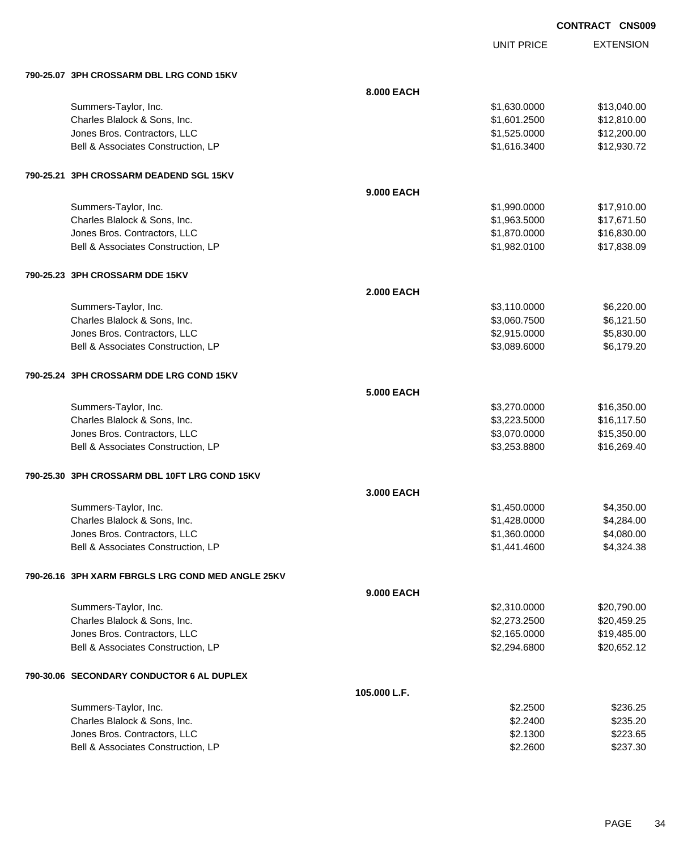| <b>CONTRACT</b> | <b>CNS009</b> |
|-----------------|---------------|
|                 |               |

|                                                   |                   | <b>UNIT PRICE</b> | <b>EXTENSION</b> |
|---------------------------------------------------|-------------------|-------------------|------------------|
| 790-25.07 3PH CROSSARM DBL LRG COND 15KV          |                   |                   |                  |
|                                                   | 8.000 EACH        |                   |                  |
| Summers-Taylor, Inc.                              |                   | \$1,630.0000      | \$13,040.00      |
| Charles Blalock & Sons, Inc.                      |                   | \$1,601.2500      | \$12,810.00      |
| Jones Bros. Contractors, LLC                      |                   | \$1,525.0000      | \$12,200.00      |
| Bell & Associates Construction, LP                |                   | \$1,616.3400      | \$12,930.72      |
| 790-25.21 3PH CROSSARM DEADEND SGL 15KV           |                   |                   |                  |
|                                                   | 9.000 EACH        |                   |                  |
| Summers-Taylor, Inc.                              |                   | \$1,990.0000      | \$17,910.00      |
| Charles Blalock & Sons, Inc.                      |                   | \$1,963.5000      | \$17,671.50      |
| Jones Bros. Contractors, LLC                      |                   | \$1,870.0000      | \$16,830.00      |
| Bell & Associates Construction, LP                |                   | \$1,982.0100      | \$17,838.09      |
| 790-25.23 3PH CROSSARM DDE 15KV                   |                   |                   |                  |
|                                                   | <b>2.000 EACH</b> |                   |                  |
| Summers-Taylor, Inc.                              |                   | \$3,110.0000      | \$6,220.00       |
| Charles Blalock & Sons, Inc.                      |                   | \$3,060.7500      | \$6,121.50       |
| Jones Bros. Contractors, LLC                      |                   | \$2,915.0000      | \$5,830.00       |
| Bell & Associates Construction, LP                |                   | \$3,089.6000      | \$6,179.20       |
| 790-25.24 3PH CROSSARM DDE LRG COND 15KV          |                   |                   |                  |
|                                                   | <b>5.000 EACH</b> |                   |                  |
| Summers-Taylor, Inc.                              |                   | \$3,270.0000      | \$16,350.00      |
| Charles Blalock & Sons, Inc.                      |                   | \$3,223.5000      | \$16,117.50      |
| Jones Bros. Contractors, LLC                      |                   | \$3,070.0000      | \$15,350.00      |
| Bell & Associates Construction, LP                |                   | \$3,253.8800      | \$16,269.40      |
| 790-25.30 3PH CROSSARM DBL 10FT LRG COND 15KV     |                   |                   |                  |
|                                                   | 3.000 EACH        |                   |                  |
| Summers-Taylor, Inc.                              |                   | \$1,450.0000      | \$4,350.00       |
| Charles Blalock & Sons, Inc.                      |                   | \$1,428.0000      | \$4,284.00       |
| Jones Bros. Contractors, LLC                      |                   | \$1,360.0000      | \$4,080.00       |
| Bell & Associates Construction, LP                |                   | \$1,441.4600      | \$4,324.38       |
| 790-26.16 3PH XARM FBRGLS LRG COND MED ANGLE 25KV |                   |                   |                  |
|                                                   | 9.000 EACH        |                   |                  |
| Summers-Taylor, Inc.                              |                   | \$2,310.0000      | \$20,790.00      |
| Charles Blalock & Sons, Inc.                      |                   | \$2,273.2500      | \$20,459.25      |
| Jones Bros. Contractors, LLC                      |                   | \$2,165.0000      | \$19,485.00      |
| Bell & Associates Construction, LP                |                   | \$2,294.6800      | \$20,652.12      |
| 790-30.06 SECONDARY CONDUCTOR 6 AL DUPLEX         |                   |                   |                  |
|                                                   | 105.000 L.F.      |                   |                  |
| Summers-Taylor, Inc.                              |                   | \$2.2500          | \$236.25         |
| Charles Blalock & Sons, Inc.                      |                   | \$2.2400          | \$235.20         |
| Jones Bros. Contractors, LLC                      |                   | \$2.1300          | \$223.65         |
| Bell & Associates Construction, LP                |                   | \$2.2600          | \$237.30         |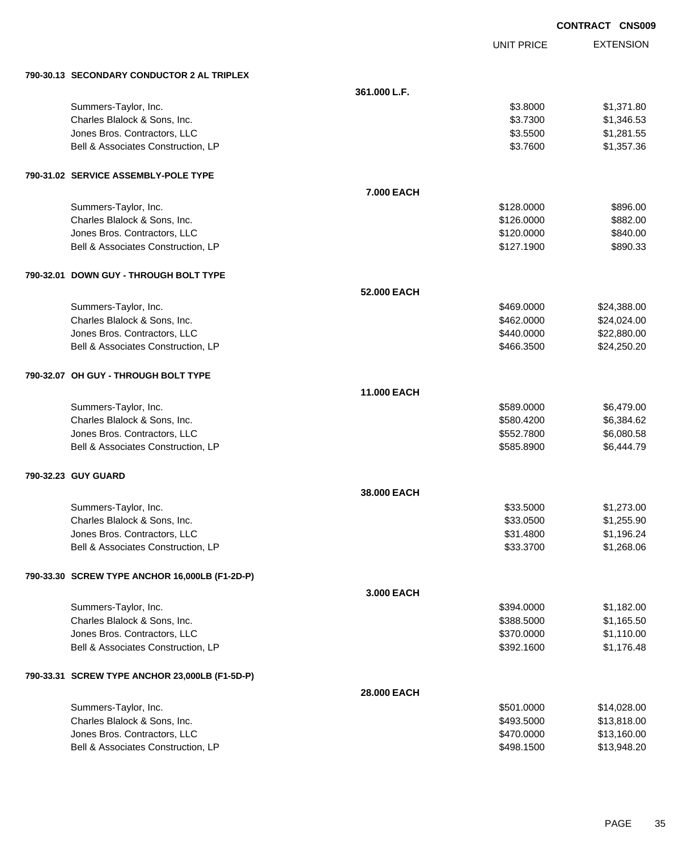|                                                | <b>CONTRACT CNS009</b> |                   |                  |
|------------------------------------------------|------------------------|-------------------|------------------|
|                                                |                        | <b>UNIT PRICE</b> | <b>EXTENSION</b> |
| 790-30.13 SECONDARY CONDUCTOR 2 AL TRIPLEX     |                        |                   |                  |
|                                                | 361.000 L.F.           |                   |                  |
| Summers-Taylor, Inc.                           |                        | \$3.8000          | \$1,371.80       |
| Charles Blalock & Sons, Inc.                   |                        | \$3.7300          | \$1,346.53       |
| Jones Bros. Contractors, LLC                   |                        | \$3.5500          | \$1,281.55       |
| Bell & Associates Construction, LP             |                        | \$3.7600          | \$1,357.36       |
| 790-31.02 SERVICE ASSEMBLY-POLE TYPE           |                        |                   |                  |
|                                                | 7.000 EACH             |                   |                  |
| Summers-Taylor, Inc.                           |                        | \$128.0000        | \$896.00         |
| Charles Blalock & Sons, Inc.                   |                        | \$126.0000        | \$882.00         |
| Jones Bros. Contractors, LLC                   |                        | \$120.0000        | \$840.00         |
| Bell & Associates Construction, LP             |                        | \$127.1900        | \$890.33         |
| 790-32.01 DOWN GUY - THROUGH BOLT TYPE         |                        |                   |                  |
|                                                | 52.000 EACH            |                   |                  |
| Summers-Taylor, Inc.                           |                        | \$469.0000        | \$24,388.00      |
| Charles Blalock & Sons, Inc.                   |                        | \$462.0000        | \$24,024.00      |
| Jones Bros. Contractors, LLC                   |                        | \$440.0000        | \$22,880.00      |
| Bell & Associates Construction, LP             |                        | \$466.3500        | \$24,250.20      |
| 790-32.07 OH GUY - THROUGH BOLT TYPE           |                        |                   |                  |
|                                                | <b>11.000 EACH</b>     |                   |                  |
| Summers-Taylor, Inc.                           |                        | \$589.0000        | \$6,479.00       |
| Charles Blalock & Sons, Inc.                   |                        | \$580.4200        | \$6,384.62       |
| Jones Bros. Contractors, LLC                   |                        | \$552.7800        | \$6,080.58       |
| Bell & Associates Construction, LP             |                        | \$585.8900        | \$6,444.79       |
| 790-32.23 GUY GUARD                            |                        |                   |                  |
|                                                | 38.000 EACH            |                   |                  |
| Summers-Taylor, Inc.                           |                        | \$33.5000         | \$1,273.00       |
| Charles Blalock & Sons, Inc.                   |                        | \$33.0500         | \$1,255.90       |
| Jones Bros. Contractors, LLC                   |                        | \$31.4800         | \$1,196.24       |
| Bell & Associates Construction, LP             |                        | \$33.3700         | \$1,268.06       |
| 790-33.30 SCREW TYPE ANCHOR 16,000LB (F1-2D-P) |                        |                   |                  |
|                                                | 3.000 EACH             |                   |                  |
| Summers-Taylor, Inc.                           |                        | \$394.0000        | \$1,182.00       |
| Charles Blalock & Sons, Inc.                   |                        | \$388.5000        | \$1,165.50       |
| Jones Bros. Contractors, LLC                   |                        | \$370.0000        | \$1,110.00       |
| Bell & Associates Construction, LP             |                        | \$392.1600        | \$1,176.48       |
| 790-33.31 SCREW TYPE ANCHOR 23,000LB (F1-5D-P) |                        |                   |                  |
|                                                | 28.000 EACH            |                   |                  |
| Summers-Taylor, Inc.                           |                        | \$501.0000        | \$14,028.00      |
| Charles Blalock & Sons, Inc.                   |                        | \$493.5000        | \$13,818.00      |
| Jones Bros. Contractors, LLC                   |                        | \$470.0000        | \$13,160.00      |
| Bell & Associates Construction, LP             |                        | \$498.1500        | \$13,948.20      |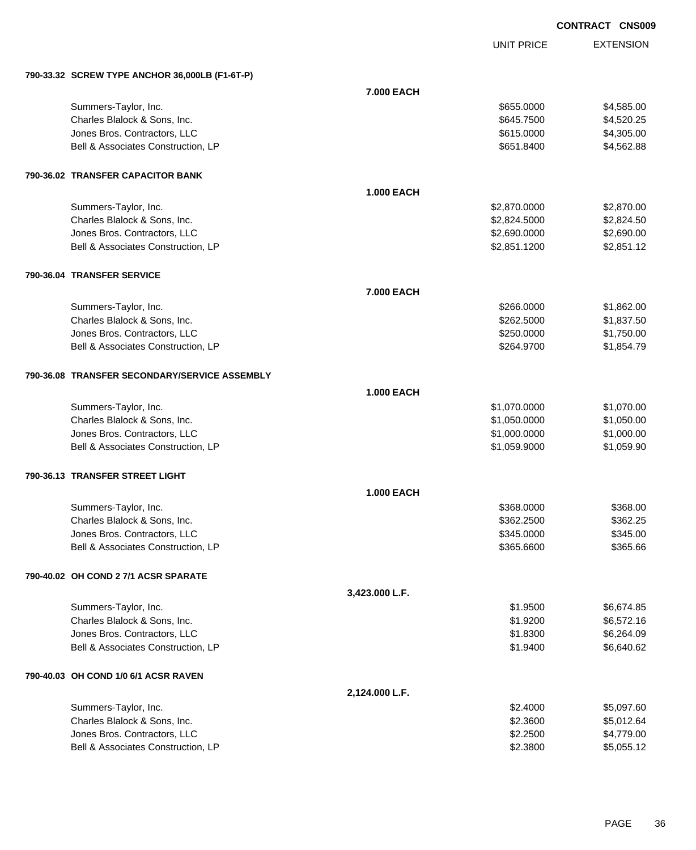UNIT PRICE

|  | 790-33.32 SCREW TYPE ANCHOR 36,000LB (F1-6T-P) |                   |              |            |
|--|------------------------------------------------|-------------------|--------------|------------|
|  |                                                | 7.000 EACH        |              |            |
|  | Summers-Taylor, Inc.                           |                   | \$655,0000   | \$4,585.00 |
|  | Charles Blalock & Sons, Inc.                   |                   | \$645.7500   | \$4,520.25 |
|  | Jones Bros. Contractors, LLC                   |                   | \$615.0000   | \$4,305.00 |
|  | Bell & Associates Construction, LP             |                   | \$651.8400   | \$4,562.88 |
|  | 790-36.02 TRANSFER CAPACITOR BANK              |                   |              |            |
|  |                                                | <b>1.000 EACH</b> |              |            |
|  | Summers-Taylor, Inc.                           |                   | \$2,870.0000 | \$2,870.00 |
|  | Charles Blalock & Sons, Inc.                   |                   | \$2,824.5000 | \$2,824.50 |
|  | Jones Bros. Contractors, LLC                   |                   | \$2,690.0000 | \$2,690.00 |
|  | Bell & Associates Construction, LP             |                   | \$2,851.1200 | \$2,851.12 |
|  | 790-36.04 TRANSFER SERVICE                     |                   |              |            |
|  |                                                | 7.000 EACH        |              |            |
|  | Summers-Taylor, Inc.                           |                   | \$266.0000   | \$1,862.00 |
|  | Charles Blalock & Sons, Inc.                   |                   | \$262.5000   | \$1,837.50 |
|  | Jones Bros. Contractors, LLC                   |                   | \$250.0000   | \$1,750.00 |
|  | Bell & Associates Construction, LP             |                   | \$264.9700   | \$1,854.79 |
|  | 790-36.08 TRANSFER SECONDARY/SERVICE ASSEMBLY  |                   |              |            |
|  |                                                | <b>1.000 EACH</b> |              |            |
|  | Summers-Taylor, Inc.                           |                   | \$1,070.0000 | \$1,070.00 |
|  | Charles Blalock & Sons, Inc.                   |                   | \$1,050.0000 | \$1,050.00 |
|  | Jones Bros. Contractors, LLC                   |                   | \$1,000.0000 | \$1,000.00 |
|  | Bell & Associates Construction, LP             |                   | \$1,059.9000 | \$1,059.90 |
|  | 790-36.13 TRANSFER STREET LIGHT                |                   |              |            |
|  |                                                | <b>1.000 EACH</b> |              |            |
|  | Summers-Taylor, Inc.                           |                   | \$368.0000   | \$368.00   |
|  | Charles Blalock & Sons, Inc.                   |                   | \$362.2500   | \$362.25   |
|  | Jones Bros. Contractors, LLC                   |                   | \$345.0000   | \$345.00   |
|  | Bell & Associates Construction, LP             |                   | \$365.6600   | \$365.66   |
|  | 790-40.02 OH COND 2 7/1 ACSR SPARATE           |                   |              |            |
|  |                                                | 3,423.000 L.F.    |              |            |
|  | Summers-Taylor, Inc.                           |                   | \$1.9500     | \$6,674.85 |
|  | Charles Blalock & Sons, Inc.                   |                   | \$1.9200     | \$6,572.16 |
|  | Jones Bros. Contractors, LLC                   |                   | \$1.8300     | \$6,264.09 |
|  | Bell & Associates Construction, LP             |                   | \$1.9400     | \$6,640.62 |
|  | 790-40.03 OH COND 1/0 6/1 ACSR RAVEN           |                   |              |            |
|  |                                                | 2,124.000 L.F.    |              |            |
|  | Summers-Taylor, Inc.                           |                   | \$2.4000     | \$5,097.60 |
|  | Charles Blalock & Sons, Inc.                   |                   | \$2.3600     | \$5,012.64 |
|  | Jones Bros. Contractors, LLC                   |                   | \$2.2500     | \$4,779.00 |
|  | Bell & Associates Construction, LP             |                   | \$2.3800     | \$5,055.12 |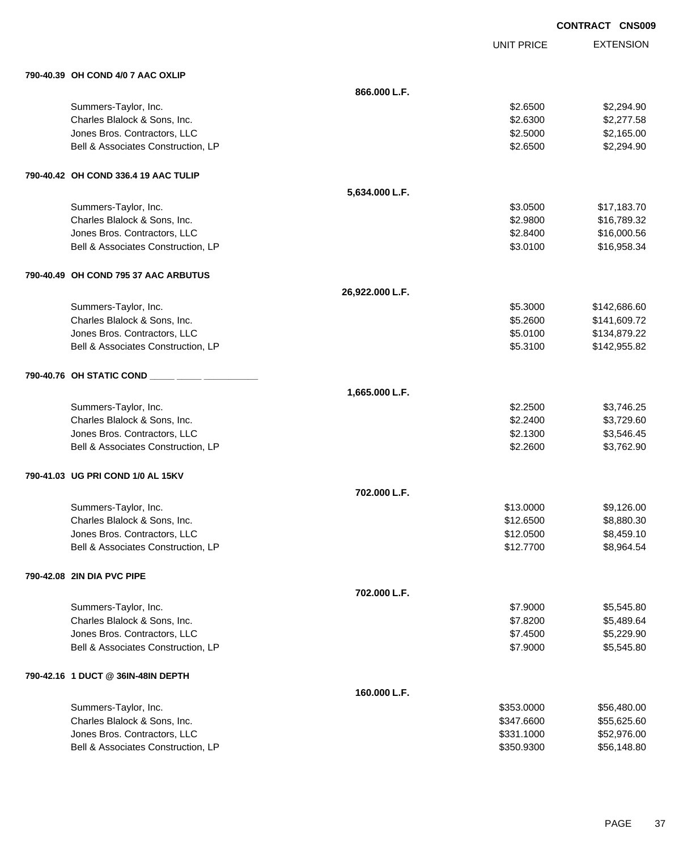|                                      |                 | <b>CONTRACT CNS009</b> |                  |
|--------------------------------------|-----------------|------------------------|------------------|
|                                      |                 | <b>UNIT PRICE</b>      | <b>EXTENSION</b> |
| 790-40.39 OH COND 4/0 7 AAC OXLIP    |                 |                        |                  |
|                                      | 866.000 L.F.    |                        |                  |
| Summers-Taylor, Inc.                 |                 | \$2.6500               | \$2,294.90       |
| Charles Blalock & Sons, Inc.         |                 | \$2.6300               | \$2,277.58       |
| Jones Bros. Contractors, LLC         |                 | \$2.5000               | \$2,165.00       |
| Bell & Associates Construction, LP   |                 | \$2.6500               | \$2,294.90       |
| 790-40.42 OH COND 336.4 19 AAC TULIP |                 |                        |                  |
|                                      | 5,634.000 L.F.  |                        |                  |
| Summers-Taylor, Inc.                 |                 | \$3.0500               | \$17,183.70      |
| Charles Blalock & Sons, Inc.         |                 | \$2.9800               | \$16,789.32      |
| Jones Bros. Contractors, LLC         |                 | \$2.8400               | \$16,000.56      |
| Bell & Associates Construction, LP   |                 | \$3.0100               | \$16,958.34      |
| 790-40.49 OH COND 795 37 AAC ARBUTUS |                 |                        |                  |
|                                      | 26,922.000 L.F. |                        |                  |
| Summers-Taylor, Inc.                 |                 | \$5.3000               | \$142,686.60     |
| Charles Blalock & Sons, Inc.         |                 | \$5.2600               | \$141,609.72     |
| Jones Bros. Contractors, LLC         |                 | \$5.0100               | \$134,879.22     |
| Bell & Associates Construction, LP   |                 | \$5.3100               | \$142,955.82     |
| 790-40.76 OH STATIC COND ____        |                 |                        |                  |
|                                      | 1,665.000 L.F.  |                        |                  |
| Summers-Taylor, Inc.                 |                 | \$2.2500               | \$3,746.25       |
| Charles Blalock & Sons, Inc.         |                 | \$2.2400               | \$3,729.60       |
| Jones Bros. Contractors, LLC         |                 | \$2.1300               | \$3,546.45       |
| Bell & Associates Construction, LP   |                 | \$2.2600               | \$3,762.90       |
| 790-41.03 UG PRI COND 1/0 AL 15KV    |                 |                        |                  |
|                                      | 702.000 L.F.    |                        |                  |
| Summers-Taylor, Inc.                 |                 | \$13.0000              | \$9,126.00       |
| Charles Blalock & Sons, Inc.         |                 | \$12.6500              | \$8,880.30       |
| Jones Bros. Contractors, LLC         |                 | \$12.0500              | \$8,459.10       |
| Bell & Associates Construction, LP   |                 | \$12.7700              | \$8,964.54       |
| 790-42.08 2IN DIA PVC PIPE           |                 |                        |                  |
|                                      | 702.000 L.F.    |                        |                  |
| Summers-Taylor, Inc.                 |                 | \$7.9000               | \$5,545.80       |
| Charles Blalock & Sons, Inc.         |                 | \$7.8200               | \$5,489.64       |
| Jones Bros. Contractors, LLC         |                 | \$7.4500               | \$5,229.90       |
| Bell & Associates Construction, LP   |                 | \$7.9000               | \$5,545.80       |
| 790-42.16 1 DUCT @ 36IN-48IN DEPTH   |                 |                        |                  |
|                                      | 160.000 L.F.    |                        |                  |
| Summers-Taylor, Inc.                 |                 | \$353.0000             | \$56,480.00      |
| Charles Blalock & Sons, Inc.         |                 | \$347.6600             | \$55,625.60      |
| Jones Bros. Contractors, LLC         |                 | \$331.1000             | \$52,976.00      |
| Bell & Associates Construction, LP   |                 | \$350.9300             | \$56,148.80      |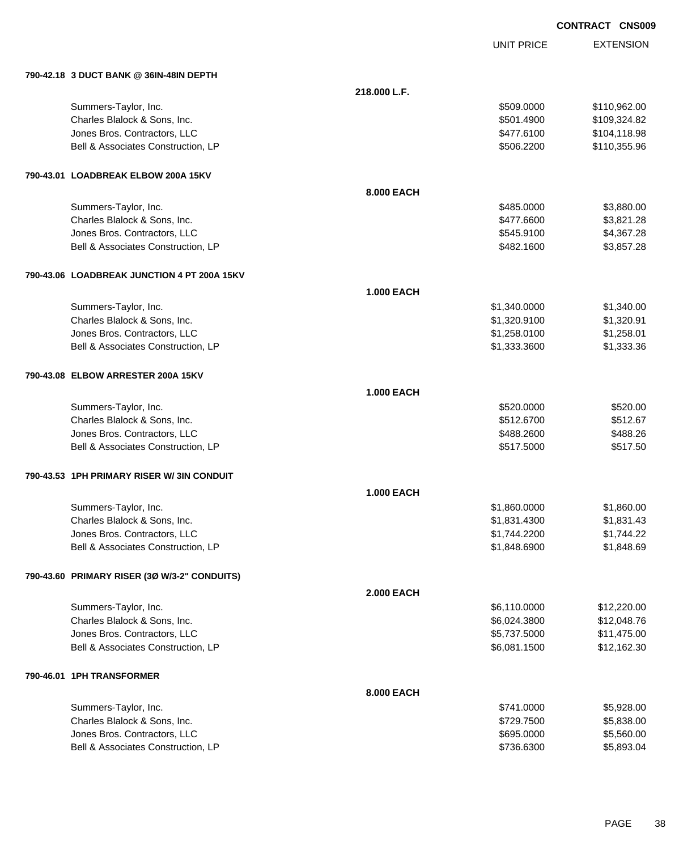UNIT PRICE

| 790-42.18 3 DUCT BANK @ 36IN-48IN DEPTH      |                   |              |              |
|----------------------------------------------|-------------------|--------------|--------------|
|                                              | 218.000 L.F.      |              |              |
| Summers-Taylor, Inc.                         |                   | \$509,0000   | \$110,962.00 |
| Charles Blalock & Sons, Inc.                 |                   | \$501.4900   | \$109,324.82 |
| Jones Bros. Contractors, LLC                 |                   | \$477.6100   | \$104,118.98 |
| Bell & Associates Construction, LP           |                   | \$506.2200   | \$110,355.96 |
| 790-43.01 LOADBREAK ELBOW 200A 15KV          |                   |              |              |
|                                              | 8.000 EACH        |              |              |
| Summers-Taylor, Inc.                         |                   | \$485.0000   | \$3,880.00   |
| Charles Blalock & Sons, Inc.                 |                   | \$477.6600   | \$3,821.28   |
| Jones Bros. Contractors, LLC                 |                   | \$545.9100   | \$4,367.28   |
| Bell & Associates Construction, LP           |                   | \$482.1600   | \$3,857.28   |
| 790-43.06 LOADBREAK JUNCTION 4 PT 200A 15KV  |                   |              |              |
|                                              | <b>1.000 EACH</b> |              |              |
| Summers-Taylor, Inc.                         |                   | \$1,340.0000 | \$1,340.00   |
| Charles Blalock & Sons, Inc.                 |                   | \$1,320.9100 | \$1,320.91   |
| Jones Bros. Contractors, LLC                 |                   | \$1,258.0100 | \$1,258.01   |
| Bell & Associates Construction, LP           |                   | \$1,333.3600 | \$1,333.36   |
| 790-43.08 ELBOW ARRESTER 200A 15KV           |                   |              |              |
|                                              | <b>1.000 EACH</b> |              |              |
| Summers-Taylor, Inc.                         |                   | \$520.0000   | \$520.00     |
| Charles Blalock & Sons, Inc.                 |                   | \$512.6700   | \$512.67     |
| Jones Bros. Contractors, LLC                 |                   | \$488.2600   | \$488.26     |
| Bell & Associates Construction, LP           |                   | \$517.5000   | \$517.50     |
| 790-43.53 1PH PRIMARY RISER W/ 3IN CONDUIT   |                   |              |              |
|                                              | <b>1.000 EACH</b> |              |              |
| Summers-Taylor, Inc.                         |                   | \$1,860.0000 | \$1,860.00   |
| Charles Blalock & Sons, Inc.                 |                   | \$1,831.4300 | \$1,831.43   |
| Jones Bros. Contractors, LLC                 |                   | \$1,744.2200 | \$1,744.22   |
| Bell & Associates Construction, LP           |                   | \$1,848.6900 | \$1,848.69   |
| 790-43.60 PRIMARY RISER (3Ø W/3-2" CONDUITS) |                   |              |              |
|                                              | <b>2.000 EACH</b> |              |              |
| Summers-Taylor, Inc.                         |                   | \$6,110.0000 | \$12,220.00  |
| Charles Blalock & Sons, Inc.                 |                   | \$6,024.3800 | \$12,048.76  |
| Jones Bros. Contractors, LLC                 |                   | \$5,737.5000 | \$11,475.00  |
| Bell & Associates Construction, LP           |                   | \$6,081.1500 | \$12,162.30  |
| 790-46.01 1PH TRANSFORMER                    |                   |              |              |
|                                              | 8.000 EACH        |              |              |
| Summers-Taylor, Inc.                         |                   | \$741.0000   | \$5,928.00   |
| Charles Blalock & Sons, Inc.                 |                   | \$729.7500   | \$5,838.00   |
| Jones Bros. Contractors, LLC                 |                   | \$695.0000   | \$5,560.00   |
| Bell & Associates Construction, LP           |                   | \$736.6300   | \$5,893.04   |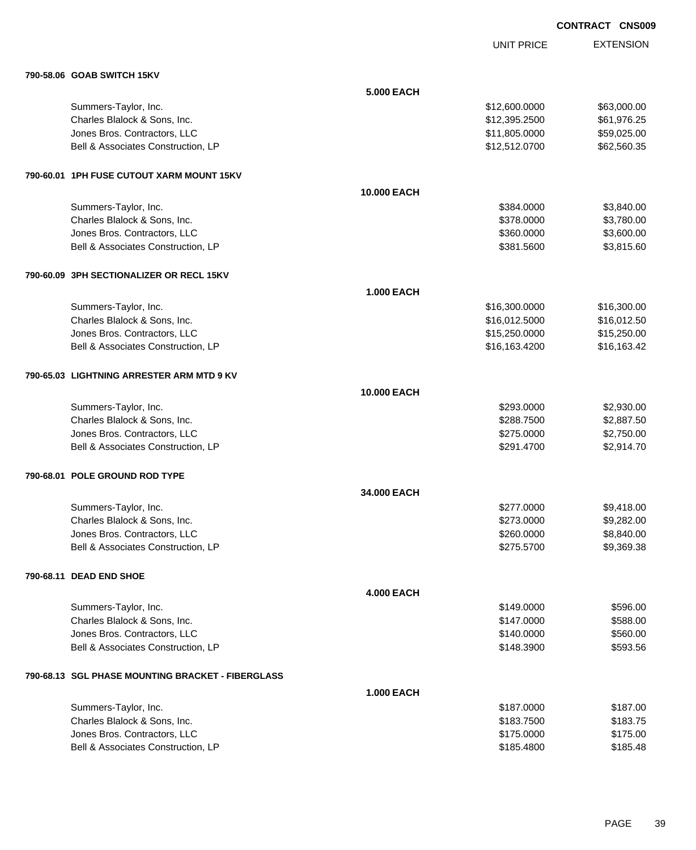|                                           |                    |                   | <b>CONTRACT CNS009</b> |  |
|-------------------------------------------|--------------------|-------------------|------------------------|--|
|                                           |                    | <b>UNIT PRICE</b> | <b>EXTENSION</b>       |  |
| 790-58.06 GOAB SWITCH 15KV                |                    |                   |                        |  |
|                                           | <b>5.000 EACH</b>  |                   |                        |  |
| Summers-Taylor, Inc.                      |                    | \$12,600.0000     | \$63,000.00            |  |
| Charles Blalock & Sons, Inc.              |                    | \$12,395.2500     | \$61,976.25            |  |
| Jones Bros. Contractors, LLC              |                    | \$11,805.0000     | \$59,025.00            |  |
| Bell & Associates Construction, LP        |                    | \$12,512.0700     | \$62,560.35            |  |
| 790-60.01 1PH FUSE CUTOUT XARM MOUNT 15KV |                    |                   |                        |  |
|                                           | <b>10.000 EACH</b> |                   |                        |  |
| Summers-Taylor, Inc.                      |                    | \$384.0000        | \$3,840.00             |  |
| Charles Blalock & Sons, Inc.              |                    | \$378.0000        | \$3,780.00             |  |
| Jones Bros. Contractors, LLC              |                    | \$360.0000        | \$3,600.00             |  |
| Bell & Associates Construction, LP        |                    | \$381.5600        | \$3,815.60             |  |
| 790-60.09 3PH SECTIONALIZER OR RECL 15KV  |                    |                   |                        |  |
|                                           | <b>1.000 EACH</b>  |                   |                        |  |
| Summers-Taylor, Inc.                      |                    | \$16,300.0000     | \$16,300.00            |  |
| Charles Blalock & Sons, Inc.              |                    | \$16,012.5000     | \$16,012.50            |  |
| Jones Bros. Contractors, LLC              |                    | \$15,250.0000     | \$15,250.00            |  |
| Bell & Associates Construction, LP        |                    | \$16,163.4200     | \$16,163.42            |  |
| 790-65.03 LIGHTNING ARRESTER ARM MTD 9 KV |                    |                   |                        |  |
|                                           | <b>10.000 EACH</b> |                   |                        |  |
| Summers-Taylor, Inc.                      |                    | \$293.0000        | \$2,930.00             |  |
| Charles Blalock & Sons, Inc.              |                    | \$288.7500        | \$2,887.50             |  |
| Jones Bros. Contractors, LLC              |                    | \$275.0000        | \$2,750.00             |  |
| Bell & Associates Construction, LP        |                    | \$291.4700        | \$2,914.70             |  |
| 790-68.01 POLE GROUND ROD TYPE            |                    |                   |                        |  |
|                                           | 34.000 EACH        |                   |                        |  |
| Summers-Taylor, Inc.                      |                    | \$277.0000        | \$9,418.00             |  |
| Charles Blalock & Sons, Inc.              |                    | \$273.0000        | \$9,282.00             |  |
| Jones Bros. Contractors, LLC              |                    | \$260.0000        | \$8,840.00             |  |
| Bell & Associates Construction, LP        |                    | \$275.5700        | \$9,369.38             |  |
| 790-68.11 DEAD END SHOE                   |                    |                   |                        |  |
|                                           | <b>4.000 EACH</b>  |                   |                        |  |
| Summers-Taylor, Inc.                      |                    | \$149.0000        | \$596.00               |  |
| Charles Blalock & Sons, Inc.              |                    | \$147.0000        | \$588.00               |  |
| Jones Bros. Contractors, LLC              |                    | \$140.0000        | \$560.00               |  |

## **790-68.13 SGL PHASE MOUNTING BRACKET - FIBERGLASS**

|                                    | <b>1.000 EACH</b> |          |
|------------------------------------|-------------------|----------|
| Summers-Taylor, Inc.               | \$187,0000        | \$187.00 |
| Charles Blalock & Sons, Inc.       | \$183,7500        | \$183.75 |
| Jones Bros, Contractors, LLC       | \$175,0000        | \$175.00 |
| Bell & Associates Construction, LP | \$185,4800        | \$185.48 |

Bell & Associates Construction, LP 6593.56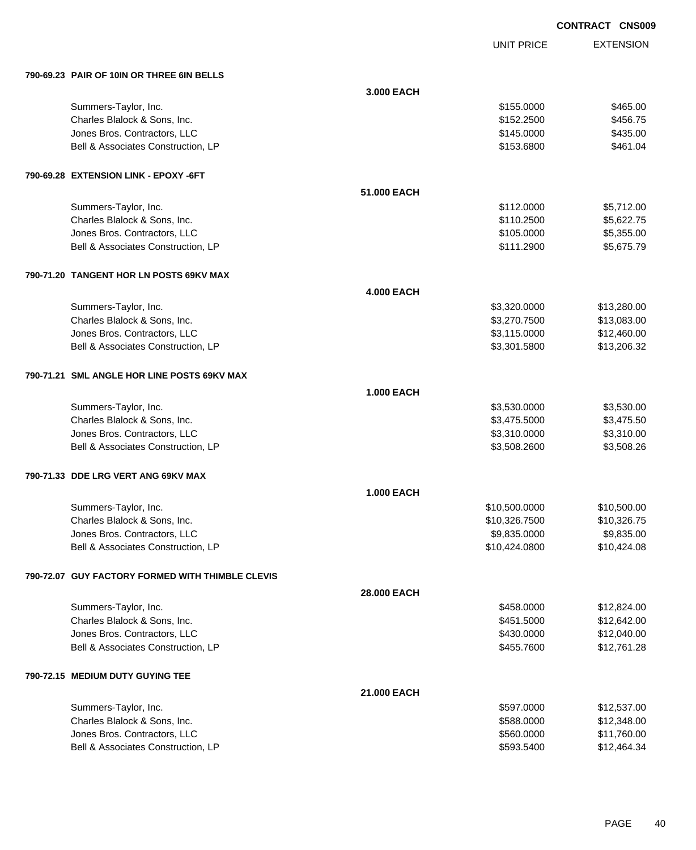**EXTENSION CONTRACT CNS009** UNIT PRICE **790-69.23 PAIR OF 10IN OR THREE 6IN BELLS 3.000 EACH** Summers-Taylor, Inc. \$155.0000 \$465.00 Charles Blalock & Sons, Inc. 66 and the State of the State of the State of the State of the State of the State of the State of the State of the State of the State of the State of the State of the State of the State of the Jones Bros. Contractors, LLC \$145.0000 \$435.00 Bell & Associates Construction, LP 6461.04 **790-69.28 EXTENSION LINK - EPOXY -6FT 51.000 EACH** Summers-Taylor, Inc. \$112.0000 \$5,712.00 Charles Blalock & Sons, Inc. \$110.2500 \$5,622.75 Jones Bros. Contractors, LLC \$105.0000 \$5,355.00 Bell & Associates Construction, LP 6.675.79 **790-71.20 TANGENT HOR LN POSTS 69KV MAX 4.000 EACH** Summers-Taylor, Inc. \$3,320.000 \$13,280.00 Charles Blalock & Sons, Inc. 6. 2010 12:30 12:30 12:30 13:3000 \$13,083.00 Jones Bros. Contractors, LLC 6. The state of the state of the state of the state of the state of the state of the state of the state of the state of the state of the state of the state of the state of the state of the stat Bell & Associates Construction, LP 613,206.32 **790-71.21 SML ANGLE HOR LINE POSTS 69KV MAX 1.000 EACH** Summers-Taylor, Inc. \$3,530.000 \$3,530.000 \$3,530.000 \$3,530.000 \$3,530.000 \$3,530.000 \$3,530.00 \$3,530.00 \$3,530.00 \$3,530.00 \$3,530.00 \$3,530.00 \$3,530.00 \$3,530.00 \$3,530.00 \$3,530.00 \$3,530.00 \$3,530.00 \$3,530.00 \$3,53 Charles Blalock & Sons, Inc. 6.6 and 53,475.5000 \$3,475.5000 \$3,475.5000 \$3,475.5000 \$3,475.500 Jones Bros. Contractors, LLC 6. The state of the state of the state of the state of the state of the state of the state of the state of the state of the state of the state of the state of the state of the state of the stat Bell & Associates Construction, LP 68,508.2600 \$3,508.2600 \$3,508.2600 \$3,508.2600 **790-71.33 DDE LRG VERT ANG 69KV MAX 1.000 EACH**

| Summers-Taylor, Inc.               | \$10.500.0000 | \$10,500.00 |
|------------------------------------|---------------|-------------|
| Charles Blalock & Sons, Inc.       | \$10.326.7500 | \$10,326.75 |
| Jones Bros. Contractors, LLC       | \$9,835.0000  | \$9,835.00  |
| Bell & Associates Construction, LP | \$10,424.0800 | \$10,424.08 |
|                                    |               |             |

#### **790-72.07 GUY FACTORY FORMED WITH THIMBLE CLEVIS**

|                                    | <b>28.000 EACH</b> |            |             |
|------------------------------------|--------------------|------------|-------------|
| Summers-Taylor, Inc.               |                    | \$458,0000 | \$12,824.00 |
| Charles Blalock & Sons, Inc.       |                    | \$451,5000 | \$12,642,00 |
| Jones Bros. Contractors, LLC       |                    | \$430,0000 | \$12,040.00 |
| Bell & Associates Construction, LP |                    | \$455.7600 | \$12,761.28 |
| 790-72.15 MEDIUM DUTY GUYING TEE   |                    |            |             |
|                                    | <b>21,000 EACH</b> |            |             |

**28.000 EACH**

| Summers-Taylor, Inc.               | \$597,0000 | \$12,537.00 |
|------------------------------------|------------|-------------|
| Charles Blalock & Sons, Inc.       | \$588,0000 | \$12,348,00 |
| Jones Bros, Contractors, LLC       | \$560,0000 | \$11.760.00 |
| Bell & Associates Construction. LP | \$593.5400 | \$12.464.34 |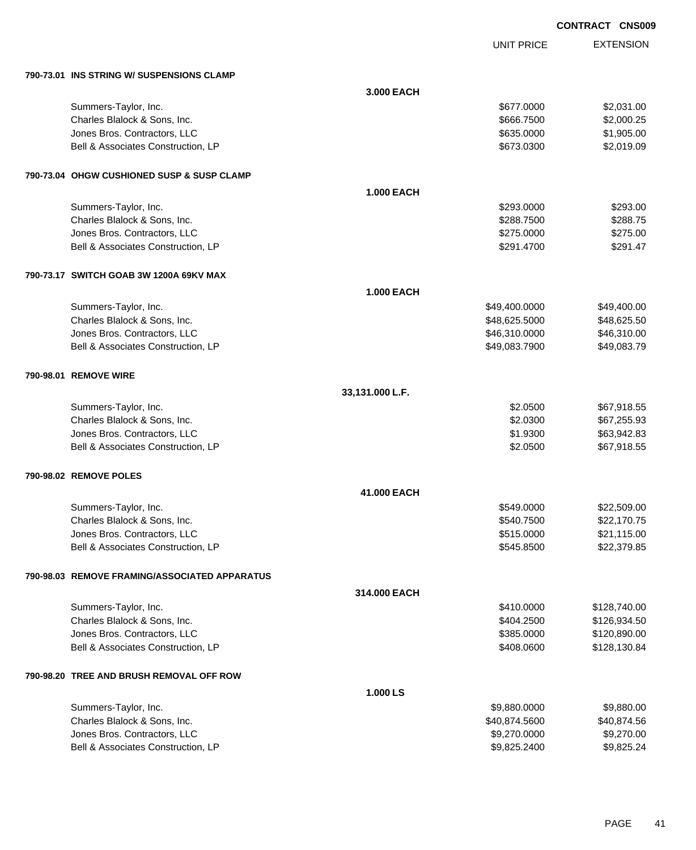|                                               |                   |                   | <b>CONTRACT CNS009</b> |  |
|-----------------------------------------------|-------------------|-------------------|------------------------|--|
|                                               |                   | <b>UNIT PRICE</b> | <b>EXTENSION</b>       |  |
| 790-73.01 INS STRING W/ SUSPENSIONS CLAMP     |                   |                   |                        |  |
|                                               | 3.000 EACH        |                   |                        |  |
| Summers-Taylor, Inc.                          |                   | \$677.0000        | \$2,031.00             |  |
| Charles Blalock & Sons, Inc.                  |                   | \$666.7500        | \$2,000.25             |  |
| Jones Bros. Contractors, LLC                  |                   | \$635.0000        | \$1,905.00             |  |
| Bell & Associates Construction, LP            |                   | \$673.0300        | \$2,019.09             |  |
| 790-73.04 OHGW CUSHIONED SUSP & SUSP CLAMP    |                   |                   |                        |  |
|                                               | <b>1.000 EACH</b> |                   |                        |  |
| Summers-Taylor, Inc.                          |                   | \$293.0000        | \$293.00               |  |
| Charles Blalock & Sons, Inc.                  |                   | \$288.7500        | \$288.75               |  |
| Jones Bros. Contractors, LLC                  |                   | \$275.0000        | \$275.00               |  |
| Bell & Associates Construction, LP            |                   | \$291.4700        | \$291.47               |  |
| 790-73.17 SWITCH GOAB 3W 1200A 69KV MAX       |                   |                   |                        |  |
|                                               | <b>1.000 EACH</b> |                   |                        |  |
| Summers-Taylor, Inc.                          |                   | \$49,400.0000     | \$49,400.00            |  |
| Charles Blalock & Sons, Inc.                  |                   | \$48,625.5000     | \$48,625.50            |  |
| Jones Bros. Contractors, LLC                  |                   | \$46,310.0000     | \$46,310.00            |  |
| Bell & Associates Construction, LP            |                   | \$49,083.7900     | \$49,083.79            |  |
| 790-98.01 REMOVE WIRE                         |                   |                   |                        |  |
|                                               | 33,131.000 L.F.   |                   |                        |  |
| Summers-Taylor, Inc.                          |                   | \$2.0500          | \$67,918.55            |  |
| Charles Blalock & Sons, Inc.                  |                   | \$2.0300          | \$67,255.93            |  |
| Jones Bros. Contractors, LLC                  |                   | \$1.9300          | \$63,942.83            |  |
| Bell & Associates Construction, LP            |                   | \$2.0500          | \$67,918.55            |  |
| 790-98.02 REMOVE POLES                        |                   |                   |                        |  |
|                                               | 41.000 EACH       |                   |                        |  |
| Summers-Taylor, Inc.                          |                   | \$549.0000        | \$22,509.00            |  |
| Charles Blalock & Sons, Inc.                  |                   | \$540.7500        | \$22,170.75            |  |
| Jones Bros. Contractors, LLC                  |                   | \$515.0000        | \$21,115.00            |  |
| Bell & Associates Construction, LP            |                   | \$545.8500        | \$22,379.85            |  |
| 790-98.03 REMOVE FRAMING/ASSOCIATED APPARATUS |                   |                   |                        |  |
|                                               | 314.000 EACH      |                   |                        |  |
| Summers-Taylor, Inc.                          |                   | \$410.0000        | \$128,740.00           |  |
| Charles Blalock & Sons, Inc.                  |                   | \$404.2500        | \$126,934.50           |  |
| Jones Bros. Contractors, LLC                  |                   | \$385.0000        | \$120,890.00           |  |
| Bell & Associates Construction, LP            |                   | \$408.0600        | \$128,130.84           |  |
| 790-98.20 TREE AND BRUSH REMOVAL OFF ROW      |                   |                   |                        |  |
|                                               | 1.000 LS          |                   |                        |  |
| Summers-Taylor, Inc.                          |                   | \$9,880.0000      | \$9,880.00             |  |
| Charles Blalock & Sons, Inc.                  |                   | \$40,874.5600     | \$40,874.56            |  |

dones Bros. Contractors, LLC<br>
Bell & Associates Construction, LP<br>
\$9,825.2400 \$9,825.2400 \$9,825.24

Bell & Associates Construction, LP  $$9,825.2400$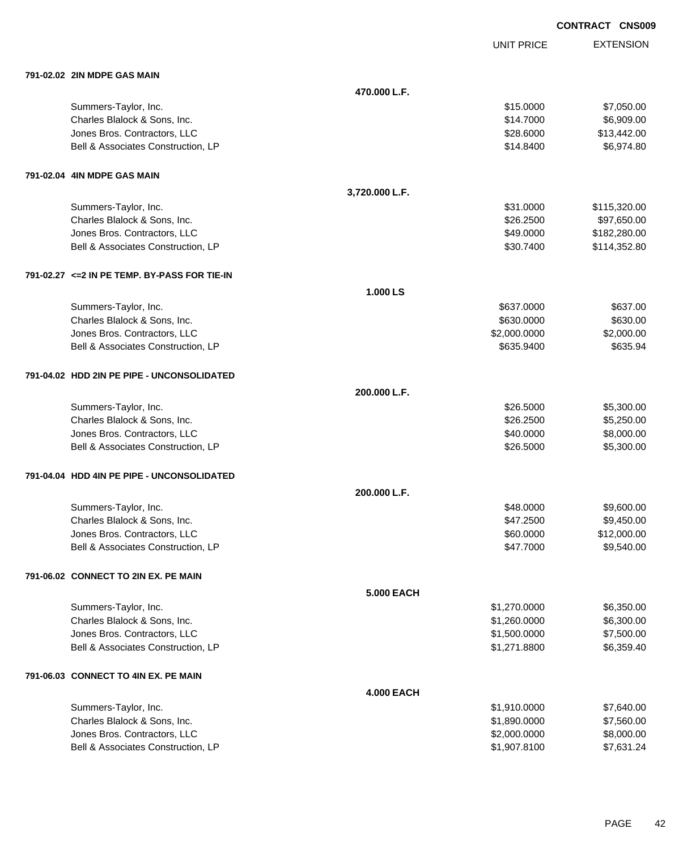|                                               |                   |                   | <b>CONTRACT CNS009</b> |
|-----------------------------------------------|-------------------|-------------------|------------------------|
|                                               |                   | <b>UNIT PRICE</b> | <b>EXTENSION</b>       |
| 791-02.02 2IN MDPE GAS MAIN                   |                   |                   |                        |
|                                               | 470.000 L.F.      |                   |                        |
| Summers-Taylor, Inc.                          |                   | \$15.0000         | \$7,050.00             |
| Charles Blalock & Sons, Inc.                  |                   | \$14.7000         | \$6,909.00             |
| Jones Bros. Contractors, LLC                  |                   | \$28.6000         | \$13,442.00            |
| Bell & Associates Construction, LP            |                   | \$14.8400         | \$6,974.80             |
| 791-02.04 4IN MDPE GAS MAIN                   |                   |                   |                        |
|                                               | 3,720.000 L.F.    |                   |                        |
| Summers-Taylor, Inc.                          |                   | \$31.0000         | \$115,320.00           |
| Charles Blalock & Sons, Inc.                  |                   | \$26.2500         | \$97,650.00            |
| Jones Bros. Contractors, LLC                  |                   | \$49.0000         | \$182,280.00           |
| Bell & Associates Construction, LP            |                   | \$30.7400         | \$114,352.80           |
| 791-02.27 <= 2 IN PE TEMP. BY-PASS FOR TIE-IN |                   |                   |                        |
|                                               | 1.000 LS          |                   |                        |
| Summers-Taylor, Inc.                          |                   | \$637.0000        | \$637.00               |
| Charles Blalock & Sons, Inc.                  |                   | \$630.0000        | \$630.00               |
| Jones Bros. Contractors, LLC                  |                   | \$2,000.0000      | \$2,000.00             |
| Bell & Associates Construction, LP            |                   | \$635.9400        | \$635.94               |
| 791-04.02 HDD 2IN PE PIPE - UNCONSOLIDATED    |                   |                   |                        |
|                                               | 200.000 L.F.      |                   |                        |
| Summers-Taylor, Inc.                          |                   | \$26.5000         | \$5,300.00             |
| Charles Blalock & Sons, Inc.                  |                   | \$26.2500         | \$5,250.00             |
| Jones Bros. Contractors, LLC                  |                   | \$40,0000         | \$8,000.00             |
| Bell & Associates Construction, LP            |                   | \$26,5000         | \$5,300.00             |
| 791-04.04 HDD 4IN PE PIPE - UNCONSOLIDATED    |                   |                   |                        |
|                                               | 200.000 L.F.      |                   |                        |
| Summers-Taylor, Inc.                          |                   | \$48.0000         | \$9,600.00             |
| Charles Blalock & Sons, Inc.                  |                   | \$47.2500         | \$9,450.00             |
| Jones Bros. Contractors, LLC                  |                   | \$60.0000         | \$12,000.00            |
| Bell & Associates Construction, LP            |                   | \$47.7000         | \$9,540.00             |
| 791-06.02 CONNECT TO 2IN EX. PE MAIN          |                   |                   |                        |
|                                               | <b>5.000 EACH</b> |                   |                        |
| Summers-Taylor, Inc.                          |                   | \$1,270.0000      | \$6,350.00             |
| Charles Blalock & Sons, Inc.                  |                   | \$1,260.0000      | \$6,300.00             |
| Jones Bros. Contractors, LLC                  |                   | \$1,500.0000      | \$7,500.00             |
| Bell & Associates Construction, LP            |                   | \$1,271.8800      | \$6,359.40             |
| 791-06.03 CONNECT TO 4IN EX. PE MAIN          |                   |                   |                        |

| Summers-Taylor, Inc.               | \$1.910.0000 | \$7.640.00 |
|------------------------------------|--------------|------------|
| Charles Blalock & Sons, Inc.       | \$1,890,0000 | \$7.560.00 |
| Jones Bros. Contractors, LLC       | \$2,000,0000 | \$8,000,00 |
| Bell & Associates Construction, LP | \$1,907,8100 | \$7.631.24 |

**4.000 EACH**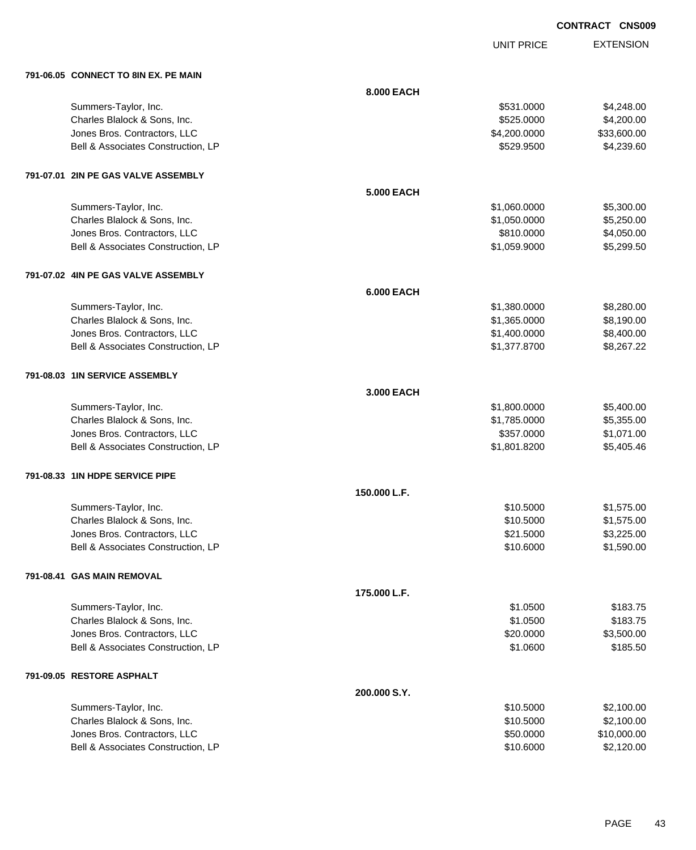UNIT PRICE

| 791-06.05 CONNECT TO 8IN EX. PE MAIN |                   |              |             |
|--------------------------------------|-------------------|--------------|-------------|
|                                      | 8.000 EACH        |              |             |
| Summers-Taylor, Inc.                 |                   | \$531.0000   | \$4,248.00  |
| Charles Blalock & Sons, Inc.         |                   | \$525.0000   | \$4,200.00  |
| Jones Bros. Contractors, LLC         |                   | \$4,200.0000 | \$33,600.00 |
| Bell & Associates Construction, LP   |                   | \$529.9500   | \$4,239.60  |
| 791-07.01 2IN PE GAS VALVE ASSEMBLY  |                   |              |             |
|                                      | <b>5.000 EACH</b> |              |             |
| Summers-Taylor, Inc.                 |                   | \$1,060.0000 | \$5,300.00  |
| Charles Blalock & Sons, Inc.         |                   | \$1,050.0000 | \$5,250.00  |
| Jones Bros. Contractors, LLC         |                   | \$810.0000   | \$4,050.00  |
| Bell & Associates Construction, LP   |                   | \$1,059.9000 | \$5,299.50  |
| 791-07.02 4IN PE GAS VALVE ASSEMBLY  |                   |              |             |
|                                      | <b>6.000 EACH</b> |              |             |
| Summers-Taylor, Inc.                 |                   | \$1,380.0000 | \$8,280.00  |
| Charles Blalock & Sons, Inc.         |                   | \$1,365.0000 | \$8,190.00  |
| Jones Bros. Contractors, LLC         |                   | \$1,400.0000 | \$8,400.00  |
| Bell & Associates Construction, LP   |                   | \$1,377.8700 | \$8,267.22  |
| 791-08.03 1IN SERVICE ASSEMBLY       |                   |              |             |
|                                      | 3.000 EACH        |              |             |
| Summers-Taylor, Inc.                 |                   | \$1,800.0000 | \$5,400.00  |
| Charles Blalock & Sons, Inc.         |                   | \$1,785.0000 | \$5,355.00  |
| Jones Bros. Contractors, LLC         |                   | \$357.0000   | \$1,071.00  |
| Bell & Associates Construction, LP   |                   | \$1,801.8200 | \$5,405.46  |
| 791-08.33 1IN HDPE SERVICE PIPE      |                   |              |             |
|                                      | 150.000 L.F.      |              |             |
| Summers-Taylor, Inc.                 |                   | \$10.5000    | \$1,575.00  |
| Charles Blalock & Sons, Inc.         |                   | \$10.5000    | \$1,575.00  |
| Jones Bros. Contractors, LLC         |                   | \$21.5000    | \$3,225.00  |
| Bell & Associates Construction, LP   |                   | \$10.6000    | \$1,590.00  |
| 791-08.41 GAS MAIN REMOVAL           |                   |              |             |
|                                      | 175.000 L.F.      |              |             |
| Summers-Taylor, Inc.                 |                   | \$1.0500     | \$183.75    |
| Charles Blalock & Sons, Inc.         |                   | \$1.0500     | \$183.75    |
| Jones Bros. Contractors, LLC         |                   | \$20.0000    | \$3,500.00  |
| Bell & Associates Construction, LP   |                   | \$1.0600     | \$185.50    |
| 791-09.05 RESTORE ASPHALT            |                   |              |             |
|                                      | 200.000 S.Y.      |              |             |
| Summers-Taylor, Inc.                 |                   | \$10.5000    | \$2,100.00  |
| Charles Blalock & Sons, Inc.         |                   | \$10.5000    | \$2,100.00  |
| Jones Bros. Contractors, LLC         |                   | \$50.0000    | \$10,000.00 |
| Bell & Associates Construction, LP   |                   | \$10.6000    | \$2,120.00  |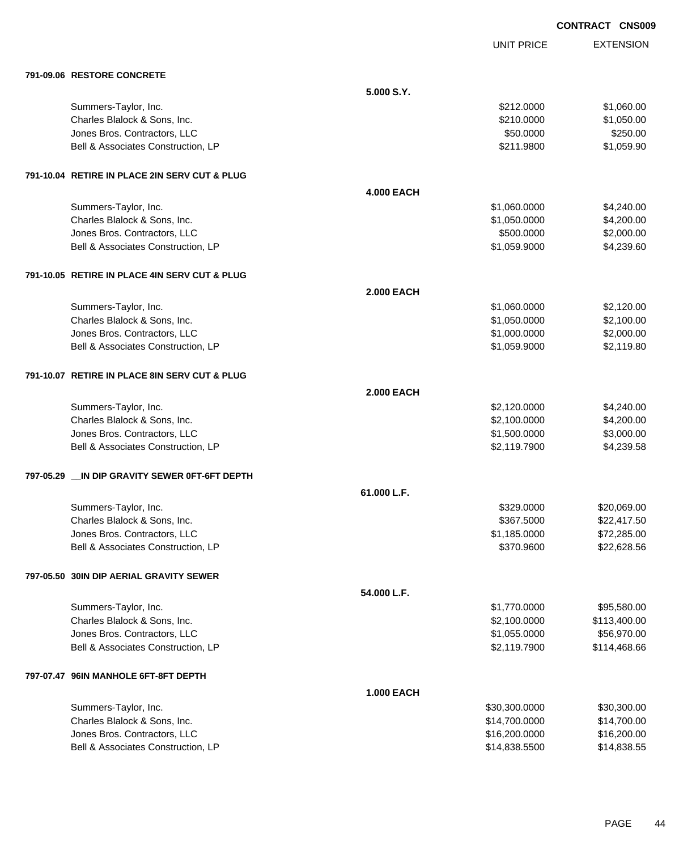UNIT PRICE

|  | 791-09.06 RESTORE CONCRETE |
|--|----------------------------|

| 791-09.06 RESTORE CONCRETE                      |                   |               |              |
|-------------------------------------------------|-------------------|---------------|--------------|
|                                                 | 5.000 S.Y.        |               |              |
| Summers-Taylor, Inc.                            |                   | \$212.0000    | \$1,060.00   |
| Charles Blalock & Sons, Inc.                    |                   | \$210.0000    | \$1,050.00   |
| Jones Bros. Contractors, LLC                    |                   | \$50.0000     | \$250.00     |
| Bell & Associates Construction, LP              |                   | \$211.9800    | \$1,059.90   |
| 791-10.04 RETIRE IN PLACE 2IN SERV CUT & PLUG   |                   |               |              |
|                                                 | <b>4.000 EACH</b> |               |              |
| Summers-Taylor, Inc.                            |                   | \$1,060.0000  | \$4,240.00   |
| Charles Blalock & Sons, Inc.                    |                   | \$1,050.0000  | \$4,200.00   |
| Jones Bros. Contractors, LLC                    |                   | \$500.0000    | \$2,000.00   |
| Bell & Associates Construction, LP              |                   | \$1,059.9000  | \$4,239.60   |
| 791-10.05 RETIRE IN PLACE 4IN SERV CUT & PLUG   |                   |               |              |
|                                                 | <b>2.000 EACH</b> |               |              |
| Summers-Taylor, Inc.                            |                   | \$1,060.0000  | \$2,120.00   |
| Charles Blalock & Sons, Inc.                    |                   | \$1,050.0000  | \$2,100.00   |
| Jones Bros. Contractors, LLC                    |                   | \$1,000.0000  | \$2,000.00   |
| Bell & Associates Construction, LP              |                   | \$1,059.9000  | \$2,119.80   |
| 791-10.07 RETIRE IN PLACE 8IN SERV CUT & PLUG   |                   |               |              |
|                                                 | <b>2.000 EACH</b> |               |              |
| Summers-Taylor, Inc.                            |                   | \$2,120.0000  | \$4,240.00   |
| Charles Blalock & Sons, Inc.                    |                   | \$2,100.0000  | \$4,200.00   |
| Jones Bros. Contractors, LLC                    |                   | \$1,500.0000  | \$3,000.00   |
| Bell & Associates Construction, LP              |                   | \$2,119.7900  | \$4,239.58   |
| 797-05.29 __ IN DIP GRAVITY SEWER 0FT-6FT DEPTH |                   |               |              |
|                                                 | 61.000 L.F.       |               |              |
| Summers-Taylor, Inc.                            |                   | \$329.0000    | \$20,069.00  |
| Charles Blalock & Sons, Inc.                    |                   | \$367.5000    | \$22,417.50  |
| Jones Bros. Contractors, LLC                    |                   | \$1,185.0000  | \$72,285.00  |
| Bell & Associates Construction, LP              |                   | \$370.9600    | \$22,628.56  |
| 797-05.50 30IN DIP AERIAL GRAVITY SEWER         |                   |               |              |
|                                                 | 54.000 L.F.       |               |              |
| Summers-Taylor, Inc.                            |                   | \$1,770.0000  | \$95,580.00  |
| Charles Blalock & Sons, Inc.                    |                   | \$2,100.0000  | \$113,400.00 |
| Jones Bros. Contractors, LLC                    |                   | \$1,055.0000  | \$56,970.00  |
| Bell & Associates Construction, LP              |                   | \$2,119.7900  | \$114,468.66 |
| 797-07.47 96IN MANHOLE 6FT-8FT DEPTH            |                   |               |              |
|                                                 | <b>1.000 EACH</b> |               |              |
| Summers-Taylor, Inc.                            |                   | \$30,300.0000 | \$30,300.00  |
| Charles Blalock & Sons, Inc.                    |                   | \$14,700.0000 | \$14,700.00  |
| Jones Bros. Contractors, LLC                    |                   | \$16,200.0000 | \$16,200.00  |
| Bell & Associates Construction, LP              |                   | \$14,838.5500 | \$14,838.55  |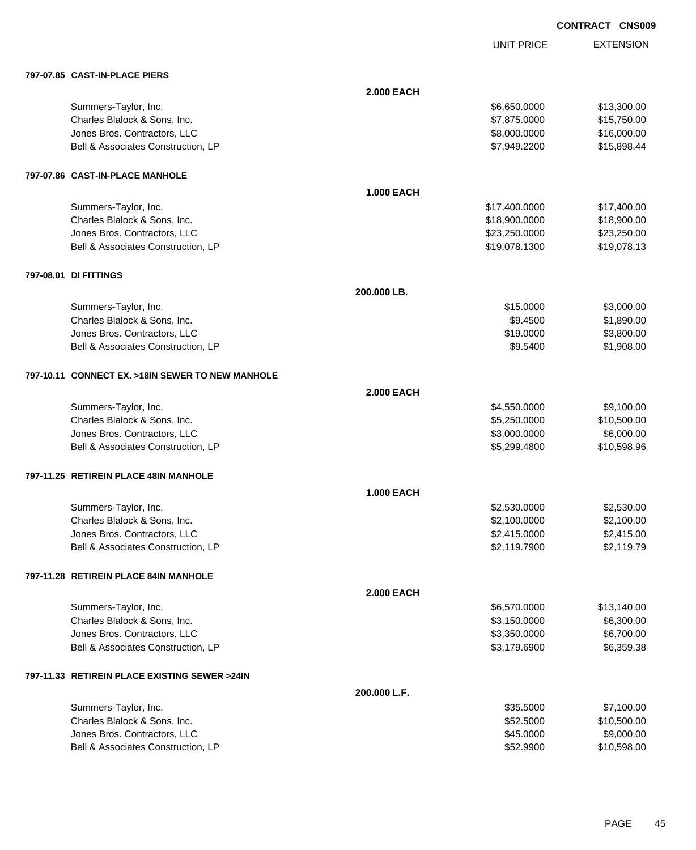UNIT PRICE

| 797-07.85 CAST-IN-PLACE PIERS                    |                   |               |             |
|--------------------------------------------------|-------------------|---------------|-------------|
|                                                  | <b>2.000 EACH</b> |               |             |
| Summers-Taylor, Inc.                             |                   | \$6,650.0000  | \$13,300.00 |
| Charles Blalock & Sons, Inc.                     |                   | \$7,875.0000  | \$15,750.00 |
| Jones Bros. Contractors, LLC                     |                   | \$8,000.0000  | \$16,000.00 |
| Bell & Associates Construction, LP               |                   | \$7,949.2200  | \$15,898.44 |
| 797-07.86 CAST-IN-PLACE MANHOLE                  |                   |               |             |
|                                                  | <b>1.000 EACH</b> |               |             |
| Summers-Taylor, Inc.                             |                   | \$17,400.0000 | \$17,400.00 |
| Charles Blalock & Sons, Inc.                     |                   | \$18,900.0000 | \$18,900.00 |
| Jones Bros. Contractors, LLC                     |                   | \$23,250.0000 | \$23,250.00 |
| Bell & Associates Construction, LP               |                   | \$19,078.1300 | \$19,078.13 |
| 797-08.01 DI FITTINGS                            |                   |               |             |
|                                                  | 200.000 LB.       |               |             |
| Summers-Taylor, Inc.                             |                   | \$15.0000     | \$3,000.00  |
| Charles Blalock & Sons, Inc.                     |                   | \$9.4500      | \$1,890.00  |
| Jones Bros. Contractors, LLC                     |                   | \$19.0000     | \$3,800.00  |
| Bell & Associates Construction, LP               |                   | \$9.5400      | \$1,908.00  |
| 797-10.11 CONNECT EX. >18IN SEWER TO NEW MANHOLE |                   |               |             |
|                                                  | <b>2.000 EACH</b> |               |             |
| Summers-Taylor, Inc.                             |                   | \$4,550.0000  | \$9,100.00  |
| Charles Blalock & Sons, Inc.                     |                   | \$5,250.0000  | \$10,500.00 |
| Jones Bros. Contractors, LLC                     |                   | \$3,000.0000  | \$6,000.00  |
| Bell & Associates Construction, LP               |                   | \$5,299.4800  | \$10,598.96 |
| 797-11.25 RETIREIN PLACE 48IN MANHOLE            |                   |               |             |
|                                                  | <b>1.000 EACH</b> |               |             |
| Summers-Taylor, Inc.                             |                   | \$2,530.0000  | \$2,530.00  |
| Charles Blalock & Sons, Inc.                     |                   | \$2,100.0000  | \$2,100.00  |
| Jones Bros. Contractors, LLC                     |                   | \$2,415.0000  | \$2,415.00  |
| Bell & Associates Construction, LP               |                   | \$2,119.7900  | \$2,119.79  |
| 797-11.28 RETIREIN PLACE 84IN MANHOLE            |                   |               |             |
|                                                  | <b>2.000 EACH</b> |               |             |
| Summers-Taylor, Inc.                             |                   | \$6,570.0000  | \$13,140.00 |
| Charles Blalock & Sons, Inc.                     |                   | \$3,150.0000  | \$6,300.00  |
| Jones Bros. Contractors, LLC                     |                   | \$3,350.0000  | \$6,700.00  |
| Bell & Associates Construction, LP               |                   | \$3,179.6900  | \$6,359.38  |
| 797-11.33 RETIREIN PLACE EXISTING SEWER >24IN    |                   |               |             |
|                                                  | 200.000 L.F.      |               |             |
| Summers-Taylor, Inc.                             |                   | \$35.5000     | \$7,100.00  |
| Charles Blalock & Sons, Inc.                     |                   | \$52.5000     | \$10,500.00 |
| Jones Bros. Contractors, LLC                     |                   | \$45.0000     | \$9,000.00  |
| Bell & Associates Construction, LP               |                   | \$52.9900     | \$10,598.00 |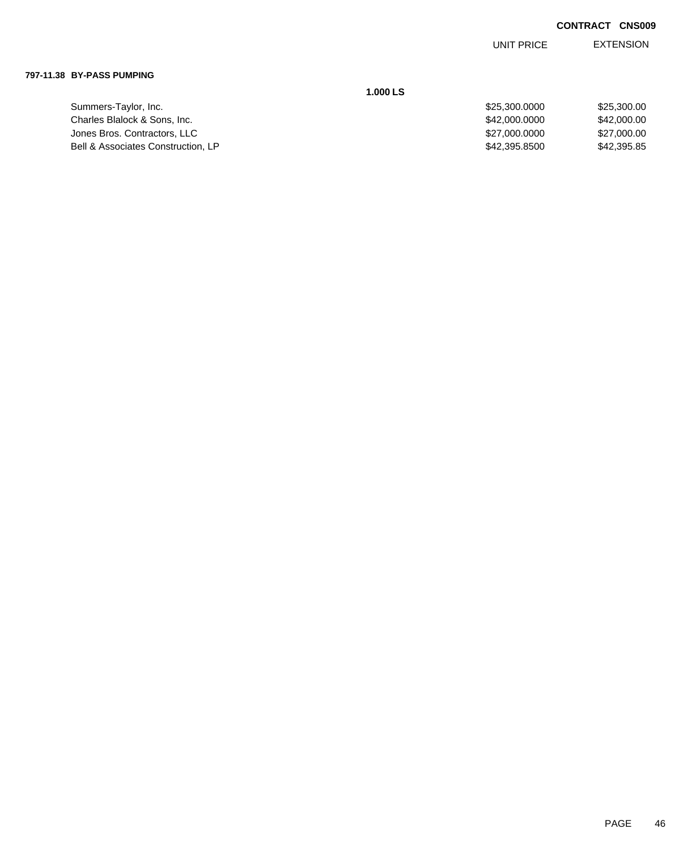EXTENSION UNIT PRICE

#### **797-11.38 BY-PASS PUMPING**

Summers-Taylor, Inc. Charles Blalock & Sons, Inc. Jones Bros. Contractors, LLC Bell & Associates Construction, LP **1.000 LS**

| \$25,300,0000 | \$25,300.00 |
|---------------|-------------|
| \$42,000,0000 | \$42,000,00 |
| \$27,000,0000 | \$27,000,00 |
| \$42,395,8500 | \$42,395,85 |
|               |             |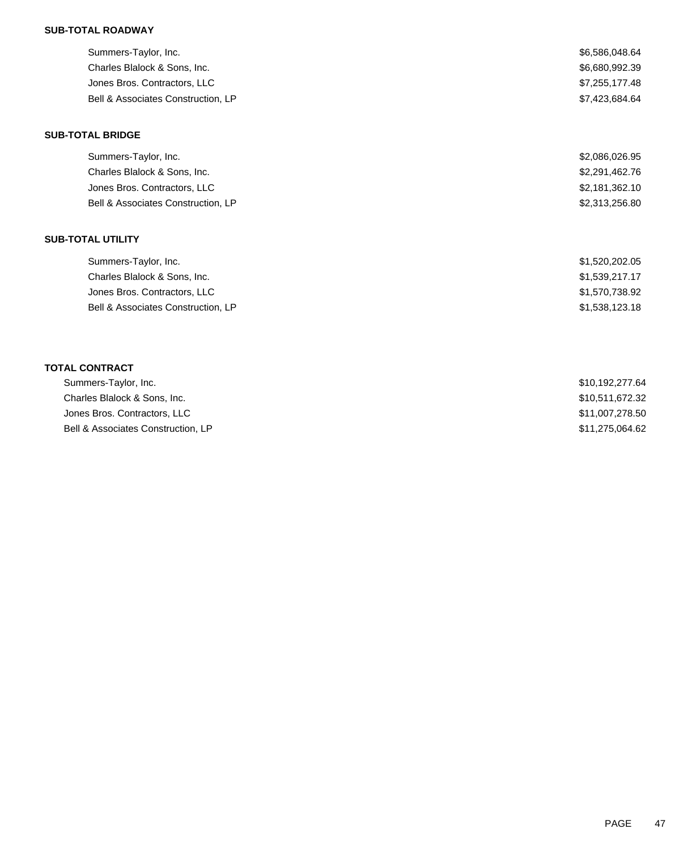## **SUB-TOTAL ROADWAY**

| Summers-Taylor, Inc.               | \$6,586,048.64                          |
|------------------------------------|-----------------------------------------|
| Charles Blalock & Sons, Inc.       | \$6,680,992.39                          |
| Jones Bros. Contractors, LLC       | \$7,255,177.48                          |
| Bell & Associates Construction, LP | \$7,423,684.64                          |
| <b>SUB-TOTAL BRIDGE</b>            |                                         |
| Summers-Taylor, Inc.               | \$2,086,026.95                          |
| Charles Blalock & Sons, Inc.       | \$2,291,462.76                          |
| Jones Bros. Contractors, LLC       | \$2,181,362.10                          |
| Bell & Associates Construction, LP | \$2,313,256.80                          |
| <b>SUB-TOTAL UTILITY</b>           |                                         |
| Summers-Taylor, Inc.               | \$1,520,202.05                          |
| Charles Blalock & Sons, Inc.       | \$1,539,217.17                          |
| Jones Bros. Contractors, LLC       | \$1,570,738.92                          |
| Bell & Associates Construction, LP | \$1,538,123.18                          |
|                                    |                                         |
| <b>TOTAL CONTRACT</b>              |                                         |
| Summers-Taylor, Inc.               | \$10,192,277.64                         |
| Charles Distant, 8 Canalina        | $A \wedge B \wedge A \wedge B \wedge B$ |

| Charles Blalock & Sons. Inc.       | \$10,511,672.32 |
|------------------------------------|-----------------|
| Jones Bros. Contractors, LLC       | \$11,007,278.50 |
| Bell & Associates Construction. LP | \$11,275,064.62 |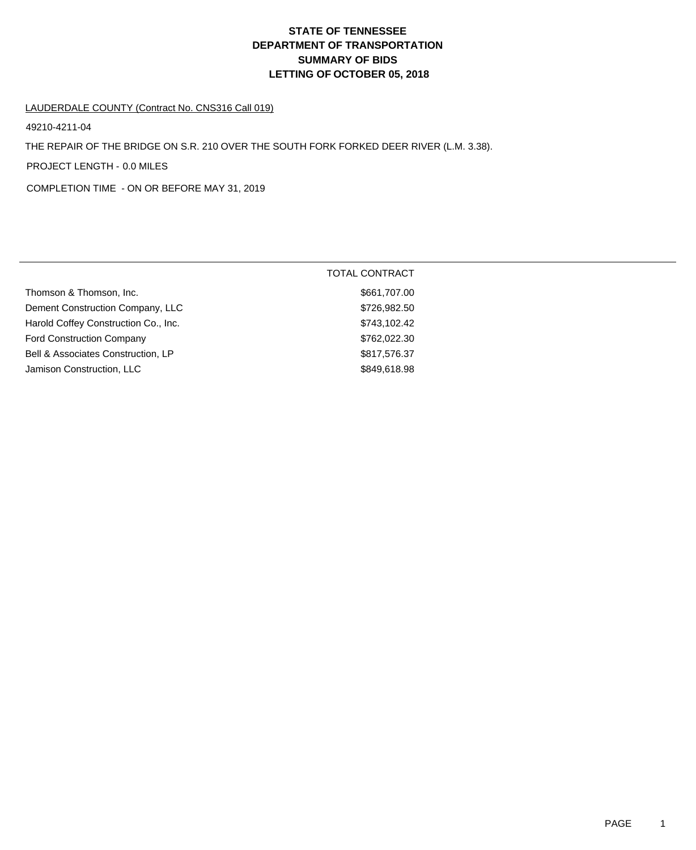# **DEPARTMENT OF TRANSPORTATION SUMMARY OF BIDS LETTING OF OCTOBER 05, 2018 STATE OF TENNESSEE**

### LAUDERDALE COUNTY (Contract No. CNS316 Call 019)

49210-4211-04

THE REPAIR OF THE BRIDGE ON S.R. 210 OVER THE SOUTH FORK FORKED DEER RIVER (L.M. 3.38).

PROJECT LENGTH - 0.0 MILES

COMPLETION TIME - ON OR BEFORE MAY 31, 2019

|                                      | <b>TOTAL CONTRACT</b> |  |
|--------------------------------------|-----------------------|--|
| Thomson & Thomson, Inc.              | \$661,707.00          |  |
| Dement Construction Company, LLC     | \$726,982.50          |  |
| Harold Coffey Construction Co., Inc. | \$743,102.42          |  |
| <b>Ford Construction Company</b>     | \$762,022.30          |  |
| Bell & Associates Construction, LP   | \$817,576.37          |  |
| Jamison Construction, LLC            | \$849,618.98          |  |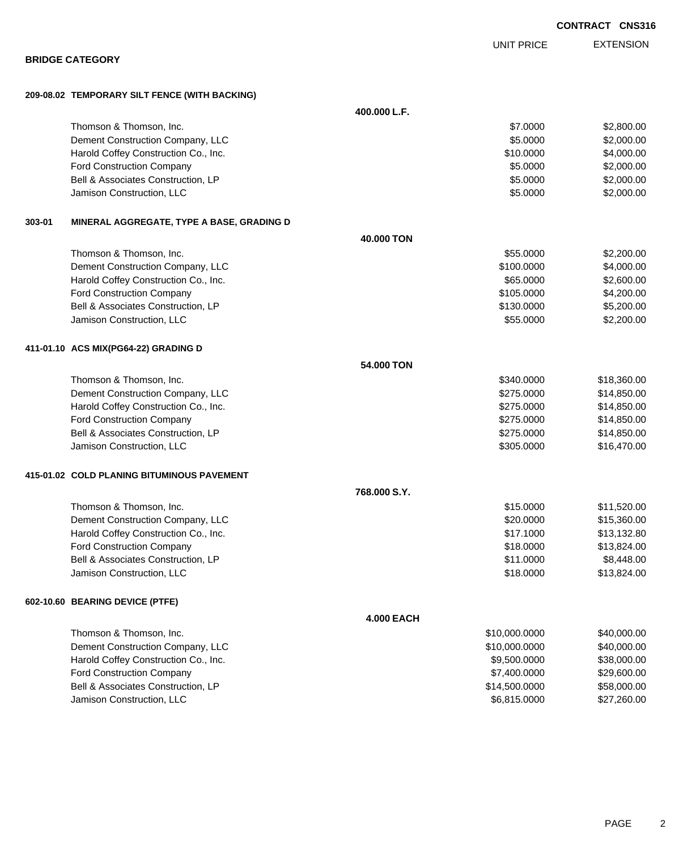|        | <b>BRIDGE CATEGORY</b>                        |                   |               |             |
|--------|-----------------------------------------------|-------------------|---------------|-------------|
|        | 209-08.02 TEMPORARY SILT FENCE (WITH BACKING) |                   |               |             |
|        |                                               | 400.000 L.F.      |               |             |
|        | Thomson & Thomson, Inc.                       |                   | \$7.0000      | \$2,800.00  |
|        | Dement Construction Company, LLC              |                   | \$5.0000      | \$2,000.00  |
|        | Harold Coffey Construction Co., Inc.          |                   | \$10.0000     | \$4,000.00  |
|        | Ford Construction Company                     |                   | \$5.0000      | \$2,000.00  |
|        | Bell & Associates Construction, LP            |                   | \$5.0000      | \$2,000.00  |
|        | Jamison Construction, LLC                     |                   | \$5.0000      | \$2,000.00  |
| 303-01 | MINERAL AGGREGATE, TYPE A BASE, GRADING D     |                   |               |             |
|        |                                               | 40.000 TON        |               |             |
|        | Thomson & Thomson, Inc.                       |                   | \$55.0000     | \$2,200.00  |
|        | Dement Construction Company, LLC              |                   | \$100.0000    | \$4,000.00  |
|        | Harold Coffey Construction Co., Inc.          |                   | \$65.0000     | \$2,600.00  |
|        | Ford Construction Company                     |                   | \$105.0000    | \$4,200.00  |
|        | Bell & Associates Construction, LP            |                   | \$130.0000    | \$5,200.00  |
|        | Jamison Construction, LLC                     |                   | \$55.0000     | \$2,200.00  |
|        | 411-01.10 ACS MIX(PG64-22) GRADING D          |                   |               |             |
|        |                                               | 54.000 TON        |               |             |
|        | Thomson & Thomson, Inc.                       |                   | \$340.0000    | \$18,360.00 |
|        | Dement Construction Company, LLC              |                   | \$275.0000    | \$14,850.00 |
|        | Harold Coffey Construction Co., Inc.          |                   | \$275.0000    | \$14,850.00 |
|        | Ford Construction Company                     |                   | \$275.0000    | \$14,850.00 |
|        | Bell & Associates Construction, LP            |                   | \$275.0000    | \$14,850.00 |
|        | Jamison Construction, LLC                     |                   | \$305.0000    | \$16,470.00 |
|        | 415-01.02 COLD PLANING BITUMINOUS PAVEMENT    |                   |               |             |
|        |                                               | 768.000 S.Y.      |               |             |
|        | Thomson & Thomson, Inc.                       |                   | \$15.0000     | \$11,520.00 |
|        | Dement Construction Company, LLC              |                   | \$20.0000     | \$15,360.00 |
|        | Harold Coffey Construction Co., Inc.          |                   | \$17.1000     | \$13,132.80 |
|        | <b>Ford Construction Company</b>              |                   | \$18.0000     | \$13,824.00 |
|        | Bell & Associates Construction, LP            |                   | \$11.0000     | \$8,448.00  |
|        | Jamison Construction, LLC                     |                   | \$18.0000     | \$13,824.00 |
|        | 602-10.60 BEARING DEVICE (PTFE)               |                   |               |             |
|        |                                               | <b>4.000 EACH</b> |               |             |
|        | Thomson & Thomson, Inc.                       |                   | \$10,000.0000 | \$40,000.00 |
|        | Dement Construction Company, LLC              |                   | \$10,000.0000 | \$40,000.00 |
|        | Harold Coffey Construction Co., Inc.          |                   | \$9,500.0000  | \$38,000.00 |
|        | Ford Construction Company                     |                   | \$7,400.0000  | \$29,600.00 |
|        | Bell & Associates Construction, LP            |                   | \$14,500.0000 | \$58,000.00 |

Jamison Construction, LLC 60000 \$27,260.00

PAGE 2

**CONTRACT CNS316**

EXTENSION UNIT PRICE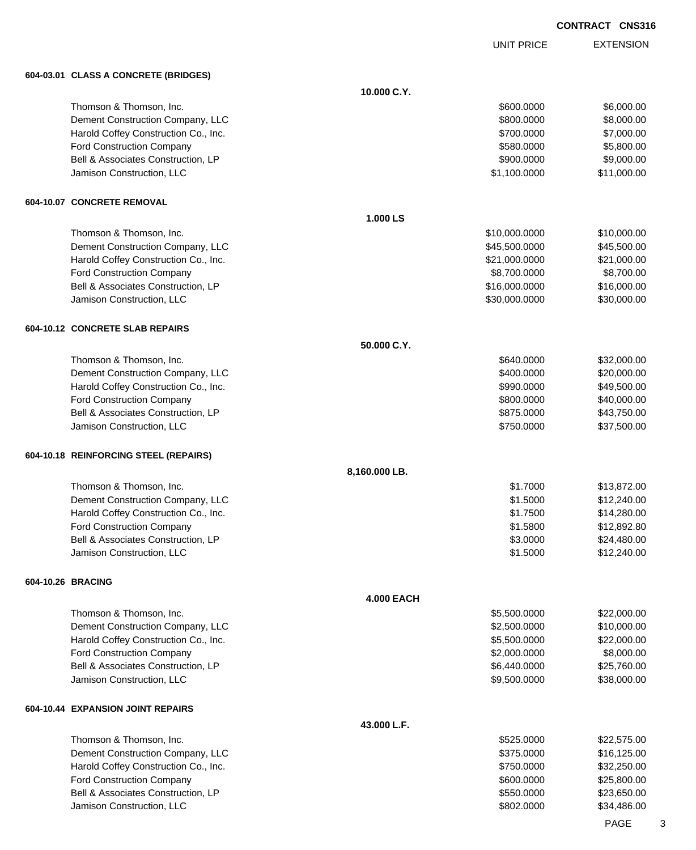UNIT PRICE

EXTENSION

**604-03.01 CLASS A CONCRETE (BRIDGES)**

| וטוסוויום ושישוטא שטאשט ויטוסי        |                   |             |
|---------------------------------------|-------------------|-------------|
|                                       | 10.000 C.Y.       |             |
| Thomson & Thomson, Inc.               | \$600.0000        | \$6,000.00  |
| Dement Construction Company, LLC      | \$800.0000        | \$8,000.00  |
| Harold Coffey Construction Co., Inc.  | \$700.0000        | \$7,000.00  |
| Ford Construction Company             | \$580.0000        | \$5,800.00  |
| Bell & Associates Construction, LP    | \$900.0000        | \$9,000.00  |
| Jamison Construction, LLC             | \$1,100.0000      | \$11,000.00 |
|                                       |                   |             |
| 604-10.07 CONCRETE REMOVAL            |                   |             |
|                                       | 1.000 LS          |             |
| Thomson & Thomson, Inc.               | \$10,000.0000     | \$10,000.00 |
| Dement Construction Company, LLC      | \$45,500.0000     | \$45,500.00 |
| Harold Coffey Construction Co., Inc.  | \$21,000.0000     | \$21,000.00 |
| Ford Construction Company             | \$8,700.0000      | \$8,700.00  |
| Bell & Associates Construction, LP    | \$16,000.0000     | \$16,000.00 |
| Jamison Construction, LLC             | \$30,000.0000     | \$30,000.00 |
| 604-10.12 CONCRETE SLAB REPAIRS       |                   |             |
|                                       | 50.000 C.Y.       |             |
| Thomson & Thomson, Inc.               | \$640.0000        | \$32,000.00 |
| Dement Construction Company, LLC      | \$400,0000        | \$20,000.00 |
| Harold Coffey Construction Co., Inc.  | \$990.0000        | \$49,500.00 |
| Ford Construction Company             | \$800.0000        | \$40,000.00 |
| Bell & Associates Construction, LP    | \$875.0000        | \$43,750.00 |
| Jamison Construction, LLC             | \$750.0000        | \$37,500.00 |
|                                       |                   |             |
| 604-10.18 REINFORCING STEEL (REPAIRS) | 8,160.000 LB.     |             |
| Thomson & Thomson, Inc.               | \$1.7000          | \$13,872.00 |
|                                       |                   |             |
| Dement Construction Company, LLC      | \$1.5000          | \$12,240.00 |
| Harold Coffey Construction Co., Inc.  | \$1.7500          | \$14,280.00 |
| Ford Construction Company             | \$1.5800          | \$12,892.80 |
| Bell & Associates Construction, LP    | \$3.0000          | \$24,480.00 |
| Jamison Construction, LLC             | \$1.5000          | \$12,240.00 |
| 604-10.26 BRACING                     |                   |             |
|                                       | <b>4.000 EACH</b> |             |
| Thomson & Thomson, Inc.               | \$5,500.0000      | \$22,000.00 |
| Dement Construction Company, LLC      | \$2,500.0000      | \$10,000.00 |
| Harold Coffey Construction Co., Inc.  | \$5,500.0000      | \$22,000.00 |
| Ford Construction Company             | \$2,000.0000      | \$8,000.00  |
| Bell & Associates Construction, LP    | \$6,440.0000      | \$25,760.00 |
| Jamison Construction, LLC             | \$9,500.0000      | \$38,000.00 |
| 604-10.44 EXPANSION JOINT REPAIRS     |                   |             |
|                                       | 43.000 L.F.       |             |
| Thomson & Thomson, Inc.               | \$525.0000        | \$22,575.00 |
| Dement Construction Company, LLC      | \$375.0000        | \$16,125.00 |
| Harold Coffey Construction Co., Inc.  | \$750.0000        | \$32,250.00 |
| Ford Construction Company             | \$600.0000        | \$25,800.00 |
| Bell & Associates Construction, LP    | \$550.0000        | \$23,650.00 |
| Jamison Construction, LLC             | \$802.0000        | \$34,486.00 |
|                                       |                   |             |

PAGE 3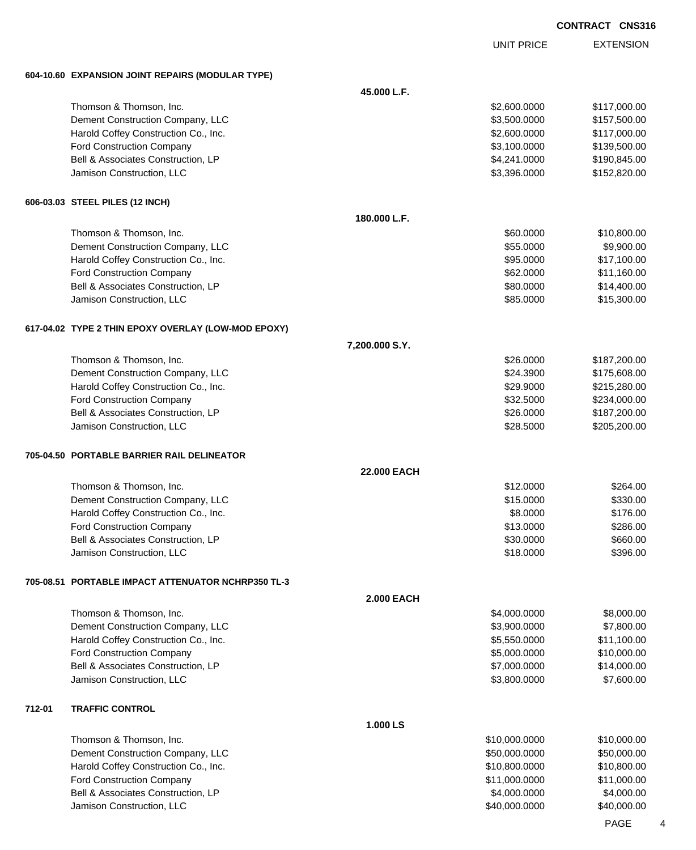UNIT PRICE

|        | 604-10.60 EXPANSION JOINT REPAIRS (MODULAR TYPE)    |                   |               |              |
|--------|-----------------------------------------------------|-------------------|---------------|--------------|
|        |                                                     | 45.000 L.F.       |               |              |
|        | Thomson & Thomson, Inc.                             |                   | \$2,600.0000  | \$117,000.00 |
|        | Dement Construction Company, LLC                    |                   | \$3,500.0000  | \$157,500.00 |
|        | Harold Coffey Construction Co., Inc.                |                   | \$2,600.0000  | \$117,000.00 |
|        | Ford Construction Company                           |                   | \$3,100.0000  | \$139,500.00 |
|        | Bell & Associates Construction, LP                  |                   | \$4,241.0000  | \$190,845.00 |
|        | Jamison Construction, LLC                           |                   | \$3,396.0000  | \$152,820.00 |
|        | 606-03.03 STEEL PILES (12 INCH)                     |                   |               |              |
|        |                                                     | 180.000 L.F.      |               |              |
|        | Thomson & Thomson, Inc.                             |                   | \$60.0000     | \$10,800.00  |
|        | Dement Construction Company, LLC                    |                   | \$55.0000     | \$9,900.00   |
|        | Harold Coffey Construction Co., Inc.                |                   | \$95.0000     | \$17,100.00  |
|        | <b>Ford Construction Company</b>                    |                   | \$62.0000     | \$11,160.00  |
|        | Bell & Associates Construction, LP                  |                   | \$80.0000     | \$14,400.00  |
|        | Jamison Construction, LLC                           |                   | \$85.0000     | \$15,300.00  |
|        | 617-04.02 TYPE 2 THIN EPOXY OVERLAY (LOW-MOD EPOXY) |                   |               |              |
|        |                                                     | 7,200.000 S.Y.    |               |              |
|        | Thomson & Thomson, Inc.                             |                   | \$26,0000     | \$187,200.00 |
|        | Dement Construction Company, LLC                    |                   | \$24.3900     | \$175,608.00 |
|        | Harold Coffey Construction Co., Inc.                |                   | \$29.9000     | \$215,280.00 |
|        | <b>Ford Construction Company</b>                    |                   | \$32.5000     | \$234,000.00 |
|        | Bell & Associates Construction, LP                  |                   | \$26.0000     | \$187,200.00 |
|        | Jamison Construction, LLC                           |                   | \$28.5000     | \$205,200.00 |
|        | 705-04.50 PORTABLE BARRIER RAIL DELINEATOR          |                   |               |              |
|        |                                                     | 22.000 EACH       |               |              |
|        | Thomson & Thomson, Inc.                             |                   | \$12.0000     | \$264.00     |
|        | Dement Construction Company, LLC                    |                   | \$15.0000     | \$330.00     |
|        | Harold Coffey Construction Co., Inc.                |                   | \$8.0000      | \$176.00     |
|        | <b>Ford Construction Company</b>                    |                   | \$13.0000     | \$286.00     |
|        | Bell & Associates Construction, LP                  |                   | \$30.0000     | \$660.00     |
|        | Jamison Construction, LLC                           |                   | \$18.0000     | \$396.00     |
|        | 705-08.51 PORTABLE IMPACT ATTENUATOR NCHRP350 TL-3  |                   |               |              |
|        |                                                     | <b>2.000 EACH</b> |               |              |
|        | Thomson & Thomson, Inc.                             |                   | \$4,000.0000  | \$8,000.00   |
|        | Dement Construction Company, LLC                    |                   | \$3,900.0000  | \$7,800.00   |
|        | Harold Coffey Construction Co., Inc.                |                   | \$5,550.0000  | \$11,100.00  |
|        | <b>Ford Construction Company</b>                    |                   | \$5,000.0000  | \$10,000.00  |
|        | Bell & Associates Construction, LP                  |                   | \$7,000.0000  | \$14,000.00  |
|        | Jamison Construction, LLC                           |                   | \$3,800.0000  | \$7,600.00   |
| 712-01 | <b>TRAFFIC CONTROL</b>                              |                   |               |              |
|        |                                                     | 1.000 LS          |               |              |
|        | Thomson & Thomson, Inc.                             |                   | \$10,000.0000 | \$10,000.00  |
|        | Dement Construction Company, LLC                    |                   | \$50,000.0000 | \$50,000.00  |
|        | Harold Coffey Construction Co., Inc.                |                   | \$10,800.0000 | \$10,800.00  |
|        | Ford Construction Company                           |                   | \$11,000.0000 | \$11,000.00  |
|        | Bell & Associates Construction, LP                  |                   | \$4,000.0000  | \$4,000.00   |
|        | Jamison Construction, LLC                           |                   | \$40,000.0000 | \$40,000.00  |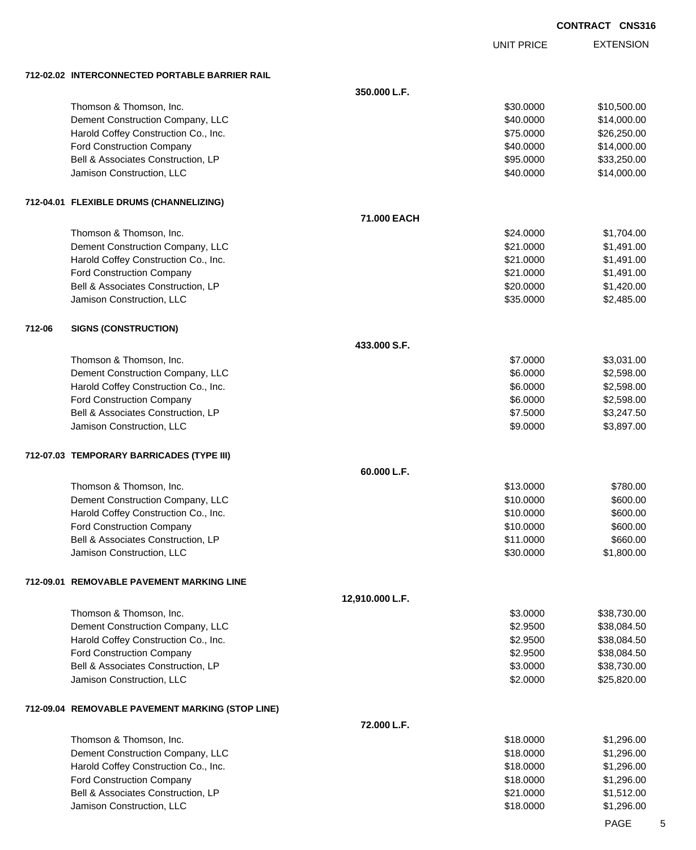UNIT PRICE

EXTENSION

**712-02.02 INTERCONNECT** 

|        | 712-02.02   INTERCONNECTED PORTABLE BARRIER RAIL |                 |           |             |
|--------|--------------------------------------------------|-----------------|-----------|-------------|
|        |                                                  | 350.000 L.F.    |           |             |
|        | Thomson & Thomson, Inc.                          |                 | \$30.0000 | \$10,500.00 |
|        | Dement Construction Company, LLC                 |                 | \$40.0000 | \$14,000.00 |
|        | Harold Coffey Construction Co., Inc.             |                 | \$75.0000 | \$26,250.00 |
|        | <b>Ford Construction Company</b>                 |                 | \$40.0000 | \$14,000.00 |
|        | Bell & Associates Construction, LP               |                 | \$95.0000 | \$33,250.00 |
|        | Jamison Construction, LLC                        |                 | \$40.0000 | \$14,000.00 |
|        | 712-04.01 FLEXIBLE DRUMS (CHANNELIZING)          |                 |           |             |
|        |                                                  | 71.000 EACH     |           |             |
|        | Thomson & Thomson, Inc.                          |                 | \$24.0000 | \$1,704.00  |
|        | Dement Construction Company, LLC                 |                 | \$21.0000 | \$1,491.00  |
|        | Harold Coffey Construction Co., Inc.             |                 | \$21.0000 | \$1,491.00  |
|        | Ford Construction Company                        |                 | \$21.0000 | \$1,491.00  |
|        | Bell & Associates Construction, LP               |                 | \$20.0000 | \$1,420.00  |
|        | Jamison Construction, LLC                        |                 | \$35.0000 | \$2,485.00  |
| 712-06 | <b>SIGNS (CONSTRUCTION)</b>                      |                 |           |             |
|        |                                                  | 433.000 S.F.    |           |             |
|        | Thomson & Thomson, Inc.                          |                 | \$7.0000  | \$3,031.00  |
|        | Dement Construction Company, LLC                 |                 | \$6.0000  | \$2,598.00  |
|        | Harold Coffey Construction Co., Inc.             |                 | \$6.0000  | \$2,598.00  |
|        | <b>Ford Construction Company</b>                 |                 | \$6.0000  | \$2,598.00  |
|        | Bell & Associates Construction, LP               |                 | \$7.5000  | \$3,247.50  |
|        | Jamison Construction, LLC                        |                 | \$9.0000  | \$3,897.00  |
|        | 712-07.03 TEMPORARY BARRICADES (TYPE III)        |                 |           |             |
|        |                                                  | 60.000 L.F.     |           |             |
|        | Thomson & Thomson, Inc.                          |                 | \$13.0000 | \$780.00    |
|        | Dement Construction Company, LLC                 |                 | \$10.0000 | \$600.00    |
|        | Harold Coffey Construction Co., Inc.             |                 | \$10.0000 | \$600.00    |
|        | <b>Ford Construction Company</b>                 |                 | \$10.0000 | \$600.00    |
|        | Bell & Associates Construction, LP               |                 | \$11.0000 | \$660.00    |
|        | Jamison Construction, LLC                        |                 | \$30.0000 | \$1,800.00  |
|        | 712-09.01 REMOVABLE PAVEMENT MARKING LINE        |                 |           |             |
|        |                                                  | 12,910.000 L.F. |           |             |
|        | Thomson & Thomson, Inc.                          |                 | \$3.0000  | \$38,730.00 |
|        | Dement Construction Company, LLC                 |                 | \$2.9500  | \$38,084.50 |
|        | Harold Coffey Construction Co., Inc.             |                 | \$2.9500  | \$38,084.50 |
|        | Ford Construction Company                        |                 | \$2.9500  | \$38,084.50 |
|        | Bell & Associates Construction, LP               |                 | \$3.0000  | \$38,730.00 |
|        | Jamison Construction, LLC                        |                 | \$2.0000  | \$25,820.00 |
|        | 712-09.04 REMOVABLE PAVEMENT MARKING (STOP LINE) |                 |           |             |
|        |                                                  | 72.000 L.F.     |           |             |
|        | Thomson & Thomson, Inc.                          |                 | \$18.0000 | \$1,296.00  |
|        | Dement Construction Company, LLC                 |                 | \$18.0000 | \$1,296.00  |
|        | Harold Coffey Construction Co., Inc.             |                 | \$18.0000 | \$1,296.00  |
|        | <b>Ford Construction Company</b>                 |                 | \$18.0000 | \$1,296.00  |
|        | Bell & Associates Construction, LP               |                 | \$21.0000 | \$1,512.00  |
|        | Jamison Construction, LLC                        |                 | \$18.0000 | \$1,296.00  |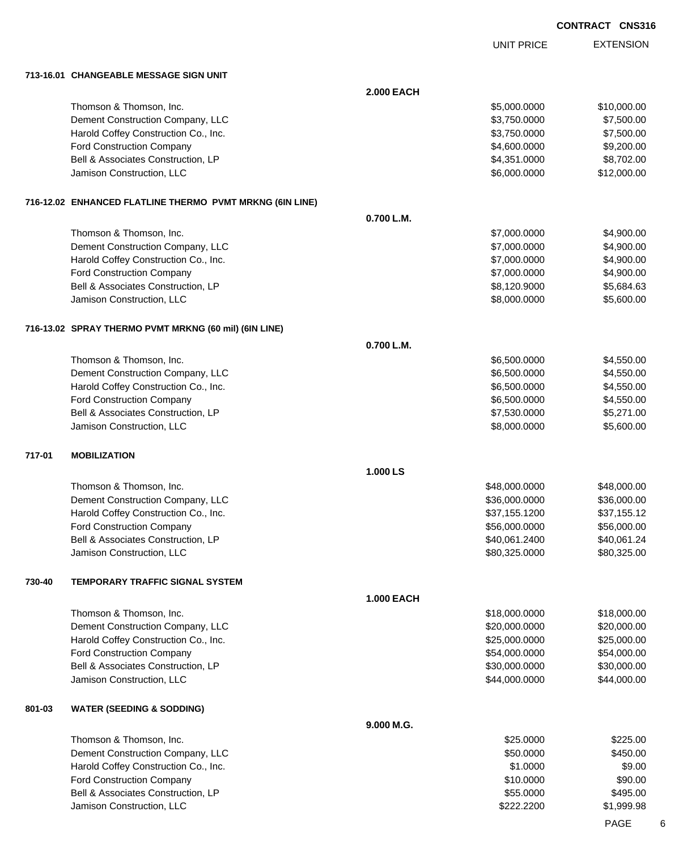|        |                                                          |                   | <b>UNIT PRICE</b> | <b>EXTENSION</b> |
|--------|----------------------------------------------------------|-------------------|-------------------|------------------|
|        |                                                          |                   |                   |                  |
|        | 713-16.01 CHANGEABLE MESSAGE SIGN UNIT                   |                   |                   |                  |
|        |                                                          | <b>2.000 EACH</b> |                   |                  |
|        | Thomson & Thomson, Inc.                                  |                   | \$5,000.0000      | \$10,000.00      |
|        | Dement Construction Company, LLC                         |                   | \$3,750.0000      | \$7,500.00       |
|        | Harold Coffey Construction Co., Inc.                     |                   | \$3,750.0000      | \$7,500.00       |
|        | Ford Construction Company                                |                   | \$4,600.0000      | \$9,200.00       |
|        | Bell & Associates Construction, LP                       |                   | \$4,351.0000      | \$8,702.00       |
|        | Jamison Construction, LLC                                |                   | \$6,000.0000      | \$12,000.00      |
|        |                                                          |                   |                   |                  |
|        | 716-12.02 ENHANCED FLATLINE THERMO PVMT MRKNG (6IN LINE) |                   |                   |                  |
|        |                                                          | 0.700 L.M.        |                   |                  |
|        | Thomson & Thomson, Inc.                                  |                   | \$7,000.0000      | \$4,900.00       |
|        | Dement Construction Company, LLC                         |                   | \$7,000.0000      | \$4,900.00       |
|        | Harold Coffey Construction Co., Inc.                     |                   | \$7,000.0000      | \$4,900.00       |
|        | Ford Construction Company                                |                   | \$7,000.0000      | \$4,900.00       |
|        | Bell & Associates Construction, LP                       |                   | \$8,120.9000      | \$5,684.63       |
|        | Jamison Construction, LLC                                |                   | \$8,000.0000      | \$5,600.00       |
|        |                                                          |                   |                   |                  |
|        | 716-13.02 SPRAY THERMO PVMT MRKNG (60 mil) (6IN LINE)    |                   |                   |                  |
|        |                                                          | 0.700 L.M.        |                   |                  |
|        | Thomson & Thomson, Inc.                                  |                   | \$6,500.0000      | \$4,550.00       |
|        | Dement Construction Company, LLC                         |                   | \$6,500.0000      | \$4,550.00       |
|        | Harold Coffey Construction Co., Inc.                     |                   | \$6,500.0000      | \$4,550.00       |
|        | Ford Construction Company                                |                   | \$6,500.0000      | \$4,550.00       |
|        | Bell & Associates Construction, LP                       |                   | \$7,530.0000      | \$5,271.00       |
|        | Jamison Construction, LLC                                |                   | \$8,000.0000      | \$5,600.00       |
|        |                                                          |                   |                   |                  |
| 717-01 | <b>MOBILIZATION</b>                                      |                   |                   |                  |
|        |                                                          | 1.000 LS          |                   |                  |
|        | Thomson & Thomson, Inc.                                  |                   | \$48,000.0000     | \$48,000.00      |
|        | Dement Construction Company, LLC                         |                   | \$36,000.0000     | \$36,000.00      |
|        | Harold Coffey Construction Co., Inc.                     |                   | \$37,155.1200     | \$37,155.12      |
|        | <b>Ford Construction Company</b>                         |                   | \$56,000.0000     | \$56,000.00      |
|        | Bell & Associates Construction, LP                       |                   | \$40,061.2400     | \$40,061.24      |
|        | Jamison Construction, LLC                                |                   | \$80,325.0000     | \$80,325.00      |
|        |                                                          |                   |                   |                  |
| 730-40 | <b>TEMPORARY TRAFFIC SIGNAL SYSTEM</b>                   |                   |                   |                  |
|        |                                                          | <b>1.000 EACH</b> |                   |                  |
|        | Thomson & Thomson, Inc.                                  |                   | \$18,000.0000     | \$18,000.00      |
|        | Dement Construction Company, LLC                         |                   | \$20,000.0000     | \$20,000.00      |
|        | Harold Coffey Construction Co., Inc.                     |                   | \$25,000.0000     | \$25,000.00      |
|        | Ford Construction Company                                |                   | \$54,000.0000     | \$54,000.00      |
|        | Bell & Associates Construction, LP                       |                   | \$30,000.0000     | \$30,000.00      |
|        | Jamison Construction, LLC                                |                   | \$44,000.0000     | \$44,000.00      |
|        |                                                          |                   |                   |                  |
| 801-03 | <b>WATER (SEEDING &amp; SODDING)</b>                     |                   |                   |                  |
|        |                                                          | 9.000 M.G.        |                   |                  |
|        | Thomson & Thomson, Inc.                                  |                   | \$25.0000         | \$225.00         |
|        | Dement Construction Company, LLC                         |                   | \$50.0000         | \$450.00         |
|        | Harold Coffey Construction Co., Inc.                     |                   | \$1.0000          | \$9.00           |
|        | Ford Construction Company                                |                   | \$10.0000         | \$90.00          |
|        | Bell & Associates Construction, LP                       |                   | \$55.0000         | \$495.00         |
|        | Jamison Construction, LLC                                |                   | \$222.2200        | \$1,999.98       |

PAGE 6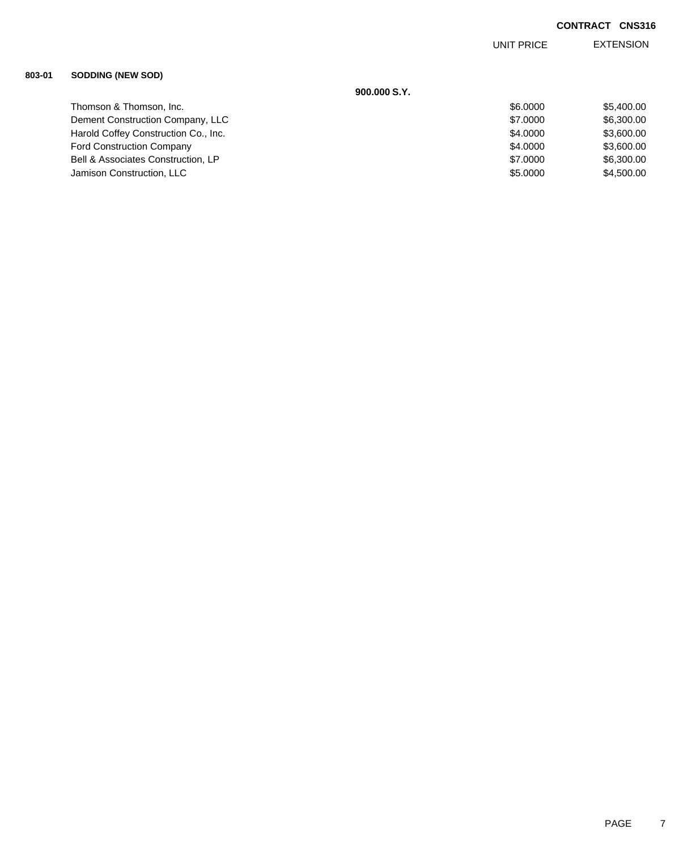EXTENSION UNIT PRICE

## **803-01 SODDING (NEW SOD)**

|                                      | 900,000 S.Y. |            |
|--------------------------------------|--------------|------------|
| Thomson & Thomson, Inc.              | \$6,0000     | \$5,400.00 |
| Dement Construction Company, LLC     | \$7,0000     | \$6,300.00 |
| Harold Coffey Construction Co., Inc. | \$4,0000     | \$3,600.00 |
| <b>Ford Construction Company</b>     | \$4,0000     | \$3,600.00 |
| Bell & Associates Construction, LP   | \$7,0000     | \$6,300.00 |
| Jamison Construction, LLC            | \$5,0000     | \$4,500.00 |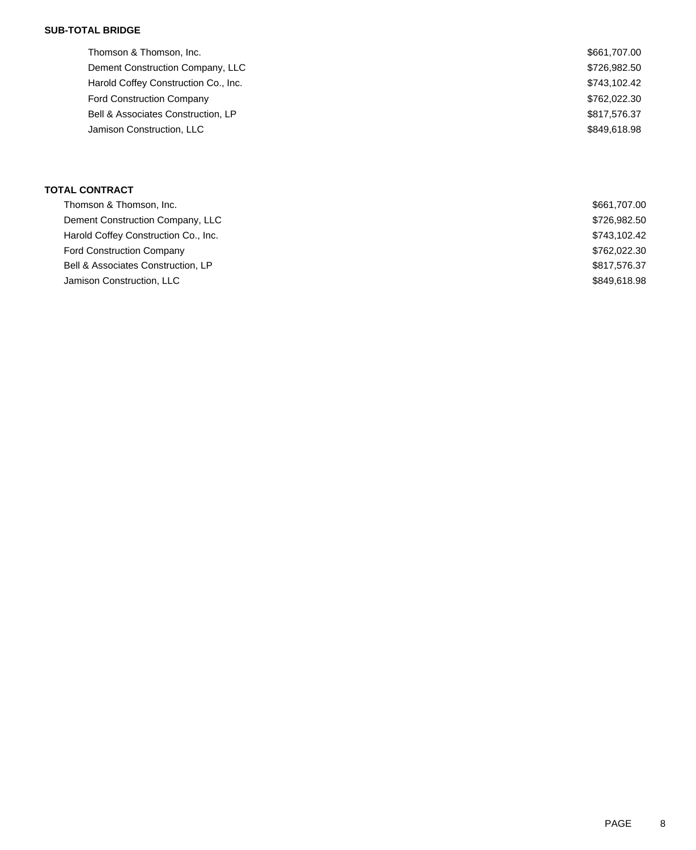## **SUB-TOTAL BRIDGE**

| Thomson & Thomson, Inc.              | \$661,707.00 |
|--------------------------------------|--------------|
| Dement Construction Company, LLC     | \$726,982.50 |
| Harold Coffey Construction Co., Inc. | \$743,102.42 |
| <b>Ford Construction Company</b>     | \$762,022.30 |
| Bell & Associates Construction, LP   | \$817,576.37 |
| Jamison Construction, LLC            | \$849,618.98 |
|                                      |              |

## **TOTAL CONTRACT**

| \$661,707.00 |
|--------------|
| \$726,982.50 |
| \$743,102.42 |
| \$762,022.30 |
| \$817,576.37 |
| \$849,618.98 |
|              |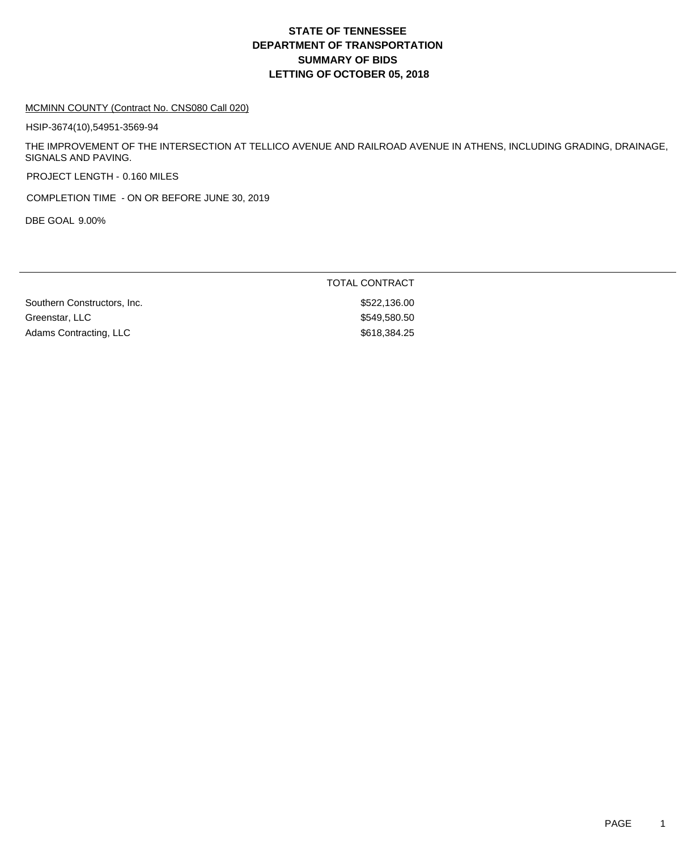## **DEPARTMENT OF TRANSPORTATION SUMMARY OF BIDS LETTING OF OCTOBER 05, 2018 STATE OF TENNESSEE**

#### MCMINN COUNTY (Contract No. CNS080 Call 020)

HSIP-3674(10),54951-3569-94

THE IMPROVEMENT OF THE INTERSECTION AT TELLICO AVENUE AND RAILROAD AVENUE IN ATHENS, INCLUDING GRADING, DRAINAGE, SIGNALS AND PAVING.

PROJECT LENGTH - 0.160 MILES

COMPLETION TIME - ON OR BEFORE JUNE 30, 2019

DBE GOAL 9.00%

|                             | TOTAL CONTRACT |
|-----------------------------|----------------|
| Southern Constructors, Inc. | \$522,136.00   |
| Greenstar, LLC              | \$549,580.50   |
| Adams Contracting, LLC      | \$618,384,25   |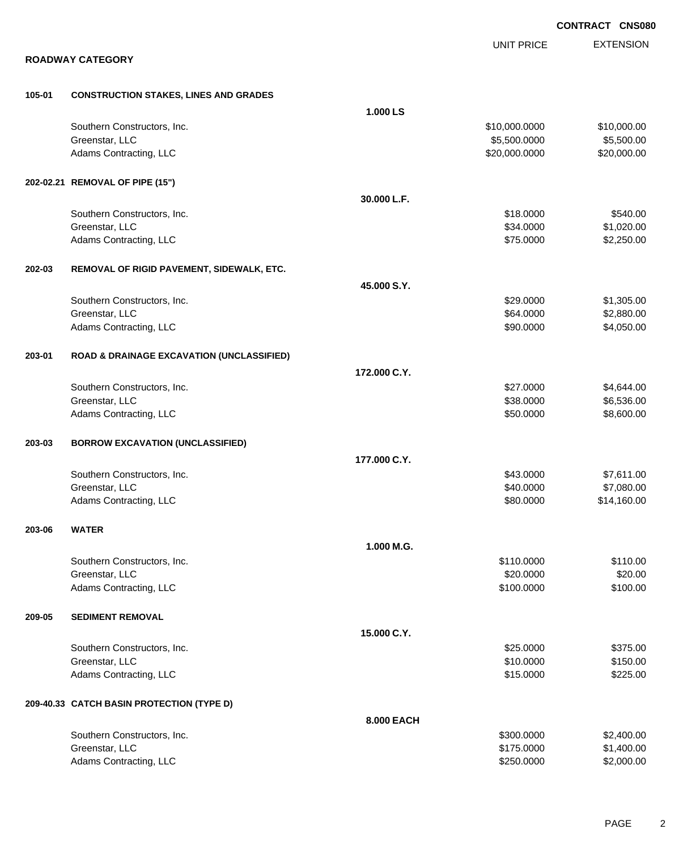EXTENSION **CONTRACT CNS080** UNIT PRICE **ROADWAY CATEGORY 105-01 CONSTRUCTION STAKES, LINES AND GRADES 1.000 LS** Southern Constructors, Inc. 6. 2010. The state of the state of the state of the state of the state of the state of the state of the state of the state of the state of the state of the state of the state of the state of the Greenstar, LLC 65,500.000 \$5,500.000 \$5,500.000 \$5,500.000 \$5,500.000 \$5,500.000 \$5,500.00 Adams Contracting, LLC 620,000.000 \$20,000.000 \$20,000.000 \$20,000.000 \$20,000.000 \$20,000.00 **202-02.21 REMOVAL OF PIPE (15") 30.000 L.F.** Southern Constructors, Inc. 6540.00 \$540.00 \$540.00 \$540.00 \$540.00 \$540.00 \$5540.00 Greenstar, LLC \$34.0000 \$1,020.00 Adams Contracting, LLC 62,250.00 \$2,250.00 \$2,250.00 **202-03 REMOVAL OF RIGID PAVEMENT, SIDEWALK, ETC. 45.000 S.Y.** Southern Constructors, Inc. 6. The Southern Constructors, Inc. 6. The Southern Constructors, Inc. 6. The Southern Constructors, Inc. 6. The Southern Constructors, Inc. 6. The Southern Constructors, Inc. 6. The Southern Con Greenstar, LLC \$64.0000 \$2,880.00 Adams Contracting, LLC 60000 \$4,050.00 **203-01 ROAD & DRAINAGE EXCAVATION (UNCLASSIFIED) 172.000 C.Y.** Southern Constructors, Inc. 6. The Constructors of the Constructors, Inc. 6. The Constructors, Inc. 6. Separation of the Constructors, Inc. 6. Separation of the Constructors, Inc. 6. Separation of the Constructors, Inc. 6. Greenstar, LLC 65,536.000 \$6,536.00 Adams Contracting, LLC 6. The state of the state of the state of the state of the state of the state of the state of the state of the state of the state of the state of the state of the state of the state of the state of t **203-03 BORROW EXCAVATION (UNCLASSIFIED) 177.000 C.Y.** Southern Constructors, Inc. 6. The Constructors of the Constructors, Inc. 6. The Constructors, Inc. 6. The Constructors of the Constructors of the Constructors, Inc. 6. The Constructors of the Constructors of the Construct Greenstar, LLC \$40.0000 \$7,080.00 Adams Contracting, LLC 614,160.00 \$14,160.00 **203-06 WATER 1.000 M.G.** Southern Constructors, Inc. 6110.000 \$110.000 \$110.000 \$110.000 \$110.000 \$110.000 \$110.00 Greenstar, LLC \$20.000 \$20.000 \$20.000 \$20.000 \$20.000 \$20.000 \$20.000 \$20.000 \$20.00 \$20.00 \$20.00 \$20.00 \$20 Adams Contracting, LLC 6100.000 \$100.000 \$100.000 \$100.000 \$100.000 \$100.000 \$100.00 **209-05 SEDIMENT REMOVAL 15.000 C.Y.** Southern Constructors, Inc. 6375.00 \$375.00 \$375.00 \$375.00 \$375.00 \$375.00 \$375.00 \$5375.00 \$5375.00 \$5375.00 Greenstar, LLC \$150.000 \$150.00 Adams Contracting, LLC 6. The State of the State of the State of the State of State of State of State of State of State of State of State of State of State of State of State of State of State of State of State of State of **209-40.33 CATCH BASIN PROTECTION (TYPE D) 8.000 EACH** Southern Constructors, Inc. 6. The Constructors of the Constructors, Inc. 6. The Constructors, Inc. 6. The Constructors of the Constructors of the Constructors of the Constructors of the Constructors of the Constructors of Greenstar, LLC \$175.0000 \$1,400.00

Adams Contracting, LLC 6. 2000.00 \$2,000.00 \$2,000.00 \$2,000.00 \$2,000.00 \$2,000.00 \$2,000.00 \$2,000.00 \$2,000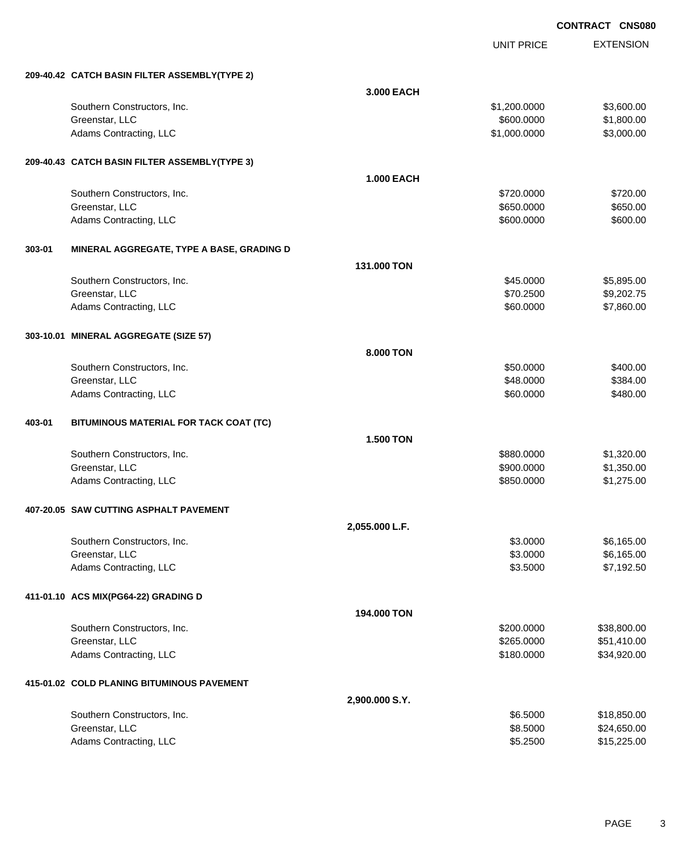UNIT PRICE

|        | 209-40.42 CATCH BASIN FILTER ASSEMBLY(TYPE 2) |                   |              |             |
|--------|-----------------------------------------------|-------------------|--------------|-------------|
|        |                                               | 3.000 EACH        |              |             |
|        | Southern Constructors, Inc.                   |                   | \$1,200.0000 | \$3,600.00  |
|        | Greenstar, LLC                                |                   | \$600.0000   | \$1,800.00  |
|        | Adams Contracting, LLC                        |                   | \$1,000.0000 | \$3,000.00  |
|        | 209-40.43 CATCH BASIN FILTER ASSEMBLY(TYPE 3) |                   |              |             |
|        |                                               | <b>1.000 EACH</b> |              |             |
|        | Southern Constructors, Inc.                   |                   | \$720.0000   | \$720.00    |
|        | Greenstar, LLC                                |                   | \$650.0000   | \$650.00    |
|        | Adams Contracting, LLC                        |                   | \$600.0000   | \$600.00    |
| 303-01 | MINERAL AGGREGATE, TYPE A BASE, GRADING D     |                   |              |             |
|        |                                               | 131.000 TON       |              |             |
|        | Southern Constructors, Inc.                   |                   | \$45.0000    | \$5,895.00  |
|        | Greenstar, LLC                                |                   | \$70.2500    | \$9,202.75  |
|        | Adams Contracting, LLC                        |                   | \$60.0000    | \$7,860.00  |
|        | 303-10.01 MINERAL AGGREGATE (SIZE 57)         |                   |              |             |
|        |                                               | 8.000 TON         |              |             |
|        | Southern Constructors, Inc.                   |                   | \$50.0000    | \$400.00    |
|        | Greenstar, LLC                                |                   | \$48.0000    | \$384.00    |
|        | Adams Contracting, LLC                        |                   | \$60.0000    | \$480.00    |
| 403-01 | BITUMINOUS MATERIAL FOR TACK COAT (TC)        |                   |              |             |
|        |                                               | <b>1.500 TON</b>  |              |             |
|        | Southern Constructors, Inc.                   |                   | \$880.0000   | \$1,320.00  |
|        | Greenstar, LLC                                |                   | \$900.0000   | \$1,350.00  |
|        | Adams Contracting, LLC                        |                   | \$850.0000   | \$1,275.00  |
|        | 407-20.05 SAW CUTTING ASPHALT PAVEMENT        |                   |              |             |
|        |                                               | 2,055.000 L.F.    |              |             |
|        | Southern Constructors, Inc.                   |                   | \$3.0000     | \$6,165.00  |
|        | Greenstar, LLC                                |                   | \$3.0000     | \$6,165.00  |
|        | Adams Contracting, LLC                        |                   | \$3.5000     | \$7,192.50  |
|        | 411-01.10 ACS MIX(PG64-22) GRADING D          |                   |              |             |
|        |                                               | 194.000 TON       |              |             |
|        | Southern Constructors, Inc.                   |                   | \$200.0000   | \$38,800.00 |
|        | Greenstar, LLC                                |                   | \$265.0000   | \$51,410.00 |
|        | Adams Contracting, LLC                        |                   | \$180.0000   | \$34,920.00 |
|        | 415-01.02 COLD PLANING BITUMINOUS PAVEMENT    |                   |              |             |
|        |                                               | 2,900.000 S.Y.    |              |             |
|        | Southern Constructors, Inc.                   |                   | \$6.5000     | \$18,850.00 |
|        | Greenstar, LLC                                |                   | \$8.5000     | \$24,650.00 |
|        | Adams Contracting, LLC                        |                   | \$5.2500     | \$15,225.00 |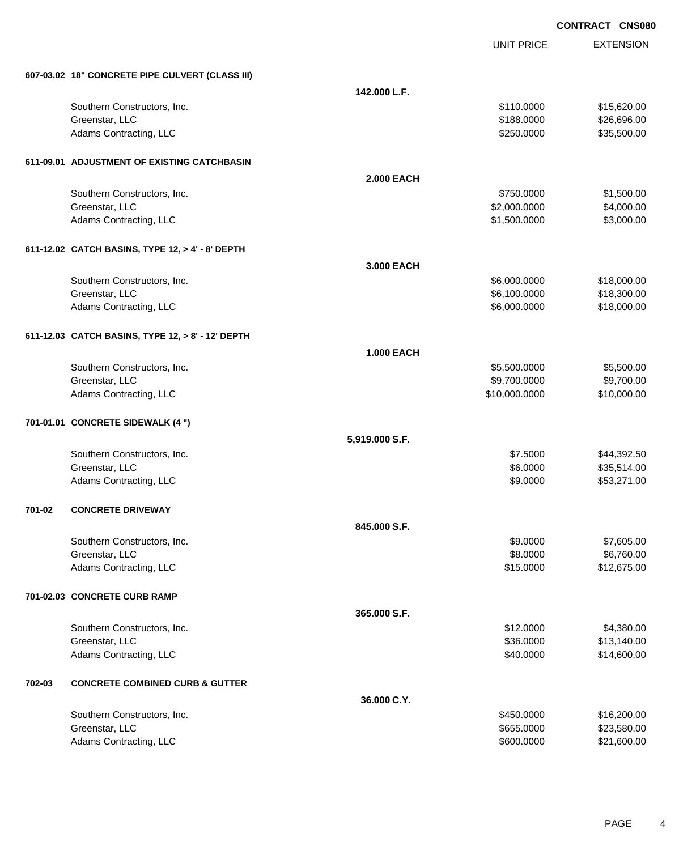UNIT PRICE EXTENSION

|        | 607-03.02 18" CONCRETE PIPE CULVERT (CLASS III)   |                   |               |             |
|--------|---------------------------------------------------|-------------------|---------------|-------------|
|        |                                                   | 142.000 L.F.      |               |             |
|        | Southern Constructors, Inc.                       |                   | \$110.0000    | \$15,620.00 |
|        | Greenstar, LLC                                    |                   | \$188.0000    | \$26,696.00 |
|        | Adams Contracting, LLC                            |                   | \$250.0000    | \$35,500.00 |
|        | 611-09.01 ADJUSTMENT OF EXISTING CATCHBASIN       |                   |               |             |
|        |                                                   | <b>2.000 EACH</b> |               |             |
|        | Southern Constructors, Inc.                       |                   | \$750.0000    | \$1,500.00  |
|        | Greenstar, LLC                                    |                   | \$2,000.0000  | \$4,000.00  |
|        | Adams Contracting, LLC                            |                   | \$1,500.0000  | \$3,000.00  |
|        | 611-12.02 CATCH BASINS, TYPE 12, > 4' - 8' DEPTH  |                   |               |             |
|        |                                                   | 3.000 EACH        |               |             |
|        | Southern Constructors, Inc.                       |                   | \$6,000.0000  | \$18,000.00 |
|        | Greenstar, LLC                                    |                   | \$6,100.0000  | \$18,300.00 |
|        | Adams Contracting, LLC                            |                   | \$6,000.0000  | \$18,000.00 |
|        | 611-12.03 CATCH BASINS, TYPE 12, > 8' - 12' DEPTH |                   |               |             |
|        |                                                   | <b>1.000 EACH</b> |               |             |
|        | Southern Constructors, Inc.                       |                   | \$5,500.0000  | \$5,500.00  |
|        | Greenstar, LLC                                    |                   | \$9,700.0000  | \$9,700.00  |
|        | Adams Contracting, LLC                            |                   | \$10,000.0000 | \$10,000.00 |
|        | 701-01.01 CONCRETE SIDEWALK (4 ")                 |                   |               |             |
|        |                                                   | 5,919.000 S.F.    |               |             |
|        | Southern Constructors, Inc.                       |                   | \$7.5000      | \$44,392.50 |
|        | Greenstar, LLC                                    |                   | \$6.0000      | \$35,514.00 |
|        | Adams Contracting, LLC                            |                   | \$9.0000      | \$53,271.00 |
| 701-02 | <b>CONCRETE DRIVEWAY</b>                          |                   |               |             |
|        |                                                   | 845.000 S.F.      |               |             |
|        | Southern Constructors, Inc.                       |                   | \$9.0000      | \$7,605.00  |
|        | Greenstar, LLC                                    |                   | \$8.0000      | \$6,760.00  |
|        | Adams Contracting, LLC                            |                   | \$15.0000     | \$12,675.00 |
|        | 701-02.03 CONCRETE CURB RAMP                      |                   |               |             |
|        |                                                   | 365.000 S.F.      |               |             |
|        | Southern Constructors, Inc.                       |                   | \$12.0000     | \$4,380.00  |
|        | Greenstar, LLC                                    |                   | \$36.0000     | \$13,140.00 |
|        | Adams Contracting, LLC                            |                   | \$40.0000     | \$14,600.00 |
| 702-03 | <b>CONCRETE COMBINED CURB &amp; GUTTER</b>        |                   |               |             |
|        |                                                   | 36.000 C.Y.       |               |             |
|        | Southern Constructors, Inc.                       |                   | \$450.0000    | \$16,200.00 |
|        | Greenstar, LLC                                    |                   | \$655.0000    | \$23,580.00 |
|        | Adams Contracting, LLC                            |                   | \$600.0000    | \$21,600.00 |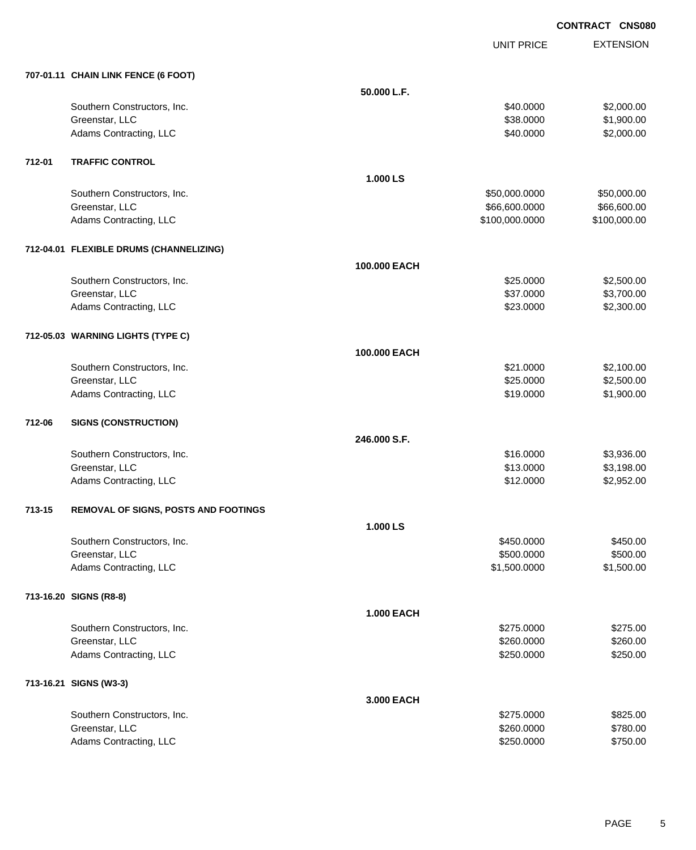EXTENSION **CONTRACT CNS080**

UNIT PRICE

|        | 707-01.11 CHAIN LINK FENCE (6 FOOT)     |                   |                |              |
|--------|-----------------------------------------|-------------------|----------------|--------------|
|        |                                         | 50.000 L.F.       |                |              |
|        | Southern Constructors, Inc.             |                   | \$40.0000      | \$2,000.00   |
|        | Greenstar, LLC                          |                   | \$38.0000      | \$1,900.00   |
|        | Adams Contracting, LLC                  |                   | \$40.0000      | \$2,000.00   |
| 712-01 | <b>TRAFFIC CONTROL</b>                  |                   |                |              |
|        |                                         | 1.000 LS          |                |              |
|        | Southern Constructors, Inc.             |                   | \$50,000.0000  | \$50,000.00  |
|        | Greenstar, LLC                          |                   | \$66,600.0000  | \$66,600.00  |
|        | Adams Contracting, LLC                  |                   | \$100,000.0000 | \$100,000.00 |
|        | 712-04.01 FLEXIBLE DRUMS (CHANNELIZING) |                   |                |              |
|        |                                         | 100.000 EACH      |                |              |
|        | Southern Constructors, Inc.             |                   | \$25.0000      | \$2,500.00   |
|        | Greenstar, LLC                          |                   | \$37.0000      | \$3,700.00   |
|        | Adams Contracting, LLC                  |                   | \$23.0000      | \$2,300.00   |
|        | 712-05.03 WARNING LIGHTS (TYPE C)       |                   |                |              |
|        |                                         | 100.000 EACH      |                |              |
|        | Southern Constructors, Inc.             |                   | \$21.0000      | \$2,100.00   |
|        | Greenstar, LLC                          |                   | \$25.0000      | \$2,500.00   |
|        | Adams Contracting, LLC                  |                   | \$19.0000      | \$1,900.00   |
| 712-06 | <b>SIGNS (CONSTRUCTION)</b>             |                   |                |              |
|        |                                         | 246.000 S.F.      |                |              |
|        | Southern Constructors, Inc.             |                   | \$16.0000      | \$3,936.00   |
|        | Greenstar, LLC                          |                   | \$13.0000      | \$3,198.00   |
|        | Adams Contracting, LLC                  |                   | \$12.0000      | \$2,952.00   |
| 713-15 | REMOVAL OF SIGNS, POSTS AND FOOTINGS    |                   |                |              |
|        |                                         | 1.000 LS          |                |              |
|        | Southern Constructors, Inc.             |                   | \$450.0000     | \$450.00     |
|        | Greenstar, LLC                          |                   | \$500.0000     | \$500.00     |
|        | Adams Contracting, LLC                  |                   | \$1,500.0000   | \$1,500.00   |
|        | 713-16.20 SIGNS (R8-8)                  |                   |                |              |
|        |                                         | <b>1.000 EACH</b> |                |              |
|        | Southern Constructors, Inc.             |                   | \$275.0000     | \$275.00     |
|        | Greenstar, LLC                          |                   | \$260.0000     | \$260.00     |
|        | Adams Contracting, LLC                  |                   | \$250.0000     | \$250.00     |
|        | 713-16.21 SIGNS (W3-3)                  |                   |                |              |
|        |                                         | 3.000 EACH        |                |              |
|        | Southern Constructors, Inc.             |                   | \$275.0000     | \$825.00     |
|        | Greenstar, LLC                          |                   | \$260.0000     | \$780.00     |
|        | Adams Contracting, LLC                  |                   | \$250.0000     | \$750.00     |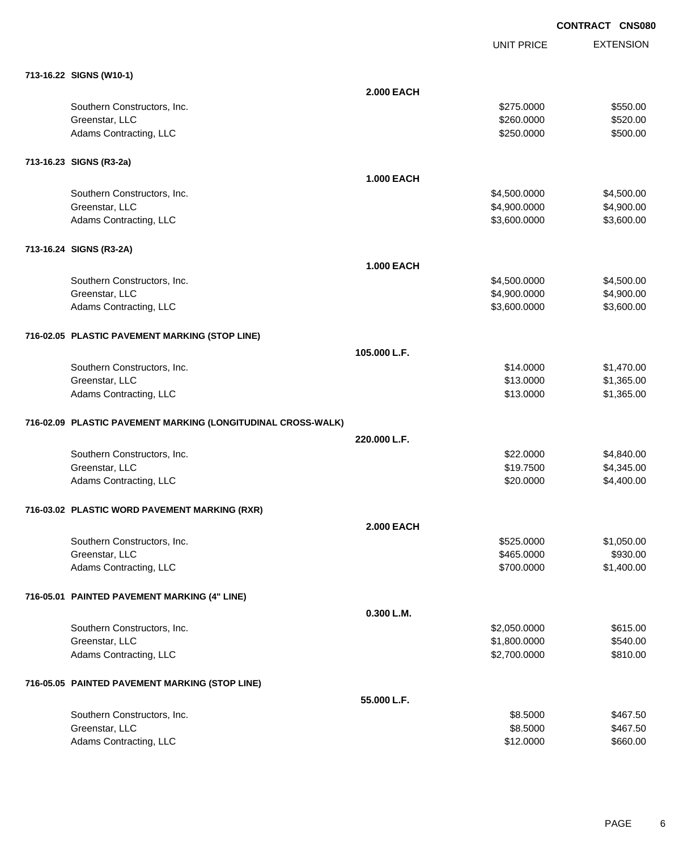UNIT PRICE

| 713-16.22 SIGNS (W10-1)                                      |                   |              |            |
|--------------------------------------------------------------|-------------------|--------------|------------|
|                                                              | <b>2.000 EACH</b> |              |            |
| Southern Constructors, Inc.                                  |                   | \$275.0000   | \$550.00   |
| Greenstar, LLC                                               |                   | \$260.0000   | \$520.00   |
| Adams Contracting, LLC                                       |                   | \$250.0000   | \$500.00   |
| 713-16.23 SIGNS (R3-2a)                                      |                   |              |            |
|                                                              | <b>1.000 EACH</b> |              |            |
| Southern Constructors, Inc.                                  |                   | \$4,500.0000 | \$4,500.00 |
| Greenstar, LLC                                               |                   | \$4,900.0000 | \$4,900.00 |
| Adams Contracting, LLC                                       |                   | \$3,600.0000 | \$3,600.00 |
| 713-16.24 SIGNS (R3-2A)                                      |                   |              |            |
|                                                              | <b>1.000 EACH</b> |              |            |
| Southern Constructors, Inc.                                  |                   | \$4,500.0000 | \$4,500.00 |
| Greenstar, LLC                                               |                   | \$4,900.0000 | \$4,900.00 |
| Adams Contracting, LLC                                       |                   | \$3,600.0000 | \$3,600.00 |
| 716-02.05 PLASTIC PAVEMENT MARKING (STOP LINE)               |                   |              |            |
|                                                              | 105.000 L.F.      |              |            |
| Southern Constructors, Inc.                                  |                   | \$14.0000    | \$1,470.00 |
| Greenstar, LLC                                               |                   | \$13.0000    | \$1,365.00 |
| Adams Contracting, LLC                                       |                   | \$13.0000    | \$1,365.00 |
| 716-02.09 PLASTIC PAVEMENT MARKING (LONGITUDINAL CROSS-WALK) |                   |              |            |
|                                                              | 220.000 L.F.      |              |            |
| Southern Constructors, Inc.                                  |                   | \$22.0000    | \$4,840.00 |
| Greenstar, LLC                                               |                   | \$19.7500    | \$4,345.00 |
| Adams Contracting, LLC                                       |                   | \$20.0000    | \$4,400.00 |
| 716-03.02 PLASTIC WORD PAVEMENT MARKING (RXR)                |                   |              |            |
|                                                              | <b>2.000 EACH</b> |              |            |
| Southern Constructors, Inc.                                  |                   | \$525.0000   | \$1,050.00 |
| Greenstar, LLC                                               |                   | \$465.0000   | \$930.00   |
| Adams Contracting, LLC                                       |                   | \$700.0000   | \$1,400.00 |
| 716-05.01 PAINTED PAVEMENT MARKING (4" LINE)                 |                   |              |            |
|                                                              | 0.300 L.M.        |              |            |
| Southern Constructors, Inc.                                  |                   | \$2,050.0000 | \$615.00   |
| Greenstar, LLC                                               |                   | \$1,800.0000 | \$540.00   |
| Adams Contracting, LLC                                       |                   | \$2,700.0000 | \$810.00   |
| 716-05.05 PAINTED PAVEMENT MARKING (STOP LINE)               |                   |              |            |
|                                                              | 55.000 L.F.       |              |            |
| Southern Constructors, Inc.                                  |                   | \$8.5000     | \$467.50   |
| Greenstar, LLC                                               |                   | \$8.5000     | \$467.50   |
| Adams Contracting, LLC                                       |                   | \$12.0000    | \$660.00   |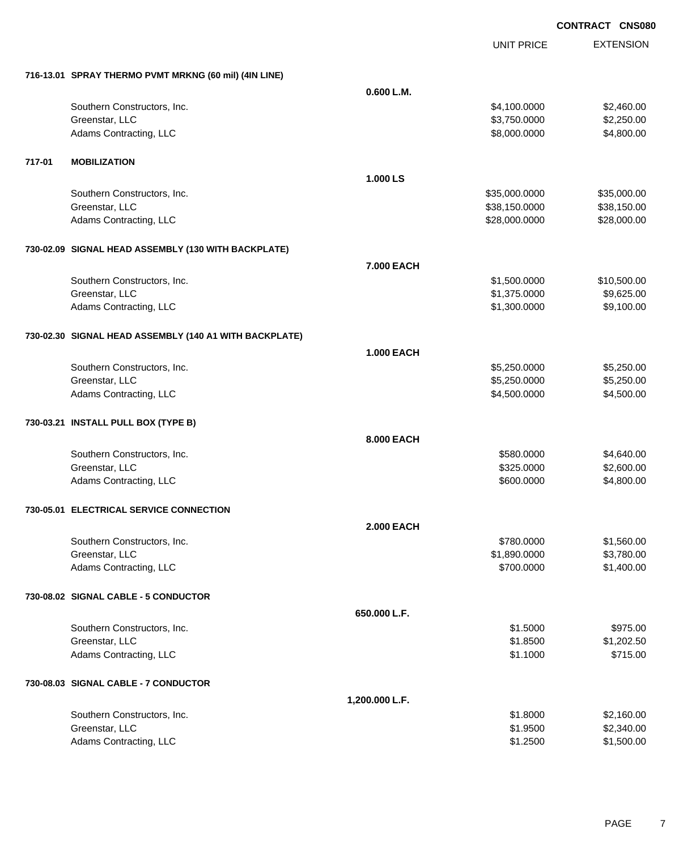|        |                                                        |                   | <b>UNIT PRICE</b> | <b>EXTENSION</b> |
|--------|--------------------------------------------------------|-------------------|-------------------|------------------|
|        | 716-13.01 SPRAY THERMO PVMT MRKNG (60 mil) (4IN LINE)  |                   |                   |                  |
|        |                                                        | 0.600 L.M.        |                   |                  |
|        | Southern Constructors, Inc.                            |                   | \$4,100.0000      | \$2,460.00       |
|        | Greenstar, LLC                                         |                   | \$3,750.0000      | \$2,250.00       |
|        | Adams Contracting, LLC                                 |                   | \$8,000.0000      | \$4,800.00       |
| 717-01 | <b>MOBILIZATION</b>                                    |                   |                   |                  |
|        |                                                        | 1.000 LS          |                   |                  |
|        | Southern Constructors, Inc.                            |                   | \$35,000.0000     | \$35,000.00      |
|        | Greenstar, LLC                                         |                   | \$38,150.0000     | \$38,150.00      |
|        | Adams Contracting, LLC                                 |                   | \$28,000.0000     | \$28,000.00      |
|        | 730-02.09 SIGNAL HEAD ASSEMBLY (130 WITH BACKPLATE)    |                   |                   |                  |
|        |                                                        | 7.000 EACH        |                   |                  |
|        | Southern Constructors, Inc.                            |                   | \$1,500.0000      | \$10,500.00      |
|        | Greenstar, LLC                                         |                   | \$1,375.0000      | \$9,625.00       |
|        | Adams Contracting, LLC                                 |                   | \$1,300.0000      | \$9,100.00       |
|        | 730-02.30 SIGNAL HEAD ASSEMBLY (140 A1 WITH BACKPLATE) |                   |                   |                  |
|        |                                                        | <b>1.000 EACH</b> |                   |                  |
|        | Southern Constructors, Inc.                            |                   | \$5,250.0000      | \$5,250.00       |
|        | Greenstar, LLC                                         |                   | \$5,250.0000      | \$5,250.00       |
|        | Adams Contracting, LLC                                 |                   | \$4,500.0000      | \$4,500.00       |
|        | 730-03.21 INSTALL PULL BOX (TYPE B)                    |                   |                   |                  |
|        |                                                        | 8.000 EACH        |                   |                  |
|        | Southern Constructors, Inc.                            |                   | \$580.0000        | \$4,640.00       |
|        | Greenstar, LLC                                         |                   | \$325.0000        | \$2,600.00       |
|        | Adams Contracting, LLC                                 |                   | \$600.0000        | \$4,800.00       |
|        | 730-05.01 ELECTRICAL SERVICE CONNECTION                |                   |                   |                  |
|        |                                                        | <b>2.000 EACH</b> |                   |                  |
|        | Southern Constructors, Inc.                            |                   | \$780.0000        | \$1,560.00       |
|        | Greenstar, LLC                                         |                   | \$1,890.0000      | \$3,780.00       |
|        | Adams Contracting, LLC                                 |                   | \$700.0000        | \$1,400.00       |
|        | 730-08.02 SIGNAL CABLE - 5 CONDUCTOR                   |                   |                   |                  |
|        |                                                        | 650.000 L.F.      |                   |                  |
|        | Southern Constructors, Inc.                            |                   | \$1.5000          | \$975.00         |
|        | Greenstar, LLC                                         |                   | \$1.8500          | \$1,202.50       |
|        | Adams Contracting, LLC                                 |                   | \$1.1000          | \$715.00         |
|        | 730-08.03 SIGNAL CABLE - 7 CONDUCTOR                   |                   |                   |                  |
|        |                                                        | 1,200.000 L.F.    |                   |                  |
|        | Southern Constructors, Inc.                            |                   | \$1.8000          | \$2,160.00       |
|        | Greenstar, LLC                                         |                   | \$1.9500          | \$2,340.00       |
|        | Adams Contracting, LLC                                 |                   | \$1.2500          | \$1,500.00       |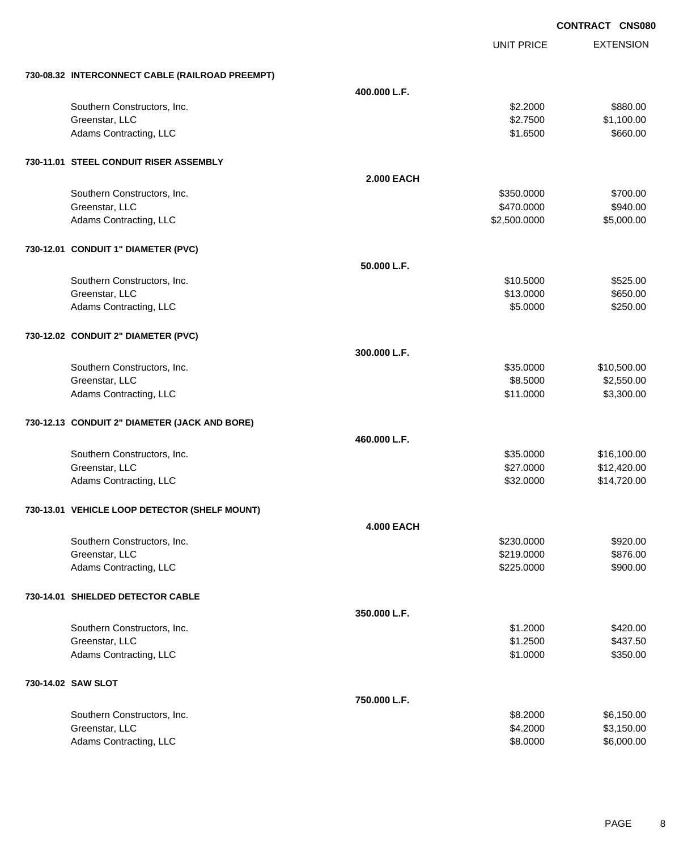|                                                 |                   |                   | <b>CONTRACT CNS080</b> |
|-------------------------------------------------|-------------------|-------------------|------------------------|
|                                                 |                   | <b>UNIT PRICE</b> | <b>EXTENSION</b>       |
| 730-08.32 INTERCONNECT CABLE (RAILROAD PREEMPT) |                   |                   |                        |
|                                                 | 400.000 L.F.      |                   |                        |
| Southern Constructors, Inc.                     |                   | \$2.2000          | \$880.00               |
| Greenstar, LLC                                  |                   | \$2.7500          | \$1,100.00             |
| Adams Contracting, LLC                          |                   | \$1.6500          | \$660.00               |
| 730-11.01 STEEL CONDUIT RISER ASSEMBLY          |                   |                   |                        |
|                                                 | <b>2.000 EACH</b> |                   |                        |
| Southern Constructors, Inc.                     |                   | \$350.0000        | \$700.00               |
| Greenstar, LLC                                  |                   | \$470.0000        | \$940.00               |
| Adams Contracting, LLC                          |                   | \$2,500.0000      | \$5,000.00             |
| 730-12.01 CONDUIT 1" DIAMETER (PVC)             |                   |                   |                        |
|                                                 | 50.000 L.F.       |                   |                        |
| Southern Constructors, Inc.                     |                   | \$10.5000         | \$525.00               |
| Greenstar, LLC                                  |                   | \$13.0000         | \$650.00               |
| Adams Contracting, LLC                          |                   | \$5.0000          | \$250.00               |
| 730-12.02 CONDUIT 2" DIAMETER (PVC)             |                   |                   |                        |
|                                                 | 300.000 L.F.      |                   |                        |
| Southern Constructors, Inc.                     |                   | \$35.0000         | \$10,500.00            |
| Greenstar, LLC                                  |                   | \$8.5000          | \$2,550.00             |
| Adams Contracting, LLC                          |                   | \$11.0000         | \$3,300.00             |
| 730-12.13 CONDUIT 2" DIAMETER (JACK AND BORE)   |                   |                   |                        |
|                                                 | 460.000 L.F.      |                   |                        |
| Southern Constructors, Inc.                     |                   | \$35.0000         | \$16,100.00            |
| Greenstar, LLC                                  |                   | \$27.0000         | \$12,420.00            |
| Adams Contracting, LLC                          |                   | \$32.0000         | \$14,720.00            |
| 730-13.01 VEHICLE LOOP DETECTOR (SHELF MOUNT)   |                   |                   |                        |
|                                                 | <b>4.000 EACH</b> |                   |                        |
| Southern Constructors, Inc.                     |                   | \$230.0000        | \$920.00               |
| Greenstar, LLC                                  |                   | \$219.0000        | \$876.00               |
| Adams Contracting, LLC                          |                   | \$225.0000        | \$900.00               |
| 730-14.01 SHIELDED DETECTOR CABLE               |                   |                   |                        |
|                                                 | 350.000 L.F.      |                   |                        |
| Southern Constructors, Inc.                     |                   | \$1.2000          | \$420.00               |
| Greenstar, LLC                                  |                   | \$1.2500          | \$437.50               |
| Adams Contracting, LLC                          |                   | \$1.0000          | \$350.00               |
| 730-14.02 SAW SLOT                              |                   |                   |                        |
|                                                 | 750.000 L.F.      |                   |                        |
| Southern Constructors, Inc.                     |                   | \$8.2000          | \$6,150.00             |
| Greenstar, LLC                                  |                   | \$4.2000          | \$3,150.00             |
| Adams Contracting, LLC                          |                   | \$8.0000          | \$6,000.00             |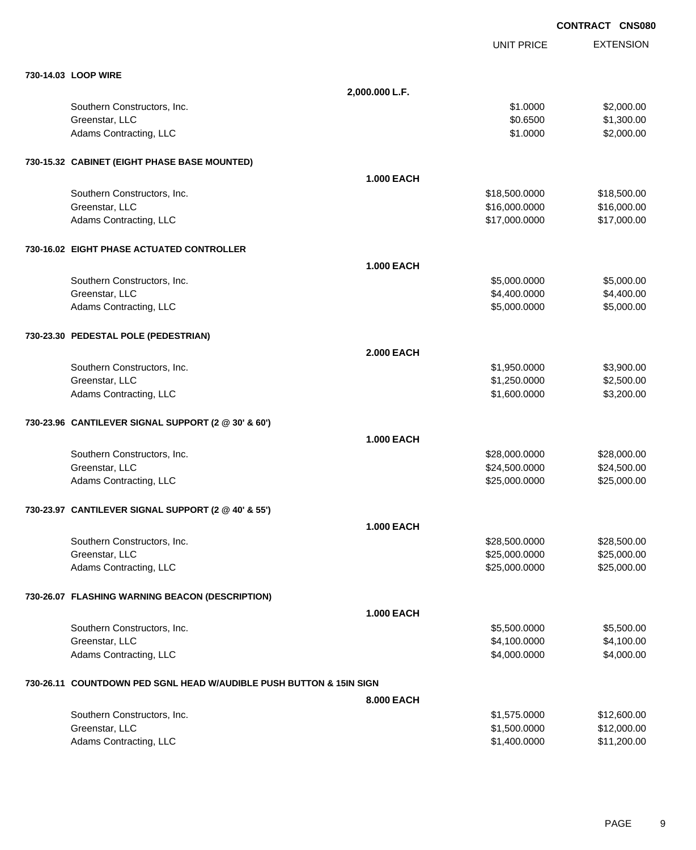|                                                                     |                   |                   | <b>CONTRACT CNS080</b> |
|---------------------------------------------------------------------|-------------------|-------------------|------------------------|
|                                                                     |                   | <b>UNIT PRICE</b> | <b>EXTENSION</b>       |
| 730-14.03 LOOP WIRE                                                 |                   |                   |                        |
|                                                                     | 2,000.000 L.F.    |                   |                        |
| Southern Constructors, Inc.                                         |                   | \$1.0000          | \$2,000.00             |
| Greenstar, LLC                                                      |                   | \$0.6500          | \$1,300.00             |
| Adams Contracting, LLC                                              |                   | \$1.0000          | \$2,000.00             |
| 730-15.32 CABINET (EIGHT PHASE BASE MOUNTED)                        |                   |                   |                        |
|                                                                     | <b>1.000 EACH</b> |                   |                        |
| Southern Constructors, Inc.                                         |                   | \$18,500.0000     | \$18,500.00            |
| Greenstar, LLC                                                      |                   | \$16,000.0000     | \$16,000.00            |
| Adams Contracting, LLC                                              |                   | \$17,000.0000     | \$17,000.00            |
| 730-16.02 EIGHT PHASE ACTUATED CONTROLLER                           |                   |                   |                        |
|                                                                     | <b>1.000 EACH</b> |                   |                        |
| Southern Constructors, Inc.                                         |                   | \$5,000.0000      | \$5,000.00             |
| Greenstar, LLC                                                      |                   | \$4,400.0000      | \$4,400.00             |
| Adams Contracting, LLC                                              |                   | \$5,000.0000      | \$5,000.00             |
| 730-23.30 PEDESTAL POLE (PEDESTRIAN)                                |                   |                   |                        |
|                                                                     | <b>2.000 EACH</b> |                   |                        |
| Southern Constructors, Inc.                                         |                   | \$1,950.0000      | \$3,900.00             |
| Greenstar, LLC                                                      |                   | \$1,250.0000      | \$2,500.00             |
| Adams Contracting, LLC                                              |                   | \$1,600.0000      | \$3,200.00             |
| 730-23.96 CANTILEVER SIGNAL SUPPORT (2 @ 30' & 60')                 |                   |                   |                        |
|                                                                     | <b>1.000 EACH</b> |                   |                        |
| Southern Constructors, Inc.                                         |                   | \$28,000.0000     | \$28,000.00            |
| Greenstar, LLC                                                      |                   | \$24,500.0000     | \$24,500.00            |
| Adams Contracting, LLC                                              |                   | \$25,000.0000     | \$25,000.00            |
| 730-23.97 CANTILEVER SIGNAL SUPPORT (2 @ 40' & 55')                 |                   |                   |                        |
|                                                                     | <b>1.000 EACH</b> |                   |                        |
| Southern Constructors, Inc.                                         |                   | \$28,500.0000     | \$28,500.00            |
| Greenstar, LLC                                                      |                   | \$25,000.0000     | \$25,000.00            |
| Adams Contracting, LLC                                              |                   | \$25,000.0000     | \$25,000.00            |
| 730-26.07 FLASHING WARNING BEACON (DESCRIPTION)                     |                   |                   |                        |
|                                                                     | 1.000 EACH        |                   |                        |
| Southern Constructors, Inc.                                         |                   | \$5,500.0000      | \$5,500.00             |
| Greenstar, LLC                                                      |                   | \$4,100.0000      | \$4,100.00             |
| Adams Contracting, LLC                                              |                   | \$4,000.0000      | \$4,000.00             |
| 730-26.11 COUNTDOWN PED SGNL HEAD W/AUDIBLE PUSH BUTTON & 15IN SIGN |                   |                   |                        |
|                                                                     | 8.000 EACH        |                   |                        |
| Southern Constructors, Inc.                                         |                   | \$1,575.0000      | \$12,600.00            |
| Greenstar, LLC                                                      |                   | \$1,500.0000      | \$12,000.00            |
| Adams Contracting, LLC                                              |                   | \$1,400.0000      | \$11,200.00            |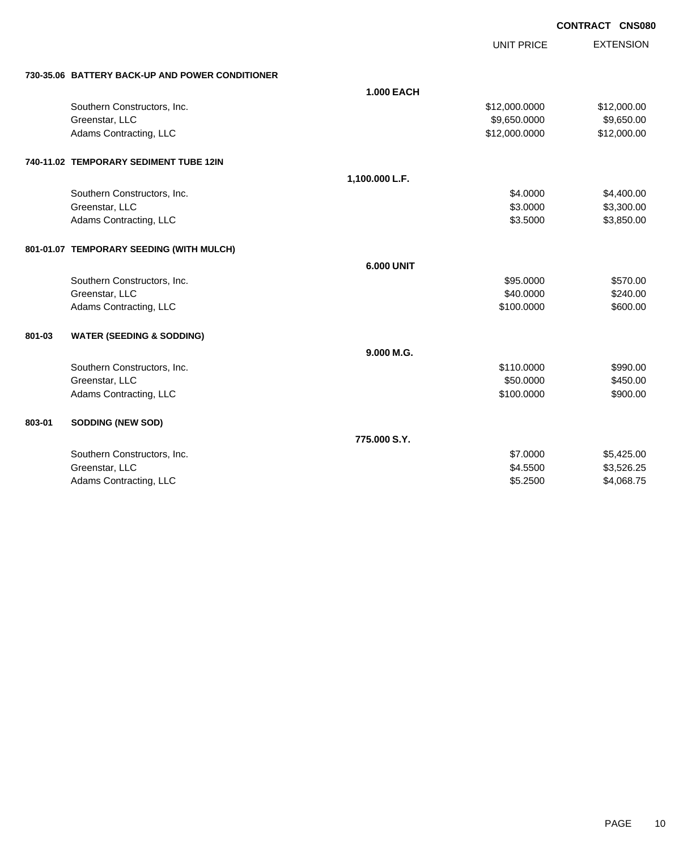UNIT PRICE

|  |  | 730-35.06 BATTERY BACK-UP AND POWER CONDITIONER |
|--|--|-------------------------------------------------|

|        | 730-35.06 BATTERY BACK-UP AND POWER CONDITIONER |                   |               |             |
|--------|-------------------------------------------------|-------------------|---------------|-------------|
|        |                                                 | <b>1.000 EACH</b> |               |             |
|        | Southern Constructors, Inc.                     |                   | \$12,000.0000 | \$12,000.00 |
|        | Greenstar, LLC                                  |                   | \$9,650.0000  | \$9,650.00  |
|        | Adams Contracting, LLC                          |                   | \$12,000.0000 | \$12,000.00 |
|        | 740-11.02 TEMPORARY SEDIMENT TUBE 12IN          |                   |               |             |
|        |                                                 | 1,100.000 L.F.    |               |             |
|        | Southern Constructors, Inc.                     |                   | \$4,0000      | \$4,400.00  |
|        | Greenstar, LLC                                  |                   | \$3.0000      | \$3,300.00  |
|        | Adams Contracting, LLC                          |                   | \$3.5000      | \$3,850.00  |
|        | 801-01.07 TEMPORARY SEEDING (WITH MULCH)        |                   |               |             |
|        |                                                 | <b>6.000 UNIT</b> |               |             |
|        | Southern Constructors, Inc.                     |                   | \$95.0000     | \$570.00    |
|        | Greenstar, LLC                                  |                   | \$40.0000     | \$240.00    |
|        | Adams Contracting, LLC                          |                   | \$100.0000    | \$600.00    |
| 801-03 | <b>WATER (SEEDING &amp; SODDING)</b>            |                   |               |             |
|        |                                                 | 9.000 M.G.        |               |             |
|        | Southern Constructors, Inc.                     |                   | \$110.0000    | \$990.00    |
|        | Greenstar, LLC                                  |                   | \$50.0000     | \$450.00    |
|        | Adams Contracting, LLC                          |                   | \$100.0000    | \$900.00    |
| 803-01 | <b>SODDING (NEW SOD)</b>                        |                   |               |             |
|        |                                                 | 775,000 S.Y.      |               |             |
|        | Southern Constructors, Inc.                     |                   | \$7.0000      | \$5,425.00  |
|        | Greenstar, LLC                                  |                   | \$4.5500      | \$3,526.25  |
|        | Adams Contracting, LLC                          |                   | \$5.2500      | \$4,068.75  |
|        |                                                 |                   |               |             |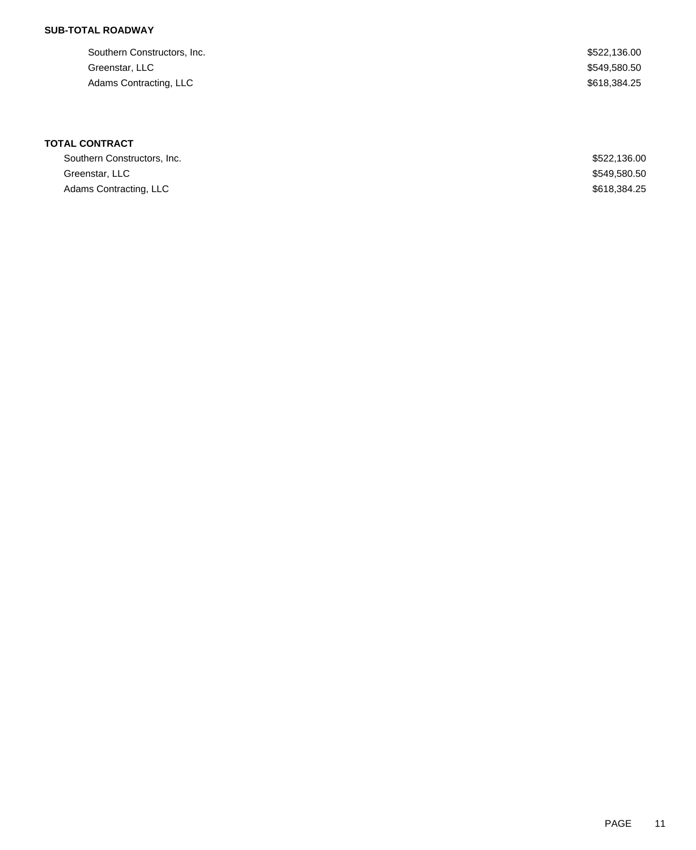## **SUB-TOTAL ROADWAY**

| Southern Constructors, Inc. | \$522,136.00 |
|-----------------------------|--------------|
| Greenstar, LLC              | \$549,580.50 |
| Adams Contracting, LLC      | \$618,384.25 |

# **TOTAL CONTRACT**

| Southern Constructors, Inc. | \$522,136.00 |
|-----------------------------|--------------|
| Greenstar, LLC              | \$549,580.50 |
| Adams Contracting, LLC      | \$618,384,25 |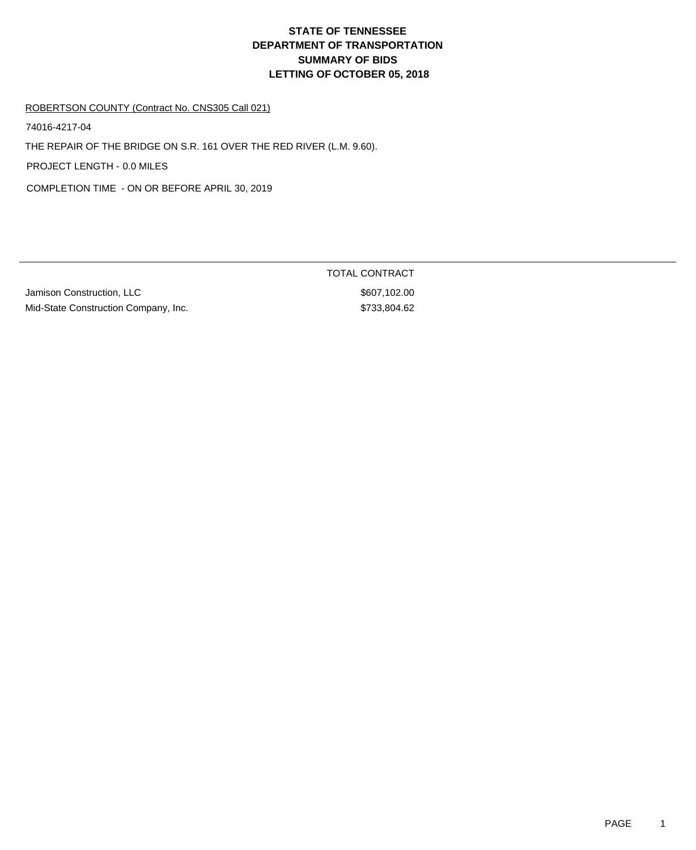# **DEPARTMENT OF TRANSPORTATION SUMMARY OF BIDS LETTING OF OCTOBER 05, 2018 STATE OF TENNESSEE**

#### ROBERTSON COUNTY (Contract No. CNS305 Call 021)

74016-4217-04

THE REPAIR OF THE BRIDGE ON S.R. 161 OVER THE RED RIVER (L.M. 9.60).

PROJECT LENGTH - 0.0 MILES

COMPLETION TIME - ON OR BEFORE APRIL 30, 2019

Jamison Construction, LLC \$607,102.00 Mid-State Construction Company, Inc. 6733,804.62

TOTAL CONTRACT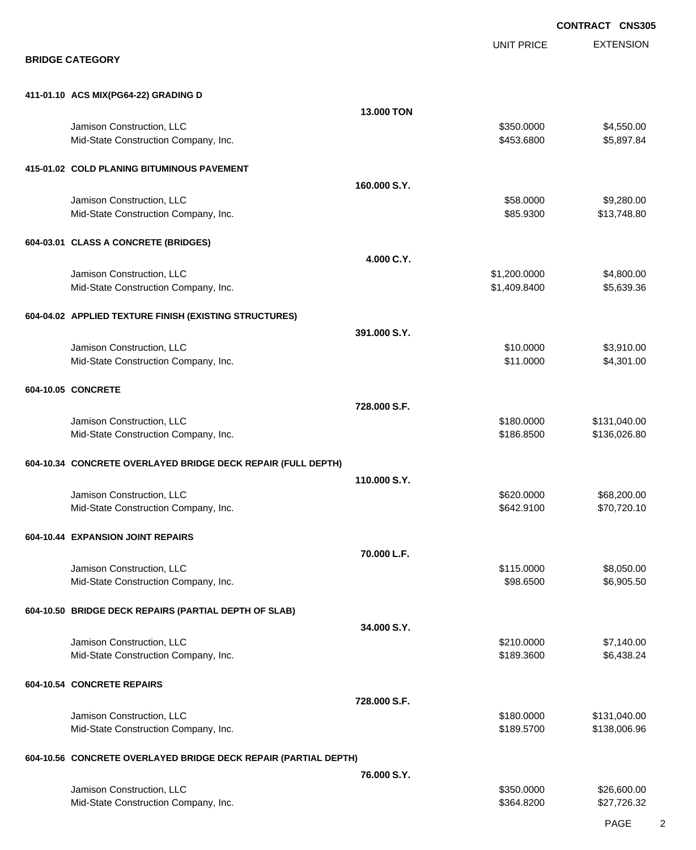|                                                                   |              |                              | <b>CONTRACT CNS305</b>    |
|-------------------------------------------------------------------|--------------|------------------------------|---------------------------|
| <b>BRIDGE CATEGORY</b>                                            |              | <b>UNIT PRICE</b>            | <b>EXTENSION</b>          |
| 411-01.10 ACS MIX(PG64-22) GRADING D                              |              |                              |                           |
|                                                                   | 13.000 TON   |                              |                           |
| Jamison Construction, LLC<br>Mid-State Construction Company, Inc. |              | \$350.0000<br>\$453.6800     | \$4,550.00<br>\$5,897.84  |
| 415-01.02 COLD PLANING BITUMINOUS PAVEMENT                        |              |                              |                           |
|                                                                   | 160.000 S.Y. |                              |                           |
| Jamison Construction, LLC<br>Mid-State Construction Company, Inc. |              | \$58.0000<br>\$85.9300       | \$9,280.00<br>\$13,748.80 |
| 604-03.01 CLASS A CONCRETE (BRIDGES)                              |              |                              |                           |
|                                                                   | 4.000 C.Y.   |                              |                           |
| Jamison Construction, LLC<br>Mid-State Construction Company, Inc. |              | \$1,200.0000<br>\$1,409.8400 | \$4,800.00<br>\$5,639.36  |
| 604-04.02 APPLIED TEXTURE FINISH (EXISTING STRUCTURES)            |              |                              |                           |
| Jamison Construction, LLC                                         | 391.000 S.Y. | \$10.0000                    | \$3,910.00                |
| Mid-State Construction Company, Inc.                              |              | \$11.0000                    | \$4,301.00                |
| 604-10.05 CONCRETE                                                |              |                              |                           |
| Jamison Construction, LLC                                         | 728.000 S.F. | \$180.0000                   | \$131,040.00              |
| Mid-State Construction Company, Inc.                              |              | \$186.8500                   | \$136,026.80              |
| 604-10.34 CONCRETE OVERLAYED BRIDGE DECK REPAIR (FULL DEPTH)      |              |                              |                           |
| Jamison Construction, LLC                                         | 110.000 S.Y. | \$620.0000                   | \$68,200.00               |
| Mid-State Construction Company, Inc.                              |              | \$642.9100                   | \$70,720.10               |
| 604-10.44 EXPANSION JOINT REPAIRS                                 |              |                              |                           |
| Jamison Construction, LLC                                         | 70.000 L.F.  | \$115.0000                   | \$8,050.00                |
| Mid-State Construction Company, Inc.                              |              | \$98.6500                    | \$6,905.50                |
| 604-10.50 BRIDGE DECK REPAIRS (PARTIAL DEPTH OF SLAB)             |              |                              |                           |
| Jamison Construction, LLC                                         | 34.000 S.Y.  | \$210.0000                   | \$7,140.00                |
| Mid-State Construction Company, Inc.                              |              | \$189.3600                   | \$6,438.24                |
| 604-10.54 CONCRETE REPAIRS                                        |              |                              |                           |
| Jamison Construction, LLC                                         | 728.000 S.F. | \$180.0000                   | \$131,040.00              |
| Mid-State Construction Company, Inc.                              |              | \$189.5700                   | \$138,006.96              |
| 604-10.56 CONCRETE OVERLAYED BRIDGE DECK REPAIR (PARTIAL DEPTH)   |              |                              |                           |
| Jamison Construction, LLC                                         | 76.000 S.Y.  | \$350.0000                   | \$26,600.00               |
| Mid-State Construction Company, Inc.                              |              | \$364.8200                   | \$27,726.32               |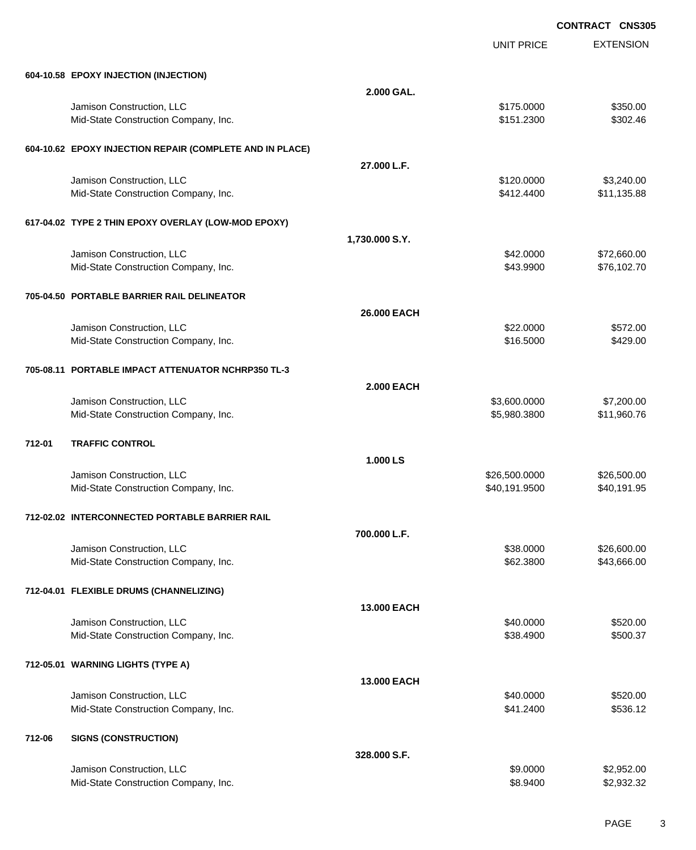UNIT PRICE

EXTENSION

|        | 604-10.58 EPOXY INJECTION (INJECTION)                    |                   |               |             |
|--------|----------------------------------------------------------|-------------------|---------------|-------------|
|        |                                                          | 2.000 GAL.        |               |             |
|        | Jamison Construction, LLC                                |                   | \$175.0000    | \$350.00    |
|        | Mid-State Construction Company, Inc.                     |                   | \$151.2300    | \$302.46    |
|        | 604-10.62 EPOXY INJECTION REPAIR (COMPLETE AND IN PLACE) |                   |               |             |
|        |                                                          | 27.000 L.F.       |               |             |
|        | Jamison Construction, LLC                                |                   | \$120.0000    | \$3,240.00  |
|        | Mid-State Construction Company, Inc.                     |                   | \$412.4400    | \$11,135.88 |
|        | 617-04.02 TYPE 2 THIN EPOXY OVERLAY (LOW-MOD EPOXY)      |                   |               |             |
|        |                                                          | 1,730.000 S.Y.    |               |             |
|        | Jamison Construction, LLC                                |                   | \$42.0000     | \$72,660.00 |
|        | Mid-State Construction Company, Inc.                     |                   | \$43.9900     | \$76,102.70 |
|        | 705-04.50 PORTABLE BARRIER RAIL DELINEATOR               |                   |               |             |
|        |                                                          | 26.000 EACH       |               |             |
|        | Jamison Construction, LLC                                |                   | \$22.0000     | \$572.00    |
|        | Mid-State Construction Company, Inc.                     |                   | \$16.5000     | \$429.00    |
|        | 705-08.11 PORTABLE IMPACT ATTENUATOR NCHRP350 TL-3       |                   |               |             |
|        |                                                          | <b>2.000 EACH</b> |               |             |
|        | Jamison Construction, LLC                                |                   | \$3,600.0000  | \$7,200.00  |
|        | Mid-State Construction Company, Inc.                     |                   | \$5,980.3800  | \$11,960.76 |
| 712-01 | <b>TRAFFIC CONTROL</b>                                   |                   |               |             |
|        |                                                          | 1.000 LS          |               |             |
|        | Jamison Construction, LLC                                |                   | \$26,500.0000 | \$26,500.00 |
|        | Mid-State Construction Company, Inc.                     |                   | \$40,191.9500 | \$40,191.95 |
|        | 712-02.02 INTERCONNECTED PORTABLE BARRIER RAIL           |                   |               |             |
|        |                                                          | 700.000 L.F.      |               |             |
|        | Jamison Construction, LLC                                |                   | \$38,0000     | \$26,600.00 |
|        | Mid-State Construction Company, Inc.                     |                   | \$62,3800     | \$43,666.00 |

### **712-04.01 FLEXIBLE DRUMS (CHANNELIZING)**

|        |                                      | <b>13.000 EACH</b> |           |            |
|--------|--------------------------------------|--------------------|-----------|------------|
|        | Jamison Construction, LLC            |                    | \$40,0000 | \$520.00   |
|        | Mid-State Construction Company, Inc. |                    | \$38,4900 | \$500.37   |
|        | 712-05.01 WARNING LIGHTS (TYPE A)    |                    |           |            |
|        |                                      | <b>13.000 EACH</b> |           |            |
|        | Jamison Construction, LLC            |                    | \$40,0000 | \$520.00   |
|        | Mid-State Construction Company, Inc. |                    | \$41,2400 | \$536.12   |
| 712-06 | <b>SIGNS (CONSTRUCTION)</b>          |                    |           |            |
|        |                                      | 328,000 S.F.       |           |            |
|        | Jamison Construction, LLC            |                    | \$9.0000  | \$2,952.00 |
|        | Mid-State Construction Company, Inc. |                    | \$8,9400  | \$2,932.32 |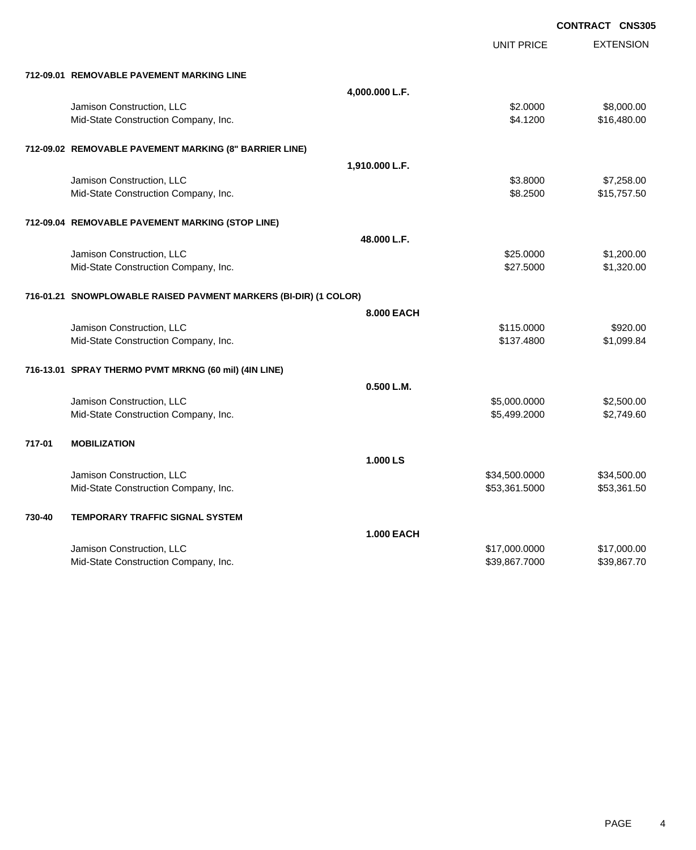|        |                                                                  |                   |                   | <b>CONTRACT CNS305</b> |
|--------|------------------------------------------------------------------|-------------------|-------------------|------------------------|
|        |                                                                  |                   | <b>UNIT PRICE</b> | <b>EXTENSION</b>       |
|        | 712-09.01 REMOVABLE PAVEMENT MARKING LINE                        |                   |                   |                        |
|        |                                                                  | 4,000.000 L.F.    |                   |                        |
|        | Jamison Construction, LLC                                        |                   | \$2.0000          | \$8,000.00             |
|        | Mid-State Construction Company, Inc.                             |                   | \$4.1200          | \$16,480.00            |
|        | 712-09.02 REMOVABLE PAVEMENT MARKING (8" BARRIER LINE)           |                   |                   |                        |
|        |                                                                  | 1,910.000 L.F.    |                   |                        |
|        | Jamison Construction, LLC                                        |                   | \$3.8000          | \$7,258.00             |
|        | Mid-State Construction Company, Inc.                             |                   | \$8.2500          | \$15,757.50            |
|        | 712-09.04 REMOVABLE PAVEMENT MARKING (STOP LINE)                 |                   |                   |                        |
|        |                                                                  | 48.000 L.F.       |                   |                        |
|        | Jamison Construction, LLC                                        |                   | \$25.0000         | \$1,200.00             |
|        | Mid-State Construction Company, Inc.                             |                   | \$27.5000         | \$1,320.00             |
|        | 716-01.21 SNOWPLOWABLE RAISED PAVMENT MARKERS (BI-DIR) (1 COLOR) |                   |                   |                        |
|        |                                                                  | 8.000 EACH        |                   |                        |
|        | Jamison Construction, LLC                                        |                   | \$115,0000        | \$920.00               |
|        | Mid-State Construction Company, Inc.                             |                   | \$137.4800        | \$1,099.84             |
|        | 716-13.01 SPRAY THERMO PVMT MRKNG (60 mil) (4IN LINE)            |                   |                   |                        |
|        |                                                                  | 0.500 L.M.        |                   |                        |
|        | Jamison Construction, LLC                                        |                   | \$5,000.0000      | \$2,500.00             |
|        | Mid-State Construction Company, Inc.                             |                   | \$5,499.2000      | \$2,749.60             |
| 717-01 | <b>MOBILIZATION</b>                                              |                   |                   |                        |
|        |                                                                  | 1.000 LS          |                   |                        |
|        | Jamison Construction, LLC                                        |                   | \$34,500.0000     | \$34,500.00            |
|        | Mid-State Construction Company, Inc.                             |                   | \$53,361.5000     | \$53,361.50            |
| 730-40 | <b>TEMPORARY TRAFFIC SIGNAL SYSTEM</b>                           |                   |                   |                        |
|        |                                                                  | <b>1.000 EACH</b> |                   |                        |
|        | Jamison Construction, LLC                                        |                   | \$17,000.0000     | \$17,000.00            |
|        | Mid-State Construction Company, Inc.                             |                   | \$39,867.7000     | \$39,867.70            |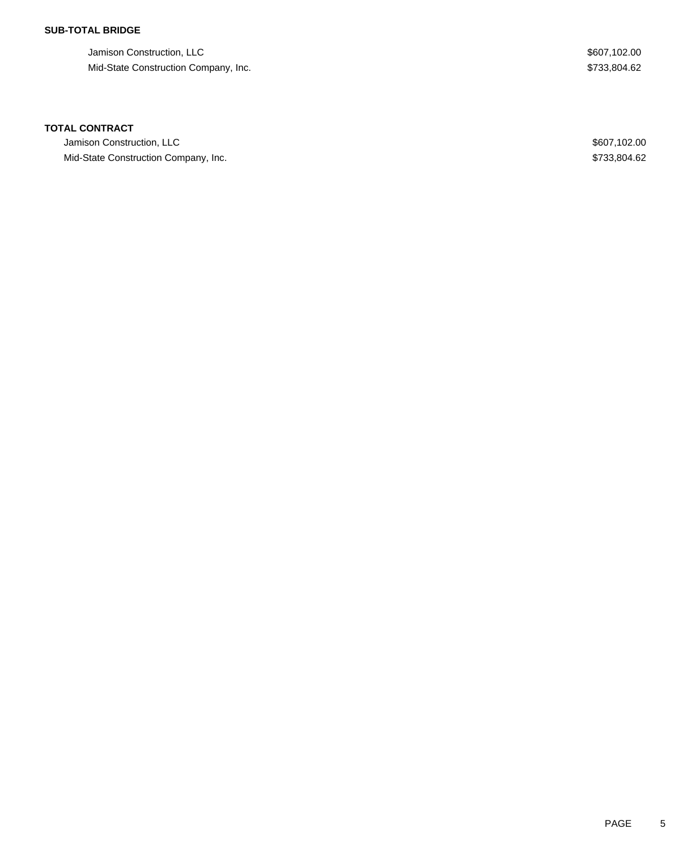## **SUB-TOTAL BRIDGE**

Jamison Construction, LLC \$607,102.00 Mid-State Construction Company, Inc. 62

### **TOTAL CONTRACT**

Jamison Construction, LLC  $$607,102.00$ Mid-State Construction Company, Inc. 62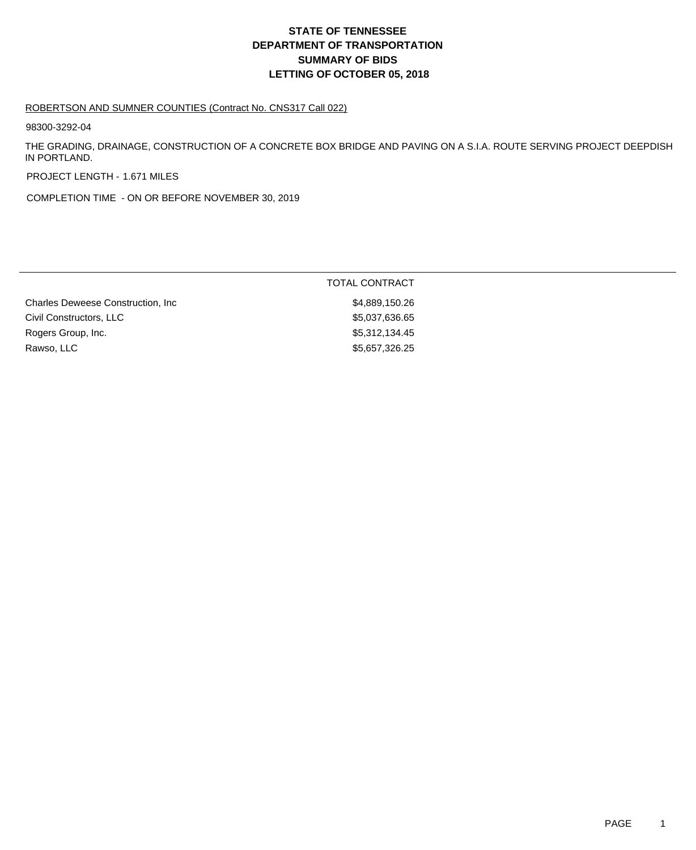# **DEPARTMENT OF TRANSPORTATION SUMMARY OF BIDS LETTING OF OCTOBER 05, 2018 STATE OF TENNESSEE**

#### ROBERTSON AND SUMNER COUNTIES (Contract No. CNS317 Call 022)

98300-3292-04

THE GRADING, DRAINAGE, CONSTRUCTION OF A CONCRETE BOX BRIDGE AND PAVING ON A S.I.A. ROUTE SERVING PROJECT DEEPDISH IN PORTLAND.

PROJECT LENGTH - 1.671 MILES

COMPLETION TIME - ON OR BEFORE NOVEMBER 30, 2019

|                                    | TOTAL CONTRACT |
|------------------------------------|----------------|
| Charles Deweese Construction, Inc. | \$4,889,150.26 |
| Civil Constructors, LLC            | \$5,037,636.65 |
| Rogers Group, Inc.                 | \$5,312,134.45 |
| Rawso, LLC                         | \$5,657,326.25 |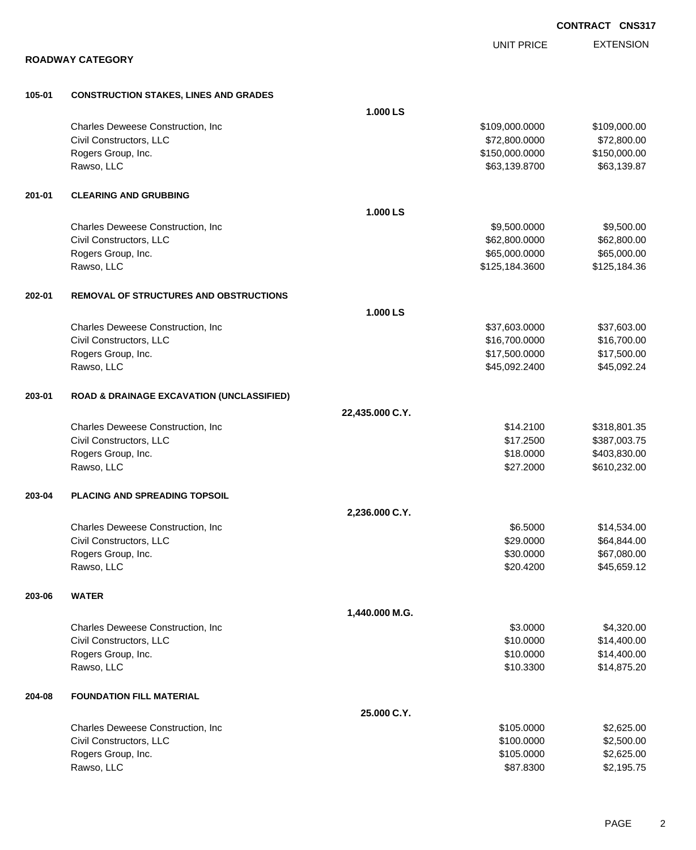|        |                                                      |                 |                   | <b>CONTRACT CNS31</b> |
|--------|------------------------------------------------------|-----------------|-------------------|-----------------------|
|        |                                                      |                 | <b>UNIT PRICE</b> | <b>EXTENSION</b>      |
|        | <b>ROADWAY CATEGORY</b>                              |                 |                   |                       |
| 105-01 | <b>CONSTRUCTION STAKES, LINES AND GRADES</b>         |                 |                   |                       |
|        |                                                      | 1.000 LS        |                   |                       |
|        | Charles Deweese Construction, Inc.                   |                 | \$109,000.0000    | \$109,000.00          |
|        | Civil Constructors, LLC                              |                 | \$72,800.0000     | \$72,800.00           |
|        | Rogers Group, Inc.                                   |                 | \$150,000.0000    | \$150,000.00          |
|        | Rawso, LLC                                           |                 | \$63,139.8700     | \$63,139.87           |
| 201-01 | <b>CLEARING AND GRUBBING</b>                         |                 |                   |                       |
|        |                                                      | 1.000 LS        |                   |                       |
|        | Charles Deweese Construction, Inc                    |                 | \$9,500.0000      | \$9,500.00            |
|        | Civil Constructors, LLC                              |                 | \$62,800.0000     | \$62,800.00           |
|        | Rogers Group, Inc.                                   |                 | \$65,000.0000     | \$65,000.00           |
|        | Rawso, LLC                                           |                 | \$125,184.3600    | \$125,184.36          |
| 202-01 | <b>REMOVAL OF STRUCTURES AND OBSTRUCTIONS</b>        |                 |                   |                       |
|        |                                                      | 1.000 LS        |                   |                       |
|        | Charles Deweese Construction, Inc.                   |                 | \$37,603.0000     | \$37,603.00           |
|        | Civil Constructors, LLC                              |                 | \$16,700.0000     | \$16,700.00           |
|        | Rogers Group, Inc.                                   |                 | \$17,500.0000     | \$17,500.00           |
|        | Rawso, LLC                                           |                 | \$45,092.2400     | \$45,092.24           |
| 203-01 | <b>ROAD &amp; DRAINAGE EXCAVATION (UNCLASSIFIED)</b> |                 |                   |                       |
|        |                                                      | 22,435.000 C.Y. |                   |                       |
|        | Charles Deweese Construction, Inc.                   |                 | \$14.2100         | \$318,801.35          |
|        | Civil Constructors, LLC                              |                 | \$17.2500         | \$387,003.75          |
|        | Rogers Group, Inc.                                   |                 | \$18.0000         | \$403,830.00          |
|        | Rawso, LLC                                           |                 | \$27.2000         | \$610,232.00          |
| 203-04 | PLACING AND SPREADING TOPSOIL                        |                 |                   |                       |
|        |                                                      | 2,236.000 C.Y.  |                   |                       |
|        | Charles Deweese Construction, Inc.                   |                 | \$6.5000          | \$14,534.00           |
|        | Civil Constructors, LLC                              |                 | \$29.0000         | \$64,844.00           |
|        | Rogers Group, Inc.                                   |                 | \$30.0000         | \$67,080.00           |
|        | Rawso, LLC                                           |                 | \$20.4200         | \$45,659.12           |
| 203-06 | <b>WATER</b>                                         |                 |                   |                       |
|        |                                                      | 1,440.000 M.G.  |                   |                       |
|        | Charles Deweese Construction, Inc.                   |                 | \$3.0000          | \$4,320.00            |
|        | Civil Constructors, LLC                              |                 | \$10.0000         | \$14,400.00           |
|        | Rogers Group, Inc.                                   |                 | \$10.0000         | \$14,400.00           |
|        | Rawso, LLC                                           |                 | \$10.3300         | \$14,875.20           |
| 204-08 | <b>FOUNDATION FILL MATERIAL</b>                      |                 |                   |                       |
|        |                                                      | 25.000 C.Y.     |                   |                       |
|        | Charles Deweese Construction, Inc                    |                 | \$105.0000        | \$2,625.00            |
|        | Civil Constructors, LLC                              |                 | \$100.0000        | \$2,500.00            |
|        | Rogers Group, Inc.                                   |                 | \$105.0000        | \$2,625.00            |

Rawso, LLC \$87.8300 \$2,195.75

**CONTRACT CNS317**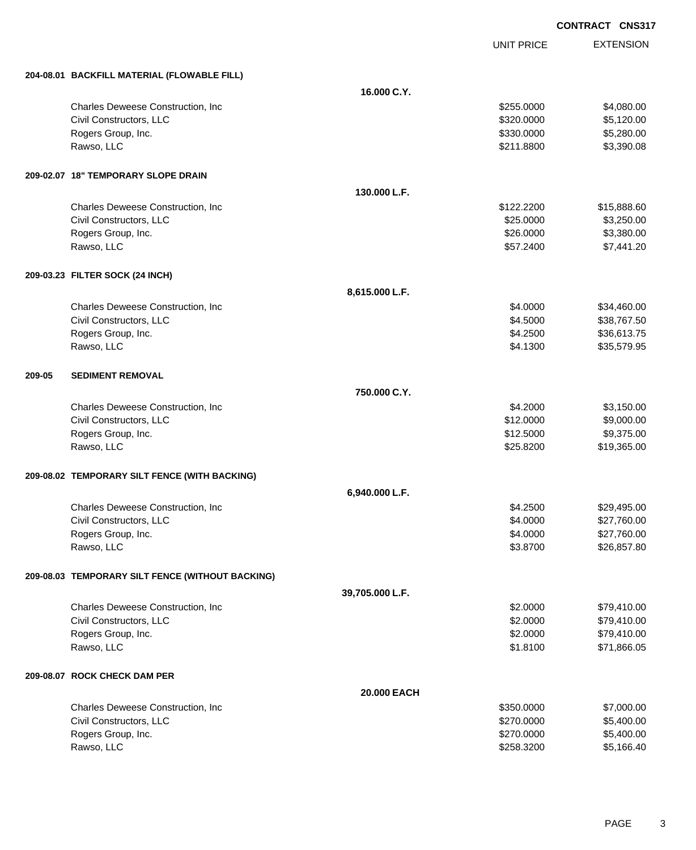UNIT PRICE EXTENSION

|        | 204-08.01 BACKFILL MATERIAL (FLOWABLE FILL)      |                 |            |             |
|--------|--------------------------------------------------|-----------------|------------|-------------|
|        |                                                  | 16.000 C.Y.     |            |             |
|        | Charles Deweese Construction, Inc.               |                 | \$255.0000 | \$4,080.00  |
|        | Civil Constructors, LLC                          |                 | \$320.0000 | \$5,120.00  |
|        | Rogers Group, Inc.                               |                 | \$330.0000 | \$5,280.00  |
|        | Rawso, LLC                                       |                 | \$211.8800 | \$3,390.08  |
|        | 209-02.07 18" TEMPORARY SLOPE DRAIN              |                 |            |             |
|        |                                                  | 130.000 L.F.    |            |             |
|        | Charles Deweese Construction, Inc.               |                 | \$122.2200 | \$15,888.60 |
|        | Civil Constructors, LLC                          |                 | \$25.0000  | \$3,250.00  |
|        | Rogers Group, Inc.                               |                 | \$26.0000  | \$3,380.00  |
|        | Rawso, LLC                                       |                 | \$57.2400  | \$7,441.20  |
|        | 209-03.23 FILTER SOCK (24 INCH)                  |                 |            |             |
|        |                                                  | 8,615.000 L.F.  |            |             |
|        | Charles Deweese Construction, Inc                |                 | \$4.0000   | \$34,460.00 |
|        | Civil Constructors, LLC                          |                 | \$4.5000   | \$38,767.50 |
|        | Rogers Group, Inc.                               |                 | \$4.2500   | \$36,613.75 |
|        | Rawso, LLC                                       |                 | \$4.1300   | \$35,579.95 |
| 209-05 | <b>SEDIMENT REMOVAL</b>                          |                 |            |             |
|        |                                                  | 750.000 C.Y.    |            |             |
|        | Charles Deweese Construction, Inc.               |                 | \$4.2000   | \$3,150.00  |
|        | Civil Constructors, LLC                          |                 | \$12.0000  | \$9,000.00  |
|        | Rogers Group, Inc.                               |                 | \$12.5000  | \$9,375.00  |
|        | Rawso, LLC                                       |                 | \$25.8200  | \$19,365.00 |
|        | 209-08.02 TEMPORARY SILT FENCE (WITH BACKING)    |                 |            |             |
|        |                                                  | 6,940.000 L.F.  |            |             |
|        | Charles Deweese Construction, Inc                |                 | \$4.2500   | \$29,495.00 |
|        | Civil Constructors, LLC                          |                 | \$4.0000   | \$27,760.00 |
|        | Rogers Group, Inc.                               |                 | \$4.0000   | \$27,760.00 |
|        | Rawso, LLC                                       |                 | \$3.8700   | \$26,857.80 |
|        | 209-08.03 TEMPORARY SILT FENCE (WITHOUT BACKING) |                 |            |             |
|        |                                                  | 39,705.000 L.F. |            |             |
|        | Charles Deweese Construction, Inc                |                 | \$2.0000   | \$79,410.00 |
|        | Civil Constructors, LLC                          |                 | \$2.0000   | \$79,410.00 |
|        | Rogers Group, Inc.                               |                 | \$2.0000   | \$79,410.00 |
|        | Rawso, LLC                                       |                 | \$1.8100   | \$71,866.05 |
|        | 209-08.07 ROCK CHECK DAM PER                     |                 |            |             |
|        |                                                  | 20.000 EACH     |            |             |
|        | Charles Deweese Construction, Inc                |                 | \$350.0000 | \$7,000.00  |
|        | Civil Constructors, LLC                          |                 | \$270.0000 | \$5,400.00  |
|        | Rogers Group, Inc.                               |                 | \$270.0000 | \$5,400.00  |
|        | Rawso, LLC                                       |                 | \$258.3200 | \$5,166.40  |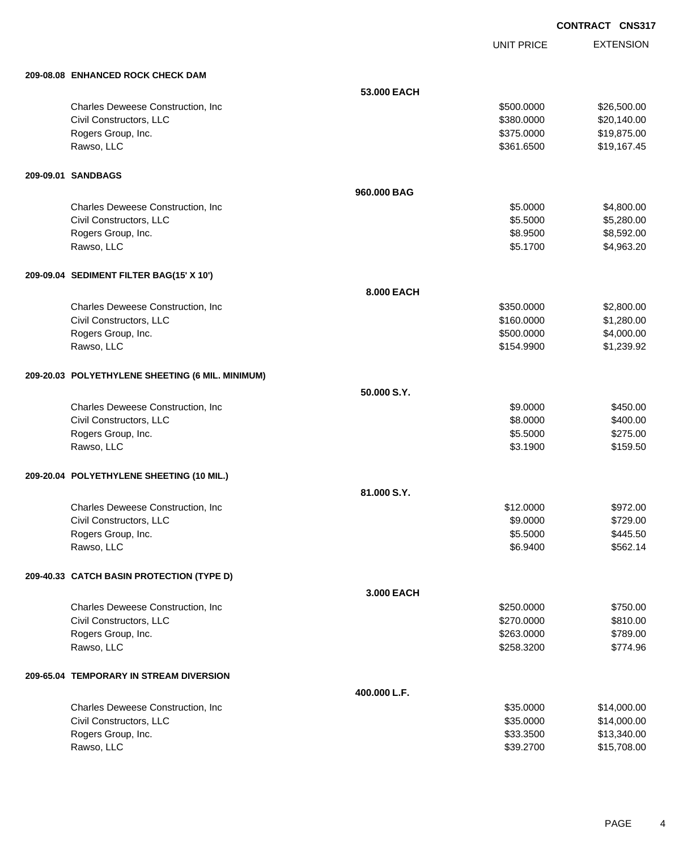UNIT PRICE EXTENSION

| 209-08.08 ENHANCED ROCK CHECK DAM                |              |            |             |
|--------------------------------------------------|--------------|------------|-------------|
|                                                  | 53.000 EACH  |            |             |
| Charles Deweese Construction, Inc.               |              | \$500.0000 | \$26,500.00 |
| Civil Constructors, LLC                          |              | \$380.0000 | \$20,140.00 |
| Rogers Group, Inc.                               |              | \$375.0000 | \$19,875.00 |
| Rawso, LLC                                       |              | \$361.6500 | \$19,167.45 |
| 209-09.01 SANDBAGS                               |              |            |             |
|                                                  | 960.000 BAG  |            |             |
| Charles Deweese Construction, Inc.               |              | \$5.0000   | \$4,800.00  |
| Civil Constructors, LLC                          |              | \$5.5000   | \$5,280.00  |
| Rogers Group, Inc.                               |              | \$8.9500   | \$8,592.00  |
| Rawso, LLC                                       |              | \$5.1700   | \$4,963.20  |
| 209-09.04 SEDIMENT FILTER BAG(15' X 10')         |              |            |             |
|                                                  | 8.000 EACH   |            |             |
| Charles Deweese Construction, Inc.               |              | \$350.0000 | \$2,800.00  |
| Civil Constructors, LLC                          |              | \$160.0000 | \$1,280.00  |
| Rogers Group, Inc.                               |              | \$500.0000 | \$4,000.00  |
| Rawso, LLC                                       |              | \$154.9900 | \$1,239.92  |
| 209-20.03 POLYETHYLENE SHEETING (6 MIL. MINIMUM) |              |            |             |
|                                                  | 50.000 S.Y.  |            |             |
| Charles Deweese Construction, Inc                |              | \$9.0000   | \$450.00    |
| Civil Constructors, LLC                          |              | \$8.0000   | \$400.00    |
| Rogers Group, Inc.                               |              | \$5.5000   | \$275.00    |
| Rawso, LLC                                       |              | \$3.1900   | \$159.50    |
| 209-20.04 POLYETHYLENE SHEETING (10 MIL.)        |              |            |             |
|                                                  | 81.000 S.Y.  |            |             |
| Charles Deweese Construction, Inc                |              | \$12.0000  | \$972.00    |
| Civil Constructors, LLC                          |              | \$9.0000   | \$729.00    |
| Rogers Group, Inc.                               |              | \$5.5000   | \$445.50    |
| Rawso, LLC                                       |              | \$6.9400   | \$562.14    |
| 209-40.33 CATCH BASIN PROTECTION (TYPE D)        |              |            |             |
|                                                  | 3.000 EACH   |            |             |
| Charles Deweese Construction, Inc                |              | \$250.0000 | \$750.00    |
| Civil Constructors, LLC                          |              | \$270.0000 | \$810.00    |
| Rogers Group, Inc.                               |              | \$263.0000 | \$789.00    |
| Rawso, LLC                                       |              | \$258.3200 | \$774.96    |
| 209-65.04 TEMPORARY IN STREAM DIVERSION          |              |            |             |
|                                                  | 400.000 L.F. |            |             |
| Charles Deweese Construction, Inc                |              | \$35.0000  | \$14,000.00 |
| Civil Constructors, LLC                          |              | \$35.0000  | \$14,000.00 |
| Rogers Group, Inc.                               |              | \$33.3500  | \$13,340.00 |
| Rawso, LLC                                       |              | \$39.2700  | \$15,708.00 |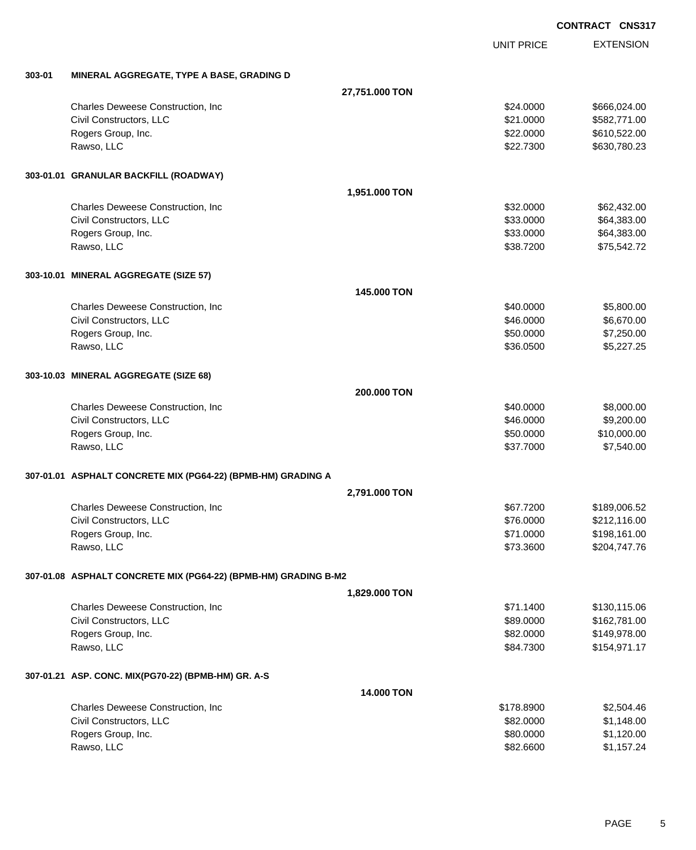EXTENSION UNIT PRICE

### **303-01 MINERAL AGGREGATE, TYPE A BASE, GRADING D**

|                                                                 | 27,751.000 TON    |            |              |
|-----------------------------------------------------------------|-------------------|------------|--------------|
| Charles Deweese Construction, Inc.                              |                   | \$24.0000  | \$666,024.00 |
| Civil Constructors, LLC                                         |                   | \$21.0000  | \$582,771.00 |
| Rogers Group, Inc.                                              |                   | \$22.0000  | \$610,522.00 |
| Rawso, LLC                                                      |                   | \$22.7300  | \$630,780.23 |
| 303-01.01 GRANULAR BACKFILL (ROADWAY)                           |                   |            |              |
|                                                                 | 1,951.000 TON     |            |              |
| Charles Deweese Construction, Inc.                              |                   | \$32.0000  | \$62,432.00  |
| Civil Constructors, LLC                                         |                   | \$33.0000  | \$64,383.00  |
| Rogers Group, Inc.                                              |                   | \$33.0000  | \$64,383.00  |
| Rawso, LLC                                                      |                   | \$38.7200  | \$75,542.72  |
| 303-10.01 MINERAL AGGREGATE (SIZE 57)                           |                   |            |              |
|                                                                 | 145,000 TON       |            |              |
| Charles Deweese Construction, Inc.                              |                   | \$40.0000  | \$5,800.00   |
| Civil Constructors, LLC                                         |                   | \$46.0000  | \$6,670.00   |
| Rogers Group, Inc.                                              |                   | \$50.0000  | \$7,250.00   |
| Rawso, LLC                                                      |                   | \$36.0500  | \$5,227.25   |
| 303-10.03 MINERAL AGGREGATE (SIZE 68)                           |                   |            |              |
|                                                                 | 200.000 TON       |            |              |
| Charles Deweese Construction, Inc.                              |                   | \$40.0000  | \$8,000.00   |
| Civil Constructors, LLC                                         |                   | \$46.0000  | \$9,200.00   |
| Rogers Group, Inc.                                              |                   | \$50.0000  | \$10,000.00  |
| Rawso, LLC                                                      |                   | \$37.7000  | \$7,540.00   |
| 307-01.01 ASPHALT CONCRETE MIX (PG64-22) (BPMB-HM) GRADING A    |                   |            |              |
|                                                                 | 2,791.000 TON     |            |              |
| Charles Deweese Construction, Inc.                              |                   | \$67.7200  | \$189,006.52 |
| Civil Constructors, LLC                                         |                   | \$76.0000  | \$212,116.00 |
| Rogers Group, Inc.                                              |                   | \$71.0000  | \$198,161.00 |
| Rawso, LLC                                                      |                   | \$73.3600  | \$204,747.76 |
| 307-01.08 ASPHALT CONCRETE MIX (PG64-22) (BPMB-HM) GRADING B-M2 |                   |            |              |
|                                                                 | 1,829.000 TON     |            |              |
| Charles Deweese Construction, Inc                               |                   | \$71.1400  | \$130,115.06 |
| Civil Constructors, LLC                                         |                   | \$89.0000  | \$162,781.00 |
| Rogers Group, Inc.                                              |                   | \$82.0000  | \$149,978.00 |
| Rawso, LLC                                                      |                   | \$84.7300  | \$154,971.17 |
| 307-01.21 ASP. CONC. MIX(PG70-22) (BPMB-HM) GR. A-S             |                   |            |              |
|                                                                 | <b>14.000 TON</b> |            |              |
| Charles Deweese Construction, Inc                               |                   | \$178.8900 | \$2,504.46   |
| Civil Constructors, LLC                                         |                   | \$82.0000  | \$1,148.00   |
| Rogers Group, Inc.                                              |                   | \$80.0000  | \$1,120.00   |
| Rawso, LLC                                                      |                   | \$82.6600  | \$1,157.24   |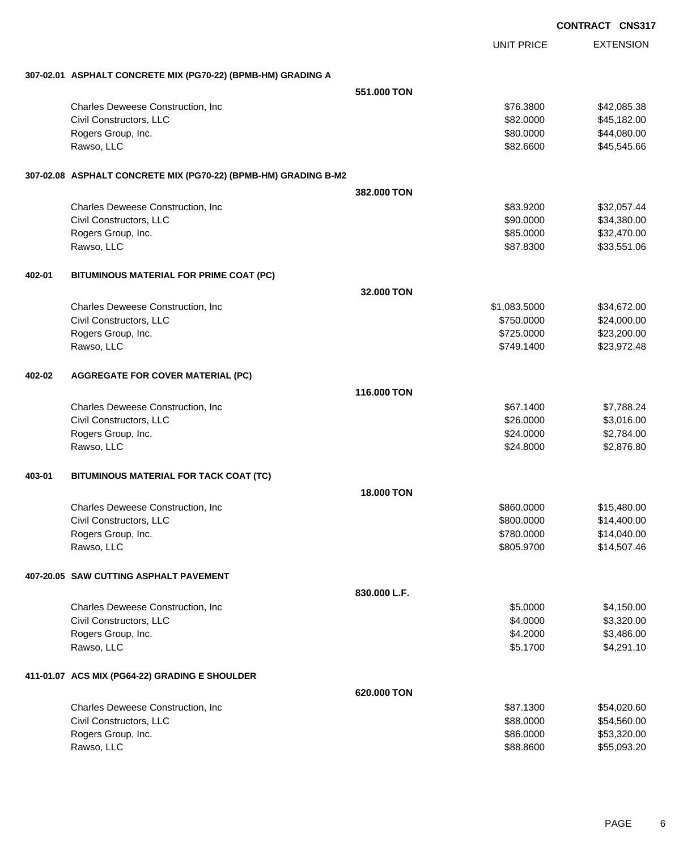|        |                                                                 |                   |                          | <b>CONTRACT CNS317</b> |                            |
|--------|-----------------------------------------------------------------|-------------------|--------------------------|------------------------|----------------------------|
|        |                                                                 |                   | <b>UNIT PRICE</b>        |                        | <b>EXTENSION</b>           |
|        | 307-02.01 ASPHALT CONCRETE MIX (PG70-22) (BPMB-HM) GRADING A    |                   |                          |                        |                            |
|        |                                                                 | 551,000 TON       |                          |                        |                            |
|        | Charles Deweese Construction, Inc                               |                   | \$76.3800                |                        | \$42,085.38                |
|        | Civil Constructors, LLC                                         |                   | \$82.0000                |                        | \$45,182.00                |
|        | Rogers Group, Inc.                                              |                   | \$80.0000                |                        | \$44,080.00                |
|        | Rawso, LLC                                                      |                   | \$82.6600                |                        | \$45,545.66                |
|        | 307-02.08 ASPHALT CONCRETE MIX (PG70-22) (BPMB-HM) GRADING B-M2 |                   |                          |                        |                            |
|        |                                                                 | 382.000 TON       |                          |                        |                            |
|        | Charles Deweese Construction, Inc                               |                   | \$83.9200                |                        | \$32,057.44                |
|        | Civil Constructors, LLC                                         |                   | \$90.0000                |                        | \$34,380.00                |
|        | Rogers Group, Inc.                                              |                   | \$85.0000                |                        | \$32,470.00                |
|        | Rawso, LLC                                                      |                   | \$87.8300                |                        | \$33,551.06                |
| 402-01 | BITUMINOUS MATERIAL FOR PRIME COAT (PC)                         |                   |                          |                        |                            |
|        |                                                                 | 32,000 TON        |                          |                        |                            |
|        | Charles Deweese Construction, Inc                               |                   | \$1,083.5000             |                        | \$34,672.00                |
|        | Civil Constructors, LLC                                         |                   | \$750.0000               |                        | \$24,000.00                |
|        | Rogers Group, Inc.                                              |                   | \$725.0000               |                        | \$23,200.00                |
|        | Rawso, LLC                                                      |                   | \$749.1400               |                        | \$23,972.48                |
| 402-02 | <b>AGGREGATE FOR COVER MATERIAL (PC)</b>                        |                   |                          |                        |                            |
|        |                                                                 | 116,000 TON       |                          |                        |                            |
|        | Charles Deweese Construction, Inc                               |                   | \$67.1400                |                        | \$7,788.24                 |
|        | Civil Constructors, LLC                                         |                   | \$26.0000                |                        | \$3,016.00                 |
|        | Rogers Group, Inc.<br>Rawso, LLC                                |                   | \$24.0000<br>\$24.8000   |                        | \$2,784.00<br>\$2,876.80   |
|        |                                                                 |                   |                          |                        |                            |
| 403-01 | BITUMINOUS MATERIAL FOR TACK COAT (TC)                          |                   |                          |                        |                            |
|        |                                                                 | <b>18,000 TON</b> |                          |                        |                            |
|        | Charles Deweese Construction, Inc                               |                   | \$860.0000               |                        | \$15,480.00                |
|        | Civil Constructors, LLC                                         |                   | \$800.0000               |                        | \$14,400.00                |
|        | Rogers Group, Inc.<br>Rawso, LLC                                |                   | \$780.0000<br>\$805.9700 |                        | \$14,040.00<br>\$14,507.46 |
|        |                                                                 |                   |                          |                        |                            |
|        | 407-20.05 SAW CUTTING ASPHALT PAVEMENT                          |                   |                          |                        |                            |
|        |                                                                 | 830.000 L.F.      |                          |                        |                            |
|        | Charles Deweese Construction, Inc.                              |                   | \$5.0000                 |                        | \$4,150.00                 |
|        | Civil Constructors, LLC                                         |                   | \$4.0000                 |                        | \$3,320.00                 |
|        | Rogers Group, Inc.<br>Rawso, LLC                                |                   | \$4.2000<br>\$5.1700     |                        | \$3,486.00<br>\$4,291.10   |
|        |                                                                 |                   |                          |                        |                            |
|        | 411-01.07 ACS MIX (PG64-22) GRADING E SHOULDER                  |                   |                          |                        |                            |
|        |                                                                 | 620.000 TON       |                          |                        |                            |
|        | Charles Deweese Construction, Inc                               |                   | \$87.1300                |                        | \$54,020.60                |
|        | Civil Constructors, LLC                                         |                   | \$88.0000                |                        | \$54,560.00                |
|        | Rogers Group, Inc.<br>Rawso, LLC                                |                   | \$86.0000<br>\$88.8600   |                        | \$53,320.00<br>\$55,093.20 |
|        |                                                                 |                   |                          |                        |                            |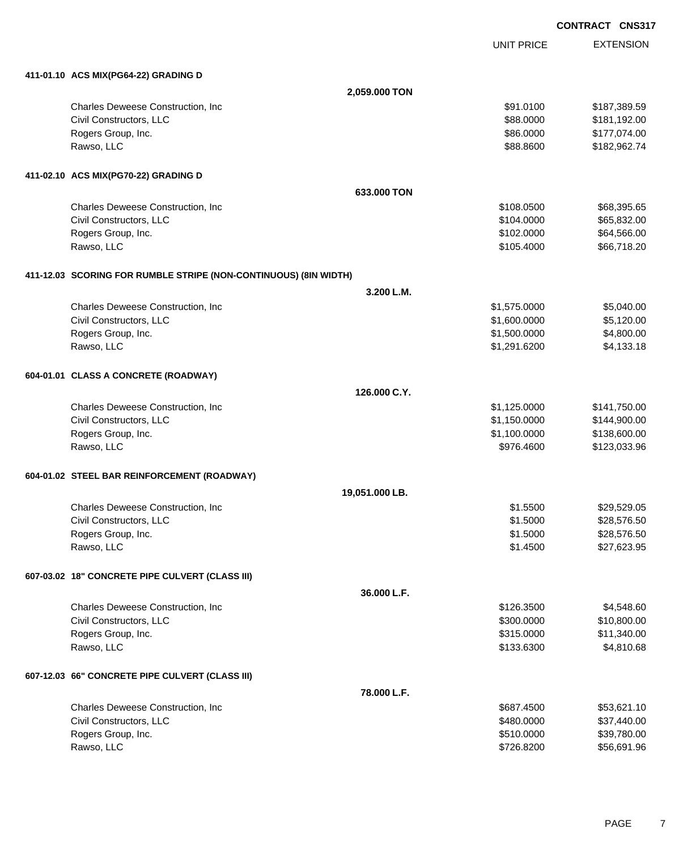**EXTENSION CONTRACT CNS317** UNIT PRICE **411-01.10 ACS MIX(PG64-22) GRADING D 2,059.000 TON** Charles Deweese Construction, Inc **Charles Deweese Construction, Inc** 651.0100 \$187,389.59 Civil Constructors, LLC 6. 2000 \$181,192.00 Rogers Group, Inc. \$86.0000 \$177,074.00 Rawso, LLC \$88.8600 \$182,962.74 **411-02.10 ACS MIX(PG70-22) GRADING D 633.000 TON** Charles Deweese Construction, Inc **Charles Deweese Construction, Inc** 668,395.65 Civil Constructors, LLC 665,832.00 Rogers Group, Inc. \$102.0000 \$64,566.00 Rawso, LLC \$105.4000 \$66,718.20 **411-12.03 SCORING FOR RUMBLE STRIPE (NON-CONTINUOUS) (8IN WIDTH) 3.200 L.M.** Charles Deweese Construction, Inc **Charles Deweese Construction, Inc** 65,040.00 Civil Constructors, LLC 6.120.00 \$5,120.00 \$5,120.00 Rogers Group, Inc. \$1,500.000 \$4,800.00 Rawso, LLC \$1,291.6200 \$4,133.18 **604-01.01 CLASS A CONCRETE (ROADWAY) 126.000 C.Y.** Charles Deweese Construction, Inc **Charles Deweese Construction, Inc 61,125.000** \$1,125.000 \$141,750.00 Civil Constructors, LLC 6. The State of the State of the State of State of State of State of State of State of State of State of State of State of State of State of State of State of State of State of State of State of Sta Rogers Group, Inc. \$1,100.0000 \$1,100.0000 \$1,100.0000 \$1,100.0000 \$1,100.000 \$138,600.00 Rawso, LLC \$976.4600 \$123,033.96 **604-01.02 STEEL BAR REINFORCEMENT (ROADWAY) 19,051.000 LB.** Charles Deweese Construction, Inc **but a structure of the Charles State Structure Structure Structure Structure Structure Structure Structure Structure Structure Structure Structure Structure Structure Structure Structure** Civil Constructors, LLC 628,576.50 Rogers Group, Inc. \$28,576.50 Rawso, LLC \$1.4500 \$27,623.95 **607-03.02 18" CONCRETE PIPE CULVERT (CLASS III) 36.000 L.F.** Charles Deweese Construction, Inc **6.600 \$4,548.60** \$4,548.60 Civil Constructors, LLC 610,800.000 \$10,800.000 \$10,800.000 \$10,800.000 \$10,800.00 Rogers Group, Inc. \$11,340.00 Rawso, LLC \$133.6300 \$4,810.68

### **607-12.03 66" CONCRETE PIPE CULVERT (CLASS III)**

| 78.000 L.F.                               |            |             |
|-------------------------------------------|------------|-------------|
| <b>Charles Deweese Construction, Inc.</b> | \$687.4500 | \$53.621.10 |
| Civil Constructors, LLC                   | \$480,0000 | \$37,440.00 |
| Rogers Group, Inc.                        | \$510,0000 | \$39.780.00 |
| Rawso, LLC                                | \$726.8200 | \$56,691.96 |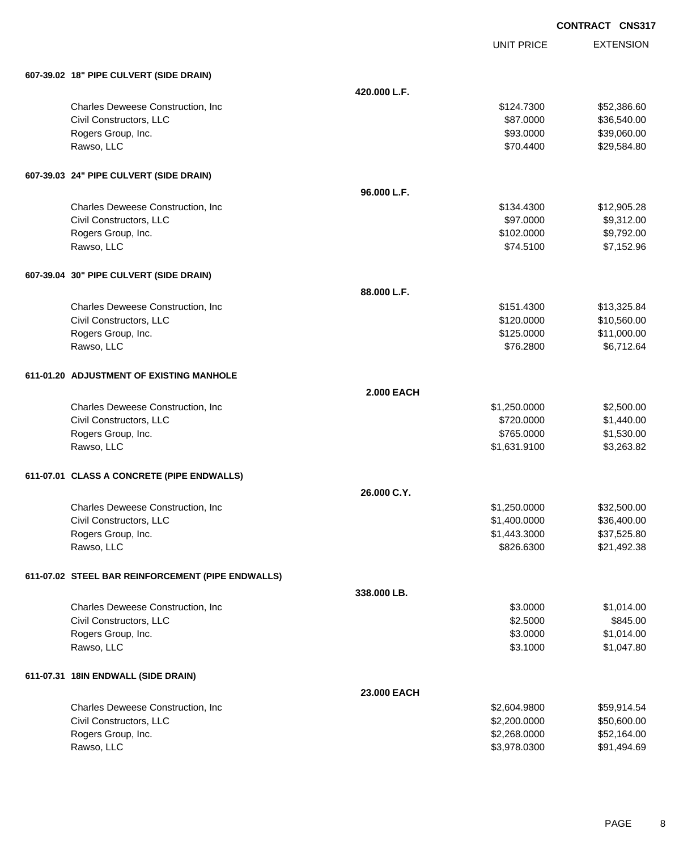UNIT PRICE

EXTENSION

| 607-39.02 18" PIPE CULVERT (SIDE DRAIN)           |              |              |             |  |
|---------------------------------------------------|--------------|--------------|-------------|--|
|                                                   | 420.000 L.F. |              |             |  |
| Charles Deweese Construction, Inc.                |              | \$124.7300   | \$52,386.60 |  |
| Civil Constructors, LLC                           |              | \$87.0000    | \$36,540.00 |  |
| Rogers Group, Inc.                                |              | \$93.0000    | \$39,060.00 |  |
| Rawso, LLC                                        |              | \$70.4400    | \$29,584.80 |  |
| 607-39.03 24" PIPE CULVERT (SIDE DRAIN)           |              |              |             |  |
|                                                   | 96.000 L.F.  |              |             |  |
| Charles Deweese Construction, Inc                 |              | \$134.4300   | \$12,905.28 |  |
| Civil Constructors, LLC                           |              | \$97.0000    | \$9,312.00  |  |
| Rogers Group, Inc.                                |              | \$102.0000   | \$9,792.00  |  |
| Rawso, LLC                                        |              | \$74.5100    | \$7,152.96  |  |
| 607-39.04 30" PIPE CULVERT (SIDE DRAIN)           |              |              |             |  |
|                                                   | 88.000 L.F.  |              |             |  |
| Charles Deweese Construction, Inc                 |              | \$151.4300   | \$13,325.84 |  |
| Civil Constructors, LLC                           |              | \$120.0000   | \$10,560.00 |  |
| Rogers Group, Inc.                                |              | \$125.0000   | \$11,000.00 |  |
| Rawso, LLC                                        |              | \$76.2800    | \$6,712.64  |  |
| 611-01.20 ADJUSTMENT OF EXISTING MANHOLE          |              |              |             |  |
| <b>2.000 EACH</b>                                 |              |              |             |  |
| Charles Deweese Construction, Inc                 |              | \$1,250.0000 | \$2,500.00  |  |
| Civil Constructors, LLC                           |              | \$720.0000   | \$1,440.00  |  |
| Rogers Group, Inc.                                |              | \$765.0000   | \$1,530.00  |  |
| Rawso, LLC                                        |              | \$1,631.9100 | \$3,263.82  |  |
| 611-07.01 CLASS A CONCRETE (PIPE ENDWALLS)        |              |              |             |  |
|                                                   | 26.000 C.Y.  |              |             |  |
| Charles Deweese Construction, Inc                 |              | \$1,250.0000 | \$32,500.00 |  |
| Civil Constructors, LLC                           |              | \$1,400.0000 | \$36,400.00 |  |
| Rogers Group, Inc.                                |              | \$1,443.3000 | \$37,525.80 |  |
| Rawso, LLC                                        |              | \$826.6300   | \$21,492.38 |  |
| 611-07.02 STEEL BAR REINFORCEMENT (PIPE ENDWALLS) |              |              |             |  |
|                                                   | 338,000 LB.  |              |             |  |
| Charles Deweese Construction, Inc.                |              | \$3.0000     | \$1,014.00  |  |
| Civil Constructors, LLC                           |              | \$2.5000     | \$845.00    |  |
| Rogers Group, Inc.                                |              | \$3.0000     | \$1,014.00  |  |
| Rawso, LLC                                        |              | \$3.1000     | \$1,047.80  |  |
| 611-07.31 18IN ENDWALL (SIDE DRAIN)               |              |              |             |  |
|                                                   | 23,000 EACH  |              |             |  |
| Charles Deweese Construction, Inc                 |              | \$2,604.9800 | \$59,914.54 |  |
| Civil Constructors, LLC                           |              | \$2,200.0000 | \$50,600.00 |  |
| Rogers Group, Inc.                                |              | \$2,268.0000 | \$52,164.00 |  |
| Rawso, LLC                                        |              | \$3,978.0300 | \$91,494.69 |  |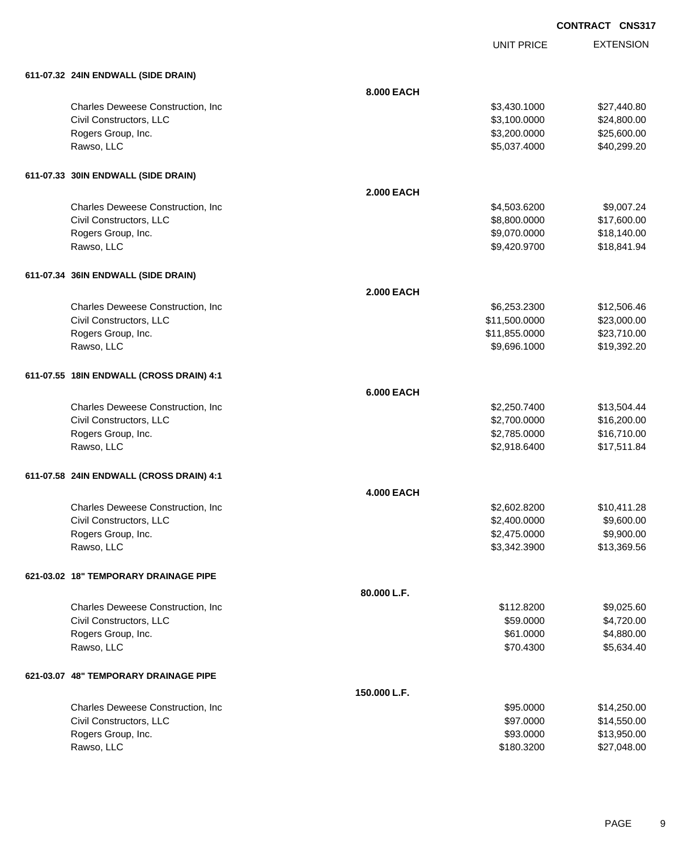UNIT PRICE EXTENSION

| 611-07.32 24IN ENDWALL (SIDE DRAIN)      |                   |                              |                           |
|------------------------------------------|-------------------|------------------------------|---------------------------|
|                                          | 8.000 EACH        |                              |                           |
| Charles Deweese Construction, Inc        |                   | \$3,430.1000                 | \$27,440.80               |
| Civil Constructors, LLC                  |                   | \$3,100.0000                 | \$24,800.00               |
| Rogers Group, Inc.                       |                   | \$3,200.0000                 | \$25,600.00               |
| Rawso, LLC                               |                   | \$5,037.4000                 | \$40,299.20               |
|                                          |                   |                              |                           |
| 611-07.33 30IN ENDWALL (SIDE DRAIN)      | <b>2.000 EACH</b> |                              |                           |
| Charles Deweese Construction, Inc        |                   | \$4,503.6200                 | \$9,007.24                |
| Civil Constructors, LLC                  |                   | \$8,800.0000                 | \$17,600.00               |
| Rogers Group, Inc.                       |                   | \$9,070.0000                 | \$18,140.00               |
| Rawso, LLC                               |                   | \$9,420.9700                 | \$18,841.94               |
|                                          |                   |                              |                           |
| 611-07.34 36IN ENDWALL (SIDE DRAIN)      | <b>2.000 EACH</b> |                              |                           |
| Charles Deweese Construction, Inc        |                   | \$6,253.2300                 | \$12,506.46               |
| Civil Constructors, LLC                  |                   | \$11,500.0000                | \$23,000.00               |
| Rogers Group, Inc.                       |                   | \$11,855.0000                | \$23,710.00               |
| Rawso, LLC                               |                   | \$9,696.1000                 | \$19,392.20               |
|                                          |                   |                              |                           |
| 611-07.55 18IN ENDWALL (CROSS DRAIN) 4:1 | <b>6.000 EACH</b> |                              |                           |
| Charles Deweese Construction, Inc        |                   | \$2,250.7400                 | \$13,504.44               |
| Civil Constructors, LLC                  |                   | \$2,700.0000                 | \$16,200.00               |
| Rogers Group, Inc.                       |                   | \$2,785.0000                 | \$16,710.00               |
| Rawso, LLC                               |                   | \$2,918.6400                 | \$17,511.84               |
|                                          |                   |                              |                           |
| 611-07.58 24IN ENDWALL (CROSS DRAIN) 4:1 |                   |                              |                           |
|                                          | <b>4.000 EACH</b> |                              |                           |
| Charles Deweese Construction, Inc        |                   | \$2,602.8200                 | \$10,411.28               |
| Civil Constructors, LLC                  |                   | \$2,400.0000                 | \$9,600.00                |
| Rogers Group, Inc.<br>Rawso, LLC         |                   | \$2,475.0000<br>\$3,342.3900 | \$9,900.00<br>\$13,369.56 |
|                                          |                   |                              |                           |
| 621-03.02 18" TEMPORARY DRAINAGE PIPE    |                   |                              |                           |
|                                          | 80.000 L.F.       |                              |                           |
| Charles Deweese Construction, Inc        |                   | \$112.8200                   | \$9,025.60                |
| Civil Constructors, LLC                  |                   | \$59.0000                    | \$4,720.00                |
| Rogers Group, Inc.                       |                   | \$61.0000                    | \$4,880.00                |
| Rawso, LLC                               |                   | \$70.4300                    | \$5,634.40                |
| 621-03.07 48" TEMPORARY DRAINAGE PIPE    |                   |                              |                           |
|                                          | 150.000 L.F.      |                              |                           |
| Charles Deweese Construction, Inc        |                   | \$95.0000                    | \$14,250.00               |
| Civil Constructors, LLC                  |                   | \$97.0000                    | \$14,550.00               |
| Rogers Group, Inc.                       |                   | \$93.0000                    | \$13,950.00               |
| Rawso, LLC                               |                   | \$180.3200                   | \$27,048.00               |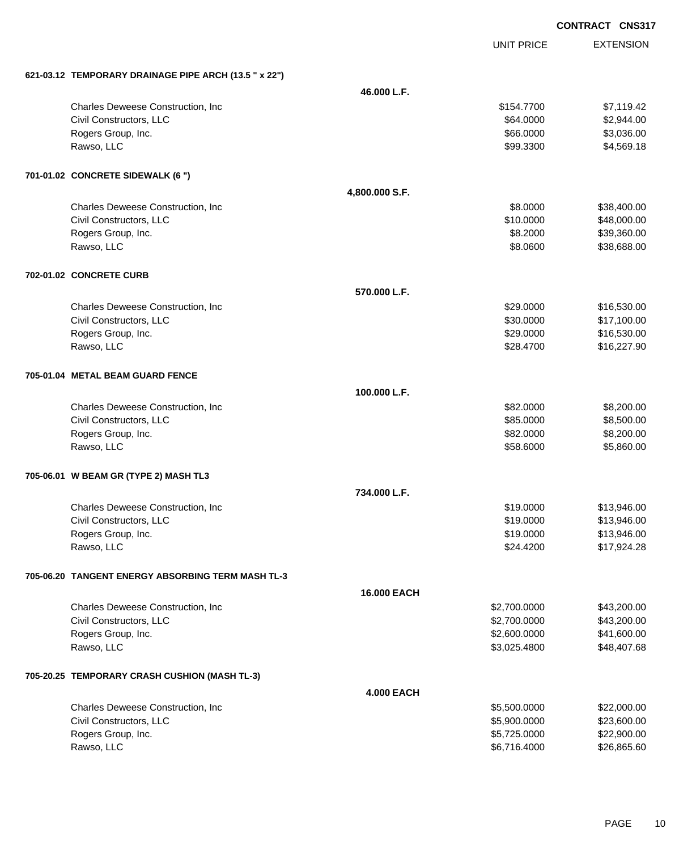|                                                    |            | <b>CONTRACT CNS317</b> |
|----------------------------------------------------|------------|------------------------|
|                                                    | UNIT PRICE | <b>EXTENSION</b>       |
| <b>TEMPORARY DRAINAGE PIPE ARCH (13.5 " x 22")</b> |            |                        |
| 46.000 L.F.                                        |            |                        |
| Charles Deweese Construction, Inc                  | \$154.7700 | \$7,119.42             |
| Civil Constructors, LLC                            | \$64.0000  | \$2,944.00             |
| Rogers Group, Inc.                                 | \$66.0000  | \$3,036.00             |
| Rawso, LLC                                         | \$99.3300  | \$4,569.18             |

#### **701-01.02 CONCRETE SIDEWALK (6 ")**

**621-03.12 TEMPORARY DRAINAGE PIPE ARCH (13.5 " x 22")**

| 701-01.02 CONCRETE SIDEWALK (6 ")                 |                    |              |             |
|---------------------------------------------------|--------------------|--------------|-------------|
|                                                   | 4,800.000 S.F.     |              |             |
| Charles Deweese Construction, Inc                 |                    | \$8.0000     | \$38,400.00 |
| Civil Constructors, LLC                           |                    | \$10.0000    | \$48,000.00 |
| Rogers Group, Inc.                                |                    | \$8.2000     | \$39,360.00 |
| Rawso, LLC                                        |                    | \$8.0600     | \$38,688.00 |
| 702-01.02 CONCRETE CURB                           |                    |              |             |
|                                                   | 570.000 L.F.       |              |             |
| Charles Deweese Construction, Inc                 |                    | \$29.0000    | \$16,530.00 |
| Civil Constructors, LLC                           |                    | \$30.0000    | \$17,100.00 |
| Rogers Group, Inc.                                |                    | \$29.0000    | \$16,530.00 |
| Rawso, LLC                                        |                    | \$28.4700    | \$16,227.90 |
| 705-01.04 METAL BEAM GUARD FENCE                  |                    |              |             |
|                                                   | 100.000 L.F.       |              |             |
| Charles Deweese Construction, Inc.                |                    | \$82.0000    | \$8,200.00  |
| Civil Constructors, LLC                           |                    | \$85.0000    | \$8,500.00  |
| Rogers Group, Inc.                                |                    | \$82.0000    | \$8,200.00  |
| Rawso, LLC                                        |                    | \$58.6000    | \$5,860.00  |
| 705-06.01 W BEAM GR (TYPE 2) MASH TL3             |                    |              |             |
|                                                   | 734.000 L.F.       |              |             |
| Charles Deweese Construction, Inc                 |                    | \$19.0000    | \$13,946.00 |
| Civil Constructors, LLC                           |                    | \$19.0000    | \$13,946.00 |
| Rogers Group, Inc.                                |                    | \$19.0000    | \$13,946.00 |
| Rawso, LLC                                        |                    | \$24,4200    | \$17,924.28 |
| 705-06.20 TANGENT ENERGY ABSORBING TERM MASH TL-3 |                    |              |             |
|                                                   | <b>16.000 EACH</b> |              |             |
| Charles Deweese Construction, Inc.                |                    | \$2,700.0000 | \$43,200.00 |
| Civil Constructors, LLC                           |                    | \$2,700.0000 | \$43,200.00 |
| Rogers Group, Inc.                                |                    | \$2,600.0000 | \$41,600.00 |
| Rawso, LLC                                        |                    | \$3,025.4800 | \$48,407.68 |
| 705-20.25 TEMPORARY CRASH CUSHION (MASH TL-3)     |                    |              |             |
|                                                   | <b>4.000 EACH</b>  |              |             |

| <b>Charles Deweese Construction, Inc.</b> | \$5,500,0000 | \$22,000.00 |
|-------------------------------------------|--------------|-------------|
| Civil Constructors, LLC                   | \$5,900,0000 | \$23,600,00 |
| Rogers Group, Inc.                        | \$5.725.0000 | \$22,900.00 |
| Rawso, LLC                                | \$6.716.4000 | \$26,865,60 |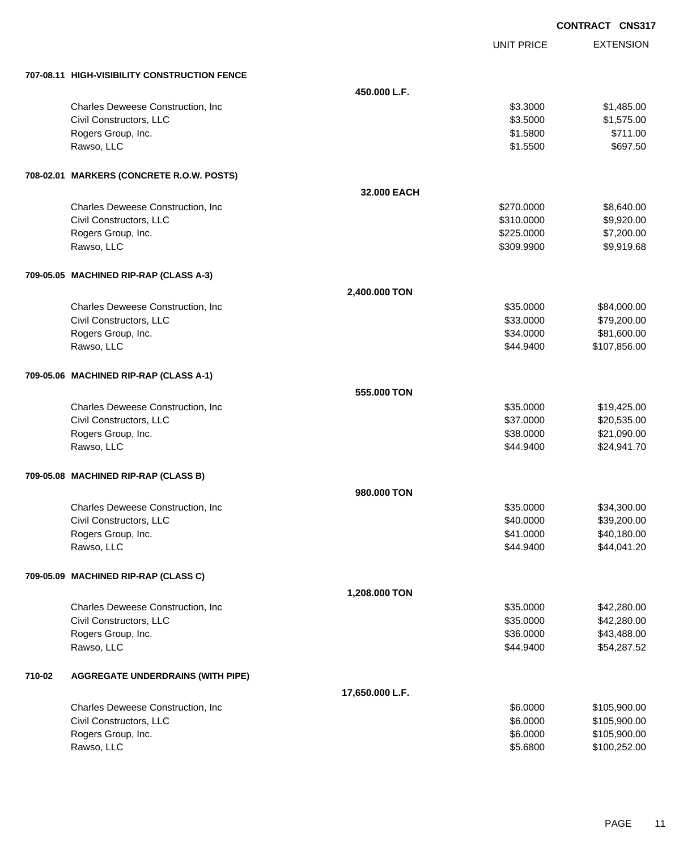|        |                                              |                 |                      | <b>CONTRACT CNS317</b>       |
|--------|----------------------------------------------|-----------------|----------------------|------------------------------|
|        |                                              |                 | <b>UNIT PRICE</b>    | <b>EXTENSION</b>             |
|        | 707-08.11 HIGH-VISIBILITY CONSTRUCTION FENCE |                 |                      |                              |
|        |                                              | 450,000 L.F.    |                      |                              |
|        | Charles Deweese Construction, Inc.           |                 | \$3.3000             | \$1,485.00                   |
|        | Civil Constructors, LLC                      |                 | \$3.5000             | \$1,575.00                   |
|        | Rogers Group, Inc.                           |                 | \$1.5800             | \$711.00                     |
|        | Rawso, LLC                                   |                 | \$1.5500             | \$697.50                     |
|        | 708-02.01 MARKERS (CONCRETE R.O.W. POSTS)    |                 |                      |                              |
|        |                                              | 32,000 EACH     |                      |                              |
|        | Charles Deweese Construction, Inc            |                 | \$270.0000           | \$8,640.00                   |
|        | Civil Constructors, LLC                      |                 | \$310.0000           | \$9,920.00                   |
|        | Rogers Group, Inc.                           |                 | \$225.0000           | \$7,200.00                   |
|        | Rawso, LLC                                   |                 | \$309.9900           | \$9,919.68                   |
|        | 709-05.05 MACHINED RIP-RAP (CLASS A-3)       |                 |                      |                              |
|        |                                              | 2,400.000 TON   |                      |                              |
|        | Charles Deweese Construction, Inc            |                 | \$35.0000            | \$84,000.00                  |
|        | Civil Constructors, LLC                      |                 | \$33,0000            | \$79,200.00                  |
|        | Rogers Group, Inc.                           |                 | \$34.0000            | \$81,600.00                  |
|        | Rawso, LLC                                   |                 | \$44.9400            | \$107,856.00                 |
|        | 709-05.06 MACHINED RIP-RAP (CLASS A-1)       |                 |                      |                              |
|        |                                              | 555,000 TON     |                      |                              |
|        | Charles Deweese Construction, Inc.           |                 | \$35.0000            | \$19,425.00                  |
|        | Civil Constructors, LLC                      |                 | \$37.0000            | \$20,535.00                  |
|        | Rogers Group, Inc.                           |                 | \$38.0000            | \$21,090.00                  |
|        | Rawso, LLC                                   |                 | \$44.9400            | \$24,941.70                  |
|        | 709-05.08 MACHINED RIP-RAP (CLASS B)         |                 |                      |                              |
|        |                                              | 980.000 TON     |                      |                              |
|        | Charles Deweese Construction, Inc            |                 | \$35.0000            | \$34,300.00                  |
|        | Civil Constructors, LLC                      |                 | \$40.0000            | \$39,200.00                  |
|        | Rogers Group, Inc.                           |                 | \$41.0000            | \$40,180.00                  |
|        | Rawso, LLC                                   |                 | \$44.9400            | \$44,041.20                  |
|        | 709-05.09 MACHINED RIP-RAP (CLASS C)         |                 |                      |                              |
|        |                                              | 1,208.000 TON   |                      |                              |
|        | Charles Deweese Construction, Inc.           |                 | \$35.0000            | \$42,280.00                  |
|        | Civil Constructors, LLC                      |                 | \$35.0000            | \$42,280.00                  |
|        | Rogers Group, Inc.                           |                 | \$36.0000            | \$43,488.00                  |
|        | Rawso, LLC                                   |                 | \$44.9400            | \$54,287.52                  |
| 710-02 | <b>AGGREGATE UNDERDRAINS (WITH PIPE)</b>     |                 |                      |                              |
|        |                                              | 17,650.000 L.F. |                      |                              |
|        | Charles Deweese Construction, Inc            |                 | \$6.0000             | \$105,900.00                 |
|        | Civil Constructors, LLC                      |                 | \$6.0000             | \$105,900.00                 |
|        | Rogers Group, Inc.<br>Rawso, LLC             |                 | \$6.0000<br>\$5.6800 | \$105,900.00<br>\$100,252.00 |
|        |                                              |                 |                      |                              |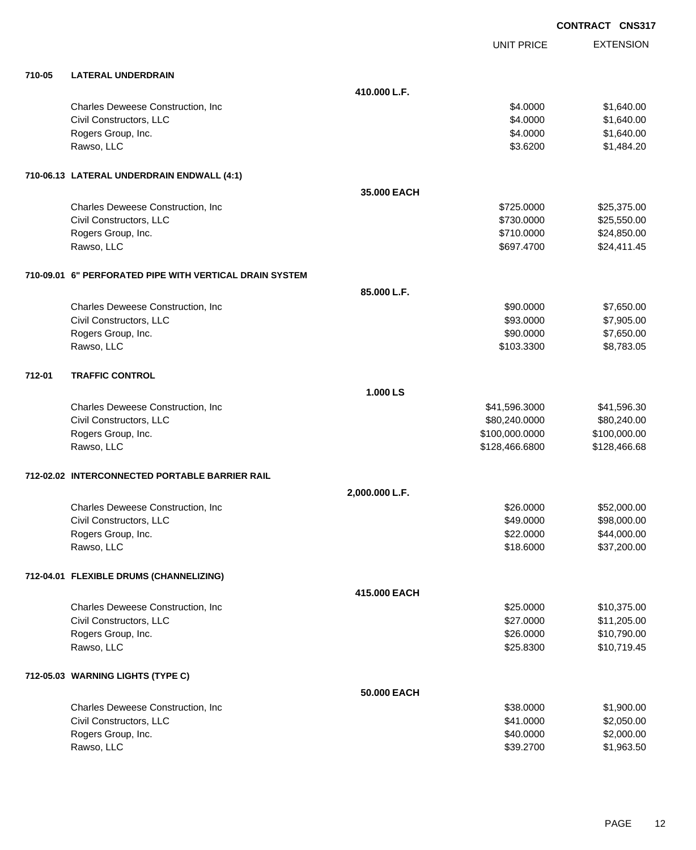|        |                                                         |                |                   | <b>CONTRACT CNS317</b> |
|--------|---------------------------------------------------------|----------------|-------------------|------------------------|
|        |                                                         |                | <b>UNIT PRICE</b> | <b>EXTENSION</b>       |
| 710-05 | <b>LATERAL UNDERDRAIN</b>                               |                |                   |                        |
|        |                                                         | 410.000 L.F.   |                   |                        |
|        | Charles Deweese Construction, Inc.                      |                | \$4.0000          | \$1,640.00             |
|        | Civil Constructors, LLC                                 |                | \$4.0000          | \$1,640.00             |
|        | Rogers Group, Inc.                                      |                | \$4.0000          | \$1,640.00             |
|        | Rawso, LLC                                              |                | \$3.6200          | \$1,484.20             |
|        | 710-06.13 LATERAL UNDERDRAIN ENDWALL (4:1)              |                |                   |                        |
|        |                                                         | 35,000 EACH    |                   |                        |
|        | Charles Deweese Construction, Inc                       |                | \$725.0000        | \$25,375.00            |
|        | Civil Constructors, LLC                                 |                | \$730.0000        | \$25,550.00            |
|        | Rogers Group, Inc.                                      |                | \$710.0000        | \$24,850.00            |
|        | Rawso, LLC                                              |                | \$697.4700        | \$24,411.45            |
|        | 710-09.01 6" PERFORATED PIPE WITH VERTICAL DRAIN SYSTEM |                |                   |                        |
|        |                                                         | 85,000 L.F.    |                   |                        |
|        | Charles Deweese Construction, Inc                       |                | \$90.0000         | \$7,650.00             |
|        | Civil Constructors, LLC                                 |                | \$93.0000         | \$7,905.00             |
|        | Rogers Group, Inc.                                      |                | \$90.0000         | \$7,650.00             |
|        | Rawso, LLC                                              |                | \$103.3300        | \$8,783.05             |
| 712-01 | <b>TRAFFIC CONTROL</b>                                  |                |                   |                        |
|        |                                                         | 1.000 LS       |                   |                        |
|        | Charles Deweese Construction, Inc                       |                | \$41,596.3000     | \$41,596.30            |
|        | Civil Constructors, LLC                                 |                | \$80,240.0000     | \$80,240.00            |
|        | Rogers Group, Inc.                                      |                | \$100,000.0000    | \$100,000.00           |
|        | Rawso, LLC                                              |                | \$128,466.6800    | \$128,466.68           |
|        | 712-02.02 INTERCONNECTED PORTABLE BARRIER RAIL          |                |                   |                        |
|        |                                                         | 2,000.000 L.F. |                   |                        |
|        | Charles Deweese Construction, Inc                       |                | \$26.0000         | \$52,000.00            |
|        | Civil Constructors, LLC                                 |                | \$49.0000         | \$98,000.00            |
|        | Rogers Group, Inc.                                      |                | \$22.0000         | \$44,000.00            |
|        | Rawso, LLC                                              |                | \$18.6000         | \$37,200.00            |
|        | 712-04.01 FLEXIBLE DRUMS (CHANNELIZING)                 |                |                   |                        |
|        |                                                         | 415.000 EACH   |                   |                        |
|        | Charles Deweese Construction, Inc                       |                | \$25.0000         | \$10,375.00            |
|        | Civil Constructors, LLC                                 |                | \$27.0000         | \$11,205.00            |
|        | Rogers Group, Inc.                                      |                | \$26.0000         | \$10,790.00            |
|        | Rawso, LLC                                              |                | \$25.8300         | \$10,719.45            |
|        | 712-05.03 WARNING LIGHTS (TYPE C)                       |                |                   |                        |
|        |                                                         | 50.000 EACH    |                   |                        |
|        | Charles Deweese Construction, Inc                       |                | \$38.0000         | \$1,900.00             |
|        | Civil Constructors, LLC                                 |                | \$41.0000         | \$2,050.00             |
|        | Rogers Group, Inc.                                      |                | \$40.0000         | \$2,000.00             |
|        | Rawso, LLC                                              |                | \$39.2700         | \$1,963.50             |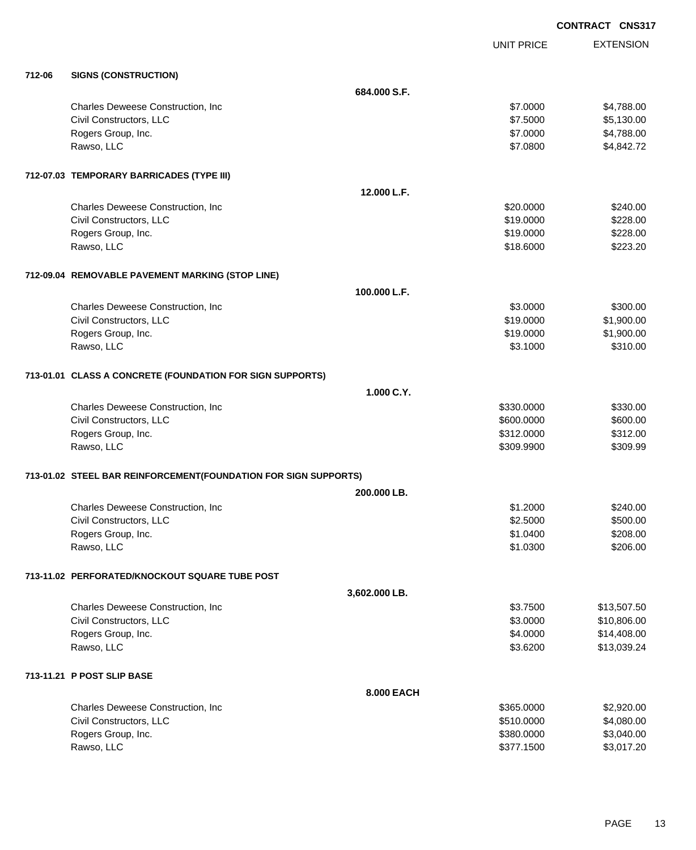|        |                                                                 |               |                   | <b>CONTRACT CNS317</b>   |
|--------|-----------------------------------------------------------------|---------------|-------------------|--------------------------|
|        |                                                                 |               | <b>UNIT PRICE</b> | <b>EXTENSION</b>         |
| 712-06 | <b>SIGNS (CONSTRUCTION)</b>                                     |               |                   |                          |
|        |                                                                 | 684.000 S.F.  |                   |                          |
|        | Charles Deweese Construction, Inc                               |               | \$7.0000          | \$4,788.00               |
|        | Civil Constructors, LLC                                         |               | \$7.5000          | \$5,130.00               |
|        | Rogers Group, Inc.                                              |               | \$7.0000          | \$4,788.00               |
|        | Rawso, LLC                                                      |               | \$7.0800          | \$4,842.72               |
|        | 712-07.03 TEMPORARY BARRICADES (TYPE III)                       |               |                   |                          |
|        |                                                                 | 12.000 L.F.   |                   |                          |
|        | Charles Deweese Construction, Inc                               |               | \$20.0000         | \$240.00                 |
|        | Civil Constructors, LLC                                         |               | \$19.0000         | \$228.00                 |
|        | Rogers Group, Inc.                                              |               | \$19.0000         | \$228.00                 |
|        | Rawso, LLC                                                      |               | \$18.6000         | \$223.20                 |
|        | 712-09.04 REMOVABLE PAVEMENT MARKING (STOP LINE)                |               |                   |                          |
|        |                                                                 | 100.000 L.F.  |                   |                          |
|        | Charles Deweese Construction, Inc.                              |               | \$3.0000          | \$300.00                 |
|        | Civil Constructors, LLC                                         |               | \$19.0000         | \$1,900.00               |
|        | Rogers Group, Inc.                                              |               | \$19.0000         | \$1,900.00               |
|        | Rawso, LLC                                                      |               | \$3.1000          | \$310.00                 |
|        | 713-01.01 CLASS A CONCRETE (FOUNDATION FOR SIGN SUPPORTS)       |               |                   |                          |
|        |                                                                 | 1.000 C.Y.    |                   |                          |
|        | Charles Deweese Construction, Inc                               |               | \$330.0000        | \$330.00                 |
|        | Civil Constructors, LLC                                         |               | \$600.0000        | \$600.00                 |
|        | Rogers Group, Inc.                                              |               | \$312.0000        | \$312.00                 |
|        | Rawso, LLC                                                      |               | \$309.9900        | \$309.99                 |
|        | 713-01.02 STEEL BAR REINFORCEMENT(FOUNDATION FOR SIGN SUPPORTS) |               |                   |                          |
|        |                                                                 | 200.000 LB.   |                   |                          |
|        | Charles Deweese Construction, Inc.                              |               | \$1.2000          | \$240.00                 |
|        | Civil Constructors, LLC                                         |               | \$2.5000          | \$500.00                 |
|        | Rogers Group, Inc.                                              |               | \$1.0400          | \$208.00                 |
|        | Rawso, LLC                                                      |               | \$1.0300          | \$206.00                 |
|        | 713-11.02 PERFORATED/KNOCKOUT SQUARE TUBE POST                  |               |                   |                          |
|        |                                                                 | 3,602.000 LB. |                   |                          |
|        | Charles Deweese Construction, Inc.                              |               | \$3.7500          | \$13,507.50              |
|        | Civil Constructors, LLC                                         |               | \$3.0000          | \$10,806.00              |
|        | Rogers Group, Inc.                                              |               | \$4.0000          | \$14,408.00              |
|        | Rawso, LLC                                                      |               | \$3.6200          | \$13,039.24              |
|        | 713-11.21 P POST SLIP BASE                                      |               |                   |                          |
|        |                                                                 | 8.000 EACH    |                   |                          |
|        | Charles Deweese Construction, Inc.                              |               | \$365.0000        | \$2,920.00               |
|        | Civil Constructors, LLC                                         |               | \$510.0000        | \$4,080.00               |
|        | Rogers Group, Inc.<br>Rawso, LLC                                |               | \$380.0000        | \$3,040.00<br>\$3,017.20 |
|        |                                                                 |               | \$377.1500        |                          |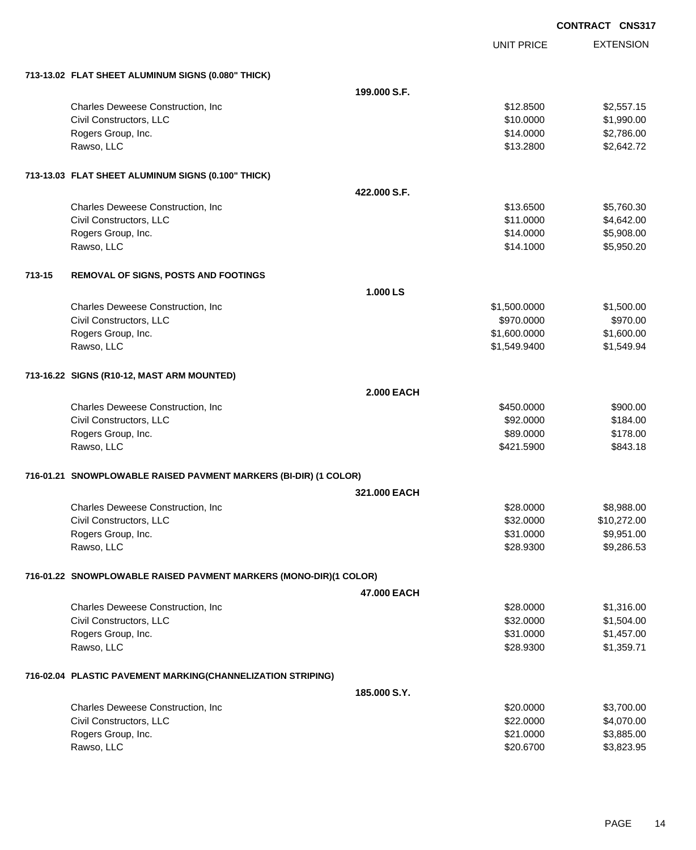|        |                                                                   |                   |                   | <b>CONTRACT CNS317</b> |                  |
|--------|-------------------------------------------------------------------|-------------------|-------------------|------------------------|------------------|
|        |                                                                   |                   | <b>UNIT PRICE</b> |                        | <b>EXTENSION</b> |
|        | 713-13.02 FLAT SHEET ALUMINUM SIGNS (0.080" THICK)                |                   |                   |                        |                  |
|        |                                                                   | 199.000 S.F.      |                   |                        |                  |
|        | Charles Deweese Construction, Inc.                                |                   | \$12.8500         |                        | \$2,557.15       |
|        | Civil Constructors, LLC                                           |                   | \$10.0000         |                        | \$1,990.00       |
|        | Rogers Group, Inc.                                                |                   | \$14.0000         |                        | \$2,786.00       |
|        | Rawso, LLC                                                        |                   | \$13.2800         |                        | \$2,642.72       |
|        | 713-13.03 FLAT SHEET ALUMINUM SIGNS (0.100" THICK)                |                   |                   |                        |                  |
|        |                                                                   | 422,000 S.F.      |                   |                        |                  |
|        | Charles Deweese Construction, Inc.                                |                   | \$13.6500         |                        | \$5,760.30       |
|        | Civil Constructors, LLC                                           |                   | \$11.0000         |                        | \$4,642.00       |
|        | Rogers Group, Inc.                                                |                   | \$14.0000         |                        | \$5,908.00       |
|        | Rawso, LLC                                                        |                   | \$14.1000         |                        | \$5,950.20       |
| 713-15 | REMOVAL OF SIGNS, POSTS AND FOOTINGS                              |                   |                   |                        |                  |
|        |                                                                   | 1.000 LS          |                   |                        |                  |
|        | Charles Deweese Construction, Inc.                                |                   | \$1,500.0000      |                        | \$1,500.00       |
|        | Civil Constructors, LLC                                           |                   | \$970.0000        |                        | \$970.00         |
|        | Rogers Group, Inc.                                                |                   | \$1,600.0000      |                        | \$1,600.00       |
|        | Rawso, LLC                                                        |                   | \$1,549.9400      |                        | \$1,549.94       |
|        | 713-16.22 SIGNS (R10-12, MAST ARM MOUNTED)                        |                   |                   |                        |                  |
|        |                                                                   | <b>2.000 EACH</b> |                   |                        |                  |
|        | Charles Deweese Construction, Inc                                 |                   | \$450.0000        |                        | \$900.00         |
|        | Civil Constructors, LLC                                           |                   | \$92.0000         |                        | \$184.00         |
|        | Rogers Group, Inc.                                                |                   | \$89.0000         |                        | \$178.00         |
|        | Rawso, LLC                                                        |                   | \$421.5900        |                        | \$843.18         |
|        | 716-01.21 SNOWPLOWABLE RAISED PAVMENT MARKERS (BI-DIR) (1 COLOR)  |                   |                   |                        |                  |
|        |                                                                   | 321,000 EACH      |                   |                        |                  |
|        | Charles Deweese Construction, Inc.                                |                   | \$28.0000         |                        | \$8,988.00       |
|        | Civil Constructors, LLC                                           |                   | \$32.0000         |                        | \$10,272.00      |
|        | Rogers Group, Inc.                                                |                   | \$31.0000         |                        | \$9,951.00       |
|        | Rawso, LLC                                                        |                   | \$28.9300         |                        | \$9,286.53       |
|        | 716-01.22 SNOWPLOWABLE RAISED PAVMENT MARKERS (MONO-DIR)(1 COLOR) |                   |                   |                        |                  |
|        |                                                                   | 47.000 EACH       |                   |                        |                  |
|        | Charles Deweese Construction, Inc.                                |                   | \$28.0000         |                        | \$1,316.00       |
|        | Civil Constructors, LLC                                           |                   | \$32.0000         |                        | \$1,504.00       |
|        | Rogers Group, Inc.                                                |                   | \$31.0000         |                        | \$1,457.00       |
|        | Rawso, LLC                                                        |                   | \$28.9300         |                        | \$1,359.71       |
|        | 716-02.04 PLASTIC PAVEMENT MARKING(CHANNELIZATION STRIPING)       |                   |                   |                        |                  |
|        |                                                                   | 185.000 S.Y.      |                   |                        |                  |
|        | Charles Deweese Construction, Inc                                 |                   | \$20.0000         |                        | \$3,700.00       |
|        | Civil Constructors, LLC                                           |                   | \$22.0000         |                        | \$4,070.00       |
|        | Rogers Group, Inc.                                                |                   | \$21.0000         |                        | \$3,885.00       |
|        | Rawso, LLC                                                        |                   | \$20.6700         |                        | \$3,823.95       |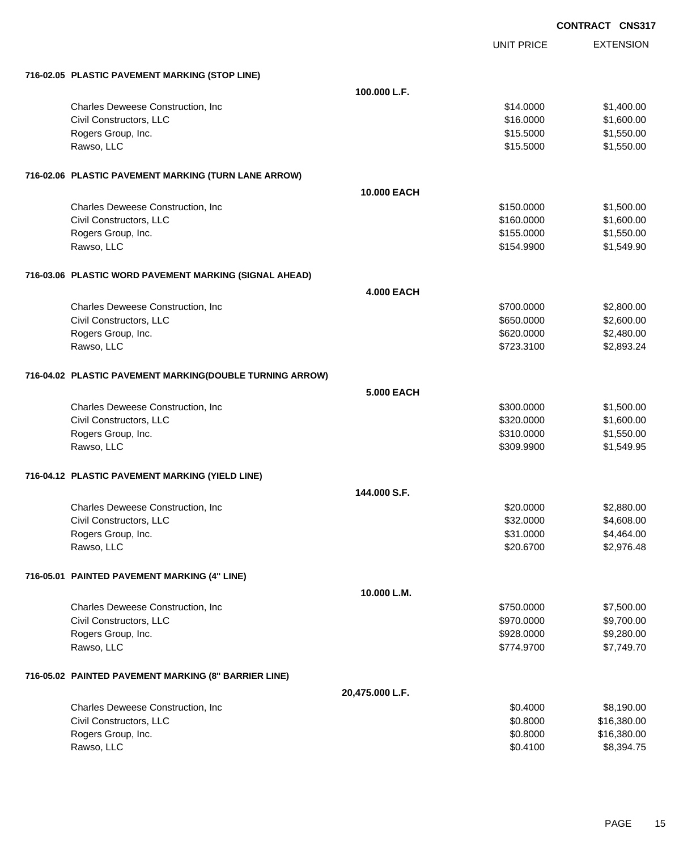|                                                          |                    | <b>UNIT PRICE</b> | <b>EXTENSION</b> |
|----------------------------------------------------------|--------------------|-------------------|------------------|
| 716-02.05 PLASTIC PAVEMENT MARKING (STOP LINE)           |                    |                   |                  |
|                                                          | 100.000 L.F.       |                   |                  |
| Charles Deweese Construction, Inc.                       |                    | \$14.0000         | \$1,400.00       |
| Civil Constructors, LLC                                  |                    | \$16.0000         | \$1,600.00       |
| Rogers Group, Inc.                                       |                    | \$15.5000         | \$1,550.00       |
| Rawso, LLC                                               |                    | \$15.5000         | \$1,550.00       |
| 716-02.06 PLASTIC PAVEMENT MARKING (TURN LANE ARROW)     |                    |                   |                  |
|                                                          | <b>10,000 EACH</b> |                   |                  |
| Charles Deweese Construction, Inc.                       |                    | \$150.0000        | \$1,500.00       |
| Civil Constructors, LLC                                  |                    | \$160.0000        | \$1,600.00       |
| Rogers Group, Inc.                                       |                    | \$155.0000        | \$1,550.00       |
| Rawso, LLC                                               |                    | \$154.9900        | \$1,549.90       |
| 716-03.06 PLASTIC WORD PAVEMENT MARKING (SIGNAL AHEAD)   |                    |                   |                  |
|                                                          | <b>4.000 EACH</b>  |                   |                  |
| Charles Deweese Construction, Inc                        |                    | \$700.0000        | \$2,800.00       |
| Civil Constructors, LLC                                  |                    | \$650.0000        | \$2,600.00       |
| Rogers Group, Inc.                                       |                    | \$620.0000        | \$2,480.00       |
| Rawso, LLC                                               |                    | \$723.3100        | \$2,893.24       |
| 716-04.02 PLASTIC PAVEMENT MARKING(DOUBLE TURNING ARROW) |                    |                   |                  |
|                                                          | 5.000 EACH         |                   |                  |
| Charles Deweese Construction, Inc.                       |                    | \$300.0000        | \$1,500.00       |
| Civil Constructors, LLC                                  |                    | \$320.0000        | \$1,600.00       |
| Rogers Group, Inc.                                       |                    | \$310.0000        | \$1,550.00       |
| Rawso, LLC                                               |                    | \$309.9900        | \$1,549.95       |
| 716-04.12 PLASTIC PAVEMENT MARKING (YIELD LINE)          |                    |                   |                  |
|                                                          | 144,000 S.F.       |                   |                  |
| Charles Deweese Construction, Inc.                       |                    | \$20.0000         | \$2,880.00       |
| Civil Constructors, LLC                                  |                    | \$32.0000         | \$4,608.00       |
| Rogers Group, Inc.                                       |                    | \$31.0000         | \$4,464.00       |
| Rawso, LLC                                               |                    | \$20.6700         | \$2,976.48       |
| 716-05.01 PAINTED PAVEMENT MARKING (4" LINE)             |                    |                   |                  |
|                                                          | 10.000 L.M.        |                   |                  |
| Charles Deweese Construction, Inc                        |                    | \$750.0000        | \$7,500.00       |
| Civil Constructors, LLC                                  |                    | \$970.0000        | \$9,700.00       |
| Rogers Group, Inc.                                       |                    | \$928.0000        | \$9,280.00       |
| Rawso, LLC                                               |                    | \$774.9700        | \$7,749.70       |
| 716-05.02 PAINTED PAVEMENT MARKING (8" BARRIER LINE)     |                    |                   |                  |
|                                                          | 20,475.000 L.F.    |                   |                  |
| Charles Deweese Construction, Inc                        |                    | \$0.4000          | \$8,190.00       |
| Civil Constructors, LLC                                  |                    | \$0.8000          | \$16,380.00      |
| Rogers Group, Inc.                                       |                    | \$0.8000          | \$16,380.00      |
| Rawso, LLC                                               |                    | \$0.4100          | \$8,394.75       |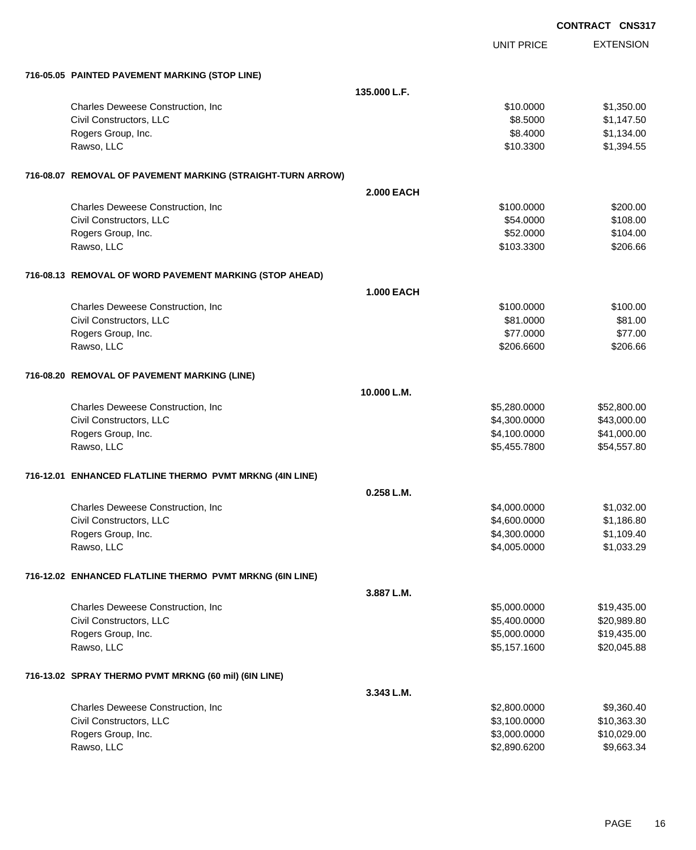|                                                             |                   |                   | <b>CONTRACT CNS31</b> |
|-------------------------------------------------------------|-------------------|-------------------|-----------------------|
|                                                             |                   | <b>UNIT PRICE</b> | <b>EXTENSION</b>      |
| 716-05.05 PAINTED PAVEMENT MARKING (STOP LINE)              |                   |                   |                       |
|                                                             | 135.000 L.F.      |                   |                       |
| Charles Deweese Construction, Inc                           |                   | \$10.0000         | \$1,350.00            |
| Civil Constructors, LLC                                     |                   | \$8.5000          | \$1,147.50            |
| Rogers Group, Inc.                                          |                   | \$8.4000          | \$1,134.00            |
| Rawso, LLC                                                  |                   | \$10.3300         | \$1,394.55            |
| 716-08.07 REMOVAL OF PAVEMENT MARKING (STRAIGHT-TURN ARROW) |                   |                   |                       |
|                                                             | <b>2.000 EACH</b> |                   |                       |
| Charles Deweese Construction, Inc                           |                   | \$100.0000        | \$200.00              |
| Civil Constructors, LLC                                     |                   | \$54.0000         | \$108.00              |
| Rogers Group, Inc.                                          |                   | \$52.0000         | \$104.00              |
| Rawso, LLC                                                  |                   | \$103.3300        | \$206.66              |
| 716-08.13 REMOVAL OF WORD PAVEMENT MARKING (STOP AHEAD)     |                   |                   |                       |
|                                                             | <b>1.000 EACH</b> |                   |                       |
| Charles Deweese Construction, Inc                           |                   | \$100.0000        | \$100.00              |
| Civil Constructors, LLC                                     |                   | \$81.0000         | \$81.00               |
| Rogers Group, Inc.                                          |                   | \$77.0000         | \$77.00               |
| Rawso, LLC                                                  |                   | \$206.6600        | \$206.66              |
| 716-08.20 REMOVAL OF PAVEMENT MARKING (LINE)                |                   |                   |                       |
|                                                             | 10.000 L.M.       |                   |                       |
| Charles Deweese Construction, Inc                           |                   | \$5,280.0000      | \$52,800.00           |
| Civil Constructors, LLC                                     |                   | \$4,300.0000      | \$43,000.00           |
| Rogers Group, Inc.                                          |                   | \$4,100.0000      | \$41,000.00           |
| Rawso, LLC                                                  |                   | \$5,455.7800      | \$54,557.80           |
| 716-12.01 ENHANCED FLATLINE THERMO PVMT MRKNG (4IN LINE)    |                   |                   |                       |
|                                                             | $0.258$ L.M.      |                   |                       |
| Charles Deweese Construction, Inc                           |                   | \$4,000.0000      | \$1,032.00            |
| Civil Constructors, LLC                                     |                   | \$4,600.0000      | \$1,186.80            |
| Rogers Group, Inc.                                          |                   | \$4,300.0000      | \$1,109.40            |
| Rawso, LLC                                                  |                   | \$4,005.0000      | \$1,033.29            |
| 716-12.02 ENHANCED FLATLINE THERMO PVMT MRKNG (6IN LINE)    |                   |                   |                       |
|                                                             | 3.887 L.M.        |                   |                       |
| Charles Deweese Construction, Inc.                          |                   | \$5,000.0000      | \$19,435.00           |
| Civil Constructors, LLC                                     |                   | \$5,400.0000      | \$20,989.80           |
| Rogers Group, Inc.                                          |                   | \$5,000.0000      | \$19,435.00           |
| Rawso, LLC                                                  |                   | \$5,157.1600      | \$20,045.88           |
| 716-13.02 SPRAY THERMO PVMT MRKNG (60 mil) (6IN LINE)       |                   |                   |                       |
|                                                             | 3.343 L.M.        |                   |                       |
| Charles Deweese Construction, Inc.                          |                   | \$2,800.0000      | \$9,360.40            |
| Civil Constructors, LLC                                     |                   | \$3,100.0000      | \$10,363.30           |
| Rogers Group, Inc.                                          |                   | \$3,000.0000      | \$10,029.00           |
| Rawso, LLC                                                  |                   | \$2,890.6200      | \$9,663.34            |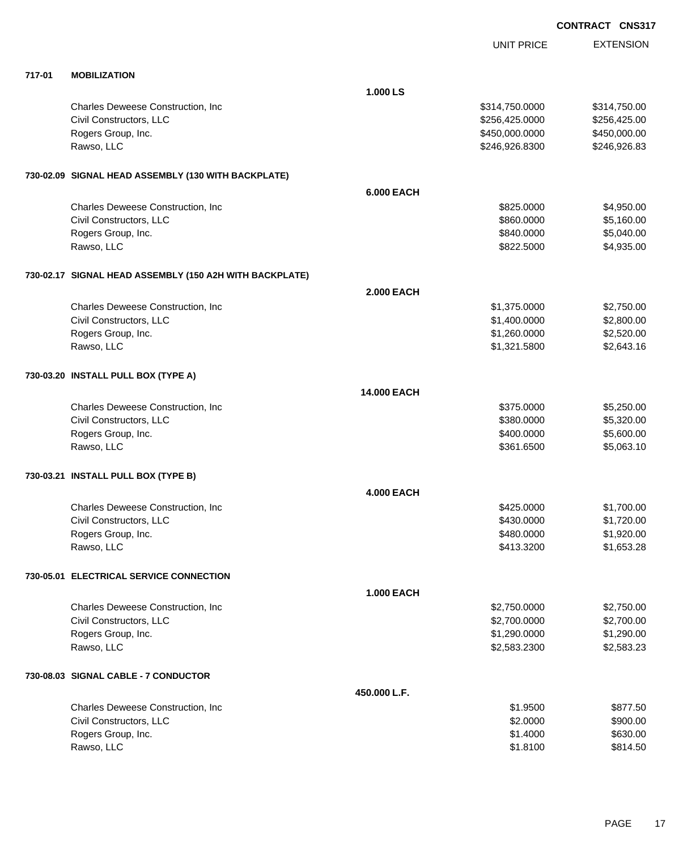|  | <b>CONTRACT CNS317</b> |
|--|------------------------|
|  |                        |

|        |                                                         |                   | UNIT PRICE     | <b>EXTENSION</b> |
|--------|---------------------------------------------------------|-------------------|----------------|------------------|
| 717-01 | <b>MOBILIZATION</b>                                     |                   |                |                  |
|        |                                                         | 1.000 LS          |                |                  |
|        | Charles Deweese Construction, Inc.                      |                   | \$314,750.0000 | \$314,750.00     |
|        | Civil Constructors, LLC                                 |                   | \$256,425.0000 | \$256,425.00     |
|        | Rogers Group, Inc.                                      |                   | \$450,000.0000 | \$450,000.00     |
|        | Rawso, LLC                                              |                   | \$246,926.8300 | \$246,926.83     |
|        | 730-02.09 SIGNAL HEAD ASSEMBLY (130 WITH BACKPLATE)     |                   |                |                  |
|        |                                                         | 6.000 EACH        |                |                  |
|        | Charles Deweese Construction, Inc.                      |                   | \$825.0000     | \$4,950.00       |
|        | Civil Constructors, LLC                                 |                   | \$860.0000     | \$5,160.00       |
|        | Rogers Group, Inc.                                      |                   | \$840.0000     | \$5,040.00       |
|        | Rawso, LLC                                              |                   | \$822.5000     | \$4,935.00       |
|        | 730-02.17 SIGNAL HEAD ASSEMBLY (150 A2H WITH BACKPLATE) |                   |                |                  |
|        |                                                         | <b>2.000 EACH</b> |                |                  |
|        | Charles Deweese Construction, Inc.                      |                   | \$1,375.0000   | \$2,750.00       |
|        | Civil Constructors, LLC                                 |                   | \$1,400.0000   | \$2,800.00       |
|        | Rogers Group, Inc.                                      |                   | \$1,260.0000   | \$2,520.00       |
|        | Rawso, LLC                                              |                   | \$1,321.5800   | \$2,643.16       |
|        | 730-03.20 INSTALL PULL BOX (TYPE A)                     |                   |                |                  |
|        |                                                         | 14.000 EACH       |                |                  |
|        | Charles Deweese Construction, Inc.                      |                   | \$375.0000     | \$5,250.00       |
|        | Civil Constructors, LLC                                 |                   | \$380.0000     | \$5,320.00       |
|        | Rogers Group, Inc.                                      |                   | \$400.0000     | \$5,600.00       |
|        | Rawso, LLC                                              |                   | \$361.6500     | \$5,063.10       |
|        | 730-03.21 INSTALL PULL BOX (TYPE B)                     |                   |                |                  |
|        |                                                         | <b>4.000 EACH</b> |                |                  |
|        | Charles Deweese Construction, Inc                       |                   | \$425.0000     | \$1,700.00       |
|        | Civil Constructors, LLC                                 |                   | \$430.0000     | \$1,720.00       |
|        | Rogers Group, Inc.                                      |                   | \$480.0000     | \$1,920.00       |
|        | Rawso, LLC                                              |                   | \$413.3200     | \$1,653.28       |
|        | 730-05.01 ELECTRICAL SERVICE CONNECTION                 |                   |                |                  |
|        |                                                         | <b>1.000 EACH</b> |                |                  |
|        | Charles Deweese Construction, Inc.                      |                   | \$2,750.0000   | \$2,750.00       |
|        | Civil Constructors, LLC                                 |                   | \$2,700.0000   | \$2,700.00       |
|        | Rogers Group, Inc.                                      |                   | \$1,290.0000   | \$1,290.00       |
|        | Rawso, LLC                                              |                   | \$2,583.2300   | \$2,583.23       |
|        | 730-08.03 SIGNAL CABLE - 7 CONDUCTOR                    |                   |                |                  |
|        |                                                         | 450.000 L.F.      |                |                  |
|        | Charles Deweese Construction, Inc                       |                   | \$1.9500       | \$877.50         |
|        | Civil Constructors, LLC                                 |                   | \$2.0000       | \$900.00         |
|        | Rogers Group, Inc.                                      |                   | \$1.4000       | \$630.00         |
|        | Rawso, LLC                                              |                   | \$1.8100       | \$814.50         |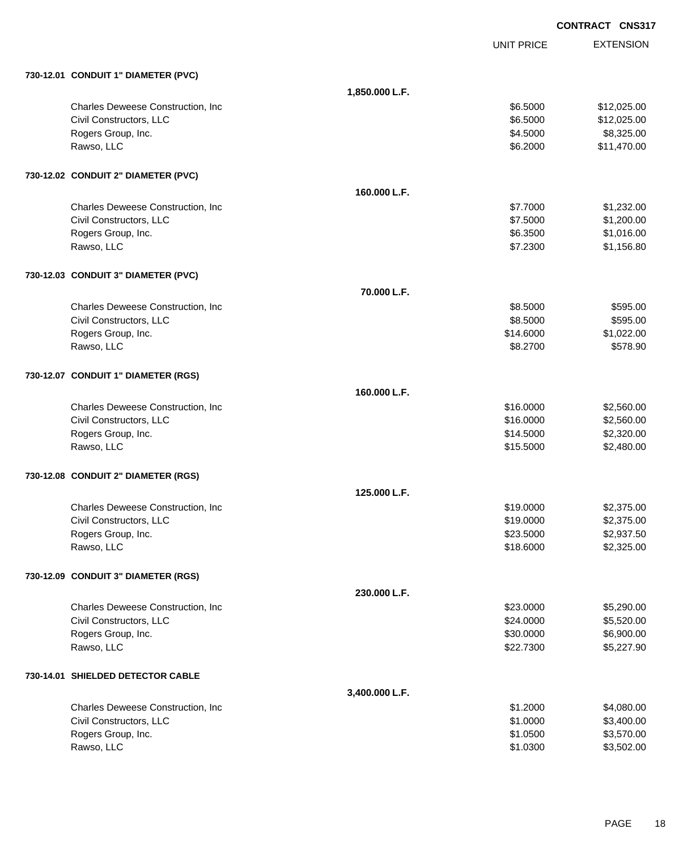|                                     |                |                   | <b>CONTRACT CNS317</b> |
|-------------------------------------|----------------|-------------------|------------------------|
|                                     |                | <b>UNIT PRICE</b> | <b>EXTENSION</b>       |
| 730-12.01 CONDUIT 1" DIAMETER (PVC) |                |                   |                        |
|                                     | 1,850.000 L.F. |                   |                        |
| Charles Deweese Construction, Inc.  |                | \$6.5000          | \$12,025.00            |
| Civil Constructors, LLC             |                | \$6.5000          | \$12,025.00            |
| Rogers Group, Inc.                  |                | \$4.5000          | \$8,325.00             |
| Rawso, LLC                          |                | \$6.2000          | \$11,470.00            |
| 730-12.02 CONDUIT 2" DIAMETER (PVC) |                |                   |                        |
|                                     | 160.000 L.F.   |                   |                        |
| Charles Deweese Construction, Inc   |                | \$7.7000          | \$1,232.00             |
| Civil Constructors, LLC             |                | \$7.5000          | \$1,200.00             |
| Rogers Group, Inc.                  |                | \$6.3500          | \$1,016.00             |
| Rawso, LLC                          |                | \$7.2300          | \$1,156.80             |
| 730-12.03 CONDUIT 3" DIAMETER (PVC) |                |                   |                        |
|                                     | 70.000 L.F.    |                   |                        |
| Charles Deweese Construction, Inc   |                | \$8.5000          | \$595.00               |
| Civil Constructors, LLC             |                | \$8.5000          | \$595.00               |
| Rogers Group, Inc.                  |                | \$14.6000         | \$1,022.00             |
| Rawso, LLC                          |                | \$8.2700          | \$578.90               |
| 730-12.07 CONDUIT 1" DIAMETER (RGS) |                |                   |                        |
|                                     | 160,000 L.F.   |                   |                        |
| Charles Deweese Construction, Inc.  |                | \$16.0000         | \$2,560.00             |
| Civil Constructors, LLC             |                | \$16.0000         | \$2,560.00             |
| Rogers Group, Inc.                  |                | \$14.5000         | \$2,320.00             |
| Rawso, LLC                          |                | \$15.5000         | \$2,480.00             |
| 730-12.08 CONDUIT 2" DIAMETER (RGS) |                |                   |                        |
|                                     | 125.000 L.F.   |                   |                        |
| Charles Deweese Construction, Inc   |                | \$19.0000         | \$2,375.00             |
| Civil Constructors, LLC             |                | \$19.0000         | \$2,375.00             |
| Rogers Group, Inc.                  |                | \$23.5000         | \$2,937.50             |
| Rawso, LLC                          |                | \$18.6000         | \$2,325.00             |
| 730-12.09 CONDUIT 3" DIAMETER (RGS) |                |                   |                        |
|                                     | 230.000 L.F.   |                   |                        |
| Charles Deweese Construction, Inc.  |                | \$23.0000         | \$5,290.00             |
| Civil Constructors, LLC             |                | \$24.0000         | \$5,520.00             |
| Rogers Group, Inc.                  |                | \$30.0000         | \$6,900.00             |
| Rawso, LLC                          |                | \$22.7300         | \$5,227.90             |
| 730-14.01 SHIELDED DETECTOR CABLE   |                |                   |                        |
|                                     | 3,400.000 L.F. |                   |                        |
| Charles Deweese Construction, Inc.  |                | \$1.2000          | \$4,080.00             |
| Civil Constructors, LLC             |                | \$1.0000          | \$3,400.00             |
| Rogers Group, Inc.                  |                | \$1.0500          | \$3,570.00             |

Rawso, LLC \$1.0300 \$3,502.00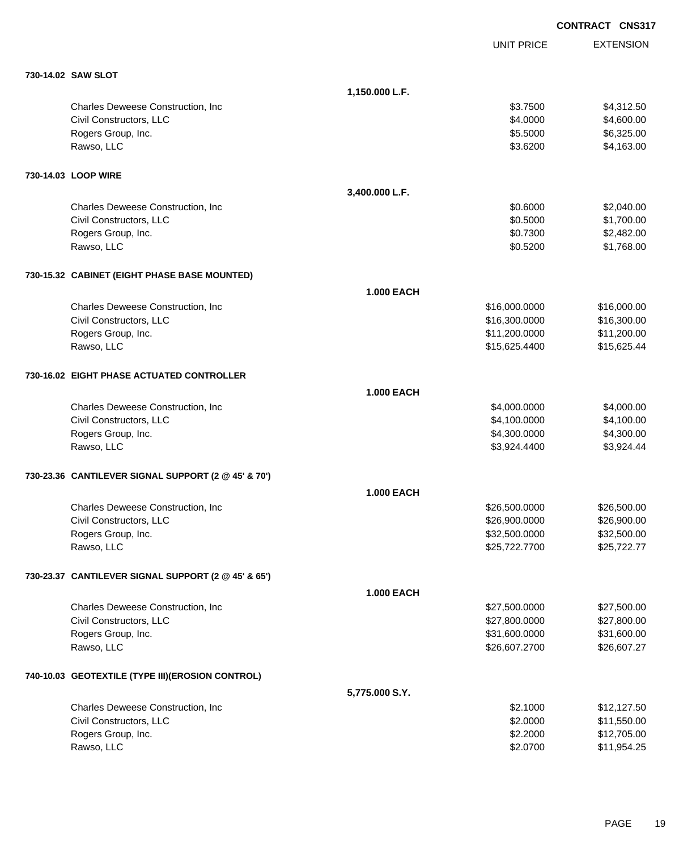|                                                     |                   |                   | <b>CONTRACT CNS317</b> |
|-----------------------------------------------------|-------------------|-------------------|------------------------|
|                                                     |                   | <b>UNIT PRICE</b> | <b>EXTENSION</b>       |
| 730-14.02 SAW SLOT                                  |                   |                   |                        |
|                                                     | 1,150.000 L.F.    |                   |                        |
| Charles Deweese Construction, Inc.                  |                   | \$3.7500          | \$4,312.50             |
| Civil Constructors, LLC                             |                   | \$4.0000          | \$4,600.00             |
| Rogers Group, Inc.                                  |                   | \$5.5000          | \$6,325.00             |
| Rawso, LLC                                          |                   | \$3.6200          | \$4,163.00             |
| 730-14.03 LOOP WIRE                                 |                   |                   |                        |
|                                                     | 3,400.000 L.F.    |                   |                        |
| Charles Deweese Construction, Inc.                  |                   | \$0.6000          | \$2,040.00             |
| Civil Constructors, LLC                             |                   | \$0.5000          | \$1,700.00             |
| Rogers Group, Inc.                                  |                   | \$0.7300          | \$2,482.00             |
| Rawso, LLC                                          |                   | \$0.5200          | \$1,768.00             |
| 730-15.32 CABINET (EIGHT PHASE BASE MOUNTED)        |                   |                   |                        |
|                                                     | <b>1.000 EACH</b> |                   |                        |
| Charles Deweese Construction, Inc                   |                   | \$16,000.0000     | \$16,000.00            |
| Civil Constructors, LLC                             |                   | \$16,300.0000     | \$16,300.00            |
| Rogers Group, Inc.                                  |                   | \$11,200.0000     | \$11,200.00            |
| Rawso, LLC                                          |                   | \$15,625.4400     | \$15,625.44            |
| 730-16.02 EIGHT PHASE ACTUATED CONTROLLER           |                   |                   |                        |
|                                                     | <b>1.000 EACH</b> |                   |                        |
| Charles Deweese Construction, Inc                   |                   | \$4,000.0000      | \$4,000.00             |
| Civil Constructors, LLC                             |                   | \$4,100.0000      | \$4,100.00             |
| Rogers Group, Inc.                                  |                   | \$4,300.0000      | \$4,300.00             |
| Rawso, LLC                                          |                   | \$3,924.4400      | \$3,924.44             |
| 730-23.36 CANTILEVER SIGNAL SUPPORT (2 @ 45' & 70') |                   |                   |                        |
|                                                     | <b>1.000 EACH</b> |                   |                        |
| Charles Deweese Construction, Inc                   |                   | \$26,500.0000     | \$26,500.00            |
| Civil Constructors, LLC                             |                   | \$26,900.0000     | \$26,900.00            |
| Rogers Group, Inc.                                  |                   | \$32,500.0000     | \$32,500.00            |
| Rawso, LLC                                          |                   | \$25,722.7700     | \$25,722.77            |
| 730-23.37 CANTILEVER SIGNAL SUPPORT (2 @ 45' & 65') |                   |                   |                        |
|                                                     | <b>1.000 EACH</b> |                   |                        |
| Charles Deweese Construction, Inc                   |                   | \$27,500.0000     | \$27,500.00            |
| Civil Constructors, LLC                             |                   | \$27,800.0000     | \$27,800.00            |
| Rogers Group, Inc.                                  |                   | \$31,600.0000     | \$31,600.00            |
| Rawso, LLC                                          |                   | \$26,607.2700     | \$26,607.27            |
| 740-10.03 GEOTEXTILE (TYPE III) (EROSION CONTROL)   |                   |                   |                        |
|                                                     | 5,775.000 S.Y.    |                   |                        |
| Charles Deweese Construction, Inc.                  |                   | \$2.1000          | \$12,127.50            |
| Civil Constructors, LLC                             |                   | \$2.0000          | \$11,550.00            |
| Rogers Group, Inc.                                  |                   | \$2.2000          | \$12,705.00            |
| Rawso, LLC                                          |                   | \$2.0700          | \$11,954.25            |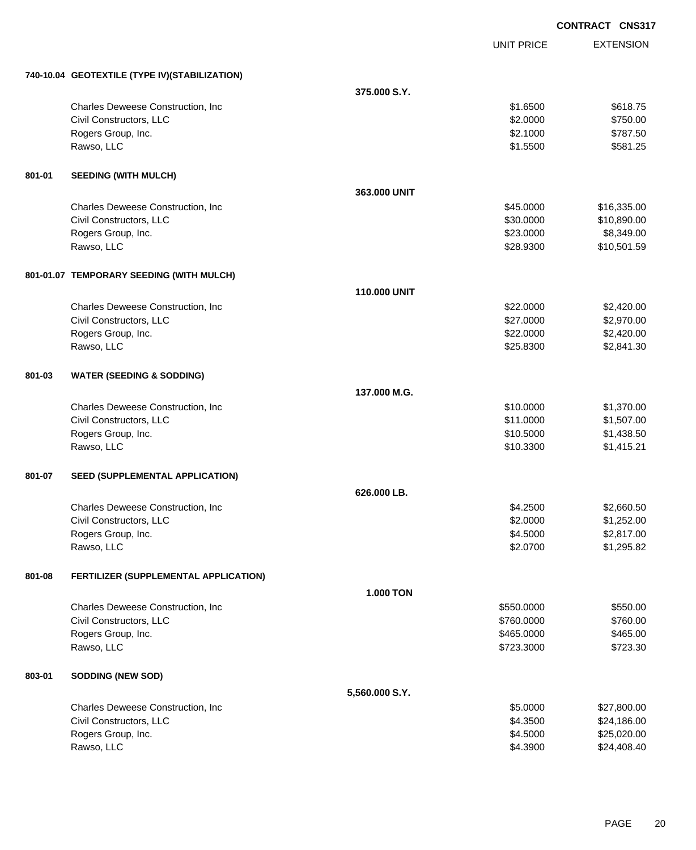|        |                                               |                  |                   | <b>CONTRACT CNS317</b> |
|--------|-----------------------------------------------|------------------|-------------------|------------------------|
|        |                                               |                  | <b>UNIT PRICE</b> | <b>EXTENSION</b>       |
|        | 740-10.04 GEOTEXTILE (TYPE IV)(STABILIZATION) |                  |                   |                        |
|        |                                               | 375,000 S.Y.     |                   |                        |
|        | Charles Deweese Construction, Inc.            |                  | \$1.6500          | \$618.75               |
|        | Civil Constructors, LLC                       |                  | \$2.0000          | \$750.00               |
|        | Rogers Group, Inc.                            |                  | \$2.1000          | \$787.50               |
|        | Rawso, LLC                                    |                  | \$1.5500          | \$581.25               |
| 801-01 | <b>SEEDING (WITH MULCH)</b>                   |                  |                   |                        |
|        |                                               | 363.000 UNIT     |                   |                        |
|        | Charles Deweese Construction, Inc.            |                  | \$45.0000         | \$16,335.00            |
|        | Civil Constructors, LLC                       |                  | \$30.0000         | \$10,890.00            |
|        | Rogers Group, Inc.                            |                  | \$23.0000         | \$8,349.00             |
|        | Rawso, LLC                                    |                  | \$28.9300         | \$10,501.59            |
|        | 801-01.07 TEMPORARY SEEDING (WITH MULCH)      |                  |                   |                        |
|        |                                               | 110.000 UNIT     |                   |                        |
|        | Charles Deweese Construction, Inc.            |                  | \$22.0000         | \$2,420.00             |
|        | Civil Constructors, LLC                       |                  | \$27.0000         | \$2,970.00             |
|        | Rogers Group, Inc.                            |                  | \$22.0000         | \$2,420.00             |
|        | Rawso, LLC                                    |                  | \$25.8300         | \$2,841.30             |
| 801-03 | <b>WATER (SEEDING &amp; SODDING)</b>          |                  |                   |                        |
|        |                                               | 137,000 M.G.     |                   |                        |
|        | Charles Deweese Construction, Inc.            |                  | \$10.0000         | \$1,370.00             |
|        | Civil Constructors, LLC                       |                  | \$11.0000         | \$1,507.00             |
|        | Rogers Group, Inc.                            |                  | \$10.5000         | \$1,438.50             |
|        | Rawso, LLC                                    |                  | \$10.3300         | \$1,415.21             |
| 801-07 | SEED (SUPPLEMENTAL APPLICATION)               |                  |                   |                        |
|        |                                               | 626,000 LB.      |                   |                        |
|        | Charles Deweese Construction, Inc             |                  | \$4.2500          | \$2,660.50             |
|        | Civil Constructors, LLC                       |                  | \$2.0000          | \$1,252.00             |
|        | Rogers Group, Inc.                            |                  | \$4.5000          | \$2,817.00             |
|        | Rawso, LLC                                    |                  | \$2.0700          | \$1,295.82             |
| 801-08 | FERTILIZER (SUPPLEMENTAL APPLICATION)         |                  |                   |                        |
|        |                                               | <b>1.000 TON</b> |                   |                        |
|        | Charles Deweese Construction, Inc.            |                  | \$550.0000        | \$550.00               |
|        | Civil Constructors, LLC                       |                  | \$760.0000        | \$760.00               |
|        | Rogers Group, Inc.                            |                  | \$465.0000        | \$465.00               |
|        | Rawso, LLC                                    |                  | \$723.3000        | \$723.30               |
| 803-01 | <b>SODDING (NEW SOD)</b>                      |                  |                   |                        |
|        |                                               | 5,560.000 S.Y.   |                   |                        |
|        | Charles Deweese Construction, Inc             |                  | \$5.0000          | \$27,800.00            |
|        | Civil Constructors, LLC                       |                  | \$4.3500          | \$24,186.00            |
|        | Rogers Group, Inc.                            |                  | \$4.5000          | \$25,020.00            |
|        | Rawso, LLC                                    |                  | \$4.3900          | \$24,408.40            |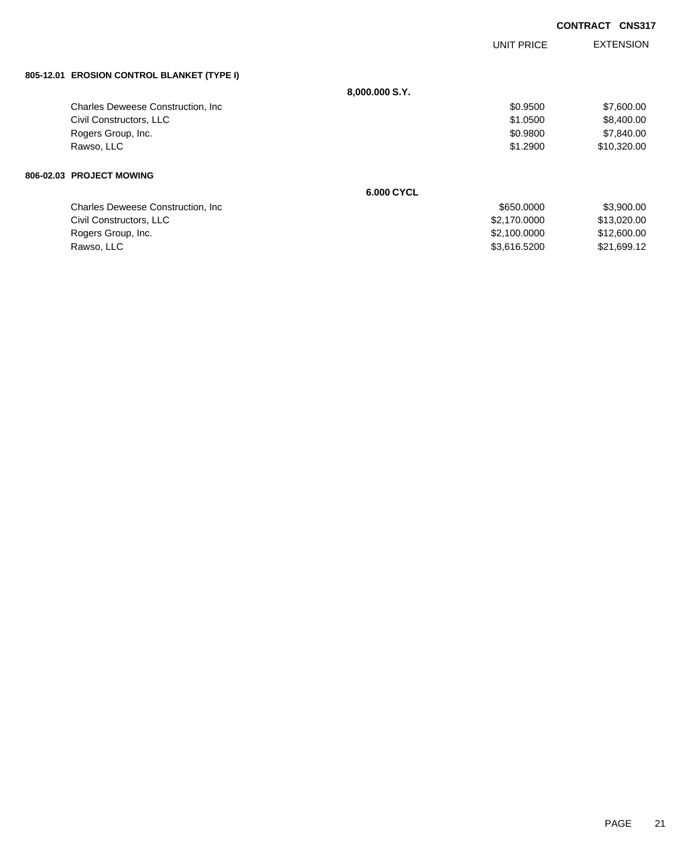|                                            |                | <b>UNIT PRICE</b> | <b>EXTENSION</b> |
|--------------------------------------------|----------------|-------------------|------------------|
| 805-12.01 EROSION CONTROL BLANKET (TYPE I) |                |                   |                  |
|                                            | 8,000.000 S.Y. |                   |                  |
| <b>Charles Deweese Construction, Inc.</b>  |                | \$0.9500          | \$7,600.00       |
| Civil Constructors, LLC                    |                | \$1.0500          | \$8,400.00       |
| Rogers Group, Inc.                         |                | \$0.9800          | \$7,840.00       |
| Rawso, LLC                                 |                | \$1.2900          | \$10,320.00      |
| 806-02.03 PROJECT MOWING                   |                |                   |                  |
|                                            | 6,000 CYCL     |                   |                  |
| <b>Charles Deweese Construction, Inc.</b>  |                | \$650.0000        | \$3,900.00       |
| Civil Constructors, LLC                    |                | \$2,170.0000      | \$13,020.00      |
| Rogers Group, Inc.                         |                | \$2,100.0000      | \$12,600.00      |
| Rawso, LLC                                 |                | \$3,616.5200      | \$21,699.12      |
|                                            |                |                   |                  |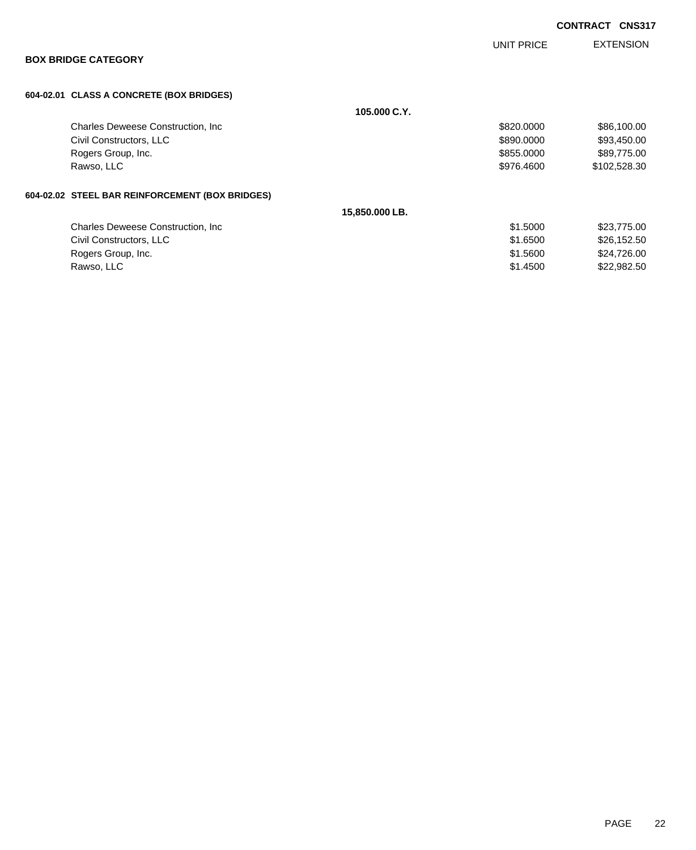|                                                 |                | UNIT PRICE | <b>EXTENSION</b> |
|-------------------------------------------------|----------------|------------|------------------|
| <b>BOX BRIDGE CATEGORY</b>                      |                |            |                  |
| 604-02.01 CLASS A CONCRETE (BOX BRIDGES)        |                |            |                  |
|                                                 | 105,000 C.Y.   |            |                  |
| Charles Deweese Construction, Inc.              |                | \$820.0000 | \$86,100.00      |
| Civil Constructors, LLC                         |                | \$890.0000 | \$93,450.00      |
| Rogers Group, Inc.                              |                | \$855.0000 | \$89,775.00      |
| Rawso, LLC                                      |                | \$976,4600 | \$102,528.30     |
| 604-02.02 STEEL BAR REINFORCEMENT (BOX BRIDGES) |                |            |                  |
|                                                 | 15,850.000 LB. |            |                  |
| <b>Charles Deweese Construction, Inc.</b>       |                | \$1,5000   | \$23,775.00      |
| Civil Constructors, LLC                         |                | \$1.6500   | \$26,152.50      |
| Rogers Group, Inc.                              |                | \$1,5600   | \$24,726.00      |
|                                                 |                |            |                  |

Rawso, LLC \$1.4500 \$22,982.50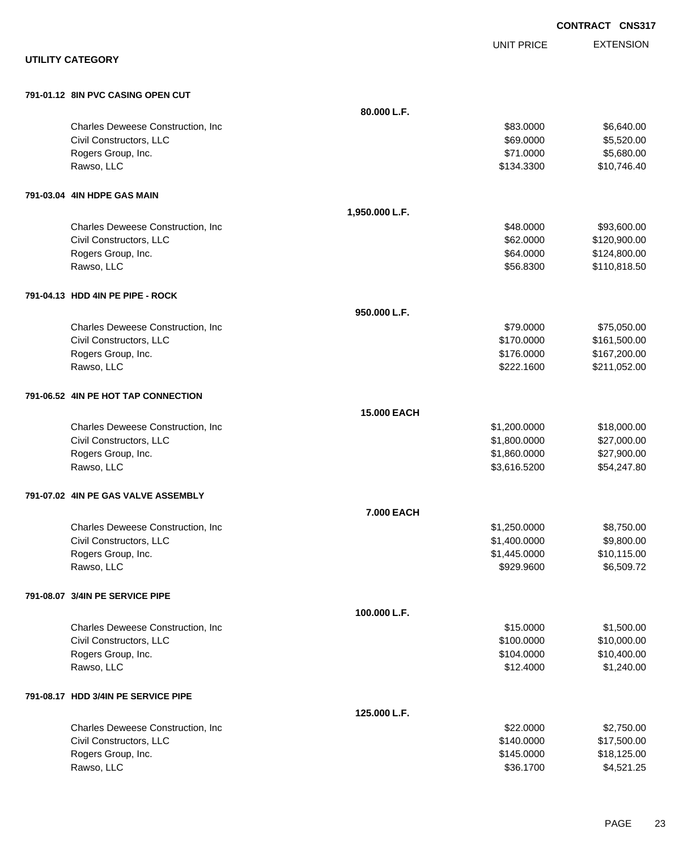|                                     |                                    |                    |                   | <b>CONTRACT CNS317</b> |
|-------------------------------------|------------------------------------|--------------------|-------------------|------------------------|
|                                     |                                    |                    | <b>UNIT PRICE</b> | <b>EXTENSION</b>       |
| <b>UTILITY CATEGORY</b>             |                                    |                    |                   |                        |
| 791-01.12 8IN PVC CASING OPEN CUT   |                                    |                    |                   |                        |
|                                     |                                    | 80.000 L.F.        |                   |                        |
|                                     | Charles Deweese Construction, Inc. |                    | \$83.0000         | \$6,640.00             |
| Civil Constructors, LLC             |                                    |                    | \$69.0000         | \$5,520.00             |
| Rogers Group, Inc.                  |                                    |                    | \$71.0000         | \$5,680.00             |
| Rawso, LLC                          |                                    |                    | \$134.3300        | \$10,746.40            |
| 791-03.04 4IN HDPE GAS MAIN         |                                    |                    |                   |                        |
|                                     |                                    | 1,950.000 L.F.     |                   |                        |
|                                     | Charles Deweese Construction, Inc. |                    | \$48.0000         | \$93,600.00            |
| Civil Constructors, LLC             |                                    |                    | \$62.0000         | \$120,900.00           |
| Rogers Group, Inc.                  |                                    |                    | \$64.0000         | \$124,800.00           |
| Rawso, LLC                          |                                    |                    | \$56.8300         | \$110,818.50           |
| 791-04.13 HDD 4IN PE PIPE - ROCK    |                                    |                    |                   |                        |
|                                     |                                    | 950.000 L.F.       |                   |                        |
|                                     | Charles Deweese Construction, Inc  |                    | \$79.0000         | \$75,050.00            |
| Civil Constructors, LLC             |                                    |                    | \$170.0000        | \$161,500.00           |
| Rogers Group, Inc.                  |                                    |                    | \$176.0000        | \$167,200.00           |
| Rawso, LLC                          |                                    |                    | \$222.1600        | \$211,052.00           |
| 791-06.52 4IN PE HOT TAP CONNECTION |                                    |                    |                   |                        |
|                                     |                                    | <b>15.000 EACH</b> |                   |                        |
|                                     | Charles Deweese Construction, Inc  |                    | \$1,200.0000      | \$18,000.00            |
| Civil Constructors, LLC             |                                    |                    | \$1,800.0000      | \$27,000.00            |
| Rogers Group, Inc.                  |                                    |                    | \$1,860.0000      | \$27,900.00            |
| Rawso, LLC                          |                                    |                    | \$3,616.5200      | \$54,247.80            |
| 791-07.02 4IN PE GAS VALVE ASSEMBLY |                                    |                    |                   |                        |
|                                     |                                    | 7.000 EACH         |                   |                        |
|                                     | Charles Deweese Construction, Inc  |                    | \$1,250.0000      | \$8,750.00             |
| Civil Constructors, LLC             |                                    |                    | \$1,400.0000      | \$9,800.00             |
| Rogers Group, Inc.                  |                                    |                    | \$1,445.0000      | \$10,115.00            |
| Rawso, LLC                          |                                    |                    | \$929.9600        | \$6,509.72             |
| 791-08.07 3/4IN PE SERVICE PIPE     |                                    |                    |                   |                        |
|                                     |                                    | 100.000 L.F.       |                   |                        |
|                                     | Charles Deweese Construction, Inc  |                    | \$15.0000         | \$1,500.00             |
| Civil Constructors, LLC             |                                    |                    | \$100.0000        | \$10,000.00            |
| Rogers Group, Inc.                  |                                    |                    | \$104.0000        | \$10,400.00            |
| Rawso, LLC                          |                                    |                    | \$12.4000         | \$1,240.00             |
| 791-08.17 HDD 3/4IN PE SERVICE PIPE |                                    |                    |                   |                        |
|                                     |                                    | 125.000 L.F.       |                   |                        |
|                                     | Charles Deweese Construction, Inc. |                    | \$22.0000         | \$2,750.00             |
| Civil Constructors, LLC             |                                    |                    | \$140.0000        | \$17,500.00            |
| Rogers Group, Inc.                  |                                    |                    | \$145.0000        | \$18,125.00            |
| Rawso, LLC                          |                                    |                    | \$36.1700         | \$4,521.25             |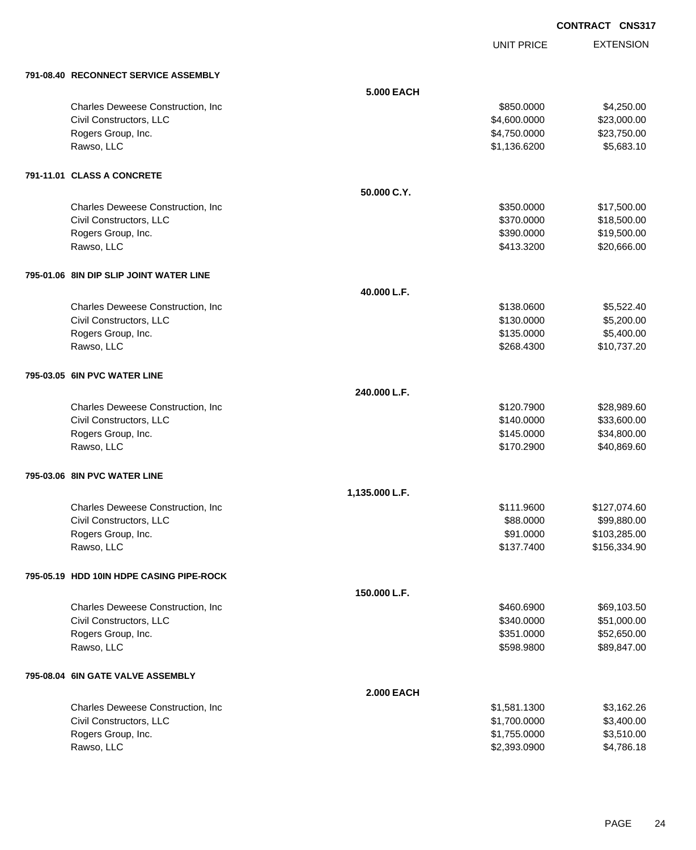UNIT PRICE EXTENSION

| 791-08.40 RECONNECT SERVICE ASSEMBLY     |                   |              |              |
|------------------------------------------|-------------------|--------------|--------------|
|                                          | <b>5.000 EACH</b> |              |              |
| Charles Deweese Construction, Inc        |                   | \$850.0000   | \$4,250.00   |
| Civil Constructors, LLC                  |                   | \$4,600.0000 | \$23,000.00  |
| Rogers Group, Inc.                       |                   | \$4,750.0000 | \$23,750.00  |
| Rawso, LLC                               |                   | \$1,136.6200 | \$5,683.10   |
| 791-11.01 CLASS A CONCRETE               |                   |              |              |
|                                          | 50.000 C.Y.       |              |              |
| Charles Deweese Construction, Inc.       |                   | \$350,0000   | \$17,500.00  |
| Civil Constructors, LLC                  |                   | \$370.0000   | \$18,500.00  |
| Rogers Group, Inc.                       |                   | \$390.0000   | \$19,500.00  |
| Rawso, LLC                               |                   | \$413.3200   | \$20,666.00  |
| 795-01.06 8IN DIP SLIP JOINT WATER LINE  |                   |              |              |
|                                          | 40.000 L.F.       |              |              |
| Charles Deweese Construction, Inc        |                   | \$138.0600   | \$5,522.40   |
| Civil Constructors, LLC                  |                   | \$130.0000   | \$5,200.00   |
| Rogers Group, Inc.                       |                   | \$135.0000   | \$5,400.00   |
| Rawso, LLC                               |                   | \$268.4300   | \$10,737.20  |
| 795-03.05 6IN PVC WATER LINE             |                   |              |              |
|                                          | 240.000 L.F.      |              |              |
| Charles Deweese Construction, Inc.       |                   | \$120.7900   | \$28,989.60  |
| Civil Constructors, LLC                  |                   | \$140.0000   | \$33,600.00  |
| Rogers Group, Inc.                       |                   | \$145.0000   | \$34,800.00  |
| Rawso, LLC                               |                   | \$170.2900   | \$40,869.60  |
| 795-03.06 8IN PVC WATER LINE             |                   |              |              |
|                                          | 1,135.000 L.F.    |              |              |
| Charles Deweese Construction, Inc        |                   | \$111.9600   | \$127,074.60 |
| Civil Constructors, LLC                  |                   | \$88.0000    | \$99,880.00  |
| Rogers Group, Inc.                       |                   | \$91.0000    | \$103,285.00 |
| Rawso, LLC                               |                   | \$137,7400   | \$156.334.90 |
| 795-05.19 HDD 10IN HDPE CASING PIPE-ROCK |                   |              |              |
|                                          | 150.000 L.F.      |              |              |
| Charles Deweese Construction, Inc.       |                   | \$460.6900   | \$69,103.50  |
| Civil Constructors, LLC                  |                   | \$340.0000   | \$51,000.00  |
| Rogers Group, Inc.                       |                   | \$351.0000   | \$52,650.00  |
| Rawso, LLC                               |                   | \$598.9800   | \$89,847.00  |
| 795-08.04 6IN GATE VALVE ASSEMBLY        |                   |              |              |
|                                          | <b>2.000 EACH</b> |              |              |
| Charles Deweese Construction, Inc        |                   | \$1,581.1300 | \$3,162.26   |
| Civil Constructors, LLC                  |                   | \$1,700.0000 | \$3,400.00   |
| Rogers Group, Inc.                       |                   | \$1,755.0000 | \$3,510.00   |
| Rawso, LLC                               |                   | \$2,393.0900 | \$4,786.18   |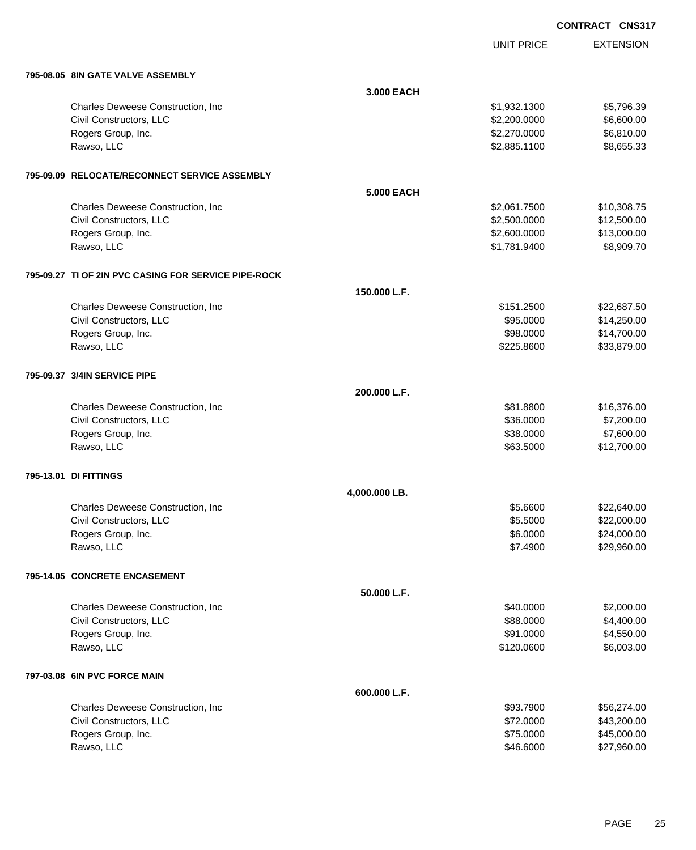|  | <b>CONTRACT CNS317</b> |
|--|------------------------|
|  |                        |

UNIT PRICE

EXTENSION

| 795-08.05 8IN GATE VALVE ASSEMBLY |
|-----------------------------------|
|                                   |

| 795-08.05   8IN GATE VALVE ASSEMBLY                  |               |              |             |
|------------------------------------------------------|---------------|--------------|-------------|
|                                                      | 3.000 EACH    |              |             |
| Charles Deweese Construction, Inc                    |               | \$1,932.1300 | \$5,796.39  |
| Civil Constructors, LLC                              |               | \$2,200.0000 | \$6,600.00  |
| Rogers Group, Inc.                                   |               | \$2,270.0000 | \$6,810.00  |
| Rawso, LLC                                           |               | \$2,885.1100 | \$8,655.33  |
| 795-09.09 RELOCATE/RECONNECT SERVICE ASSEMBLY        |               |              |             |
|                                                      | 5.000 EACH    |              |             |
| Charles Deweese Construction, Inc                    |               | \$2,061.7500 | \$10,308.75 |
| Civil Constructors, LLC                              |               | \$2,500.0000 | \$12,500.00 |
| Rogers Group, Inc.                                   |               | \$2,600.0000 | \$13,000.00 |
| Rawso, LLC                                           |               | \$1,781.9400 | \$8,909.70  |
| 795-09.27 TI OF 2IN PVC CASING FOR SERVICE PIPE-ROCK |               |              |             |
|                                                      | 150.000 L.F.  |              |             |
| Charles Deweese Construction, Inc                    |               | \$151.2500   | \$22,687.50 |
| Civil Constructors, LLC                              |               | \$95.0000    | \$14,250.00 |
| Rogers Group, Inc.                                   |               | \$98.0000    | \$14,700.00 |
| Rawso, LLC                                           |               | \$225.8600   | \$33,879.00 |
| 795-09.37 3/4IN SERVICE PIPE                         |               |              |             |
|                                                      | 200.000 L.F.  |              |             |
| Charles Deweese Construction, Inc.                   |               | \$81.8800    | \$16,376.00 |
| Civil Constructors, LLC                              |               | \$36.0000    | \$7,200.00  |
| Rogers Group, Inc.                                   |               | \$38.0000    | \$7,600.00  |
| Rawso, LLC                                           |               | \$63.5000    | \$12,700.00 |
| 795-13.01 DI FITTINGS                                |               |              |             |
|                                                      | 4,000.000 LB. |              |             |
| Charles Deweese Construction, Inc                    |               | \$5.6600     | \$22,640.00 |
| Civil Constructors, LLC                              |               | \$5.5000     | \$22,000.00 |
| Rogers Group, Inc.                                   |               | \$6.0000     | \$24,000.00 |
| Rawso, LLC                                           |               | \$7.4900     | \$29,960.00 |
| 795-14.05 CONCRETE ENCASEMENT                        |               |              |             |
|                                                      | 50.000 L.F.   |              |             |
| Charles Deweese Construction, Inc                    |               | \$40.0000    | \$2,000.00  |
| Civil Constructors, LLC                              |               | \$88.0000    | \$4,400.00  |
| Rogers Group, Inc.                                   |               | \$91.0000    | \$4,550.00  |
| Rawso, LLC                                           |               | \$120.0600   | \$6,003.00  |
| 797-03.08 6IN PVC FORCE MAIN                         |               |              |             |
|                                                      | 600.000 L.F.  |              |             |
| Charles Deweese Construction, Inc.                   |               | \$93.7900    | \$56,274.00 |
| Civil Constructors, LLC                              |               | \$72.0000    | \$43,200.00 |
| Rogers Group, Inc.                                   |               | \$75.0000    | \$45,000.00 |
| Rawso, LLC                                           |               | \$46.6000    | \$27,960.00 |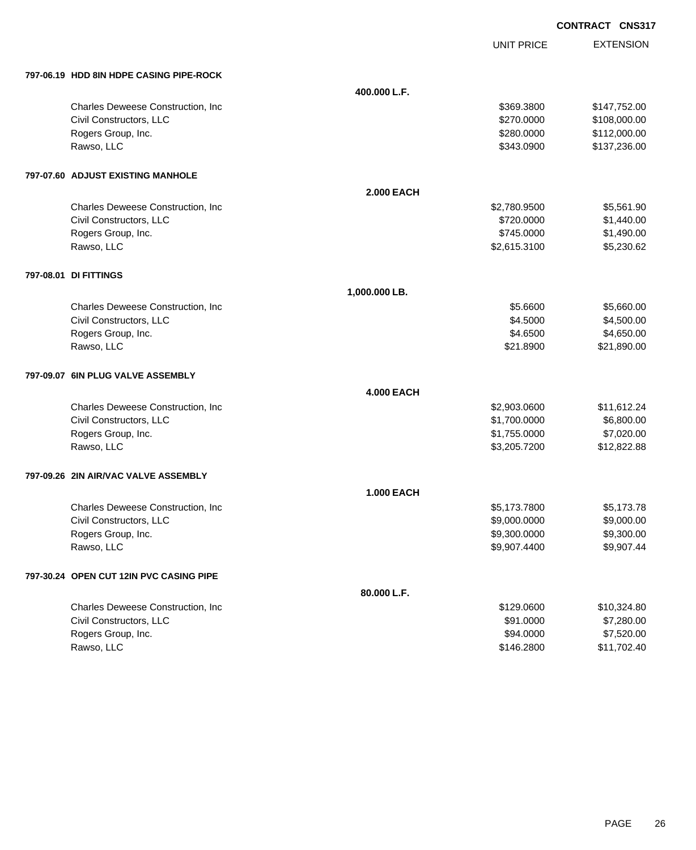UNIT PRICE

EXTENSION

| 797-06.19 HDD 8IN HDPE CASING PIPE-ROCK |
|-----------------------------------------|
|                                         |

| 400.000 L.F.<br>Charles Deweese Construction, Inc.<br>\$369.3800<br>\$147,752.00<br>Civil Constructors, LLC<br>\$270.0000<br>\$108,000.00<br>Rogers Group, Inc.<br>\$112,000.00<br>\$280.0000<br>Rawso, LLC<br>\$343.0900<br>\$137,236.00<br>797-07.60 ADJUST EXISTING MANHOLE<br><b>2.000 EACH</b><br>\$5,561.90<br>Charles Deweese Construction, Inc.<br>\$2,780.9500<br>\$1,440.00<br>Civil Constructors, LLC<br>\$720.0000<br>\$1,490.00<br>Rogers Group, Inc.<br>\$745.0000<br>\$5,230.62<br>Rawso, LLC<br>\$2,615.3100<br>797-08.01 DI FITTINGS<br>1,000.000 LB.<br>Charles Deweese Construction, Inc.<br>\$5.6600<br>\$5,660.00<br>Civil Constructors, LLC<br>\$4.5000<br>\$4,500.00<br>Rogers Group, Inc.<br>\$4.6500<br>\$4,650.00<br>Rawso, LLC<br>\$21.8900<br>\$21,890.00<br>797-09.07 6IN PLUG VALVE ASSEMBLY<br><b>4.000 EACH</b><br>Charles Deweese Construction, Inc<br>\$2,903.0600<br>\$11,612.24<br>Civil Constructors, LLC<br>\$1,700.0000<br>\$6,800.00<br>\$7,020.00<br>Rogers Group, Inc.<br>\$1,755.0000<br>Rawso, LLC<br>\$3,205.7200<br>\$12,822.88<br>797-09.26 2IN AIR/VAC VALVE ASSEMBLY<br><b>1.000 EACH</b><br>Charles Deweese Construction, Inc<br>\$5,173.7800<br>\$5,173.78<br>Civil Constructors, LLC<br>\$9,000.0000<br>\$9,000.00<br>\$9,300.0000<br>\$9,300.00<br>Rogers Group, Inc.<br>Rawso, LLC<br>\$9,907.4400<br>\$9,907.44<br>797-30.24 OPEN CUT 12IN PVC CASING PIPE<br>80.000 L.F.<br>Charles Deweese Construction, Inc<br>\$10,324.80<br>\$129.0600<br>Civil Constructors, LLC<br>\$91.0000<br>\$7,280.00<br>Rogers Group, Inc.<br>\$94.0000<br>\$7,520.00<br>Rawso, LLC<br>\$146.2800<br>\$11,702.40 | 797-06.19 HDD 8IN HDPE CASING PIPE-ROCK |  |  |
|------------------------------------------------------------------------------------------------------------------------------------------------------------------------------------------------------------------------------------------------------------------------------------------------------------------------------------------------------------------------------------------------------------------------------------------------------------------------------------------------------------------------------------------------------------------------------------------------------------------------------------------------------------------------------------------------------------------------------------------------------------------------------------------------------------------------------------------------------------------------------------------------------------------------------------------------------------------------------------------------------------------------------------------------------------------------------------------------------------------------------------------------------------------------------------------------------------------------------------------------------------------------------------------------------------------------------------------------------------------------------------------------------------------------------------------------------------------------------------------------------------------------------------------------------------------------------------------------------------------------------------------------------|-----------------------------------------|--|--|
|                                                                                                                                                                                                                                                                                                                                                                                                                                                                                                                                                                                                                                                                                                                                                                                                                                                                                                                                                                                                                                                                                                                                                                                                                                                                                                                                                                                                                                                                                                                                                                                                                                                      |                                         |  |  |
|                                                                                                                                                                                                                                                                                                                                                                                                                                                                                                                                                                                                                                                                                                                                                                                                                                                                                                                                                                                                                                                                                                                                                                                                                                                                                                                                                                                                                                                                                                                                                                                                                                                      |                                         |  |  |
|                                                                                                                                                                                                                                                                                                                                                                                                                                                                                                                                                                                                                                                                                                                                                                                                                                                                                                                                                                                                                                                                                                                                                                                                                                                                                                                                                                                                                                                                                                                                                                                                                                                      |                                         |  |  |
|                                                                                                                                                                                                                                                                                                                                                                                                                                                                                                                                                                                                                                                                                                                                                                                                                                                                                                                                                                                                                                                                                                                                                                                                                                                                                                                                                                                                                                                                                                                                                                                                                                                      |                                         |  |  |
|                                                                                                                                                                                                                                                                                                                                                                                                                                                                                                                                                                                                                                                                                                                                                                                                                                                                                                                                                                                                                                                                                                                                                                                                                                                                                                                                                                                                                                                                                                                                                                                                                                                      |                                         |  |  |
|                                                                                                                                                                                                                                                                                                                                                                                                                                                                                                                                                                                                                                                                                                                                                                                                                                                                                                                                                                                                                                                                                                                                                                                                                                                                                                                                                                                                                                                                                                                                                                                                                                                      |                                         |  |  |
|                                                                                                                                                                                                                                                                                                                                                                                                                                                                                                                                                                                                                                                                                                                                                                                                                                                                                                                                                                                                                                                                                                                                                                                                                                                                                                                                                                                                                                                                                                                                                                                                                                                      |                                         |  |  |
|                                                                                                                                                                                                                                                                                                                                                                                                                                                                                                                                                                                                                                                                                                                                                                                                                                                                                                                                                                                                                                                                                                                                                                                                                                                                                                                                                                                                                                                                                                                                                                                                                                                      |                                         |  |  |
|                                                                                                                                                                                                                                                                                                                                                                                                                                                                                                                                                                                                                                                                                                                                                                                                                                                                                                                                                                                                                                                                                                                                                                                                                                                                                                                                                                                                                                                                                                                                                                                                                                                      |                                         |  |  |
|                                                                                                                                                                                                                                                                                                                                                                                                                                                                                                                                                                                                                                                                                                                                                                                                                                                                                                                                                                                                                                                                                                                                                                                                                                                                                                                                                                                                                                                                                                                                                                                                                                                      |                                         |  |  |
|                                                                                                                                                                                                                                                                                                                                                                                                                                                                                                                                                                                                                                                                                                                                                                                                                                                                                                                                                                                                                                                                                                                                                                                                                                                                                                                                                                                                                                                                                                                                                                                                                                                      |                                         |  |  |
|                                                                                                                                                                                                                                                                                                                                                                                                                                                                                                                                                                                                                                                                                                                                                                                                                                                                                                                                                                                                                                                                                                                                                                                                                                                                                                                                                                                                                                                                                                                                                                                                                                                      |                                         |  |  |
|                                                                                                                                                                                                                                                                                                                                                                                                                                                                                                                                                                                                                                                                                                                                                                                                                                                                                                                                                                                                                                                                                                                                                                                                                                                                                                                                                                                                                                                                                                                                                                                                                                                      |                                         |  |  |
|                                                                                                                                                                                                                                                                                                                                                                                                                                                                                                                                                                                                                                                                                                                                                                                                                                                                                                                                                                                                                                                                                                                                                                                                                                                                                                                                                                                                                                                                                                                                                                                                                                                      |                                         |  |  |
|                                                                                                                                                                                                                                                                                                                                                                                                                                                                                                                                                                                                                                                                                                                                                                                                                                                                                                                                                                                                                                                                                                                                                                                                                                                                                                                                                                                                                                                                                                                                                                                                                                                      |                                         |  |  |
|                                                                                                                                                                                                                                                                                                                                                                                                                                                                                                                                                                                                                                                                                                                                                                                                                                                                                                                                                                                                                                                                                                                                                                                                                                                                                                                                                                                                                                                                                                                                                                                                                                                      |                                         |  |  |
|                                                                                                                                                                                                                                                                                                                                                                                                                                                                                                                                                                                                                                                                                                                                                                                                                                                                                                                                                                                                                                                                                                                                                                                                                                                                                                                                                                                                                                                                                                                                                                                                                                                      |                                         |  |  |
|                                                                                                                                                                                                                                                                                                                                                                                                                                                                                                                                                                                                                                                                                                                                                                                                                                                                                                                                                                                                                                                                                                                                                                                                                                                                                                                                                                                                                                                                                                                                                                                                                                                      |                                         |  |  |
|                                                                                                                                                                                                                                                                                                                                                                                                                                                                                                                                                                                                                                                                                                                                                                                                                                                                                                                                                                                                                                                                                                                                                                                                                                                                                                                                                                                                                                                                                                                                                                                                                                                      |                                         |  |  |
|                                                                                                                                                                                                                                                                                                                                                                                                                                                                                                                                                                                                                                                                                                                                                                                                                                                                                                                                                                                                                                                                                                                                                                                                                                                                                                                                                                                                                                                                                                                                                                                                                                                      |                                         |  |  |
|                                                                                                                                                                                                                                                                                                                                                                                                                                                                                                                                                                                                                                                                                                                                                                                                                                                                                                                                                                                                                                                                                                                                                                                                                                                                                                                                                                                                                                                                                                                                                                                                                                                      |                                         |  |  |
|                                                                                                                                                                                                                                                                                                                                                                                                                                                                                                                                                                                                                                                                                                                                                                                                                                                                                                                                                                                                                                                                                                                                                                                                                                                                                                                                                                                                                                                                                                                                                                                                                                                      |                                         |  |  |
|                                                                                                                                                                                                                                                                                                                                                                                                                                                                                                                                                                                                                                                                                                                                                                                                                                                                                                                                                                                                                                                                                                                                                                                                                                                                                                                                                                                                                                                                                                                                                                                                                                                      |                                         |  |  |
|                                                                                                                                                                                                                                                                                                                                                                                                                                                                                                                                                                                                                                                                                                                                                                                                                                                                                                                                                                                                                                                                                                                                                                                                                                                                                                                                                                                                                                                                                                                                                                                                                                                      |                                         |  |  |
|                                                                                                                                                                                                                                                                                                                                                                                                                                                                                                                                                                                                                                                                                                                                                                                                                                                                                                                                                                                                                                                                                                                                                                                                                                                                                                                                                                                                                                                                                                                                                                                                                                                      |                                         |  |  |
|                                                                                                                                                                                                                                                                                                                                                                                                                                                                                                                                                                                                                                                                                                                                                                                                                                                                                                                                                                                                                                                                                                                                                                                                                                                                                                                                                                                                                                                                                                                                                                                                                                                      |                                         |  |  |
|                                                                                                                                                                                                                                                                                                                                                                                                                                                                                                                                                                                                                                                                                                                                                                                                                                                                                                                                                                                                                                                                                                                                                                                                                                                                                                                                                                                                                                                                                                                                                                                                                                                      |                                         |  |  |
|                                                                                                                                                                                                                                                                                                                                                                                                                                                                                                                                                                                                                                                                                                                                                                                                                                                                                                                                                                                                                                                                                                                                                                                                                                                                                                                                                                                                                                                                                                                                                                                                                                                      |                                         |  |  |
|                                                                                                                                                                                                                                                                                                                                                                                                                                                                                                                                                                                                                                                                                                                                                                                                                                                                                                                                                                                                                                                                                                                                                                                                                                                                                                                                                                                                                                                                                                                                                                                                                                                      |                                         |  |  |
|                                                                                                                                                                                                                                                                                                                                                                                                                                                                                                                                                                                                                                                                                                                                                                                                                                                                                                                                                                                                                                                                                                                                                                                                                                                                                                                                                                                                                                                                                                                                                                                                                                                      |                                         |  |  |
|                                                                                                                                                                                                                                                                                                                                                                                                                                                                                                                                                                                                                                                                                                                                                                                                                                                                                                                                                                                                                                                                                                                                                                                                                                                                                                                                                                                                                                                                                                                                                                                                                                                      |                                         |  |  |
|                                                                                                                                                                                                                                                                                                                                                                                                                                                                                                                                                                                                                                                                                                                                                                                                                                                                                                                                                                                                                                                                                                                                                                                                                                                                                                                                                                                                                                                                                                                                                                                                                                                      |                                         |  |  |
|                                                                                                                                                                                                                                                                                                                                                                                                                                                                                                                                                                                                                                                                                                                                                                                                                                                                                                                                                                                                                                                                                                                                                                                                                                                                                                                                                                                                                                                                                                                                                                                                                                                      |                                         |  |  |
|                                                                                                                                                                                                                                                                                                                                                                                                                                                                                                                                                                                                                                                                                                                                                                                                                                                                                                                                                                                                                                                                                                                                                                                                                                                                                                                                                                                                                                                                                                                                                                                                                                                      |                                         |  |  |
|                                                                                                                                                                                                                                                                                                                                                                                                                                                                                                                                                                                                                                                                                                                                                                                                                                                                                                                                                                                                                                                                                                                                                                                                                                                                                                                                                                                                                                                                                                                                                                                                                                                      |                                         |  |  |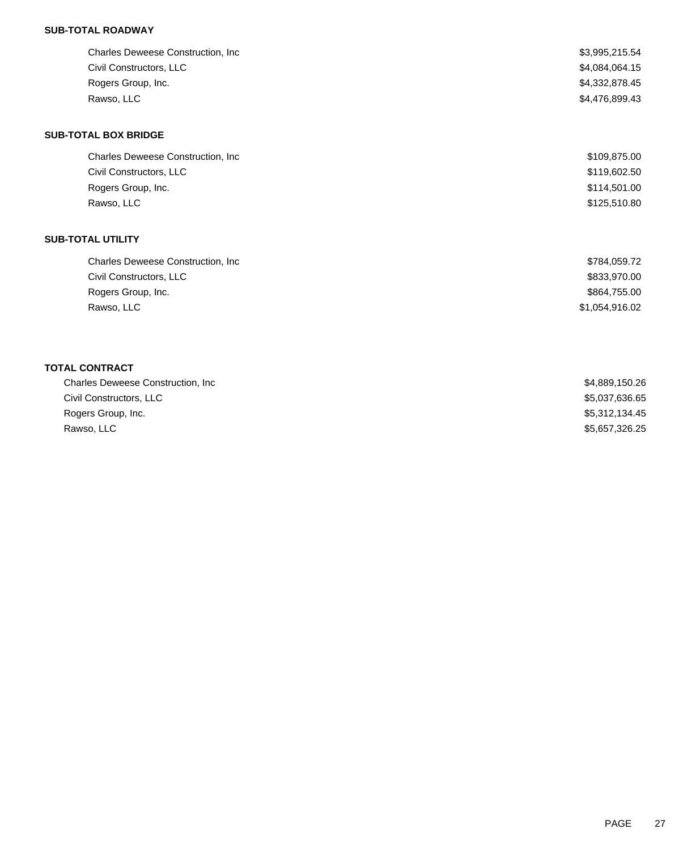## **SUB-TOTAL ROADWAY**

| Charles Deweese Construction, Inc. | \$3,995,215.54 |
|------------------------------------|----------------|
| Civil Constructors, LLC            | \$4,084,064.15 |
| Rogers Group, Inc.                 | \$4,332,878.45 |
| Rawso, LLC                         | \$4,476,899.43 |
| <b>SUB-TOTAL BOX BRIDGE</b>        |                |
| Charles Deweese Construction, Inc. | \$109,875.00   |
| Civil Constructors, LLC            | \$119,602.50   |
| Rogers Group, Inc.                 | \$114,501.00   |
| Rawso, LLC                         | \$125,510.80   |
| <b>SUB-TOTAL UTILITY</b>           |                |
| Charles Deweese Construction, Inc. | \$784,059.72   |
| Civil Constructors, LLC            | \$833,970.00   |
| Rogers Group, Inc.                 | \$864,755.00   |
| Rawso, LLC                         | \$1,054,916.02 |

# **TOTAL CONTRACT**

| \$4,889,150.26 |
|----------------|
| \$5,037,636.65 |
| \$5,312,134.45 |
| \$5,657,326.25 |
|                |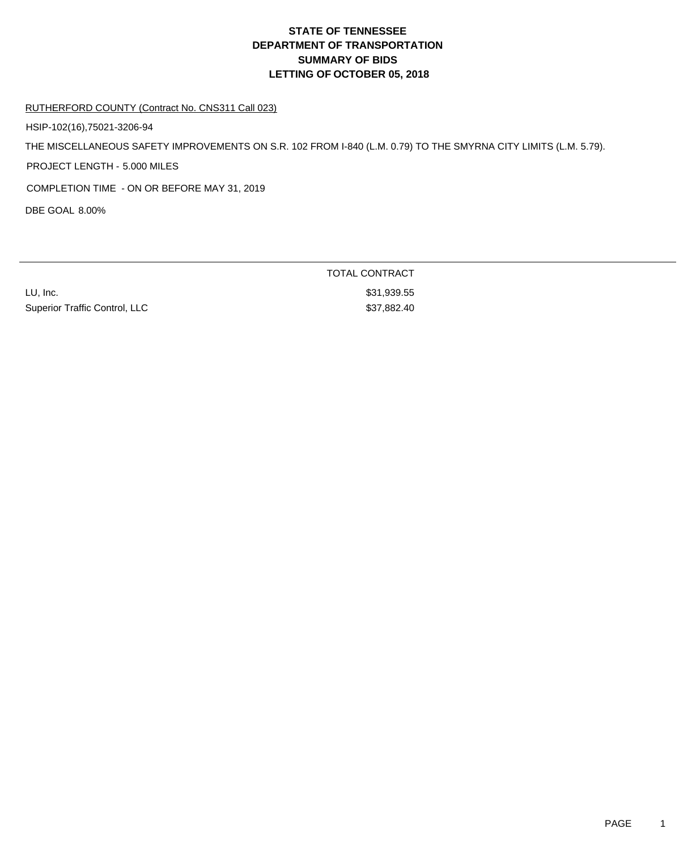# **DEPARTMENT OF TRANSPORTATION SUMMARY OF BIDS LETTING OF OCTOBER 05, 2018 STATE OF TENNESSEE**

### RUTHERFORD COUNTY (Contract No. CNS311 Call 023)

HSIP-102(16),75021-3206-94

THE MISCELLANEOUS SAFETY IMPROVEMENTS ON S.R. 102 FROM I-840 (L.M. 0.79) TO THE SMYRNA CITY LIMITS (L.M. 5.79).

PROJECT LENGTH - 5.000 MILES

COMPLETION TIME - ON OR BEFORE MAY 31, 2019

DBE GOAL 8.00%

LU, Inc. \$31,939.55 Superior Traffic Control, LLC \$37,882.40

TOTAL CONTRACT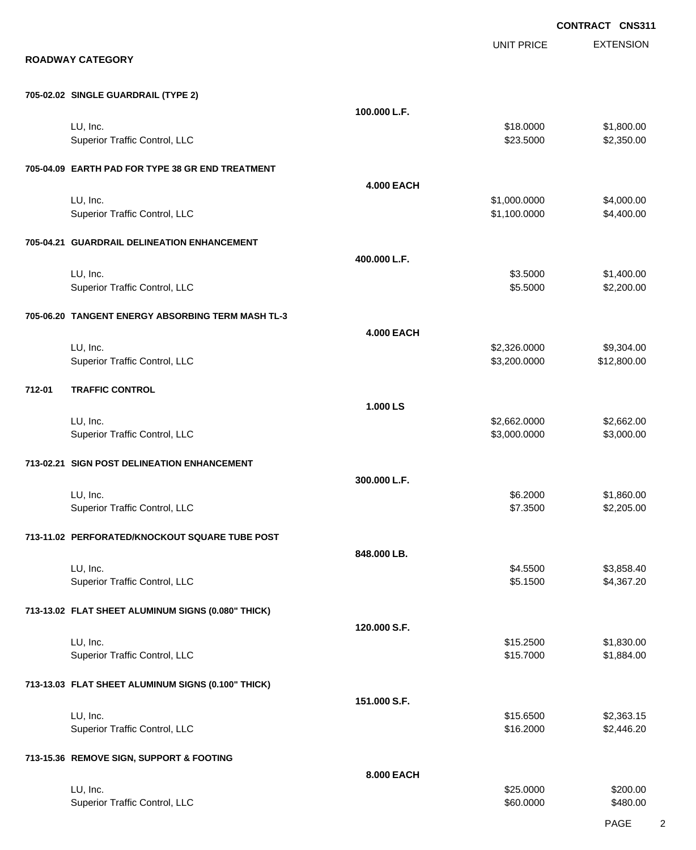|                                                    |                   |                              | CONTRACT CNS311          |
|----------------------------------------------------|-------------------|------------------------------|--------------------------|
| <b>ROADWAY CATEGORY</b>                            |                   | <b>UNIT PRICE</b>            | <b>EXTENSION</b>         |
| 705-02.02 SINGLE GUARDRAIL (TYPE 2)                |                   |                              |                          |
|                                                    | 100.000 L.F.      |                              |                          |
| LU, Inc.<br>Superior Traffic Control, LLC          |                   | \$18.0000<br>\$23.5000       | \$1,800.00<br>\$2,350.00 |
| 705-04.09 EARTH PAD FOR TYPE 38 GR END TREATMENT   |                   |                              |                          |
|                                                    | <b>4.000 EACH</b> |                              |                          |
| LU, Inc.<br><b>Superior Traffic Control, LLC</b>   |                   | \$1,000.0000<br>\$1,100.0000 | \$4,000.00<br>\$4,400.00 |
| 705-04.21 GUARDRAIL DELINEATION ENHANCEMENT        |                   |                              |                          |
| LU, Inc.                                           | 400.000 L.F.      | \$3.5000                     | \$1,400.00               |
| Superior Traffic Control, LLC                      |                   | \$5.5000                     | \$2,200.00               |
| 705-06.20 TANGENT ENERGY ABSORBING TERM MASH TL-3  |                   |                              |                          |
| LU, Inc.                                           | <b>4.000 EACH</b> | \$2,326.0000                 | \$9,304.00               |
| Superior Traffic Control, LLC                      |                   | \$3,200.0000                 | \$12,800.00              |
| 712-01<br><b>TRAFFIC CONTROL</b>                   |                   |                              |                          |
| LU, Inc.                                           | 1.000 LS          | \$2,662.0000                 | \$2,662.00               |
| Superior Traffic Control, LLC                      |                   | \$3,000.0000                 | \$3,000.00               |
| 713-02.21 SIGN POST DELINEATION ENHANCEMENT        |                   |                              |                          |
| LU, Inc.                                           | 300.000 L.F.      | \$6.2000                     | \$1,860.00               |
| Superior Traffic Control, LLC                      |                   | \$7.3500                     | \$2,205.00               |
| 713-11.02 PERFORATED/KNOCKOUT SQUARE TUBE POST     |                   |                              |                          |
| LU, Inc.                                           | 848.000 LB.       | \$4.5500                     | \$3,858.40               |
| Superior Traffic Control, LLC                      |                   | \$5.1500                     | \$4,367.20               |
| 713-13.02 FLAT SHEET ALUMINUM SIGNS (0.080" THICK) |                   |                              |                          |
| LU, Inc.                                           | 120.000 S.F.      | \$15.2500                    | \$1,830.00               |
| Superior Traffic Control, LLC                      |                   | \$15.7000                    | \$1,884.00               |
| 713-13.03 FLAT SHEET ALUMINUM SIGNS (0.100" THICK) |                   |                              |                          |
| LU, Inc.                                           | 151.000 S.F.      | \$15.6500                    | \$2,363.15               |
| Superior Traffic Control, LLC                      |                   | \$16.2000                    | \$2,446.20               |
| 713-15.36 REMOVE SIGN, SUPPORT & FOOTING           |                   |                              |                          |
| LU, Inc.                                           | 8.000 EACH        | \$25.0000                    | \$200.00                 |
|                                                    |                   |                              |                          |

Superior Traffic Control, LLC 60000 \$480.00

PAGE 2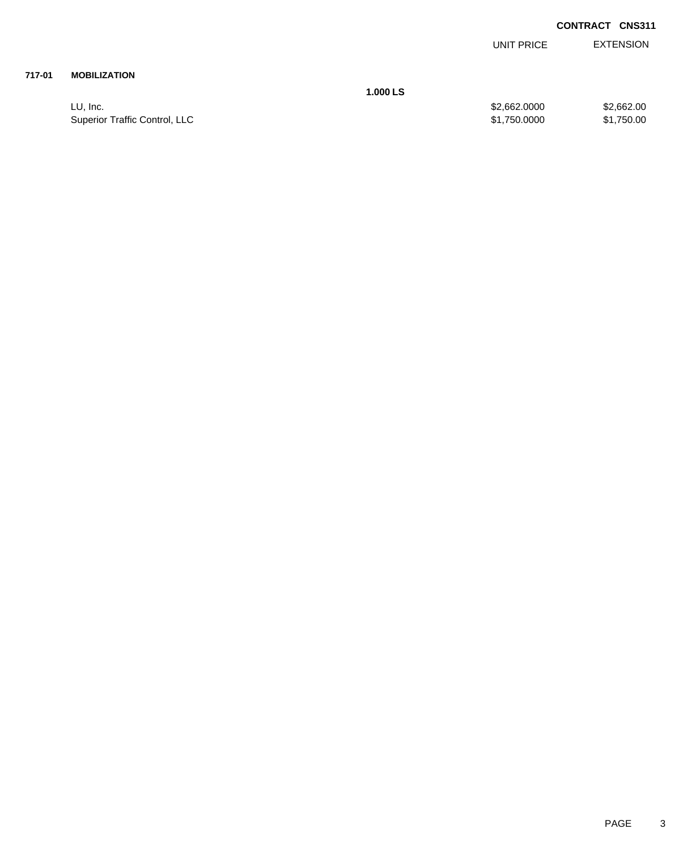| <b>EXTENSION</b> |
|------------------|
|                  |

### **717-01 MOBILIZATION**

**1.000 LS**

LU, Inc. \$2,662.000 \$2,662.000 \$2,662.000 \$2,662.000 \$2,662.000 \$2,662.00 Superior Traffic Control, LLC 61,750.000 \$1,750.000 \$1,750.000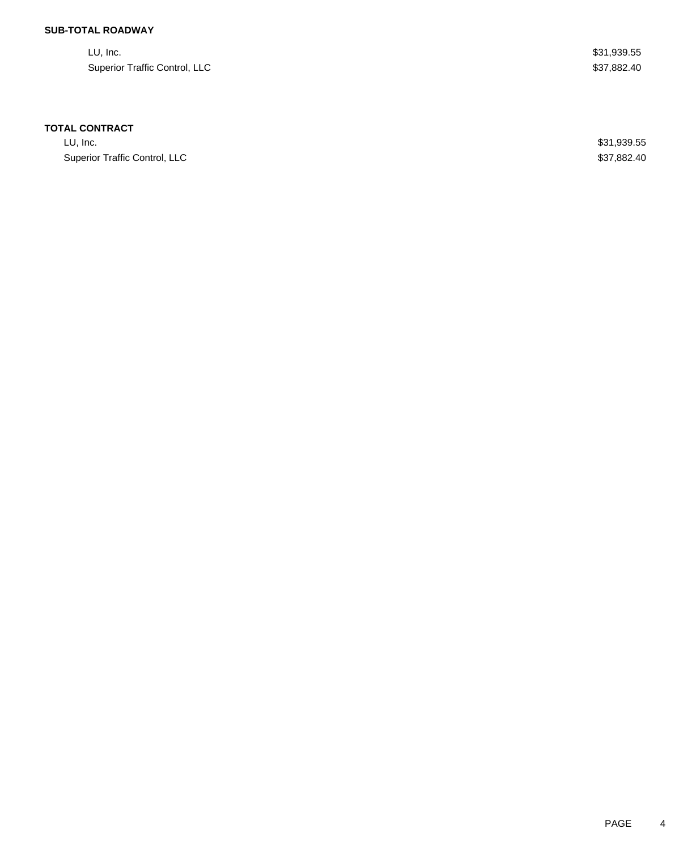## **SUB-TOTAL ROADWAY**

| LU, Inc.                      | \$31,939.55 |
|-------------------------------|-------------|
| Superior Traffic Control, LLC | \$37,882.40 |

### **TOTAL CONTRACT**

LU, Inc. \$31,939.55 Superior Traffic Control, LLC \$37,882.40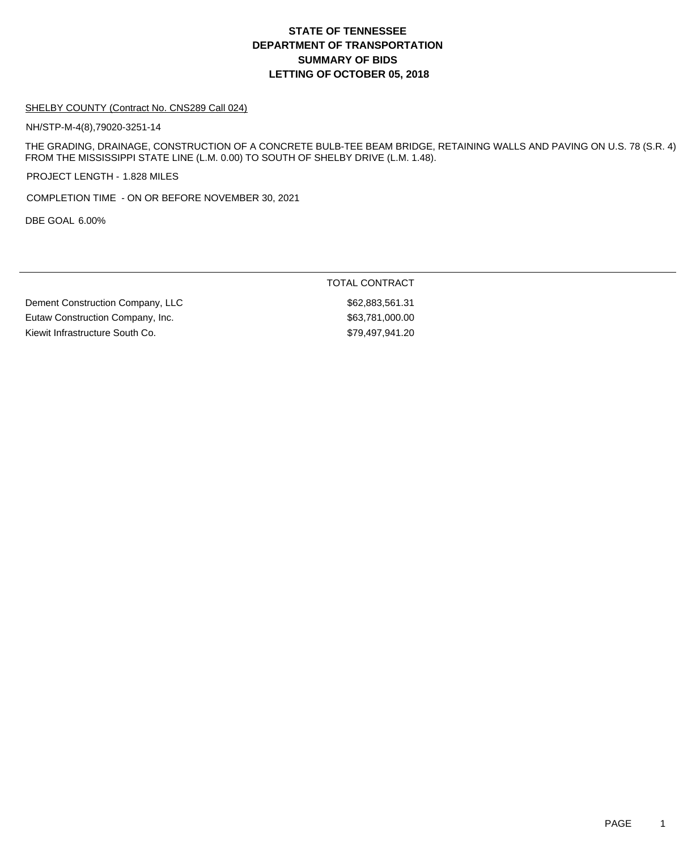## **DEPARTMENT OF TRANSPORTATION SUMMARY OF BIDS LETTING OF OCTOBER 05, 2018 STATE OF TENNESSEE**

#### SHELBY COUNTY (Contract No. CNS289 Call 024)

NH/STP-M-4(8),79020-3251-14

THE GRADING, DRAINAGE, CONSTRUCTION OF A CONCRETE BULB-TEE BEAM BRIDGE, RETAINING WALLS AND PAVING ON U.S. 78 (S.R. 4) FROM THE MISSISSIPPI STATE LINE (L.M. 0.00) TO SOUTH OF SHELBY DRIVE (L.M. 1.48).

PROJECT LENGTH - 1.828 MILES

COMPLETION TIME - ON OR BEFORE NOVEMBER 30, 2021

DBE GOAL 6.00%

### TOTAL CONTRACT

Dement Construction Company, LLC 662,883,561.31 Eutaw Construction Company, Inc. 653,781,000.00 Kiewit Infrastructure South Co. 679,497,941.20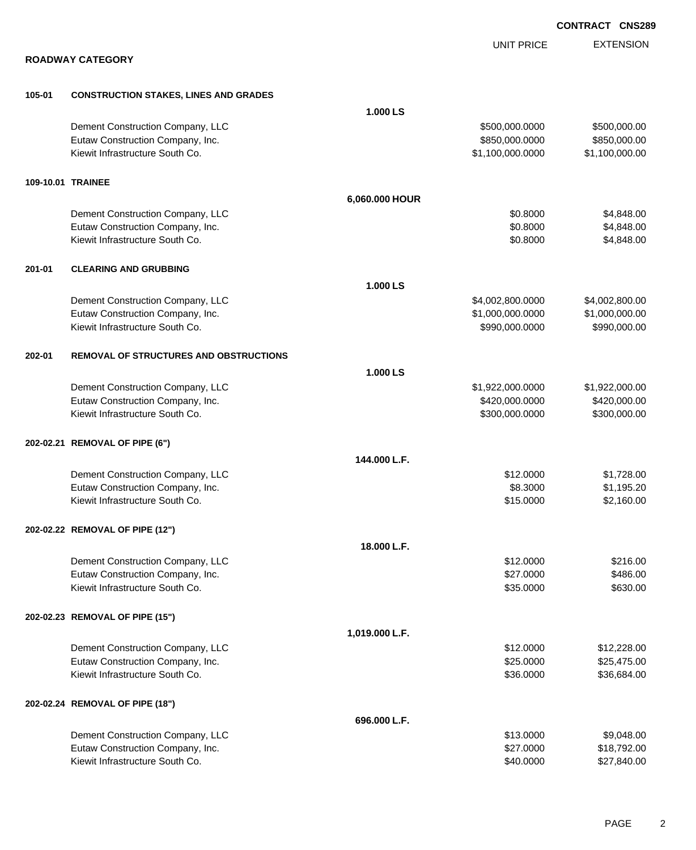|        | <b>ROADWAY CATEGORY</b>                       |                | <b>UNIT PRICE</b> | <b>EXTENSION</b> |
|--------|-----------------------------------------------|----------------|-------------------|------------------|
|        |                                               |                |                   |                  |
| 105-01 | <b>CONSTRUCTION STAKES, LINES AND GRADES</b>  |                |                   |                  |
|        |                                               | 1.000 LS       |                   |                  |
|        | Dement Construction Company, LLC              |                | \$500,000.0000    | \$500,000.00     |
|        | Eutaw Construction Company, Inc.              |                | \$850,000.0000    | \$850,000.00     |
|        | Kiewit Infrastructure South Co.               |                | \$1,100,000.0000  | \$1,100,000.00   |
|        | 109-10.01 TRAINEE                             |                |                   |                  |
|        |                                               | 6,060.000 HOUR |                   |                  |
|        | Dement Construction Company, LLC              |                | \$0.8000          | \$4,848.00       |
|        | Eutaw Construction Company, Inc.              |                | \$0.8000          | \$4,848.00       |
|        | Kiewit Infrastructure South Co.               |                | \$0.8000          | \$4,848.00       |
| 201-01 | <b>CLEARING AND GRUBBING</b>                  |                |                   |                  |
|        |                                               | 1.000 LS       |                   |                  |
|        | Dement Construction Company, LLC              |                | \$4,002,800.0000  | \$4,002,800.00   |
|        | Eutaw Construction Company, Inc.              |                | \$1,000,000.0000  | \$1,000,000.00   |
|        | Kiewit Infrastructure South Co.               |                | \$990,000.0000    | \$990,000.00     |
| 202-01 | <b>REMOVAL OF STRUCTURES AND OBSTRUCTIONS</b> |                |                   |                  |
|        |                                               | 1.000 LS       |                   |                  |
|        | Dement Construction Company, LLC              |                | \$1,922,000.0000  | \$1,922,000.00   |
|        | Eutaw Construction Company, Inc.              |                | \$420,000.0000    | \$420,000.00     |
|        | Kiewit Infrastructure South Co.               |                | \$300,000.0000    | \$300,000.00     |
|        | 202-02.21 REMOVAL OF PIPE (6")                |                |                   |                  |
|        |                                               | 144.000 L.F.   |                   |                  |
|        | Dement Construction Company, LLC              |                | \$12.0000         | \$1,728.00       |
|        | Eutaw Construction Company, Inc.              |                | \$8.3000          | \$1,195.20       |
|        | Kiewit Infrastructure South Co.               |                | \$15.0000         | \$2,160.00       |
|        | 202-02.22 REMOVAL OF PIPE (12")               |                |                   |                  |
|        |                                               | 18.000 L.F.    |                   |                  |
|        | Dement Construction Company, LLC              |                | \$12.0000         | \$216.00         |
|        | Eutaw Construction Company, Inc.              |                | \$27.0000         | \$486.00         |
|        | Kiewit Infrastructure South Co.               |                | \$35.0000         | \$630.00         |
|        | 202-02.23 REMOVAL OF PIPE (15")               |                |                   |                  |
|        |                                               | 1,019.000 L.F. |                   |                  |
|        | Dement Construction Company, LLC              |                | \$12.0000         | \$12,228.00      |
|        | Eutaw Construction Company, Inc.              |                | \$25.0000         | \$25,475.00      |
|        | Kiewit Infrastructure South Co.               |                | \$36.0000         | \$36,684.00      |
|        | 202-02.24 REMOVAL OF PIPE (18")               |                |                   |                  |
|        |                                               | 696.000 L.F.   |                   |                  |
|        | Dement Construction Company, LLC              |                | \$13.0000         | \$9,048.00       |
|        | Eutaw Construction Company, Inc.              |                | \$27.0000         | \$18,792.00      |
|        | Kiewit Infrastructure South Co.               |                | \$40.0000         | \$27,840.00      |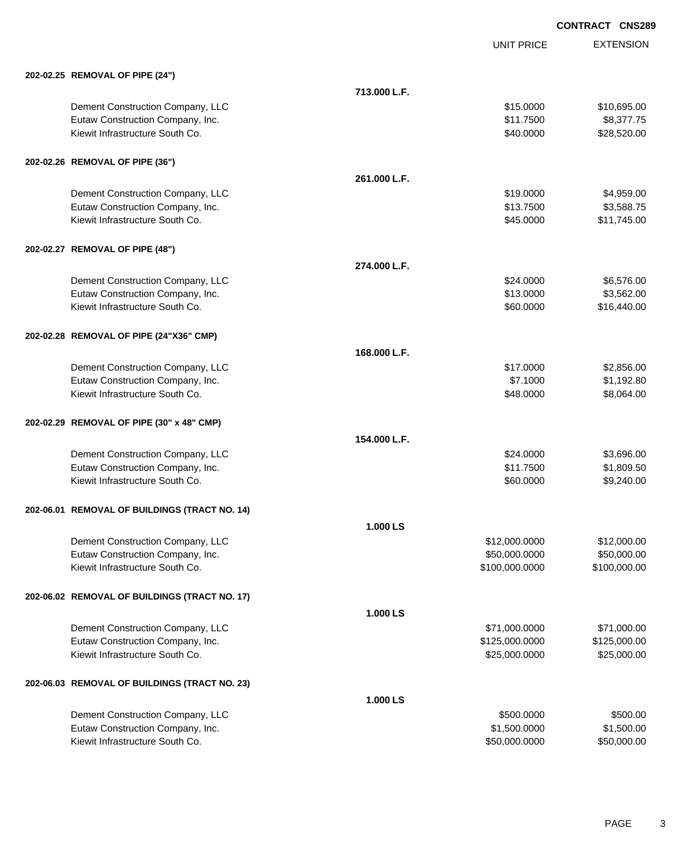|                                               |              | <b>UNIT PRICE</b> | <b>EXTENSION</b> |
|-----------------------------------------------|--------------|-------------------|------------------|
| 202-02.25 REMOVAL OF PIPE (24")               |              |                   |                  |
|                                               | 713.000 L.F. |                   |                  |
| Dement Construction Company, LLC              |              | \$15.0000         | \$10,695.00      |
| Eutaw Construction Company, Inc.              |              | \$11.7500         | \$8,377.75       |
| Kiewit Infrastructure South Co.               |              | \$40.0000         | \$28,520.00      |
| 202-02.26 REMOVAL OF PIPE (36")               |              |                   |                  |
|                                               | 261.000 L.F. |                   |                  |
| Dement Construction Company, LLC              |              | \$19.0000         | \$4,959.00       |
| Eutaw Construction Company, Inc.              |              | \$13.7500         | \$3,588.75       |
| Kiewit Infrastructure South Co.               |              | \$45.0000         | \$11,745.00      |
| 202-02.27 REMOVAL OF PIPE (48")               |              |                   |                  |
|                                               | 274.000 L.F. |                   |                  |
| Dement Construction Company, LLC              |              | \$24.0000         | \$6,576.00       |
| Eutaw Construction Company, Inc.              |              | \$13.0000         | \$3,562.00       |
| Kiewit Infrastructure South Co.               |              | \$60.0000         | \$16,440.00      |
| 202-02.28 REMOVAL OF PIPE (24"X36" CMP)       |              |                   |                  |
|                                               | 168.000 L.F. |                   |                  |
| Dement Construction Company, LLC              |              | \$17.0000         | \$2,856.00       |
| Eutaw Construction Company, Inc.              |              | \$7.1000          | \$1,192.80       |
| Kiewit Infrastructure South Co.               |              | \$48.0000         | \$8,064.00       |
| 202-02.29 REMOVAL OF PIPE (30" x 48" CMP)     |              |                   |                  |
|                                               | 154.000 L.F. |                   |                  |
| Dement Construction Company, LLC              |              | \$24.0000         | \$3,696.00       |
| Eutaw Construction Company, Inc.              |              | \$11.7500         | \$1,809.50       |
| Kiewit Infrastructure South Co.               |              | \$60.0000         | \$9,240.00       |
| 202-06.01 REMOVAL OF BUILDINGS (TRACT NO. 14) |              |                   |                  |
|                                               | 1.000 LS     |                   |                  |
| Dement Construction Company, LLC              |              | \$12,000.0000     | \$12,000.00      |
| Eutaw Construction Company, Inc.              |              | \$50,000.0000     | \$50,000.00      |
| Kiewit Infrastructure South Co.               |              | \$100,000.0000    | \$100,000.00     |
| 202-06.02 REMOVAL OF BUILDINGS (TRACT NO. 17) |              |                   |                  |
|                                               | 1.000 LS     |                   |                  |
| Dement Construction Company, LLC              |              | \$71,000.0000     | \$71,000.00      |
| Eutaw Construction Company, Inc.              |              | \$125,000.0000    | \$125,000.00     |
| Kiewit Infrastructure South Co.               |              | \$25,000.0000     | \$25,000.00      |
| 202-06.03 REMOVAL OF BUILDINGS (TRACT NO. 23) |              |                   |                  |
|                                               | 1.000 LS     |                   |                  |
| Dement Construction Company, LLC              |              | \$500.0000        | \$500.00         |
| Eutaw Construction Company, Inc.              |              | \$1,500.0000      | \$1,500.00       |
| Kiewit Infrastructure South Co.               |              | \$50,000.0000     | \$50,000.00      |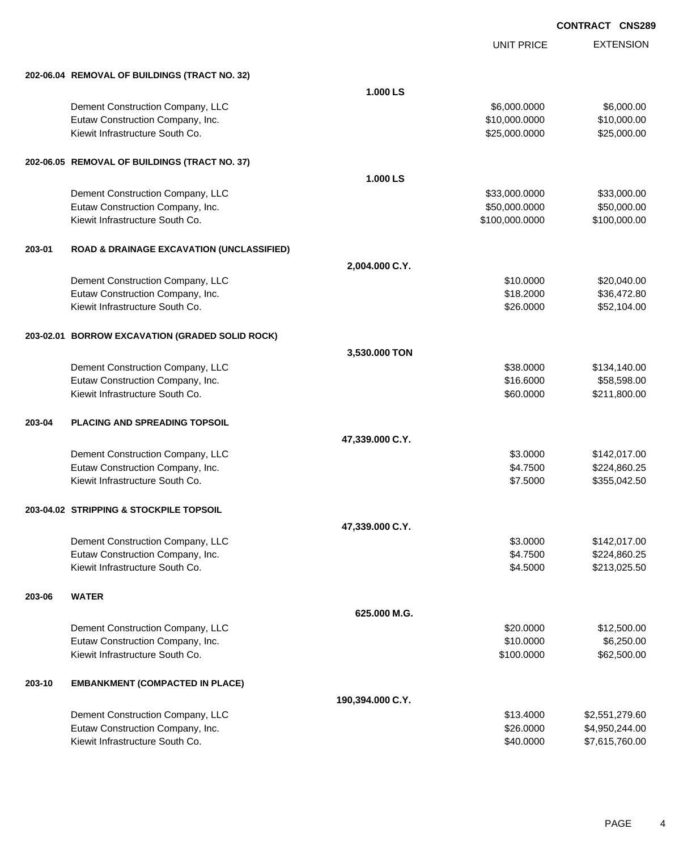|        |                                                      |                  | <b>UNIT PRICE</b> | <b>EXTENSION</b> |
|--------|------------------------------------------------------|------------------|-------------------|------------------|
|        | 202-06.04 REMOVAL OF BUILDINGS (TRACT NO. 32)        |                  |                   |                  |
|        |                                                      | 1.000 LS         |                   |                  |
|        | Dement Construction Company, LLC                     |                  | \$6,000.0000      | \$6,000.00       |
|        | Eutaw Construction Company, Inc.                     |                  | \$10,000.0000     | \$10,000.00      |
|        | Kiewit Infrastructure South Co.                      |                  | \$25,000.0000     | \$25,000.00      |
|        | 202-06.05 REMOVAL OF BUILDINGS (TRACT NO. 37)        |                  |                   |                  |
|        |                                                      | 1.000 LS         |                   |                  |
|        | Dement Construction Company, LLC                     |                  | \$33,000.0000     | \$33,000.00      |
|        | Eutaw Construction Company, Inc.                     |                  | \$50,000.0000     | \$50,000.00      |
|        | Kiewit Infrastructure South Co.                      |                  | \$100,000.0000    | \$100,000.00     |
| 203-01 | <b>ROAD &amp; DRAINAGE EXCAVATION (UNCLASSIFIED)</b> |                  |                   |                  |
|        |                                                      | 2,004.000 C.Y.   |                   |                  |
|        | Dement Construction Company, LLC                     |                  | \$10.0000         | \$20,040.00      |
|        | Eutaw Construction Company, Inc.                     |                  | \$18.2000         | \$36,472.80      |
|        | Kiewit Infrastructure South Co.                      |                  | \$26.0000         | \$52,104.00      |
|        | 203-02.01 BORROW EXCAVATION (GRADED SOLID ROCK)      |                  |                   |                  |
|        |                                                      | 3,530.000 TON    |                   |                  |
|        | Dement Construction Company, LLC                     |                  | \$38.0000         | \$134,140.00     |
|        | Eutaw Construction Company, Inc.                     |                  | \$16.6000         | \$58,598.00      |
|        | Kiewit Infrastructure South Co.                      |                  | \$60.0000         | \$211,800.00     |
| 203-04 | <b>PLACING AND SPREADING TOPSOIL</b>                 |                  |                   |                  |
|        |                                                      | 47,339.000 C.Y.  |                   |                  |
|        | Dement Construction Company, LLC                     |                  | \$3.0000          | \$142,017.00     |
|        | Eutaw Construction Company, Inc.                     |                  | \$4.7500          | \$224,860.25     |
|        | Kiewit Infrastructure South Co.                      |                  | \$7.5000          | \$355,042.50     |
|        | 203-04.02 STRIPPING & STOCKPILE TOPSOIL              |                  |                   |                  |
|        |                                                      | 47,339.000 C.Y.  |                   |                  |
|        | Dement Construction Company, LLC                     |                  | \$3.0000          | \$142,017.00     |
|        | Eutaw Construction Company, Inc.                     |                  | \$4.7500          | \$224,860.25     |
|        | Kiewit Infrastructure South Co.                      |                  | \$4.5000          | \$213,025.50     |
| 203-06 | <b>WATER</b>                                         |                  |                   |                  |
|        |                                                      | 625.000 M.G.     |                   |                  |
|        | Dement Construction Company, LLC                     |                  | \$20.0000         | \$12,500.00      |
|        | Eutaw Construction Company, Inc.                     |                  | \$10.0000         | \$6,250.00       |
|        | Kiewit Infrastructure South Co.                      |                  | \$100.0000        | \$62,500.00      |
| 203-10 | <b>EMBANKMENT (COMPACTED IN PLACE)</b>               |                  |                   |                  |
|        |                                                      | 190,394.000 C.Y. |                   |                  |
|        | Dement Construction Company, LLC                     |                  | \$13.4000         | \$2,551,279.60   |
|        | Eutaw Construction Company, Inc.                     |                  | \$26.0000         | \$4,950,244.00   |
|        | Kiewit Infrastructure South Co.                      |                  | \$40.0000         | \$7,615,760.00   |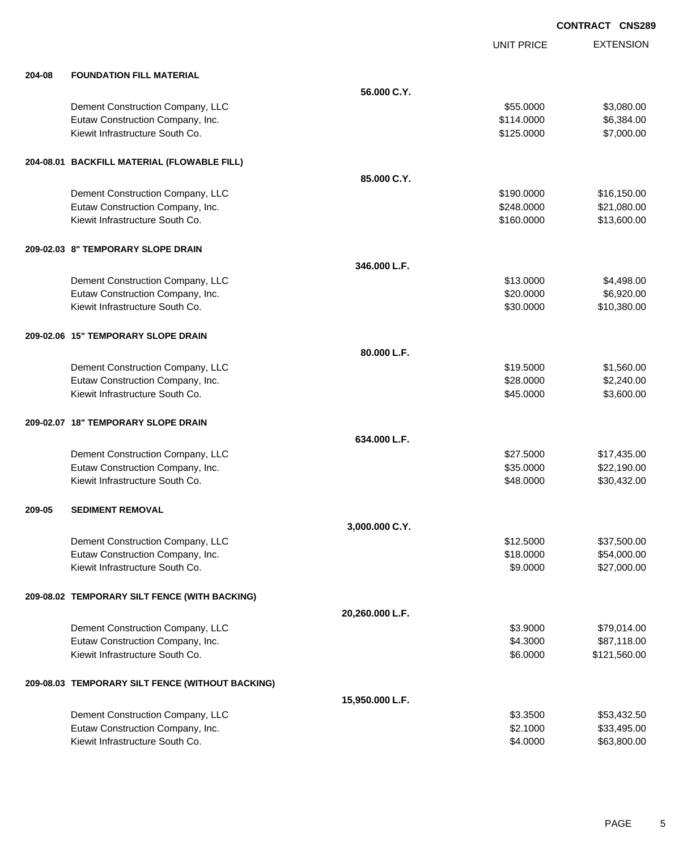|        |                                                  |                 | <b>UNIT PRICE</b> | <b>EXTENSION</b> |
|--------|--------------------------------------------------|-----------------|-------------------|------------------|
| 204-08 | <b>FOUNDATION FILL MATERIAL</b>                  |                 |                   |                  |
|        |                                                  | 56.000 C.Y.     |                   |                  |
|        | Dement Construction Company, LLC                 |                 | \$55.0000         | \$3,080.00       |
|        | Eutaw Construction Company, Inc.                 |                 | \$114.0000        | \$6,384.00       |
|        | Kiewit Infrastructure South Co.                  |                 | \$125.0000        | \$7,000.00       |
|        | 204-08.01 BACKFILL MATERIAL (FLOWABLE FILL)      |                 |                   |                  |
|        |                                                  | 85.000 C.Y.     |                   |                  |
|        | Dement Construction Company, LLC                 |                 | \$190.0000        | \$16,150.00      |
|        | Eutaw Construction Company, Inc.                 |                 | \$248.0000        | \$21,080.00      |
|        | Kiewit Infrastructure South Co.                  |                 | \$160.0000        | \$13,600.00      |
|        | 209-02.03 8" TEMPORARY SLOPE DRAIN               |                 |                   |                  |
|        |                                                  | 346,000 L.F.    |                   |                  |
|        | Dement Construction Company, LLC                 |                 | \$13.0000         | \$4,498.00       |
|        | Eutaw Construction Company, Inc.                 |                 | \$20.0000         | \$6,920.00       |
|        | Kiewit Infrastructure South Co.                  |                 | \$30.0000         | \$10,380.00      |
|        | 209-02.06 15" TEMPORARY SLOPE DRAIN              |                 |                   |                  |
|        |                                                  | 80.000 L.F.     |                   |                  |
|        | Dement Construction Company, LLC                 |                 | \$19.5000         | \$1,560.00       |
|        | Eutaw Construction Company, Inc.                 |                 | \$28.0000         | \$2,240.00       |
|        | Kiewit Infrastructure South Co.                  |                 | \$45.0000         | \$3,600.00       |
|        | 209-02.07 18" TEMPORARY SLOPE DRAIN              |                 |                   |                  |
|        |                                                  | 634.000 L.F.    |                   |                  |
|        | Dement Construction Company, LLC                 |                 | \$27.5000         | \$17,435.00      |
|        | Eutaw Construction Company, Inc.                 |                 | \$35.0000         | \$22,190.00      |
|        | Kiewit Infrastructure South Co.                  |                 | \$48.0000         | \$30,432.00      |
| 209-05 | <b>SEDIMENT REMOVAL</b>                          |                 |                   |                  |
|        |                                                  | 3,000.000 C.Y.  |                   |                  |
|        | Dement Construction Company, LLC                 |                 | \$12.5000         | \$37,500.00      |
|        | Eutaw Construction Company, Inc.                 |                 | \$18.0000         | \$54,000.00      |
|        | Kiewit Infrastructure South Co.                  |                 | \$9.0000          | \$27,000.00      |
|        | 209-08.02 TEMPORARY SILT FENCE (WITH BACKING)    |                 |                   |                  |
|        |                                                  | 20,260.000 L.F. |                   |                  |
|        | Dement Construction Company, LLC                 |                 | \$3.9000          | \$79,014.00      |
|        | Eutaw Construction Company, Inc.                 |                 | \$4.3000          | \$87,118.00      |
|        | Kiewit Infrastructure South Co.                  |                 | \$6.0000          | \$121,560.00     |
|        | 209-08.03 TEMPORARY SILT FENCE (WITHOUT BACKING) |                 |                   |                  |
|        |                                                  | 15,950.000 L.F. |                   |                  |
|        | Dement Construction Company, LLC                 |                 | \$3.3500          | \$53,432.50      |
|        | Eutaw Construction Company, Inc.                 |                 | \$2.1000          | \$33,495.00      |
|        | Kiewit Infrastructure South Co.                  |                 | \$4.0000          | \$63,800.00      |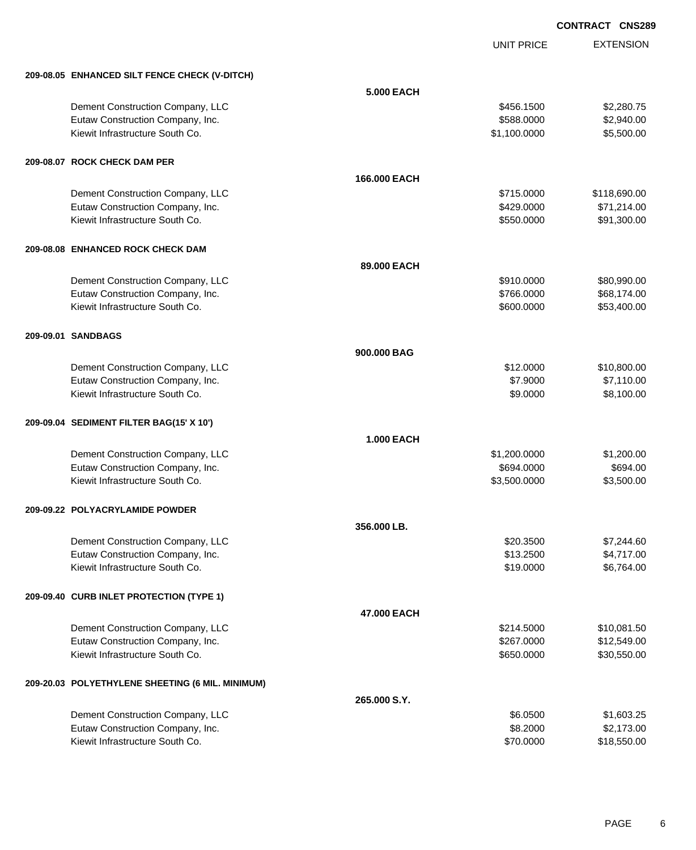UNIT PRICE

EXTENSION

| 209-08.05 ENHANCED SILT FENCE CHECK (V-DITCH)    |                   |              |              |
|--------------------------------------------------|-------------------|--------------|--------------|
|                                                  | <b>5.000 EACH</b> |              |              |
| Dement Construction Company, LLC                 |                   | \$456.1500   | \$2,280.75   |
| Eutaw Construction Company, Inc.                 |                   | \$588.0000   | \$2,940.00   |
| Kiewit Infrastructure South Co.                  |                   | \$1,100.0000 | \$5,500.00   |
|                                                  |                   |              |              |
| 209-08.07 ROCK CHECK DAM PER                     |                   |              |              |
|                                                  | 166,000 EACH      |              |              |
| Dement Construction Company, LLC                 |                   | \$715,0000   | \$118,690.00 |
| Eutaw Construction Company, Inc.                 |                   | \$429.0000   | \$71,214.00  |
| Kiewit Infrastructure South Co.                  |                   | \$550.0000   | \$91,300.00  |
|                                                  |                   |              |              |
| 209-08.08 ENHANCED ROCK CHECK DAM                |                   |              |              |
|                                                  | 89.000 EACH       |              |              |
| Dement Construction Company, LLC                 |                   | \$910.0000   | \$80,990.00  |
| Eutaw Construction Company, Inc.                 |                   | \$766.0000   | \$68,174.00  |
| Kiewit Infrastructure South Co.                  |                   | \$600.0000   | \$53,400.00  |
| 209-09.01 SANDBAGS                               |                   |              |              |
|                                                  | 900,000 BAG       |              |              |
| Dement Construction Company, LLC                 |                   | \$12.0000    | \$10,800.00  |
| Eutaw Construction Company, Inc.                 |                   | \$7.9000     | \$7,110.00   |
| Kiewit Infrastructure South Co.                  |                   | \$9.0000     | \$8,100.00   |
|                                                  |                   |              |              |
| 209-09.04 SEDIMENT FILTER BAG(15' X 10')         |                   |              |              |
|                                                  | 1.000 EACH        |              |              |
| Dement Construction Company, LLC                 |                   | \$1,200.0000 | \$1,200.00   |
| Eutaw Construction Company, Inc.                 |                   | \$694.0000   | \$694.00     |
| Kiewit Infrastructure South Co.                  |                   | \$3,500.0000 | \$3,500.00   |
| 209-09.22 POLYACRYLAMIDE POWDER                  |                   |              |              |
|                                                  | 356,000 LB.       |              |              |
| Dement Construction Company, LLC                 |                   | \$20.3500    | \$7,244.60   |
| Eutaw Construction Company, Inc.                 |                   | \$13.2500    | \$4,717.00   |
| Kiewit Infrastructure South Co.                  |                   | \$19.0000    | \$6,764.00   |
|                                                  |                   |              |              |
| 209-09.40 CURB INLET PROTECTION (TYPE 1)         |                   |              |              |
|                                                  | 47.000 EACH       |              |              |
| Dement Construction Company, LLC                 |                   | \$214.5000   | \$10,081.50  |
| Eutaw Construction Company, Inc.                 |                   | \$267.0000   | \$12,549.00  |
| Kiewit Infrastructure South Co.                  |                   | \$650.0000   | \$30,550.00  |
| 209-20.03 POLYETHYLENE SHEETING (6 MIL. MINIMUM) |                   |              |              |
|                                                  | 265.000 S.Y.      |              |              |
| Dement Construction Company, LLC                 |                   | \$6.0500     | \$1,603.25   |
| Eutaw Construction Company, Inc.                 |                   | \$8.2000     | \$2,173.00   |
| Kiewit Infrastructure South Co.                  |                   | \$70.0000    | \$18,550.00  |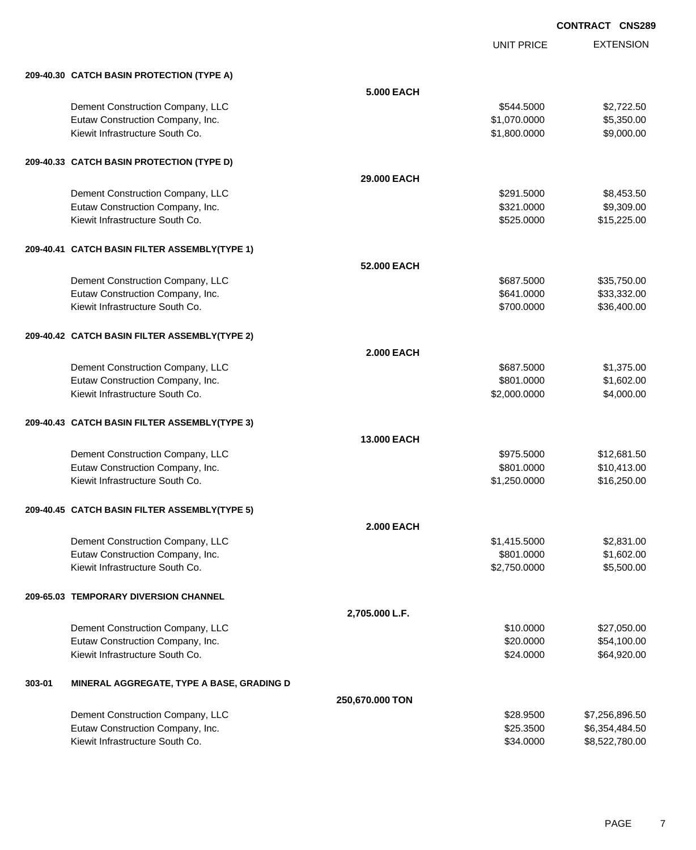UNIT PRICE EXTENSION

|        | 209-40.30 CATCH BASIN PROTECTION (TYPE A)                           |                    |              |                            |
|--------|---------------------------------------------------------------------|--------------------|--------------|----------------------------|
|        |                                                                     | 5.000 EACH         |              |                            |
|        | Dement Construction Company, LLC                                    |                    | \$544.5000   | \$2,722.50                 |
|        | Eutaw Construction Company, Inc.                                    |                    | \$1,070.0000 | \$5,350.00                 |
|        | Kiewit Infrastructure South Co.                                     |                    | \$1,800.0000 | \$9,000.00                 |
|        |                                                                     |                    |              |                            |
|        | 209-40.33 CATCH BASIN PROTECTION (TYPE D)                           |                    |              |                            |
|        |                                                                     | 29,000 EACH        |              |                            |
|        | Dement Construction Company, LLC                                    |                    | \$291.5000   | \$8,453.50                 |
|        | Eutaw Construction Company, Inc.                                    |                    | \$321.0000   | \$9,309.00                 |
|        | Kiewit Infrastructure South Co.                                     |                    | \$525.0000   | \$15,225.00                |
|        | 209-40.41 CATCH BASIN FILTER ASSEMBLY(TYPE 1)                       |                    |              |                            |
|        |                                                                     | 52,000 EACH        |              |                            |
|        | Dement Construction Company, LLC                                    |                    | \$687.5000   | \$35,750.00                |
|        | Eutaw Construction Company, Inc.                                    |                    | \$641.0000   | \$33,332.00                |
|        | Kiewit Infrastructure South Co.                                     |                    | \$700.0000   | \$36,400.00                |
|        |                                                                     |                    |              |                            |
|        | 209-40.42 CATCH BASIN FILTER ASSEMBLY(TYPE 2)                       |                    |              |                            |
|        |                                                                     | <b>2.000 EACH</b>  |              |                            |
|        | Dement Construction Company, LLC                                    |                    | \$687.5000   | \$1,375.00                 |
|        | Eutaw Construction Company, Inc.                                    |                    | \$801.0000   | \$1,602.00                 |
|        | Kiewit Infrastructure South Co.                                     |                    | \$2,000.0000 | \$4,000.00                 |
|        | 209-40.43 CATCH BASIN FILTER ASSEMBLY(TYPE 3)                       |                    |              |                            |
|        |                                                                     | <b>13,000 EACH</b> |              |                            |
|        | Dement Construction Company, LLC                                    |                    | \$975.5000   | \$12,681.50                |
|        | Eutaw Construction Company, Inc.                                    |                    | \$801.0000   | \$10,413.00                |
|        | Kiewit Infrastructure South Co.                                     |                    | \$1,250.0000 | \$16,250.00                |
|        | 209-40.45 CATCH BASIN FILTER ASSEMBLY(TYPE 5)                       |                    |              |                            |
|        |                                                                     | <b>2.000 EACH</b>  |              |                            |
|        | Dement Construction Company, LLC                                    |                    | \$1,415.5000 | \$2,831.00                 |
|        | Eutaw Construction Company, Inc.                                    |                    | \$801.0000   | \$1,602.00                 |
|        | Kiewit Infrastructure South Co.                                     |                    | \$2,750.0000 | \$5,500.00                 |
|        | 209-65.03 TEMPORARY DIVERSION CHANNEL                               |                    |              |                            |
|        |                                                                     | 2,705.000 L.F.     |              |                            |
|        | Dement Construction Company, LLC                                    |                    | \$10.0000    |                            |
|        |                                                                     |                    | \$20.0000    | \$27,050.00                |
|        | Eutaw Construction Company, Inc.<br>Kiewit Infrastructure South Co. |                    | \$24.0000    | \$54,100.00<br>\$64,920.00 |
|        |                                                                     |                    |              |                            |
| 303-01 | MINERAL AGGREGATE, TYPE A BASE, GRADING D                           |                    |              |                            |
|        |                                                                     | 250,670.000 TON    |              |                            |
|        | Dement Construction Company, LLC                                    |                    | \$28.9500    | \$7,256,896.50             |
|        | Eutaw Construction Company, Inc.                                    |                    | \$25.3500    | \$6,354,484.50             |
|        | Kiewit Infrastructure South Co.                                     |                    | \$34.0000    | \$8,522,780.00             |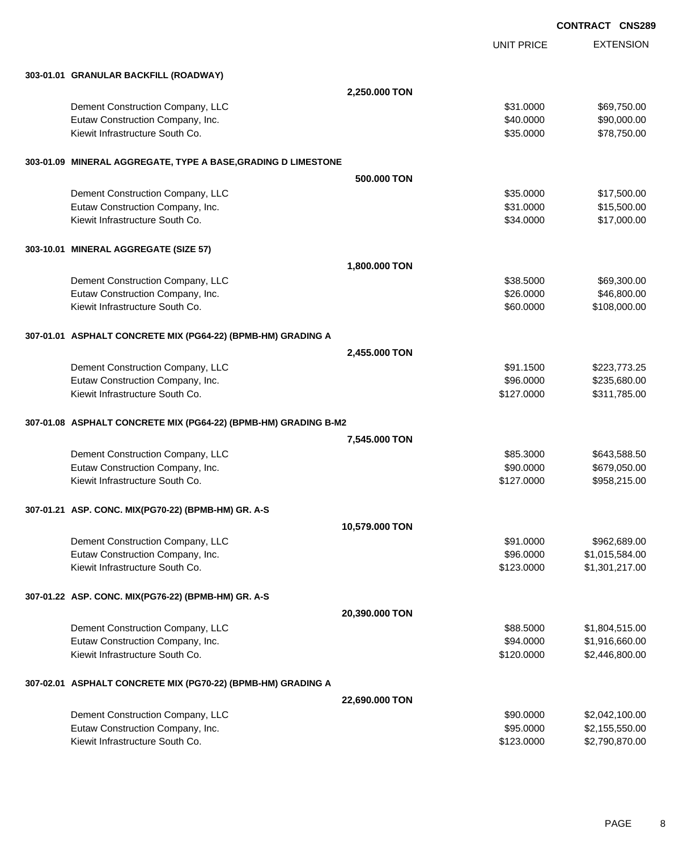|  |                                                                 |                |                   | <b>CONTRACT CNS289</b> |  |
|--|-----------------------------------------------------------------|----------------|-------------------|------------------------|--|
|  |                                                                 |                | <b>UNIT PRICE</b> | <b>EXTENSION</b>       |  |
|  | 303-01.01 GRANULAR BACKFILL (ROADWAY)                           |                |                   |                        |  |
|  |                                                                 | 2,250.000 TON  |                   |                        |  |
|  | Dement Construction Company, LLC                                |                | \$31.0000         | \$69,750.00            |  |
|  | Eutaw Construction Company, Inc.                                |                | \$40.0000         | \$90,000.00            |  |
|  | Kiewit Infrastructure South Co.                                 |                | \$35.0000         | \$78,750.00            |  |
|  | 303-01.09 MINERAL AGGREGATE, TYPE A BASE,GRADING D LIMESTONE    |                |                   |                        |  |
|  |                                                                 | 500.000 TON    |                   |                        |  |
|  | Dement Construction Company, LLC                                |                | \$35.0000         | \$17,500.00            |  |
|  | Eutaw Construction Company, Inc.                                |                | \$31.0000         | \$15,500.00            |  |
|  | Kiewit Infrastructure South Co.                                 |                | \$34.0000         | \$17,000.00            |  |
|  | 303-10.01 MINERAL AGGREGATE (SIZE 57)                           |                |                   |                        |  |
|  |                                                                 | 1,800.000 TON  |                   |                        |  |
|  | Dement Construction Company, LLC                                |                | \$38.5000         | \$69,300.00            |  |
|  | Eutaw Construction Company, Inc.                                |                | \$26.0000         | \$46,800.00            |  |
|  | Kiewit Infrastructure South Co.                                 |                | \$60.0000         | \$108,000.00           |  |
|  | 307-01.01 ASPHALT CONCRETE MIX (PG64-22) (BPMB-HM) GRADING A    |                |                   |                        |  |
|  |                                                                 | 2,455.000 TON  |                   |                        |  |
|  | Dement Construction Company, LLC                                |                | \$91.1500         | \$223,773.25           |  |
|  | Eutaw Construction Company, Inc.                                |                | \$96.0000         | \$235,680.00           |  |
|  | Kiewit Infrastructure South Co.                                 |                | \$127.0000        | \$311,785.00           |  |
|  | 307-01.08 ASPHALT CONCRETE MIX (PG64-22) (BPMB-HM) GRADING B-M2 |                |                   |                        |  |
|  |                                                                 | 7,545.000 TON  |                   |                        |  |
|  | Dement Construction Company, LLC                                |                | \$85.3000         | \$643,588.50           |  |
|  | Eutaw Construction Company, Inc.                                |                | \$90.0000         | \$679,050.00           |  |
|  | Kiewit Infrastructure South Co.                                 |                | \$127.0000        | \$958,215.00           |  |
|  | 307-01.21 ASP. CONC. MIX(PG70-22) (BPMB-HM) GR. A-S             |                |                   |                        |  |
|  |                                                                 | 10,579.000 TON |                   |                        |  |
|  | Dement Construction Company, LLC                                |                | \$91.0000         | \$962,689.00           |  |
|  | Eutaw Construction Company, Inc.                                |                | \$96.0000         | \$1,015,584.00         |  |
|  | Kiewit Infrastructure South Co.                                 |                | \$123.0000        | \$1,301,217.00         |  |
|  | 307-01.22 ASP. CONC. MIX(PG76-22) (BPMB-HM) GR. A-S             |                |                   |                        |  |
|  |                                                                 | 20,390.000 TON |                   |                        |  |
|  | Dement Construction Company, LLC                                |                | \$88.5000         | \$1,804,515.00         |  |
|  | Eutaw Construction Company, Inc.                                |                | \$94.0000         | \$1,916,660.00         |  |
|  | Kiewit Infrastructure South Co.                                 |                | \$120.0000        | \$2,446,800.00         |  |
|  | 307-02.01   ASPHALT CONCRETE MIX (PG70-22) (BPMB-HM) GRADING A  |                |                   |                        |  |
|  |                                                                 | 22,690.000 TON |                   |                        |  |
|  | Dement Construction Company, LLC                                |                | \$90.0000         | \$2,042,100.00         |  |
|  | Eutaw Construction Company, Inc.                                |                | \$95.0000         | \$2,155,550.00         |  |
|  | Kiewit Infrastructure South Co.                                 |                | \$123.0000        | \$2,790,870.00         |  |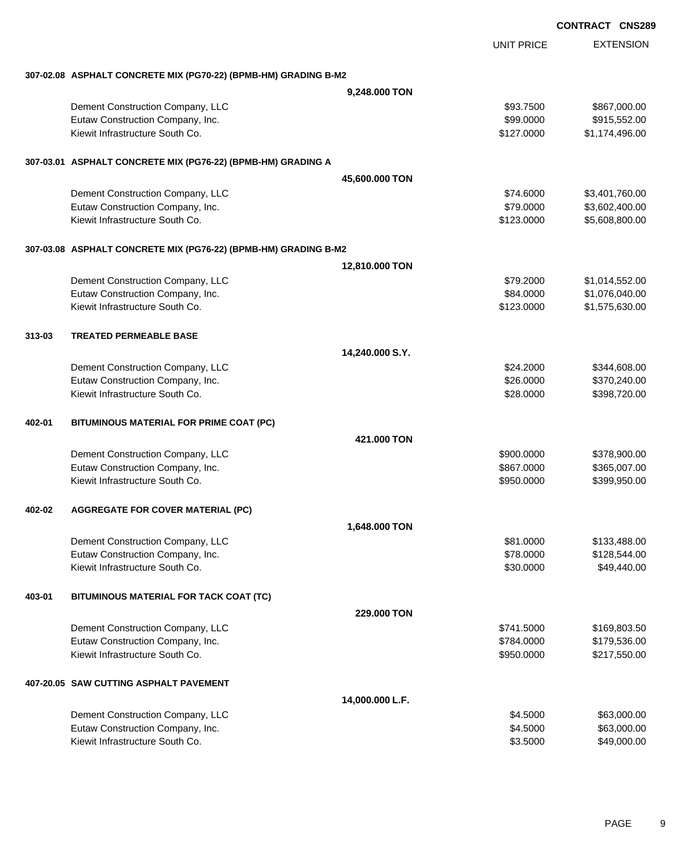EXTENSION **CONTRACT CNS289** UNIT PRICE **307-02.08 ASPHALT CONCRETE MIX (PG70-22) (BPMB-HM) GRADING B-M2 9,248.000 TON** Dement Construction Company, LLC 6000000 \$867,000.00 Eutaw Construction Company, Inc. 6. The Construction Company, Inc. 6. The Construction Company, Inc. 6. The Construction Company, Inc. 6. The Construction Company, Inc. 6. The Construction Company, Inc. 6. The Construction Kiewit Infrastructure South Co. **61.174,496.00** \$1,174,496.00 **307-03.01 ASPHALT CONCRETE MIX (PG76-22) (BPMB-HM) GRADING A 45,600.000 TON** Dement Construction Company, LLC 6 and the state of the state of the state of the state of the state of the state of the state of the state of the state of the state of the state of the state of the state of the state of t Eutaw Construction Company, Inc. 6. The Construction Company, Inc. 6. The Construction Company, Inc. 6. The Construction Company, Inc. 6. The Construction Company, Inc. 6. The Construction Company, Inc. 6. The Construction Kiewit Infrastructure South Co. **6. 123.0000** \$5,608,800.00 **307-03.08 ASPHALT CONCRETE MIX (PG76-22) (BPMB-HM) GRADING B-M2 12,810.000 TON** Dement Construction Company, LLC 6 and the state of the state of the state of the state of the state of the state of the state of the state of the state of the state of the state of the state of the state of the state of t Eutaw Construction Company, Inc. 6. The Construction Company, Inc. 6. The Construction Company, Inc. 6. The Construction Company, Inc. 6. The Construction Company, Inc. 6. The Construction Company, Inc. 6. The Construction Kiewit Infrastructure South Co. **6123.000 \$1,575,630.00** \$1,575,630.00 **313-03 TREATED PERMEABLE BASE 14,240.000 S.Y.** Dement Construction Company, LLC **but a set of the set of the set of the set of the set of the set of the set of the set of the set of the set of the set of the set of the set of the set of the set of the set of the set of** Eutaw Construction Company, Inc. 6. The Construction Company, Inc. 6. The Construction Company, Inc. 6. The Construction Company, Inc. 6. The Construction Company, Inc. 6. The Construction Company, Inc. 6. The Construction Kiewit Infrastructure South Co. **\$28.000 \$398,720.00** \$398,720.00 **402-01 BITUMINOUS MATERIAL FOR PRIME COAT (PC) 421.000 TON** Dement Construction Company, LLC 600000 \$378,900.000 \$378,900.000 \$378,900.000 \$378,900.00 Eutaw Construction Company, Inc. 6. The Construction Company, Inc. 6. The Construction Company, Inc. 6. The Construction Company, Inc. 6. The Construction Company, Inc. 6. The Construction Company, Inc. 6. The Construction Kiewit Infrastructure South Co. **6. 2008** 6.000 \$399,950.000 \$399,950.000 \$399,950.000 \$399,950.00 **402-02 AGGREGATE FOR COVER MATERIAL (PC) 1,648.000 TON** Dement Construction Company, LLC **but a structure of the structure of the San Australia** Structure \$133,488.00 Eutaw Construction Company, Inc. 6. The Construction Company, Inc. 6. The Construction Company, Inc. 6. The Construction Company, Inc. 6. The Construction Company, Inc. 6. The Construction Company, Inc. 6. The Construction Kiewit Infrastructure South Co. **\$49,440.00** \$49,440.00 **403-01 BITUMINOUS MATERIAL FOR TACK COAT (TC) 229.000 TON** Dement Construction Company, LLC **but a structure of the structure of the S**741.5000 \$169,803.50 Eutaw Construction Company, Inc. 6. The Construction Company, Inc. 6. The Construction Company, Inc. 6. The Construction Company, Inc. 6. The Construction Company, Inc. 6. The Construction Company, Inc. 6. The Construction Kiewit Infrastructure South Co. **\$217,550.000 \$217,550.00** \$217,550.00 **407-20.05 SAW CUTTING ASPHALT PAVEMENT 14,000.000 L.F.** Dement Construction Company, LLC 663,000.00 \$63,000.00 Eutaw Construction Company, Inc. 663,000,000 \$63,000,000 \$63,000,000 \$63,000,000 \$63,000,00

Kiewit Infrastructure South Co. **\$49,000.00** \$49,000.00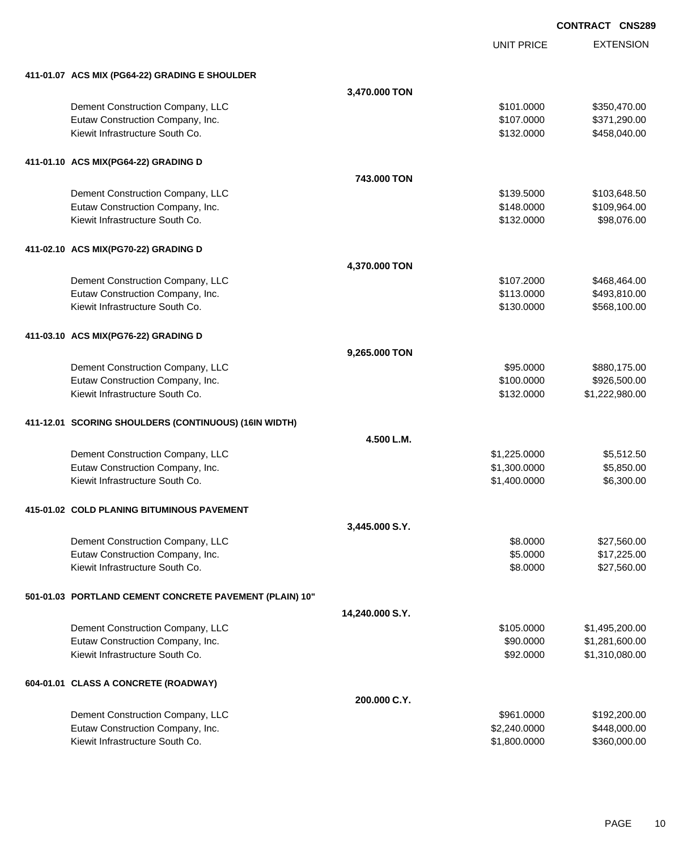UNIT PRICE

| 411-01.07 ACS MIX (PG64-22) GRADING E SHOULDER          |                 |              |                |
|---------------------------------------------------------|-----------------|--------------|----------------|
|                                                         | 3,470.000 TON   |              |                |
| Dement Construction Company, LLC                        |                 | \$101.0000   | \$350,470.00   |
| Eutaw Construction Company, Inc.                        |                 | \$107.0000   | \$371,290.00   |
| Kiewit Infrastructure South Co.                         |                 | \$132.0000   | \$458,040.00   |
| 411-01.10 ACS MIX(PG64-22) GRADING D                    |                 |              |                |
|                                                         | 743,000 TON     |              |                |
| Dement Construction Company, LLC                        |                 | \$139.5000   | \$103,648.50   |
| Eutaw Construction Company, Inc.                        |                 | \$148.0000   | \$109,964.00   |
| Kiewit Infrastructure South Co.                         |                 | \$132.0000   | \$98,076.00    |
| 411-02.10 ACS MIX(PG70-22) GRADING D                    |                 |              |                |
|                                                         | 4,370.000 TON   |              |                |
| Dement Construction Company, LLC                        |                 | \$107.2000   | \$468,464.00   |
| Eutaw Construction Company, Inc.                        |                 | \$113.0000   | \$493,810.00   |
| Kiewit Infrastructure South Co.                         |                 | \$130.0000   | \$568,100.00   |
| 411-03.10 ACS MIX(PG76-22) GRADING D                    |                 |              |                |
|                                                         | 9,265.000 TON   |              |                |
| Dement Construction Company, LLC                        |                 | \$95.0000    | \$880,175.00   |
| Eutaw Construction Company, Inc.                        |                 | \$100.0000   | \$926,500.00   |
| Kiewit Infrastructure South Co.                         |                 | \$132.0000   | \$1,222,980.00 |
| 411-12.01 SCORING SHOULDERS (CONTINUOUS) (16IN WIDTH)   |                 |              |                |
|                                                         | 4.500 L.M.      |              |                |
| Dement Construction Company, LLC                        |                 | \$1,225.0000 | \$5,512.50     |
| Eutaw Construction Company, Inc.                        |                 | \$1,300.0000 | \$5,850.00     |
| Kiewit Infrastructure South Co.                         |                 | \$1,400.0000 | \$6,300.00     |
| 415-01.02 COLD PLANING BITUMINOUS PAVEMENT              |                 |              |                |
|                                                         | 3,445.000 S.Y.  |              |                |
| Dement Construction Company, LLC                        |                 | \$8.0000     | \$27,560.00    |
| Eutaw Construction Company, Inc.                        |                 | \$5.0000     | \$17,225.00    |
| Kiewit Infrastructure South Co.                         |                 | \$8.0000     | \$27,560.00    |
| 501-01.03 PORTLAND CEMENT CONCRETE PAVEMENT (PLAIN) 10" |                 |              |                |
|                                                         | 14,240.000 S.Y. |              |                |
| Dement Construction Company, LLC                        |                 | \$105.0000   | \$1,495,200.00 |
| Eutaw Construction Company, Inc.                        |                 | \$90.0000    | \$1,281,600.00 |
| Kiewit Infrastructure South Co.                         |                 | \$92.0000    | \$1,310,080.00 |
| 604-01.01 CLASS A CONCRETE (ROADWAY)                    |                 |              |                |
|                                                         | 200.000 C.Y.    |              |                |
| Dement Construction Company, LLC                        |                 | \$961.0000   | \$192,200.00   |
| Eutaw Construction Company, Inc.                        |                 | \$2,240.0000 | \$448,000.00   |
| Kiewit Infrastructure South Co.                         |                 | \$1,800.0000 | \$360,000.00   |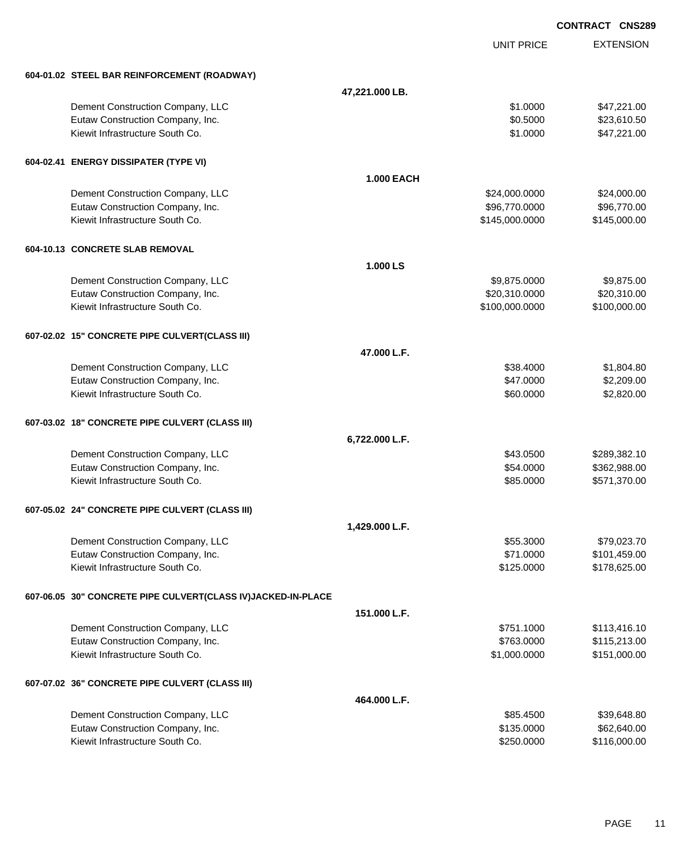|                                                              |                   |                   | <b>CONTRACT CNS289</b> |
|--------------------------------------------------------------|-------------------|-------------------|------------------------|
|                                                              |                   | <b>UNIT PRICE</b> | <b>EXTENSION</b>       |
| 604-01.02 STEEL BAR REINFORCEMENT (ROADWAY)                  |                   |                   |                        |
|                                                              | 47,221.000 LB.    |                   |                        |
| Dement Construction Company, LLC                             |                   | \$1.0000          | \$47,221.00            |
| Eutaw Construction Company, Inc.                             |                   | \$0.5000          | \$23,610.50            |
| Kiewit Infrastructure South Co.                              |                   | \$1.0000          | \$47,221.00            |
| 604-02.41 ENERGY DISSIPATER (TYPE VI)                        |                   |                   |                        |
|                                                              | <b>1.000 EACH</b> |                   |                        |
| Dement Construction Company, LLC                             |                   | \$24,000.0000     | \$24,000.00            |
| Eutaw Construction Company, Inc.                             |                   | \$96,770.0000     | \$96,770.00            |
| Kiewit Infrastructure South Co.                              |                   | \$145,000.0000    | \$145,000.00           |
| 604-10.13 CONCRETE SLAB REMOVAL                              |                   |                   |                        |
|                                                              | 1.000 LS          |                   |                        |
| Dement Construction Company, LLC                             |                   | \$9,875.0000      | \$9,875.00             |
| Eutaw Construction Company, Inc.                             |                   | \$20,310.0000     | \$20,310.00            |
| Kiewit Infrastructure South Co.                              |                   | \$100,000.0000    | \$100,000.00           |
| 607-02.02 15" CONCRETE PIPE CULVERT(CLASS III)               |                   |                   |                        |
|                                                              | 47.000 L.F.       |                   |                        |
| Dement Construction Company, LLC                             |                   | \$38.4000         | \$1,804.80             |
| Eutaw Construction Company, Inc.                             |                   | \$47.0000         | \$2,209.00             |
| Kiewit Infrastructure South Co.                              |                   | \$60.0000         | \$2,820.00             |
| 607-03.02 18" CONCRETE PIPE CULVERT (CLASS III)              |                   |                   |                        |
|                                                              | 6,722.000 L.F.    |                   |                        |
| Dement Construction Company, LLC                             |                   | \$43.0500         | \$289,382.10           |
| Eutaw Construction Company, Inc.                             |                   | \$54.0000         | \$362,988.00           |
| Kiewit Infrastructure South Co.                              |                   | \$85.0000         | \$571,370.00           |
| 607-05.02 24" CONCRETE PIPE CULVERT (CLASS III)              |                   |                   |                        |
|                                                              | 1,429.000 L.F.    |                   |                        |
| Dement Construction Company, LLC                             |                   | \$55.3000         | \$79,023.70            |
| Eutaw Construction Company, Inc.                             |                   | \$71.0000         | \$101,459.00           |
| Kiewit Infrastructure South Co.                              |                   | \$125.0000        | \$178,625.00           |
| 607-06.05 30" CONCRETE PIPE CULVERT(CLASS IV)JACKED-IN-PLACE |                   |                   |                        |
|                                                              | 151.000 L.F.      |                   |                        |
| Dement Construction Company, LLC                             |                   | \$751.1000        | \$113,416.10           |
| Eutaw Construction Company, Inc.                             |                   | \$763.0000        | \$115,213.00           |
| Kiewit Infrastructure South Co.                              |                   | \$1,000.0000      | \$151,000.00           |
| 607-07.02 36" CONCRETE PIPE CULVERT (CLASS III)              |                   |                   |                        |
|                                                              | 464.000 L.F.      |                   |                        |
| Dement Construction Company, LLC                             |                   | \$85.4500         | \$39,648.80            |
| Eutaw Construction Company, Inc.                             |                   | \$135.0000        | \$62,640.00            |
| Kiewit Infrastructure South Co.                              |                   | \$250.0000        | \$116,000.00           |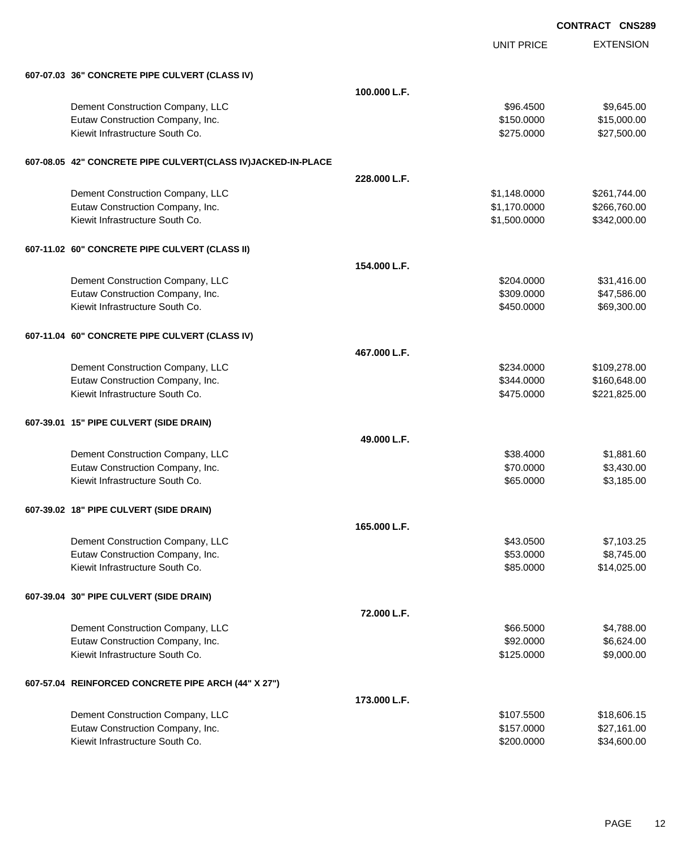UNIT PRICE EXTENSION

| 607-07.03 36" CONCRETE PIPE CULVERT (CLASS IV) |  |
|------------------------------------------------|--|

| 607-07.03 36" CONCRETE PIPE CULVERT (CLASS IV)                      |              |              |                              |
|---------------------------------------------------------------------|--------------|--------------|------------------------------|
|                                                                     | 100.000 L.F. |              |                              |
| Dement Construction Company, LLC                                    |              | \$96.4500    | \$9,645.00                   |
| Eutaw Construction Company, Inc.                                    |              | \$150.0000   | \$15,000.00                  |
| Kiewit Infrastructure South Co.                                     |              | \$275.0000   | \$27,500.00                  |
|                                                                     |              |              |                              |
| 607-08.05 42" CONCRETE PIPE CULVERT(CLASS IV)JACKED-IN-PLACE        |              |              |                              |
|                                                                     | 228.000 L.F. |              |                              |
| Dement Construction Company, LLC                                    |              | \$1,148.0000 | \$261,744.00                 |
| Eutaw Construction Company, Inc.<br>Kiewit Infrastructure South Co. |              | \$1,170.0000 | \$266,760.00<br>\$342,000.00 |
|                                                                     |              | \$1,500.0000 |                              |
| 607-11.02 60" CONCRETE PIPE CULVERT (CLASS II)                      |              |              |                              |
|                                                                     | 154.000 L.F. |              |                              |
| Dement Construction Company, LLC                                    |              | \$204.0000   | \$31,416.00                  |
| Eutaw Construction Company, Inc.                                    |              | \$309.0000   | \$47,586.00                  |
| Kiewit Infrastructure South Co.                                     |              | \$450.0000   | \$69,300.00                  |
| 607-11.04 60" CONCRETE PIPE CULVERT (CLASS IV)                      |              |              |                              |
|                                                                     | 467.000 L.F. |              |                              |
| Dement Construction Company, LLC                                    |              | \$234.0000   | \$109,278.00                 |
| Eutaw Construction Company, Inc.                                    |              | \$344.0000   | \$160,648.00                 |
| Kiewit Infrastructure South Co.                                     |              | \$475.0000   | \$221,825.00                 |
| 607-39.01 15" PIPE CULVERT (SIDE DRAIN)                             |              |              |                              |
|                                                                     | 49.000 L.F.  |              |                              |
| Dement Construction Company, LLC                                    |              | \$38.4000    | \$1,881.60                   |
| Eutaw Construction Company, Inc.                                    |              | \$70.0000    | \$3,430.00                   |
| Kiewit Infrastructure South Co.                                     |              | \$65.0000    | \$3,185.00                   |
| 607-39.02 18" PIPE CULVERT (SIDE DRAIN)                             |              |              |                              |
|                                                                     | 165.000 L.F. |              |                              |
| Dement Construction Company, LLC                                    |              | \$43.0500    | \$7,103.25                   |
| Eutaw Construction Company, Inc.                                    |              | \$53.0000    | \$8,745.00                   |
| Kiewit Infrastructure South Co.                                     |              | \$85.0000    | \$14,025.00                  |
| 607-39.04 30" PIPE CULVERT (SIDE DRAIN)                             |              |              |                              |
|                                                                     | 72.000 L.F.  |              |                              |
| Dement Construction Company, LLC                                    |              | \$66.5000    | \$4,788.00                   |
| Eutaw Construction Company, Inc.                                    |              | \$92.0000    | \$6,624.00                   |
| Kiewit Infrastructure South Co.                                     |              | \$125.0000   | \$9,000.00                   |
| 607-57.04 REINFORCED CONCRETE PIPE ARCH (44" X 27")                 |              |              |                              |
|                                                                     | 173.000 L.F. |              |                              |
| Dement Construction Company, LLC                                    |              | \$107.5500   | \$18,606.15                  |
| Eutaw Construction Company, Inc.                                    |              | \$157.0000   | \$27,161.00                  |
| Kiewit Infrastructure South Co.                                     |              | \$200.0000   | \$34,600.00                  |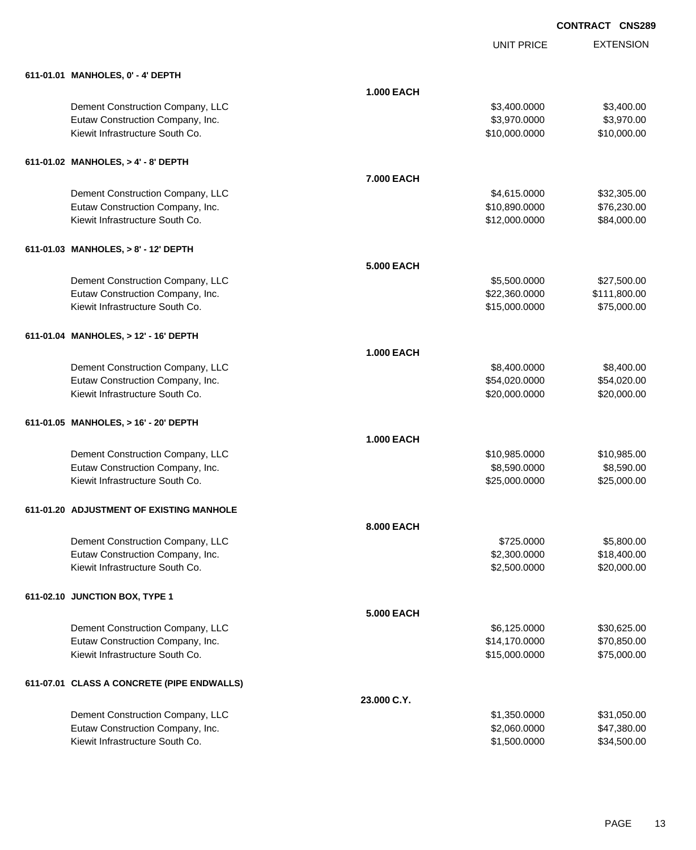|                                            |                   | <b>UNIT PRICE</b> | <b>EXTENSION</b> |
|--------------------------------------------|-------------------|-------------------|------------------|
| 611-01.01 MANHOLES, 0' - 4' DEPTH          |                   |                   |                  |
|                                            | <b>1.000 EACH</b> |                   |                  |
| Dement Construction Company, LLC           |                   | \$3,400.0000      | \$3,400.00       |
| Eutaw Construction Company, Inc.           |                   | \$3,970.0000      | \$3,970.00       |
| Kiewit Infrastructure South Co.            |                   | \$10,000.0000     | \$10,000.00      |
| 611-01.02 MANHOLES, > 4' - 8' DEPTH        |                   |                   |                  |
|                                            | 7.000 EACH        |                   |                  |
| Dement Construction Company, LLC           |                   | \$4,615.0000      | \$32,305.00      |
| Eutaw Construction Company, Inc.           |                   | \$10,890.0000     | \$76,230.00      |
| Kiewit Infrastructure South Co.            |                   | \$12,000.0000     | \$84,000.00      |
| 611-01.03 MANHOLES, > 8' - 12' DEPTH       |                   |                   |                  |
|                                            | 5.000 EACH        |                   |                  |
| Dement Construction Company, LLC           |                   | \$5,500.0000      | \$27,500.00      |
| Eutaw Construction Company, Inc.           |                   | \$22,360.0000     | \$111,800.00     |
| Kiewit Infrastructure South Co.            |                   | \$15,000.0000     | \$75,000.00      |
| 611-01.04 MANHOLES, > 12' - 16' DEPTH      |                   |                   |                  |
|                                            | <b>1.000 EACH</b> |                   |                  |
| Dement Construction Company, LLC           |                   | \$8,400.0000      | \$8,400.00       |
| Eutaw Construction Company, Inc.           |                   | \$54,020.0000     | \$54,020.00      |
| Kiewit Infrastructure South Co.            |                   | \$20,000.0000     | \$20,000.00      |
| 611-01.05 MANHOLES, > 16' - 20' DEPTH      |                   |                   |                  |
|                                            | <b>1.000 EACH</b> |                   |                  |
| Dement Construction Company, LLC           |                   | \$10,985.0000     | \$10,985.00      |
| Eutaw Construction Company, Inc.           |                   | \$8,590.0000      | \$8,590.00       |
| Kiewit Infrastructure South Co.            |                   | \$25,000.0000     | \$25,000.00      |
| 611-01.20 ADJUSTMENT OF EXISTING MANHOLE   |                   |                   |                  |
|                                            | 8,000 EACH        |                   |                  |
| Dement Construction Company, LLC           |                   | \$725.0000        | \$5,800.00       |
| Eutaw Construction Company, Inc.           |                   | \$2,300.0000      | \$18,400.00      |
| Kiewit Infrastructure South Co.            |                   | \$2,500.0000      | \$20,000.00      |
| 611-02.10 JUNCTION BOX, TYPE 1             |                   |                   |                  |
|                                            | 5.000 EACH        |                   |                  |
| Dement Construction Company, LLC           |                   | \$6,125.0000      | \$30,625.00      |
| Eutaw Construction Company, Inc.           |                   | \$14,170.0000     | \$70,850.00      |
| Kiewit Infrastructure South Co.            |                   | \$15,000.0000     | \$75,000.00      |
| 611-07.01 CLASS A CONCRETE (PIPE ENDWALLS) |                   |                   |                  |
|                                            | 23.000 C.Y.       |                   |                  |
| Dement Construction Company, LLC           |                   | \$1,350.0000      | \$31,050.00      |
| Eutaw Construction Company, Inc.           |                   | \$2,060.0000      | \$47,380.00      |
| Kiewit Infrastructure South Co.            |                   | \$1,500.0000      | \$34,500.00      |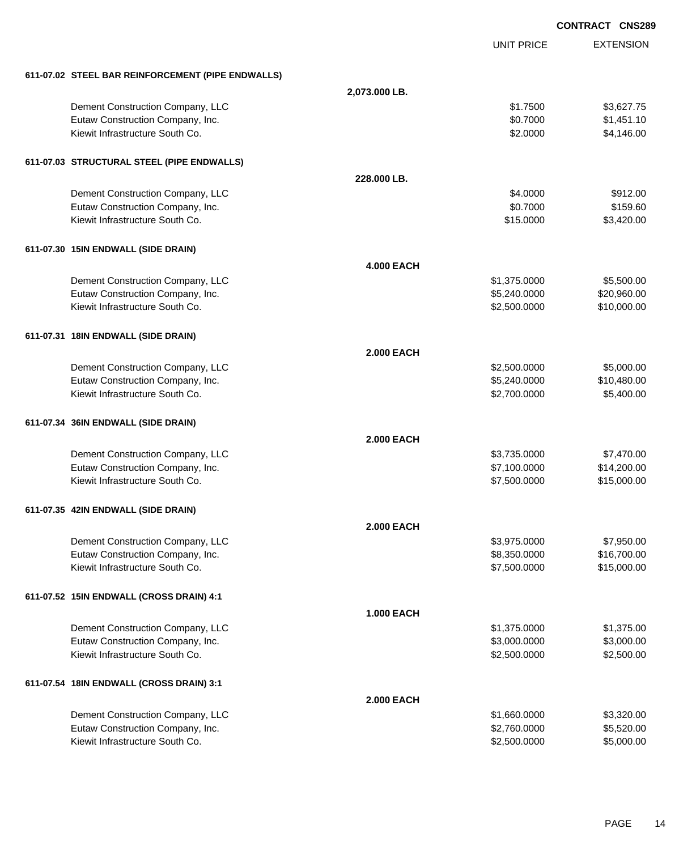|                                                   |                   |                   | <b>CONTRACT CNS289</b> |
|---------------------------------------------------|-------------------|-------------------|------------------------|
|                                                   |                   | <b>UNIT PRICE</b> | <b>EXTENSION</b>       |
| 611-07.02 STEEL BAR REINFORCEMENT (PIPE ENDWALLS) |                   |                   |                        |
|                                                   | 2,073.000 LB.     |                   |                        |
| Dement Construction Company, LLC                  |                   | \$1.7500          | \$3,627.75             |
| Eutaw Construction Company, Inc.                  |                   | \$0.7000          | \$1,451.10             |
| Kiewit Infrastructure South Co.                   |                   | \$2.0000          | \$4,146.00             |
| 611-07.03 STRUCTURAL STEEL (PIPE ENDWALLS)        |                   |                   |                        |
|                                                   | 228,000 LB.       |                   |                        |
| Dement Construction Company, LLC                  |                   | \$4.0000          | \$912.00               |
| Eutaw Construction Company, Inc.                  |                   | \$0.7000          | \$159.60               |
| Kiewit Infrastructure South Co.                   |                   | \$15.0000         | \$3,420.00             |
| 611-07.30 15IN ENDWALL (SIDE DRAIN)               |                   |                   |                        |
|                                                   | <b>4.000 EACH</b> |                   |                        |
| Dement Construction Company, LLC                  |                   | \$1,375.0000      | \$5,500.00             |
| Eutaw Construction Company, Inc.                  |                   | \$5,240.0000      | \$20,960.00            |
| Kiewit Infrastructure South Co.                   |                   | \$2,500.0000      | \$10,000.00            |
| 611-07.31 18IN ENDWALL (SIDE DRAIN)               |                   |                   |                        |
|                                                   | <b>2.000 EACH</b> |                   |                        |
| Dement Construction Company, LLC                  |                   | \$2,500.0000      | \$5,000.00             |
| Eutaw Construction Company, Inc.                  |                   | \$5,240.0000      | \$10,480.00            |
| Kiewit Infrastructure South Co.                   |                   | \$2,700.0000      | \$5,400.00             |
| 611-07.34 36IN ENDWALL (SIDE DRAIN)               |                   |                   |                        |
|                                                   | <b>2.000 EACH</b> |                   |                        |
| Dement Construction Company, LLC                  |                   | \$3,735.0000      | \$7,470.00             |
| Eutaw Construction Company, Inc.                  |                   | \$7,100.0000      | \$14,200.00            |
| Kiewit Infrastructure South Co.                   |                   | \$7,500.0000      | \$15,000.00            |
| 611-07.35 42IN ENDWALL (SIDE DRAIN)               |                   |                   |                        |
|                                                   | <b>2.000 EACH</b> |                   |                        |
| Dement Construction Company, LLC                  |                   | \$3,975.0000      | \$7,950.00             |
| Eutaw Construction Company, Inc.                  |                   | \$8,350.0000      | \$16,700.00            |
| Kiewit Infrastructure South Co.                   |                   | \$7,500.0000      | \$15,000.00            |
| 611-07.52 15IN ENDWALL (CROSS DRAIN) 4:1          |                   |                   |                        |
|                                                   | <b>1.000 EACH</b> |                   |                        |
| Dement Construction Company, LLC                  |                   | \$1,375.0000      | \$1,375.00             |
| Eutaw Construction Company, Inc.                  |                   | \$3,000.0000      | \$3,000.00             |
| Kiewit Infrastructure South Co.                   |                   | \$2,500.0000      | \$2,500.00             |
| 611-07.54 18IN ENDWALL (CROSS DRAIN) 3:1          |                   |                   |                        |
|                                                   | <b>2.000 EACH</b> |                   |                        |
| Dement Construction Company, LLC                  |                   | \$1,660.0000      | \$3,320.00             |
| Eutaw Construction Company, Inc.                  |                   | \$2,760.0000      | \$5,520.00             |
| Kiewit Infrastructure South Co.                   |                   | \$2,500.0000      | \$5,000.00             |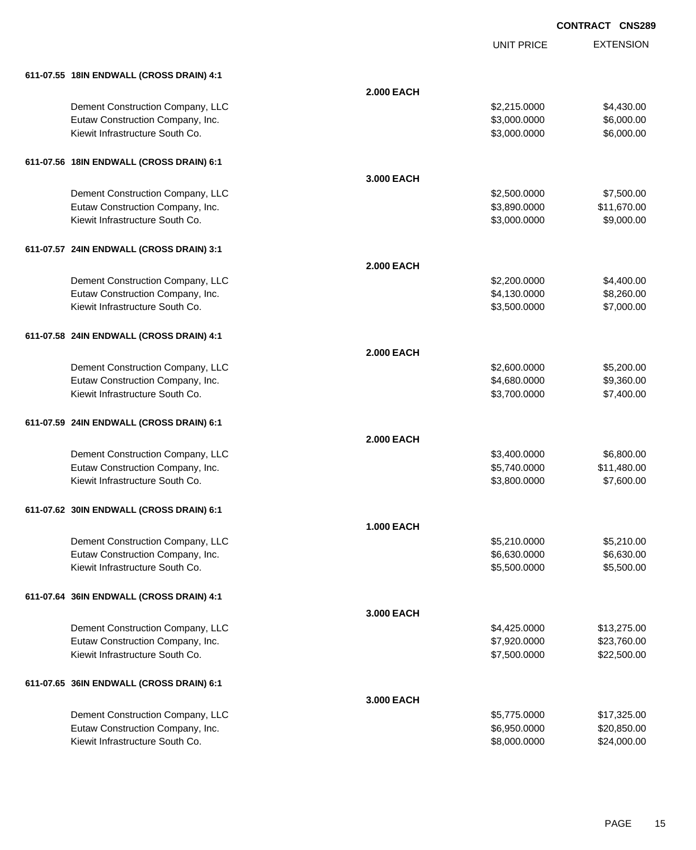|                                          |                   | <b>UNIT PRICE</b> | <b>EXTENSION</b> |
|------------------------------------------|-------------------|-------------------|------------------|
| 611-07.55 18IN ENDWALL (CROSS DRAIN) 4:1 |                   |                   |                  |
|                                          | <b>2.000 EACH</b> |                   |                  |
| Dement Construction Company, LLC         |                   | \$2,215.0000      | \$4,430.00       |
| Eutaw Construction Company, Inc.         |                   | \$3,000.0000      | \$6,000.00       |
| Kiewit Infrastructure South Co.          |                   | \$3,000.0000      | \$6,000.00       |
| 611-07.56 18IN ENDWALL (CROSS DRAIN) 6:1 |                   |                   |                  |
|                                          | 3.000 EACH        |                   |                  |
| Dement Construction Company, LLC         |                   | \$2,500.0000      | \$7,500.00       |
| Eutaw Construction Company, Inc.         |                   | \$3,890.0000      | \$11,670.00      |
| Kiewit Infrastructure South Co.          |                   | \$3,000.0000      | \$9,000.00       |
| 611-07.57 24IN ENDWALL (CROSS DRAIN) 3:1 |                   |                   |                  |
|                                          | <b>2.000 EACH</b> |                   |                  |
| Dement Construction Company, LLC         |                   | \$2,200.0000      | \$4,400.00       |
| Eutaw Construction Company, Inc.         |                   | \$4,130.0000      | \$8,260.00       |
| Kiewit Infrastructure South Co.          |                   | \$3,500.0000      | \$7,000.00       |
| 611-07.58 24IN ENDWALL (CROSS DRAIN) 4:1 |                   |                   |                  |
|                                          | <b>2.000 EACH</b> |                   |                  |
| Dement Construction Company, LLC         |                   | \$2,600.0000      | \$5,200.00       |
| Eutaw Construction Company, Inc.         |                   | \$4,680.0000      | \$9,360.00       |
| Kiewit Infrastructure South Co.          |                   | \$3,700.0000      | \$7,400.00       |
| 611-07.59 24IN ENDWALL (CROSS DRAIN) 6:1 |                   |                   |                  |
|                                          | <b>2.000 EACH</b> |                   |                  |
| Dement Construction Company, LLC         |                   | \$3,400.0000      | \$6,800.00       |
| Eutaw Construction Company, Inc.         |                   | \$5,740.0000      | \$11,480.00      |
| Kiewit Infrastructure South Co.          |                   | \$3,800.0000      | \$7,600.00       |
| 611-07.62 30IN ENDWALL (CROSS DRAIN) 6:1 |                   |                   |                  |
|                                          | <b>1.000 EACH</b> |                   |                  |
| Dement Construction Company, LLC         |                   | \$5,210.0000      | \$5,210.00       |
| Eutaw Construction Company, Inc.         |                   | \$6,630.0000      | \$6,630.00       |
| Kiewit Infrastructure South Co.          |                   | \$5,500.0000      | \$5,500.00       |
| 611-07.64 36IN ENDWALL (CROSS DRAIN) 4:1 |                   |                   |                  |
|                                          | 3.000 EACH        |                   |                  |
| Dement Construction Company, LLC         |                   | \$4,425.0000      | \$13,275.00      |
| Eutaw Construction Company, Inc.         |                   | \$7,920.0000      | \$23,760.00      |
| Kiewit Infrastructure South Co.          |                   | \$7,500.0000      | \$22,500.00      |
| 611-07.65 36IN ENDWALL (CROSS DRAIN) 6:1 |                   |                   |                  |
|                                          | 3.000 EACH        |                   |                  |
| Dement Construction Company, LLC         |                   | \$5,775.0000      | \$17,325.00      |
| Eutaw Construction Company, Inc.         |                   | \$6,950.0000      | \$20,850.00      |
| Kiewit Infrastructure South Co.          |                   | \$8,000.0000      | \$24,000.00      |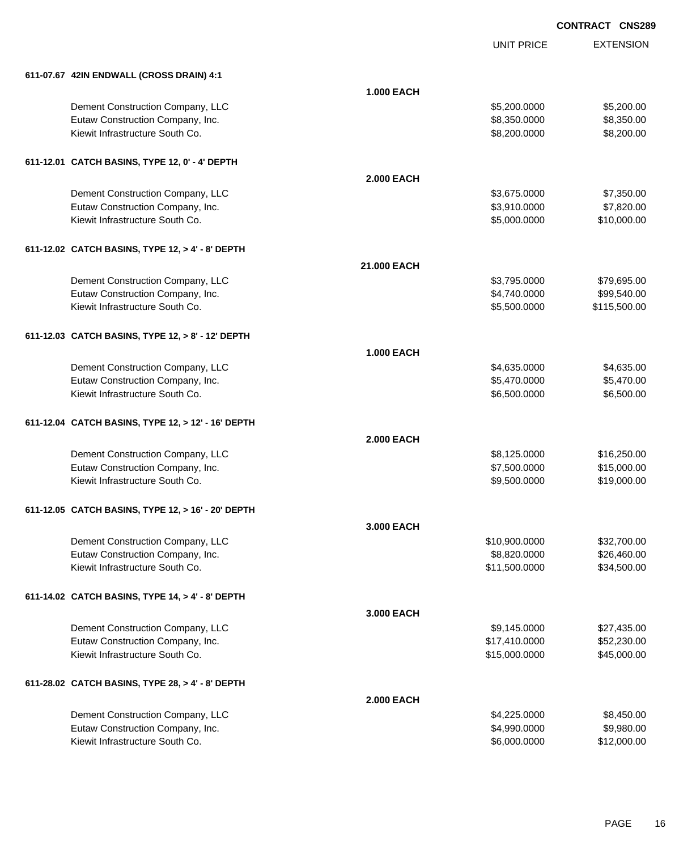|                                                    |                   | <b>UNIT PRICE</b> | <b>EXTENSION</b> |
|----------------------------------------------------|-------------------|-------------------|------------------|
| 611-07.67 42IN ENDWALL (CROSS DRAIN) 4:1           |                   |                   |                  |
|                                                    | <b>1.000 EACH</b> |                   |                  |
| Dement Construction Company, LLC                   |                   | \$5,200.0000      | \$5,200.00       |
| Eutaw Construction Company, Inc.                   |                   | \$8,350.0000      | \$8,350.00       |
| Kiewit Infrastructure South Co.                    |                   | \$8,200.0000      | \$8,200.00       |
| 611-12.01 CATCH BASINS, TYPE 12, 0' - 4' DEPTH     |                   |                   |                  |
|                                                    | <b>2.000 EACH</b> |                   |                  |
| Dement Construction Company, LLC                   |                   | \$3,675.0000      | \$7,350.00       |
| Eutaw Construction Company, Inc.                   |                   | \$3,910.0000      | \$7,820.00       |
| Kiewit Infrastructure South Co.                    |                   | \$5,000.0000      | \$10,000.00      |
| 611-12.02 CATCH BASINS, TYPE 12, > 4' - 8' DEPTH   |                   |                   |                  |
|                                                    | 21.000 EACH       |                   |                  |
| Dement Construction Company, LLC                   |                   | \$3,795.0000      | \$79,695.00      |
| Eutaw Construction Company, Inc.                   |                   | \$4,740.0000      | \$99,540.00      |
| Kiewit Infrastructure South Co.                    |                   | \$5,500.0000      | \$115,500.00     |
| 611-12.03 CATCH BASINS, TYPE 12, > 8' - 12' DEPTH  |                   |                   |                  |
|                                                    | <b>1.000 EACH</b> |                   |                  |
| Dement Construction Company, LLC                   |                   | \$4,635.0000      | \$4,635.00       |
| Eutaw Construction Company, Inc.                   |                   | \$5,470.0000      | \$5,470.00       |
| Kiewit Infrastructure South Co.                    |                   | \$6,500.0000      | \$6,500.00       |
| 611-12.04 CATCH BASINS, TYPE 12, > 12' - 16' DEPTH |                   |                   |                  |
|                                                    | <b>2.000 EACH</b> |                   |                  |
| Dement Construction Company, LLC                   |                   | \$8,125.0000      | \$16,250.00      |
| Eutaw Construction Company, Inc.                   |                   | \$7,500.0000      | \$15,000.00      |
| Kiewit Infrastructure South Co.                    |                   | \$9,500.0000      | \$19,000.00      |
| 611-12.05 CATCH BASINS, TYPE 12, > 16' - 20' DEPTH |                   |                   |                  |
|                                                    | 3.000 EACH        |                   |                  |
| Dement Construction Company, LLC                   |                   | \$10,900.0000     | \$32,700.00      |
| Eutaw Construction Company, Inc.                   |                   | \$8,820.0000      | \$26,460.00      |
| Kiewit Infrastructure South Co.                    |                   | \$11,500.0000     | \$34,500.00      |
| 611-14.02 CATCH BASINS, TYPE 14, > 4' - 8' DEPTH   |                   |                   |                  |
|                                                    | 3.000 EACH        |                   |                  |
| Dement Construction Company, LLC                   |                   | \$9,145.0000      | \$27,435.00      |
| Eutaw Construction Company, Inc.                   |                   | \$17,410.0000     | \$52,230.00      |
| Kiewit Infrastructure South Co.                    |                   | \$15,000.0000     | \$45,000.00      |
| 611-28.02 CATCH BASINS, TYPE 28, > 4' - 8' DEPTH   |                   |                   |                  |
|                                                    | <b>2.000 EACH</b> |                   |                  |
| Dement Construction Company, LLC                   |                   | \$4,225.0000      | \$8,450.00       |
| Eutaw Construction Company, Inc.                   |                   | \$4,990.0000      | \$9,980.00       |
| Kiewit Infrastructure South Co.                    |                   | \$6,000.0000      | \$12,000.00      |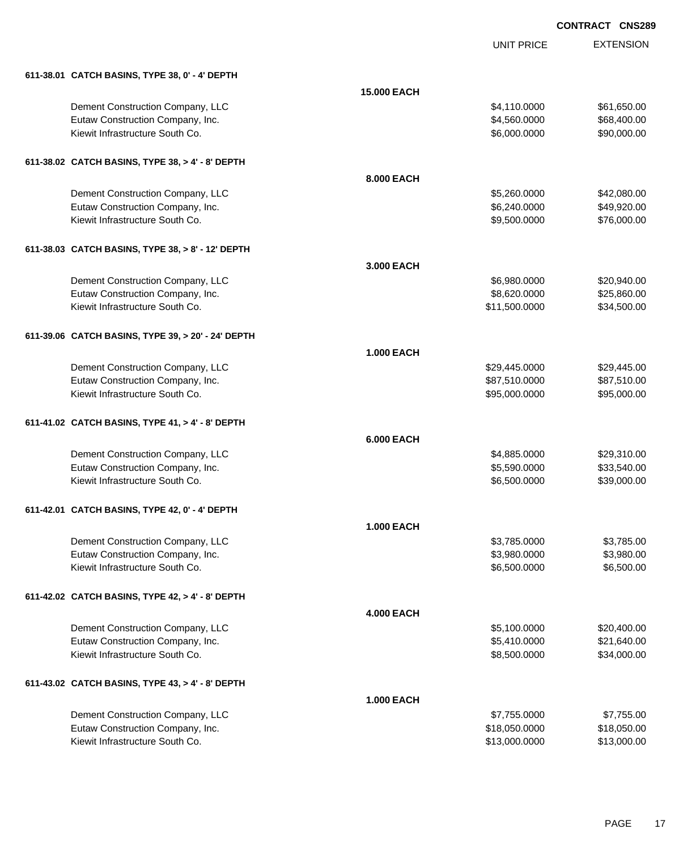UNIT PRICE EXTENSION

| 611-38.01 CATCH BASINS, TYPE 38, 0' - 4' DEPTH |  |
|------------------------------------------------|--|

| 611-38.01 CATCH BASINS, TYPE 38, 0' - 4' DEPTH     |                    |               |             |
|----------------------------------------------------|--------------------|---------------|-------------|
|                                                    | <b>15.000 EACH</b> |               |             |
| Dement Construction Company, LLC                   |                    | \$4,110.0000  | \$61,650.00 |
| Eutaw Construction Company, Inc.                   |                    | \$4,560.0000  | \$68,400.00 |
| Kiewit Infrastructure South Co.                    |                    | \$6,000.0000  | \$90,000.00 |
| 611-38.02 CATCH BASINS, TYPE 38, > 4' - 8' DEPTH   |                    |               |             |
|                                                    | 8.000 EACH         |               |             |
| Dement Construction Company, LLC                   |                    | \$5,260.0000  | \$42,080.00 |
| Eutaw Construction Company, Inc.                   |                    | \$6,240.0000  | \$49,920.00 |
| Kiewit Infrastructure South Co.                    |                    | \$9,500.0000  | \$76,000.00 |
| 611-38.03 CATCH BASINS, TYPE 38, > 8' - 12' DEPTH  |                    |               |             |
|                                                    | 3.000 EACH         |               |             |
| Dement Construction Company, LLC                   |                    | \$6,980.0000  | \$20,940.00 |
| Eutaw Construction Company, Inc.                   |                    | \$8,620.0000  | \$25,860.00 |
| Kiewit Infrastructure South Co.                    |                    | \$11,500.0000 | \$34,500.00 |
| 611-39.06 CATCH BASINS, TYPE 39, > 20' - 24' DEPTH |                    |               |             |
|                                                    | <b>1.000 EACH</b>  |               |             |
| Dement Construction Company, LLC                   |                    | \$29,445.0000 | \$29,445.00 |
| Eutaw Construction Company, Inc.                   |                    | \$87,510.0000 | \$87,510.00 |
| Kiewit Infrastructure South Co.                    |                    | \$95,000.0000 | \$95,000.00 |
| 611-41.02 CATCH BASINS, TYPE 41, > 4' - 8' DEPTH   |                    |               |             |
|                                                    | <b>6.000 EACH</b>  |               |             |
| Dement Construction Company, LLC                   |                    | \$4,885.0000  | \$29,310.00 |
| Eutaw Construction Company, Inc.                   |                    | \$5,590.0000  | \$33,540.00 |
| Kiewit Infrastructure South Co.                    |                    | \$6,500.0000  | \$39,000.00 |
| 611-42.01 CATCH BASINS, TYPE 42, 0' - 4' DEPTH     |                    |               |             |
|                                                    | <b>1.000 EACH</b>  |               |             |
| Dement Construction Company, LLC                   |                    | \$3,785.0000  | \$3,785.00  |
| Eutaw Construction Company, Inc.                   |                    | \$3,980.0000  | \$3,980.00  |
| Kiewit Infrastructure South Co.                    |                    | \$6,500.0000  | \$6,500.00  |
| 611-42.02 CATCH BASINS, TYPE 42, > 4' - 8' DEPTH   |                    |               |             |
|                                                    | <b>4.000 EACH</b>  |               |             |
| Dement Construction Company, LLC                   |                    | \$5,100.0000  | \$20,400.00 |
| Eutaw Construction Company, Inc.                   |                    | \$5,410.0000  | \$21,640.00 |
| Kiewit Infrastructure South Co.                    |                    | \$8,500.0000  | \$34,000.00 |
| 611-43.02 CATCH BASINS, TYPE 43, > 4' - 8' DEPTH   |                    |               |             |
|                                                    | <b>1.000 EACH</b>  |               |             |
| Dement Construction Company, LLC                   |                    | \$7,755.0000  | \$7,755.00  |
| Eutaw Construction Company, Inc.                   |                    | \$18,050.0000 | \$18,050.00 |
| Kiewit Infrastructure South Co.                    |                    | \$13,000.0000 | \$13,000.00 |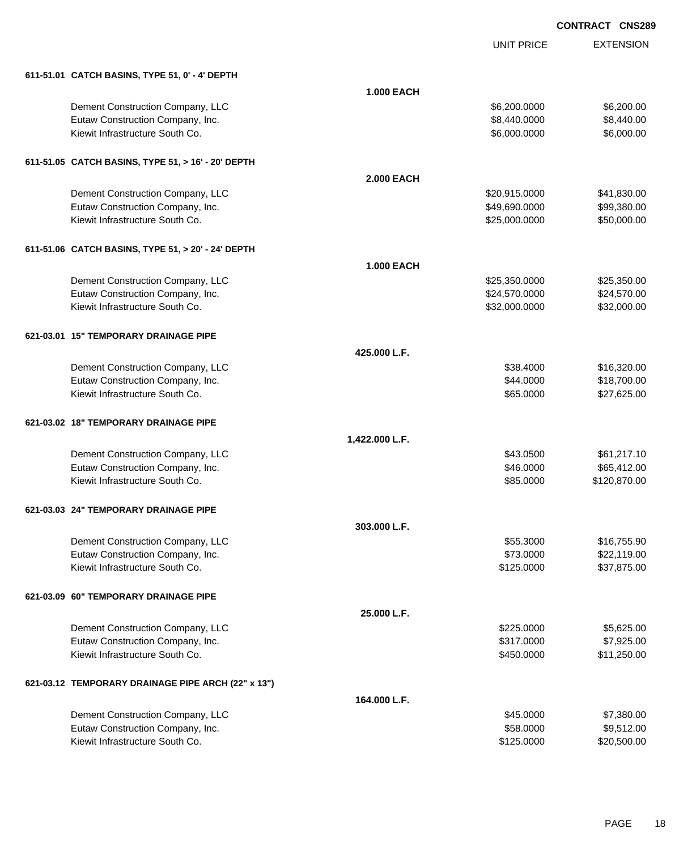|                                                    |                   | <b>UNIT PRICE</b> | <b>EXTENSION</b> |
|----------------------------------------------------|-------------------|-------------------|------------------|
| 611-51.01 CATCH BASINS, TYPE 51, 0' - 4' DEPTH     |                   |                   |                  |
|                                                    | <b>1.000 EACH</b> |                   |                  |
| Dement Construction Company, LLC                   |                   | \$6,200.0000      | \$6,200.00       |
| Eutaw Construction Company, Inc.                   |                   | \$8,440.0000      | \$8,440.00       |
| Kiewit Infrastructure South Co.                    |                   | \$6,000.0000      | \$6,000.00       |
| 611-51.05 CATCH BASINS, TYPE 51, > 16' - 20' DEPTH |                   |                   |                  |
|                                                    | <b>2.000 EACH</b> |                   |                  |
| Dement Construction Company, LLC                   |                   | \$20,915.0000     | \$41,830.00      |
| Eutaw Construction Company, Inc.                   |                   | \$49,690.0000     | \$99,380.00      |
| Kiewit Infrastructure South Co.                    |                   | \$25,000.0000     | \$50,000.00      |
| 611-51.06 CATCH BASINS, TYPE 51, > 20' - 24' DEPTH |                   |                   |                  |
|                                                    | <b>1.000 EACH</b> |                   |                  |
| Dement Construction Company, LLC                   |                   | \$25,350.0000     | \$25,350.00      |
| Eutaw Construction Company, Inc.                   |                   | \$24,570.0000     | \$24,570.00      |
| Kiewit Infrastructure South Co.                    |                   | \$32,000.0000     | \$32,000.00      |
| 621-03.01 15" TEMPORARY DRAINAGE PIPE              |                   |                   |                  |
|                                                    | 425,000 L.F.      |                   |                  |
| Dement Construction Company, LLC                   |                   | \$38.4000         | \$16,320.00      |
| Eutaw Construction Company, Inc.                   |                   | \$44.0000         | \$18,700.00      |
| Kiewit Infrastructure South Co.                    |                   | \$65.0000         | \$27,625.00      |
| 621-03.02 18" TEMPORARY DRAINAGE PIPE              |                   |                   |                  |
|                                                    | 1,422.000 L.F.    |                   |                  |
| Dement Construction Company, LLC                   |                   | \$43.0500         | \$61,217.10      |
| Eutaw Construction Company, Inc.                   |                   | \$46.0000         | \$65,412.00      |
| Kiewit Infrastructure South Co.                    |                   | \$85.0000         | \$120,870.00     |
| 621-03.03 24" TEMPORARY DRAINAGE PIPE              |                   |                   |                  |
|                                                    | 303.000 L.F.      |                   |                  |
| Dement Construction Company, LLC                   |                   | \$55.3000         | \$16,755.90      |
| Eutaw Construction Company, Inc.                   |                   | \$73.0000         | \$22,119.00      |
| Kiewit Infrastructure South Co.                    |                   | \$125.0000        | \$37,875.00      |
| 621-03.09 60" TEMPORARY DRAINAGE PIPE              |                   |                   |                  |
|                                                    | 25.000 L.F.       |                   |                  |
| Dement Construction Company, LLC                   |                   | \$225.0000        | \$5,625.00       |
| Eutaw Construction Company, Inc.                   |                   | \$317.0000        | \$7,925.00       |
| Kiewit Infrastructure South Co.                    |                   | \$450.0000        | \$11,250.00      |
| 621-03.12 TEMPORARY DRAINAGE PIPE ARCH (22" x 13") |                   |                   |                  |
|                                                    | 164.000 L.F.      |                   |                  |
| Dement Construction Company, LLC                   |                   | \$45.0000         | \$7,380.00       |
| Eutaw Construction Company, Inc.                   |                   | \$58.0000         | \$9,512.00       |
| Kiewit Infrastructure South Co.                    |                   | \$125.0000        | \$20,500.00      |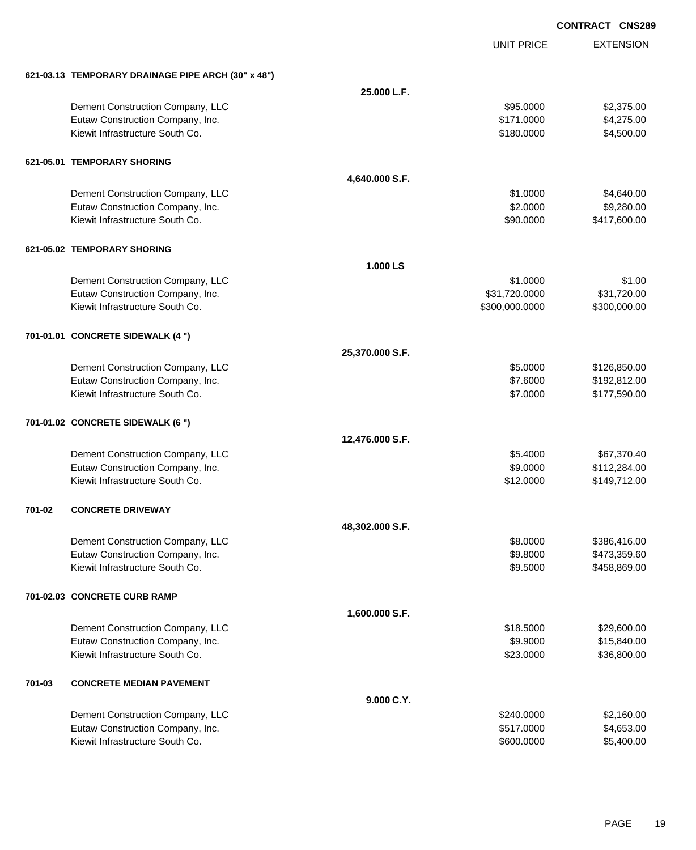EXTENSION **CONTRACT CNS289** UNIT PRICE **621-03.13 TEMPORARY DRAINAGE PIPE ARCH (30" x 48") 25.000 L.F.** Dement Construction Company, LLC 6 and the state of the state of the state of the state of the state of the state of the state of the state of the state of the state of the state of the state of the state of the state of t Eutaw Construction Company, Inc. 6. The Construction Company, Inc. 6. The Construction Company, Inc. 6. The Construction Company, Inc. 6. The Construction Company, Inc. 6. The Construction Company, Inc. 6. The Construction Kiewit Infrastructure South Co. **64,500.00** \$4,500.00 \$4,500.00 **621-05.01 TEMPORARY SHORING 4,640.000 S.F.** Dement Construction Company, LLC 6 and the construction Company, LLC 6 and the construction Company, LLC 6 and the construction of  $$4,640.00$ Eutaw Construction Company, Inc. 6. The Construction Company, Inc. 6. The Construction Company, Inc. 6. The Construction Company, Inc. 6. The Construction Company, Inc. 6. The Construction Company, Inc. 6. The Construction Kiewit Infrastructure South Co. **\$90.000 \$417,600.00** \$417,600.00 **621-05.02 TEMPORARY SHORING 1.000 LS** Dement Construction Company, LLC  $$1.000$  \$1.000  $$1.00$ Eutaw Construction Company, Inc. 6. The Construction Company, Inc. 6. The Construction Company, Inc. 6. The Construction Company, Inc. 6. The Construction Company, Inc. 6. The Construction Company, Inc. 6. The Construction Kiewit Infrastructure South Co. **\$300,000.000 \$300,000.000 \$300,000.000** \$300,000.000 \$300,000.00 **701-01.01 CONCRETE SIDEWALK (4 ") 25,370.000 S.F.** Dement Construction Company, LLC 6.000 \$126,850.00 Eutaw Construction Company, Inc. 6. The Construction Company, Inc. 6. The Construction Company, Inc. 6. The Construction Company, Inc. 6. The Construction Company, Inc. 6. The Construction Company, Inc. 6. The Construction Kiewit Infrastructure South Co. **6. 1992 12:000 12:000 12:000 12:000 12:000 12:000 12:000 12:000** \$177,590.00 **701-01.02 CONCRETE SIDEWALK (6 ") 12,476.000 S.F.** Dement Construction Company, LLC 667,370.40 Eutaw Construction Company, Inc. 6. The Construction Company, Inc. 6. The Construction Company, Inc. 6. The Construction Company, Inc. 6. The Construction Company, Inc. 6. The Construction Company, Inc. 6. The Construction Kiewit Infrastructure South Co. **612.000 \$149,712.00** \$149,712.00 **701-02 CONCRETE DRIVEWAY 48,302.000 S.F.** Dement Construction Company, LLC 6 and the state of the state of the state of the state of the state of the state of the state of the state of the state of the state of the state of the state of the state of the state of t Eutaw Construction Company, Inc. 6. The Construction Company, Inc. 6. The Construction Company, Inc. 6. The Construction Company, Inc. 6. The Construction Company, Inc. 6. The Construction Company, Inc. 6. The Construction Kiewit Infrastructure South Co. **69.5000** \$458,869.00 **701-02.03 CONCRETE CURB RAMP 1,600.000 S.F.** Dement Construction Company, LLC 6 and the state of the state of the state  $$18.5000$  \$29,600.00 Eutaw Construction Company, Inc. 6. The Construction Company, Inc. 6. The Construction Company, Inc. 6. The Construction Company, Inc. 6. The Construction Company, Inc. 6. The Construction Company, Inc. 6. The Construction Kiewit Infrastructure South Co. **\$23.0000 \$36,800.00** \$36,800.00 **701-03 CONCRETE MEDIAN PAVEMENT 9.000 C.Y.** Dement Construction Company, LLC **but a set of the set of the set of the set of the set of the set of the set of the set of the set of the set of the set of the set of the set of the set of the set of the set of the set of** Eutaw Construction Company, Inc. 6. The Construction Company, Inc. 6. The Construction Company, Inc. 6. The Construction Company, Inc. 6. The Construction Company, Inc. 6. The Construction Company, Inc. 6. The Construction

Kiewit Infrastructure South Co. **\$600.0000 \$5,400.00** \$5,400.00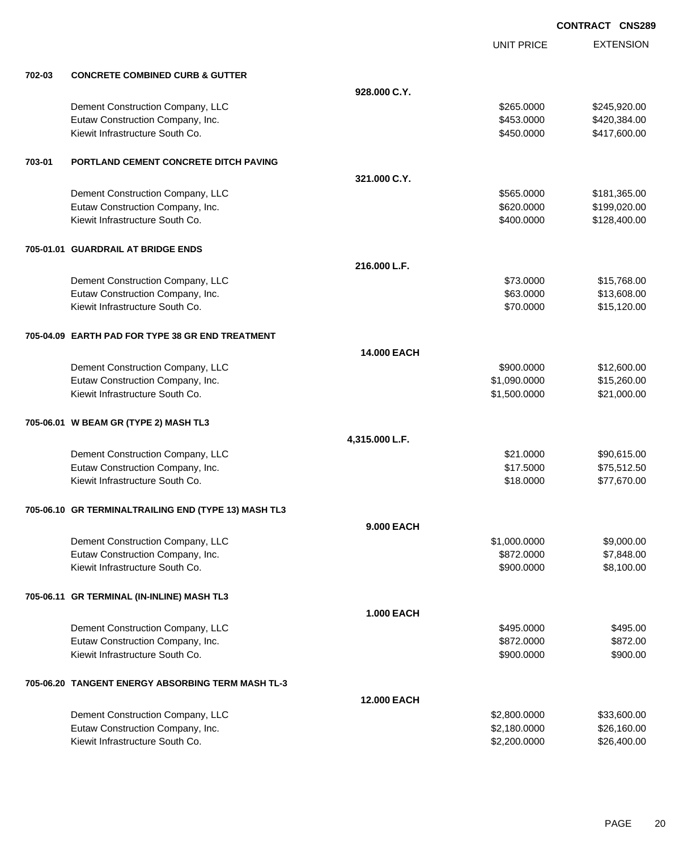|        |                                                      |                    | <b>UNIT PRICE</b> | <b>EXTENSION</b> |
|--------|------------------------------------------------------|--------------------|-------------------|------------------|
| 702-03 | <b>CONCRETE COMBINED CURB &amp; GUTTER</b>           |                    |                   |                  |
|        |                                                      | 928.000 C.Y.       |                   |                  |
|        | Dement Construction Company, LLC                     |                    | \$265.0000        | \$245,920.00     |
|        | Eutaw Construction Company, Inc.                     |                    | \$453.0000        | \$420,384.00     |
|        | Kiewit Infrastructure South Co.                      |                    | \$450.0000        | \$417,600.00     |
| 703-01 | PORTLAND CEMENT CONCRETE DITCH PAVING                |                    |                   |                  |
|        |                                                      | 321.000 C.Y.       |                   |                  |
|        | Dement Construction Company, LLC                     |                    | \$565.0000        | \$181,365.00     |
|        | Eutaw Construction Company, Inc.                     |                    | \$620.0000        | \$199,020.00     |
|        | Kiewit Infrastructure South Co.                      |                    | \$400.0000        | \$128,400.00     |
|        | 705-01.01 GUARDRAIL AT BRIDGE ENDS                   |                    |                   |                  |
|        |                                                      | 216.000 L.F.       |                   |                  |
|        | Dement Construction Company, LLC                     |                    | \$73.0000         | \$15,768.00      |
|        | Eutaw Construction Company, Inc.                     |                    | \$63.0000         | \$13,608.00      |
|        | Kiewit Infrastructure South Co.                      |                    | \$70.0000         | \$15,120.00      |
|        | 705-04.09 EARTH PAD FOR TYPE 38 GR END TREATMENT     |                    |                   |                  |
|        |                                                      | 14.000 EACH        |                   |                  |
|        | Dement Construction Company, LLC                     |                    | \$900.0000        | \$12,600.00      |
|        | Eutaw Construction Company, Inc.                     |                    | \$1,090.0000      | \$15,260.00      |
|        | Kiewit Infrastructure South Co.                      |                    | \$1,500.0000      | \$21,000.00      |
|        | 705-06.01 W BEAM GR (TYPE 2) MASH TL3                |                    |                   |                  |
|        |                                                      | 4,315.000 L.F.     |                   |                  |
|        | Dement Construction Company, LLC                     |                    | \$21.0000         | \$90,615.00      |
|        | Eutaw Construction Company, Inc.                     |                    | \$17.5000         | \$75,512.50      |
|        | Kiewit Infrastructure South Co.                      |                    | \$18.0000         | \$77,670.00      |
|        | 705-06.10 GR TERMINALTRAILING END (TYPE 13) MASH TL3 |                    |                   |                  |
|        |                                                      | 9.000 EACH         |                   |                  |
|        | Dement Construction Company, LLC                     |                    | \$1,000.0000      | \$9,000.00       |
|        | Eutaw Construction Company, Inc.                     |                    | \$872.0000        | \$7,848.00       |
|        | Kiewit Infrastructure South Co.                      |                    | \$900.0000        | \$8,100.00       |
|        | 705-06.11 GR TERMINAL (IN-INLINE) MASH TL3           |                    |                   |                  |
|        |                                                      | <b>1.000 EACH</b>  |                   |                  |
|        | Dement Construction Company, LLC                     |                    | \$495,0000        | \$495.00         |
|        | Eutaw Construction Company, Inc.                     |                    | \$872.0000        | \$872.00         |
|        | Kiewit Infrastructure South Co.                      |                    | \$900.0000        | \$900.00         |
|        | 705-06.20 TANGENT ENERGY ABSORBING TERM MASH TL-3    |                    |                   |                  |
|        |                                                      | <b>12.000 EACH</b> |                   |                  |
|        | Dement Construction Company, LLC                     |                    | \$2,800.0000      | \$33,600.00      |
|        | Eutaw Construction Company, Inc.                     |                    | \$2,180.0000      | \$26,160.00      |
|        | Kiewit Infrastructure South Co.                      |                    | \$2,200.0000      | \$26,400.00      |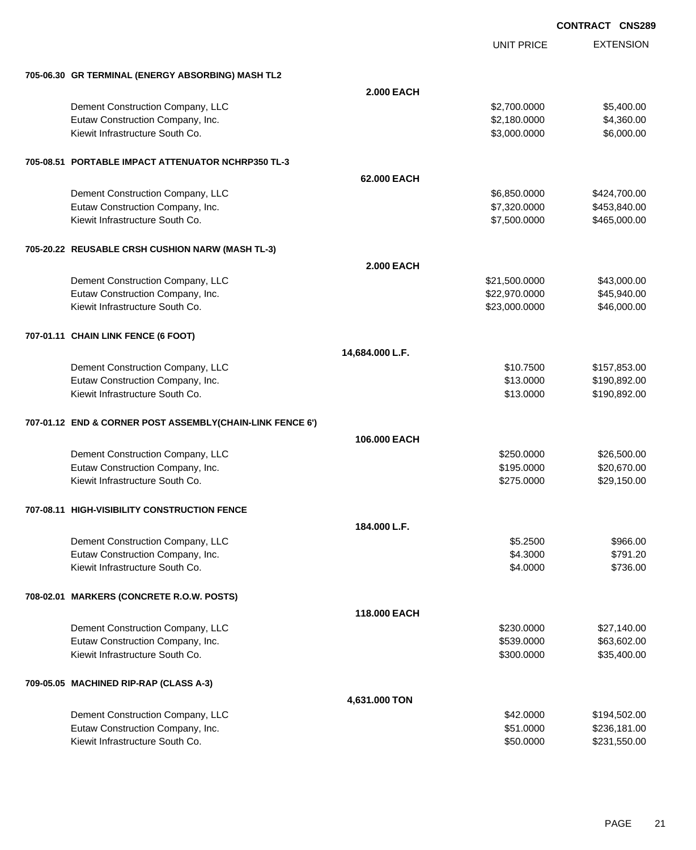|                                                           |                   | <b>UNIT PRICE</b> | <b>EXTENSION</b> |
|-----------------------------------------------------------|-------------------|-------------------|------------------|
| 705-06.30 GR TERMINAL (ENERGY ABSORBING) MASH TL2         |                   |                   |                  |
|                                                           | <b>2.000 EACH</b> |                   |                  |
| Dement Construction Company, LLC                          |                   | \$2,700.0000      | \$5,400.00       |
| Eutaw Construction Company, Inc.                          |                   | \$2,180.0000      | \$4,360.00       |
| Kiewit Infrastructure South Co.                           |                   | \$3,000.0000      | \$6,000.00       |
| 705-08.51 PORTABLE IMPACT ATTENUATOR NCHRP350 TL-3        |                   |                   |                  |
|                                                           | 62.000 EACH       |                   |                  |
| Dement Construction Company, LLC                          |                   | \$6,850.0000      | \$424,700.00     |
| Eutaw Construction Company, Inc.                          |                   | \$7,320.0000      | \$453,840.00     |
| Kiewit Infrastructure South Co.                           |                   | \$7,500.0000      | \$465,000.00     |
| 705-20.22 REUSABLE CRSH CUSHION NARW (MASH TL-3)          |                   |                   |                  |
|                                                           | <b>2.000 EACH</b> |                   |                  |
| Dement Construction Company, LLC                          |                   | \$21,500.0000     | \$43,000.00      |
| Eutaw Construction Company, Inc.                          |                   | \$22,970.0000     | \$45,940.00      |
| Kiewit Infrastructure South Co.                           |                   | \$23,000.0000     | \$46,000.00      |
| 707-01.11 CHAIN LINK FENCE (6 FOOT)                       |                   |                   |                  |
|                                                           | 14,684.000 L.F.   |                   |                  |
| Dement Construction Company, LLC                          |                   | \$10.7500         | \$157,853.00     |
| Eutaw Construction Company, Inc.                          |                   | \$13.0000         | \$190,892.00     |
| Kiewit Infrastructure South Co.                           |                   | \$13.0000         | \$190,892.00     |
| 707-01.12 END & CORNER POST ASSEMBLY(CHAIN-LINK FENCE 6') |                   |                   |                  |
|                                                           | 106.000 EACH      |                   |                  |
| Dement Construction Company, LLC                          |                   | \$250.0000        | \$26,500.00      |
| Eutaw Construction Company, Inc.                          |                   | \$195.0000        | \$20,670.00      |
| Kiewit Infrastructure South Co.                           |                   | \$275.0000        | \$29,150.00      |
| 707-08.11 HIGH-VISIBILITY CONSTRUCTION FENCE              |                   |                   |                  |
|                                                           | 184.000 L.F.      |                   |                  |
| Dement Construction Company, LLC                          |                   | \$5.2500          | \$966.00         |
| Eutaw Construction Company, Inc.                          |                   | \$4.3000          | \$791.20         |
| Kiewit Infrastructure South Co.                           |                   | \$4.0000          | \$736.00         |
| 708-02.01 MARKERS (CONCRETE R.O.W. POSTS)                 |                   |                   |                  |
|                                                           | 118.000 EACH      |                   |                  |
| Dement Construction Company, LLC                          |                   | \$230.0000        | \$27,140.00      |
| Eutaw Construction Company, Inc.                          |                   | \$539.0000        | \$63,602.00      |
| Kiewit Infrastructure South Co.                           |                   | \$300.0000        | \$35,400.00      |
| 709-05.05 MACHINED RIP-RAP (CLASS A-3)                    |                   |                   |                  |
|                                                           | 4,631.000 TON     |                   |                  |
| Dement Construction Company, LLC                          |                   | \$42.0000         | \$194,502.00     |
| Eutaw Construction Company, Inc.                          |                   | \$51.0000         | \$236,181.00     |
| Kiewit Infrastructure South Co.                           |                   | \$50.0000         | \$231,550.00     |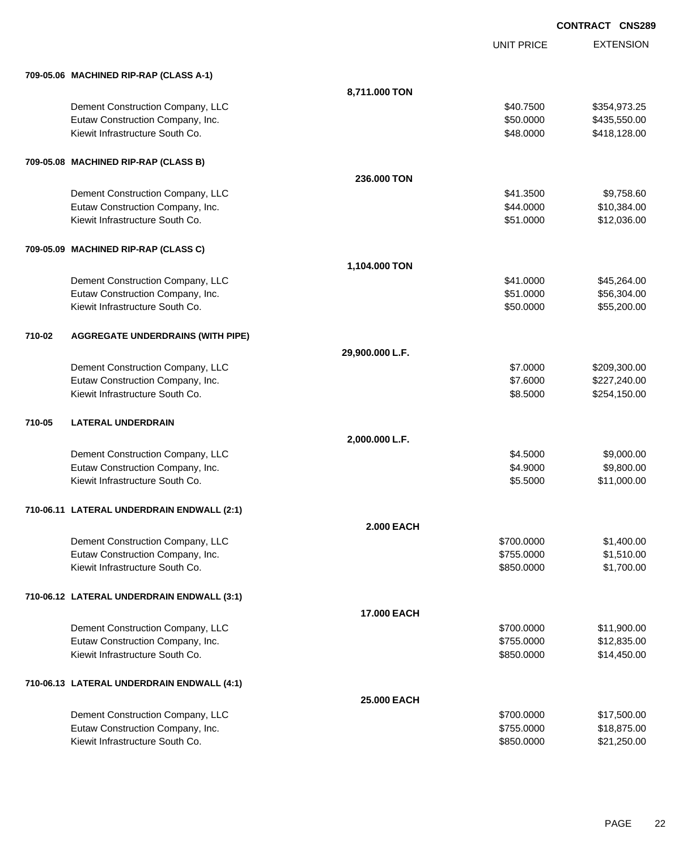|        |                                            |                    | <b>UNIT PRICE</b> | <b>EXTENSION</b> |
|--------|--------------------------------------------|--------------------|-------------------|------------------|
|        | 709-05.06 MACHINED RIP-RAP (CLASS A-1)     |                    |                   |                  |
|        |                                            | 8,711.000 TON      |                   |                  |
|        | Dement Construction Company, LLC           |                    | \$40.7500         | \$354,973.25     |
|        | Eutaw Construction Company, Inc.           |                    | \$50.0000         | \$435,550.00     |
|        | Kiewit Infrastructure South Co.            |                    | \$48.0000         | \$418,128.00     |
|        | 709-05.08 MACHINED RIP-RAP (CLASS B)       |                    |                   |                  |
|        |                                            | 236,000 TON        |                   |                  |
|        | Dement Construction Company, LLC           |                    | \$41.3500         | \$9,758.60       |
|        | Eutaw Construction Company, Inc.           |                    | \$44.0000         | \$10,384.00      |
|        | Kiewit Infrastructure South Co.            |                    | \$51.0000         | \$12,036.00      |
|        | 709-05.09 MACHINED RIP-RAP (CLASS C)       |                    |                   |                  |
|        |                                            | 1,104.000 TON      |                   |                  |
|        | Dement Construction Company, LLC           |                    | \$41.0000         | \$45,264.00      |
|        | Eutaw Construction Company, Inc.           |                    | \$51.0000         | \$56,304.00      |
|        | Kiewit Infrastructure South Co.            |                    | \$50.0000         | \$55,200.00      |
| 710-02 | <b>AGGREGATE UNDERDRAINS (WITH PIPE)</b>   |                    |                   |                  |
|        |                                            | 29,900.000 L.F.    |                   |                  |
|        | Dement Construction Company, LLC           |                    | \$7.0000          | \$209,300.00     |
|        | Eutaw Construction Company, Inc.           |                    | \$7.6000          | \$227,240.00     |
|        | Kiewit Infrastructure South Co.            |                    | \$8.5000          | \$254,150.00     |
| 710-05 | <b>LATERAL UNDERDRAIN</b>                  |                    |                   |                  |
|        |                                            | 2,000.000 L.F.     |                   |                  |
|        | Dement Construction Company, LLC           |                    | \$4.5000          | \$9,000.00       |
|        | Eutaw Construction Company, Inc.           |                    | \$4.9000          | \$9,800.00       |
|        | Kiewit Infrastructure South Co.            |                    | \$5.5000          | \$11,000.00      |
|        | 710-06.11 LATERAL UNDERDRAIN ENDWALL (2:1) |                    |                   |                  |
|        |                                            | <b>2.000 EACH</b>  |                   |                  |
|        | Dement Construction Company, LLC           |                    | \$700.0000        | \$1,400.00       |
|        | Eutaw Construction Company, Inc.           |                    | \$755.0000        | \$1,510.00       |
|        | Kiewit Infrastructure South Co.            |                    | \$850.0000        | \$1,700.00       |
|        | 710-06.12 LATERAL UNDERDRAIN ENDWALL (3:1) |                    |                   |                  |
|        |                                            | <b>17.000 EACH</b> |                   |                  |
|        | Dement Construction Company, LLC           |                    | \$700.0000        | \$11,900.00      |
|        | Eutaw Construction Company, Inc.           |                    | \$755.0000        | \$12,835.00      |
|        | Kiewit Infrastructure South Co.            |                    | \$850.0000        | \$14,450.00      |
|        | 710-06.13 LATERAL UNDERDRAIN ENDWALL (4:1) |                    |                   |                  |
|        |                                            | 25.000 EACH        |                   |                  |
|        | Dement Construction Company, LLC           |                    | \$700.0000        | \$17,500.00      |
|        | Eutaw Construction Company, Inc.           |                    | \$755.0000        | \$18,875.00      |
|        | Kiewit Infrastructure South Co.            |                    | \$850.0000        | \$21,250.00      |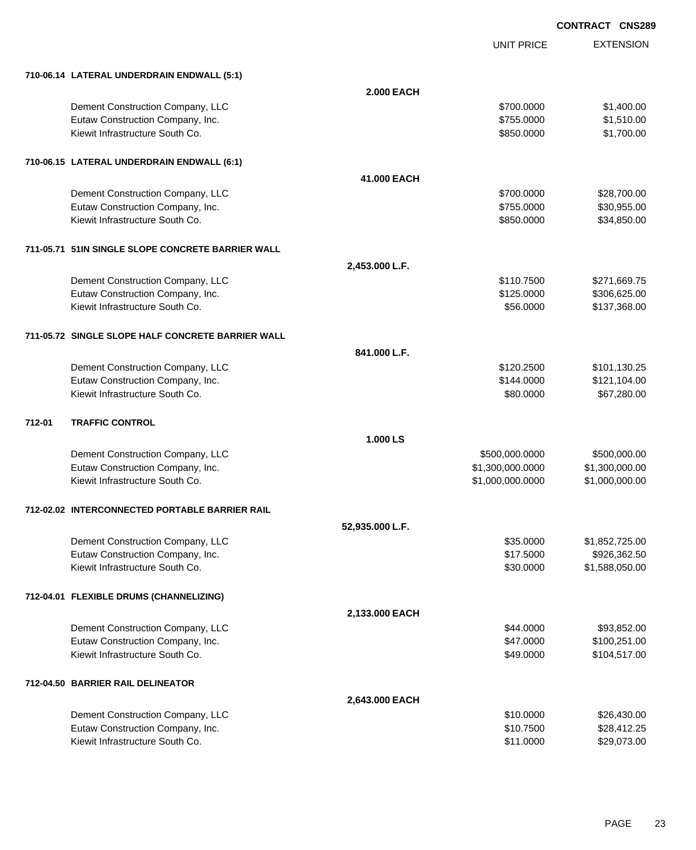|                                                   |                   | <b>UNIT PRICE</b> | <b>EXTENSION</b> |
|---------------------------------------------------|-------------------|-------------------|------------------|
| 710-06.14 LATERAL UNDERDRAIN ENDWALL (5:1)        |                   |                   |                  |
|                                                   | <b>2.000 EACH</b> |                   |                  |
| Dement Construction Company, LLC                  |                   | \$700,0000        | \$1,400.00       |
| Eutaw Construction Company, Inc.                  |                   | \$755.0000        | \$1,510.00       |
| Kiewit Infrastructure South Co.                   |                   | \$850.0000        | \$1,700.00       |
| 710-06.15 LATERAL UNDERDRAIN ENDWALL (6:1)        |                   |                   |                  |
|                                                   | 41.000 EACH       |                   |                  |
| Dement Construction Company, LLC                  |                   | \$700.0000        | \$28,700.00      |
| Eutaw Construction Company, Inc.                  |                   | \$755.0000        | \$30,955.00      |
| Kiewit Infrastructure South Co.                   |                   | \$850.0000        | \$34,850.00      |
| 711-05.71 51IN SINGLE SLOPE CONCRETE BARRIER WALL |                   |                   |                  |
|                                                   | 2,453.000 L.F.    |                   |                  |
| Dement Construction Company, LLC                  |                   | \$110.7500        | \$271,669.75     |
| Eutaw Construction Company, Inc.                  |                   | \$125.0000        | \$306,625.00     |
| Kiewit Infrastructure South Co.                   |                   | \$56.0000         | \$137,368.00     |
| 711-05.72 SINGLE SLOPE HALF CONCRETE BARRIER WALL |                   |                   |                  |
|                                                   | 841.000 L.F.      |                   |                  |
| Dement Construction Company, LLC                  |                   | \$120.2500        | \$101,130.25     |
| Eutaw Construction Company, Inc.                  |                   | \$144.0000        | \$121,104.00     |
| Kiewit Infrastructure South Co.                   |                   | \$80.0000         | \$67,280.00      |
| 712-01<br><b>TRAFFIC CONTROL</b>                  |                   |                   |                  |
|                                                   | 1.000 LS          |                   |                  |
| Dement Construction Company, LLC                  |                   | \$500,000.0000    | \$500,000.00     |
| Eutaw Construction Company, Inc.                  |                   | \$1,300,000.0000  | \$1,300,000.00   |
| Kiewit Infrastructure South Co.                   |                   | \$1,000,000.0000  | \$1,000,000.00   |
| 712-02.02 INTERCONNECTED PORTABLE BARRIER RAIL    |                   |                   |                  |
|                                                   | 52,935.000 L.F.   |                   |                  |
| Dement Construction Company, LLC                  |                   | \$35.0000         | \$1,852,725.00   |
| Eutaw Construction Company, Inc.                  |                   | \$17.5000         | \$926,362.50     |
| Kiewit Infrastructure South Co.                   |                   | \$30.0000         | \$1,588,050.00   |
| 712-04.01 FLEXIBLE DRUMS (CHANNELIZING)           |                   |                   |                  |
|                                                   | 2,133.000 EACH    |                   |                  |
| Dement Construction Company, LLC                  |                   | \$44.0000         | \$93,852.00      |
| Eutaw Construction Company, Inc.                  |                   | \$47.0000         | \$100,251.00     |
| Kiewit Infrastructure South Co.                   |                   | \$49.0000         | \$104,517.00     |
| 712-04.50 BARRIER RAIL DELINEATOR                 |                   |                   |                  |
|                                                   | 2,643.000 EACH    |                   |                  |
| Dement Construction Company, LLC                  |                   | \$10.0000         | \$26,430.00      |
| Eutaw Construction Company, Inc.                  |                   | \$10.7500         | \$28,412.25      |
| Kiewit Infrastructure South Co.                   |                   | \$11.0000         | \$29,073.00      |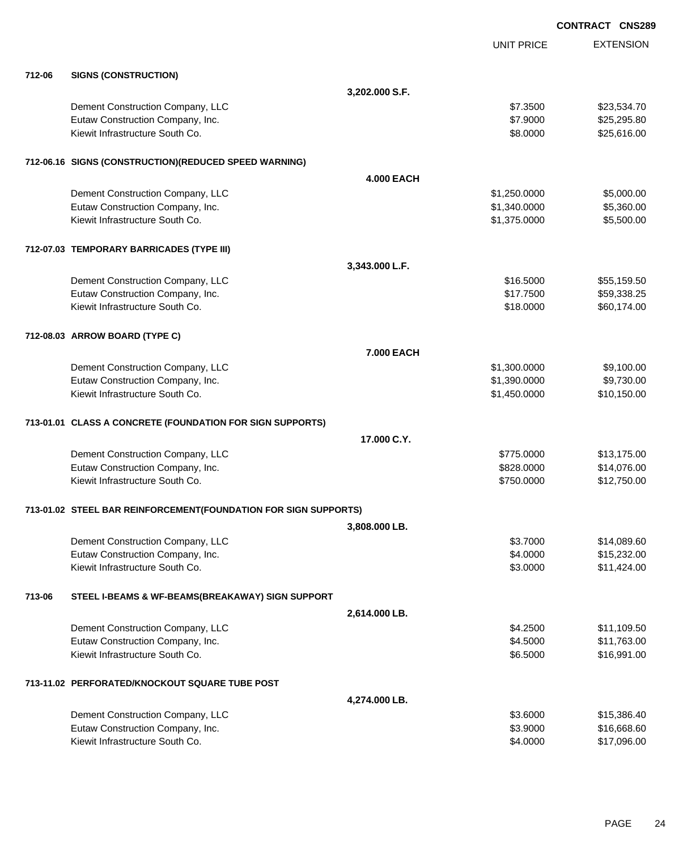|        |                                                                 |                   |                   | <b>CONTRACT CNS289</b> |
|--------|-----------------------------------------------------------------|-------------------|-------------------|------------------------|
|        |                                                                 |                   | <b>UNIT PRICE</b> | <b>EXTENSION</b>       |
| 712-06 | <b>SIGNS (CONSTRUCTION)</b>                                     |                   |                   |                        |
|        |                                                                 | 3,202.000 S.F.    |                   |                        |
|        | Dement Construction Company, LLC                                |                   | \$7.3500          | \$23,534.70            |
|        | Eutaw Construction Company, Inc.                                |                   | \$7.9000          | \$25,295.80            |
|        | Kiewit Infrastructure South Co.                                 |                   | \$8.0000          | \$25,616.00            |
|        | 712-06.16 SIGNS (CONSTRUCTION) (REDUCED SPEED WARNING)          |                   |                   |                        |
|        |                                                                 | <b>4.000 EACH</b> |                   |                        |
|        | Dement Construction Company, LLC                                |                   | \$1,250.0000      | \$5,000.00             |
|        | Eutaw Construction Company, Inc.                                |                   | \$1,340.0000      | \$5,360.00             |
|        | Kiewit Infrastructure South Co.                                 |                   | \$1,375.0000      | \$5,500.00             |
|        | 712-07.03 TEMPORARY BARRICADES (TYPE III)                       |                   |                   |                        |
|        |                                                                 | 3,343.000 L.F.    |                   |                        |
|        | Dement Construction Company, LLC                                |                   | \$16.5000         | \$55,159.50            |
|        | Eutaw Construction Company, Inc.                                |                   | \$17.7500         | \$59,338.25            |
|        | Kiewit Infrastructure South Co.                                 |                   | \$18.0000         | \$60,174.00            |
|        | 712-08.03 ARROW BOARD (TYPE C)                                  |                   |                   |                        |
|        |                                                                 | 7.000 EACH        |                   |                        |
|        | Dement Construction Company, LLC                                |                   | \$1,300.0000      | \$9,100.00             |
|        | Eutaw Construction Company, Inc.                                |                   | \$1,390.0000      | \$9,730.00             |
|        | Kiewit Infrastructure South Co.                                 |                   | \$1,450.0000      | \$10,150.00            |
|        | 713-01.01 CLASS A CONCRETE (FOUNDATION FOR SIGN SUPPORTS)       |                   |                   |                        |
|        |                                                                 | 17.000 C.Y.       |                   |                        |
|        | Dement Construction Company, LLC                                |                   | \$775.0000        | \$13,175.00            |
|        | Eutaw Construction Company, Inc.                                |                   | \$828.0000        | \$14,076.00            |
|        | Kiewit Infrastructure South Co.                                 |                   | \$750.0000        | \$12,750.00            |
|        | 713-01.02 STEEL BAR REINFORCEMENT(FOUNDATION FOR SIGN SUPPORTS) |                   |                   |                        |
|        |                                                                 | 3,808.000 LB.     |                   |                        |
|        | Dement Construction Company, LLC                                |                   | \$3.7000          | \$14,089.60            |
|        | Eutaw Construction Company, Inc.                                |                   | \$4.0000          | \$15,232.00            |
|        | Kiewit Infrastructure South Co.                                 |                   | \$3.0000          | \$11,424.00            |
| 713-06 | STEEL I-BEAMS & WF-BEAMS(BREAKAWAY) SIGN SUPPORT                |                   |                   |                        |
|        |                                                                 | 2,614.000 LB.     |                   |                        |
|        | Dement Construction Company, LLC                                |                   | \$4.2500          | \$11,109.50            |
|        | Eutaw Construction Company, Inc.                                |                   | \$4.5000          | \$11,763.00            |
|        | Kiewit Infrastructure South Co.                                 |                   | \$6.5000          | \$16,991.00            |
|        | 713-11.02 PERFORATED/KNOCKOUT SQUARE TUBE POST                  |                   |                   |                        |
|        |                                                                 | 4,274.000 LB.     |                   |                        |
|        | Dement Construction Company, LLC                                |                   | \$3.6000          | \$15,386.40            |
|        | Eutaw Construction Company, Inc.                                |                   | \$3.9000          | \$16,668.60            |
|        | Kiewit Infrastructure South Co.                                 |                   | \$4.0000          | \$17,096.00            |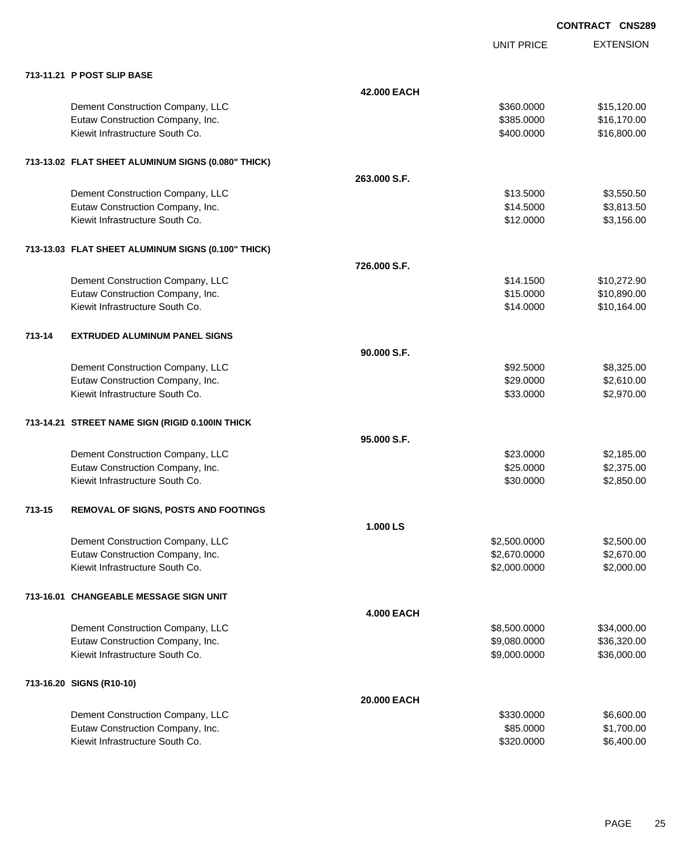UNIT PRICE

|        | 713-11.21 P POST SLIP BASE                         |                   |              |             |
|--------|----------------------------------------------------|-------------------|--------------|-------------|
|        |                                                    | 42.000 EACH       |              |             |
|        | Dement Construction Company, LLC                   |                   | \$360.0000   | \$15,120.00 |
|        | Eutaw Construction Company, Inc.                   |                   | \$385.0000   | \$16,170.00 |
|        | Kiewit Infrastructure South Co.                    |                   | \$400.0000   | \$16,800.00 |
|        |                                                    |                   |              |             |
|        | 713-13.02 FLAT SHEET ALUMINUM SIGNS (0.080" THICK) |                   |              |             |
|        |                                                    | 263.000 S.F.      |              |             |
|        | Dement Construction Company, LLC                   |                   | \$13.5000    | \$3,550.50  |
|        | Eutaw Construction Company, Inc.                   |                   | \$14.5000    | \$3,813.50  |
|        | Kiewit Infrastructure South Co.                    |                   | \$12.0000    | \$3,156.00  |
|        |                                                    |                   |              |             |
|        | 713-13.03 FLAT SHEET ALUMINUM SIGNS (0.100" THICK) |                   |              |             |
|        |                                                    | 726.000 S.F.      |              |             |
|        | Dement Construction Company, LLC                   |                   | \$14.1500    | \$10,272.90 |
|        | Eutaw Construction Company, Inc.                   |                   | \$15.0000    | \$10,890.00 |
|        | Kiewit Infrastructure South Co.                    |                   | \$14.0000    | \$10,164.00 |
|        |                                                    |                   |              |             |
| 713-14 | <b>EXTRUDED ALUMINUM PANEL SIGNS</b>               |                   |              |             |
|        |                                                    | 90.000 S.F.       |              |             |
|        | Dement Construction Company, LLC                   |                   | \$92.5000    | \$8,325.00  |
|        | Eutaw Construction Company, Inc.                   |                   | \$29.0000    | \$2,610.00  |
|        | Kiewit Infrastructure South Co.                    |                   | \$33.0000    | \$2,970.00  |
|        |                                                    |                   |              |             |
|        | 713-14.21 STREET NAME SIGN (RIGID 0.100IN THICK    |                   |              |             |
|        |                                                    | 95.000 S.F.       |              |             |
|        | Dement Construction Company, LLC                   |                   | \$23.0000    | \$2,185.00  |
|        | Eutaw Construction Company, Inc.                   |                   | \$25.0000    | \$2,375.00  |
|        | Kiewit Infrastructure South Co.                    |                   | \$30.0000    | \$2,850.00  |
| 713-15 | REMOVAL OF SIGNS, POSTS AND FOOTINGS               |                   |              |             |
|        |                                                    | 1.000 LS          |              |             |
|        | Dement Construction Company, LLC                   |                   | \$2,500.0000 | \$2,500.00  |
|        | Eutaw Construction Company, Inc.                   |                   | \$2,670.0000 | \$2,670.00  |
|        | Kiewit Infrastructure South Co.                    |                   | \$2,000.0000 | \$2,000.00  |
|        |                                                    |                   |              |             |
|        | 713-16.01 CHANGEABLE MESSAGE SIGN UNIT             |                   |              |             |
|        |                                                    | <b>4.000 EACH</b> |              |             |
|        | Dement Construction Company, LLC                   |                   | \$8,500.0000 | \$34,000.00 |
|        | Eutaw Construction Company, Inc.                   |                   | \$9,080.0000 | \$36,320.00 |
|        | Kiewit Infrastructure South Co.                    |                   | \$9,000.0000 | \$36,000.00 |
|        | 713-16.20 SIGNS (R10-10)                           |                   |              |             |
|        |                                                    | 20.000 EACH       |              |             |
|        | Dement Construction Company, LLC                   |                   | \$330.0000   | \$6,600.00  |
|        | Eutaw Construction Company, Inc.                   |                   | \$85.0000    | \$1,700.00  |
|        | Kiewit Infrastructure South Co.                    |                   | \$320.0000   | \$6,400.00  |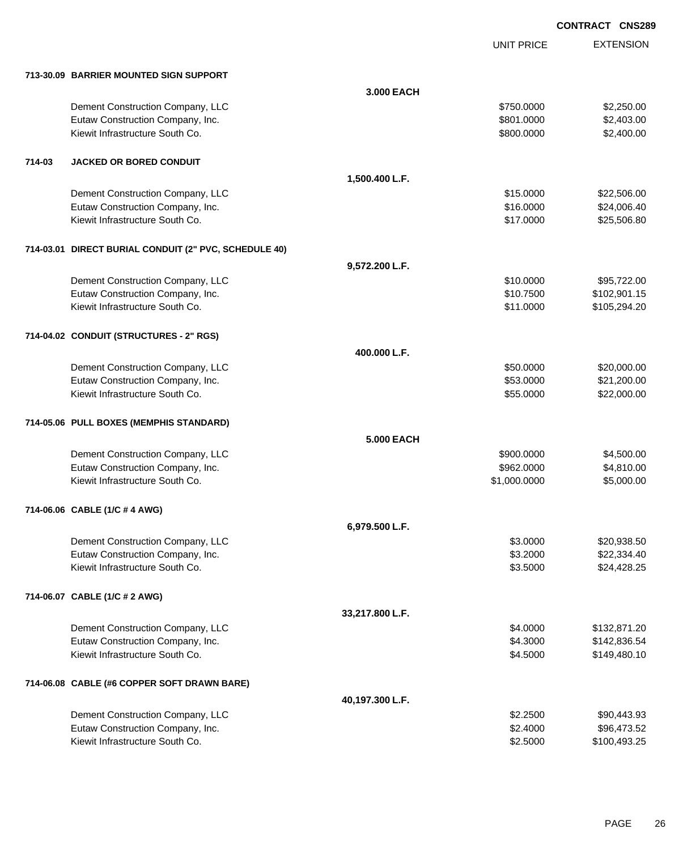UNIT PRICE

|        | 713-30.09 BARRIER MOUNTED SIGN SUPPORT                |                   |              |              |
|--------|-------------------------------------------------------|-------------------|--------------|--------------|
|        |                                                       | 3.000 EACH        |              |              |
|        | Dement Construction Company, LLC                      |                   | \$750.0000   | \$2,250.00   |
|        | Eutaw Construction Company, Inc.                      |                   | \$801.0000   | \$2,403.00   |
|        | Kiewit Infrastructure South Co.                       |                   | \$800.0000   | \$2,400.00   |
| 714-03 | <b>JACKED OR BORED CONDUIT</b>                        |                   |              |              |
|        |                                                       | 1,500.400 L.F.    |              |              |
|        | Dement Construction Company, LLC                      |                   | \$15,0000    | \$22,506.00  |
|        | Eutaw Construction Company, Inc.                      |                   | \$16.0000    | \$24,006.40  |
|        | Kiewit Infrastructure South Co.                       |                   | \$17.0000    | \$25,506.80  |
|        | 714-03.01 DIRECT BURIAL CONDUIT (2" PVC, SCHEDULE 40) |                   |              |              |
|        |                                                       | 9,572.200 L.F.    |              |              |
|        | Dement Construction Company, LLC                      |                   | \$10.0000    | \$95,722.00  |
|        | Eutaw Construction Company, Inc.                      |                   | \$10.7500    | \$102,901.15 |
|        | Kiewit Infrastructure South Co.                       |                   | \$11.0000    | \$105,294.20 |
|        | 714-04.02 CONDUIT (STRUCTURES - 2" RGS)               |                   |              |              |
|        |                                                       | 400.000 L.F.      |              |              |
|        | Dement Construction Company, LLC                      |                   | \$50.0000    | \$20,000.00  |
|        | Eutaw Construction Company, Inc.                      |                   | \$53.0000    | \$21,200.00  |
|        | Kiewit Infrastructure South Co.                       |                   | \$55.0000    | \$22,000.00  |
|        | 714-05.06 PULL BOXES (MEMPHIS STANDARD)               |                   |              |              |
|        |                                                       | <b>5.000 EACH</b> |              |              |
|        | Dement Construction Company, LLC                      |                   | \$900.0000   | \$4,500.00   |
|        | Eutaw Construction Company, Inc.                      |                   | \$962.0000   | \$4,810.00   |
|        | Kiewit Infrastructure South Co.                       |                   | \$1,000.0000 | \$5,000.00   |
|        | 714-06.06 CABLE (1/C # 4 AWG)                         |                   |              |              |
|        |                                                       | 6,979.500 L.F.    |              |              |
|        | Dement Construction Company, LLC                      |                   | \$3,0000     | \$20,938.50  |
|        | Eutaw Construction Company, Inc.                      |                   | \$3.2000     | \$22,334.40  |
|        | Kiewit Infrastructure South Co.                       |                   | \$3.5000     | \$24,428.25  |
|        | 714-06.07 CABLE (1/C # 2 AWG)                         |                   |              |              |
|        |                                                       | 33,217.800 L.F.   |              |              |
|        | Dement Construction Company, LLC                      |                   | \$4.0000     | \$132,871.20 |
|        | Eutaw Construction Company, Inc.                      |                   | \$4.3000     | \$142,836.54 |
|        | Kiewit Infrastructure South Co.                       |                   | \$4.5000     | \$149,480.10 |
|        | 714-06.08 CABLE (#6 COPPER SOFT DRAWN BARE)           |                   |              |              |
|        |                                                       | 40,197.300 L.F.   |              |              |
|        | Dement Construction Company, LLC                      |                   | \$2.2500     | \$90,443.93  |
|        | Eutaw Construction Company, Inc.                      |                   | \$2.4000     | \$96,473.52  |
|        | Kiewit Infrastructure South Co.                       |                   | \$2.5000     | \$100,493.25 |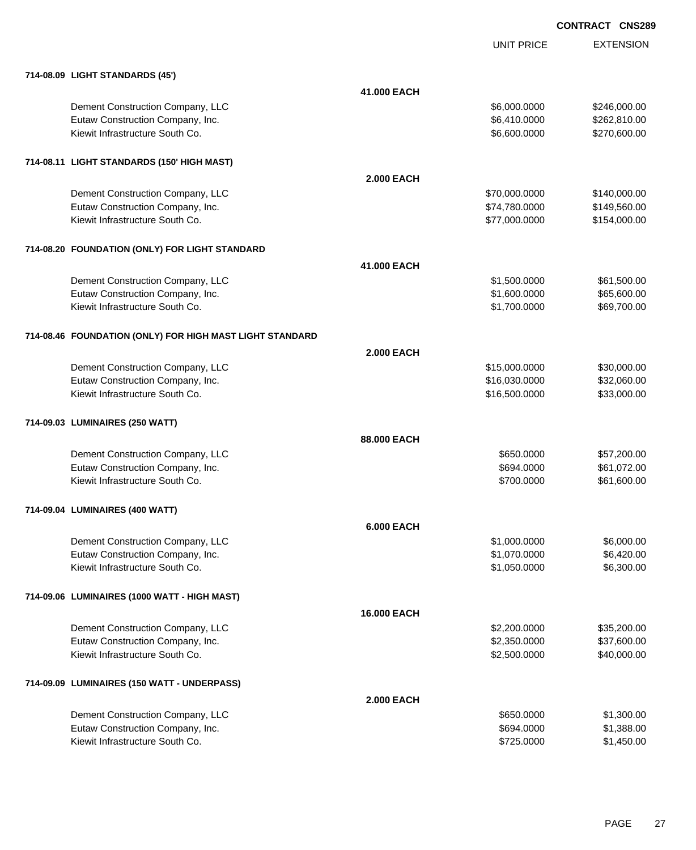UNIT PRICE EXTENSION

| 714-08.09 LIGHT STANDARDS (45')                          |                   |               |              |
|----------------------------------------------------------|-------------------|---------------|--------------|
|                                                          | 41.000 EACH       |               |              |
| Dement Construction Company, LLC                         |                   | \$6,000.0000  | \$246,000.00 |
| Eutaw Construction Company, Inc.                         |                   | \$6,410.0000  | \$262,810.00 |
| Kiewit Infrastructure South Co.                          |                   | \$6,600.0000  | \$270,600.00 |
| 714-08.11 LIGHT STANDARDS (150' HIGH MAST)               |                   |               |              |
|                                                          | <b>2.000 EACH</b> |               |              |
| Dement Construction Company, LLC                         |                   | \$70,000.0000 | \$140,000.00 |
| Eutaw Construction Company, Inc.                         |                   | \$74,780.0000 | \$149,560.00 |
| Kiewit Infrastructure South Co.                          |                   | \$77,000.0000 | \$154,000.00 |
| 714-08.20 FOUNDATION (ONLY) FOR LIGHT STANDARD           |                   |               |              |
|                                                          | 41.000 EACH       |               |              |
| Dement Construction Company, LLC                         |                   | \$1,500.0000  | \$61,500.00  |
| Eutaw Construction Company, Inc.                         |                   | \$1,600.0000  | \$65,600.00  |
| Kiewit Infrastructure South Co.                          |                   | \$1,700.0000  | \$69,700.00  |
| 714-08.46 FOUNDATION (ONLY) FOR HIGH MAST LIGHT STANDARD |                   |               |              |
|                                                          | <b>2.000 EACH</b> |               |              |
| Dement Construction Company, LLC                         |                   | \$15,000.0000 | \$30,000.00  |
| Eutaw Construction Company, Inc.                         |                   | \$16,030.0000 | \$32,060.00  |
| Kiewit Infrastructure South Co.                          |                   | \$16,500.0000 | \$33,000.00  |
| 714-09.03 LUMINAIRES (250 WATT)                          |                   |               |              |
|                                                          | 88,000 EACH       |               |              |
| Dement Construction Company, LLC                         |                   | \$650.0000    | \$57,200.00  |
| Eutaw Construction Company, Inc.                         |                   | \$694.0000    | \$61,072.00  |
| Kiewit Infrastructure South Co.                          |                   | \$700.0000    | \$61,600.00  |
| 714-09.04 LUMINAIRES (400 WATT)                          |                   |               |              |
|                                                          | <b>6.000 EACH</b> |               |              |
| Dement Construction Company, LLC                         |                   | \$1,000.0000  | \$6,000.00   |
| Eutaw Construction Company, Inc.                         |                   | \$1,070.0000  | \$6,420.00   |
| Kiewit Infrastructure South Co.                          |                   | \$1,050.0000  | \$6,300.00   |
| 714-09.06 LUMINAIRES (1000 WATT - HIGH MAST)             |                   |               |              |
|                                                          | 16.000 EACH       |               |              |
| Dement Construction Company, LLC                         |                   | \$2,200.0000  | \$35,200.00  |
| Eutaw Construction Company, Inc.                         |                   | \$2,350.0000  | \$37,600.00  |
| Kiewit Infrastructure South Co.                          |                   | \$2,500.0000  | \$40,000.00  |
| 714-09.09 LUMINAIRES (150 WATT - UNDERPASS)              |                   |               |              |
|                                                          | <b>2.000 EACH</b> |               |              |
| Dement Construction Company, LLC                         |                   | \$650.0000    | \$1,300.00   |
| Eutaw Construction Company, Inc.                         |                   | \$694.0000    | \$1,388.00   |
| Kiewit Infrastructure South Co.                          |                   | \$725.0000    | \$1,450.00   |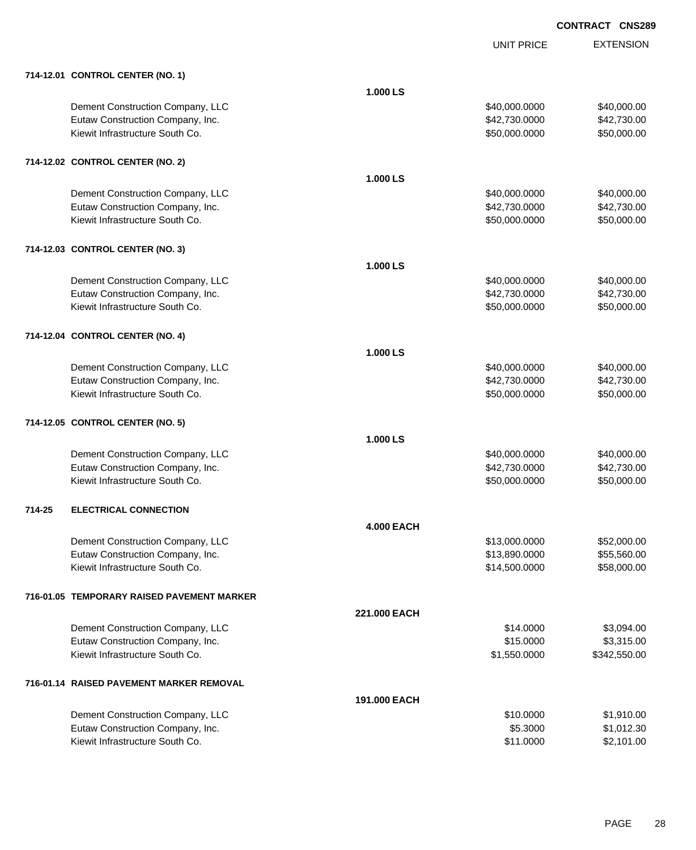|                                            |                   | <b>UNIT PRICE</b> | <b>EXTENSION</b> |
|--------------------------------------------|-------------------|-------------------|------------------|
| 714-12.01 CONTROL CENTER (NO. 1)           |                   |                   |                  |
|                                            | 1.000 LS          |                   |                  |
| Dement Construction Company, LLC           |                   | \$40,000.0000     | \$40,000.00      |
| Eutaw Construction Company, Inc.           |                   | \$42,730.0000     | \$42,730.00      |
| Kiewit Infrastructure South Co.            |                   | \$50,000.0000     | \$50,000.00      |
| 714-12.02 CONTROL CENTER (NO. 2)           |                   |                   |                  |
|                                            | 1.000 LS          |                   |                  |
| Dement Construction Company, LLC           |                   | \$40,000.0000     | \$40,000.00      |
| Eutaw Construction Company, Inc.           |                   | \$42,730.0000     | \$42,730.00      |
| Kiewit Infrastructure South Co.            |                   | \$50,000.0000     | \$50,000.00      |
| 714-12.03 CONTROL CENTER (NO. 3)           |                   |                   |                  |
|                                            | 1.000 LS          |                   |                  |
| Dement Construction Company, LLC           |                   | \$40,000.0000     | \$40,000.00      |
| Eutaw Construction Company, Inc.           |                   | \$42,730.0000     | \$42,730.00      |
| Kiewit Infrastructure South Co.            |                   | \$50,000.0000     | \$50,000.00      |
| 714-12.04 CONTROL CENTER (NO. 4)           |                   |                   |                  |
|                                            | 1.000 LS          |                   |                  |
| Dement Construction Company, LLC           |                   | \$40,000.0000     | \$40,000.00      |
| Eutaw Construction Company, Inc.           |                   | \$42,730.0000     | \$42,730.00      |
| Kiewit Infrastructure South Co.            |                   | \$50,000.0000     | \$50,000.00      |
| 714-12.05 CONTROL CENTER (NO. 5)           |                   |                   |                  |
|                                            | 1.000 LS          |                   |                  |
| Dement Construction Company, LLC           |                   | \$40,000.0000     | \$40,000.00      |
| Eutaw Construction Company, Inc.           |                   | \$42,730.0000     | \$42,730.00      |
| Kiewit Infrastructure South Co.            |                   | \$50,000.0000     | \$50,000.00      |
| <b>ELECTRICAL CONNECTION</b><br>714-25     |                   |                   |                  |
|                                            | <b>4.000 EACH</b> |                   |                  |
| Dement Construction Company, LLC           |                   | \$13,000.0000     | \$52,000.00      |
| Eutaw Construction Company, Inc.           |                   | \$13,890.0000     | \$55,560.00      |
| Kiewit Infrastructure South Co.            |                   | \$14,500.0000     | \$58,000.00      |
| 716-01.05 TEMPORARY RAISED PAVEMENT MARKER |                   |                   |                  |
|                                            | 221,000 EACH      |                   |                  |
| Dement Construction Company, LLC           |                   | \$14.0000         | \$3,094.00       |
| Eutaw Construction Company, Inc.           |                   | \$15.0000         | \$3,315.00       |
| Kiewit Infrastructure South Co.            |                   | \$1,550.0000      | \$342,550.00     |
| 716-01.14 RAISED PAVEMENT MARKER REMOVAL   |                   |                   |                  |
|                                            | 191.000 EACH      |                   |                  |
| Dement Construction Company, LLC           |                   | \$10.0000         | \$1,910.00       |
| Eutaw Construction Company, Inc.           |                   | \$5.3000          | \$1,012.30       |
| Kiewit Infrastructure South Co.            |                   | \$11.0000         | \$2,101.00       |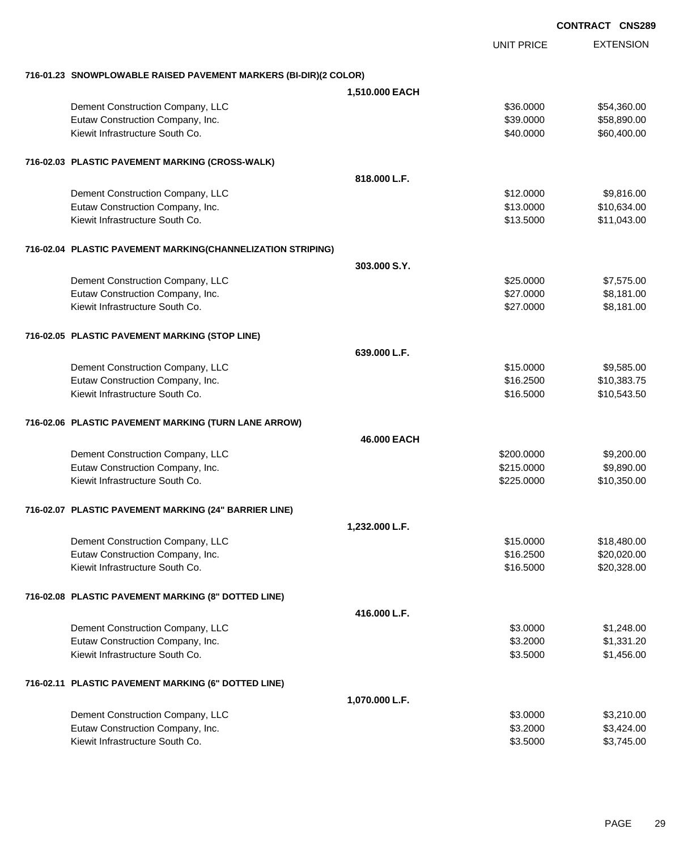**EXTENSION CONTRACT CNS289** UNIT PRICE **716-01.23 SNOWPLOWABLE RAISED PAVEMENT MARKERS (BI-DIR)(2 COLOR) 1,510.000 EACH** Dement Construction Company, LLC 6 and the state of the state of the state of the state of the state of the state of the state of the state of the state of the state of the state of the state of the state of the state of t Eutaw Construction Company, Inc. 6. The Construction Company, Inc. 6. The Construction Company, Inc. 6. The Construction Company, Inc. 6. The Construction Company, Inc. 6. The Construction Company, Inc. 6. The Construction Kiewit Infrastructure South Co. **\$40.000 \$60,400.00** \$60,400.00 **716-02.03 PLASTIC PAVEMENT MARKING (CROSS-WALK) 818.000 L.F.** Dement Construction Company, LLC 6 and the state of the state of the state of the state of the state of the state of the state of the state of the state of the state of the state of the state of the state of the state of t Eutaw Construction Company, Inc. 6. The Construction Company, Inc. 6. The Construction Company, Inc. 6. The Construction Company, Inc. 6. The Construction Company, Inc. 6. The Construction Company, Inc. 6. The Construction Kiewit Infrastructure South Co. **\$13.5000** \$11,043.00 **716-02.04 PLASTIC PAVEMENT MARKING(CHANNELIZATION STRIPING) 303.000 S.Y.** Dement Construction Company, LLC 6 and the state of the state of the state of the state of the state of the state of the state of the state of the state of the state of the state of the state of the state of the state of t Eutaw Construction Company, Inc. 6. The Construction Company, Inc. 6. The Construction Company, Inc. 6. The Construction Company, Inc. 6. The Construction Company, Inc. 6. The Construction Company, Inc. 6. The Construction Kiewit Infrastructure South Co. **6. 1892** States 1.00 and the states of the states of the states of the states of the states of the states of the states of the states of the states of the states of the states of the states **716-02.05 PLASTIC PAVEMENT MARKING (STOP LINE) 639.000 L.F.** Dement Construction Company, LLC 6 and the state of the state of the state of the state of the state of the state of the state of the state of the state of the state of the state of the state of the state of the state of t Eutaw Construction Company, Inc. 6. The Construction Company, Inc. 6. The Construction Company, Inc. 6. The Construction Company, Inc. 6. The Construction Company, Inc. 6. The Construction Company, Inc. 6. The Construction Kiewit Infrastructure South Co. **\$10.543.50** \$10,543.50 **716-02.06 PLASTIC PAVEMENT MARKING (TURN LANE ARROW) 46.000 EACH** Dement Construction Company, LLC 6 and the construction Company, LLC 6 and the construction Company, LLC 6 and the construction of  $$9,200.000$ Eutaw Construction Company, Inc. 6. The Construction Company, Inc. 6. The Construction Company, Inc. 6. The Construction Company, Inc. 6. The Construction Company, Inc. 6. The Construction Company, Inc. 6. The Construction Kiewit Infrastructure South Co. **\$225.0000 \$10,350.00** \$10,350.00 **716-02.07 PLASTIC PAVEMENT MARKING (24" BARRIER LINE) 1,232.000 L.F.** Dement Construction Company, LLC 6 and the state of the state of the state of the state  $$18,480.00$ Eutaw Construction Company, Inc. 6. The Construction Company, Inc. 6. The Construction Company, Inc. 6. The Construction Company, Inc. 6. The Construction Company, Inc. 6. The Construction Company, Inc. 6. The Construction Kiewit Infrastructure South Co. **\$16.5000** \$20,328.00 **716-02.08 PLASTIC PAVEMENT MARKING (8" DOTTED LINE) 416.000 L.F.** Dement Construction Company, LLC 6 and the state of the state of the state  $$3.0000$  \$1,248.00 Eutaw Construction Company, Inc. 6. 2000 \$1,331.20 Kiewit Infrastructure South Co. **6.2.5000** \$1,456.00 **716-02.11 PLASTIC PAVEMENT MARKING (6" DOTTED LINE) 1,070.000 L.F.**

| Dement Construction Company, LLC | \$3,0000 | \$3,210.00 |
|----------------------------------|----------|------------|
| Eutaw Construction Company, Inc. | \$3,2000 | \$3.424,00 |
| Kiewit Infrastructure South Co.  | \$3,5000 | \$3.745.00 |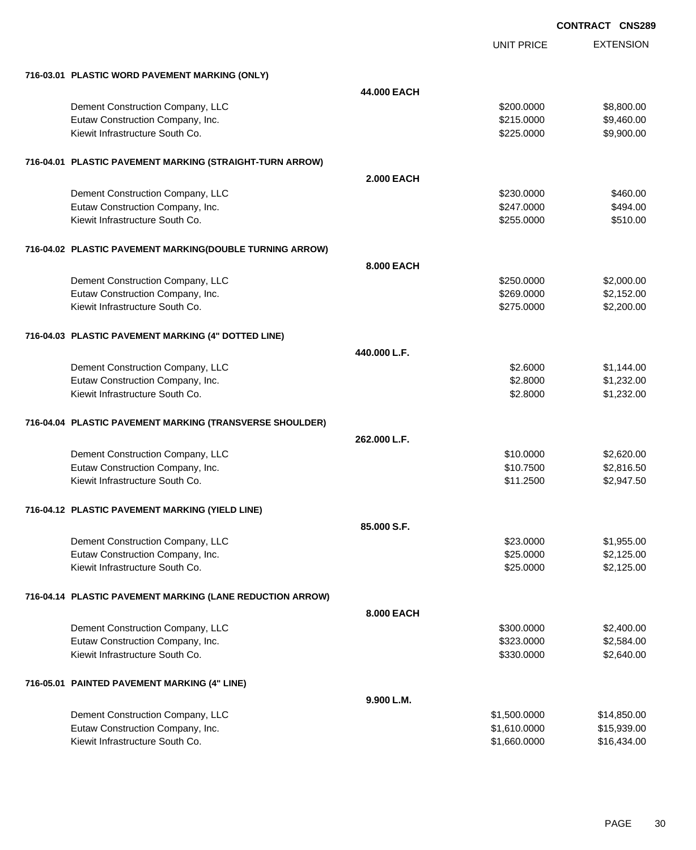|                                                           |                   | <b>UNIT PRICE</b> | <b>EXTENSION</b> |
|-----------------------------------------------------------|-------------------|-------------------|------------------|
| 716-03.01 PLASTIC WORD PAVEMENT MARKING (ONLY)            |                   |                   |                  |
|                                                           | 44.000 EACH       |                   |                  |
| Dement Construction Company, LLC                          |                   | \$200.0000        | \$8,800.00       |
| Eutaw Construction Company, Inc.                          |                   | \$215.0000        | \$9,460.00       |
| Kiewit Infrastructure South Co.                           |                   | \$225.0000        | \$9,900.00       |
| 716-04.01 PLASTIC PAVEMENT MARKING (STRAIGHT-TURN ARROW)  |                   |                   |                  |
|                                                           | <b>2.000 EACH</b> |                   |                  |
| Dement Construction Company, LLC                          |                   | \$230.0000        | \$460.00         |
| Eutaw Construction Company, Inc.                          |                   | \$247.0000        | \$494.00         |
| Kiewit Infrastructure South Co.                           |                   | \$255.0000        | \$510.00         |
| 716-04.02 PLASTIC PAVEMENT MARKING(DOUBLE TURNING ARROW)  |                   |                   |                  |
|                                                           | 8.000 EACH        |                   |                  |
| Dement Construction Company, LLC                          |                   | \$250.0000        | \$2,000.00       |
| Eutaw Construction Company, Inc.                          |                   | \$269.0000        | \$2,152.00       |
| Kiewit Infrastructure South Co.                           |                   | \$275.0000        | \$2,200.00       |
| 716-04.03 PLASTIC PAVEMENT MARKING (4" DOTTED LINE)       |                   |                   |                  |
|                                                           | 440.000 L.F.      |                   |                  |
| Dement Construction Company, LLC                          |                   | \$2.6000          | \$1,144.00       |
| Eutaw Construction Company, Inc.                          |                   | \$2.8000          | \$1,232.00       |
| Kiewit Infrastructure South Co.                           |                   | \$2.8000          | \$1,232.00       |
| 716-04.04 PLASTIC PAVEMENT MARKING (TRANSVERSE SHOULDER)  |                   |                   |                  |
|                                                           | 262.000 L.F.      |                   |                  |
| Dement Construction Company, LLC                          |                   | \$10.0000         | \$2,620.00       |
| Eutaw Construction Company, Inc.                          |                   | \$10.7500         | \$2,816.50       |
| Kiewit Infrastructure South Co.                           |                   | \$11.2500         | \$2,947.50       |
| 716-04.12 PLASTIC PAVEMENT MARKING (YIELD LINE)           |                   |                   |                  |
|                                                           | 85,000 S.F.       |                   |                  |
| Dement Construction Company, LLC                          |                   | \$23.0000         | \$1,955.00       |
| Eutaw Construction Company, Inc.                          |                   | \$25.0000         | \$2,125.00       |
| Kiewit Infrastructure South Co.                           |                   | \$25.0000         | \$2,125.00       |
| 716-04.14 PLASTIC PAVEMENT MARKING (LANE REDUCTION ARROW) |                   |                   |                  |
|                                                           | 8.000 EACH        |                   |                  |
| Dement Construction Company, LLC                          |                   | \$300.0000        | \$2,400.00       |
| Eutaw Construction Company, Inc.                          |                   | \$323.0000        | \$2,584.00       |
| Kiewit Infrastructure South Co.                           |                   | \$330.0000        | \$2,640.00       |
| 716-05.01 PAINTED PAVEMENT MARKING (4" LINE)              |                   |                   |                  |
|                                                           | 9.900 L.M.        |                   |                  |
| Dement Construction Company, LLC                          |                   | \$1,500.0000      | \$14,850.00      |
| Eutaw Construction Company, Inc.                          |                   | \$1,610.0000      | \$15,939.00      |
| Kiewit Infrastructure South Co.                           |                   | \$1,660.0000      | \$16,434.00      |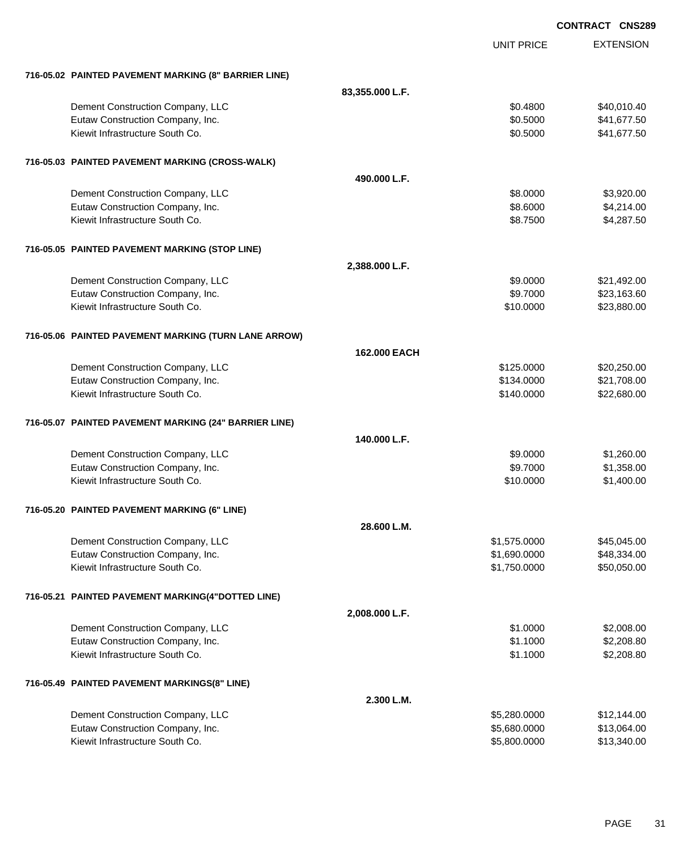|                                                       |                 |                   | <b>CONTRACT CNS289</b> |
|-------------------------------------------------------|-----------------|-------------------|------------------------|
|                                                       |                 | <b>UNIT PRICE</b> | <b>EXTENSION</b>       |
| 716-05.02 PAINTED PAVEMENT MARKING (8" BARRIER LINE)  |                 |                   |                        |
|                                                       | 83,355.000 L.F. |                   |                        |
| Dement Construction Company, LLC                      |                 | \$0.4800          | \$40,010.40            |
| Eutaw Construction Company, Inc.                      |                 | \$0.5000          | \$41,677.50            |
| Kiewit Infrastructure South Co.                       |                 | \$0.5000          | \$41,677.50            |
| 716-05.03 PAINTED PAVEMENT MARKING (CROSS-WALK)       |                 |                   |                        |
|                                                       | 490,000 L.F.    |                   |                        |
| Dement Construction Company, LLC                      |                 | \$8.0000          | \$3,920.00             |
| Eutaw Construction Company, Inc.                      |                 | \$8.6000          | \$4,214.00             |
| Kiewit Infrastructure South Co.                       |                 | \$8.7500          | \$4,287.50             |
| 716-05.05 PAINTED PAVEMENT MARKING (STOP LINE)        |                 |                   |                        |
|                                                       | 2,388.000 L.F.  |                   |                        |
| Dement Construction Company, LLC                      |                 | \$9.0000          | \$21,492.00            |
| Eutaw Construction Company, Inc.                      |                 | \$9.7000          | \$23,163.60            |
| Kiewit Infrastructure South Co.                       |                 | \$10.0000         | \$23,880.00            |
| 716-05.06 PAINTED PAVEMENT MARKING (TURN LANE ARROW)  |                 |                   |                        |
|                                                       | 162,000 EACH    |                   |                        |
| Dement Construction Company, LLC                      |                 | \$125.0000        | \$20,250.00            |
| Eutaw Construction Company, Inc.                      |                 | \$134.0000        | \$21,708.00            |
| Kiewit Infrastructure South Co.                       |                 | \$140.0000        | \$22,680.00            |
| 716-05.07 PAINTED PAVEMENT MARKING (24" BARRIER LINE) |                 |                   |                        |
|                                                       | 140.000 L.F.    |                   |                        |
| Dement Construction Company, LLC                      |                 | \$9.0000          | \$1,260.00             |
| Eutaw Construction Company, Inc.                      |                 | \$9.7000          | \$1,358.00             |
| Kiewit Infrastructure South Co.                       |                 | \$10.0000         | \$1,400.00             |
| 716-05.20 PAINTED PAVEMENT MARKING (6" LINE)          |                 |                   |                        |
|                                                       | 28.600 L.M.     |                   |                        |
| Dement Construction Company, LLC                      |                 | \$1,575.0000      | \$45,045.00            |
| Eutaw Construction Company, Inc.                      |                 | \$1,690.0000      | \$48,334.00            |
| Kiewit Infrastructure South Co.                       |                 | \$1,750.0000      | \$50,050.00            |
| 716-05.21 PAINTED PAVEMENT MARKING(4"DOTTED LINE)     |                 |                   |                        |
|                                                       | 2,008.000 L.F.  |                   |                        |
| Dement Construction Company, LLC                      |                 | \$1.0000          | \$2,008.00             |
| Eutaw Construction Company, Inc.                      |                 | \$1.1000          | \$2,208.80             |
| Kiewit Infrastructure South Co.                       |                 | \$1.1000          | \$2,208.80             |
| 716-05.49 PAINTED PAVEMENT MARKINGS(8" LINE)          |                 |                   |                        |
|                                                       | 2.300 L.M.      |                   |                        |
| Dement Construction Company, LLC                      |                 | \$5,280.0000      | \$12,144.00            |
| Eutaw Construction Company, Inc.                      |                 | \$5,680.0000      | \$13,064.00            |
| Kiewit Infrastructure South Co.                       |                 | \$5,800.0000      | \$13,340.00            |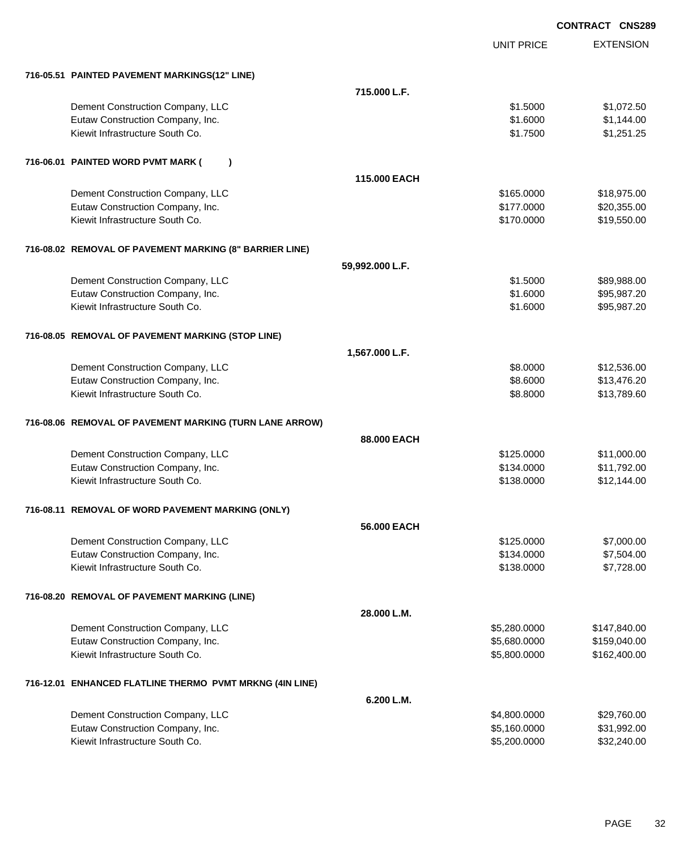|                                                          |                   | <b>CONTRACT CNS289</b> |
|----------------------------------------------------------|-------------------|------------------------|
|                                                          | <b>UNIT PRICE</b> | <b>EXTENSION</b>       |
| 716-05.51 PAINTED PAVEMENT MARKINGS(12" LINE)            |                   |                        |
|                                                          | 715,000 L.F.      |                        |
| Dement Construction Company, LLC                         | \$1.5000          | \$1,072.50             |
| Eutaw Construction Company, Inc.                         | \$1.6000          | \$1,144.00             |
| Kiewit Infrastructure South Co.                          | \$1.7500          | \$1,251.25             |
| 716-06.01 PAINTED WORD PVMT MARK (<br>$\lambda$          |                   |                        |
|                                                          | 115,000 EACH      |                        |
| Dement Construction Company, LLC                         | \$165.0000        | \$18,975.00            |
| Eutaw Construction Company, Inc.                         | \$177.0000        | \$20,355.00            |
| Kiewit Infrastructure South Co.                          | \$170.0000        | \$19,550.00            |
| 716-08.02 REMOVAL OF PAVEMENT MARKING (8" BARRIER LINE)  |                   |                        |
| 59,992.000 L.F.                                          |                   |                        |
| Dement Construction Company, LLC                         | \$1,5000          | \$89,988.00            |
| Eutaw Construction Company, Inc.                         | \$1.6000          | \$95,987.20            |
| Kiewit Infrastructure South Co.                          | \$1.6000          | \$95,987.20            |
| 716-08.05 REMOVAL OF PAVEMENT MARKING (STOP LINE)        |                   |                        |
| 1,567.000 L.F.                                           |                   |                        |
| Dement Construction Company, LLC                         | \$8.0000          | \$12,536.00            |
| Eutaw Construction Company, Inc.                         | \$8.6000          | \$13,476.20            |
| Kiewit Infrastructure South Co.                          | \$8.8000          | \$13,789.60            |
| 716-08.06 REMOVAL OF PAVEMENT MARKING (TURN LANE ARROW)  |                   |                        |
|                                                          | 88,000 EACH       |                        |
| Dement Construction Company, LLC                         | \$125.0000        | \$11,000.00            |
| Eutaw Construction Company, Inc.                         | \$134.0000        | \$11,792.00            |
| Kiewit Infrastructure South Co.                          | \$138.0000        | \$12,144.00            |
| 716-08.11 REMOVAL OF WORD PAVEMENT MARKING (ONLY)        |                   |                        |
|                                                          | 56,000 EACH       |                        |
| Dement Construction Company, LLC                         | \$125.0000        | \$7,000.00             |
| Eutaw Construction Company, Inc.                         | \$134.0000        | \$7,504.00             |
| Kiewit Infrastructure South Co.                          | \$138.0000        | \$7,728.00             |
| 716-08.20 REMOVAL OF PAVEMENT MARKING (LINE)             |                   |                        |
|                                                          | 28.000 L.M.       |                        |
| Dement Construction Company, LLC                         | \$5,280.0000      | \$147,840.00           |
| Eutaw Construction Company, Inc.                         | \$5,680.0000      | \$159,040.00           |
| Kiewit Infrastructure South Co.                          | \$5,800.0000      | \$162,400.00           |
| 716-12.01 ENHANCED FLATLINE THERMO PVMT MRKNG (4IN LINE) |                   |                        |
|                                                          | 6.200 L.M.        |                        |
| Dement Construction Company, LLC                         | \$4,800.0000      | \$29,760.00            |
| Eutaw Construction Company, Inc.                         | \$5,160.0000      | \$31,992.00            |
| Kiewit Infrastructure South Co.                          | \$5,200.0000      | \$32,240.00            |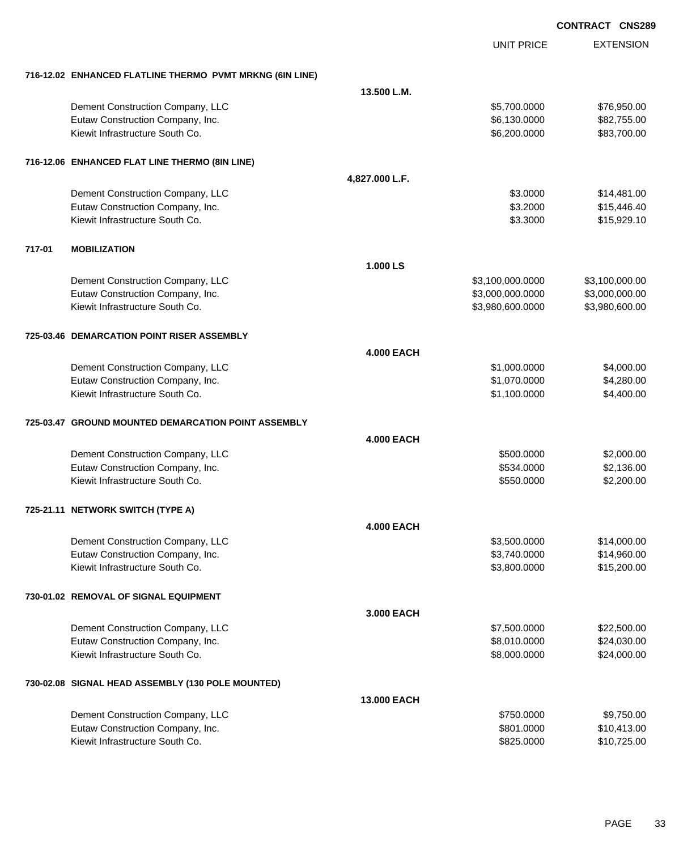EXTENSION **CONTRACT CNS289** UNIT PRICE **716-12.02 ENHANCED FLATLINE THERMO PVMT MRKNG (6IN LINE) 13.500 L.M.** Dement Construction Company, LLC 6 and the state of the state of the state  $$5,700.0000$  \$76,950.000 \$76,950.00 Eutaw Construction Company, Inc. 6.130.000 \$6,130.0000 \$82,755.00 Kiewit Infrastructure South Co. **\$6,200.000 \$83,700.00** \$83,700.00 **716-12.06 ENHANCED FLAT LINE THERMO (8IN LINE) 4,827.000 L.F.** Dement Construction Company, LLC 6 and the state of the state of the state of the state of the state of the state of the state of the state of the state of the state of the state of the state of the state of the state of t Eutaw Construction Company, Inc. 6. 2000 \$15,446.40 Kiewit Infrastructure South Co. **\$15,929.10** \$15,929.10 **717-01 MOBILIZATION 1.000 LS** Dement Construction Company, LLC 63,100,000.000 \$3,100,000.000 \$3,100,000.000 \$3,100,000.00 Eutaw Construction Company, Inc. 63,000,000 63,000,000 63,000,000.000 \$3,000,000.000 \$3,000,000.00 Kiewit Infrastructure South Co. **\$3,980,600.000 \$3,980,600.000** \$3,980,600.000 \$3,980,600.00 **725-03.46 DEMARCATION POINT RISER ASSEMBLY 4.000 EACH** Dement Construction Company, LLC 6 and the construction Company, LLC 6 and the construction Company, LLC 6 and the construction of  $\frac{1}{2}$ ,000.000 \$4,000.000 Eutaw Construction Company, Inc. 6. The Construction Company, Inc. 6. The Construction Company, Inc. 6. The Construction Company, Inc. 6. The Construction Company, Inc. 6. The Construction Company, Inc. 6. The Construction Kiewit Infrastructure South Co. **\$1,100.0000 \$4,400.00** \$4,400.00 **725-03.47 GROUND MOUNTED DEMARCATION POINT ASSEMBLY 4.000 EACH** Dement Construction Company, LLC 6 and the state of the state of the state of the state of the state of the state of the state of the state of the state of the state of the state of the state of the state of the state of t Eutaw Construction Company, Inc. 6. The Construction Company, Inc. 6. The Construction Company, Inc. 6. The Construction Company, Inc. 6. The Construction Company, Inc. 6. The Construction Company, Inc. 6. The Construction Kiewit Infrastructure South Co. **62,200.00** \$2,200.00 \$2,200.00 **725-21.11 NETWORK SWITCH (TYPE A) 4.000 EACH** Dement Construction Company, LLC 6 and the state of the state of the state  $$3,500.0000$  \$14,000.00 Eutaw Construction Company, Inc. 6. The Construction Company, Inc. 6. The Construction Company, Inc. 6. The Construction Company, Inc. 6. The Construction Company, Inc. 6. The Construction Company, Inc. 6. The Construction Kiewit Infrastructure South Co. **\$3,800.000 \$15,200.00** \$15,200.000 \$15,200.00 **730-01.02 REMOVAL OF SIGNAL EQUIPMENT 3.000 EACH** Dement Construction Company, LLC 6. The matrix of the state of the state of the state  $$7,500.0000$  \$22,500.000 Eutaw Construction Company, Inc. 6. The Construction Company, Inc. 6. The Construction Company, Inc. 6. The Construction Company, Inc. 6. The Construction Company, Inc. 6. The Construction Company, Inc. 6. The Construction Kiewit Infrastructure South Co. **\$8,000.000 \$24,000.000 \$24,000.000** \$24,000.00 **730-02.08 SIGNAL HEAD ASSEMBLY (130 POLE MOUNTED) 13.000 EACH** Dement Construction Company, LLC 6 and the state of the state of the state of the state of the state of the state of the state of the state of the state of the state of the state of the state of the state of the state of t Eutaw Construction Company, Inc. 6. The Construction Company, Inc. 6. The Construction Company, Inc. 6. The Construction Company, Inc. 6. The Construction Company, Inc. 6. The Construction Company, Inc. 6. The Construction

Kiewit Infrastructure South Co. **\$825.0000 \$10,725.00** \$10,725.00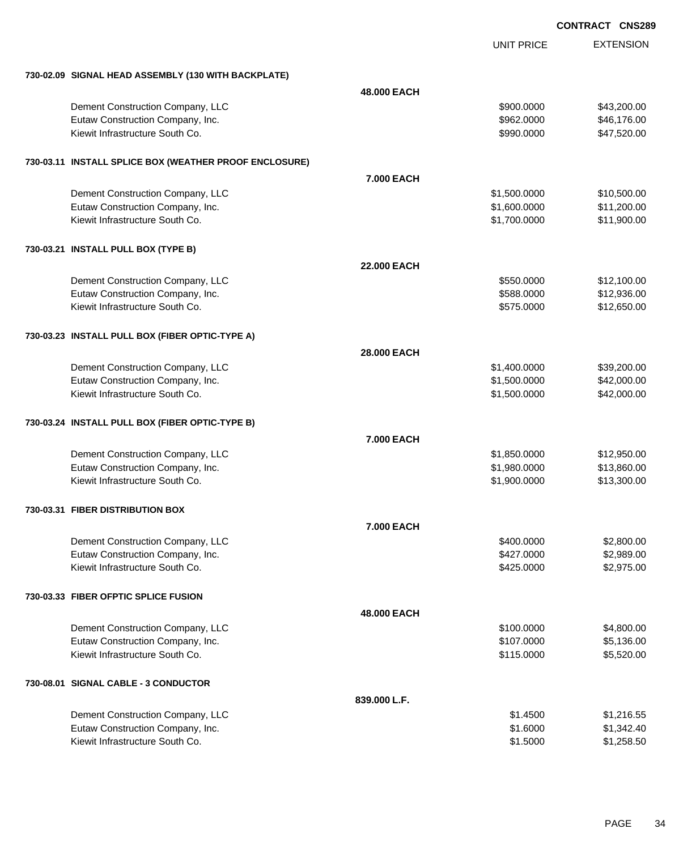|                                                        |                    |                   | <b>UUNIRAUI</b><br><b>UNJZC</b> |
|--------------------------------------------------------|--------------------|-------------------|---------------------------------|
|                                                        |                    | <b>UNIT PRICE</b> | <b>EXTENSION</b>                |
| 730-02.09 SIGNAL HEAD ASSEMBLY (130 WITH BACKPLATE)    |                    |                   |                                 |
|                                                        | 48,000 EACH        |                   |                                 |
| Dement Construction Company, LLC                       |                    | \$900.0000        | \$43,200.00                     |
| Eutaw Construction Company, Inc.                       |                    | \$962.0000        | \$46,176.00                     |
| Kiewit Infrastructure South Co.                        |                    | \$990.0000        | \$47,520.00                     |
| 730-03.11 INSTALL SPLICE BOX (WEATHER PROOF ENCLOSURE) |                    |                   |                                 |
|                                                        | 7.000 EACH         |                   |                                 |
| Dement Construction Company, LLC                       |                    | \$1,500.0000      | \$10,500.00                     |
| Eutaw Construction Company, Inc.                       |                    | \$1,600.0000      | \$11,200.00                     |
| Kiewit Infrastructure South Co.                        |                    | \$1,700.0000      | \$11,900.00                     |
| 730-03.21 INSTALL PULL BOX (TYPE B)                    |                    |                   |                                 |
|                                                        | <b>22.000 EACH</b> |                   |                                 |
| Dement Construction Company, LLC                       |                    | \$550.0000        | \$12,100.00                     |
| Eutaw Construction Company, Inc.                       |                    | \$588.0000        | \$12,936.00                     |
| Kiewit Infrastructure South Co.                        |                    | \$575.0000        | \$12,650.00                     |
| 730-03.23 INSTALL PULL BOX (FIBER OPTIC-TYPE A)        |                    |                   |                                 |
|                                                        | 28.000 EACH        |                   |                                 |
| Dement Construction Company, LLC                       |                    | \$1,400.0000      | \$39,200.00                     |
| Eutaw Construction Company, Inc.                       |                    | \$1,500.0000      | \$42,000.00                     |
| Kiewit Infrastructure South Co.                        |                    | \$1,500.0000      | \$42,000.00                     |
| 730-03.24 INSTALL PULL BOX (FIBER OPTIC-TYPE B)        |                    |                   |                                 |
|                                                        | 7.000 EACH         |                   |                                 |
| Dement Construction Company, LLC                       |                    | \$1,850.0000      | \$12,950.00                     |
| Eutaw Construction Company, Inc.                       |                    | \$1,980.0000      | \$13,860.00                     |
| Kiewit Infrastructure South Co.                        |                    | \$1,900.0000      | \$13,300.00                     |
| 730-03.31 FIBER DISTRIBUTION BOX                       |                    |                   |                                 |
|                                                        | 7.000 EACH         |                   |                                 |
| Dement Construction Company, LLC                       |                    | \$400.0000        | \$2,800.00                      |
| Eutaw Construction Company, Inc.                       |                    | \$427.0000        | \$2,989.00                      |
| Kiewit Infrastructure South Co.                        |                    | \$425.0000        | \$2,975.00                      |
| 730-03.33 FIBER OFPTIC SPLICE FUSION                   |                    |                   |                                 |
|                                                        | 48,000 EACH        |                   |                                 |
| Dement Construction Company, LLC                       |                    | \$100.0000        | \$4,800.00                      |
| Eutaw Construction Company, Inc.                       |                    | \$107.0000        | \$5,136.00                      |
| Kiewit Infrastructure South Co.                        |                    | \$115.0000        | \$5,520.00                      |
| 730-08.01 SIGNAL CABLE - 3 CONDUCTOR                   |                    |                   |                                 |
|                                                        | 839.000 L.F.       |                   |                                 |
| Dement Construction Company, LLC                       |                    | \$1.4500          | \$1,216.55                      |
| Eutaw Construction Company, Inc.                       |                    | \$1.6000          | \$1,342.40                      |
| Kiewit Infrastructure South Co.                        |                    | \$1.5000          | \$1,258.50                      |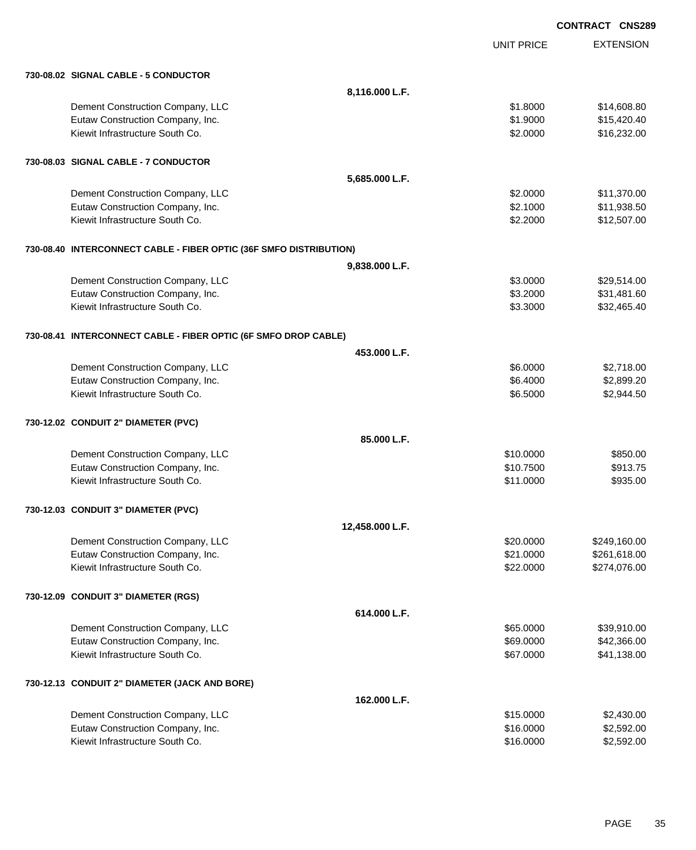EXTENSION **CONTRACT CNS289** UNIT PRICE **730-08.02 SIGNAL CABLE - 5 CONDUCTOR 8,116.000 L.F.** Dement Construction Company, LLC 6 and the state of the state of the state of the state  $$1.8000$  \$14,608.80 Eutaw Construction Company, Inc. 6. The Construction Company, Inc. 6. The Construction Company, Inc. 6. The Construction Company, Inc. 6. The Construction Company, Inc. 6. The Construction Company, Inc. 6. The Construction Kiewit Infrastructure South Co. **\$2.000 \$16,232.00** \$16,232.00 **730-08.03 SIGNAL CABLE - 7 CONDUCTOR 5,685.000 L.F.** Dement Construction Company, LLC 6 and the state of the state of the state of the state of the state of the state of the state of the state of the state of the state of the state of the state of the state of the state of t Eutaw Construction Company, Inc. 6. The Construction Company, Inc. 6. The Construction Company, Inc. 6. The Construction Company, Inc. 6. The Construction Company, Inc. 6. The Construction Company, Inc. 6. The Construction Kiewit Infrastructure South Co. **\$2.2000** \$12,507.00 **730-08.40 INTERCONNECT CABLE - FIBER OPTIC (36F SMFO DISTRIBUTION) 9,838.000 L.F.** Dement Construction Company, LLC 6 and the state of the state of the state  $$3.0000$  \$29,514.00 Eutaw Construction Company, Inc. 60. The Construction Company, Inc. 60. The Construction Company, Inc. 60. The Construction Company, Inc. 60. The Construction Company, Inc. 60. The Construction Company, Inc. 60. The Constr Kiewit Infrastructure South Co. 632,465.40 **730-08.41 INTERCONNECT CABLE - FIBER OPTIC (6F SMFO DROP CABLE) 453.000 L.F.** Dement Construction Company, LLC 6.0000 \$2,718.00 Eutaw Construction Company, Inc. 6. The Construction Company, Inc. 6. The Construction Company, Inc. 6.6.4000 \$2,899.20 Kiewit Infrastructure South Co. **6.2.944.50 \$2,944.50 \$2,944.50 \$2,944.50 \$2,944.50 730-12.02 CONDUIT 2" DIAMETER (PVC) 85.000 L.F.** Dement Construction Company, LLC 6 and the state of the state of the state of the state of the state of the state of the state of the state of the state of the state of the state of the state of the state of the state of t Eutaw Construction Company, Inc. 6913.75 Kiewit Infrastructure South Co. 6935.00 **730-12.03 CONDUIT 3" DIAMETER (PVC) 12,458.000 L.F.** Dement Construction Company, LLC 6 and the state of the state of the state of the state of the state of the state of the state of the state of the state of the state of the state of the state of the state of the state of t Eutaw Construction Company, Inc. 6. The Construction Company, Inc. 6. The Construction Company, Inc. 6. The Construction Company, Inc. 6. The Construction Company, Inc. 6. The Construction Company, Inc. 6. The Construction Kiewit Infrastructure South Co. **622.0000 \$274,076.00** \$274,076.00 **730-12.09 CONDUIT 3" DIAMETER (RGS) 614.000 L.F.** Dement Construction Company, LLC 665.0000 \$39,910.00 Eutaw Construction Company, Inc. 69.000 \$42,366.00 Kiewit Infrastructure South Co. **641,138.00** \$41,138.00 **730-12.13 CONDUIT 2" DIAMETER (JACK AND BORE) 162.000 L.F.** Dement Construction Company, LLC 6 and the state of the state of the state of the state of the state of the state of the state of the state of the state of the state of the state of the state of the state of the state of t Eutaw Construction Company, Inc. 6. The Construction Company, Inc. 6. The Construction Company, Inc. 6. The Construction Company, Inc. 6. The Construction Company, Inc. 6. The Construction Company, Inc. 6. The Construction Kiewit Infrastructure South Co. **\$16.0000 \$2,592.00** \$2,592.00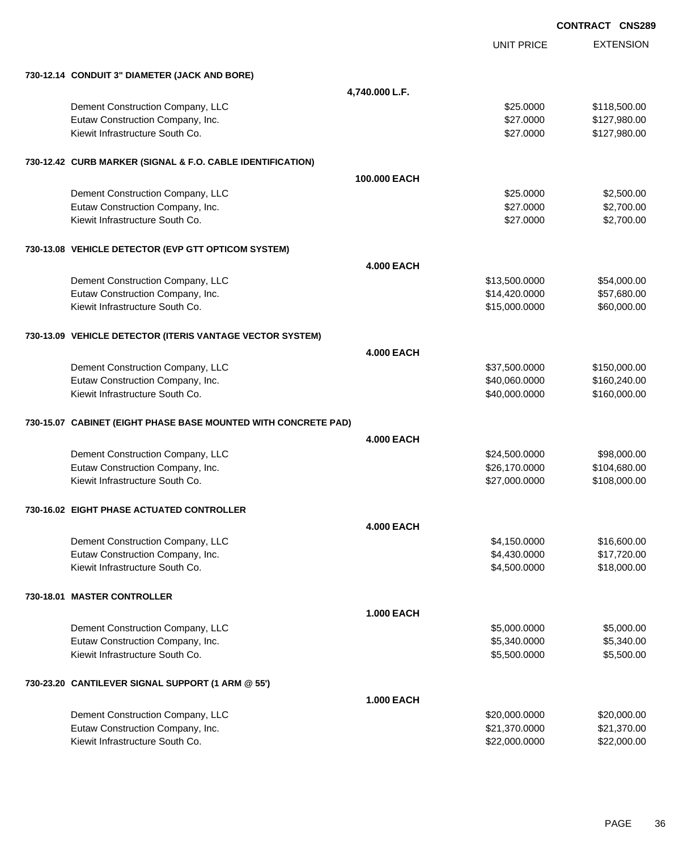|  |                                                                |                   |                   | <b>CONTRACT CNS28</b> |
|--|----------------------------------------------------------------|-------------------|-------------------|-----------------------|
|  |                                                                |                   | <b>UNIT PRICE</b> | <b>EXTENSION</b>      |
|  | 730-12.14 CONDUIT 3" DIAMETER (JACK AND BORE)                  |                   |                   |                       |
|  |                                                                | 4,740.000 L.F.    |                   |                       |
|  | Dement Construction Company, LLC                               |                   | \$25.0000         | \$118,500.00          |
|  | Eutaw Construction Company, Inc.                               |                   | \$27.0000         | \$127,980.00          |
|  | Kiewit Infrastructure South Co.                                |                   | \$27.0000         | \$127,980.00          |
|  | 730-12.42 CURB MARKER (SIGNAL & F.O. CABLE IDENTIFICATION)     |                   |                   |                       |
|  |                                                                | 100.000 EACH      |                   |                       |
|  | Dement Construction Company, LLC                               |                   | \$25.0000         | \$2,500.00            |
|  | Eutaw Construction Company, Inc.                               |                   | \$27.0000         | \$2,700.00            |
|  | Kiewit Infrastructure South Co.                                |                   | \$27.0000         | \$2,700.00            |
|  | 730-13.08 VEHICLE DETECTOR (EVP GTT OPTICOM SYSTEM)            |                   |                   |                       |
|  |                                                                | <b>4.000 EACH</b> |                   |                       |
|  | Dement Construction Company, LLC                               |                   | \$13,500.0000     | \$54,000.00           |
|  | Eutaw Construction Company, Inc.                               |                   | \$14,420.0000     | \$57,680.00           |
|  | Kiewit Infrastructure South Co.                                |                   | \$15,000.0000     | \$60,000.00           |
|  | 730-13.09 VEHICLE DETECTOR (ITERIS VANTAGE VECTOR SYSTEM)      |                   |                   |                       |
|  |                                                                | <b>4.000 EACH</b> |                   |                       |
|  | Dement Construction Company, LLC                               |                   | \$37,500.0000     | \$150,000.00          |
|  | Eutaw Construction Company, Inc.                               |                   | \$40,060.0000     | \$160,240.00          |
|  | Kiewit Infrastructure South Co.                                |                   | \$40,000.0000     | \$160,000.00          |
|  | 730-15.07 CABINET (EIGHT PHASE BASE MOUNTED WITH CONCRETE PAD) |                   |                   |                       |
|  |                                                                | <b>4.000 EACH</b> |                   |                       |
|  | Dement Construction Company, LLC                               |                   | \$24,500.0000     | \$98,000.00           |
|  | Eutaw Construction Company, Inc.                               |                   | \$26,170.0000     | \$104,680.00          |
|  | Kiewit Infrastructure South Co.                                |                   | \$27,000.0000     | \$108,000.00          |
|  | 730-16.02 EIGHT PHASE ACTUATED CONTROLLER                      |                   |                   |                       |
|  |                                                                | <b>4.000 EACH</b> |                   |                       |
|  | Dement Construction Company, LLC                               |                   | \$4,150.0000      | \$16,600.00           |
|  | Eutaw Construction Company, Inc.                               |                   | \$4,430.0000      | \$17,720.00           |
|  | Kiewit Infrastructure South Co.                                |                   | \$4,500.0000      | \$18,000.00           |
|  | 730-18.01 MASTER CONTROLLER                                    |                   |                   |                       |
|  |                                                                | <b>1.000 EACH</b> |                   |                       |
|  | Dement Construction Company, LLC                               |                   | \$5,000.0000      | \$5,000.00            |
|  | Eutaw Construction Company, Inc.                               |                   | \$5,340.0000      | \$5,340.00            |
|  | Kiewit Infrastructure South Co.                                |                   | \$5,500.0000      | \$5,500.00            |
|  | 730-23.20 CANTILEVER SIGNAL SUPPORT (1 ARM @ 55')              |                   |                   |                       |
|  |                                                                | <b>1.000 EACH</b> |                   |                       |
|  | Dement Construction Company, LLC                               |                   | \$20,000.0000     | \$20,000.00           |
|  | Eutaw Construction Company, Inc.                               |                   | \$21,370.0000     | \$21,370.00           |
|  | Kiewit Infrastructure South Co.                                |                   | \$22,000.0000     | \$22,000.00           |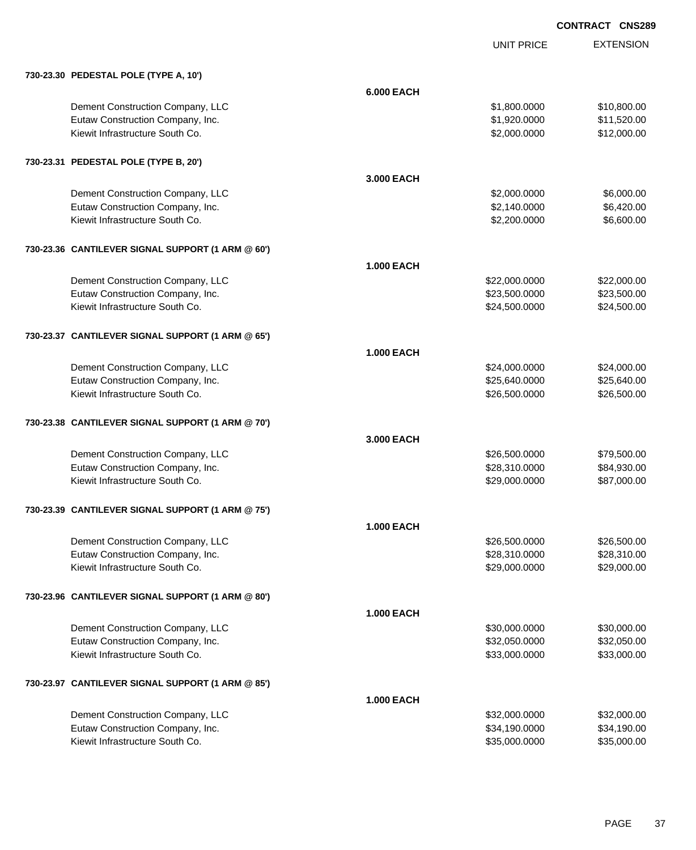|                                                   |                   | <b>UNIT PRICE</b> | <b>EXTENSION</b> |
|---------------------------------------------------|-------------------|-------------------|------------------|
| 730-23.30 PEDESTAL POLE (TYPE A, 10')             |                   |                   |                  |
|                                                   | <b>6.000 EACH</b> |                   |                  |
| Dement Construction Company, LLC                  |                   | \$1,800.0000      | \$10,800.00      |
| Eutaw Construction Company, Inc.                  |                   | \$1,920.0000      | \$11,520.00      |
| Kiewit Infrastructure South Co.                   |                   | \$2,000.0000      | \$12,000.00      |
| 730-23.31 PEDESTAL POLE (TYPE B, 20')             |                   |                   |                  |
|                                                   | 3.000 EACH        |                   |                  |
| Dement Construction Company, LLC                  |                   | \$2,000.0000      | \$6,000.00       |
| Eutaw Construction Company, Inc.                  |                   | \$2,140.0000      | \$6,420.00       |
| Kiewit Infrastructure South Co.                   |                   | \$2,200.0000      | \$6,600.00       |
| 730-23.36 CANTILEVER SIGNAL SUPPORT (1 ARM @ 60') |                   |                   |                  |
|                                                   | <b>1.000 EACH</b> |                   |                  |
| Dement Construction Company, LLC                  |                   | \$22,000.0000     | \$22,000.00      |
| Eutaw Construction Company, Inc.                  |                   | \$23,500.0000     | \$23,500.00      |
| Kiewit Infrastructure South Co.                   |                   | \$24,500.0000     | \$24,500.00      |
| 730-23.37 CANTILEVER SIGNAL SUPPORT (1 ARM @ 65') |                   |                   |                  |
|                                                   | <b>1.000 EACH</b> |                   |                  |
| Dement Construction Company, LLC                  |                   | \$24,000.0000     | \$24,000.00      |
| Eutaw Construction Company, Inc.                  |                   | \$25,640.0000     | \$25,640.00      |
| Kiewit Infrastructure South Co.                   |                   | \$26,500.0000     | \$26,500.00      |
| 730-23.38 CANTILEVER SIGNAL SUPPORT (1 ARM @ 70') |                   |                   |                  |
|                                                   | 3,000 EACH        |                   |                  |
| Dement Construction Company, LLC                  |                   | \$26,500.0000     | \$79,500.00      |
| Eutaw Construction Company, Inc.                  |                   | \$28,310.0000     | \$84,930.00      |
| Kiewit Infrastructure South Co.                   |                   | \$29,000.0000     | \$87,000.00      |
| 730-23.39 CANTILEVER SIGNAL SUPPORT (1 ARM @ 75') |                   |                   |                  |
|                                                   | <b>1.000 EACH</b> |                   |                  |
| Dement Construction Company, LLC                  |                   | \$26,500.0000     | \$26,500.00      |
| Eutaw Construction Company, Inc.                  |                   | \$28,310.0000     | \$28,310.00      |
| Kiewit Infrastructure South Co.                   |                   | \$29,000.0000     | \$29,000.00      |
| 730-23.96 CANTILEVER SIGNAL SUPPORT (1 ARM @ 80') |                   |                   |                  |
|                                                   | <b>1.000 EACH</b> |                   |                  |
| Dement Construction Company, LLC                  |                   | \$30,000.0000     | \$30,000.00      |
| Eutaw Construction Company, Inc.                  |                   | \$32,050.0000     | \$32,050.00      |
| Kiewit Infrastructure South Co.                   |                   | \$33,000.0000     | \$33,000.00      |
| 730-23.97 CANTILEVER SIGNAL SUPPORT (1 ARM @ 85') |                   |                   |                  |
|                                                   | <b>1.000 EACH</b> |                   |                  |
| Dement Construction Company, LLC                  |                   | \$32,000.0000     | \$32,000.00      |
| Eutaw Construction Company, Inc.                  |                   | \$34,190.0000     | \$34,190.00      |
| Kiewit Infrastructure South Co.                   |                   | \$35,000.0000     | \$35,000.00      |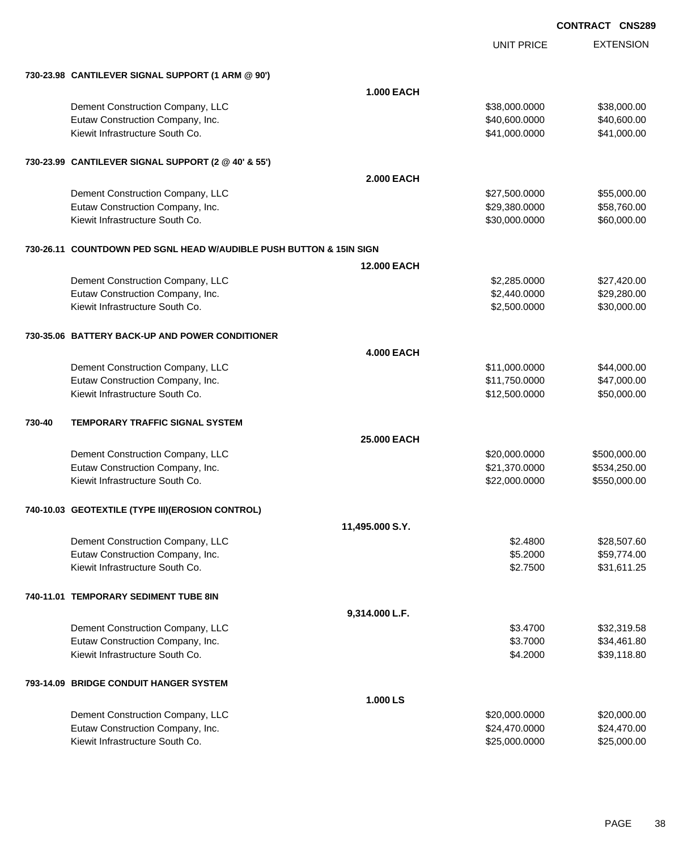|        |                                                                     |                    |                   | UUNIKAUI UNJZO   |  |  |
|--------|---------------------------------------------------------------------|--------------------|-------------------|------------------|--|--|
|        |                                                                     |                    | <b>UNIT PRICE</b> | <b>EXTENSION</b> |  |  |
|        | 730-23.98 CANTILEVER SIGNAL SUPPORT (1 ARM @ 90')                   |                    |                   |                  |  |  |
|        |                                                                     | <b>1.000 EACH</b>  |                   |                  |  |  |
|        | Dement Construction Company, LLC                                    |                    | \$38,000.0000     | \$38,000.00      |  |  |
|        | Eutaw Construction Company, Inc.                                    |                    | \$40,600.0000     | \$40,600.00      |  |  |
|        | Kiewit Infrastructure South Co.                                     |                    | \$41,000.0000     | \$41,000.00      |  |  |
|        | 730-23.99 CANTILEVER SIGNAL SUPPORT (2 @ 40' & 55')                 |                    |                   |                  |  |  |
|        |                                                                     | <b>2.000 EACH</b>  |                   |                  |  |  |
|        | Dement Construction Company, LLC                                    |                    | \$27,500.0000     | \$55,000.00      |  |  |
|        | Eutaw Construction Company, Inc.                                    |                    | \$29,380.0000     | \$58,760.00      |  |  |
|        | Kiewit Infrastructure South Co.                                     |                    | \$30,000.0000     | \$60,000.00      |  |  |
|        | 730-26.11 COUNTDOWN PED SGNL HEAD W/AUDIBLE PUSH BUTTON & 15IN SIGN |                    |                   |                  |  |  |
|        |                                                                     | <b>12.000 EACH</b> |                   |                  |  |  |
|        | Dement Construction Company, LLC                                    |                    | \$2,285.0000      | \$27,420.00      |  |  |
|        | Eutaw Construction Company, Inc.                                    |                    | \$2,440.0000      | \$29,280.00      |  |  |
|        | Kiewit Infrastructure South Co.                                     |                    | \$2,500.0000      | \$30,000.00      |  |  |
|        | 730-35.06 BATTERY BACK-UP AND POWER CONDITIONER                     |                    |                   |                  |  |  |
|        |                                                                     | <b>4.000 EACH</b>  |                   |                  |  |  |
|        | Dement Construction Company, LLC                                    |                    | \$11,000.0000     | \$44,000.00      |  |  |
|        | Eutaw Construction Company, Inc.                                    |                    | \$11,750.0000     | \$47,000.00      |  |  |
|        | Kiewit Infrastructure South Co.                                     |                    | \$12,500.0000     | \$50,000.00      |  |  |
| 730-40 | TEMPORARY TRAFFIC SIGNAL SYSTEM                                     |                    |                   |                  |  |  |
|        |                                                                     | <b>25,000 EACH</b> |                   |                  |  |  |
|        | Dement Construction Company, LLC                                    |                    | \$20,000.0000     | \$500,000.00     |  |  |
|        | Eutaw Construction Company, Inc.                                    |                    | \$21,370.0000     | \$534,250.00     |  |  |
|        | Kiewit Infrastructure South Co.                                     |                    | \$22,000.0000     | \$550,000.00     |  |  |
|        | 740-10.03 GEOTEXTILE (TYPE III) (EROSION CONTROL)                   |                    |                   |                  |  |  |
|        |                                                                     | 11,495.000 S.Y.    |                   |                  |  |  |
|        | Dement Construction Company, LLC                                    |                    | \$2,4800          | \$28,507.60      |  |  |
|        | Eutaw Construction Company, Inc.                                    |                    | \$5.2000          | \$59,774.00      |  |  |
|        | Kiewit Infrastructure South Co.                                     |                    | \$2.7500          | \$31,611.25      |  |  |
|        | 740-11.01 TEMPORARY SEDIMENT TUBE 8IN                               |                    |                   |                  |  |  |
|        |                                                                     | 9,314.000 L.F.     |                   |                  |  |  |
|        | Dement Construction Company, LLC                                    |                    | \$3.4700          | \$32,319.58      |  |  |
|        | Eutaw Construction Company, Inc.                                    |                    | \$3.7000          | \$34,461.80      |  |  |
|        | Kiewit Infrastructure South Co.                                     |                    | \$4.2000          | \$39,118.80      |  |  |
|        | 793-14.09 BRIDGE CONDUIT HANGER SYSTEM                              |                    |                   |                  |  |  |
|        |                                                                     | 1.000 LS           |                   |                  |  |  |
|        | Dement Construction Company, LLC                                    |                    | \$20,000.0000     | \$20,000.00      |  |  |
|        | Eutaw Construction Company, Inc.                                    |                    | \$24,470.0000     | \$24,470.00      |  |  |
|        | Kiewit Infrastructure South Co.                                     |                    | \$25,000.0000     | \$25,000.00      |  |  |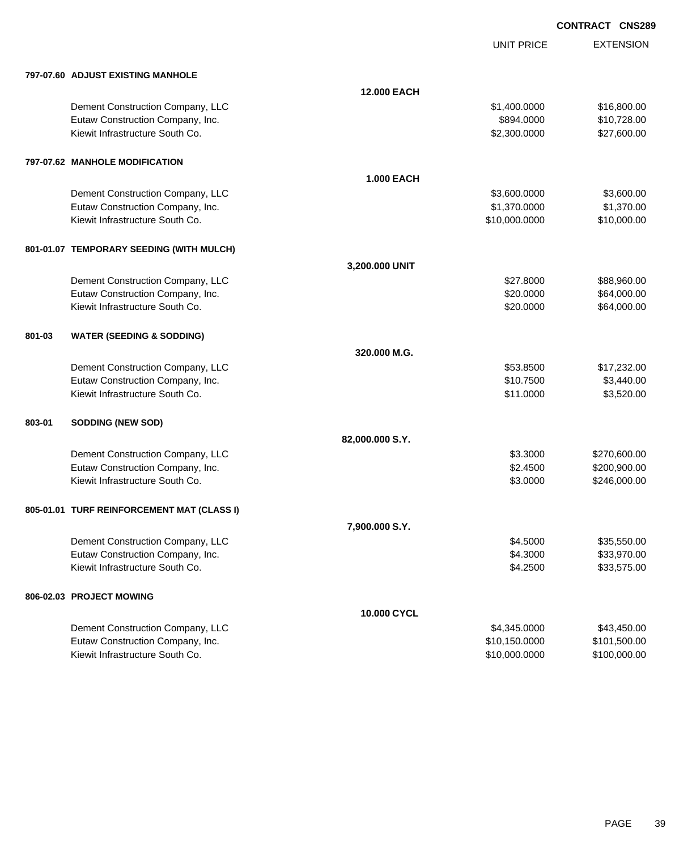UNIT PRICE

|        | 797-07.60 ADJUST EXISTING MANHOLE          |                    |               |              |
|--------|--------------------------------------------|--------------------|---------------|--------------|
|        |                                            | <b>12.000 EACH</b> |               |              |
|        | Dement Construction Company, LLC           |                    | \$1,400.0000  | \$16,800.00  |
|        | Eutaw Construction Company, Inc.           |                    | \$894.0000    | \$10,728.00  |
|        | Kiewit Infrastructure South Co.            |                    | \$2,300.0000  | \$27,600.00  |
|        | 797-07.62 MANHOLE MODIFICATION             |                    |               |              |
|        |                                            | <b>1.000 EACH</b>  |               |              |
|        | Dement Construction Company, LLC           |                    | \$3,600.0000  | \$3,600.00   |
|        | Eutaw Construction Company, Inc.           |                    | \$1,370.0000  | \$1,370.00   |
|        | Kiewit Infrastructure South Co.            |                    | \$10,000.0000 | \$10,000.00  |
|        | 801-01.07 TEMPORARY SEEDING (WITH MULCH)   |                    |               |              |
|        |                                            | 3,200.000 UNIT     |               |              |
|        | Dement Construction Company, LLC           |                    | \$27.8000     | \$88,960.00  |
|        | Eutaw Construction Company, Inc.           |                    | \$20.0000     | \$64,000.00  |
|        | Kiewit Infrastructure South Co.            |                    | \$20.0000     | \$64,000.00  |
| 801-03 | <b>WATER (SEEDING &amp; SODDING)</b>       |                    |               |              |
|        |                                            | 320.000 M.G.       |               |              |
|        | Dement Construction Company, LLC           |                    | \$53.8500     | \$17,232.00  |
|        | Eutaw Construction Company, Inc.           |                    | \$10.7500     | \$3,440.00   |
|        | Kiewit Infrastructure South Co.            |                    | \$11.0000     | \$3,520.00   |
| 803-01 | <b>SODDING (NEW SOD)</b>                   |                    |               |              |
|        |                                            | 82,000.000 S.Y.    |               |              |
|        | Dement Construction Company, LLC           |                    | \$3.3000      | \$270,600.00 |
|        | Eutaw Construction Company, Inc.           |                    | \$2.4500      | \$200,900.00 |
|        | Kiewit Infrastructure South Co.            |                    | \$3.0000      | \$246,000.00 |
|        | 805-01.01 TURF REINFORCEMENT MAT (CLASS I) |                    |               |              |
|        |                                            | 7,900.000 S.Y.     |               |              |
|        | Dement Construction Company, LLC           |                    | \$4.5000      | \$35,550.00  |
|        | Eutaw Construction Company, Inc.           |                    | \$4.3000      | \$33,970.00  |
|        | Kiewit Infrastructure South Co.            |                    | \$4.2500      | \$33,575.00  |
|        | 806-02.03 PROJECT MOWING                   |                    |               |              |
|        |                                            | 10.000 CYCL        |               |              |
|        | Dement Construction Company, LLC           |                    | \$4,345.0000  | \$43,450.00  |
|        | Eutaw Construction Company, Inc.           |                    | \$10,150.0000 | \$101,500.00 |
|        | Kiewit Infrastructure South Co.            |                    | \$10,000.0000 | \$100,000.00 |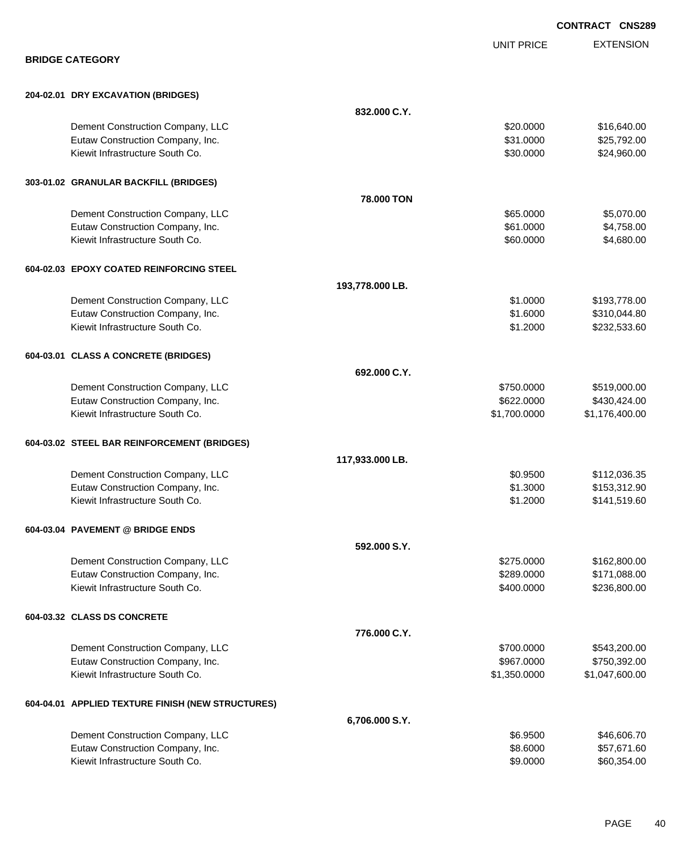|                                                   |                   | <b>CONTRACT CNS289</b> |
|---------------------------------------------------|-------------------|------------------------|
|                                                   | <b>UNIT PRICE</b> | <b>EXTENSION</b>       |
| <b>BRIDGE CATEGORY</b>                            |                   |                        |
| 204-02.01 DRY EXCAVATION (BRIDGES)                |                   |                        |
| 832.000 C.Y.                                      |                   |                        |
| Dement Construction Company, LLC                  | \$20.0000         | \$16,640.00            |
| Eutaw Construction Company, Inc.                  | \$31.0000         | \$25,792.00            |
| Kiewit Infrastructure South Co.                   | \$30.0000         | \$24,960.00            |
| 303-01.02 GRANULAR BACKFILL (BRIDGES)             |                   |                        |
| 78.000 TON                                        |                   |                        |
| Dement Construction Company, LLC                  | \$65.0000         | \$5,070.00             |
| Eutaw Construction Company, Inc.                  | \$61.0000         | \$4,758.00             |
| Kiewit Infrastructure South Co.                   | \$60.0000         | \$4,680.00             |
| 604-02.03 EPOXY COATED REINFORCING STEEL          |                   |                        |
| 193,778.000 LB.                                   |                   |                        |
| Dement Construction Company, LLC                  | \$1.0000          | \$193,778.00           |
| Eutaw Construction Company, Inc.                  | \$1.6000          | \$310,044.80           |
| Kiewit Infrastructure South Co.                   | \$1.2000          | \$232,533.60           |
| 604-03.01 CLASS A CONCRETE (BRIDGES)              |                   |                        |
| 692.000 C.Y.                                      |                   |                        |
| Dement Construction Company, LLC                  | \$750.0000        | \$519,000.00           |
| Eutaw Construction Company, Inc.                  | \$622.0000        | \$430,424.00           |
| Kiewit Infrastructure South Co.                   | \$1,700.0000      | \$1,176,400.00         |
| 604-03.02 STEEL BAR REINFORCEMENT (BRIDGES)       |                   |                        |
| 117,933.000 LB.                                   |                   |                        |
| Dement Construction Company, LLC                  | \$0.9500          | \$112,036.35           |
| Eutaw Construction Company, Inc.                  | \$1.3000          | \$153,312.90           |
| Kiewit Infrastructure South Co.                   | \$1.2000          | \$141,519.60           |
| 604-03.04 PAVEMENT @ BRIDGE ENDS                  |                   |                        |
| 592.000 S.Y.                                      |                   |                        |
| Dement Construction Company, LLC                  | \$275.0000        | \$162,800.00           |
| Eutaw Construction Company, Inc.                  | \$289.0000        | \$171,088.00           |
| Kiewit Infrastructure South Co.                   | \$400.0000        | \$236,800.00           |
| 604-03.32 CLASS DS CONCRETE                       |                   |                        |
| 776.000 C.Y.                                      |                   |                        |
| Dement Construction Company, LLC                  | \$700.0000        | \$543,200.00           |
| Eutaw Construction Company, Inc.                  | \$967.0000        | \$750,392.00           |
| Kiewit Infrastructure South Co.                   | \$1,350.0000      | \$1,047,600.00         |
| 604-04.01 APPLIED TEXTURE FINISH (NEW STRUCTURES) |                   |                        |
| 6,706.000 S.Y.                                    |                   |                        |
| Dement Construction Company, LLC                  | \$6.9500          | \$46,606.70            |
| Eutaw Construction Company, Inc.                  | \$8.6000          | \$57,671.60            |
| Kiewit Infrastructure South Co.                   | \$9.0000          | \$60,354.00            |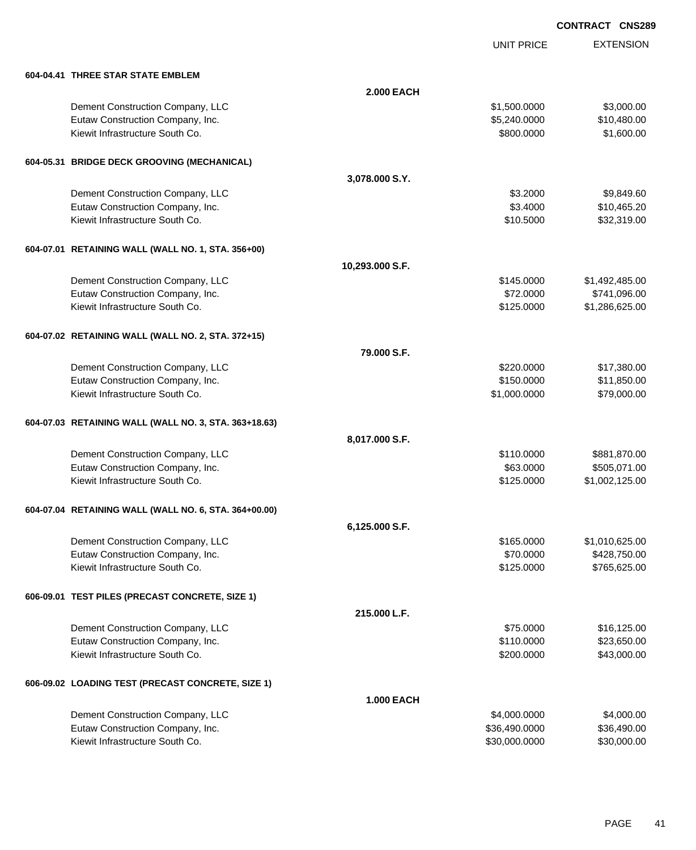UNIT PRICE

| 604-04.41 THREE STAR STATE EMBLEM                     |                   |               |                |
|-------------------------------------------------------|-------------------|---------------|----------------|
|                                                       | <b>2.000 EACH</b> |               |                |
| Dement Construction Company, LLC                      |                   | \$1,500.0000  | \$3,000.00     |
| Eutaw Construction Company, Inc.                      |                   | \$5,240.0000  | \$10,480.00    |
| Kiewit Infrastructure South Co.                       |                   | \$800.0000    | \$1,600.00     |
|                                                       |                   |               |                |
| 604-05.31 BRIDGE DECK GROOVING (MECHANICAL)           |                   |               |                |
|                                                       | 3,078.000 S.Y.    |               |                |
| Dement Construction Company, LLC                      |                   | \$3.2000      | \$9,849.60     |
| Eutaw Construction Company, Inc.                      |                   | \$3.4000      | \$10,465.20    |
| Kiewit Infrastructure South Co.                       |                   | \$10.5000     | \$32,319.00    |
| 604-07.01 RETAINING WALL (WALL NO. 1, STA. 356+00)    |                   |               |                |
|                                                       | 10,293.000 S.F.   |               |                |
| Dement Construction Company, LLC                      |                   | \$145.0000    | \$1,492,485.00 |
| Eutaw Construction Company, Inc.                      |                   | \$72.0000     | \$741,096.00   |
| Kiewit Infrastructure South Co.                       |                   | \$125.0000    | \$1,286,625.00 |
| 604-07.02 RETAINING WALL (WALL NO. 2, STA. 372+15)    |                   |               |                |
|                                                       | 79.000 S.F.       |               |                |
| Dement Construction Company, LLC                      |                   | \$220.0000    | \$17,380.00    |
| Eutaw Construction Company, Inc.                      |                   | \$150.0000    | \$11,850.00    |
| Kiewit Infrastructure South Co.                       |                   | \$1,000.0000  | \$79,000.00    |
| 604-07.03 RETAINING WALL (WALL NO. 3, STA. 363+18.63) |                   |               |                |
|                                                       | 8,017.000 S.F.    |               |                |
| Dement Construction Company, LLC                      |                   | \$110.0000    | \$881,870.00   |
| Eutaw Construction Company, Inc.                      |                   | \$63.0000     | \$505,071.00   |
| Kiewit Infrastructure South Co.                       |                   | \$125.0000    | \$1,002,125.00 |
| 604-07.04 RETAINING WALL (WALL NO. 6, STA. 364+00.00) |                   |               |                |
|                                                       | 6,125.000 S.F.    |               |                |
| Dement Construction Company, LLC                      |                   | \$165,0000    | \$1,010,625.00 |
| Eutaw Construction Company, Inc.                      |                   | \$70.0000     | \$428,750.00   |
| Kiewit Infrastructure South Co.                       |                   | \$125.0000    | \$765,625.00   |
| 606-09.01 TEST PILES (PRECAST CONCRETE, SIZE 1)       |                   |               |                |
|                                                       | 215.000 L.F.      |               |                |
| Dement Construction Company, LLC                      |                   | \$75.0000     | \$16,125.00    |
| Eutaw Construction Company, Inc.                      |                   | \$110.0000    | \$23,650.00    |
| Kiewit Infrastructure South Co.                       |                   | \$200.0000    | \$43,000.00    |
| 606-09.02 LOADING TEST (PRECAST CONCRETE, SIZE 1)     |                   |               |                |
|                                                       | <b>1.000 EACH</b> |               |                |
| Dement Construction Company, LLC                      |                   | \$4,000.0000  | \$4,000.00     |
| Eutaw Construction Company, Inc.                      |                   | \$36,490.0000 | \$36,490.00    |
| Kiewit Infrastructure South Co.                       |                   | \$30,000.0000 | \$30,000.00    |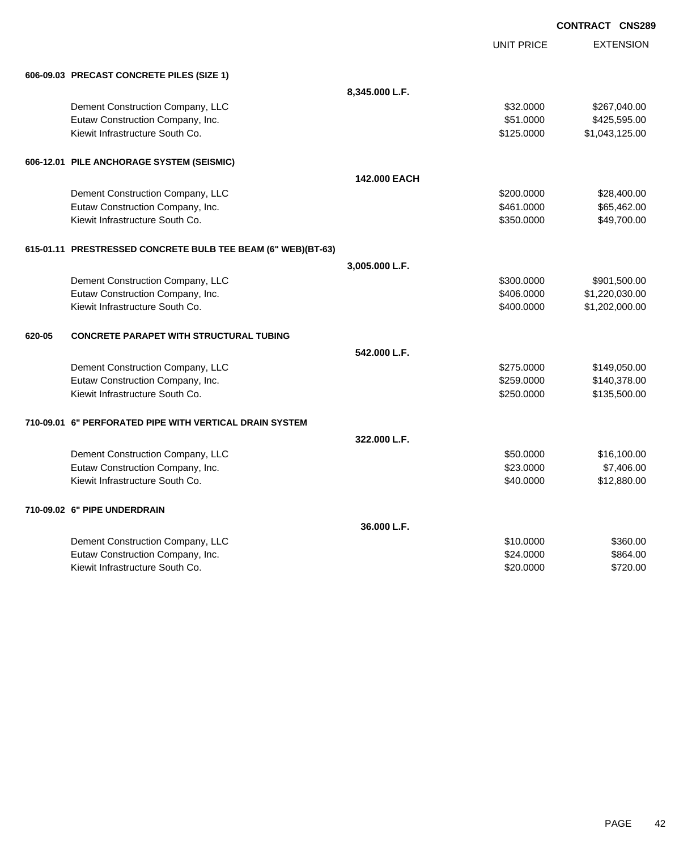| <b>CONTRACT CNS289</b> |  |
|------------------------|--|
|                        |  |

|                                                              |                | <b>UNIT PRICE</b> | <b>EXTENSION</b> |
|--------------------------------------------------------------|----------------|-------------------|------------------|
| 606-09.03 PRECAST CONCRETE PILES (SIZE 1)                    |                |                   |                  |
|                                                              | 8,345.000 L.F. |                   |                  |
| Dement Construction Company, LLC                             |                | \$32.0000         | \$267,040.00     |
| Eutaw Construction Company, Inc.                             |                | \$51.0000         | \$425,595.00     |
| Kiewit Infrastructure South Co.                              |                | \$125.0000        | \$1,043,125.00   |
| 606-12.01 PILE ANCHORAGE SYSTEM (SEISMIC)                    |                |                   |                  |
|                                                              | 142,000 EACH   |                   |                  |
| Dement Construction Company, LLC                             |                | \$200.0000        | \$28,400.00      |
| Eutaw Construction Company, Inc.                             |                | \$461.0000        | \$65,462.00      |
| Kiewit Infrastructure South Co.                              |                | \$350.0000        | \$49,700.00      |
| 615-01.11 PRESTRESSED CONCRETE BULB TEE BEAM (6" WEB)(BT-63) |                |                   |                  |
|                                                              | 3,005.000 L.F. |                   |                  |
| Dement Construction Company, LLC                             |                | \$300.0000        | \$901,500.00     |
| Eutaw Construction Company, Inc.                             |                | \$406.0000        | \$1,220,030.00   |
| Kiewit Infrastructure South Co.                              |                | \$400.0000        | \$1,202,000.00   |
| <b>CONCRETE PARAPET WITH STRUCTURAL TUBING</b><br>620-05     |                |                   |                  |
|                                                              | 542.000 L.F.   |                   |                  |
| Dement Construction Company, LLC                             |                | \$275.0000        | \$149,050.00     |
| Eutaw Construction Company, Inc.                             |                | \$259.0000        | \$140,378.00     |
| Kiewit Infrastructure South Co.                              |                | \$250.0000        | \$135,500.00     |
| 710-09.01 6" PERFORATED PIPE WITH VERTICAL DRAIN SYSTEM      |                |                   |                  |
|                                                              | 322.000 L.F.   |                   |                  |
| Dement Construction Company, LLC                             |                | \$50.0000         | \$16,100.00      |
| Eutaw Construction Company, Inc.                             |                | \$23.0000         | \$7,406.00       |
| Kiewit Infrastructure South Co.                              |                | \$40.0000         | \$12,880.00      |
| 710-09.02 6" PIPE UNDERDRAIN                                 |                |                   |                  |
|                                                              | 36.000 L.F.    |                   |                  |
| Dement Construction Company, LLC                             |                | \$10.0000         | \$360.00         |
| Eutaw Construction Company, Inc.                             |                | \$24,0000         | \$864.00         |
| Kiewit Infrastructure South Co.                              |                | \$20.0000         | \$720.00         |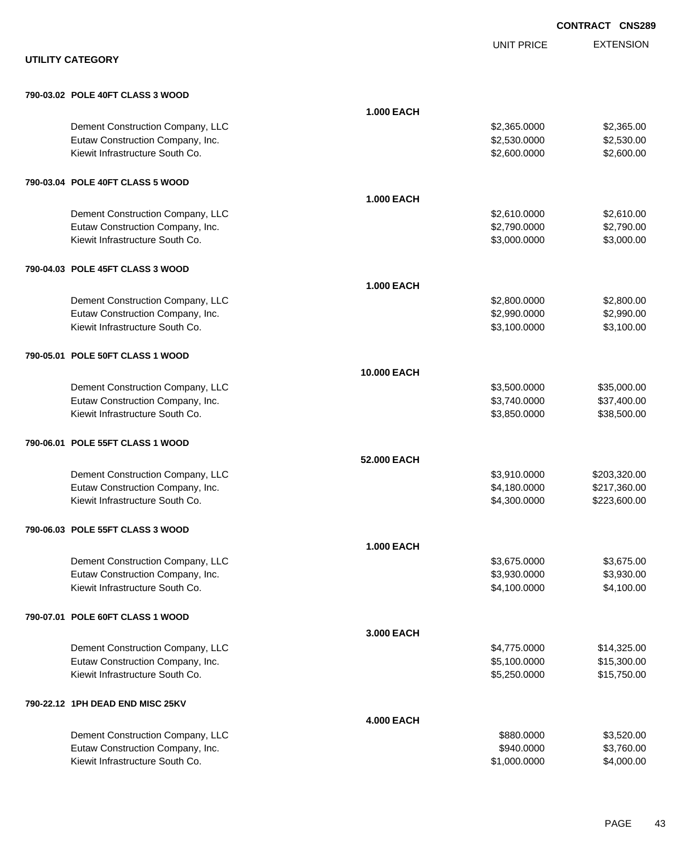|                                  |                   |                   | <b>CONTRACT CNS289</b> |
|----------------------------------|-------------------|-------------------|------------------------|
|                                  |                   | <b>UNIT PRICE</b> | <b>EXTENSION</b>       |
| <b>UTILITY CATEGORY</b>          |                   |                   |                        |
| 790-03.02 POLE 40FT CLASS 3 WOOD |                   |                   |                        |
|                                  | <b>1.000 EACH</b> |                   |                        |
| Dement Construction Company, LLC |                   | \$2,365.0000      | \$2,365.00             |
| Eutaw Construction Company, Inc. |                   | \$2,530.0000      | \$2,530.00             |
| Kiewit Infrastructure South Co.  |                   | \$2,600.0000      | \$2,600.00             |
| 790-03.04 POLE 40FT CLASS 5 WOOD |                   |                   |                        |
|                                  | <b>1.000 EACH</b> |                   |                        |
| Dement Construction Company, LLC |                   | \$2,610.0000      | \$2,610.00             |
| Eutaw Construction Company, Inc. |                   | \$2,790.0000      | \$2,790.00             |
| Kiewit Infrastructure South Co.  |                   | \$3,000.0000      | \$3,000.00             |
| 790-04.03 POLE 45FT CLASS 3 WOOD |                   |                   |                        |
|                                  | <b>1.000 EACH</b> |                   |                        |
| Dement Construction Company, LLC |                   | \$2,800.0000      | \$2,800.00             |
| Eutaw Construction Company, Inc. |                   | \$2,990.0000      | \$2,990.00             |
| Kiewit Infrastructure South Co.  |                   | \$3,100.0000      | \$3,100.00             |
| 790-05.01 POLE 50FT CLASS 1 WOOD |                   |                   |                        |
|                                  | 10.000 EACH       |                   |                        |
| Dement Construction Company, LLC |                   | \$3,500.0000      | \$35,000.00            |
| Eutaw Construction Company, Inc. |                   | \$3,740.0000      | \$37,400.00            |
| Kiewit Infrastructure South Co.  |                   | \$3,850.0000      | \$38,500.00            |
| 790-06.01 POLE 55FT CLASS 1 WOOD |                   |                   |                        |
|                                  | 52.000 EACH       |                   |                        |
| Dement Construction Company, LLC |                   | \$3,910.0000      | \$203,320.00           |
| Eutaw Construction Company, Inc. |                   | \$4,180.0000      | \$217,360.00           |
| Kiewit Infrastructure South Co.  |                   | \$4,300.0000      | \$223,600.00           |
| 790-06.03 POLE 55FT CLASS 3 WOOD |                   |                   |                        |
|                                  | <b>1.000 EACH</b> |                   |                        |
| Dement Construction Company, LLC |                   | \$3,675.0000      | \$3,675.00             |
| Eutaw Construction Company, Inc. |                   | \$3,930.0000      | \$3,930.00             |
| Kiewit Infrastructure South Co.  |                   | \$4,100.0000      | \$4,100.00             |
| 790-07.01 POLE 60FT CLASS 1 WOOD |                   |                   |                        |
|                                  | 3.000 EACH        |                   |                        |
| Dement Construction Company, LLC |                   | \$4,775.0000      | \$14,325.00            |
| Eutaw Construction Company, Inc. |                   | \$5,100.0000      | \$15,300.00            |
| Kiewit Infrastructure South Co.  |                   | \$5,250.0000      | \$15,750.00            |
| 790-22.12 1PH DEAD END MISC 25KV |                   |                   |                        |
|                                  | <b>4.000 EACH</b> |                   |                        |
| Dement Construction Company, LLC |                   | \$880.0000        | \$3,520.00             |
| Eutaw Construction Company, Inc. |                   | \$940.0000        | \$3,760.00             |
| Kiewit Infrastructure South Co.  |                   | \$1,000.0000      | \$4,000.00             |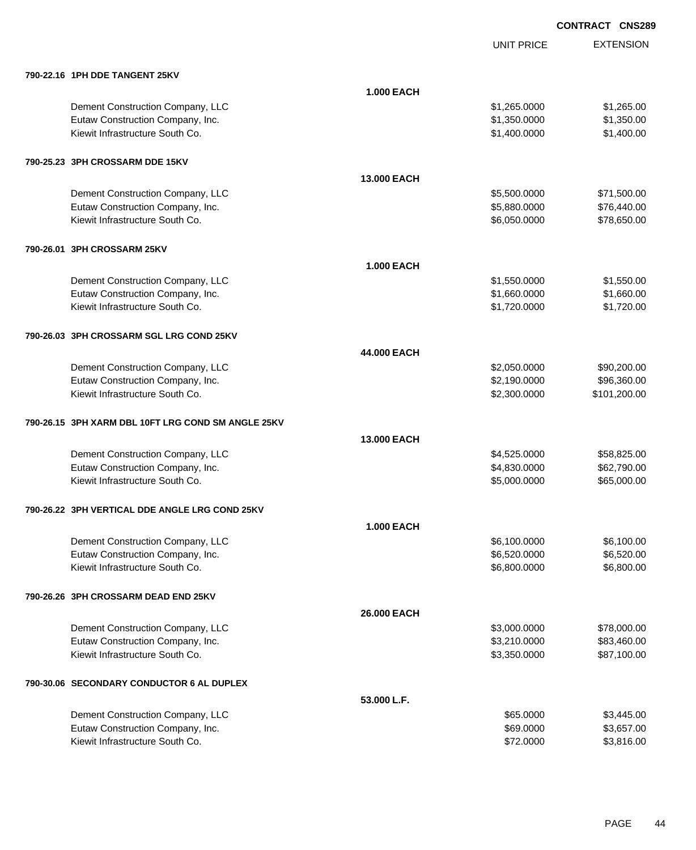UNIT PRICE

| 790-22.16 1PH DDE TANGENT 25KV                     |                    |              |              |
|----------------------------------------------------|--------------------|--------------|--------------|
|                                                    | <b>1.000 EACH</b>  |              |              |
| Dement Construction Company, LLC                   |                    | \$1,265.0000 | \$1,265.00   |
| Eutaw Construction Company, Inc.                   |                    | \$1,350.0000 | \$1,350.00   |
| Kiewit Infrastructure South Co.                    |                    | \$1,400.0000 | \$1,400.00   |
| 790-25.23 3PH CROSSARM DDE 15KV                    |                    |              |              |
|                                                    | <b>13,000 EACH</b> |              |              |
| Dement Construction Company, LLC                   |                    | \$5,500.0000 | \$71,500.00  |
| Eutaw Construction Company, Inc.                   |                    | \$5,880.0000 | \$76,440.00  |
| Kiewit Infrastructure South Co.                    |                    | \$6,050.0000 | \$78,650.00  |
| 790-26.01 3PH CROSSARM 25KV                        |                    |              |              |
|                                                    | <b>1.000 EACH</b>  |              |              |
| Dement Construction Company, LLC                   |                    | \$1,550.0000 | \$1,550.00   |
| Eutaw Construction Company, Inc.                   |                    | \$1,660.0000 | \$1,660.00   |
| Kiewit Infrastructure South Co.                    |                    | \$1,720.0000 | \$1,720.00   |
| 790-26.03 3PH CROSSARM SGL LRG COND 25KV           |                    |              |              |
|                                                    | 44.000 EACH        |              |              |
| Dement Construction Company, LLC                   |                    | \$2,050.0000 | \$90,200.00  |
| Eutaw Construction Company, Inc.                   |                    | \$2,190.0000 | \$96,360.00  |
| Kiewit Infrastructure South Co.                    |                    | \$2,300.0000 | \$101,200.00 |
| 790-26.15 3PH XARM DBL 10FT LRG COND SM ANGLE 25KV |                    |              |              |
|                                                    | 13,000 EACH        |              |              |
| Dement Construction Company, LLC                   |                    | \$4,525.0000 | \$58,825.00  |
| Eutaw Construction Company, Inc.                   |                    | \$4,830.0000 | \$62,790.00  |
| Kiewit Infrastructure South Co.                    |                    | \$5,000.0000 | \$65,000.00  |
| 790-26.22 3PH VERTICAL DDE ANGLE LRG COND 25KV     |                    |              |              |
|                                                    | <b>1.000 EACH</b>  |              |              |
| Dement Construction Company, LLC                   |                    | \$6,100.0000 | \$6,100.00   |
| Eutaw Construction Company, Inc.                   |                    | \$6,520.0000 | \$6,520.00   |
| Kiewit Infrastructure South Co.                    |                    | \$6,800.0000 | \$6,800.00   |
| 790-26.26 3PH CROSSARM DEAD END 25KV               |                    |              |              |
|                                                    | 26.000 EACH        |              |              |
| Dement Construction Company, LLC                   |                    | \$3,000.0000 | \$78,000.00  |
| Eutaw Construction Company, Inc.                   |                    | \$3,210.0000 | \$83,460.00  |
| Kiewit Infrastructure South Co.                    |                    | \$3,350.0000 | \$87,100.00  |
| 790-30.06 SECONDARY CONDUCTOR 6 AL DUPLEX          |                    |              |              |
|                                                    | 53.000 L.F.        |              |              |
| Dement Construction Company, LLC                   |                    | \$65.0000    | \$3,445.00   |
| Eutaw Construction Company, Inc.                   |                    | \$69.0000    | \$3,657.00   |
| Kiewit Infrastructure South Co.                    |                    | \$72.0000    | \$3,816.00   |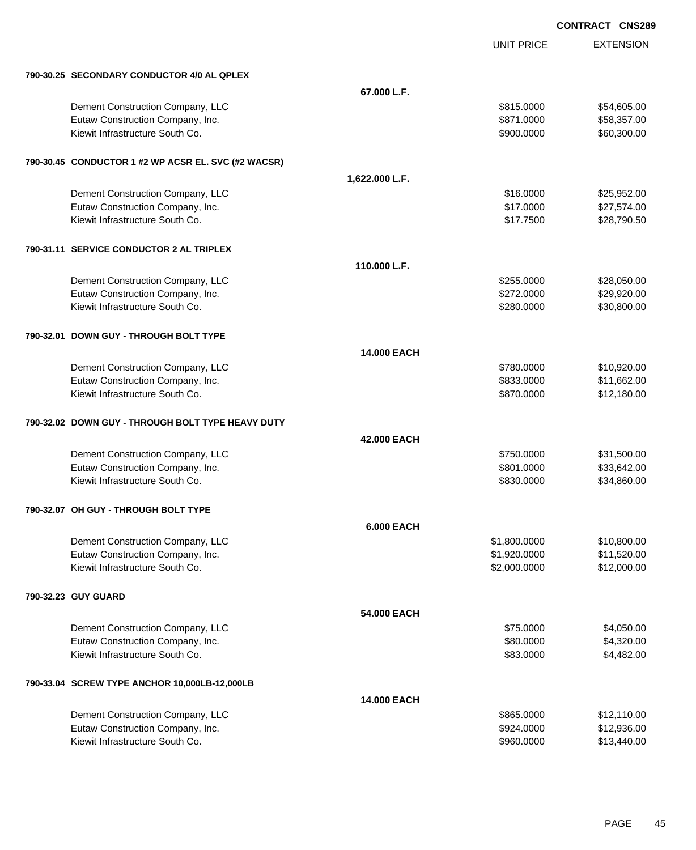|                     |                                                     |                    | UNIT PRICE   | <b>EXTENSION</b> |
|---------------------|-----------------------------------------------------|--------------------|--------------|------------------|
|                     | 790-30.25 SECONDARY CONDUCTOR 4/0 AL QPLEX          |                    |              |                  |
|                     |                                                     | 67.000 L.F.        |              |                  |
|                     | Dement Construction Company, LLC                    |                    | \$815.0000   | \$54,605.00      |
|                     | Eutaw Construction Company, Inc.                    |                    | \$871.0000   | \$58,357.00      |
|                     | Kiewit Infrastructure South Co.                     |                    | \$900.0000   | \$60,300.00      |
|                     | 790-30.45 CONDUCTOR 1 #2 WP ACSR EL. SVC (#2 WACSR) |                    |              |                  |
|                     |                                                     | 1,622.000 L.F.     |              |                  |
|                     | Dement Construction Company, LLC                    |                    | \$16.0000    | \$25,952.00      |
|                     | Eutaw Construction Company, Inc.                    |                    | \$17.0000    | \$27,574.00      |
|                     | Kiewit Infrastructure South Co.                     |                    | \$17.7500    | \$28,790.50      |
|                     | 790-31.11 SERVICE CONDUCTOR 2 AL TRIPLEX            |                    |              |                  |
|                     |                                                     | 110.000 L.F.       |              |                  |
|                     | Dement Construction Company, LLC                    |                    | \$255.0000   | \$28,050.00      |
|                     | Eutaw Construction Company, Inc.                    |                    | \$272.0000   | \$29,920.00      |
|                     | Kiewit Infrastructure South Co.                     |                    | \$280.0000   | \$30,800.00      |
|                     | 790-32.01 DOWN GUY - THROUGH BOLT TYPE              |                    |              |                  |
|                     |                                                     | <b>14.000 EACH</b> |              |                  |
|                     | Dement Construction Company, LLC                    |                    | \$780.0000   | \$10,920.00      |
|                     | Eutaw Construction Company, Inc.                    |                    | \$833.0000   | \$11,662.00      |
|                     | Kiewit Infrastructure South Co.                     |                    | \$870.0000   | \$12,180.00      |
|                     | 790-32.02 DOWN GUY - THROUGH BOLT TYPE HEAVY DUTY   |                    |              |                  |
|                     |                                                     | 42.000 EACH        |              |                  |
|                     | Dement Construction Company, LLC                    |                    | \$750.0000   | \$31,500.00      |
|                     | Eutaw Construction Company, Inc.                    |                    | \$801.0000   | \$33,642.00      |
|                     | Kiewit Infrastructure South Co.                     |                    | \$830,0000   | \$34,860.00      |
|                     | 790-32.07 OH GUY - THROUGH BOLT TYPE                |                    |              |                  |
|                     |                                                     | <b>6.000 EACH</b>  |              |                  |
|                     | Dement Construction Company, LLC                    |                    | \$1,800.0000 | \$10,800.00      |
|                     | Eutaw Construction Company, Inc.                    |                    | \$1,920.0000 | \$11,520.00      |
|                     | Kiewit Infrastructure South Co.                     |                    | \$2,000.0000 | \$12,000.00      |
| 790-32.23 GUY GUARD |                                                     |                    |              |                  |
|                     |                                                     | 54.000 EACH        |              |                  |
|                     | Dement Construction Company, LLC                    |                    | \$75.0000    | \$4,050.00       |
|                     | Eutaw Construction Company, Inc.                    |                    | \$80.0000    | \$4,320.00       |
|                     | Kiewit Infrastructure South Co.                     |                    | \$83.0000    | \$4,482.00       |
|                     | 790-33.04 SCREW TYPE ANCHOR 10,000LB-12,000LB       |                    |              |                  |
|                     |                                                     | <b>14.000 EACH</b> |              |                  |
|                     | Dement Construction Company, LLC                    |                    | \$865.0000   | \$12,110.00      |
|                     | Eutaw Construction Company, Inc.                    |                    | \$924.0000   | \$12,936.00      |
|                     | Kiewit Infrastructure South Co.                     |                    | \$960.0000   | \$13,440.00      |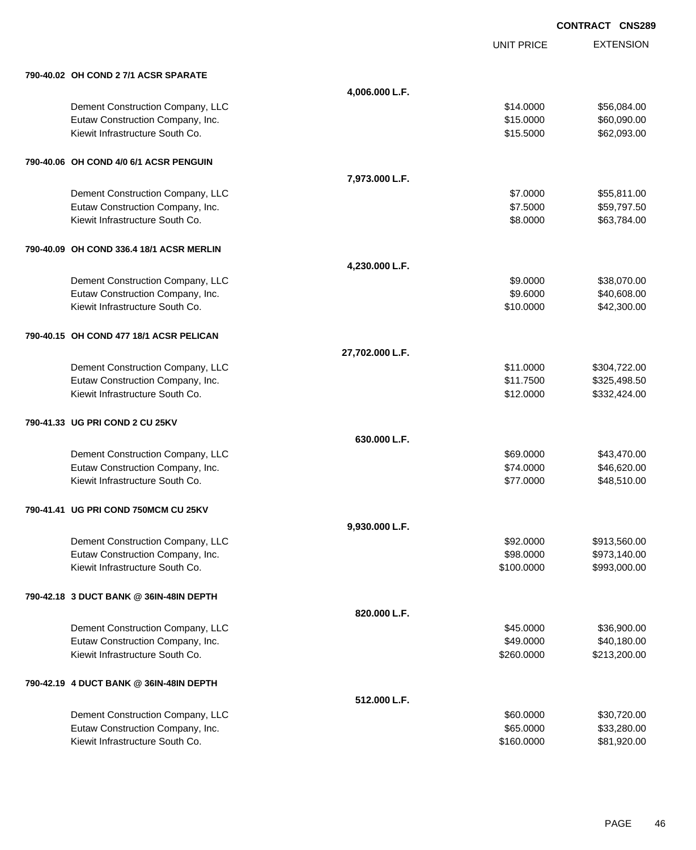|                                          |                 | <b>UNIT PRICE</b> | <b>EXTENSION</b> |
|------------------------------------------|-----------------|-------------------|------------------|
| 790-40.02 OH COND 2 7/1 ACSR SPARATE     |                 |                   |                  |
|                                          | 4,006.000 L.F.  |                   |                  |
| Dement Construction Company, LLC         |                 | \$14.0000         | \$56,084.00      |
| Eutaw Construction Company, Inc.         |                 | \$15.0000         | \$60,090.00      |
| Kiewit Infrastructure South Co.          |                 | \$15.5000         | \$62,093.00      |
| 790-40.06 OH COND 4/0 6/1 ACSR PENGUIN   |                 |                   |                  |
|                                          | 7,973.000 L.F.  |                   |                  |
| Dement Construction Company, LLC         |                 | \$7.0000          | \$55,811.00      |
| Eutaw Construction Company, Inc.         |                 | \$7.5000          | \$59,797.50      |
| Kiewit Infrastructure South Co.          |                 | \$8.0000          | \$63,784.00      |
| 790-40.09 OH COND 336.4 18/1 ACSR MERLIN |                 |                   |                  |
|                                          | 4,230.000 L.F.  |                   |                  |
| Dement Construction Company, LLC         |                 | \$9.0000          | \$38,070.00      |
| Eutaw Construction Company, Inc.         |                 | \$9.6000          | \$40,608.00      |
| Kiewit Infrastructure South Co.          |                 | \$10.0000         | \$42,300.00      |
| 790-40.15 OH COND 477 18/1 ACSR PELICAN  |                 |                   |                  |
|                                          | 27,702.000 L.F. |                   |                  |
| Dement Construction Company, LLC         |                 | \$11.0000         | \$304,722.00     |
| Eutaw Construction Company, Inc.         |                 | \$11.7500         | \$325,498.50     |
| Kiewit Infrastructure South Co.          |                 | \$12.0000         | \$332,424.00     |
| 790-41.33 UG PRI COND 2 CU 25KV          |                 |                   |                  |
|                                          | 630.000 L.F.    |                   |                  |
| Dement Construction Company, LLC         |                 | \$69.0000         | \$43,470.00      |
| Eutaw Construction Company, Inc.         |                 | \$74.0000         | \$46,620.00      |
| Kiewit Infrastructure South Co.          |                 | \$77.0000         | \$48,510.00      |
| 790-41.41 UG PRI COND 750MCM CU 25KV     |                 |                   |                  |
|                                          | 9,930.000 L.F.  |                   |                  |
| Dement Construction Company, LLC         |                 | \$92.0000         | \$913,560.00     |
| Eutaw Construction Company, Inc.         |                 | \$98.0000         | \$973,140.00     |
| Kiewit Infrastructure South Co.          |                 | \$100.0000        | \$993,000.00     |
| 790-42.18 3 DUCT BANK @ 36IN-48IN DEPTH  |                 |                   |                  |
|                                          | 820.000 L.F.    |                   |                  |
| Dement Construction Company, LLC         |                 | \$45.0000         | \$36,900.00      |
| Eutaw Construction Company, Inc.         |                 | \$49.0000         | \$40,180.00      |
| Kiewit Infrastructure South Co.          |                 | \$260.0000        | \$213,200.00     |
| 790-42.19 4 DUCT BANK @ 36IN-48IN DEPTH  |                 |                   |                  |
|                                          | 512.000 L.F.    |                   |                  |
| Dement Construction Company, LLC         |                 | \$60.0000         | \$30,720.00      |
| Eutaw Construction Company, Inc.         |                 | \$65.0000         | \$33,280.00      |
| Kiewit Infrastructure South Co.          |                 | \$160.0000        | \$81,920.00      |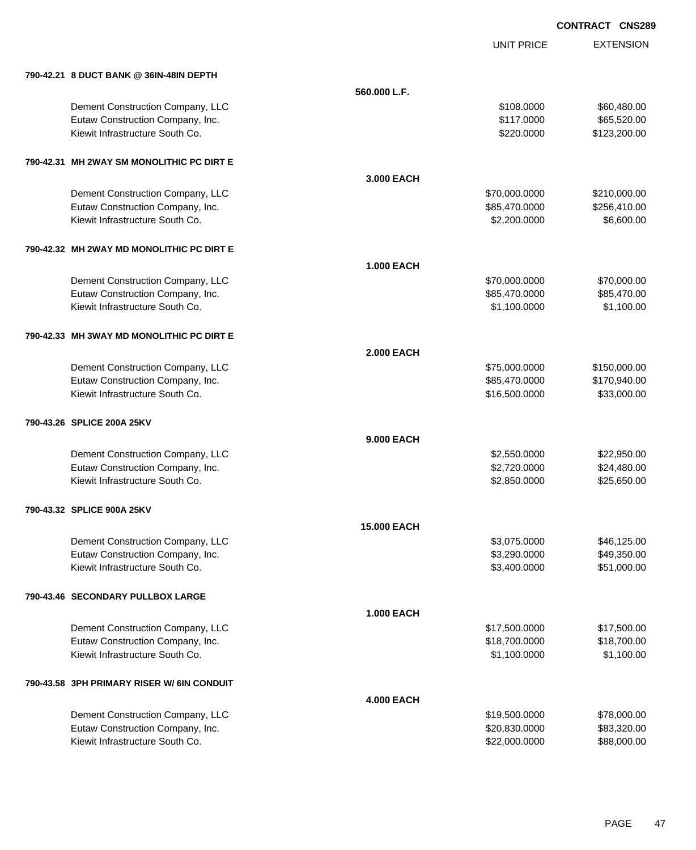|                                            |                   | <b>UNIT PRICE</b> | <b>EXTENSION</b> |
|--------------------------------------------|-------------------|-------------------|------------------|
| 790-42.21 8 DUCT BANK @ 36IN-48IN DEPTH    |                   |                   |                  |
|                                            | 560,000 L.F.      |                   |                  |
| Dement Construction Company, LLC           |                   | \$108.0000        | \$60,480.00      |
| Eutaw Construction Company, Inc.           |                   | \$117.0000        | \$65,520.00      |
| Kiewit Infrastructure South Co.            |                   | \$220.0000        | \$123,200.00     |
| 790-42.31 MH 2WAY SM MONOLITHIC PC DIRT E  |                   |                   |                  |
|                                            | 3.000 EACH        |                   |                  |
| Dement Construction Company, LLC           |                   | \$70,000.0000     | \$210,000.00     |
| Eutaw Construction Company, Inc.           |                   | \$85,470.0000     | \$256,410.00     |
| Kiewit Infrastructure South Co.            |                   | \$2,200.0000      | \$6,600.00       |
| 790-42.32 MH 2WAY MD MONOLITHIC PC DIRT E  |                   |                   |                  |
|                                            | <b>1.000 EACH</b> |                   |                  |
| Dement Construction Company, LLC           |                   | \$70,000.0000     | \$70,000.00      |
| Eutaw Construction Company, Inc.           |                   | \$85,470.0000     | \$85,470.00      |
| Kiewit Infrastructure South Co.            |                   | \$1,100.0000      | \$1,100.00       |
| 790-42.33 MH 3WAY MD MONOLITHIC PC DIRT E  |                   |                   |                  |
|                                            | <b>2.000 EACH</b> |                   |                  |
| Dement Construction Company, LLC           |                   | \$75,000.0000     | \$150,000.00     |
| Eutaw Construction Company, Inc.           |                   | \$85,470.0000     | \$170,940.00     |
| Kiewit Infrastructure South Co.            |                   | \$16,500.0000     | \$33,000.00      |
| 790-43.26 SPLICE 200A 25KV                 |                   |                   |                  |
|                                            | <b>9.000 EACH</b> |                   |                  |
| Dement Construction Company, LLC           |                   | \$2,550.0000      | \$22,950.00      |
| Eutaw Construction Company, Inc.           |                   | \$2,720.0000      | \$24,480.00      |
| Kiewit Infrastructure South Co.            |                   | \$2,850.0000      | \$25,650.00      |
| 790-43.32 SPLICE 900A 25KV                 |                   |                   |                  |
|                                            | 15.000 EACH       |                   |                  |
| Dement Construction Company, LLC           |                   | \$3,075.0000      | \$46,125.00      |
| Eutaw Construction Company, Inc.           |                   | \$3,290.0000      | \$49,350.00      |
| Kiewit Infrastructure South Co.            |                   | \$3,400.0000      | \$51,000.00      |
| 790-43.46 SECONDARY PULLBOX LARGE          |                   |                   |                  |
|                                            | <b>1.000 EACH</b> |                   |                  |
| Dement Construction Company, LLC           |                   | \$17,500.0000     | \$17,500.00      |
| Eutaw Construction Company, Inc.           |                   | \$18,700.0000     | \$18,700.00      |
| Kiewit Infrastructure South Co.            |                   | \$1,100.0000      | \$1,100.00       |
| 790-43.58 3PH PRIMARY RISER W/ 6IN CONDUIT |                   |                   |                  |
|                                            | <b>4.000 EACH</b> |                   |                  |
| Dement Construction Company, LLC           |                   | \$19,500.0000     | \$78,000.00      |
| Eutaw Construction Company, Inc.           |                   | \$20,830.0000     | \$83,320.00      |
| Kiewit Infrastructure South Co.            |                   | \$22,000.0000     | \$88,000.00      |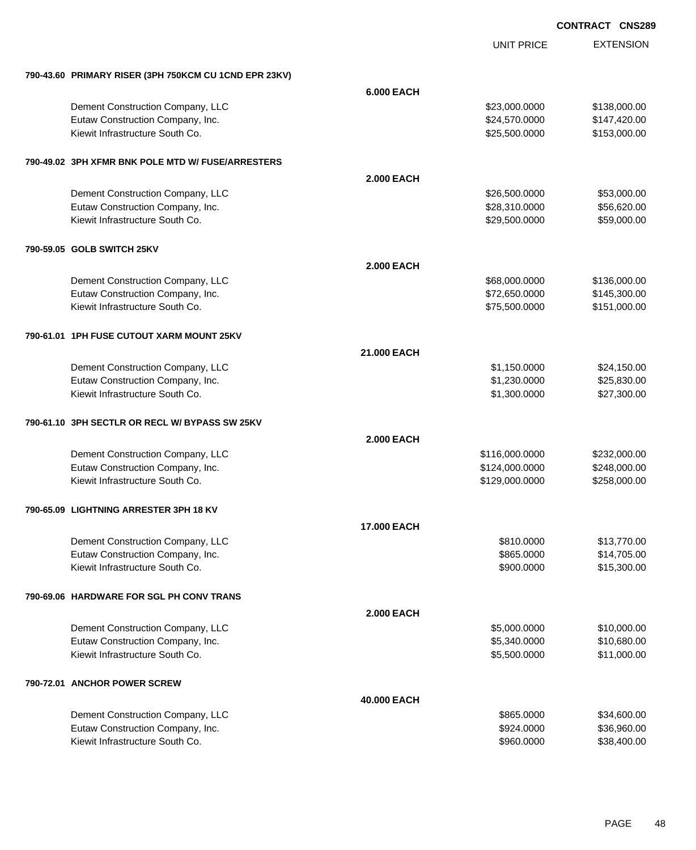|                                                       |                    | <b>UNIT PRICE</b> | <b>EXTENSION</b> |
|-------------------------------------------------------|--------------------|-------------------|------------------|
| 790-43.60 PRIMARY RISER (3PH 750KCM CU 1CND EPR 23KV) |                    |                   |                  |
|                                                       | <b>6.000 EACH</b>  |                   |                  |
| Dement Construction Company, LLC                      |                    | \$23,000.0000     | \$138,000.00     |
| Eutaw Construction Company, Inc.                      |                    | \$24,570.0000     | \$147,420.00     |
| Kiewit Infrastructure South Co.                       |                    | \$25,500.0000     | \$153,000.00     |
| 790-49.02 3PH XFMR BNK POLE MTD W/ FUSE/ARRESTERS     |                    |                   |                  |
|                                                       | <b>2.000 EACH</b>  |                   |                  |
| Dement Construction Company, LLC                      |                    | \$26,500.0000     | \$53,000.00      |
| Eutaw Construction Company, Inc.                      |                    | \$28,310.0000     | \$56,620.00      |
| Kiewit Infrastructure South Co.                       |                    | \$29,500.0000     | \$59,000.00      |
| 790-59.05 GOLB SWITCH 25KV                            |                    |                   |                  |
|                                                       | <b>2.000 EACH</b>  |                   |                  |
| Dement Construction Company, LLC                      |                    | \$68,000.0000     | \$136,000.00     |
| Eutaw Construction Company, Inc.                      |                    | \$72,650.0000     | \$145,300.00     |
| Kiewit Infrastructure South Co.                       |                    | \$75,500.0000     | \$151,000.00     |
| 790-61.01 1PH FUSE CUTOUT XARM MOUNT 25KV             |                    |                   |                  |
|                                                       | 21.000 EACH        |                   |                  |
| Dement Construction Company, LLC                      |                    | \$1,150.0000      | \$24,150.00      |
| Eutaw Construction Company, Inc.                      |                    | \$1,230.0000      | \$25,830.00      |
| Kiewit Infrastructure South Co.                       |                    | \$1,300.0000      | \$27,300.00      |
| 790-61.10 3PH SECTLR OR RECL W/ BYPASS SW 25KV        |                    |                   |                  |
|                                                       | <b>2.000 EACH</b>  |                   |                  |
| Dement Construction Company, LLC                      |                    | \$116,000.0000    | \$232,000.00     |
| Eutaw Construction Company, Inc.                      |                    | \$124,000.0000    | \$248,000.00     |
| Kiewit Infrastructure South Co.                       |                    | \$129,000.0000    | \$258,000.00     |
| 790-65.09 LIGHTNING ARRESTER 3PH 18 KV                |                    |                   |                  |
|                                                       | <b>17.000 EACH</b> |                   |                  |
| Dement Construction Company, LLC                      |                    | \$810.0000        | \$13,770.00      |
| Eutaw Construction Company, Inc.                      |                    | \$865.0000        | \$14,705.00      |
| Kiewit Infrastructure South Co.                       |                    | \$900.0000        | \$15,300.00      |
| 790-69.06 HARDWARE FOR SGL PH CONV TRANS              |                    |                   |                  |
|                                                       | <b>2.000 EACH</b>  |                   |                  |
| Dement Construction Company, LLC                      |                    | \$5,000.0000      | \$10,000.00      |
| Eutaw Construction Company, Inc.                      |                    | \$5,340.0000      | \$10,680.00      |
| Kiewit Infrastructure South Co.                       |                    | \$5,500.0000      | \$11,000.00      |
| 790-72.01 ANCHOR POWER SCREW                          |                    |                   |                  |
|                                                       | 40.000 EACH        |                   |                  |
| Dement Construction Company, LLC                      |                    | \$865.0000        | \$34,600.00      |
| Eutaw Construction Company, Inc.                      |                    | \$924.0000        | \$36,960.00      |
| Kiewit Infrastructure South Co.                       |                    | \$960.0000        | \$38,400.00      |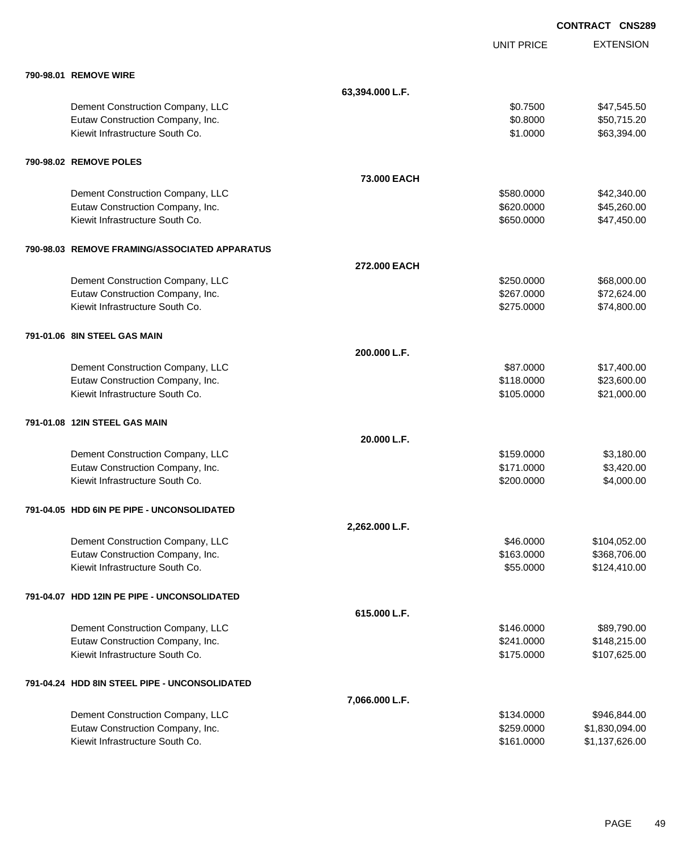|                                               |                 |                   | <b>CONTRACT CNS289</b> |
|-----------------------------------------------|-----------------|-------------------|------------------------|
|                                               |                 | <b>UNIT PRICE</b> | <b>EXTENSION</b>       |
| 790-98.01 REMOVE WIRE                         |                 |                   |                        |
|                                               | 63,394.000 L.F. |                   |                        |
| Dement Construction Company, LLC              |                 | \$0.7500          | \$47,545.50            |
| Eutaw Construction Company, Inc.              |                 | \$0.8000          | \$50,715.20            |
| Kiewit Infrastructure South Co.               |                 | \$1.0000          | \$63,394.00            |
| 790-98.02 REMOVE POLES                        |                 |                   |                        |
|                                               | 73.000 EACH     |                   |                        |
| Dement Construction Company, LLC              |                 | \$580.0000        | \$42,340.00            |
| Eutaw Construction Company, Inc.              |                 | \$620.0000        | \$45,260.00            |
| Kiewit Infrastructure South Co.               |                 | \$650.0000        | \$47,450.00            |
| 790-98.03 REMOVE FRAMING/ASSOCIATED APPARATUS |                 |                   |                        |
|                                               | 272,000 EACH    |                   |                        |
| Dement Construction Company, LLC              |                 | \$250.0000        | \$68,000.00            |
| Eutaw Construction Company, Inc.              |                 | \$267.0000        | \$72,624.00            |
| Kiewit Infrastructure South Co.               |                 | \$275.0000        | \$74,800.00            |
| 791-01.06 8IN STEEL GAS MAIN                  |                 |                   |                        |
|                                               | 200.000 L.F.    |                   |                        |
| Dement Construction Company, LLC              |                 | \$87.0000         | \$17,400.00            |
| Eutaw Construction Company, Inc.              |                 | \$118.0000        | \$23,600.00            |
| Kiewit Infrastructure South Co.               |                 | \$105.0000        | \$21,000.00            |
| 791-01.08 12IN STEEL GAS MAIN                 |                 |                   |                        |
|                                               | 20.000 L.F.     |                   |                        |
| Dement Construction Company, LLC              |                 | \$159.0000        | \$3,180.00             |
| Eutaw Construction Company, Inc.              |                 | \$171.0000        | \$3,420.00             |
| Kiewit Infrastructure South Co.               |                 | \$200.0000        | \$4,000.00             |
| 791-04.05 HDD 6IN PE PIPE - UNCONSOLIDATED    |                 |                   |                        |
|                                               | 2,262.000 L.F.  |                   |                        |
| Dement Construction Company, LLC              |                 | \$46.0000         | \$104,052.00           |
| Eutaw Construction Company, Inc.              |                 | \$163.0000        | \$368,706.00           |
| Kiewit Infrastructure South Co.               |                 | \$55.0000         | \$124,410.00           |
| 791-04.07 HDD 12IN PE PIPE - UNCONSOLIDATED   |                 |                   |                        |
|                                               | 615.000 L.F.    |                   |                        |
| Dement Construction Company, LLC              |                 | \$146.0000        | \$89,790.00            |
| Eutaw Construction Company, Inc.              |                 | \$241.0000        | \$148,215.00           |
| Kiewit Infrastructure South Co.               |                 | \$175.0000        | \$107,625.00           |
| 791-04.24 HDD 8IN STEEL PIPE - UNCONSOLIDATED |                 |                   |                        |
|                                               | 7,066.000 L.F.  |                   |                        |
| Dement Construction Company, LLC              |                 | \$134.0000        | \$946,844.00           |
| Eutaw Construction Company, Inc.              |                 | \$259.0000        | \$1,830,094.00         |
| Kiewit Infrastructure South Co.               |                 | \$161.0000        | \$1,137,626.00         |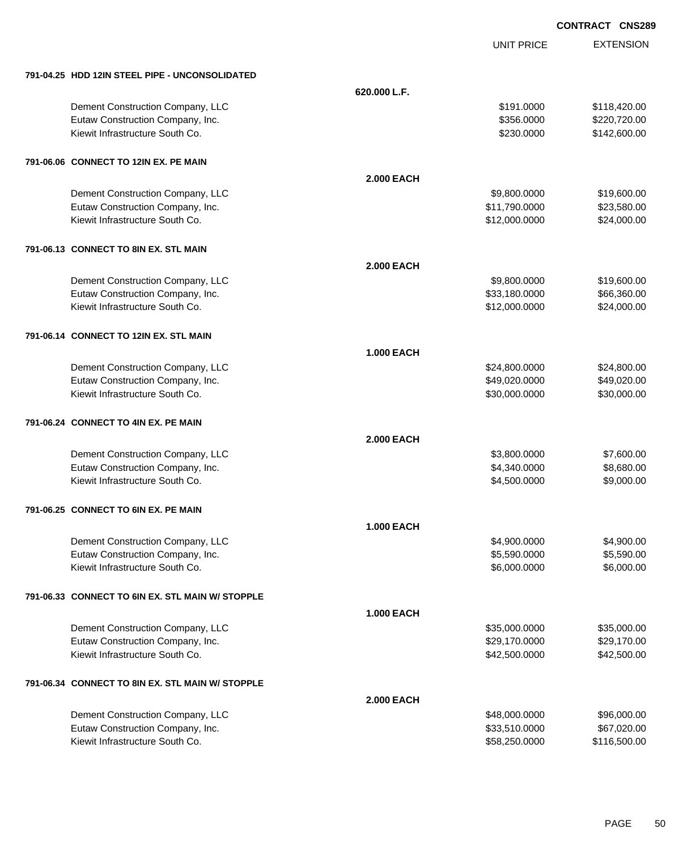UNIT PRICE

EXTENSION

| 791-04.25 HDD 12IN STEEL PIPE - UNCONSOLIDATED   |                   |               |              |
|--------------------------------------------------|-------------------|---------------|--------------|
|                                                  | 620.000 L.F.      |               |              |
| Dement Construction Company, LLC                 |                   | \$191.0000    | \$118,420.00 |
| Eutaw Construction Company, Inc.                 |                   | \$356.0000    | \$220,720.00 |
| Kiewit Infrastructure South Co.                  |                   | \$230.0000    | \$142,600.00 |
| 791-06.06 CONNECT TO 12IN EX. PE MAIN            |                   |               |              |
|                                                  | <b>2.000 EACH</b> |               |              |
| Dement Construction Company, LLC                 |                   | \$9,800,0000  | \$19,600.00  |
| Eutaw Construction Company, Inc.                 |                   | \$11,790.0000 | \$23,580.00  |
| Kiewit Infrastructure South Co.                  |                   | \$12,000.0000 | \$24,000.00  |
| 791-06.13 CONNECT TO 8IN EX. STL MAIN            |                   |               |              |
|                                                  | <b>2.000 EACH</b> |               |              |
| Dement Construction Company, LLC                 |                   | \$9,800.0000  | \$19,600.00  |
| Eutaw Construction Company, Inc.                 |                   | \$33,180.0000 | \$66,360.00  |
| Kiewit Infrastructure South Co.                  |                   | \$12,000.0000 | \$24,000.00  |
| 791-06.14 CONNECT TO 12IN EX. STL MAIN           |                   |               |              |
|                                                  | <b>1.000 EACH</b> |               |              |
| Dement Construction Company, LLC                 |                   | \$24,800.0000 | \$24,800.00  |
| Eutaw Construction Company, Inc.                 |                   | \$49,020.0000 | \$49,020.00  |
| Kiewit Infrastructure South Co.                  |                   | \$30,000.0000 | \$30,000.00  |
| 791-06.24 CONNECT TO 4IN EX. PE MAIN             |                   |               |              |
|                                                  | <b>2.000 EACH</b> |               |              |
| Dement Construction Company, LLC                 |                   | \$3,800.0000  | \$7,600.00   |
| Eutaw Construction Company, Inc.                 |                   | \$4,340.0000  | \$8,680.00   |
| Kiewit Infrastructure South Co.                  |                   | \$4,500.0000  | \$9,000.00   |
| 791-06.25 CONNECT TO 6IN EX. PE MAIN             |                   |               |              |
|                                                  | <b>1.000 EACH</b> |               |              |
| Dement Construction Company, LLC                 |                   | \$4,900.0000  | \$4,900.00   |
| Eutaw Construction Company, Inc.                 |                   | \$5,590.0000  | \$5,590.00   |
| Kiewit Infrastructure South Co.                  |                   | \$6,000.0000  | \$6,000.00   |
| 791-06.33 CONNECT TO 6IN EX. STL MAIN W/ STOPPLE |                   |               |              |
|                                                  | <b>1.000 EACH</b> |               |              |
| Dement Construction Company, LLC                 |                   | \$35,000.0000 | \$35,000.00  |
| Eutaw Construction Company, Inc.                 |                   | \$29,170.0000 | \$29,170.00  |
| Kiewit Infrastructure South Co.                  |                   | \$42,500.0000 | \$42,500.00  |
| 791-06.34 CONNECT TO 8IN EX. STL MAIN W/ STOPPLE |                   |               |              |
|                                                  | <b>2.000 EACH</b> |               |              |
| Dement Construction Company, LLC                 |                   | \$48,000.0000 | \$96,000.00  |
| Eutaw Construction Company, Inc.                 |                   | \$33,510.0000 | \$67,020.00  |
| Kiewit Infrastructure South Co.                  |                   | \$58,250.0000 | \$116,500.00 |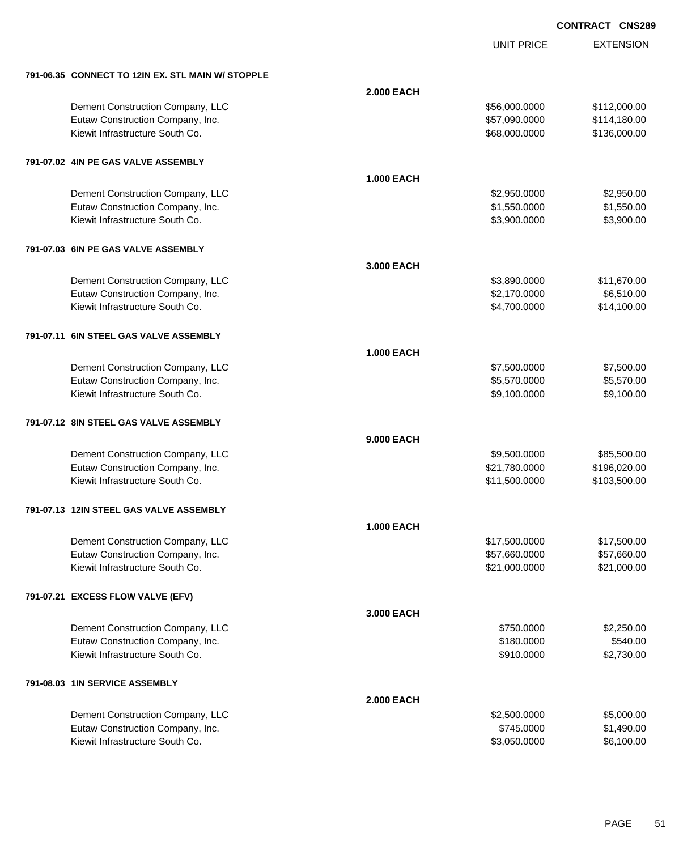EXTENSION **CONTRACT CNS289**

UNIT PRICE

| 791-06.35 CONNECT TO 12IN EX. STL MAIN W/ STOPPLE |                   |               |              |
|---------------------------------------------------|-------------------|---------------|--------------|
|                                                   | <b>2.000 EACH</b> |               |              |
| Dement Construction Company, LLC                  |                   | \$56,000.0000 | \$112,000.00 |
| Eutaw Construction Company, Inc.                  |                   | \$57,090.0000 | \$114,180.00 |
| Kiewit Infrastructure South Co.                   |                   | \$68,000.0000 | \$136,000.00 |
| 791-07.02 4IN PE GAS VALVE ASSEMBLY               |                   |               |              |
|                                                   | <b>1.000 EACH</b> |               |              |
| Dement Construction Company, LLC                  |                   | \$2,950.0000  | \$2,950.00   |
| Eutaw Construction Company, Inc.                  |                   | \$1,550.0000  | \$1,550.00   |
| Kiewit Infrastructure South Co.                   |                   | \$3,900.0000  | \$3,900.00   |
| 791-07.03 6IN PE GAS VALVE ASSEMBLY               |                   |               |              |
|                                                   | 3.000 EACH        |               |              |
| Dement Construction Company, LLC                  |                   | \$3,890.0000  | \$11,670.00  |
| Eutaw Construction Company, Inc.                  |                   | \$2,170.0000  | \$6,510.00   |
| Kiewit Infrastructure South Co.                   |                   | \$4,700.0000  | \$14,100.00  |
| 791-07.11 6IN STEEL GAS VALVE ASSEMBLY            |                   |               |              |
|                                                   | <b>1.000 EACH</b> |               |              |
| Dement Construction Company, LLC                  |                   | \$7,500.0000  | \$7,500.00   |
| Eutaw Construction Company, Inc.                  |                   | \$5,570.0000  | \$5,570.00   |
| Kiewit Infrastructure South Co.                   |                   | \$9,100.0000  | \$9,100.00   |
| 791-07.12 8IN STEEL GAS VALVE ASSEMBLY            |                   |               |              |
|                                                   | 9.000 EACH        |               |              |
| Dement Construction Company, LLC                  |                   | \$9,500.0000  | \$85,500.00  |
| Eutaw Construction Company, Inc.                  |                   | \$21,780.0000 | \$196,020.00 |
| Kiewit Infrastructure South Co.                   |                   | \$11,500.0000 | \$103,500.00 |
| 791-07.13 12IN STEEL GAS VALVE ASSEMBLY           |                   |               |              |
|                                                   | <b>1.000 EACH</b> |               |              |
| Dement Construction Company, LLC                  |                   | \$17,500.0000 | \$17,500.00  |
| Eutaw Construction Company, Inc.                  |                   | \$57,660.0000 | \$57,660.00  |
| Kiewit Infrastructure South Co.                   |                   | \$21,000.0000 | \$21,000.00  |
| 791-07.21 EXCESS FLOW VALVE (EFV)                 |                   |               |              |
|                                                   | 3.000 EACH        |               |              |
| Dement Construction Company, LLC                  |                   | \$750.0000    | \$2,250.00   |
| Eutaw Construction Company, Inc.                  |                   | \$180.0000    | \$540.00     |
| Kiewit Infrastructure South Co.                   |                   | \$910.0000    | \$2,730.00   |
| 791-08.03 1IN SERVICE ASSEMBLY                    |                   |               |              |
|                                                   | <b>2.000 EACH</b> |               |              |
| Dement Construction Company, LLC                  |                   | \$2,500.0000  | \$5,000.00   |
| Eutaw Construction Company, Inc.                  |                   | \$745.0000    | \$1,490.00   |
| Kiewit Infrastructure South Co.                   |                   | \$3,050.0000  | \$6,100.00   |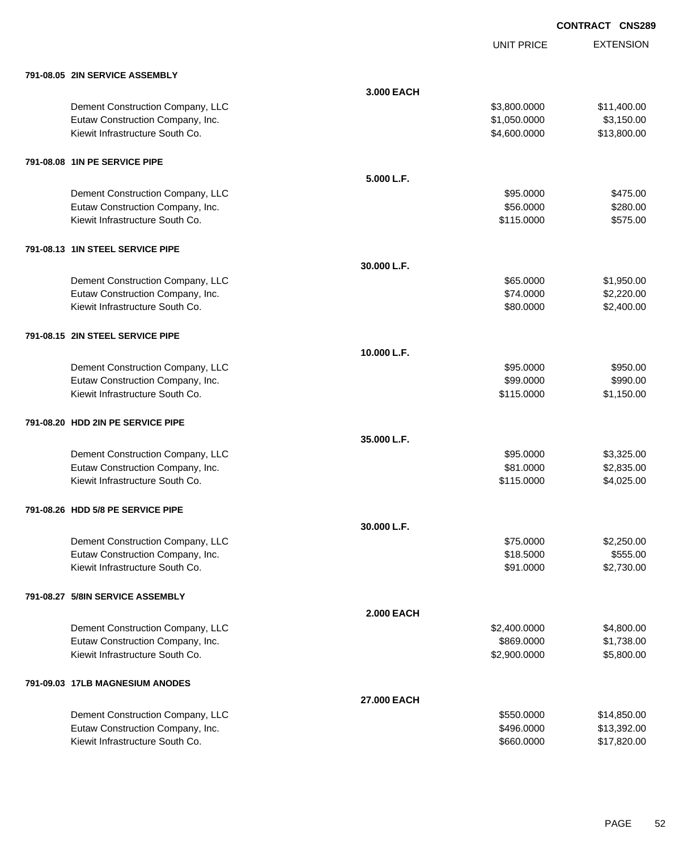UNIT PRICE EXTENSION

| 791-08.05 2IN SERVICE ASSEMBLY    |                   |              |             |
|-----------------------------------|-------------------|--------------|-------------|
|                                   | 3.000 EACH        |              |             |
| Dement Construction Company, LLC  |                   | \$3,800.0000 | \$11,400.00 |
| Eutaw Construction Company, Inc.  |                   | \$1,050.0000 | \$3,150.00  |
| Kiewit Infrastructure South Co.   |                   | \$4,600.0000 | \$13,800.00 |
| 791-08.08 1IN PE SERVICE PIPE     |                   |              |             |
|                                   | 5.000 L.F.        |              |             |
| Dement Construction Company, LLC  |                   | \$95.0000    | \$475.00    |
| Eutaw Construction Company, Inc.  |                   | \$56.0000    | \$280.00    |
| Kiewit Infrastructure South Co.   |                   | \$115.0000   | \$575.00    |
| 791-08.13 1IN STEEL SERVICE PIPE  |                   |              |             |
|                                   | 30.000 L.F.       |              |             |
| Dement Construction Company, LLC  |                   | \$65.0000    | \$1,950.00  |
| Eutaw Construction Company, Inc.  |                   | \$74.0000    | \$2,220.00  |
| Kiewit Infrastructure South Co.   |                   | \$80.0000    | \$2,400.00  |
| 791-08.15 2IN STEEL SERVICE PIPE  |                   |              |             |
|                                   | 10.000 L.F.       |              |             |
| Dement Construction Company, LLC  |                   | \$95.0000    | \$950.00    |
| Eutaw Construction Company, Inc.  |                   | \$99.0000    | \$990.00    |
| Kiewit Infrastructure South Co.   |                   | \$115.0000   | \$1,150.00  |
| 791-08.20 HDD 2IN PE SERVICE PIPE |                   |              |             |
|                                   | 35.000 L.F.       |              |             |
| Dement Construction Company, LLC  |                   | \$95.0000    | \$3,325.00  |
| Eutaw Construction Company, Inc.  |                   | \$81.0000    | \$2,835.00  |
| Kiewit Infrastructure South Co.   |                   | \$115.0000   | \$4,025.00  |
| 791-08.26 HDD 5/8 PE SERVICE PIPE |                   |              |             |
|                                   | 30.000 L.F.       |              |             |
| Dement Construction Company, LLC  |                   | \$75.0000    | \$2,250.00  |
| Eutaw Construction Company, Inc.  |                   | \$18.5000    | \$555.00    |
| Kiewit Infrastructure South Co.   |                   | \$91.0000    | \$2,730.00  |
| 791-08.27 5/8IN SERVICE ASSEMBLY  |                   |              |             |
|                                   | <b>2.000 EACH</b> |              |             |
| Dement Construction Company, LLC  |                   | \$2,400.0000 | \$4,800.00  |
| Eutaw Construction Company, Inc.  |                   | \$869.0000   | \$1,738.00  |
| Kiewit Infrastructure South Co.   |                   | \$2,900.0000 | \$5,800.00  |
| 791-09.03 17LB MAGNESIUM ANODES   |                   |              |             |
|                                   | 27.000 EACH       |              |             |
| Dement Construction Company, LLC  |                   | \$550.0000   | \$14,850.00 |
| Eutaw Construction Company, Inc.  |                   | \$496.0000   | \$13,392.00 |
| Kiewit Infrastructure South Co.   |                   | \$660.0000   | \$17,820.00 |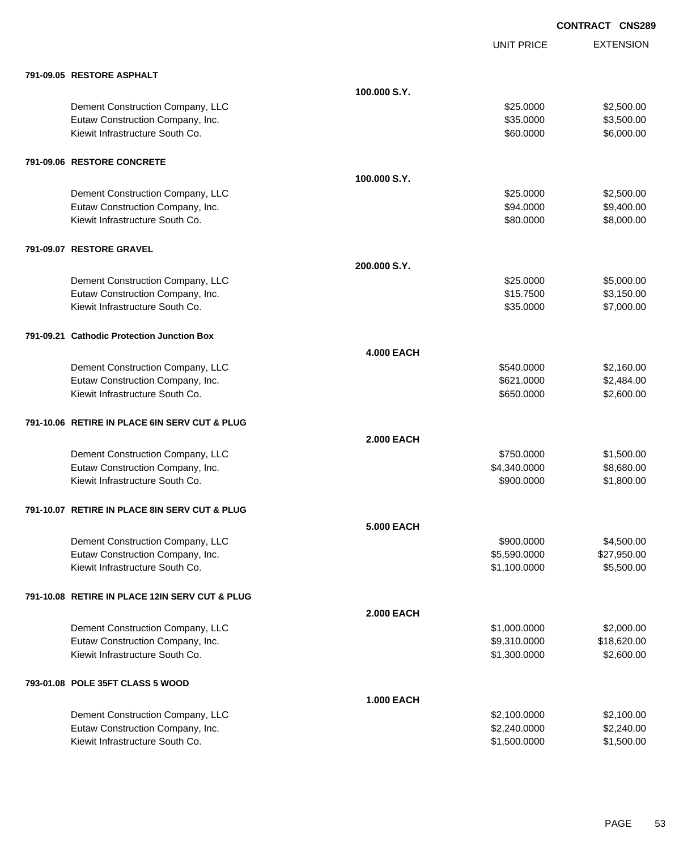|                                                |                   | <b>UNIT PRICE</b> | <b>EXTENSION</b> |
|------------------------------------------------|-------------------|-------------------|------------------|
| 791-09.05 RESTORE ASPHALT                      |                   |                   |                  |
|                                                | 100.000 S.Y.      |                   |                  |
| Dement Construction Company, LLC               |                   | \$25.0000         | \$2,500.00       |
| Eutaw Construction Company, Inc.               |                   | \$35.0000         | \$3,500.00       |
| Kiewit Infrastructure South Co.                |                   | \$60.0000         | \$6,000.00       |
| 791-09.06 RESTORE CONCRETE                     |                   |                   |                  |
|                                                | 100,000 S.Y.      |                   |                  |
| Dement Construction Company, LLC               |                   | \$25.0000         | \$2,500.00       |
| Eutaw Construction Company, Inc.               |                   | \$94.0000         | \$9,400.00       |
| Kiewit Infrastructure South Co.                |                   | \$80.0000         | \$8,000.00       |
| 791-09.07 RESTORE GRAVEL                       |                   |                   |                  |
|                                                | 200,000 S.Y.      |                   |                  |
| Dement Construction Company, LLC               |                   | \$25.0000         | \$5,000.00       |
| Eutaw Construction Company, Inc.               |                   | \$15.7500         | \$3,150.00       |
| Kiewit Infrastructure South Co.                |                   | \$35.0000         | \$7,000.00       |
| 791-09.21 Cathodic Protection Junction Box     |                   |                   |                  |
|                                                | <b>4.000 EACH</b> |                   |                  |
| Dement Construction Company, LLC               |                   | \$540.0000        | \$2,160.00       |
| Eutaw Construction Company, Inc.               |                   | \$621.0000        | \$2,484.00       |
| Kiewit Infrastructure South Co.                |                   | \$650.0000        | \$2,600.00       |
| 791-10.06 RETIRE IN PLACE 6IN SERV CUT & PLUG  |                   |                   |                  |
|                                                | 2.000 EACH        |                   |                  |
| Dement Construction Company, LLC               |                   | \$750.0000        | \$1,500.00       |
| Eutaw Construction Company, Inc.               |                   | \$4,340.0000      | \$8,680.00       |
| Kiewit Infrastructure South Co.                |                   | \$900.0000        | \$1,800.00       |
| 791-10.07 RETIRE IN PLACE 8IN SERV CUT & PLUG  |                   |                   |                  |
|                                                | <b>5.000 EACH</b> |                   |                  |
| Dement Construction Company, LLC               |                   | \$900.0000        | \$4,500.00       |
| Eutaw Construction Company, Inc.               |                   | \$5,590.0000      | \$27,950.00      |
| Kiewit Infrastructure South Co.                |                   | \$1,100.0000      | \$5,500.00       |
| 791-10.08 RETIRE IN PLACE 12IN SERV CUT & PLUG |                   |                   |                  |
|                                                | <b>2.000 EACH</b> |                   |                  |
| Dement Construction Company, LLC               |                   | \$1,000.0000      | \$2,000.00       |
| Eutaw Construction Company, Inc.               |                   | \$9,310.0000      | \$18,620.00      |
| Kiewit Infrastructure South Co.                |                   | \$1,300.0000      | \$2,600.00       |
| 793-01.08 POLE 35FT CLASS 5 WOOD               |                   |                   |                  |
|                                                | <b>1.000 EACH</b> |                   |                  |
| Dement Construction Company, LLC               |                   | \$2,100.0000      | \$2,100.00       |
| Eutaw Construction Company, Inc.               |                   | \$2,240.0000      | \$2,240.00       |
| Kiewit Infrastructure South Co.                |                   | \$1,500.0000      | \$1,500.00       |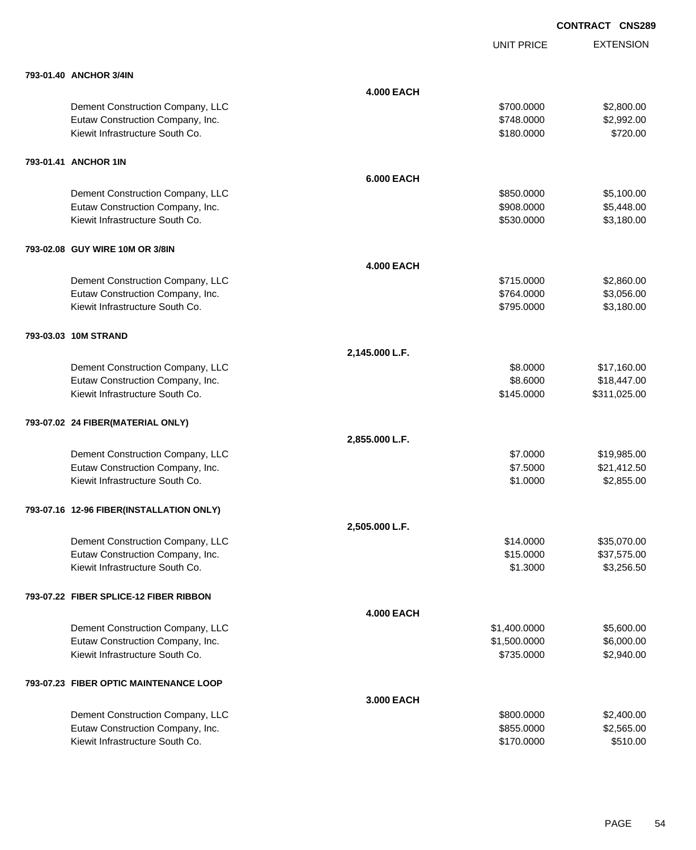|                                          |                   | <b>UNIT PRICE</b> | <b>EXTENSION</b> |
|------------------------------------------|-------------------|-------------------|------------------|
| 793-01.40 ANCHOR 3/4IN                   |                   |                   |                  |
|                                          | <b>4.000 EACH</b> |                   |                  |
| Dement Construction Company, LLC         |                   | \$700.0000        | \$2,800.00       |
| Eutaw Construction Company, Inc.         |                   | \$748.0000        | \$2,992.00       |
| Kiewit Infrastructure South Co.          |                   | \$180.0000        | \$720.00         |
| 793-01.41 ANCHOR 1IN                     |                   |                   |                  |
|                                          | <b>6.000 EACH</b> |                   |                  |
| Dement Construction Company, LLC         |                   | \$850.0000        | \$5,100.00       |
| Eutaw Construction Company, Inc.         |                   | \$908.0000        | \$5,448.00       |
| Kiewit Infrastructure South Co.          |                   | \$530.0000        | \$3,180.00       |
| 793-02.08 GUY WIRE 10M OR 3/8IN          |                   |                   |                  |
|                                          | <b>4.000 EACH</b> |                   |                  |
| Dement Construction Company, LLC         |                   | \$715.0000        | \$2,860.00       |
| Eutaw Construction Company, Inc.         |                   | \$764.0000        | \$3,056.00       |
| Kiewit Infrastructure South Co.          |                   | \$795.0000        | \$3,180.00       |
| 793-03.03 10M STRAND                     |                   |                   |                  |
|                                          | 2,145.000 L.F.    |                   |                  |
| Dement Construction Company, LLC         |                   | \$8.0000          | \$17,160.00      |
| Eutaw Construction Company, Inc.         |                   | \$8.6000          | \$18,447.00      |
| Kiewit Infrastructure South Co.          |                   | \$145.0000        | \$311,025.00     |
| 793-07.02 24 FIBER(MATERIAL ONLY)        |                   |                   |                  |
|                                          | 2,855.000 L.F.    |                   |                  |
| Dement Construction Company, LLC         |                   | \$7.0000          | \$19,985.00      |
| Eutaw Construction Company, Inc.         |                   | \$7.5000          | \$21,412.50      |
| Kiewit Infrastructure South Co.          |                   | \$1.0000          | \$2,855.00       |
| 793-07.16 12-96 FIBER(INSTALLATION ONLY) |                   |                   |                  |
|                                          | 2,505.000 L.F.    |                   |                  |
| Dement Construction Company, LLC         |                   | \$14.0000         | \$35,070.00      |
| Eutaw Construction Company, Inc.         |                   | \$15.0000         | \$37,575.00      |
| Kiewit Infrastructure South Co.          |                   | \$1.3000          | \$3,256.50       |
| 793-07.22 FIBER SPLICE-12 FIBER RIBBON   |                   |                   |                  |
|                                          | <b>4.000 EACH</b> |                   |                  |
| Dement Construction Company, LLC         |                   | \$1,400.0000      | \$5,600.00       |
| Eutaw Construction Company, Inc.         |                   | \$1,500.0000      | \$6,000.00       |
| Kiewit Infrastructure South Co.          |                   | \$735.0000        | \$2,940.00       |
| 793-07.23 FIBER OPTIC MAINTENANCE LOOP   |                   |                   |                  |
|                                          | 3.000 EACH        |                   |                  |
| Dement Construction Company, LLC         |                   | \$800.0000        | \$2,400.00       |
| Eutaw Construction Company, Inc.         |                   | \$855.0000        | \$2,565.00       |
| Kiewit Infrastructure South Co.          |                   | \$170.0000        | \$510.00         |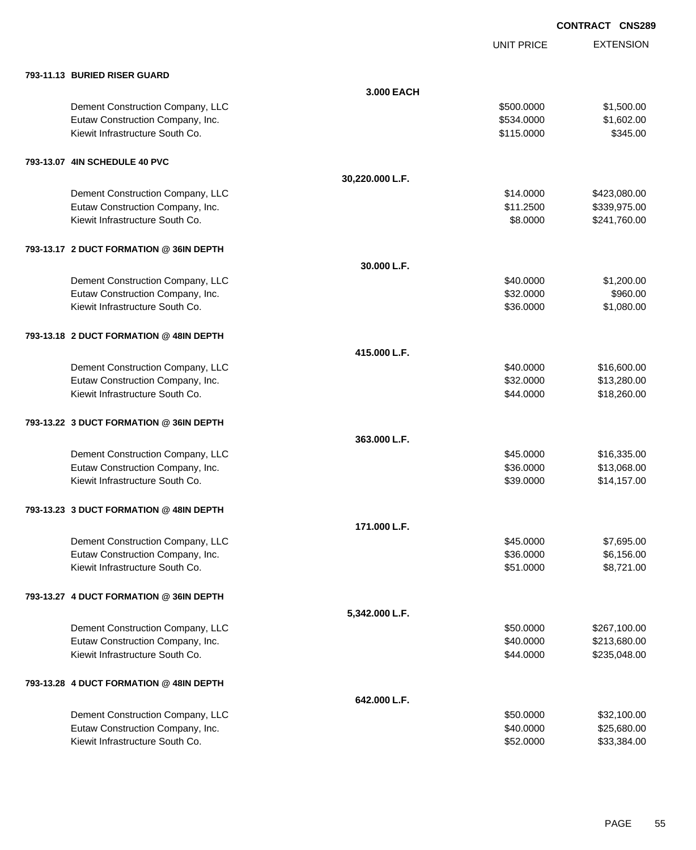|                                         |                 | <b>UNIT PRICE</b> | <b>EXTENSION</b> |
|-----------------------------------------|-----------------|-------------------|------------------|
| 793-11.13 BURIED RISER GUARD            |                 |                   |                  |
|                                         | 3.000 EACH      |                   |                  |
| Dement Construction Company, LLC        |                 | \$500.0000        | \$1,500.00       |
| Eutaw Construction Company, Inc.        |                 | \$534.0000        | \$1,602.00       |
| Kiewit Infrastructure South Co.         |                 | \$115.0000        | \$345.00         |
| 793-13.07 4IN SCHEDULE 40 PVC           |                 |                   |                  |
|                                         | 30,220.000 L.F. |                   |                  |
| Dement Construction Company, LLC        |                 | \$14.0000         | \$423,080.00     |
| Eutaw Construction Company, Inc.        |                 | \$11.2500         | \$339,975.00     |
| Kiewit Infrastructure South Co.         |                 | \$8.0000          | \$241,760.00     |
| 793-13.17 2 DUCT FORMATION @ 36IN DEPTH |                 |                   |                  |
|                                         | 30.000 L.F.     |                   |                  |
| Dement Construction Company, LLC        |                 | \$40.0000         | \$1,200.00       |
| Eutaw Construction Company, Inc.        |                 | \$32.0000         | \$960.00         |
| Kiewit Infrastructure South Co.         |                 | \$36.0000         | \$1,080.00       |
| 793-13.18 2 DUCT FORMATION @ 48IN DEPTH |                 |                   |                  |
|                                         | 415.000 L.F.    |                   |                  |
| Dement Construction Company, LLC        |                 | \$40.0000         | \$16,600.00      |
| Eutaw Construction Company, Inc.        |                 | \$32.0000         | \$13,280.00      |
| Kiewit Infrastructure South Co.         |                 | \$44.0000         | \$18,260.00      |
| 793-13.22 3 DUCT FORMATION @ 36IN DEPTH |                 |                   |                  |
|                                         | 363.000 L.F.    |                   |                  |
| Dement Construction Company, LLC        |                 | \$45.0000         | \$16,335.00      |
| Eutaw Construction Company, Inc.        |                 | \$36.0000         | \$13,068.00      |
| Kiewit Infrastructure South Co.         |                 | \$39.0000         | \$14,157.00      |
| 793-13.23 3 DUCT FORMATION @ 48IN DEPTH |                 |                   |                  |
|                                         | 171.000 L.F.    |                   |                  |
| Dement Construction Company, LLC        |                 | \$45.0000         | \$7,695.00       |
| Eutaw Construction Company, Inc.        |                 | \$36.0000         | \$6,156.00       |
| Kiewit Infrastructure South Co.         |                 | \$51.0000         | \$8,721.00       |
| 793-13.27 4 DUCT FORMATION @ 36IN DEPTH |                 |                   |                  |
|                                         | 5,342.000 L.F.  |                   |                  |
| Dement Construction Company, LLC        |                 | \$50.0000         | \$267,100.00     |
| Eutaw Construction Company, Inc.        |                 | \$40.0000         | \$213,680.00     |
| Kiewit Infrastructure South Co.         |                 | \$44.0000         | \$235,048.00     |
| 793-13.28 4 DUCT FORMATION @ 48IN DEPTH |                 |                   |                  |
|                                         | 642.000 L.F.    |                   |                  |
| Dement Construction Company, LLC        |                 | \$50.0000         | \$32,100.00      |
| Eutaw Construction Company, Inc.        |                 | \$40.0000         | \$25,680.00      |
| Kiewit Infrastructure South Co.         |                 | \$52.0000         | \$33,384.00      |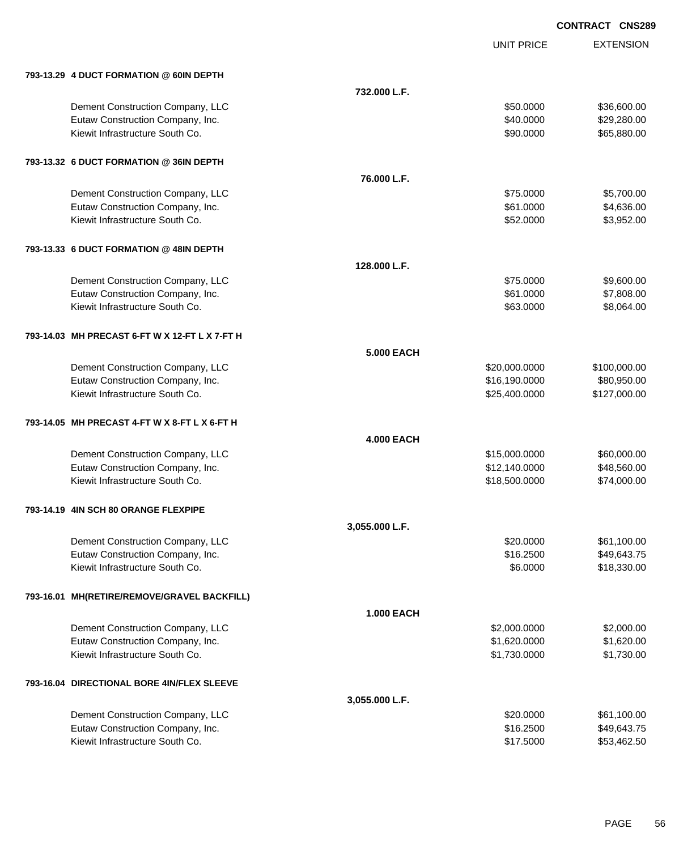|                                                |                   | <b>UNIT PRICE</b> | <b>EXTENSION</b> |
|------------------------------------------------|-------------------|-------------------|------------------|
| 793-13.29 4 DUCT FORMATION @ 60IN DEPTH        |                   |                   |                  |
|                                                | 732.000 L.F.      |                   |                  |
| Dement Construction Company, LLC               |                   | \$50.0000         | \$36,600.00      |
| Eutaw Construction Company, Inc.               |                   | \$40.0000         | \$29,280.00      |
| Kiewit Infrastructure South Co.                |                   | \$90.0000         | \$65,880.00      |
| 793-13.32 6 DUCT FORMATION @ 36IN DEPTH        |                   |                   |                  |
|                                                | 76.000 L.F.       |                   |                  |
| Dement Construction Company, LLC               |                   | \$75.0000         | \$5,700.00       |
| Eutaw Construction Company, Inc.               |                   | \$61.0000         | \$4,636.00       |
| Kiewit Infrastructure South Co.                |                   | \$52.0000         | \$3,952.00       |
| 793-13.33 6 DUCT FORMATION @ 48IN DEPTH        |                   |                   |                  |
|                                                | 128.000 L.F.      |                   |                  |
| Dement Construction Company, LLC               |                   | \$75.0000         | \$9,600.00       |
| Eutaw Construction Company, Inc.               |                   | \$61.0000         | \$7,808.00       |
| Kiewit Infrastructure South Co.                |                   | \$63.0000         | \$8,064.00       |
| 793-14.03 MH PRECAST 6-FT W X 12-FT L X 7-FT H |                   |                   |                  |
|                                                | <b>5.000 EACH</b> |                   |                  |
| Dement Construction Company, LLC               |                   | \$20,000.0000     | \$100,000.00     |
| Eutaw Construction Company, Inc.               |                   | \$16,190.0000     | \$80,950.00      |
| Kiewit Infrastructure South Co.                |                   | \$25,400.0000     | \$127,000.00     |
| 793-14.05 MH PRECAST 4-FT W X 8-FT L X 6-FT H  |                   |                   |                  |
|                                                | <b>4.000 EACH</b> |                   |                  |
| Dement Construction Company, LLC               |                   | \$15,000.0000     | \$60,000.00      |
| Eutaw Construction Company, Inc.               |                   | \$12,140.0000     | \$48,560.00      |
| Kiewit Infrastructure South Co.                |                   | \$18,500.0000     | \$74,000.00      |
| 793-14.19 4IN SCH 80 ORANGE FLEXPIPE           |                   |                   |                  |
|                                                | 3,055.000 L.F.    |                   |                  |
| Dement Construction Company, LLC               |                   | \$20.0000         | \$61,100.00      |
| Eutaw Construction Company, Inc.               |                   | \$16.2500         | \$49,643.75      |
| Kiewit Infrastructure South Co.                |                   | \$6.0000          | \$18,330.00      |
| 793-16.01 MH(RETIRE/REMOVE/GRAVEL BACKFILL)    |                   |                   |                  |
|                                                | <b>1.000 EACH</b> |                   |                  |
| Dement Construction Company, LLC               |                   | \$2,000.0000      | \$2,000.00       |
| Eutaw Construction Company, Inc.               |                   | \$1,620.0000      | \$1,620.00       |
| Kiewit Infrastructure South Co.                |                   | \$1,730.0000      | \$1,730.00       |
| 793-16.04 DIRECTIONAL BORE 4IN/FLEX SLEEVE     |                   |                   |                  |
|                                                | 3,055.000 L.F.    |                   |                  |
| Dement Construction Company, LLC               |                   | \$20.0000         | \$61,100.00      |
| Eutaw Construction Company, Inc.               |                   | \$16.2500         | \$49,643.75      |
| Kiewit Infrastructure South Co.                |                   | \$17.5000         | \$53,462.50      |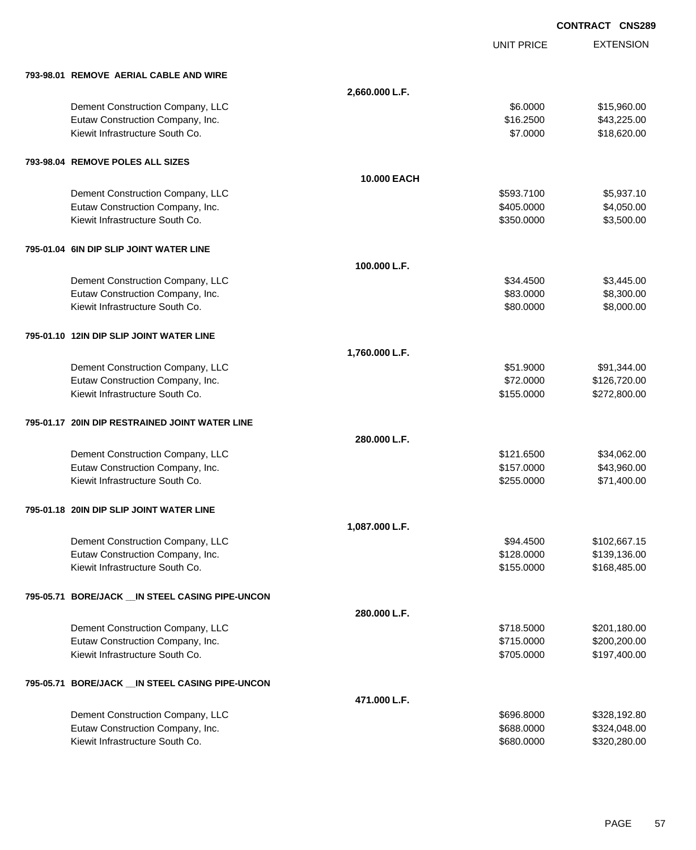EXTENSION **CONTRACT CNS289** UNIT PRICE **793-98.01 REMOVE AERIAL CABLE AND WIRE 2,660.000 L.F.** Dement Construction Company, LLC 6 and the state of the state of the state of the state of the state of the state of the state of the state of the state of the state of the state of the state of the state of the state of t Eutaw Construction Company, Inc. 6. The Construction Company, Inc. 6. The Construction Company, Inc. 6. The Construction Company, Inc. 6. The Construction Company, Inc. 6. The Construction Company, Inc. 6. The Construction Kiewit Infrastructure South Co. **\$18,620.00** \$18,620.00 **793-98.04 REMOVE POLES ALL SIZES 10.000 EACH** Dement Construction Company, LLC 6. The construction Company, LLC 6. The construction Company, LLC 6. The construction of the construction of the construction Company, LLC 6. The construction of the construction of the con Eutaw Construction Company, Inc. 6. The Construction Company, Inc. 6. The Construction Company, Inc. 6. The Construction Company, Inc. 6. The Construction Company, Inc. 6. The Construction Company, Inc. 6. The Construction Kiewit Infrastructure South Co. **62.6000 \$350.000 \$350.000 \$350.000** \$3,500.00 **795-01.04 6IN DIP SLIP JOINT WATER LINE 100.000 L.F.** Dement Construction Company, LLC 6.6 and the state of the state of the state of the state  $$3,445.00$  \$3,445.00 Eutaw Construction Company, Inc. 6. The Construction Company, Inc. 6. The Construction Company, Inc. 6. The Construction Company, Inc. 6. The Construction Company, Inc. 6. The Construction Company, Inc. 6. The Construction Kiewit Infrastructure South Co. **\$80.000 \$8,000.00** \$8,000.00 **795-01.10 12IN DIP SLIP JOINT WATER LINE 1,760.000 L.F.** Dement Construction Company, LLC 6 and the state of the state of the state of the state of the state of the state of the state of the state of the state of the state of the state of the state of the state of the state of t Eutaw Construction Company, Inc. 6. The Construction Company, Inc. 6. The Construction Company, Inc. 6. The Construction Company, Inc. 6. The Construction Company, Inc. 6. The Construction Company, Inc. 6. The Construction Kiewit Infrastructure South Co. **6272,800.00** \$272,800.00 \$272,800.00 **795-01.17 20IN DIP RESTRAINED JOINT WATER LINE 280.000 L.F.** Dement Construction Company, LLC 634,062.00 \$34,062.00 Eutaw Construction Company, Inc. 643,960.00 \$43,960.00 Kiewit Infrastructure South Co. **\$255.0000 \$71,400.00** \$71,400.00 **795-01.18 20IN DIP SLIP JOINT WATER LINE 1,087.000 L.F.** Dement Construction Company, LLC **but a set of the set of the set of the set of the set of the set of the set of the set of the set of the set of the set of the set of the set of the set of the set of the set of the set of** Eutaw Construction Company, Inc. 6. The Construction Company, Inc. 6. The Construction Company, Inc. 6. The Construction Company, Inc. 6. The Construction Company, Inc. 6. The Construction Company, Inc. 6. The Construction Kiewit Infrastructure South Co. **6. 1992 12:30 12:30 12:30 12:30 12:30 12:30 12:30 12:30 12:30 12:30 12:30 12:30 12:30 12:30 12:30 12:30 12:30 12:30 12:30 12:30 12:30 12:30 12:30 12:30 12:30 12:30 12:30 12:30 12:30 12:30 1 795-05.71 BORE/JACK \_\_IN STEEL CASING PIPE-UNCON 280.000 L.F.** Dement Construction Company, LLC **but a structure of the structure of the S**718.5000 \$201,180.00 Eutaw Construction Company, Inc. 6. The Construction Company, Inc. 6. The Construction Company, Inc. 6. The Construction Company, Inc. 6. The Construction Company, Inc. 6. The Construction Company, Inc. 6. The Construction Kiewit Infrastructure South Co. **6. 2006** 6.000 \$197,400.00 **795-05.71 BORE/JACK \_\_IN STEEL CASING PIPE-UNCON 471.000 L.F.** Dement Construction Company, LLC 6000 \$328,192.80 Eutaw Construction Company, Inc. 6. The Construction Company, Inc. 688.0000 \$324,048.00 Kiewit Infrastructure South Co. **\$580.000 \$320,280.00** \$320,280.000 \$320,280.00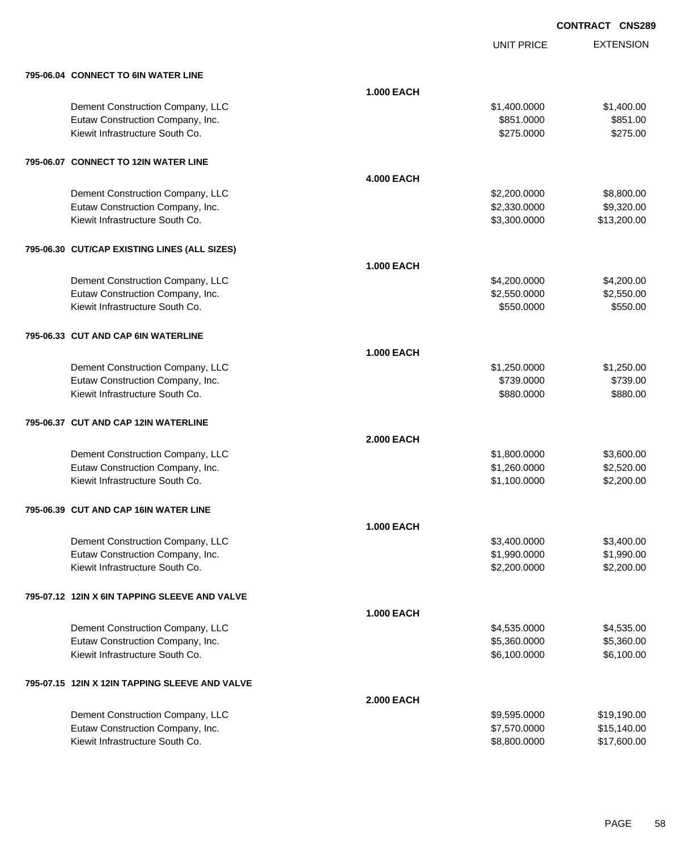UNIT PRICE

EXTENSION

| 795-06.04 CONNECT TO 6IN WATER LINE            |                   |              |             |
|------------------------------------------------|-------------------|--------------|-------------|
|                                                | <b>1.000 EACH</b> |              |             |
| Dement Construction Company, LLC               |                   | \$1,400.0000 | \$1,400.00  |
| Eutaw Construction Company, Inc.               |                   | \$851.0000   | \$851.00    |
| Kiewit Infrastructure South Co.                |                   | \$275.0000   | \$275.00    |
|                                                |                   |              |             |
| 795-06.07 CONNECT TO 12IN WATER LINE           |                   |              |             |
|                                                | <b>4.000 EACH</b> |              |             |
| Dement Construction Company, LLC               |                   | \$2,200.0000 | \$8,800.00  |
| Eutaw Construction Company, Inc.               |                   | \$2,330.0000 | \$9,320.00  |
| Kiewit Infrastructure South Co.                |                   | \$3,300.0000 | \$13,200.00 |
| 795-06.30 CUT/CAP EXISTING LINES (ALL SIZES)   |                   |              |             |
|                                                | <b>1.000 EACH</b> |              |             |
| Dement Construction Company, LLC               |                   | \$4,200.0000 | \$4,200.00  |
| Eutaw Construction Company, Inc.               |                   | \$2,550.0000 | \$2,550.00  |
| Kiewit Infrastructure South Co.                |                   | \$550.0000   | \$550.00    |
|                                                |                   |              |             |
| 795-06.33 CUT AND CAP 6IN WATERLINE            |                   |              |             |
|                                                | <b>1.000 EACH</b> |              |             |
| Dement Construction Company, LLC               |                   | \$1,250.0000 | \$1,250.00  |
| Eutaw Construction Company, Inc.               |                   | \$739.0000   | \$739.00    |
| Kiewit Infrastructure South Co.                |                   | \$880.0000   | \$880.00    |
| 795-06.37 CUT AND CAP 12IN WATERLINE           |                   |              |             |
|                                                | <b>2.000 EACH</b> |              |             |
| Dement Construction Company, LLC               |                   | \$1,800.0000 | \$3,600.00  |
| Eutaw Construction Company, Inc.               |                   | \$1,260.0000 | \$2,520.00  |
| Kiewit Infrastructure South Co.                |                   | \$1,100.0000 | \$2,200.00  |
| 795-06.39 CUT AND CAP 16IN WATER LINE          |                   |              |             |
|                                                | <b>1.000 EACH</b> |              |             |
| Dement Construction Company, LLC               |                   | \$3,400.0000 | \$3,400.00  |
| Eutaw Construction Company, Inc.               |                   | \$1,990.0000 | \$1,990.00  |
| Kiewit Infrastructure South Co.                |                   | \$2,200.0000 | \$2,200.00  |
|                                                |                   |              |             |
| 795-07.12 12IN X 6IN TAPPING SLEEVE AND VALVE  |                   |              |             |
|                                                | <b>1.000 EACH</b> |              |             |
| Dement Construction Company, LLC               |                   | \$4,535.0000 | \$4,535.00  |
| Eutaw Construction Company, Inc.               |                   | \$5,360.0000 | \$5,360.00  |
| Kiewit Infrastructure South Co.                |                   | \$6,100.0000 | \$6,100.00  |
| 795-07.15 12IN X 12IN TAPPING SLEEVE AND VALVE |                   |              |             |
|                                                | <b>2.000 EACH</b> |              |             |
| Dement Construction Company, LLC               |                   | \$9,595.0000 | \$19,190.00 |
| Eutaw Construction Company, Inc.               |                   | \$7,570.0000 | \$15,140.00 |
| Kiewit Infrastructure South Co.                |                   | \$8,800.0000 | \$17,600.00 |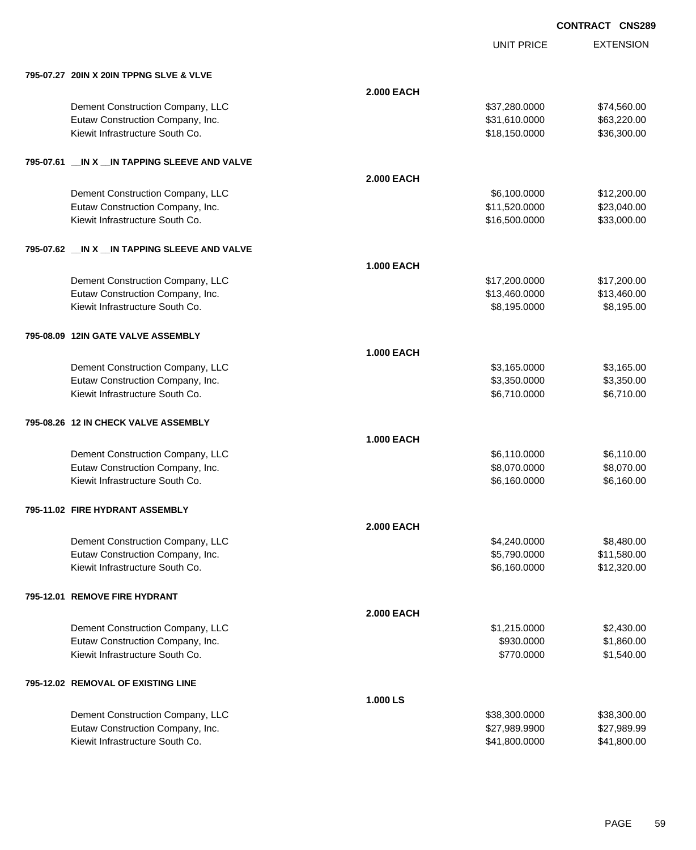UNIT PRICE

EXTENSION

| 795-07.27 20IN X 20IN TPPNG SLVE & VLVE |
|-----------------------------------------|
|                                         |

| 795-07.27 20IN X 20IN TPPNG SLVE & VLVE          |                   |                              |             |
|--------------------------------------------------|-------------------|------------------------------|-------------|
|                                                  | <b>2.000 EACH</b> |                              |             |
| Dement Construction Company, LLC                 |                   | \$37,280.0000                | \$74,560.00 |
| Eutaw Construction Company, Inc.                 |                   | \$31,610.0000                | \$63,220.00 |
| Kiewit Infrastructure South Co.                  |                   | \$18,150.0000                | \$36,300.00 |
| 795-07.61 __ IN X __ IN TAPPING SLEEVE AND VALVE |                   |                              |             |
|                                                  | <b>2.000 EACH</b> |                              |             |
| Dement Construction Company, LLC                 |                   | \$6,100.0000                 | \$12,200.00 |
| Eutaw Construction Company, Inc.                 |                   | \$11,520.0000                | \$23,040.00 |
| Kiewit Infrastructure South Co.                  |                   | \$16,500.0000                | \$33,000.00 |
| 795-07.62 __ IN X __ IN TAPPING SLEEVE AND VALVE |                   |                              |             |
|                                                  | <b>1.000 EACH</b> |                              |             |
| Dement Construction Company, LLC                 |                   | \$17,200.0000                | \$17,200.00 |
| Eutaw Construction Company, Inc.                 |                   | \$13,460.0000                | \$13,460.00 |
| Kiewit Infrastructure South Co.                  |                   | \$8,195.0000                 | \$8,195.00  |
| 795-08.09 12IN GATE VALVE ASSEMBLY               |                   |                              |             |
|                                                  | <b>1.000 EACH</b> |                              |             |
| Dement Construction Company, LLC                 |                   |                              | \$3,165.00  |
| Eutaw Construction Company, Inc.                 |                   | \$3,165.0000<br>\$3,350.0000 | \$3,350.00  |
| Kiewit Infrastructure South Co.                  |                   | \$6,710.0000                 | \$6,710.00  |
|                                                  |                   |                              |             |
| 795-08.26 12 IN CHECK VALVE ASSEMBLY             |                   |                              |             |
|                                                  | <b>1.000 EACH</b> |                              |             |
| Dement Construction Company, LLC                 |                   | \$6,110.0000                 | \$6,110.00  |
| Eutaw Construction Company, Inc.                 |                   | \$8,070.0000                 | \$8,070.00  |
| Kiewit Infrastructure South Co.                  |                   | \$6,160.0000                 | \$6,160.00  |
| 795-11.02 FIRE HYDRANT ASSEMBLY                  |                   |                              |             |
|                                                  | <b>2.000 EACH</b> |                              |             |
| Dement Construction Company, LLC                 |                   | \$4,240.0000                 | \$8,480.00  |
| Eutaw Construction Company, Inc.                 |                   | \$5,790.0000                 | \$11,580.00 |
| Kiewit Infrastructure South Co.                  |                   | \$6,160.0000                 | \$12,320.00 |
| 795-12.01 REMOVE FIRE HYDRANT                    |                   |                              |             |
|                                                  | <b>2.000 EACH</b> |                              |             |
| Dement Construction Company, LLC                 |                   | \$1,215.0000                 | \$2,430.00  |
| Eutaw Construction Company, Inc.                 |                   | \$930.0000                   | \$1,860.00  |
| Kiewit Infrastructure South Co.                  |                   | \$770.0000                   | \$1,540.00  |
| 795-12.02 REMOVAL OF EXISTING LINE               |                   |                              |             |
|                                                  | 1.000 LS          |                              |             |
| Dement Construction Company, LLC                 |                   | \$38,300.0000                | \$38,300.00 |
| Eutaw Construction Company, Inc.                 |                   | \$27,989.9900                | \$27,989.99 |
| Kiewit Infrastructure South Co.                  |                   | \$41,800.0000                | \$41,800.00 |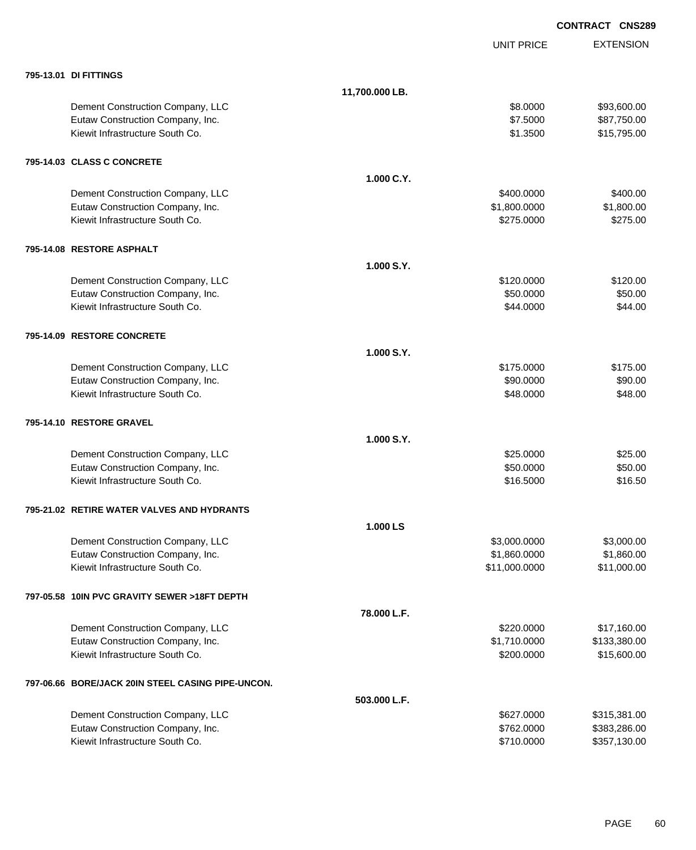|                                                   |                |                   | <b>CONTRACT CNS289</b> |
|---------------------------------------------------|----------------|-------------------|------------------------|
|                                                   |                | <b>UNIT PRICE</b> | <b>EXTENSION</b>       |
| 795-13.01 DI FITTINGS                             |                |                   |                        |
|                                                   | 11,700.000 LB. |                   |                        |
| Dement Construction Company, LLC                  |                | \$8.0000          | \$93,600.00            |
| Eutaw Construction Company, Inc.                  |                | \$7.5000          | \$87,750.00            |
| Kiewit Infrastructure South Co.                   |                | \$1.3500          | \$15,795.00            |
| 795-14.03 CLASS C CONCRETE                        |                |                   |                        |
|                                                   | 1.000 C.Y.     |                   |                        |
| Dement Construction Company, LLC                  |                | \$400.0000        | \$400.00               |
| Eutaw Construction Company, Inc.                  |                | \$1,800.0000      | \$1,800.00             |
| Kiewit Infrastructure South Co.                   |                | \$275.0000        | \$275.00               |
| 795-14.08 RESTORE ASPHALT                         |                |                   |                        |
|                                                   | 1.000 S.Y.     |                   |                        |
| Dement Construction Company, LLC                  |                | \$120.0000        | \$120.00               |
| Eutaw Construction Company, Inc.                  |                | \$50.0000         | \$50.00                |
| Kiewit Infrastructure South Co.                   |                | \$44.0000         | \$44.00                |
| 795-14.09 RESTORE CONCRETE                        |                |                   |                        |
|                                                   | 1.000 S.Y.     |                   |                        |
| Dement Construction Company, LLC                  |                | \$175.0000        | \$175.00               |
| Eutaw Construction Company, Inc.                  |                | \$90.0000         | \$90.00                |
| Kiewit Infrastructure South Co.                   |                | \$48.0000         | \$48.00                |
| 795-14.10 RESTORE GRAVEL                          |                |                   |                        |
|                                                   | 1.000 S.Y.     |                   |                        |
| Dement Construction Company, LLC                  |                | \$25.0000         | \$25.00                |
| Eutaw Construction Company, Inc.                  |                | \$50.0000         | \$50.00                |
| Kiewit Infrastructure South Co.                   |                | \$16.5000         | \$16.50                |
| 795-21.02 RETIRE WATER VALVES AND HYDRANTS        |                |                   |                        |
|                                                   | 1.000 LS       |                   |                        |
| Dement Construction Company, LLC                  |                | \$3,000.0000      | \$3,000.00             |
| Eutaw Construction Company, Inc.                  |                | \$1,860.0000      | \$1,860.00             |
| Kiewit Infrastructure South Co.                   |                | \$11,000.0000     | \$11,000.00            |
| 797-05.58 10IN PVC GRAVITY SEWER >18FT DEPTH      |                |                   |                        |
|                                                   | 78.000 L.F.    |                   |                        |
| Dement Construction Company, LLC                  |                | \$220.0000        | \$17,160.00            |
| Eutaw Construction Company, Inc.                  |                | \$1,710.0000      | \$133,380.00           |
| Kiewit Infrastructure South Co.                   |                | \$200.0000        | \$15,600.00            |
| 797-06.66 BORE/JACK 20IN STEEL CASING PIPE-UNCON. |                |                   |                        |
|                                                   | 503.000 L.F.   |                   |                        |
| Dement Construction Company, LLC                  |                | \$627.0000        | \$315,381.00           |
| Eutaw Construction Company, Inc.                  |                | \$762.0000        | \$383,286.00           |
| Kiewit Infrastructure South Co.                   |                | \$710.0000        | \$357,130.00           |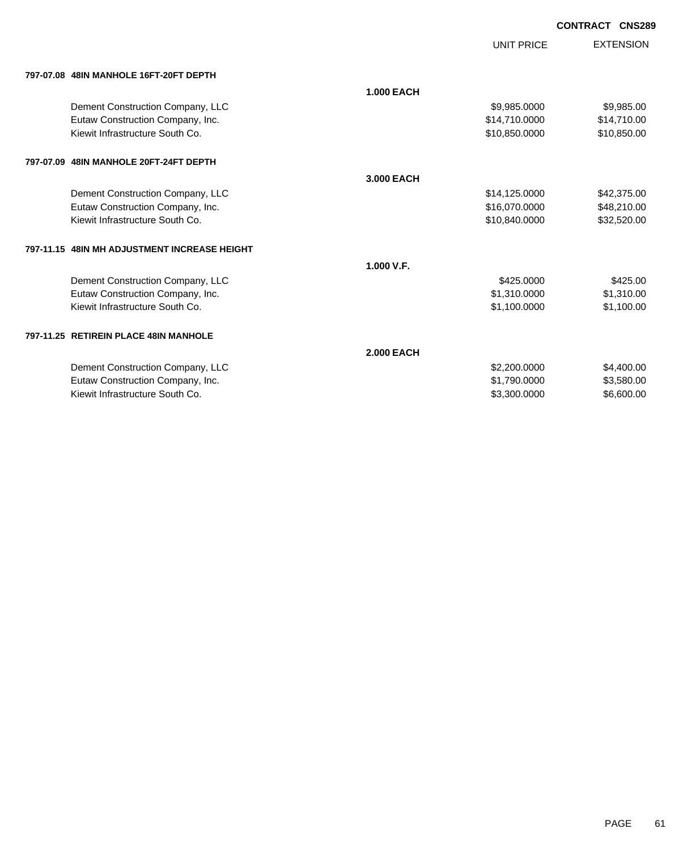|                                              |                   | <b>UNIT PRICE</b> | <b>EXTENSION</b> |
|----------------------------------------------|-------------------|-------------------|------------------|
| 797-07.08 48IN MANHOLE 16FT-20FT DEPTH       |                   |                   |                  |
|                                              | <b>1.000 EACH</b> |                   |                  |
| Dement Construction Company, LLC             |                   | \$9,985.0000      | \$9,985.00       |
| Eutaw Construction Company, Inc.             |                   | \$14,710.0000     | \$14,710.00      |
| Kiewit Infrastructure South Co.              |                   | \$10,850.0000     | \$10,850.00      |
| 797-07.09 48IN MANHOLE 20FT-24FT DEPTH       |                   |                   |                  |
|                                              | 3.000 EACH        |                   |                  |
| Dement Construction Company, LLC             |                   | \$14,125.0000     | \$42,375.00      |
| Eutaw Construction Company, Inc.             |                   | \$16,070.0000     | \$48,210.00      |
| Kiewit Infrastructure South Co.              |                   | \$10,840.0000     | \$32,520.00      |
| 797-11.15 48IN MH ADJUSTMENT INCREASE HEIGHT |                   |                   |                  |
|                                              | 1.000 V.F.        |                   |                  |
| Dement Construction Company, LLC             |                   | \$425.0000        | \$425.00         |
| Eutaw Construction Company, Inc.             |                   | \$1,310.0000      | \$1,310.00       |
| Kiewit Infrastructure South Co.              |                   | \$1,100.0000      | \$1,100.00       |
| 797-11.25 RETIREIN PLACE 48IN MANHOLE        |                   |                   |                  |
|                                              | <b>2.000 EACH</b> |                   |                  |
| Dement Construction Company, LLC             |                   | \$2,200.0000      | \$4,400.00       |
| Eutaw Construction Company, Inc.             |                   | \$1,790.0000      | \$3,580.00       |
| Kiewit Infrastructure South Co.              |                   | \$3,300.0000      | \$6,600.00       |
|                                              |                   |                   |                  |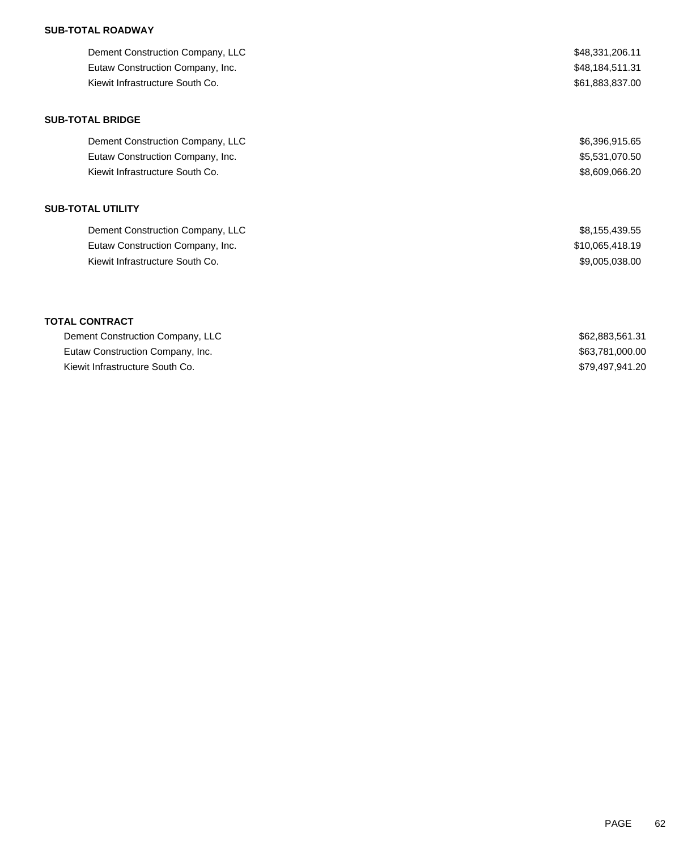### **SUB-TOTAL ROADWAY**

| Dement Construction Company, LLC | \$48,331,206.11 |
|----------------------------------|-----------------|
| Eutaw Construction Company, Inc. | \$48,184,511.31 |
| Kiewit Infrastructure South Co.  | \$61,883,837.00 |

### **SUB-TOTAL BRIDGE**

| Dement Construction Company, LLC | \$6,396,915.65 |
|----------------------------------|----------------|
| Eutaw Construction Company, Inc. | \$5,531,070.50 |
| Kiewit Infrastructure South Co.  | \$8,609,066,20 |

## **SUB-TOTAL UTILITY**

| Dement Construction Company, LLC | \$8,155,439.55  |
|----------------------------------|-----------------|
| Eutaw Construction Company, Inc. | \$10,065,418.19 |
| Kiewit Infrastructure South Co.  | \$9,005,038.00  |

### **TOTAL CONTRACT**

| Dement Construction Company, LLC | \$62.883.561.31 |
|----------------------------------|-----------------|
| Eutaw Construction Company, Inc. | \$63,781,000.00 |
| Kiewit Infrastructure South Co.  | \$79.497.941.20 |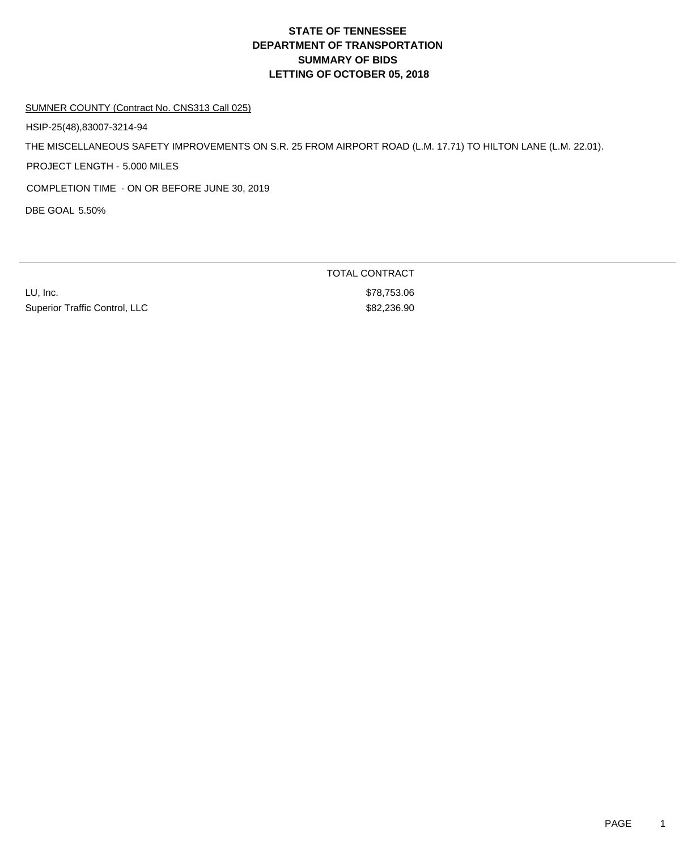# **DEPARTMENT OF TRANSPORTATION SUMMARY OF BIDS LETTING OF OCTOBER 05, 2018 STATE OF TENNESSEE**

#### SUMNER COUNTY (Contract No. CNS313 Call 025)

HSIP-25(48),83007-3214-94

THE MISCELLANEOUS SAFETY IMPROVEMENTS ON S.R. 25 FROM AIRPORT ROAD (L.M. 17.71) TO HILTON LANE (L.M. 22.01).

PROJECT LENGTH - 5.000 MILES

COMPLETION TIME - ON OR BEFORE JUNE 30, 2019

DBE GOAL 5.50%

LU, Inc. \$78,753.06 Superior Traffic Control, LLC \$82,236.90

TOTAL CONTRACT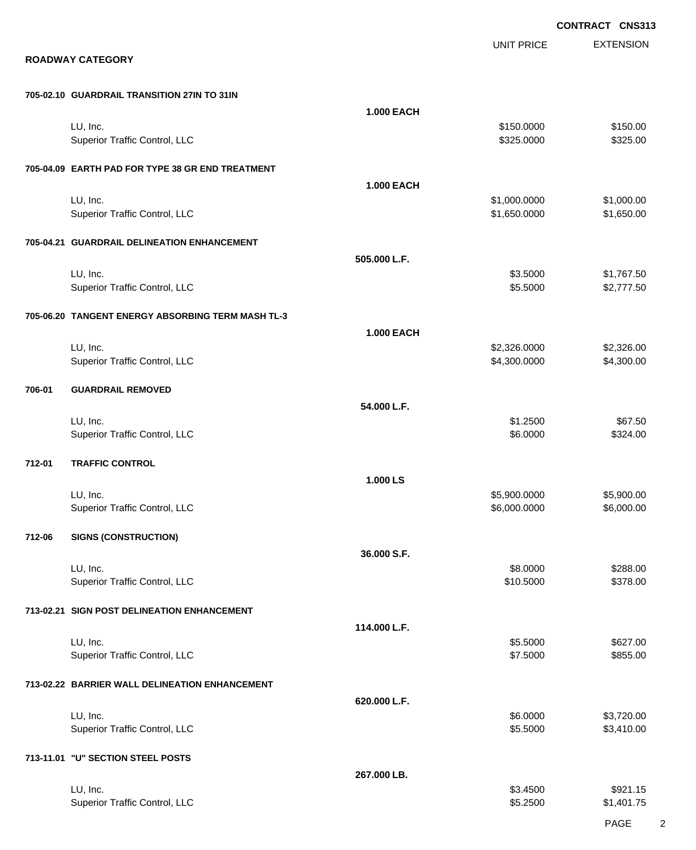EXTENSION **CONTRACT CNS313** UNIT PRICE **ROADWAY CATEGORY 705-02.10 GUARDRAIL TRANSITION 27IN TO 31IN 1.000 EACH** LU, Inc. \$150.0000 \$150.00 Superior Traffic Control, LLC 6325.000 \$325.000 \$325.000 \$325.000 **705-04.09 EARTH PAD FOR TYPE 38 GR END TREATMENT 1.000 EACH** LU, Inc. \$1,000.0000 \$1,000.00 Superior Traffic Control, LLC 61,650.000 \$1,650.000 \$1,650.000 \$1,650.000 **705-04.21 GUARDRAIL DELINEATION ENHANCEMENT 505.000 L.F.** LU, Inc. \$3.5000 \$1,767.50 Superior Traffic Control, LLC **6000 \$2,777.50** \$2,777.50 **705-06.20 TANGENT ENERGY ABSORBING TERM MASH TL-3 1.000 EACH** LU, Inc. \$2,326.0000 \$2,326.00 Superior Traffic Control, LLC 64,300.000 \$4,300.000 \$4,300.000 \$4,300.000 \$4,300.000 \$4,300.00 **706-01 GUARDRAIL REMOVED 54.000 L.F.** LU, Inc. \$1.2500 \$67.50 Superior Traffic Control, LLC 6324.00 **712-01 TRAFFIC CONTROL 1.000 LS** LU, Inc. \$5,900.0000 \$5,900.00 Superior Traffic Control, LLC 6,000.000 \$6,000.000 \$6,000.000 \$6,000.000 \$6,000.000 \$6,000.00 **712-06 SIGNS (CONSTRUCTION) 36.000 S.F.** LU, Inc. \$8.0000 \$288.00 Superior Traffic Control, LLC \$10.5000 \$378.00 **713-02.21 SIGN POST DELINEATION ENHANCEMENT 114.000 L.F.** LU, Inc. \$5.5000 \$627.00 Superior Traffic Control, LLC 6855.00 \$855.00 **713-02.22 BARRIER WALL DELINEATION ENHANCEMENT 620.000 L.F.** LU, Inc. \$6.0000 \$3,720.00 Superior Traffic Control, LLC 63,410.00 **713-11.01 "U" SECTION STEEL POSTS 267.000 LB.** LU, Inc. \$3.4500 \$921.15

Superior Traffic Control, LLC 65.2500 \$1,401.75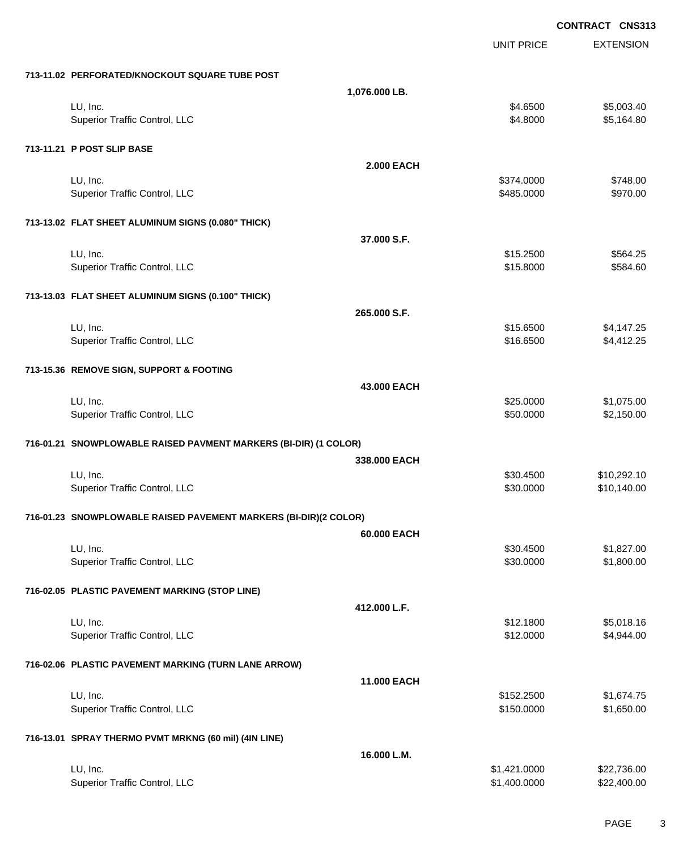|                                                                  |                   | CONTRACT CNS313  |
|------------------------------------------------------------------|-------------------|------------------|
|                                                                  | <b>UNIT PRICE</b> | <b>EXTENSION</b> |
| 713-11.02 PERFORATED/KNOCKOUT SQUARE TUBE POST                   |                   |                  |
|                                                                  | 1,076.000 LB.     |                  |
| LU, Inc.                                                         | \$4.6500          | \$5,003.40       |
| Superior Traffic Control, LLC                                    | \$4.8000          | \$5,164.80       |
| 713-11.21 P POST SLIP BASE                                       |                   |                  |
|                                                                  | <b>2.000 EACH</b> |                  |
| LU, Inc.                                                         | \$374.0000        | \$748.00         |
| Superior Traffic Control, LLC                                    | \$485.0000        | \$970.00         |
| 713-13.02 FLAT SHEET ALUMINUM SIGNS (0.080" THICK)               |                   |                  |
|                                                                  | 37.000 S.F.       |                  |
| LU, Inc.                                                         | \$15.2500         | \$564.25         |
| Superior Traffic Control, LLC                                    | \$15.8000         | \$584.60         |
| 713-13.03 FLAT SHEET ALUMINUM SIGNS (0.100" THICK)               |                   |                  |
|                                                                  | 265.000 S.F.      |                  |
| LU, Inc.                                                         | \$15.6500         | \$4,147.25       |
| Superior Traffic Control, LLC                                    | \$16.6500         | \$4,412.25       |
| 713-15.36 REMOVE SIGN, SUPPORT & FOOTING                         |                   |                  |
|                                                                  | 43.000 EACH       |                  |
| LU, Inc.                                                         | \$25.0000         | \$1,075.00       |
| Superior Traffic Control, LLC                                    | \$50.0000         | \$2,150.00       |
| 716-01.21 SNOWPLOWABLE RAISED PAVMENT MARKERS (BI-DIR) (1 COLOR) |                   |                  |
|                                                                  | 338,000 EACH      |                  |
| LU, Inc.                                                         | \$30.4500         | \$10,292.10      |
| Superior Traffic Control, LLC                                    | \$30.0000         | \$10,140.00      |
| 716-01.23 SNOWPLOWABLE RAISED PAVEMENT MARKERS (BI-DIR)(2 COLOR) |                   |                  |
|                                                                  | 60.000 EACH       |                  |
| LU, Inc.                                                         | \$30.4500         | \$1,827.00       |
| Superior Traffic Control, LLC                                    | \$30.0000         | \$1,800.00       |
| 716-02.05 PLASTIC PAVEMENT MARKING (STOP LINE)                   |                   |                  |
|                                                                  | 412.000 L.F.      |                  |
| LU, Inc.                                                         | \$12.1800         | \$5,018.16       |
| Superior Traffic Control, LLC                                    | \$12.0000         | \$4,944.00       |
| 716-02.06 PLASTIC PAVEMENT MARKING (TURN LANE ARROW)             |                   |                  |
|                                                                  | 11.000 EACH       |                  |
| LU, Inc.                                                         | \$152.2500        | \$1,674.75       |
| Superior Traffic Control, LLC                                    | \$150.0000        | \$1,650.00       |
| 716-13.01 SPRAY THERMO PVMT MRKNG (60 mil) (4IN LINE)            |                   |                  |
|                                                                  | 16.000 L.M.       |                  |
| LU, Inc.                                                         | \$1,421.0000      | \$22,736.00      |
| Superior Traffic Control, LLC                                    | \$1,400.0000      | \$22,400.00      |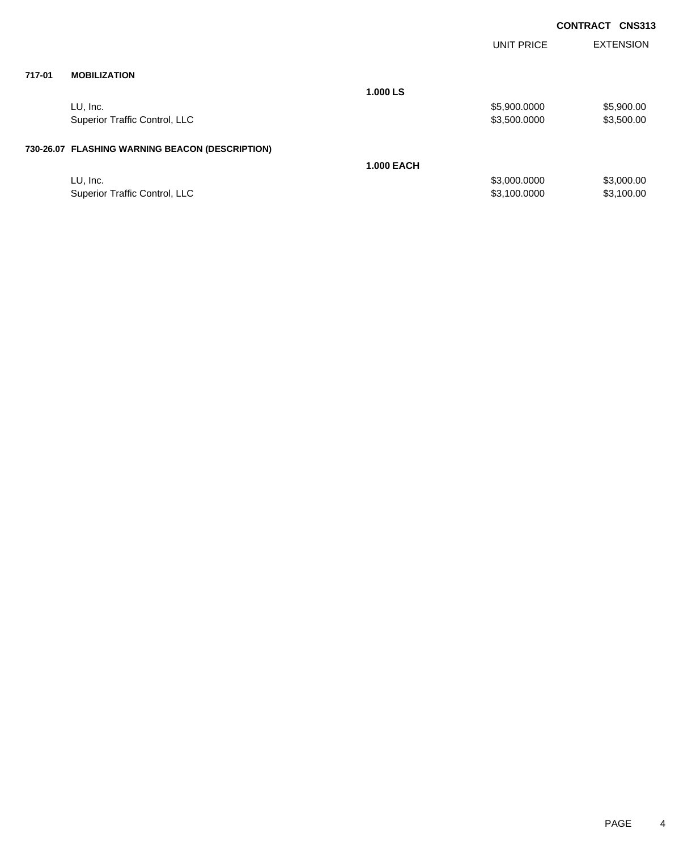|        |                                                 |                   | <b>UNIT PRICE</b> | <b>EXTENSION</b> |
|--------|-------------------------------------------------|-------------------|-------------------|------------------|
| 717-01 | <b>MOBILIZATION</b>                             |                   |                   |                  |
|        |                                                 | 1.000 LS          |                   |                  |
|        | LU, Inc.                                        |                   | \$5,900.0000      | \$5,900.00       |
|        | Superior Traffic Control, LLC                   |                   | \$3,500.0000      | \$3,500.00       |
|        | 730-26.07 FLASHING WARNING BEACON (DESCRIPTION) |                   |                   |                  |
|        |                                                 | <b>1.000 EACH</b> |                   |                  |
|        | LU, Inc.                                        |                   | \$3,000.0000      | \$3,000.00       |
|        | <b>Superior Traffic Control, LLC</b>            |                   | \$3,100.0000      | \$3,100.00       |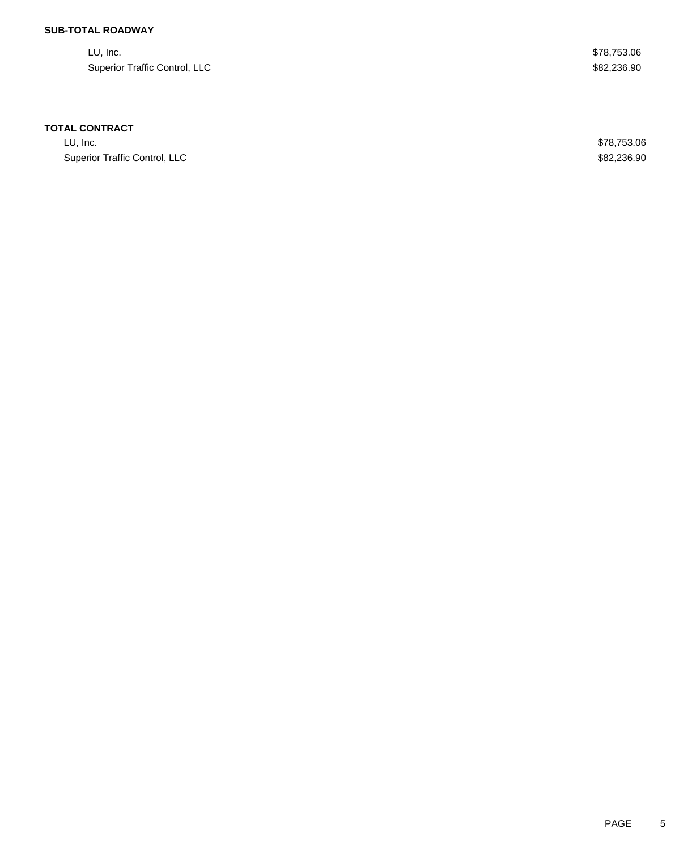### **SUB-TOTAL ROADWAY**

LU, Inc. \$78,753.06 Superior Traffic Control, LLC \$82,236.90

### **TOTAL CONTRACT**

LU, Inc. \$78,753.06 Superior Traffic Control, LLC \$82,236.90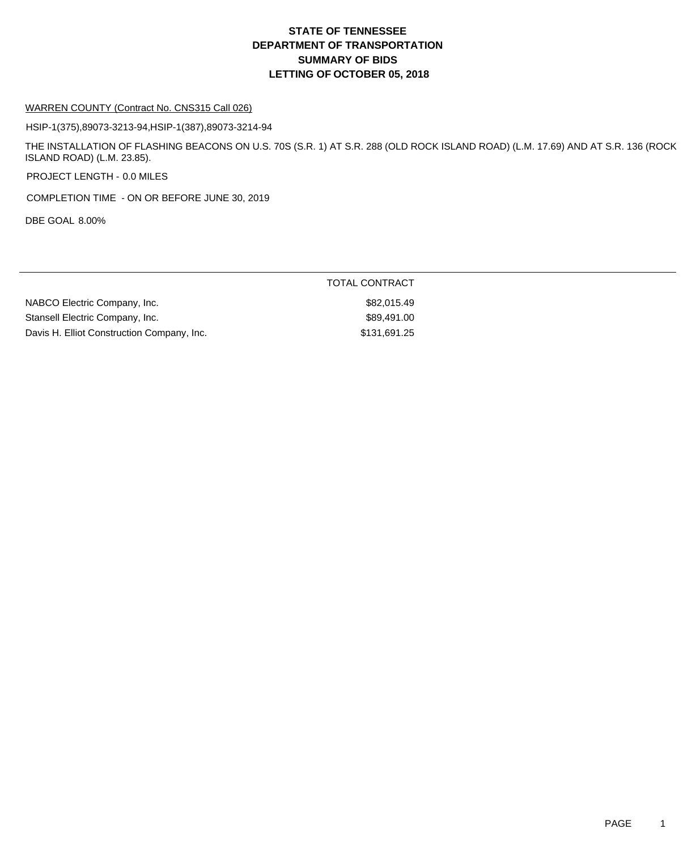# **DEPARTMENT OF TRANSPORTATION SUMMARY OF BIDS LETTING OF OCTOBER 05, 2018 STATE OF TENNESSEE**

#### WARREN COUNTY (Contract No. CNS315 Call 026)

HSIP-1(375),89073-3213-94,HSIP-1(387),89073-3214-94

THE INSTALLATION OF FLASHING BEACONS ON U.S. 70S (S.R. 1) AT S.R. 288 (OLD ROCK ISLAND ROAD) (L.M. 17.69) AND AT S.R. 136 (ROCK ISLAND ROAD) (L.M. 23.85).

PROJECT LENGTH - 0.0 MILES

COMPLETION TIME - ON OR BEFORE JUNE 30, 2019

DBE GOAL 8.00%

|                                            | <b>TOTAL CONTRACT</b> |
|--------------------------------------------|-----------------------|
| NABCO Electric Company, Inc.               | \$82.015.49           |
| Stansell Electric Company, Inc.            | \$89.491.00           |
| Davis H. Elliot Construction Company, Inc. | \$131,691.25          |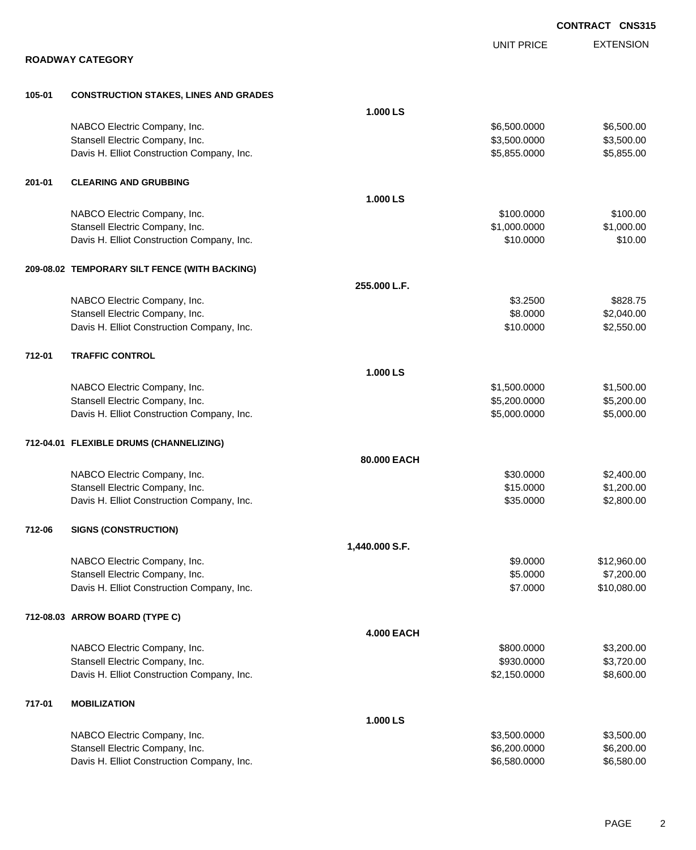|        |                                               |                   |                   | <b>CONTRACT CNS315</b> |
|--------|-----------------------------------------------|-------------------|-------------------|------------------------|
|        |                                               |                   | <b>UNIT PRICE</b> | <b>EXTENSION</b>       |
|        | <b>ROADWAY CATEGORY</b>                       |                   |                   |                        |
| 105-01 | <b>CONSTRUCTION STAKES, LINES AND GRADES</b>  |                   |                   |                        |
|        |                                               | 1.000 LS          |                   |                        |
|        | NABCO Electric Company, Inc.                  |                   | \$6,500.0000      | \$6,500.00             |
|        | Stansell Electric Company, Inc.               |                   | \$3,500.0000      | \$3,500.00             |
|        | Davis H. Elliot Construction Company, Inc.    |                   | \$5,855.0000      | \$5,855.00             |
| 201-01 | <b>CLEARING AND GRUBBING</b>                  |                   |                   |                        |
|        |                                               | 1.000 LS          |                   |                        |
|        | NABCO Electric Company, Inc.                  |                   | \$100.0000        | \$100.00               |
|        | Stansell Electric Company, Inc.               |                   | \$1,000.0000      | \$1,000.00             |
|        | Davis H. Elliot Construction Company, Inc.    |                   | \$10.0000         | \$10.00                |
|        | 209-08.02 TEMPORARY SILT FENCE (WITH BACKING) |                   |                   |                        |
|        |                                               | 255.000 L.F.      |                   |                        |
|        | NABCO Electric Company, Inc.                  |                   | \$3.2500          | \$828.75               |
|        | Stansell Electric Company, Inc.               |                   | \$8.0000          | \$2,040.00             |
|        | Davis H. Elliot Construction Company, Inc.    |                   | \$10.0000         | \$2,550.00             |
| 712-01 | <b>TRAFFIC CONTROL</b>                        |                   |                   |                        |
|        |                                               | 1.000 LS          |                   |                        |
|        | NABCO Electric Company, Inc.                  |                   | \$1,500.0000      | \$1,500.00             |
|        | Stansell Electric Company, Inc.               |                   | \$5,200.0000      | \$5,200.00             |
|        | Davis H. Elliot Construction Company, Inc.    |                   | \$5,000.0000      | \$5,000.00             |
|        | 712-04.01 FLEXIBLE DRUMS (CHANNELIZING)       |                   |                   |                        |
|        |                                               | 80.000 EACH       |                   |                        |
|        | NABCO Electric Company, Inc.                  |                   | \$30.0000         | \$2,400.00             |
|        | Stansell Electric Company, Inc.               |                   | \$15.0000         | \$1,200.00             |
|        | Davis H. Elliot Construction Company, Inc.    |                   | \$35.0000         | \$2,800.00             |
| 712-06 | <b>SIGNS (CONSTRUCTION)</b>                   |                   |                   |                        |
|        |                                               | 1,440.000 S.F.    |                   |                        |
|        | NABCO Electric Company, Inc.                  |                   | \$9.0000          | \$12,960.00            |
|        | Stansell Electric Company, Inc.               |                   | \$5.0000          | \$7,200.00             |
|        | Davis H. Elliot Construction Company, Inc.    |                   | \$7.0000          | \$10,080.00            |
|        | 712-08.03 ARROW BOARD (TYPE C)                |                   |                   |                        |
|        |                                               | <b>4.000 EACH</b> |                   |                        |
|        | NABCO Electric Company, Inc.                  |                   | \$800.0000        | \$3,200.00             |
|        | Stansell Electric Company, Inc.               |                   | \$930.0000        | \$3,720.00             |
|        | Davis H. Elliot Construction Company, Inc.    |                   | \$2,150.0000      | \$8,600.00             |
| 717-01 | <b>MOBILIZATION</b>                           |                   |                   |                        |
|        |                                               | 1.000 LS          |                   |                        |
|        | NABCO Electric Company, Inc.                  |                   | \$3,500.0000      | \$3,500.00             |
|        | Stansell Electric Company, Inc.               |                   | \$6,200.0000      | \$6,200.00             |
|        | Davis H. Elliot Construction Company, Inc.    |                   | \$6,580.0000      | \$6,580.00             |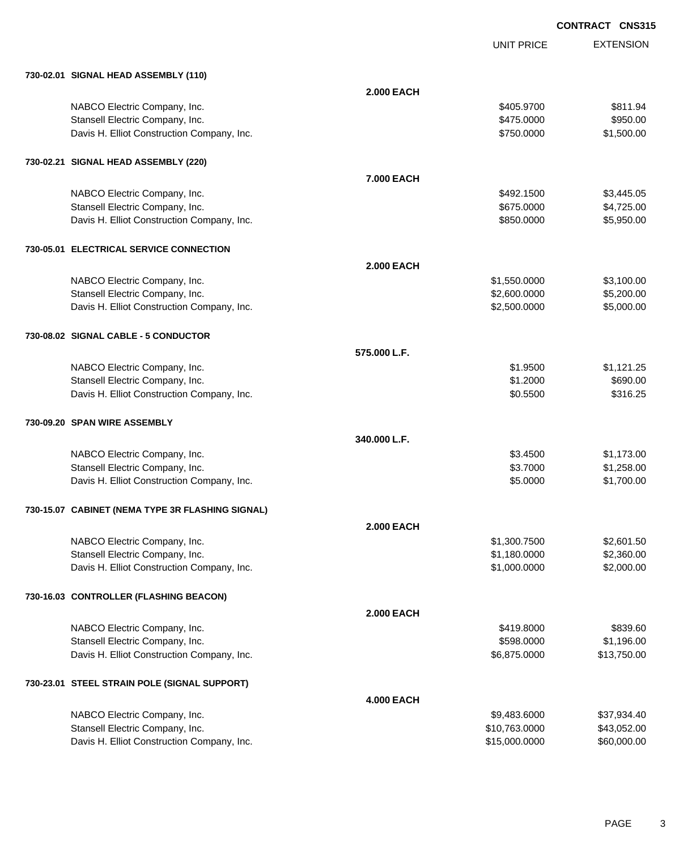EXTENSION **CONTRACT CNS315**

UNIT PRICE

|  | 730-02.01 SIGNAL HEAD ASSEMBLY (110) |  |
|--|--------------------------------------|--|

| 730-02.01 SIGNAL HEAD ASSEMBLY (110)                            |                   |               |                          |
|-----------------------------------------------------------------|-------------------|---------------|--------------------------|
|                                                                 | <b>2.000 EACH</b> |               |                          |
| NABCO Electric Company, Inc.                                    |                   | \$405.9700    | \$811.94                 |
| Stansell Electric Company, Inc.                                 |                   | \$475.0000    | \$950.00                 |
| Davis H. Elliot Construction Company, Inc.                      |                   | \$750.0000    | \$1,500.00               |
| 730-02.21 SIGNAL HEAD ASSEMBLY (220)                            |                   |               |                          |
|                                                                 | 7.000 EACH        |               |                          |
| NABCO Electric Company, Inc.                                    |                   | \$492.1500    | \$3,445.05               |
| Stansell Electric Company, Inc.                                 |                   | \$675.0000    | \$4,725.00               |
| Davis H. Elliot Construction Company, Inc.                      |                   | \$850.0000    | \$5,950.00               |
|                                                                 |                   |               |                          |
| 730-05.01 ELECTRICAL SERVICE CONNECTION                         | <b>2.000 EACH</b> |               |                          |
|                                                                 |                   | \$1,550.0000  |                          |
| NABCO Electric Company, Inc.<br>Stansell Electric Company, Inc. |                   | \$2,600.0000  | \$3,100.00<br>\$5,200.00 |
| Davis H. Elliot Construction Company, Inc.                      |                   | \$2,500.0000  | \$5,000.00               |
|                                                                 |                   |               |                          |
| 730-08.02 SIGNAL CABLE - 5 CONDUCTOR                            |                   |               |                          |
|                                                                 | 575.000 L.F.      |               |                          |
| NABCO Electric Company, Inc.                                    |                   | \$1.9500      | \$1,121.25               |
| Stansell Electric Company, Inc.                                 |                   | \$1.2000      | \$690.00                 |
| Davis H. Elliot Construction Company, Inc.                      |                   | \$0.5500      | \$316.25                 |
| 730-09.20 SPAN WIRE ASSEMBLY                                    |                   |               |                          |
|                                                                 | 340.000 L.F.      |               |                          |
| NABCO Electric Company, Inc.                                    |                   | \$3.4500      | \$1,173.00               |
| Stansell Electric Company, Inc.                                 |                   | \$3.7000      | \$1,258.00               |
| Davis H. Elliot Construction Company, Inc.                      |                   | \$5.0000      | \$1,700.00               |
| 730-15.07 CABINET (NEMA TYPE 3R FLASHING SIGNAL)                |                   |               |                          |
|                                                                 | <b>2.000 EACH</b> |               |                          |
| NABCO Electric Company, Inc.                                    |                   | \$1,300.7500  | \$2,601.50               |
| Stansell Electric Company, Inc.                                 |                   | \$1,180.0000  | \$2,360.00               |
| Davis H. Elliot Construction Company, Inc.                      |                   | \$1,000.0000  | \$2,000.00               |
| 730-16.03 CONTROLLER (FLASHING BEACON)                          |                   |               |                          |
|                                                                 | <b>2.000 EACH</b> |               |                          |
| NABCO Electric Company, Inc.                                    |                   | \$419.8000    | \$839.60                 |
| Stansell Electric Company, Inc.                                 |                   | \$598.0000    | \$1,196.00               |
| Davis H. Elliot Construction Company, Inc.                      |                   | \$6,875.0000  | \$13,750.00              |
| 730-23.01 STEEL STRAIN POLE (SIGNAL SUPPORT)                    |                   |               |                          |
|                                                                 | <b>4.000 EACH</b> |               |                          |
| NABCO Electric Company, Inc.                                    |                   | \$9,483.6000  | \$37,934.40              |
| Stansell Electric Company, Inc.                                 |                   | \$10,763.0000 | \$43,052.00              |
| Davis H. Elliot Construction Company, Inc.                      |                   | \$15,000.0000 | \$60,000.00              |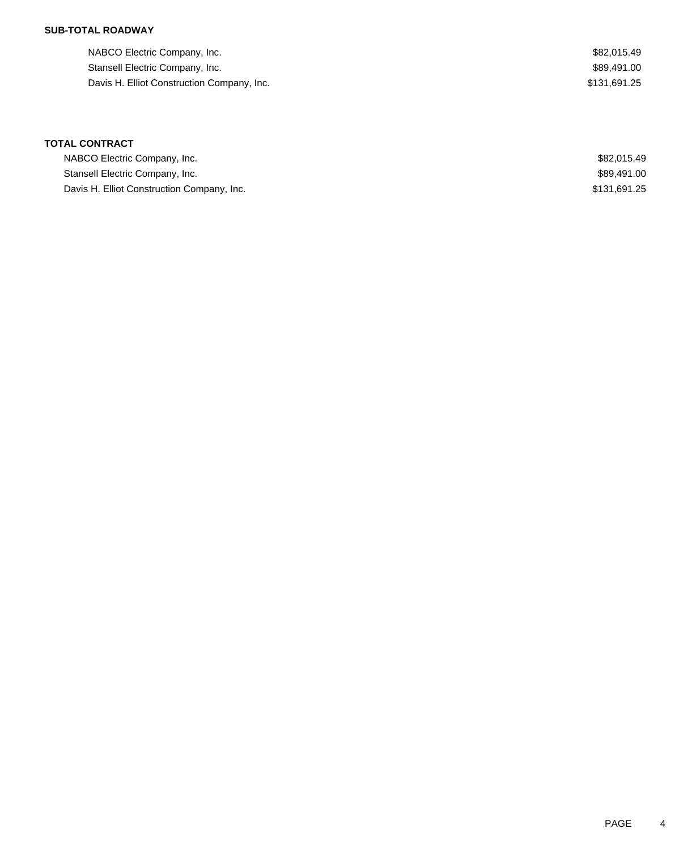### **SUB-TOTAL ROADWAY**

| NABCO Electric Company, Inc.               | \$82.015.49  |
|--------------------------------------------|--------------|
| Stansell Electric Company, Inc.            | \$89.491.00  |
| Davis H. Elliot Construction Company, Inc. | \$131.691.25 |

# **TOTAL CONTRACT**

| NABCO Electric Company, Inc.               | \$82,015.49  |
|--------------------------------------------|--------------|
| Stansell Electric Company, Inc.            | \$89,491.00  |
| Davis H. Elliot Construction Company, Inc. | \$131,691.25 |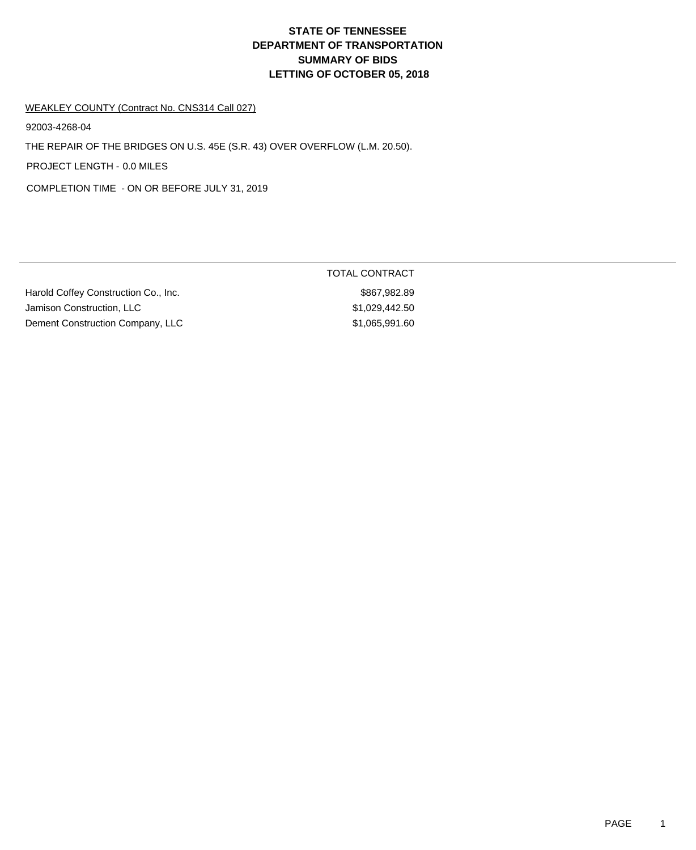# **DEPARTMENT OF TRANSPORTATION SUMMARY OF BIDS LETTING OF OCTOBER 05, 2018 STATE OF TENNESSEE**

#### WEAKLEY COUNTY (Contract No. CNS314 Call 027)

92003-4268-04

THE REPAIR OF THE BRIDGES ON U.S. 45E (S.R. 43) OVER OVERFLOW (L.M. 20.50).

PROJECT LENGTH - 0.0 MILES

COMPLETION TIME - ON OR BEFORE JULY 31, 2019

| Harold Coffey Construction Co., Inc. |
|--------------------------------------|
| Jamison Construction, LLC            |
| Dement Construction Company, LLC     |

# TOTAL CONTRACT

 $$867,982.89$  $$1,029,442.50$ npany, LLC \$1,065,991.60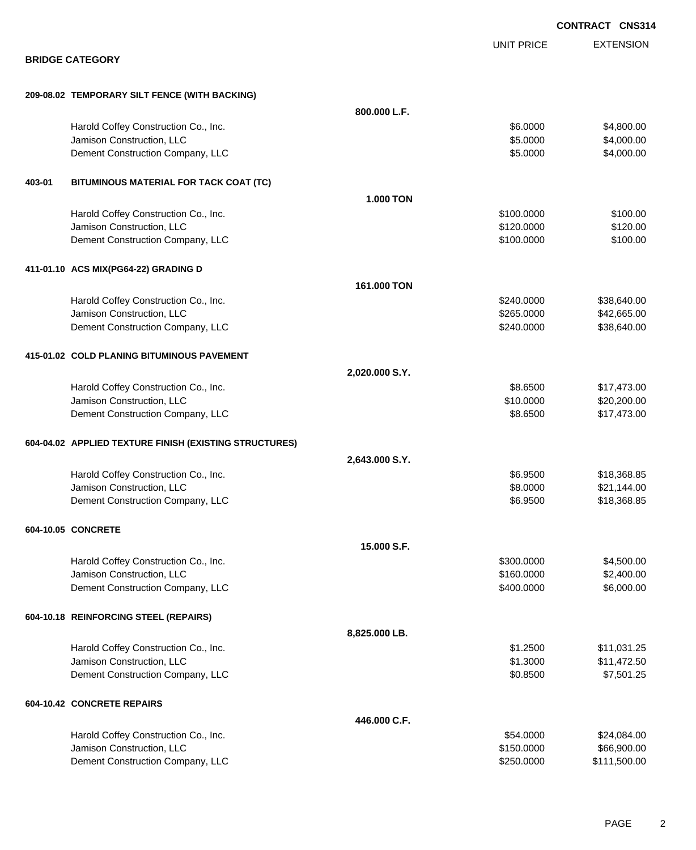|        |                                                        |                  |                   | <b>CONTRACT CNS314</b> |
|--------|--------------------------------------------------------|------------------|-------------------|------------------------|
|        |                                                        |                  | <b>UNIT PRICE</b> | <b>EXTENSION</b>       |
|        | <b>BRIDGE CATEGORY</b>                                 |                  |                   |                        |
|        | 209-08.02 TEMPORARY SILT FENCE (WITH BACKING)          |                  |                   |                        |
|        |                                                        | 800.000 L.F.     |                   |                        |
|        | Harold Coffey Construction Co., Inc.                   |                  | \$6.0000          | \$4,800.00             |
|        | Jamison Construction, LLC                              |                  | \$5.0000          | \$4,000.00             |
|        | Dement Construction Company, LLC                       |                  | \$5.0000          | \$4,000.00             |
| 403-01 | BITUMINOUS MATERIAL FOR TACK COAT (TC)                 |                  |                   |                        |
|        |                                                        | <b>1.000 TON</b> |                   |                        |
|        | Harold Coffey Construction Co., Inc.                   |                  | \$100.0000        | \$100.00               |
|        | Jamison Construction, LLC                              |                  | \$120.0000        | \$120.00               |
|        | Dement Construction Company, LLC                       |                  | \$100.0000        | \$100.00               |
|        | 411-01.10 ACS MIX(PG64-22) GRADING D                   |                  |                   |                        |
|        |                                                        | 161.000 TON      |                   |                        |
|        | Harold Coffey Construction Co., Inc.                   |                  | \$240.0000        | \$38,640.00            |
|        | Jamison Construction, LLC                              |                  | \$265.0000        | \$42,665.00            |
|        | Dement Construction Company, LLC                       |                  | \$240.0000        | \$38,640.00            |
|        | 415-01.02 COLD PLANING BITUMINOUS PAVEMENT             |                  |                   |                        |
|        |                                                        | 2,020.000 S.Y.   |                   |                        |
|        | Harold Coffey Construction Co., Inc.                   |                  | \$8.6500          | \$17,473.00            |
|        | Jamison Construction, LLC                              |                  | \$10.0000         | \$20,200.00            |
|        | Dement Construction Company, LLC                       |                  | \$8.6500          | \$17,473.00            |
|        | 604-04.02 APPLIED TEXTURE FINISH (EXISTING STRUCTURES) |                  |                   |                        |
|        |                                                        | 2,643.000 S.Y.   |                   |                        |
|        | Harold Coffey Construction Co., Inc.                   |                  | \$6.9500          | \$18,368.85            |
|        | Jamison Construction, LLC                              |                  | \$8.0000          | \$21,144.00            |
|        | Dement Construction Company, LLC                       |                  | \$6.9500          | \$18,368.85            |
|        | 604-10.05 CONCRETE                                     |                  |                   |                        |
|        |                                                        | 15.000 S.F.      |                   |                        |
|        | Harold Coffey Construction Co., Inc.                   |                  | \$300.0000        | \$4,500.00             |
|        | Jamison Construction, LLC                              |                  | \$160.0000        | \$2,400.00             |
|        | Dement Construction Company, LLC                       |                  | \$400.0000        | \$6,000.00             |
|        | 604-10.18 REINFORCING STEEL (REPAIRS)                  |                  |                   |                        |
|        |                                                        | 8,825.000 LB.    |                   |                        |
|        | Harold Coffey Construction Co., Inc.                   |                  | \$1.2500          | \$11,031.25            |
|        | Jamison Construction, LLC                              |                  | \$1.3000          | \$11,472.50            |
|        | Dement Construction Company, LLC                       |                  | \$0.8500          | \$7,501.25             |
|        | 604-10.42 CONCRETE REPAIRS                             |                  |                   |                        |
|        |                                                        | 446.000 C.F.     |                   |                        |
|        | Harold Coffey Construction Co., Inc.                   |                  | \$54.0000         | \$24,084.00            |
|        | Jamison Construction, LLC                              |                  | \$150.0000        | \$66,900.00            |
|        | Dement Construction Company, LLC                       |                  | \$250.0000        | \$111,500.00           |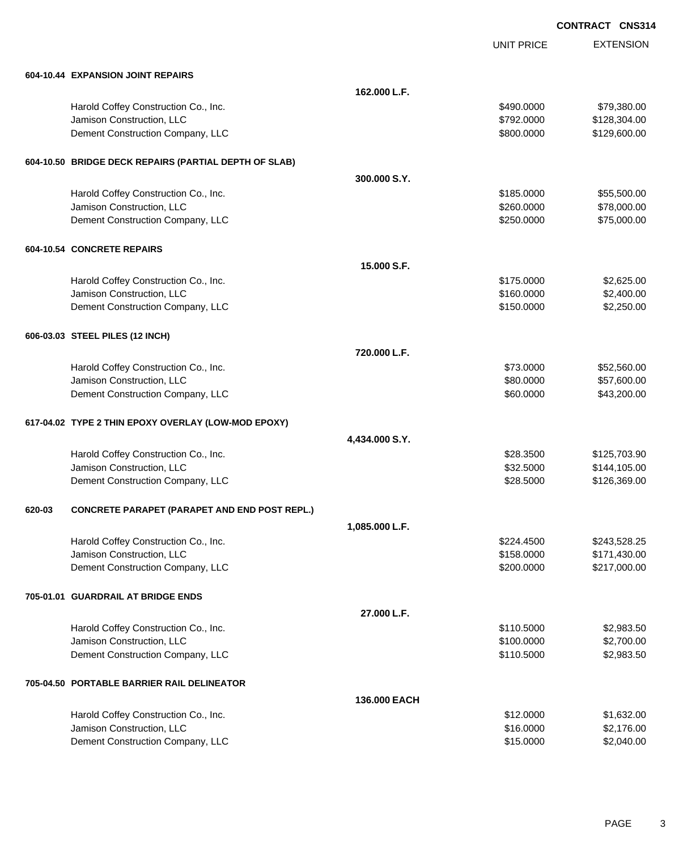UNIT PRICE

EXTENSION

|        | 604-10.44 EXPANSION JOINT REPAIRS                     |                |            |              |
|--------|-------------------------------------------------------|----------------|------------|--------------|
|        |                                                       | 162.000 L.F.   |            |              |
|        | Harold Coffey Construction Co., Inc.                  |                | \$490.0000 | \$79,380.00  |
|        | Jamison Construction, LLC                             |                | \$792.0000 | \$128,304.00 |
|        | Dement Construction Company, LLC                      |                | \$800.0000 | \$129,600.00 |
|        | 604-10.50 BRIDGE DECK REPAIRS (PARTIAL DEPTH OF SLAB) |                |            |              |
|        |                                                       | 300,000 S.Y.   |            |              |
|        | Harold Coffey Construction Co., Inc.                  |                | \$185.0000 | \$55,500.00  |
|        | Jamison Construction, LLC                             |                | \$260.0000 | \$78,000.00  |
|        | Dement Construction Company, LLC                      |                | \$250.0000 | \$75,000.00  |
|        | 604-10.54 CONCRETE REPAIRS                            |                |            |              |
|        |                                                       | 15,000 S.F.    |            |              |
|        | Harold Coffey Construction Co., Inc.                  |                | \$175.0000 | \$2,625.00   |
|        | Jamison Construction, LLC                             |                | \$160.0000 | \$2,400.00   |
|        | Dement Construction Company, LLC                      |                | \$150.0000 | \$2,250.00   |
|        | 606-03.03 STEEL PILES (12 INCH)                       |                |            |              |
|        |                                                       | 720.000 L.F.   |            |              |
|        | Harold Coffey Construction Co., Inc.                  |                | \$73.0000  | \$52,560.00  |
|        | Jamison Construction, LLC                             |                | \$80.0000  | \$57,600.00  |
|        | Dement Construction Company, LLC                      |                | \$60.0000  | \$43,200.00  |
|        | 617-04.02 TYPE 2 THIN EPOXY OVERLAY (LOW-MOD EPOXY)   |                |            |              |
|        |                                                       | 4,434.000 S.Y. |            |              |
|        | Harold Coffey Construction Co., Inc.                  |                | \$28.3500  | \$125,703.90 |
|        | Jamison Construction, LLC                             |                | \$32.5000  | \$144,105.00 |
|        | Dement Construction Company, LLC                      |                | \$28.5000  | \$126,369.00 |
| 620-03 | <b>CONCRETE PARAPET (PARAPET AND END POST REPL.)</b>  |                |            |              |
|        |                                                       | 1,085.000 L.F. |            |              |
|        | Harold Coffey Construction Co., Inc.                  |                | \$224.4500 | \$243,528.25 |
|        | Jamison Construction, LLC                             |                | \$158.0000 | \$171,430.00 |
|        | Dement Construction Company, LLC                      |                | \$200.0000 | \$217,000.00 |
|        | 705-01.01 GUARDRAIL AT BRIDGE ENDS                    |                |            |              |
|        |                                                       | 27.000 L.F.    |            |              |
|        | Harold Coffey Construction Co., Inc.                  |                | \$110.5000 | \$2,983.50   |
|        | Jamison Construction, LLC                             |                | \$100.0000 | \$2,700.00   |
|        | Dement Construction Company, LLC                      |                | \$110.5000 | \$2,983.50   |
|        | 705-04.50 PORTABLE BARRIER RAIL DELINEATOR            |                |            |              |
|        |                                                       | 136.000 EACH   |            |              |
|        | Harold Coffey Construction Co., Inc.                  |                | \$12.0000  | \$1,632.00   |
|        | Jamison Construction, LLC                             |                | \$16.0000  | \$2,176.00   |
|        | Dement Construction Company, LLC                      |                | \$15.0000  | \$2,040.00   |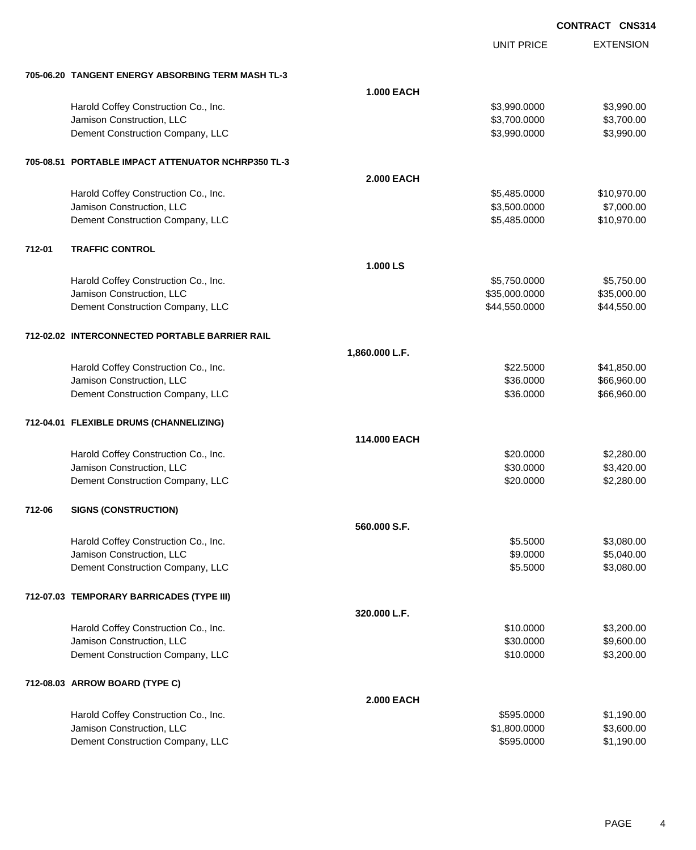|        |                                                    |                   | <b>UNIT PRICE</b> | <b>EXTENSION</b> |
|--------|----------------------------------------------------|-------------------|-------------------|------------------|
|        | 705-06.20 TANGENT ENERGY ABSORBING TERM MASH TL-3  |                   |                   |                  |
|        |                                                    | <b>1.000 EACH</b> |                   |                  |
|        | Harold Coffey Construction Co., Inc.               |                   | \$3,990.0000      | \$3,990.00       |
|        | Jamison Construction, LLC                          |                   | \$3,700.0000      | \$3,700.00       |
|        | Dement Construction Company, LLC                   |                   | \$3,990.0000      | \$3,990.00       |
|        | 705-08.51 PORTABLE IMPACT ATTENUATOR NCHRP350 TL-3 |                   |                   |                  |
|        |                                                    | <b>2.000 EACH</b> |                   |                  |
|        | Harold Coffey Construction Co., Inc.               |                   | \$5,485.0000      | \$10,970.00      |
|        | Jamison Construction, LLC                          |                   | \$3,500.0000      | \$7,000.00       |
|        | Dement Construction Company, LLC                   |                   | \$5,485.0000      | \$10,970.00      |
| 712-01 | <b>TRAFFIC CONTROL</b>                             |                   |                   |                  |
|        |                                                    | 1.000 LS          |                   |                  |
|        | Harold Coffey Construction Co., Inc.               |                   | \$5,750.0000      | \$5,750.00       |
|        | Jamison Construction, LLC                          |                   | \$35,000.0000     | \$35,000.00      |
|        | Dement Construction Company, LLC                   |                   | \$44,550.0000     | \$44,550.00      |
|        | 712-02.02 INTERCONNECTED PORTABLE BARRIER RAIL     |                   |                   |                  |
|        |                                                    | 1,860.000 L.F.    |                   |                  |
|        | Harold Coffey Construction Co., Inc.               |                   | \$22.5000         | \$41,850.00      |
|        | Jamison Construction, LLC                          |                   | \$36.0000         | \$66,960.00      |
|        | Dement Construction Company, LLC                   |                   | \$36.0000         | \$66,960.00      |
|        | 712-04.01 FLEXIBLE DRUMS (CHANNELIZING)            |                   |                   |                  |
|        |                                                    | 114,000 EACH      |                   |                  |
|        | Harold Coffey Construction Co., Inc.               |                   | \$20.0000         | \$2,280.00       |
|        | Jamison Construction, LLC                          |                   | \$30.0000         | \$3,420.00       |
|        | Dement Construction Company, LLC                   |                   | \$20.0000         | \$2,280.00       |
| 712-06 | <b>SIGNS (CONSTRUCTION)</b>                        |                   |                   |                  |
|        |                                                    | 560.000 S.F.      |                   |                  |
|        | Harold Coffey Construction Co., Inc.               |                   | \$5.5000          | \$3,080.00       |
|        | Jamison Construction, LLC                          |                   | \$9.0000          | \$5,040.00       |
|        | Dement Construction Company, LLC                   |                   | \$5.5000          | \$3,080.00       |
|        | 712-07.03 TEMPORARY BARRICADES (TYPE III)          |                   |                   |                  |
|        |                                                    | 320.000 L.F.      |                   |                  |
|        | Harold Coffey Construction Co., Inc.               |                   | \$10.0000         | \$3,200.00       |
|        | Jamison Construction, LLC                          |                   | \$30.0000         | \$9,600.00       |
|        | Dement Construction Company, LLC                   |                   | \$10.0000         | \$3,200.00       |
|        | 712-08.03 ARROW BOARD (TYPE C)                     |                   |                   |                  |
|        |                                                    | <b>2.000 EACH</b> |                   |                  |
|        | Harold Coffey Construction Co., Inc.               |                   | \$595.0000        | \$1,190.00       |
|        | Jamison Construction, LLC                          |                   | \$1,800.0000      | \$3,600.00       |
|        | Dement Construction Company, LLC                   |                   | \$595.0000        | \$1,190.00       |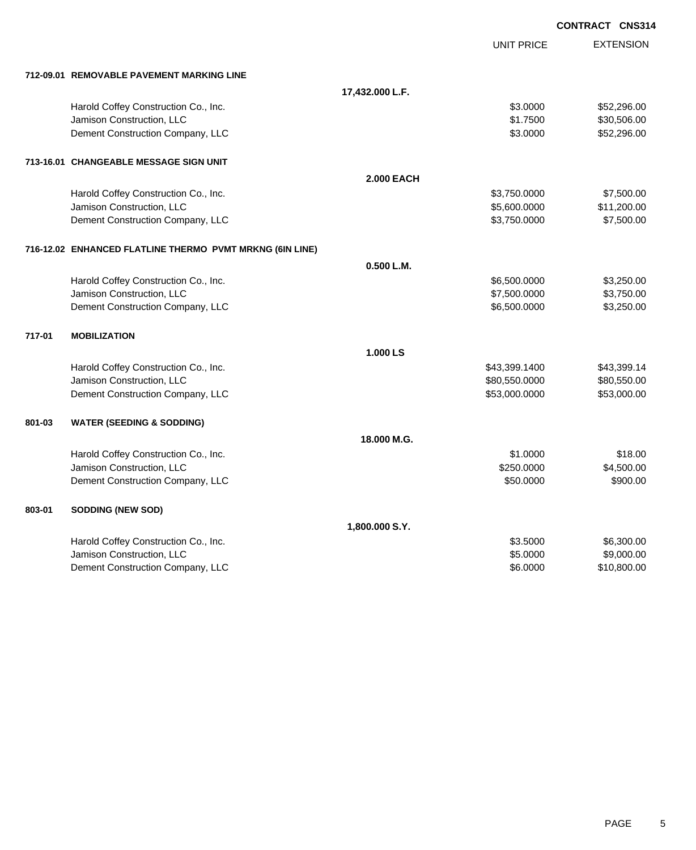|        |                                                          |                   |                   | <b>CONTRACT CNS314</b> |
|--------|----------------------------------------------------------|-------------------|-------------------|------------------------|
|        |                                                          |                   | <b>UNIT PRICE</b> | <b>EXTENSION</b>       |
|        | 712-09.01 REMOVABLE PAVEMENT MARKING LINE                |                   |                   |                        |
|        |                                                          | 17,432.000 L.F.   |                   |                        |
|        | Harold Coffey Construction Co., Inc.                     |                   | \$3.0000          | \$52,296.00            |
|        | Jamison Construction, LLC                                |                   | \$1.7500          | \$30,506.00            |
|        | Dement Construction Company, LLC                         |                   | \$3.0000          | \$52,296.00            |
|        | 713-16.01 CHANGEABLE MESSAGE SIGN UNIT                   |                   |                   |                        |
|        |                                                          | <b>2.000 EACH</b> |                   |                        |
|        | Harold Coffey Construction Co., Inc.                     |                   | \$3,750.0000      | \$7,500.00             |
|        | Jamison Construction, LLC                                |                   | \$5,600.0000      | \$11,200.00            |
|        | Dement Construction Company, LLC                         |                   | \$3,750.0000      | \$7,500.00             |
|        | 716-12.02 ENHANCED FLATLINE THERMO PVMT MRKNG (6IN LINE) |                   |                   |                        |
|        |                                                          | 0.500 L.M.        |                   |                        |
|        | Harold Coffey Construction Co., Inc.                     |                   | \$6,500.0000      | \$3,250.00             |
|        | Jamison Construction, LLC                                |                   | \$7,500.0000      | \$3,750.00             |
|        | Dement Construction Company, LLC                         |                   | \$6,500.0000      | \$3,250.00             |
| 717-01 | <b>MOBILIZATION</b>                                      |                   |                   |                        |
|        |                                                          | 1.000 LS          |                   |                        |
|        | Harold Coffey Construction Co., Inc.                     |                   | \$43,399.1400     | \$43,399.14            |
|        | Jamison Construction, LLC                                |                   | \$80,550.0000     | \$80,550.00            |
|        | Dement Construction Company, LLC                         |                   | \$53,000.0000     | \$53,000.00            |
| 801-03 | <b>WATER (SEEDING &amp; SODDING)</b>                     |                   |                   |                        |
|        |                                                          | 18.000 M.G.       |                   |                        |
|        | Harold Coffey Construction Co., Inc.                     |                   | \$1.0000          | \$18.00                |
|        | Jamison Construction, LLC                                |                   | \$250.0000        | \$4,500.00             |
|        | Dement Construction Company, LLC                         |                   | \$50.0000         | \$900.00               |
| 803-01 | SODDING (NEW SOD)                                        |                   |                   |                        |
|        |                                                          | 1,800.000 S.Y.    |                   |                        |
|        | Harold Coffey Construction Co., Inc.                     |                   | \$3.5000          | \$6,300.00             |
|        | Jamison Construction, LLC                                |                   | \$5,0000          | \$9,000.00             |
|        | Dement Construction Company, LLC                         |                   | \$6.0000          | \$10,800.00            |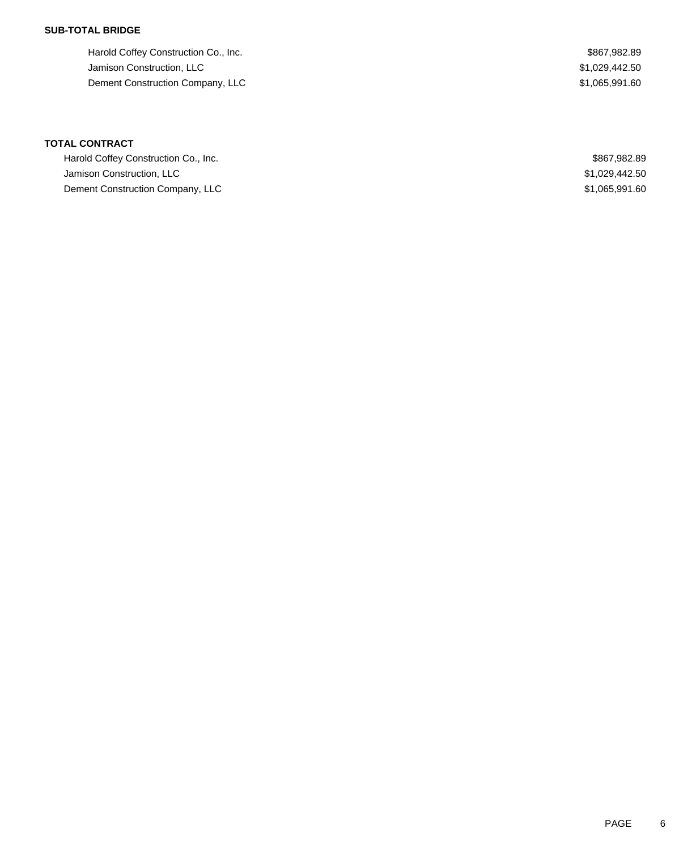### **SUB-TOTAL BRIDGE**

Harold Coffey Construction Co., Inc. 6. 2012 12:30 12:30 12:30 12:30 12:30 12:30 12:30 12:30 12:30 12:30 12:30 Jamison Construction, LLC \$1,029,442.50 Dement Construction Company, LLC 6. The state of the state of the state of the state of the state of the state of the state of the state of the state of the state of the state of the state of the state of the state of the

# **TOTAL CONTRACT**

| Harold Coffey Construction Co., Inc. | \$867,982.89   |
|--------------------------------------|----------------|
| Jamison Construction, LLC            | \$1,029,442.50 |
| Dement Construction Company, LLC     | \$1,065,991.60 |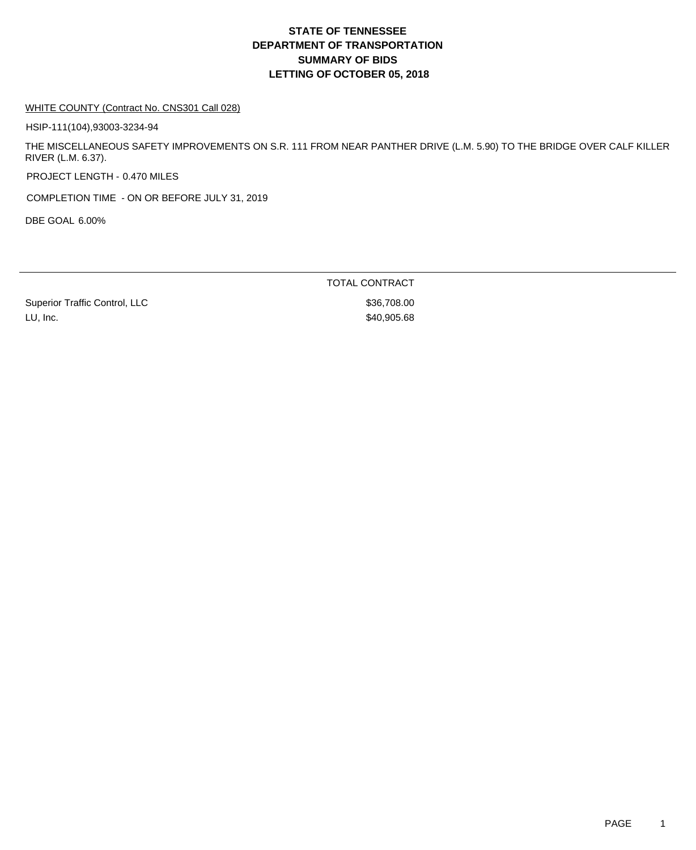# **DEPARTMENT OF TRANSPORTATION SUMMARY OF BIDS LETTING OF OCTOBER 05, 2018 STATE OF TENNESSEE**

#### WHITE COUNTY (Contract No. CNS301 Call 028)

HSIP-111(104),93003-3234-94

THE MISCELLANEOUS SAFETY IMPROVEMENTS ON S.R. 111 FROM NEAR PANTHER DRIVE (L.M. 5.90) TO THE BRIDGE OVER CALF KILLER RIVER (L.M. 6.37).

PROJECT LENGTH - 0.470 MILES

COMPLETION TIME - ON OR BEFORE JULY 31, 2019

DBE GOAL 6.00%

TOTAL CONTRACT

Superior Traffic Control, LLC \$36,708.00 LU, Inc. \$40,905.68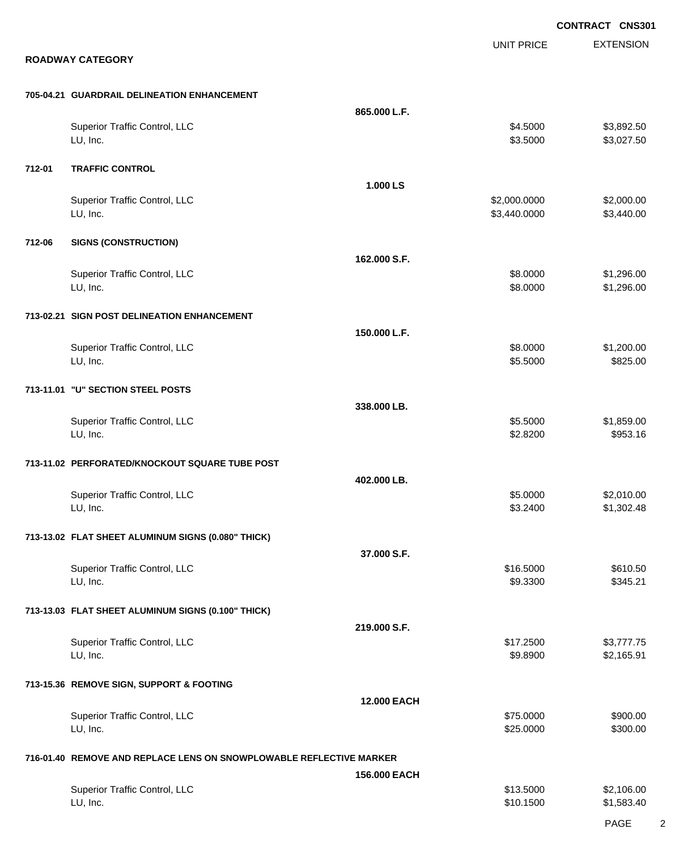|        |                                                                     |                    |                              | CONTRACT CNS301          |
|--------|---------------------------------------------------------------------|--------------------|------------------------------|--------------------------|
|        | <b>ROADWAY CATEGORY</b>                                             |                    | <b>UNIT PRICE</b>            | <b>EXTENSION</b>         |
|        | 705-04.21 GUARDRAIL DELINEATION ENHANCEMENT                         |                    |                              |                          |
|        | Superior Traffic Control, LLC<br>LU, Inc.                           | 865.000 L.F.       | \$4.5000<br>\$3.5000         | \$3,892.50<br>\$3,027.50 |
| 712-01 | <b>TRAFFIC CONTROL</b>                                              |                    |                              |                          |
|        | Superior Traffic Control, LLC<br>LU, Inc.                           | 1.000 LS           | \$2,000.0000<br>\$3,440.0000 | \$2,000.00<br>\$3,440.00 |
| 712-06 | <b>SIGNS (CONSTRUCTION)</b>                                         |                    |                              |                          |
|        | Superior Traffic Control, LLC<br>LU, Inc.                           | 162.000 S.F.       | \$8.0000<br>\$8.0000         | \$1,296.00<br>\$1,296.00 |
|        | 713-02.21 SIGN POST DELINEATION ENHANCEMENT                         |                    |                              |                          |
|        | Superior Traffic Control, LLC<br>LU, Inc.                           | 150.000 L.F.       | \$8.0000<br>\$5.5000         | \$1,200.00<br>\$825.00   |
|        | 713-11.01 "U" SECTION STEEL POSTS                                   |                    |                              |                          |
|        | Superior Traffic Control, LLC<br>LU, Inc.                           | 338.000 LB.        | \$5.5000<br>\$2.8200         | \$1,859.00<br>\$953.16   |
|        | 713-11.02 PERFORATED/KNOCKOUT SQUARE TUBE POST                      |                    |                              |                          |
|        | Superior Traffic Control, LLC<br>LU, Inc.                           | 402.000 LB.        | \$5.0000<br>\$3.2400         | \$2,010.00<br>\$1,302.48 |
|        | 713-13.02 FLAT SHEET ALUMINUM SIGNS (0.080" THICK)                  |                    |                              |                          |
|        | Superior Traffic Control, LLC<br>LU, Inc.                           | 37.000 S.F.        | \$16.5000<br>\$9.3300        | \$610.50<br>\$345.21     |
|        | 713-13.03 FLAT SHEET ALUMINUM SIGNS (0.100" THICK)                  |                    |                              |                          |
|        | Superior Traffic Control, LLC<br>LU, Inc.                           | 219.000 S.F.       | \$17.2500<br>\$9.8900        | \$3,777.75<br>\$2,165.91 |
|        | 713-15.36 REMOVE SIGN, SUPPORT & FOOTING                            |                    |                              |                          |
|        | Superior Traffic Control, LLC<br>LU, Inc.                           | <b>12.000 EACH</b> | \$75.0000<br>\$25.0000       | \$900.00<br>\$300.00     |
|        | 716-01.40 REMOVE AND REPLACE LENS ON SNOWPLOWABLE REFLECTIVE MARKER |                    |                              |                          |
|        | Superior Traffic Control, LLC<br>LU, Inc.                           | 156.000 EACH       | \$13.5000<br>\$10.1500       | \$2,106.00<br>\$1,583.40 |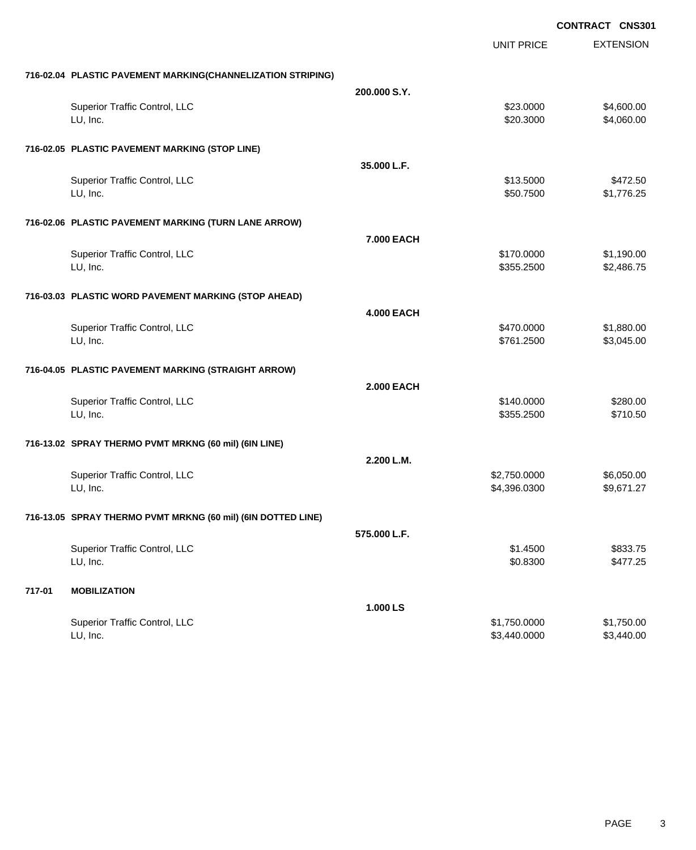|                                                              |                   | <b>UNIT PRICE</b> | <b>EXTENSION</b> |
|--------------------------------------------------------------|-------------------|-------------------|------------------|
| 716-02.04 PLASTIC PAVEMENT MARKING(CHANNELIZATION STRIPING)  |                   |                   |                  |
|                                                              | 200,000 S.Y.      |                   |                  |
| Superior Traffic Control, LLC                                |                   | \$23.0000         | \$4,600.00       |
| LU, Inc.                                                     |                   | \$20.3000         | \$4,060.00       |
| 716-02.05 PLASTIC PAVEMENT MARKING (STOP LINE)               |                   |                   |                  |
|                                                              | 35.000 L.F.       |                   |                  |
| Superior Traffic Control, LLC                                |                   | \$13.5000         | \$472.50         |
| LU, Inc.                                                     |                   | \$50.7500         | \$1,776.25       |
| 716-02.06 PLASTIC PAVEMENT MARKING (TURN LANE ARROW)         |                   |                   |                  |
|                                                              | 7.000 EACH        |                   |                  |
| Superior Traffic Control, LLC                                |                   | \$170.0000        | \$1,190.00       |
| LU, Inc.                                                     |                   | \$355.2500        | \$2,486.75       |
| 716-03.03 PLASTIC WORD PAVEMENT MARKING (STOP AHEAD)         |                   |                   |                  |
|                                                              | <b>4.000 EACH</b> |                   |                  |
| Superior Traffic Control, LLC                                |                   | \$470.0000        | \$1,880.00       |
| LU, Inc.                                                     |                   | \$761.2500        | \$3,045.00       |
| 716-04.05 PLASTIC PAVEMENT MARKING (STRAIGHT ARROW)          |                   |                   |                  |
|                                                              | <b>2.000 EACH</b> |                   |                  |
| Superior Traffic Control, LLC                                |                   | \$140.0000        | \$280.00         |
| LU, Inc.                                                     |                   | \$355.2500        | \$710.50         |
| 716-13.02 SPRAY THERMO PVMT MRKNG (60 mil) (6IN LINE)        |                   |                   |                  |
|                                                              | 2.200 L.M.        |                   |                  |
| Superior Traffic Control, LLC                                |                   | \$2,750.0000      | \$6,050.00       |
| LU, Inc.                                                     |                   | \$4,396.0300      | \$9,671.27       |
| 716-13.05 SPRAY THERMO PVMT MRKNG (60 mil) (6IN DOTTED LINE) |                   |                   |                  |
|                                                              | 575.000 L.F.      |                   |                  |
| Superior Traffic Control, LLC                                |                   | \$1.4500          | \$833.75         |
| LU, Inc.                                                     |                   | \$0.8300          | \$477.25         |
| 717-01<br><b>MOBILIZATION</b>                                |                   |                   |                  |
|                                                              | 1.000 LS          |                   |                  |
| Superior Traffic Control, LLC                                |                   | \$1,750.0000      | \$1,750.00       |
| LU, Inc.                                                     |                   | \$3,440.0000      | \$3,440.00       |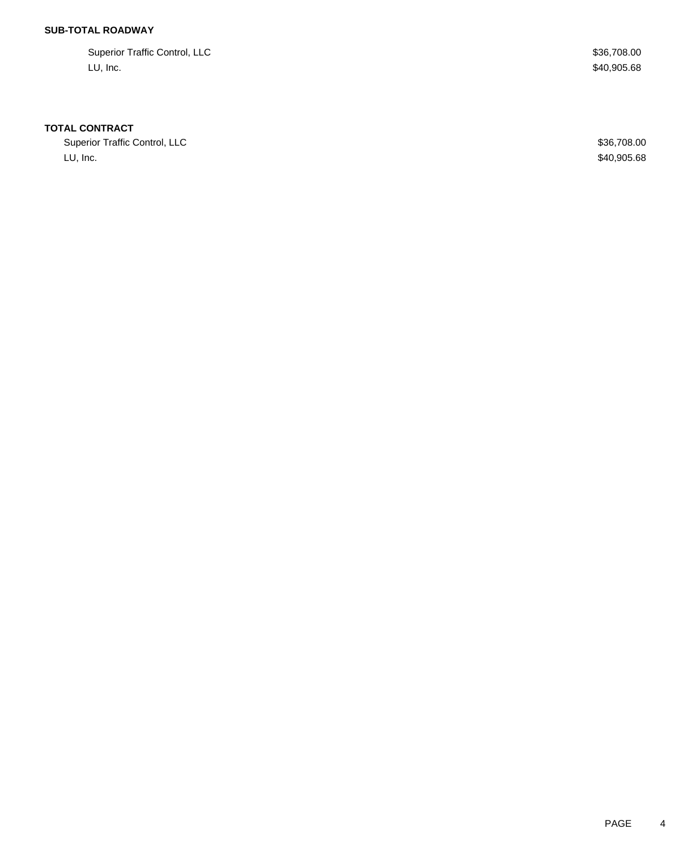## **SUB-TOTAL ROADWAY**

Superior Traffic Control, LLC \$36,708.00 LU, Inc.  $\$40,\!905.68$ 

### **TOTAL CONTRACT**

Superior Traffic Control, LLC \$36,708.00 LU, Inc. \$40,905.68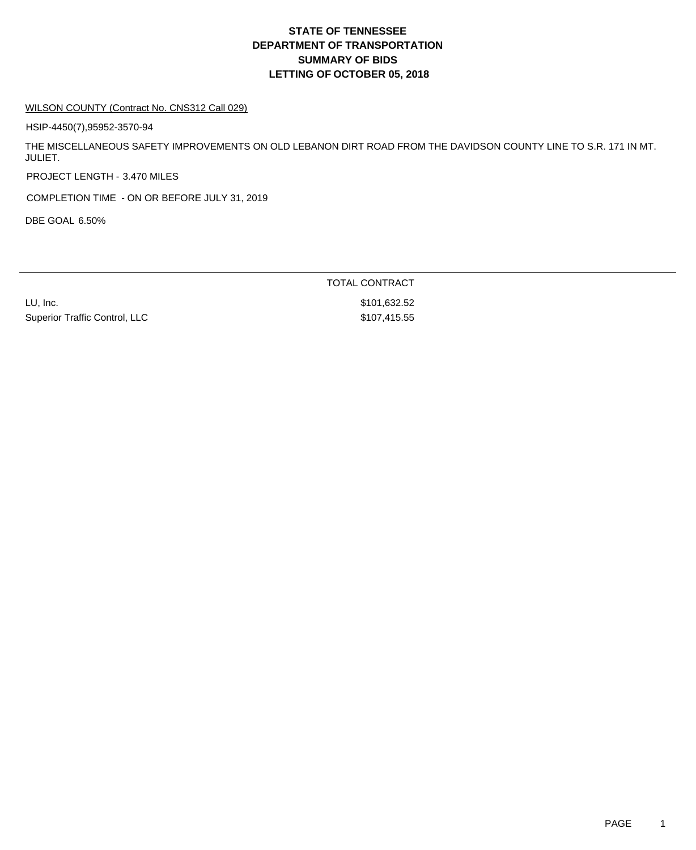# **DEPARTMENT OF TRANSPORTATION SUMMARY OF BIDS LETTING OF OCTOBER 05, 2018 STATE OF TENNESSEE**

#### WILSON COUNTY (Contract No. CNS312 Call 029)

HSIP-4450(7),95952-3570-94

THE MISCELLANEOUS SAFETY IMPROVEMENTS ON OLD LEBANON DIRT ROAD FROM THE DAVIDSON COUNTY LINE TO S.R. 171 IN MT. JULIET.

PROJECT LENGTH - 3.470 MILES

COMPLETION TIME - ON OR BEFORE JULY 31, 2019

DBE GOAL 6.50%

LU, Inc. \$101,632.52 Superior Traffic Control, LLC \$107,415.55

TOTAL CONTRACT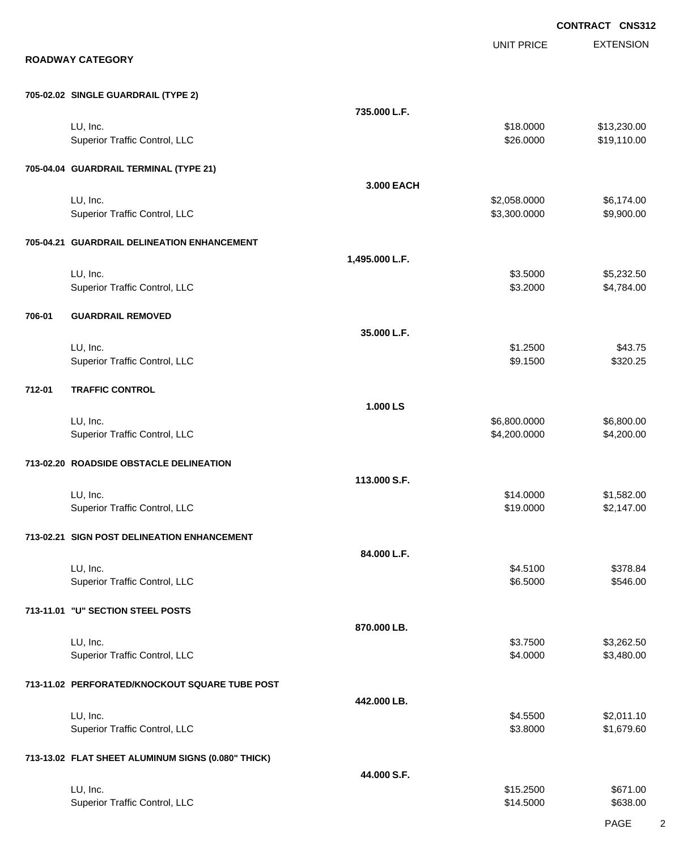|        |                                                    |                |                              | CONTRACT CNS312            |
|--------|----------------------------------------------------|----------------|------------------------------|----------------------------|
|        | <b>ROADWAY CATEGORY</b>                            |                | <b>UNIT PRICE</b>            | <b>EXTENSION</b>           |
|        | 705-02.02 SINGLE GUARDRAIL (TYPE 2)                |                |                              |                            |
|        | LU, Inc.<br>Superior Traffic Control, LLC          | 735.000 L.F.   | \$18.0000<br>\$26.0000       | \$13,230.00<br>\$19,110.00 |
|        | 705-04.04 GUARDRAIL TERMINAL (TYPE 21)             | 3.000 EACH     |                              |                            |
|        | LU, Inc.<br>Superior Traffic Control, LLC          |                | \$2,058.0000<br>\$3,300.0000 | \$6,174.00<br>\$9,900.00   |
|        | 705-04.21 GUARDRAIL DELINEATION ENHANCEMENT        |                |                              |                            |
|        | LU, Inc.<br>Superior Traffic Control, LLC          | 1,495.000 L.F. | \$3.5000<br>\$3.2000         | \$5,232.50<br>\$4,784.00   |
| 706-01 | <b>GUARDRAIL REMOVED</b>                           |                |                              |                            |
|        | LU, Inc.<br>Superior Traffic Control, LLC          | 35.000 L.F.    | \$1.2500<br>\$9.1500         | \$43.75<br>\$320.25        |
| 712-01 | <b>TRAFFIC CONTROL</b>                             |                |                              |                            |
|        | LU, Inc.<br>Superior Traffic Control, LLC          | 1.000 LS       | \$6,800.0000<br>\$4,200.0000 | \$6,800.00<br>\$4,200.00   |
|        | 713-02.20 ROADSIDE OBSTACLE DELINEATION            |                |                              |                            |
|        | LU, Inc.<br>Superior Traffic Control, LLC          | 113.000 S.F.   | \$14.0000<br>\$19.0000       | \$1,582.00<br>\$2,147.00   |
|        | 713-02.21 SIGN POST DELINEATION ENHANCEMENT        |                |                              |                            |
|        | LU, Inc.<br>Superior Traffic Control, LLC          | 84.000 L.F.    | \$4.5100<br>\$6.5000         | \$378.84<br>\$546.00       |
|        | 713-11.01 "U" SECTION STEEL POSTS                  |                |                              |                            |
|        | LU, Inc.<br>Superior Traffic Control, LLC          | 870.000 LB.    | \$3.7500<br>\$4.0000         | \$3,262.50<br>\$3,480.00   |
|        | 713-11.02 PERFORATED/KNOCKOUT SQUARE TUBE POST     |                |                              |                            |
|        | LU, Inc.<br>Superior Traffic Control, LLC          | 442.000 LB.    | \$4.5500<br>\$3.8000         | \$2,011.10<br>\$1,679.60   |
|        | 713-13.02 FLAT SHEET ALUMINUM SIGNS (0.080" THICK) |                |                              |                            |
|        | LU, Inc.<br>Superior Traffic Control, LLC          | 44.000 S.F.    | \$15.2500<br>\$14.5000       | \$671.00<br>\$638.00       |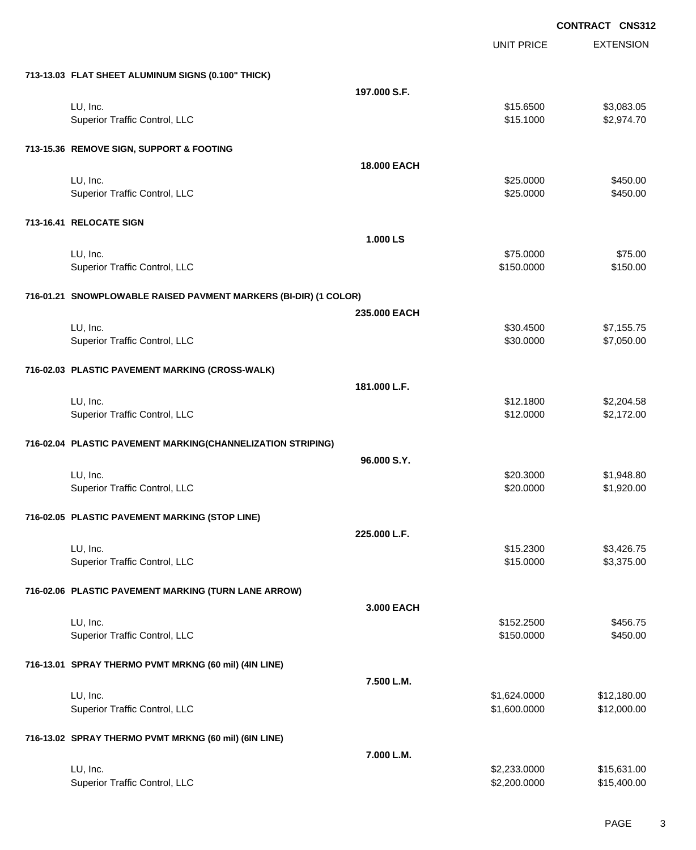|                                                                  |                    |                   | <b>CONTRACT CNS312</b> |
|------------------------------------------------------------------|--------------------|-------------------|------------------------|
|                                                                  |                    | <b>UNIT PRICE</b> | <b>EXTENSION</b>       |
| 713-13.03 FLAT SHEET ALUMINUM SIGNS (0.100" THICK)               |                    |                   |                        |
|                                                                  | 197.000 S.F.       |                   |                        |
| LU, Inc.                                                         |                    | \$15.6500         | \$3,083.05             |
| Superior Traffic Control, LLC                                    |                    | \$15.1000         | \$2,974.70             |
| 713-15.36 REMOVE SIGN, SUPPORT & FOOTING                         |                    |                   |                        |
|                                                                  | <b>18.000 EACH</b> |                   |                        |
| LU, Inc.                                                         |                    | \$25.0000         | \$450.00               |
| Superior Traffic Control, LLC                                    |                    | \$25.0000         | \$450.00               |
| 713-16.41 RELOCATE SIGN                                          |                    |                   |                        |
|                                                                  | 1.000 LS           |                   |                        |
| LU, Inc.                                                         |                    | \$75.0000         | \$75.00                |
| Superior Traffic Control, LLC                                    |                    | \$150.0000        | \$150.00               |
| 716-01.21 SNOWPLOWABLE RAISED PAVMENT MARKERS (BI-DIR) (1 COLOR) |                    |                   |                        |
|                                                                  | 235,000 EACH       |                   |                        |
| LU, Inc.                                                         |                    | \$30.4500         | \$7,155.75             |
| Superior Traffic Control, LLC                                    |                    | \$30.0000         | \$7,050.00             |
| 716-02.03 PLASTIC PAVEMENT MARKING (CROSS-WALK)                  |                    |                   |                        |
|                                                                  | 181.000 L.F.       |                   |                        |
| LU, Inc.                                                         |                    | \$12.1800         | \$2,204.58             |
| Superior Traffic Control, LLC                                    |                    | \$12.0000         | \$2,172.00             |
| 716-02.04 PLASTIC PAVEMENT MARKING(CHANNELIZATION STRIPING)      |                    |                   |                        |
|                                                                  | 96.000 S.Y.        |                   |                        |
| LU, Inc.                                                         |                    | \$20.3000         | \$1,948.80             |
| Superior Traffic Control, LLC                                    |                    | \$20.0000         | \$1,920.00             |
| 716-02.05 PLASTIC PAVEMENT MARKING (STOP LINE)                   |                    |                   |                        |
|                                                                  | 225.000 L.F.       |                   |                        |
| LU, Inc.                                                         |                    | \$15.2300         | \$3,426.75             |
| Superior Traffic Control, LLC                                    |                    | \$15.0000         | \$3,375.00             |
| 716-02.06 PLASTIC PAVEMENT MARKING (TURN LANE ARROW)             |                    |                   |                        |
|                                                                  | 3,000 EACH         |                   |                        |
| LU, Inc.                                                         |                    | \$152.2500        | \$456.75               |
| Superior Traffic Control, LLC                                    |                    | \$150.0000        | \$450.00               |
| 716-13.01 SPRAY THERMO PVMT MRKNG (60 mil) (4IN LINE)            |                    |                   |                        |
|                                                                  | 7.500 L.M.         |                   |                        |
| LU, Inc.                                                         |                    | \$1,624.0000      | \$12,180.00            |
| Superior Traffic Control, LLC                                    |                    | \$1,600.0000      | \$12,000.00            |
| 716-13.02 SPRAY THERMO PVMT MRKNG (60 mil) (6IN LINE)            |                    |                   |                        |
|                                                                  | 7.000 L.M.         |                   |                        |
| LU, Inc.                                                         |                    | \$2,233.0000      | \$15,631.00            |
| Superior Traffic Control, LLC                                    |                    | \$2,200.0000      | \$15,400.00            |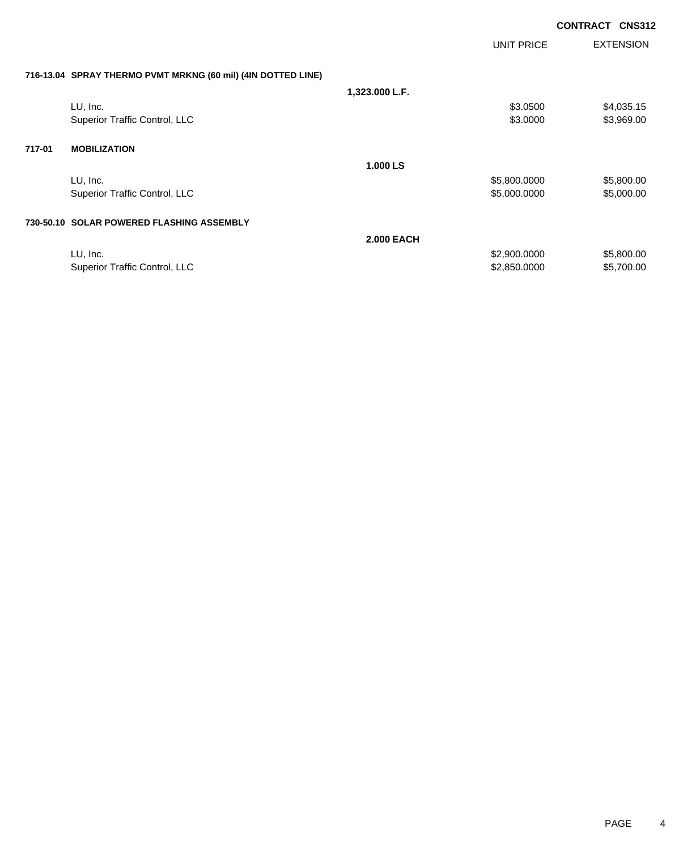|        |                                                              |                   |              | <b>CONTRACT</b> | <b>CNS312</b>    |
|--------|--------------------------------------------------------------|-------------------|--------------|-----------------|------------------|
|        |                                                              |                   | UNIT PRICE   |                 | <b>EXTENSION</b> |
|        | 716-13.04 SPRAY THERMO PVMT MRKNG (60 mil) (4IN DOTTED LINE) |                   |              |                 |                  |
|        |                                                              | 1,323.000 L.F.    |              |                 |                  |
|        | LU, Inc.                                                     |                   | \$3.0500     |                 | \$4,035.15       |
|        | Superior Traffic Control, LLC                                |                   | \$3.0000     |                 | \$3,969.00       |
| 717-01 | <b>MOBILIZATION</b>                                          |                   |              |                 |                  |
|        |                                                              | 1.000 LS          |              |                 |                  |
|        | LU, Inc.                                                     |                   | \$5,800.0000 |                 | \$5,800.00       |
|        | Superior Traffic Control, LLC                                |                   | \$5,000.0000 |                 | \$5,000.00       |
|        | 730-50.10 SOLAR POWERED FLASHING ASSEMBLY                    |                   |              |                 |                  |
|        |                                                              | <b>2.000 EACH</b> |              |                 |                  |
|        | LU, Inc.                                                     |                   | \$2,900.0000 |                 | \$5,800.00       |
|        | Superior Traffic Control, LLC                                |                   | \$2,850.0000 |                 | \$5,700.00       |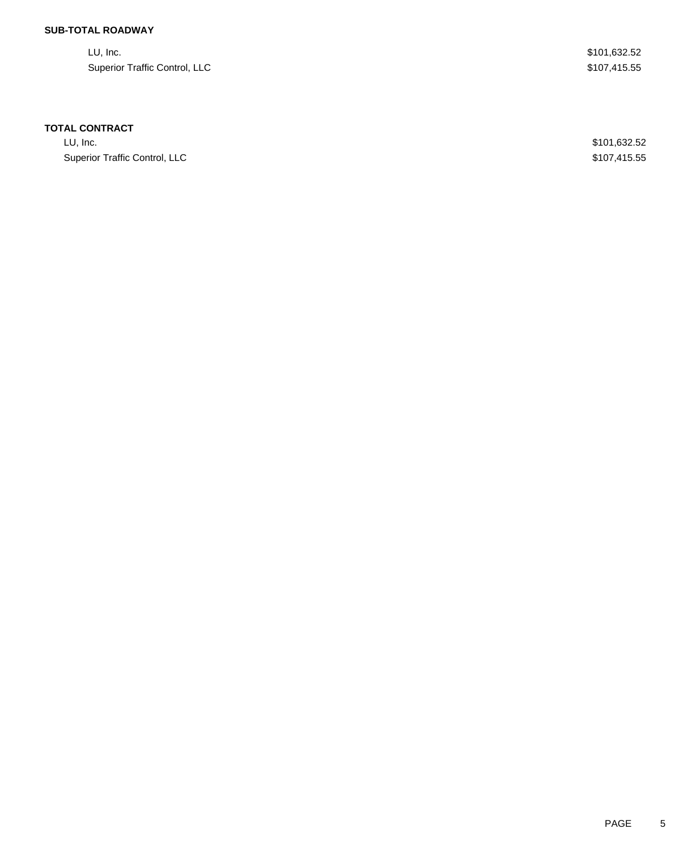## **SUB-TOTAL ROADWAY**

| LU, Inc.                      | \$101,632.52 |
|-------------------------------|--------------|
| Superior Traffic Control, LLC | \$107,415.55 |

### **TOTAL CONTRACT**

LU, Inc. \$101,632.52 Superior Traffic Control, LLC **\$107,415.55**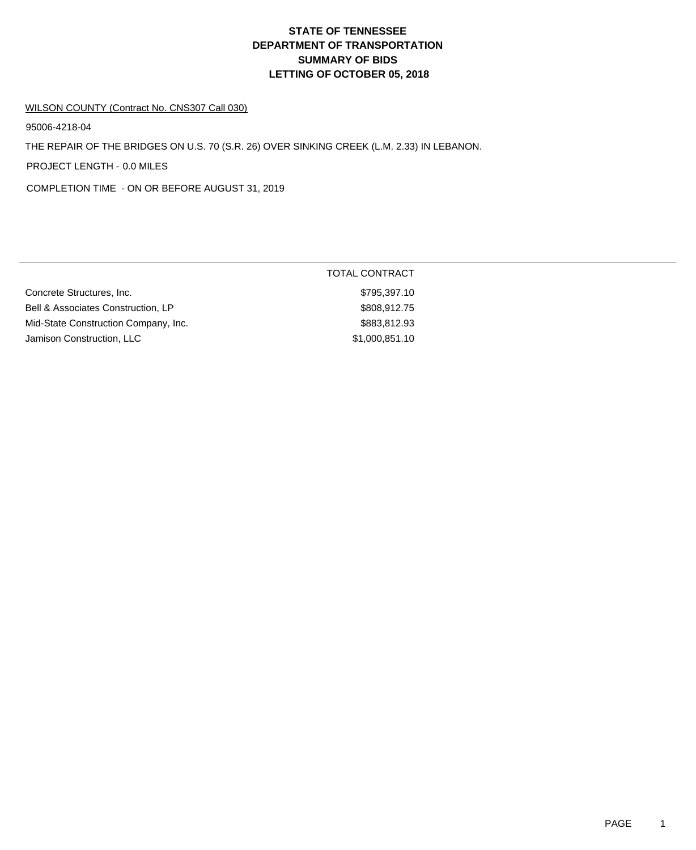# **DEPARTMENT OF TRANSPORTATION SUMMARY OF BIDS LETTING OF OCTOBER 05, 2018 STATE OF TENNESSEE**

#### WILSON COUNTY (Contract No. CNS307 Call 030)

95006-4218-04

THE REPAIR OF THE BRIDGES ON U.S. 70 (S.R. 26) OVER SINKING CREEK (L.M. 2.33) IN LEBANON.

PROJECT LENGTH - 0.0 MILES

COMPLETION TIME - ON OR BEFORE AUGUST 31, 2019

|                                      | TOTAL CONTRACT |
|--------------------------------------|----------------|
| Concrete Structures, Inc.            | \$795,397.10   |
| Bell & Associates Construction, LP   | \$808,912.75   |
| Mid-State Construction Company, Inc. | \$883,812.93   |
| Jamison Construction, LLC            | \$1,000,851.10 |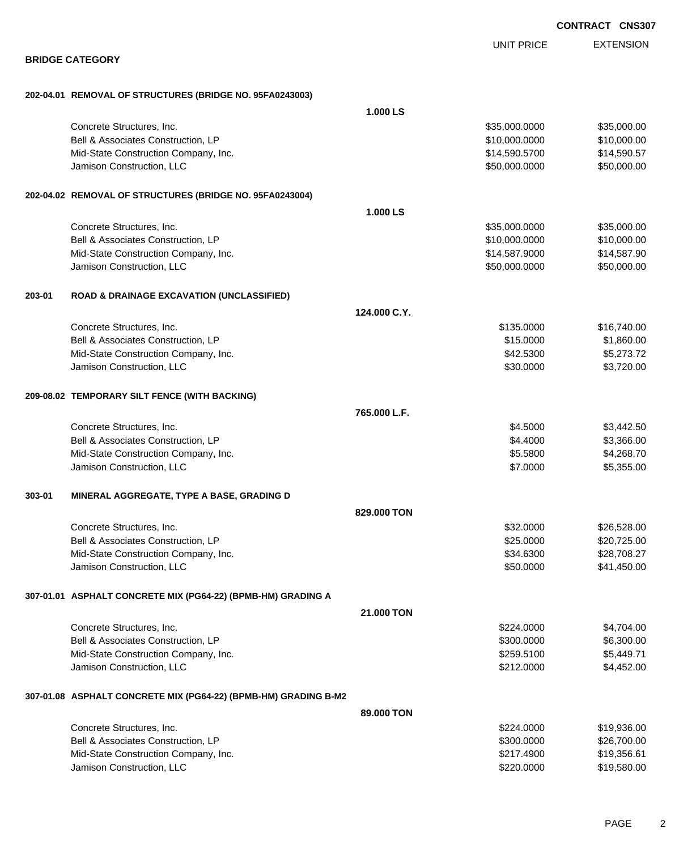|        |                                                                 |              |                   | <b>CONTRACT CNS307</b> |
|--------|-----------------------------------------------------------------|--------------|-------------------|------------------------|
|        |                                                                 |              | <b>UNIT PRICE</b> | <b>EXTENSION</b>       |
|        | <b>BRIDGE CATEGORY</b>                                          |              |                   |                        |
|        | 202-04.01 REMOVAL OF STRUCTURES (BRIDGE NO. 95FA0243003)        |              |                   |                        |
|        |                                                                 | 1.000 LS     |                   |                        |
|        | Concrete Structures, Inc.                                       |              | \$35,000.0000     | \$35,000.00            |
|        | Bell & Associates Construction, LP                              |              | \$10,000.0000     | \$10,000.00            |
|        | Mid-State Construction Company, Inc.                            |              | \$14,590.5700     | \$14,590.57            |
|        | Jamison Construction, LLC                                       |              | \$50,000.0000     | \$50,000.00            |
|        | 202-04.02 REMOVAL OF STRUCTURES (BRIDGE NO. 95FA0243004)        |              |                   |                        |
|        |                                                                 | 1.000 LS     |                   |                        |
|        | Concrete Structures, Inc.                                       |              | \$35,000.0000     | \$35,000.00            |
|        | Bell & Associates Construction, LP                              |              | \$10,000.0000     | \$10,000.00            |
|        | Mid-State Construction Company, Inc.                            |              | \$14,587.9000     | \$14,587.90            |
|        | Jamison Construction, LLC                                       |              | \$50,000.0000     | \$50,000.00            |
| 203-01 | <b>ROAD &amp; DRAINAGE EXCAVATION (UNCLASSIFIED)</b>            |              |                   |                        |
|        |                                                                 | 124.000 C.Y. |                   |                        |
|        | Concrete Structures, Inc.                                       |              | \$135.0000        | \$16,740.00            |
|        | Bell & Associates Construction, LP                              |              | \$15.0000         | \$1,860.00             |
|        | Mid-State Construction Company, Inc.                            |              | \$42.5300         | \$5,273.72             |
|        | Jamison Construction, LLC                                       |              | \$30.0000         | \$3,720.00             |
|        | 209-08.02 TEMPORARY SILT FENCE (WITH BACKING)                   |              |                   |                        |
|        |                                                                 | 765.000 L.F. |                   |                        |
|        | Concrete Structures, Inc.                                       |              | \$4.5000          | \$3,442.50             |
|        | Bell & Associates Construction, LP                              |              | \$4.4000          | \$3,366.00             |
|        | Mid-State Construction Company, Inc.                            |              | \$5.5800          | \$4,268.70             |
|        | Jamison Construction, LLC                                       |              | \$7.0000          | \$5,355.00             |
| 303-01 | MINERAL AGGREGATE, TYPE A BASE, GRADING D                       |              |                   |                        |
|        |                                                                 | 829,000 TON  |                   |                        |
|        | Concrete Structures, Inc.                                       |              | \$32.0000         | \$26,528.00            |
|        | Bell & Associates Construction, LP                              |              | \$25.0000         | \$20,725.00            |
|        | Mid-State Construction Company, Inc.                            |              | \$34.6300         | \$28,708.27            |
|        | Jamison Construction, LLC                                       |              | \$50.0000         | \$41,450.00            |
|        | 307-01.01 ASPHALT CONCRETE MIX (PG64-22) (BPMB-HM) GRADING A    |              |                   |                        |
|        |                                                                 | 21.000 TON   |                   |                        |
|        | Concrete Structures, Inc.                                       |              | \$224.0000        | \$4,704.00             |
|        | Bell & Associates Construction, LP                              |              | \$300.0000        | \$6,300.00             |
|        | Mid-State Construction Company, Inc.                            |              | \$259.5100        | \$5,449.71             |
|        | Jamison Construction, LLC                                       |              | \$212.0000        | \$4,452.00             |
|        | 307-01.08 ASPHALT CONCRETE MIX (PG64-22) (BPMB-HM) GRADING B-M2 |              |                   |                        |
|        |                                                                 | 89,000 TON   |                   |                        |
|        | Concrete Structures, Inc.                                       |              | \$224.0000        | \$19,936.00            |
|        | Bell & Associates Construction, LP                              |              | \$300.0000        | \$26,700.00            |
|        | Mid-State Construction Company, Inc.                            |              | \$217.4900        | \$19,356.61            |
|        | Jamison Construction, LLC                                       |              | \$220.0000        | \$19,580.00            |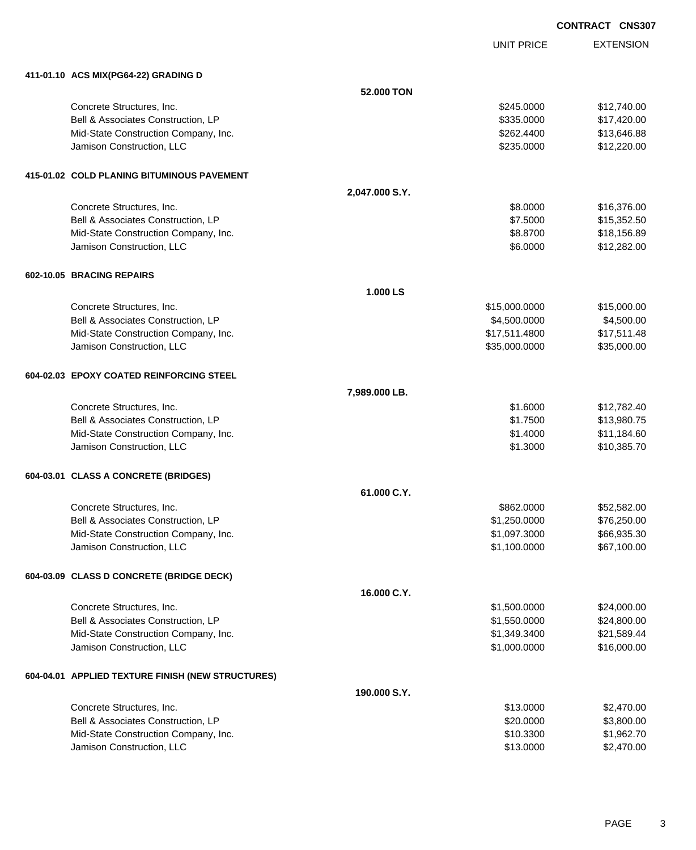UNIT PRICE EXTENSION

| 411-01.10 ACS MIX(PG64-22) GRADING D              |                |               |             |
|---------------------------------------------------|----------------|---------------|-------------|
|                                                   | 52.000 TON     |               |             |
| Concrete Structures, Inc.                         |                | \$245.0000    | \$12,740.00 |
| Bell & Associates Construction, LP                |                | \$335.0000    | \$17,420.00 |
| Mid-State Construction Company, Inc.              |                | \$262.4400    | \$13,646.88 |
| Jamison Construction, LLC                         |                | \$235.0000    | \$12,220.00 |
| 415-01.02 COLD PLANING BITUMINOUS PAVEMENT        |                |               |             |
|                                                   | 2,047.000 S.Y. |               |             |
| Concrete Structures, Inc.                         |                | \$8.0000      | \$16,376.00 |
| Bell & Associates Construction, LP                |                | \$7.5000      | \$15,352.50 |
| Mid-State Construction Company, Inc.              |                | \$8.8700      | \$18,156.89 |
| Jamison Construction, LLC                         |                | \$6.0000      | \$12,282.00 |
| 602-10.05 BRACING REPAIRS                         |                |               |             |
|                                                   | 1.000 LS       |               |             |
| Concrete Structures, Inc.                         |                | \$15,000.0000 | \$15,000.00 |
| Bell & Associates Construction, LP                |                | \$4,500.0000  | \$4,500.00  |
| Mid-State Construction Company, Inc.              |                | \$17,511.4800 | \$17,511.48 |
| Jamison Construction, LLC                         |                | \$35,000.0000 | \$35,000.00 |
| 604-02.03 EPOXY COATED REINFORCING STEEL          |                |               |             |
|                                                   | 7,989.000 LB.  |               |             |
| Concrete Structures, Inc.                         |                | \$1.6000      | \$12,782.40 |
| Bell & Associates Construction, LP                |                | \$1.7500      | \$13,980.75 |
| Mid-State Construction Company, Inc.              |                | \$1.4000      | \$11,184.60 |
| Jamison Construction, LLC                         |                | \$1.3000      | \$10,385.70 |
| 604-03.01 CLASS A CONCRETE (BRIDGES)              |                |               |             |
|                                                   | 61.000 C.Y.    |               |             |
| Concrete Structures, Inc.                         |                | \$862.0000    | \$52,582.00 |
| Bell & Associates Construction, LP                |                | \$1,250.0000  | \$76,250.00 |
| Mid-State Construction Company, Inc.              |                | \$1,097.3000  | \$66,935.30 |
| Jamison Construction, LLC                         |                | \$1,100.0000  | \$67,100.00 |
| 604-03.09 CLASS D CONCRETE (BRIDGE DECK)          |                |               |             |
|                                                   | 16.000 C.Y.    |               |             |
| Concrete Structures, Inc.                         |                | \$1,500.0000  | \$24,000.00 |
| Bell & Associates Construction, LP                |                | \$1,550.0000  | \$24,800.00 |
| Mid-State Construction Company, Inc.              |                | \$1,349.3400  | \$21,589.44 |
| Jamison Construction, LLC                         |                | \$1,000.0000  | \$16,000.00 |
| 604-04.01 APPLIED TEXTURE FINISH (NEW STRUCTURES) |                |               |             |
|                                                   | 190.000 S.Y.   |               |             |
| Concrete Structures, Inc.                         |                | \$13.0000     | \$2,470.00  |
| Bell & Associates Construction, LP                |                | \$20.0000     | \$3,800.00  |
| Mid-State Construction Company, Inc.              |                | \$10.3300     | \$1,962.70  |
| Jamison Construction, LLC                         |                | \$13.0000     | \$2,470.00  |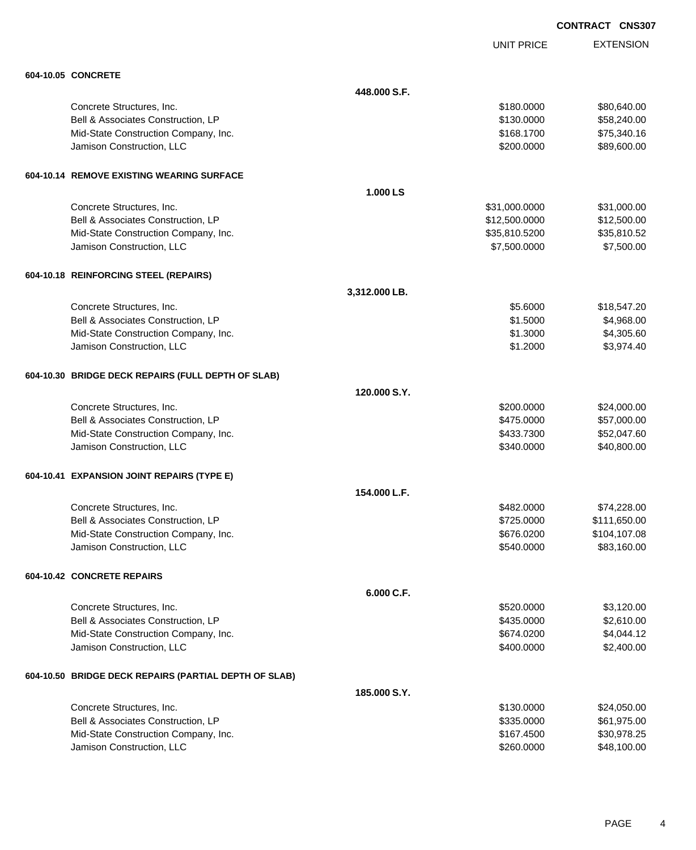UNIT PRICE EXTENSION

| 604-10.05 CONCRETE                                    |               |               |              |
|-------------------------------------------------------|---------------|---------------|--------------|
|                                                       | 448,000 S.F.  |               |              |
| Concrete Structures, Inc.                             |               | \$180.0000    | \$80,640.00  |
| Bell & Associates Construction, LP                    |               | \$130.0000    | \$58,240.00  |
| Mid-State Construction Company, Inc.                  |               | \$168.1700    | \$75,340.16  |
| Jamison Construction, LLC                             |               | \$200.0000    | \$89,600.00  |
| 604-10.14 REMOVE EXISTING WEARING SURFACE             |               |               |              |
|                                                       | 1.000 LS      |               |              |
| Concrete Structures, Inc.                             |               | \$31,000.0000 | \$31,000.00  |
| Bell & Associates Construction, LP                    |               | \$12,500.0000 | \$12,500.00  |
| Mid-State Construction Company, Inc.                  |               | \$35,810.5200 | \$35,810.52  |
| Jamison Construction, LLC                             |               | \$7,500.0000  | \$7,500.00   |
| 604-10.18 REINFORCING STEEL (REPAIRS)                 |               |               |              |
|                                                       | 3,312.000 LB. |               |              |
| Concrete Structures, Inc.                             |               | \$5.6000      | \$18,547.20  |
| Bell & Associates Construction, LP                    |               | \$1.5000      | \$4,968.00   |
| Mid-State Construction Company, Inc.                  |               | \$1.3000      | \$4,305.60   |
| Jamison Construction, LLC                             |               | \$1.2000      | \$3,974.40   |
| 604-10.30 BRIDGE DECK REPAIRS (FULL DEPTH OF SLAB)    |               |               |              |
|                                                       | 120,000 S.Y.  |               |              |
| Concrete Structures, Inc.                             |               | \$200.0000    | \$24,000.00  |
| Bell & Associates Construction, LP                    |               | \$475.0000    | \$57,000.00  |
| Mid-State Construction Company, Inc.                  |               | \$433.7300    | \$52,047.60  |
| Jamison Construction, LLC                             |               | \$340.0000    | \$40,800.00  |
| 604-10.41 EXPANSION JOINT REPAIRS (TYPE E)            |               |               |              |
|                                                       | 154.000 L.F.  |               |              |
| Concrete Structures, Inc.                             |               | \$482,0000    | \$74,228.00  |
| Bell & Associates Construction, LP                    |               | \$725.0000    | \$111,650.00 |
| Mid-State Construction Company, Inc.                  |               | \$676.0200    | \$104,107.08 |
| Jamison Construction, LLC                             |               | \$540.0000    | \$83,160.00  |
| 604-10.42 CONCRETE REPAIRS                            |               |               |              |
|                                                       | 6.000 C.F.    |               |              |
| Concrete Structures, Inc.                             |               | \$520.0000    | \$3,120.00   |
| Bell & Associates Construction, LP                    |               | \$435.0000    | \$2,610.00   |
| Mid-State Construction Company, Inc.                  |               | \$674.0200    | \$4,044.12   |
| Jamison Construction, LLC                             |               | \$400.0000    | \$2,400.00   |
| 604-10.50 BRIDGE DECK REPAIRS (PARTIAL DEPTH OF SLAB) |               |               |              |
|                                                       | 185.000 S.Y.  |               |              |
| Concrete Structures, Inc.                             |               | \$130.0000    | \$24,050.00  |
| Bell & Associates Construction, LP                    |               | \$335.0000    | \$61,975.00  |
| Mid-State Construction Company, Inc.                  |               | \$167.4500    | \$30,978.25  |
| Jamison Construction, LLC                             |               | \$260.0000    | \$48,100.00  |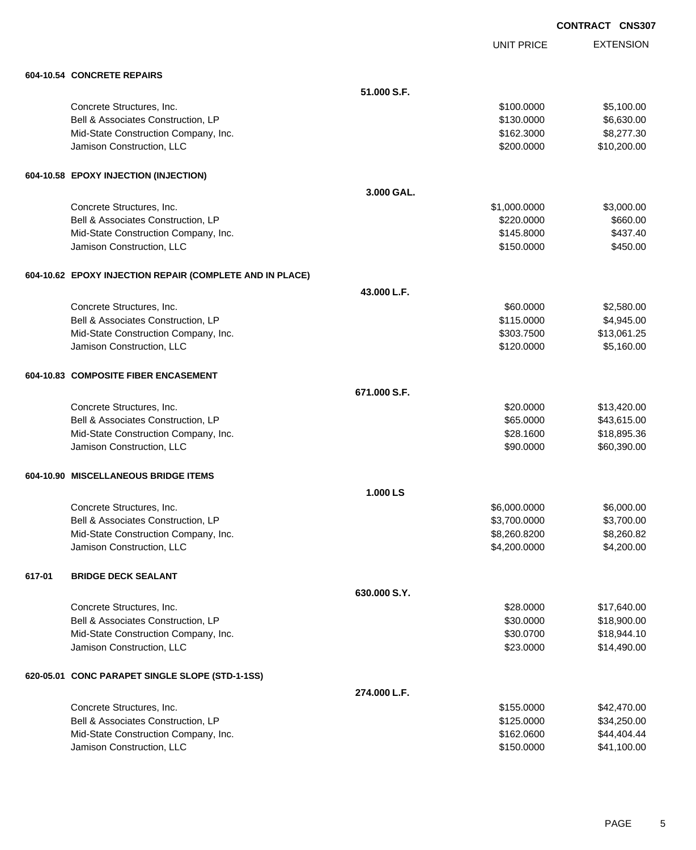UNIT PRICE EXTENSION

|        | 604-10.54 CONCRETE REPAIRS                               |              |              |             |
|--------|----------------------------------------------------------|--------------|--------------|-------------|
|        |                                                          | 51.000 S.F.  |              |             |
|        | Concrete Structures, Inc.                                |              | \$100.0000   | \$5,100.00  |
|        | Bell & Associates Construction, LP                       |              | \$130.0000   | \$6,630.00  |
|        | Mid-State Construction Company, Inc.                     |              | \$162.3000   | \$8,277.30  |
|        | Jamison Construction, LLC                                |              | \$200.0000   | \$10,200.00 |
|        | 604-10.58 EPOXY INJECTION (INJECTION)                    |              |              |             |
|        |                                                          | 3.000 GAL.   |              |             |
|        | Concrete Structures, Inc.                                |              | \$1,000.0000 | \$3,000.00  |
|        | Bell & Associates Construction, LP                       |              | \$220.0000   | \$660.00    |
|        | Mid-State Construction Company, Inc.                     |              | \$145.8000   | \$437.40    |
|        | Jamison Construction, LLC                                |              | \$150.0000   | \$450.00    |
|        | 604-10.62 EPOXY INJECTION REPAIR (COMPLETE AND IN PLACE) |              |              |             |
|        |                                                          | 43.000 L.F.  |              |             |
|        | Concrete Structures, Inc.                                |              | \$60.0000    | \$2,580.00  |
|        | Bell & Associates Construction, LP                       |              | \$115.0000   | \$4,945.00  |
|        | Mid-State Construction Company, Inc.                     |              | \$303.7500   | \$13,061.25 |
|        | Jamison Construction, LLC                                |              | \$120.0000   | \$5,160.00  |
|        | 604-10.83 COMPOSITE FIBER ENCASEMENT                     |              |              |             |
|        |                                                          | 671.000 S.F. |              |             |
|        | Concrete Structures, Inc.                                |              | \$20.0000    | \$13,420.00 |
|        | Bell & Associates Construction, LP                       |              | \$65.0000    | \$43,615.00 |
|        | Mid-State Construction Company, Inc.                     |              | \$28.1600    | \$18,895.36 |
|        | Jamison Construction, LLC                                |              | \$90.0000    | \$60,390.00 |
|        | 604-10.90 MISCELLANEOUS BRIDGE ITEMS                     |              |              |             |
|        |                                                          | 1.000 LS     |              |             |
|        | Concrete Structures, Inc.                                |              | \$6,000.0000 | \$6,000.00  |
|        | Bell & Associates Construction, LP                       |              | \$3,700.0000 | \$3,700.00  |
|        | Mid-State Construction Company, Inc.                     |              | \$8,260.8200 | \$8,260.82  |
|        | Jamison Construction, LLC                                |              | \$4,200.0000 | \$4,200.00  |
| 617-01 | <b>BRIDGE DECK SEALANT</b>                               |              |              |             |
|        |                                                          | 630.000 S.Y. |              |             |
|        | Concrete Structures, Inc.                                |              | \$28.0000    | \$17,640.00 |
|        | Bell & Associates Construction, LP                       |              | \$30.0000    | \$18,900.00 |
|        | Mid-State Construction Company, Inc.                     |              | \$30.0700    | \$18,944.10 |
|        | Jamison Construction, LLC                                |              | \$23.0000    | \$14,490.00 |
|        | 620-05.01 CONC PARAPET SINGLE SLOPE (STD-1-1SS)          |              |              |             |
|        |                                                          | 274.000 L.F. |              |             |
|        | Concrete Structures, Inc.                                |              | \$155.0000   | \$42,470.00 |
|        | Bell & Associates Construction, LP                       |              | \$125.0000   | \$34,250.00 |
|        | Mid-State Construction Company, Inc.                     |              | \$162.0600   | \$44,404.44 |
|        | Jamison Construction, LLC                                |              | \$150.0000   | \$41,100.00 |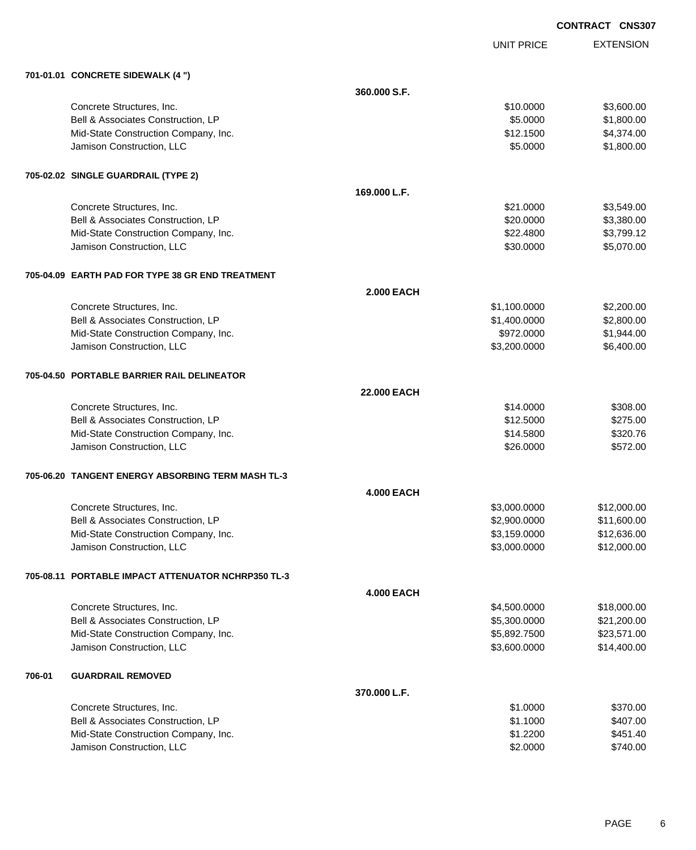UNIT PRICE

EXTENSION

| 701-01.01 CONCRETE SIDEWALK (4 ") |  |
|-----------------------------------|--|
|                                   |  |

|        | 701-01.01 CONCRETE SIDEWALK (4 ")                  |                   |              |             |
|--------|----------------------------------------------------|-------------------|--------------|-------------|
|        |                                                    | 360.000 S.F.      |              |             |
|        | Concrete Structures, Inc.                          |                   | \$10.0000    | \$3,600.00  |
|        | Bell & Associates Construction, LP                 |                   | \$5.0000     | \$1,800.00  |
|        | Mid-State Construction Company, Inc.               |                   | \$12.1500    | \$4,374.00  |
|        | Jamison Construction, LLC                          |                   | \$5.0000     | \$1,800.00  |
|        | 705-02.02 SINGLE GUARDRAIL (TYPE 2)                |                   |              |             |
|        |                                                    | 169.000 L.F.      |              |             |
|        | Concrete Structures, Inc.                          |                   | \$21.0000    | \$3,549.00  |
|        | Bell & Associates Construction, LP                 |                   | \$20.0000    | \$3,380.00  |
|        | Mid-State Construction Company, Inc.               |                   | \$22.4800    | \$3,799.12  |
|        | Jamison Construction, LLC                          |                   | \$30.0000    | \$5,070.00  |
|        | 705-04.09 EARTH PAD FOR TYPE 38 GR END TREATMENT   |                   |              |             |
|        |                                                    | <b>2.000 EACH</b> |              |             |
|        | Concrete Structures, Inc.                          |                   | \$1,100.0000 | \$2,200.00  |
|        | Bell & Associates Construction, LP                 |                   | \$1,400.0000 | \$2,800.00  |
|        | Mid-State Construction Company, Inc.               |                   | \$972.0000   | \$1,944.00  |
|        | Jamison Construction, LLC                          |                   | \$3,200.0000 | \$6,400.00  |
|        | 705-04.50 PORTABLE BARRIER RAIL DELINEATOR         |                   |              |             |
|        |                                                    | 22.000 EACH       |              |             |
|        | Concrete Structures, Inc.                          |                   | \$14.0000    | \$308.00    |
|        | Bell & Associates Construction, LP                 |                   | \$12.5000    | \$275.00    |
|        | Mid-State Construction Company, Inc.               |                   | \$14.5800    | \$320.76    |
|        | Jamison Construction, LLC                          |                   | \$26.0000    | \$572.00    |
|        | 705-06.20 TANGENT ENERGY ABSORBING TERM MASH TL-3  |                   |              |             |
|        |                                                    | <b>4.000 EACH</b> |              |             |
|        | Concrete Structures, Inc.                          |                   | \$3,000.0000 | \$12,000.00 |
|        | Bell & Associates Construction, LP                 |                   | \$2,900.0000 | \$11,600.00 |
|        | Mid-State Construction Company, Inc.               |                   | \$3,159.0000 | \$12,636.00 |
|        | Jamison Construction, LLC                          |                   | \$3,000.0000 | \$12,000.00 |
|        | 705-08.11 PORTABLE IMPACT ATTENUATOR NCHRP350 TL-3 |                   |              |             |
|        |                                                    | <b>4.000 EACH</b> |              |             |
|        | Concrete Structures, Inc.                          |                   | \$4,500.0000 | \$18,000.00 |
|        | Bell & Associates Construction, LP                 |                   | \$5,300.0000 | \$21,200.00 |
|        | Mid-State Construction Company, Inc.               |                   | \$5,892.7500 | \$23,571.00 |
|        | Jamison Construction, LLC                          |                   | \$3,600.0000 | \$14,400.00 |
| 706-01 | <b>GUARDRAIL REMOVED</b>                           |                   |              |             |
|        |                                                    | 370.000 L.F.      |              |             |
|        | Concrete Structures, Inc.                          |                   | \$1.0000     | \$370.00    |
|        | Bell & Associates Construction, LP                 |                   | \$1.1000     | \$407.00    |
|        | Mid-State Construction Company, Inc.               |                   | \$1.2200     | \$451.40    |
|        | Jamison Construction, LLC                          |                   | \$2.0000     | \$740.00    |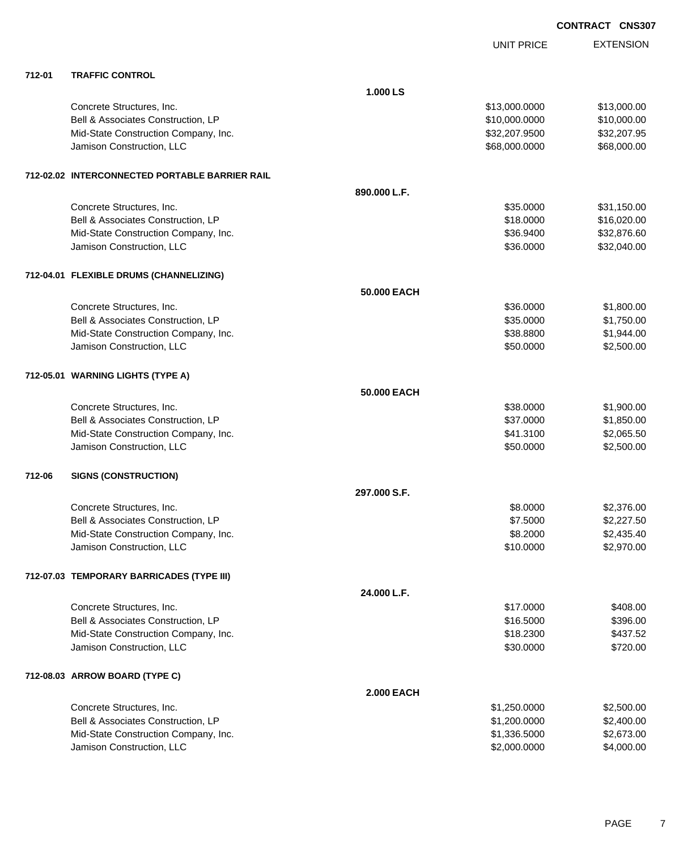|        |                                                |                   | <b>UNIT PRICE</b> | <b>EXTENSION</b> |
|--------|------------------------------------------------|-------------------|-------------------|------------------|
| 712-01 | <b>TRAFFIC CONTROL</b>                         |                   |                   |                  |
|        |                                                | 1.000 LS          |                   |                  |
|        | Concrete Structures, Inc.                      |                   | \$13,000.0000     | \$13,000.00      |
|        | Bell & Associates Construction, LP             |                   | \$10,000.0000     | \$10,000.00      |
|        | Mid-State Construction Company, Inc.           |                   | \$32,207.9500     | \$32,207.95      |
|        | Jamison Construction, LLC                      |                   | \$68,000.0000     | \$68,000.00      |
|        | 712-02.02 INTERCONNECTED PORTABLE BARRIER RAIL |                   |                   |                  |
|        |                                                | 890.000 L.F.      |                   |                  |
|        | Concrete Structures, Inc.                      |                   | \$35.0000         | \$31,150.00      |
|        | Bell & Associates Construction, LP             |                   | \$18.0000         | \$16,020.00      |
|        | Mid-State Construction Company, Inc.           |                   | \$36.9400         | \$32,876.60      |
|        | Jamison Construction, LLC                      |                   | \$36.0000         | \$32,040.00      |
|        | 712-04.01 FLEXIBLE DRUMS (CHANNELIZING)        |                   |                   |                  |
|        |                                                | 50,000 EACH       |                   |                  |
|        | Concrete Structures, Inc.                      |                   | \$36.0000         | \$1,800.00       |
|        | Bell & Associates Construction, LP             |                   | \$35.0000         | \$1,750.00       |
|        | Mid-State Construction Company, Inc.           |                   | \$38.8800         | \$1,944.00       |
|        | Jamison Construction, LLC                      |                   | \$50.0000         | \$2,500.00       |
|        | 712-05.01 WARNING LIGHTS (TYPE A)              |                   |                   |                  |
|        |                                                | 50,000 EACH       |                   |                  |
|        | Concrete Structures, Inc.                      |                   | \$38.0000         | \$1,900.00       |
|        | Bell & Associates Construction, LP             |                   | \$37.0000         | \$1,850.00       |
|        | Mid-State Construction Company, Inc.           |                   | \$41.3100         | \$2,065.50       |
|        | Jamison Construction, LLC                      |                   | \$50.0000         | \$2,500.00       |
| 712-06 | <b>SIGNS (CONSTRUCTION)</b>                    |                   |                   |                  |
|        |                                                | 297,000 S.F.      |                   |                  |
|        | Concrete Structures, Inc.                      |                   | \$8.0000          | \$2,376.00       |
|        | Bell & Associates Construction, LP             |                   | \$7.5000          | \$2,227.50       |
|        | Mid-State Construction Company, Inc.           |                   | \$8.2000          | \$2,435.40       |
|        | Jamison Construction, LLC                      |                   | \$10.0000         | \$2,970.00       |
|        | 712-07.03 TEMPORARY BARRICADES (TYPE III)      |                   |                   |                  |
|        |                                                | 24.000 L.F.       |                   |                  |
|        | Concrete Structures, Inc.                      |                   | \$17.0000         | \$408.00         |
|        | Bell & Associates Construction, LP             |                   | \$16.5000         | \$396.00         |
|        | Mid-State Construction Company, Inc.           |                   | \$18.2300         | \$437.52         |
|        | Jamison Construction, LLC                      |                   | \$30.0000         | \$720.00         |
|        | 712-08.03 ARROW BOARD (TYPE C)                 |                   |                   |                  |
|        |                                                | <b>2.000 EACH</b> |                   |                  |
|        | Concrete Structures, Inc.                      |                   | \$1,250.0000      | \$2,500.00       |
|        | Bell & Associates Construction, LP             |                   | \$1,200.0000      | \$2,400.00       |
|        | Mid-State Construction Company, Inc.           |                   | \$1,336.5000      | \$2,673.00       |
|        | Jamison Construction, LLC                      |                   | \$2,000.0000      | \$4,000.00       |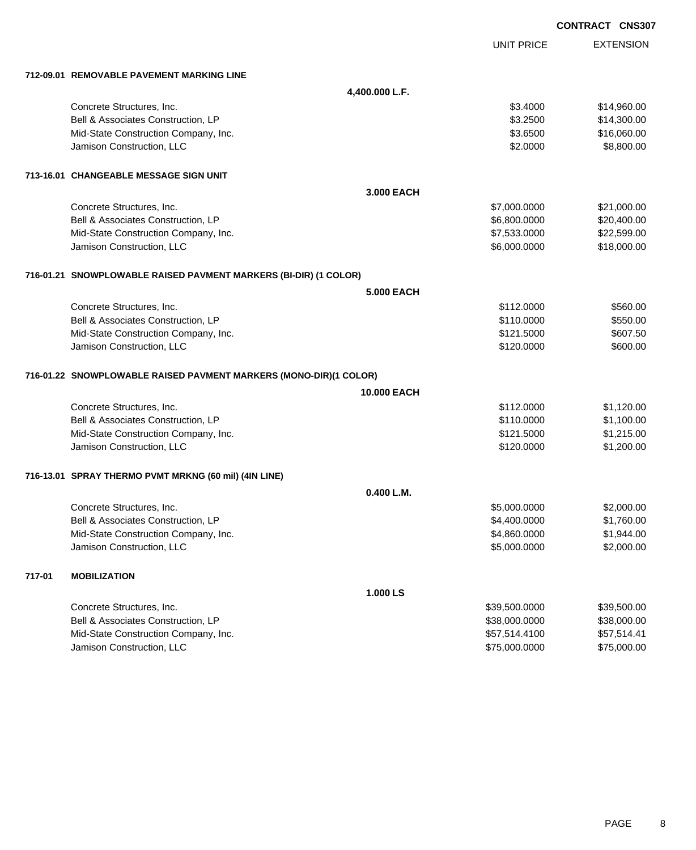|        |                                                                   |                    | <b>CONTRACT CNS307</b> |                  |
|--------|-------------------------------------------------------------------|--------------------|------------------------|------------------|
|        |                                                                   |                    | <b>UNIT PRICE</b>      | <b>EXTENSION</b> |
|        | 712-09.01 REMOVABLE PAVEMENT MARKING LINE                         |                    |                        |                  |
|        |                                                                   | 4,400.000 L.F.     |                        |                  |
|        | Concrete Structures, Inc.                                         |                    | \$3.4000               | \$14,960.00      |
|        | Bell & Associates Construction, LP                                |                    | \$3.2500               | \$14,300.00      |
|        | Mid-State Construction Company, Inc.                              |                    | \$3.6500               | \$16,060.00      |
|        | Jamison Construction, LLC                                         |                    | \$2.0000               | \$8,800.00       |
|        | 713-16.01 CHANGEABLE MESSAGE SIGN UNIT                            |                    |                        |                  |
|        |                                                                   | 3.000 EACH         |                        |                  |
|        | Concrete Structures, Inc.                                         |                    | \$7,000.0000           | \$21,000.00      |
|        | Bell & Associates Construction, LP                                |                    | \$6,800.0000           | \$20,400.00      |
|        | Mid-State Construction Company, Inc.                              |                    | \$7,533.0000           | \$22,599.00      |
|        | Jamison Construction, LLC                                         |                    | \$6,000.0000           | \$18,000.00      |
|        | 716-01.21 SNOWPLOWABLE RAISED PAVMENT MARKERS (BI-DIR) (1 COLOR)  |                    |                        |                  |
|        |                                                                   | <b>5.000 EACH</b>  |                        |                  |
|        | Concrete Structures, Inc.                                         |                    | \$112.0000             | \$560.00         |
|        | Bell & Associates Construction, LP                                |                    | \$110.0000             | \$550.00         |
|        | Mid-State Construction Company, Inc.                              |                    | \$121.5000             | \$607.50         |
|        | Jamison Construction, LLC                                         |                    | \$120.0000             | \$600.00         |
|        | 716-01.22 SNOWPLOWABLE RAISED PAVMENT MARKERS (MONO-DIR)(1 COLOR) |                    |                        |                  |
|        |                                                                   | <b>10,000 EACH</b> |                        |                  |
|        | Concrete Structures, Inc.                                         |                    | \$112.0000             | \$1,120.00       |
|        | Bell & Associates Construction, LP                                |                    | \$110.0000             | \$1,100.00       |
|        | Mid-State Construction Company, Inc.                              |                    | \$121.5000             | \$1,215.00       |
|        | Jamison Construction, LLC                                         |                    | \$120.0000             | \$1,200.00       |
|        | 716-13.01 SPRAY THERMO PVMT MRKNG (60 mil) (4IN LINE)             |                    |                        |                  |
|        |                                                                   | 0.400 L.M.         |                        |                  |
|        | Concrete Structures, Inc.                                         |                    | \$5,000.0000           | \$2,000.00       |
|        | Bell & Associates Construction, LP                                |                    | \$4,400.0000           | \$1,760.00       |
|        | Mid-State Construction Company, Inc.                              |                    | \$4,860.0000           | \$1,944.00       |
|        | Jamison Construction, LLC                                         |                    | \$5,000.0000           | \$2,000.00       |
| 717-01 | <b>MOBILIZATION</b>                                               |                    |                        |                  |
|        |                                                                   | 1.000 LS           |                        |                  |
|        | Concrete Structures, Inc.                                         |                    | \$39,500.0000          | \$39,500.00      |
|        | Bell & Associates Construction, LP                                |                    | \$38,000.0000          | \$38,000.00      |
|        | Mid-State Construction Company, Inc.                              |                    | \$57,514.4100          | \$57,514.41      |
|        | Jamison Construction, LLC                                         |                    | \$75,000.0000          | \$75,000.00      |